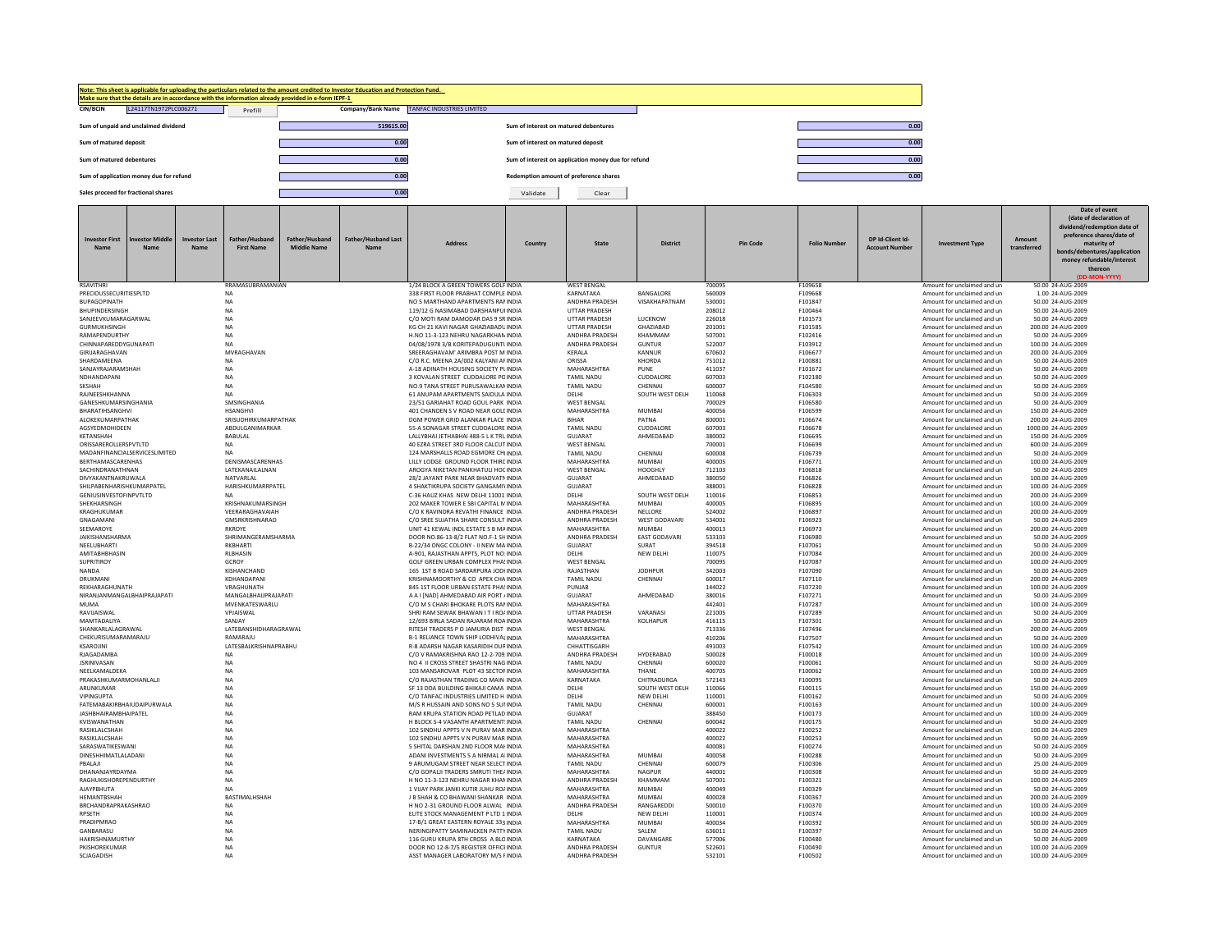| Make sure that the details are in accordance with the information already provided in e-form IEPF-1 | Note: This sheet is applicable for uploading the particulars related to the amount credited to Investor Education and Protection Fund. |                                                     |      |
|-----------------------------------------------------------------------------------------------------|----------------------------------------------------------------------------------------------------------------------------------------|-----------------------------------------------------|------|
| <b>CIN/BCIN</b><br>L24117TN1972PLC006271                                                            | Company/Bank Name<br>Prefill                                                                                                           | TANFAC INDUSTRIES LIMITED                           |      |
| Sum of unpaid and unclaimed dividend                                                                | 519615.00                                                                                                                              | Sum of interest on matured debentures               | 0.00 |
| Sum of matured deposit                                                                              | 0.00                                                                                                                                   | Sum of interest on matured deposit                  | 0.00 |
| Sum of matured debentures                                                                           | 0.00                                                                                                                                   | Sum of interest on application money due for refund | 0.00 |
| Sum of application money due for refund                                                             | 0.00                                                                                                                                   | Redemption amount of preference shares              | 0.00 |
| Sales proceed for fractional shares                                                                 | 0.00                                                                                                                                   | Clear<br>Validate                                   |      |

| <b>Investor First</b><br><b>Name</b>          | nvestor Middle<br><b>Name</b> | <b>Investor Last</b><br><b>Name</b> | Father/Husband<br><b>First Name</b>      | Father/Husband<br><b>Middle Name</b> | <b>Father/Husband Last</b><br>Name | <b>Address</b>                                                                 | Country | <b>State</b>                            | <b>District</b>                     |                  | <b>Pin Code</b>    | <b>Folio Number</b> | DP Id-Client Id-<br><b>Account Number</b> | <b>Investment Type</b>                                     | Amount<br>transferred | Date of event<br>(date of declaration of<br>dividend/redemption date of<br>preference shares/date of<br>maturity of<br>bonds/debentures/application<br>money refundable/interest<br>thereon<br>DD-MON-YYYY |
|-----------------------------------------------|-------------------------------|-------------------------------------|------------------------------------------|--------------------------------------|------------------------------------|--------------------------------------------------------------------------------|---------|-----------------------------------------|-------------------------------------|------------------|--------------------|---------------------|-------------------------------------------|------------------------------------------------------------|-----------------------|------------------------------------------------------------------------------------------------------------------------------------------------------------------------------------------------------------|
| <b>RSAVITHRI</b>                              |                               |                                     | RRAMASURRAMANIAN                         |                                      |                                    | 1/24 BLOCK A GREEN TOWERS GOLF INDIA                                           |         | <b>WEST BENGAL</b><br>KARNATAKA         |                                     | 700095<br>560009 | F109658<br>F109668 |                     |                                           | Amount for unclaimed and un                                |                       | 50.00 24-AUG-2009                                                                                                                                                                                          |
| PRECIOUSSECURITIESPLTD<br><b>BUPAGOPINATH</b> |                               |                                     | <b>NA</b><br><b>NA</b>                   |                                      |                                    | 338 FIRST FLOOR PRABHAT COMPLE INDIA<br>NO 5 MARTHAND APARTMENTS RANINDIA      |         | <b>ANDHRA PRADESH</b>                   | <b>BANGALORE</b><br>VISAKHAPATNAM   | 530001           | F101847            |                     |                                           | Amount for unclaimed and un<br>Amount for unclaimed and un |                       | 1.00 24-AUG-2009<br>50.00 24-AUG-2009                                                                                                                                                                      |
| <b>BHUPINDERSINGH</b>                         |                               |                                     | <b>NA</b>                                |                                      |                                    | 119/12 G NASIMARAD DARSHANPULINDIA                                             |         | UTTAR PRADESH                           |                                     | 208012           | F100464            |                     |                                           | Amount for unclaimed and un                                |                       | 50.00 24-AUG-2009                                                                                                                                                                                          |
| SANJEEVKUMARAGARWAL                           |                               |                                     | NA                                       |                                      |                                    | C/O MOTI RAM DAMODAR DAS 9 SR INDIA                                            |         | <b>UTTAR PRADESH</b>                    | LUCKNOW                             | 226018           | F101573            |                     |                                           | Amount for unclaimed and un                                |                       | 50.00 24-AUG-2009                                                                                                                                                                                          |
| GURMUKHSINGH                                  |                               |                                     | NA                                       |                                      |                                    | KG CH 21 KAVI NAGAR GHAZIABADU INDIA                                           |         | UTTAR PRADESH                           | GHAZIABAD                           | 201001           | F101585            |                     |                                           | Amount for unclaimed and un                                |                       | 200.00 24-AUG-2009                                                                                                                                                                                         |
| RAMAPENDURTHY<br>CHINNAPAREDDYGUNAPATI        |                               |                                     | NA<br><b>NA</b>                          |                                      |                                    | H.NO 11-3-123 NEHRU NAGARKHAN INDIA<br>04/08/1978 3/B KORITEPADUGUNTLINDIA     |         | ANDHRA PRADESH<br><b>ANDHRA PRADESH</b> | KHAMMAM<br><b>GUNTUR</b>            | 507001<br>522007 | F102416<br>F103912 |                     |                                           | Amount for unclaimed and un<br>Amount for unclaimed and un |                       | 50.00 24-AUG-2009<br>100.00 24-AUG-2009                                                                                                                                                                    |
| GIRIJARAGHAVAN                                |                               |                                     | MVRAGHAVAN                               |                                      |                                    | SREERAGHAVAM' ARIMBRA POST M INDIA                                             |         | KERALA                                  | KANNUR                              | 670602           | F106677            |                     |                                           | Amount for unclaimed and un                                |                       | 200.00 24-AUG-2009                                                                                                                                                                                         |
| SHARDAMEENA                                   |                               |                                     | <b>NA</b>                                |                                      |                                    | C/O R.C. MEENA 2A/002 KALYANI AF INDIA                                         |         | ORISSA                                  | KHORDA                              | 751012           | F100881            |                     |                                           | Amount for unclaimed and un                                |                       | 50.00 24-AUG-2009                                                                                                                                                                                          |
| SANJAYRAJARAMSHAH                             |                               |                                     | NA                                       |                                      |                                    | A-18 ADINATH HOUSING SOCIETY PLINDIA                                           |         | MAHARASHTRA                             | PUNE                                | 411037           | F101672            |                     |                                           | Amount for unclaimed and un                                |                       | 50.00 24-AUG-2009                                                                                                                                                                                          |
| NDHANDAPANI<br><b>SKSHAH</b>                  |                               |                                     | NA<br>NA                                 |                                      |                                    | 3 KOVALAN STREET CUDDALORE POINDIA<br>NO.9 TANA STREET PURUSAWALKAN INDIA      |         | <b>TAMIL NADU</b><br><b>TAMIL NADU</b>  | CUDDALORE<br>CHENNAI                | 607003<br>600007 | F102180<br>F104580 |                     |                                           | Amount for unclaimed and un<br>Amount for unclaimed and un |                       | 50.00 24-AUG-2009<br>50.00 24-AUG-2009                                                                                                                                                                     |
| RAJNEESHKHANNA                                |                               |                                     | <b>NA</b>                                |                                      |                                    | 61 ANUPAM APARTMENTS SAIDULA INDIA                                             |         | DELHI                                   | SOUTH WEST DELH                     | 110068           | F106303            |                     |                                           | Amount for unclaimed and un                                |                       | 50.00 24-AUG-2009                                                                                                                                                                                          |
| <b>GANESHKUMARSINGHANIA</b>                   |                               |                                     | SMSINGHANIA                              |                                      |                                    | 23/51 GARIAHAT ROAD GOUL PARK INDIA                                            |         | <b>WEST RENGAL</b>                      |                                     | 700029           | F106580            |                     |                                           | Amount for unclaimed and un                                |                       | 50.00 24-AUG-2009                                                                                                                                                                                          |
| BHARATIHSANGHVI                               |                               |                                     | HSANGHVI                                 |                                      |                                    | 401 CHANDEN S V ROAD NEAR GOLL INDIA                                           |         | MAHARASHTRA                             | MUMRAI                              | 400056           | F106599            |                     |                                           | Amount for unclaimed and un                                |                       | 150.00 24-AUG-2009                                                                                                                                                                                         |
| ALOKEKUMARPATHAK                              |                               |                                     | SRISUDHIRKUMARPATHAK                     |                                      |                                    | DGM POWER GRID ALANKAR PLACE INDIA                                             |         | <b>BIHAR</b>                            | PATNA                               | 800001           | F106674            |                     |                                           | Amount for unclaimed and un                                |                       | 200.00 24-AUG-2009                                                                                                                                                                                         |
| AGSYEDMOHIDEEN<br>KETANSHAH                   |                               |                                     | ABDULGANIMARKAR<br>BABULAL               |                                      |                                    | 55-A SONAGAR STREET CUDDALORE INDIA<br>LALLYBHAI JETHABHAI 488-5 L K TRU INDIA |         | <b>TAMIL NADU</b><br>GUJARAT            | CUDDALORE<br>AHMEDABAD              | 607003<br>380002 | F106678<br>F106695 |                     |                                           | Amount for unclaimed and un<br>Amount for unclaimed and un |                       | 1000.00 24-AUG-2009<br>150.00 24-AUG-2009                                                                                                                                                                  |
| ORISSAREROLLERSPVTLTD                         |                               |                                     | <b>NA</b>                                |                                      |                                    | 40 EZRA STREET 3RD FLOOR CALCUT INDIA                                          |         | <b>WEST BENGAL</b>                      |                                     | 700001           | F106699            |                     |                                           | Amount for unclaimed and un                                |                       | 600.00 24-AUG-2009                                                                                                                                                                                         |
| MADANEINANCIAL SERVICESI IMITED               |                               |                                     | <b>NA</b>                                |                                      |                                    | 124 MARSHALLS ROAD FGMORE CHI INDIA                                            |         | <b>TAMIL NADU</b>                       | CHENNAL                             | 600008           | F106739            |                     |                                           | Amount for unclaimed and un                                |                       | 50.00 24-AUG-2009                                                                                                                                                                                          |
| <b>RERTHAMASCARENHAS</b>                      |                               |                                     | <b>DENISMASCARENHAS</b>                  |                                      |                                    | <b>I IIIY LODGE GROUND FLOOR THIRE INDIA</b>                                   |         | MAHARASHTRA                             | MUMRAI                              | 400005           | F106771            |                     |                                           | Amount for unclaimed and un                                |                       | 100.00 24-AUG-2009                                                                                                                                                                                         |
| SACHINDRANATHNAN<br>DIVYAKANTNAKRUWALA        |                               |                                     | LATEKANAILALNAN<br>NATVARI AI            |                                      |                                    | AROGYA NIKETAN PANKHATULI HOC INDIA<br>28/2 IAYANT PARK NEAR BHADVATNINDIA     |         | <b>WEST BENGAL</b><br>GUIARAT           | HOOGHI Y<br>AHMFDARAD               | 712103<br>380050 | F106818<br>F106826 |                     |                                           | Amount for unclaimed and un<br>Amount for unclaimed and un |                       | 50.00 24-AUG-2009<br>100.00 24-AUG-2009                                                                                                                                                                    |
| SHILPABENHARISHKUMARPATEL                     |                               |                                     | HARISHKUMARRPATEL                        |                                      |                                    | 4 SHAKTIKRUPA SOCIETY GANGAMI\ INDIA                                           |         | <b>GUJARAT</b>                          |                                     | 388001           | F106828            |                     |                                           | Amount for unclaimed and un                                |                       | 100.00 24-AUG-2009                                                                                                                                                                                         |
| GENIUSINVESTOFINPVTLTD                        |                               |                                     | NΔ                                       |                                      |                                    | C-36 HAUZ KHAS NEW DELHI 11001 INDIA                                           |         | DELHI                                   | SOUTH WEST DELH                     | 110016           | F106853            |                     |                                           | Amount for unclaimed and un                                |                       | 200.00 24-AUG-2009                                                                                                                                                                                         |
| <b>SHEKHARSINGH</b>                           |                               |                                     | KRISHNAKUMARSINGH                        |                                      |                                    | 202 MAKER TOWER E SBI CAPITAL MINDIA                                           |         | MAHARASHTRA                             | MI IMRAI                            | 400005           | F106895            |                     |                                           | Amount for unclaimed and un                                |                       | 100.00 24-AUG-2009                                                                                                                                                                                         |
| KRAGHUKUMAR<br>GNAGAMANI                      |                               |                                     | VFFRARAGHAVAIAH<br><b>GMSRKRISHNARAO</b> |                                      |                                    | C/O K RAVINDRA REVATHI FINANCE INDIA<br>C/O SREE SUJATHA SHARE CONSULT INDIA   |         | ANDHRA PRADESH<br>ANDHRA PRADESH        | NELLORE<br>WEST GODAVARI            | 524002<br>534001 | F106897<br>F106923 |                     |                                           | Amount for unclaimed and un<br>Amount for unclaimed and un |                       | 200.00 24-AUG-2009<br>50.00 24-AUG-2009                                                                                                                                                                    |
| SEEMAROYE                                     |                               |                                     | <b>RKROYE</b>                            |                                      |                                    | UNIT 41 KEWAL INDI ESTATE S B MAINDIA                                          |         | MAHARASHTRA                             | <b>MUMBAI</b>                       | 400013           | F106973            |                     |                                           | Amount for unclaimed and un                                |                       | 200.00 24-AUG-2009                                                                                                                                                                                         |
| JAIKISHANSHARMA                               |                               |                                     | SHRIMANGERAMSHARMA                       |                                      |                                    | DOOR NO.86-13-8/2 FLAT NO.F-1 SHINDIA                                          |         | ANDHRA PRADESH                          | <b>EAST GODAVARI</b>                | 533103           | F106980            |                     |                                           | Amount for unclaimed and un                                |                       | 50.00 24-AUG-2009                                                                                                                                                                                          |
| NEELUBHARTI                                   |                               |                                     | RKBHARTI                                 |                                      |                                    | B-22/34 ONGC COLONY - II NEW MAINDIA                                           |         | <b>GUJARAT</b>                          | SURAT                               | 394518           | F107061            |                     |                                           | Amount for unclaimed and un                                |                       | 50.00 24-AUG-2009                                                                                                                                                                                          |
| AMITABHBHASIN<br><b>SUPRITIROY</b>            |                               |                                     | <b>RLBHASIN</b><br>GCROY                 |                                      |                                    | A-901, RAJASTHAN APPTS, PLOT NO: INDIA<br>GOLF GREEN URBAN COMPLEX PHASINDIA   |         | DELHI<br><b>WEST RENGAL</b>             | <b>NEW DELHI</b>                    | 110075<br>700095 | F107084<br>F107087 |                     |                                           | Amount for unclaimed and un                                |                       | 200.00 24-AUG-2009<br>100.00 24-AUG-2009                                                                                                                                                                   |
| NANDA                                         |                               |                                     | KISHANCHAND                              |                                      |                                    | 165 1ST B ROAD SARDARPURA JODHNDIA                                             |         | RAJASTHAN                               | <b>IODHPUR</b>                      | 342003           | F107090            |                     |                                           | Amount for unclaimed and un<br>Amount for unclaimed and un |                       | 50.00 24-AUG-2009                                                                                                                                                                                          |
| DRUKMANI                                      |                               |                                     | KDHANDAPAN                               |                                      |                                    | KRISHNAMOORTHY & CO APEX CHA INDIA                                             |         | <b>TAMIL NADU</b>                       | CHENNAI                             | 600017           | F107110            |                     |                                           | Amount for unclaimed and un                                |                       | 200.00 24-AUG-2009                                                                                                                                                                                         |
| REKHARAGHUNATH                                |                               |                                     | VRAGHUNATH                               |                                      |                                    | 845 1ST FLOOR URBAN ESTATE PHA! INDIA                                          |         | PUNJAB                                  |                                     | 144022           | F107230            |                     |                                           | Amount for unclaimed and un                                |                       | 100.00 24-AUG-2009                                                                                                                                                                                         |
| NIRANJANMANGALBHAIPRAJAPATI                   |                               |                                     | MANGALBHAUPRAJAPATI                      |                                      |                                    | A A I [NAD] AHMEDABAD AIR PORT / INDIA                                         |         | GUJARAT                                 | AHMEDABAD                           | 380016           | F107271            |                     |                                           | Amount for unclaimed and un                                |                       | 50.00 24-AUG-2009                                                                                                                                                                                          |
| <b>MUMA</b><br>RAVIJAISWAL                    |                               |                                     | MVENKATESWARLU<br>VPJAISWAL              |                                      |                                    | C/O M S CHARI BHOKARE PLOTS RAMINDIA<br>SHRI RAM SEWAK BHAWAN I T I RO/ INDIA  |         | MAHARASHTRA<br>UTTAR PRADESH            | VARANASI                            | 442401<br>221005 | F107287<br>F107289 |                     |                                           | Amount for unclaimed and un<br>Amount for unclaimed and un |                       | 100.00 24-AUG-2009<br>50.00 24-AUG-2009                                                                                                                                                                    |
| MAMTADALIYA                                   |                               |                                     | SANJAY                                   |                                      |                                    | 12/693 BIRLA SADAN RAJARAM ROA INDIA                                           |         | MAHARASHTRA                             | KOLHAPUR                            | 416115           | F107301            |                     |                                           | Amount for unclaimed and un                                |                       | 50.00 24-AUG-2009                                                                                                                                                                                          |
| SHANKARLALAGRAWAL                             |                               |                                     | LATEBANSHIDHARAGRAWAL                    |                                      |                                    | RITESH TRADERS P O JAMURIA DIST INDIA                                          |         | <b>WEST BENGAL</b>                      |                                     | 713336           | F107496            |                     |                                           | Amount for unclaimed and un                                |                       | 200.00 24-AUG-2009                                                                                                                                                                                         |
| CHEKURISUMARAMARAJU                           |                               |                                     | RAMARAJU                                 |                                      |                                    | B-1 RELIANCE TOWN SHIP LODHIVAL INDIA                                          |         | MAHARASHTRA                             |                                     | 410206           | F107507            |                     |                                           | Amount for unclaimed and un                                |                       | 50.00 24-AUG-2009                                                                                                                                                                                          |
| KSAROJINI<br><b>RJAGADAMBA</b>                |                               |                                     | LATESBALKRISHNAPRABHU<br><b>NA</b>       |                                      |                                    | R-8 ADARSH NAGAR KASARIDIH DURINDIA<br>C/O V RAMAKRISHNA RAO 12-2-709 INDIA    |         | CHHATTISGARH<br><b>ANDHRA PRADESH</b>   | HYDERABAD                           | 491003<br>500028 | F107542<br>F100018 |                     |                                           | Amount for unclaimed and un<br>Amount for unclaimed and un |                       | 100.00 24-AUG-2009<br>100.00 24-AUG-2009                                                                                                                                                                   |
| <b>ISRINIVASAN</b>                            |                               |                                     | <b>NA</b>                                |                                      |                                    | NO 4 II CROSS STREET SHASTRI NAG INDIA                                         |         | <b>TAMIL NADU</b>                       | CHENNAL                             | 600020           | F100061            |                     |                                           | Amount for unclaimed and un                                |                       | 50.00 24-AUG-2009                                                                                                                                                                                          |
| NFFI KAMAI DEKA                               |                               |                                     | <b>NA</b>                                |                                      |                                    | 103 MANSAROVAR PLOT 43 SECTOFINDIA                                             |         | MAHARASHTRA                             | THANF                               | 400705           | F100062            |                     |                                           | Amount for unclaimed and un                                |                       | 100.00 24-AUG-2009                                                                                                                                                                                         |
| PRAKASHKUMARMOHANLALJI                        |                               |                                     | NA                                       |                                      |                                    | C/O RAJASTHAN TRADING CO MAIN INDIA                                            |         | KARNATAKA                               | CHITRADURGA                         | 572143           | F100095            |                     |                                           | Amount for unclaimed and un                                |                       | 50.00 24-AUG-2009                                                                                                                                                                                          |
| ARUNKUMAR<br><b>VIPINGUPTA</b>                |                               |                                     | NA<br>NA                                 |                                      |                                    | SF 13 DDA BUILDING BHIKAJI CAMA INDIA<br>C/O TANFAC INDUSTRIES LIMITED H INDIA |         | DFI HI<br>DELHI                         | SOUTH WEST DELH<br><b>NEW DELHI</b> | 110066<br>110001 | F100115<br>F100162 |                     |                                           | Amount for unclaimed and un<br>Amount for unclaimed and un |                       | 150.00 24-AUG-2009<br>50.00 24-AUG-2009                                                                                                                                                                    |
| FATEMABAKIRBHAIUDAIPURWALA                    |                               |                                     | NA                                       |                                      |                                    | M/S R HUSSAIN AND SONS NO 5 SUI INDIA                                          |         | <b>TAMIL NADU</b>                       | CHENNAI                             | 600001           | F100163            |                     |                                           | Amount for unclaimed and un                                |                       | 100.00 24-AUG-2009                                                                                                                                                                                         |
| <b>JASHBHAIRAMBHAIPATEL</b>                   |                               |                                     | NA                                       |                                      |                                    | RAM KRUPA STATION ROAD PETLAD INDIA                                            |         | GUIARAT                                 |                                     | 388450           | F100173            |                     |                                           | Amount for unclaimed and un                                |                       | 100.00 24-AUG-2009                                                                                                                                                                                         |
| KVISWANATHAN                                  |                               |                                     | NA                                       |                                      |                                    | H BLOCK S-4 VASANTH APARTMENT INDIA                                            |         | <b>TAMIL NADU</b>                       | CHENNAL                             | 600042           | F100175            |                     |                                           | Amount for unclaimed and un                                |                       | 50.00 24-AUG-2009                                                                                                                                                                                          |
| RASIKI ALCSHAH<br>RASIKLALCSHAH               |                               |                                     | NA<br>NA                                 |                                      |                                    | 102 SINDHU APPTS V N PURAV MAR INDIA<br>102 SINDHU APPTS V N PURAV MAR INDIA   |         | MAHARASHTRA<br>MAHARASHTRA              |                                     | 400022<br>400022 | F100252<br>F100253 |                     |                                           | Amount for unclaimed and un<br>Amount for unclaimed and un |                       | 100.00 24-AUG-2009<br>50.00 24-AUG-2009                                                                                                                                                                    |
| SARASWATIKESWANI                              |                               |                                     | NA                                       |                                      |                                    | 5 SHITAL DARSHAN 2ND FLOOR MAI INDIA                                           |         | MAHARASHTRA                             |                                     | 400081           | F100274            |                     |                                           | Amount for unclaimed and un                                |                       | 50.00 24-AUG-2009                                                                                                                                                                                          |
| DINESHHIMATLALADANI                           |                               |                                     | NA                                       |                                      |                                    | ADANI INVESTMENTS 5 A NIRMAL AHNDIA                                            |         | MAHARASHTRA                             | <b>MUMBAI</b>                       | 400058           | F100288            |                     |                                           | Amount for unclaimed and un                                |                       | 50.00 24-AUG-2009                                                                                                                                                                                          |
| PBALAJI                                       |                               |                                     | <b>NA</b>                                |                                      |                                    | 9 ARUMUGAM STREET NEAR SELECT INDIA                                            |         | <b>TAMIL NADU</b>                       | CHENNAI                             | 600079           | F100306            |                     |                                           | Amount for unclaimed and un                                |                       | 25.00 24-AUG-2009                                                                                                                                                                                          |
| DHANANJAYRDAYMA<br>RAGHUKISHOREPENDURTHY      |                               |                                     | <b>NA</b><br>NA                          |                                      |                                    | C/O GOPALJI TRADERS SMRUTI THE/ INDIA<br>H NO 11-3-123 NEHRU NAGAR KHAMINDIA   |         | MAHARASHTRA<br>ANDHRA PRADESH           | NAGPUR<br>KHAMMAM                   | 440001<br>507001 | F100308<br>F100321 |                     |                                           | Amount for unclaimed and un<br>Amount for unclaimed and un |                       | 50.00 24-AUG-2009<br>100.00 24-AUG-2009                                                                                                                                                                    |
| AJAYPBHUTA                                    |                               |                                     | <b>NA</b>                                |                                      |                                    | 1 VIJAY PARK JANKI KUTIR JUHU RO/ INDIA                                        |         | MAHARASHTRA                             | <b>MUMBAI</b>                       | 400049           | F100329            |                     |                                           | Amount for unclaimed and un                                |                       | 50.00 24-AUG-2009                                                                                                                                                                                          |
| HEMANTBSHAH                                   |                               |                                     | BASTIMALHSHAH                            |                                      |                                    | J B SHAH & CO BHAWANI SHANKAR INDIA                                            |         | MAHARASHTRA                             | <b>MUMBAI</b>                       | 400028           | F100367            |                     |                                           | Amount for unclaimed and un                                |                       | 200.00 24-AUG-2009                                                                                                                                                                                         |
| BRCHANDRAPRAKASHRAO                           |                               |                                     | NA                                       |                                      |                                    | H NO 2-31 GROUND FLOOR ALWAL INDIA                                             |         | ANDHRA PRADESH                          | RANGAREDDI                          | 500010           | F100370            |                     |                                           | Amount for unclaimed and un                                |                       | 100.00 24-AUG-2009                                                                                                                                                                                         |
| RPSETH<br>PRADIPMRAO                          |                               |                                     | NA<br><b>NA</b>                          |                                      |                                    | ELITE STOCK MANAGEMENT P LTD 1 INDIA<br>17-B/1 GREAT EASTERN ROYALE 333 INDIA  |         | DELHI<br>MAHARASHTRA                    | NEW DELHI<br>MUMRAI                 | 110001<br>400034 | F100374<br>F100392 |                     |                                           | Amount for unclaimed and un<br>Amount for unclaimed and un |                       | 100.00 24-AUG-2009<br>500.00 24-AUG-2009                                                                                                                                                                   |
| GANBARASU                                     |                               |                                     | NA                                       |                                      |                                    | NERINGIPATTY SAMINAICKEN PATTY INDIA                                           |         | <b>TAMIL NADU</b>                       | SALEM                               | 636011           | F100397            |                     |                                           | Amount for unclaimed and un                                |                       | 50.00 24-AUG-2009                                                                                                                                                                                          |
| HAKRISHNAMURTHY                               |                               |                                     | NA                                       |                                      |                                    | 116 GURU KRUPA 8TH CROSS A BLO INDIA                                           |         | KARNATAKA                               | DAVANGARE                           | 577006           | F100480            |                     |                                           | Amount for unclaimed and un                                |                       | 50.00 24-AUG-2009                                                                                                                                                                                          |
| PKISHOREKUMAR                                 |                               |                                     | NA                                       |                                      |                                    | DOOR NO 12-8-7/5 REGISTER OFFICI INDIA                                         |         | ANDHRA PRADESH                          | <b>GUNTUR</b>                       | 522601           | F100490            |                     |                                           | Amount for unclaimed and un                                |                       | 100.00 24-AUG-2009                                                                                                                                                                                         |
| <b>SCJAGADISH</b>                             |                               |                                     | NA                                       |                                      |                                    | ASST MANAGER LABORATORY M/S FINDIA                                             |         | ANDHRA PRADESH                          |                                     | 532101           | F100502            |                     |                                           | Amount for unclaimed and un                                |                       | 100.00 24-AUG-2009                                                                                                                                                                                         |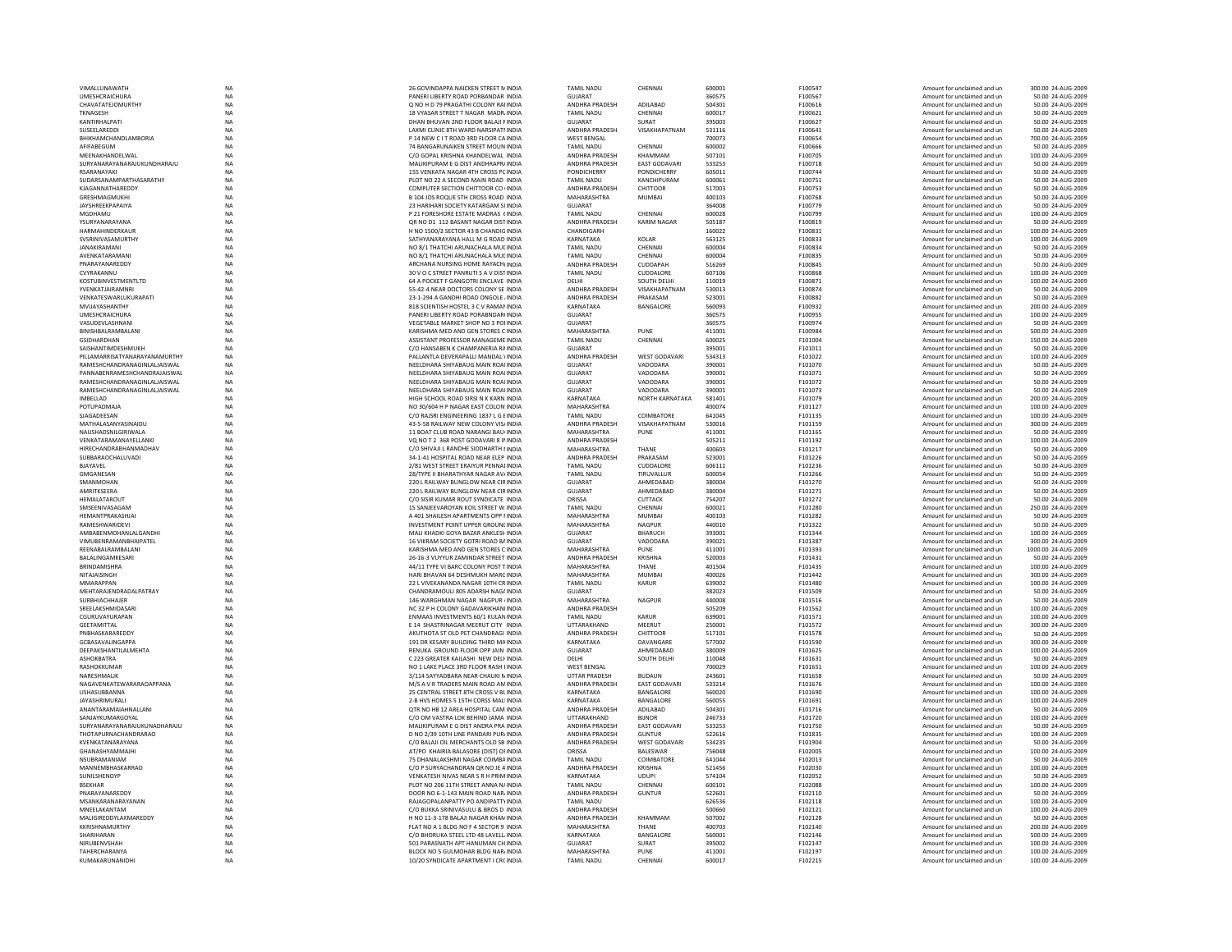| VIMALLUNAWATH                   | NA              | 26 GOVINDAPPA NAICKEN STREET N INDIA                                        | <b>TAMIL NADU</b>         | CHENNAI              | 600001           | F100547            | Amount for unclaimed and un                                | 300.00 24-AUG-2009                       |
|---------------------------------|-----------------|-----------------------------------------------------------------------------|---------------------------|----------------------|------------------|--------------------|------------------------------------------------------------|------------------------------------------|
| UMESHCRAICHURA                  | <b>NA</b>       | PANERI LIBERTY ROAD PORBANDAR INDIA                                         | <b>GUJARAT</b>            |                      | 360575           | F100567            | Amount for unclaimed and un                                | 50.00 24-AUG-2009                        |
| CHAVATATEJOMURTHY               | NA              | Q NO H D 79 PRAGATHI COLONY RAI INDIA                                       | ANDHRA PRADESH            | ADILABAD             | 504301           | F100616            | Amount for unclaimed and un                                | 50.00 24-AUG-2009                        |
| TKNAGESH                        | <b>NA</b>       | 18 VYASAR STREET T NAGAR MADR INDIA                                         | <b>TAMIL NADU</b>         | CHENNAI              | 600017           | F100621            | Amount for unclaimed and un                                | 50.00 24-AUG-2009                        |
| KANTIRHAI PATI                  | <b>NA</b>       | DHAN BHUVAN 2ND FLOOR BALAILE INDIA                                         | GUIARAT                   | SURAT                | 395003           | F100627            | Amount for unclaimed and un                                | 50.00 24-AUG-2009                        |
|                                 |                 | LAXMI CLINIC 8TH WARD NARSIPATI INDIA                                       | ANDHRA PRADESH            |                      | 531116           | F100641            |                                                            | 50.00 24-AUG-2009                        |
| SUSEELAREDDI                    | $_{\sf NA}$     |                                                                             |                           | VISAKHAPATNAM        |                  |                    | Amount for unclaimed and un                                |                                          |
| BHIKHAMCHANDLAMBORIA            | <b>NA</b>       | P 14 NEW C I T ROAD 3RD FLOOR CA INDIA                                      | <b>WEST BENGAL</b>        |                      | 700073           | F100654            | Amount for unclaimed and un                                | 700.00 24-AUG-2009                       |
| AFIFAREGUM                      | <b>NA</b>       | 74 BANGARUNAIKEN STREET MOUN INDIA                                          | <b>TAMIL NADU</b>         | CHENNAI              | 600002           | F100666            | Amount for unclaimed and un                                | 50.00 24-AUG-2009                        |
| MEENAKHANDELWAL                 | <b>NA</b>       | C/O GOPAL KRISHNA KHANDELWAL INDIA                                          | ANDHRA PRADESH            | KHAMMAM              | 507101           | F100705            | Amount for unclaimed and un                                | 100.00 24-AUG-2009                       |
| SURYANARAYANARAJUKUNDHARAJU     | <b>NA</b>       | MALIKIPURAM E G DIST ANDHRAPR/ INDIA                                        | ANDHRA PRADESH            | EAST GODAVARI        | 533253           | F100718            | Amount for unclaimed and un                                | 50.00 24-AUG-2009                        |
| RSARANAYAK                      | NA              | 155 VENKATA NAGAR 4TH CROSS PC INDIA                                        | PONDICHERRY               | PONDICHERRY          | 605011           | F100744            | Amount for unclaimed and un                                | 50.00 24-AUG-2009                        |
| SUDARSANAMPARTHASARATHY         | <b>NA</b>       | PLOT NO 22 A SECOND MAIN ROAD INDIA                                         | TAMIL NADU                | KANCHIPURAM          | 600061           | F100751            | Amount for unclaimed and un                                | 50.00 24-AUG-2009                        |
|                                 |                 |                                                                             |                           |                      |                  |                    |                                                            |                                          |
| KJAGANNATHAREDDY                | <b>NA</b>       | COMPUTER SECTION CHITTOOR CO (INDIA                                         | ANDHRA PRADESH            | CHITTOOR             | 517003           | F100753            | Amount for unclaimed and un                                | 50.00 24-AUG-2009                        |
| GRESHMAGMUKHI                   | <b>NA</b>       | B 104 IOS ROOUE 5TH CROSS ROAD INDIA                                        | <b>MAHARASHTRA</b>        | MUMBAI               | 400103           | F100768            | Amount for unclaimed and un                                | 50.00 24-AUG-2009                        |
| JAYSHREEKPAPAIYA                | NA              | 23 HARIHARI SOCIETY KATARGAM SUNDIA                                         | GUJARAT                   |                      | 364008           | F100779            | Amount for unclaimed and un                                | 50.00 24-AUG-2009                        |
| MGDHAMU                         | <b>NA</b>       | P 21 FORESHORE ESTATE MADRAS (INDIA                                         | <b>TAMIL NADL</b>         | CHENNAI              | 600028           | F100799            | Amount for unclaimed and un                                | 100.00 24-AUG-2009                       |
| YSURYANARAYANA                  | <b>NA</b>       | OR NO D1 112 BASANT NAGAR DISTINDIA                                         | ANDHRA PRADESH            | <b>KARIM NAGAR</b>   | 505187           | F100819            | Amount for unclaimed and un                                | 50.00 24-AUG-2009                        |
| HARMAHINDERKAUR                 | <b>NA</b>       | H NO 1500/2 SECTOR 43 B CHANDIG INDIA                                       | CHANDIGARH                |                      | 160022           | F100831            | Amount for unclaimed and un                                | 100.00 24-AUG-2009                       |
| SVSRINIVASAMURTHY               | <b>NA</b>       | SATHYANARAYANA HALL M G ROAD INDIA                                          | KARNATAKA                 | KOI AR               | 563125           | F100833            | Amount for unclaimed and un                                | 100.00 24-AUG-2009                       |
|                                 |                 |                                                                             |                           |                      |                  |                    |                                                            |                                          |
| JANAKIRAMAN                     | NA              | NO 8/1 THATCHI ARUNACHALA MULINDIA                                          | TAMIL NADU                | CHENNAI              | 600004           | F100834            | Amount for unclaimed and un                                | 50.00 24-AUG-2009                        |
| AVENKATARAMAN                   | <b>NA</b>       | NO 8/1 THATCHI ARUNACHALA MULINDIA                                          | <b>TAMIL NADU</b>         | CHENNAI              | 600004           | F100835            | Amount for unclaimed and un                                | 50.00 24-AUG-2009                        |
| PNARAYANAREDDY                  | <b>NA</b>       | ARCHANA NURSING HOME RAYACH(INDIA                                           | ANDHRA PRADESH            | CUDDAPAH             | 516269           | F100845            | Amount for unclaimed and un                                | 50.00 24-AUG-2009                        |
| CVYRAKANNU                      | <b>NA</b>       | 30 V O C STREET PANRUTI S A V DISTINDIA                                     | <b>TAMIL NADU</b>         | <b>CUDDALORE</b>     | 607106           | F100868            | Amount for unclaimed and un                                | 100.00 24-AUG-2009                       |
| KOSTUBINVESTMENTLTD             | NA              | 64 A POCKET F GANGOTRI ENCLAVE INDIA                                        | DELHI                     | SOUTH DELHI          | 110019           | F100871            | Amount for unclaimed and un                                | 100.00 24-AUG-2009                       |
| YVENKATJAIRAMNRI                | <b>NA</b>       | 55-42-4 NEAR DOCTORS COLONY SE INDIA                                        | ANDHRA PRADESH            | VISAKHAPATNAM        | 530013           | F100874            | Amount for unclaimed and un                                | 50.00 24-AUG-2009                        |
|                                 |                 |                                                                             |                           |                      |                  |                    |                                                            |                                          |
| VENKATESWARLUKURAPATI           | NA              | 23-1-294 A GANDHI ROAD ONGOLE , INDIA                                       | ANDHRA PRADESH            | PRAKASAM             | 523001           | F100882            | Amount for unclaimed and un                                | 50.00 24-AUG-2009                        |
| MVIIAYASHANTHY                  | <b>NA</b>       | 818 SCIENTISH HOSTEL 3 C V RAMAN INDIA                                      | KARNATAKA                 | BANGALORE            | 560093           | F100932            | Amount for unclaimed and un                                | 200.00 24-AUG-2009                       |
| UMESHCRAICHURA                  | <b>NA</b>       | PANERI LIBERTY ROAD PORABNDAR(INDIA                                         | GUJARAT                   |                      | 360575           | F100955            | Amount for unclaimed and un                                | 100.00 24-AUG-2009                       |
| VASUDEVLASHNANI                 | NA              | VEGETABLE MARKET SHOP NO 3 POHNDIA                                          | GUJARAT                   |                      | 360575           | F100974            | Amount for unclaimed and un                                | 50.00 24-AUG-2009                        |
| BINISHBALRAMBALANI              | NA              | KARISHMA MED AND GEN STORES C INDIA                                         | MAHARASHTRA               | PUNE                 | 411001           | F100984            | Amount for unclaimed and un                                | 500.00 24-AUG-2009                       |
| <b>GSIDHARDHAN</b>              | <b>NA</b>       | ASSISTANT PROFESSOR MANAGEME INDIA                                          | <b>TAMIL NADU</b>         | CHENNAI              | 600025           | F101004            | Amount for unclaimed and un                                | 150.00 24-AUG-2009                       |
|                                 |                 |                                                                             |                           |                      |                  |                    |                                                            |                                          |
| SAISHANTIMDESHMUKH              | NA              | C/O HANSABEN K CHAMPANERIA RAINDIA                                          | GUJARAT                   |                      | 395001           | F101011            | Amount for unclaimed and un                                | 50.00 24-AUG-2009                        |
| PILLAMARRISATYANARAYANAMURTHY   | <b>NA</b>       | PALLANTLA DEVERAPALLI MANDAL VINDIA                                         | ANDHRA PRADESH            | WEST GODAVARI        | 534313           | F101022            | Amount for unclaimed and un                                | 100.00 24-AUG-2009                       |
| RAMESHCHANDRANAGINLALJAISWAL    | NA              | NEELDHARA SHIYABAUG MAIN ROAI INDIA                                         | <b>GUJARAT</b>            | VADODARA             | 390001           | F101070            | Amount for unclaimed and un                                | 50.00 24-AUG-2009                        |
| PANNABENRAMESHCHANDRAJAISWAL    | <b>NA</b>       | NEELDHARA SHIYABAUG MAIN ROAI INDIA                                         | <b>GUJARAT</b>            | VADODARA             | 390001           | F101071            | Amount for unclaimed and un                                | 50.00 24-AUG-2009                        |
| RAMESHCHANDRANAGINLALJAISWAL    | <b>NA</b>       | NEELDHARA SHIYABAUG MAIN ROAI INDIA                                         | <b>GUJARAT</b>            | VADODARA             | 390001           | F101072            | Amount for unclaimed and un                                | 50.00 24-AUG-2009                        |
| RAMESHCHANDRANAGINLALJAISWAL    |                 | NEELDHARA SHIYARAUG MAIN ROAUNDIA                                           | <b>GUJARAT</b>            | VADODARA             | 390001           | F101073            |                                                            | 50.00 24-AUG-2009                        |
|                                 | $_{\sf NA}$     |                                                                             |                           |                      |                  |                    | Amount for unclaimed and un                                |                                          |
| IMBELLAD                        | NA              | HIGH SCHOOL ROAD SIRSI N K KARN INDIA                                       | KARNATAKA                 | NORTH KARNATAKA      | 581401           | F101079            | Amount for unclaimed and un                                | 200.00 24-AUG-2009                       |
| <b>POTUPADMAJ</b>               | <b>NA</b>       | NO 30/604 H P NAGAR EAST COLON INDIA                                        | <b>MAHARASHTRA</b>        |                      | 400074           | F101127            | Amount for unclaimed and un                                | 100.00 24-AUG-2009                       |
| SJAGADEESAN                     | <b>NA</b>       | C/O RAJSRI ENGINEERING 1837 L G EINDIA                                      | <b>TAMIL NADU</b>         | COIMBATORE           | 641045           | F101135            | Amount for unclaimed and un                                | 100.00 24-AUG-2009                       |
| MATHAI ASANYASINAIDU            | <b>NA</b>       | 43-5-58 RAILWAY NEW COLONY VISHINDIA                                        | <b>ANDHRA PRADESH</b>     | VISAKHAPATNAM        | 530016           | F101159            | Amount for unclaimed and un                                | 300.00 24-AUG-2009                       |
| NAUSHADSNILGIRIWALA             | NA              | 11 BOAT CLUB ROAD NARANGI BAU(INDIA                                         | MAHARASHTRA               | PUNE                 | 411001           | F101165            | Amount for unclaimed and un                                | 50.00 24-AUG-2009                        |
| VENKATARAMANAYELLANK            | <b>NA</b>       | VO NO T 2 368 POST GODAVARI 8 IN INDIA                                      | ANDHRA PRADESH            |                      | 505211           | F101192            | Amount for unclaimed and un                                | 100.00 24-AUG-2009                       |
|                                 |                 |                                                                             |                           |                      |                  |                    |                                                            |                                          |
| HIRECHANDRABHANMADHAV           | NA              | C/O SHIVAJI L RANDHE SIDDHARTH I INDIA                                      | MAHARASHTRA               | THANE                | 400603           | F101217            | Amount for unclaimed and un                                | 50.00 24-AUG-2009                        |
| <b>SURBARAOCHALUVADL</b>        | <b>NA</b>       | 34-1-41 HOSPITAL ROAD NEAR FLEP INDIA                                       | <b>ANDHRA PRADESH</b>     | PRAKASAM             | 523001           | F101226            | Amount for unclaimed and un                                | 50.00 24-AUG-2009                        |
| BJAYAVEL                        | <b>NA</b>       | 2/81 WEST STREET ERAIYUR PENNALINDIA                                        | <b>TAMIL NADU</b>         | CUDDALORE            | 606111           | F101236            | Amount for unclaimed and un                                | 50.00 24-AUG-2009                        |
| <b>GMGANESAM</b>                | <b>NA</b>       | 28/TYPE II BHARATHYAR NAGAR AV/INDIA                                        | <b>TAMIL NADU</b>         | TIRUVALLUR           | 600054           | F101266            | Amount for unclaimed and un                                | 50.00 24-AUG-2009                        |
| SMANMOHAN                       | NA              | 220 L RAILWAY BUNGLOW NEAR CIRINDIA                                         | <b>GUJARAT</b>            | AHMEDABAD            | 380004           | F101270            | Amount for unclaimed and un                                | 50.00 24-AUG-2009                        |
| AMRITKSFFRA                     | <b>NA</b>       |                                                                             | GUJARAT                   | AHMEDABAD            | 380004           |                    |                                                            |                                          |
|                                 |                 | 220 L RAILWAY BUNGLOW NEAR CIRINDIA                                         |                           |                      |                  | F101271            | Amount for unclaimed and un                                | 50.00 24-AUG-2009                        |
| HEMALATAROUT                    | <b>NA</b>       | C/O SISIR KUMAR ROUT SYNDICATE INDIA                                        | ORISSA                    | CUTTACK              | 754207           | F101272            | Amount for unclaimed and un                                | 50.00 24-AUG-2009                        |
| SMSEENIVASAGAM                  | <b>NA</b>       | 15 SANJEEVAROYAN KOIL STREET W. INDIA                                       | <b>TAMIL NADU</b>         | CHENNAI              | 600021           | F101280            | Amount for unclaimed and un                                | 250.00 24-AUG-2009                       |
| HEMANTPRAKASHJAI                | <b>NA</b>       | A 401 SHAILESH APARTMENTS OPP FINDIA                                        | MAHARASHTRA               | <b>MUMBA</b>         | 400103           | F101282            | Amount for unclaimed and un                                | 50.00 24-AUG-2009                        |
|                                 |                 |                                                                             |                           |                      |                  | F101322            | Amount for unclaimed and un                                | 50.00 24-AUG-2009                        |
|                                 |                 |                                                                             |                           |                      |                  |                    |                                                            |                                          |
| RAMESHWARIDEVI                  | NA              | INVESTMENT POINT UPPER GROUNLINDIA                                          | MAHARASHTRA               | <b>NAGPUR</b>        | 440010           |                    |                                                            |                                          |
| AMBABENMOHANLALGANDHI           | <b>NA</b>       | MALI KHADKI GOYA BAZAR ANKLESH INDIA                                        | <b>GUJARAT</b>            | BHARUCH              | 393001           | F101344            | Amount for unclaimed and un                                | 100.00 24-AUG-2009                       |
| VIMURENRAMANRHAIPATEI           | NA              | 16 VIKRAM SOCIETY GOTRI ROAD BA INDIA                                       | GUIARAT                   | VADODARA             | 390021           | F101387            | Amount for unclaimed and un                                | 300.00 24-AUG-2009                       |
| REENABALRAMBALAN                | NA              | KARISHMA MED AND GEN STORES C INDIA                                         | MAHARASHTRA               | PUNE                 | 411001           | F101393            | Amount for unclaimed and un                                | 1000.00 24-AUG-2009                      |
|                                 |                 | 26-16-3 VUYYUR ZAMINDAR STREET INDIA                                        | ANDHRA PRADESH            | KRISHNA              | 520003           |                    |                                                            | 50.00 24-AUG-2009                        |
| BALALINGAMKESARI                | NA              |                                                                             |                           |                      |                  | F101431            | Amount for unclaimed and un                                |                                          |
| BRINDAMISHRA                    | <b>NA</b>       | 44/11 TYPE VI BARC COLONY POST TINDIA                                       | MAHARASHTRA               | THANE                | 401504           | F101435            | Amount for unclaimed and un                                | 100.00 24-AUG-2009                       |
| NITAIAISINGH                    | <b>NA</b>       | HARI BHAVAN 64 DESHMUKH MARCINDIA                                           | MAHARASHTRA               | MUMRA                | 400026           | F101442            | Amount for unclaimed and un                                | 300.00 24-AUG-2009                       |
| MMARAPPAN                       | NA              | 22 L VIVEKANANDA NAGAR 10TH CR INDIA                                        | <b>TAMIL NADU</b>         | KARUR                | 639002           | F101480            | Amount for unclaimed and un                                | 100.00 24-AUG-2009                       |
| MEHTARAJENDRADALPATRAY          | NA              | CHANDRAMOULI 805 ADARSH NAG/ INDIA                                          | GUJARAT                   |                      | 382023           | F101509            | Amount for unclaimed and un                                | 50.00 24-AUG-2009                        |
| SURBHIACHHAJER                  | <b>NA</b>       | 146 WARGHMAN NAGAR NAGPUR (INDIA                                            | MAHARASHTRA               | <b>NAGPUR</b>        | 440008           | F101516            | Amount for unclaimed and un                                | 50.00 24-AUG-2009                        |
| SREELAKSHMIDASARI               | <b>NA</b>       | NC 32 P H COLONY GADAVARIKHANI INDIA                                        | ANDHRA PRADESH            |                      | 505209           | F101562            | Amount for unclaimed and un                                | 100.00 24-AUG-2009                       |
| CGURUVAYURAPAN                  | <b>NA</b>       | ENMAAS INVESTMENTS 60/1 KULAN INDIA                                         | <b>TAMIL NADU</b>         | KARLIR               | 639001           | F101571            | Amount for unclaimed and un                                | 100.00 24-AUG-2009                       |
|                                 |                 |                                                                             |                           |                      |                  |                    |                                                            |                                          |
| GEETAMITTAL                     | NA              | E 14 SHASTRINAGAR MEERUT CITY INDIA                                         | UTTARAKHAND               | MEERUT               | 250001           | F101572            | Amount for unclaimed and un                                | 300.00 24-AUG-2009                       |
| <b>PNBHASKARAREDD</b>           | <b>NA</b>       | AKUTHOTA ST OLD PET CHANDRAGI INDIA                                         | ANDHRA PRADESH            | CHITTOOR             | 517101           | F101578            | Amount for unclaimed and un                                | 50.00 24-AUG-2009                        |
| GCBASAVALINGAPPA                | <b>NA</b>       | 191 DR KESARY BUILDING THIRD MAINDIA                                        | KARNATAKA                 | DAVANGARE            | 577002           | F101590            | Amount for unclaimed and un                                | 300.00 24-AUG-2009                       |
| DEEPAKSHANTILALMEHTA            | <b>NA</b>       | RENUKA GROUND FLOOR OPP JAIN INDIA                                          | GUIARAT                   | AHMFDARAD            | 380009           | F101625            | Amount for unclaimed and un                                | 100.00 24-AUG-2009                       |
| ASHOKBATRA                      | <b>NA</b>       | C 223 GREATER KAILASHI NEW DELI INDIA                                       | DELHI                     | SOUTH DELHI          | 110048           | F101631            | Amount for unclaimed and un                                | 50.00 24-AUG-2009                        |
| RASHOKKUMAI                     | <b>NA</b>       | NO 1 LAKE PLACE 3RD FLOOR RASH IINDIA                                       | <b>WEST BENGAL</b>        |                      | 700029           | F101651            | Amount for unclaimed and un                                | 100.00 24-AUG-2009                       |
|                                 |                 |                                                                             |                           |                      |                  |                    |                                                            |                                          |
| NARESHMALIK                     | NA              | 3/114 SAYYADBARA NEAR CHAUKI N INDIA                                        | <b>UTTAR PRADESH</b>      | <b>BUDAUN</b>        | 243601           | F101658            | Amount for unclaimed and un                                | 50.00 24-AUG-2009                        |
| NAGAVENKATEWARARAOAPPANA        | <b>NA</b>       | M/S A V R TRADERS MAIN ROAD AMINDIA                                         | <b>ANDHRA PRADESH</b>     | <b>FAST GODAVARI</b> | 533214           | F101676            | Amount for unclaimed and un                                | 100.00 24-AUG-2009                       |
| USHASUBBANNA                    | <b>NA</b>       | 25 CENTRAL STREET 8TH CROSS V BLINDIA                                       | KARNATAKA                 | BANGALORE            | 560020           | F101690            | Amount for unclaimed and un                                | 100.00 24-AUG-2009                       |
| JAYASHRIMURALI                  | NA              | 2-B HVS HOMES 5 15TH CORSS MALINDIA                                         | KARNATAKA                 | BANGALORE            | 560055           | F101691            | Amount for unclaimed and un                                | 100.00 24-AUG-2009                       |
| ANANTARAMAIAHNALLANI            | <b>NA</b>       | OTR NO HB 12 AREA HOSPITAL CAM INDIA                                        | ANDHRA PRADESH            | ADILABAD             | 504301           | F101716            | Amount for unclaimed and un                                | 50.00 24-AUG-2009                        |
| SANJAYKUMARGOYAL                | <b>NA</b>       | C/O OM VASTRA LOK BEHIND JAMA INDIA                                         | UTTARAKHAND               | <b>BIJNOR</b>        | 246733           | F101720            | Amount for unclaimed and un                                | 100.00 24-AUG-2009                       |
| SURYANARAYANARAILIKUNADHARAILI  | <b>NA</b>       | MALIKIPURAM E G DIST ANDRA PRA INDIA                                        | <b>ANDHRA PRADESH</b>     | <b>EAST GODAVARI</b> | 533253           | F101750            | Amount for unclaimed and un                                | 50.00 24-AUG-2009                        |
|                                 |                 |                                                                             |                           |                      |                  |                    |                                                            |                                          |
| THOTAPURNACHANDRARAO            | $_{\sf NA}$     | D NO 2/39 10TH LINE PANDARI PUR/INDIA                                       | ANDHRA PRADESH            | <b>GUNTUR</b>        | 522616           | F101835            | Amount for unclaimed and un                                | 100.00 24-AUG-2009                       |
| KVENKATANARAYANA                | NA              | C/O BALAJI OIL MERCHANTS OLD SB INDIA                                       | ANDHRA PRADESH            | WEST GODAVARI        | 534235           | F101904            | Amount for unclaimed and un                                | 50.00 24-AUG-2009                        |
| GHANASHYAMMAJHI                 | <b>NA</b>       | AT/PO KHAIRIA BALASORE (DIST) OF INDIA                                      | ORISSA                    | <b>BALESWAR</b>      | 756048           | F102005            | Amount for unclaimed and un                                | 100.00 24-AUG-2009                       |
| NSUBRAMANIAM                    | <b>NA</b>       | 75 DHANALAKSHMI NAGAR COIMBA INDIA                                          | <b>TAMIL NADU</b>         | COIMBATORE           | 641044           | F102013            | Amount for unclaimed and un                                | 50.00 24-AUG-2009                        |
| MANNEMBHASKARRAO                | <b>NA</b>       | C/O P SURYACHANDRAN OR NO IF 4 INDIA                                        | ANDHRA PRADESH            | KRISHNA              | 521456           | E102030            | Amount for unclaimed and un                                | 100.00 24-AUG-2009                       |
|                                 |                 |                                                                             |                           |                      |                  |                    |                                                            |                                          |
| SUNILSHENOYI                    | NA              | VENKATESH NIVAS NEAR S R H PRIM INDIA                                       | <b>KARNATAKA</b>          | <b>UDUPI</b>         | 574104           | F102052            | Amount for unclaimed and un                                | 50.00 24-AUG-2009                        |
| <b>BSEKHAR</b>                  | <b>NA</b>       | PLOT NO 206 11TH STREET ANNA N/ INDIA                                       | <b>TAMIL NADU</b>         | CHENNA               | 600101           | F102088            | Amount for unclaimed and un                                | 100.00 24-AUG-2009                       |
| PNARAYANAREDDY                  | <b>NA</b>       | DOOR NO 6-1-143 MAIN ROAD NAR INDIA                                         | ANDHRA PRADESH            | <b>GUNTUR</b>        | 522601           | F102110            | Amount for unclaimed and un                                | 50.00 24-AUG-2009                        |
| MSANKARANARAYANAN               | <b>NA</b>       | RAIAGOPAI ANPATTY PO ANDIPATTY INDIA                                        | TAMII NADU                |                      | 626536           | F102118            | Amount for unclaimed and un                                | 100.00 24-AUG-2009                       |
| MNEELAKANTAM                    | <b>NA</b>       | C/O BUKKA SRINIVASULU & BROS D INDIA                                        | ANDHRA PRADESH            |                      | 500660           | F102121            | Amount for unclaimed and un                                | 100.00 24-AUG-2009                       |
| MALIGIREDDYLAXMAREDDY           | NA              | H NO 11-3-178 BALAJI NAGAR KHAN INDIA                                       | ANDHRA PRADESH            | KHAMMAM              | 507002           | F102128            | Amount for unclaimed and un                                | 50.00 24-AUG-2009                        |
| KKRISHNAMURTHY                  | <b>NA</b>       | FLAT NO A 1 BLDG NO F 4 SECTOR 9 INDIA                                      | MAHARASHTRA               | THANE                | 400703           | F102140            |                                                            | 200.00 24-AUG-2009                       |
|                                 |                 |                                                                             |                           |                      |                  |                    | Amount for unclaimed and un                                |                                          |
| SHARIHARAN                      | <b>NA</b>       | C/O BHORLIKA STEEL LTD 48 LAVELL INDIA                                      | KARNATAKA                 | <b>BANGALORE</b>     | 560001           | F102146            | Amount for unclaimed and un                                | 500.00 24-AUG-2009                       |
| NIRUBENVSHAH                    | <b>NA</b>       | 501 PARASNATH APT HANUMAN CH INDIA                                          | GUIARAT                   | SURAT                | 395002           | F102147            | Amount for unclaimed and un                                | 100.00 24-AUG-2009                       |
| TAHERCHARANYA<br>KUMAKARUNANIDH | NA<br><b>NA</b> | BLOCK NO 5 GULMOHAR BLDG NAR INDIA<br>10/20 SYNDICATE APARTMENT I CRC INDIA | MAHARASHTRA<br>TAMIL NADU | PUNE<br>CHENNAI      | 411001<br>600017 | F102197<br>F102215 | Amount for unclaimed and un<br>Amount for unclaimed and un | 100.00 24-AUG-2009<br>100.00 24-AUG-2009 |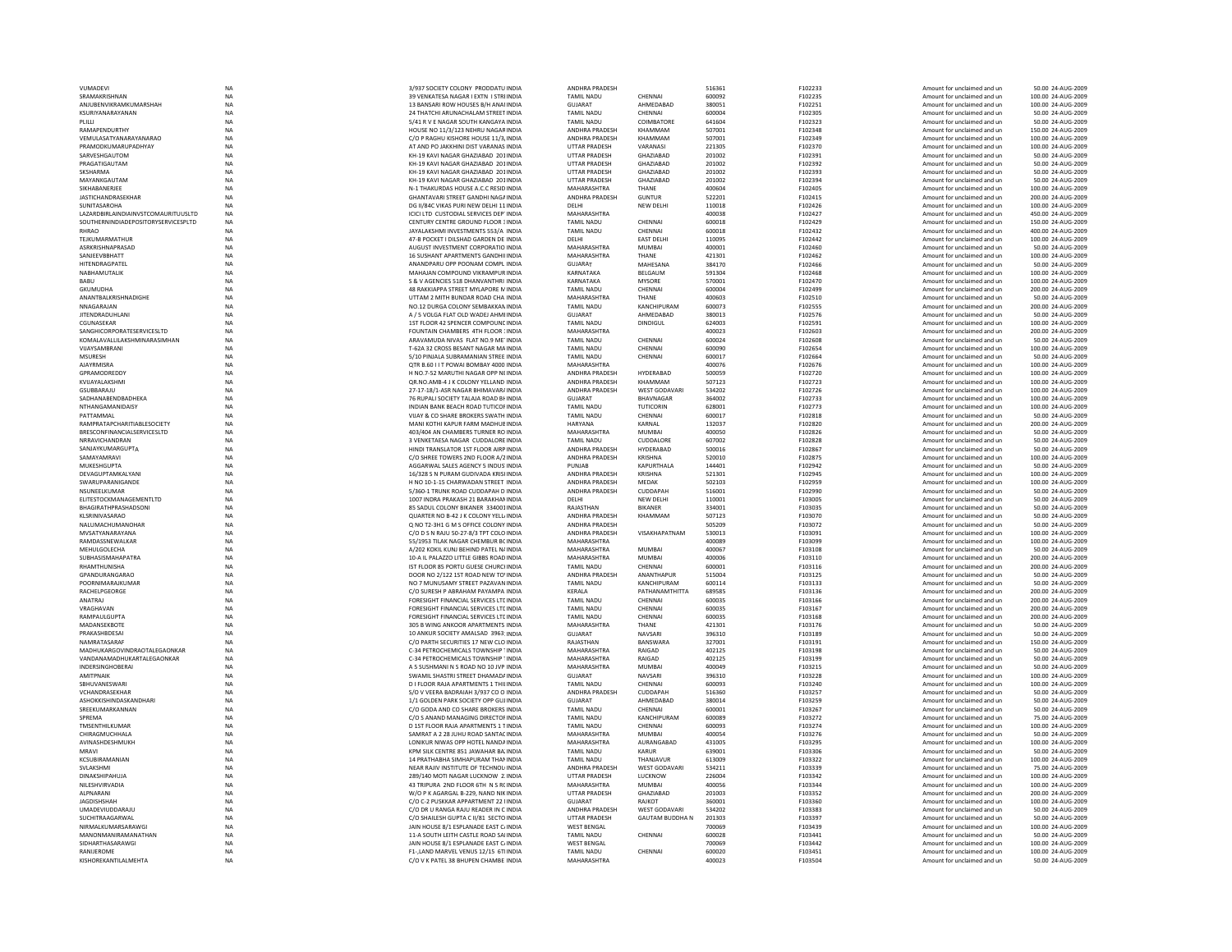|                                     | <b>NA</b>       | 3/937 SOCIETY COLONY PRODDATU INDIA                                          | <b>ANDHRA PRADESH</b>                   |                        | 516361           | F102233            | Amount for unclaimed and un                                | 50.00 24-AUG-2009                       |
|-------------------------------------|-----------------|------------------------------------------------------------------------------|-----------------------------------------|------------------------|------------------|--------------------|------------------------------------------------------------|-----------------------------------------|
| SRAMAKRISHNAN                       | <b>NA</b>       | 39 VENKATESA NAGAR I EXTN I STRIINDIA                                        | <b>TAMIL NADU</b>                       | CHENNAI                | 600092           | F102235            | Amount for unclaimed and un                                | 100.00 24-AUG-2009                      |
| ANJUBENVIKRAMKUMARSHAH              | NA              | 13 BANSARI ROW HOUSES B/H ANAI INDIA                                         | GUJARAT                                 | AHMEDABAD              | 380051           | F102251            | Amount for unclaimed and un                                | 100.00 24-AUG-2009                      |
|                                     |                 |                                                                              |                                         |                        |                  |                    |                                                            |                                         |
| KSURIYANARAYANAN                    | <b>NA</b>       | 24 THATCHI ARUNACHALAM STREET INDIA                                          | <b>TAMIL NADU</b>                       | CHENNAI                | 600004           | F102305            | Amount for unclaimed and un                                | 50.00 24-AUG-2009                       |
| PLILLI                              | <b>NA</b>       | 5/41 R V E NAGAR SOUTH KANGAYA INDIA                                         | <b>TAMIL NADU</b>                       | COIMBATORE             | 641604           | F102323            | Amount for unclaimed and un                                | 50.00 24-AUG-2009                       |
| RAMAPFNDURTHY                       | <b>NA</b>       | HOUSE NO 11/3/123 NEHRU NAGAR INDIA                                          | <b>ANDHRA PRADESH</b>                   | KHAMMAM                | 507001           | F102348            | Amount for unclaimed and un                                | 150.00 24-AUG-2009                      |
| VEMULASATYANARAYANARAO              | NA              | C/O P RAGHU KISHORE HOUSE 11/3, INDIA                                        | ANDHRA PRADESH                          | KHAMMAM                | 507001           | F102349            | Amount for unclaimed and un                                | 100.00 24-AUG-2009                      |
| PRAMODKUMARUPADHYAY                 | <b>NA</b>       | AT AND PO JAKKHINI DIST VARANAS INDIA                                        | <b>UTTAR PRADESH</b>                    | VARANASI               | 221305           | F102370            | Amount for unclaimed and un                                | 100.00 24-AUG-2009                      |
|                                     |                 |                                                                              |                                         |                        |                  |                    |                                                            |                                         |
| SARVESHGAUTOM                       | NA              | KH-19 KAVI NAGAR GHAZIABAD 201INDIA                                          | <b>UTTAR PRADESH</b>                    | GHAZIABAD              | 201002           | F102391            | Amount for unclaimed and un                                | 50.00 24-AUG-2009                       |
| PRAGATIGALITAM                      | <b>NA</b>       | KH-19 KAVI NAGAR GHAZIARAD 201INDIA                                          | <b>UTTAR PRADESH</b>                    | <b>GHAZIARAD</b>       | 201002           | F102392            | Amount for unclaimed and un                                | 50.00 24-AUG-2009                       |
| <b>SKSHARMA</b>                     | NA              | KH-19 KAVI NAGAR GHAZIABAD 201INDIA                                          | <b>UTTAR PRADESH</b>                    | GHAZIABAD              | 201002           | F102393            | Amount for unclaimed and un                                | 50.00 24-AUG-2009                       |
| MAYANKGAUTAM                        | <b>NA</b>       | KH-19 KAVI NAGAR GHAZIABAD 201INDIA                                          | <b>UTTAR PRADESH</b>                    | GHAZIABAD              | 201002           | F102394            | Amount for unclaimed and un                                | 50.00 24-AUG-2009                       |
| SIKHABANERJEE                       | NA              | N-1 THAKURDAS HOUSE A.C.C RESID INDIA                                        | MAHARASHTRA                             | THANE                  | 400604           | F102405            | Amount for unclaimed and un                                | 100.00 24-AUG-2009                      |
|                                     |                 |                                                                              |                                         |                        |                  |                    |                                                            |                                         |
| <b>JASTICHANDRASEKHAR</b>           | <b>NA</b>       | GHANTAVARI STREET GANDHI NAGA INDIA                                          | ANDHRA PRADESH                          | <b>GUNTUR</b>          | 522201           | F102415            | Amount for unclaimed and un                                | 200.00 24-AUG-2009                      |
| <b>SUNITASAROHA</b>                 | <b>NA</b>       | DG II/84C VIKAS PURI NEW DELHI 11 INDIA                                      | <b>DELHI</b>                            | <b>NEW DELHI</b>       | 110018           | F102426            | Amount for unclaimed and un                                | 100.00 24-AUG-2009                      |
| LAZARDBIRLAINDIAINVSTCOMAURITUUSLTD | NA              | ICICI LTD CUSTODIAL SERVICES DEP' INDIA                                      | MAHARASHTRA                             |                        | 400038           | F102427            | Amount for unclaimed and un                                | 450.00 24-AUG-2009                      |
| SOUTHERNINDIADEPOSITORYSERVICESPLTD | NA              | CENTURY CENTRE GROUND FLOOR 3 INDIA                                          | TAMIL NADU                              | CHENNAL                | 600018           | F102429            | Amount for unclaimed and un                                | 150.00 24-AUG-2009                      |
| RHRAO                               | <b>NA</b>       | JAYALAKSHMI INVESTMENTS 553/A INDIA                                          | <b>TAMIL NADU</b>                       | CHENNAI                | 600018           | F102432            |                                                            | 400.00 24-AUG-2009                      |
|                                     |                 |                                                                              |                                         |                        |                  |                    | Amount for unclaimed and un                                |                                         |
| TEJKUMARMATHUR                      | <b>NA</b>       | 47-B POCKET I DILSHAD GARDEN DE INDIA                                        | DELHI                                   | <b>EAST DELHI</b>      | 110095           | F102442            | Amount for unclaimed and un                                | 100.00 24-AUG-2009                      |
| ASRKRISHNAPRASAD                    | NA              | AUGUST INVESTMENT CORPORATIO INDIA                                           | MAHARASHTRA                             | <b>MUMBAI</b>          | 400001           | F102460            | Amount for unclaimed and un                                | 50.00 24-AUG-2009                       |
| SANJEEVBBHATT                       | NA              | 16 SUSHANT APARTMENTS GANDHII INDIA                                          | <b>MAHARASHTRA</b>                      | THANE                  | 421301           | F102462            | Amount for unclaimed and un                                | 100.00 24-AUG-2009                      |
| HITENDRAGPATEL                      | <b>NA</b>       | ANANDPARU OPP POONAM COMPL INDIA                                             | <b>GUJARAT</b>                          | MAHESANA               | 384170           | F102466            | Amount for unclaimed and un                                | 50.00 24-AUG-2009                       |
|                                     | <b>NA</b>       |                                                                              | KARNATAKA                               |                        | 591304           | F102468            |                                                            |                                         |
| NABHAMUTALIK                        |                 | MAHAJAN COMPOUND VIKRAMPUR INDIA                                             |                                         | BELGAUM                |                  |                    | Amount for unclaimed and un                                | 100.00 24-AUG-2009                      |
| RARU                                | <b>NA</b>       | S & V AGENCIES 518 DHANVANTHRL INDIA                                         | KARNATAKA                               | <b>MYSORE</b>          | 570001           | F102470            | Amount for unclaimed and un                                | 100.00 24-AUG-2009                      |
| GKUMUDHA                            | NA              | 48 RAKKIAPPA STREET MYLAPORE MINDIA                                          | <b>TAMIL NADU</b>                       | CHENNAI                | 600004           | F102499            | Amount for unclaimed and un                                | 200.00 24-AUG-2009                      |
| ANANTBALKRISHNADIGHE                | <b>NA</b>       | UTTAM 2 MITH BUNDAR ROAD CHA INDIA                                           | <b>MAHARASHTRA</b>                      | THANE                  | 400603           | F102510            | Amount for unclaimed and un                                | 50.00 24-AUG-2009                       |
| NNAGARAJAN                          |                 | NO.12 DURGA COLONY SEMBAKKAN INDIA                                           | <b>TAMIL NADU</b>                       | KANCHIPURAM            | 600073           | F102555            |                                                            | 200.00 24-AUG-2009                      |
|                                     | <b>NA</b>       |                                                                              |                                         |                        |                  |                    | Amount for unclaimed and un                                |                                         |
| <b>IITENDRADUHI ANI</b>             | <b>NA</b>       | A / 5 VOI GA FLAT OLD WADELAHMEINDIA                                         | GUIARAT                                 | AHMFDARAD              | 380013           | F102576            | Amount for unclaimed and un                                | 50.00 24-AUG-2009                       |
| CGUNASEKAR                          | <b>NA</b>       | 1ST FLOOR 42 SPENCER COMPOUNE INDIA                                          | <b>TAMIL NADU</b>                       | <b>DINDIGUL</b>        | 624003           | F102591            | Amount for unclaimed and un                                | 100.00 24-AUG-2009                      |
| SANGHICORPORATESERVICESLTD          | <b>NA</b>       | FOUNTAIN CHAMBERS 4TH FLOOR : INDIA                                          | <b>MAHARASHTRA</b>                      |                        | 400023           | F102603            | Amount for unclaimed and un                                | 200.00 24-AUG-2009                      |
| KOMALAVALLILAKSHMINARASIMHAN        | NA              | ARAVAMUDA NIVAS FLAT NO.9 ME INDIA                                           | <b>TAMIL NADU</b>                       | CHENNAL                | 600024           | F102608            | Amount for unclaimed and un                                | 50.00 24-AUG-2009                       |
|                                     |                 |                                                                              |                                         |                        |                  |                    |                                                            |                                         |
| VIIAYSAMRRANI                       | <b>NA</b>       | T-62A 32 CROSS BESANT NAGAR MAINDIA                                          | <b>TAMIL NADU</b>                       | CHENNAL                | 600090           | F102654            | Amount for unclaimed and un                                | 100.00 24-AUG-2009                      |
| MSURFSH                             | <b>NA</b>       | 5/10 PINJALA SUBRAMANIAN STREE INDIA                                         | <b>TAMIL NADU</b>                       | CHENNAI                | 600017           | F102664            | Amount for unclaimed and un                                | 50.00 24-AUG-2009                       |
| AJAYRMISRA                          | NA              | QTR B.60 I I T POWAI BOMBAY 4000 INDIA                                       | <b>MAHARASHTRA</b>                      |                        | 400076           | F102676            | Amount for unclaimed and un                                | 100.00 24-AUG-2009                      |
| GPRAMODREDDY                        | NA              | H NO.7-52 MARUTHI NAGAR OPP NEINDIA                                          | ANDHRA PRADESH                          | HYDERABAD              | 500059           | F102720            | Amount for unclaimed and un                                | 100.00 24-AUG-2009                      |
| KVIJAYALAKSHM                       | <b>NA</b>       | OR.NO.AMB-4 J K COLONY YELLAND INDIA                                         | ANDHRA PRADESH                          | KHAMMAM                | 507123           | F102723            | Amount for unclaimed and un                                | 100.00 24-AUG-2009                      |
|                                     |                 |                                                                              |                                         |                        |                  |                    |                                                            |                                         |
| GSUBBARAJU                          | <b>NA</b>       | 27-17-18/1-ASR NAGAR BHIMAVAR/INDIA                                          | ANDHRA PRADESH                          | WEST GODAVARI          | 534202           | F102726            | Amount for unclaimed and un                                | 100.00 24-AUG-2009                      |
| SADHANABENDBADHEKA                  | <b>NA</b>       | 76 RUPALI SOCIETY TALAJA ROAD BI INDIA                                       | <b>GUJARAT</b>                          | <b>BHAVNAGAR</b>       | 364002           | F102733            | Amount for unclaimed and un                                | 100.00 24-AUG-2009                      |
| NTHANGAMANIDAIS'                    | NA              | INDIAN BANK BEACH ROAD TUTICOF INDIA                                         | TAMIL NADU                              | TUTICORIN              | 628001           | F102773            | Amount for unclaimed and un                                | 100.00 24-AUG-2009                      |
| PATTAMMAI                           | <b>NA</b>       | VIJAY & CO SHARE BROKERS SWATH INDIA                                         | <b>TAMIL NADU</b>                       | CHENNAI                | 600017           | F102818            | Amount for unclaimed and un                                | 50.00 24-AUG-2009                       |
| RAMPRATAPCHARITIABLESOCIETY         | <b>NA</b>       |                                                                              |                                         |                        | 132037           | F102820            |                                                            |                                         |
|                                     |                 | MANI KOTHI KAPUR FARM MADHUE INDIA                                           | <b>HARYANA</b>                          | KARNAL                 |                  |                    | Amount for unclaimed and un                                | 200.00 24-AUG-2009                      |
| BRESCONFINANCIALSERVICESLTD         | $_{\sf NA}$     | 403/404 AN CHAMBERS TURNER RO INDIA                                          | MAHARASHTRA                             | <b>MUMBAI</b>          | 400050           | F102826            | Amount for unclaimed and un                                | 50.00 24-AUG-2009                       |
| NRRAVICHANDRAM                      | NA              | 3 VENKETAESA NAGAR CUDDALORE INDIA                                           | <b>TAMIL NADU</b>                       | CUDDALORE              | 607002           | F102828            | Amount for unclaimed and un                                | 50.00 24-AUG-2009                       |
| SANJAYKUMARGUPTA                    | <b>NA</b>       | HINDI TRANSLATOR 1ST FLOOR AIRP INDIA                                        | ANDHRA PRADESH                          | <b>HYDERABAD</b>       | 500016           | F102867            | Amount for unclaimed and un                                | 50.00 24-AUG-2009                       |
|                                     |                 |                                                                              |                                         |                        |                  |                    |                                                            |                                         |
|                                     |                 |                                                                              |                                         |                        |                  |                    |                                                            |                                         |
| SAMAYAMRAVI                         | <b>NA</b>       | C/O SHREE TOWERS 2ND FLOOR A/2 INDIA                                         | ANDHRA PRADESH                          | KRISHNA                | 520010           | F102875            | Amount for unclaimed and un                                | 100.00 24-AUG-2009                      |
| MUKESHGUPTA                         | <b>NA</b>       | AGGARWAL SALES AGENCY 5 INDUSTINDIA                                          | PUNJAR                                  | <b>KAPURTHALA</b>      | 144401           | F102942            | Amount for unclaimed and un                                | 50.00 24-AUG-2009                       |
| DEVAGUPTAMKALYANI                   |                 | 16/328 S N PURAM GUDIVADA KRISHNDIA                                          |                                         | KRISHNA                |                  | F102945            | Amount for unclaimed and un                                | 100.00 24-AUG-2009                      |
|                                     | NA              |                                                                              | ANDHRA PRADESH                          |                        | 521301           |                    |                                                            |                                         |
| SWARUPARANIGANDE                    | <b>NA</b>       | H NO 10-1-15 CHARWADAN STREET INDIA                                          | ANDHRA PRADESH                          | MEDAK                  | 502103           | F102959            | Amount for unclaimed and un                                | 100.00 24-AUG-2009                      |
| NSUNEELKUMAR                        | NA              | 5/360-1 TRUNK ROAD CUDDAPAH D INDIA                                          | ANDHRA PRADESH                          | CUDDAPAH               | 516001           | F102990            | Amount for unclaimed and un                                | 50.00 24-AUG-2009                       |
| <b>FLITESTOCKMANAGEMENTLTD</b>      | <b>NA</b>       | 1007 INDRA PRAKASH 21 BARAKHAM INDIA                                         | <b>DELHI</b>                            | <b>NEW DELHI</b>       | 110001           | E103005            | Amount for unclaimed and un                                | 50.00 24-AUG-2009                       |
| BHAGIRATHPRASHADSON                 | <b>NA</b>       | 85 SADUL COLONY BIKANER 334001 INDIA                                         | RAJASTHAN                               | <b>RIKANER</b>         | 334001           | F103035            | Amount for unclaimed and un                                | 50.00 24-AUG-2009                       |
| KLSRINIVASARAO                      | <b>NA</b>       | QUARTER NO B-42 J K COLONY YELL INDIA                                        | ANDHRA PRADESH                          | KHAMMAM                | 507123           | F103070            | Amount for unclaimed and un                                | 50.00 24-AUG-2009                       |
|                                     |                 |                                                                              |                                         |                        |                  |                    |                                                            |                                         |
| NALUMACHUMANOHAR                    | NA              | Q NO T2-3H1 G M S OFFICE COLONY INDIA                                        | ANDHRA PRADESH                          |                        | 505209           | F103072            | Amount for unclaimed and un                                | 50.00 24-AUG-2009                       |
| MVSATYANARAYANA                     | <b>NA</b>       | C/O D S N RAJU 50-27-8/3 TPT COLO INDIA                                      | ANDHRA PRADESH                          | VISAKHAPATNAM          | 530013           | F103091            | Amount for unclaimed and un                                | 100.00 24-AUG-2009                      |
| RAMDASSNEWALKAR                     | <b>NA</b>       | 55/1953 TILAK NAGAR CHEMBUR BC INDIA                                         | MAHARASHTRA                             |                        | 400089           | F103099            | Amount for unclaimed and un                                | 100.00 24-AUG-2009                      |
| MEHULGOLECHA                        | <b>NA</b>       | A/202 KOKIL KUNJ BEHIND PATEL N/ INDIA                                       | MAHARASHTRA                             | MUMRAI                 | 400067           | F103108            | Amount for unclaimed and un                                | 50.00 24-AUG-2009                       |
|                                     |                 |                                                                              |                                         |                        |                  |                    |                                                            |                                         |
| <b>SUBHASISMAHAPATRA</b>            | <b>NA</b>       | 10-A IL PALAZZO LITTLE GIBBS ROAD INDIA                                      | MAHARASHTRA                             | <b>MUMBA</b>           | 400006           | F103110            | Amount for unclaimed and un                                | 200.00 24-AUG-2009                      |
| RHAMTHUNISHA                        | <b>NA</b>       | IST FLOOR 85 PORTU GUESE CHURCHNDIA                                          | <b>TAMIL NADU</b>                       | CHENNAI                | 600001           | F103116            | Amount for unclaimed and un                                | 200.00 24-AUG-2009                      |
| GPANDURANGARAO                      | <b>NA</b>       | DOOR NO 2/122 1ST ROAD NEW TO INDIA                                          | ANDHRA PRADESH                          | ANANTHAPUR             | 515004           | F103125            | Amount for unclaimed and un                                | 50.00 24-AUG-2009                       |
| POORNIMARAJKUMAR                    | $_{\sf NA}$     | NO 7 MUNUSAMY STREET PAZAVAN INDIA                                           | <b>TAMIL NADU</b>                       | KANCHIPURAM            | 600114           | F103133            | Amount for unclaimed and un                                | 50.00 24-AUG-2009                       |
| RACHELPGEORGE                       | NA              | C/O SURESH P ABRAHAM PAYAMPA INDIA                                           | KERALA                                  |                        | 689585           | F103136            | Amount for unclaimed and un                                | 200.00 24-AUG-2009                      |
|                                     |                 |                                                                              |                                         | PATHANAMTHITTA         |                  |                    |                                                            |                                         |
| ANATRAI                             | <b>NA</b>       | FORESIGHT FINANCIAL SERVICES LTE INDIA                                       | <b>TAMIL NADU</b>                       | CHENNAL                | 600035           | F103166            | Amount for unclaimed and un                                | 200.00 24-AUG-2009                      |
| VRAGHAVAN                           | <b>NA</b>       | FORESIGHT FINANCIAL SERVICES LTE INDIA                                       | <b>TAMIL NADU</b>                       | CHENNAL                | 600035           | F103167            | Amount for unclaimed and un                                | 200.00 24-AUG-2009                      |
| RAMPALII GUPTA                      | <b>NA</b>       | FORESIGHT FINANCIAL SERVICES LTD INDIA                                       | <b>TAMIL NADU</b>                       | CHENNAL                | 600035           | F103168            | Amount for unclaimed and un                                | 200.00 24-AUG-2009                      |
| MADANSEKBOTE                        | NA              | 305 B WING ANKOOR APARTMENTS INDIA                                           | MAHARASHTRA                             | THANE                  | 421301           | F103176            | Amount for unclaimed and un                                | 50.00 24-AUG-2009                       |
| PRAKASHBDESA                        | <b>NA</b>       | 10 ANKUR SOCIETY AMALSAD 3963: INDIA                                         | <b>GUJARAT</b>                          | NAVSARI                | 396310           | F103189            | Amount for unclaimed and un                                | 50.00 24-AUG-2009                       |
|                                     |                 |                                                                              |                                         |                        |                  |                    |                                                            |                                         |
| NAMRATASARAR                        | <b>NA</b>       | C/O PARTH SECURITIES 17 NEW CLO INDIA                                        | RAJASTHAN                               | BANSWARA               | 327001           | F103191            | Amount for unclaimed and un                                | 150.00 24-AUG-2009                      |
| MADHUKARGOVINDRAOTAI FGAONKAR       | <b>NA</b>       | C-34 PETROCHEMICALS TOWNSHIP 1INDIA                                          | MAHARASHTRA                             | RAIGAD                 | 402125           | F103198            | Amount for unclaimed and un                                | 50.00 24-AUG-2009                       |
| VANDANAMADHUKARTALEGAONKAR          | <b>NA</b>       | C-34 PETROCHEMICALS TOWNSHIP 1INDIA                                          | MAHARASHTRA                             | RAIGAD                 | 402125           | F103199            | Amount for unclaimed and un                                | 50.00 24-AUG-2009                       |
| INDERSINGHOBERA                     | NA              | A 5 SUSHMANI N S ROAD NO 10 JVP INDIA                                        | MAHARASHTRA                             | <b>MUMBA</b>           | 400049           | F103215            | Amount for unclaimed and un                                | 50.00 24-AUG-2009                       |
|                                     |                 |                                                                              |                                         |                        |                  |                    |                                                            |                                         |
| AMITPNAIK                           | NA              | SWAMIL SHASTRI STREET DHAMADA INDIA                                          | <b>GUJARAT</b>                          | <b>NAVSARI</b>         | 396310           | F103228            | Amount for unclaimed and un                                | 100.00 24-AUG-2009                      |
| <b>SRHUVANESWARI</b>                | <b>NA</b>       | D I FLOOR RAIA APARTMENTS 1 THILINDIA                                        | <b>TAMIL NADU</b>                       | CHENNAL                | <b>FP0003</b>    | F103240            | Amount for unclaimed and un                                | 100.00 24-AUG-2009                      |
| VCHANDRASEKHAR                      | <b>NA</b>       | S/O V VEERA BADRAIAH 3/937 CO O INDIA                                        | ANDHRA PRADESH                          | CUDDAPAH               | 516360           | F103257            | Amount for unclaimed and un                                | 50.00 24-AUG-2009                       |
| ASHOKKISHINDASKANDHARI              | <b>NA</b>       | 1/1 GOLDEN PARK SOCIETY OPP GUJINDIA                                         | <b>GUJARAT</b>                          | AHMEDABAD              | 380014           | F103259            | Amount for unclaimed and un                                | 50.00 24-AUG-2009                       |
| SREEKUMARKANNAN                     | <b>NA</b>       | C/O GODA AND CO SHARE BROKERS INDIA                                          | <b>TAMIL NADU</b>                       | CHENNAI                | 600001           | F103267            | Amount for unclaimed and un                                | 50.00 24-AUG-2009                       |
| SPREMA                              |                 |                                                                              |                                         |                        | 600089           |                    |                                                            |                                         |
|                                     | <b>NA</b>       | C/O S ANAND MANAGING DIRECTOF INDIA                                          | <b>TAMIL NADU</b>                       | KANCHIPURAM            |                  | F103272            | Amount for unclaimed and un                                | 75.00 24-AUG-2009                       |
| <b>TMSENTHILKUMAR</b>               | <b>NA</b>       | D 1ST FLOOR RAIA APARTMENTS 1 TINDIA                                         | <b>TAMIL NADU</b>                       | CHENNAL                | 500093           | F103274            | Amount for unclaimed and un                                | 100.00 24-AUG-2009                      |
| CHIRAGMUCHHALA                      | NA              | SAMRAT A 2 28 JUHU ROAD SANTAC INDIA                                         | <b>MAHARASHTRA</b>                      | MUMRAI                 | 400054           | F103276            | Amount for unclaimed and un                                | 50.00 24-AUG-200                        |
| AVINASHDESHMUKH                     | NA              | LONIKUR NIWAS OPP HOTEL NANDA INDIA                                          | <b>MAHARASHTRA</b>                      | AURANGABAD             | 431005           | F103295            | Amount for unclaimed and un                                | 100.00 24-AUG-2009                      |
|                                     |                 |                                                                              | <b>TAMIL NADU</b>                       | KARUR                  | 639001           |                    |                                                            |                                         |
| MRAVI                               | NA              | KPM SILK CENTRE 851 JAWAHAR BA. INDIA                                        |                                         |                        |                  | F103306            | Amount for unclaimed and un                                | 50.00 24-AUG-2009                       |
| KCSUBIRAMANIAN                      | <b>NA</b>       | 14 PRATHABHA SIMHAPURAM THAN INDIA                                           | <b>TAMIL NADU</b>                       | THANJAVUR              | 613009           | F103322            | Amount for unclaimed and un                                | 100.00 24-AUG-2009                      |
| SVLAKSHMI                           | <b>NA</b>       | NEAR RAIIV INSTITUTE OF TECHNOLUNDIA                                         | <b>ANDHRA PRADESH</b>                   | <b>WEST GODAVARI</b>   | 534211           | F103339            | Amount for unclaimed and un                                | 75.00 24-AUG-2009                       |
| <b>DINAKSHIPAHUJ</b>                | NA              | 289/140 MOTI NAGAR LUCKNOW 2. INDIA                                          | UTTAR PRADESH                           | LUCKNOW                | 226004           | F103342            | Amount for unclaimed and un                                | 100.00 24-AUG-200                       |
| NILESHVIRVADIA                      | <b>NA</b>       | 43 TRIPURA 2ND FLOOR 6TH N S R( INDIA                                        | MAHARASHTRA                             | MUMBAI                 | 400056           | F103344            | Amount for unclaimed and un                                | 100.00 24-AUG-2009                      |
|                                     |                 |                                                                              |                                         |                        |                  |                    |                                                            |                                         |
| ALPNARANI                           | <b>NA</b>       | W/O P K AGARGAL B-229. NAND NIK INDIA                                        | <b>UTTAR PRADESH</b>                    | GHAZIABAD              | 201003           | F103352            | Amount for unclaimed and un                                | 200.00 24-AUG-2009                      |
| <b>IAGDISHSHAH</b>                  | <b>NA</b>       | C/O C-2 PUSKKAR APPARTMENT 22 UNDIA                                          | GUIARAT                                 | RAIKOT                 | 360001           | F103360            | Amount for unclaimed and un                                | 100.00 24-AUG-2009                      |
| UMADEVIUDDARAJU                     | <b>NA</b>       | C/O DR U RANGA RAJU READER IN C INDIA                                        | ANDHRA PRADESH                          | WEST GODAVARI          | 534202           | F103383            | Amount for unclaimed and un                                | 50.00 24-AUG-2009                       |
| SUCHITRAAGARWA                      | NA              | C/O SHAILESH GUPTA C II/81 SECTO INDIA                                       | <b>UTTAR PRADESH</b>                    | <b>GAUTAM BUDDHA N</b> | 201303           | F103397            | Amount for unclaimed and un                                | 50.00 24-AUG-2009                       |
| NIRMALKUMARSARAWG                   | <b>NA</b>       |                                                                              | <b>WEST BENGAL</b>                      |                        | 700069           | F103439            | Amount for unclaimed and un                                | 100.00 24-AUG-2009                      |
|                                     |                 | JAIN HOUSE 8/1 ESPLANADE EAST C/INDIA                                        |                                         |                        |                  |                    |                                                            |                                         |
| MANONMANIRAMANATHAN                 | <b>NA</b>       | 11-A SOUTH LEITH CASTLE ROAD SAUNDIA                                         | <b>TAMIL NADLI</b>                      | CHENNAL                | 600028           | F103441            | Amount for unclaimed and un                                | 50.00 24-AUG-2009                       |
| SIDHARTHASARAWGI                    | <b>NA</b>       | JAIN HOUSE 8/1 ESPLANADE EAST C/INDIA                                        | <b>WEST BENGAL</b>                      |                        | 700069           | F103442            | Amount for unclaimed and un                                | 100.00 24-AUG-2009                      |
| RANUEROME<br>KISHOREKANTILALMEHTA   | NA<br><b>NA</b> | F1-,LAND MARVEL VENUS 12/15 6TIINDIA<br>C/O V K PATEL 38 BHUPEN CHAMBE INDIA | <b>TAMIL NADU</b><br><b>MAHARASHTRA</b> | CHENNAI                | 600020<br>400023 | F103451<br>F103504 | Amount for unclaimed and un<br>Amount for unclaimed and un | 100.00 24-AUG-2009<br>50.00 24-AUG-2009 |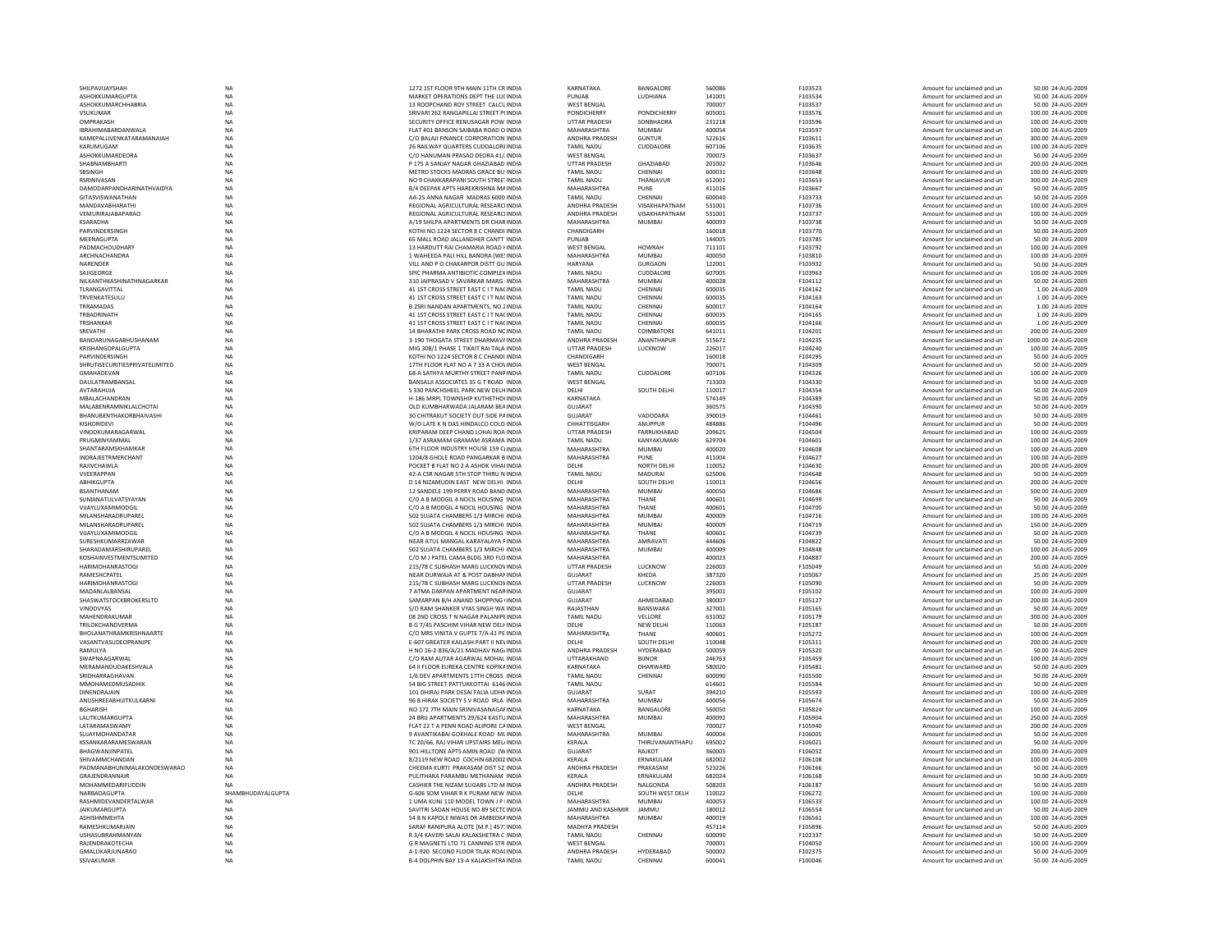| SHILPAVIJAYSHAH                  | NA                | 1272 1ST FLOOR 9TH MAIN 11TH CR INDIA                                      | KARNATAKA                | BANGALORE          | 560086 | F103523 | Amount for unclaimed and ur | 50.00 24-AUG-2009   |
|----------------------------------|-------------------|----------------------------------------------------------------------------|--------------------------|--------------------|--------|---------|-----------------------------|---------------------|
| ASHOKKUMARGUPTA                  | <b>NA</b>         | MARKET OPERATIONS DEPT THE LULINDIA                                        | PUNJAB                   | LUDHIANA           | 141001 | F103534 | Amount for unclaimed and un | 50.00 24-AUG-2009   |
| ASHOKKUMARCHHABRIA               | NA                | 13 ROOPCHAND ROY STREET CALCUINDIA                                         | WEST BENGAL              |                    | 700007 | F103537 | Amount for unclaimed and un | 50.00 24-AUG-2009   |
| <b>VSUKUMAR</b>                  | <b>NA</b>         | SRIVARI 262 RANGAPILLAI STREET P(INDIA                                     | <b>PONDICHERRY</b>       | PONDICHERRY        | 605001 | F103576 | Amount for unclaimed and un | 100.00 24-AUG-2009  |
| OMPRAKASH                        | <b>NA</b>         | SECURITY OFFICE RENUSAGAR POW INDIA                                        | <b>UTTAR PRADESH</b>     | SONBHADRA          | 231218 | F103596 | Amount for unclaimed and un | 100.00 24-AUG-2009  |
| IBRAHIMABARDANWALA               | NA                | FLAT 401 BANSON SAIBABA ROAD O INDIA                                       | MAHARASHTRA              | <b>MUMBAI</b>      | 400054 | F103597 | Amount for unclaimed and ur | 100.00 24-AUG-2009  |
|                                  |                   |                                                                            | ANDHRA PRADESH           |                    |        |         |                             |                     |
| KAMEPALLIVENKATARAMANAIAH        | NA                | C/O BALAJI FINANCE CORPORATION INDIA                                       |                          | <b>GUNTUR</b>      | 522616 | F103611 | Amount for unclaimed and un | 300.00 24-AUG-2009  |
| KARUMUGAM                        | <b>NA</b>         | 26 RAILWAY QUARTERS CUDDALOREINDIA                                         | <b>TAMIL NADU</b>        | CUDDALORE          | 607106 | F103635 | Amount for unclaimed and un | 100.00 24-AUG-2009  |
| ASHOKKUMARDEORA                  | <b>NA</b>         | C/O HANUMAN PRASAD DEORA 41/ INDIA                                         | WEST BENGAL              |                    | 700073 | F103637 | Amount for unclaimed and un | 50.00 24-AUG-2009   |
| <b>SHABNAMBHARTI</b>             | NA                | P 175 A SANJAY NAGAR GHAZIABAD INDIA                                       | <b>UTTAR PRADESH</b>     | GHAZIABAD          | 201002 | F103646 | Amount for unclaimed and ur | 200.00 24-AUG-2009  |
| SBSINGH                          | NA                | METRO STOCKS MADRAS GRACE BU INDIA                                         | <b>TAMIL NADU</b>        | CHENNAL            | 600031 | F103648 | Amount for unclaimed and ur | 100.00 24-AUG-2009  |
| <b>RSRINIVASAN</b>               | <b>NA</b>         | NO 9 CHAKKARAPANI SOUTH STREET INDIA                                       | <b>TAMIL NADU</b>        | THANJAVUR          | 612001 | F103653 | Amount for unclaimed and un | 300.00 24-AUG-2009  |
| <b>DAMODARPANDHARINATHVAIDYA</b> | <b>NA</b>         | <b>B/4 DEEPAK APTS HAREKRISHNA MAINDIA</b>                                 | MAHARASHTRA              | PUNF               | 411016 | F103667 | Amount for unclaimed and un | 50.00 24-AUG-2009   |
| GITASVISWANATHAN                 | <b>NA</b>         | AA-25 ANNA NAGAR MADRAS 6000 INDIA                                         | <b>TAMIL NADU</b>        | CHENNAI            | 600040 | F103733 | Amount for unclaimed and un | 50.00 24-AUG-2009   |
| MANDAVABHARATHI                  | NA                | REGIONAL AGRICULTURAL RESEARCHNDIA                                         | ANDHRA PRADESH           | VISAKHAPATNAM      | 531001 | F103736 | Amount for unclaimed and un | 100.00 24-AUG-2009  |
| VEMURIRAJABAPARAO                | NA                | REGIONAL AGRICULTURAL RESEARCHNDIA                                         | ANDHRA PRADESH           | VISAKHAPATNAM      | 531001 | F103737 | Amount for unclaimed and un | 100.00 24-AUG-2009  |
|                                  |                   |                                                                            |                          |                    |        |         |                             |                     |
| KSARADHA                         | <b>NA</b>         | A/19 SHII PA APARTMENTS DR CHARINDIA                                       | MAHARASHTRA              | MUMBAI             | 400093 | F103738 | Amount for unclaimed and un | 50.00 24-AUG-2009   |
| <b>PARVINDERSINGH</b>            | <b>NA</b>         | KOTHI NO 1224 SECTOR 8 C CHANDI INDIA                                      | CHANDIGARH               |                    | 160018 | F103770 | Amount for unclaimed and un | 50.00 24-AUG-2009   |
| MEENAGUPTA                       | NA                | 65 MALL ROAD JALLANDHER CANTT INDIA                                        | PUNJAB                   |                    | 144005 | F103785 | Amount for unclaimed and un | 50.00 24-AUG-2009   |
| PADMACHOUDHARY                   | <b>NA</b>         | 13 HARDUTT RAI CHAMARIA ROAD I INDIA                                       | <b>WEST BENGAL</b>       | <b>HOWRAH</b>      | 711101 | F103792 | Amount for unclaimed and un | 100.00 24-AUG-2009  |
| ARCHNACHANDRA                    | NA                | 1 WAHEEDA PALI HILL BANDRA (WE! INDIA                                      | MAHARASHTRA              | MUMRAI             | 400050 | F103810 | Amount for unclaimed and un | 100.00 24-AUG-2009  |
| NARENDER                         | <b>NA</b>         | VILL AND P O CHAKARPOR DISTT GU INDIA                                      | <b>HARYANA</b>           | <b>GURGAON</b>     | 122001 | F103932 | Amount for unclaimed and un | 50.00 24-AUG-2009   |
| SAJIGEORGE                       | <b>NA</b>         | SPIC PHARMA ANTIBIOTIC COMPLEX INDIA                                       | <b>TAMIL NADU</b>        | CUDDALORE          | 607005 | F103963 | Amount for unclaimed and ur | 100.00 24-AUG-2009  |
|                                  |                   |                                                                            |                          |                    |        |         |                             |                     |
| NILKANTHKASHINATHNAGARKAR        | NA                | 310 JAIPRASAD V SAVARKAR MARG INDIA                                        | MAHARASHTRA              | <b>MUMBA</b>       | 400028 | F104112 | Amount for unclaimed and ur | 50.00 24-AUG-2009   |
| TLRANGAVITTAL                    | <b>NA</b>         | 41 1ST CROSS STREET EAST C I T NACINDIA                                    | TAMIL NADU               | CHENNAI            | 600035 | F104162 | Amount for unclaimed and un | 1.00 24-AUG-2009    |
| TRVENKATESULU                    | <b>NA</b>         | 41 1ST CROSS STREET EAST C I T NACINDIA                                    | <b>TAMIL NADU</b>        | CHENNAI            | 600035 | F104163 | Amount for unclaimed and un | 1.00 24-AUG-2009    |
| TRRAMADAS                        | <b>NA</b>         | B.2SRI NANDAN APARTMENTS, NO.2 INDIA                                       | <b>TAMIL NADU</b>        | CHENNAI            | 600017 | F104164 | Amount for unclaimed and un | 1.00 24-AUG-2009    |
| TRBADRINATH                      | NA                | 41 1ST CROSS STREET EAST C I T NACINDIA                                    | <b>TAMIL NADU</b>        | CHENNAI            | 600035 | F104165 | Amount for unclaimed and ur | 1.00 24-AUG-2009    |
| TRSHANKAR                        | NA                | 41 1ST CROSS STREET EAST C I T NACINDIA                                    | <b>TAMIL NADU</b>        | CHENNAI            | 600035 | F104166 | Amount for unclaimed and un | 1.00 24-AUG-2009    |
| SREVATHI                         | <b>NA</b>         | 14 BHARATHI PARK CROSS ROAD NC INDIA                                       | <b>TAMIL NADU</b>        | COIMBATORE         | 641011 | F104201 | Amount for unclaimed and un | 200.00 24-AUG-2009  |
| <b>BANDARUNAGARHUSHANAM</b>      | <b>NA</b>         | 3-190 THOGATA STREET DHARMAV/INDIA                                         | <b>ANDHRA PRADESH</b>    |                    | 515671 | F104235 | Amount for unclaimed and un | 1000.00 24-AUG-2009 |
|                                  |                   |                                                                            |                          | ANANTHAPUR         |        |         |                             |                     |
| KRISHANGOPALGUPTA                | NA                | MIG 308/1 PHASE 1 TIKAIT RAI TALA INDIA                                    | <b>UTTAR PRADESH</b>     | LUCKNOW            | 226017 | F104240 | Amount for unclaimed and ur | 100.00 24-AUG-2009  |
| PARVINDERSINGH                   | <b>NA</b>         | KOTHI NO 1224 SECTOR 8 C CHANDI INDIA                                      | CHANDIGARH               |                    | 160018 | F104295 | Amount for unclaimed and un | 50.00 24-AUG-2009   |
| SHRUTISECURITIESPRIVATELIMITED   | NA                | 17TH FLOOR FLAT NO A 7 33 A CHO\ INDIA                                     | <b>WEST BENGAL</b>       |                    | 700071 | F104309 | Amount for unclaimed and un | 50.00 24-AUG-2009   |
| <b>GMAHADFVAN</b>                | <b>NA</b>         | <b>68-A SATHYA MURTHY STREET PANEINDIA</b>                                 | <b>TAMIL NADU</b>        | CUDDALORE          | 607106 | F104326 | Amount for unclaimed and un | 100.00 24-AUG-2009  |
| DAULATRAMBANSAL                  | <b>NA</b>         | BANSALJI ASSOCIATES 35 G T ROAD INDIA                                      | <b>WEST BENGAL</b>       |                    | 713303 | F104330 | Amount for unclaimed and un | 50.00 24-AUG-2009   |
| AVTARAHUJA                       | <b>NA</b>         | S 330 PANCHSHEEL PARK NEW DELHINDIA                                        | DELHI                    | SOUTH DELHI        | 110017 | F104354 | Amount for unclaimed and un | 50.00 24-AUG-2009   |
|                                  |                   |                                                                            |                          |                    |        |         |                             |                     |
| MBALACHANDRAN                    | NA                | H-186 MRPL TOWNSHIP KUTHETHO(INDIA                                         | KARNATAKA                |                    | 574149 | F104389 | Amount for unclaimed and un | 50.00 24-AUG-2009   |
| MALABENRAMNIKLALCHOTAI           | <b>NA</b>         | OLD KUMBHARWADA JALARAM BEAINDIA                                           | <b>GUJARAT</b>           |                    | 360575 | F104390 | Amount for unclaimed and un | 50.00 24-AUG-2009   |
| BHANUBENTHAKORBHAIVASHI          | NA                | 30 CHITRAKUT SOCIETY OUT SIDE PAINDIA                                      | GUJARAT                  | VADODARA           | 390019 | F104461 | Amount for unclaimed and un | 50.00 24-AUG-2009   |
| KISHORIDEVI                      | NA                | W/O LATE K N DAS HINDALCO COLO INDIA                                       | CHHATTISGARH             | ANUPPUR            | 484886 | F104496 | Amount for unclaimed and ur | 50.00 24-AUG-2009   |
| VINODKUMARAGARWAL                | NA                | KRIPARAM DEEP CHAND LOHAI ROA INDIA                                        | <b>UTTAR PRADESH</b>     | FARRUKHABAD        | 209625 | F104504 | Amount for unclaimed and un | 100.00 24-AUG-2009  |
| PRUGMINYAMMAL                    | <b>NA</b>         | 1/37 ASRAMAM GRAMAM ASRAMA INDIA                                           | <b>TAMIL NADU</b>        | KANYAKUMARI        | 629704 | F104601 | Amount for unclaimed and un | 100.00 24-AUG-2009  |
| SHANTARAMSKHAMKAR                | <b>NA</b>         | 6TH FLOOR INDUSTRY HOUSE 159 CUNDIA                                        | MAHARASHTRA              | MUMRAI             | 400020 | F104608 | Amount for unclaimed and un | 100.00 24-AUG-2009  |
|                                  |                   |                                                                            |                          |                    |        |         |                             |                     |
| INDRAJEETRMERCHANT               | NA                | 1204/8 GHOLE ROAD PANGARKAR B INDIA                                        | MAHARASHTRA              | PUNE               | 411004 | F104627 | Amount for unclaimed and ur | 100.00 24-AUG-2009  |
| RAJIVCHAWLA                      | NA                | POCKET B FLAT NO 2 A ASHOK VIHAI INDIA                                     | DELHI                    | <b>NORTH DELHI</b> | 110052 | F104630 | Amount for unclaimed and ur | 200.00 24-AUG-2009  |
| VVEERAPPAN                       | <b>NA</b>         | 42-A CSR NAGAR 5TH STOP THIRU N INDIA                                      | <b>TAMIL NADU</b>        | <b>MADURAI</b>     | 625006 | F104648 | Amount for unclaimed and un | 50.00 24-AUG-2009   |
|                                  |                   |                                                                            |                          |                    |        |         |                             |                     |
| <b>ARHIKGUPTA</b>                | <b>NA</b>         | D 14 NIZAMUDIN FAST NEW DELHI INDIA                                        | DFI HI                   | SOUTH DELHI        | 110013 | F104656 | Amount for unclaimed and un | 200.00 24-AUG-2009  |
| <b>RSANTHANAM</b>                | <b>NA</b>         |                                                                            | MAHARASHTRA              | MUMBAI             | 400050 | F104686 |                             |                     |
|                                  |                   | 12 SANDELE 199 PERRY ROAD BAND INDIA                                       |                          |                    |        |         | Amount for unclaimed and un | 500.00 24-AUG-2009  |
| SUMANATULVATSYAYAN               | NA                | C/O A B MODGIL 4 NOCIL HOUSING INDIA                                       | <b>MAHARASHTRA</b>       | THANE              | 400601 | F104699 | Amount for unclaimed and ur | 50.00 24-AUG-2009   |
| VIJAYLUXAMIMODGIL                | <b>NA</b>         | C/O A B MODGIL 4 NOCIL HOUSING INDIA                                       | MAHARASHTRA              | THANE              | 400601 | F104700 | Amount for unclaimed and un | 50.00 24-AUG-2009   |
| MII ANSHARADRUPAREI              | <b>NA</b>         | 502 SUJATA CHAMBERS 1/3 MIRCHI INDIA                                       | MAHARASHTRA              | <b>MUMBA</b>       | 400009 | F104716 | Amount for unclaimed and un | 100.00 24-AUG-2009  |
| MILANSHARADRUPAREL               | <b>NA</b>         | 502 SUJATA CHAMBERS 1/3 MIRCHI INDIA                                       | MAHARASHTRA              | <b>MUMBAI</b>      | 400009 | F104719 | Amount for unclaimed and un | 150.00 24-AUG-2009  |
| VIJAYLUXAMIMODGIL                | <b>NA</b>         |                                                                            | MAHARASHTRA              | THANE              | 400601 | F104739 | Amount for unclaimed and ur | 50.00 24-AUG-2009   |
| SURESHKUMARRZAWAR                |                   | C/O A B MODGIL 4 NOCIL HOUSING INDIA<br>NEAR ATUL MANGAL KARAYALAYA FINDIA | MAHARASHTRA              | AMRAVATI           | 444606 | F104822 | Amount for unclaimed and un | 50.00 24-AUG-2009   |
|                                  | NA                |                                                                            |                          |                    |        |         |                             |                     |
| SHARADAMARSHIRUPAREL             | <b>NA</b>         | 502 SUJATA CHAMBERS 1/3 MIRCHI INDIA                                       | MAHARASHTRA              | <b>MUMBAI</b>      | 400009 | F104848 | Amount for unclaimed and un | 100.00 24-AUG-2009  |
| KOSHAINVESTMENTSLIMITED          | <b>NA</b>         | C/O M J PATEL CAMA BLDG 3RD FLOINDIA                                       | MAHARASHTRA              |                    | 400023 | F104887 | Amount for unclaimed and un | 200.00 24-AUG-2009  |
| <b>HARIMOHANRASTOGI</b>          | NA                | 215/78 C SUBHASH MARG LUCKNOV INDIA                                        | <b>UTTAR PRADESH</b>     | LUCKNOW            | 226003 | F105049 | Amount for unclaimed and ur | 50.00 24-AUG-2009   |
| RAMESHCPATEL                     | NA                | NEAR DURWAJA AT & POST DABHAN INDIA                                        | GUJARAT                  | KHEDA              | 387320 | F105067 | Amount for unclaimed and ur | 25.00 24-AUG-2009   |
| <b>HARIMOHANRASTOGI</b>          | NA                | 215/78 C SUBHASH MARG LUCKNOV INDIA                                        | <b>UTTAR PRADESH</b>     | LUCKNOW            | 226003 | F105090 | Amount for unclaimed and un | 50.00 24-AUG-2009   |
| MADANLALBANSAL                   | <b>NA</b>         | 7 ATMA DARPAN APARTMENT NEAR INDIA                                         | GUJARAT                  |                    | 395001 | F105102 | Amount for unclaimed and un | 100.00 24-AUG-2009  |
| SHASWATSTOCKBROKERSLTD           | <b>NA</b>         | SAMARPAN R/H ANAND SHOPPING UNDIA                                          | GUJARAT                  | AHMFDARAD          | 380007 | F105127 | Amount for unclaimed and ur | 200.00 24-AUG-2009  |
|                                  |                   |                                                                            |                          |                    |        |         |                             |                     |
| VINODVYAS                        | NA                | S/O RAM SHANKER VYAS SINGH WA' INDIA                                       | RAJASTHAN                | BANSWARA           | 327001 | F105165 | Amount for unclaimed and ur | 50.00 24-AUG-2009   |
| MAHENDRAKUMAR                    | <b>NA</b>         | 08 2ND CROSS T N NAGAR PALANIPE INDIA                                      | <b>TAMIL NADU</b>        | VELLORE            | 631002 | F105179 | Amount for unclaimed and un | 300.00 24-AUG-2009  |
| TRILOKCHANDVERMA                 | <b>NA</b>         | B G 7/45 PASCHIM VIHAR NEW DELI INDIA                                      | DELHI                    | <b>NEW DELHI</b>   | 110063 | F105187 | Amount for unclaimed and un | 50.00 24-AUG-2009   |
| BHOLANATHRAMKRISHNAARTE          | <b>NA</b>         | C/O MRS VINITA V GUPTE 7/A-41 PE INDIA                                     | MAHARASHTRA              | THANF              | 400601 | F105272 | Amount for unclaimed and un | 100.00 24-AUG-2009  |
| VASANTVASUDEOPRANJPE             | NA                | E-607 GREATER KAILASH PART II NEVINDIA                                     | DELHI                    | SOUTH DELHI        | 110048 | F105311 | Amount for unclaimed and ur | 200.00 24-AUG-2009  |
| RAMULYA                          | <b>NA</b>         | H NO 16-2-836/A/21 MADHAV NAG/INDIA                                        | ANDHRA PRADESH           | HYDERABAD          | 500059 | F105320 | Amount for unclaimed and un | 50.00 24-AUG-2009   |
| SWAPNAAGARWAL                    | NA                | C/O RAM AUTAR AGARWAL MOHAL INDIA                                          | UTTARAKHAND              | <b>BIJNOR</b>      | 246763 | F105459 | Amount for unclaimed and un | 100.00 24-AUG-2009  |
| MERAMANDUDAKESHVALA              | <b>NA</b>         | 64 ILELOOR FUREKA CENTRE KOPIKAINDIA                                       | KARNATAKA                | DHARWARD           | 580020 | F105481 | Amount for unclaimed and un | 50.00 24-AUG-2009   |
| SRIDHARRAGHAVAN                  | NA                | 1/6 DEV APARTMENTS 17TH CROSS INDIA                                        | <b>TAMIL NADU</b>        | CHENNAI            | 600090 | F105500 | Amount for unclaimed and un | 50.00 24-AUG-2009   |
|                                  |                   |                                                                            |                          |                    |        |         |                             |                     |
| MMOHAMEDMUSADHIK                 | <b>NA</b>         | 54 BIG STREET PATTUKKOTTAI 6146 INDIA                                      | <b>TAMIL NADU</b>        |                    | 614601 | F105584 | Amount for unclaimed and un | 50.00 24-AUG-2009   |
| DINENDRAJAIN                     | NA                | 101 DHIRAJ PARK DESAI FALIA UDHN INDIA                                     | GUJARAT                  | SURAT              | 394210 | F105593 | Amount for unclaimed and un | 100.00 24-AUG-2009  |
| ANUSHREEABHIJITKULKARNI          | <b>NA</b>         | 96 B HIRAK SOCIETY S V ROAD IRLA INDIA                                     | MAHARASHTRA              | <b>MUMBAI</b>      | 400056 | F105674 | Amount for unclaimed and un | 50.00 24-AUG-2009   |
| RGHARISH                         | <b>NA</b>         | NO 172 7TH MAIN SRINIVASANAGAF INDIA                                       | KARNATAKA                | BANGALORE          | 560050 | F105824 | Amount for unclaimed and un | 100.00 24-AUG-2009  |
| LALITKUMARGUPTA                  | NA                | 24 BRIJ APARTMENTS 29/624 KASTU INDIA                                      | MAHARASHTRA              | MUMBAI             | 400092 | F105904 | Amount for unclaimed and ur | 250.00 24-AUG-2009  |
| LATARAMASWAMY                    | NA                | FLAT 22 T A PENN ROAD ALIPORE CAINDIA                                      | <b>WEST BENGAL</b>       |                    | 700027 | F105940 | Amount for unclaimed and un | 200.00 24-AUG-2009  |
| SUJAYMOHANDATAR                  | <b>NA</b>         | 9 AVANTIKABAI GOKHALE ROAD MUNDIA                                          | MAHARASHTRA              | <b>MUMBAI</b>      | 400004 | F106005 | Amount for unclaimed and un | 50.00 24-AUG-2009   |
| KSSANKARARAMFSWARAN              | <b>NA</b>         | TC 20/66, RAI VIHAR UPSTAIRS MELUNDIA                                      | <b>KFRAIA</b>            | THIRUVANANTHAPU    | 695002 | F106021 | Amount for unclaimed and un | 50.00 24-AUG-2009   |
|                                  |                   |                                                                            |                          |                    |        |         |                             |                     |
| BHAGWANJINPATEL                  | <b>NA</b>         | 901 HILLTONE APTS AMIN ROAD (WINDIA                                        | <b>GUJARAT</b>           | RAJKOT             | 360005 | F106052 | Amount for unclaimed and ur | 200.00 24-AUG-2009  |
| SHIVAMMCHANDAN                   | NA                | 8/2119 NEW ROAD COCHIN 682002 INDIA                                        | KERALA                   | ERNAKULAM          | 682002 | F106108 | Amount for unclaimed and ur | 100.00 24-AUG-2009  |
| PADMANABHUNIMALAKONDESWARAO      | <b>NA</b>         | CHEEMA KURTI PRAKASAM DIST 52: INDIA                                       | ANDHRA PRADESH           | PRAKASAM           | 523226 | F106166 | Amount for unclaimed and un | 50.00 24-AUG-2009   |
| GRAIFNDRANNAIR                   | <b>NA</b>         | PULITHARA PARAMBU METHANAM INDIA                                           | <b>KFRAIA</b>            | <b>FRNAKULAM</b>   | 682024 | F106168 | Amount for unclaimed and un | 50.00 24-AUG-2009   |
| MOHAMMEDARIFUDDIN                | <b>NA</b>         | CASHIER THE NIZAM SUGARS LTD M INDIA                                       | ANDHRA PRADESH           | NALGONDA           | 508203 | F106187 | Amount for unclaimed and un | 50.00 24-AUG-2009   |
| NARBADAGUPTA                     | SHAMBHUDAYALGUPTA | G-606 SOM VIHAR R K PURAM NEW INDIA                                        | DELHI                    | SOUTH WEST DELH    | 110022 | F106272 | Amount for unclaimed and un | 100.00 24-AUG-2009  |
| RASHMIDEVANDERTALWAR             |                   | 1 UMA KUNJ 110 MODEL TOWN J P IINDIA                                       | MAHARASHTRA              | <b>MUMBA</b>       | 400053 | F106533 | Amount for unclaimed and un | 100.00 24-AUG-2009  |
|                                  | NA                |                                                                            |                          |                    |        |         |                             |                     |
| <b>IAIKUMARGUPTA</b>             | <b>NA</b>         | SAVITRI SADAN HOUSE NO 89 SECTC INDIA                                      | <b>IAMMU AND KASHMIR</b> | <b>JAMMU</b>       | 180012 | F106554 | Amount for unclaimed and un | 50.00 24-AUG-2009   |
| <b>ASHISHMMFHTA</b>              | <b>NA</b>         | 54 B N KAPOLE NIWAS DR AMBEDKAINDIA                                        | MAHARASHTRA              | <b>MUMBA</b>       | 400019 | F106561 | Amount for unclaimed and un | 100.00 24-AUG-2009  |
| RAMESHKUMARJAIN                  | <b>NA</b>         | SARAF RANIPURA ALOTE [M.P.] 4571INDIA                                      | MADHYA PRADESH           |                    | 457114 | F105896 | Amount for unclaimed and ur | 50.00 24-AUG-2009   |
| <b>USHASUBRAHMANYAN</b>          | <b>NA</b>         | R 3/4 KAVERI SALAI KALAKSHETRA C INDIA                                     | <b>TAMIL NADU</b>        | CHENNAI            | 600090 | F102337 | Amount for unclaimed and un | 50.00 24-AUG-2009   |
| RAJENDRAKOTECHA                  | <b>NA</b>         | G R MAGNETS LTD 71 CANNING STR INDIA                                       | <b>WEST RENGAL</b>       |                    | 700001 | F104050 | Amount for unclaimed and un | 100.00 24-AUG-2009  |
| <b>GMALLIKARJUNARAO</b>          | <b>NA</b>         | 4-1-920 SECOND FLOOR TILAK ROAI INDIA                                      | <b>ANDHRA PRADESH</b>    | HYDFRARAD          | 500002 | F102375 | Amount for unclaimed and un | 50.00 24-AUG-2009   |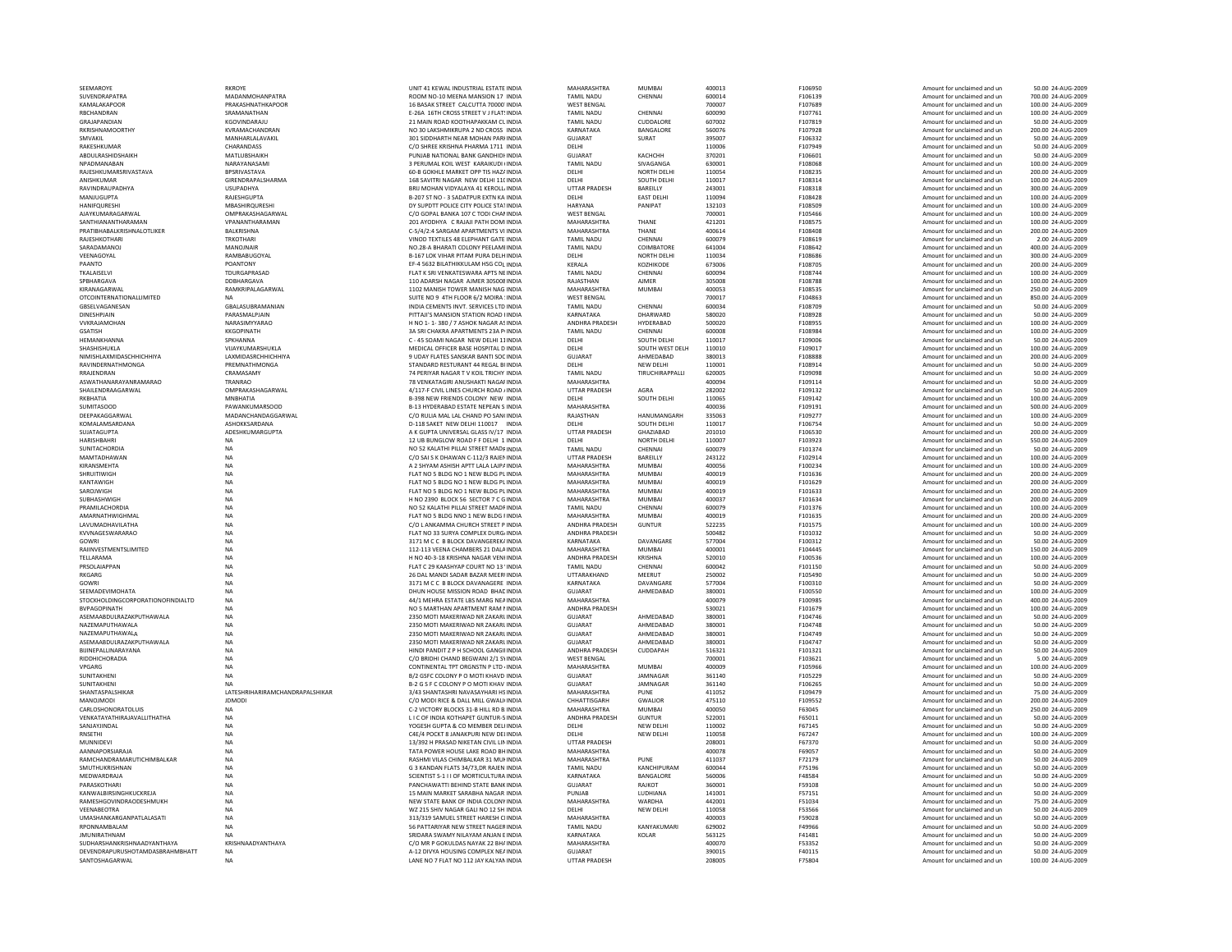| SEEMAROYE                             | <b>RKROYE</b>                   | UNIT 41 KEWAL INDUSTRIAL ESTATE INDIA                                          | MAHARASHTRA                          | <b>MUMBAI</b>                       | 400013           | F106950            | Amount for unclaimed and un                                | 50.00 24-AUG-2009                        |
|---------------------------------------|---------------------------------|--------------------------------------------------------------------------------|--------------------------------------|-------------------------------------|------------------|--------------------|------------------------------------------------------------|------------------------------------------|
| SUVENDRAPATRA                         | MADANMOHANPATRA                 | ROOM NO-10 MEENA MANSION 17 INDIA                                              | <b>TAMIL NADU</b>                    | CHENNAI                             | 600014           | F106139            | Amount for unclaimed and un                                | 700.00 24-AUG-2009                       |
| KAMALAKAPOOR                          | PRAKASHNATHKAPOOR               | 16 BASAK STREET CALCUTTA 70000. INDIA                                          | <b>WEST BENGAL</b>                   |                                     | 700007           | F107689            | Amount for unclaimed and un                                | 100.00 24-AUG-2009                       |
| RBCHANDRAN                            | SRAMANATHAN                     | E-26A 16TH CROSS STREET V J FLAT! INDIA                                        | <b>TAMIL NADU</b>                    | CHENNAI                             | 600090           | F107761            | Amount for unclaimed and un                                | 100.00 24-AUG-2009                       |
| <b>GRAJAPANDIAN</b>                   | KGOVINDARAJU                    | 21 MAIN ROAD KOOTHAPAKKAM CLINDIA                                              | <b>TAMIL NADU</b>                    | CUDDALORE                           | 607002           | F107819            | Amount for unclaimed and un                                | 50.00 24-AUG-2009                        |
| RKRISHNAMOORTHY                       | KVRAMACHANDRAN                  | NO 30 LAKSHMIKRUPA 2 ND CROSS INDIA                                            | KARNATAKA                            | BANGALORE                           | 560076           | F107928            | Amount for unclaimed and un                                | 200.00 24-AUG-2009                       |
| SMVAKIL                               | MANHARLALAVAKIL                 | 301 SIDDHARTH NEAR MOHAN PARHNDIA                                              | <b>GUJARAT</b>                       | SURAT                               | 395007           | F106332            | Amount for unclaimed and un                                | 50.00 24-AUG-2009                        |
| RAKESHKUMAR<br>ABDULRASHIDSHAIKH      | CHARANDASS<br>MATLUBSHAIKH      | C/O SHREE KRISHNA PHARMA 1711 INDIA<br>PUNJAB NATIONAL BANK GANDHIDI INDIA     | DELHI<br><b>GUJARAT</b>              | <b>КАСНСНН</b>                      | 110006<br>370201 | F107949<br>F106601 | Amount for unclaimed and un<br>Amount for unclaimed and un | 50.00 24-AUG-2009<br>50.00 24-AUG-2009   |
| NPADMANABAN                           | NARAYANASAMI                    | 3 PERUMAL KOIL WEST KARAIKUDI IINDIA                                           | <b>TAMIL NADU</b>                    | SIVAGANGA                           | 630001           | F108068            | Amount for unclaimed and un                                | 100.00 24-AUG-2009                       |
| RAIFSHKUMARSRIVASTAVA                 | RPSRIVASTAVA                    | 60-B GOKHLE MARKET OPP TIS HAZAINDIA                                           | DELHI                                | NORTH DELHI                         | 110054           | F108235            | Amount for unclaimed and un                                | 200.00 24-AUG-2009                       |
| ANISHKUMAR                            | GIRENDRAPALSHARMA               | 168 SAVITRI NAGAR NEW DELHI 11( INDIA                                          | DELHI                                | SOUTH DELHI                         | 110017           | F108314            | Amount for unclaimed and un                                | 100.00 24-AUG-2009                       |
| RAVINDRAUPADHYA                       | <b>USUPADHYA</b>                | BRIJ MOHAN VIDYALAYA 41 KEROLL INDIA                                           | UTTAR PRADESH                        | BAREILLY                            | 243001           | F108318            | Amount for unclaimed and un                                | 300.00 24-AUG-2009                       |
| MANJUGUPTA                            | RAJESHGUPTA                     | B-207 ST NO - 3 SADATPUR EXTN KA INDIA                                         | DELHI                                | <b>EAST DELHI</b>                   | 110094           | F108428            | Amount for unclaimed and un                                | 100.00 24-AUG-2009                       |
| <b>HANIFOURESHI</b>                   | MRASHIROURESHI                  | DY SUPDTT POLICE CITY POLICE STATINDIA                                         | HARYANA                              | PANIPAT                             | 132103           | F108509            | Amount for unclaimed and un                                | 100.00 24-AUG-2009                       |
| AJAYKUMARAGARWAL                      | OMPRAKASHAGARWAI                | C/O GOPAL BANKA 107 C TODI CHANINDIA                                           | <b>WEST RENGAL</b>                   |                                     | 700001           | F105466            | Amount for unclaimed and un                                | 100.00 24-AUG-2009                       |
| SANTHIANANTHARAMAN                    | VPANANTHARAMAN                  | 201 AYODHYA C RAJAJI PATH DOMI INDIA                                           | <b>MAHARASHTRA</b>                   | THANE                               | 421201           | F108575            | Amount for unclaimed and un                                | 100.00 24-AUG-2009                       |
| PRATIBHABALKRISHNALOTLIKER            | BALKRISHNA                      | C-5/4/2:4 SARGAM APARTMENTS VI INDIA                                           | MAHARASHTRA                          | THANE                               | 400614           | F108408            | Amount for unclaimed and un                                | 200.00 24-AUG-2009                       |
| RAJESHKOTHAR                          | TRKOTHARI                       | VINOD TEXTILES 48 ELEPHANT GATE INDIA                                          | <b>TAMIL NADU</b>                    | CHENNAI                             | 600079           | F108619            | Amount for unclaimed and un                                | 2.00 24-AUG-2009                         |
| SARADAMANOL                           | MANOINAIR                       | NO.28-A BHARATI COLONY PEELAMI INDIA                                           | <b>TAMIL NADU</b>                    | COIMBATORE                          | 641004           | F108642            | Amount for unclaimed and un                                | 400.00 24-AUG-2009                       |
| VEENAGOYAL                            | RAMBABUGOYAL                    | B-167 LOK VIHAR PITAM PURA DELHINDIA                                           | DELHI                                | <b>NORTH DELHI</b>                  | 110034           | F108686            | Amount for unclaimed and un                                | 300.00 24-AUG-2009                       |
| PAANTO<br>TKALAISELV                  | POANTONY<br>TDURGAPRASAD        | EF-4 5632 BILATHIKKULAM HSG COL INDIA<br>FLAT K SRI VENKATESWARA APTS NEINDIA  | KERALA<br><b>TAMIL NADU</b>          | KOZHIKODE<br>CHENNAI                | 673006<br>600094 | F108705<br>F108744 | Amount for unclaimed and un                                | 200.00 24-AUG-2009<br>100.00 24-AUG-2009 |
| SPBHARGAVA                            | DDBHARGAVA                      | 110 ADARSH NAGAR AJMER 305008 INDIA                                            | RAJASTHAN                            | <b>AJMER</b>                        | 305008           | F108788            | Amount for unclaimed and un<br>Amount for unclaimed and un | 100.00 24-AUG-2009                       |
| KIRANAGARWAI                          | RAMKRIPALAGARWAL                | 1102 MANISH TOWER MANISH NAG INDIA                                             | MAHARASHTRA                          | <b>MUMBAI</b>                       | 400053           | F108535            | Amount for unclaimed and un                                | 250.00 24-AUG-2009                       |
| <b>OTCOINTERNATIONALLIMITED</b>       | <b>NA</b>                       | SUITE NO 9 4TH FLOOR 6/2 MOIRA : INDIA                                         | <b>WEST BENGAL</b>                   |                                     | 700017           | F104863            | Amount for unclaimed and un                                | 850.00 24-AUG-2009                       |
| GBSELVAGANESAN                        | <b>GBALASUBRAMANIAN</b>         | INDIA CEMENTS INVT. SERVICES LTD INDIA                                         | <b>TAMIL NADU</b>                    | CHENNAI                             | 600034           | F108709            | Amount for unclaimed and un                                | 50.00 24-AUG-2009                        |
| DINESHPJAIN                           | PARASMALPJAIN                   | PITTAJI'S MANSION STATION ROAD I INDIA                                         | KARNATAKA                            | DHARWARD                            | 580020           | F108928            | Amount for unclaimed and un                                | 50.00 24-AUG-2009                        |
| VVKRAJAMOHAN                          | NARASIMYYARAO                   | H NO 1-1-380 / 7 ASHOK NAGAR AS INDIA                                          | ANDHRA PRADESH                       | HYDERABAD                           | 500020           | F108955            | Amount for unclaimed and un                                | 100.00 24-AUG-2009                       |
| <b>GSATISH</b>                        | KKGOPINATH                      | 3A SRI CHAKRA APARTMENTS 23A PIINDIA                                           | <b>TAMIL NADU</b>                    | CHENNAL                             | 600008           | F108984            | Amount for unclaimed and un                                | 100.00 24-AUG-2009                       |
| HEMANKHANNA                           | SPKHANNA                        | C - 45 SOAMI NAGAR NEW DELHI 11INDIA                                           | DELHI                                | SOUTH DELHI                         | 110017           | F109006            | Amount for unclaimed and un                                | 50.00 24-AUG-2009                        |
| SHASHISHUKLA                          | VIJAYKUMARSHUKLA                | MEDICAL OFFICER BASE HOSPITAL D INDIA                                          | DELHI                                | SOUTH WEST DELH                     | 110010           | F109017            | Amount for unclaimed and un                                | 100.00 24-AUG-2009                       |
| NIMISHLAXMIDASCHHICHHIYA              | LAXMIDASRCHHICHHIYA             | 9 UDAY FLATES SANSKAR BANTI SOC INDIA                                          | GUJARAT                              | AHMEDABAD                           | 380013           | F108888            | Amount for unclaimed and un                                | 200.00 24-AUG-2009                       |
| RAVINDERNATHMONGA<br>RRAJENDRAN       | PREMNATHMONGA<br>CRAMASAMY      | STANDARD RESTURANT 44 REGAL BUNDIA<br>74 PERIYAR NAGAR TV KOIL TRICHY INDIA    | DELHI<br><b>TAMIL NADU</b>           | <b>NEW DELHI</b><br>TIRUCHIRAPPALLI | 110001<br>620005 | F108914<br>F109098 | Amount for unclaimed and un<br>Amount for unclaimed and un | 50.00 24-AUG-2009<br>50.00 24-AUG-2009   |
| ASWATHANARAYANRAMARAO                 | TRANRAO                         | 78 VENKATAGIRI ANUSHAKTI NAGAI INDIA                                           | MAHARASHTRA                          |                                     | 400094           | F109114            | Amount for unclaimed and un                                | 50.00 24-AUG-2009                        |
| SHAILENDRAAGARWAL                     | OMPRAKASHAGARWAL                | 4/117-F CIVIL LINES CHURCH ROAD / INDIA                                        | UTTAR PRADESH                        | AGRA                                | 282002           | F109132            | Amount for unclaimed and un                                | 50.00 24-AUG-2009                        |
| RKBHATIA                              | MNBHATIA                        | B-398 NEW FRIENDS COLONY NEW INDIA                                             | DELHI                                | SOUTH DELHI                         | 110065           | F109142            | Amount for unclaimed and un                                | 100.00 24-AUG-2009                       |
| <b>SUMITASOOD</b>                     | PAWANKUMARSOOD                  | <b>B-13 HYDERABAD ESTATE NEPEAN S INDIA</b>                                    | MAHARASHTRA                          |                                     | 400036           | F109191            | Amount for unclaimed and un                                | 500.00 24-AUG-2009                       |
| DEEPAKAGGARWAL                        | MADANCHANDAGGARWAL              | C/O RULIA MAL LAL CHAND PO SAN(INDIA                                           | RAJASTHAN                            | HANUMANGARH                         | 335063           | F109277            | Amount for unclaimed and un                                | 100.00 24-AUG-2009                       |
| <b>KOMALAMSARDANA</b>                 | ASHOKKSARDANA                   | D-118 SAKET NEW DELHI 110017 INDIA                                             | DELHI                                | SOUTH DELHI                         | 110017           | F106754            | Amount for unclaimed and un                                | 50.00 24-AUG-2009                        |
| SUJATAGUPTA                           | ADESHKUMARGUPTA                 | A K GUPTA UNIVERSAL GLASS IV/17 INDIA                                          | <b>UTTAR PRADESH</b>                 | GHAZIABAD                           | 201010           | F106530            | Amount for unclaimed and un                                | 200.00 24-AUG-2009                       |
| HARISHRAHRI                           | <b>NA</b>                       | 12 UB BUNGLOW ROAD E E DELHI 1 INDIA                                           | <b>DELHI</b>                         | <b>NORTH DELHI</b>                  | 110007           | F103923            | Amount for unclaimed and un                                | 550.00 24-AUG-2009                       |
| SUNITACHORDIA                         | <b>NA</b>                       | NO 52 KALATHI PILLAI STREET MADF INDIA                                         | <b>TAMIL NADU</b>                    | CHENNAI                             | 600079           | F101374            | Amount for unclaimed and un                                | 50.00 24-AUG-2009                        |
| MAMTADHAWAN                           | NA                              | C/O SAI S K DHAWAN C-112/3 RAJEN INDIA                                         | UTTAR PRADESH                        | BAREILLY                            | 243122           | F102914            | Amount for unclaimed and un                                | 100.00 24-AUG-2009                       |
| KIRANSMEHTA                           | <b>NA</b>                       | A 2 SHYAM ASHISH APTT LALA LAJPA INDIA                                         | MAHARASHTRA                          | <b>MUMBA</b>                        | 400056           | F100234            | Amount for unclaimed and un                                | 100.00 24-AUG-2009                       |
| SHRUITIWIGH<br>KANTAWIGH              | <b>NA</b><br><b>NA</b>          | FLAT NO 5 BLDG NO 1 NEW BLDG PL INDIA<br>FLAT NO 5 BLDG NO 1 NEW BLDG PL INDIA | MAHARASHTRA<br>MAHARASHTRA           | <b>MUMBAI</b><br>MUMBAI             | 400019<br>400019 | F101636<br>F101629 | Amount for unclaimed and un<br>Amount for unclaimed and un | 200.00 24-AUG-2009<br>200.00 24-AUG-2009 |
| SAROJWIGH                             | <b>NA</b>                       | FLAT NO 5 BLDG NO 1 NEW BLDG PL INDIA                                          | MAHARASHTRA                          | <b>MUMBAI</b>                       | 400019           | F101633            | Amount for unclaimed and un                                | 200.00 24-AUG-2009                       |
| SUBHASHWIGH                           | <b>NA</b>                       | H NO 2390 BLOCK 56 SECTOR 7 C G INDIA                                          | MAHARASHTRA                          | <b>MUMBA</b>                        | 400037           | F101634            | Amount for unclaimed and un                                | 200.00 24-AUG-2009                       |
| PRAMILACHORDIA                        | NA                              | NO 52 KALATHI PILLAI STREET MADFINDIA                                          | <b>TAMIL NADU</b>                    | CHENNAI                             | 600079           | F101376            | Amount for unclaimed and un                                | 100.00 24-AUG-2009                       |
| AMARNATHWIGHMAI                       | <b>NA</b>                       | FLAT NO 5 BLDG NNO 1 NEW BLDG FINDIA                                           | MAHARASHTRA                          | MUMRAI                              | 400019           | F101635            | Amount for unclaimed and un                                | 200.00 24-AUG-2009                       |
| LAVUMADHAVILATHA                      | <b>NA</b>                       | C/O L ANKAMMA CHURCH STREET P INDIA                                            | ANDHRA PRADESH                       | <b>GUNTUR</b>                       | 522235           | F101575            | Amount for unclaimed and un                                | 100.00 24-AUG-2009                       |
| KVVNAGESWARARAO                       | <b>NA</b>                       | FLAT NO 33 SURYA COMPLEX DURG/ INDIA                                           | ANDHRA PRADESH                       |                                     | 500482           | F101032            | Amount for unclaimed and un                                | 50.00 24-AUG-2009                        |
| <b>GOWR</b>                           | <b>NA</b>                       | 3171 M C C B BLOCK DAVANGEREK/ INDIA                                           | KARNATAKA                            | DAVANGARE                           | 577004           | F100312            | Amount for unclaimed and un                                | 50.00 24-AUG-2009                        |
| RAIINVESTMENTSLIMITED                 | <b>NA</b>                       | 112-113 VEENA CHAMBERS 21 DALA INDIA                                           | MAHARASHTRA                          | <b>MUMBAI</b>                       | 400001           | F104445            | Amount for unclaimed and un                                | 150.00 24-AUG-2009                       |
| <b>TFII ARAMA</b>                     | <b>NA</b>                       | H NO 40-3-18 KRISHNA NAGAR VENHNDIA                                            | ANDHRA PRADESH                       | KRISHNA                             | 520010           | F100536            | Amount for unclaimed and un                                | 100.00 24-AUG-2009                       |
| PRSOLAIAPPAN<br><b>RKGARG</b>         | <b>NA</b><br>NA                 | FLAT C 29 KAASHYAP COURT NO 13 'INDIA<br>26 DAL MANDI SADAR BAZAR MEERI INDIA  | <b>TAMIL NADU</b><br>UTTARAKHAND     | CHENNAL<br>MEERUT                   | 600042<br>250002 | F101150<br>F105490 | Amount for unclaimed and un<br>Amount for unclaimed and un | 50.00 24-AUG-2009<br>50.00 24-AUG-2009   |
| GOWRI                                 | NA                              | 3171 M C C B BLOCK DAVANAGERE INDIA                                            | KARNATAKA                            | <b>DAVANGARE</b>                    | 577004           | F100310            | Amount for unclaimed and un                                | 50.00 24-AUG-2009                        |
| SEEMADEVIMOHATA                       | <b>NA</b>                       | DHUN HOUSE MISSION ROAD BHAD INDIA                                             | <b>GUJARAT</b>                       | AHMEDABAD                           | 380001           | F100550            | Amount for unclaimed and un                                | 100.00 24-AUG-2009                       |
| STOCKHOLDINGCORPORATIONOFINDIALTD     | <b>NA</b>                       | 44/1 MEHRA ESTATE LBS MARG NEAINDIA                                            | MAHARASHTRA                          |                                     | 400079           | F100985            | Amount for unclaimed and un                                | 400.00 24-AUG-2009                       |
| <b>BVPAGOPINATH</b>                   | NA                              | NO 5 MARTHAN APARTMENT RAM NINDIA                                              | ANDHRA PRADESH                       |                                     | 530021           | F101679            | Amount for unclaimed and un                                | 100.00 24-AUG-2009                       |
| ASEMAABDULRAZAKPUTHAWALA              | NA                              | 2350 MOTI MAKERIWAD NR ZAKARI. INDIA                                           | <b>GUJARAT</b>                       | AHMEDABAD                           | 380001           | F104746            | Amount for unclaimed and un                                | 50.00 24-AUG-2009                        |
| NAZEMAPUTHAWALA                       | <b>NA</b>                       | 2350 MOTI MAKERIWAD NR ZAKARI INDIA                                            | <b>GUJARAT</b>                       | AHMEDABAD                           | 380001           | F104748            | Amount for unclaimed and un                                | 50.00 24-AUG-2009                        |
| NAZEMAPUTHAWALA                       | <b>NA</b>                       | 2350 MOTI MAKERIWAD NR ZAKARI, INDIA                                           | <b>GUJARAT</b>                       | AHMEDABAD                           | 380001           | F104749            | Amount for unclaimed and un                                | 50.00 24-AUG-2009                        |
| ASEMAABDULRAZAKPUTHAWALA              | <b>NA</b>                       | 2350 MOTI MAKERIWAD NR ZAKARI INDIA                                            | GUIARAT                              | AHMEDABAD                           | 380001           | F104747            | Amount for unclaimed and un                                | 50.00 24-AUG-2009                        |
| BIJINEPALLINARAYANA<br>RIDDHICHORADIA | NA<br><b>NA</b>                 | HINDI PANDIT Z P H SCHOOL GANGII INDIA<br>C/O BRIDHI CHAND BEGWANI 2/1 SYINDIA | ANDHRA PRADESH<br><b>WEST BENGAL</b> | CUDDAPAH                            | 516321<br>700001 | F101321<br>F103621 | Amount for unclaimed and un<br>Amount for unclaimed and un | 50.00 24-AUG-2009<br>5.00 24-AUG-2009    |
|                                       |                                 |                                                                                |                                      |                                     |                  |                    |                                                            |                                          |
| VPGARG<br><b>SUNITAKHEN</b>           | <b>NA</b><br><b>NA</b>          | CONTINENTAL TPT ORGNSTN P LTD (INDIA<br>B/2 GSEC COLONY P O MOTI KHAVD INDIA   | MAHARASHTRA<br>GUIARAT               | <b>MUMBAI</b><br><b>IAMNAGAR</b>    | 400009<br>361140 | F105966<br>F105229 | Amount for unclaimed and un<br>Amount for unclaimed and un | 100.00 24-AUG-2009<br>50.00 24-AUG-2009  |
| SUNITAKHENI                           |                                 | B-2 G S F C COLONY P O MOTI KHAV INDIA                                         | GUJARAT                              | JAMNAGAR                            | 361140           | F106265            | Amount for unclaimed and un                                | 50.00 24-AUG-2009                        |
| SHANTASPALSHIKAR                      | LATESHRIHARIRAMCHANDRAPALSHIKAR | 3/43 SHANTASHRI NAVASAYHARI HSINDIA                                            | MAHARASHTRA                          | PUNE                                | 411052           | F109479            | Amount for unclaimed and un                                | 75.00 24-AUG-2009                        |
| MANOJMODI                             | <b>JDMODI</b>                   | C/O MODI RICE & DALL MILL GWALHINDIA                                           | CHHATTISGARH                         | <b>GWALIOR</b>                      | 475110           | F109552            | Amount for unclaimed and un                                | 200.00 24-AUG-2009                       |
| CARLOSHONORATOLUIS                    | <b>NA</b>                       | C-2 VICTORY BLOCKS 31-B HILL RD B INDIA                                        | MAHARASHTRA                          | MUMRAI                              | 400050           | <b>F63045</b>      | Amount for unclaimed and un                                | 250.00 24-AUG-2009                       |
| VENKATAYATHIRAJAVALLITHATHA           | <b>NA</b>                       | LIC OF INDIA KOTHAPET GUNTUR-5 INDIA                                           | <b>ANDHRA PRADESH</b>                | <b>GUNTUR</b>                       | 522001           | F65011             | Amount for unclaimed and un                                | 50.00 24-AUG-2009                        |
| SANJAYJINDAL                          | NA                              | YOGESH GUPTA & CO MEMBER DELHNDIA                                              | DELHI                                | NEW DELHI                           | 110002           | F67145             | Amount for unclaimed and un                                | 50.00 24-AUG-2009                        |
| <b>RNSETHI</b>                        | <b>NA</b>                       | C4E/4 POCKT 8 JANAKPURI NEW DELINDIA                                           | DELHI                                | <b>NEW DELHI</b>                    | 110058           | F67247             | Amount for unclaimed and un                                | 100.00 24-AUG-2009                       |
| MUNNIDEVI                             | NA                              | 13/392 H PRASAD NIKETAN CIVIL LIN INDIA                                        | UTTAR PRADESH                        |                                     | 208001           | F67370             | Amount for unclaimed and un                                | 50.00 24-AUG-2009                        |
| AANNAPORSIARAIA                       | <b>NA</b>                       | TATA POWER HOUSE LAKE ROAD BH INDIA                                            | MAHARASHTRA                          |                                     | 400078           | F69057             | Amount for unclaimed and un                                | 50.00 24-AUG-2009                        |
| RAMCHANDRAMARUTICHIMBALKAR            | NA                              | RASHMI VILAS CHIMBALKAR 31 MUHNDIA                                             | MAHARASHTRA                          | PUNE                                | 411037           | F72179             | Amount for unclaimed and un                                | 50.00 24-AUG-2009                        |
| SMUTHUKRISHNAN<br>MEDWARDRAJA         | <b>NA</b><br>NA                 | G 3 KANDAN FLATS 34/73.DR RAJEN INDIA<br>SCIENTIST S-111 OF MORTICULTURA INDIA | <b>TAMIL NADU</b><br>KARNATAKA       | KANCHIPURAM<br>BANGALORE            | 600044<br>560006 | F75196<br>F48584   | Amount for unclaimed and un<br>Amount for unclaimed and un | 50.00 24-AUG-2009<br>50.00 24-AUG-2009   |
| PARASKOTHARI                          | <b>NA</b>                       | PANCHAWATTI BEHIND STATE BANK INDIA                                            | GUJARAT                              | RAJKOT                              | 360001           | F59108             | Amount for unclaimed and un                                | 50.00 24-AUG-2009                        |
| KANWALBIRSINGHKUCKREJA                | <b>NA</b>                       | 15 MAIN MARKET SARABHA NAGAR INDIA                                             | PUNIAR                               | LUDHIANA                            | 141001           | F57151             | Amount for unclaimed and un                                | 50.00 24-AUG-2009                        |
| RAMESHGOVINDRAODESHMUKH               | <b>NA</b>                       | NEW STATE BANK OF INDIA COLONY INDIA                                           | <b>MAHARASHTRA</b>                   | WARDHA                              | 442001           | F51034             | Amount for unclaimed and un                                | 75.00 24-AUG-2009                        |
| VEENABEOTRA                           | <b>NA</b>                       | WZ 215 SHIV NAGAR GALI NO 12 SH INDIA                                          | DELHI                                | NEW DELHI                           | 110058           | F53566             | Amount for unclaimed and un                                | 50.00 24-AUG-2009                        |
| UMASHANKARGANPATLALASATI              | <b>NA</b>                       | 313/319 SAMUEL STREET HARESH CHNDIA                                            | MAHARASHTRA                          |                                     | 400003           | F59028             | Amount for unclaimed and un                                | 50.00 24-AUG-2009                        |
| RPONNAMBALAM                          | <b>NA</b>                       | 56 PATTARIYAR NEW STREET NAGER INDIA                                           | <b>TAMIL NADU</b>                    | KANYAKUMARI                         | 629002           | F49966             | Amount for unclaimed and un                                | 50.00 24-AUG-2009                        |
| IMUNIRATHNAM                          |                                 | SRIDARA SWAMY NILAYAM ANJAN EINDIA                                             | KARNATAKA                            | KOLAR                               | 563125           | F41481             | Amount for unclaimed and un                                | 50.00 24-AUG-2009                        |
| SUDHARSHANKRISHNAADYANTHAYA           | KRISHNAADYANTHAYA               | C/O MR P GOKULDAS NAYAK 22 BH/ INDIA                                           | <b>MAHARASHTRA</b>                   |                                     | 400070           | F53352             | Amount for unclaimed and un                                | 50.00 24-AUG-2009                        |
| DEVENDRAPURUSHOTAMDASBRAHMBHATT       | <b>NA</b>                       | A-12 DIVYA HOUSING COMPLEX NEA INDIA                                           | <b>GUJARAT</b>                       |                                     | 390015           | F40115             | Amount for unclaimed and un                                | 50.00 24-AUG-2009                        |
| SANTOSHAGARWAL                        | <b>NA</b>                       | LANE NO 7 FLAT NO 112 JAY KALYAN INDIA                                         | <b>UTTAR PRADESH</b>                 |                                     | 208005           | F75804             | Amount for unclaimed and un                                | 100.00 24-AUG-2009                       |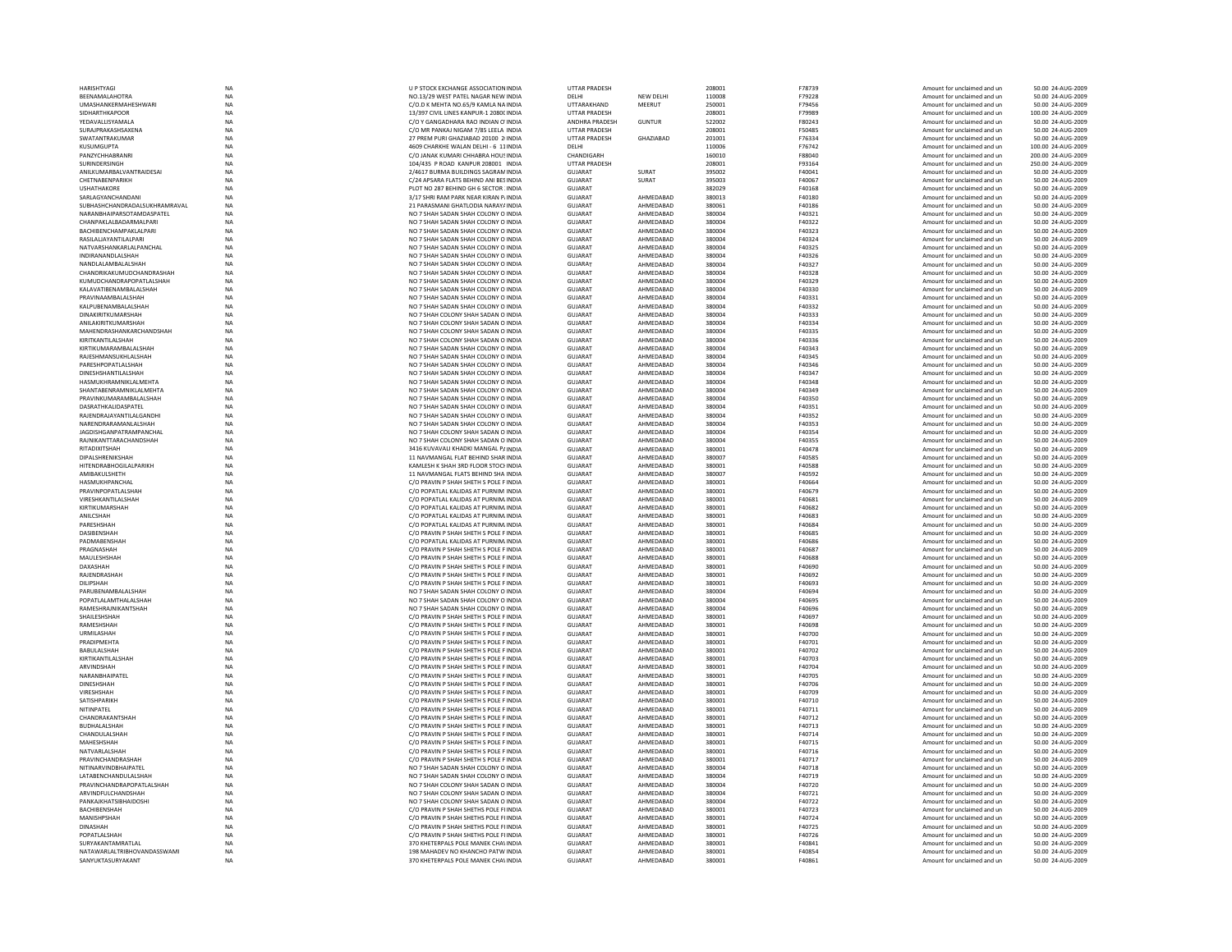| <b>HARISHTYAG</b>                                | NA        | U P STOCK EXCHANGE ASSOCIATION INDIA                                             | <b>UTTAR PRADESH</b>      |                        | 208001           | F78739           | Amount for unclaimed and un                                | 50.00 24-AUG-2009                      |
|--------------------------------------------------|-----------|----------------------------------------------------------------------------------|---------------------------|------------------------|------------------|------------------|------------------------------------------------------------|----------------------------------------|
| BEENAMALAHOTRA                                   | <b>NA</b> | NO.13/29 WEST PATEL NAGAR NEW INDIA                                              | DELHI                     | <b>NEW DELHI</b>       | 110008           | F79228           | Amount for unclaimed and un                                | 50.00 24-AUG-2009                      |
| UMASHANKERMAHESHWARI                             | <b>NA</b> | C/O.D K MEHTA NO.65/9 KAMLA NA INDIA                                             | UTTARAKHAND               | MEERUT                 | 250001           | F79456           | Amount for unclaimed and un                                | 50.00 24-AUG-2009                      |
| SIDHARTHKAPOOR                                   | <b>NA</b> | 13/397 CIVIL LINES KANPUR-1 2080CINDIA                                           | <b>UTTAR PRADESH</b>      |                        | 208001           | F79989           | Amount for unclaimed and un                                | 100.00 24-AUG-2009                     |
|                                                  |           |                                                                                  |                           |                        |                  | F80243           |                                                            |                                        |
| YEDAVALLISYAMALA                                 | NA        | C/O Y GANGADHARA RAO INDIAN O'INDIA                                              | ANDHRA PRADESH            | <b>GUNTUR</b>          | 522002           |                  | Amount for unclaimed and un                                | 50.00 24-AUG-2009                      |
| SURAJPRAKASHSAXENA                               | <b>NA</b> | C/O MR PANKAJ NIGAM 7/85 LEELA INDIA                                             | <b>UTTAR PRADESH</b>      |                        | 208001           | F50485           | Amount for unclaimed and un                                | 50.00 24-AUG-2009                      |
| SWATANTRAKUMAR                                   | <b>NA</b> | 27 PREM PURI GHAZIABAD 20100 2 INDIA                                             | <b>UTTAR PRADESH</b>      | GHAZIABAD              | 201001           | F76334           | Amount for unclaimed and un                                | 50.00 24-AUG-2009                      |
| KUSUMGUPTA                                       | <b>NA</b> | 4609 CHARKHE WALAN DELHI - 6 11 INDIA                                            | DFI HI                    |                        | 110006           | F76742           | Amount for unclaimed and un                                | 100.00 24-AUG-2009                     |
| PANZYCHHABRANR                                   | <b>NA</b> | C/O JANAK KUMARI CHHABRA HOUS INDIA                                              | CHANDIGARH                |                        | 160010           | <b>E88040</b>    | Amount for unclaimed and un                                | 200.00 24-AUG-2009                     |
| SURINDERSINGH                                    | NA        | 104/435 P ROAD KANPUR 208001 INDIA                                               | UTTAR PRADESH             |                        | 208001           | F93164           | Amount for unclaimed and un                                | 250.00 24-AUG-2009                     |
| ANILKUMARBALVANTRAIDESAI                         | <b>NA</b> | 2/4617 BURMA BUILDINGS SAGRAM INDIA                                              | GUJARAT                   | SURAT                  | 395002           | F40041           | Amount for unclaimed and un                                | 50.00 24-AUG-2009                      |
| CHETNABENPARIKH                                  | <b>NA</b> | C/24 APSARA FLATS BEHIND ANI BESINDIA                                            | <b>GUJARAT</b>            | SURAT                  | 395003           | F40067           | Amount for unclaimed and un                                | 50.00 24-AUG-2009                      |
| <b>USHATHAKORE</b>                               | <b>NA</b> | PLOT NO 287 BEHIND GH 6 SECTOR : INDIA                                           | GUIARAT                   |                        | 382029           | F40168           |                                                            |                                        |
|                                                  |           |                                                                                  |                           |                        |                  |                  | Amount for unclaimed and un                                | 50.00 24-AUG-2009                      |
| SARLAGYANCHANDANI                                | NA        | 3/17 SHRI RAM PARK NEAR KIRAN P/INDIA                                            | <b>GUJARAT</b>            | AHMEDABAD              | 380013           | F40180           | Amount for unclaimed and un                                | 50.00 24-AUG-2009                      |
| SUBHASHCHANDRADALSUKHRAMRAVAL                    | <b>NA</b> | 21 PARASMANI GHATLODIA NARAYA INDIA                                              | GUJARAT                   | AHMEDABAD              | 380061           | F40186           | Amount for unclaimed and un                                | 50.00 24-AUG-2009                      |
| NARANBHAIPARSOTAMDASPATEL                        | NA        | NO 7 SHAH SADAN SHAH COLONY O INDIA                                              | GUJARAT                   | AHMEDABAD              | 380004           | F40321           | Amount for unclaimed and un                                | 50.00 24-AUG-2009                      |
| CHANPAKI AI BADARMAI PARI                        | <b>NA</b> | NO 7 SHAH SADAN SHAH COLONY O INDIA                                              | GUIARAT                   | AHMFDARAD              | 380004           | F40322           | Amount for unclaimed and un                                | 50.00 24-AUG-2009                      |
| BACHIBENCHAMPAKLALPARI                           | <b>NA</b> | NO 7 SHAH SADAN SHAH COLONY O INDIA                                              | GUIARAT                   | AHMEDABAD              | 380004           | F40323           | Amount for unclaimed and un                                | 50.00 24-AUG-2009                      |
| RASILALJAYANTILALPARI                            | NA        | NO 7 SHAH SADAN SHAH COLONY O INDIA                                              | GUJARAT                   | AHMEDABAD              | 380004           | F40324           | Amount for unclaimed and un                                | 50.00 24-AUG-2009                      |
|                                                  |           | NO 7 SHAH SADAN SHAH COLONY O INDIA                                              | <b>GUJARAT</b>            |                        |                  |                  |                                                            | 50.00 24-AUG-2009                      |
| NATVARSHANKARLALPANCHAL                          | NA        |                                                                                  |                           | AHMEDABAD              | 380004           | F40325           | Amount for unclaimed and un                                |                                        |
| INDIRANANDLALSHAH                                | <b>NA</b> | NO 7 SHAH SADAN SHAH COLONY O INDIA                                              | GUJARAT                   | AHMEDABAD              | 380004           | F40326           | Amount for unclaimed and un                                | 50.00 24-AUG-2009                      |
| NANDLALAMBALALSHAH                               | <b>NA</b> | NO 7 SHAH SADAN SHAH COLONY O INDIA                                              | GUIARAT                   | AHMEDABAD              | 380004           | F40327           | Amount for unclaimed and un                                | 50.00 24-AUG-2009                      |
| CHANDRIKAKUMUDCHANDRASHAH                        | <b>NA</b> | NO 7 SHAH SADAN SHAH COLONY O INDIA                                              | GUJARAT                   | AHMEDABAD              | 380004           | F40328           | Amount for unclaimed and un                                | 50.00 24-AUG-2009                      |
| KUMUDCHANDRAPOPATLALSHAH                         | NA        | NO 7 SHAH SADAN SHAH COLONY O INDIA                                              | GUJARAT                   | AHMEDABAD              | 380004           | F40329           | Amount for unclaimed and un                                | 50.00 24-AUG-2009                      |
| KALAVATIBENAMBALALSHAH                           | <b>NA</b> | NO 7 SHAH SADAN SHAH COLONY O INDIA                                              | GUJARAT                   | AHMEDABAD              | 380004           | F40330           | Amount for unclaimed and un                                | 50.00 24-AUG-2009                      |
| PRAVINAAMBALALSHAH                               | <b>NA</b> | NO 7 SHAH SADAN SHAH COLONY O INDIA                                              | <b>GUJARAT</b>            | AHMEDABAD              | 380004           | F40331           | Amount for unclaimed and un                                | 50.00 24-AUG-2009                      |
|                                                  |           |                                                                                  |                           |                        |                  |                  |                                                            |                                        |
| KALPUBENAMBALALSHAH                              | NA        | NO 7 SHAH SADAN SHAH COLONY O INDIA                                              | GUIARAT                   | AHMEDABAD              | 380004           | F40332           | Amount for unclaimed and un                                | 50.00 24-AUG-2009                      |
| DINAKIRITKUMARSHAH                               | NA        | NO 7 SHAH COLONY SHAH SADAN O INDIA                                              | GUJARAT                   | AHMEDABAD              | 380004           | F40333           | Amount for unclaimed and un                                | 50.00 24-AUG-2009                      |
| ANILAKIRITKUMARSHAH                              | NA        | NO 7 SHAH COLONY SHAH SADAN O INDIA                                              | GUJARAT                   | AHMEDABAD              | 380004           | F40334           | Amount for unclaimed and un                                | 50.00 24-AUG-2009                      |
| MAHENDRASHANKARCHANDSHAH                         | <b>NA</b> | NO 7 SHAH COLONY SHAH SADAN O INDIA                                              | <b>GUJARAT</b>            | AHMEDABAD              | 380004           | F40335           | Amount for unclaimed and un                                | 50.00 24-AUG-2009                      |
| KIRITKANTII AI SHAH                              | <b>NA</b> | NO 7 SHAH COLONY SHAH SADAN O INDIA                                              | GUIARAT                   | AHMFDARAD              | 380004           | E40336           | Amount for unclaimed and un                                | 50.00 24-AUG-2009                      |
| KIRTIKUMARAMBALALSHAH                            | NA        | NO 7 SHAH SADAN SHAH COLONY O INDIA                                              | GUJARAT                   | AHMEDABAD              | 380004           | F40343           | Amount for unclaimed and un                                | 50.00 24-AUG-2009                      |
|                                                  |           |                                                                                  |                           |                        |                  |                  |                                                            |                                        |
| RAJESHMANSUKHLALSHAH                             | NA        | NO 7 SHAH SADAN SHAH COLONY O INDIA                                              | GUJARAT                   | AHMEDABAD              | 380004           | F40345           | Amount for unclaimed and un                                | 50.00 24-AUG-2009                      |
| PARESHPOPATLALSHAH                               | <b>NA</b> | NO 7 SHAH SADAN SHAH COLONY O INDIA                                              | GUJARAT                   | AHMEDABAD              | 380004           | F40346           | Amount for unclaimed and un                                | 50.00 24-AUG-2009                      |
| DINESHSHANTILALSHAH                              | <b>NA</b> | NO 7 SHAH SADAN SHAH COLONY O INDIA                                              | <b>GUJARAT</b>            | AHMEDABAD              | 380004           | F40347           | Amount for unclaimed and un                                | 50.00 24-AUG-2009                      |
| HASMUKHRAMNIKI AI MEHTA                          | <b>NA</b> | NO 7 SHAH SADAN SHAH COLONY O INDIA                                              | GUIARAT                   | AHMFDARAD              | 380004           | F40348           | Amount for unclaimed and un                                | 50.00 24-AUG-2009                      |
| SHANTABENRAMNIKLALMEHTA                          | NA        | NO 7 SHAH SADAN SHAH COLONY O INDIA                                              | GUJARAT                   | AHMEDABAD              | 380004           | F40349           | Amount for unclaimed and un                                | 50.00 24-AUG-2009                      |
| PRAVINKUMARAMBALALSHAH                           | <b>NA</b> | NO 7 SHAH SADAN SHAH COLONY O INDIA                                              | GUJARAT                   | AHMEDABAD              | 380004           | F40350           | Amount for unclaimed and un                                | 50.00 24-AUG-2009                      |
|                                                  |           |                                                                                  |                           |                        |                  |                  |                                                            |                                        |
| DASRATHKALIDASPATEL                              | NA        | NO 7 SHAH SADAN SHAH COLONY O INDIA                                              | GUJARAT                   | AHMEDABAD              | 380004           | F40351           | Amount for unclaimed and un                                | 50.00 24-AUG-2009                      |
| RAIFNDRAIAYANTII AI GANDHI                       | <b>NA</b> | NO 7 SHAH SADAN SHAH COLONY O INDIA                                              | GUIARAT                   | AHMFDARAD              | 380004           | F40352           | Amount for unclaimed and un                                | 50.00 24-AUG-2009                      |
| NARENDRARAMANLALSHAH                             | <b>NA</b> | NO 7 SHAH SADAN SHAH COLONY O INDIA                                              | <b>GUJARAT</b>            | AHMEDABAD              | 380004           | <b>E40353</b>    | Amount for unclaimed and un                                | 50.00 24-AUG-2009                      |
| <b>JAGDISHGANPATRAMPANCHAI</b>                   | <b>NA</b> | NO 7 SHAH COLONY SHAH SADAN O INDIA                                              | GUJARAT                   | AHMEDABAD              | 380004           | F40354           | Amount for unclaimed and un                                | 50.00 24-AUG-2009                      |
| RAJNIKANTTARACHANDSHAH                           | NA        | NO 7 SHAH COLONY SHAH SADAN O INDIA                                              | GUJARAT                   | AHMEDABAD              | 380004           | F40355           | Amount for unclaimed and un                                | 50.00 24-AUG-2009                      |
| RITADIXITSHAH                                    | <b>NA</b> | 3416 KUVAVALI KHADKI MANGAL PAINDIA                                              | GUJARAT                   | AHMEDABAD              | 380001           | F40478           | Amount for unclaimed and un                                | 50.00 24-AUG-2009                      |
|                                                  |           |                                                                                  |                           |                        |                  |                  |                                                            |                                        |
| DIPALSHRENIKSHAH                                 | <b>NA</b> | 11 NAVMANGAL FLAT BEHIND SHAR INDIA                                              | GUIARAT                   | AHMEDABAD              | 380007           | F40585           | Amount for unclaimed and un                                | 50.00 24-AUG-2009                      |
| HITENDRABHOGILALPARIKH                           | <b>NA</b> | KAMLESH K SHAH 3RD FLOOR STOCHNDIA                                               | GUJARAT                   | AHMEDABAD              | 380001           | <b>F40588</b>    | Amount for unclaimed and un                                | 50.00 24-AUG-2009                      |
| AMIBAKULSHETH                                    | <b>NA</b> | 11 NAVMANGAL FLATS BEHIND SHA INDIA                                              | GUJARAT                   | AHMEDABAD              | 380007           | F40592           | Amount for unclaimed and un                                | 50.00 24-AUG-2009                      |
| HASMUKHPANCHAI                                   | NA        | C/O PRAVIN P SHAH SHETH S POLE F INDIA                                           | GUJARAT                   | AHMEDABAD              | 380001           | F40664           | Amount for unclaimed and un                                | 50.00 24-AUG-2009                      |
| PRAVINPOPATLALSHAH                               | <b>NA</b> | C/O POPATLAL KALIDAS AT PURNIM INDIA                                             | <b>GUJARAT</b>            | AHMEDABAD              | 380001           | F40679           | Amount for unclaimed and un                                | 50.00 24-AUG-2009                      |
| VIRESHKANTILALSHAH                               | NA        | C/O POPATLAL KALIDAS AT PURNIM. INDIA                                            | GUIARAT                   | AHMEDABAD              | 380001           | F40681           |                                                            | 50.00 24-AUG-2009                      |
|                                                  |           |                                                                                  |                           |                        |                  |                  | Amount for unclaimed and un                                |                                        |
| KIRTIKUMARSHAH                                   | NA        | C/O POPATLAL KALIDAS AT PURNIM. INDIA                                            | GUJARAT                   | AHMEDABAD              | 380001           | F40682           | Amount for unclaimed and un                                | 50.00 24-AUG-2009                      |
| ANILCSHAH                                        | NA        | C/O POPATLAL KALIDAS AT PURNIM INDIA                                             | GUJARAT                   | AHMEDABAD              | 380001           | F40683           | Amount for unclaimed and un                                | 50.00 24-AUG-2009                      |
| PARESHSHAH                                       | <b>NA</b> | C/O POPATLAL KALIDAS AT PURNIM INDIA                                             | <b>GUJARAT</b>            | AHMEDABAD              | 380001           | F40684           | Amount for unclaimed and un                                | 50.00 24-AUG-2009                      |
| DASIBENSHAH                                      | <b>NA</b> | C/O PRAVIN P SHAH SHETH S POLE F INDIA                                           | <b>GUJARAT</b>            | AHMEDABAD              | 380001           | F40685           | Amount for unclaimed and un                                | 50.00 24-AUG-2009                      |
| PADMABENSHAH                                     | NA        | C/O POPATLAL KALIDAS AT PURNIM. INDIA                                            | <b>GUJARAT</b>            | AHMEDABAD              | 380001           | F40686           | Amount for unclaimed and un                                | 50.00 24-AUG-2009                      |
| PRAGNASHAH                                       | NA        | C/O PRAVIN P SHAH SHETH S POLE F INDIA                                           | <b>GUJARAT</b>            | AHMEDABAD              | 380001           | F40687           | Amount for unclaimed and un                                | 50.00 24-AUG-2009                      |
|                                                  | <b>NA</b> | C/O PRAVIN P SHAH SHETH S POLE F INDIA                                           | GUJARAT                   |                        | 380001           |                  |                                                            |                                        |
| MAULESHSHAF                                      |           |                                                                                  |                           | AHMEDABAD              |                  | F40688           | Amount for unclaimed and un                                | 50.00 24-AUG-2009                      |
| DAXASHAH                                         | <b>NA</b> | C/O PRAVIN P SHAH SHETH S POLE F INDIA                                           | <b>GUJARAT</b>            | AHMEDABAD              | 380001           | F40690           | Amount for unclaimed and un                                | 50.00 24-AUG-2009                      |
| RAIFNDRASHAH                                     | <b>NA</b> | C/O PRAVIN P SHAH SHETH S POLE F INDIA                                           | GUIARAT                   | AHMEDABAD              | 380001           | F40692           | Amount for unclaimed and un                                | 50.00 24-AUG-2009                      |
| DILIPSHAH                                        | NA        | C/O PRAVIN P SHAH SHETH S POLE F INDIA                                           | GUJARAT                   | AHMEDABAD              | 380001           | F40693           | Amount for unclaimed and un                                | 50.00 24-AUG-2009                      |
| PARUBENAMBALALSHAH                               | <b>NA</b> | NO 7 SHAH SADAN SHAH COLONY O INDIA                                              | GUJARAT                   | AHMEDABAD              | 380004           | F40694           | Amount for unclaimed and un                                | 50.00 24-AUG-2009                      |
| POPATLALAMTHALALSHAH                             | <b>NA</b> | NO 7 SHAH SADAN SHAH COLONY O INDIA                                              | <b>GUJARAT</b>            | AHMEDABAD              | 380004           | F40695           | Amount for unclaimed and un                                | 50.00 24-AUG-2009                      |
| RAMESHRAINIKANTSHAH                              | <b>NA</b> | NO 7 SHAH SADAN SHAH COLONY O INDIA                                              | GUIARAT                   | AHMEDABAD              | 380004           | F40696           | Amount for unclaimed and un                                | 50.00 24-AUG-2009                      |
| SHAILESHSHAH                                     | <b>NA</b> |                                                                                  | <b>GUJARAT</b>            | AHMEDABAD              | 380001           | F40697           |                                                            |                                        |
|                                                  |           | C/O PRAVIN P SHAH SHETH S POLE F INDIA                                           |                           |                        |                  |                  | Amount for unclaimed and un                                | 50.00 24-AUG-2009                      |
| RAMESHSHAF                                       | <b>NA</b> | C/O PRAVIN P SHAH SHETH S POLE F INDIA                                           | GUJARAT                   | AHMEDABAD              | 380001           | F40698           | Amount for unclaimed and un                                | 50.00 24-AUG-2009                      |
| URMILASHAH                                       | NA        | C/O PRAVIN P SHAH SHETH S POLE F INDIA                                           | <b>GUJARAT</b>            | AHMEDABAD              | 380001           | F40700           | Amount for unclaimed and un                                | 50.00 24-AUG-2009                      |
| PRADIPMEHTA                                      | <b>NA</b> | C/O PRAVIN P SHAH SHETH S POLE FINDIA                                            | GUIARAT                   | AHMFDARAD              | 380001           | F40701           | Amount for unclaimed and un                                | 50.00 24-AUG-2009                      |
| BABULALSHAH                                      | <b>NA</b> | C/O PRAVIN P SHAH SHETH S POLE F INDIA                                           | <b>GUJARAT</b>            | AHMEDABAD              | 380001           | F40702           | Amount for unclaimed and un                                | 50.00 24-AUG-2009                      |
| KIRTIKANTILALSHAH                                | <b>NA</b> | C/O PRAVIN P SHAH SHETH S POLE F INDIA                                           | GUJARAT                   | AHMEDABAD              | 380001           | F40703           | Amount for unclaimed and un                                | 50.00 24-AUG-2009                      |
| ARVINDSHAH                                       | <b>NA</b> | C/O PRAVIN P SHAH SHETH S POLE F INDIA                                           | GUJARAT                   | AHMEDABAD              | 380001           | F40704           | Amount for unclaimed and un                                | 50.00 24-AUG-2009                      |
|                                                  |           |                                                                                  |                           |                        | 380001           |                  |                                                            |                                        |
| NARANBHAIPATEL                                   | NA        | C/O PRAVIN P SHAH SHETH S POLE F INDIA                                           | GUJARAT                   | AHMEDABAD              |                  | <b>E40705</b>    | Amount for unclaimed and un                                | 50.00 24-AUG-2009                      |
| <b>DINESHSHAH</b>                                | <b>NA</b> | C/O PRAVIN P SHAH SHETH S POLE E INDIA                                           | GUIARAT                   | AHMFDARAD              | 380001           | F40706           | Amount for unclaimed and un                                | 50.00 24-AUG-2009                      |
| VIRESHSHAH                                       | NA        | C/O PRAVIN P SHAH SHETH S POLE F INDIA                                           | GUIARAT                   | AHMEDABAD              | 380001           | F40709           | Amount for unclaimed and un                                | 50.00 24-AUG-200                       |
| SATISHPARIKH                                     | NA        | C/O PRAVIN P SHAH SHETH S POLE F INDIA                                           | GUJARAT                   | AHMEDABAD              | 380001           | F40710           | Amount for unclaimed and un                                | 50.00 24-AUG-2009                      |
| NITINPATEL                                       | NA        | C/O PRAVIN P SHAH SHETH S POLE F INDIA                                           | GUJARAT                   | AHMEDABAD              | 380001           | F40711           | Amount for unclaimed and un                                | 50.00 24-AUG-2009                      |
| CHANDRAKANTSHAH                                  | <b>NA</b> | C/O PRAVIN P SHAH SHETH S POLE F INDIA                                           | <b>GUJARAT</b>            | AHMEDABAD              | 380001           | F40712           | Amount for unclaimed and un                                | 50.00 24-AUG-2009                      |
|                                                  |           |                                                                                  |                           |                        |                  |                  |                                                            |                                        |
| BUDHALALSHAH                                     | <b>NA</b> | C/O PRAVIN P SHAH SHETH S POLE F INDIA<br>C/O PRAVIN P SHAH SHETH S POLE F INDIA | <b>GUJARAT</b>            | AHMEDABAD              | 380001           | F40713           | Amount for unclaimed and un                                | 50.00 24-AUG-2009                      |
| CHANDULALSHAH                                    |           |                                                                                  | GUJARAT                   | AHMEDABAD              | 380001           | F40714           | Amount for unclaimed and un                                | 50.00 24-AUG-200                       |
|                                                  | NA        |                                                                                  |                           |                        |                  | F40715           | Amount for unclaimed and un                                | 50.00 24-AUG-2009                      |
| MAHESHSHAH                                       | NA        | C/O PRAVIN P SHAH SHETH S POLE F INDIA                                           | <b>GUJARAT</b>            | AHMEDABAD              | 380001           |                  |                                                            |                                        |
| NATVARLALSHAH                                    | <b>NA</b> | C/O PRAVIN P SHAH SHETH S POLE F INDIA                                           | GUJARAT                   | AHMEDABAD              | 380001           | F40716           | Amount for unclaimed and un                                | 50.00 24-AUG-2009                      |
| PRAVINCHANDRASHAH                                | <b>NA</b> | C/O PRAVIN P SHAH SHETH S POLE F INDIA                                           | <b>GUJARAT</b>            | AHMEDABAD              | 380001           | F40717           | Amount for unclaimed and un                                | 50.00 24-AUG-2009                      |
|                                                  |           |                                                                                  |                           |                        |                  |                  |                                                            |                                        |
| <b>NITINARVINDBHAIPATEL</b>                      | <b>NA</b> | NO 7 SHAH SADAN SHAH COLONY O INDIA                                              | GUJARAT                   | AHMEDABAD              | 380004           | F40718           | Amount for unclaimed and un                                | 50.00 24-AUG-2009                      |
| LATABENCHANDULALSHAI                             | NA        | NO 7 SHAH SADAN SHAH COLONY O INDIA                                              | GUJARAT                   | AHMEDABAD              | 380004           | F40719           | Amount for unclaimed and un                                | 50.00 24-AUG-200                       |
| PRAVINCHANDRAPOPATLALSHAH                        | <b>NA</b> | NO 7 SHAH COLONY SHAH SADAN O INDIA                                              | GUJARAT                   | AHMEDABAD              | 380004           | F40720           | Amount for unclaimed and un                                | 50.00 24-AUG-2009                      |
| ARVINDFULCHANDSHAH                               | <b>NA</b> | NO 7 SHAH COLONY SHAH SADAN O INDIA                                              | <b>GUJARAT</b>            | AHMEDABAD              | 380004           | F40721           | Amount for unclaimed and un                                | 50.00 24-AUG-2009                      |
| PANKAIKHATSIRHAIDOSHI                            | <b>NA</b> | NO 7 SHAH COLONY SHAH SADAN O INDIA                                              | GUIARAT                   | AHMEDABAD              | 380004           | F40722           | Amount for unclaimed and un                                | 50.00 24-AUG-2009                      |
| BACHIBENSHAH                                     | NA        | C/O PRAVIN P SHAH SHETHS POLE FI INDIA                                           |                           | AHMEDABAD              | 380001           | F40723           | Amount for unclaimed and un                                | 50.00 24-AUG-2009                      |
|                                                  |           |                                                                                  | GUJARAT                   |                        |                  |                  |                                                            |                                        |
| MANISHPSHAF                                      | <b>NA</b> | C/O PRAVIN P SHAH SHETHS POLE FI INDIA                                           | GUJARAT                   | AHMEDABAD              | 380001           | F40724           | Amount for unclaimed and un                                | 50.00 24-AUG-2009                      |
| <b>DINASHAH</b>                                  | NA        | C/O PRAVIN P SHAH SHETHS POLE FI INDIA                                           | GUJARAT                   | AHMEDABAD              | 380001           | F40725           | Amount for unclaimed and un                                | 50.00 24-AUG-2009                      |
| POPATI AI SHAH                                   | <b>NA</b> | C/O PRAVIN P SHAH SHETHS POLE FLINDIA                                            | GUIARAT                   | AHMFDARAD              | 380001           | F40726           | Amount for unclaimed and un                                | 50.00 24-AUG-2009                      |
| SURYAKANTAMRATLAL                                | <b>NA</b> | 370 KHETERPALS POLE MANEK CHA\ INDIA                                             | GUIARAT                   | AHMEDABAD              | 380001           | F40841           | Amount for unclaimed and un                                | 50.00 24-AUG-2009                      |
| NATAWARLALTRIBHOVANDASSWAMI<br>SANYUKTASURYAKANT | <b>NA</b> | 198 MAHADEV NO KHANCHO PATW INDIA<br>370 KHETERPALS POLE MANEK CHAVINDIA         | <b>GUJARAT</b><br>GUJARAT | AHMEDABAD<br>AHMEDABAD | 380001<br>380001 | F40854<br>F40861 | Amount for unclaimed and un<br>Amount for unclaimed and un | 50.00 24-AUG-2009<br>50.00 24-AUG-2009 |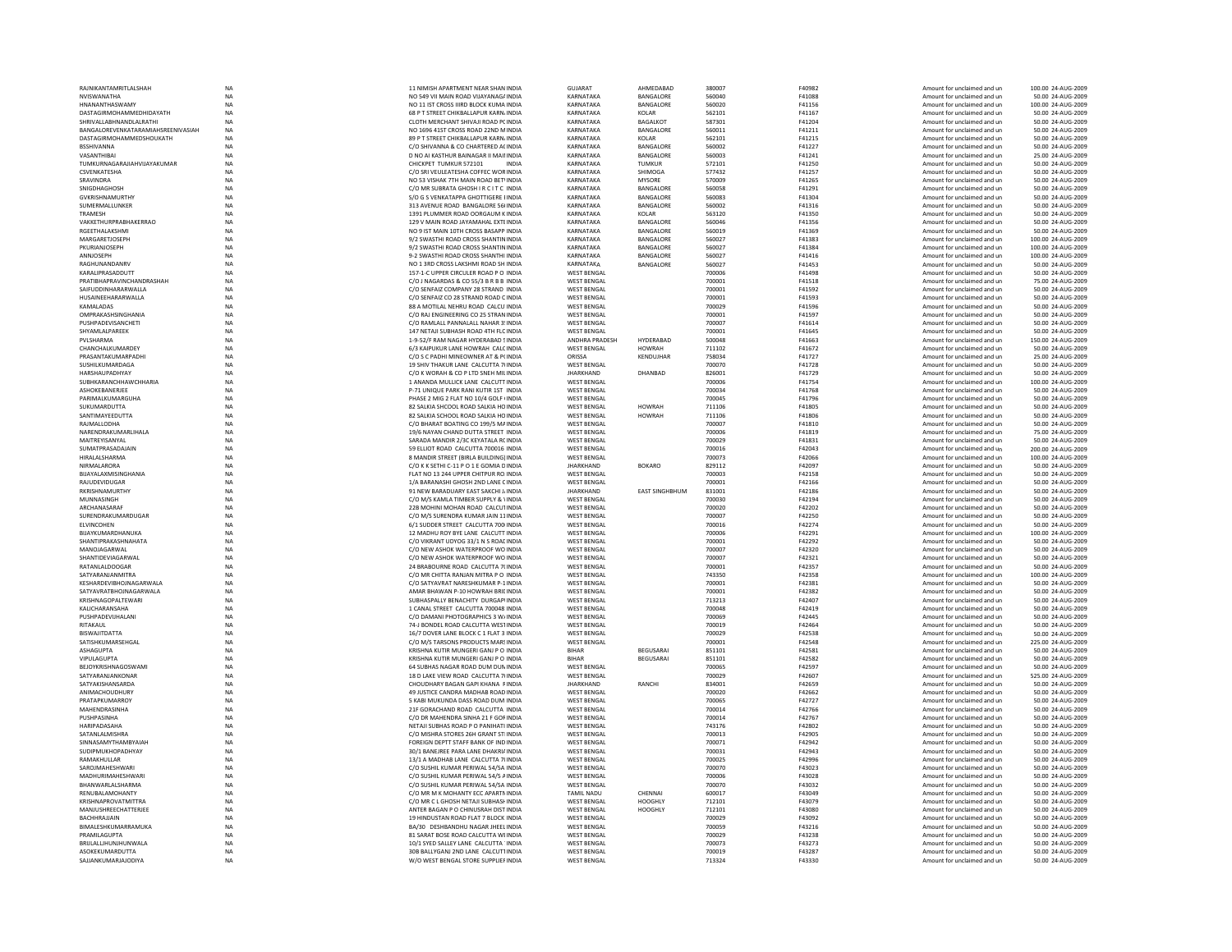| RAJNIKANTAMRITLALSHAH              | <b>NA</b>       | 11 NIMISH APARTMENT NEAR SHAN INDIA     | GUJARAT            | AHMEDABAD             | 380007 | F40982 | Amount for unclaimed and un | 100.00 24-AUG-2009 |
|------------------------------------|-----------------|-----------------------------------------|--------------------|-----------------------|--------|--------|-----------------------------|--------------------|
|                                    |                 |                                         |                    |                       |        |        |                             |                    |
| NVISWANATHA                        | <b>NA</b>       | NO 549 VII MAIN ROAD VIJAYANAG/INDIA    | KARNATAKA          | BANGALORE             | 560040 | F41088 | Amount for unclaimed and un | 50.00 24-AUG-2009  |
| HNANANTHASWAMY                     | <b>NA</b>       | NO 11 IST CROSS IIIRD BLOCK KUMA INDIA  | KARNATAKA          | <b>BANGALORE</b>      | 560020 | F41156 | Amount for unclaimed and un | 100.00 24-AUG-2009 |
| DASTAGIRMOHAMMEDHIDAYATH           | NA              | 68 P T STREET CHIKBALLAPUR KARN/INDIA   | KARNATAKA          | KOLAR                 | 562101 | F41167 | Amount for unclaimed and un | 50.00 24-AUG-2009  |
| SHRIVALLABHNANDLALRATHI            | <b>NA</b>       | CLOTH MERCHANT SHIVAJI ROAD PC INDIA    | KARNATAKA          | <b>BAGALKOT</b>       | 587301 | F41204 | Amount for unclaimed and un | 50.00 24-AUG-2009  |
| BANGALOREVENKATARAMIAHSREENIVASIAH | NA              | NO 1696 41ST CROSS ROAD 22ND MINDIA     | KARNATAKA          | BANGALORE             | 560011 | F41211 | Amount for unclaimed and un | 50.00 24-AUG-2009  |
| DASTAGIRMOHAMMEDSHOUKATH           | <b>NA</b>       | 89 P T STREET CHIKBALLAPUR KARNJINDIA   | KARNATAKA          | KOLAR                 | 562101 | F41215 | Amount for unclaimed and un | 50.00 24-AUG-2009  |
| <b>RSSHIVANNA</b>                  | <b>NA</b>       | C/O SHIVANNA & CO CHARTERED ACINDIA     | KARNATAKA          | <b>BANGALORE</b>      | 560002 | F41227 | Amount for unclaimed and un | 50.00 24-AUG-2009  |
| VASANTHIBAI                        | $_{\sf NA}$     | D NO AI KASTHUR BAINAGAR II MAII INDIA  | KARNATAKA          | BANGALORE             | 560003 | F41241 | Amount for unclaimed and un | 25.00 24-AUG-2009  |
| TUMKURNAGARAJIAHVIJAYAKUMAR        | <b>NA</b>       | CHICKPET TUMKUR 572101                  | KARNATAKA          | <b>TUMKUR</b>         | 572101 | F41250 | Amount for unclaimed and un | 50.00 24-AUG-2009  |
| CSVENKATESHA                       | NA              | C/O SRI VEULEATESHA COFFEC WOR INDIA    | KARNATAKA          | SHIMOGA               | 577432 | F41257 | Amount for unclaimed and un | 50.00 24-AUG-2009  |
| SRAVINDRA                          | <b>NA</b>       | NO 53 VISHAK 7TH MAIN ROAD BET INDIA    | KARNATAKA          | <b>MYSORE</b>         | 570009 | F41265 | Amount for unclaimed and un | 50.00 24-AUG-2009  |
| SNIGDHAGHOSH                       | <b>NA</b>       | C/O MR SUBRATA GHOSH I R C I T C INDIA  | KARNATAKA          | BANGALORE             | 560058 | F41291 | Amount for unclaimed and un | 50.00 24-AUG-2009  |
|                                    |                 | S/O G S VENKATAPPA GHOTTIGERE LINDIA    | KARNATAKA          | BANGALORE             | 560083 | F41304 |                             | 50.00 24-AUG-2009  |
| GVKRISHNAMURTHY                    | $_{\sf NA}$     |                                         |                    |                       |        |        | Amount for unclaimed and un |                    |
| SUMERMALLUNKER                     | <b>NA</b>       | 313 AVENUE ROAD BANGALORE 56(INDIA      | KARNATAKA          | BANGALORE             | 560002 | F41316 | Amount for unclaimed and un | 50.00 24-AUG-2009  |
| TRAMFSH                            | NA              | 1391 PLUMMER ROAD OORGAUM K INDIA       | KARNATAKA          | KOI AR                | 563120 | F41350 | Amount for unclaimed and un | 50.00 24-AUG-2009  |
| VAKKETHURPRARHAKERRAO              | <b>NA</b>       | 129 V MAIN ROAD JAYAMAHAI EXTEINDIA     | KARNATAKA          | <b>BANGALORE</b>      | 560046 | F41356 | Amount for unclaimed and un | 50.00 24-AUG-2009  |
| RGEETHALAKSHMI                     | <b>NA</b>       | NO 9 IST MAIN 10TH CROSS BASAPP INDIA   | KARNATAKA          | BANGALORE             | 560019 | F41369 | Amount for unclaimed and un | 50.00 24-AUG-2009  |
| MARGARETJOSEPH                     | $_{\sf NA}$     | 9/2 SWASTHI ROAD CROSS SHANTIN INDIA    | KARNATAKA          | BANGALORE             | 560027 | F41383 | Amount for unclaimed and un | 100.00 24-AUG-2009 |
| PKURIANJOSEPH                      | NA              | 9/2 SWASTHI ROAD CROSS SHANTIN INDIA    | KARNATAKA          | BANGALORE             | 560027 | F41384 | Amount for unclaimed and un | 100.00 24-AUG-2009 |
| ANNJOSEPH                          | <b>NA</b>       | 9-2 SWASTHI ROAD CROSS SHANTHI INDIA    | KARNATAKA          | BANGALORE             | 560027 | F41416 | Amount for unclaimed and un | 100.00 24-AUG-2009 |
| RAGHUNANDANRV                      | <b>NA</b>       | NO 1.3RD CROSS LAKSHMI ROAD SH INDIA    | KARNATAKA          | BANGALORE             | 560027 | F41453 | Amount for unclaimed and un | 50.00 24-AUG-2009  |
| KARALIPRASADDUTT                   | NA              | 157-1-C UPPER CIRCULER ROAD PO INDIA    | <b>WEST BENGAL</b> |                       | 700006 | F41498 | Amount for unclaimed and un | 50.00 24-AUG-2009  |
| PRATIBHAPRAVINCHANDRASHAH          | NA              | C/O J NAGARDAS & CO 55/3 B R B B INDIA  | <b>WEST BENGAL</b> |                       | 700001 | F41518 | Amount for unclaimed and un | 75.00 24-AUG-2009  |
| SAIFUDDINHARARWALLA                | NA              | C/O SENFAIZ COMPANY 28 STRAND INDIA     | <b>WEST BENGAL</b> |                       | 700001 | F41592 |                             | 50.00 24-AUG-2009  |
|                                    | <b>NA</b>       | C/O SENFAIZ CO 28 STRAND ROAD C INDIA   | <b>WEST BENGAL</b> |                       | 700001 |        | Amount for unclaimed and un |                    |
| HUSAINEEHARARWALLA                 |                 |                                         |                    |                       |        | F41593 | Amount for unclaimed and un | 50.00 24-AUG-2009  |
| KAMAI ADAS                         | <b>NA</b>       | 88 A MOTILAL NEHRU ROAD CALCU INDIA     | <b>WEST BENGAL</b> |                       | 700029 | F41596 | Amount for unclaimed and un | 50.00 24-AUG-2009  |
| OMPRAKASHSINGHANIA                 | <b>NA</b>       | C/O RAJ ENGINEERING CO 25 STRAN INDIA   | <b>WEST BENGAL</b> |                       | 700001 | F41597 | Amount for unclaimed and un | 50.00 24-AUG-2009  |
| PUSHPADEVISANCHET                  | NA              | C/O RAMLALL PANNALALL NAHAR 3! INDIA    | <b>WEST BENGAL</b> |                       | 700007 | F41614 | Amount for unclaimed and un | 50.00 24-AUG-2009  |
| SHYAMLALPAREEK                     | NA              | 147 NETAJI SUBHASH ROAD 4TH FLC INDIA   | <b>WEST BENGAL</b> |                       | 700001 | F41645 | Amount for unclaimed and un | 50.00 24-AUG-2009  |
| PVLSHARMA                          | <b>NA</b>       | 1-9-52/F RAM NAGAR HYDERABAD 5 INDIA    | ANDHRA PRADESH     | HYDFRARAD             | 500048 | F41663 | Amount for unclaimed and un | 150.00 24-AUG-2009 |
| CHANCHALKUMARDEY                   | NA              | 6/3 KAIPUKUR LANE HOWRAH CALCINDIA      | <b>WEST BENGAL</b> | <b>HOWRAH</b>         | 711102 | F41672 | Amount for unclaimed and un | 50.00 24-AUG-2009  |
| PRASANTAKUMARPADHI                 | <b>NA</b>       | C/O S C PADHI MINEOWNER AT & P(INDIA    | ORISSA             | KENDUJHAR             | 758034 | F41727 | Amount for unclaimed and un | 25.00 24-AUG-2009  |
| <b>SUSHILKUMARDAGA</b>             | NA              | 19 SHIV THAKUR LANE CALCUTTA 7(INDIA    | <b>WEST BENGAL</b> |                       | 700070 | F41728 | Amount for unclaimed and un | 50.00 24-AUG-2009  |
| HARSHAUPADHYAY                     |                 | C/O K WORAH & CO P LTD SNEH MILINDIA    | <b>JHARKHAND</b>   | DHANBAD               | 826001 | F41729 |                             | 50.00 24-AUG-2009  |
| <b>SUBHKARANCHHAWCHHARIA</b>       | NA<br><b>NA</b> |                                         | <b>WEST BENGAL</b> |                       | 700006 | F41754 | Amount for unclaimed and un |                    |
|                                    |                 | 1 ANANDA MULLICK LANE CALCUTT INDIA     |                    |                       |        |        | Amount for unclaimed and un | 100.00 24-AUG-2009 |
| ASHOKEBANERJEE                     | NA              | P-71 UNIQUE PARK RANI KUTIR 1ST INDIA   | <b>WEST BENGAL</b> |                       | 700034 | F41768 | Amount for unclaimed and un | 50.00 24-AUG-2009  |
| PARIMALKUMARGUHA                   | <b>NA</b>       | PHASE 2 MIG 2 FLAT NO 10/4 GOLF (INDIA  | <b>WEST BENGAL</b> |                       | 700045 | F41796 | Amount for unclaimed and un | 50.00 24-AUG-2009  |
| SUKUMARDUTTA                       | NA              | 82 SALKIA SHCOOL ROAD SALKIA HO INDIA   | <b>WEST BENGAL</b> | <b>HOWRAH</b>         | 711106 | F41805 | Amount for unclaimed and un | 50.00 24-AUG-2009  |
| SANTIMAYEEDUTTA                    | <b>NA</b>       | 82 SALKIA SCHOOL ROAD SALKIA HO INDIA   | <b>WEST BENGAL</b> | <b>HOWRAH</b>         | 711106 | F41806 | Amount for unclaimed and un | 50.00 24-AUG-2009  |
| RAJMALLODHA                        | <b>NA</b>       | C/O BHARAT BOATING CO 199/5 MAINDIA     | <b>WEST BENGAL</b> |                       | 700007 | F41810 | Amount for unclaimed and un | 50.00 24-AUG-2009  |
| NARENDRAKUMARLIHALA                | NA              | 19/6 NAYAN CHAND DUTTA STREET INDIA     | <b>WEST BENGAL</b> |                       | 700006 | F41819 | Amount for unclaimed and un | 75.00 24-AUG-2009  |
| MAITREYISANYAL                     | NA              | SARADA MANDIR 2/3C KEYATALA RC INDIA    | <b>WEST BENGAL</b> |                       | 700029 | F41831 | Amount for unclaimed and un | 50.00 24-AUG-2009  |
| SUMATPRASADAJAIN                   | NA              | 59 ELLIOT ROAD CALCUTTA 700016 INDIA    | <b>WEST BENGAL</b> |                       | 700016 | F42043 | Amount for unclaimed and un | 200.00 24-AUG-2009 |
| HIRALALSHARMA                      | <b>NA</b>       | 8 MANDIR STREET (BIRLA BUILDING) INDIA  | <b>WEST BENGAL</b> |                       | 700073 | F42066 | Amount for unclaimed and un | 100.00 24-AUG-2009 |
| NIRMALARORA                        | <b>NA</b>       | C/O K K SETHI C-11 P O 1 E GOMIA DINDIA | <b>JHARKHAND</b>   | <b>BOKARO</b>         | 829112 | F42097 | Amount for unclaimed and un | 50.00 24-AUG-2009  |
| <b>RIJAYAI AXMISINGHANIA</b>       |                 | FLAT NO 13 244 UPPER CHITPUR RO. INDIA  | <b>WEST BENGAL</b> |                       | 700003 | F42158 |                             | 50.00 24-AUG-2009  |
|                                    | $_{\sf NA}$     |                                         |                    |                       |        |        | Amount for unclaimed and un |                    |
| RAJUDEVIDUGAR                      | NA              | 1/A BARANASHI GHOSH 2ND LANE CINDIA     | <b>WEST BENGAL</b> |                       | 700001 | F42166 | Amount for unclaimed and un | 50.00 24-AUG-2009  |
| RKRISHNAMURTHY                     | <b>NA</b>       | 91 NEW BARADUARY EAST SAKCHI J/INDIA    | <b>JHARKHAND</b>   | <b>EAST SINGHBHUM</b> | 831001 | F42186 | Amount for unclaimed and un | 50.00 24-AUG-2009  |
| MUNNASINGH                         | <b>NA</b>       | C/O M/S KAMLA TIMBER SUPPLY & VINDIA    | <b>WEST BENGAL</b> |                       | 700030 | F42194 | Amount for unclaimed and un | 50.00 24-AUG-2009  |
| ARCHANASARAI                       | <b>NA</b>       | 22B MOHINI MOHAN ROAD, CALCUTINDIA      | <b>WEST BENGAL</b> |                       | 700020 | F42202 | Amount for unclaimed and un | 50.00 24-AUG-2009  |
| SURENDRAKUMARDUGAR                 | NA              | C/O M/S SURENDRA KUMAR JAIN 11INDIA     | <b>WEST BENGAL</b> |                       | 700007 | F42250 | Amount for unclaimed and un | 50.00 24-AUG-2009  |
| ELVINCOHEN                         |                 | 6/1 SUDDER STREET CALCUTTA 700 INDIA    | <b>WEST BENGAL</b> |                       | 700016 | F42274 | Amount for unclaimed and un | 50.00 24-AUG-2009  |
| BUAYKUMARDHANUKA                   |                 |                                         |                    |                       |        |        |                             | 100.00 24-AUG-2009 |
|                                    | NA<br><b>NA</b> | 12 MADHU ROY BYE LANE CALCUTT INDIA     | <b>WEST BENGAL</b> |                       | 700006 | F42291 | Amount for unclaimed and un |                    |
|                                    |                 |                                         |                    |                       |        |        |                             |                    |
| SHANTIPRAKASHNAHATA                | <b>NA</b>       | C/O VIKRANT UDYOG 33/1 N S ROAC INDIA   | <b>WEST BENGAL</b> |                       | 700001 | F42292 | Amount for unclaimed and un | 50.00 24-AUG-2009  |
| MANOIAGARWAI                       | <b>NA</b>       | C/O NEW ASHOK WATERPROOF WO INDIA       | <b>WEST RENGAL</b> |                       | 700007 | F42320 | Amount for unclaimed and un | 50.00 24-AUG-2009  |
| SHANTIDEVIAGARWAL                  | NA              | C/O NEW ASHOK WATERPROOF WO INDIA       | <b>WEST BENGAL</b> |                       | 700007 | F42321 | Amount for unclaimed and un | 50.00 24-AUG-2009  |
| RATANLALDOOGAR                     | NA              | 24 BRABOURNE ROAD CALCUTTA 7(INDIA      | <b>WEST BENGAL</b> |                       | 700001 | F42357 | Amount for unclaimed and un | 50.00 24-AUG-2009  |
| SATYARANJANMITRA                   | <b>NA</b>       | C/O MR CHITTA RANJAN MITRA P O INDIA    | <b>WEST BENGAL</b> |                       | 743350 | F42358 | Amount for unclaimed and un | 100.00 24-AUG-2009 |
| KESHARDEVIBHOJNAGARWALA            | <b>NA</b>       | C/O SATYAVRAT NARESHKUMAR P-1 INDIA     | <b>WEST BENGAL</b> |                       | 700001 | F42381 | Amount for unclaimed and un | 50.00 24-AUG-2009  |
| SATYAVRATBHOJNAGARWALA             | <b>NA</b>       | AMAR RHAWAN P-10 HOWRAH BRIFINDIA       | <b>WEST RENGAL</b> |                       | 700001 | F42382 | Amount for unclaimed and un | 50.00 24-AUG-2009  |
| KRISHNAGOPALTEWAR                  | NA              | SUBHASPALLY BENACHITY DURGAPI INDIA     | <b>WEST BENGAL</b> |                       | 713213 | F42407 | Amount for unclaimed and un | 50.00 24-AUG-2009  |
| KALICHARANSAHA                     | <b>NA</b>       | 1 CANAL STREET CALCUTTA 700048 INDIA    | <b>WEST BENGAL</b> |                       | 700048 | F42419 | Amount for unclaimed and un | 50.00 24-AUG-2009  |
| PUSHPADEVIJHALANI                  |                 | C/O DAMANI PHOTOGRAPHICS 3 W/ INDIA     | <b>WEST BENGAL</b> |                       | 700069 | F42445 | Amount for unclaimed and un | 50.00 24-AUG-2009  |
|                                    | NA              |                                         |                    |                       |        |        |                             |                    |
| RITAKAUL                           | <b>NA</b>       | 74-J BONDEL ROAD CALCUTTA WESTINDIA     | <b>WEST BENGAL</b> |                       | 700019 | F42464 | Amount for unclaimed and un | 50.00 24-AUG-2009  |
| BISWAJITDATTA                      | <b>NA</b>       | 16/7 DOVER LANE BLOCK C 1 FLAT 3 INDIA  | <b>WEST BENGAL</b> |                       | 700029 | F42538 | Amount for unclaimed and un | 50.00 24-AUG-2009  |
| SATISHKUMARSEHGAL                  | NA              | C/O M/S TARSONS PRODUCTS MARSINDIA      | <b>WEST BENGAL</b> |                       | 700001 | F42548 | Amount for unclaimed and un | 225.00 24-AUG-2009 |
| ASHAGUPTA                          | <b>NA</b>       | KRISHNA KUTIR MUNGERI GANJ P O INDIA    | <b>BIHAR</b>       | <b>BEGUSARAI</b>      | 851101 | F42581 | Amount for unclaimed and un | 50.00 24-AUG-2009  |
| VIPULAGUPTA                        | NA              | KRISHNA KUTIR MUNGERI GANJ P O INDIA    | <b>BIHAR</b>       | <b>BEGUSARAI</b>      | 851101 | F42582 | Amount for unclaimed and un | 50.00 24-AUG-2009  |
| <b>REIOYKRISHNAGOSWAMI</b>         | NA              | 64 SUBHAS NAGAR ROAD DUM DUN INDIA      | WEST BENGAL        |                       | 700065 | F42597 | Amount for unclaimed and un | 50.00 24-AUG-2009  |
| SATYARANIANKONAR                   | <b>NA</b>       | 18 D LAKE VIEW ROAD, CALCUTTA 7UNDIA    | <b>WEST BENGAL</b> |                       | 700029 | F42607 | Amount for unclaimed and un | 525.00 24-AUG-2009 |
| <b>SATYAKISHANSARDA</b>            | NA              | CHOUDHARY BAGAN GAPI KHANA FINDIA       | <b>JHARKHAND</b>   | RANCHI                | 834001 | F42659 | Amount for unclaimed and un | 50.00 24-AUG-2009  |
| ANIMACHOUDHURY                     | <b>NA</b>       | 49 JUSTICE CANDRA MADHAB ROAD INDIA     | <b>WEST BENGAL</b> |                       | 700020 | F42662 | Amount for unclaimed and un | 50.00 24-AUG-2009  |
| PRATAPKUMARROY                     |                 | 5 KABI MUKUNDA DASS ROAD DUM INDIA      | <b>WEST BENGAL</b> |                       | 700065 | F42727 | Amount for unclaimed and un | 50.00 24-AUG-2009  |
| MAHENDRASINHA                      | NA<br><b>NA</b> | 21F GORACHAND ROAD, CALCUTTA, INDIA     | <b>WEST BENGAL</b> |                       | 700014 | F42766 | Amount for unclaimed and un | 50.00 24-AUG-2009  |
|                                    |                 |                                         |                    |                       |        |        |                             |                    |
| PUSHPASINHA                        | <b>NA</b>       | C/O DR MAHENDRA SINHA 21 F GOF INDIA    | <b>WEST BENGAL</b> |                       | 700014 | F42767 | Amount for unclaimed and un | 50.00 24-AUG-2009  |
| HARIPADASAHA                       | NA              | NETAJI SUBHAS ROAD P O PANIHATI INDIA   | <b>WEST BENGAL</b> |                       | 743176 | F42802 | Amount for unclaimed and un | 50.00 24-AUG-2009  |
| SATANLALMISHRA                     | <b>NA</b>       | C/O MISHRA STORES 26H GRANT STIINDIA    | <b>WEST BENGAL</b> |                       | 700013 | F42905 | Amount for unclaimed and un | 50.00 24-AUG-2009  |
| SINNASAMYTHAMRYAIAH                | NA              | FOREIGN DEPTT STAFF BANK OF IND INDIA   | <b>WEST BENGAL</b> |                       | 700071 | F42942 | Amount for unclaimed and un | 50.00 24-AUG-2009  |
| SUDIPMUKHOPADHYAY                  | <b>NA</b>       | 30/1 BANEIREE PARA LANE DHAKRILINDIA    | <b>WEST BENGAL</b> |                       | 700031 | F42943 | Amount for unclaimed and un | 50.00 24-AUG-2009  |
| <b>RAMAKHULLAR</b>                 | <b>NA</b>       | 13/1 A MADHAB LANE CALCUTTA 7(INDIA     | <b>WEST BENGAL</b> |                       | 700025 | F42996 | Amount for unclaimed and un | 50.00 24-AUG-2009  |
| SAROJMAHESHWAR                     | <b>NA</b>       | C/O SUSHIL KUMAR PERIWAL 54/5A INDIA    | <b>WEST BENGAL</b> |                       | 700070 | F43023 | Amount for unclaimed and un | 50.00 24-AUG-2009  |
| MADHURIMAHESHWARI                  | NA              | C/O SUSHIL KUMAR PERIWAL 54/5 A INDIA   | <b>WEST BENGAL</b> |                       | 700006 | F43028 | Amount for unclaimed and un | 50.00 24-AUG-2009  |
| BHANWARLALSHARMA                   | <b>NA</b>       | C/O SUSHIL KUMAR PERIWAL 54/5A INDIA    | <b>WEST BENGAL</b> |                       | 700070 | F43032 | Amount for unclaimed and un | 50.00 24-AUG-2009  |
| RENURALAMOHANTY                    | <b>NA</b>       | C/O MR M K MOHANTY FCC APARTMINDIA      | <b>TAMIL NADU</b>  | CHENNAL               | 600017 | F43049 | Amount for unclaimed and un | 50.00 24-AUG-2009  |
|                                    |                 |                                         |                    |                       |        | F43079 |                             |                    |
| KRISHNAPROVATMITTRA                | NA              | C/O MR C L GHOSH NETAJI SUBHASI INDIA   | <b>WEST BENGAL</b> | <b>HOOGHLY</b>        | 712101 |        | Amount for unclaimed and un | 50.00 24-AUG-2009  |
| MANJUSHREECHATTERJEE               | <b>NA</b>       | ANTER BAGAN P O CHINUSRAH DIST INDIA    | <b>WEST BENGAL</b> | <b>HOOGHLY</b>        | 712101 | F43080 | Amount for unclaimed and un | 50.00 24-AUG-2009  |
| BACHHRAJJAIN                       | NA              | 19 HINDUSTAN ROAD FLAT 7 BLOCK INDIA    | <b>WEST BENGAL</b> |                       | 700029 | F43092 | Amount for unclaimed and un | 50.00 24-AUG-2009  |
| BIMALESHKUMARRAMUKA                | <b>NA</b>       | BA/30 DESHBANDHU NAGAR JHEEL INDIA      | <b>WEST BENGAL</b> |                       | 700059 | F43216 | Amount for unclaimed and un | 50.00 24-AUG-2009  |
| PRAMII AGUPTA                      | <b>NA</b>       | 81 SARAT BOSE ROAD CALCUTTA WI INDIA    | <b>WEST BENGAL</b> |                       | 700029 | F43238 | Amount for unclaimed and un | 50.00 24-AUG-2009  |
| BRIJLALLJHUNJHUNWALA               | <b>NA</b>       | 10/1 SYED SALLEY LANE CALCUTTA : INDIA  | <b>WEST BENGAL</b> |                       | 700073 | F43273 | Amount for unclaimed and un | 50.00 24-AUG-2009  |
| ASOKEKUMARDUTTA                    | <b>NA</b>       | 30B BALLYGANJ 2ND LANE CALCUTTINDIA     | <b>WEST BENGAL</b> |                       | 700019 | F43287 | Amount for unclaimed and un | 50.00 24-AUG-2009  |
| SAJJANKUMARJAJODIYA                | <b>NA</b>       | W/O WEST BENGAL STORE SUPPLIEF INDIA    | <b>WEST BENGAL</b> |                       | 713324 | F43330 | Amount for unclaimed and un | 50.00 24-AUG-2009  |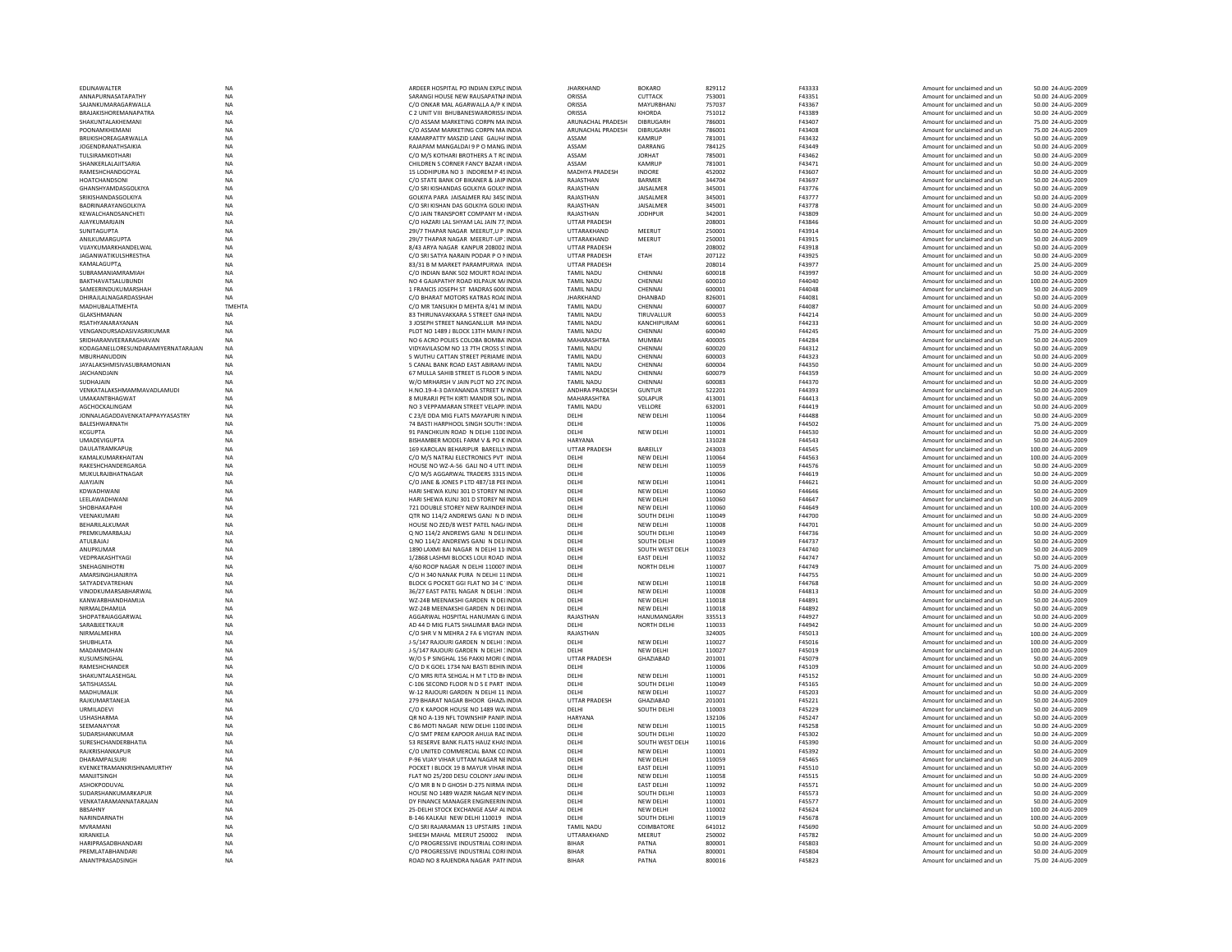| EDLINAWALTER                       | NA        | ARDEER HOSPITAL PO INDIAN EXPLC INDIA       | <b>JHARKHAND</b>      | <b>BOKARO</b>     | 829112 | F43333 | Amount for unclaimed and ur | 50.00 24-AUG-2009  |
|------------------------------------|-----------|---------------------------------------------|-----------------------|-------------------|--------|--------|-----------------------------|--------------------|
|                                    |           |                                             |                       |                   |        |        |                             |                    |
| ANNAPURNASATAPATHY                 | NA        | SARANGI HOUSE NEW RAUSAPATNA INDIA          | ORISSA                | CUTTACK           | 753001 | F43351 | Amount for unclaimed and un | 50.00 24-AUG-2009  |
| SAJANKUMARAGARWALLA                | <b>NA</b> | C/O ONKAR MAL AGARWALLA A/P K INDIA         | ORISSA                | MAYURBHANJ        | 757037 | F43367 | Amount for unclaimed and un | 50.00 24-AUG-2009  |
| <b>BRAIAKISHORFMANAPATRA</b>       | <b>NA</b> | C 2 UNIT VIII BHURANESWARORISS/INDIA        | ORISSA                | KHORDA            | 751012 | F43389 | Amount for unclaimed and un | 50.00 24-AUG-2009  |
| SHAKUNTALAKHEMANI                  | NA        | C/O ASSAM MARKETING CORPN MA INDIA          | ARUNACHAL PRADESH     | DIBRUGARH         | 786001 | F43407 | Amount for unclaimed and un | 75.00 24-AUG-2009  |
| POONAMKHEMAN                       | NA        | C/O ASSAM MARKETING CORPN MA INDIA          | ARUNACHAL PRADESH     | <b>DIBRUGARH</b>  | 786001 | F43408 | Amount for unclaimed and un | 75.00 24-AUG-2009  |
| <b>BRUKISHOREAGARWALLA</b>         | <b>NA</b> | KAMARPATTY MASZID LANE GAUHA INDIA          | ASSAM                 | KAMRUP            | 781001 | F43432 | Amount for unclaimed and un | 50.00 24-AUG-2009  |
|                                    |           |                                             |                       |                   |        |        |                             |                    |
| JOGENDRANATHSAIKIA                 | <b>NA</b> | RAJAPAM MANGALDAI 9 P O MANG INDIA          | ASSAM                 | DARRANG           | 784125 | F43449 | Amount for unclaimed and un | 50.00 24-AUG-2009  |
| TUI SIRAMKOTHARI                   | <b>NA</b> | C/O M/S KOTHARI BROTHERS A T RC INDIA       | ASSAM                 | <b>IORHAT</b>     | 785001 | F43462 | Amount for unclaimed and un | 50.00 24-AUG-2009  |
| SHANKERLALAJITSARIA                | NA        | CHILDREN S CORNER FANCY BAZAR (INDIA        | ASSAM                 | KAMRUF            | 781001 | F43471 | Amount for unclaimed and un | 50.00 24-AUG-2009  |
| RAMESHCHANDGOYAL                   | <b>NA</b> | 15 LODHIPURA NO 3 INDOREM P 45 INDIA        | MADHYA PRADESH        | <b>INDORE</b>     | 452002 | F43607 | Amount for unclaimed and un | 50.00 24-AUG-2009  |
|                                    |           |                                             | RAJASTHAN             |                   | 344704 |        |                             |                    |
| HOATCHANDSONI                      | <b>NA</b> | C/O STATE BANK OF BIKANER & JAIP INDIA      |                       | BARMER            |        | F43697 | Amount for unclaimed and un | 50.00 24-AUG-2009  |
| <b>GHANSHYAMDASGOI KIYA</b>        | <b>NA</b> | C/O SRLKISHANDAS GOLKIYA GOLKIYINDIA        | RAIASTHAN             | <b>JAISALMER</b>  | 345001 | F43776 | Amount for unclaimed and un | 50.00 24-AUG-2009  |
| SRIKISHANDASGOLKIYA                | NA        | GOLKIYA PARA JAISALMER RAJ 345C INDIA       | RAJASTHAN             | JAISALMER         | 345001 | F43777 | Amount for unclaimed and un | 50.00 24-AUG-2009  |
| BADRINARAYANGOLKIYA                | NA        | C/O SRI KISHAN DAS GOLKIYA GOLKI INDIA      | RAJASTHAN             | JAISALMER         | 345001 | F43778 | Amount for unclaimed and un | 50.00 24-AUG-2009  |
| KEWALCHANDSANCHETI                 | NA        | C/O JAIN TRANSPORT COMPANY M (INDIA         | RAJASTHAN             | <b>JODHPUR</b>    | 342001 | F43809 | Amount for unclaimed and un | 50.00 24-AUG-2009  |
|                                    |           |                                             |                       |                   |        |        |                             |                    |
| AJAYKUMARJAIN                      | <b>NA</b> | C/O HAZARI LAL SHYAM LAL JAIN 77. INDIA     | <b>UTTAR PRADESH</b>  |                   | 208001 | F43846 | Amount for unclaimed and un | 50.00 24-AUG-2009  |
| SUNITAGUPTA                        | <b>NA</b> | 291/7 THAPAR NAGAR MEERUT U.P. INDIA        | <b>UTTARAKHAND</b>    | MFFRUT            | 250001 | F43914 | Amount for unclaimed and un | 50.00 24-AUG-2009  |
| ANILKUMARGUPTA                     | NA        | 291/7 THAPAR NAGAR MEERUT-UP : INDIA        | UTTARAKHAND           | MEERUT            | 250001 | F43915 | Amount for unclaimed and un | 50.00 24-AUG-2009  |
| VUAYKUMARKHANDELWAL                | <b>NA</b> | 8/43 ARYA NAGAR KANPUR 208002 INDIA         | <b>UTTAR PRADESH</b>  |                   | 208002 | F43918 | Amount for unclaimed and un | 50.00 24-AUG-2009  |
| <b>JAGANWATIKULSHRESTHA</b>        | NA        | C/O SRI SATYA NARAIN PODAR P O NINDIA       | <b>UTTAR PRADESH</b>  | ETAH              | 207122 | F43925 |                             | 50.00 24-AUG-2009  |
|                                    |           |                                             |                       |                   |        |        | Amount for unclaimed and un |                    |
| KAMAI AGUPTA                       | <b>NA</b> | 83/31 B M MARKET PARAMPURWA INDIA           | <b>UTTAR PRADESH</b>  |                   | 208014 | F43977 | Amount for unclaimed and un | 25.00.24-AUG-2009  |
| SUBRAMANIAMRAMIAH                  | <b>NA</b> | C/O INDIAN BANK 502 MOURT ROAI INDIA        | <b>TAMIL NADU</b>     | CHENNAL           | 600018 | F43997 | Amount for unclaimed and un | 50.00 24-AUG-2009  |
| BAKTHAVATSALUBUNDI                 | NA        | NO 4 GAJAPATHY ROAD KILPAUK M/ INDIA        | <b>TAMIL NADU</b>     | CHENNAI           | 600010 | F44040 | Amount for unclaimed and un | 100.00 24-AUG-2009 |
| SAMEERINDUKUMARSHAH                | NA        | 1 FRANCIS JOSEPH ST MADRAS 600(INDIA        | <b>TAMIL NADU</b>     | CHENNAI           | 600001 | F44048 | Amount for unclaimed and un | 50.00 24-AUG-2009  |
| DHIRAJLALNAGARDASSHAH              | <b>NA</b> | C/O BHARAT MOTORS KATRAS ROALINDIA          | <b>JHARKHAND</b>      | DHANBAD           | 826001 | F44081 |                             | 50.00 24-AUG-2009  |
|                                    |           |                                             |                       |                   |        |        | Amount for unclaimed and un |                    |
| MADHURAI ATMEHTA                   | TMFHTA    | C/O MR TANSUKH D MEHTA 8/41 M INDIA         | <b>TAMIL NADU</b>     | CHENNAL           | 600007 | F44087 | Amount for unclaimed and un | 50.00 24-AUG-2009  |
| GLAKSHMANAN                        | NA        | 83 THIRUNAVAKKARA S STREET GNA INDIA        | <b>TAMIL NADU</b>     | TIRUVALLUR        | 600053 | F44214 | Amount for unclaimed and un | 50.00 24-AUG-2009  |
| RSATHYANARAYANAN                   | NA        | 3 JOSEPH STREET NANGANLLUR MAINDIA          | <b>TAMIL NADU</b>     | KANCHIPURAM       | 600061 | F44233 | Amount for unclaimed and un | 50.00 24-AUG-2009  |
| VENGANDURSADASIVASRIKUMAR          | NA        | PLOT NO 1489 J BLOCK 13TH MAIN FINDIA       | <b>TAMIL NADU</b>     | CHENNAI           | 600040 | F44245 | Amount for unclaimed and un | 75.00 24-AUG-2009  |
|                                    |           |                                             |                       |                   | 400005 |        |                             |                    |
| SRIDHARANVEERARAGHAVAN             | <b>NA</b> | NO 6 ACRO POLIES COLOBA BOMBA INDIA         | MAHARASHTRA           | <b>MUMBAI</b>     |        | F44284 | Amount for unclaimed and un | 50.00 24-AUG-2009  |
| KODAGANELLORESUNDARAMIYERNATARAJAN | NA        | VIDYAVILASOM NO 13 7TH CROSS STINDIA        | <b>TAMIL NADU</b>     | CHENNAI           | 600020 | F44312 | Amount for unclaimed and un | 50.00 24-AUG-2009  |
| MBURHANUDDIN                       | <b>NA</b> | 5 WUTHU CATTAN STREET PERIAME INDIA         | <b>TAMIL NADU</b>     | CHENNAI           | 600003 | F44323 | Amount for unclaimed and un | 50.00 24-AUG-2009  |
| JAYALAKSHMISIVASUBRAMONIAN         | NA        | 5 CANAL BANK ROAD EAST ABIRAM/ INDIA        | <b>TAMIL NADU</b>     | CHENNAI           | 600004 | F44350 | Amount for unclaimed and un | 50.00 24-AUG-2009  |
| <b>JAICHANDJAIN</b>                | <b>NA</b> | 67 MULLA SAHIB STREET IS FLOOR SHNDIA       | <b>TAMIL NADU</b>     | CHENNAI           | 600079 | F44359 | Amount for unclaimed and un | 50.00 24-AUG-2009  |
|                                    |           |                                             |                       |                   |        |        |                             |                    |
| SUDHAJAIN                          | <b>NA</b> | W/O MRHARSH V JAIN PLOT NO 27C INDIA        | <b>TAMIL NADU</b>     | CHENNAI           | 600083 | F44370 | Amount for unclaimed and un | 50.00 24-AUG-2009  |
| VENKATALAKSHMAMMAVADLAMUDI         | NA        | H.NO.19-4-3 DAYANANDA STREET MINDIA         | <b>ANDHRA PRADESH</b> | <b>GUNTUR</b>     | 522201 | F44393 | Amount for unclaimed and un | 50.00 24-AUG-2009  |
| <b>UMAKANTBHAGWAT</b>              | NA        | 8 MURARJI PETH KIRTI MANDIR SOL INDIA       | MAHARASHTRA           | SOLAPUR           | 413001 | F44413 | Amount for unclaimed and un | 50.00 24-AUG-2009  |
| AGCHOCKALINGAM                     | NA        | NO 3 VEPPAMARAN STREET VELAPP. INDIA        | <b>TAMIL NADU</b>     | VELLORE           | 632001 | F44419 | Amount for unclaimed and un | 50.00 24-AUG-2009  |
|                                    |           |                                             |                       |                   |        |        |                             |                    |
| JONNALAGADDAVENKATAPPAYYASASTRY    | <b>NA</b> | C 23/E DDA MIG FLATS MAYAPURI NINDIA        | DELHI                 | <b>NEW DELHI</b>  | 110064 | F44488 | Amount for unclaimed and un | 50.00 24-AUG-2009  |
| <b>RAI FSHWARNATH</b>              | <b>NA</b> | <b>74 BASTI HARPHOOL SINGH SOUTH 'INDIA</b> | DELHI                 |                   | 110006 | F44502 | Amount for unclaimed and un | 75.00 24-AUG-2009  |
| KCGUPTA                            | NA        | 91 PANCHKUIN ROAD N DELHI 1100 INDIA        | DELHI                 | NEW DELHI         | 110001 | F44530 | Amount for unclaimed and un | 50.00 24-AUG-2009  |
| <b>UMADEVIGUPTA</b>                | NA        | BISHAMBER MODEL FARM V & PO K INDIA         | HARYANA               |                   | 131028 | F44543 | Amount for unclaimed and un | 50.00 24-AUG-2009  |
| DAULATRAMKAPUR                     | <b>NA</b> | 169 KAROLAN BEHARIPUR BAREILLY INDIA        | <b>UTTAR PRADESH</b>  | BAREILLY          | 243003 | F44545 | Amount for unclaimed and un | 100.00 24-AUG-2009 |
|                                    |           |                                             |                       |                   |        |        |                             |                    |
| KAMALKUMARKHAITAN                  | <b>NA</b> | C/O M/S NATRAJ ELECTRONICS PVT INDIA        | DELHI                 | <b>NEW DELHI</b>  | 110064 | F44563 | Amount for unclaimed and un | 100.00 24-AUG-2009 |
| RAKESHCHANDERGARGA                 | <b>NA</b> | HOUSE NO W7-A-56 GALLNO 4 UTT INDIA         | DELHI                 | <b>NEW DELHI</b>  | 110059 | F44576 | Amount for unclaimed and un | 50.00 24-AUG-2009  |
| MUKULRAJBHATNAGAR                  | NA        | C/O M/S AGGARWAL TRADERS 3315 INDIA         | DELHI                 |                   | 110006 | F44619 | Amount for unclaimed and un | 50.00 24-AUG-2009  |
| <b>AJAYJAIN</b>                    | <b>NA</b> | C/O JANE & JONES P LTD 487/18 PEEINDIA      | DELHI                 | NEW DELHI         | 110041 | F44621 | Amount for unclaimed and un | 50.00 24-AUG-2009  |
| KDWADHWAN                          | NA        | HARI SHEWA KUNJ 301 D STOREY NEINDIA        | DELHI                 | NEW DELHI         | 110060 | F44646 | Amount for unclaimed and un | 50.00 24-AUG-2009  |
|                                    |           |                                             |                       |                   |        |        |                             |                    |
| <b>I FFI AWADHWANI</b>             | <b>NA</b> | HARI SHEWA KUNI 301 D STOREY NEINDIA        | DELHI                 | NFW DFI HI        | 110060 | F44647 | Amount for unclaimed and un | 50.00 24-AUG-2009  |
| SHOBHAKAPAHI                       | <b>NA</b> | 721 DOUBLE STOREY NEW RAJINDEF INDIA        | DELHI                 | <b>NEW DELHI</b>  | 110060 | F44649 | Amount for unclaimed and un | 100.00 24-AUG-2009 |
| VEENAKUMARI                        | NA        | QTR NO 114/2 ANDREWS GANJ N D INDIA         | DELHI                 | SOUTH DELH        | 110049 | F44700 | Amount for unclaimed and un | 50.00 24-AUG-2009  |
| BEHARILALKUMA                      | NA        | HOUSE NO ZED/8 WEST PATEL NAG/ INDIA        | DELHI                 | NEW DELHI         | 110008 | F44701 | Amount for unclaimed and un | 50.00 24-AUG-2009  |
| PREMKUMARBAJAJ                     |           |                                             |                       | SOUTH DELHI       | 110049 | F44736 |                             |                    |
|                                    | NA        | Q NO 114/2 ANDREWS GANJ N DELHNDIA          | DELHI                 |                   |        |        | Amount for unclaimed and un | 50.00 24-AUG-2009  |
| ATUI BAIAI                         | <b>NA</b> | O NO 114/2 ANDREWS GANJ N DELHNDIA          | DELHI                 | SOUTH DELHI       | 110049 | F44737 | Amount for unclaimed and un | 50.00 24-AUG-2009  |
| ANUPKUMAF                          | <b>NA</b> | 1890 LAXMI BAI NAGAR N DELHI 11 INDIA       | DELHI                 | SOUTH WEST DELH   | 110023 | F44740 | Amount for unclaimed and un | 50.00 24-AUG-2009  |
| VEDPRAKASHTYAGI                    | <b>NA</b> | 1/2868 LASHMI BLOCKS LOUI ROAD INDIA        | DELHI                 | <b>EAST DELHI</b> | 110032 | F44747 | Amount for unclaimed and un | 50.00 24-AUG-2009  |
| SNEHAGNIHOTRI                      | NA        | 4/60 ROOP NAGAR N DELHI 110007 INDIA        | DELHI                 | NORTH DELHI       | 110007 | F44749 | Amount for unclaimed and un | 75.00 24-AUG-2009  |
|                                    |           |                                             |                       |                   |        |        |                             |                    |
| <b>AMARSINGHIANIRIYA</b>           | <b>NA</b> | C/O H 340 NANAK PURA N DELHI 11 INDIA       | DELHI                 |                   | 110021 | F44755 | Amount for unclaimed and un | 50.00 24-AUG-2009  |
| SATYADEVATREHAN                    | <b>NA</b> | BLOCK G POCKET GGI FLAT NO 34 C 'INDIA      | DELHI                 | <b>NEW DELHI</b>  | 110018 | F44768 | Amount for unclaimed and un | 50.00 24-AUG-2009  |
| VINODKUMARSABHARWAL                | <b>NA</b> | 36/27 FAST PATEL NAGAR N DELHI 'INDIA       | DELHI                 | NEW DELHI         | 110008 | F44813 | Amount for unclaimed and un | 50.00 24-AUG-2009  |
| KANWARBHANDHAMIJA                  | <b>NA</b> | WZ-24B MEENAKSHI GARDEN N DELINDIA          | DELHI                 | NEW DELHI         | 110018 | F44891 | Amount for unclaimed and un | 50.00 24-AUG-2009  |
|                                    |           |                                             |                       |                   |        |        |                             |                    |
| NIRMALDHAMIJA                      | NA        | WZ-24B MEENAKSHI GARDEN N DELINDIA          | DELHI                 | NEW DELHI         | 110018 | F44892 | Amount for unclaimed and un | 50.00 24-AUG-2009  |
| SHOPATRAIAGGARWAL                  | <b>NA</b> | AGGARWAL HOSPITAL HANUMAN G INDIA           | RAJASTHAN             | HANUMANGARH       | 335513 | F44927 | Amount for unclaimed and un | 50.00 24-AUG-2009  |
| SARABJEETKAUR                      | NA        | AD 44 D MIG FLATS SHALIMAR BAGHNDIA         | DELHI                 | NORTH DELHI       | 110033 | F44942 | Amount for unclaimed and un | 50.00 24-AUG-2009  |
| NIRMALMEHRA                        | NA        | C/O SHR V N MEHRA 2 FA 6 VIGYAN INDIA       | RAJASTHAN             |                   | 324005 | F45013 | Amount for unclaimed and un | 100.00 24-AUG-2009 |
| SHUBHLATA                          | NA        | J-5/147 RAJOURI GARDEN N DELHI 1INDIA       | DELHI                 | NEW DELHI         | 110027 | F45016 | Amount for unclaimed and un | 100.00 24-AUG-2009 |
| MADANMOHAN                         | <b>NA</b> | J-5/147 RAJOURI GARDEN N DELHI 1INDIA       | DELHI                 | NEW DELHI         | 110027 | F45019 | Amount for unclaimed and un | 100.00 24-AUG-2009 |
|                                    |           |                                             |                       |                   |        |        |                             |                    |
| KUSUMSINGHAL                       | <b>NA</b> | W/O S P SINGHAL 156 PAKKI MORI CINDIA       | <b>UTTAR PRADESH</b>  | GHAZIABAD         | 201001 | F45079 | Amount for unclaimed and un | 50.00 24-AUG-2009  |
| RAMESHCHANDER                      | <b>NA</b> | C/O D K GOEL 1734 NAI BASTI BEHIN INDIA     | DELHI                 |                   | 110006 | F45109 | Amount for unclaimed and un | 50.00 24-AUG-2009  |
| SHAKUNTALASEHGAL                   | NA        | C/O MRS RITA SEHGAL H M T LTD BI INDIA      | DELHI                 | NEW DELHI         | 110001 | F45152 | Amount for unclaimed and un | 50.00 24-AUG-2009  |
| SATISHIASSAI                       | NA        | C-106 SECOND FLOOR N D S E PART INDIA       | DELHI                 | SOUTH DELHI       | 110049 | F45165 | Amount for unclaimed and un | 50.00 24-AUG-2009  |
|                                    |           |                                             |                       |                   |        |        |                             |                    |
| MADHUMALIK                         | <b>NA</b> | W-12 RAJOURI GARDEN N DELHI 11 INDIA        | DELHI                 | NEW DELHI         | 110027 | F45203 | Amount for unclaimed and un | 50.00 24-AUG-2009  |
| RAIKUMARTANFIA                     | <b>NA</b> | 279 BHARAT NAGAR BHOOR GHAZLINDIA           | <b>UTTAR PRADESH</b>  | <b>GHAZIARAD</b>  | 201001 | F45221 | Amount for unclaimed and un | 50.00 24-AUG-2009  |
| URMILADEVI                         | NA        | C/O K KAPOOR HOUSE NO 1489 WA INDIA         | DELHI                 | SOUTH DELHI       | 110003 | F45229 | Amount for unclaimed and un | 50.00 24-AUG-2009  |
| <b>USHASHARMA</b>                  | NA        | QR NO A-139 NFL TOWNSHIP PANIP INDIA        | HARYANA               |                   | 132106 | F45247 | Amount for unclaimed and un | 50.00 24-AUG-2009  |
| SEEMANAYYAR                        | <b>NA</b> | C 86 MOTI NAGAR NEW DELHI 1100 INDIA        | DELHI                 | NEW DELHI         | 110015 | F45258 |                             | 50.00 24-AUG-2009  |
|                                    |           |                                             |                       |                   |        |        | Amount for unclaimed and un |                    |
| SUDARSHANKUMAR                     | <b>NA</b> | C/O SMT PREM KAPOOR AHUJA RAC INDIA         | DELHI                 | SOUTH DELHI       | 110020 | F45302 | Amount for unclaimed and un | 50.00 24-AUG-2009  |
| <b>SURFSHCHANDERRHATIA</b>         | <b>NA</b> | 53 RESERVE BANK FLATS HAUZ KHAS INDIA       | DELHI                 | SOUTH WEST DELH   | 110016 | F45390 | Amount for unclaimed and un | 50.00 24-AUG-2009  |
| RAJKRISHANKAPUF                    | NA        | C/O UNITED COMMERCIAL BANK COINDIA          | DELHI                 | NEW DELHI         | 110001 | F45392 | Amount for unclaimed and un | 50.00 24-AUG-2009  |
| DHARAMPALSUR                       | <b>NA</b> | P-96 VIJAY VIHAR UTTAM NAGAR NEINDIA        | DELHI                 | NEW DELHI         | 110059 | F45465 | Amount for unclaimed and un | 50.00 24-AUG-2009  |
|                                    |           |                                             |                       |                   |        |        |                             |                    |
| KVENKETRAMANKRISHNAMURTHY          | <b>NA</b> | POCKET I BLOCK 19 B MAYUR VIHAR INDIA       | DELHI                 | <b>EAST DELHI</b> | 110091 | F45510 | Amount for unclaimed and un | 50.00 24-AUG-2009  |
| MANIITSINGH                        | <b>NA</b> | FLAT NO 25/200 DESU COLONY JANJINDIA        | DELHI                 | NFW DFI HI        | 110058 | F45515 | Amount for unclaimed and un | 50.00 24-AUG-2009  |
| ASHOKPODUVAL                       | <b>NA</b> | C/O MR B N D GHOSH D-275 NIRMA INDIA        | DELHI                 | <b>EAST DELHI</b> | 110092 | F45571 | Amount for unclaimed and un | 50.00 24-AUG-2009  |
| SUDARSHANKUMARKAPUR                | NA        | HOUSE NO 1489 WAZIR NAGAR NEV INDIA         | DELHI                 | SOUTH DELHI       | 110003 | F45573 | Amount for unclaimed and un | 50.00 24-AUG-2009  |
| VENKATARAMANNATARAJAN              | NA        | DY FINANCE MANAGER ENGINEERIN INDIA         | DELHI                 | NEW DELHI         | 110001 | F45577 | Amount for unclaimed and un | 50.00 24-AUG-2009  |
|                                    |           |                                             |                       |                   |        |        |                             |                    |
| BBSAHNY                            |           |                                             |                       | <b>NEW DELHI</b>  | 110002 | F45624 | Amount for unclaimed and un | 100.00 24-AUG-2009 |
|                                    | <b>NA</b> | 25-DELHI STOCK EXCHANGE ASAF ALINDIA        | DELHI                 |                   |        |        |                             |                    |
| NARINDARNATH                       | <b>NA</b> | B-146 KALKAJI NEW DELHI 110019 INDIA        | <b>DELHI</b>          | SOUTH DELHI       | 110019 | F45678 | Amount for unclaimed and un | 100.00 24-AUG-2009 |
| <b>MVRAMANI</b>                    | <b>NA</b> | C/O SRI RAJARAMAN 13 UPSTAIRS 1INDIA        | <b>TAMIL NADU</b>     | COIMBATORE        | 641012 | F45690 | Amount for unclaimed and un | 50.00 24-AUG-2009  |
|                                    |           |                                             |                       |                   |        |        |                             |                    |
| KIRANKELA                          | <b>NA</b> | SHEESH MAHAL MEERUT 250002 INDIA            | UTTARAKHAND           | MEERUT            | 250002 | F45782 | Amount for unclaimed and un | 50.00 24-AUG-2009  |
| HARIPRASADBHANDARI                 | NA        | C/O PROGRESSIVE INDUSTRIAL CORFINDIA        | <b>BIHAR</b>          | PATNA             | 800001 | F45803 | Amount for unclaimed and un | 50.00 24-AUG-2009  |
| PREMI ATARHANDARI                  | <b>NA</b> | C/O PROGRESSIVE INDUSTRIAL CORLINDIA        | <b>BIHAR</b>          | PATNA             | 800001 | F45804 | Amount for unclaimed and un | 50.00 24-AUG-2009  |
| ANANTPRASADSINGH                   | <b>NA</b> | ROAD NO 8 RAJENDRA NAGAR PATI INDIA         | <b>BIHAR</b>          | PATNA             | 800016 | F45823 | Amount for unclaimed and un | 75.00 24-AUG-2009  |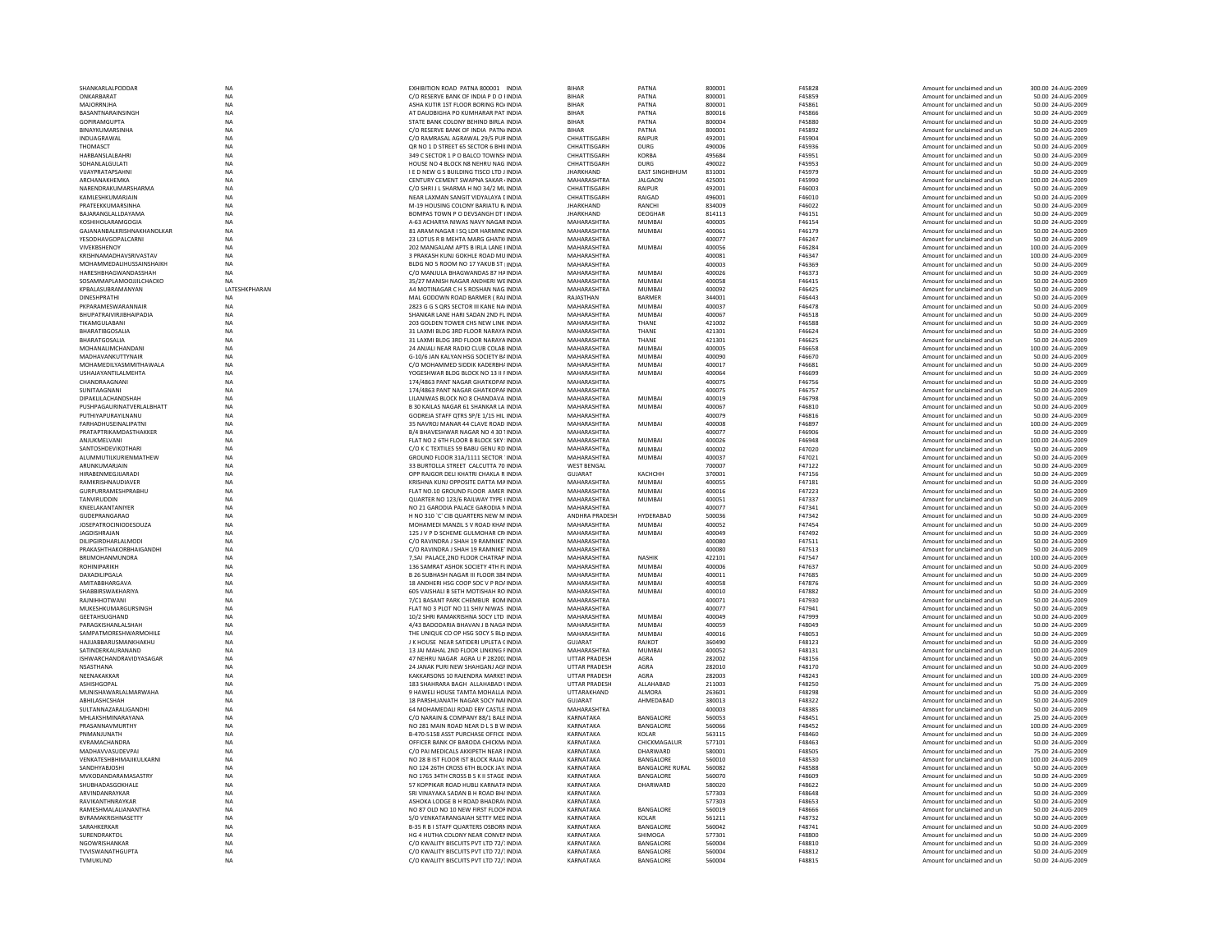| SHANKARLALPODDAR                                        | <b>NA</b>              | EXHIBITION ROAD PATNA 800001 INDIA                                              | <b>BIHAR</b>                                 | PATNA                                | 800001           | F45828                  | Amount for unclaimed and un                                | 300.00 24-AUG-2009                      |
|---------------------------------------------------------|------------------------|---------------------------------------------------------------------------------|----------------------------------------------|--------------------------------------|------------------|-------------------------|------------------------------------------------------------|-----------------------------------------|
| ONKARBARAT                                              | <b>NA</b>              | C/O RESERVE BANK OF INDIA P D O I INDIA                                         | <b>BIHAR</b>                                 | PATNA                                | 800001           | F45859                  | Amount for unclaimed and un                                | 50.00 24-AUG-2009                       |
| MAJORRNJHA<br>BASANTNARAINSINGH                         | <b>NA</b><br>NA        | ASHA KUTIR 1ST FLOOR BORING RO/ INDIA<br>AT DAUDBIGHA PO KUMHARAR PAT INDIA     | <b>BIHAR</b><br><b>BIHAR</b>                 | PATNA<br>PATNA                       | 800001<br>800016 | F45861<br>F45866        | Amount for unclaimed and un<br>Amount for unclaimed and un | 50.00 24-AUG-2009<br>50.00 24-AUG-2009  |
| <b>GOPIRAMGUPTA</b>                                     | <b>NA</b>              | STATE BANK COLONY BEHIND BIRLA INDIA                                            | <b>BIHAR</b>                                 | PATNA                                | 800004           | F45880                  | Amount for unclaimed and un                                | 50.00 24-AUG-2009                       |
| BINAYKUMARSINHA                                         | <b>NA</b>              | C/O RESERVE BANK OF INDIA PATN/INDIA                                            | <b>BIHAR</b>                                 | PATNA                                | 800001           | F45892                  | Amount for unclaimed and un                                | 50.00 24-AUG-2009                       |
| <b>INDUAGRAWAL</b>                                      | <b>NA</b>              | C/O RAMRASAL AGRAWAL 29/5 PUBINDIA                                              | CHHATTISGARH                                 | RAIPUR                               | 492001           | F45904                  | Amount for unclaimed and un                                | 50.00 24-AUG-2009                       |
| THOMASCT                                                | NA                     | QR NO 1 D STREET 65 SECTOR 6 BHILINDIA                                          | CHHATTISGARH                                 | <b>DURG</b>                          | 490006           | F45936                  | Amount for unclaimed and un                                | 50.00 24-AUG-2009                       |
| HARBANSLALBAHR                                          | NA                     | 349 C SECTOR 1 P O BALCO TOWNSHINDIA                                            | CHHATTISGARH                                 | <b>KORBA</b>                         | 495684           | F45951                  | Amount for unclaimed and un                                | 50.00 24-AUG-2009                       |
| <b>SOHANLALGULATI</b><br>VUAYPRATAPSAHNI                | <b>NA</b><br><b>NA</b> | HOUSE NO 4 BLOCK N8 NEHRU NAG INDIA<br>I E D NEW G S BUILDING TISCO LTD J INDIA | CHHATTISGARH<br><b>JHARKHAND</b>             | <b>DURG</b><br><b>EAST SINGHBHUM</b> | 490022<br>831001 | F45953<br>F45979        | Amount for unclaimed and un<br>Amount for unclaimed and un | 50.00 24-AUG-2009<br>50.00 24-AUG-2009  |
| ARCHANAKHEMKA                                           | $_{\sf NA}$            | CENTURY CEMENT SWAPNA SAKAR (INDIA                                              | <b>MAHARASHTRA</b>                           | <b>JALGAON</b>                       | 425001           | F45990                  | Amount for unclaimed and un                                | 100.00 24-AUG-2009                      |
| NARENDRAKUMARSHARMA                                     | NA                     | C/O SHRIJ L SHARMA H NO 34/2 ML INDIA                                           | CHHATTISGARH                                 | RAIPUR                               | 492001           | F46003                  | Amount for unclaimed and un                                | 50.00 24-AUG-2009                       |
| KAMLESHKUMARJAIN                                        | <b>NA</b>              | NEAR LAXMAN SANGIT VIDYALAYA E INDIA                                            | CHHATTISGARH                                 | RAIGAD                               | 496001           | F46010                  | Amount for unclaimed and un                                | 50.00 24-AUG-2009                       |
| PRATEEKKUMARSINHA                                       | <b>NA</b>              | M-19 HOUSING COLONY BARIATU R INDIA                                             | <b>JHARKHAND</b>                             | RANCHI                               | 834009           | F46022                  | Amount for unclaimed and un                                | 50.00 24-AUG-2009                       |
| <b>BAIARANGI ALLDAYAMA</b>                              | <b>NA</b>              | <b>ROMPAS TOWN P O DEVSANGH DT HNDIA</b>                                        | <b>IHARKHAND</b>                             | DEOGHAR                              | 814113           | F46151                  | Amount for unclaimed and un                                | 50.00 24-AUG-2009                       |
| KOSHIHOLARAMGOGIA                                       | NA                     | A-63 ACHARYA NIWAS NAVY NAGAR INDIA                                             | <b>MAHARASHTRA</b>                           | <b>MUMBA</b>                         | 400005           | F46154                  | Amount for unclaimed and un                                | 50.00 24-AUG-2009                       |
| GAJANANBALKRISHNAKHANOLKAR<br><b>YESODHAVGOPALCARNI</b> | NA<br><b>NA</b>        | 81 ARAM NAGAR I SQ LDR HARMINE INDIA<br>23 LOTUS R B MEHTA MARG GHATK INDIA     | <b>MAHARASHTRA</b><br><b>MAHARASHTRA</b>     | <b>MUMBA</b>                         | 400061<br>400077 | F46179<br>F46247        | Amount for unclaimed and un<br>Amount for unclaimed and un | 50.00 24-AUG-2009<br>50.00 24-AUG-2009  |
| VIVEKBSHENOY                                            | <b>NA</b>              | 202 MANGALAM APTS B IRLA LANE I INDIA                                           | MAHARASHTRA                                  | <b>MUMBA</b>                         | 400056           | F46284                  | Amount for unclaimed and un                                | 100.00 24-AUG-2009                      |
| KRISHNAMADHAVSRIVASTAV                                  | <b>NA</b>              | 3 PRAKASH KUNI GOKHI E ROAD MUJINDIA                                            | MAHARASHTRA                                  |                                      | 400081           | F46347                  | Amount for unclaimed and un                                | 100.00 24-AUG-2009                      |
| MOHAMMEDALIHUSSAINSHAIKH                                | NA                     | BLDG NO 5 ROOM NO 17 YAKUB ST IINDIA                                            | MAHARASHTRA                                  |                                      | 400003           | F46369                  | Amount for unclaimed and un                                | 50.00 24-AUG-2009                       |
| HARESHBHAGWANDASSHAH                                    | NA                     | C/O MANJULA BHAGWANDAS 87 HAINDIA                                               | <b>MAHARASHTRA</b>                           | <b>MUMBA</b>                         | 400026           | F46373                  | Amount for unclaimed and un                                | 50.00 24-AUG-2009                       |
| SOSAMMAPLAMOOJJILCHACKO                                 | <b>NA</b>              | 35/27 MANISH NAGAR ANDHERI WEINDIA                                              | <b>MAHARASHTRA</b>                           | <b>MUMBA</b>                         | 400058           | F46415                  | Amount for unclaimed and un                                | 50.00 24-AUG-2009                       |
| KPBALASUBRAMANYAN                                       | LATESHKPHARAN          | A4 MOTINAGAR C H S ROSHAN NAG. INDIA                                            | MAHARASHTRA                                  | <b>MUMBA</b>                         | 400092           | F46425                  | Amount for unclaimed and un                                | 50.00 24-AUG-2009                       |
| <b>DINESHPRATHI</b>                                     | <b>NA</b>              | MAI GODOWN ROAD BARMER ( RAIINDIA                                               | RAIASTHAN                                    | <b>BARMER</b>                        | 344001           | F46443                  | Amount for unclaimed and un                                | 50.00 24-AUG-2009                       |
| PKPARAMESWARANNAIR<br>BHUPATRAIVIRJIBHAIPADIA           | NA<br><b>NA</b>        | 2823 G G S QRS SECTOR III KANE NA INDIA<br>SHANKAR LANE HARI SADAN 2ND FL INDIA | <b>MAHARASHTRA</b><br><b>MAHARASHTRA</b>     | MUMBAI<br><b>MUMBA</b>               | 400037<br>400067 | F46478<br>F46518        | Amount for unclaimed and un<br>Amount for unclaimed and un | 50.00 24-AUG-2009<br>50.00 24-AUG-2009  |
| TIKAMGULABANI                                           | NA                     | 203 GOLDEN TOWER CHS NEW LINK INDIA                                             | MAHARASHTRA                                  | THANE                                | 421002           | F46588                  | Amount for unclaimed and un                                | 50.00 24-AUG-2009                       |
| <b>BHARATIRGOSALIA</b>                                  | <b>NA</b>              | 31 LAXMLBLDG 3RD FLOOR NARAYA INDIA                                             | MAHARASHTRA                                  | THANF                                | 421301           | F46624                  | Amount for unclaimed and un                                | 50.00 24-AUG-2009                       |
| <b>BHARATGOSALIA</b>                                    | <b>NA</b>              | 31 LAXMI BLDG 3RD FLOOR NARAYA INDIA                                            | MAHARASHTRA                                  | THANF                                | 421301           | F46625                  | Amount for unclaimed and un                                | 50.00 24-AUG-2009                       |
| MOHANALIMCHANDANI                                       | NA                     | 24 ANJALI NEAR RADIO CLUB COLAB INDIA                                           | MAHARASHTRA                                  | <b>MUMBA</b>                         | 400005           | F46658                  | Amount for unclaimed and un                                | 100.00 24-AUG-2009                      |
| MADHAVANKUTTYNAIR                                       | <b>NA</b>              | G-10/6 JAN KALYAN HSG SOCIETY BAINDIA                                           | MAHARASHTRA                                  | <b>MUMBA</b>                         | 400090           | F46670                  | Amount for unclaimed and un                                | 50.00 24-AUG-2009                       |
| MOHAMEDILYASMMITHAWALA                                  | NA                     | C/O MOHAMMED SIDDIK KADERBH/ INDIA                                              | MAHARASHTRA                                  | <b>MUMBA</b>                         | 400017           | F46681                  | Amount for unclaimed and un                                | 50.00 24-AUG-2009                       |
| <b>USHAIAYANTILAI MEHTA</b><br>CHANDRAAGNANI            | <b>NA</b><br><b>NA</b> | YOGESHWAR BLDG BLOCK NO 13 ILEINDIA<br>174/4863 PANT NAGAR GHATKOPAF INDIA      | MAHARASHTRA<br>MAHARASHTRA                   | <b>MUMBA</b>                         | 400064<br>400075 | F46699<br>F46756        | Amount for unclaimed and un<br>Amount for unclaimed and un | 50.00 24-AUG-2009<br>50.00 24-AUG-2009  |
| SUNITAAGNANI                                            | <b>NA</b>              | 174/4863 PANT NAGAR GHATKOPAF INDIA                                             | <b>MAHARASHTRA</b>                           |                                      | 400075           | F46757                  | Amount for unclaimed and un                                | 50.00 24-AUG-2009                       |
| DIPAKLILACHANDSHAH                                      | <b>NA</b>              | LILANIWAS BLOCK NO 8 CHANDAVA INDIA                                             | <b>MAHARASHTRA</b>                           | <b>MUMBA</b>                         | 400019           | F46798                  | Amount for unclaimed and un                                | 50.00 24-AUG-2009                       |
| PUSHPAGAURINATVERLALBHATT                               | <b>NA</b>              | B 30 KAILAS NAGAR 61 SHANKAR LA INDIA                                           | MAHARASHTRA                                  | <b>MUMBA</b>                         | 400067           | F46810                  | Amount for unclaimed and un                                | 50.00 24-AUG-2009                       |
| PUTHIYAPURAYII NANU                                     | <b>NA</b>              | GODREJA STAFF QTRS SP/E 1/15 HIL INDIA                                          | MAHARASHTRA                                  |                                      | 400079           | F46816                  | Amount for unclaimed and un                                | 50.00 24-AUG-2009                       |
| <b>FARHADHUSFINALIPATNI</b>                             | <b>NA</b>              | 35 NAVROL MANAR 44 CLAVE ROAD INDIA                                             | MAHARASHTRA                                  | MUMBAI                               | 400008           | F46897                  | Amount for unclaimed and un                                | 100.00 24-AUG-2009                      |
| PRATAPTRIKAMDASTHAKKER                                  | <b>NA</b>              | B/4 BHAVESHWAR NAGAR NO 4 30 TINDIA                                             | <b>MAHARASHTRA</b>                           |                                      | 400077           | F46906                  | Amount for unclaimed and un                                | 50.00 24-AUG-2009                       |
| ANJUKMELVANI                                            | <b>NA</b>              | FLAT NO 2 6TH FLOOR B BLOCK SKY : INDIA                                         | MAHARASHTRA                                  | <b>MUMBA</b>                         | 400026           | F46948                  | Amount for unclaimed and un                                | 100.00 24-AUG-2009                      |
| SANTOSHDEVIKOTHAR<br>ALUMMUTILKURIENMATHEW              | <b>NA</b><br><b>NA</b> | C/O K C TEXTILES 59 BABU GENU RD INDIA<br>GROUND FLOOR 31A/1111 SECTOR : INDIA  | MAHARASHTRA<br>MAHARASHTRA                   | MUMBAI<br><b>MUMBA</b>               | 400002<br>400037 | F47020<br>F47021        | Amount for unclaimed and un<br>Amount for unclaimed and un | 50.00 24-AUG-2009<br>50.00 24-AUG-2009  |
| ARUNKUMARJAIN                                           | <b>NA</b>              | 33 BURTOLLA STREET CALCUTTA 70 INDIA                                            | <b>WEST BENGAL</b>                           |                                      | 700007           | F47122                  | Amount for unclaimed and un                                | 50.00 24-AUG-2009                       |
| <b>HIRABENMEGJUARADI</b>                                | <b>NA</b>              | OPP RAJGOR DELI KHATRI CHAKLA R INDIA                                           | GUJARAT                                      | КАСНСНН                              | 370001           | F47156                  | Amount for unclaimed and un                                | 50.00 24-AUG-2009                       |
| RAMKRISHNAUDIAVER                                       | NA                     | KRISHNA KUNJ OPPOSITE DATTA MAINDIA                                             | MAHARASHTRA                                  | MUMBAI                               | 400055           | F47181                  | Amount for unclaimed and un                                | 50.00 24-AUG-2009                       |
| <b>GURPURRAMESHPRABHU</b>                               | <b>NA</b>              | FLAT NO.10 GROUND FLOOR AMER INDIA                                              | MAHARASHTRA                                  | MUMBAI                               | 400016           | F47223                  | Amount for unclaimed and un                                | 50.00 24-AUG-2009                       |
| <b>TANVIRUDDIN</b>                                      | <b>NA</b>              | QUARTER NO 123/6 RAILWAY TYPE (INDIA                                            | MAHARASHTRA                                  | <b>MUMBA</b>                         | 400051           | F47337                  | Amount for unclaimed and un                                | 50.00 24-AUG-2009                       |
| KNEELAKANTANIYEF                                        | NA                     | NO 21 GARODIA PALACE GARODIA NINDIA                                             | <b>MAHARASHTRA</b>                           |                                      | 400077           | F47341                  | Amount for unclaimed and un                                | 50.00 24-AUG-2009                       |
| GUDEPRANGARAO                                           | <b>NA</b>              | H NO 310 'C' CIB QUARTERS NEW M INDIA                                           | ANDHRA PRADESH                               | HYDERABAD                            | 500036           | F47342                  | Amount for unclaimed and un                                | 50.00 24-AUG-2009                       |
| <b>JOSEPATROCINIODESOUZA</b><br><b>JAGDISHRAJAN</b>     | <b>NA</b><br><b>NA</b> | MOHAMEDI MANZIL S V ROAD KHAFINDIA<br>125 J V P D SCHEME GULMOHAR CRINDIA       | MAHARASHTRA<br>MAHARASHTRA                   | <b>MUMBA</b><br><b>MUMBA</b>         | 400052<br>400049 | F47454<br>F47492        | Amount for unclaimed and un<br>Amount for unclaimed and un | 50.00 24-AUG-2009<br>50.00 24-AUG-2009  |
| DILIPGIRDHARLALMODI                                     | <b>NA</b>              | C/O RAVINDRA J SHAH 19 RAMNIKE INDIA                                            | MAHARASHTRA                                  |                                      | 400080           | F47511                  | Amount for unclaimed and un                                | 50.00 24-AUG-2009                       |
| PRAKASHTHAKORBHAIGANDHI                                 | NA                     | C/O RAVINDRA J SHAH 19 RAMNIKE INDIA                                            | MAHARASHTRA                                  |                                      | 400080           | F47513                  | Amount for unclaimed and un                                | 50.00 24-AUG-2009                       |
| BRIJMOHANMUNDRA                                         | NA                     | 7.SAI PALACE.2ND FLOOR CHATRAP INDIA                                            | MAHARASHTRA                                  | <b>NASHIK</b>                        | 422101           | F47547                  | Amount for unclaimed and un                                | 100.00 24-AUG-2009                      |
| <b>ROHINIPARIKH</b>                                     | <b>NA</b>              | 136 SAMRAT ASHOK SOCIETY 4TH FLINDIA                                            | MAHARASHTRA                                  | <b>MUMBA</b>                         | 400006           | F47637                  | Amount for unclaimed and un                                | 50.00 24-AUG-2009                       |
| DAXADILIPGALA                                           | <b>NA</b>              | B 26 SUBHASH NAGAR III FLOOR 384 INDIA                                          | MAHARASHTRA                                  | <b>MUMBA</b>                         | 400011           | F47685                  | Amount for unclaimed and un                                | 50.00 24-AUG-2009                       |
| AMITABBHARGAVA                                          | $_{\sf NA}$            | 18 ANDHERI HSG COOP SOC V P ROA INDIA                                           | MAHARASHTRA                                  | <b>MUMBA</b>                         | 400058           | F47876                  | Amount for unclaimed and un                                | 50.00 24-AUG-2009                       |
| SHABBIRSWAKHARIYA<br>RAINIHHOTWANI                      | NA<br><b>NA</b>        | 605 VAISHALI B SETH MOTISHAH RO INDIA                                           | MAHARASHTRA                                  | <b>MUMBA</b>                         | 400010<br>400071 | F47882<br>F47930        | Amount for unclaimed and un                                | 50.00 24-AUG-2009<br>50.00 24-AUG-2009  |
| MUKESHKUMARGURSINGH                                     | <b>NA</b>              | 7/C1 BASANT PARK CHEMBUR BOMINDIA<br>FLAT NO 3 PLOT NO 11 SHIV NIWAS INDIA      | MAHARASHTRA<br>MAHARASHTRA                   |                                      | 400077           | F47941                  | Amount for unclaimed and un<br>Amount for unclaimed and un | 50.00 24-AUG-2009                       |
| <b>GEFTAHSUGHAND</b>                                    | <b>NA</b>              | 10/2 SHRI RAMAKRISHNA SOCY ITD INDIA                                            | MAHARASHTRA                                  | MUMBAI                               | 400049           | F47999                  | Amount for unclaimed and un                                | 50.00 24-AUG-2009                       |
| PARAGKISHANLALSHAH                                      | NA                     | 4/43 BADODARIA BHAVAN J B NAGA INDIA                                            | MAHARASHTRA                                  | <b>MUMBA</b>                         | 400059           | F48049                  | Amount for unclaimed and un                                | 50.00 24-AUG-2009                       |
| SAMPATMORESHWARMOHILE                                   | NA                     | THE UNIQUE CO OP HSG SOCY S BLD INDIA                                           | <b>MAHARASHTRA</b>                           | <b>MUMBA</b>                         | 400016           | F48053                  | Amount for unclaimed and un                                | 50.00 24-AUG-2009                       |
| HAJIJABBARUSMANKHAKHU                                   | <b>NA</b>              | J K HOUSE NEAR SATIDERI UPLETA CINDIA                                           | <b>GUJARAT</b>                               | RAJKOT                               | 360490           | F48123                  | Amount for unclaimed and un                                | 50.00 24-AUG-2009                       |
| SATINDERKAURANAND                                       | <b>NA</b>              | 13 JAI MAHAL 2ND FLOOR LINKING FINDIA                                           | MAHARASHTRA                                  | <b>MUMBA</b>                         | 400052           | F48131                  | Amount for unclaimed and un                                | 100.00 24-AUG-2009                      |
| <b>ISHWARCHANDRAVIDYASAGAR</b>                          | <b>NA</b>              | 47 NEHRLI NAGAR AGRA U P 28200 INDIA                                            | <b>UTTAR PRADESH</b>                         | AGRA                                 | 282002           | F48156                  | Amount for unclaimed and un                                | 50.00 24-AUG-2009                       |
| NSASTHANA<br>NEENAKAKKAF                                | NA<br><b>NA</b>        | 24 JANAK PURI NEW SHAHGANJ AGF INDIA<br>KAKKARSONS 10 RAJENDRA MARKETINDIA      | <b>UTTAR PRADESH</b><br><b>UTTAR PRADESH</b> | AGRA<br>AGRA                         | 282010<br>282003 | F48170<br>F48243        | Amount for unclaimed and un<br>Amount for unclaimed and un | 50.00 24-AUG-2009<br>100.00 24-AUG-2009 |
| ASHISHGOPAL                                             | <b>NA</b>              | 183 SHAHRARA BAGH ALLAHABAD UNDIA                                               | <b>UTTAR PRADESH</b>                         | ALLAHABAD                            | 211003           | F48250                  | Amount for unclaimed and un                                | 75.00 24-AUG-2009                       |
| MUNISHAWARLALMARWAHA                                    | <b>NA</b>              | 9 HAWELI HOUSE TAMTA MOHALLA INDIA                                              | UTTARAKHAND                                  | ALMORA                               | 263601           | F48298                  | Amount for unclaimed and un                                | 50.00 24-AUG-2009                       |
| <b>ARHII ASHCSHAH</b>                                   | <b>NA</b>              | 18 PARSHUANATH NAGAR SOCY NAHNDIA                                               | GUIARAT                                      | AHMEDABAD                            | 380013           | F48322                  | Amount for unclaimed and un                                | 50.00 24-AUG-2009                       |
| SULTANNAZARALIGANDHI                                    | NA                     | 64 MOHAMEDALI ROAD EBY CASTLE INDIA                                             | <b>MAHARASHTRA</b>                           |                                      | 400003           | F48385                  | Amount for unclaimed and un                                | 50.00 24-AUG-2009                       |
| MHLAKSHMINARAYANA                                       | <b>NA</b>              | C/O NARAIN & COMPANY 88/1 BALE INDIA                                            | KARNATAKA                                    | BANGALORE                            | 560053           | F48451                  | Amount for unclaimed and un                                | 25.00 24-AUG-2009                       |
| PRASANNAVMURTHY                                         | <b>NA</b>              | NO 281 MAIN ROAD NEAR D L S B W INDIA                                           | KARNATAKA                                    | BANGALORE                            | 560066           | F48452                  | Amount for unclaimed and un                                | 100.00 24-AUG-2009                      |
| PNMANIUNATH<br><b>KVRAMACHANDRA</b>                     | <b>NA</b><br><b>NA</b> | B-470-5158 ASST PURCHASE OFFICE INDIA<br>OFFICER BANK OF BARODA CHICKM/ INDIA   | KARNATAKA<br>KARNATAKA                       | KOI AR<br>CHICKMAGALUR               | 563115<br>577101 | F48460<br><b>F48463</b> | Amount for unclaimed and un                                | 50.00 24-AUG-2009                       |
| MADHAVVASUDEVPAI                                        | NA                     | C/O PAI MEDICALS AKKIPETH NEAR LINDIA                                           | KARNATAKA                                    | DHARWARD                             | 580001           | F48505                  | Amount for unclaimed and un<br>Amount for unclaimed and un | 50.00 24-AUG-2009<br>75.00 24-AUG-2009  |
| VENKATESHBHIMAJIKULKARN                                 | <b>NA</b>              | NO 28 B IST FLOOR IST BLOCK RAJAJ INDIA                                         | KARNATAKA                                    | BANGALORE                            | 560010           | F48530                  | Amount for unclaimed and un                                | 100.00 24-AUG-2009                      |
| SANDHYABJOSHI                                           | <b>NA</b>              | NO 124 26TH CROSS 6TH BLOCK JAY INDIA                                           | KARNATAKA                                    | <b>BANGALORE RURAL</b>               | 560082           | F48588                  | Amount for unclaimed and un                                | 50.00 24-AUG-2009                       |
| MVKODANDARAMASASTRY                                     | <b>NA</b>              | NO 1765 34TH CROSS B S K II STAGE INDIA                                         | KARNATAKA                                    | <b>BANGALORE</b>                     | 560070           | F48609                  | Amount for unclaimed and un                                | 50.00 24-AUG-2009                       |
| SHUBHADASGOKHALE                                        | <b>NA</b>              | 57 KOPPIKAR ROAD HUBLI KARNATA INDIA                                            | KARNATAKA                                    | DHARWARD                             | 580020           | F48622                  | Amount for unclaimed and un                                | 50.00 24-AUG-2009                       |
| ARVINDANRAYKAR                                          | <b>NA</b>              | SRI VINAYAKA SADAN B H ROAD BH/ INDIA                                           | KARNATAKA                                    |                                      | 577303           | F48648                  | Amount for unclaimed and un                                | 50.00 24-AUG-2009                       |
| RAVIKANTHNRAYKAR                                        | <b>NA</b>              | ASHOKA LODGE B H ROAD BHADRA\ INDIA                                             | KARNATAKA                                    | <b>BANGALORE</b>                     | 577303           | F48653                  | Amount for unclaimed and un                                | 50.00 24-AUG-2009                       |
| RAMESHMAI AI IANANTHA<br>BVRAMAKRISHNASETTY             | <b>NA</b><br><b>NA</b> | NO 87 OLD NO 10 NEW FIRST FLOOR INDIA<br>S/O VENKATARANGAIAH SETTY MED INDIA    | KARNATAKA<br>KARNATAKA                       | KOI AR                               | 560019<br>561211 | F48666<br>F48732        | Amount for unclaimed and un<br>Amount for unclaimed and un | 50.00 24-AUG-2009<br>50.00 24-AUG-2009  |
| SARAHKERKAR                                             | <b>NA</b>              | B-35 R B I STAFF QUARTERS OSBORN INDIA                                          | KARNATAKA                                    | <b>BANGALORE</b>                     | 560042           | F48741                  | Amount for unclaimed and un                                | 50.00 24-AUG-2009                       |
| SURENDRAKTOL                                            | <b>NA</b>              | HG 4 HUTHA COLONY NEAR CONVENINDIA                                              | KARNATAKA                                    | SHIMOGA                              | 577301           | F48800                  | Amount for unclaimed and un                                | 50.00 24-AUG-2009                       |
| NGOWRISHANKAR                                           | <b>NA</b>              | C/O KWALITY BISCUITS PVT LTD 72/1INDIA                                          | KARNATAKA                                    | BANGALORE                            | 560004           | F48810                  | Amount for unclaimed and un                                | 50.00 24-AUG-2009                       |
| <b>TVVISWANATHGUPTA</b>                                 | <b>NA</b>              | C/O KWALITY BISCUITS PVT LTD 72/1INDIA                                          | KARNATAKA                                    | <b>BANGALORE</b>                     | 560004           | F48812                  | Amount for unclaimed and un                                | 50.00 24-AUG-2009                       |
| TVMUKUND                                                | <b>NA</b>              | C/O KWALITY BISCUITS PVT LTD 72/1INDIA                                          | KARNATAKA                                    | BANGALORE                            | 560004           | F48815                  | Amount for unclaimed and un                                | 50.00 24-AUG-2009                       |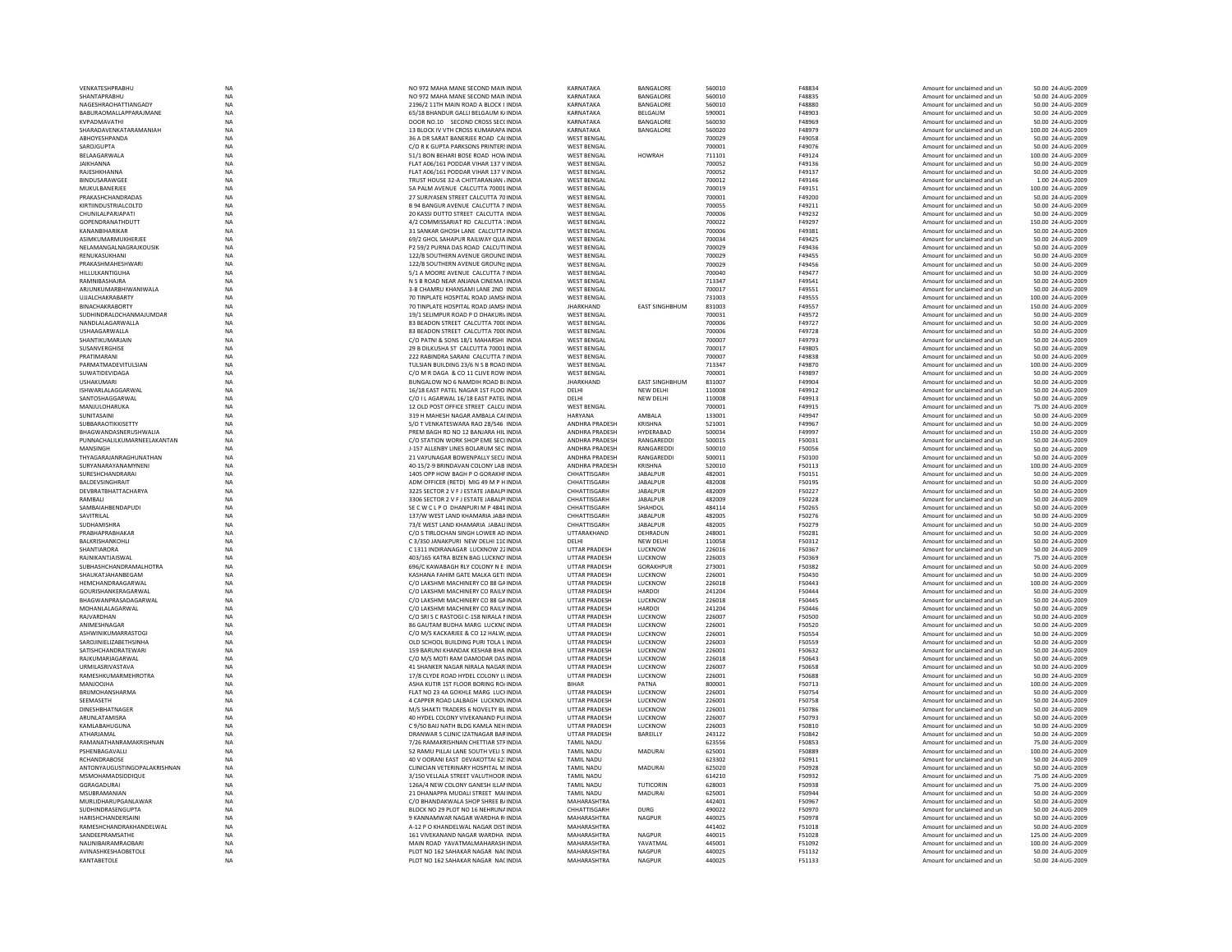| VENKATESHPRABHU                | NA          | NO 972 MAHA MANE SECOND MAIN INDIA         | KARNATAKA             | BANGALORE             | 560010 | F48834        | Amount for unclaimed and ur | 50.00 24-AUG-2009  |
|--------------------------------|-------------|--------------------------------------------|-----------------------|-----------------------|--------|---------------|-----------------------------|--------------------|
| SHANTAPRABHU                   | NA          | NO 972 MAHA MANE SECOND MAIN INDIA         | KARNATAKA             | BANGALORE             | 560010 | F48835        | Amount for unclaimed and un | 50.00 24-AUG-2009  |
| NAGESHRAOHATTIANGADY           | <b>NA</b>   | 2196/2 11TH MAIN ROAD A BLOCK I INDIA      | KARNATAKA             | BANGALORE             | 560010 | F48880        | Amount for unclaimed and un | 50.00 24-AUG-2009  |
| <b>BABURAOMALI APPARAIMANE</b> | <b>NA</b>   | 65/18 BHANDUR GALLI BELGAUM K/INDIA        | KARNATAKA             | <b>REI GAUM</b>       | 590001 | F48903        | Amount for unclaimed and un | 50.00 24-AUG-2009  |
| KVPADMAVATHI                   | <b>NA</b>   | DOOR NO.10 SECOND CROSS SECCINDIA          | KARNATAKA             | BANGALORE             | 560030 | F48969        | Amount for unclaimed and un | 50.00 24-AUG-2009  |
| SHARADAVENKATARAMANIAH         | NA          | 13 BLOCK IV VTH CROSS KUMARAPA INDIA       | KARNATAKA             | BANGALORE             | 560020 | F48979        | Amount for unclaimed and un | 100.00 24-AUG-2009 |
|                                |             |                                            |                       |                       |        |               |                             |                    |
| ABHOYESHPANDA                  | <b>NA</b>   | 36 A DR SARAT BANERJEE ROAD CALINDIA       | <b>WEST BENGAL</b>    |                       | 700029 | F49058        | Amount for unclaimed and un | 50.00 24-AUG-2009  |
| SAROJGUPTA                     | <b>NA</b>   | C/O R K GUPTA PARKSONS PRINTER! INDIA      | <b>WEST BENGAL</b>    |                       | 700001 | F49076        | Amount for unclaimed and un | 50.00 24-AUG-2009  |
| BELAAGARWALA                   | <b>NA</b>   | 51/1 RON REHARI ROSE ROAD HOW INDIA        | <b>WEST RENGAL</b>    | <b>HOWRAH</b>         | 711101 | F49124        | Amount for unclaimed and un | 100.00 24-AUG-2009 |
| <b>JAIKHANNA</b>               | NA          | FLAT A06/161 PODDAR VIHAR 137 V INDIA      | <b>WEST BENGAL</b>    |                       | 700052 | F49136        | Amount for unclaimed and ur | 50.00 24-AUG-2009  |
| RAJESHKHANNA                   | <b>NA</b>   | FLAT A06/161 PODDAR VIHAR 137 V INDIA      | <b>WEST BENGAL</b>    |                       | 700052 | F49137        | Amount for unclaimed and un | 50.00 24-AUG-2009  |
|                                |             |                                            |                       |                       |        |               |                             |                    |
| BINDUSARAWGEE                  | <b>NA</b>   | TRUST HOUSE 32-A CHITTARANJAN / INDIA      | <b>WEST BENGAL</b>    |                       | 700012 | F49146        | Amount for unclaimed and un | 1.00 24-AUG-2009   |
| MUKUI BANERIFF                 | <b>NA</b>   | 5A PALM AVENUE CALCUTTA 70001 INDIA        | <b>WEST RENGAL</b>    |                       | 700019 | F49151        | Amount for unclaimed and un | 100.00 24-AUG-2009 |
| PRAKASHCHANDRADAS              | <b>NA</b>   | 27 SURJYASEN STREET CALCUTTA 70 INDIA      | <b>WEST BENGAL</b>    |                       | 700001 | F49200        | Amount for unclaimed and un | 50.00 24-AUG-2009  |
| KIRTIINDUSTRIALCOLTD           | <b>NA</b>   | <b>B 94 BANGUR AVENUE CALCUTTA 7 INDIA</b> | <b>WEST BENGAL</b>    |                       | 700055 | F49211        | Amount for unclaimed and un | 50.00 24-AUG-2009  |
| CHUNILALPARJAPATI              | <b>NA</b>   | 20 KASSI DUTTO STREET CALCUTTA INDIA       | <b>WEST BENGAL</b>    |                       | 700006 | F49232        | Amount for unclaimed and un | 50.00 24-AUG-2009  |
|                                |             |                                            |                       |                       |        |               |                             |                    |
| GOPENDRANATHDUTT               | <b>NA</b>   | 4/2 COMMISSARIAT RD CALCUTTA 1 INDIA       | <b>WEST BENGAL</b>    |                       | 700022 | F49297        | Amount for unclaimed and un | 150.00 24-AUG-2009 |
| KANANRIHARIKAR                 | <b>NA</b>   | 31 SANKAR GHOSH LANE CALCUTTA INDIA        | <b>WEST RENGAL</b>    |                       | 700006 | F49381        | Amount for unclaimed and un | 50.00 24-AUG-2009  |
| ASIMKUMARMUKHERJEE             | NA          | 69/2 GHOL SAHAPUR RAILWAY QUA INDIA        | <b>WEST BENGAL</b>    |                       | 700034 | F49425        | Amount for unclaimed and un | 50.00 24-AUG-2009  |
| NELAMANGALNAGRAJKOUSIK         | <b>NA</b>   | P2 59/2 PURNA DAS ROAD CALCUT1INDIA        | <b>WEST BENGAL</b>    |                       | 700029 | F49436        | Amount for unclaimed and un | 50.00 24-AUG-2009  |
|                                |             |                                            |                       |                       |        |               |                             |                    |
| RENUKASUKHANI                  | NA          | 122/B SOUTHERN AVENUE GROUND INDIA         | <b>WEST BENGAL</b>    |                       | 700029 | F49455        | Amount for unclaimed and un | 50.00 24-AUG-2009  |
| PRAKASHMAHFSHWARI              | <b>NA</b>   | 122/B SOUTHERN AVENUE GROUND INDIA         | <b>WEST RENGAL</b>    |                       | 700029 | F49456        | Amount for unclaimed and un | 50.00 24-AUG-2009  |
| <b>HILLUI KANTIGUHA</b>        | <b>NA</b>   | 5/1 A MOORE AVENUE CALCUTTA 7 INDIA        | <b>WEST BENGAL</b>    |                       | 700040 | F49477        | Amount for unclaimed and un | 50.00 24-AUG-2009  |
| RAMNIBASHAJRA                  | $_{\sf NA}$ | N S B ROAD NEAR ANJANA CINEMA IINDIA       | <b>WEST BENGAL</b>    |                       | 713347 | F49541        | Amount for unclaimed and ur | 50.00 24-AUG-2009  |
| ARJUNKUMARBHIWANIWALA          | <b>NA</b>   | 3-B CHAMRU KHANSAMI LANE 2ND INDIA         | <b>WEST BENGAL</b>    |                       | 700017 | F49551        |                             | 50.00 24-AUG-2009  |
|                                |             |                                            |                       |                       |        |               | Amount for unclaimed and un |                    |
| <b>UJJALCHAKRABARTY</b>        | <b>NA</b>   | 70 TINPLATE HOSPITAL ROAD JAMSHINDIA       | <b>WEST BENGAL</b>    |                       | 731003 | F49555        | Amount for unclaimed and un | 100.00 24-AUG-2009 |
| <b>RINACHAKRARORTY</b>         | <b>NA</b>   | 70 TINPLATE HOSPITAL ROAD JAMSEINDIA       | <b>IHARKHAND</b>      | <b>EAST SINGHBHUM</b> | 831003 | F49557        | Amount for unclaimed and un | 150.00 24-AUG-2009 |
| SUDHINDRAI OCHANMAIUMDAR       | <b>NA</b>   | 19/1 SELIMPUR ROAD P O DHAKURI INDIA       | <b>WEST RENGAL</b>    |                       | 700031 | F49572        | Amount for unclaimed and un | 50.00 24-AUG-2009  |
| NANDLALAGARWALLA               | NA          | 83 BEADON STREET CALCUTTA 700( INDIA       | <b>WEST BENGAL</b>    |                       | 700006 | F49727        | Amount for unclaimed and ur | 50.00 24-AUG-2009  |
|                                |             |                                            |                       |                       |        |               |                             |                    |
| USHAAGARWALLA                  | <b>NA</b>   | 83 BEADON STREET CALCUTTA 7000 INDIA       | <b>WEST BENGAL</b>    |                       | 700006 | F49728        | Amount for unclaimed and un | 50.00 24-AUG-2009  |
| SHANTIKUMARJAIN                | <b>NA</b>   | C/O PATNI & SONS 18/1 MAHARSHI INDIA       | <b>WEST BENGAL</b>    |                       | 700007 | F49793        | Amount for unclaimed and un | 50.00 24-AUG-2009  |
| SUSANVERGHISE                  | <b>NA</b>   | 29 B DILKUSHA ST CALCUTTA 70001 INDIA      | <b>WEST BENGAL</b>    |                       | 700017 | F49805        | Amount for unclaimed and un | 50.00 24-AUG-2009  |
| PRATIMARANI                    | <b>NA</b>   | 222 RABINDRA SARANI CALCUTTA 7 INDIA       | <b>WEST BENGAL</b>    |                       | 700007 | <b>F49838</b> | Amount for unclaimed and un | 50.00 24-AUG-2009  |
| PARMATMADEVITULSIAN            | NA          | TULSIAN BUILDING 23/6 N S B ROAD INDIA     | <b>WEST BENGAL</b>    |                       | 713347 | F49870        | Amount for unclaimed and ur | 100.00 24-AUG-2009 |
|                                |             |                                            |                       |                       |        |               |                             |                    |
| <b>SUWATIDEVIDAGA</b>          | <b>NA</b>   | C/O M R DAGA & CO 11 CLIVE ROW INDIA       | <b>WEST BENGAL</b>    |                       | 700001 | F49897        | Amount for unclaimed and un | 50.00 24-AUG-2009  |
| <b>USHAKUMARI</b>              | <b>NA</b>   | BUNGALOW NO 6 NAMDIH ROAD BUNDIA           | <b>JHARKHAND</b>      | <b>EAST SINGHBHUM</b> | 831007 | F49904        | Amount for unclaimed and un | 50.00 24-AUG-2009  |
| ISHWARLALAGGARWAL              | NA          | 16/18 FAST PATEL NAGAR 1ST FLOO INDIA      | <b>DELHI</b>          | NEW DELHI             | 110008 | F49912        | Amount for unclaimed and un | 50.00 24-AUG-2009  |
| SANTOSHAGGARWAL                | NA          | C/O I LAGARWAL 16/18 EAST PATEL INDIA      | DELHI                 | NEW DELHI             | 110008 | F49913        | Amount for unclaimed and ur | 50.00 24-AUG-2009  |
|                                |             |                                            |                       |                       |        |               |                             |                    |
| MANJULOHARUKA                  | NA          | 12 OLD POST OFFICE STREET CALCU INDIA      | <b>WEST BENGAL</b>    |                       | 700001 | F49915        | Amount for unclaimed and un | 75.00 24-AUG-2009  |
| SUNITASAINI                    | <b>NA</b>   | 319 H MAHESH NAGAR AMBALA CALINDIA         | HARYANA               | AMBALA                | 133001 | F49947        | Amount for unclaimed and un | 50.00 24-AUG-2009  |
| <b>SUBBARAOTIKKISETTY</b>      | <b>NA</b>   | S/O T VENKATESWARA RAO 28/546 INDIA        | ANDHRA PRADESH        | KRISHNA               | 521001 | F49967        | Amount for unclaimed and un | 50.00 24-AUG-2009  |
| BHAGWANDASNERUSHWALIA          | NA          | PREM BAGH RD NO 12 BANJARA HIL INDIA       | ANDHRA PRADESH        | <b>HYDERABAD</b>      | 500034 | F49997        | Amount for unclaimed and un | 150.00 24-AUG-2009 |
| PUNNACHALILKUMARNEELAKANTAN    | NA          | C/O STATION WORK SHOP EME SECUNDIA         | ANDHRA PRADESH        | RANGAREDD             | 500015 | F50031        | Amount for unclaimed and ur | 50.00 24-AUG-2009  |
| MANSINGH                       | <b>NA</b>   | J-157 ALLENBY LINES BOLARUM SEC INDIA      | ANDHRA PRADESH        | RANGAREDDI            | 500010 | F50056        |                             |                    |
|                                |             |                                            |                       |                       |        |               | Amount for unclaimed and un | 50.00 24-AUG-2009  |
| THYAGARAJANRAGHUNATHAN         | <b>NA</b>   | 21 VAYUNAGAR BOWENPALLY SECU INDIA         | ANDHRA PRADESH        | RANGAREDDI            | 500011 | F50100        | Amount for unclaimed and un | 50.00 24-AUG-2009  |
| SURYANARAYANAMYNENI            | <b>NA</b>   | 40-15/2-9 BRINDAVAN COLONY LAB INDIA       | <b>ANDHRA PRADESH</b> | KRISHNA               | 520010 | F50113        | Amount for unclaimed and un | 100.00 24-AUG-2009 |
| SURESHCHANDRARA                | NA          | 1405 OPP HOW BAGH P O GORAKHF INDIA        | CHHATTISGARH          | JABALPUR              | 482001 | F50151        | Amount for unclaimed and ur | 50.00 24-AUG-2009  |
| BALDEVSINGHRAIT                | <b>NA</b>   | ADM OFFICER (RETD) MIG 49 M P H INDIA      | CHHATTISGARH          | <b>JABALPUR</b>       | 482008 | F50195        | Amount for unclaimed and un | 50.00 24-AUG-2009  |
|                                |             |                                            |                       |                       |        |               |                             |                    |
| DEVBRATBHATTACHARYA            | NA          | 3225 SECTOR 2 V F J ESTATE JABALPHNDIA     | CHHATTISGARH          | <b>JABALPUR</b>       | 482009 | F50227        | Amount for unclaimed and un | 50.00 24-AUG-2009  |
| RAMRAII                        | <b>NA</b>   | 3306 SECTOR 2 V E LESTATE JARAI PUNDIA     | CHHATTISGARH          | <b>JABALPUR</b>       | 482009 | F50228        | Amount for unclaimed and un | 50.00 24-AUG-2009  |
| SAMBAIAHBENDAPUDI              | <b>NA</b>   | SECWCLPO DHANPURIMP4841INDIA               | CHHATTISGARH          | SHAHDOL               | 484114 | <b>F50265</b> | Amount for unclaimed and un | 50.00 24-AUG-2009  |
| SAVITRILAL                     | NA          | 137/W WEST LAND KHAMARIA JABA INDIA        | CHHATTISGARH          | JABALPUR              | 482005 | F50276        | Amount for unclaimed and ur | 50.00 24-AUG-2009  |
| <b>SUDHAMISHRA</b>             |             | 73/E WEST LAND KHAMARIA JABALI INDIA       | CHHATTISGARH          |                       | 482005 |               |                             | 50.00 24-AUG-2009  |
|                                | <b>NA</b>   |                                            |                       | JABALPUR              |        | F50279        | Amount for unclaimed and un |                    |
| PRABHAPRABHAKAR                | NA          | C/O S TIRLOCHAN SINGH LOWER AD INDIA       | UTTARAKHAND           | DEHRADUN              | 248001 | F50281        | Amount for unclaimed and un | 50.00 24-AUG-2009  |
| <b>BALKRISHANKOHLI</b>         | <b>NA</b>   | C3/350 JANAKPURL NEW DELHL110 INDIA        | <b>DELHI</b>          | <b>NEW DELHI</b>      | 110058 | F50312        | Amount for unclaimed and un | 50.00 24-AUG-2009  |
| SHANTIARORA                    | <b>NA</b>   | C 1311 INDIRANAGAR LUCKNOW 22 INDIA        | <b>UTTAR PRADESH</b>  | LUCKNOW               | 226016 | F50367        | Amount for unclaimed and un | 50.00 24-AUG-2009  |
| RAJNIKANTJAISWAL               | <b>NA</b>   | 403/165 KATRA BIZEN BAG LUCKNO' INDIA      | <b>UTTAR PRADESH</b>  | LUCKNOW               | 226003 | F50369        | Amount for unclaimed and un | 75.00 24-AUG-2009  |
|                                |             |                                            |                       |                       |        |               |                             |                    |
| SUBHASHCHANDRAMALHOTRA         | <b>NA</b>   | 696/C KAWABAGH RLY COLONY N E INDIA        | UTTAR PRADESH         | GORAKHPUR             | 273001 | F50382        | Amount for unclaimed and un | 50.00 24-AUG-2009  |
| SHAUKATJAHANBEGAM              | <b>NA</b>   | KASHANA FAHIM GATE MALKA GETI INDIA        | <b>UTTAR PRADESH</b>  | LUCKNOW               | 226001 | F50430        | Amount for unclaimed and un | 50.00 24-AUG-2009  |
| HEMCHANDRAAGARWAI              | <b>NA</b>   | C/O LAKSHMI MACHINERY CO 88 GAINDIA        | <b>UTTAR PRADESH</b>  | LUCKNOW               | 226018 | F50443        | Amount for unclaimed and un | 100.00 24-AUG-2009 |
| GOURISHANKERAGARWAL            | <b>NA</b>   | C/O LAKSHMI MACHINERY CO RAILV INDIA       | UTTAR PRADESH         | <b>HARDOI</b>         | 241204 | F50444        | Amount for unclaimed and un | 50.00 24-AUG-2009  |
| BHAGWANPRASADAGARWAL           | <b>NA</b>   | C/O LAKSHMI MACHINERY CO 88 GA INDIA       | <b>UTTAR PRADESH</b>  | LUCKNOW               | 226018 | F50445        |                             | 50.00 24-AUG-2009  |
|                                |             |                                            |                       |                       |        |               | Amount for unclaimed and un |                    |
| MOHANLALAGARWAL                | NA          | C/O LAKSHMI MACHINERY CO RAILV INDIA       | UTTAR PRADESH         | <b>HARDOI</b>         | 241204 | F50446        | Amount for unclaimed and un | 50.00 24-AUG-2009  |
| RAJVARDHAN                     | <b>NA</b>   | C/O SRI S C RASTOGI C-158 NIRALA I INDIA   | <b>UTTAR PRADESH</b>  | LUCKNOW               | 226007 | F50500        | Amount for unclaimed and un | 50.00 24-AUG-2009  |
| ANIMESHNAGAR                   | NA          | 86 GAUTAM BUDHA MARG LUCKNC INDIA          | <b>UTTAR PRADESH</b>  | LUCKNOW               | 226001 | F50520        | Amount for unclaimed and un | 50.00 24-AUG-2009  |
| ASHWINIKUMARRASTOG             | <b>NA</b>   | C/O M/S KACKARJEE & CO 12 HALW. INDIA      | UTTAR PRADESH         | LUCKNOW               | 226001 | F50554        | Amount for unclaimed and ur | 50.00 24-AUG-2009  |
| SAROJINIELIZABETHSINHA         |             | OLD SCHOOL BUILDING PURI TOLA L INDIA      | <b>UTTAR PRADESH</b>  | LUCKNOW               | 226003 |               |                             | 50.00 24-AUG-2009  |
|                                | NA          |                                            |                       |                       |        | F50559        | Amount for unclaimed and un |                    |
| SATISHCHANDRATEWARI            | <b>NA</b>   | 159 BARUNI KHANDAK KESHAB BHA INDIA        | <b>UTTAR PRADESH</b>  | LUCKNOW               | 226001 | F50632        | Amount for unclaimed and un | 50.00 24-AUG-2009  |
| RAJKUMARIAGARWAL               | <b>NA</b>   | C/O M/S MOTI RAM DAMODAR DAS INDIA         | <b>UTTAR PRADESH</b>  | LUCKNOW               | 226018 | F50643        | Amount for unclaimed and un | 50.00 24-AUG-2009  |
| URMILASRIVASTAVA               | $_{\sf NA}$ | 41 SHANKER NAGAR NIRALA NAGAR INDIA        | <b>UTTAR PRADESH</b>  | LUCKNOW               | 226007 | F50658        | Amount for unclaimed and un | 50.00 24-AUG-2009  |
| RAMESHKUMARMEHROTRA            | NA          | 17/8 CLYDE ROAD HYDEL COLONY LLINDIA       | UTTAR PRADESH         | LUCKNOW               | 226001 | F50688        | Amount for unclaimed and ur | 50.00 24-AUG-2009  |
|                                |             |                                            |                       |                       |        |               |                             |                    |
| MANJOOJHA                      | NA          | ASHA KUTIR 1ST FLOOR BORING ROJ INDIA      | <b>RIHAR</b>          | PATNA                 | 800001 | F50713        | Amount for unclaimed and un | 100.00 24-AUG-2009 |
| BRIJMOHANSHARMA                | <b>NA</b>   | FLAT NO 23 4A GOKHLE MARG LUCHNDIA         | <b>UTTAR PRADESH</b>  | LUCKNOW               | 226001 | F50754        | Amount for unclaimed and un | 50.00 24-AUG-2009  |
| SEEMASETH                      | <b>NA</b>   | 4 CAPPER ROAD LALBAGH LUCKNOVINDIA         | <b>UTTAR PRADESH</b>  | <b>IUCKNOW</b>        | 226001 | <b>F50758</b> | Amount for unclaimed and un | 50.00 24-AUG-2009  |
| DINESHBHATNAGER                | NA          | M/S SHAKTI TRADERS 6 NOVELTY BL INDIA      | UTTAR PRADESH         | LUCKNOW               | 226001 | F50786        | Amount for unclaimed and ur | 50.00 24-AUG-2009  |
|                                |             |                                            |                       |                       |        |               |                             |                    |
| ARUNLATAMISRA                  | NA          | 40 HYDEL COLONY VIVEKANAND PUHNDIA         | <b>UTTAR PRADESH</b>  | LUCKNOW               | 226007 | F50793        | Amount for unclaimed and un | 50.00 24-AUG-2009  |
| KAMLABAHUGUNA                  | <b>NA</b>   | C 9/50 BAIJ NATH BLDG KAMLA NEH INDIA      | <b>UTTAR PRADESH</b>  | LUCKNOW               | 226003 | F50810        | Amount for unclaimed and un | 50.00 24-AUG-2009  |
| ATHARJAMAL                     | <b>NA</b>   | DRANWAR S CLINIC IZATNAGAR BAR INDIA       | <b>UTTAR PRADESH</b>  | BAREILLY              | 243122 | F50842        | Amount for unclaimed and un | 50.00 24-AUG-2009  |
| RAMANATHANRAMAKRISHNAN         | <b>NA</b>   | 7/26 RAMAKRISHNAN CHETTIAR STFINDIA        | <b>TAMIL NADU</b>     |                       | 623556 | <b>F50853</b> | Amount for unclaimed and un | 75.00.24-AUG-2009  |
| PSHENBAGAVALL                  | NA          | 52 RAMU PILLAI LANE SOUTH VELI S'INDIA     | TAMIL NADU            | MADURAI               | 625001 | F50889        | Amount for unclaimed and ur | 100.00 24-AUG-2009 |
| RCHANDRABOSE                   | <b>NA</b>   | 40 V OORANI EAST DEVAKOTTAI 62: INDIA      | <b>TAMIL NADU</b>     |                       | 623302 | F50911        | Amount for unclaimed and un | 50.00 24-AUG-2009  |
|                                |             |                                            |                       |                       |        |               |                             |                    |
| ANTONYAUGUSTINGOPALAKRISHNAN   |             |                                            | <b>TAMIL NADU</b>     | <b>MADURAI</b>        | 625020 | F50928        | Amount for unclaimed and un | 50.00 24-AUG-2009  |
| MSMOHAMADSIDDIQUE              | <b>NA</b>   | CLINICIAN VETERINARY HOSPITAL M INDIA      |                       |                       |        | F50932        | Amount for unclaimed and un |                    |
| GGRAGADURAI                    | <b>NA</b>   | 3/150 VELLALA STREET VALUTHOOR INDIA       | <b>TAMIL NADU</b>     |                       | 614210 |               |                             | 75.00.24-AUG-2009  |
|                                | <b>NA</b>   | 126A/4 NEW COLONY GANESH ILLA! INDIA       | <b>TAMIL NADU</b>     | TUTICORIN             | 628003 | <b>F50938</b> | Amount for unclaimed and un | 75.00 24-AUG-2009  |
|                                |             |                                            |                       |                       |        |               |                             |                    |
| MSUBRAMANIAN                   | NA          | 21 DHANAPPA MUDALI STREET MAI INDIA        | <b>TAMIL NADU</b>     | MADURAI               | 625001 | F50944        | Amount for unclaimed and ur | 50.00 24-AUG-2009  |
| MURLIDHARUPGANLAWAR            | <b>NA</b>   | C/O BHANDAKWALA SHOP SHREE B/ INDIA        | MAHARASHTRA           |                       | 442401 | F50967        | Amount for unclaimed and un | 50.00 24-AUG-2009  |
| SUDHINDRASENGUPTA              | <b>NA</b>   | BLOCK NO 29 PLOT NO 16 NEHRUNA INDIA       | CHHATTISGARH          | <b>DURG</b>           | 490022 | F50970        | Amount for unclaimed and un | 50.00 24-AUG-2009  |
| HARISHCHANDERSAIN              | <b>NA</b>   | 9 KANNAMWAR NAGAR WARDHA RUNDIA            | MAHARASHTRA           | <b>NAGPUR</b>         | 440025 | <b>F50978</b> | Amount for unclaimed and un | 50.00 24-AUG-2009  |
|                                |             |                                            |                       |                       |        |               |                             |                    |
| RAMESHCHANDRAKHANDELWAL        | <b>NA</b>   | A-12 P O KHANDELWAL NAGAR DIST INDIA       | MAHARASHTRA           |                       | 441402 | F51018        | Amount for unclaimed and un | 50.00 24-AUG-2009  |
| SANDEEPRAMSATHE                | <b>NA</b>   | 161 VIVEKANAND NAGAR WARDHA INDIA          | MAHARASHTRA           | <b>NAGPUR</b>         | 440015 | F51028        | Amount for unclaimed and un | 125.00 24-AUG-2009 |
| NALINIBAIRAMRAOBAR             | <b>NA</b>   | MAIN ROAD YAVATMALMAHARASH INDIA           | MAHARASHTRA           | YAVATMAL              | 445001 | F51092        | Amount for unclaimed and un | 100.00 24-AUG-2009 |
| <b>AVINASHKESHAORETOLE</b>     | <b>NA</b>   | PLOT NO 162 SAHAKAR NAGAR NACINDIA         | MAHARASHTRA           | NAGPUR                | 440025 | F51132        | Amount for unclaimed and un | 50.00 24-AUG-2009  |
| KANTABETOLE                    | <b>NA</b>   | PLOT NO 162 SAHAKAR NAGAR NACINDIA         | <b>MAHARASHTRA</b>    | <b>NAGPUR</b>         | 440025 | F51133        | Amount for unclaimed and un | 50.00 24-AUG-2009  |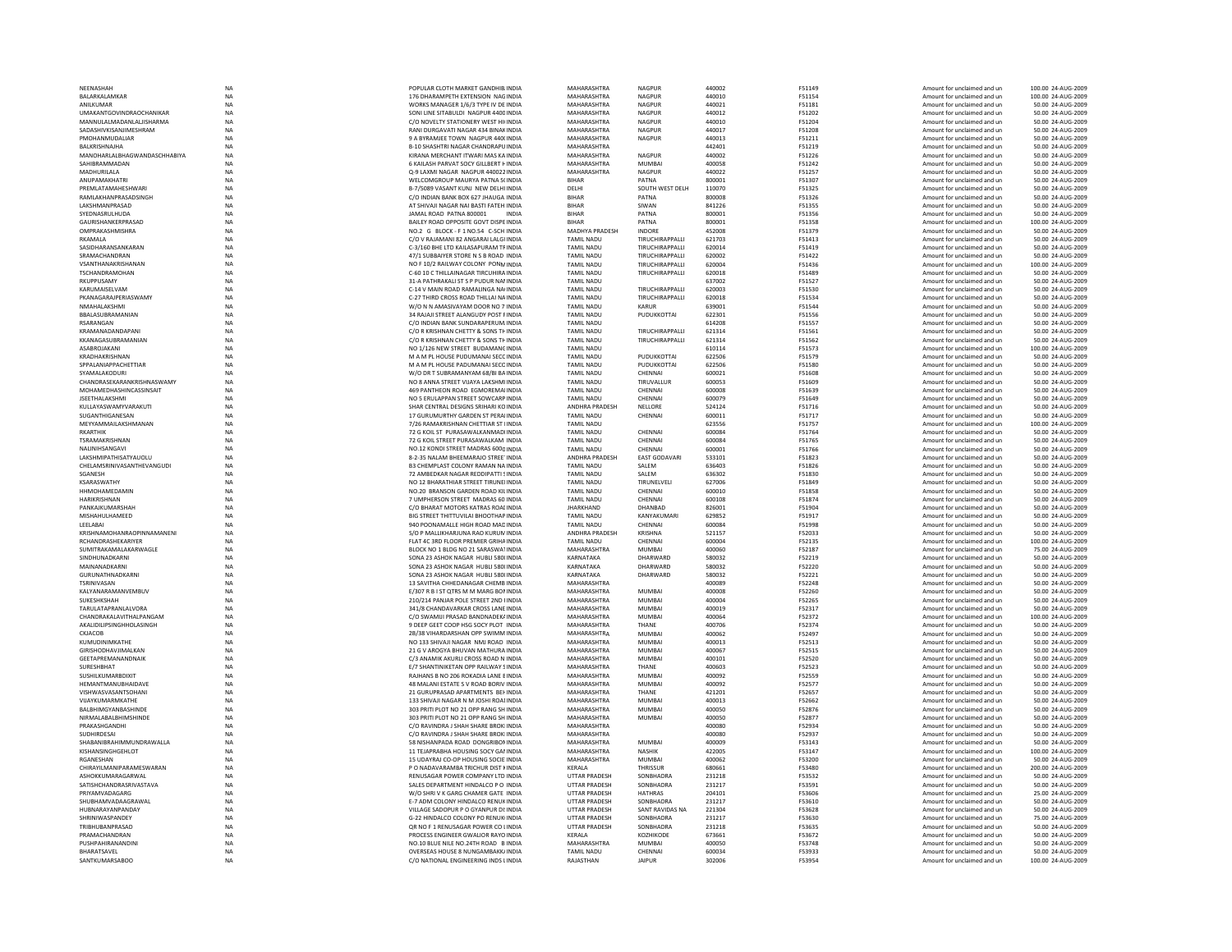|                                      | <b>NA</b>              | POPULAR CLOTH MARKET GANDHIB INDIA                                        | MAHARASHTRA                    | <b>NAGPUR</b>            | 440002           | F51149           |                                                            | 100.00 24-AUG-2009                      |
|--------------------------------------|------------------------|---------------------------------------------------------------------------|--------------------------------|--------------------------|------------------|------------------|------------------------------------------------------------|-----------------------------------------|
| NEENASHAH                            |                        |                                                                           |                                |                          |                  |                  | Amount for unclaimed and un                                |                                         |
| BALARKALAMKAF                        | <b>NA</b>              | 176 DHARAMPETH EXTENSION NAGINDIA                                         | MAHARASHTRA                    | <b>NAGPUR</b>            | 440010           | F51154           | Amount for unclaimed and un                                | 100.00 24-AUG-2009                      |
| <b>ANII KUMAR</b>                    | <b>NA</b>              | WORKS MANAGER 1/6/3 TYPE IV DE INDIA                                      | MAHARASHTRA                    | NAGPUR                   | 440021           | F51181           | Amount for unclaimed and un                                | 50.00 24-AUG-2009                       |
| <b>UMAKANTGOVINDRAOCHANIKAR</b>      | NA                     | SONI LINE SITABULDI NAGPUR 4400 INDIA                                     | MAHARASHTRA                    | NAGPUR                   | 440012           | F51202           | Amount for unclaimed and un                                | 50.00 24-AUG-2009                       |
| MANNULALMADANLALJISHARMA             | <b>NA</b>              | C/O NOVELTY STATIONERY WEST HI(INDIA                                      | MAHARASHTRA                    | <b>NAGPUR</b>            | 440010           | F51204           | Amount for unclaimed and un                                | 50.00 24-AUG-2009                       |
| SADASHIVKISANJIMESHRAM               | NA                     | RANI DURGAVATI NAGAR 434 BINAK INDIA                                      | MAHARASHTRA                    | <b>NAGPUR</b>            | 440017           | F51208           | Amount for unclaimed and un                                | 50.00 24-AUG-2009                       |
| <b>PMOHANMUDALIAR</b>                | <b>NA</b>              | 9 A RYRAMIEE TOWN NAGPUR 440(INDIA                                        | MAHARASHTRA                    | <b>NAGPUR</b>            | 440013           | F51211           | Amount for unclaimed and un                                | 50.00 24-AUG-2009                       |
| <b>BAI KRISHNAIHA</b>                | <b>NA</b>              | B-10 SHASHTRI NAGAR CHANDRAPU INDIA                                       | MAHARASHTRA                    |                          | 442401           | F51219           | Amount for unclaimed and un                                | 50.00 24-AUG-2009                       |
| MANOHARLALBHAGWANDASCHHABIYA         | $_{\sf NA}$            | KIRANA MERCHANT ITWARI MAS KA INDIA                                       | MAHARASHTRA                    | <b>NAGPUR</b>            | 440002           | F51226           | Amount for unclaimed and un                                | 50.00 24-AUG-2009                       |
| SAHIBRAMMADAN                        | <b>NA</b>              | 6 KAILASH PARVAT SOCY GILLBERT HINDIA                                     | MAHARASHTRA                    | <b>MUMBA</b>             | 400058           | F51242           | Amount for unclaimed and un                                | 50.00 24-AUG-2009                       |
| MADHURILALA                          | NA                     | Q-9 LAXMI NAGAR NAGPUR 440022 INDIA                                       | MAHARASHTRA                    | NAGPUR                   | 440022           | F51257           |                                                            | 50.00 24-AUG-2009                       |
|                                      |                        |                                                                           |                                |                          |                  |                  | Amount for unclaimed and un                                |                                         |
| ANUPAMAKHATRI                        | <b>NA</b>              | WELCOMGROUP MAURYA PATNA SCINDIA                                          | <b>BIHAR</b>                   | PATNA                    | 800001           | F51307           | Amount for unclaimed and un                                | 50.00 24-AUG-2009                       |
| PREMLATAMAHESHWARI                   | <b>NA</b>              | B-7/5089 VASANT KUNJ NEW DELHI INDIA                                      | DELHI                          | SOUTH WEST DELH          | 110070           | F51325           | Amount for unclaimed and un                                | 50.00 24-AUG-2009                       |
| RAMLAKHANPRASADSINGH                 | NA                     | C/O INDIAN BANK BOX 627 JHAUGA INDIA                                      | <b>BIHAR</b>                   | PATNA                    | 800008           | F51326           | Amount for unclaimed and un                                | 50.00 24-AUG-2009                       |
| LAKSHMANPRASAD                       | NA                     | AT SHIVAJI NAGAR NAI BASTI FATEH INDIA                                    | <b>BIHAR</b>                   | SIWAN                    | 841226           | F51355           | Amount for unclaimed and un                                | 50.00 24-AUG-2009                       |
| SYEDNASRULHUDA                       | <b>NA</b>              | JAMAL ROAD PATNA 800001<br><b>INDIA</b>                                   | <b>BIHAR</b>                   | PATNA                    | 800001           | F51356           | Amount for unclaimed and un                                | 50.00 24-AUG-2009                       |
| GAURISHANKERPRASAD                   | <b>NA</b>              | BAILEY ROAD OPPOSITE GOVT DISPEINDIA                                      | <b>BIHAR</b>                   | PATNA                    | 800001           | F51358           | Amount for unclaimed and un                                | 100.00 24-AUG-2009                      |
| OMPRAKASHMISHRA                      |                        |                                                                           |                                |                          |                  |                  |                                                            |                                         |
|                                      | <b>NA</b>              | NO.2 G BLOCK - F 1 NO.54 C-SCH INDIA                                      | MADHYA PRADESH                 | <b>INDORE</b>            | 452008           | F51379           | Amount for unclaimed and un                                | 50.00 24-AUG-2009                       |
| RKAMALA                              | NA                     | C/O V RAJAMANI 82 ANGARAI LALGUNDIA                                       | <b>TAMIL NADU</b>              | TIRUCHIRAPPALLI          | 621703           | F51413           | Amount for unclaimed and un                                | 50.00 24-AUG-2009                       |
| SASIDHARANSANKARAN                   | NA                     | C-3/160 BHE LTD KAILASAPURAM TFINDIA                                      | <b>TAMIL NADU</b>              | TIRUCHIRAPPALLI          | 620014           | F51419           | Amount for unclaimed and un                                | 50.00 24-AUG-2009                       |
| SRAMACHANDRAN                        | <b>NA</b>              | 47/1 SUBBAIYER STORE N S B ROAD INDIA                                     | <b>TAMIL NADU</b>              | TIRUCHIRAPPALLI          | 620002           | F51422           | Amount for unclaimed and un                                | 50.00 24-AUG-2009                       |
| VSANTHANAKRISHANAN                   | NA                     | NO F 10/2 RAILWAY COLONY PONM INDIA                                       | <b>TAMIL NADU</b>              | TIRUCHIRAPPALLI          | 620004           | F51436           | Amount for unclaimed and un                                | 100.00 24-AUG-2009                      |
| TSCHANDRAMOHAN                       | <b>NA</b>              | C-60 10 C THILLAINAGAR TIRCUHIRA INDIA                                    | <b>TAMIL NADU</b>              | TIRUCHIRAPPALLI          | 620018           | F51489           | Amount for unclaimed and un                                | 50.00 24-AUG-2009                       |
| RKUPPUSAMY                           | NA                     | 31-A PATHRAKALI ST S P PUDUR NAI INDIA                                    | TAMIL NADL                     |                          | 637002           | F51527           | Amount for unclaimed and un                                | 50.00 24-AUG-2009                       |
|                                      |                        |                                                                           |                                |                          |                  |                  |                                                            |                                         |
| KARUMAISELVAM                        | <b>NA</b>              | C-14 V MAIN ROAD RAMALINGA NAHNDIA                                        | <b>TAMIL NADU</b>              | TIRUCHIRAPPALLI          | 620003           | F51530           | Amount for unclaimed and un                                | 50.00 24-AUG-2009                       |
| PKANAGARAJPERIASWAMY                 | <b>NA</b>              | C-27 THIRD CROSS ROAD THILLAI NA INDIA                                    | <b>TAMIL NADU</b>              | TIRUCHIRAPPALLI          | 620018           | F51534           | Amount for unclaimed and un                                | 50.00 24-AUG-2009                       |
| NMAHAI AKSHMI                        | $_{\sf NA}$            | W/O N N AMASIVAYAM DOOR NO 7 INDIA                                        | <b>TAMIL NADU</b>              | KARUR                    | 639001           | F51544           | Amount for unclaimed and un                                | 50.00 24-AUG-2009                       |
| BBALASUBRAMANIAN                     | NA                     | 34 RAJAJI STREET ALANGUDY POST FINDIA                                     | <b>TAMIL NADU</b>              | PUDUKKOTTAI              | 622301           | F51556           | Amount for unclaimed and un                                | 50.00 24-AUG-2009                       |
| RSARANGAN                            | <b>NA</b>              | C/O INDIAN BANK SUNDARAPERUM INDIA                                        | <b>TAMIL NADU</b>              |                          | 614208           | F51557           | Amount for unclaimed and un                                | 50.00 24-AUG-2009                       |
| KRAMANADANDAPANI                     | <b>NA</b>              | C/O R KRISHNAN CHETTY & SONS THINDIA                                      | <b>TAMIL NADU</b>              | TIRUCHIRAPPALLI          | 621314           | F51561           | Amount for unclaimed and un                                | 50.00 24-AUG-2009                       |
|                                      |                        |                                                                           |                                |                          |                  |                  |                                                            |                                         |
| KKANAGASURRAMANIAN                   | <b>NA</b>              | C/O R KRISHNAN CHETTY & SONS THINDIA                                      | <b>TAMIL NADU</b>              | <b>TIRUCHIRAPPALLI</b>   | 621314           | F51562           | Amount for unclaimed and un                                | 50.00 24-AUG-2009                       |
| ASABROJAKANI                         | NA                     | NO 1/126 NEW STREET BUDAMANC INDIA                                        | <b>TAMIL NADU</b>              |                          | 610114           | F51573           | Amount for unclaimed and un                                | 100.00 24-AUG-2009                      |
| KRADHAKRISHNAN                       | NA                     | M A M PL HOUSE PUDUMANAI SECC INDIA                                       | <b>TAMIL NADU</b>              | PUDUKKOTTAI              | 622506           | F51579           | Amount for unclaimed and un                                | 50.00 24-AUG-2009                       |
| SPPALANIAPPACHETTIAR                 | <b>NA</b>              | M A M PL HOUSE PADUMANAI SECCINDIA                                        | TAMIL NADU                     | <b>PUDUKKOTTAI</b>       | 622506           | F51580           | Amount for unclaimed and un                                | 50.00 24-AUG-2009                       |
| SYAMALAKODURI                        | <b>NA</b>              | W/O DR T SUBRAMANYAM 68/BI BA INDIA                                       | <b>TAMIL NADU</b>              | CHENNAI                  | 600021           | F51608           | Amount for unclaimed and un                                | 50.00 24-AUG-2009                       |
| CHANDRASEKARANKRISHNASWAMY           | <b>NA</b>              | NO 8 ANNA STREET VIIAYA LAKSHMUNDIA                                       | <b>TAMIL NADU</b>              | TIRUVALLUR               | 600053           | F51609           | Amount for unclaimed and un                                | 50.00 24-AUG-2009                       |
|                                      |                        |                                                                           |                                |                          |                  |                  |                                                            |                                         |
| MOHAMEDHASHINCASSINSAIT              | NA                     | 469 PANTHEON ROAD EGMOREMAIINDIA                                          | <b>TAMIL NADU</b>              | CHENNAL                  | 600008           | F51639           | Amount for unclaimed and un                                | 50.00 24-AUG-2009                       |
| <b>JSEETHALAKSHMI</b>                | <b>NA</b>              | NO 5 ERULAPPAN STREET SOWCARP INDIA                                       | <b>TAMIL NADU</b>              | CHENNAI                  | 600079           | F51649           | Amount for unclaimed and un                                | 50.00 24-AUG-2009                       |
| KULLAYASWAMYVARAKUTI                 | NA                     | SHAR CENTRAL DESIGNS SRIHARI KO INDIA                                     | ANDHRA PRADESH                 | NELLORE                  | 524124           | F51716           | Amount for unclaimed and un                                | 50.00 24-AUG-2009                       |
| SUGANTHIGANESAN                      | <b>NA</b>              | 17 GURUMURTHY GARDEN ST PERAUNDIA                                         | <b>TAMIL NADU</b>              | CHENNAL                  | 600011           | F51717           | Amount for unclaimed and un                                | 50.00 24-AUG-2009                       |
| MEYYAMMAILAKSHMANAN                  | <b>NA</b>              | 7/26 RAMAKRISHNAN CHETTIAR ST UNDIA                                       | <b>TAMIL NADU</b>              |                          | 623556           | F51757           | Amount for unclaimed and un                                | 100.00 24-AUG-2009                      |
|                                      |                        |                                                                           |                                |                          |                  |                  |                                                            |                                         |
| RKARTHIK                             | NA                     | 72 G KOIL ST PURASAWALKANMADI INDIA                                       | <b>TAMIL NADU</b>              | CHENNAI                  | 600084           | F51764           | Amount for unclaimed and un                                | 50.00 24-AUG-2009                       |
| TSRAMAKRISHNAN                       | <b>NA</b>              | 72 G KOIL STREET PURASAWALKAM INDIA                                       | <b>TAMIL NADU</b>              | CHENNA                   | 600084           | F51765           | Amount for unclaimed and un                                | 50.00 24-AUG-2009                       |
| NALINIHSANGAVI                       | NA                     | NO.12 KONDI STREET MADRAS 6000 INDIA                                      | <b>TAMIL NADU</b>              | CHENNAI                  | 600001           | F51766           | Amount for unclaimed and un                                | 50.00 24-AUG-2009                       |
| <b>AKSHMIPATHISATYAUOLU</b>          | <b>NA</b>              | 8-2-35 NAI AM RHFFMARAIO STREETINDIA                                      | <b>ANDHRA PRADESH</b>          | <b>FAST GODAVARI</b>     | 533101           | F51823           | Amount for unclaimed and un                                | 50.00 24-AUG-2009                       |
| CHELAMSRINIVASANTHEVANGUDI           | <b>NA</b>              | B3 CHEMPLAST COLONY RAMAN NA INDIA                                        | <b>TAMIL NADU</b>              | SALEM                    | 636403           | F51826           | Amount for unclaimed and un                                | 50.00 24-AUG-2009                       |
| SGANESH                              | <b>NA</b>              | 72 AMBEDKAR NAGAR REDDIPATTI SINDIA                                       | TAMIL NADL                     | SALEM                    | 636302           | F51830           | Amount for unclaimed and un                                | 50.00 24-AUG-2009                       |
|                                      |                        | NO 12 BHARATHIAR STREET TIRUNEI INDIA                                     |                                |                          | 627006           | F51849           |                                                            | 50.00 24-AUG-2009                       |
| KSARASWATHY                          | NA                     |                                                                           | <b>TAMIL NADU</b>              | TIRUNELVELI<br>CHENNAL   | 600010           |                  | Amount for unclaimed and un                                |                                         |
| <b>HHMOHAMFDAMIN</b>                 | NA                     | NO.20 BRANSON GARDEN ROAD KILINDIA                                        | <b>TAMIL NADU</b>              |                          |                  | F51858           | Amount for unclaimed and un                                | 50.00 24-AUG-2009                       |
|                                      |                        |                                                                           |                                |                          |                  |                  |                                                            |                                         |
| HARIKRISHNAN                         | <b>NA</b>              | 7 UMPHERSON STREET MADRAS 60 INDIA                                        | <b>TAMIL NADU</b>              | CHENNAL                  | 600108           | F51874           | Amount for unclaimed and un                                | 50.00 24-AUG-2009                       |
|                                      | <b>NA</b>              |                                                                           | <b>JHARKHAND</b>               | <b>DHANBAD</b>           | 826001           |                  |                                                            |                                         |
| PANKAJKUMARSHAH                      |                        | C/O BHARAT MOTORS KATRAS ROALINDIA                                        |                                |                          |                  | F51904           | Amount for unclaimed and un                                | 50.00 24-AUG-2009                       |
| MISHAHULHAMEED                       | <b>NA</b>              | BIG STREET THITTUVILAI BHOOTHAP INDIA                                     | TAMIL NADU                     | KANYAKUMARI              | 629852           | F51917           | Amount for unclaimed and un                                | 50.00 24-AUG-2009                       |
| LEELABAI                             | NA                     | 940 POONAMALLE HIGH ROAD MAD INDIA                                        | <b>TAMIL NADU</b>              | CHENNAI                  | 600084           | F51998           | Amount for unclaimed and un                                | 50.00 24-AUG-2009                       |
| KRISHNAMOHANRAOPINNAMANENI           | <b>NA</b>              | S/O P MALLIKHARJUNA RAO KURUM INDIA                                       | ANDHRA PRADESH                 | KRISHNA                  | 521157           | F52033           | Amount for unclaimed and un                                | 50.00 24-AUG-2009                       |
| RCHANDRASHEKARIYER                   | NA                     | FLAT 4C 3RD FLOOR PREMIER GRIHA INDIA                                     | <b>TAMIL NADU</b>              | CHENNAI                  | 600004           | F52135           | Amount for unclaimed and un                                | 100.00 24-AUG-2009                      |
| SUMITRAKAMALAKARWAGLE                | <b>NA</b>              | BLOCK NO 1 BLDG NO 21 SARASWATINDIA                                       | MAHARASHTRA                    | MUMRAI                   | 400060           | F52187           | Amount for unclaimed and un                                | 75.00 24-AUG-2009                       |
|                                      |                        |                                                                           |                                |                          |                  |                  |                                                            |                                         |
| SINDHUNADKARN                        | NA                     | SONA 23 ASHOK NAGAR HUBLI 580(INDIA                                       | KARNATAKA                      | DHARWARD                 | 580032           | F52219           | Amount for unclaimed and un                                | 50.00 24-AUG-2009                       |
| MAINANADKARN                         | NA                     | SONA 23 ASHOK NAGAR HUBLI 580(INDIA                                       | KARNATAKA                      | DHARWARD                 | 580032           | F52220           | Amount for unclaimed and un                                | 50.00 24-AUG-2009                       |
| GURUNATHNADKARNI                     | <b>NA</b>              | SONA 23 ASHOK NAGAR HUBLI 580(INDIA                                       | KARNATAKA                      | DHARWARD                 | 580032           | F52221           | Amount for unclaimed and un                                | 50.00 24-AUG-2009                       |
| TSRINIVASAN                          | NA                     | 13 SAVITHA CHHEDANAGAR CHEMB INDIA                                        | MAHARASHTRA                    |                          | 400089           | F52248           | Amount for unclaimed and un                                | 50.00 24-AUG-2009                       |
| KALYANARAMANVEMBUV                   | NA                     | E/307 R B I ST QTRS M M MARG BON INDIA                                    | MAHARASHTRA                    | <b>MUMBAI</b>            | 400008           | F52260           | Amount for unclaimed and un                                | 50.00 24-AUG-2009                       |
| SUKESHKSHAH                          | NA                     | 210/214 PANJAR POLE STREET 2ND HNDIA                                      | MAHARASHTRA                    | <b>MUMBA</b>             | 400004           | F52265           | Amount for unclaimed and un                                | 50.00 24-AUG-2009                       |
| TARULATAPRANLALVORA                  | <b>NA</b>              | 341/8 CHANDAVARKAR CROSS LANE INDIA                                       | MAHARASHTRA                    | <b>MUMBAI</b>            | 400019           | F52317           | Amount for unclaimed and un                                | 50.00 24-AUG-2009                       |
|                                      |                        |                                                                           |                                |                          |                  |                  |                                                            |                                         |
| CHANDRAKALAVITHALPANGAM              | <b>NA</b>              | C/O SWAMIJI PRASAD BANDNADEK/ INDIA                                       | MAHARASHTRA                    | <b>MUMBAI</b>            | 400064<br>400706 | F52372           | Amount for unclaimed and un                                | 100.00 24-AUG-2009                      |
| AKALIDILIPSINGHHOLASINGH             | $_{\sf NA}$            | 9 DEEP GEET COOP HSG SOCY PLOT INDIA                                      | MAHARASHTRA                    | THANE                    |                  | F52374           | Amount for unclaimed and un                                | 50.00 24-AUG-2009                       |
| CKJACOB                              | NA                     | 2B/38 VIHARDARSHAN OPP SWIMM INDIA                                        | <b>MAHARASHTRA</b>             | <b>MUMBAI</b>            | 400062           | F52497           | Amount for unclaimed and un                                | 50.00 24-AUG-2009                       |
| KUMUDINIMKATHE                       | NA                     | NO 133 SHIVAII NAGAR NMI ROAD INDIA                                       | MAHARASHTRA                    | MUMRAI                   | 400013           | F52513           | Amount for unclaimed and un                                | 50.00 24-AUG-2009                       |
| GIRISHODHAVJIMALKAN                  | <b>NA</b>              | 21 G V AROGYA BHUVAN MATHURA INDIA                                        | MAHARASHTRA                    | <b>MUMBAI</b>            | 400067           | F52515           | Amount for unclaimed and un                                | 50.00 24-AUG-2009                       |
| GEETAPREMANANDNAIK                   | <b>NA</b>              | C/3 ANAMIK AKURU CROSS ROAD N INDIA                                       | MAHARASHTRA                    | MUMRAI                   | 400101           | F52520           | Amount for unclaimed and un                                | 50.00 24-AUG-2009                       |
| SURESHBHAT                           | NA                     | E/7 SHANTINIKETAN OPP RAILWAY SINDIA                                      | MAHARASHTRA                    | THANE                    | 400603           | F52523           | Amount for unclaimed and un                                | 50.00 24-AUG-2009                       |
|                                      |                        |                                                                           |                                |                          |                  |                  |                                                            |                                         |
| SUSHILKUMARBDIXIT                    | NA                     | RAJHANS B NO 206 ROKADIA LANE EINDIA                                      | MAHARASHTRA                    | <b>MUMBA</b>             | 400092           | F52559           | Amount for unclaimed and un                                | 50.00 24-AUG-2009                       |
| HEMANTMANUBHAIDAVE                   | <b>NA</b>              | 48 MALANI ESTATE S V ROAD BORIV INDIA                                     | MAHARASHTRA                    | <b>MUMBAI</b>            | 400092           | F52577           | Amount for unclaimed and un                                | 50.00 24-AUG-2009                       |
| VISHWASVASANTSOHANI                  | <b>NA</b>              | 21 GURUPRASAD APARTMENTS BEI INDIA                                        | MAHARASHTRA                    | THANE                    | 421201           | F52657           | Amount for unclaimed and un                                | 50.00 24-AUG-2009                       |
| VIIAYKUMARMKATHE                     | <b>NA</b>              | 133 SHIVAII NAGAR N M IOSHI ROALINDIA                                     | MAHARASHTRA                    | MUMBAI                   | 400013           | F52662           | Amount for unclaimed and un                                | 50.00 24-AUG-2009                       |
| BALBHIMGYANBASHINDE                  | NA                     | 303 PRITI PLOT NO 21 OPP RANG SH INDIA                                    | MAHARASHTRA                    | <b>MUMBAI</b>            | 400050           | F52876           | Amount for unclaimed and un                                | 50.00 24-AUG-2009                       |
| NIRMALABALBHIMSHINDE                 | <b>NA</b>              | 303 PRITI PLOT NO 21 OPP RANG SH INDIA                                    | MAHARASHTRA                    | <b>MUMBAI</b>            | 400050           | F52877           | Amount for unclaimed and un                                | 50.00 24-AUG-2009                       |
| PRAKASHGANDHI                        | <b>NA</b>              | C/O RAVINDRA J SHAH SHARE BROKHNDIA                                       | MAHARASHTRA                    |                          | 400080           | F52934           | Amount for unclaimed and un                                | 50.00 24-AUG-2009                       |
|                                      |                        |                                                                           |                                |                          |                  |                  |                                                            |                                         |
| <b>SUDHIRDESAL</b>                   | <b>NA</b>              | C/O RAVINDRA I SHAH SHARE BROKLINDIA                                      | MAHARASHTRA                    |                          | 400080           | F52937           | Amount for unclaimed and un                                | 50.00 24-AUG-2009                       |
| SHABANIBRAHIMMUNDRAWALLA             | <b>NA</b>              | 58 NISHANPADA ROAD, DONGRIBONINDIA                                        | MAHARASHTRA                    | MUMBAI                   | 400009           | F53143           | Amount for unclaimed and un                                | 50.00 24-AUG-2009                       |
| KISHANSINGHGEHLOT                    | NA                     | 11 TEJAPRABHA HOUSING SOCY GANNDIA                                        | MAHARASHTRA                    | NASHIK                   | 422005           | F53147           | Amount for unclaimed and un                                | 100.00 24-AUG-2009                      |
| RGANESHAN                            | NA                     | 15 UDAYRAJ CO-OP HOUSING SOCIE INDIA                                      | MAHARASHTRA                    | <b>MUMBAI</b>            | 400062           | F53200           | Amount for unclaimed and un                                | 50.00 24-AUG-2009                       |
| CHIRAYILMANIPARAMESWARAN             | <b>NA</b>              | P O NADAVARAMBA TRICHUR DIST I INDIA                                      | KERALA                         | THRISSUR                 | 680661           | F53480           | Amount for unclaimed and un                                | 200.00 24-AUG-2009                      |
| ASHOKKUMARAGARWAI                    | <b>NA</b>              | RENUSAGAR POWER COMPANY ITD INDIA                                         | <b>UTTAR PRADESH</b>           | SONRHADRA                | 231218           | F53532           | Amount for unclaimed and un                                | 50.00 24-AUG-2009                       |
|                                      |                        |                                                                           |                                |                          |                  |                  |                                                            |                                         |
| SATISHCHANDRASRIVASTAVA              | <b>NA</b>              | SALES DEPARTMENT HINDALCO P O INDIA                                       | <b>UTTAR PRADESH</b>           | SONBHADRA                | 231217           | F53591           | Amount for unclaimed and un                                | 50.00 24-AUG-2009                       |
| PRIYAMVADAGARG                       | <b>NA</b>              | W/O SHRIV K GARG CHAMER GATE INDIA                                        | <b>UTTAR PRADESH</b>           | <b>HATHRAS</b>           | 204101           | F53606           | Amount for unclaimed and un                                | 25.00 24-AUG-2009                       |
| SHUBHAMVADAAGRAWAL                   | NA                     | E-7 ADM COLONY HINDALCO RENUKINDIA                                        | <b>UTTAR PRADESH</b>           | SONBHADRA                | 231217           | F53610           | Amount for unclaimed and un                                | 50.00 24-AUG-2009                       |
| HURNARAYANPANDAY                     | <b>NA</b>              | VILLAGE SADOPLIR P O GYANPLIR DI'INDIA                                    | <b>UTTAR PRADESH</b>           | <b>SANT RAVIDAS NA</b>   | 221304           | F53628           | Amount for unclaimed and un                                | 50.00 24-AUG-2009                       |
| SHRINIWASPANDEY                      | <b>NA</b>              | G-22 HINDALCO COLONY PO RENUK INDIA                                       | <b>UTTAR PRADESH</b>           | SONBHADRA                | 231217           | E53630           | Amount for unclaimed and un                                | 75.00 24-AUG-2009                       |
| <b>TRIRHLIRANPRASAD</b>              | <b>NA</b>              | OR NO E 1 RENUSAGAR POWER CO LINDIA                                       | <b>UTTAR PRADESH</b>           | SONRHADRA                |                  | F53635           |                                                            |                                         |
|                                      |                        |                                                                           |                                |                          | 231218           |                  | Amount for unclaimed and un                                | 50.00 24-AUG-2009                       |
| PRAMACHANDRAN                        | <b>NA</b>              | PROCESS ENGINEER GWALIOR RAYO INDIA                                       | KERALA                         | KOZHIKODE                | 673661           | F53672           | Amount for unclaimed and un                                | 50.00 24-AUG-2009                       |
| PUSHPAHIRANANDINI                    | NA                     | NO.10 BLUE NILE NO.24TH ROAD B INDIA                                      | MAHARASHTRA                    | <b>MUMBAI</b>            | 400050           | F53748           | Amount for unclaimed and un                                | 50.00 24-AUG-2009                       |
| RHARATSAVEL<br><b>SANTKUMARSABOO</b> | <b>NA</b><br><b>NA</b> | OVERSEAS HOUSE 8 NUNGAMBAKK/INDIA<br>C/O NATIONAL ENGINEERING INDS LINDIA | <b>TAMIL NADU</b><br>RAJASTHAN | CHENNAL<br><b>IAIPUR</b> | 600034<br>302006 | F53933<br>F53954 | Amount for unclaimed and un<br>Amount for unclaimed and un | 50.00 24-AUG-2009<br>100.00 24-AUG-2009 |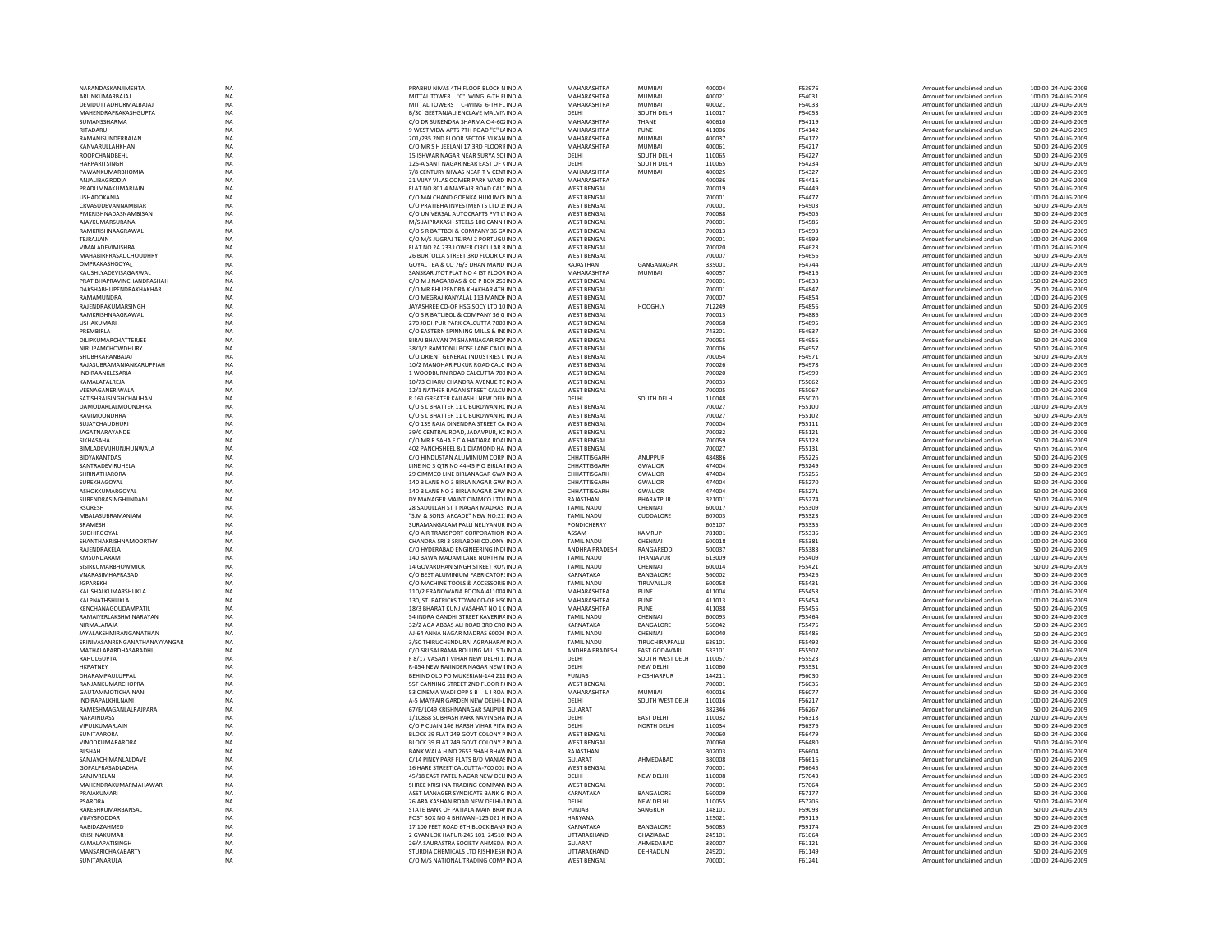| NARANDASKANJIMEHTA            | NA          | PRABHU NIVAS 4TH FLOOR BLOCK N INDIA         | MAHARASHTRA        | MUMBAI            | 400004 | F53976        | Amount for unclaimed and ur | 100.00 24-AUG-2009 |
|-------------------------------|-------------|----------------------------------------------|--------------------|-------------------|--------|---------------|-----------------------------|--------------------|
| ARUNKUMARBAJAJ                | <b>NA</b>   | MITTAL TOWER "C" WING 6-TH FUNDIA            | <b>MAHARASHTRA</b> | <b>MUMBAI</b>     | 400021 | F54031        | Amount for unclaimed and un | 100.00 24-AUG-2009 |
| DEVIDUTTADHURMALBAJAJ         | <b>NA</b>   | MITTAL TOWERS C-WING 6-TH FL INDIA           | MAHARASHTRA        | <b>MUMBA</b>      | 400021 | F54033        | Amount for unclaimed and un | 100.00 24-AUG-2009 |
| MAHENDRAPRAKASHGUPTA          | <b>NA</b>   | B/30 GEETANJALI ENCLAVE MALVIY, INDIA        | DELHI              | SOUTH DELHI       | 110017 | F54053        | Amount for unclaimed and un | 100.00 24-AUG-2009 |
|                               | <b>NA</b>   | C/O DR SURENDRA SHARMA C-4-60 INDIA          | MAHARASHTRA        | THANF             | 400610 | F54119        |                             |                    |
| SUMANSSHARMA                  |             |                                              |                    |                   |        |               | Amount for unclaimed and un | 100.00 24-AUG-2009 |
| RITADARU                      | <b>NA</b>   | 9 WEST VIEW APTS 7TH ROAD "E" L/ INDIA       | MAHARASHTRA        | PUNE              | 411006 | F54142        | Amount for unclaimed and un | 50.00 24-AUG-2009  |
| RAMANISUNDERRAJAN             | <b>NA</b>   | 201/235 2ND FLOOR SECTOR VI KAN INDIA        | MAHARASHTRA        | <b>MUMBAI</b>     | 400037 | F54172        | Amount for unclaimed and un | 50.00 24-AUG-2009  |
| KANVARULLAHKHAN               | <b>NA</b>   | C/O MR S H JEELANI 17 3RD FLOOR FINDIA       | MAHARASHTRA        | MUMRAI            | 400061 | F54217        | Amount for unclaimed and un | 50.00 24-AUG-2009  |
| ROOPCHANDBEHL                 | <b>NA</b>   | 15 ISHWAR NAGAR NEAR SURYA SOHNDIA           | DELHI              | SOUTH DELHI       | 110065 | F54227        | Amount for unclaimed and un | 50.00 24-AUG-2009  |
| <b>HARPARITSINGH</b>          | <b>NA</b>   | 125-A SANT NAGAR NEAR FAST OF KINDIA         | <b>DELHI</b>       | SOUTH DELHI       | 110065 | F54234        | Amount for unclaimed and un | 50.00 24-AUG-2009  |
|                               |             |                                              |                    |                   |        |               |                             |                    |
| PAWANKUMARBHOMIA              | NA          | 7/8 CENTURY NIWAS NEAR TV CENTINDIA          | MAHARASHTRA        | <b>MUMBAI</b>     | 400025 | F54327        | Amount for unclaimed and ur | 100.00 24-AUG-2009 |
| ANJALIBAGRODIA                | <b>NA</b>   | 21 VIJAY VILAS OOMER PARK WARD INDIA         | MAHARASHTRA        |                   | 400036 | F54416        | Amount for unclaimed and un | 50.00 24-AUG-2009  |
| PRADUMNAKUMARJAIN             | <b>NA</b>   | FLAT NO 801 4 MAYFAIR ROAD CALCINDIA         | <b>WEST BENGAL</b> |                   | 700019 | F54449        | Amount for unclaimed and un | 50.00 24-AUG-2009  |
| <b>USHADOKANIA</b>            | <b>NA</b>   | C/O MALCHAND GOENKA HUKUMCHNDIA              | <b>WEST BENGAL</b> |                   | 700001 | F54477        | Amount for unclaimed and un | 100.00 24-AUG-2009 |
| CRVASUDEVANNAMBIAR            | <b>NA</b>   | C/O PRATIBHA INVESTMENTS LTD 15 INDIA        | <b>WEST BENGAL</b> |                   | 700001 | F54503        | Amount for unclaimed and un | 50.00 24-AUG-2009  |
|                               |             |                                              |                    |                   |        |               |                             |                    |
| PMKRISHNADASNAMBISAN          | NA          | C/O UNIVERSAL AUTOCRAFTS PVT L'INDIA         | <b>WEST BENGAL</b> |                   | 700088 | F54505        | Amount for unclaimed and un | 50.00 24-AUG-2009  |
| AJAYKUMARSURANA               | <b>NA</b>   | M/S JAIPRAKASH STEELS 100 CANNILINDIA        | <b>WEST BENGAL</b> |                   | 700001 | F54585        | Amount for unclaimed and un | 50.00 24-AUG-2009  |
| RAMKRISHNAAGRAWAL             | <b>NA</b>   | C/O S R BATTBOI & COMPANY 36 GAINDIA         | <b>WEST BENGAL</b> |                   | 700013 | F54593        | Amount for unclaimed and un | 100.00 24-AUG-2009 |
| TEJRAJJAIN                    | <b>NA</b>   | C/O M/S IUGRAI TEIRAI 2 PORTUGUINDIA         | <b>WEST RENGAL</b> |                   | 700001 | F54599        | Amount for unclaimed and un | 100.00 24-AUG-2009 |
| VIMALADEVIMISHRA              | NA          | FLAT NO 2A 233 LOWER CIRCULAR RINDIA         | <b>WEST BENGAL</b> |                   | 700020 | F54623        | Amount for unclaimed and un | 100.00 24-AUG-2009 |
| <b>MAHABIRPRASADCHOUDHRY</b>  | <b>NA</b>   | 26 BURTOLLA STREET 3RD FLOOR CAINDIA         | <b>WEST BENGAL</b> |                   | 700007 | F54656        | Amount for unclaimed and un | 50.00 24-AUG-2009  |
|                               |             |                                              |                    |                   |        |               |                             |                    |
| OMPRAKASHGOYAL                | <b>NA</b>   | GOYAL TEA & CO 76/3 DHAN MAND INDIA          | RAJASTHAN          | GANGANAGAR        | 335001 | F54744        | Amount for unclaimed and un | 100.00 24-AUG-2009 |
| KAUSHI YADEVISAGARWAI         | <b>NA</b>   | SANSKAR IYOT FLAT NO 4 IST FLOOR INDIA       | MAHARASHTRA        | MUMBAI            | 400057 | F54816        | Amount for unclaimed and un | 100.00 24-AUG-2009 |
| PRATIBHAPRAVINCHANDRASHAH     | NA          | C/O M J NAGARDAS & CO P BOX 250 INDIA        | <b>WEST BENGAL</b> |                   | 700001 | F54833        | Amount for unclaimed and un | 150.00 24-AUG-2009 |
| DAKSHABHUPENDRAKHAKHAR        | <b>NA</b>   | C/O MR BHUPENDRA KHAKHAR 4TH INDIA           | <b>WEST BENGAL</b> |                   | 700001 | F54847        | Amount for unclaimed and un | 25.00 24-AUG-2009  |
| RAMAMUNDRA                    | <b>NA</b>   | C/O MEGRAJ KANYALAL 113 MANOI INDIA          | <b>WEST BENGAL</b> |                   | 700007 | F54854        |                             | 100.00 24-AUG-2009 |
|                               |             |                                              |                    |                   |        |               | Amount for unclaimed and un |                    |
| <b>RAIFNDRAKUMARSINGH</b>     | <b>NA</b>   | <b>IAYASHREE CO-OP HSG SOCY LTD 10 INDIA</b> | <b>WEST BENGAL</b> | HOOGHI)           | 712249 | <b>F54856</b> | Amount for unclaimed and un | 50.00 24-AUG-2009  |
| RAMKRISHNAAGRAWAL             | <b>NA</b>   | C/O S R BATLIBOL & COMPANY 36 G INDIA        | <b>WEST BENGAL</b> |                   | 700013 | <b>F54886</b> | Amount for unclaimed and un | 100.00 24-AUG-2009 |
| <b>USHAKUMARI</b>             | $_{\sf NA}$ | 270 JODHPUR PARK CALCUTTA 7000 INDIA         | <b>WEST BENGAL</b> |                   | 700068 | F54895        | Amount for unclaimed and un | 100.00 24-AUG-2009 |
| PREMBIRLA                     | <b>NA</b>   | C/O EASTERN SPINNING MILLS & INLINDIA        | <b>WEST BENGAL</b> |                   | 743201 | F54937        | Amount for unclaimed and un | 50.00 24-AUG-2009  |
| DILIPKUMARCHATTERJEE          | <b>NA</b>   |                                              | <b>WEST BENGAL</b> |                   | 700055 | <b>F54956</b> |                             |                    |
|                               |             | BIRAJ BHAVAN 74 SHAMNAGAR ROAINDIA           |                    |                   |        |               | Amount for unclaimed and un | 50.00 24-AUG-2009  |
| NIRUPAMCHOWDHURY              | <b>NA</b>   | 38/1/2 RAMTONU BOSE LANE CALCUNDIA           | <b>WEST RENGAL</b> |                   | 700006 | F54957        | Amount for unclaimed and un | 50.00 24-AUG-2009  |
| SHURHKARANRAJAI               | <b>NA</b>   | C/O ORIENT GENERAL INDUSTRIES L'INDIA        | <b>WEST BENGAL</b> |                   | 700054 | F54971        | Amount for unclaimed and un | 50.00 24-AUG-2009  |
| RAJASUBRAMANIANKARUPPIAH      | NA          | 10/2 MANOHAR PUKUR ROAD CALC INDIA           | <b>WEST BENGAL</b> |                   | 700026 | F54978        | Amount for unclaimed and ur | 100.00 24-AUG-2009 |
| INDIRAANKLESARIA              | NA          | 1 WOODBURN ROAD CALCUTTA 700 INDIA           | <b>WEST BENGAL</b> |                   | 700020 | F54999        | Amount for unclaimed and un | 100.00 24-AUG-2009 |
|                               |             |                                              |                    |                   |        |               |                             |                    |
| KAMALATALREJA                 | <b>NA</b>   | 10/73 CHARU CHANDRA AVENUE TC INDIA          | <b>WEST BENGAL</b> |                   | 700033 | F55062        | Amount for unclaimed and un | 100.00 24-AUG-2009 |
| VEENAGANERIWALA               | <b>NA</b>   | 12/1 NATHER BAGAN STREET CALCU INDIA         | <b>WEST BENGAL</b> |                   | 700005 | F55067        | Amount for unclaimed and un | 100.00 24-AUG-2009 |
| SATISHRAJSINGHCHAUHAN         | <b>NA</b>   | R 161 GREATER KAILASH I NEW DELI INDIA       | DELHI              | SOUTH DELH        | 110048 | F55070        | Amount for unclaimed and un | 100.00 24-AUG-2009 |
| <b>DAMODARLALMOONDHRA</b>     | NA          | C/O S L BHATTER 11 C BURDWAN RC INDIA        | <b>WEST BENGAL</b> |                   | 700027 | F55100        | Amount for unclaimed and ur | 100.00 24-AUG-2009 |
|                               |             |                                              | <b>WEST BENGAL</b> |                   |        |               |                             |                    |
| RAVIMOONDHRA                  | <b>NA</b>   | C/O S L BHATTER 11 C BURDWAN RC INDIA        |                    |                   | 700027 | F55102        | Amount for unclaimed and un | 50.00 24-AUG-2009  |
| SUJAYCHAUDHURI                | <b>NA</b>   | C/O 139 RAJA DINENDRA STREET CA INDIA        | <b>WEST BENGAL</b> |                   | 700004 | F55111        | Amount for unclaimed and un | 100.00 24-AUG-2009 |
| JAGATNARAYANDE                | <b>NA</b>   | 39/C CENTRAL ROAD, JADAVPUR, KC INDIA        | <b>WEST BENGAL</b> |                   | 700032 | F55121        | Amount for unclaimed and un | 100.00 24-AUG-2009 |
| SIKHASAHA                     | NA          | C/O MR R SAHA F C A HATIARA ROALINDIA        | <b>WEST BENGAL</b> |                   | 700059 | F55128        | Amount for unclaimed and un | 50.00 24-AUG-2009  |
| BIMLADEVUHUNJHUNWALA          | <b>NA</b>   | 402 PANCHSHEEL 8/1 DIAMOND HA INDIA          | <b>WEST BENGAL</b> |                   | 700027 | F55131        | Amount for unclaimed and un | 50.00 24-AUG-2009  |
|                               |             |                                              |                    |                   |        |               |                             |                    |
| <b>BIDYAKANTDAS</b>           | <b>NA</b>   | C/O HINDUSTAN ALUMINIUM CORP INDIA           | CHHATTISGARH       | ANUPPUR           | 484886 | F55225        | Amount for unclaimed and un | 50.00 24-AUG-2009  |
| <b>SANTRADEVIRUHELA</b>       | <b>NA</b>   | LINE NO 3 OTR NO 44-45 P O BIRLA LINDIA      | CHHATTISGARH       | <b>GWALIOR</b>    | 474004 | F55249        | Amount for unclaimed and un | 50.00 24-AUG-2009  |
| SHRINATHARORA                 | NA          | 29 CIMMCO LINE BIRLANAGAR GWA INDIA          | CHHATTISGARH       | GWALIOR           | 474004 | F55255        | Amount for unclaimed and un | 50.00 24-AUG-2009  |
| SUREKHAGOYAL                  | <b>NA</b>   | 140 B LANE NO 3 BIRLA NAGAR GW/ INDIA        | CHHATTISGARH       | <b>GWALIOR</b>    | 474004 | F55270        | Amount for unclaimed and un | 50.00 24-AUG-2009  |
| ASHOKKUMARGOYAL               |             |                                              |                    |                   |        |               |                             |                    |
|                               |             |                                              |                    |                   |        |               |                             |                    |
|                               | <b>NA</b>   | 140 B LANE NO 3 BIRLA NAGAR GW/ INDIA        | CHHATTISGARH       | <b>GWALIOR</b>    | 474004 | F55271        | Amount for unclaimed and un | 50.00 24-AUG-2009  |
| SURENDRASINGHIINDANI          | <b>NA</b>   | DY MANAGER MAINT CIMMCO LTD UNDIA            | RAIASTHAN          | <b>BHARATPUR</b>  | 321001 | F55274        | Amount for unclaimed and un | 50.00 24-AUG-2009  |
| <b>RSURFSH</b>                | <b>NA</b>   | 28 SADULLAH ST T NAGAR MADRAS INDIA          | <b>TAMIL NADU</b>  | CHENNAL           | 600017 | <b>F55309</b> | Amount for unclaimed and un | 50.00 24-AUG-2009  |
|                               |             |                                              |                    |                   |        |               |                             |                    |
| MBALASUBRAMANIAM              | <b>NA</b>   | "S.M & SONS ARCADE" NEW NO:21: INDIA         | <b>TAMIL NADU</b>  | CUDDALORE         | 607003 | F55323        | Amount for unclaimed and un | 100.00 24-AUG-2009 |
| SRAMESH                       | <b>NA</b>   | SURAMANGALAM PALLI NELIYANUR INDIA           | <b>PONDICHERRY</b> |                   | 605107 | F55335        | Amount for unclaimed and un | 100.00 24-AUG-2009 |
| SUDHIRGOYAL                   | <b>NA</b>   | C/O AIR TRANSPORT CORPORATION INDIA          | ASSAM              | KAMRUP            | 781001 | <b>F55336</b> | Amount for unclaimed and un | 100.00 24-AUG-2009 |
| SHANTHAKRISHNAMOORTHY         | <b>NA</b>   | CHANDRA SRL3 SRILARDHLCOLONY INDIA           | <b>TAMIL NADU</b>  | CHENNAL           | 600018 | F55381        | Amount for unclaimed and un | 100.00 24-AUG-2009 |
| RAJENDRAKELA                  | NA          | C/O HYDERABAD ENGINEERING INDIINDIA          | ANDHRA PRADESH     | RANGAREDD         | 500037 | F55383        | Amount for unclaimed and un | 50.00 24-AUG-2009  |
|                               |             |                                              |                    |                   |        |               |                             |                    |
| KMSUNDARAM                    | <b>NA</b>   | 140 BAWA MADAM LANE NORTH M INDIA            | <b>TAMIL NADU</b>  | THANJAVUR         | 613009 | F55409        | Amount for unclaimed and un | 100.00 24-AUG-2009 |
| SISIRKUMARBHOWMICK            | NA          | 14 GOVARDHAN SINGH STREET ROY. INDIA         | <b>TAMIL NADU</b>  | CHENNAI           | 600014 | F55421        | Amount for unclaimed and un | 50.00 24-AUG-2009  |
| VNARASIMHAPRASAD              | <b>NA</b>   | C/O BEST ALUMINIUM FABRICATOR! INDIA         | KARNATAKA          | BANGALORE         | 560002 | F55426        | Amount for unclaimed and un | 50.00 24-AUG-2009  |
| <b>JGPAREKH</b>               | NA          | C/O MACHINE TOOLS & ACCESSORIE INDIA         | <b>TAMIL NADU</b>  | TIRUVALLUF        | 600058 | F55431        | Amount for unclaimed and un | 100.00 24-AUG-2009 |
| KAUSHALKUMARSHUKLA            | <b>NA</b>   | 110/2 ERANOWANA POONA 411004 INDIA           | MAHARASHTRA        | PUNE              | 411004 | F55453        | Amount for unclaimed and un |                    |
|                               |             |                                              |                    |                   |        |               |                             | 100.00 24-AUG-2009 |
| KALPNATHSHUKLA                | <b>NA</b>   | 130. ST. PATRICKS TOWN CO-OP HSCINDIA        | <b>MAHARASHTRA</b> | PUNE              | 411013 | F55454        | Amount for unclaimed and un | 100.00 24-AUG-2009 |
| KENCHANAGOUDAMPATII           | <b>NA</b>   | 18/3 BHARAT KUNJ VASAHAT NO 1 (INDIA         | MAHARASHTRA        | PUNE              | 411038 | F55455        | Amount for unclaimed and un | 50.00 24-AUG-2009  |
| RAMAIYERLAKSHMINARAYAN        | <b>NA</b>   | 54 INDRA GANDHI STREET KAVERIRA INDIA        | <b>TAMIL NADU</b>  | CHENNAI           | 600093 | F55464        | Amount for unclaimed and un | 50.00 24-AUG-2009  |
| NIRMALARAJA                   | $_{\sf NA}$ | 32/2 AGA ABBAS ALI ROAD 3RD CRO INDIA        | KARNATAKA          | BANGALORE         | 560042 | F55475        | Amount for unclaimed and un | 50.00 24-AUG-2009  |
| JAYALAKSHMIRANGANATHAN        | NA          | AJ-64 ANNA NAGAR MADRAS 60004 INDIA          | <b>TAMIL NADU</b>  | CHENNAI           | 600040 | F55485        | Amount for unclaimed and un | 50.00 24-AUG-2009  |
| SRINIVASANRENGANATHANAYYANGAR |             | 3/50 THIRUCHENDURAI AGRAHARAI INDIA          | <b>TAMIL NADU</b>  |                   | 639101 | F55492        | Amount for unclaimed and un | 50.00 24-AUG-2009  |
|                               | NA          |                                              |                    | TIRUCHIRAPPALLI   |        |               |                             |                    |
| MATHALAPARDHASARADHI          | <b>NA</b>   | C/O SRI SAI RAMA ROLLING MILLS T/ INDIA      | ANDHRA PRADESH     | EAST GODAVARI     | 533101 | F55507        | Amount for unclaimed and un | 50.00 24-AUG-2009  |
| <b>RAHULGUPTA</b>             | <b>NA</b>   | F 8/17 VASANT VIHAR NFW DELHI 1'INDIA        | <b>DELHI</b>       | SOUTH WEST DELH   | 110057 | <b>F55523</b> | Amount for unclaimed and un | 100.00 24-AUG-2009 |
| <b>HKPATNEY</b>               | NA          | R-854 NEW RAJINDER NAGAR NEW LINDIA          | DELHI              | NEW DELHI         | 110060 | F55531        | Amount for unclaimed and ur | 50.00 24-AUG-2009  |
| DHARAMPAULUPPAL               | <b>NA</b>   | BEHIND OLD PO MUKERIAN-144 211 INDIA         | PUNJAB             | <b>HOSHIARPUR</b> | 144211 | F56030        | Amount for unclaimed and un | 50.00 24-AUG-2009  |
| RANJANKUMARCHOPRA             | <b>NA</b>   | 55F CANNING STREET 2ND FLOOR RUNDIA          | <b>WEST BENGAL</b> |                   | 700001 | F56035        | Amount for unclaimed and un | 50.00 24-AUG-2009  |
| <b>GAUTAMMOTICHAINANI</b>     | <b>NA</b>   | 53 CINEMA WADI OPP S R L LLROA INDIA         | MAHARASHTRA        | MUMRAI            | 400016 | F56077        | Amount for unclaimed and un | 50.00 24-AUG-2009  |
|                               |             |                                              |                    |                   |        |               |                             |                    |
| INDIRAPALKHII NANI            | <b>NA</b>   | A-5 MAYFAIR GARDEN NEW DELHI-1 INDIA         | <b>DELHI</b>       | SOUTH WEST DELH   | 110016 | F56217        | Amount for unclaimed and un | 100.00 24-AUG-2009 |
| RAMESHMAGANLALRAJPARA         | NA          | 67/E/1049 KRISHNANAGAR SAIJPUR INDIA         | <b>GUJARAT</b>     |                   | 382346 | F56267        | Amount for unclaimed and un | 50.00 24-AUG-2009  |
| <b>NARAINDASS</b>             | <b>NA</b>   | 1/10868 SUBHASH PARK NAVIN SHA INDIA         | DELHI              | <b>EAST DELHI</b> | 110032 | F56318        | Amount for unclaimed and un | 200.00 24-AUG-2009 |
| VIPULKUMARJAIN                | <b>NA</b>   | C/O P C JAIN 146 HARSH VIHAR PITA INDIA      | DELHI              | NORTH DELHI       | 110034 | F56376        | Amount for unclaimed and un | 50.00 24-AUG-2009  |
|                               |             |                                              |                    |                   |        |               |                             |                    |
| <b>SUNITAARORA</b>            | <b>NA</b>   | BLOCK 39 FLAT 249 GOVT COLONY P INDIA        | <b>WEST RENGAL</b> |                   | 700060 | F56479        | Amount for unclaimed and un | 50.00 24-AUG-2009  |
| VINODKUMARARORA               | <b>NA</b>   | BLOCK 39 FLAT 249 GOVT COLONY P INDIA        | <b>WEST BENGAL</b> |                   | 700060 | <b>F56480</b> | Amount for unclaimed and un | 50.00 24-AUG-2009  |
| <b>BLSHAH</b>                 | <b>NA</b>   | BANK WALA H NO 2653 SHAH BHAW INDIA          | RAJASTHAN          |                   | 302003 | F56604        | Amount for unclaimed and un | 100.00 24-AUG-2009 |
| SANJAYCHIMANLALDAVE           | NA          | C/14 PINKY PARF FLATS B/D MANIAS INDIA       | <b>GUJARAT</b>     | AHMEDABAD         | 380008 | F56616        | Amount for unclaimed and un | 50.00 24-AUG-2009  |
| <b>GOPALPRASADI ADHA</b>      | <b>NA</b>   | 16 HARE STREET CALCUTTA-700 001 INDIA        | <b>WEST RENGAL</b> |                   | 700001 | F56645        | Amount for unclaimed and un | 50.00 24-AUG-2009  |
|                               |             |                                              |                    |                   |        |               |                             |                    |
| SANJIVRELAN                   | <b>NA</b>   | 45/18 EAST PATEL NAGAR NEW DELIINDIA         | DELHI              | NEW DELHI         | 110008 | F57043        | Amount for unclaimed and un | 100.00 24-AUG-2009 |
| MAHENDRAKUMARMAHAWAR          | <b>NA</b>   | SHREE KRISHNA TRADING COMPANY INDIA          | <b>WEST BENGAL</b> |                   | 700001 | F57064        | Amount for unclaimed and un | 50.00 24-AUG-2009  |
| PRAJAKUMARI                   | <b>NA</b>   | ASST MANAGER SYNDICATE BANK G INDIA          | KARNATAKA          | BANGALORE         | 560009 | F57177        | Amount for unclaimed and un | 50.00 24-AUG-2009  |
| PSARORA                       | <b>NA</b>   | 26 ARA KASHAN ROAD NEW DELHI-1INDIA          | DELHI              | NEW DELHI         | 110055 | F57206        | Amount for unclaimed and un | 50.00 24-AUG-2009  |
| RAKESHKUMARBANSAL             | <b>NA</b>   | STATE BANK OF PATIALA MAIN BRANNDIA          | PUNIAR             |                   | 148101 | <b>F59093</b> | Amount for unclaimed and un | 50.00 24-AUG-2009  |
|                               |             |                                              |                    | SANGRUR           |        |               |                             |                    |
| VUAYSPODDAR                   | <b>NA</b>   | POST BOX NO 4 BHIWANI-125 021 H INDIA        | HARYANA            |                   | 125021 | F59119        | Amount for unclaimed and ur | 50.00 24-AUG-2009  |
| AABIDAZAHMED                  | NA          | 17 100 FEET ROAD 6TH BLOCK BANA INDIA        | KARNATAKA          | BANGALORE         | 560085 | F59174        | Amount for unclaimed and un | 25.00 24-AUG-2009  |
| KRISHNAKUMAR                  | <b>NA</b>   | 2 GYAN LOK HAPUR-245 101 24510: INDIA        | UTTARAKHAND        | GHAZIABAD         | 245101 | F61064        | Amount for unclaimed and un | 100.00 24-AUG-2009 |
| KAMALAPATISINGH               | <b>NA</b>   | 26/A SAURASTRA SOCIETY AHMEDA INDIA          | GUJARAT            | AHMEDABAD         | 380007 | F61121        | Amount for unclaimed and un | 50.00 24-AUG-2009  |
| <b>MANSARICHAKARARTY</b>      | <b>NA</b>   | STURDIA CHEMICALS LTD RISHIKESH INDIA        | <b>UTTARAKHAND</b> | DEHRADUN          | 249201 | F61149        | Amount for unclaimed and un | 50.00 24-AUG-2009  |
| SUNITANARULA                  | <b>NA</b>   | C/O M/S NATIONAL TRADING COMP INDIA          | <b>WEST BENGAL</b> |                   | 700001 | F61241        | Amount for unclaimed and un | 100.00 24-AUG-2009 |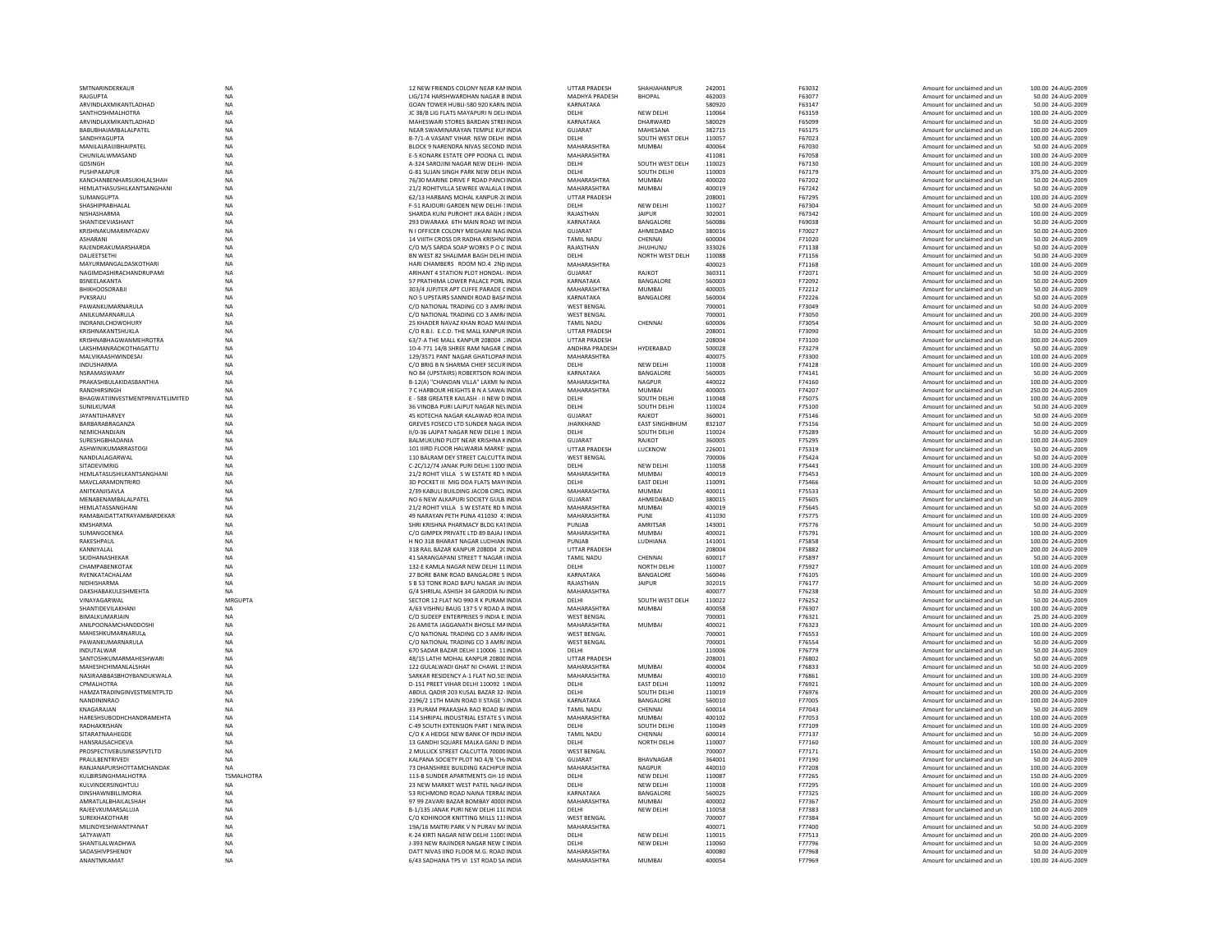| <b>BHOPAL</b><br>Amount for unclaimed and un<br>ARVINDLAXMIKANTLADHAD<br><b>NA</b><br>GOAN TOWER HUBLI-580 920 KARN INDIA<br>KARNATAKA<br>580920<br>F63147<br>Amount for unclaimed and un<br>50.00 24-AUG-2009<br>NFW DFI HI<br>SANTHOSHMALHOTRA<br><b>NA</b><br>IC 38/B LIG FLATS MAYAPURLN DELLINDIA<br><b>DELHI</b><br>110064<br>F63159<br>Amount for unclaimed and un<br>100.00 24-AUG-2009<br>ARVINDLAXMIKANTLADHAD<br>NA<br>MAHESWARI STORES BARDAN STREI INDIA<br>KARNATAKA<br>DHARWARD<br>580029<br>50.00 24-AUG-2009<br>F65099<br>Amount for unclaimed and un<br>NA<br><b>BABUBHAIAMBALALPATEL</b><br>NEAR SWAMINARAYAN TEMPLE KUNINDIA<br>GUJARAT<br>MAHESANA<br>382715<br>F65175<br>Amount for unclaimed and un<br>100.00 24-AUG-2009<br>SANDHYAGUPTA<br><b>NA</b><br>B-7/1-A VASANT VIHAR NEW DELHI INDIA<br>SOUTH WEST DELH<br>DELHI<br>110057<br>F67023<br>100.00 24-AUG-2009<br>Amount for unclaimed and un<br><b>NA</b><br>MANILAI RAHIBHAIPATEL<br>MAHARASHTRA<br>BLOCK 9 NARENDRA NIVAS SECOND INDIA<br>MUMRAI<br>400064<br>F67030<br>Amount for unclaimed and un<br>50.00 24-AUG-2009<br><b>NA</b><br><b>F-5 KONARK ESTATE OPP POONA CLINDIA</b><br>MAHARASHTRA<br>411081<br><b>F67058</b><br>Amount for unclaimed and un<br>100.00 24-AUG-2009<br>SOUTH WEST DELH<br><b>GDSINGH</b><br>NA<br>A-324 SAROJINI NAGAR NEW DELHI- INDIA<br>DELHI<br>110023<br>F67130<br>Amount for unclaimed and un<br>100.00 24-AUG-2009<br>NA<br>G-81 SUJAN SINGH PARK NEW DELH INDIA<br>DELHI<br>SOUTH DELHI<br>110003<br>F67179<br>375.00 24-AUG-2009<br>Amount for unclaimed and un<br>MAHARASHTRA<br><b>NA</b><br>76/30 MARINE DRIVE F ROAD PANCHNDIA<br>400020<br>F67202<br>50.00 24-AUG-2009<br><b>MUMBAI</b><br>Amount for unclaimed and un<br><b>NA</b><br>MAHARASHTRA<br>21/2 ROHITVILLA SEWREE WALALA FINDIA<br>MUMBAI<br>400019<br>F67242<br>Amount for unclaimed and un<br>50.00 24-AUG-2009<br>NA<br>62/13 HARBANS MOHAL KANPUR-2(INDIA<br><b>UTTAR PRADESH</b><br>208001<br>F67295<br>100.00 24-AUG-2009<br>Amount for unclaimed and un<br>NA<br>F-51 RAJOURI GARDEN NEW DELHI-1INDIA<br>DELHI<br>NEW DELHI<br>110027<br>F67304<br>Amount for unclaimed and un<br>50.00 24-AUG-2009<br>NA<br>RAJASTHAN<br>302001<br>F67342<br>SHARDA KUNJ PUROHIT JIKA BAGH JINDIA<br><b>JAIPUR</b><br>100.00 24-AUG-2009<br>Amount for unclaimed and un<br><b>NA</b><br>KARNATAKA<br><b>BANGALORE</b><br>293 DWARAKA 6TH MAIN ROAD WEINDIA<br>560086<br><b>F69038</b><br>Amount for unclaimed and un<br>50.00 24-AUG-2009<br><b>NA</b><br>N I OFFICER COLONY MEGHANI NAG INDIA<br>GUIARAT<br>AHMEDABAD<br>380016<br>F70027<br>Amount for unclaimed and un<br>50.00 24-AUG-2009<br><b>ASHARANI</b><br>NA<br>14 VIIITH CROSS DR RADHA KRISHN/ INDIA<br><b>TAMIL NADU</b><br>CHENNAI<br>600004<br>F71020<br>Amount for unclaimed and un<br>50.00 24-AUG-2009<br>RAJENDRAKUMARSHARDA<br>NA<br>C/O M/S SARDA SOAP WORKS P O C INDIA<br>RAJASTHAN<br><b>JHUJHUNU</b><br>333026<br>50.00 24-AUG-2009<br>F71138<br>Amount for unclaimed and un<br><b>NA</b><br>NORTH WEST DELH<br>110088<br>DALIEETSETHI<br>BN WEST 82 SHALIMAR BAGH DELHI INDIA<br>DELHI<br>F71156<br>Amount for unclaimed and un<br>50.00 24-AUG-2009<br>MAHARASHTRA<br>MAYURMANGALDASKOTHARI<br><b>NA</b><br>HARI CHAMBERS ROOM NO.4 2ND INDIA<br>400023<br>F71168<br>Amount for unclaimed and un<br>100.00 24-AUG-2009<br>NAGIMDASHIRACHANDRUPAMI<br>NA<br>ARIHANT 4 STATION PLOT HONDAL- INDIA<br>GUIARAT<br>RAJKOT<br>360311<br>F72071<br>50.00 24-AUG-2009<br>Amount for unclaimed and un<br>NA<br>KARNATAKA<br>BANGALORE<br><b>BSNEELAKANTA</b><br>57 PRATHIMA LOWER PALACE PORL INDIA<br>560003<br>F72092<br>Amount for unclaimed and ur<br>50.00 24-AUG-2009<br>MAHARASHTRA<br><b>BHIKHOOSORABJ</b><br><b>NA</b><br>303/4 JUPJTER APT CUFFE PARADE CINDIA<br><b>MUMBAI</b><br>400005<br>F72212<br>50.00 24-AUG-2009<br>Amount for unclaimed and un<br><b>NA</b><br>BANGALORE<br>PVKSRAJU<br>KARNATAKA<br>560004<br>F72226<br>NO 5 UPSTAIRS SANNIDI ROAD BASAINDIA<br>Amount for unclaimed and un<br>50.00 24-AUG-2009<br>PAWANKUMARNARULA<br>NA<br>C/O NATIONAL TRADING CO 3 AMRAINDIA<br><b>WEST BENGAL</b><br>700001<br>F73049<br>Amount for unclaimed and un<br>50.00 24-AUG-2009<br>ANILKUMARNARULA<br>NA<br>C/O NATIONAL TRADING CO 3 AMR/ INDIA<br><b>WEST BENGAL</b><br>700001<br>F73050<br>Amount for unclaimed and ur<br>200.00 24-AUG-2009<br>NA<br><b>INDRANILCHOWDHURY</b><br>25 KHADER NAVAZ KHAN ROAD MAI INDIA<br><b>TAMIL NADU</b><br>CHENNAI<br>600006<br>F73054<br>Amount for unclaimed and ur<br>50.00 24-AUG-2009<br><b>NA</b><br>UTTAR PRADESH<br>KRISHNAKANTSHUKLA<br>C/O R.B.I. E.C.D. THE MALL KANPUR INDIA<br>208001<br>F73090<br>50.00 24-AUG-2009<br>Amount for unclaimed and un<br><b>NA</b><br><b>UTTAR PRADESH</b><br>208004<br>KRISHNARHAGWANMFHROTRA<br>63/7-A THE MALL KANPUR 208004 (INDIA<br>F73100<br>Amount for unclaimed and un<br>300.00 24-AUG-2009<br>NA<br>10-4-771 14/B SHREE RAM NAGAR CINDIA<br>ANDHRA PRADESH<br>HYDERABAD<br>500028<br>F73279<br>50.00 24-AUG-2009<br>Amount for unclaimed and un<br>MAHARASHTRA<br>NA<br>129/3571 PANT NAGAR GHATLOPARINDIA<br>400075<br>F73300<br>Amount for unclaimed and un<br>100.00 24-AUG-2009<br>NA<br>C/O BRIG B N SHARMA CHIEF SECUR INDIA<br>DELHI<br>NEW DELHI<br>110008<br>F74128<br>100.00 24-AUG-2009<br>Amount for unclaimed and un<br><b>NA</b><br>NO 84 (UPSTAIRS) ROBERTSON ROALINDIA<br>KARNATAKA<br>BANGALORE<br>560005<br>F74141<br>Amount for unclaimed and un<br>50.00 24-AUG-2009<br><b>NA</b><br>B-12(A) "CHANDAN VII LA" LAXMI N/INDIA<br>MAHARASHTRA<br>NAGPUR<br>440022<br>F74160<br>Amount for unclaimed and un<br>100.00 24-AUG-2009<br>NA<br>MAHARASHTRA<br>MUMBAI<br>7 C HARBOUR HEIGHTS B N A SAWAI INDIA<br>400005<br>F74207<br>Amount for unclaimed and ur<br>250.00 24-AUG-2009<br>NA<br>E - 588 GREATER KAILASH - II NEW D INDIA<br>DELHI<br>SOUTH DELHI<br>110048<br>F75075<br>Amount for unclaimed and un<br>100.00 24-AUG-2009<br>NA<br>DELHI<br>SOUTH DELHI<br>110024<br>36 VINOBA PURI LAJPUT NAGAR NEVINDIA<br>F75100<br>50.00 24-AUG-2009<br>Amount for unclaimed and un<br><b>NA</b><br>GUIARAT<br>45 KOTFCHA NAGAR KAI AWAD ROA INDIA<br>RAIKOT<br>360001<br>F75146<br>Amount for unclaimed and un<br>50.00 24-AUG-2009<br><b>EAST SINGHBHUM</b><br><b>NA</b><br>GREVES FOSECO LTD SUNDER NAGA INDIA<br><b>JHARKHAND</b><br>832107<br>F75156<br>Amount for unclaimed and un<br>50.00 24-AUG-2009<br>NA<br>NEMICHANDJAIN<br>II/0-36 LAJPAT NAGAR NEW DELHI 1 INDIA<br>DELHI<br>SOUTH DELHI<br>110024<br>F75289<br>Amount for unclaimed and un<br>50.00 24-AUG-2009<br>SURESHGBHADANIA<br>NA<br>BALMUKUND PLOT NEAR KRISHNA KINDIA<br><b>GUJARAT</b><br>RAJKOT<br>360005<br>F75295<br>Amount for unclaimed and un<br>100.00 24-AUG-2009<br><b>NA</b><br>226001<br>UTTAR PRADESH<br>LUCKNOW<br>ASHWINIKUMARRASTOGI<br>101 IIIRD FLOOR HALWARIA MARKE INDIA<br>F75319<br>50.00 24-AUG-2009<br>Amount for unclaimed and un<br>NANDI ALAGARWAI<br><b>NA</b><br>110 BALRAM DEY STREET CALCUTTA INDIA<br><b>WEST BENGAL</b><br>700006<br>F75424<br>Amount for unclaimed and un<br>50.00 24-AUG-2009<br>SITADEVIMRIG<br>NA<br>C-2C/12/74 JANAK PURI DELHI 1100 INDIA<br>NEW DELHI<br>110058<br>F75443<br>100.00 24-AUG-2009<br><b>DELHI</b><br>Amount for unclaimed and un<br>HEMLATASUSHILKANTSANGHANI<br>NA<br>21/2 ROHIT VILLA S W ESTATE RD NINDIA<br>MAHARASHTRA<br><b>MUMBAI</b><br>400019<br>F75453<br>Amount for unclaimed and un<br>100.00 24-AUG-2009<br><b>FAST DELHI</b><br>MAVCLARAMONTRIRO<br><b>NA</b><br>3D POCKET III MIG DDA FLATS MAYLINDIA<br>DELHI<br>110091<br>50.00 24-AUG-2009<br>F75466<br>Amount for unclaimed and un<br><b>NA</b><br>MAHARASHTRA<br>ANITKANJISAVLA<br><b>MUMBAI</b><br>400011<br>F75533<br>2/39 KABULI BUILDING JACOB CIRCL INDIA<br>Amount for unclaimed and un<br>50.00 24-AUG-2009<br>MENARENAMRAI AI PATFI<br>NA<br>NO 6 NEW ALKAPURI SOCIETY GULB INDIA<br>GUIARAT<br>AHMFDARAD<br>380015<br>F75605<br>Amount for unclaimed and un<br>50.00 24-AUG-2009<br>HEMLATASSANGHANI<br>MAHARASHTRA<br>MUMBAI<br>NA<br>21/2 ROHIT VILLA S W ESTATE RD NINDIA<br>400019<br>F75645<br>Amount for unclaimed and un<br>50.00 24-AUG-2009<br>RAMABAIDATTATRAYAMBARDEKAR<br>NA<br>49 NARAYAN PETH PUNA 411030 41INDIA<br>MAHARASHTRA<br>411030<br>F75775<br>100.00 24-AUG-2009<br>PUNE<br>Amount for unclaimed and un<br>AMRITSAR<br>KMSHARMA<br><b>NA</b><br>SHRI KRISHNA PHARMACY BLDG KATINDIA<br>PUNJAB<br>143001<br>F75776<br>50.00 24-AUG-2009<br>Amount for unclaimed and un<br>SUMANGOENKA<br><b>NA</b><br>MAHARASHTRA<br>400021<br>C/O GIMPEX PRIVATE LTD 89 BAJAJ EINDIA<br><b>MUMBAI</b><br>F75791<br>Amount for unclaimed and un<br>100.00 24-AUG-2009<br>RAKESHPAUL<br>NA<br>H NO 318 BHARAT NAGAR LUDHIAN INDIA<br>PUNJAB<br>LUDHIANA<br>141001<br>F75858<br>Amount for unclaimed and un<br>100.00 24-AUG-2009<br>UTTAR PRADESH<br>KANNIYALAL<br>NA<br>318 RAIL BAZAR KANPUR 208004 2CINDIA<br>208004<br>F75882<br>Amount for unclaimed and un<br>200.00 24-AUG-2009<br>NA<br>600017<br>41 SARANGAPANI STREET T NAGAR IINDIA<br><b>TAMIL NADU</b><br>CHENNAI<br>F75897<br>50.00 24-AUG-2009<br>Amount for unclaimed and un<br><b>NA</b><br>132-E KAMLA NAGAR NEW DELHI 11 INDIA<br>NORTH DELHI<br>110007<br>DELHI<br>F75927<br>Amount for unclaimed and un<br>100.00 24-AUG-2009<br><b>NA</b><br>27 BORE BANK ROAD BANGALORE 5 INDIA<br>KARNATAKA<br><b>BANGALORE</b><br>560046<br>F76105<br>Amount for unclaimed and un<br>100.00 24-AUG-2009<br>NA<br>S B 53 TONK ROAD BAPU NAGAR JAI INDIA<br>RAJASTHAN<br>302015<br><b>JAIPUR</b><br>F76177<br>Amount for unclaimed and ur<br>50.00 24-AUG-2009<br>NA<br>G/4 SHRILAL ASHISH 34 GARODIA N/ INDIA<br><b>MAHARASHTRA</b><br>400077<br>F76238<br>50.00 24-AUG-2009<br>Amount for unclaimed and un<br>SECTOR 12 FLAT NO 990 R K PURAM INDIA<br>SOUTH WEST DELH<br><b>MRGUPTA</b><br>110022<br>F76252<br>50.00 24-AUG-2009<br>DELHI<br>Amount for unclaimed and un<br>MAHARASHTRA<br><b>SHANTIDEVILAKHANI</b><br><b>NA</b><br>A/63 VISHNU RAUG 137 S V ROAD A INDIA<br>MUMBAI<br>400058<br>F76307<br>Amount for unclaimed and un<br>100.00 24-AUG-2009<br><b>BIMALKUMARIAIN</b><br><b>NA</b><br>C/O SUDEEP ENTERPRISES 9 INDIA E INDIA<br><b>WEST BENGAL</b><br>700001<br>F76321<br>Amount for unclaimed and un<br>25.00 24-AUG-2009<br>ANILPOONAMCHANDDOSHI<br><b>NA</b><br>26 AMIETA JAGGANATH BHOSLE MAINDIA<br>MAHARASHTRA<br><b>MUMBAI</b><br>400021<br>F76323<br>Amount for unclaimed and un<br>100.00 24-AUG-2009<br>MAHESHKUMARNARULA<br>NA<br>C/O NATIONAL TRADING CO 3 AMR/ INDIA<br><b>WEST BENGAL</b><br>700001<br>F76553<br>Amount for unclaimed and un<br>100.00 24-AUG-2009<br>PAWANKUMARNARULA<br><b>NA</b><br>C/O NATIONAL TRADING CO 3 AMRAINDIA<br><b>WEST BENGAL</b><br>700001<br>F76554<br>Amount for unclaimed and un<br>50.00 24-AUG-2009<br>INDUTALWAR<br><b>NA</b><br>670 SADAR BAZAR DELHI 110006 11 INDIA<br><b>DELHI</b><br>110006<br>F76779<br>Amount for unclaimed and un<br>50.00 24-AUG-2009<br>SANTOSHKUMARMAHESHWARI<br>NA<br>48/15 LATHI MOHAL KANPUR 20800 INDIA<br><b>UTTAR PRADESH</b><br>208001<br>F76802<br>50.00 24-AUG-2009<br>Amount for unclaimed and un<br>MAHESHCHIMANLALSHAH<br>NA<br>122 GULALWADI GHAT NI CHAWL 15 INDIA<br>MAHARASHTRA<br><b>MUMBAI</b><br>400004<br>F76833<br>50.00 24-AUG-2009<br>Amount for unclaimed and un<br>MAHARASHTRA<br>MUMBAI<br>NASIRAARRASRHOYRANDUKWALA<br><b>NA</b><br>SARKAR RESIDENCY A-1 FLAT NO.50: INDIA<br>400010<br>100.00 24-AUG-2009<br>F76861<br>Amount for unclaimed and un<br><b>NA</b><br><b>CPMAI HOTRA</b><br>D-151 PREET VIHAR DELHI 110092 1 INDIA<br><b>DELHI</b><br><b>FAST DELHI</b><br>110092<br>F76921<br>Amount for unclaimed and un<br>100.00 24-AUG-2009<br>HAMZATRADINGINVESTMENTPLTD<br>NA<br>ABDUL QADIR 203 KUSAL BAZAR 32- INDIA<br><b>DELHI</b><br>SOUTH DELHI<br>110019<br>F76976<br>200.00 24-AUG-2009<br>Amount for unclaimed and un<br>NA<br>KARNATAKA<br>BANGALORE<br>2196/2 11TH MAIN ROAD II STAGE '/ INDIA<br>560010<br>F77005<br>Amount for unclaimed and ur<br>100.00 24-AUG-2009<br>NA<br>33 PURAM PRAKASHA RAO ROAD B/ INDIA<br><b>TAMIL NADU</b><br>CHENNAI<br>600014<br>F77043<br>50.00 24-AUG-2009<br>Amount for unclaimed and un<br><b>NA</b><br>MAHARASHTRA<br>114 SHRIPAL INDUSTRIAL ESTATE S \ INDIA<br><b>MUMBAI</b><br>400102<br>F77053<br>100.00 24-AUG-2009<br>Amount for unclaimed and un<br><b>NA</b><br>C-49 SOUTH EXTENSION PART I NEW INDIA<br>DELHI<br>SOUTH DELHI<br>110049<br>F77109<br>Amount for unclaimed and un<br>100.00 24-AUG-2009<br>NA<br>C/O K A HEDGE NEW BANK OF INDIA INDIA<br><b>TAMIL NADU</b><br>600014<br>CHENNAI<br>F77137<br>Amount for unclaimed and ur<br>50.00 24-AUG-200<br>NA<br>13 GANDHI SQUARE MALKA GANJ D INDIA<br>DELHI<br><b>NORTH DELHI</b><br>110007<br>F77160<br>Amount for unclaimed and un<br>100.00 24-AUG-2009<br><b>NA</b><br>2 MULLICK STREET CALCUTTA 70000 INDIA<br><b>WEST BENGAL</b><br>700007<br>F77171<br>150.00 24-AUG-2009<br>Amount for unclaimed and un<br>BHAVNAGAR<br>364001<br><b>NA</b><br>KALPANA SOCIETY PLOT NO 4/B 'CH/ INDIA<br>GUJARAT<br>F77190<br>Amount for unclaimed and un<br>50.00 24-AUG-2009<br>RANJANAPURSHOTTAMCHANDAK<br><b>73 DHANSHREE BUILDING KACHIPUF INDIA</b><br>MAHARASHTRA<br>NAGPUR<br>440010<br>F77208<br>Amount for unclaimed and un<br>100.00 24-AUG-2009<br>NA<br>KULBIRSINGHMALHOTRA<br>TSMALHOTRA<br>NEW DELHI<br>113-B SUNDER APARTMENTS GH-10 INDIA<br>DELHI<br>110087<br>F77265<br>Amount for unclaimed and ur<br>150.00 24-AUG-200<br>KULVINDERSINGHTULI<br><b>NA</b><br>23 NEW MARKET WEST PATEL NAGAINDIA<br>DELHI<br>NEW DELHI<br>110008<br>F77295<br>Amount for unclaimed and un<br>100.00 24-AUG-2009<br><b>NA</b><br>KARNATAKA<br>560025<br>DINSHAWNBILLIMORIA<br>53 RICHMOND ROAD NAINA TERRACINDIA<br>BANGALORE<br>F77325<br>Amount for unclaimed and un<br>100.00 24-AUG-2009<br>AMRATI AI RHAII AI SHAH<br><b>NA</b><br>97 99 ZAVARI BAZAR BOMBAY 4000(INDIA<br>MAHARASHTRA<br>MUMRAI<br>400002<br>F77367<br>Amount for unclaimed and un<br>250.00 24-AUG-2009<br>RAJEEVKUMARSALUJA<br>NA<br>B-1/135 JANAK PURI NEW DELHI 11( INDIA<br>NEW DELHI<br>DELHI<br>110058<br>F77383<br>Amount for unclaimed and un<br>100.00 24-AUG-2009<br>SUREKHAKOTHAR<br><b>NA</b><br>C/O KOHINOOR KNITTING MILLS 113 INDIA<br><b>WEST BENGAL</b><br>700007<br>F77384<br>Amount for unclaimed and un<br>50.00 24-AUG-2009<br>MILINDYESHWANTPANAT<br>NA<br>19A/16 MAITRI PARK V N PURAV M/ INDIA<br>MAHARASHTRA<br>F77400<br>50.00 24-AUG-2009<br>400071<br>Amount for unclaimed and un<br><b>NA</b><br>K-24 KIRTI NAGAR NEW DELHI 11001INDIA<br><b>DELHI</b><br>NFW DFI HI<br>110015<br>F77513<br>Amount for unclaimed and un<br>200.00 24-AUG-2009<br><b>NA</b><br><b>I-393 NEW RAIINDER NAGAR NEW CINDIA</b><br><b>DELHI</b><br>NEW DELHI<br>110060<br>F77796<br>Amount for unclaimed and un<br>50.00 24-AUG-2009<br>DATT NIVAS IIND FLOOR M.G. ROAD INDIA<br>NA<br>MAHARASHTRA<br>400080<br>F77968<br>Amount for unclaimed and un<br>50.00 24-AUG-2009<br>NA<br>6/43 SADHANA TPS VI 1ST ROAD SA INDIA<br>MAHARASHTRA<br><b>MUMBAI</b><br>400054<br>F77969<br>Amount for unclaimed and un<br>100.00 24-AUG-2009 | SMTNARINDERKAUR                  | NA        | 12 NEW FRIENDS COLONY NEAR KAN INDIA | UTTAR PRADESH  | SHAHJAHANPUR | 242001 | F63032 | Amount for unclaimed and ur | 100.00 24-AUG-2009 |
|-----------------------------------------------------------------------------------------------------------------------------------------------------------------------------------------------------------------------------------------------------------------------------------------------------------------------------------------------------------------------------------------------------------------------------------------------------------------------------------------------------------------------------------------------------------------------------------------------------------------------------------------------------------------------------------------------------------------------------------------------------------------------------------------------------------------------------------------------------------------------------------------------------------------------------------------------------------------------------------------------------------------------------------------------------------------------------------------------------------------------------------------------------------------------------------------------------------------------------------------------------------------------------------------------------------------------------------------------------------------------------------------------------------------------------------------------------------------------------------------------------------------------------------------------------------------------------------------------------------------------------------------------------------------------------------------------------------------------------------------------------------------------------------------------------------------------------------------------------------------------------------------------------------------------------------------------------------------------------------------------------------------------------------------------------------------------------------------------------------------------------------------------------------------------------------------------------------------------------------------------------------------------------------------------------------------------------------------------------------------------------------------------------------------------------------------------------------------------------------------------------------------------------------------------------------------------------------------------------------------------------------------------------------------------------------------------------------------------------------------------------------------------------------------------------------------------------------------------------------------------------------------------------------------------------------------------------------------------------------------------------------------------------------------------------------------------------------------------------------------------------------------------------------------------------------------------------------------------------------------------------------------------------------------------------------------------------------------------------------------------------------------------------------------------------------------------------------------------------------------------------------------------------------------------------------------------------------------------------------------------------------------------------------------------------------------------------------------------------------------------------------------------------------------------------------------------------------------------------------------------------------------------------------------------------------------------------------------------------------------------------------------------------------------------------------------------------------------------------------------------------------------------------------------------------------------------------------------------------------------------------------------------------------------------------------------------------------------------------------------------------------------------------------------------------------------------------------------------------------------------------------------------------------------------------------------------------------------------------------------------------------------------------------------------------------------------------------------------------------------------------------------------------------------------------------------------------------------------------------------------------------------------------------------------------------------------------------------------------------------------------------------------------------------------------------------------------------------------------------------------------------------------------------------------------------------------------------------------------------------------------------------------------------------------------------------------------------------------------------------------------------------------------------------------------------------------------------------------------------------------------------------------------------------------------------------------------------------------------------------------------------------------------------------------------------------------------------------------------------------------------------------------------------------------------------------------------------------------------------------------------------------------------------------------------------------------------------------------------------------------------------------------------------------------------------------------------------------------------------------------------------------------------------------------------------------------------------------------------------------------------------------------------------------------------------------------------------------------------------------------------------------------------------------------------------------------------------------------------------------------------------------------------------------------------------------------------------------------------------------------------------------------------------------------------------------------------------------------------------------------------------------------------------------------------------------------------------------------------------------------------------------------------------------------------------------------------------------------------------------------------------------------------------------------------------------------------------------------------------------------------------------------------------------------------------------------------------------------------------------------------------------------------------------------------------------------------------------------------------------------------------------------------------------------------------------------------------------------------------------------------------------------------------------------------------------------------------------------------------------------------------------------------------------------------------------------------------------------------------------------------------------------------------------------------------------------------------------------------------------------------------------------------------------------------------------------------------------------------------------------------------------------------------------------------------------------------------------------------------------------------------------------------------------------------------------------------------------------------------------------------------------------------------------------------------------------------------------------------------------------------------------------------------------------------------------------------------------------------------------------------------------------------------------------------------------------------------------------------------------------------------------------------------------------------------------------------------------------------------------------------------------------------------------------------------------------------------------------------------------------------------------------------------------------------------------------------------------------------------------------------------------------------------------------------------------------------------------------------------------------------------------------------------------------------------------------------------------------------------------------------------------------------------------------------------------------------------------------------------------------------------------------------------------------------------------------------------------------------------------------------------------------------------------------------------------------------------------------------------------------------------------------------------------------------------------------------------------------------------------------------------------------------------------------------------------------------------------------------------------------------------------------------------------------------------------------------------------------------------------------------------------------------------------------------------------------------------------------------------------------------------------------------------------------------------------------------------------------------------------------------------------------------------------------------------------------------------------------------------------------------------------------------------------------------------------------------------------------------------------------------------------------------------------------------------------------------------------------------------------------------------------------------------------------------------------------------------------------------------------------------------------------------------------------------------------------------------------------------------------------------------------------------------------------------------------------------------------------------------------------------------------------------------------------------------------------------------------------------------------------------------------------------------------------------------------------------------------------------------------------------------------------------------------------------------------------------------------------------------------------------------------------------------------------------------------------------------------------------------------------------------------------------------------------------------------------------------------------------------------------------------------------------------------------------------------------------------------------------------------------------------------------------------------------------------------------------------------------------------------------------------------------------------------------------------------------------------------------------------------------------------------------------------------------------------------------------------------------------------------------------------------------------------------------------------------------------------------------------------------------------------------------------------------------------------------------------------------------------------------------------------------------------------------------------------------------------------------------------------------------------------------------------------------------------------------------------------------------------------------------------------------------------------------------------------------------------------------------------------------------------------------------------------------------------------------------------------------------------------------------------------------------------------------------------------------------------------------------------------------------------------------------------------------------------------------------------------------------------------------------------------------------------------------------------------------------------------------------------------------------------------------------------------------------------------------------------------------------------------------------------------------------------------------------------------------------------------------------------------------------------------------------------------------------------------------------------------------------------------------------------------------------------------------------------------------------------------------------------------------------------------------------------------------------------------------------------------------------------------------------------------------------------------------------------------------------------------------------------------------------------------------------------------------------------------------------------------------------------------------------------------------------------------------------------------------------------------------------------------------------------------------------------------------------------------------------------------------------------------------------------------------------------------------------------------------------------------------------------------------------------------------------------------------------------------------------------------------------------------------------------------------------------------------------------------------------------------------------------------------------------------------------------------------------------------------------------------------------------------------------------------------------------------------------------------------------------------------------------------------------------------------------------------------------------------------------------------------------------------------------------------------------------------------------------------------------------------------------------------------------------------------------------------------------------------------------------------------|----------------------------------|-----------|--------------------------------------|----------------|--------------|--------|--------|-----------------------------|--------------------|
|                                                                                                                                                                                                                                                                                                                                                                                                                                                                                                                                                                                                                                                                                                                                                                                                                                                                                                                                                                                                                                                                                                                                                                                                                                                                                                                                                                                                                                                                                                                                                                                                                                                                                                                                                                                                                                                                                                                                                                                                                                                                                                                                                                                                                                                                                                                                                                                                                                                                                                                                                                                                                                                                                                                                                                                                                                                                                                                                                                                                                                                                                                                                                                                                                                                                                                                                                                                                                                                                                                                                                                                                                                                                                                                                                                                                                                                                                                                                                                                                                                                                                                                                                                                                                                                                                                                                                                                                                                                                                                                                                                                                                                                                                                                                                                                                                                                                                                                                                                                                                                                                                                                                                                                                                                                                                                                                                                                                                                                                                                                                                                                                                                                                                                                                                                                                                                                                                                                                                                                                                                                                                                                                                                                                                                                                                                                                                                                                                                                                                                                                                                                                                                                                                                                                                                                                                                                                                                                                                                                                                                                                                                                                                                                                                                                                                                                                                                                                                                                                                                                                                                                                                                                                                                                                                                                                                                                                                                                                                                                                                                                                                                                                                                                                                                                                                                                                                                                                                                                                                                                                                                                                                                                                                                                                                                                                                                                                                                                                                                                                                                                                                                                                                                                                                                                                                                                                                                                                                                                                                                                                                                                                                                                                                                                                                                                                                                                                                                                                                                                                                                                                                                                                                                                                                                                                                                                                                                                                                                                                                                                                                                                                                                                                                                                                                                                                                                                                                                                                                                                                                                                                                                                                                                                                                                                                                                                                                                                                                                                                                                                                                                                                                                                                                                                                                                                                                                                                                                                                                                                                                                                                                                                                                                                                                                                                                                                                                                                                                                                                                                                                                                                                                                                                                                                                                                                                                                                                                                                                                                                                                                                                                                                                                                                                                                                                                                                                                                                                                                                                                                                                                                                                                                                                                                                                                                                                                                                                                                                                                                                                                                                                                                                                                                                                                                                                                                                                                                                                                                                                                                                                                                                                                                                                                                                                                                                                                                                                                                                                                                                                                                                                                                                                                                                                                                                                                                                                         | RAJGUPTA                         | <b>NA</b> | LIG/174 HARSHWARDHAN NAGAR B INDIA   | MADHYA PRADESH |              | 462003 | F63077 |                             | 50.00 24-AUG-2009  |
|                                                                                                                                                                                                                                                                                                                                                                                                                                                                                                                                                                                                                                                                                                                                                                                                                                                                                                                                                                                                                                                                                                                                                                                                                                                                                                                                                                                                                                                                                                                                                                                                                                                                                                                                                                                                                                                                                                                                                                                                                                                                                                                                                                                                                                                                                                                                                                                                                                                                                                                                                                                                                                                                                                                                                                                                                                                                                                                                                                                                                                                                                                                                                                                                                                                                                                                                                                                                                                                                                                                                                                                                                                                                                                                                                                                                                                                                                                                                                                                                                                                                                                                                                                                                                                                                                                                                                                                                                                                                                                                                                                                                                                                                                                                                                                                                                                                                                                                                                                                                                                                                                                                                                                                                                                                                                                                                                                                                                                                                                                                                                                                                                                                                                                                                                                                                                                                                                                                                                                                                                                                                                                                                                                                                                                                                                                                                                                                                                                                                                                                                                                                                                                                                                                                                                                                                                                                                                                                                                                                                                                                                                                                                                                                                                                                                                                                                                                                                                                                                                                                                                                                                                                                                                                                                                                                                                                                                                                                                                                                                                                                                                                                                                                                                                                                                                                                                                                                                                                                                                                                                                                                                                                                                                                                                                                                                                                                                                                                                                                                                                                                                                                                                                                                                                                                                                                                                                                                                                                                                                                                                                                                                                                                                                                                                                                                                                                                                                                                                                                                                                                                                                                                                                                                                                                                                                                                                                                                                                                                                                                                                                                                                                                                                                                                                                                                                                                                                                                                                                                                                                                                                                                                                                                                                                                                                                                                                                                                                                                                                                                                                                                                                                                                                                                                                                                                                                                                                                                                                                                                                                                                                                                                                                                                                                                                                                                                                                                                                                                                                                                                                                                                                                                                                                                                                                                                                                                                                                                                                                                                                                                                                                                                                                                                                                                                                                                                                                                                                                                                                                                                                                                                                                                                                                                                                                                                                                                                                                                                                                                                                                                                                                                                                                                                                                                                                                                                                                                                                                                                                                                                                                                                                                                                                                                                                                                                                                                                                                                                                                                                                                                                                                                                                                                                                                                                                                                                                         |                                  |           |                                      |                |              |        |        |                             |                    |
|                                                                                                                                                                                                                                                                                                                                                                                                                                                                                                                                                                                                                                                                                                                                                                                                                                                                                                                                                                                                                                                                                                                                                                                                                                                                                                                                                                                                                                                                                                                                                                                                                                                                                                                                                                                                                                                                                                                                                                                                                                                                                                                                                                                                                                                                                                                                                                                                                                                                                                                                                                                                                                                                                                                                                                                                                                                                                                                                                                                                                                                                                                                                                                                                                                                                                                                                                                                                                                                                                                                                                                                                                                                                                                                                                                                                                                                                                                                                                                                                                                                                                                                                                                                                                                                                                                                                                                                                                                                                                                                                                                                                                                                                                                                                                                                                                                                                                                                                                                                                                                                                                                                                                                                                                                                                                                                                                                                                                                                                                                                                                                                                                                                                                                                                                                                                                                                                                                                                                                                                                                                                                                                                                                                                                                                                                                                                                                                                                                                                                                                                                                                                                                                                                                                                                                                                                                                                                                                                                                                                                                                                                                                                                                                                                                                                                                                                                                                                                                                                                                                                                                                                                                                                                                                                                                                                                                                                                                                                                                                                                                                                                                                                                                                                                                                                                                                                                                                                                                                                                                                                                                                                                                                                                                                                                                                                                                                                                                                                                                                                                                                                                                                                                                                                                                                                                                                                                                                                                                                                                                                                                                                                                                                                                                                                                                                                                                                                                                                                                                                                                                                                                                                                                                                                                                                                                                                                                                                                                                                                                                                                                                                                                                                                                                                                                                                                                                                                                                                                                                                                                                                                                                                                                                                                                                                                                                                                                                                                                                                                                                                                                                                                                                                                                                                                                                                                                                                                                                                                                                                                                                                                                                                                                                                                                                                                                                                                                                                                                                                                                                                                                                                                                                                                                                                                                                                                                                                                                                                                                                                                                                                                                                                                                                                                                                                                                                                                                                                                                                                                                                                                                                                                                                                                                                                                                                                                                                                                                                                                                                                                                                                                                                                                                                                                                                                                                                                                                                                                                                                                                                                                                                                                                                                                                                                                                                                                                                                                                                                                                                                                                                                                                                                                                                                                                                                                                                                                         |                                  |           |                                      |                |              |        |        |                             |                    |
|                                                                                                                                                                                                                                                                                                                                                                                                                                                                                                                                                                                                                                                                                                                                                                                                                                                                                                                                                                                                                                                                                                                                                                                                                                                                                                                                                                                                                                                                                                                                                                                                                                                                                                                                                                                                                                                                                                                                                                                                                                                                                                                                                                                                                                                                                                                                                                                                                                                                                                                                                                                                                                                                                                                                                                                                                                                                                                                                                                                                                                                                                                                                                                                                                                                                                                                                                                                                                                                                                                                                                                                                                                                                                                                                                                                                                                                                                                                                                                                                                                                                                                                                                                                                                                                                                                                                                                                                                                                                                                                                                                                                                                                                                                                                                                                                                                                                                                                                                                                                                                                                                                                                                                                                                                                                                                                                                                                                                                                                                                                                                                                                                                                                                                                                                                                                                                                                                                                                                                                                                                                                                                                                                                                                                                                                                                                                                                                                                                                                                                                                                                                                                                                                                                                                                                                                                                                                                                                                                                                                                                                                                                                                                                                                                                                                                                                                                                                                                                                                                                                                                                                                                                                                                                                                                                                                                                                                                                                                                                                                                                                                                                                                                                                                                                                                                                                                                                                                                                                                                                                                                                                                                                                                                                                                                                                                                                                                                                                                                                                                                                                                                                                                                                                                                                                                                                                                                                                                                                                                                                                                                                                                                                                                                                                                                                                                                                                                                                                                                                                                                                                                                                                                                                                                                                                                                                                                                                                                                                                                                                                                                                                                                                                                                                                                                                                                                                                                                                                                                                                                                                                                                                                                                                                                                                                                                                                                                                                                                                                                                                                                                                                                                                                                                                                                                                                                                                                                                                                                                                                                                                                                                                                                                                                                                                                                                                                                                                                                                                                                                                                                                                                                                                                                                                                                                                                                                                                                                                                                                                                                                                                                                                                                                                                                                                                                                                                                                                                                                                                                                                                                                                                                                                                                                                                                                                                                                                                                                                                                                                                                                                                                                                                                                                                                                                                                                                                                                                                                                                                                                                                                                                                                                                                                                                                                                                                                                                                                                                                                                                                                                                                                                                                                                                                                                                                                                                                                         |                                  |           |                                      |                |              |        |        |                             |                    |
|                                                                                                                                                                                                                                                                                                                                                                                                                                                                                                                                                                                                                                                                                                                                                                                                                                                                                                                                                                                                                                                                                                                                                                                                                                                                                                                                                                                                                                                                                                                                                                                                                                                                                                                                                                                                                                                                                                                                                                                                                                                                                                                                                                                                                                                                                                                                                                                                                                                                                                                                                                                                                                                                                                                                                                                                                                                                                                                                                                                                                                                                                                                                                                                                                                                                                                                                                                                                                                                                                                                                                                                                                                                                                                                                                                                                                                                                                                                                                                                                                                                                                                                                                                                                                                                                                                                                                                                                                                                                                                                                                                                                                                                                                                                                                                                                                                                                                                                                                                                                                                                                                                                                                                                                                                                                                                                                                                                                                                                                                                                                                                                                                                                                                                                                                                                                                                                                                                                                                                                                                                                                                                                                                                                                                                                                                                                                                                                                                                                                                                                                                                                                                                                                                                                                                                                                                                                                                                                                                                                                                                                                                                                                                                                                                                                                                                                                                                                                                                                                                                                                                                                                                                                                                                                                                                                                                                                                                                                                                                                                                                                                                                                                                                                                                                                                                                                                                                                                                                                                                                                                                                                                                                                                                                                                                                                                                                                                                                                                                                                                                                                                                                                                                                                                                                                                                                                                                                                                                                                                                                                                                                                                                                                                                                                                                                                                                                                                                                                                                                                                                                                                                                                                                                                                                                                                                                                                                                                                                                                                                                                                                                                                                                                                                                                                                                                                                                                                                                                                                                                                                                                                                                                                                                                                                                                                                                                                                                                                                                                                                                                                                                                                                                                                                                                                                                                                                                                                                                                                                                                                                                                                                                                                                                                                                                                                                                                                                                                                                                                                                                                                                                                                                                                                                                                                                                                                                                                                                                                                                                                                                                                                                                                                                                                                                                                                                                                                                                                                                                                                                                                                                                                                                                                                                                                                                                                                                                                                                                                                                                                                                                                                                                                                                                                                                                                                                                                                                                                                                                                                                                                                                                                                                                                                                                                                                                                                                                                                                                                                                                                                                                                                                                                                                                                                                                                                                                                                         |                                  |           |                                      |                |              |        |        |                             |                    |
|                                                                                                                                                                                                                                                                                                                                                                                                                                                                                                                                                                                                                                                                                                                                                                                                                                                                                                                                                                                                                                                                                                                                                                                                                                                                                                                                                                                                                                                                                                                                                                                                                                                                                                                                                                                                                                                                                                                                                                                                                                                                                                                                                                                                                                                                                                                                                                                                                                                                                                                                                                                                                                                                                                                                                                                                                                                                                                                                                                                                                                                                                                                                                                                                                                                                                                                                                                                                                                                                                                                                                                                                                                                                                                                                                                                                                                                                                                                                                                                                                                                                                                                                                                                                                                                                                                                                                                                                                                                                                                                                                                                                                                                                                                                                                                                                                                                                                                                                                                                                                                                                                                                                                                                                                                                                                                                                                                                                                                                                                                                                                                                                                                                                                                                                                                                                                                                                                                                                                                                                                                                                                                                                                                                                                                                                                                                                                                                                                                                                                                                                                                                                                                                                                                                                                                                                                                                                                                                                                                                                                                                                                                                                                                                                                                                                                                                                                                                                                                                                                                                                                                                                                                                                                                                                                                                                                                                                                                                                                                                                                                                                                                                                                                                                                                                                                                                                                                                                                                                                                                                                                                                                                                                                                                                                                                                                                                                                                                                                                                                                                                                                                                                                                                                                                                                                                                                                                                                                                                                                                                                                                                                                                                                                                                                                                                                                                                                                                                                                                                                                                                                                                                                                                                                                                                                                                                                                                                                                                                                                                                                                                                                                                                                                                                                                                                                                                                                                                                                                                                                                                                                                                                                                                                                                                                                                                                                                                                                                                                                                                                                                                                                                                                                                                                                                                                                                                                                                                                                                                                                                                                                                                                                                                                                                                                                                                                                                                                                                                                                                                                                                                                                                                                                                                                                                                                                                                                                                                                                                                                                                                                                                                                                                                                                                                                                                                                                                                                                                                                                                                                                                                                                                                                                                                                                                                                                                                                                                                                                                                                                                                                                                                                                                                                                                                                                                                                                                                                                                                                                                                                                                                                                                                                                                                                                                                                                                                                                                                                                                                                                                                                                                                                                                                                                                                                                                                                                                         |                                  |           |                                      |                |              |        |        |                             |                    |
|                                                                                                                                                                                                                                                                                                                                                                                                                                                                                                                                                                                                                                                                                                                                                                                                                                                                                                                                                                                                                                                                                                                                                                                                                                                                                                                                                                                                                                                                                                                                                                                                                                                                                                                                                                                                                                                                                                                                                                                                                                                                                                                                                                                                                                                                                                                                                                                                                                                                                                                                                                                                                                                                                                                                                                                                                                                                                                                                                                                                                                                                                                                                                                                                                                                                                                                                                                                                                                                                                                                                                                                                                                                                                                                                                                                                                                                                                                                                                                                                                                                                                                                                                                                                                                                                                                                                                                                                                                                                                                                                                                                                                                                                                                                                                                                                                                                                                                                                                                                                                                                                                                                                                                                                                                                                                                                                                                                                                                                                                                                                                                                                                                                                                                                                                                                                                                                                                                                                                                                                                                                                                                                                                                                                                                                                                                                                                                                                                                                                                                                                                                                                                                                                                                                                                                                                                                                                                                                                                                                                                                                                                                                                                                                                                                                                                                                                                                                                                                                                                                                                                                                                                                                                                                                                                                                                                                                                                                                                                                                                                                                                                                                                                                                                                                                                                                                                                                                                                                                                                                                                                                                                                                                                                                                                                                                                                                                                                                                                                                                                                                                                                                                                                                                                                                                                                                                                                                                                                                                                                                                                                                                                                                                                                                                                                                                                                                                                                                                                                                                                                                                                                                                                                                                                                                                                                                                                                                                                                                                                                                                                                                                                                                                                                                                                                                                                                                                                                                                                                                                                                                                                                                                                                                                                                                                                                                                                                                                                                                                                                                                                                                                                                                                                                                                                                                                                                                                                                                                                                                                                                                                                                                                                                                                                                                                                                                                                                                                                                                                                                                                                                                                                                                                                                                                                                                                                                                                                                                                                                                                                                                                                                                                                                                                                                                                                                                                                                                                                                                                                                                                                                                                                                                                                                                                                                                                                                                                                                                                                                                                                                                                                                                                                                                                                                                                                                                                                                                                                                                                                                                                                                                                                                                                                                                                                                                                                                                                                                                                                                                                                                                                                                                                                                                                                                                                                                                                                         | CHUNILAI WMASAND                 |           |                                      |                |              |        |        |                             |                    |
|                                                                                                                                                                                                                                                                                                                                                                                                                                                                                                                                                                                                                                                                                                                                                                                                                                                                                                                                                                                                                                                                                                                                                                                                                                                                                                                                                                                                                                                                                                                                                                                                                                                                                                                                                                                                                                                                                                                                                                                                                                                                                                                                                                                                                                                                                                                                                                                                                                                                                                                                                                                                                                                                                                                                                                                                                                                                                                                                                                                                                                                                                                                                                                                                                                                                                                                                                                                                                                                                                                                                                                                                                                                                                                                                                                                                                                                                                                                                                                                                                                                                                                                                                                                                                                                                                                                                                                                                                                                                                                                                                                                                                                                                                                                                                                                                                                                                                                                                                                                                                                                                                                                                                                                                                                                                                                                                                                                                                                                                                                                                                                                                                                                                                                                                                                                                                                                                                                                                                                                                                                                                                                                                                                                                                                                                                                                                                                                                                                                                                                                                                                                                                                                                                                                                                                                                                                                                                                                                                                                                                                                                                                                                                                                                                                                                                                                                                                                                                                                                                                                                                                                                                                                                                                                                                                                                                                                                                                                                                                                                                                                                                                                                                                                                                                                                                                                                                                                                                                                                                                                                                                                                                                                                                                                                                                                                                                                                                                                                                                                                                                                                                                                                                                                                                                                                                                                                                                                                                                                                                                                                                                                                                                                                                                                                                                                                                                                                                                                                                                                                                                                                                                                                                                                                                                                                                                                                                                                                                                                                                                                                                                                                                                                                                                                                                                                                                                                                                                                                                                                                                                                                                                                                                                                                                                                                                                                                                                                                                                                                                                                                                                                                                                                                                                                                                                                                                                                                                                                                                                                                                                                                                                                                                                                                                                                                                                                                                                                                                                                                                                                                                                                                                                                                                                                                                                                                                                                                                                                                                                                                                                                                                                                                                                                                                                                                                                                                                                                                                                                                                                                                                                                                                                                                                                                                                                                                                                                                                                                                                                                                                                                                                                                                                                                                                                                                                                                                                                                                                                                                                                                                                                                                                                                                                                                                                                                                                                                                                                                                                                                                                                                                                                                                                                                                                                                                                                                                         |                                  |           |                                      |                |              |        |        |                             |                    |
|                                                                                                                                                                                                                                                                                                                                                                                                                                                                                                                                                                                                                                                                                                                                                                                                                                                                                                                                                                                                                                                                                                                                                                                                                                                                                                                                                                                                                                                                                                                                                                                                                                                                                                                                                                                                                                                                                                                                                                                                                                                                                                                                                                                                                                                                                                                                                                                                                                                                                                                                                                                                                                                                                                                                                                                                                                                                                                                                                                                                                                                                                                                                                                                                                                                                                                                                                                                                                                                                                                                                                                                                                                                                                                                                                                                                                                                                                                                                                                                                                                                                                                                                                                                                                                                                                                                                                                                                                                                                                                                                                                                                                                                                                                                                                                                                                                                                                                                                                                                                                                                                                                                                                                                                                                                                                                                                                                                                                                                                                                                                                                                                                                                                                                                                                                                                                                                                                                                                                                                                                                                                                                                                                                                                                                                                                                                                                                                                                                                                                                                                                                                                                                                                                                                                                                                                                                                                                                                                                                                                                                                                                                                                                                                                                                                                                                                                                                                                                                                                                                                                                                                                                                                                                                                                                                                                                                                                                                                                                                                                                                                                                                                                                                                                                                                                                                                                                                                                                                                                                                                                                                                                                                                                                                                                                                                                                                                                                                                                                                                                                                                                                                                                                                                                                                                                                                                                                                                                                                                                                                                                                                                                                                                                                                                                                                                                                                                                                                                                                                                                                                                                                                                                                                                                                                                                                                                                                                                                                                                                                                                                                                                                                                                                                                                                                                                                                                                                                                                                                                                                                                                                                                                                                                                                                                                                                                                                                                                                                                                                                                                                                                                                                                                                                                                                                                                                                                                                                                                                                                                                                                                                                                                                                                                                                                                                                                                                                                                                                                                                                                                                                                                                                                                                                                                                                                                                                                                                                                                                                                                                                                                                                                                                                                                                                                                                                                                                                                                                                                                                                                                                                                                                                                                                                                                                                                                                                                                                                                                                                                                                                                                                                                                                                                                                                                                                                                                                                                                                                                                                                                                                                                                                                                                                                                                                                                                                                                                                                                                                                                                                                                                                                                                                                                                                                                                                                                                                         | PUSHPAKAPUR                      |           |                                      |                |              |        |        |                             |                    |
|                                                                                                                                                                                                                                                                                                                                                                                                                                                                                                                                                                                                                                                                                                                                                                                                                                                                                                                                                                                                                                                                                                                                                                                                                                                                                                                                                                                                                                                                                                                                                                                                                                                                                                                                                                                                                                                                                                                                                                                                                                                                                                                                                                                                                                                                                                                                                                                                                                                                                                                                                                                                                                                                                                                                                                                                                                                                                                                                                                                                                                                                                                                                                                                                                                                                                                                                                                                                                                                                                                                                                                                                                                                                                                                                                                                                                                                                                                                                                                                                                                                                                                                                                                                                                                                                                                                                                                                                                                                                                                                                                                                                                                                                                                                                                                                                                                                                                                                                                                                                                                                                                                                                                                                                                                                                                                                                                                                                                                                                                                                                                                                                                                                                                                                                                                                                                                                                                                                                                                                                                                                                                                                                                                                                                                                                                                                                                                                                                                                                                                                                                                                                                                                                                                                                                                                                                                                                                                                                                                                                                                                                                                                                                                                                                                                                                                                                                                                                                                                                                                                                                                                                                                                                                                                                                                                                                                                                                                                                                                                                                                                                                                                                                                                                                                                                                                                                                                                                                                                                                                                                                                                                                                                                                                                                                                                                                                                                                                                                                                                                                                                                                                                                                                                                                                                                                                                                                                                                                                                                                                                                                                                                                                                                                                                                                                                                                                                                                                                                                                                                                                                                                                                                                                                                                                                                                                                                                                                                                                                                                                                                                                                                                                                                                                                                                                                                                                                                                                                                                                                                                                                                                                                                                                                                                                                                                                                                                                                                                                                                                                                                                                                                                                                                                                                                                                                                                                                                                                                                                                                                                                                                                                                                                                                                                                                                                                                                                                                                                                                                                                                                                                                                                                                                                                                                                                                                                                                                                                                                                                                                                                                                                                                                                                                                                                                                                                                                                                                                                                                                                                                                                                                                                                                                                                                                                                                                                                                                                                                                                                                                                                                                                                                                                                                                                                                                                                                                                                                                                                                                                                                                                                                                                                                                                                                                                                                                                                                                                                                                                                                                                                                                                                                                                                                                                                                                                                                                         | KANCHANBENHARSUKHLALSHAH         |           |                                      |                |              |        |        |                             |                    |
|                                                                                                                                                                                                                                                                                                                                                                                                                                                                                                                                                                                                                                                                                                                                                                                                                                                                                                                                                                                                                                                                                                                                                                                                                                                                                                                                                                                                                                                                                                                                                                                                                                                                                                                                                                                                                                                                                                                                                                                                                                                                                                                                                                                                                                                                                                                                                                                                                                                                                                                                                                                                                                                                                                                                                                                                                                                                                                                                                                                                                                                                                                                                                                                                                                                                                                                                                                                                                                                                                                                                                                                                                                                                                                                                                                                                                                                                                                                                                                                                                                                                                                                                                                                                                                                                                                                                                                                                                                                                                                                                                                                                                                                                                                                                                                                                                                                                                                                                                                                                                                                                                                                                                                                                                                                                                                                                                                                                                                                                                                                                                                                                                                                                                                                                                                                                                                                                                                                                                                                                                                                                                                                                                                                                                                                                                                                                                                                                                                                                                                                                                                                                                                                                                                                                                                                                                                                                                                                                                                                                                                                                                                                                                                                                                                                                                                                                                                                                                                                                                                                                                                                                                                                                                                                                                                                                                                                                                                                                                                                                                                                                                                                                                                                                                                                                                                                                                                                                                                                                                                                                                                                                                                                                                                                                                                                                                                                                                                                                                                                                                                                                                                                                                                                                                                                                                                                                                                                                                                                                                                                                                                                                                                                                                                                                                                                                                                                                                                                                                                                                                                                                                                                                                                                                                                                                                                                                                                                                                                                                                                                                                                                                                                                                                                                                                                                                                                                                                                                                                                                                                                                                                                                                                                                                                                                                                                                                                                                                                                                                                                                                                                                                                                                                                                                                                                                                                                                                                                                                                                                                                                                                                                                                                                                                                                                                                                                                                                                                                                                                                                                                                                                                                                                                                                                                                                                                                                                                                                                                                                                                                                                                                                                                                                                                                                                                                                                                                                                                                                                                                                                                                                                                                                                                                                                                                                                                                                                                                                                                                                                                                                                                                                                                                                                                                                                                                                                                                                                                                                                                                                                                                                                                                                                                                                                                                                                                                                                                                                                                                                                                                                                                                                                                                                                                                                                                                                                                         | HEMI ATHASLISHII KANTSANGHANI    |           |                                      |                |              |        |        |                             |                    |
|                                                                                                                                                                                                                                                                                                                                                                                                                                                                                                                                                                                                                                                                                                                                                                                                                                                                                                                                                                                                                                                                                                                                                                                                                                                                                                                                                                                                                                                                                                                                                                                                                                                                                                                                                                                                                                                                                                                                                                                                                                                                                                                                                                                                                                                                                                                                                                                                                                                                                                                                                                                                                                                                                                                                                                                                                                                                                                                                                                                                                                                                                                                                                                                                                                                                                                                                                                                                                                                                                                                                                                                                                                                                                                                                                                                                                                                                                                                                                                                                                                                                                                                                                                                                                                                                                                                                                                                                                                                                                                                                                                                                                                                                                                                                                                                                                                                                                                                                                                                                                                                                                                                                                                                                                                                                                                                                                                                                                                                                                                                                                                                                                                                                                                                                                                                                                                                                                                                                                                                                                                                                                                                                                                                                                                                                                                                                                                                                                                                                                                                                                                                                                                                                                                                                                                                                                                                                                                                                                                                                                                                                                                                                                                                                                                                                                                                                                                                                                                                                                                                                                                                                                                                                                                                                                                                                                                                                                                                                                                                                                                                                                                                                                                                                                                                                                                                                                                                                                                                                                                                                                                                                                                                                                                                                                                                                                                                                                                                                                                                                                                                                                                                                                                                                                                                                                                                                                                                                                                                                                                                                                                                                                                                                                                                                                                                                                                                                                                                                                                                                                                                                                                                                                                                                                                                                                                                                                                                                                                                                                                                                                                                                                                                                                                                                                                                                                                                                                                                                                                                                                                                                                                                                                                                                                                                                                                                                                                                                                                                                                                                                                                                                                                                                                                                                                                                                                                                                                                                                                                                                                                                                                                                                                                                                                                                                                                                                                                                                                                                                                                                                                                                                                                                                                                                                                                                                                                                                                                                                                                                                                                                                                                                                                                                                                                                                                                                                                                                                                                                                                                                                                                                                                                                                                                                                                                                                                                                                                                                                                                                                                                                                                                                                                                                                                                                                                                                                                                                                                                                                                                                                                                                                                                                                                                                                                                                                                                                                                                                                                                                                                                                                                                                                                                                                                                                                                                                                         | SUMANGUPTA                       |           |                                      |                |              |        |        |                             |                    |
|                                                                                                                                                                                                                                                                                                                                                                                                                                                                                                                                                                                                                                                                                                                                                                                                                                                                                                                                                                                                                                                                                                                                                                                                                                                                                                                                                                                                                                                                                                                                                                                                                                                                                                                                                                                                                                                                                                                                                                                                                                                                                                                                                                                                                                                                                                                                                                                                                                                                                                                                                                                                                                                                                                                                                                                                                                                                                                                                                                                                                                                                                                                                                                                                                                                                                                                                                                                                                                                                                                                                                                                                                                                                                                                                                                                                                                                                                                                                                                                                                                                                                                                                                                                                                                                                                                                                                                                                                                                                                                                                                                                                                                                                                                                                                                                                                                                                                                                                                                                                                                                                                                                                                                                                                                                                                                                                                                                                                                                                                                                                                                                                                                                                                                                                                                                                                                                                                                                                                                                                                                                                                                                                                                                                                                                                                                                                                                                                                                                                                                                                                                                                                                                                                                                                                                                                                                                                                                                                                                                                                                                                                                                                                                                                                                                                                                                                                                                                                                                                                                                                                                                                                                                                                                                                                                                                                                                                                                                                                                                                                                                                                                                                                                                                                                                                                                                                                                                                                                                                                                                                                                                                                                                                                                                                                                                                                                                                                                                                                                                                                                                                                                                                                                                                                                                                                                                                                                                                                                                                                                                                                                                                                                                                                                                                                                                                                                                                                                                                                                                                                                                                                                                                                                                                                                                                                                                                                                                                                                                                                                                                                                                                                                                                                                                                                                                                                                                                                                                                                                                                                                                                                                                                                                                                                                                                                                                                                                                                                                                                                                                                                                                                                                                                                                                                                                                                                                                                                                                                                                                                                                                                                                                                                                                                                                                                                                                                                                                                                                                                                                                                                                                                                                                                                                                                                                                                                                                                                                                                                                                                                                                                                                                                                                                                                                                                                                                                                                                                                                                                                                                                                                                                                                                                                                                                                                                                                                                                                                                                                                                                                                                                                                                                                                                                                                                                                                                                                                                                                                                                                                                                                                                                                                                                                                                                                                                                                                                                                                                                                                                                                                                                                                                                                                                                                                                                                                                                         | SHASHIPRABHALAL                  |           |                                      |                |              |        |        |                             |                    |
|                                                                                                                                                                                                                                                                                                                                                                                                                                                                                                                                                                                                                                                                                                                                                                                                                                                                                                                                                                                                                                                                                                                                                                                                                                                                                                                                                                                                                                                                                                                                                                                                                                                                                                                                                                                                                                                                                                                                                                                                                                                                                                                                                                                                                                                                                                                                                                                                                                                                                                                                                                                                                                                                                                                                                                                                                                                                                                                                                                                                                                                                                                                                                                                                                                                                                                                                                                                                                                                                                                                                                                                                                                                                                                                                                                                                                                                                                                                                                                                                                                                                                                                                                                                                                                                                                                                                                                                                                                                                                                                                                                                                                                                                                                                                                                                                                                                                                                                                                                                                                                                                                                                                                                                                                                                                                                                                                                                                                                                                                                                                                                                                                                                                                                                                                                                                                                                                                                                                                                                                                                                                                                                                                                                                                                                                                                                                                                                                                                                                                                                                                                                                                                                                                                                                                                                                                                                                                                                                                                                                                                                                                                                                                                                                                                                                                                                                                                                                                                                                                                                                                                                                                                                                                                                                                                                                                                                                                                                                                                                                                                                                                                                                                                                                                                                                                                                                                                                                                                                                                                                                                                                                                                                                                                                                                                                                                                                                                                                                                                                                                                                                                                                                                                                                                                                                                                                                                                                                                                                                                                                                                                                                                                                                                                                                                                                                                                                                                                                                                                                                                                                                                                                                                                                                                                                                                                                                                                                                                                                                                                                                                                                                                                                                                                                                                                                                                                                                                                                                                                                                                                                                                                                                                                                                                                                                                                                                                                                                                                                                                                                                                                                                                                                                                                                                                                                                                                                                                                                                                                                                                                                                                                                                                                                                                                                                                                                                                                                                                                                                                                                                                                                                                                                                                                                                                                                                                                                                                                                                                                                                                                                                                                                                                                                                                                                                                                                                                                                                                                                                                                                                                                                                                                                                                                                                                                                                                                                                                                                                                                                                                                                                                                                                                                                                                                                                                                                                                                                                                                                                                                                                                                                                                                                                                                                                                                                                                                                                                                                                                                                                                                                                                                                                                                                                                                                                                                                                         | <b>NISHASHARMA</b>               |           |                                      |                |              |        |        |                             |                    |
|                                                                                                                                                                                                                                                                                                                                                                                                                                                                                                                                                                                                                                                                                                                                                                                                                                                                                                                                                                                                                                                                                                                                                                                                                                                                                                                                                                                                                                                                                                                                                                                                                                                                                                                                                                                                                                                                                                                                                                                                                                                                                                                                                                                                                                                                                                                                                                                                                                                                                                                                                                                                                                                                                                                                                                                                                                                                                                                                                                                                                                                                                                                                                                                                                                                                                                                                                                                                                                                                                                                                                                                                                                                                                                                                                                                                                                                                                                                                                                                                                                                                                                                                                                                                                                                                                                                                                                                                                                                                                                                                                                                                                                                                                                                                                                                                                                                                                                                                                                                                                                                                                                                                                                                                                                                                                                                                                                                                                                                                                                                                                                                                                                                                                                                                                                                                                                                                                                                                                                                                                                                                                                                                                                                                                                                                                                                                                                                                                                                                                                                                                                                                                                                                                                                                                                                                                                                                                                                                                                                                                                                                                                                                                                                                                                                                                                                                                                                                                                                                                                                                                                                                                                                                                                                                                                                                                                                                                                                                                                                                                                                                                                                                                                                                                                                                                                                                                                                                                                                                                                                                                                                                                                                                                                                                                                                                                                                                                                                                                                                                                                                                                                                                                                                                                                                                                                                                                                                                                                                                                                                                                                                                                                                                                                                                                                                                                                                                                                                                                                                                                                                                                                                                                                                                                                                                                                                                                                                                                                                                                                                                                                                                                                                                                                                                                                                                                                                                                                                                                                                                                                                                                                                                                                                                                                                                                                                                                                                                                                                                                                                                                                                                                                                                                                                                                                                                                                                                                                                                                                                                                                                                                                                                                                                                                                                                                                                                                                                                                                                                                                                                                                                                                                                                                                                                                                                                                                                                                                                                                                                                                                                                                                                                                                                                                                                                                                                                                                                                                                                                                                                                                                                                                                                                                                                                                                                                                                                                                                                                                                                                                                                                                                                                                                                                                                                                                                                                                                                                                                                                                                                                                                                                                                                                                                                                                                                                                                                                                                                                                                                                                                                                                                                                                                                                                                                                                                                                         | SHANTIDEVIASHANT                 |           |                                      |                |              |        |        |                             |                    |
|                                                                                                                                                                                                                                                                                                                                                                                                                                                                                                                                                                                                                                                                                                                                                                                                                                                                                                                                                                                                                                                                                                                                                                                                                                                                                                                                                                                                                                                                                                                                                                                                                                                                                                                                                                                                                                                                                                                                                                                                                                                                                                                                                                                                                                                                                                                                                                                                                                                                                                                                                                                                                                                                                                                                                                                                                                                                                                                                                                                                                                                                                                                                                                                                                                                                                                                                                                                                                                                                                                                                                                                                                                                                                                                                                                                                                                                                                                                                                                                                                                                                                                                                                                                                                                                                                                                                                                                                                                                                                                                                                                                                                                                                                                                                                                                                                                                                                                                                                                                                                                                                                                                                                                                                                                                                                                                                                                                                                                                                                                                                                                                                                                                                                                                                                                                                                                                                                                                                                                                                                                                                                                                                                                                                                                                                                                                                                                                                                                                                                                                                                                                                                                                                                                                                                                                                                                                                                                                                                                                                                                                                                                                                                                                                                                                                                                                                                                                                                                                                                                                                                                                                                                                                                                                                                                                                                                                                                                                                                                                                                                                                                                                                                                                                                                                                                                                                                                                                                                                                                                                                                                                                                                                                                                                                                                                                                                                                                                                                                                                                                                                                                                                                                                                                                                                                                                                                                                                                                                                                                                                                                                                                                                                                                                                                                                                                                                                                                                                                                                                                                                                                                                                                                                                                                                                                                                                                                                                                                                                                                                                                                                                                                                                                                                                                                                                                                                                                                                                                                                                                                                                                                                                                                                                                                                                                                                                                                                                                                                                                                                                                                                                                                                                                                                                                                                                                                                                                                                                                                                                                                                                                                                                                                                                                                                                                                                                                                                                                                                                                                                                                                                                                                                                                                                                                                                                                                                                                                                                                                                                                                                                                                                                                                                                                                                                                                                                                                                                                                                                                                                                                                                                                                                                                                                                                                                                                                                                                                                                                                                                                                                                                                                                                                                                                                                                                                                                                                                                                                                                                                                                                                                                                                                                                                                                                                                                                                                                                                                                                                                                                                                                                                                                                                                                                                                                                                                                                         | KRISHNAKUMARIMYADAV              |           |                                      |                |              |        |        |                             |                    |
|                                                                                                                                                                                                                                                                                                                                                                                                                                                                                                                                                                                                                                                                                                                                                                                                                                                                                                                                                                                                                                                                                                                                                                                                                                                                                                                                                                                                                                                                                                                                                                                                                                                                                                                                                                                                                                                                                                                                                                                                                                                                                                                                                                                                                                                                                                                                                                                                                                                                                                                                                                                                                                                                                                                                                                                                                                                                                                                                                                                                                                                                                                                                                                                                                                                                                                                                                                                                                                                                                                                                                                                                                                                                                                                                                                                                                                                                                                                                                                                                                                                                                                                                                                                                                                                                                                                                                                                                                                                                                                                                                                                                                                                                                                                                                                                                                                                                                                                                                                                                                                                                                                                                                                                                                                                                                                                                                                                                                                                                                                                                                                                                                                                                                                                                                                                                                                                                                                                                                                                                                                                                                                                                                                                                                                                                                                                                                                                                                                                                                                                                                                                                                                                                                                                                                                                                                                                                                                                                                                                                                                                                                                                                                                                                                                                                                                                                                                                                                                                                                                                                                                                                                                                                                                                                                                                                                                                                                                                                                                                                                                                                                                                                                                                                                                                                                                                                                                                                                                                                                                                                                                                                                                                                                                                                                                                                                                                                                                                                                                                                                                                                                                                                                                                                                                                                                                                                                                                                                                                                                                                                                                                                                                                                                                                                                                                                                                                                                                                                                                                                                                                                                                                                                                                                                                                                                                                                                                                                                                                                                                                                                                                                                                                                                                                                                                                                                                                                                                                                                                                                                                                                                                                                                                                                                                                                                                                                                                                                                                                                                                                                                                                                                                                                                                                                                                                                                                                                                                                                                                                                                                                                                                                                                                                                                                                                                                                                                                                                                                                                                                                                                                                                                                                                                                                                                                                                                                                                                                                                                                                                                                                                                                                                                                                                                                                                                                                                                                                                                                                                                                                                                                                                                                                                                                                                                                                                                                                                                                                                                                                                                                                                                                                                                                                                                                                                                                                                                                                                                                                                                                                                                                                                                                                                                                                                                                                                                                                                                                                                                                                                                                                                                                                                                                                                                                                                                                                                         |                                  |           |                                      |                |              |        |        |                             |                    |
|                                                                                                                                                                                                                                                                                                                                                                                                                                                                                                                                                                                                                                                                                                                                                                                                                                                                                                                                                                                                                                                                                                                                                                                                                                                                                                                                                                                                                                                                                                                                                                                                                                                                                                                                                                                                                                                                                                                                                                                                                                                                                                                                                                                                                                                                                                                                                                                                                                                                                                                                                                                                                                                                                                                                                                                                                                                                                                                                                                                                                                                                                                                                                                                                                                                                                                                                                                                                                                                                                                                                                                                                                                                                                                                                                                                                                                                                                                                                                                                                                                                                                                                                                                                                                                                                                                                                                                                                                                                                                                                                                                                                                                                                                                                                                                                                                                                                                                                                                                                                                                                                                                                                                                                                                                                                                                                                                                                                                                                                                                                                                                                                                                                                                                                                                                                                                                                                                                                                                                                                                                                                                                                                                                                                                                                                                                                                                                                                                                                                                                                                                                                                                                                                                                                                                                                                                                                                                                                                                                                                                                                                                                                                                                                                                                                                                                                                                                                                                                                                                                                                                                                                                                                                                                                                                                                                                                                                                                                                                                                                                                                                                                                                                                                                                                                                                                                                                                                                                                                                                                                                                                                                                                                                                                                                                                                                                                                                                                                                                                                                                                                                                                                                                                                                                                                                                                                                                                                                                                                                                                                                                                                                                                                                                                                                                                                                                                                                                                                                                                                                                                                                                                                                                                                                                                                                                                                                                                                                                                                                                                                                                                                                                                                                                                                                                                                                                                                                                                                                                                                                                                                                                                                                                                                                                                                                                                                                                                                                                                                                                                                                                                                                                                                                                                                                                                                                                                                                                                                                                                                                                                                                                                                                                                                                                                                                                                                                                                                                                                                                                                                                                                                                                                                                                                                                                                                                                                                                                                                                                                                                                                                                                                                                                                                                                                                                                                                                                                                                                                                                                                                                                                                                                                                                                                                                                                                                                                                                                                                                                                                                                                                                                                                                                                                                                                                                                                                                                                                                                                                                                                                                                                                                                                                                                                                                                                                                                                                                                                                                                                                                                                                                                                                                                                                                                                                                                                                                         |                                  |           |                                      |                |              |        |        |                             |                    |
|                                                                                                                                                                                                                                                                                                                                                                                                                                                                                                                                                                                                                                                                                                                                                                                                                                                                                                                                                                                                                                                                                                                                                                                                                                                                                                                                                                                                                                                                                                                                                                                                                                                                                                                                                                                                                                                                                                                                                                                                                                                                                                                                                                                                                                                                                                                                                                                                                                                                                                                                                                                                                                                                                                                                                                                                                                                                                                                                                                                                                                                                                                                                                                                                                                                                                                                                                                                                                                                                                                                                                                                                                                                                                                                                                                                                                                                                                                                                                                                                                                                                                                                                                                                                                                                                                                                                                                                                                                                                                                                                                                                                                                                                                                                                                                                                                                                                                                                                                                                                                                                                                                                                                                                                                                                                                                                                                                                                                                                                                                                                                                                                                                                                                                                                                                                                                                                                                                                                                                                                                                                                                                                                                                                                                                                                                                                                                                                                                                                                                                                                                                                                                                                                                                                                                                                                                                                                                                                                                                                                                                                                                                                                                                                                                                                                                                                                                                                                                                                                                                                                                                                                                                                                                                                                                                                                                                                                                                                                                                                                                                                                                                                                                                                                                                                                                                                                                                                                                                                                                                                                                                                                                                                                                                                                                                                                                                                                                                                                                                                                                                                                                                                                                                                                                                                                                                                                                                                                                                                                                                                                                                                                                                                                                                                                                                                                                                                                                                                                                                                                                                                                                                                                                                                                                                                                                                                                                                                                                                                                                                                                                                                                                                                                                                                                                                                                                                                                                                                                                                                                                                                                                                                                                                                                                                                                                                                                                                                                                                                                                                                                                                                                                                                                                                                                                                                                                                                                                                                                                                                                                                                                                                                                                                                                                                                                                                                                                                                                                                                                                                                                                                                                                                                                                                                                                                                                                                                                                                                                                                                                                                                                                                                                                                                                                                                                                                                                                                                                                                                                                                                                                                                                                                                                                                                                                                                                                                                                                                                                                                                                                                                                                                                                                                                                                                                                                                                                                                                                                                                                                                                                                                                                                                                                                                                                                                                                                                                                                                                                                                                                                                                                                                                                                                                                                                                                                                                                         |                                  |           |                                      |                |              |        |        |                             |                    |
|                                                                                                                                                                                                                                                                                                                                                                                                                                                                                                                                                                                                                                                                                                                                                                                                                                                                                                                                                                                                                                                                                                                                                                                                                                                                                                                                                                                                                                                                                                                                                                                                                                                                                                                                                                                                                                                                                                                                                                                                                                                                                                                                                                                                                                                                                                                                                                                                                                                                                                                                                                                                                                                                                                                                                                                                                                                                                                                                                                                                                                                                                                                                                                                                                                                                                                                                                                                                                                                                                                                                                                                                                                                                                                                                                                                                                                                                                                                                                                                                                                                                                                                                                                                                                                                                                                                                                                                                                                                                                                                                                                                                                                                                                                                                                                                                                                                                                                                                                                                                                                                                                                                                                                                                                                                                                                                                                                                                                                                                                                                                                                                                                                                                                                                                                                                                                                                                                                                                                                                                                                                                                                                                                                                                                                                                                                                                                                                                                                                                                                                                                                                                                                                                                                                                                                                                                                                                                                                                                                                                                                                                                                                                                                                                                                                                                                                                                                                                                                                                                                                                                                                                                                                                                                                                                                                                                                                                                                                                                                                                                                                                                                                                                                                                                                                                                                                                                                                                                                                                                                                                                                                                                                                                                                                                                                                                                                                                                                                                                                                                                                                                                                                                                                                                                                                                                                                                                                                                                                                                                                                                                                                                                                                                                                                                                                                                                                                                                                                                                                                                                                                                                                                                                                                                                                                                                                                                                                                                                                                                                                                                                                                                                                                                                                                                                                                                                                                                                                                                                                                                                                                                                                                                                                                                                                                                                                                                                                                                                                                                                                                                                                                                                                                                                                                                                                                                                                                                                                                                                                                                                                                                                                                                                                                                                                                                                                                                                                                                                                                                                                                                                                                                                                                                                                                                                                                                                                                                                                                                                                                                                                                                                                                                                                                                                                                                                                                                                                                                                                                                                                                                                                                                                                                                                                                                                                                                                                                                                                                                                                                                                                                                                                                                                                                                                                                                                                                                                                                                                                                                                                                                                                                                                                                                                                                                                                                                                                                                                                                                                                                                                                                                                                                                                                                                                                                                                                                                         |                                  |           |                                      |                |              |        |        |                             |                    |
|                                                                                                                                                                                                                                                                                                                                                                                                                                                                                                                                                                                                                                                                                                                                                                                                                                                                                                                                                                                                                                                                                                                                                                                                                                                                                                                                                                                                                                                                                                                                                                                                                                                                                                                                                                                                                                                                                                                                                                                                                                                                                                                                                                                                                                                                                                                                                                                                                                                                                                                                                                                                                                                                                                                                                                                                                                                                                                                                                                                                                                                                                                                                                                                                                                                                                                                                                                                                                                                                                                                                                                                                                                                                                                                                                                                                                                                                                                                                                                                                                                                                                                                                                                                                                                                                                                                                                                                                                                                                                                                                                                                                                                                                                                                                                                                                                                                                                                                                                                                                                                                                                                                                                                                                                                                                                                                                                                                                                                                                                                                                                                                                                                                                                                                                                                                                                                                                                                                                                                                                                                                                                                                                                                                                                                                                                                                                                                                                                                                                                                                                                                                                                                                                                                                                                                                                                                                                                                                                                                                                                                                                                                                                                                                                                                                                                                                                                                                                                                                                                                                                                                                                                                                                                                                                                                                                                                                                                                                                                                                                                                                                                                                                                                                                                                                                                                                                                                                                                                                                                                                                                                                                                                                                                                                                                                                                                                                                                                                                                                                                                                                                                                                                                                                                                                                                                                                                                                                                                                                                                                                                                                                                                                                                                                                                                                                                                                                                                                                                                                                                                                                                                                                                                                                                                                                                                                                                                                                                                                                                                                                                                                                                                                                                                                                                                                                                                                                                                                                                                                                                                                                                                                                                                                                                                                                                                                                                                                                                                                                                                                                                                                                                                                                                                                                                                                                                                                                                                                                                                                                                                                                                                                                                                                                                                                                                                                                                                                                                                                                                                                                                                                                                                                                                                                                                                                                                                                                                                                                                                                                                                                                                                                                                                                                                                                                                                                                                                                                                                                                                                                                                                                                                                                                                                                                                                                                                                                                                                                                                                                                                                                                                                                                                                                                                                                                                                                                                                                                                                                                                                                                                                                                                                                                                                                                                                                                                                                                                                                                                                                                                                                                                                                                                                                                                                                                                                                                                         |                                  |           |                                      |                |              |        |        |                             |                    |
|                                                                                                                                                                                                                                                                                                                                                                                                                                                                                                                                                                                                                                                                                                                                                                                                                                                                                                                                                                                                                                                                                                                                                                                                                                                                                                                                                                                                                                                                                                                                                                                                                                                                                                                                                                                                                                                                                                                                                                                                                                                                                                                                                                                                                                                                                                                                                                                                                                                                                                                                                                                                                                                                                                                                                                                                                                                                                                                                                                                                                                                                                                                                                                                                                                                                                                                                                                                                                                                                                                                                                                                                                                                                                                                                                                                                                                                                                                                                                                                                                                                                                                                                                                                                                                                                                                                                                                                                                                                                                                                                                                                                                                                                                                                                                                                                                                                                                                                                                                                                                                                                                                                                                                                                                                                                                                                                                                                                                                                                                                                                                                                                                                                                                                                                                                                                                                                                                                                                                                                                                                                                                                                                                                                                                                                                                                                                                                                                                                                                                                                                                                                                                                                                                                                                                                                                                                                                                                                                                                                                                                                                                                                                                                                                                                                                                                                                                                                                                                                                                                                                                                                                                                                                                                                                                                                                                                                                                                                                                                                                                                                                                                                                                                                                                                                                                                                                                                                                                                                                                                                                                                                                                                                                                                                                                                                                                                                                                                                                                                                                                                                                                                                                                                                                                                                                                                                                                                                                                                                                                                                                                                                                                                                                                                                                                                                                                                                                                                                                                                                                                                                                                                                                                                                                                                                                                                                                                                                                                                                                                                                                                                                                                                                                                                                                                                                                                                                                                                                                                                                                                                                                                                                                                                                                                                                                                                                                                                                                                                                                                                                                                                                                                                                                                                                                                                                                                                                                                                                                                                                                                                                                                                                                                                                                                                                                                                                                                                                                                                                                                                                                                                                                                                                                                                                                                                                                                                                                                                                                                                                                                                                                                                                                                                                                                                                                                                                                                                                                                                                                                                                                                                                                                                                                                                                                                                                                                                                                                                                                                                                                                                                                                                                                                                                                                                                                                                                                                                                                                                                                                                                                                                                                                                                                                                                                                                                                                                                                                                                                                                                                                                                                                                                                                                                                                                                                                                                                         |                                  |           |                                      |                |              |        |        |                             |                    |
|                                                                                                                                                                                                                                                                                                                                                                                                                                                                                                                                                                                                                                                                                                                                                                                                                                                                                                                                                                                                                                                                                                                                                                                                                                                                                                                                                                                                                                                                                                                                                                                                                                                                                                                                                                                                                                                                                                                                                                                                                                                                                                                                                                                                                                                                                                                                                                                                                                                                                                                                                                                                                                                                                                                                                                                                                                                                                                                                                                                                                                                                                                                                                                                                                                                                                                                                                                                                                                                                                                                                                                                                                                                                                                                                                                                                                                                                                                                                                                                                                                                                                                                                                                                                                                                                                                                                                                                                                                                                                                                                                                                                                                                                                                                                                                                                                                                                                                                                                                                                                                                                                                                                                                                                                                                                                                                                                                                                                                                                                                                                                                                                                                                                                                                                                                                                                                                                                                                                                                                                                                                                                                                                                                                                                                                                                                                                                                                                                                                                                                                                                                                                                                                                                                                                                                                                                                                                                                                                                                                                                                                                                                                                                                                                                                                                                                                                                                                                                                                                                                                                                                                                                                                                                                                                                                                                                                                                                                                                                                                                                                                                                                                                                                                                                                                                                                                                                                                                                                                                                                                                                                                                                                                                                                                                                                                                                                                                                                                                                                                                                                                                                                                                                                                                                                                                                                                                                                                                                                                                                                                                                                                                                                                                                                                                                                                                                                                                                                                                                                                                                                                                                                                                                                                                                                                                                                                                                                                                                                                                                                                                                                                                                                                                                                                                                                                                                                                                                                                                                                                                                                                                                                                                                                                                                                                                                                                                                                                                                                                                                                                                                                                                                                                                                                                                                                                                                                                                                                                                                                                                                                                                                                                                                                                                                                                                                                                                                                                                                                                                                                                                                                                                                                                                                                                                                                                                                                                                                                                                                                                                                                                                                                                                                                                                                                                                                                                                                                                                                                                                                                                                                                                                                                                                                                                                                                                                                                                                                                                                                                                                                                                                                                                                                                                                                                                                                                                                                                                                                                                                                                                                                                                                                                                                                                                                                                                                                                                                                                                                                                                                                                                                                                                                                                                                                                                                                                                                         |                                  |           |                                      |                |              |        |        |                             |                    |
|                                                                                                                                                                                                                                                                                                                                                                                                                                                                                                                                                                                                                                                                                                                                                                                                                                                                                                                                                                                                                                                                                                                                                                                                                                                                                                                                                                                                                                                                                                                                                                                                                                                                                                                                                                                                                                                                                                                                                                                                                                                                                                                                                                                                                                                                                                                                                                                                                                                                                                                                                                                                                                                                                                                                                                                                                                                                                                                                                                                                                                                                                                                                                                                                                                                                                                                                                                                                                                                                                                                                                                                                                                                                                                                                                                                                                                                                                                                                                                                                                                                                                                                                                                                                                                                                                                                                                                                                                                                                                                                                                                                                                                                                                                                                                                                                                                                                                                                                                                                                                                                                                                                                                                                                                                                                                                                                                                                                                                                                                                                                                                                                                                                                                                                                                                                                                                                                                                                                                                                                                                                                                                                                                                                                                                                                                                                                                                                                                                                                                                                                                                                                                                                                                                                                                                                                                                                                                                                                                                                                                                                                                                                                                                                                                                                                                                                                                                                                                                                                                                                                                                                                                                                                                                                                                                                                                                                                                                                                                                                                                                                                                                                                                                                                                                                                                                                                                                                                                                                                                                                                                                                                                                                                                                                                                                                                                                                                                                                                                                                                                                                                                                                                                                                                                                                                                                                                                                                                                                                                                                                                                                                                                                                                                                                                                                                                                                                                                                                                                                                                                                                                                                                                                                                                                                                                                                                                                                                                                                                                                                                                                                                                                                                                                                                                                                                                                                                                                                                                                                                                                                                                                                                                                                                                                                                                                                                                                                                                                                                                                                                                                                                                                                                                                                                                                                                                                                                                                                                                                                                                                                                                                                                                                                                                                                                                                                                                                                                                                                                                                                                                                                                                                                                                                                                                                                                                                                                                                                                                                                                                                                                                                                                                                                                                                                                                                                                                                                                                                                                                                                                                                                                                                                                                                                                                                                                                                                                                                                                                                                                                                                                                                                                                                                                                                                                                                                                                                                                                                                                                                                                                                                                                                                                                                                                                                                                                                                                                                                                                                                                                                                                                                                                                                                                                                                                                                                                                         |                                  |           |                                      |                |              |        |        |                             |                    |
|                                                                                                                                                                                                                                                                                                                                                                                                                                                                                                                                                                                                                                                                                                                                                                                                                                                                                                                                                                                                                                                                                                                                                                                                                                                                                                                                                                                                                                                                                                                                                                                                                                                                                                                                                                                                                                                                                                                                                                                                                                                                                                                                                                                                                                                                                                                                                                                                                                                                                                                                                                                                                                                                                                                                                                                                                                                                                                                                                                                                                                                                                                                                                                                                                                                                                                                                                                                                                                                                                                                                                                                                                                                                                                                                                                                                                                                                                                                                                                                                                                                                                                                                                                                                                                                                                                                                                                                                                                                                                                                                                                                                                                                                                                                                                                                                                                                                                                                                                                                                                                                                                                                                                                                                                                                                                                                                                                                                                                                                                                                                                                                                                                                                                                                                                                                                                                                                                                                                                                                                                                                                                                                                                                                                                                                                                                                                                                                                                                                                                                                                                                                                                                                                                                                                                                                                                                                                                                                                                                                                                                                                                                                                                                                                                                                                                                                                                                                                                                                                                                                                                                                                                                                                                                                                                                                                                                                                                                                                                                                                                                                                                                                                                                                                                                                                                                                                                                                                                                                                                                                                                                                                                                                                                                                                                                                                                                                                                                                                                                                                                                                                                                                                                                                                                                                                                                                                                                                                                                                                                                                                                                                                                                                                                                                                                                                                                                                                                                                                                                                                                                                                                                                                                                                                                                                                                                                                                                                                                                                                                                                                                                                                                                                                                                                                                                                                                                                                                                                                                                                                                                                                                                                                                                                                                                                                                                                                                                                                                                                                                                                                                                                                                                                                                                                                                                                                                                                                                                                                                                                                                                                                                                                                                                                                                                                                                                                                                                                                                                                                                                                                                                                                                                                                                                                                                                                                                                                                                                                                                                                                                                                                                                                                                                                                                                                                                                                                                                                                                                                                                                                                                                                                                                                                                                                                                                                                                                                                                                                                                                                                                                                                                                                                                                                                                                                                                                                                                                                                                                                                                                                                                                                                                                                                                                                                                                                                                                                                                                                                                                                                                                                                                                                                                                                                                                                                                                                                         |                                  |           |                                      |                |              |        |        |                             |                    |
|                                                                                                                                                                                                                                                                                                                                                                                                                                                                                                                                                                                                                                                                                                                                                                                                                                                                                                                                                                                                                                                                                                                                                                                                                                                                                                                                                                                                                                                                                                                                                                                                                                                                                                                                                                                                                                                                                                                                                                                                                                                                                                                                                                                                                                                                                                                                                                                                                                                                                                                                                                                                                                                                                                                                                                                                                                                                                                                                                                                                                                                                                                                                                                                                                                                                                                                                                                                                                                                                                                                                                                                                                                                                                                                                                                                                                                                                                                                                                                                                                                                                                                                                                                                                                                                                                                                                                                                                                                                                                                                                                                                                                                                                                                                                                                                                                                                                                                                                                                                                                                                                                                                                                                                                                                                                                                                                                                                                                                                                                                                                                                                                                                                                                                                                                                                                                                                                                                                                                                                                                                                                                                                                                                                                                                                                                                                                                                                                                                                                                                                                                                                                                                                                                                                                                                                                                                                                                                                                                                                                                                                                                                                                                                                                                                                                                                                                                                                                                                                                                                                                                                                                                                                                                                                                                                                                                                                                                                                                                                                                                                                                                                                                                                                                                                                                                                                                                                                                                                                                                                                                                                                                                                                                                                                                                                                                                                                                                                                                                                                                                                                                                                                                                                                                                                                                                                                                                                                                                                                                                                                                                                                                                                                                                                                                                                                                                                                                                                                                                                                                                                                                                                                                                                                                                                                                                                                                                                                                                                                                                                                                                                                                                                                                                                                                                                                                                                                                                                                                                                                                                                                                                                                                                                                                                                                                                                                                                                                                                                                                                                                                                                                                                                                                                                                                                                                                                                                                                                                                                                                                                                                                                                                                                                                                                                                                                                                                                                                                                                                                                                                                                                                                                                                                                                                                                                                                                                                                                                                                                                                                                                                                                                                                                                                                                                                                                                                                                                                                                                                                                                                                                                                                                                                                                                                                                                                                                                                                                                                                                                                                                                                                                                                                                                                                                                                                                                                                                                                                                                                                                                                                                                                                                                                                                                                                                                                                                                                                                                                                                                                                                                                                                                                                                                                                                                                                                                                                         |                                  |           |                                      |                |              |        |        |                             |                    |
|                                                                                                                                                                                                                                                                                                                                                                                                                                                                                                                                                                                                                                                                                                                                                                                                                                                                                                                                                                                                                                                                                                                                                                                                                                                                                                                                                                                                                                                                                                                                                                                                                                                                                                                                                                                                                                                                                                                                                                                                                                                                                                                                                                                                                                                                                                                                                                                                                                                                                                                                                                                                                                                                                                                                                                                                                                                                                                                                                                                                                                                                                                                                                                                                                                                                                                                                                                                                                                                                                                                                                                                                                                                                                                                                                                                                                                                                                                                                                                                                                                                                                                                                                                                                                                                                                                                                                                                                                                                                                                                                                                                                                                                                                                                                                                                                                                                                                                                                                                                                                                                                                                                                                                                                                                                                                                                                                                                                                                                                                                                                                                                                                                                                                                                                                                                                                                                                                                                                                                                                                                                                                                                                                                                                                                                                                                                                                                                                                                                                                                                                                                                                                                                                                                                                                                                                                                                                                                                                                                                                                                                                                                                                                                                                                                                                                                                                                                                                                                                                                                                                                                                                                                                                                                                                                                                                                                                                                                                                                                                                                                                                                                                                                                                                                                                                                                                                                                                                                                                                                                                                                                                                                                                                                                                                                                                                                                                                                                                                                                                                                                                                                                                                                                                                                                                                                                                                                                                                                                                                                                                                                                                                                                                                                                                                                                                                                                                                                                                                                                                                                                                                                                                                                                                                                                                                                                                                                                                                                                                                                                                                                                                                                                                                                                                                                                                                                                                                                                                                                                                                                                                                                                                                                                                                                                                                                                                                                                                                                                                                                                                                                                                                                                                                                                                                                                                                                                                                                                                                                                                                                                                                                                                                                                                                                                                                                                                                                                                                                                                                                                                                                                                                                                                                                                                                                                                                                                                                                                                                                                                                                                                                                                                                                                                                                                                                                                                                                                                                                                                                                                                                                                                                                                                                                                                                                                                                                                                                                                                                                                                                                                                                                                                                                                                                                                                                                                                                                                                                                                                                                                                                                                                                                                                                                                                                                                                                                                                                                                                                                                                                                                                                                                                                                                                                                                                                                                                                         |                                  |           |                                      |                |              |        |        |                             |                    |
|                                                                                                                                                                                                                                                                                                                                                                                                                                                                                                                                                                                                                                                                                                                                                                                                                                                                                                                                                                                                                                                                                                                                                                                                                                                                                                                                                                                                                                                                                                                                                                                                                                                                                                                                                                                                                                                                                                                                                                                                                                                                                                                                                                                                                                                                                                                                                                                                                                                                                                                                                                                                                                                                                                                                                                                                                                                                                                                                                                                                                                                                                                                                                                                                                                                                                                                                                                                                                                                                                                                                                                                                                                                                                                                                                                                                                                                                                                                                                                                                                                                                                                                                                                                                                                                                                                                                                                                                                                                                                                                                                                                                                                                                                                                                                                                                                                                                                                                                                                                                                                                                                                                                                                                                                                                                                                                                                                                                                                                                                                                                                                                                                                                                                                                                                                                                                                                                                                                                                                                                                                                                                                                                                                                                                                                                                                                                                                                                                                                                                                                                                                                                                                                                                                                                                                                                                                                                                                                                                                                                                                                                                                                                                                                                                                                                                                                                                                                                                                                                                                                                                                                                                                                                                                                                                                                                                                                                                                                                                                                                                                                                                                                                                                                                                                                                                                                                                                                                                                                                                                                                                                                                                                                                                                                                                                                                                                                                                                                                                                                                                                                                                                                                                                                                                                                                                                                                                                                                                                                                                                                                                                                                                                                                                                                                                                                                                                                                                                                                                                                                                                                                                                                                                                                                                                                                                                                                                                                                                                                                                                                                                                                                                                                                                                                                                                                                                                                                                                                                                                                                                                                                                                                                                                                                                                                                                                                                                                                                                                                                                                                                                                                                                                                                                                                                                                                                                                                                                                                                                                                                                                                                                                                                                                                                                                                                                                                                                                                                                                                                                                                                                                                                                                                                                                                                                                                                                                                                                                                                                                                                                                                                                                                                                                                                                                                                                                                                                                                                                                                                                                                                                                                                                                                                                                                                                                                                                                                                                                                                                                                                                                                                                                                                                                                                                                                                                                                                                                                                                                                                                                                                                                                                                                                                                                                                                                                                                                                                                                                                                                                                                                                                                                                                                                                                                                                                                                                                         |                                  |           |                                      |                |              |        |        |                             |                    |
|                                                                                                                                                                                                                                                                                                                                                                                                                                                                                                                                                                                                                                                                                                                                                                                                                                                                                                                                                                                                                                                                                                                                                                                                                                                                                                                                                                                                                                                                                                                                                                                                                                                                                                                                                                                                                                                                                                                                                                                                                                                                                                                                                                                                                                                                                                                                                                                                                                                                                                                                                                                                                                                                                                                                                                                                                                                                                                                                                                                                                                                                                                                                                                                                                                                                                                                                                                                                                                                                                                                                                                                                                                                                                                                                                                                                                                                                                                                                                                                                                                                                                                                                                                                                                                                                                                                                                                                                                                                                                                                                                                                                                                                                                                                                                                                                                                                                                                                                                                                                                                                                                                                                                                                                                                                                                                                                                                                                                                                                                                                                                                                                                                                                                                                                                                                                                                                                                                                                                                                                                                                                                                                                                                                                                                                                                                                                                                                                                                                                                                                                                                                                                                                                                                                                                                                                                                                                                                                                                                                                                                                                                                                                                                                                                                                                                                                                                                                                                                                                                                                                                                                                                                                                                                                                                                                                                                                                                                                                                                                                                                                                                                                                                                                                                                                                                                                                                                                                                                                                                                                                                                                                                                                                                                                                                                                                                                                                                                                                                                                                                                                                                                                                                                                                                                                                                                                                                                                                                                                                                                                                                                                                                                                                                                                                                                                                                                                                                                                                                                                                                                                                                                                                                                                                                                                                                                                                                                                                                                                                                                                                                                                                                                                                                                                                                                                                                                                                                                                                                                                                                                                                                                                                                                                                                                                                                                                                                                                                                                                                                                                                                                                                                                                                                                                                                                                                                                                                                                                                                                                                                                                                                                                                                                                                                                                                                                                                                                                                                                                                                                                                                                                                                                                                                                                                                                                                                                                                                                                                                                                                                                                                                                                                                                                                                                                                                                                                                                                                                                                                                                                                                                                                                                                                                                                                                                                                                                                                                                                                                                                                                                                                                                                                                                                                                                                                                                                                                                                                                                                                                                                                                                                                                                                                                                                                                                                                                                                                                                                                                                                                                                                                                                                                                                                                                                                                                                                                         | LAKSHMANRAOKOTHAGATTU            |           |                                      |                |              |        |        |                             |                    |
|                                                                                                                                                                                                                                                                                                                                                                                                                                                                                                                                                                                                                                                                                                                                                                                                                                                                                                                                                                                                                                                                                                                                                                                                                                                                                                                                                                                                                                                                                                                                                                                                                                                                                                                                                                                                                                                                                                                                                                                                                                                                                                                                                                                                                                                                                                                                                                                                                                                                                                                                                                                                                                                                                                                                                                                                                                                                                                                                                                                                                                                                                                                                                                                                                                                                                                                                                                                                                                                                                                                                                                                                                                                                                                                                                                                                                                                                                                                                                                                                                                                                                                                                                                                                                                                                                                                                                                                                                                                                                                                                                                                                                                                                                                                                                                                                                                                                                                                                                                                                                                                                                                                                                                                                                                                                                                                                                                                                                                                                                                                                                                                                                                                                                                                                                                                                                                                                                                                                                                                                                                                                                                                                                                                                                                                                                                                                                                                                                                                                                                                                                                                                                                                                                                                                                                                                                                                                                                                                                                                                                                                                                                                                                                                                                                                                                                                                                                                                                                                                                                                                                                                                                                                                                                                                                                                                                                                                                                                                                                                                                                                                                                                                                                                                                                                                                                                                                                                                                                                                                                                                                                                                                                                                                                                                                                                                                                                                                                                                                                                                                                                                                                                                                                                                                                                                                                                                                                                                                                                                                                                                                                                                                                                                                                                                                                                                                                                                                                                                                                                                                                                                                                                                                                                                                                                                                                                                                                                                                                                                                                                                                                                                                                                                                                                                                                                                                                                                                                                                                                                                                                                                                                                                                                                                                                                                                                                                                                                                                                                                                                                                                                                                                                                                                                                                                                                                                                                                                                                                                                                                                                                                                                                                                                                                                                                                                                                                                                                                                                                                                                                                                                                                                                                                                                                                                                                                                                                                                                                                                                                                                                                                                                                                                                                                                                                                                                                                                                                                                                                                                                                                                                                                                                                                                                                                                                                                                                                                                                                                                                                                                                                                                                                                                                                                                                                                                                                                                                                                                                                                                                                                                                                                                                                                                                                                                                                                                                                                                                                                                                                                                                                                                                                                                                                                                                                                                                                                         | MALVIKAASHWINDESAI               |           |                                      |                |              |        |        |                             |                    |
|                                                                                                                                                                                                                                                                                                                                                                                                                                                                                                                                                                                                                                                                                                                                                                                                                                                                                                                                                                                                                                                                                                                                                                                                                                                                                                                                                                                                                                                                                                                                                                                                                                                                                                                                                                                                                                                                                                                                                                                                                                                                                                                                                                                                                                                                                                                                                                                                                                                                                                                                                                                                                                                                                                                                                                                                                                                                                                                                                                                                                                                                                                                                                                                                                                                                                                                                                                                                                                                                                                                                                                                                                                                                                                                                                                                                                                                                                                                                                                                                                                                                                                                                                                                                                                                                                                                                                                                                                                                                                                                                                                                                                                                                                                                                                                                                                                                                                                                                                                                                                                                                                                                                                                                                                                                                                                                                                                                                                                                                                                                                                                                                                                                                                                                                                                                                                                                                                                                                                                                                                                                                                                                                                                                                                                                                                                                                                                                                                                                                                                                                                                                                                                                                                                                                                                                                                                                                                                                                                                                                                                                                                                                                                                                                                                                                                                                                                                                                                                                                                                                                                                                                                                                                                                                                                                                                                                                                                                                                                                                                                                                                                                                                                                                                                                                                                                                                                                                                                                                                                                                                                                                                                                                                                                                                                                                                                                                                                                                                                                                                                                                                                                                                                                                                                                                                                                                                                                                                                                                                                                                                                                                                                                                                                                                                                                                                                                                                                                                                                                                                                                                                                                                                                                                                                                                                                                                                                                                                                                                                                                                                                                                                                                                                                                                                                                                                                                                                                                                                                                                                                                                                                                                                                                                                                                                                                                                                                                                                                                                                                                                                                                                                                                                                                                                                                                                                                                                                                                                                                                                                                                                                                                                                                                                                                                                                                                                                                                                                                                                                                                                                                                                                                                                                                                                                                                                                                                                                                                                                                                                                                                                                                                                                                                                                                                                                                                                                                                                                                                                                                                                                                                                                                                                                                                                                                                                                                                                                                                                                                                                                                                                                                                                                                                                                                                                                                                                                                                                                                                                                                                                                                                                                                                                                                                                                                                                                                                                                                                                                                                                                                                                                                                                                                                                                                                                                                                                                         | INDUSHARMA                       |           |                                      |                |              |        |        |                             |                    |
|                                                                                                                                                                                                                                                                                                                                                                                                                                                                                                                                                                                                                                                                                                                                                                                                                                                                                                                                                                                                                                                                                                                                                                                                                                                                                                                                                                                                                                                                                                                                                                                                                                                                                                                                                                                                                                                                                                                                                                                                                                                                                                                                                                                                                                                                                                                                                                                                                                                                                                                                                                                                                                                                                                                                                                                                                                                                                                                                                                                                                                                                                                                                                                                                                                                                                                                                                                                                                                                                                                                                                                                                                                                                                                                                                                                                                                                                                                                                                                                                                                                                                                                                                                                                                                                                                                                                                                                                                                                                                                                                                                                                                                                                                                                                                                                                                                                                                                                                                                                                                                                                                                                                                                                                                                                                                                                                                                                                                                                                                                                                                                                                                                                                                                                                                                                                                                                                                                                                                                                                                                                                                                                                                                                                                                                                                                                                                                                                                                                                                                                                                                                                                                                                                                                                                                                                                                                                                                                                                                                                                                                                                                                                                                                                                                                                                                                                                                                                                                                                                                                                                                                                                                                                                                                                                                                                                                                                                                                                                                                                                                                                                                                                                                                                                                                                                                                                                                                                                                                                                                                                                                                                                                                                                                                                                                                                                                                                                                                                                                                                                                                                                                                                                                                                                                                                                                                                                                                                                                                                                                                                                                                                                                                                                                                                                                                                                                                                                                                                                                                                                                                                                                                                                                                                                                                                                                                                                                                                                                                                                                                                                                                                                                                                                                                                                                                                                                                                                                                                                                                                                                                                                                                                                                                                                                                                                                                                                                                                                                                                                                                                                                                                                                                                                                                                                                                                                                                                                                                                                                                                                                                                                                                                                                                                                                                                                                                                                                                                                                                                                                                                                                                                                                                                                                                                                                                                                                                                                                                                                                                                                                                                                                                                                                                                                                                                                                                                                                                                                                                                                                                                                                                                                                                                                                                                                                                                                                                                                                                                                                                                                                                                                                                                                                                                                                                                                                                                                                                                                                                                                                                                                                                                                                                                                                                                                                                                                                                                                                                                                                                                                                                                                                                                                                                                                                                                                                                                         | NSRAMASWAMY                      |           |                                      |                |              |        |        |                             |                    |
|                                                                                                                                                                                                                                                                                                                                                                                                                                                                                                                                                                                                                                                                                                                                                                                                                                                                                                                                                                                                                                                                                                                                                                                                                                                                                                                                                                                                                                                                                                                                                                                                                                                                                                                                                                                                                                                                                                                                                                                                                                                                                                                                                                                                                                                                                                                                                                                                                                                                                                                                                                                                                                                                                                                                                                                                                                                                                                                                                                                                                                                                                                                                                                                                                                                                                                                                                                                                                                                                                                                                                                                                                                                                                                                                                                                                                                                                                                                                                                                                                                                                                                                                                                                                                                                                                                                                                                                                                                                                                                                                                                                                                                                                                                                                                                                                                                                                                                                                                                                                                                                                                                                                                                                                                                                                                                                                                                                                                                                                                                                                                                                                                                                                                                                                                                                                                                                                                                                                                                                                                                                                                                                                                                                                                                                                                                                                                                                                                                                                                                                                                                                                                                                                                                                                                                                                                                                                                                                                                                                                                                                                                                                                                                                                                                                                                                                                                                                                                                                                                                                                                                                                                                                                                                                                                                                                                                                                                                                                                                                                                                                                                                                                                                                                                                                                                                                                                                                                                                                                                                                                                                                                                                                                                                                                                                                                                                                                                                                                                                                                                                                                                                                                                                                                                                                                                                                                                                                                                                                                                                                                                                                                                                                                                                                                                                                                                                                                                                                                                                                                                                                                                                                                                                                                                                                                                                                                                                                                                                                                                                                                                                                                                                                                                                                                                                                                                                                                                                                                                                                                                                                                                                                                                                                                                                                                                                                                                                                                                                                                                                                                                                                                                                                                                                                                                                                                                                                                                                                                                                                                                                                                                                                                                                                                                                                                                                                                                                                                                                                                                                                                                                                                                                                                                                                                                                                                                                                                                                                                                                                                                                                                                                                                                                                                                                                                                                                                                                                                                                                                                                                                                                                                                                                                                                                                                                                                                                                                                                                                                                                                                                                                                                                                                                                                                                                                                                                                                                                                                                                                                                                                                                                                                                                                                                                                                                                                                                                                                                                                                                                                                                                                                                                                                                                                                                                                                                                                         | PRAKASHRUI AKIDASRANTHIA         |           |                                      |                |              |        |        |                             |                    |
|                                                                                                                                                                                                                                                                                                                                                                                                                                                                                                                                                                                                                                                                                                                                                                                                                                                                                                                                                                                                                                                                                                                                                                                                                                                                                                                                                                                                                                                                                                                                                                                                                                                                                                                                                                                                                                                                                                                                                                                                                                                                                                                                                                                                                                                                                                                                                                                                                                                                                                                                                                                                                                                                                                                                                                                                                                                                                                                                                                                                                                                                                                                                                                                                                                                                                                                                                                                                                                                                                                                                                                                                                                                                                                                                                                                                                                                                                                                                                                                                                                                                                                                                                                                                                                                                                                                                                                                                                                                                                                                                                                                                                                                                                                                                                                                                                                                                                                                                                                                                                                                                                                                                                                                                                                                                                                                                                                                                                                                                                                                                                                                                                                                                                                                                                                                                                                                                                                                                                                                                                                                                                                                                                                                                                                                                                                                                                                                                                                                                                                                                                                                                                                                                                                                                                                                                                                                                                                                                                                                                                                                                                                                                                                                                                                                                                                                                                                                                                                                                                                                                                                                                                                                                                                                                                                                                                                                                                                                                                                                                                                                                                                                                                                                                                                                                                                                                                                                                                                                                                                                                                                                                                                                                                                                                                                                                                                                                                                                                                                                                                                                                                                                                                                                                                                                                                                                                                                                                                                                                                                                                                                                                                                                                                                                                                                                                                                                                                                                                                                                                                                                                                                                                                                                                                                                                                                                                                                                                                                                                                                                                                                                                                                                                                                                                                                                                                                                                                                                                                                                                                                                                                                                                                                                                                                                                                                                                                                                                                                                                                                                                                                                                                                                                                                                                                                                                                                                                                                                                                                                                                                                                                                                                                                                                                                                                                                                                                                                                                                                                                                                                                                                                                                                                                                                                                                                                                                                                                                                                                                                                                                                                                                                                                                                                                                                                                                                                                                                                                                                                                                                                                                                                                                                                                                                                                                                                                                                                                                                                                                                                                                                                                                                                                                                                                                                                                                                                                                                                                                                                                                                                                                                                                                                                                                                                                                                                                                                                                                                                                                                                                                                                                                                                                                                                                                                                                                                                         | <b>RANDHIRSINGH</b>              |           |                                      |                |              |        |        |                             |                    |
|                                                                                                                                                                                                                                                                                                                                                                                                                                                                                                                                                                                                                                                                                                                                                                                                                                                                                                                                                                                                                                                                                                                                                                                                                                                                                                                                                                                                                                                                                                                                                                                                                                                                                                                                                                                                                                                                                                                                                                                                                                                                                                                                                                                                                                                                                                                                                                                                                                                                                                                                                                                                                                                                                                                                                                                                                                                                                                                                                                                                                                                                                                                                                                                                                                                                                                                                                                                                                                                                                                                                                                                                                                                                                                                                                                                                                                                                                                                                                                                                                                                                                                                                                                                                                                                                                                                                                                                                                                                                                                                                                                                                                                                                                                                                                                                                                                                                                                                                                                                                                                                                                                                                                                                                                                                                                                                                                                                                                                                                                                                                                                                                                                                                                                                                                                                                                                                                                                                                                                                                                                                                                                                                                                                                                                                                                                                                                                                                                                                                                                                                                                                                                                                                                                                                                                                                                                                                                                                                                                                                                                                                                                                                                                                                                                                                                                                                                                                                                                                                                                                                                                                                                                                                                                                                                                                                                                                                                                                                                                                                                                                                                                                                                                                                                                                                                                                                                                                                                                                                                                                                                                                                                                                                                                                                                                                                                                                                                                                                                                                                                                                                                                                                                                                                                                                                                                                                                                                                                                                                                                                                                                                                                                                                                                                                                                                                                                                                                                                                                                                                                                                                                                                                                                                                                                                                                                                                                                                                                                                                                                                                                                                                                                                                                                                                                                                                                                                                                                                                                                                                                                                                                                                                                                                                                                                                                                                                                                                                                                                                                                                                                                                                                                                                                                                                                                                                                                                                                                                                                                                                                                                                                                                                                                                                                                                                                                                                                                                                                                                                                                                                                                                                                                                                                                                                                                                                                                                                                                                                                                                                                                                                                                                                                                                                                                                                                                                                                                                                                                                                                                                                                                                                                                                                                                                                                                                                                                                                                                                                                                                                                                                                                                                                                                                                                                                                                                                                                                                                                                                                                                                                                                                                                                                                                                                                                                                                                                                                                                                                                                                                                                                                                                                                                                                                                                                                                                                                         | BHAGWATIINVESTMENTPRIVATELIMITED |           |                                      |                |              |        |        |                             |                    |
|                                                                                                                                                                                                                                                                                                                                                                                                                                                                                                                                                                                                                                                                                                                                                                                                                                                                                                                                                                                                                                                                                                                                                                                                                                                                                                                                                                                                                                                                                                                                                                                                                                                                                                                                                                                                                                                                                                                                                                                                                                                                                                                                                                                                                                                                                                                                                                                                                                                                                                                                                                                                                                                                                                                                                                                                                                                                                                                                                                                                                                                                                                                                                                                                                                                                                                                                                                                                                                                                                                                                                                                                                                                                                                                                                                                                                                                                                                                                                                                                                                                                                                                                                                                                                                                                                                                                                                                                                                                                                                                                                                                                                                                                                                                                                                                                                                                                                                                                                                                                                                                                                                                                                                                                                                                                                                                                                                                                                                                                                                                                                                                                                                                                                                                                                                                                                                                                                                                                                                                                                                                                                                                                                                                                                                                                                                                                                                                                                                                                                                                                                                                                                                                                                                                                                                                                                                                                                                                                                                                                                                                                                                                                                                                                                                                                                                                                                                                                                                                                                                                                                                                                                                                                                                                                                                                                                                                                                                                                                                                                                                                                                                                                                                                                                                                                                                                                                                                                                                                                                                                                                                                                                                                                                                                                                                                                                                                                                                                                                                                                                                                                                                                                                                                                                                                                                                                                                                                                                                                                                                                                                                                                                                                                                                                                                                                                                                                                                                                                                                                                                                                                                                                                                                                                                                                                                                                                                                                                                                                                                                                                                                                                                                                                                                                                                                                                                                                                                                                                                                                                                                                                                                                                                                                                                                                                                                                                                                                                                                                                                                                                                                                                                                                                                                                                                                                                                                                                                                                                                                                                                                                                                                                                                                                                                                                                                                                                                                                                                                                                                                                                                                                                                                                                                                                                                                                                                                                                                                                                                                                                                                                                                                                                                                                                                                                                                                                                                                                                                                                                                                                                                                                                                                                                                                                                                                                                                                                                                                                                                                                                                                                                                                                                                                                                                                                                                                                                                                                                                                                                                                                                                                                                                                                                                                                                                                                                                                                                                                                                                                                                                                                                                                                                                                                                                                                                                                                                         | SUNILKUMAR                       |           |                                      |                |              |        |        |                             |                    |
|                                                                                                                                                                                                                                                                                                                                                                                                                                                                                                                                                                                                                                                                                                                                                                                                                                                                                                                                                                                                                                                                                                                                                                                                                                                                                                                                                                                                                                                                                                                                                                                                                                                                                                                                                                                                                                                                                                                                                                                                                                                                                                                                                                                                                                                                                                                                                                                                                                                                                                                                                                                                                                                                                                                                                                                                                                                                                                                                                                                                                                                                                                                                                                                                                                                                                                                                                                                                                                                                                                                                                                                                                                                                                                                                                                                                                                                                                                                                                                                                                                                                                                                                                                                                                                                                                                                                                                                                                                                                                                                                                                                                                                                                                                                                                                                                                                                                                                                                                                                                                                                                                                                                                                                                                                                                                                                                                                                                                                                                                                                                                                                                                                                                                                                                                                                                                                                                                                                                                                                                                                                                                                                                                                                                                                                                                                                                                                                                                                                                                                                                                                                                                                                                                                                                                                                                                                                                                                                                                                                                                                                                                                                                                                                                                                                                                                                                                                                                                                                                                                                                                                                                                                                                                                                                                                                                                                                                                                                                                                                                                                                                                                                                                                                                                                                                                                                                                                                                                                                                                                                                                                                                                                                                                                                                                                                                                                                                                                                                                                                                                                                                                                                                                                                                                                                                                                                                                                                                                                                                                                                                                                                                                                                                                                                                                                                                                                                                                                                                                                                                                                                                                                                                                                                                                                                                                                                                                                                                                                                                                                                                                                                                                                                                                                                                                                                                                                                                                                                                                                                                                                                                                                                                                                                                                                                                                                                                                                                                                                                                                                                                                                                                                                                                                                                                                                                                                                                                                                                                                                                                                                                                                                                                                                                                                                                                                                                                                                                                                                                                                                                                                                                                                                                                                                                                                                                                                                                                                                                                                                                                                                                                                                                                                                                                                                                                                                                                                                                                                                                                                                                                                                                                                                                                                                                                                                                                                                                                                                                                                                                                                                                                                                                                                                                                                                                                                                                                                                                                                                                                                                                                                                                                                                                                                                                                                                                                                                                                                                                                                                                                                                                                                                                                                                                                                                                                                                                                         | <b>IAYANTIIHARVEY</b>            |           |                                      |                |              |        |        |                             |                    |
|                                                                                                                                                                                                                                                                                                                                                                                                                                                                                                                                                                                                                                                                                                                                                                                                                                                                                                                                                                                                                                                                                                                                                                                                                                                                                                                                                                                                                                                                                                                                                                                                                                                                                                                                                                                                                                                                                                                                                                                                                                                                                                                                                                                                                                                                                                                                                                                                                                                                                                                                                                                                                                                                                                                                                                                                                                                                                                                                                                                                                                                                                                                                                                                                                                                                                                                                                                                                                                                                                                                                                                                                                                                                                                                                                                                                                                                                                                                                                                                                                                                                                                                                                                                                                                                                                                                                                                                                                                                                                                                                                                                                                                                                                                                                                                                                                                                                                                                                                                                                                                                                                                                                                                                                                                                                                                                                                                                                                                                                                                                                                                                                                                                                                                                                                                                                                                                                                                                                                                                                                                                                                                                                                                                                                                                                                                                                                                                                                                                                                                                                                                                                                                                                                                                                                                                                                                                                                                                                                                                                                                                                                                                                                                                                                                                                                                                                                                                                                                                                                                                                                                                                                                                                                                                                                                                                                                                                                                                                                                                                                                                                                                                                                                                                                                                                                                                                                                                                                                                                                                                                                                                                                                                                                                                                                                                                                                                                                                                                                                                                                                                                                                                                                                                                                                                                                                                                                                                                                                                                                                                                                                                                                                                                                                                                                                                                                                                                                                                                                                                                                                                                                                                                                                                                                                                                                                                                                                                                                                                                                                                                                                                                                                                                                                                                                                                                                                                                                                                                                                                                                                                                                                                                                                                                                                                                                                                                                                                                                                                                                                                                                                                                                                                                                                                                                                                                                                                                                                                                                                                                                                                                                                                                                                                                                                                                                                                                                                                                                                                                                                                                                                                                                                                                                                                                                                                                                                                                                                                                                                                                                                                                                                                                                                                                                                                                                                                                                                                                                                                                                                                                                                                                                                                                                                                                                                                                                                                                                                                                                                                                                                                                                                                                                                                                                                                                                                                                                                                                                                                                                                                                                                                                                                                                                                                                                                                                                                                                                                                                                                                                                                                                                                                                                                                                                                                                                                                                         | <b>BARBARARRAGANZA</b>           |           |                                      |                |              |        |        |                             |                    |
|                                                                                                                                                                                                                                                                                                                                                                                                                                                                                                                                                                                                                                                                                                                                                                                                                                                                                                                                                                                                                                                                                                                                                                                                                                                                                                                                                                                                                                                                                                                                                                                                                                                                                                                                                                                                                                                                                                                                                                                                                                                                                                                                                                                                                                                                                                                                                                                                                                                                                                                                                                                                                                                                                                                                                                                                                                                                                                                                                                                                                                                                                                                                                                                                                                                                                                                                                                                                                                                                                                                                                                                                                                                                                                                                                                                                                                                                                                                                                                                                                                                                                                                                                                                                                                                                                                                                                                                                                                                                                                                                                                                                                                                                                                                                                                                                                                                                                                                                                                                                                                                                                                                                                                                                                                                                                                                                                                                                                                                                                                                                                                                                                                                                                                                                                                                                                                                                                                                                                                                                                                                                                                                                                                                                                                                                                                                                                                                                                                                                                                                                                                                                                                                                                                                                                                                                                                                                                                                                                                                                                                                                                                                                                                                                                                                                                                                                                                                                                                                                                                                                                                                                                                                                                                                                                                                                                                                                                                                                                                                                                                                                                                                                                                                                                                                                                                                                                                                                                                                                                                                                                                                                                                                                                                                                                                                                                                                                                                                                                                                                                                                                                                                                                                                                                                                                                                                                                                                                                                                                                                                                                                                                                                                                                                                                                                                                                                                                                                                                                                                                                                                                                                                                                                                                                                                                                                                                                                                                                                                                                                                                                                                                                                                                                                                                                                                                                                                                                                                                                                                                                                                                                                                                                                                                                                                                                                                                                                                                                                                                                                                                                                                                                                                                                                                                                                                                                                                                                                                                                                                                                                                                                                                                                                                                                                                                                                                                                                                                                                                                                                                                                                                                                                                                                                                                                                                                                                                                                                                                                                                                                                                                                                                                                                                                                                                                                                                                                                                                                                                                                                                                                                                                                                                                                                                                                                                                                                                                                                                                                                                                                                                                                                                                                                                                                                                                                                                                                                                                                                                                                                                                                                                                                                                                                                                                                                                                                                                                                                                                                                                                                                                                                                                                                                                                                                                                                                                                         |                                  |           |                                      |                |              |        |        |                             |                    |
|                                                                                                                                                                                                                                                                                                                                                                                                                                                                                                                                                                                                                                                                                                                                                                                                                                                                                                                                                                                                                                                                                                                                                                                                                                                                                                                                                                                                                                                                                                                                                                                                                                                                                                                                                                                                                                                                                                                                                                                                                                                                                                                                                                                                                                                                                                                                                                                                                                                                                                                                                                                                                                                                                                                                                                                                                                                                                                                                                                                                                                                                                                                                                                                                                                                                                                                                                                                                                                                                                                                                                                                                                                                                                                                                                                                                                                                                                                                                                                                                                                                                                                                                                                                                                                                                                                                                                                                                                                                                                                                                                                                                                                                                                                                                                                                                                                                                                                                                                                                                                                                                                                                                                                                                                                                                                                                                                                                                                                                                                                                                                                                                                                                                                                                                                                                                                                                                                                                                                                                                                                                                                                                                                                                                                                                                                                                                                                                                                                                                                                                                                                                                                                                                                                                                                                                                                                                                                                                                                                                                                                                                                                                                                                                                                                                                                                                                                                                                                                                                                                                                                                                                                                                                                                                                                                                                                                                                                                                                                                                                                                                                                                                                                                                                                                                                                                                                                                                                                                                                                                                                                                                                                                                                                                                                                                                                                                                                                                                                                                                                                                                                                                                                                                                                                                                                                                                                                                                                                                                                                                                                                                                                                                                                                                                                                                                                                                                                                                                                                                                                                                                                                                                                                                                                                                                                                                                                                                                                                                                                                                                                                                                                                                                                                                                                                                                                                                                                                                                                                                                                                                                                                                                                                                                                                                                                                                                                                                                                                                                                                                                                                                                                                                                                                                                                                                                                                                                                                                                                                                                                                                                                                                                                                                                                                                                                                                                                                                                                                                                                                                                                                                                                                                                                                                                                                                                                                                                                                                                                                                                                                                                                                                                                                                                                                                                                                                                                                                                                                                                                                                                                                                                                                                                                                                                                                                                                                                                                                                                                                                                                                                                                                                                                                                                                                                                                                                                                                                                                                                                                                                                                                                                                                                                                                                                                                                                                                                                                                                                                                                                                                                                                                                                                                                                                                                                                                                                                         |                                  |           |                                      |                |              |        |        |                             |                    |
|                                                                                                                                                                                                                                                                                                                                                                                                                                                                                                                                                                                                                                                                                                                                                                                                                                                                                                                                                                                                                                                                                                                                                                                                                                                                                                                                                                                                                                                                                                                                                                                                                                                                                                                                                                                                                                                                                                                                                                                                                                                                                                                                                                                                                                                                                                                                                                                                                                                                                                                                                                                                                                                                                                                                                                                                                                                                                                                                                                                                                                                                                                                                                                                                                                                                                                                                                                                                                                                                                                                                                                                                                                                                                                                                                                                                                                                                                                                                                                                                                                                                                                                                                                                                                                                                                                                                                                                                                                                                                                                                                                                                                                                                                                                                                                                                                                                                                                                                                                                                                                                                                                                                                                                                                                                                                                                                                                                                                                                                                                                                                                                                                                                                                                                                                                                                                                                                                                                                                                                                                                                                                                                                                                                                                                                                                                                                                                                                                                                                                                                                                                                                                                                                                                                                                                                                                                                                                                                                                                                                                                                                                                                                                                                                                                                                                                                                                                                                                                                                                                                                                                                                                                                                                                                                                                                                                                                                                                                                                                                                                                                                                                                                                                                                                                                                                                                                                                                                                                                                                                                                                                                                                                                                                                                                                                                                                                                                                                                                                                                                                                                                                                                                                                                                                                                                                                                                                                                                                                                                                                                                                                                                                                                                                                                                                                                                                                                                                                                                                                                                                                                                                                                                                                                                                                                                                                                                                                                                                                                                                                                                                                                                                                                                                                                                                                                                                                                                                                                                                                                                                                                                                                                                                                                                                                                                                                                                                                                                                                                                                                                                                                                                                                                                                                                                                                                                                                                                                                                                                                                                                                                                                                                                                                                                                                                                                                                                                                                                                                                                                                                                                                                                                                                                                                                                                                                                                                                                                                                                                                                                                                                                                                                                                                                                                                                                                                                                                                                                                                                                                                                                                                                                                                                                                                                                                                                                                                                                                                                                                                                                                                                                                                                                                                                                                                                                                                                                                                                                                                                                                                                                                                                                                                                                                                                                                                                                                                                                                                                                                                                                                                                                                                                                                                                                                                                                                                                                         |                                  |           |                                      |                |              |        |        |                             |                    |
|                                                                                                                                                                                                                                                                                                                                                                                                                                                                                                                                                                                                                                                                                                                                                                                                                                                                                                                                                                                                                                                                                                                                                                                                                                                                                                                                                                                                                                                                                                                                                                                                                                                                                                                                                                                                                                                                                                                                                                                                                                                                                                                                                                                                                                                                                                                                                                                                                                                                                                                                                                                                                                                                                                                                                                                                                                                                                                                                                                                                                                                                                                                                                                                                                                                                                                                                                                                                                                                                                                                                                                                                                                                                                                                                                                                                                                                                                                                                                                                                                                                                                                                                                                                                                                                                                                                                                                                                                                                                                                                                                                                                                                                                                                                                                                                                                                                                                                                                                                                                                                                                                                                                                                                                                                                                                                                                                                                                                                                                                                                                                                                                                                                                                                                                                                                                                                                                                                                                                                                                                                                                                                                                                                                                                                                                                                                                                                                                                                                                                                                                                                                                                                                                                                                                                                                                                                                                                                                                                                                                                                                                                                                                                                                                                                                                                                                                                                                                                                                                                                                                                                                                                                                                                                                                                                                                                                                                                                                                                                                                                                                                                                                                                                                                                                                                                                                                                                                                                                                                                                                                                                                                                                                                                                                                                                                                                                                                                                                                                                                                                                                                                                                                                                                                                                                                                                                                                                                                                                                                                                                                                                                                                                                                                                                                                                                                                                                                                                                                                                                                                                                                                                                                                                                                                                                                                                                                                                                                                                                                                                                                                                                                                                                                                                                                                                                                                                                                                                                                                                                                                                                                                                                                                                                                                                                                                                                                                                                                                                                                                                                                                                                                                                                                                                                                                                                                                                                                                                                                                                                                                                                                                                                                                                                                                                                                                                                                                                                                                                                                                                                                                                                                                                                                                                                                                                                                                                                                                                                                                                                                                                                                                                                                                                                                                                                                                                                                                                                                                                                                                                                                                                                                                                                                                                                                                                                                                                                                                                                                                                                                                                                                                                                                                                                                                                                                                                                                                                                                                                                                                                                                                                                                                                                                                                                                                                                                                                                                                                                                                                                                                                                                                                                                                                                                                                                                                                                                         |                                  |           |                                      |                |              |        |        |                             |                    |
|                                                                                                                                                                                                                                                                                                                                                                                                                                                                                                                                                                                                                                                                                                                                                                                                                                                                                                                                                                                                                                                                                                                                                                                                                                                                                                                                                                                                                                                                                                                                                                                                                                                                                                                                                                                                                                                                                                                                                                                                                                                                                                                                                                                                                                                                                                                                                                                                                                                                                                                                                                                                                                                                                                                                                                                                                                                                                                                                                                                                                                                                                                                                                                                                                                                                                                                                                                                                                                                                                                                                                                                                                                                                                                                                                                                                                                                                                                                                                                                                                                                                                                                                                                                                                                                                                                                                                                                                                                                                                                                                                                                                                                                                                                                                                                                                                                                                                                                                                                                                                                                                                                                                                                                                                                                                                                                                                                                                                                                                                                                                                                                                                                                                                                                                                                                                                                                                                                                                                                                                                                                                                                                                                                                                                                                                                                                                                                                                                                                                                                                                                                                                                                                                                                                                                                                                                                                                                                                                                                                                                                                                                                                                                                                                                                                                                                                                                                                                                                                                                                                                                                                                                                                                                                                                                                                                                                                                                                                                                                                                                                                                                                                                                                                                                                                                                                                                                                                                                                                                                                                                                                                                                                                                                                                                                                                                                                                                                                                                                                                                                                                                                                                                                                                                                                                                                                                                                                                                                                                                                                                                                                                                                                                                                                                                                                                                                                                                                                                                                                                                                                                                                                                                                                                                                                                                                                                                                                                                                                                                                                                                                                                                                                                                                                                                                                                                                                                                                                                                                                                                                                                                                                                                                                                                                                                                                                                                                                                                                                                                                                                                                                                                                                                                                                                                                                                                                                                                                                                                                                                                                                                                                                                                                                                                                                                                                                                                                                                                                                                                                                                                                                                                                                                                                                                                                                                                                                                                                                                                                                                                                                                                                                                                                                                                                                                                                                                                                                                                                                                                                                                                                                                                                                                                                                                                                                                                                                                                                                                                                                                                                                                                                                                                                                                                                                                                                                                                                                                                                                                                                                                                                                                                                                                                                                                                                                                                                                                                                                                                                                                                                                                                                                                                                                                                                                                                                                                                         |                                  |           |                                      |                |              |        |        |                             |                    |
|                                                                                                                                                                                                                                                                                                                                                                                                                                                                                                                                                                                                                                                                                                                                                                                                                                                                                                                                                                                                                                                                                                                                                                                                                                                                                                                                                                                                                                                                                                                                                                                                                                                                                                                                                                                                                                                                                                                                                                                                                                                                                                                                                                                                                                                                                                                                                                                                                                                                                                                                                                                                                                                                                                                                                                                                                                                                                                                                                                                                                                                                                                                                                                                                                                                                                                                                                                                                                                                                                                                                                                                                                                                                                                                                                                                                                                                                                                                                                                                                                                                                                                                                                                                                                                                                                                                                                                                                                                                                                                                                                                                                                                                                                                                                                                                                                                                                                                                                                                                                                                                                                                                                                                                                                                                                                                                                                                                                                                                                                                                                                                                                                                                                                                                                                                                                                                                                                                                                                                                                                                                                                                                                                                                                                                                                                                                                                                                                                                                                                                                                                                                                                                                                                                                                                                                                                                                                                                                                                                                                                                                                                                                                                                                                                                                                                                                                                                                                                                                                                                                                                                                                                                                                                                                                                                                                                                                                                                                                                                                                                                                                                                                                                                                                                                                                                                                                                                                                                                                                                                                                                                                                                                                                                                                                                                                                                                                                                                                                                                                                                                                                                                                                                                                                                                                                                                                                                                                                                                                                                                                                                                                                                                                                                                                                                                                                                                                                                                                                                                                                                                                                                                                                                                                                                                                                                                                                                                                                                                                                                                                                                                                                                                                                                                                                                                                                                                                                                                                                                                                                                                                                                                                                                                                                                                                                                                                                                                                                                                                                                                                                                                                                                                                                                                                                                                                                                                                                                                                                                                                                                                                                                                                                                                                                                                                                                                                                                                                                                                                                                                                                                                                                                                                                                                                                                                                                                                                                                                                                                                                                                                                                                                                                                                                                                                                                                                                                                                                                                                                                                                                                                                                                                                                                                                                                                                                                                                                                                                                                                                                                                                                                                                                                                                                                                                                                                                                                                                                                                                                                                                                                                                                                                                                                                                                                                                                                                                                                                                                                                                                                                                                                                                                                                                                                                                                                                                                                         |                                  |           |                                      |                |              |        |        |                             |                    |
|                                                                                                                                                                                                                                                                                                                                                                                                                                                                                                                                                                                                                                                                                                                                                                                                                                                                                                                                                                                                                                                                                                                                                                                                                                                                                                                                                                                                                                                                                                                                                                                                                                                                                                                                                                                                                                                                                                                                                                                                                                                                                                                                                                                                                                                                                                                                                                                                                                                                                                                                                                                                                                                                                                                                                                                                                                                                                                                                                                                                                                                                                                                                                                                                                                                                                                                                                                                                                                                                                                                                                                                                                                                                                                                                                                                                                                                                                                                                                                                                                                                                                                                                                                                                                                                                                                                                                                                                                                                                                                                                                                                                                                                                                                                                                                                                                                                                                                                                                                                                                                                                                                                                                                                                                                                                                                                                                                                                                                                                                                                                                                                                                                                                                                                                                                                                                                                                                                                                                                                                                                                                                                                                                                                                                                                                                                                                                                                                                                                                                                                                                                                                                                                                                                                                                                                                                                                                                                                                                                                                                                                                                                                                                                                                                                                                                                                                                                                                                                                                                                                                                                                                                                                                                                                                                                                                                                                                                                                                                                                                                                                                                                                                                                                                                                                                                                                                                                                                                                                                                                                                                                                                                                                                                                                                                                                                                                                                                                                                                                                                                                                                                                                                                                                                                                                                                                                                                                                                                                                                                                                                                                                                                                                                                                                                                                                                                                                                                                                                                                                                                                                                                                                                                                                                                                                                                                                                                                                                                                                                                                                                                                                                                                                                                                                                                                                                                                                                                                                                                                                                                                                                                                                                                                                                                                                                                                                                                                                                                                                                                                                                                                                                                                                                                                                                                                                                                                                                                                                                                                                                                                                                                                                                                                                                                                                                                                                                                                                                                                                                                                                                                                                                                                                                                                                                                                                                                                                                                                                                                                                                                                                                                                                                                                                                                                                                                                                                                                                                                                                                                                                                                                                                                                                                                                                                                                                                                                                                                                                                                                                                                                                                                                                                                                                                                                                                                                                                                                                                                                                                                                                                                                                                                                                                                                                                                                                                                                                                                                                                                                                                                                                                                                                                                                                                                                                                                                                                         |                                  |           |                                      |                |              |        |        |                             |                    |
|                                                                                                                                                                                                                                                                                                                                                                                                                                                                                                                                                                                                                                                                                                                                                                                                                                                                                                                                                                                                                                                                                                                                                                                                                                                                                                                                                                                                                                                                                                                                                                                                                                                                                                                                                                                                                                                                                                                                                                                                                                                                                                                                                                                                                                                                                                                                                                                                                                                                                                                                                                                                                                                                                                                                                                                                                                                                                                                                                                                                                                                                                                                                                                                                                                                                                                                                                                                                                                                                                                                                                                                                                                                                                                                                                                                                                                                                                                                                                                                                                                                                                                                                                                                                                                                                                                                                                                                                                                                                                                                                                                                                                                                                                                                                                                                                                                                                                                                                                                                                                                                                                                                                                                                                                                                                                                                                                                                                                                                                                                                                                                                                                                                                                                                                                                                                                                                                                                                                                                                                                                                                                                                                                                                                                                                                                                                                                                                                                                                                                                                                                                                                                                                                                                                                                                                                                                                                                                                                                                                                                                                                                                                                                                                                                                                                                                                                                                                                                                                                                                                                                                                                                                                                                                                                                                                                                                                                                                                                                                                                                                                                                                                                                                                                                                                                                                                                                                                                                                                                                                                                                                                                                                                                                                                                                                                                                                                                                                                                                                                                                                                                                                                                                                                                                                                                                                                                                                                                                                                                                                                                                                                                                                                                                                                                                                                                                                                                                                                                                                                                                                                                                                                                                                                                                                                                                                                                                                                                                                                                                                                                                                                                                                                                                                                                                                                                                                                                                                                                                                                                                                                                                                                                                                                                                                                                                                                                                                                                                                                                                                                                                                                                                                                                                                                                                                                                                                                                                                                                                                                                                                                                                                                                                                                                                                                                                                                                                                                                                                                                                                                                                                                                                                                                                                                                                                                                                                                                                                                                                                                                                                                                                                                                                                                                                                                                                                                                                                                                                                                                                                                                                                                                                                                                                                                                                                                                                                                                                                                                                                                                                                                                                                                                                                                                                                                                                                                                                                                                                                                                                                                                                                                                                                                                                                                                                                                                                                                                                                                                                                                                                                                                                                                                                                                                                                                                                                                                         |                                  |           |                                      |                |              |        |        |                             |                    |
|                                                                                                                                                                                                                                                                                                                                                                                                                                                                                                                                                                                                                                                                                                                                                                                                                                                                                                                                                                                                                                                                                                                                                                                                                                                                                                                                                                                                                                                                                                                                                                                                                                                                                                                                                                                                                                                                                                                                                                                                                                                                                                                                                                                                                                                                                                                                                                                                                                                                                                                                                                                                                                                                                                                                                                                                                                                                                                                                                                                                                                                                                                                                                                                                                                                                                                                                                                                                                                                                                                                                                                                                                                                                                                                                                                                                                                                                                                                                                                                                                                                                                                                                                                                                                                                                                                                                                                                                                                                                                                                                                                                                                                                                                                                                                                                                                                                                                                                                                                                                                                                                                                                                                                                                                                                                                                                                                                                                                                                                                                                                                                                                                                                                                                                                                                                                                                                                                                                                                                                                                                                                                                                                                                                                                                                                                                                                                                                                                                                                                                                                                                                                                                                                                                                                                                                                                                                                                                                                                                                                                                                                                                                                                                                                                                                                                                                                                                                                                                                                                                                                                                                                                                                                                                                                                                                                                                                                                                                                                                                                                                                                                                                                                                                                                                                                                                                                                                                                                                                                                                                                                                                                                                                                                                                                                                                                                                                                                                                                                                                                                                                                                                                                                                                                                                                                                                                                                                                                                                                                                                                                                                                                                                                                                                                                                                                                                                                                                                                                                                                                                                                                                                                                                                                                                                                                                                                                                                                                                                                                                                                                                                                                                                                                                                                                                                                                                                                                                                                                                                                                                                                                                                                                                                                                                                                                                                                                                                                                                                                                                                                                                                                                                                                                                                                                                                                                                                                                                                                                                                                                                                                                                                                                                                                                                                                                                                                                                                                                                                                                                                                                                                                                                                                                                                                                                                                                                                                                                                                                                                                                                                                                                                                                                                                                                                                                                                                                                                                                                                                                                                                                                                                                                                                                                                                                                                                                                                                                                                                                                                                                                                                                                                                                                                                                                                                                                                                                                                                                                                                                                                                                                                                                                                                                                                                                                                                                                                                                                                                                                                                                                                                                                                                                                                                                                                                                                                                                         |                                  |           |                                      |                |              |        |        |                             |                    |
|                                                                                                                                                                                                                                                                                                                                                                                                                                                                                                                                                                                                                                                                                                                                                                                                                                                                                                                                                                                                                                                                                                                                                                                                                                                                                                                                                                                                                                                                                                                                                                                                                                                                                                                                                                                                                                                                                                                                                                                                                                                                                                                                                                                                                                                                                                                                                                                                                                                                                                                                                                                                                                                                                                                                                                                                                                                                                                                                                                                                                                                                                                                                                                                                                                                                                                                                                                                                                                                                                                                                                                                                                                                                                                                                                                                                                                                                                                                                                                                                                                                                                                                                                                                                                                                                                                                                                                                                                                                                                                                                                                                                                                                                                                                                                                                                                                                                                                                                                                                                                                                                                                                                                                                                                                                                                                                                                                                                                                                                                                                                                                                                                                                                                                                                                                                                                                                                                                                                                                                                                                                                                                                                                                                                                                                                                                                                                                                                                                                                                                                                                                                                                                                                                                                                                                                                                                                                                                                                                                                                                                                                                                                                                                                                                                                                                                                                                                                                                                                                                                                                                                                                                                                                                                                                                                                                                                                                                                                                                                                                                                                                                                                                                                                                                                                                                                                                                                                                                                                                                                                                                                                                                                                                                                                                                                                                                                                                                                                                                                                                                                                                                                                                                                                                                                                                                                                                                                                                                                                                                                                                                                                                                                                                                                                                                                                                                                                                                                                                                                                                                                                                                                                                                                                                                                                                                                                                                                                                                                                                                                                                                                                                                                                                                                                                                                                                                                                                                                                                                                                                                                                                                                                                                                                                                                                                                                                                                                                                                                                                                                                                                                                                                                                                                                                                                                                                                                                                                                                                                                                                                                                                                                                                                                                                                                                                                                                                                                                                                                                                                                                                                                                                                                                                                                                                                                                                                                                                                                                                                                                                                                                                                                                                                                                                                                                                                                                                                                                                                                                                                                                                                                                                                                                                                                                                                                                                                                                                                                                                                                                                                                                                                                                                                                                                                                                                                                                                                                                                                                                                                                                                                                                                                                                                                                                                                                                                                                                                                                                                                                                                                                                                                                                                                                                                                                                                                                                                         |                                  |           |                                      |                |              |        |        |                             |                    |
|                                                                                                                                                                                                                                                                                                                                                                                                                                                                                                                                                                                                                                                                                                                                                                                                                                                                                                                                                                                                                                                                                                                                                                                                                                                                                                                                                                                                                                                                                                                                                                                                                                                                                                                                                                                                                                                                                                                                                                                                                                                                                                                                                                                                                                                                                                                                                                                                                                                                                                                                                                                                                                                                                                                                                                                                                                                                                                                                                                                                                                                                                                                                                                                                                                                                                                                                                                                                                                                                                                                                                                                                                                                                                                                                                                                                                                                                                                                                                                                                                                                                                                                                                                                                                                                                                                                                                                                                                                                                                                                                                                                                                                                                                                                                                                                                                                                                                                                                                                                                                                                                                                                                                                                                                                                                                                                                                                                                                                                                                                                                                                                                                                                                                                                                                                                                                                                                                                                                                                                                                                                                                                                                                                                                                                                                                                                                                                                                                                                                                                                                                                                                                                                                                                                                                                                                                                                                                                                                                                                                                                                                                                                                                                                                                                                                                                                                                                                                                                                                                                                                                                                                                                                                                                                                                                                                                                                                                                                                                                                                                                                                                                                                                                                                                                                                                                                                                                                                                                                                                                                                                                                                                                                                                                                                                                                                                                                                                                                                                                                                                                                                                                                                                                                                                                                                                                                                                                                                                                                                                                                                                                                                                                                                                                                                                                                                                                                                                                                                                                                                                                                                                                                                                                                                                                                                                                                                                                                                                                                                                                                                                                                                                                                                                                                                                                                                                                                                                                                                                                                                                                                                                                                                                                                                                                                                                                                                                                                                                                                                                                                                                                                                                                                                                                                                                                                                                                                                                                                                                                                                                                                                                                                                                                                                                                                                                                                                                                                                                                                                                                                                                                                                                                                                                                                                                                                                                                                                                                                                                                                                                                                                                                                                                                                                                                                                                                                                                                                                                                                                                                                                                                                                                                                                                                                                                                                                                                                                                                                                                                                                                                                                                                                                                                                                                                                                                                                                                                                                                                                                                                                                                                                                                                                                                                                                                                                                                                                                                                                                                                                                                                                                                                                                                                                                                                                                                                                                         |                                  |           |                                      |                |              |        |        |                             |                    |
|                                                                                                                                                                                                                                                                                                                                                                                                                                                                                                                                                                                                                                                                                                                                                                                                                                                                                                                                                                                                                                                                                                                                                                                                                                                                                                                                                                                                                                                                                                                                                                                                                                                                                                                                                                                                                                                                                                                                                                                                                                                                                                                                                                                                                                                                                                                                                                                                                                                                                                                                                                                                                                                                                                                                                                                                                                                                                                                                                                                                                                                                                                                                                                                                                                                                                                                                                                                                                                                                                                                                                                                                                                                                                                                                                                                                                                                                                                                                                                                                                                                                                                                                                                                                                                                                                                                                                                                                                                                                                                                                                                                                                                                                                                                                                                                                                                                                                                                                                                                                                                                                                                                                                                                                                                                                                                                                                                                                                                                                                                                                                                                                                                                                                                                                                                                                                                                                                                                                                                                                                                                                                                                                                                                                                                                                                                                                                                                                                                                                                                                                                                                                                                                                                                                                                                                                                                                                                                                                                                                                                                                                                                                                                                                                                                                                                                                                                                                                                                                                                                                                                                                                                                                                                                                                                                                                                                                                                                                                                                                                                                                                                                                                                                                                                                                                                                                                                                                                                                                                                                                                                                                                                                                                                                                                                                                                                                                                                                                                                                                                                                                                                                                                                                                                                                                                                                                                                                                                                                                                                                                                                                                                                                                                                                                                                                                                                                                                                                                                                                                                                                                                                                                                                                                                                                                                                                                                                                                                                                                                                                                                                                                                                                                                                                                                                                                                                                                                                                                                                                                                                                                                                                                                                                                                                                                                                                                                                                                                                                                                                                                                                                                                                                                                                                                                                                                                                                                                                                                                                                                                                                                                                                                                                                                                                                                                                                                                                                                                                                                                                                                                                                                                                                                                                                                                                                                                                                                                                                                                                                                                                                                                                                                                                                                                                                                                                                                                                                                                                                                                                                                                                                                                                                                                                                                                                                                                                                                                                                                                                                                                                                                                                                                                                                                                                                                                                                                                                                                                                                                                                                                                                                                                                                                                                                                                                                                                                                                                                                                                                                                                                                                                                                                                                                                                                                                                                                                                         |                                  |           |                                      |                |              |        |        |                             |                    |
|                                                                                                                                                                                                                                                                                                                                                                                                                                                                                                                                                                                                                                                                                                                                                                                                                                                                                                                                                                                                                                                                                                                                                                                                                                                                                                                                                                                                                                                                                                                                                                                                                                                                                                                                                                                                                                                                                                                                                                                                                                                                                                                                                                                                                                                                                                                                                                                                                                                                                                                                                                                                                                                                                                                                                                                                                                                                                                                                                                                                                                                                                                                                                                                                                                                                                                                                                                                                                                                                                                                                                                                                                                                                                                                                                                                                                                                                                                                                                                                                                                                                                                                                                                                                                                                                                                                                                                                                                                                                                                                                                                                                                                                                                                                                                                                                                                                                                                                                                                                                                                                                                                                                                                                                                                                                                                                                                                                                                                                                                                                                                                                                                                                                                                                                                                                                                                                                                                                                                                                                                                                                                                                                                                                                                                                                                                                                                                                                                                                                                                                                                                                                                                                                                                                                                                                                                                                                                                                                                                                                                                                                                                                                                                                                                                                                                                                                                                                                                                                                                                                                                                                                                                                                                                                                                                                                                                                                                                                                                                                                                                                                                                                                                                                                                                                                                                                                                                                                                                                                                                                                                                                                                                                                                                                                                                                                                                                                                                                                                                                                                                                                                                                                                                                                                                                                                                                                                                                                                                                                                                                                                                                                                                                                                                                                                                                                                                                                                                                                                                                                                                                                                                                                                                                                                                                                                                                                                                                                                                                                                                                                                                                                                                                                                                                                                                                                                                                                                                                                                                                                                                                                                                                                                                                                                                                                                                                                                                                                                                                                                                                                                                                                                                                                                                                                                                                                                                                                                                                                                                                                                                                                                                                                                                                                                                                                                                                                                                                                                                                                                                                                                                                                                                                                                                                                                                                                                                                                                                                                                                                                                                                                                                                                                                                                                                                                                                                                                                                                                                                                                                                                                                                                                                                                                                                                                                                                                                                                                                                                                                                                                                                                                                                                                                                                                                                                                                                                                                                                                                                                                                                                                                                                                                                                                                                                                                                                                                                                                                                                                                                                                                                                                                                                                                                                                                                                                                                                         |                                  |           |                                      |                |              |        |        |                             |                    |
|                                                                                                                                                                                                                                                                                                                                                                                                                                                                                                                                                                                                                                                                                                                                                                                                                                                                                                                                                                                                                                                                                                                                                                                                                                                                                                                                                                                                                                                                                                                                                                                                                                                                                                                                                                                                                                                                                                                                                                                                                                                                                                                                                                                                                                                                                                                                                                                                                                                                                                                                                                                                                                                                                                                                                                                                                                                                                                                                                                                                                                                                                                                                                                                                                                                                                                                                                                                                                                                                                                                                                                                                                                                                                                                                                                                                                                                                                                                                                                                                                                                                                                                                                                                                                                                                                                                                                                                                                                                                                                                                                                                                                                                                                                                                                                                                                                                                                                                                                                                                                                                                                                                                                                                                                                                                                                                                                                                                                                                                                                                                                                                                                                                                                                                                                                                                                                                                                                                                                                                                                                                                                                                                                                                                                                                                                                                                                                                                                                                                                                                                                                                                                                                                                                                                                                                                                                                                                                                                                                                                                                                                                                                                                                                                                                                                                                                                                                                                                                                                                                                                                                                                                                                                                                                                                                                                                                                                                                                                                                                                                                                                                                                                                                                                                                                                                                                                                                                                                                                                                                                                                                                                                                                                                                                                                                                                                                                                                                                                                                                                                                                                                                                                                                                                                                                                                                                                                                                                                                                                                                                                                                                                                                                                                                                                                                                                                                                                                                                                                                                                                                                                                                                                                                                                                                                                                                                                                                                                                                                                                                                                                                                                                                                                                                                                                                                                                                                                                                                                                                                                                                                                                                                                                                                                                                                                                                                                                                                                                                                                                                                                                                                                                                                                                                                                                                                                                                                                                                                                                                                                                                                                                                                                                                                                                                                                                                                                                                                                                                                                                                                                                                                                                                                                                                                                                                                                                                                                                                                                                                                                                                                                                                                                                                                                                                                                                                                                                                                                                                                                                                                                                                                                                                                                                                                                                                                                                                                                                                                                                                                                                                                                                                                                                                                                                                                                                                                                                                                                                                                                                                                                                                                                                                                                                                                                                                                                                                                                                                                                                                                                                                                                                                                                                                                                                                                                                                                                         |                                  |           |                                      |                |              |        |        |                             |                    |
|                                                                                                                                                                                                                                                                                                                                                                                                                                                                                                                                                                                                                                                                                                                                                                                                                                                                                                                                                                                                                                                                                                                                                                                                                                                                                                                                                                                                                                                                                                                                                                                                                                                                                                                                                                                                                                                                                                                                                                                                                                                                                                                                                                                                                                                                                                                                                                                                                                                                                                                                                                                                                                                                                                                                                                                                                                                                                                                                                                                                                                                                                                                                                                                                                                                                                                                                                                                                                                                                                                                                                                                                                                                                                                                                                                                                                                                                                                                                                                                                                                                                                                                                                                                                                                                                                                                                                                                                                                                                                                                                                                                                                                                                                                                                                                                                                                                                                                                                                                                                                                                                                                                                                                                                                                                                                                                                                                                                                                                                                                                                                                                                                                                                                                                                                                                                                                                                                                                                                                                                                                                                                                                                                                                                                                                                                                                                                                                                                                                                                                                                                                                                                                                                                                                                                                                                                                                                                                                                                                                                                                                                                                                                                                                                                                                                                                                                                                                                                                                                                                                                                                                                                                                                                                                                                                                                                                                                                                                                                                                                                                                                                                                                                                                                                                                                                                                                                                                                                                                                                                                                                                                                                                                                                                                                                                                                                                                                                                                                                                                                                                                                                                                                                                                                                                                                                                                                                                                                                                                                                                                                                                                                                                                                                                                                                                                                                                                                                                                                                                                                                                                                                                                                                                                                                                                                                                                                                                                                                                                                                                                                                                                                                                                                                                                                                                                                                                                                                                                                                                                                                                                                                                                                                                                                                                                                                                                                                                                                                                                                                                                                                                                                                                                                                                                                                                                                                                                                                                                                                                                                                                                                                                                                                                                                                                                                                                                                                                                                                                                                                                                                                                                                                                                                                                                                                                                                                                                                                                                                                                                                                                                                                                                                                                                                                                                                                                                                                                                                                                                                                                                                                                                                                                                                                                                                                                                                                                                                                                                                                                                                                                                                                                                                                                                                                                                                                                                                                                                                                                                                                                                                                                                                                                                                                                                                                                                                                                                                                                                                                                                                                                                                                                                                                                                                                                                                                                                                         | SKJDHANASHEKAR                   |           |                                      |                |              |        |        |                             |                    |
|                                                                                                                                                                                                                                                                                                                                                                                                                                                                                                                                                                                                                                                                                                                                                                                                                                                                                                                                                                                                                                                                                                                                                                                                                                                                                                                                                                                                                                                                                                                                                                                                                                                                                                                                                                                                                                                                                                                                                                                                                                                                                                                                                                                                                                                                                                                                                                                                                                                                                                                                                                                                                                                                                                                                                                                                                                                                                                                                                                                                                                                                                                                                                                                                                                                                                                                                                                                                                                                                                                                                                                                                                                                                                                                                                                                                                                                                                                                                                                                                                                                                                                                                                                                                                                                                                                                                                                                                                                                                                                                                                                                                                                                                                                                                                                                                                                                                                                                                                                                                                                                                                                                                                                                                                                                                                                                                                                                                                                                                                                                                                                                                                                                                                                                                                                                                                                                                                                                                                                                                                                                                                                                                                                                                                                                                                                                                                                                                                                                                                                                                                                                                                                                                                                                                                                                                                                                                                                                                                                                                                                                                                                                                                                                                                                                                                                                                                                                                                                                                                                                                                                                                                                                                                                                                                                                                                                                                                                                                                                                                                                                                                                                                                                                                                                                                                                                                                                                                                                                                                                                                                                                                                                                                                                                                                                                                                                                                                                                                                                                                                                                                                                                                                                                                                                                                                                                                                                                                                                                                                                                                                                                                                                                                                                                                                                                                                                                                                                                                                                                                                                                                                                                                                                                                                                                                                                                                                                                                                                                                                                                                                                                                                                                                                                                                                                                                                                                                                                                                                                                                                                                                                                                                                                                                                                                                                                                                                                                                                                                                                                                                                                                                                                                                                                                                                                                                                                                                                                                                                                                                                                                                                                                                                                                                                                                                                                                                                                                                                                                                                                                                                                                                                                                                                                                                                                                                                                                                                                                                                                                                                                                                                                                                                                                                                                                                                                                                                                                                                                                                                                                                                                                                                                                                                                                                                                                                                                                                                                                                                                                                                                                                                                                                                                                                                                                                                                                                                                                                                                                                                                                                                                                                                                                                                                                                                                                                                                                                                                                                                                                                                                                                                                                                                                                                                                                                                                                                         | CHAMPABENKOTAK                   |           |                                      |                |              |        |        |                             |                    |
|                                                                                                                                                                                                                                                                                                                                                                                                                                                                                                                                                                                                                                                                                                                                                                                                                                                                                                                                                                                                                                                                                                                                                                                                                                                                                                                                                                                                                                                                                                                                                                                                                                                                                                                                                                                                                                                                                                                                                                                                                                                                                                                                                                                                                                                                                                                                                                                                                                                                                                                                                                                                                                                                                                                                                                                                                                                                                                                                                                                                                                                                                                                                                                                                                                                                                                                                                                                                                                                                                                                                                                                                                                                                                                                                                                                                                                                                                                                                                                                                                                                                                                                                                                                                                                                                                                                                                                                                                                                                                                                                                                                                                                                                                                                                                                                                                                                                                                                                                                                                                                                                                                                                                                                                                                                                                                                                                                                                                                                                                                                                                                                                                                                                                                                                                                                                                                                                                                                                                                                                                                                                                                                                                                                                                                                                                                                                                                                                                                                                                                                                                                                                                                                                                                                                                                                                                                                                                                                                                                                                                                                                                                                                                                                                                                                                                                                                                                                                                                                                                                                                                                                                                                                                                                                                                                                                                                                                                                                                                                                                                                                                                                                                                                                                                                                                                                                                                                                                                                                                                                                                                                                                                                                                                                                                                                                                                                                                                                                                                                                                                                                                                                                                                                                                                                                                                                                                                                                                                                                                                                                                                                                                                                                                                                                                                                                                                                                                                                                                                                                                                                                                                                                                                                                                                                                                                                                                                                                                                                                                                                                                                                                                                                                                                                                                                                                                                                                                                                                                                                                                                                                                                                                                                                                                                                                                                                                                                                                                                                                                                                                                                                                                                                                                                                                                                                                                                                                                                                                                                                                                                                                                                                                                                                                                                                                                                                                                                                                                                                                                                                                                                                                                                                                                                                                                                                                                                                                                                                                                                                                                                                                                                                                                                                                                                                                                                                                                                                                                                                                                                                                                                                                                                                                                                                                                                                                                                                                                                                                                                                                                                                                                                                                                                                                                                                                                                                                                                                                                                                                                                                                                                                                                                                                                                                                                                                                                                                                                                                                                                                                                                                                                                                                                                                                                                                                                                                                                         | <b>RVFNKATACHALAM</b>            |           |                                      |                |              |        |        |                             |                    |
|                                                                                                                                                                                                                                                                                                                                                                                                                                                                                                                                                                                                                                                                                                                                                                                                                                                                                                                                                                                                                                                                                                                                                                                                                                                                                                                                                                                                                                                                                                                                                                                                                                                                                                                                                                                                                                                                                                                                                                                                                                                                                                                                                                                                                                                                                                                                                                                                                                                                                                                                                                                                                                                                                                                                                                                                                                                                                                                                                                                                                                                                                                                                                                                                                                                                                                                                                                                                                                                                                                                                                                                                                                                                                                                                                                                                                                                                                                                                                                                                                                                                                                                                                                                                                                                                                                                                                                                                                                                                                                                                                                                                                                                                                                                                                                                                                                                                                                                                                                                                                                                                                                                                                                                                                                                                                                                                                                                                                                                                                                                                                                                                                                                                                                                                                                                                                                                                                                                                                                                                                                                                                                                                                                                                                                                                                                                                                                                                                                                                                                                                                                                                                                                                                                                                                                                                                                                                                                                                                                                                                                                                                                                                                                                                                                                                                                                                                                                                                                                                                                                                                                                                                                                                                                                                                                                                                                                                                                                                                                                                                                                                                                                                                                                                                                                                                                                                                                                                                                                                                                                                                                                                                                                                                                                                                                                                                                                                                                                                                                                                                                                                                                                                                                                                                                                                                                                                                                                                                                                                                                                                                                                                                                                                                                                                                                                                                                                                                                                                                                                                                                                                                                                                                                                                                                                                                                                                                                                                                                                                                                                                                                                                                                                                                                                                                                                                                                                                                                                                                                                                                                                                                                                                                                                                                                                                                                                                                                                                                                                                                                                                                                                                                                                                                                                                                                                                                                                                                                                                                                                                                                                                                                                                                                                                                                                                                                                                                                                                                                                                                                                                                                                                                                                                                                                                                                                                                                                                                                                                                                                                                                                                                                                                                                                                                                                                                                                                                                                                                                                                                                                                                                                                                                                                                                                                                                                                                                                                                                                                                                                                                                                                                                                                                                                                                                                                                                                                                                                                                                                                                                                                                                                                                                                                                                                                                                                                                                                                                                                                                                                                                                                                                                                                                                                                                                                                                                                                         | NIDHISHARMA                      |           |                                      |                |              |        |        |                             |                    |
|                                                                                                                                                                                                                                                                                                                                                                                                                                                                                                                                                                                                                                                                                                                                                                                                                                                                                                                                                                                                                                                                                                                                                                                                                                                                                                                                                                                                                                                                                                                                                                                                                                                                                                                                                                                                                                                                                                                                                                                                                                                                                                                                                                                                                                                                                                                                                                                                                                                                                                                                                                                                                                                                                                                                                                                                                                                                                                                                                                                                                                                                                                                                                                                                                                                                                                                                                                                                                                                                                                                                                                                                                                                                                                                                                                                                                                                                                                                                                                                                                                                                                                                                                                                                                                                                                                                                                                                                                                                                                                                                                                                                                                                                                                                                                                                                                                                                                                                                                                                                                                                                                                                                                                                                                                                                                                                                                                                                                                                                                                                                                                                                                                                                                                                                                                                                                                                                                                                                                                                                                                                                                                                                                                                                                                                                                                                                                                                                                                                                                                                                                                                                                                                                                                                                                                                                                                                                                                                                                                                                                                                                                                                                                                                                                                                                                                                                                                                                                                                                                                                                                                                                                                                                                                                                                                                                                                                                                                                                                                                                                                                                                                                                                                                                                                                                                                                                                                                                                                                                                                                                                                                                                                                                                                                                                                                                                                                                                                                                                                                                                                                                                                                                                                                                                                                                                                                                                                                                                                                                                                                                                                                                                                                                                                                                                                                                                                                                                                                                                                                                                                                                                                                                                                                                                                                                                                                                                                                                                                                                                                                                                                                                                                                                                                                                                                                                                                                                                                                                                                                                                                                                                                                                                                                                                                                                                                                                                                                                                                                                                                                                                                                                                                                                                                                                                                                                                                                                                                                                                                                                                                                                                                                                                                                                                                                                                                                                                                                                                                                                                                                                                                                                                                                                                                                                                                                                                                                                                                                                                                                                                                                                                                                                                                                                                                                                                                                                                                                                                                                                                                                                                                                                                                                                                                                                                                                                                                                                                                                                                                                                                                                                                                                                                                                                                                                                                                                                                                                                                                                                                                                                                                                                                                                                                                                                                                                                                                                                                                                                                                                                                                                                                                                                                                                                                                                                                                                                         | DAKSHABAKULESHMEHTA              |           |                                      |                |              |        |        |                             |                    |
|                                                                                                                                                                                                                                                                                                                                                                                                                                                                                                                                                                                                                                                                                                                                                                                                                                                                                                                                                                                                                                                                                                                                                                                                                                                                                                                                                                                                                                                                                                                                                                                                                                                                                                                                                                                                                                                                                                                                                                                                                                                                                                                                                                                                                                                                                                                                                                                                                                                                                                                                                                                                                                                                                                                                                                                                                                                                                                                                                                                                                                                                                                                                                                                                                                                                                                                                                                                                                                                                                                                                                                                                                                                                                                                                                                                                                                                                                                                                                                                                                                                                                                                                                                                                                                                                                                                                                                                                                                                                                                                                                                                                                                                                                                                                                                                                                                                                                                                                                                                                                                                                                                                                                                                                                                                                                                                                                                                                                                                                                                                                                                                                                                                                                                                                                                                                                                                                                                                                                                                                                                                                                                                                                                                                                                                                                                                                                                                                                                                                                                                                                                                                                                                                                                                                                                                                                                                                                                                                                                                                                                                                                                                                                                                                                                                                                                                                                                                                                                                                                                                                                                                                                                                                                                                                                                                                                                                                                                                                                                                                                                                                                                                                                                                                                                                                                                                                                                                                                                                                                                                                                                                                                                                                                                                                                                                                                                                                                                                                                                                                                                                                                                                                                                                                                                                                                                                                                                                                                                                                                                                                                                                                                                                                                                                                                                                                                                                                                                                                                                                                                                                                                                                                                                                                                                                                                                                                                                                                                                                                                                                                                                                                                                                                                                                                                                                                                                                                                                                                                                                                                                                                                                                                                                                                                                                                                                                                                                                                                                                                                                                                                                                                                                                                                                                                                                                                                                                                                                                                                                                                                                                                                                                                                                                                                                                                                                                                                                                                                                                                                                                                                                                                                                                                                                                                                                                                                                                                                                                                                                                                                                                                                                                                                                                                                                                                                                                                                                                                                                                                                                                                                                                                                                                                                                                                                                                                                                                                                                                                                                                                                                                                                                                                                                                                                                                                                                                                                                                                                                                                                                                                                                                                                                                                                                                                                                                                                                                                                                                                                                                                                                                                                                                                                                                                                                                                                                                                         | VINAYAGARWAL                     |           |                                      |                |              |        |        |                             |                    |
|                                                                                                                                                                                                                                                                                                                                                                                                                                                                                                                                                                                                                                                                                                                                                                                                                                                                                                                                                                                                                                                                                                                                                                                                                                                                                                                                                                                                                                                                                                                                                                                                                                                                                                                                                                                                                                                                                                                                                                                                                                                                                                                                                                                                                                                                                                                                                                                                                                                                                                                                                                                                                                                                                                                                                                                                                                                                                                                                                                                                                                                                                                                                                                                                                                                                                                                                                                                                                                                                                                                                                                                                                                                                                                                                                                                                                                                                                                                                                                                                                                                                                                                                                                                                                                                                                                                                                                                                                                                                                                                                                                                                                                                                                                                                                                                                                                                                                                                                                                                                                                                                                                                                                                                                                                                                                                                                                                                                                                                                                                                                                                                                                                                                                                                                                                                                                                                                                                                                                                                                                                                                                                                                                                                                                                                                                                                                                                                                                                                                                                                                                                                                                                                                                                                                                                                                                                                                                                                                                                                                                                                                                                                                                                                                                                                                                                                                                                                                                                                                                                                                                                                                                                                                                                                                                                                                                                                                                                                                                                                                                                                                                                                                                                                                                                                                                                                                                                                                                                                                                                                                                                                                                                                                                                                                                                                                                                                                                                                                                                                                                                                                                                                                                                                                                                                                                                                                                                                                                                                                                                                                                                                                                                                                                                                                                                                                                                                                                                                                                                                                                                                                                                                                                                                                                                                                                                                                                                                                                                                                                                                                                                                                                                                                                                                                                                                                                                                                                                                                                                                                                                                                                                                                                                                                                                                                                                                                                                                                                                                                                                                                                                                                                                                                                                                                                                                                                                                                                                                                                                                                                                                                                                                                                                                                                                                                                                                                                                                                                                                                                                                                                                                                                                                                                                                                                                                                                                                                                                                                                                                                                                                                                                                                                                                                                                                                                                                                                                                                                                                                                                                                                                                                                                                                                                                                                                                                                                                                                                                                                                                                                                                                                                                                                                                                                                                                                                                                                                                                                                                                                                                                                                                                                                                                                                                                                                                                                                                                                                                                                                                                                                                                                                                                                                                                                                                                                                                                         |                                  |           |                                      |                |              |        |        |                             |                    |
|                                                                                                                                                                                                                                                                                                                                                                                                                                                                                                                                                                                                                                                                                                                                                                                                                                                                                                                                                                                                                                                                                                                                                                                                                                                                                                                                                                                                                                                                                                                                                                                                                                                                                                                                                                                                                                                                                                                                                                                                                                                                                                                                                                                                                                                                                                                                                                                                                                                                                                                                                                                                                                                                                                                                                                                                                                                                                                                                                                                                                                                                                                                                                                                                                                                                                                                                                                                                                                                                                                                                                                                                                                                                                                                                                                                                                                                                                                                                                                                                                                                                                                                                                                                                                                                                                                                                                                                                                                                                                                                                                                                                                                                                                                                                                                                                                                                                                                                                                                                                                                                                                                                                                                                                                                                                                                                                                                                                                                                                                                                                                                                                                                                                                                                                                                                                                                                                                                                                                                                                                                                                                                                                                                                                                                                                                                                                                                                                                                                                                                                                                                                                                                                                                                                                                                                                                                                                                                                                                                                                                                                                                                                                                                                                                                                                                                                                                                                                                                                                                                                                                                                                                                                                                                                                                                                                                                                                                                                                                                                                                                                                                                                                                                                                                                                                                                                                                                                                                                                                                                                                                                                                                                                                                                                                                                                                                                                                                                                                                                                                                                                                                                                                                                                                                                                                                                                                                                                                                                                                                                                                                                                                                                                                                                                                                                                                                                                                                                                                                                                                                                                                                                                                                                                                                                                                                                                                                                                                                                                                                                                                                                                                                                                                                                                                                                                                                                                                                                                                                                                                                                                                                                                                                                                                                                                                                                                                                                                                                                                                                                                                                                                                                                                                                                                                                                                                                                                                                                                                                                                                                                                                                                                                                                                                                                                                                                                                                                                                                                                                                                                                                                                                                                                                                                                                                                                                                                                                                                                                                                                                                                                                                                                                                                                                                                                                                                                                                                                                                                                                                                                                                                                                                                                                                                                                                                                                                                                                                                                                                                                                                                                                                                                                                                                                                                                                                                                                                                                                                                                                                                                                                                                                                                                                                                                                                                                                                                                                                                                                                                                                                                                                                                                                                                                                                                                                                                                                         |                                  |           |                                      |                |              |        |        |                             |                    |
|                                                                                                                                                                                                                                                                                                                                                                                                                                                                                                                                                                                                                                                                                                                                                                                                                                                                                                                                                                                                                                                                                                                                                                                                                                                                                                                                                                                                                                                                                                                                                                                                                                                                                                                                                                                                                                                                                                                                                                                                                                                                                                                                                                                                                                                                                                                                                                                                                                                                                                                                                                                                                                                                                                                                                                                                                                                                                                                                                                                                                                                                                                                                                                                                                                                                                                                                                                                                                                                                                                                                                                                                                                                                                                                                                                                                                                                                                                                                                                                                                                                                                                                                                                                                                                                                                                                                                                                                                                                                                                                                                                                                                                                                                                                                                                                                                                                                                                                                                                                                                                                                                                                                                                                                                                                                                                                                                                                                                                                                                                                                                                                                                                                                                                                                                                                                                                                                                                                                                                                                                                                                                                                                                                                                                                                                                                                                                                                                                                                                                                                                                                                                                                                                                                                                                                                                                                                                                                                                                                                                                                                                                                                                                                                                                                                                                                                                                                                                                                                                                                                                                                                                                                                                                                                                                                                                                                                                                                                                                                                                                                                                                                                                                                                                                                                                                                                                                                                                                                                                                                                                                                                                                                                                                                                                                                                                                                                                                                                                                                                                                                                                                                                                                                                                                                                                                                                                                                                                                                                                                                                                                                                                                                                                                                                                                                                                                                                                                                                                                                                                                                                                                                                                                                                                                                                                                                                                                                                                                                                                                                                                                                                                                                                                                                                                                                                                                                                                                                                                                                                                                                                                                                                                                                                                                                                                                                                                                                                                                                                                                                                                                                                                                                                                                                                                                                                                                                                                                                                                                                                                                                                                                                                                                                                                                                                                                                                                                                                                                                                                                                                                                                                                                                                                                                                                                                                                                                                                                                                                                                                                                                                                                                                                                                                                                                                                                                                                                                                                                                                                                                                                                                                                                                                                                                                                                                                                                                                                                                                                                                                                                                                                                                                                                                                                                                                                                                                                                                                                                                                                                                                                                                                                                                                                                                                                                                                                                                                                                                                                                                                                                                                                                                                                                                                                                                                                                                                                         |                                  |           |                                      |                |              |        |        |                             |                    |
|                                                                                                                                                                                                                                                                                                                                                                                                                                                                                                                                                                                                                                                                                                                                                                                                                                                                                                                                                                                                                                                                                                                                                                                                                                                                                                                                                                                                                                                                                                                                                                                                                                                                                                                                                                                                                                                                                                                                                                                                                                                                                                                                                                                                                                                                                                                                                                                                                                                                                                                                                                                                                                                                                                                                                                                                                                                                                                                                                                                                                                                                                                                                                                                                                                                                                                                                                                                                                                                                                                                                                                                                                                                                                                                                                                                                                                                                                                                                                                                                                                                                                                                                                                                                                                                                                                                                                                                                                                                                                                                                                                                                                                                                                                                                                                                                                                                                                                                                                                                                                                                                                                                                                                                                                                                                                                                                                                                                                                                                                                                                                                                                                                                                                                                                                                                                                                                                                                                                                                                                                                                                                                                                                                                                                                                                                                                                                                                                                                                                                                                                                                                                                                                                                                                                                                                                                                                                                                                                                                                                                                                                                                                                                                                                                                                                                                                                                                                                                                                                                                                                                                                                                                                                                                                                                                                                                                                                                                                                                                                                                                                                                                                                                                                                                                                                                                                                                                                                                                                                                                                                                                                                                                                                                                                                                                                                                                                                                                                                                                                                                                                                                                                                                                                                                                                                                                                                                                                                                                                                                                                                                                                                                                                                                                                                                                                                                                                                                                                                                                                                                                                                                                                                                                                                                                                                                                                                                                                                                                                                                                                                                                                                                                                                                                                                                                                                                                                                                                                                                                                                                                                                                                                                                                                                                                                                                                                                                                                                                                                                                                                                                                                                                                                                                                                                                                                                                                                                                                                                                                                                                                                                                                                                                                                                                                                                                                                                                                                                                                                                                                                                                                                                                                                                                                                                                                                                                                                                                                                                                                                                                                                                                                                                                                                                                                                                                                                                                                                                                                                                                                                                                                                                                                                                                                                                                                                                                                                                                                                                                                                                                                                                                                                                                                                                                                                                                                                                                                                                                                                                                                                                                                                                                                                                                                                                                                                                                                                                                                                                                                                                                                                                                                                                                                                                                                                                                                                                         |                                  |           |                                      |                |              |        |        |                             |                    |
|                                                                                                                                                                                                                                                                                                                                                                                                                                                                                                                                                                                                                                                                                                                                                                                                                                                                                                                                                                                                                                                                                                                                                                                                                                                                                                                                                                                                                                                                                                                                                                                                                                                                                                                                                                                                                                                                                                                                                                                                                                                                                                                                                                                                                                                                                                                                                                                                                                                                                                                                                                                                                                                                                                                                                                                                                                                                                                                                                                                                                                                                                                                                                                                                                                                                                                                                                                                                                                                                                                                                                                                                                                                                                                                                                                                                                                                                                                                                                                                                                                                                                                                                                                                                                                                                                                                                                                                                                                                                                                                                                                                                                                                                                                                                                                                                                                                                                                                                                                                                                                                                                                                                                                                                                                                                                                                                                                                                                                                                                                                                                                                                                                                                                                                                                                                                                                                                                                                                                                                                                                                                                                                                                                                                                                                                                                                                                                                                                                                                                                                                                                                                                                                                                                                                                                                                                                                                                                                                                                                                                                                                                                                                                                                                                                                                                                                                                                                                                                                                                                                                                                                                                                                                                                                                                                                                                                                                                                                                                                                                                                                                                                                                                                                                                                                                                                                                                                                                                                                                                                                                                                                                                                                                                                                                                                                                                                                                                                                                                                                                                                                                                                                                                                                                                                                                                                                                                                                                                                                                                                                                                                                                                                                                                                                                                                                                                                                                                                                                                                                                                                                                                                                                                                                                                                                                                                                                                                                                                                                                                                                                                                                                                                                                                                                                                                                                                                                                                                                                                                                                                                                                                                                                                                                                                                                                                                                                                                                                                                                                                                                                                                                                                                                                                                                                                                                                                                                                                                                                                                                                                                                                                                                                                                                                                                                                                                                                                                                                                                                                                                                                                                                                                                                                                                                                                                                                                                                                                                                                                                                                                                                                                                                                                                                                                                                                                                                                                                                                                                                                                                                                                                                                                                                                                                                                                                                                                                                                                                                                                                                                                                                                                                                                                                                                                                                                                                                                                                                                                                                                                                                                                                                                                                                                                                                                                                                                                                                                                                                                                                                                                                                                                                                                                                                                                                                                                                                                         |                                  |           |                                      |                |              |        |        |                             |                    |
|                                                                                                                                                                                                                                                                                                                                                                                                                                                                                                                                                                                                                                                                                                                                                                                                                                                                                                                                                                                                                                                                                                                                                                                                                                                                                                                                                                                                                                                                                                                                                                                                                                                                                                                                                                                                                                                                                                                                                                                                                                                                                                                                                                                                                                                                                                                                                                                                                                                                                                                                                                                                                                                                                                                                                                                                                                                                                                                                                                                                                                                                                                                                                                                                                                                                                                                                                                                                                                                                                                                                                                                                                                                                                                                                                                                                                                                                                                                                                                                                                                                                                                                                                                                                                                                                                                                                                                                                                                                                                                                                                                                                                                                                                                                                                                                                                                                                                                                                                                                                                                                                                                                                                                                                                                                                                                                                                                                                                                                                                                                                                                                                                                                                                                                                                                                                                                                                                                                                                                                                                                                                                                                                                                                                                                                                                                                                                                                                                                                                                                                                                                                                                                                                                                                                                                                                                                                                                                                                                                                                                                                                                                                                                                                                                                                                                                                                                                                                                                                                                                                                                                                                                                                                                                                                                                                                                                                                                                                                                                                                                                                                                                                                                                                                                                                                                                                                                                                                                                                                                                                                                                                                                                                                                                                                                                                                                                                                                                                                                                                                                                                                                                                                                                                                                                                                                                                                                                                                                                                                                                                                                                                                                                                                                                                                                                                                                                                                                                                                                                                                                                                                                                                                                                                                                                                                                                                                                                                                                                                                                                                                                                                                                                                                                                                                                                                                                                                                                                                                                                                                                                                                                                                                                                                                                                                                                                                                                                                                                                                                                                                                                                                                                                                                                                                                                                                                                                                                                                                                                                                                                                                                                                                                                                                                                                                                                                                                                                                                                                                                                                                                                                                                                                                                                                                                                                                                                                                                                                                                                                                                                                                                                                                                                                                                                                                                                                                                                                                                                                                                                                                                                                                                                                                                                                                                                                                                                                                                                                                                                                                                                                                                                                                                                                                                                                                                                                                                                                                                                                                                                                                                                                                                                                                                                                                                                                                                                                                                                                                                                                                                                                                                                                                                                                                                                                                                                                                                         |                                  |           |                                      |                |              |        |        |                             |                    |
|                                                                                                                                                                                                                                                                                                                                                                                                                                                                                                                                                                                                                                                                                                                                                                                                                                                                                                                                                                                                                                                                                                                                                                                                                                                                                                                                                                                                                                                                                                                                                                                                                                                                                                                                                                                                                                                                                                                                                                                                                                                                                                                                                                                                                                                                                                                                                                                                                                                                                                                                                                                                                                                                                                                                                                                                                                                                                                                                                                                                                                                                                                                                                                                                                                                                                                                                                                                                                                                                                                                                                                                                                                                                                                                                                                                                                                                                                                                                                                                                                                                                                                                                                                                                                                                                                                                                                                                                                                                                                                                                                                                                                                                                                                                                                                                                                                                                                                                                                                                                                                                                                                                                                                                                                                                                                                                                                                                                                                                                                                                                                                                                                                                                                                                                                                                                                                                                                                                                                                                                                                                                                                                                                                                                                                                                                                                                                                                                                                                                                                                                                                                                                                                                                                                                                                                                                                                                                                                                                                                                                                                                                                                                                                                                                                                                                                                                                                                                                                                                                                                                                                                                                                                                                                                                                                                                                                                                                                                                                                                                                                                                                                                                                                                                                                                                                                                                                                                                                                                                                                                                                                                                                                                                                                                                                                                                                                                                                                                                                                                                                                                                                                                                                                                                                                                                                                                                                                                                                                                                                                                                                                                                                                                                                                                                                                                                                                                                                                                                                                                                                                                                                                                                                                                                                                                                                                                                                                                                                                                                                                                                                                                                                                                                                                                                                                                                                                                                                                                                                                                                                                                                                                                                                                                                                                                                                                                                                                                                                                                                                                                                                                                                                                                                                                                                                                                                                                                                                                                                                                                                                                                                                                                                                                                                                                                                                                                                                                                                                                                                                                                                                                                                                                                                                                                                                                                                                                                                                                                                                                                                                                                                                                                                                                                                                                                                                                                                                                                                                                                                                                                                                                                                                                                                                                                                                                                                                                                                                                                                                                                                                                                                                                                                                                                                                                                                                                                                                                                                                                                                                                                                                                                                                                                                                                                                                                                                                                                                                                                                                                                                                                                                                                                                                                                                                                                                                                                                         |                                  |           |                                      |                |              |        |        |                             |                    |
|                                                                                                                                                                                                                                                                                                                                                                                                                                                                                                                                                                                                                                                                                                                                                                                                                                                                                                                                                                                                                                                                                                                                                                                                                                                                                                                                                                                                                                                                                                                                                                                                                                                                                                                                                                                                                                                                                                                                                                                                                                                                                                                                                                                                                                                                                                                                                                                                                                                                                                                                                                                                                                                                                                                                                                                                                                                                                                                                                                                                                                                                                                                                                                                                                                                                                                                                                                                                                                                                                                                                                                                                                                                                                                                                                                                                                                                                                                                                                                                                                                                                                                                                                                                                                                                                                                                                                                                                                                                                                                                                                                                                                                                                                                                                                                                                                                                                                                                                                                                                                                                                                                                                                                                                                                                                                                                                                                                                                                                                                                                                                                                                                                                                                                                                                                                                                                                                                                                                                                                                                                                                                                                                                                                                                                                                                                                                                                                                                                                                                                                                                                                                                                                                                                                                                                                                                                                                                                                                                                                                                                                                                                                                                                                                                                                                                                                                                                                                                                                                                                                                                                                                                                                                                                                                                                                                                                                                                                                                                                                                                                                                                                                                                                                                                                                                                                                                                                                                                                                                                                                                                                                                                                                                                                                                                                                                                                                                                                                                                                                                                                                                                                                                                                                                                                                                                                                                                                                                                                                                                                                                                                                                                                                                                                                                                                                                                                                                                                                                                                                                                                                                                                                                                                                                                                                                                                                                                                                                                                                                                                                                                                                                                                                                                                                                                                                                                                                                                                                                                                                                                                                                                                                                                                                                                                                                                                                                                                                                                                                                                                                                                                                                                                                                                                                                                                                                                                                                                                                                                                                                                                                                                                                                                                                                                                                                                                                                                                                                                                                                                                                                                                                                                                                                                                                                                                                                                                                                                                                                                                                                                                                                                                                                                                                                                                                                                                                                                                                                                                                                                                                                                                                                                                                                                                                                                                                                                                                                                                                                                                                                                                                                                                                                                                                                                                                                                                                                                                                                                                                                                                                                                                                                                                                                                                                                                                                                                                                                                                                                                                                                                                                                                                                                                                                                                                                                                                                                         |                                  |           |                                      |                |              |        |        |                             |                    |
|                                                                                                                                                                                                                                                                                                                                                                                                                                                                                                                                                                                                                                                                                                                                                                                                                                                                                                                                                                                                                                                                                                                                                                                                                                                                                                                                                                                                                                                                                                                                                                                                                                                                                                                                                                                                                                                                                                                                                                                                                                                                                                                                                                                                                                                                                                                                                                                                                                                                                                                                                                                                                                                                                                                                                                                                                                                                                                                                                                                                                                                                                                                                                                                                                                                                                                                                                                                                                                                                                                                                                                                                                                                                                                                                                                                                                                                                                                                                                                                                                                                                                                                                                                                                                                                                                                                                                                                                                                                                                                                                                                                                                                                                                                                                                                                                                                                                                                                                                                                                                                                                                                                                                                                                                                                                                                                                                                                                                                                                                                                                                                                                                                                                                                                                                                                                                                                                                                                                                                                                                                                                                                                                                                                                                                                                                                                                                                                                                                                                                                                                                                                                                                                                                                                                                                                                                                                                                                                                                                                                                                                                                                                                                                                                                                                                                                                                                                                                                                                                                                                                                                                                                                                                                                                                                                                                                                                                                                                                                                                                                                                                                                                                                                                                                                                                                                                                                                                                                                                                                                                                                                                                                                                                                                                                                                                                                                                                                                                                                                                                                                                                                                                                                                                                                                                                                                                                                                                                                                                                                                                                                                                                                                                                                                                                                                                                                                                                                                                                                                                                                                                                                                                                                                                                                                                                                                                                                                                                                                                                                                                                                                                                                                                                                                                                                                                                                                                                                                                                                                                                                                                                                                                                                                                                                                                                                                                                                                                                                                                                                                                                                                                                                                                                                                                                                                                                                                                                                                                                                                                                                                                                                                                                                                                                                                                                                                                                                                                                                                                                                                                                                                                                                                                                                                                                                                                                                                                                                                                                                                                                                                                                                                                                                                                                                                                                                                                                                                                                                                                                                                                                                                                                                                                                                                                                                                                                                                                                                                                                                                                                                                                                                                                                                                                                                                                                                                                                                                                                                                                                                                                                                                                                                                                                                                                                                                                                                                                                                                                                                                                                                                                                                                                                                                                                                                                                                                                                         |                                  |           |                                      |                |              |        |        |                             |                    |
|                                                                                                                                                                                                                                                                                                                                                                                                                                                                                                                                                                                                                                                                                                                                                                                                                                                                                                                                                                                                                                                                                                                                                                                                                                                                                                                                                                                                                                                                                                                                                                                                                                                                                                                                                                                                                                                                                                                                                                                                                                                                                                                                                                                                                                                                                                                                                                                                                                                                                                                                                                                                                                                                                                                                                                                                                                                                                                                                                                                                                                                                                                                                                                                                                                                                                                                                                                                                                                                                                                                                                                                                                                                                                                                                                                                                                                                                                                                                                                                                                                                                                                                                                                                                                                                                                                                                                                                                                                                                                                                                                                                                                                                                                                                                                                                                                                                                                                                                                                                                                                                                                                                                                                                                                                                                                                                                                                                                                                                                                                                                                                                                                                                                                                                                                                                                                                                                                                                                                                                                                                                                                                                                                                                                                                                                                                                                                                                                                                                                                                                                                                                                                                                                                                                                                                                                                                                                                                                                                                                                                                                                                                                                                                                                                                                                                                                                                                                                                                                                                                                                                                                                                                                                                                                                                                                                                                                                                                                                                                                                                                                                                                                                                                                                                                                                                                                                                                                                                                                                                                                                                                                                                                                                                                                                                                                                                                                                                                                                                                                                                                                                                                                                                                                                                                                                                                                                                                                                                                                                                                                                                                                                                                                                                                                                                                                                                                                                                                                                                                                                                                                                                                                                                                                                                                                                                                                                                                                                                                                                                                                                                                                                                                                                                                                                                                                                                                                                                                                                                                                                                                                                                                                                                                                                                                                                                                                                                                                                                                                                                                                                                                                                                                                                                                                                                                                                                                                                                                                                                                                                                                                                                                                                                                                                                                                                                                                                                                                                                                                                                                                                                                                                                                                                                                                                                                                                                                                                                                                                                                                                                                                                                                                                                                                                                                                                                                                                                                                                                                                                                                                                                                                                                                                                                                                                                                                                                                                                                                                                                                                                                                                                                                                                                                                                                                                                                                                                                                                                                                                                                                                                                                                                                                                                                                                                                                                                                                                                                                                                                                                                                                                                                                                                                                                                                                                                                                                                         |                                  |           |                                      |                |              |        |        |                             |                    |
|                                                                                                                                                                                                                                                                                                                                                                                                                                                                                                                                                                                                                                                                                                                                                                                                                                                                                                                                                                                                                                                                                                                                                                                                                                                                                                                                                                                                                                                                                                                                                                                                                                                                                                                                                                                                                                                                                                                                                                                                                                                                                                                                                                                                                                                                                                                                                                                                                                                                                                                                                                                                                                                                                                                                                                                                                                                                                                                                                                                                                                                                                                                                                                                                                                                                                                                                                                                                                                                                                                                                                                                                                                                                                                                                                                                                                                                                                                                                                                                                                                                                                                                                                                                                                                                                                                                                                                                                                                                                                                                                                                                                                                                                                                                                                                                                                                                                                                                                                                                                                                                                                                                                                                                                                                                                                                                                                                                                                                                                                                                                                                                                                                                                                                                                                                                                                                                                                                                                                                                                                                                                                                                                                                                                                                                                                                                                                                                                                                                                                                                                                                                                                                                                                                                                                                                                                                                                                                                                                                                                                                                                                                                                                                                                                                                                                                                                                                                                                                                                                                                                                                                                                                                                                                                                                                                                                                                                                                                                                                                                                                                                                                                                                                                                                                                                                                                                                                                                                                                                                                                                                                                                                                                                                                                                                                                                                                                                                                                                                                                                                                                                                                                                                                                                                                                                                                                                                                                                                                                                                                                                                                                                                                                                                                                                                                                                                                                                                                                                                                                                                                                                                                                                                                                                                                                                                                                                                                                                                                                                                                                                                                                                                                                                                                                                                                                                                                                                                                                                                                                                                                                                                                                                                                                                                                                                                                                                                                                                                                                                                                                                                                                                                                                                                                                                                                                                                                                                                                                                                                                                                                                                                                                                                                                                                                                                                                                                                                                                                                                                                                                                                                                                                                                                                                                                                                                                                                                                                                                                                                                                                                                                                                                                                                                                                                                                                                                                                                                                                                                                                                                                                                                                                                                                                                                                                                                                                                                                                                                                                                                                                                                                                                                                                                                                                                                                                                                                                                                                                                                                                                                                                                                                                                                                                                                                                                                                                                                                                                                                                                                                                                                                                                                                                                                                                                                                                                                                         | NANDININRAO                      |           |                                      |                |              |        |        |                             |                    |
|                                                                                                                                                                                                                                                                                                                                                                                                                                                                                                                                                                                                                                                                                                                                                                                                                                                                                                                                                                                                                                                                                                                                                                                                                                                                                                                                                                                                                                                                                                                                                                                                                                                                                                                                                                                                                                                                                                                                                                                                                                                                                                                                                                                                                                                                                                                                                                                                                                                                                                                                                                                                                                                                                                                                                                                                                                                                                                                                                                                                                                                                                                                                                                                                                                                                                                                                                                                                                                                                                                                                                                                                                                                                                                                                                                                                                                                                                                                                                                                                                                                                                                                                                                                                                                                                                                                                                                                                                                                                                                                                                                                                                                                                                                                                                                                                                                                                                                                                                                                                                                                                                                                                                                                                                                                                                                                                                                                                                                                                                                                                                                                                                                                                                                                                                                                                                                                                                                                                                                                                                                                                                                                                                                                                                                                                                                                                                                                                                                                                                                                                                                                                                                                                                                                                                                                                                                                                                                                                                                                                                                                                                                                                                                                                                                                                                                                                                                                                                                                                                                                                                                                                                                                                                                                                                                                                                                                                                                                                                                                                                                                                                                                                                                                                                                                                                                                                                                                                                                                                                                                                                                                                                                                                                                                                                                                                                                                                                                                                                                                                                                                                                                                                                                                                                                                                                                                                                                                                                                                                                                                                                                                                                                                                                                                                                                                                                                                                                                                                                                                                                                                                                                                                                                                                                                                                                                                                                                                                                                                                                                                                                                                                                                                                                                                                                                                                                                                                                                                                                                                                                                                                                                                                                                                                                                                                                                                                                                                                                                                                                                                                                                                                                                                                                                                                                                                                                                                                                                                                                                                                                                                                                                                                                                                                                                                                                                                                                                                                                                                                                                                                                                                                                                                                                                                                                                                                                                                                                                                                                                                                                                                                                                                                                                                                                                                                                                                                                                                                                                                                                                                                                                                                                                                                                                                                                                                                                                                                                                                                                                                                                                                                                                                                                                                                                                                                                                                                                                                                                                                                                                                                                                                                                                                                                                                                                                                                                                                                                                                                                                                                                                                                                                                                                                                                                                                                                                                                         | KNAGARAJAN                       |           |                                      |                |              |        |        |                             |                    |
|                                                                                                                                                                                                                                                                                                                                                                                                                                                                                                                                                                                                                                                                                                                                                                                                                                                                                                                                                                                                                                                                                                                                                                                                                                                                                                                                                                                                                                                                                                                                                                                                                                                                                                                                                                                                                                                                                                                                                                                                                                                                                                                                                                                                                                                                                                                                                                                                                                                                                                                                                                                                                                                                                                                                                                                                                                                                                                                                                                                                                                                                                                                                                                                                                                                                                                                                                                                                                                                                                                                                                                                                                                                                                                                                                                                                                                                                                                                                                                                                                                                                                                                                                                                                                                                                                                                                                                                                                                                                                                                                                                                                                                                                                                                                                                                                                                                                                                                                                                                                                                                                                                                                                                                                                                                                                                                                                                                                                                                                                                                                                                                                                                                                                                                                                                                                                                                                                                                                                                                                                                                                                                                                                                                                                                                                                                                                                                                                                                                                                                                                                                                                                                                                                                                                                                                                                                                                                                                                                                                                                                                                                                                                                                                                                                                                                                                                                                                                                                                                                                                                                                                                                                                                                                                                                                                                                                                                                                                                                                                                                                                                                                                                                                                                                                                                                                                                                                                                                                                                                                                                                                                                                                                                                                                                                                                                                                                                                                                                                                                                                                                                                                                                                                                                                                                                                                                                                                                                                                                                                                                                                                                                                                                                                                                                                                                                                                                                                                                                                                                                                                                                                                                                                                                                                                                                                                                                                                                                                                                                                                                                                                                                                                                                                                                                                                                                                                                                                                                                                                                                                                                                                                                                                                                                                                                                                                                                                                                                                                                                                                                                                                                                                                                                                                                                                                                                                                                                                                                                                                                                                                                                                                                                                                                                                                                                                                                                                                                                                                                                                                                                                                                                                                                                                                                                                                                                                                                                                                                                                                                                                                                                                                                                                                                                                                                                                                                                                                                                                                                                                                                                                                                                                                                                                                                                                                                                                                                                                                                                                                                                                                                                                                                                                                                                                                                                                                                                                                                                                                                                                                                                                                                                                                                                                                                                                                                                                                                                                                                                                                                                                                                                                                                                                                                                                                                                                                                                         | HARESHSUBODHCHANDRAMEHTA         |           |                                      |                |              |        |        |                             |                    |
|                                                                                                                                                                                                                                                                                                                                                                                                                                                                                                                                                                                                                                                                                                                                                                                                                                                                                                                                                                                                                                                                                                                                                                                                                                                                                                                                                                                                                                                                                                                                                                                                                                                                                                                                                                                                                                                                                                                                                                                                                                                                                                                                                                                                                                                                                                                                                                                                                                                                                                                                                                                                                                                                                                                                                                                                                                                                                                                                                                                                                                                                                                                                                                                                                                                                                                                                                                                                                                                                                                                                                                                                                                                                                                                                                                                                                                                                                                                                                                                                                                                                                                                                                                                                                                                                                                                                                                                                                                                                                                                                                                                                                                                                                                                                                                                                                                                                                                                                                                                                                                                                                                                                                                                                                                                                                                                                                                                                                                                                                                                                                                                                                                                                                                                                                                                                                                                                                                                                                                                                                                                                                                                                                                                                                                                                                                                                                                                                                                                                                                                                                                                                                                                                                                                                                                                                                                                                                                                                                                                                                                                                                                                                                                                                                                                                                                                                                                                                                                                                                                                                                                                                                                                                                                                                                                                                                                                                                                                                                                                                                                                                                                                                                                                                                                                                                                                                                                                                                                                                                                                                                                                                                                                                                                                                                                                                                                                                                                                                                                                                                                                                                                                                                                                                                                                                                                                                                                                                                                                                                                                                                                                                                                                                                                                                                                                                                                                                                                                                                                                                                                                                                                                                                                                                                                                                                                                                                                                                                                                                                                                                                                                                                                                                                                                                                                                                                                                                                                                                                                                                                                                                                                                                                                                                                                                                                                                                                                                                                                                                                                                                                                                                                                                                                                                                                                                                                                                                                                                                                                                                                                                                                                                                                                                                                                                                                                                                                                                                                                                                                                                                                                                                                                                                                                                                                                                                                                                                                                                                                                                                                                                                                                                                                                                                                                                                                                                                                                                                                                                                                                                                                                                                                                                                                                                                                                                                                                                                                                                                                                                                                                                                                                                                                                                                                                                                                                                                                                                                                                                                                                                                                                                                                                                                                                                                                                                                                                                                                                                                                                                                                                                                                                                                                                                                                                                                                                                                         | <b>RADHAKRISHAN</b>              |           |                                      |                |              |        |        |                             |                    |
|                                                                                                                                                                                                                                                                                                                                                                                                                                                                                                                                                                                                                                                                                                                                                                                                                                                                                                                                                                                                                                                                                                                                                                                                                                                                                                                                                                                                                                                                                                                                                                                                                                                                                                                                                                                                                                                                                                                                                                                                                                                                                                                                                                                                                                                                                                                                                                                                                                                                                                                                                                                                                                                                                                                                                                                                                                                                                                                                                                                                                                                                                                                                                                                                                                                                                                                                                                                                                                                                                                                                                                                                                                                                                                                                                                                                                                                                                                                                                                                                                                                                                                                                                                                                                                                                                                                                                                                                                                                                                                                                                                                                                                                                                                                                                                                                                                                                                                                                                                                                                                                                                                                                                                                                                                                                                                                                                                                                                                                                                                                                                                                                                                                                                                                                                                                                                                                                                                                                                                                                                                                                                                                                                                                                                                                                                                                                                                                                                                                                                                                                                                                                                                                                                                                                                                                                                                                                                                                                                                                                                                                                                                                                                                                                                                                                                                                                                                                                                                                                                                                                                                                                                                                                                                                                                                                                                                                                                                                                                                                                                                                                                                                                                                                                                                                                                                                                                                                                                                                                                                                                                                                                                                                                                                                                                                                                                                                                                                                                                                                                                                                                                                                                                                                                                                                                                                                                                                                                                                                                                                                                                                                                                                                                                                                                                                                                                                                                                                                                                                                                                                                                                                                                                                                                                                                                                                                                                                                                                                                                                                                                                                                                                                                                                                                                                                                                                                                                                                                                                                                                                                                                                                                                                                                                                                                                                                                                                                                                                                                                                                                                                                                                                                                                                                                                                                                                                                                                                                                                                                                                                                                                                                                                                                                                                                                                                                                                                                                                                                                                                                                                                                                                                                                                                                                                                                                                                                                                                                                                                                                                                                                                                                                                                                                                                                                                                                                                                                                                                                                                                                                                                                                                                                                                                                                                                                                                                                                                                                                                                                                                                                                                                                                                                                                                                                                                                                                                                                                                                                                                                                                                                                                                                                                                                                                                                                                                                                                                                                                                                                                                                                                                                                                                                                                                                                                                                                                                         | SITARATNAAHEGDE                  |           |                                      |                |              |        |        |                             |                    |
|                                                                                                                                                                                                                                                                                                                                                                                                                                                                                                                                                                                                                                                                                                                                                                                                                                                                                                                                                                                                                                                                                                                                                                                                                                                                                                                                                                                                                                                                                                                                                                                                                                                                                                                                                                                                                                                                                                                                                                                                                                                                                                                                                                                                                                                                                                                                                                                                                                                                                                                                                                                                                                                                                                                                                                                                                                                                                                                                                                                                                                                                                                                                                                                                                                                                                                                                                                                                                                                                                                                                                                                                                                                                                                                                                                                                                                                                                                                                                                                                                                                                                                                                                                                                                                                                                                                                                                                                                                                                                                                                                                                                                                                                                                                                                                                                                                                                                                                                                                                                                                                                                                                                                                                                                                                                                                                                                                                                                                                                                                                                                                                                                                                                                                                                                                                                                                                                                                                                                                                                                                                                                                                                                                                                                                                                                                                                                                                                                                                                                                                                                                                                                                                                                                                                                                                                                                                                                                                                                                                                                                                                                                                                                                                                                                                                                                                                                                                                                                                                                                                                                                                                                                                                                                                                                                                                                                                                                                                                                                                                                                                                                                                                                                                                                                                                                                                                                                                                                                                                                                                                                                                                                                                                                                                                                                                                                                                                                                                                                                                                                                                                                                                                                                                                                                                                                                                                                                                                                                                                                                                                                                                                                                                                                                                                                                                                                                                                                                                                                                                                                                                                                                                                                                                                                                                                                                                                                                                                                                                                                                                                                                                                                                                                                                                                                                                                                                                                                                                                                                                                                                                                                                                                                                                                                                                                                                                                                                                                                                                                                                                                                                                                                                                                                                                                                                                                                                                                                                                                                                                                                                                                                                                                                                                                                                                                                                                                                                                                                                                                                                                                                                                                                                                                                                                                                                                                                                                                                                                                                                                                                                                                                                                                                                                                                                                                                                                                                                                                                                                                                                                                                                                                                                                                                                                                                                                                                                                                                                                                                                                                                                                                                                                                                                                                                                                                                                                                                                                                                                                                                                                                                                                                                                                                                                                                                                                                                                                                                                                                                                                                                                                                                                                                                                                                                                                                                                                                         | HANSRAJSACHDEVA                  |           |                                      |                |              |        |        |                             |                    |
|                                                                                                                                                                                                                                                                                                                                                                                                                                                                                                                                                                                                                                                                                                                                                                                                                                                                                                                                                                                                                                                                                                                                                                                                                                                                                                                                                                                                                                                                                                                                                                                                                                                                                                                                                                                                                                                                                                                                                                                                                                                                                                                                                                                                                                                                                                                                                                                                                                                                                                                                                                                                                                                                                                                                                                                                                                                                                                                                                                                                                                                                                                                                                                                                                                                                                                                                                                                                                                                                                                                                                                                                                                                                                                                                                                                                                                                                                                                                                                                                                                                                                                                                                                                                                                                                                                                                                                                                                                                                                                                                                                                                                                                                                                                                                                                                                                                                                                                                                                                                                                                                                                                                                                                                                                                                                                                                                                                                                                                                                                                                                                                                                                                                                                                                                                                                                                                                                                                                                                                                                                                                                                                                                                                                                                                                                                                                                                                                                                                                                                                                                                                                                                                                                                                                                                                                                                                                                                                                                                                                                                                                                                                                                                                                                                                                                                                                                                                                                                                                                                                                                                                                                                                                                                                                                                                                                                                                                                                                                                                                                                                                                                                                                                                                                                                                                                                                                                                                                                                                                                                                                                                                                                                                                                                                                                                                                                                                                                                                                                                                                                                                                                                                                                                                                                                                                                                                                                                                                                                                                                                                                                                                                                                                                                                                                                                                                                                                                                                                                                                                                                                                                                                                                                                                                                                                                                                                                                                                                                                                                                                                                                                                                                                                                                                                                                                                                                                                                                                                                                                                                                                                                                                                                                                                                                                                                                                                                                                                                                                                                                                                                                                                                                                                                                                                                                                                                                                                                                                                                                                                                                                                                                                                                                                                                                                                                                                                                                                                                                                                                                                                                                                                                                                                                                                                                                                                                                                                                                                                                                                                                                                                                                                                                                                                                                                                                                                                                                                                                                                                                                                                                                                                                                                                                                                                                                                                                                                                                                                                                                                                                                                                                                                                                                                                                                                                                                                                                                                                                                                                                                                                                                                                                                                                                                                                                                                                                                                                                                                                                                                                                                                                                                                                                                                                                                                                                                                                         | <b>PROSPECTIVEBUSINESSPVTLTD</b> |           |                                      |                |              |        |        |                             |                    |
|                                                                                                                                                                                                                                                                                                                                                                                                                                                                                                                                                                                                                                                                                                                                                                                                                                                                                                                                                                                                                                                                                                                                                                                                                                                                                                                                                                                                                                                                                                                                                                                                                                                                                                                                                                                                                                                                                                                                                                                                                                                                                                                                                                                                                                                                                                                                                                                                                                                                                                                                                                                                                                                                                                                                                                                                                                                                                                                                                                                                                                                                                                                                                                                                                                                                                                                                                                                                                                                                                                                                                                                                                                                                                                                                                                                                                                                                                                                                                                                                                                                                                                                                                                                                                                                                                                                                                                                                                                                                                                                                                                                                                                                                                                                                                                                                                                                                                                                                                                                                                                                                                                                                                                                                                                                                                                                                                                                                                                                                                                                                                                                                                                                                                                                                                                                                                                                                                                                                                                                                                                                                                                                                                                                                                                                                                                                                                                                                                                                                                                                                                                                                                                                                                                                                                                                                                                                                                                                                                                                                                                                                                                                                                                                                                                                                                                                                                                                                                                                                                                                                                                                                                                                                                                                                                                                                                                                                                                                                                                                                                                                                                                                                                                                                                                                                                                                                                                                                                                                                                                                                                                                                                                                                                                                                                                                                                                                                                                                                                                                                                                                                                                                                                                                                                                                                                                                                                                                                                                                                                                                                                                                                                                                                                                                                                                                                                                                                                                                                                                                                                                                                                                                                                                                                                                                                                                                                                                                                                                                                                                                                                                                                                                                                                                                                                                                                                                                                                                                                                                                                                                                                                                                                                                                                                                                                                                                                                                                                                                                                                                                                                                                                                                                                                                                                                                                                                                                                                                                                                                                                                                                                                                                                                                                                                                                                                                                                                                                                                                                                                                                                                                                                                                                                                                                                                                                                                                                                                                                                                                                                                                                                                                                                                                                                                                                                                                                                                                                                                                                                                                                                                                                                                                                                                                                                                                                                                                                                                                                                                                                                                                                                                                                                                                                                                                                                                                                                                                                                                                                                                                                                                                                                                                                                                                                                                                                                                                                                                                                                                                                                                                                                                                                                                                                                                                                                                                                                         | PRAULBENTRIVEDI                  |           |                                      |                |              |        |        |                             |                    |
|                                                                                                                                                                                                                                                                                                                                                                                                                                                                                                                                                                                                                                                                                                                                                                                                                                                                                                                                                                                                                                                                                                                                                                                                                                                                                                                                                                                                                                                                                                                                                                                                                                                                                                                                                                                                                                                                                                                                                                                                                                                                                                                                                                                                                                                                                                                                                                                                                                                                                                                                                                                                                                                                                                                                                                                                                                                                                                                                                                                                                                                                                                                                                                                                                                                                                                                                                                                                                                                                                                                                                                                                                                                                                                                                                                                                                                                                                                                                                                                                                                                                                                                                                                                                                                                                                                                                                                                                                                                                                                                                                                                                                                                                                                                                                                                                                                                                                                                                                                                                                                                                                                                                                                                                                                                                                                                                                                                                                                                                                                                                                                                                                                                                                                                                                                                                                                                                                                                                                                                                                                                                                                                                                                                                                                                                                                                                                                                                                                                                                                                                                                                                                                                                                                                                                                                                                                                                                                                                                                                                                                                                                                                                                                                                                                                                                                                                                                                                                                                                                                                                                                                                                                                                                                                                                                                                                                                                                                                                                                                                                                                                                                                                                                                                                                                                                                                                                                                                                                                                                                                                                                                                                                                                                                                                                                                                                                                                                                                                                                                                                                                                                                                                                                                                                                                                                                                                                                                                                                                                                                                                                                                                                                                                                                                                                                                                                                                                                                                                                                                                                                                                                                                                                                                                                                                                                                                                                                                                                                                                                                                                                                                                                                                                                                                                                                                                                                                                                                                                                                                                                                                                                                                                                                                                                                                                                                                                                                                                                                                                                                                                                                                                                                                                                                                                                                                                                                                                                                                                                                                                                                                                                                                                                                                                                                                                                                                                                                                                                                                                                                                                                                                                                                                                                                                                                                                                                                                                                                                                                                                                                                                                                                                                                                                                                                                                                                                                                                                                                                                                                                                                                                                                                                                                                                                                                                                                                                                                                                                                                                                                                                                                                                                                                                                                                                                                                                                                                                                                                                                                                                                                                                                                                                                                                                                                                                                                                                                                                                                                                                                                                                                                                                                                                                                                                                                                                                                                         |                                  |           |                                      |                |              |        |        |                             |                    |
|                                                                                                                                                                                                                                                                                                                                                                                                                                                                                                                                                                                                                                                                                                                                                                                                                                                                                                                                                                                                                                                                                                                                                                                                                                                                                                                                                                                                                                                                                                                                                                                                                                                                                                                                                                                                                                                                                                                                                                                                                                                                                                                                                                                                                                                                                                                                                                                                                                                                                                                                                                                                                                                                                                                                                                                                                                                                                                                                                                                                                                                                                                                                                                                                                                                                                                                                                                                                                                                                                                                                                                                                                                                                                                                                                                                                                                                                                                                                                                                                                                                                                                                                                                                                                                                                                                                                                                                                                                                                                                                                                                                                                                                                                                                                                                                                                                                                                                                                                                                                                                                                                                                                                                                                                                                                                                                                                                                                                                                                                                                                                                                                                                                                                                                                                                                                                                                                                                                                                                                                                                                                                                                                                                                                                                                                                                                                                                                                                                                                                                                                                                                                                                                                                                                                                                                                                                                                                                                                                                                                                                                                                                                                                                                                                                                                                                                                                                                                                                                                                                                                                                                                                                                                                                                                                                                                                                                                                                                                                                                                                                                                                                                                                                                                                                                                                                                                                                                                                                                                                                                                                                                                                                                                                                                                                                                                                                                                                                                                                                                                                                                                                                                                                                                                                                                                                                                                                                                                                                                                                                                                                                                                                                                                                                                                                                                                                                                                                                                                                                                                                                                                                                                                                                                                                                                                                                                                                                                                                                                                                                                                                                                                                                                                                                                                                                                                                                                                                                                                                                                                                                                                                                                                                                                                                                                                                                                                                                                                                                                                                                                                                                                                                                                                                                                                                                                                                                                                                                                                                                                                                                                                                                                                                                                                                                                                                                                                                                                                                                                                                                                                                                                                                                                                                                                                                                                                                                                                                                                                                                                                                                                                                                                                                                                                                                                                                                                                                                                                                                                                                                                                                                                                                                                                                                                                                                                                                                                                                                                                                                                                                                                                                                                                                                                                                                                                                                                                                                                                                                                                                                                                                                                                                                                                                                                                                                                                                                                                                                                                                                                                                                                                                                                                                                                                                                                                                                                                         |                                  |           |                                      |                |              |        |        |                             |                    |
|                                                                                                                                                                                                                                                                                                                                                                                                                                                                                                                                                                                                                                                                                                                                                                                                                                                                                                                                                                                                                                                                                                                                                                                                                                                                                                                                                                                                                                                                                                                                                                                                                                                                                                                                                                                                                                                                                                                                                                                                                                                                                                                                                                                                                                                                                                                                                                                                                                                                                                                                                                                                                                                                                                                                                                                                                                                                                                                                                                                                                                                                                                                                                                                                                                                                                                                                                                                                                                                                                                                                                                                                                                                                                                                                                                                                                                                                                                                                                                                                                                                                                                                                                                                                                                                                                                                                                                                                                                                                                                                                                                                                                                                                                                                                                                                                                                                                                                                                                                                                                                                                                                                                                                                                                                                                                                                                                                                                                                                                                                                                                                                                                                                                                                                                                                                                                                                                                                                                                                                                                                                                                                                                                                                                                                                                                                                                                                                                                                                                                                                                                                                                                                                                                                                                                                                                                                                                                                                                                                                                                                                                                                                                                                                                                                                                                                                                                                                                                                                                                                                                                                                                                                                                                                                                                                                                                                                                                                                                                                                                                                                                                                                                                                                                                                                                                                                                                                                                                                                                                                                                                                                                                                                                                                                                                                                                                                                                                                                                                                                                                                                                                                                                                                                                                                                                                                                                                                                                                                                                                                                                                                                                                                                                                                                                                                                                                                                                                                                                                                                                                                                                                                                                                                                                                                                                                                                                                                                                                                                                                                                                                                                                                                                                                                                                                                                                                                                                                                                                                                                                                                                                                                                                                                                                                                                                                                                                                                                                                                                                                                                                                                                                                                                                                                                                                                                                                                                                                                                                                                                                                                                                                                                                                                                                                                                                                                                                                                                                                                                                                                                                                                                                                                                                                                                                                                                                                                                                                                                                                                                                                                                                                                                                                                                                                                                                                                                                                                                                                                                                                                                                                                                                                                                                                                                                                                                                                                                                                                                                                                                                                                                                                                                                                                                                                                                                                                                                                                                                                                                                                                                                                                                                                                                                                                                                                                                                                                                                                                                                                                                                                                                                                                                                                                                                                                                                                                                                         |                                  |           |                                      |                |              |        |        |                             |                    |
|                                                                                                                                                                                                                                                                                                                                                                                                                                                                                                                                                                                                                                                                                                                                                                                                                                                                                                                                                                                                                                                                                                                                                                                                                                                                                                                                                                                                                                                                                                                                                                                                                                                                                                                                                                                                                                                                                                                                                                                                                                                                                                                                                                                                                                                                                                                                                                                                                                                                                                                                                                                                                                                                                                                                                                                                                                                                                                                                                                                                                                                                                                                                                                                                                                                                                                                                                                                                                                                                                                                                                                                                                                                                                                                                                                                                                                                                                                                                                                                                                                                                                                                                                                                                                                                                                                                                                                                                                                                                                                                                                                                                                                                                                                                                                                                                                                                                                                                                                                                                                                                                                                                                                                                                                                                                                                                                                                                                                                                                                                                                                                                                                                                                                                                                                                                                                                                                                                                                                                                                                                                                                                                                                                                                                                                                                                                                                                                                                                                                                                                                                                                                                                                                                                                                                                                                                                                                                                                                                                                                                                                                                                                                                                                                                                                                                                                                                                                                                                                                                                                                                                                                                                                                                                                                                                                                                                                                                                                                                                                                                                                                                                                                                                                                                                                                                                                                                                                                                                                                                                                                                                                                                                                                                                                                                                                                                                                                                                                                                                                                                                                                                                                                                                                                                                                                                                                                                                                                                                                                                                                                                                                                                                                                                                                                                                                                                                                                                                                                                                                                                                                                                                                                                                                                                                                                                                                                                                                                                                                                                                                                                                                                                                                                                                                                                                                                                                                                                                                                                                                                                                                                                                                                                                                                                                                                                                                                                                                                                                                                                                                                                                                                                                                                                                                                                                                                                                                                                                                                                                                                                                                                                                                                                                                                                                                                                                                                                                                                                                                                                                                                                                                                                                                                                                                                                                                                                                                                                                                                                                                                                                                                                                                                                                                                                                                                                                                                                                                                                                                                                                                                                                                                                                                                                                                                                                                                                                                                                                                                                                                                                                                                                                                                                                                                                                                                                                                                                                                                                                                                                                                                                                                                                                                                                                                                                                                                                                                                                                                                                                                                                                                                                                                                                                                                                                                                                                                                         |                                  |           |                                      |                |              |        |        |                             |                    |
|                                                                                                                                                                                                                                                                                                                                                                                                                                                                                                                                                                                                                                                                                                                                                                                                                                                                                                                                                                                                                                                                                                                                                                                                                                                                                                                                                                                                                                                                                                                                                                                                                                                                                                                                                                                                                                                                                                                                                                                                                                                                                                                                                                                                                                                                                                                                                                                                                                                                                                                                                                                                                                                                                                                                                                                                                                                                                                                                                                                                                                                                                                                                                                                                                                                                                                                                                                                                                                                                                                                                                                                                                                                                                                                                                                                                                                                                                                                                                                                                                                                                                                                                                                                                                                                                                                                                                                                                                                                                                                                                                                                                                                                                                                                                                                                                                                                                                                                                                                                                                                                                                                                                                                                                                                                                                                                                                                                                                                                                                                                                                                                                                                                                                                                                                                                                                                                                                                                                                                                                                                                                                                                                                                                                                                                                                                                                                                                                                                                                                                                                                                                                                                                                                                                                                                                                                                                                                                                                                                                                                                                                                                                                                                                                                                                                                                                                                                                                                                                                                                                                                                                                                                                                                                                                                                                                                                                                                                                                                                                                                                                                                                                                                                                                                                                                                                                                                                                                                                                                                                                                                                                                                                                                                                                                                                                                                                                                                                                                                                                                                                                                                                                                                                                                                                                                                                                                                                                                                                                                                                                                                                                                                                                                                                                                                                                                                                                                                                                                                                                                                                                                                                                                                                                                                                                                                                                                                                                                                                                                                                                                                                                                                                                                                                                                                                                                                                                                                                                                                                                                                                                                                                                                                                                                                                                                                                                                                                                                                                                                                                                                                                                                                                                                                                                                                                                                                                                                                                                                                                                                                                                                                                                                                                                                                                                                                                                                                                                                                                                                                                                                                                                                                                                                                                                                                                                                                                                                                                                                                                                                                                                                                                                                                                                                                                                                                                                                                                                                                                                                                                                                                                                                                                                                                                                                                                                                                                                                                                                                                                                                                                                                                                                                                                                                                                                                                                                                                                                                                                                                                                                                                                                                                                                                                                                                                                                                                                                                                                                                                                                                                                                                                                                                                                                                                                                                                                                                         |                                  |           |                                      |                |              |        |        |                             |                    |
|                                                                                                                                                                                                                                                                                                                                                                                                                                                                                                                                                                                                                                                                                                                                                                                                                                                                                                                                                                                                                                                                                                                                                                                                                                                                                                                                                                                                                                                                                                                                                                                                                                                                                                                                                                                                                                                                                                                                                                                                                                                                                                                                                                                                                                                                                                                                                                                                                                                                                                                                                                                                                                                                                                                                                                                                                                                                                                                                                                                                                                                                                                                                                                                                                                                                                                                                                                                                                                                                                                                                                                                                                                                                                                                                                                                                                                                                                                                                                                                                                                                                                                                                                                                                                                                                                                                                                                                                                                                                                                                                                                                                                                                                                                                                                                                                                                                                                                                                                                                                                                                                                                                                                                                                                                                                                                                                                                                                                                                                                                                                                                                                                                                                                                                                                                                                                                                                                                                                                                                                                                                                                                                                                                                                                                                                                                                                                                                                                                                                                                                                                                                                                                                                                                                                                                                                                                                                                                                                                                                                                                                                                                                                                                                                                                                                                                                                                                                                                                                                                                                                                                                                                                                                                                                                                                                                                                                                                                                                                                                                                                                                                                                                                                                                                                                                                                                                                                                                                                                                                                                                                                                                                                                                                                                                                                                                                                                                                                                                                                                                                                                                                                                                                                                                                                                                                                                                                                                                                                                                                                                                                                                                                                                                                                                                                                                                                                                                                                                                                                                                                                                                                                                                                                                                                                                                                                                                                                                                                                                                                                                                                                                                                                                                                                                                                                                                                                                                                                                                                                                                                                                                                                                                                                                                                                                                                                                                                                                                                                                                                                                                                                                                                                                                                                                                                                                                                                                                                                                                                                                                                                                                                                                                                                                                                                                                                                                                                                                                                                                                                                                                                                                                                                                                                                                                                                                                                                                                                                                                                                                                                                                                                                                                                                                                                                                                                                                                                                                                                                                                                                                                                                                                                                                                                                                                                                                                                                                                                                                                                                                                                                                                                                                                                                                                                                                                                                                                                                                                                                                                                                                                                                                                                                                                                                                                                                                                                                                                                                                                                                                                                                                                                                                                                                                                                                                                                                                                         |                                  |           |                                      |                |              |        |        |                             |                    |
|                                                                                                                                                                                                                                                                                                                                                                                                                                                                                                                                                                                                                                                                                                                                                                                                                                                                                                                                                                                                                                                                                                                                                                                                                                                                                                                                                                                                                                                                                                                                                                                                                                                                                                                                                                                                                                                                                                                                                                                                                                                                                                                                                                                                                                                                                                                                                                                                                                                                                                                                                                                                                                                                                                                                                                                                                                                                                                                                                                                                                                                                                                                                                                                                                                                                                                                                                                                                                                                                                                                                                                                                                                                                                                                                                                                                                                                                                                                                                                                                                                                                                                                                                                                                                                                                                                                                                                                                                                                                                                                                                                                                                                                                                                                                                                                                                                                                                                                                                                                                                                                                                                                                                                                                                                                                                                                                                                                                                                                                                                                                                                                                                                                                                                                                                                                                                                                                                                                                                                                                                                                                                                                                                                                                                                                                                                                                                                                                                                                                                                                                                                                                                                                                                                                                                                                                                                                                                                                                                                                                                                                                                                                                                                                                                                                                                                                                                                                                                                                                                                                                                                                                                                                                                                                                                                                                                                                                                                                                                                                                                                                                                                                                                                                                                                                                                                                                                                                                                                                                                                                                                                                                                                                                                                                                                                                                                                                                                                                                                                                                                                                                                                                                                                                                                                                                                                                                                                                                                                                                                                                                                                                                                                                                                                                                                                                                                                                                                                                                                                                                                                                                                                                                                                                                                                                                                                                                                                                                                                                                                                                                                                                                                                                                                                                                                                                                                                                                                                                                                                                                                                                                                                                                                                                                                                                                                                                                                                                                                                                                                                                                                                                                                                                                                                                                                                                                                                                                                                                                                                                                                                                                                                                                                                                                                                                                                                                                                                                                                                                                                                                                                                                                                                                                                                                                                                                                                                                                                                                                                                                                                                                                                                                                                                                                                                                                                                                                                                                                                                                                                                                                                                                                                                                                                                                                                                                                                                                                                                                                                                                                                                                                                                                                                                                                                                                                                                                                                                                                                                                                                                                                                                                                                                                                                                                                                                                                                                                                                                                                                                                                                                                                                                                                                                                                                                                                                                                                         |                                  |           |                                      |                |              |        |        |                             |                    |
|                                                                                                                                                                                                                                                                                                                                                                                                                                                                                                                                                                                                                                                                                                                                                                                                                                                                                                                                                                                                                                                                                                                                                                                                                                                                                                                                                                                                                                                                                                                                                                                                                                                                                                                                                                                                                                                                                                                                                                                                                                                                                                                                                                                                                                                                                                                                                                                                                                                                                                                                                                                                                                                                                                                                                                                                                                                                                                                                                                                                                                                                                                                                                                                                                                                                                                                                                                                                                                                                                                                                                                                                                                                                                                                                                                                                                                                                                                                                                                                                                                                                                                                                                                                                                                                                                                                                                                                                                                                                                                                                                                                                                                                                                                                                                                                                                                                                                                                                                                                                                                                                                                                                                                                                                                                                                                                                                                                                                                                                                                                                                                                                                                                                                                                                                                                                                                                                                                                                                                                                                                                                                                                                                                                                                                                                                                                                                                                                                                                                                                                                                                                                                                                                                                                                                                                                                                                                                                                                                                                                                                                                                                                                                                                                                                                                                                                                                                                                                                                                                                                                                                                                                                                                                                                                                                                                                                                                                                                                                                                                                                                                                                                                                                                                                                                                                                                                                                                                                                                                                                                                                                                                                                                                                                                                                                                                                                                                                                                                                                                                                                                                                                                                                                                                                                                                                                                                                                                                                                                                                                                                                                                                                                                                                                                                                                                                                                                                                                                                                                                                                                                                                                                                                                                                                                                                                                                                                                                                                                                                                                                                                                                                                                                                                                                                                                                                                                                                                                                                                                                                                                                                                                                                                                                                                                                                                                                                                                                                                                                                                                                                                                                                                                                                                                                                                                                                                                                                                                                                                                                                                                                                                                                                                                                                                                                                                                                                                                                                                                                                                                                                                                                                                                                                                                                                                                                                                                                                                                                                                                                                                                                                                                                                                                                                                                                                                                                                                                                                                                                                                                                                                                                                                                                                                                                                                                                                                                                                                                                                                                                                                                                                                                                                                                                                                                                                                                                                                                                                                                                                                                                                                                                                                                                                                                                                                                                                                                                                                                                                                                                                                                                                                                                                                                                                                                                                                                                                         | SATYAWATI                        |           |                                      |                |              |        |        |                             |                    |
|                                                                                                                                                                                                                                                                                                                                                                                                                                                                                                                                                                                                                                                                                                                                                                                                                                                                                                                                                                                                                                                                                                                                                                                                                                                                                                                                                                                                                                                                                                                                                                                                                                                                                                                                                                                                                                                                                                                                                                                                                                                                                                                                                                                                                                                                                                                                                                                                                                                                                                                                                                                                                                                                                                                                                                                                                                                                                                                                                                                                                                                                                                                                                                                                                                                                                                                                                                                                                                                                                                                                                                                                                                                                                                                                                                                                                                                                                                                                                                                                                                                                                                                                                                                                                                                                                                                                                                                                                                                                                                                                                                                                                                                                                                                                                                                                                                                                                                                                                                                                                                                                                                                                                                                                                                                                                                                                                                                                                                                                                                                                                                                                                                                                                                                                                                                                                                                                                                                                                                                                                                                                                                                                                                                                                                                                                                                                                                                                                                                                                                                                                                                                                                                                                                                                                                                                                                                                                                                                                                                                                                                                                                                                                                                                                                                                                                                                                                                                                                                                                                                                                                                                                                                                                                                                                                                                                                                                                                                                                                                                                                                                                                                                                                                                                                                                                                                                                                                                                                                                                                                                                                                                                                                                                                                                                                                                                                                                                                                                                                                                                                                                                                                                                                                                                                                                                                                                                                                                                                                                                                                                                                                                                                                                                                                                                                                                                                                                                                                                                                                                                                                                                                                                                                                                                                                                                                                                                                                                                                                                                                                                                                                                                                                                                                                                                                                                                                                                                                                                                                                                                                                                                                                                                                                                                                                                                                                                                                                                                                                                                                                                                                                                                                                                                                                                                                                                                                                                                                                                                                                                                                                                                                                                                                                                                                                                                                                                                                                                                                                                                                                                                                                                                                                                                                                                                                                                                                                                                                                                                                                                                                                                                                                                                                                                                                                                                                                                                                                                                                                                                                                                                                                                                                                                                                                                                                                                                                                                                                                                                                                                                                                                                                                                                                                                                                                                                                                                                                                                                                                                                                                                                                                                                                                                                                                                                                                                                                                                                                                                                                                                                                                                                                                                                                                                                                                                                                                                         | SHANTILALWADHWA                  |           |                                      |                |              |        |        |                             |                    |
|                                                                                                                                                                                                                                                                                                                                                                                                                                                                                                                                                                                                                                                                                                                                                                                                                                                                                                                                                                                                                                                                                                                                                                                                                                                                                                                                                                                                                                                                                                                                                                                                                                                                                                                                                                                                                                                                                                                                                                                                                                                                                                                                                                                                                                                                                                                                                                                                                                                                                                                                                                                                                                                                                                                                                                                                                                                                                                                                                                                                                                                                                                                                                                                                                                                                                                                                                                                                                                                                                                                                                                                                                                                                                                                                                                                                                                                                                                                                                                                                                                                                                                                                                                                                                                                                                                                                                                                                                                                                                                                                                                                                                                                                                                                                                                                                                                                                                                                                                                                                                                                                                                                                                                                                                                                                                                                                                                                                                                                                                                                                                                                                                                                                                                                                                                                                                                                                                                                                                                                                                                                                                                                                                                                                                                                                                                                                                                                                                                                                                                                                                                                                                                                                                                                                                                                                                                                                                                                                                                                                                                                                                                                                                                                                                                                                                                                                                                                                                                                                                                                                                                                                                                                                                                                                                                                                                                                                                                                                                                                                                                                                                                                                                                                                                                                                                                                                                                                                                                                                                                                                                                                                                                                                                                                                                                                                                                                                                                                                                                                                                                                                                                                                                                                                                                                                                                                                                                                                                                                                                                                                                                                                                                                                                                                                                                                                                                                                                                                                                                                                                                                                                                                                                                                                                                                                                                                                                                                                                                                                                                                                                                                                                                                                                                                                                                                                                                                                                                                                                                                                                                                                                                                                                                                                                                                                                                                                                                                                                                                                                                                                                                                                                                                                                                                                                                                                                                                                                                                                                                                                                                                                                                                                                                                                                                                                                                                                                                                                                                                                                                                                                                                                                                                                                                                                                                                                                                                                                                                                                                                                                                                                                                                                                                                                                                                                                                                                                                                                                                                                                                                                                                                                                                                                                                                                                                                                                                                                                                                                                                                                                                                                                                                                                                                                                                                                                                                                                                                                                                                                                                                                                                                                                                                                                                                                                                                                                                                                                                                                                                                                                                                                                                                                                                                                                                                                                                                                         | SADASHIVPSHENOY                  |           |                                      |                |              |        |        |                             |                    |
|                                                                                                                                                                                                                                                                                                                                                                                                                                                                                                                                                                                                                                                                                                                                                                                                                                                                                                                                                                                                                                                                                                                                                                                                                                                                                                                                                                                                                                                                                                                                                                                                                                                                                                                                                                                                                                                                                                                                                                                                                                                                                                                                                                                                                                                                                                                                                                                                                                                                                                                                                                                                                                                                                                                                                                                                                                                                                                                                                                                                                                                                                                                                                                                                                                                                                                                                                                                                                                                                                                                                                                                                                                                                                                                                                                                                                                                                                                                                                                                                                                                                                                                                                                                                                                                                                                                                                                                                                                                                                                                                                                                                                                                                                                                                                                                                                                                                                                                                                                                                                                                                                                                                                                                                                                                                                                                                                                                                                                                                                                                                                                                                                                                                                                                                                                                                                                                                                                                                                                                                                                                                                                                                                                                                                                                                                                                                                                                                                                                                                                                                                                                                                                                                                                                                                                                                                                                                                                                                                                                                                                                                                                                                                                                                                                                                                                                                                                                                                                                                                                                                                                                                                                                                                                                                                                                                                                                                                                                                                                                                                                                                                                                                                                                                                                                                                                                                                                                                                                                                                                                                                                                                                                                                                                                                                                                                                                                                                                                                                                                                                                                                                                                                                                                                                                                                                                                                                                                                                                                                                                                                                                                                                                                                                                                                                                                                                                                                                                                                                                                                                                                                                                                                                                                                                                                                                                                                                                                                                                                                                                                                                                                                                                                                                                                                                                                                                                                                                                                                                                                                                                                                                                                                                                                                                                                                                                                                                                                                                                                                                                                                                                                                                                                                                                                                                                                                                                                                                                                                                                                                                                                                                                                                                                                                                                                                                                                                                                                                                                                                                                                                                                                                                                                                                                                                                                                                                                                                                                                                                                                                                                                                                                                                                                                                                                                                                                                                                                                                                                                                                                                                                                                                                                                                                                                                                                                                                                                                                                                                                                                                                                                                                                                                                                                                                                                                                                                                                                                                                                                                                                                                                                                                                                                                                                                                                                                                                                                                                                                                                                                                                                                                                                                                                                                                                                                                                                                                         | ANANTMKAMAT                      |           |                                      |                |              |        |        |                             |                    |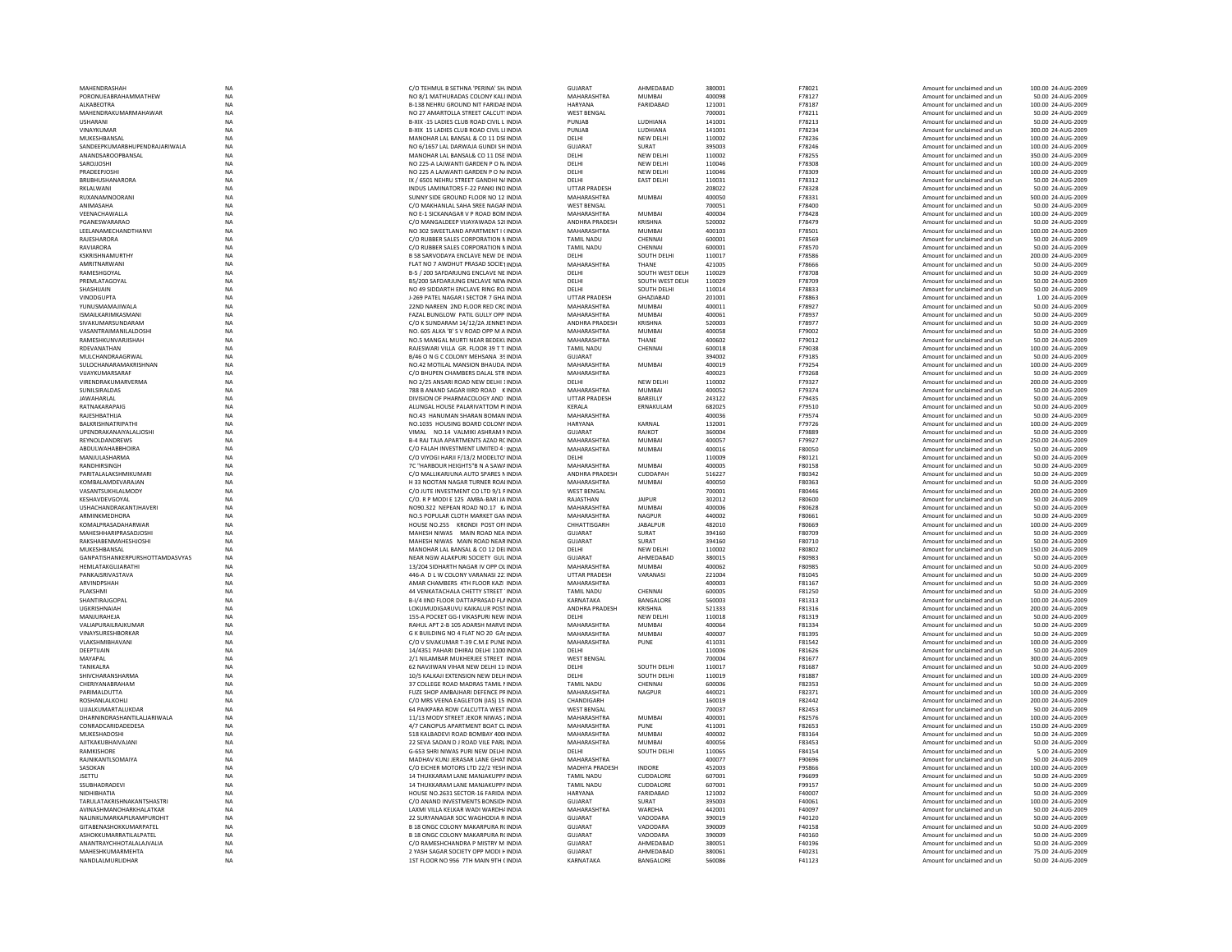| MAHENDRASHAH                    | NA          | C/O TEHMUL B SETHNA 'PERINA' SH INDIA     | <b>GUJARAT</b>       | AHMEDABAD         | 380001 | F78021        | Amount for unclaimed and un | 100.00 24-AUG-2009 |
|---------------------------------|-------------|-------------------------------------------|----------------------|-------------------|--------|---------------|-----------------------------|--------------------|
| PORONUEABRAHAMMATHEW            | NA          | NO 8/1 MATHURADAS COLONY KALI INDIA       | MAHARASHTRA          | MUMBAI            | 400098 | F78127        | Amount for unclaimed and un | 50.00 24-AUG-2009  |
|                                 |             |                                           |                      | FARIDABAD         |        |               |                             |                    |
| ALKABEOTRA                      | <b>NA</b>   | B-138 NEHRU GROUND NIT FARIDAE INDIA      | <b>HARYANA</b>       |                   | 121001 | F78187        | Amount for unclaimed and un | 100.00 24-AUG-2009 |
| MAHENDRAKUMARMAHAWAR            | <b>NA</b>   | NO 27 AMARTOLLA STREET CALCUTUNDIA        | <b>WEST BENGAL</b>   |                   | 700001 | F78211        | Amount for unclaimed and un | 50.00 24-AUG-2009  |
| <b>USHARANI</b>                 | NA          | B-XIX -15 LADIES CLUB ROAD CIVIL L INDIA  | PUNJAB               | LUDHIANA          | 141001 | F78213        | Amount for unclaimed and un | 50.00 24-AUG-2009  |
| VINAYKUMAI                      | NA          | B-XIX 15 LADIES CLUB ROAD CIVIL LI INDIA  | PUNJAB               | LUDHIANA          | 141001 | F78234        | Amount for unclaimed and un | 300.00 24-AUG-2009 |
| MUKESHBANSAL                    | <b>NA</b>   | MANOHAR LAL BANSAL & CO 11 DSEINDIA       | DELHI                | NEW DELHI         | 110002 | F78236        | Amount for unclaimed and un | 100.00 24-AUG-2009 |
| SANDEEPKUMARBHUPENDRAJARIWALA   | <b>NA</b>   | NO 6/1657 LAL DARWAJA GUNDI SH INDIA      | GUJARAT              | SURAT             | 395003 | F78246        | Amount for unclaimed and un | 100.00 24-AUG-2009 |
|                                 |             |                                           |                      |                   |        |               |                             |                    |
| ANANDSAROOPRANSAL               | <b>NA</b>   | MANOHAR LAL BANSAL& CO 11 DSE INDIA       | DELHI                | <b>NEW DELHI</b>  | 110002 | F78255        | Amount for unclaimed and un | 350.00 24-AUG-2009 |
| SAROJJOSHI                      | NA          | NO 225-A LAJWANTI GARDEN P O N/ INDIA     | DELHI                | NEW DELHI         | 110046 | F78308        | Amount for unclaimed and un | 100.00 24-AUG-2009 |
| PRADEEPJOSH                     | <b>NA</b>   | NO 225 A LAJWANTI GARDEN P O N/ INDIA     | DELHI                | <b>NEW DELHI</b>  | 110046 | F78309        | Amount for unclaimed and un | 100.00 24-AUG-2009 |
| BRUBHUSHANARORA                 | <b>NA</b>   | IX / 6501 NEHRU STREET GANDHI N/ INDIA    | DELHI                | <b>EAST DELHI</b> | 110031 | F78312        | Amount for unclaimed and un | 50.00 24-AUG-2009  |
| RKI AI WANI                     | <b>NA</b>   | INDUS LAMINATORS F-22 PANKLIND INDIA      | <b>UTTAR PRADESH</b> |                   | 208022 | F78328        | Amount for unclaimed and un | 50.00 24-AUG-2009  |
|                                 |             |                                           |                      |                   |        |               |                             |                    |
| RUXANAMNOORANI                  | <b>NA</b>   | SUNNY SIDE GROUND FLOOR NO 12 INDIA       | MAHARASHTRA          | <b>MUMBAI</b>     | 400050 | F78331        | Amount for unclaimed and un | 500.00 24-AUG-2009 |
| ANIMASAHA                       | <b>NA</b>   | C/O MAKHANLAL SAHA SREE NAGAF INDIA       | <b>WEST BENGAL</b>   |                   | 700051 | F78400        | Amount for unclaimed and un | 50.00 24-AUG-2009  |
| VEENACHAWALLA                   | <b>NA</b>   | NO E-1 SICKANAGAR V P ROAD BOM INDIA      | <b>MAHARASHTRA</b>   | MUMBAI            | 400004 | F78428        | Amount for unclaimed and un | 100.00 24-AUG-2009 |
| PGANESWARARAO                   | <b>NA</b>   | C/O MANGALDEEP VIJAYAWADA 52(INDIA        | ANDHRA PRADESH       | KRISHNA           | 520002 | F78479        | Amount for unclaimed and un | 50.00 24-AUG-2009  |
|                                 |             |                                           |                      |                   |        |               |                             |                    |
| <b>I FFI ANAMECHANDTHANVI</b>   | <b>NA</b>   | NO 302 SWEETLAND APARTMENT LONDIA         | MAHARASHTRA          | MUMRAI            | 400103 | F78501        | Amount for unclaimed and un | 100.00 24-AUG-2009 |
| RAJESHARORA                     | NA          | C/O RUBBER SALES CORPORATION NINDIA       | <b>TAMIL NADU</b>    | CHENNAI           | 600001 | F78569        | Amount for unclaimed and un | 50.00 24-AUG-2009  |
| RAVIARORA                       | <b>NA</b>   | C/O RUBBER SALES CORPORATION NINDIA       | <b>TAMIL NADU</b>    | CHENNA            | 600001 | F78570        | Amount for unclaimed and un | 50.00 24-AUG-2009  |
| KSKRISHNAMURTHY                 | NA          | B 58 SARVODAYA ENCLAVE NEW DE INDIA       | DELHI                | SOUTH DELHI       | 110017 | F78586        | Amount for unclaimed and un | 200.00 24-AUG-2009 |
| AMRITNARWANI                    | <b>NA</b>   | FLAT NO 7 AWDHUT PRASAD SOCIETINDIA       | MAHARASHTRA          | THANF             | 421005 | F78666        | Amount for unclaimed and un | 50.00 24-AUG-2009  |
|                                 |             |                                           |                      |                   |        |               |                             |                    |
| RAMESHGOYAL                     | <b>NA</b>   | B-5 / 200 SAFDARJUNG ENCLAVE NE INDIA     | DELHI                | SOUTH WEST DELH   | 110029 | <b>F78708</b> | Amount for unclaimed and un | 50.00 24-AUG-2009  |
| PREMLATAGOYAL                   | $_{\sf NA}$ | B5/200 SAFDARJUNG ENCLAVE NEW INDIA       | DELHI                | SOUTH WEST DELH   | 110029 | F78709        | Amount for unclaimed and un | 50.00 24-AUG-2009  |
| SHASHIJAIN                      | <b>NA</b>   | NO 49 SIDDARTH ENCLAVE RING RO, INDIA     | DELHI                | SOUTH DELHI       | 110014 | F78833        | Amount for unclaimed and un | 50.00 24-AUG-2009  |
| VINODGUPTA                      | <b>NA</b>   | J-269 PATEL NAGAR I SECTOR 7 GHA INDIA    | <b>UTTAR PRADESH</b> | GHA7IARAD         | 201001 | F78863        | Amount for unclaimed and un | 1.00 24-AUG-2009   |
| YUNUSMAMAJIWALA                 |             | 22ND NARFEN, 2ND FLOOR RED CRC INDIA      | MAHARASHTRA          | MUMBAI            | 400011 | F78927        | Amount for unclaimed and un | 50.00 24-AUG-2009  |
|                                 | <b>NA</b>   |                                           |                      |                   |        |               |                             |                    |
| <b>ISMAILKARIMKASMANI</b>       | <b>NA</b>   | FAZAL BUNGLOW PATIL GULLY OPP INDIA       | MAHARASHTRA          | MUMRAI            | 400061 | F78937        | Amount for unclaimed and un | 50.00 24-AUG-2009  |
| SIVAKUMARSUNDARAM               | NA          | C/O K SUNDARAM 14/12/2A JENNETINDIA       | ANDHRA PRADESH       | KRISHNA           | 520003 | F78977        | Amount for unclaimed and un | 50.00 24-AUG-2009  |
| VASANTRAIMANILALDOSHI           | NA          | NO. 605 ALKA 'B' S V ROAD OPP M A INDIA   | MAHARASHTRA          | MUMBAI            | 400058 | F79002        | Amount for unclaimed and un | 50.00 24-AUG-2009  |
| RAMESHKUNVARJISHAH              | <b>NA</b>   | NO.5 MANGAL MURTI NEAR BEDEKLINDIA        | MAHARASHTRA          | THANE             | 400602 | F79012        | Amount for unclaimed and un | 50.00 24-AUG-2009  |
|                                 |             |                                           |                      |                   |        |               |                             |                    |
| RDEVANATHAN                     | <b>NA</b>   | RAJESWARI VILLA GR. FLOOR 39 T T INDIA    | <b>TAMIL NADU</b>    | CHENNAI           | 600018 | F79038        | Amount for unclaimed and un | 100.00 24-AUG-2009 |
| MULCHANDRAAGRWAL                | NA          | B/46 O N G C COLONY MEHSANA 39 INDIA      | <b>GUJARAT</b>       |                   | 394002 | F79185        | Amount for unclaimed and un | 50.00 24-AUG-2009  |
| SULOCHANARAMAKRISHNAN           | NA          | NO.42 MOTILAL MANSION BHAUDA. INDIA       | <b>MAHARASHTRA</b>   | MUMBAI            | 400019 | F79254        | Amount for unclaimed and un | 100.00 24-AUG-2009 |
| VUAYKUMARSARAF                  | <b>NA</b>   | C/O BHUPEN CHAMBERS DALAL STR INDIA       | MAHARASHTRA          |                   | 400023 | F79268        | Amount for unclaimed and un | 50.00 24-AUG-2009  |
| VIRENDRAKUMARVERMA              | <b>NA</b>   | NO 2/25 ANSARI ROAD NEW DELHI 1INDIA      | DELHI                | NEW DELHI         | 110002 | F79327        | Amount for unclaimed and un | 200.00 24-AUG-2009 |
|                                 |             |                                           |                      |                   |        |               |                             |                    |
| SUNILSIRALDAS                   | $_{\sf NA}$ | 788 B ANAND SAGAR IIIRD ROAD KINDIA       | MAHARASHTRA          | MUMRAI            | 400052 | F79374        | Amount for unclaimed and un | 50.00 24-AUG-2009  |
| <b>JAWAHARLAL</b>               | NA          | DIVISION OF PHARMACOLOGY AND 'INDIA       | UTTAR PRADESH        | BAREILLY          | 243122 | F79435        | Amount for unclaimed and un | 50.00 24-AUG-2009  |
| RATNAKARAPAIG                   | NA          | ALUNGAL HOUSE PALARIVATTOM P(INDIA        | <b>KERALA</b>        | ERNAKULAM         | 682025 | F79510        | Amount for unclaimed and un | 50.00 24-AUG-2009  |
| RAJESHBATHIJA                   | <b>NA</b>   | NO.43 HANUMAN SHARAN BOMAN INDIA          | MAHARASHTRA          |                   | 400036 | F79574        | Amount for unclaimed and un | 50.00 24-AUG-2009  |
|                                 | <b>NA</b>   | NO.1035 HOUSING BOARD COLONY INDIA        |                      | KARNAL            | 132001 |               |                             |                    |
| BALKRISHNATRIPATH               |             |                                           | HARYANA              |                   |        | F79726        | Amount for unclaimed and un | 100.00 24-AUG-2009 |
| UPENDRAKANAIYALALIOSHI          | NA          | VIMAL NO.14 VALMIKI ASHRAM NINDIA         | <b>GUJARAT</b>       | RAJKOT            | 360004 | F79889        | Amount for unclaimed and un | 50.00 24-AUG-2009  |
| REYNOLDANDREWS                  | NA          | B-4 RAJ TAJA APARTMENTS AZAD RC INDIA     | <b>MAHARASHTRA</b>   | <b>MUMBA</b>      | 400057 | F79927        | Amount for unclaimed and un | 250.00 24-AUG-2009 |
| <b>ABDULWAHABBHOIRA</b>         | <b>NA</b>   | C/O FALAH INVESTMENT LIMITED 4: INDIA     | MAHARASHTRA          | <b>MUMBAI</b>     | 400016 | F80050        | Amount for unclaimed and un | 50.00 24-AUG-2009  |
| MANJULASHARMA                   | <b>NA</b>   | C/O VIYOGI HARJI F/13/2 MODELTO' INDIA    | DELHI                |                   | 110009 | F80121        | Amount for unclaimed and un | 50.00 24-AUG-2009  |
| RANDHIRSINGH                    | <b>NA</b>   | 7C "HARBOUR HEIGHTS"R N A SAW/INDIA       | MAHARASHTRA          | MUMRAI            | 400005 | <b>F80158</b> | Amount for unclaimed and un | 50.00 24-AUG-2009  |
|                                 |             |                                           |                      |                   |        |               |                             |                    |
| PARITALALAKSHMIKUMARI           | NA          | C/O MALLIKARJUNA AUTO SPARES NINDIA       | ANDHRA PRADESH       | CUDDAPAH          | 516227 | F80342        | Amount for unclaimed and un | 50.00 24-AUG-2009  |
| KOMBALAMDEVARAJAN               | <b>NA</b>   | H 33 NOOTAN NAGAR TURNER ROAHNDIA         | MAHARASHTRA          | <b>MUMBAI</b>     | 400050 | F80363        | Amount for unclaimed and un | 50.00 24-AUG-2009  |
| VASANTSUKHLALMODY               | NA          | C/O JUTE INVESTMENT CO LTD 9/1 FINDIA     | <b>WEST BENGAL</b>   |                   | 700001 | F80446        | Amount for unclaimed and un | 200.00 24-AUG-2009 |
| KESHAVDEVGOYAL                  | NA          | C/O. R P MODLE 125 AMBA-BARLIA INDIA      | RAIASTHAN            | <b>IAIPUR</b>     | 302012 | <b>E80600</b> | Amount for unclaimed and un | 50.00 24-AUG-2009  |
|                                 |             |                                           |                      |                   |        |               |                             |                    |
| <b>USHACHANDRAKANTJHAVERI</b>   | <b>NA</b>   | NO90.322 NEPEAN ROAD NO.17 K/INDIA        | MAHARASHTRA          | MUMRAI            | 400006 | <b>E80628</b> | Amount for unclaimed and un | 50.00 24-AUG-2009  |
| ARMINKMEDHORA                   | NA          | NO.5 POPULAR CLOTH MARKET GAN INDIA       | <b>MAHARASHTRA</b>   | NAGPUR            | 440002 | F80661        | Amount for unclaimed and un | 50.00 24-AUG-2009  |
| KOMALPRASADAHARWAR              | <b>NA</b>   | HOUSE NO.255 KRONDI POST OFFINDIA         | CHHATTISGARH         | <b>JABALPUR</b>   | 482010 | F80669        | Amount for unclaimed and un | 100.00 24-AUG-2009 |
| MAHESHHARIPRASADJOSHI           | NA          | MAHESH NIWAS MAIN ROAD NEA INDIA          | GUJARAT              | SURAT             | 394160 | F80709        | Amount for unclaimed and un | 50.00 24-AUG-2009  |
| RAKSHARFNMAHFSHIOSHI            |             | MAHESH NIWAS MAIN ROAD NEAR INDIA         | GUIARAT              | SURAT             | 394160 | F80710        | Amount for unclaimed and un | 50.00 24-AUG-2009  |
|                                 | <b>NA</b>   |                                           |                      |                   |        |               |                             |                    |
| MUKESHBANSAL                    | <b>NA</b>   | MANOHAR LAL BANSAL & CO 12 DELINDIA       | DELHI                | <b>NEW DELHI</b>  | 110002 | <b>E80802</b> | Amount for unclaimed and un | 150.00 24-AUG-2009 |
| GANPATISHANKERPURSHOTTAMDASVYAS | <b>NA</b>   | NEAR NGW ALAKPURI SOCIETY GUL INDIA       | GUJARAT              | AHMEDABAD         | 380015 | F80983        | Amount for unclaimed and un | 50.00 24-AUG-2009  |
| HEMLATAKGUJARATHI               | NA          | 13/204 SIDHARTH NAGAR IV OPP OLINDIA      | MAHARASHTRA          | <b>MUMBAI</b>     | 400062 | F80985        | Amount for unclaimed and un | 50.00 24-AUG-2009  |
| PANKAJSRIVASTAVA                | <b>NA</b>   | 446-A D L W COLONY VARANASI 22: INDIA     | <b>UTTAR PRADESH</b> | VARANASI          | 221004 | F81045        | Amount for unclaimed and un | 50.00 24-AUG-2009  |
|                                 |             |                                           |                      |                   |        |               |                             |                    |
| ARVINDPSHAH                     | <b>NA</b>   | AMAR CHAMBERS 4TH FLOOR KAZL INDIA        | MAHARASHTRA          |                   | 400003 | F81167        | Amount for unclaimed and un | 50.00 24-AUG-2009  |
| PLAKSHMI                        | <b>NA</b>   | 44 VENKATACHALA CHETTY STREET 'INDIA      | <b>TAMIL NADU</b>    | CHENNAI           | 600005 | F81250        | Amount for unclaimed and un | 50.00 24-AUG-2009  |
| SHANTIRAJGOPAL                  | <b>NA</b>   | B-I/4 IIND FLOOR DATTAPRASAD FLAINDIA     | KARNATAKA            | BANGALORE         | 560003 | F81313        | Amount for unclaimed and un | 100.00 24-AUG-2009 |
| UGKRISHNAIAH                    | NA          | LOKUMUDIGARUVU KAIKALUR POSTINDIA         | ANDHRA PRADESH       | KRISHNA           | 521333 | F81316        | Amount for unclaimed and un | 200.00 24-AUG-2009 |
| MANJURAHEJA                     | <b>NA</b>   | 155-A POCKET GG-I VIKASPURI NEW INDIA     | DELHI                | NEW DELHI         | 110018 | F81319        | Amount for unclaimed and un | 50.00 24-AUG-2009  |
|                                 |             |                                           |                      |                   |        |               |                             |                    |
| VALIAPURAILRAJKUMAR             | NA          | RAHUL APT 2-B 105 ADARSH MARVE INDIA      | MAHARASHTRA          | <b>MUMBAI</b>     | 400064 | F81334        | Amount for unclaimed and un | 50.00 24-AUG-2009  |
| VINAYSURESHBORKAR               | NA          | G K BUILDING NO 4 FLAT NO 20 GAI INDIA    | MAHARASHTRA          | <b>MUMBAI</b>     | 400007 | F81395        | Amount for unclaimed and un | 50.00 24-AUG-2009  |
| VLAKSHMIBHAVANI                 | <b>NA</b>   | C/O V SIVAKUMAR T-39 C.M.E PUNE INDIA     | MAHARASHTRA          | PUNE              | 411031 | F81542        | Amount for unclaimed and un | 100.00 24-AUG-2009 |
| DEEPTIJAIN                      | <b>NA</b>   | 14/4351 PAHARI DHIRAJ DELHI 1100 INDIA    | DELHI                |                   | 110006 | F81626        | Amount for unclaimed and un | 50.00 24-AUG-2009  |
|                                 |             |                                           | <b>WEST BENGAL</b>   |                   | 700004 |               |                             |                    |
| MAYAPAL                         | <b>NA</b>   | 2/1 NILAMBAR MUKHERJEE STREET INDIA       |                      |                   |        | F81677        | Amount for unclaimed and un | 300.00 24-AUG-2009 |
| TANIKALRA                       | $_{\sf NA}$ | 62 NAVJIWAN VIHAR NEW DELHI 11 INDIA      | DELHI                | SOUTH DELHI       | 110017 | F81687        | Amount for unclaimed and un | 50.00 24-AUG-2009  |
| SHIVCHARANSHARMA                | NA          | 10/5 KALKAJI EXTENSION NEW DELHINDIA      | DELHI                | SOUTH DELHI       | 110019 | F81887        | Amount for unclaimed and un | 100.00 24-AUG-2009 |
| CHERIYANABRAHAM                 | NA          | 37 COLLEGE ROAD MADRAS TAMIL NINDIA       | TAMIL NADU           | CHENNAL           | 600006 | F82353        | Amount for unclaimed and un | 50.00 24-AUG-2009  |
| PARIMALDUTTA                    | <b>NA</b>   | FUZE SHOP AMBAJHARI DEFENCE PRINDIA       | MAHARASHTRA          | <b>NAGPUR</b>     | 440021 | F82371        | Amount for unclaimed and un | 100.00 24-AUG-2009 |
|                                 |             |                                           |                      |                   |        |               |                             |                    |
| ROSHANI AI KOHLI                | <b>NA</b>   | C/O MRS VEENA FAGLETON (IAS) 15 INDIA     | CHANDIGARH           |                   | 160019 | F82442        | Amount for unclaimed and un | 200.00 24-AUG-2009 |
| UJJALKUMARTALUKDAR              | NA          | 64 PAIKPARA ROW CALCUTTA WEST INDIA       | <b>WEST BENGAL</b>   |                   | 700037 | F82453        | Amount for unclaimed and un | 50.00 24-AUG-2009  |
| DHARNINDRASHANTILALJARIWALA     | NA          | 11/13 MODY STREET JEKOR NIWAS ; INDIA     | <b>MAHARASHTRA</b>   | MUMBAI            | 400001 | F82576        | Amount for unclaimed and un | 100.00 24-AUG-2009 |
| CONRADCARIDADEDESA              | <b>NA</b>   | 4/7 CANOPUS APARTMENT BOAT CL INDIA       | MAHARASHTRA          | PUNF              | 411001 | F82653        | Amount for unclaimed and un | 150.00 24-AUG-2009 |
| MUKESHADOSHI                    | <b>NA</b>   | 518 KALBADEVI ROAD BOMBAY 400 INDIA       | MAHARASHTRA          | <b>MUMBAI</b>     | 400002 | F83164        | Amount for unclaimed and un | 50.00 24-AUG-2009  |
|                                 |             |                                           |                      |                   |        |               |                             |                    |
| AIITKAKURHAIVAIANI              | <b>NA</b>   | 22 SEVA SADAN D J ROAD VILE PARL INDIA    | MAHARASHTRA          | MUMRAI            | 400056 | F83453        | Amount for unclaimed and un | 50.00 24-AUG-2009  |
| RAMKISHORE                      | NA          | G-653 SHRI NIWAS PURI NEW DELHI INDIA     | DELHI                | SOUTH DELHI       | 110065 | F84154        | Amount for unclaimed and un | 5.00 24-AUG-2009   |
| RAJNIKANTLSOMAIYA               | <b>NA</b>   | MADHAV KUNJ JERASAR LANE GHAT INDIA       | MAHARASHTRA          |                   | 400077 | F90696        | Amount for unclaimed and un | 50.00 24-AUG-2009  |
| SASOKAN                         | <b>NA</b>   | C/O EICHER MOTORS LTD 22/2 YESH INDIA     | MADHYA PRADESH       | INDORE            | 452003 | F95866        | Amount for unclaimed and un | 100.00 24-AUG-2009 |
|                                 |             |                                           | <b>TAMIL NADU</b>    | <b>CUDDALORE</b>  |        |               |                             |                    |
| <b>JSETTU</b>                   | <b>NA</b>   | 14 THUKKARAM LANE MANJAKUPPAINDIA         |                      |                   | 607001 | F96699        | Amount for unclaimed and un | 50.00 24-AUG-2009  |
| SSUBHADRADEVI                   | <b>NA</b>   | 14 THUKKARAM LANE MANJAKUPPA INDIA        | <b>TAMIL NADU</b>    | CUDDALORE         | 607001 | F99157        | Amount for unclaimed and un | 50.00 24-AUG-2009  |
| NIDHIBHATIA                     | NA          | HOUSE NO.2631 SECTOR-16 FARIDA INDIA      | HARYANA              | FARIDABAD         | 121002 | F40007        | Amount for unclaimed and un | 50.00 24-AUG-2009  |
| TARULATAKRISHNAKANTSHASTR       | NA          | C/O ANAND INVESTMENTS BONSIDE INDIA       | <b>GUJARAT</b>       | SURAT             | 395003 | F40061        | Amount for unclaimed and un | 100.00 24-AUG-2009 |
|                                 | <b>NA</b>   |                                           | MAHARASHTRA          |                   | 442001 |               |                             |                    |
| AVINASHMANOHARKHALATKAR         |             | LAXMI VILLA KELKAR WADI WARDH/ INDIA      |                      | WARDHA            |        | F40097        | Amount for unclaimed and un | 50.00 24-AUG-2009  |
| NAI INKUMARKAPII RAMPUROHIT     | <b>NA</b>   | 22 SURYANAGAR SOC WAGHODIA R INDIA        | GUIARAT              | VADODARA          | 390019 | F40120        | Amount for unclaimed and un | 50.00 24-AUG-2009  |
| GITABENASHOKKUMARPATEL          | <b>NA</b>   | B 18 ONGC COLONY MAKARPURA R(INDIA        | GUJARAT              | VADODARA          | 390009 | F40158        | Amount for unclaimed and un | 50.00 24-AUG-2009  |
| ASHOKKUMARRATILALPATEL          | <b>NA</b>   | <b>B 18 ONGC COLONY MAKARPURA R(INDIA</b> | GUJARAT              | VADODARA          | 390009 | F40160        | Amount for unclaimed and un | 50.00 24-AUG-2009  |
| ANANTRAYCHHOTALALAJVALIA        |             |                                           |                      |                   |        |               |                             |                    |
|                                 |             |                                           |                      |                   |        |               |                             |                    |
|                                 | NA          | C/O RAMESHCHANDRA P MISTRY M INDIA        | <b>GUJARAT</b>       | AHMEDABAD         | 380051 | F40196        | Amount for unclaimed and un | 50.00 24-AUG-2009  |
| MAHFSHKUMARMFHTA                | <b>NA</b>   | 2 YASH SAGAR SOCIETY OPP MODI HINDIA      | GUIARAT              | AHMEDARAD         | 380061 | F40231        | Amount for unclaimed and un | 75.00.24-AUG-2009  |
| NANDLALMURLIDHAR                | <b>NA</b>   | 1ST FLOOR NO 956 7TH MAIN 9TH (INDIA      | KARNATAKA            | BANGALORE         | 560086 | F41123        | Amount for unclaimed and un | 50.00 24-AUG-2009  |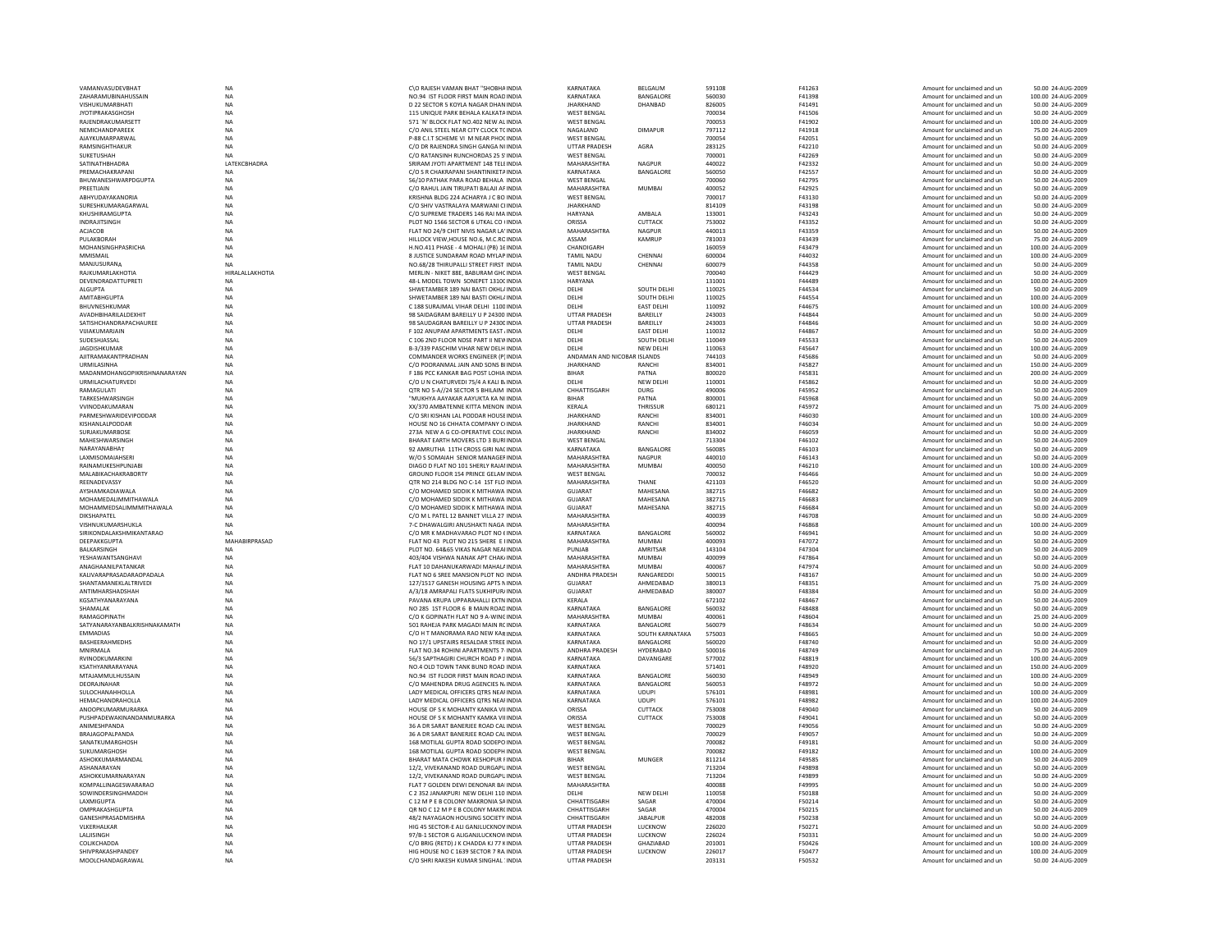| VAMANVASUDEVBHAT                      | NA                     | C\O RAJESH VAMAN BHAT "SHOBHA INDIA                                            | KARNATAKA                                    | BELGAUM            | 591108           | F41263           | Amount for unclaimed and ur                                | 50.00 24-AUG-2009                       |
|---------------------------------------|------------------------|--------------------------------------------------------------------------------|----------------------------------------------|--------------------|------------------|------------------|------------------------------------------------------------|-----------------------------------------|
| ZAHARAMUBINAHUSSAIN                   | <b>NA</b>              | NO.94 IST FLOOR FIRST MAIN ROAD INDIA                                          | KARNATAKA                                    | BANGALORE          | 560030           | F41398           | Amount for unclaimed and un                                | 100.00 24-AUG-2009                      |
| VISHUKUMARBHATI                       | <b>NA</b>              | D 22 SECTOR 5 KOYLA NAGAR DHAN INDIA                                           | <b>JHARKHAND</b>                             | DHANBAD            | 826005           | F41491           | Amount for unclaimed and un                                | 50.00 24-AUG-2009                       |
| <b>IYOTIPRAKASGHOSH</b>               | <b>NA</b>              | 115 UNIOUE PARK BEHALA KALKATA INDIA                                           | <b>WEST RENGAL</b>                           |                    | 700034           | F41506           | Amount for unclaimed and un                                | 50.00 24-AUG-2009                       |
| RAJENDRAKUMARSETT                     | <b>NA</b>              | 571 'N' BLOCK FLAT NO.402 NEW AL INDIA                                         | <b>WEST BENGAL</b>                           |                    | 700053           | F41902           | Amount for unclaimed and un                                | 100.00 24-AUG-2009                      |
| NEMICHANDPAREEK                       | <b>NA</b>              | C/O ANIL STEEL NEAR CITY CLOCK TC INDIA                                        | NAGALAND                                     | <b>DIMAPUR</b>     | 797112           | F41918           | Amount for unclaimed and un                                | 75.00 24-AUG-2009                       |
| AJAYKUMARPARWAL                       | <b>NA</b>              | P-88 C.I.T SCHEME VI M NEAR PHOCINDIA                                          | <b>WEST BENGAL</b>                           |                    | 700054           | F42051           | Amount for unclaimed and un                                | 50.00 24-AUG-2009                       |
| <b>RAMSINGHTHAKUR</b>                 | <b>NA</b>              | C/O DR RAJENDRA SINGH GANGA NUNDIA                                             | <b>UTTAR PRADESH</b>                         | AGRA               | 283125           | F42210           | Amount for unclaimed and un                                | 50.00 24-AUG-2009                       |
| SUKETUSHAH                            | <b>NA</b>              | C/O RATANSINH RUNCHORDAS 25 S'INDIA                                            | <b>WEST BENGAL</b>                           |                    | 700001           | F42269           | Amount for unclaimed and un                                | 50.00 24-AUG-2009                       |
| SATINATHBHADRA                        | LATEKCBHADRA           | SRIRAM JYOTI APARTMENT 148 TELEINDIA                                           | <b>MAHARASHTRA</b>                           | <b>NAGPUR</b>      | 440022           | F42332           | Amount for unclaimed and un                                | 50.00 24-AUG-2009                       |
| PREMACHAKRAPAN                        | NA                     | C/O S R CHAKRAPANI SHANTINIKETA INDIA                                          | KARNATAKA                                    | BANGALORE          | 560050           | F42557           | Amount for unclaimed and un                                | 50.00 24-AUG-2009                       |
| BHUWANESHWARPDGUPTA                   | <b>NA</b>              | 56/10 PATHAK PARA ROAD BEHALA INDIA                                            | <b>WEST BENGAL</b>                           |                    | 700060           | F42795           | Amount for unclaimed and un                                | 50.00 24-AUG-2009                       |
| PREETIJAIN                            | <b>NA</b>              | C/O RAHUL JAIN TIRUPATI BALAJI AFINDIA                                         | MAHARASHTRA                                  | MUMBAI             | 400052           | F42925           | Amount for unclaimed and un                                | 50.00 24-AUG-2009                       |
| ABHYUDAYAKANORIA                      | <b>NA</b>              | KRISHNA BLDG 224 ACHARYA J C BO INDIA                                          | <b>WEST BENGAL</b>                           |                    | 700017           | F43130           | Amount for unclaimed and un                                | 50.00 24-AUG-2009                       |
| SURESHKUMARAGARWAL                    | <b>NA</b>              | C/O SHIV VASTRALAYA MARWANI CHNDIA                                             | <b>JHARKHAND</b>                             |                    | 814109           | F43198           | Amount for unclaimed and un                                | 50.00 24-AUG-2009                       |
| KHUSHIRAMGUPTA                        | <b>NA</b>              | C/O SUPREME TRADERS 146 RAI MA INDIA                                           | <b>HARYANA</b>                               | AMBALA             | 133001           | F43243           | Amount for unclaimed and un                                | 50.00 24-AUG-2009                       |
| <b>INDRAILTSINGH</b>                  | <b>NA</b>              | PLOT NO 1566 SECTOR 6 UTKAL CO UNDIA                                           | ORISSA                                       | CUTTACK            | 753002           | F43352           | Amount for unclaimed and un                                | 50.00 24-AUG-2009                       |
| <b>ACIACOR</b>                        | <b>NA</b>              | FLAT NO 24/9 CHIT NIVIS NAGAR LA' INDIA                                        | MAHARASHTRA                                  | <b>NAGPUR</b>      | 440013           | F43359           | Amount for unclaimed and un                                | 50.00 24-AUG-2009                       |
| PULAKBORAH                            | <b>NA</b>              |                                                                                | ASSAM                                        | KAMRUP             | 781003           | F43439           |                                                            | 75.00 24-AUG-2009                       |
|                                       |                        | HILLOCK VIEW, HOUSE NO.6, M.C.ROINDIA                                          |                                              |                    |                  |                  | Amount for unclaimed and un                                |                                         |
| <b>MOHANSINGHPASRICHA</b>             | <b>NA</b>              | H.NO.411 PHASE - 4 MOHALI (PB) 16 INDIA                                        | CHANDIGARH                                   | CHENNAL            | 160059           | F43479           | Amount for unclaimed and un                                | 100.00 24-AUG-2009                      |
| MMISMAIL                              | NA                     | 8 JUSTICE SUNDARAM ROAD MYLAP INDIA                                            | <b>TAMIL NADU</b>                            |                    | 600004           | F44032           | Amount for unclaimed and un                                | 100.00 24-AUG-2009                      |
| MANILISURANA                          | <b>NA</b>              | NO 68/28 THIRUPALLI STREET FIRST INDIA                                         | <b>TAMIL NADU</b>                            | CHENNAI            | 600079           | F44358           | Amount for unclaimed and un                                | 50.00 24-AUG-2009                       |
| RAJKUMARLAKHOTIA                      | HIRALALLAKHOTIA        | MERLIN - NIKET 88E, BABURAM GHC INDIA                                          | <b>WEST BENGAL</b>                           |                    | 700040           | F44429           | Amount for unclaimed and un                                | 50.00 24-AUG-2009                       |
| DEVENDRADATTUPRETI                    | NA                     | 48-L MODEL TOWN SONEPET 1310C INDIA                                            | <b>HARYANA</b>                               |                    | 131001           | F44489           | Amount for unclaimed and ur                                | 100.00 24-AUG-2009                      |
| ALGUPTA                               | NA                     | SHWETAMBER 189 NAI BASTI OKHL/ INDIA                                           | DELHI                                        | SOUTH DELHI        | 110025           | F44534           | Amount for unclaimed and un                                | 50.00 24-AUG-2009                       |
| AMITABHGUPTA                          | <b>NA</b>              | SHWETAMBER 189 NAI BASTI OKHL/ INDIA                                           | DELHI                                        | SOUTH DELHI        | 110025           | F44554           | Amount for unclaimed and un                                | 100.00 24-AUG-2009                      |
| BHUVNESHKUMAR                         | <b>NA</b>              | C 188 SURAJMAL VIHAR DELHI 1100 INDIA                                          | DELHI                                        | <b>EAST DELHI</b>  | 110092           | F44675           | Amount for unclaimed and un                                | 100.00 24-AUG-2009                      |
| AVADHBIHARILALDEXHIT                  | <b>NA</b>              | 98 SAIDAGRAM BAREILLY U P 24300 INDIA                                          | <b>UTTAR PRADESH</b>                         | BAREILLY           | 243003           | F44844           | Amount for unclaimed and un                                | 50.00 24-AUG-2009                       |
| SATISHCHANDRAPACHAURE                 | NA                     | 98 SAUDAGRAN BAREILLY U P 2430C INDIA                                          | UTTAR PRADESH                                | BAREILLY           | 243003           | F44846           | Amount for unclaimed and ur                                | 50.00 24-AUG-200                        |
| VUIAKUMARJAIN                         | <b>NA</b>              | F 102 ANUPAM APARTMENTS EAST / INDIA                                           | DELHI                                        | <b>EAST DELHI</b>  | 110032           | F44867           | Amount for unclaimed and un                                | 50.00 24-AUG-2009                       |
| SUDESHJASSAL                          | <b>NA</b>              | C 106 2ND FLOOR NDSE PART II NEW INDIA                                         | DELHI                                        | SOUTH DELHI        | 110049           | F45533           | Amount for unclaimed and un                                | 50.00 24-AUG-2009                       |
| <b>JAGDISHKUMAR</b>                   | <b>NA</b>              | B-3/339 PASCHIM VIHAR NEW DELH INDIA                                           | DELHI                                        | NEW DELHI          | 110063           | F45647           | Amount for unclaimed and un                                | 100.00.24-AUG-2009                      |
| AJITRAMAKANTPRADHAN                   | NA                     | COMMANDER WORKS ENGINEER (P) INDIA                                             | ANDAMAN AND NICOBAR ISLANDS                  |                    | 744103           | F45686           | Amount for unclaimed and ur                                | 50.00 24-AUG-2009                       |
| <b>URMILASINHA</b>                    | <b>NA</b>              | C/O POORANMAL JAIN AND SONS BIJNDIA                                            | <b>JHARKHAND</b>                             | RANCHI             | 834001           | F45827           | Amount for unclaimed and un                                | 150.00 24-AUG-2009                      |
| MADANMOHANGOPIKRISHNANARAYAN          | <b>NA</b>              | F 186 PCC KANKAR BAG POST LOHIA INDIA                                          | <b>BIHAR</b>                                 | PATNA              | 800020           | F45831           | Amount for unclaimed and un                                | 200.00 24-AUG-2009                      |
| <b>URMILACHATURVEDL</b>               | <b>NA</b>              | C/O U N CHATURVEDI 75/4 A KALLB INDIA                                          | <b>DELHI</b>                                 | NFW DFI HI         | 110001           | F45862           | Amount for unclaimed and un                                | 50.00 24-AUG-2009                       |
|                                       |                        |                                                                                |                                              |                    |                  |                  |                                                            |                                         |
| RAMAGULATI                            | NA                     | OTR NO 5-A//24 SECTOR 5 BHILAIM INDIA                                          | CHHATTISGARH                                 | <b>DURG</b>        | 490006           | F45952           | Amount for unclaimed and un                                | 50.00 24-AUG-2009                       |
| TARKESHWARSINGH                       | NA                     | "MUKHYA AAYAKAR AAYUKTA KA NI INDIA                                            | BIHAR                                        | PATNA              | 800001           | F45968           | Amount for unclaimed and un                                | 50.00 24-AUG-2009                       |
| VVINODAKUMARAN                        | <b>NA</b>              | XX/370 AMBATENNE KITTA MENON INDIA                                             | KERALA                                       | THRISSUR           | 680121           | F45972           | Amount for unclaimed and un                                | 75.00 24-AUG-2009                       |
| PARMESHWARIDEVIPODDAR                 | <b>NA</b>              | C/O SRI KISHAN LAL PODDAR HOUSE INDIA                                          | <b>JHARKHAND</b>                             | RANCHI             | 834001           | F46030           | Amount for unclaimed and un                                | 100.00 24-AUG-2009                      |
| KISHANI AI PODDAR                     | <b>NA</b>              | HOUSE NO 16 CHHATA COMPANY CUNDIA                                              | <b>IHARKHAND</b>                             | RANCHI             | 834001           | F46034           | Amount for unclaimed and un                                | 50.00 24-AUG-2009                       |
| SURJAKUMARBOSE                        | NA                     | 273A NEW A G CO-OPERATIVE COLCINDIA                                            | <b>JHARKHAND</b>                             | RANCHI             | 834002           | F46059           | Amount for unclaimed and un                                | 50.00 24-AUG-2009                       |
| MAHESHWARSINGH                        | <b>NA</b>              | BHARAT EARTH MOVERS LTD 3 BURLINDIA                                            | <b>WEST BENGAL</b>                           |                    | 713304           | F46102           | Amount for unclaimed and un                                | 50.00 24-AUG-2009                       |
| NARAYANABHAT                          | NA                     | 92 AMRUTHA 11TH CROSS GIRI NACINDIA                                            | KARNATAKA                                    | BANGALORE          | 560085           | F46103           | Amount for unclaimed and un                                | 50.00 24-AUG-2009                       |
| <b>LAXMISOMAIAHSERI</b>               | <b>NA</b>              | W/O S SOMAIAH SENIOR MANAGER INDIA                                             | <b>MAHARASHTRA</b>                           | NAGPUR             | 440010           | F46143           | Amount for unclaimed and un                                | 50.00 24-AUG-2009                       |
| <b>RAINAMUKESHPUNJAB</b>              | <b>NA</b>              | DIAGO D FLAT NO 101 SHERLY RAJAHNDIA                                           | MAHARASHTRA                                  | <b>MUMBAI</b>      | 400050           | F46210           | Amount for unclaimed and un                                | 100.00 24-AUG-2009                      |
| MALABIKACHAKRABORTY                   | <b>NA</b>              | GROUND FLOOR 154 PRINCE GELAM INDIA                                            | <b>WEST BENGAL</b>                           |                    | 700032           | F46466           | Amount for unclaimed and un                                | 50.00 24-AUG-2009                       |
| REENADEVASSY                          | <b>NA</b>              | QTR NO 214 BLDG NO C-14 1ST FLO INDIA                                          | MAHARASHTRA                                  | THANE              | 421103           | F46520           | Amount for unclaimed and un                                | 50.00 24-AUG-2009                       |
| AYSHAMKADIAWALA                       | <b>NA</b>              | C/O MOHAMED SIDDIK K MITHAWA INDIA                                             | GUIARAT                                      | MAHESANA           | 382715           | F46682           | Amount for unclaimed and un                                | 50.00 24-AUG-2009                       |
| MOHAMEDALIMMITHAWALA                  | <b>NA</b>              | C/O MOHAMED SIDDIK K MITHAWA INDIA                                             | GUIARAT                                      | MAHFSANA           | 382715           | F46683           | Amount for unclaimed and un                                | 50.00 24-AUG-2009                       |
| MOHAMMEDSALIMMMITHAWALA               | <b>NA</b>              | C/O MOHAMED SIDDIK K MITHAWA INDIA                                             | GUIARAT                                      | MAHESANA           | 382715           | F46684           | Amount for unclaimed and un                                | 50.00 24-AUG-2009                       |
| DIKSHAPATEL                           | <b>NA</b>              | C/O M L PATEL 12 BANNET VILLA 27 INDIA                                         | <b>MAHARASHTRA</b>                           |                    | 400039           | F46708           | Amount for unclaimed and un                                | 50.00 24-AUG-2009                       |
|                                       |                        |                                                                                |                                              |                    |                  |                  |                                                            |                                         |
|                                       |                        |                                                                                |                                              |                    |                  |                  |                                                            |                                         |
| VISHNUKUMARSHUKLA                     | <b>NA</b>              | 7-C DHAWALGIRI ANUSHAKTI NAGA INDIA                                            | MAHARASHTRA                                  |                    | 400094           | F46868           | Amount for unclaimed and un                                | 100.00 24-AUG-2009                      |
| SIRIKONDALAKSHMIKANTARAO              | <b>NA</b>              | C/O MR K MADHAVARAO PLOT NO EINDIA                                             | KARNATAKA                                    | BANGALORE          | 560002           | F46941           | Amount for unclaimed and un                                | 50.00 24-AUG-2009                       |
| DEEPAKKGUPTA                          | MAHABIRPRASAD          | FLAT NO 43 PLOT NO 215 SHERE E HNDIA                                           | MAHARASHTRA                                  | <b>MUMBAI</b>      | 400093           | F47072           | Amount for unclaimed and un                                | 50.00 24-AUG-2009                       |
| BALKARSINGH                           | <b>NA</b>              | PLOT NO. 64&65 VIKAS NAGAR NEAHNDIA                                            | PUNJAB                                       | AMRITSAR           | 143104           | F47304           | Amount for unclaimed and un                                | 50.00 24-AUG-2009                       |
| YESHAWANTSANGHAVI                     | NA                     | 403/404 VISHWA NANAK APT CHAK/INDIA                                            | MAHARASHTRA                                  | <b>MUMBAI</b>      | 400099           | F47864           | Amount for unclaimed and un                                | 50.00 24-AUG-2009                       |
| ANAGHAANILPATANKAR                    | <b>NA</b>              | FLAT 10 DAHANUKARWADI MAHALA INDIA                                             | MAHARASHTRA                                  | <b>MUMBAI</b>      | 400067           | F47974           | Amount for unclaimed and un                                | 50.00 24-AUG-2009                       |
| KALIVARAPRASADARAOPADALA              | <b>NA</b>              | FLAT NO 6 SREE MANSION PLOT NO INDIA                                           | ANDHRA PRADESH                               | RANGAREDDI         | 500015           | F48167           | Amount for unclaimed and un                                | 50.00 24-AUG-2009                       |
| SHANTAMANEKLALTRIVEDI                 | <b>NA</b>              | 127/1517 GANESH HOUSING APTS NINDIA                                            | <b>GUJARAT</b>                               | AHMEDARAD          | 380013           | F48351           | Amount for unclaimed and un                                | 75.00 24-AUG-2009                       |
| ANTIMHARSHADSHAH                      | NA                     | A/3/18 AMRAPALI FLATS SUKHIPUR/ INDIA                                          | GUJARAT                                      | AHMEDABAD          | 380007           | F48384           | Amount for unclaimed and ur                                | 50.00 24-AUG-2009                       |
| KGSATHYANARAYANA                      |                        | PAVANA KRUPA UPPARAHALLI EXTN INDIA                                            | <b>KFRAIA</b>                                |                    | 672102           | F48467           | Amount for unclaimed and un                                | 50.00 24-AUG-2009                       |
| SHAMALAK                              | NA<br><b>NA</b>        | NO 285 1ST FLOOR 6 B MAIN ROAD INDIA                                           | KARNATAKA                                    | BANGALORE          | 560032           | F48488           | Amount for unclaimed and un                                | 50.00 24-AUG-2009                       |
| <b>RAMAGOPINATH</b>                   | <b>NA</b>              | C/O K GOPINATH ELAT NO 9 A-WINC INDIA                                          | MAHARASHTRA                                  | MUMRAI             | 400061           | F48604           | Amount for unclaimed and un                                | 25.00.24-AUG-2009                       |
| SATYANARAYANBALKRISHNAKAMATH          | NA                     | 501 RAHEJA PARK MAGADI MAIN RC INDIA                                           | KARNATAKA                                    | BANGALORE          | 560079           | F48634           | Amount for unclaimed and un                                | 50.00 24-AUG-2009                       |
| <b>EMMADIAS</b>                       | <b>NA</b>              | C/O H T MANORAMA RAO NEW KAR INDIA                                             | KARNATAKA                                    | SOUTH KARNATAKA    | 575003           | F48665           | Amount for unclaimed and un                                | 50.00 24-AUG-2009                       |
| BASHEERAHMEDHS                        | <b>NA</b>              | NO 17/1 UPSTAIRS RESALDAR STREE INDIA                                          | KARNATAKA                                    | BANGALORE          | 560020           | F48740           | Amount for unclaimed and un                                | 50.00 24-AUG-2009                       |
| MNIRMALA                              | <b>NA</b>              | FLAT NO.34 ROHINI APARTMENTS 7- INDIA                                          | ANDHRA PRADESH                               | HYDERABAD          | 500016           | F48749           | Amount for unclaimed and un                                | 75.00 24-AUG-2009                       |
| RVINODKUMARKINI                       | <b>NA</b>              | 56/3 SAPTHAGIRI CHURCH ROAD P J INDIA                                          | KARNATAKA                                    | DAVANGARE          | 577002           | F48819           | Amount for unclaimed and un                                | 100.00 24-AUG-2009                      |
|                                       |                        |                                                                                |                                              |                    |                  |                  |                                                            |                                         |
| KSATHYANRARAYANA                      | NA                     | NO.4 OLD TOWN TANK BUND ROAD INDIA                                             | KARNATAKA                                    |                    | 571401           | F48920           | Amount for unclaimed and un                                | 150.00 24-AUG-2009                      |
| MTAJAMMULHUSSAIN                      | <b>NA</b>              | NO.94 IST FLOOR FIRST MAIN ROAD INDIA                                          | KARNATAKA                                    | BANGALORI          | 560030           | F48949           | Amount for unclaimed and un                                | 100.00 24-AUG-2009                      |
| DEORAJNAHAR                           | <b>NA</b>              | C/O MAHENDRA DRUG AGENCIES N/ INDIA                                            | KARNATAKA                                    | BANGALORI          | 560053           | F48972           | Amount for unclaimed and un                                | 50.00 24-AUG-2009                       |
| SUI OCHANAHHOLLA                      | <b>NA</b>              | LADY MEDICAL OFFICERS OTRS NEALINDIA                                           | KARNATAKA                                    | <b>UDUPI</b>       | 576101           | F48981           | Amount for unclaimed and un                                | 100.00 24-AUG-2009                      |
| HEMACHANDRAHOLLA                      | <b>NA</b>              | LADY MEDICAL OFFICERS OTRS NEAFINDIA                                           | KARNATAKA                                    | <b>UDUPI</b>       | 576101           | F48982           | Amount for unclaimed and un                                | 100.00 24-AUG-2009                      |
| ANOOPKUMARMURARKA                     | <b>NA</b>              | HOUSE OF S K MOHANTY KANIKA VILINDIA                                           | ORISSA                                       | CUTTACK            | 753008           | F49040           | Amount for unclaimed and un                                | 50.00 24-AUG-2009                       |
| PUSHPADEWAKINANDANMURARKA             | NA                     | HOUSE OF S K MOHANTY KAMKA VILINDIA                                            | ORISSA                                       | CUTTACK            | 753008           | F49041           | Amount for unclaimed and un                                | 50.00 24-AUG-2009                       |
| ANIMESHPANDA                          | <b>NA</b>              | 36 A DR SARAT BANERIEF ROAD CALINDIA                                           | <b>WEST RENGAL</b>                           |                    | 700029           | F49056           | Amount for unclaimed and un                                | 50.00 24-AUG-2009                       |
| BRAJAGOPALPANDA                       | <b>NA</b>              | 36 A DR SARAT BANERJEE ROAD CAL INDIA                                          | <b>WEST BENGAL</b>                           |                    | 700029           | F49057           | Amount for unclaimed and un                                | 50.00 24-AUG-2009                       |
| SANATKUMARGHOSH                       | <b>NA</b>              | 168 MOTILAL GUPTA ROAD SODEPO INDIA                                            | <b>WEST BENGAL</b>                           |                    | 700082           | F49181           | Amount for unclaimed and un                                | 50.00 24-AUG-2009                       |
| SUKUMARGHOSH                          | <b>NA</b>              | 168 MOTILAL GUPTA ROAD SODEPH INDIA                                            | <b>WEST BENGAL</b>                           |                    | 700082           | F49182           | Amount for unclaimed and un                                | 100.00 24-AUG-2009                      |
| ASHOKKUMARMANDAL                      | NA                     | BHARAT MATA CHOWK KESHOPUR FINDIA                                              | <b>BIHAR</b>                                 | <b>MUNGER</b>      | 811214           | F49585           | Amount for unclaimed and un                                | 50.00 24-AUG-2009                       |
| ASHANARAYAN                           | <b>NA</b>              | 12/2. VIVEKANAND ROAD DURGAPLINDIA                                             | <b>WEST RENGAL</b>                           |                    | 713204           | F49898           | Amount for unclaimed and un                                | 50.00 24-AUG-2009                       |
| ASHOKKUMARNARAYAN                     | NA                     | 12/2, VIVEKANAND ROAD DURGAPU INDIA                                            | <b>WEST BENGAL</b>                           |                    | 713204           | F49899           | Amount for unclaimed and un                                | 50.00 24-AUG-2009                       |
| KOMPALLINAGESWARARAO                  | <b>NA</b>              | FLAT 7 GOLDEN DEWI DENONAR BAHNDIA                                             |                                              |                    | 400088           | F49995           | Amount for unclaimed and un                                | 50.00 24-AUG-2009                       |
|                                       | NA                     | C 2 352 JANAKPURI NEW DELHI 110 INDIA                                          | MAHARASHTRA<br>DELHI                         |                    | 110058           | F50188           | Amount for unclaimed and un                                | 50.00 24-AUG-2009                       |
| SOWINDERSINGHMADDH<br>LAXMIGUPTA      | <b>NA</b>              | C 12 M P E B COLONY MAKRONIA SAINDIA                                           | CHHATTISGARH                                 | NEW DELHI<br>SAGAR | 470004           | F50214           | Amount for unclaimed and un                                | 50.00 24-AUG-2009                       |
| OMPRAKASHGUPTA                        | <b>NA</b>              |                                                                                |                                              | SAGAR              | 470004           |                  |                                                            |                                         |
|                                       |                        | OR NO C 12 M P E B COLONY MAKR(INDIA                                           | CHHATTISGARH                                 |                    |                  | F50215           | Amount for unclaimed and un                                | 50.00 24-AUG-2009                       |
| <b>GANESHPRASADMISHRA</b>             | <b>NA</b>              | 48/2 NAYAGAON HOUSING SOCIETY INDIA                                            | CHHATTISGARH                                 | <b>JABALPUR</b>    | 482008           | F50238           | Amount for unclaimed and ur                                | 50.00 24-AUG-2009                       |
| VLKERHALKAR                           | NA                     | HIG 45 SECTOR-E ALI GANJLUCKNOV INDIA                                          | <b>UTTAR PRADESH</b>                         | LUCKNOW            | 226020           | F50271           | Amount for unclaimed and un                                | 50.00 24-AUG-2009                       |
| <b>LALIISINGH</b>                     | <b>NA</b>              | 97/B-1 SECTOR G ALIGANJLUCKNOW INDIA                                           | <b>UTTAR PRADESH</b>                         | LUCKNOW            | 226024           | F50331           | Amount for unclaimed and un                                | 50.00 24-AUG-2009                       |
| COLIKCHADDA                           | <b>NA</b>              | C/O BRIG (RETD) J K CHADDA KJ 77 K INDIA                                       | <b>UTTAR PRADESH</b>                         | GHAZIABAD          | 201001           | F50426           | Amount for unclaimed and un                                | 100.00 24-AUG-2009                      |
| SHIVPRAKASHPANDEY<br>MOOLCHANDAGRAWAL | <b>NA</b><br><b>NA</b> | HIG HOUSE NO C 1639 SECTOR 7 RA INDIA<br>C/O SHRI RAKESH KUMAR SINGHAL : INDIA | <b>UTTAR PRADESH</b><br><b>UTTAR PRADESH</b> | LUCKNOW            | 226017<br>203131 | F50477<br>F50532 | Amount for unclaimed and un<br>Amount for unclaimed and ur | 100.00 24-AUG-2009<br>50.00 24-AUG-2009 |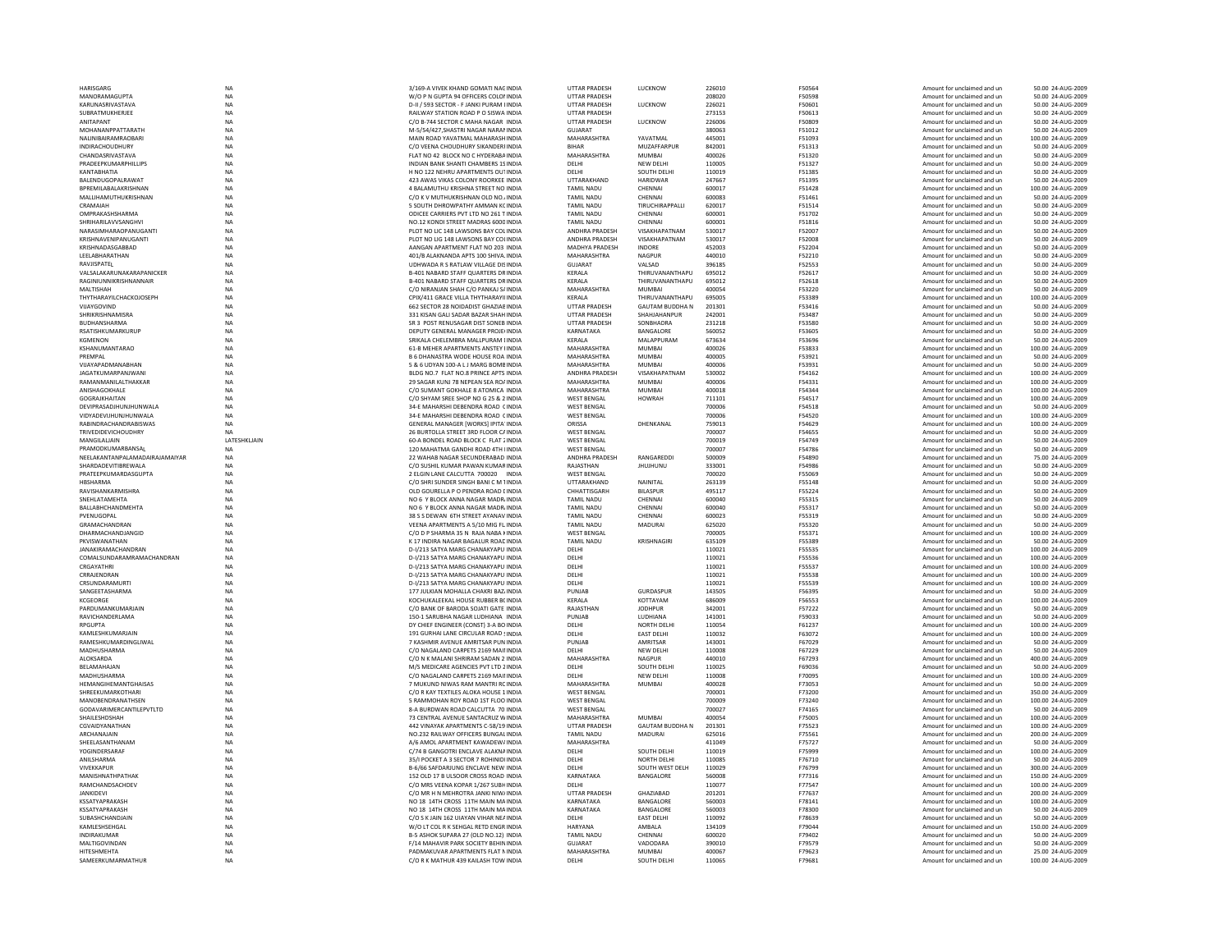| HARISGARG                         | <b>NA</b>       | 3/169-A VIVEK KHAND GOMATI NACINDIA                                       | <b>UTTAR PRADESH</b>  | LUCKNOW                | 226010           | F50564           | Amount for unclaimed and ur                                | 50.00 24-AUG-2009                       |
|-----------------------------------|-----------------|---------------------------------------------------------------------------|-----------------------|------------------------|------------------|------------------|------------------------------------------------------------|-----------------------------------------|
| MANORAMAGUPTA                     | <b>NA</b>       | W/O P N GUPTA 94 OFFICERS COLO! INDIA                                     | <b>UTTAR PRADESH</b>  |                        | 208020           | F50598           | Amount for unclaimed and un                                | 50.00 24-AUG-2009                       |
|                                   |                 |                                                                           |                       |                        |                  |                  |                                                            |                                         |
| KARUNASRIVASTAVA                  | NA              | D-II / 593 SECTOR - F JANKI PURAM LINDIA                                  | <b>UTTAR PRADESH</b>  | LUCKNOW                | 226021           | F50601           | Amount for unclaimed and un                                | 50.00 24-AUG-2009                       |
| SUBRATMUKHERJEE                   | <b>NA</b>       | RAILWAY STATION ROAD P O SISWA INDIA                                      | <b>UTTAR PRADESH</b>  |                        | 273153           | F50613           | Amount for unclaimed and un                                | 50.00 24-AUG-2009                       |
| ANITAPANT                         | <b>NA</b>       | C/O B-744 SECTOR C MAHA NAGAR INDIA                                       | <b>UTTAR PRADESH</b>  | LUCKNOW                | 226006           | <b>E50809</b>    | Amount for unclaimed and un                                | 50.00 24-AUG-2009                       |
| MOHANANPPATTARATH                 | NA              | M-5/54/427, SHASTRI NAGAR NARAI INDIA                                     | <b>GUJARAT</b>        |                        | 380063           | F51012           | Amount for unclaimed and ur                                | 50.00 24-AUG-2009                       |
| NALINIBAIRAMRAOBARI               | <b>NA</b>       | MAIN ROAD YAVATMAL MAHARASH INDIA                                         | MAHARASHTRA           | YAVATMAL               | 445001           | F51093           | Amount for unclaimed and un                                | 100.00 24-AUG-2009                      |
| <b>INDIRACHOUDHURY</b>            | <b>NA</b>       | C/O VEENA CHOUDHURY SIKANDERI INDIA                                       | <b>BIHAR</b>          | MUZAFFARPUR            | 842001           | F51313           | Amount for unclaimed and un                                | 50.00 24-AUG-2009                       |
|                                   |                 |                                                                           | MAHARASHTRA           |                        |                  |                  |                                                            |                                         |
| CHANDASRIVASTAVA                  | <b>NA</b>       | FLAT NO 42 BLOCK NO C HYDERABA INDIA                                      |                       | <b>MUMBAI</b>          | 400026           | F51320           | Amount for unclaimed and un                                | 50.00 24-AUG-2009                       |
| <b>PRADEFPKUMARPHILLIPS</b>       | <b>NA</b>       | INDIAN BANK SHANTI CHAMBERS 1S INDIA                                      | DELHI                 | NEW DELHI              | 110005           | F51327           | Amount for unclaimed and un                                | 50.00 24-AUG-2009                       |
| KANTABHATIA                       | NA              | H NO 122 NEHRU APARTMENTS OUTINDIA                                        | DELHI                 | SOUTH DELHI            | 110019           | F51385           | Amount for unclaimed and ur                                | 50.00 24-AUG-200                        |
| BALENDUGOPALRAWAT                 | <b>NA</b>       | 423 AWAS VIKAS COLONY ROORKEE INDIA                                       | UTTARAKHAND           | <b>HARIDWAR</b>        | 247667           | F51395           | Amount for unclaimed and un                                | 50.00 24-AUG-2009                       |
| BPREMILABALAKRISHNAN              | <b>NA</b>       | 4 BALAMUTHU KRISHNA STREET NO INDIA                                       | <b>TAMIL NADU</b>     | CHENNAI                | 600017           |                  |                                                            |                                         |
|                                   |                 |                                                                           |                       |                        |                  | F51428           | Amount for unclaimed and un                                | 100.00 24-AUG-2009                      |
| <b>MAI LIHAMUTHUKRISHNAN</b>      | <b>NA</b>       | C/O K V MUTHUKRISHNAN OLD NO. INDIA                                       | <b>TAMIL NADU</b>     | CHENNAL                | 600083           | F51461           | Amount for unclaimed and un                                | 50.00 24-AUG-2009                       |
| CRAMAIAH                          | NA              | 5 SOUTH DHROWPATHY AMMAN KCINDIA                                          | TAMIL NADU            | TIRUCHIRAPPALLI        | 620017           | F51514           | Amount for unclaimed and ur                                | 50.00 24-AUG-2009                       |
| OMPRAKASHSHARMA                   | <b>NA</b>       | ODICEE CARRIERS PVT LTD NO 261 T INDIA                                    | <b>TAMIL NADU</b>     | CHENNAI                | 600001           | F51702           | Amount for unclaimed and un                                | 50.00 24-AUG-2009                       |
| SHRIHARILAVVSANGHVI               | <b>NA</b>       | NO.12 KONDI STREET MADRAS 6000 INDIA                                      | <b>TAMIL NADU</b>     | CHENNAI                | 600001           | F51816           | Amount for unclaimed and un                                | 50.00 24-AUG-2009                       |
|                                   |                 |                                                                           |                       | VISAKHAPATNAM          |                  |                  |                                                            |                                         |
| NARASIMHARAOPANLIGANTI            | <b>NA</b>       | PLOT NO LIC 148 LAWSONS BAY COLINDIA                                      | <b>ANDHRA PRADESH</b> |                        | 530017           | <b>F52007</b>    | Amount for unclaimed and un                                | 50.00 24-AUG-2009                       |
| KRISHNAVENIPANUGANTI              | <b>NA</b>       | PLOT NO LIG 148 LAWSONS BAY COLINDIA                                      | ANDHRA PRADESH        | VISAKHAPATNAM          | 530017           | F52008           | Amount for unclaimed and un                                | 50.00 24-AUG-2009                       |
| KRISHNADASGABBAD                  | NA              | AANGAN APARTMENT FLAT NO 203 INDIA                                        | MADHYA PRADESH        | INDORE                 | 452003           | F52204           | Amount for unclaimed and un                                | 50.00 24-AUG-2009                       |
| LEELABHARATHAN                    | <b>NA</b>       | 401/B ALAKNANDA APTS 100 SHIVALINDIA                                      | <b>MAHARASHTRA</b>    | <b>NAGPUR</b>          | 440010           | F52210           | Amount for unclaimed and un                                | 50.00 24-AUG-2009                       |
| RAVJISPATEL                       | <b>NA</b>       | UDHWADA R S RATLAW VILLAGE DISINDIA                                       | <b>GUJARAT</b>        | VALSAD                 | 396185           | F52553           | Amount for unclaimed and un                                | 50.00 24-AUG-2009                       |
|                                   |                 |                                                                           |                       |                        |                  |                  |                                                            |                                         |
| VALSALAKARUNAKARAPANICKER         | <b>NA</b>       | <b>B-401 NABARD STAFF OUARTERS DRINDIA</b>                                | <b>KFRAIA</b>         | THIRUVANANTHAPU        | 695012           | F52617           | Amount for unclaimed and un                                | 50.00 24-AUG-2009                       |
| RAGINIUNNIKRISHNANNAIF            | NA              | B-401 NABARD STAFF QUARTERS DRINDIA                                       | KERALA                | THIRUVANANTHAPU        | 695012           | F52618           | Amount for unclaimed and ur                                | 50.00 24-AUG-2009                       |
| MALTISHAH                         | <b>NA</b>       | C/O NIRANJAN SHAH C/O PANKAJ S/ INDIA                                     | MAHARASHTRA           | <b>MUMBAI</b>          | 400054           | F53220           | Amount for unclaimed and un                                | 50.00 24-AUG-2009                       |
| THYTHARAYILCHACKOJOSEPH           | NA              | CPIX/411 GRACE VILLA THYTHARAYII INDIA                                    | KERALA                | THIRUVANANTHAPU        | 695005           | F53389           | Amount for unclaimed and un                                | 100.00 24-AUG-2009                      |
| VIIAYGOVIND                       | <b>NA</b>       | 662 SECTOR 28 NOIDADIST GHAZIAE INDIA                                     | <b>UTTAR PRADESH</b>  | <b>GAUTAM BUDDHA N</b> | 201301           | F53416           | Amount for unclaimed and un                                | 50.00 24-AUG-2009                       |
|                                   |                 |                                                                           |                       |                        |                  |                  |                                                            |                                         |
| SHRIKRISHNAMISRA                  | <b>NA</b>       | 331 KISAN GALI SADAR BAZAR SHAH INDIA                                     | <b>UTTAR PRADESH</b>  | SHAHJAHANPUR           | 242001           | F53487           | Amount for unclaimed and un                                | 50.00 24-AUG-2009                       |
| <b>BUDHANSHARMA</b>               | NA              | SR 3 POST RENUSAGAR DIST SONEB INDIA                                      | <b>UTTAR PRADESH</b>  | SONBHADRA              | 231218           | F53580           | Amount for unclaimed and ur                                | 50.00 24-AUG-2009                       |
| RSATISHKUMARKURUP                 | NA              | DEPUTY GENERAL MANAGER PROJE(INDIA                                        | KARNATAKA             | BANGALORE              | 560052           | F53605           | Amount for unclaimed and un                                | 50.00 24-AUG-2009                       |
| KGMENON                           | <b>NA</b>       | SRIKALA CHELEMBRA MALLPURAM [INDIA                                        | KERALA                | MALAPPURAM             | 673634           | F53696           | Amount for unclaimed and un                                | 50.00 24-AUG-2009                       |
|                                   |                 |                                                                           |                       |                        |                  |                  |                                                            |                                         |
| KSHANUMANTARAO                    | NA              | 61-B MEHER APARTMENTS ANSTEY HNDIA                                        | MAHARASHTRA           | <b>MUMBAI</b>          | 400026           | F53833           | Amount for unclaimed and un                                | 100.00 24-AUG-2009                      |
| PREMPAL                           | <b>NA</b>       | B 6 DHANASTRA WODE HOUSE ROA INDIA                                        | MAHARASHTRA           | MUMBAI                 | 400005           | F53921           | Amount for unclaimed and ur                                | 50.00 24-AUG-2009                       |
| VUAYAPADMANABHAN                  | NA              | 5 & 6 UDYAN 100-A L J MARG BOMB INDIA                                     | MAHARASHTRA           | MUMBAI                 | 400006           | F53931           | Amount for unclaimed and ur                                | 50.00 24-AUG-2009                       |
| <b>JAGATKUMARPANJWANI</b>         | <b>NA</b>       | BLDG NO.7 FLAT NO.8 PRINCE APTS INDIA                                     | ANDHRA PRADESH        | VISAKHAPATNAM          | 530002           | F54162           | Amount for unclaimed and un                                | 100.00 24-AUG-2009                      |
| RAMANMANILALTHAKKAR               | <b>NA</b>       | 29 SAGAR KUNJ 78 NEPEAN SEA RO/ INDIA                                     | MAHARASHTRA           | <b>MUMBAI</b>          | 400006           | F54331           | Amount for unclaimed and un                                | 100.00 24-AUG-2009                      |
|                                   |                 |                                                                           |                       |                        |                  |                  |                                                            |                                         |
| ANISHAGOKHALE                     | <b>NA</b>       | C/O SUMANT GOKHALE 8 ATOMICA INDIA                                        | MAHARASHTRA           | <b>MUMBAI</b>          | 400018           | F54344           | Amount for unclaimed and ur                                | 100.00 24-AUG-2009                      |
| GOGRAJKHAITAN                     | NA              | C/O SHYAM SREE SHOP NO G 25 & 2 INDIA                                     | <b>WEST BENGAL</b>    | <b>HOWRAH</b>          | 711101           | F54517           | Amount for unclaimed and ur                                | 100.00 24-AUG-2009                      |
| DEVIPRASADJHUNJHUNWALA            | <b>NA</b>       | 34-E MAHARSHI DEBENDRA ROAD CINDIA                                        | <b>WEST BENGAL</b>    |                        | 700006           | F54518           | Amount for unclaimed and ur                                | 50.00 24-AUG-2009                       |
| VIDYADEVIJHUNJHUNWALA             | <b>NA</b>       | 34-E MAHARSHI DEBENDRA ROAD CINDIA                                        | <b>WEST BENGAL</b>    |                        | 700006           | F54520           | Amount for unclaimed and un                                | 100.00 24-AUG-2009                      |
| RABINDRACHANDRABISWAS             | <b>NA</b>       | GENERAL MANAGER [WORKS] IPITA INDIA                                       | ORISSA                | DHENKANAI              | 759013           | <b>F54629</b>    | Amount for unclaimed and un                                | 100.00 24-AUG-2009                      |
|                                   |                 |                                                                           |                       |                        |                  |                  |                                                            |                                         |
| TRIVEDIDEVICHOUDHRY               | NA              | 26 BURTOLLA STREET 3RD FLOOR CAINDIA                                      | <b>WEST BENGAL</b>    |                        | 700007           | F54655           | Amount for unclaimed and ur                                | 50.00 24-AUG-2009                       |
| MANGILALIAIN                      | LATESHKLJAIN    | 60-A BONDEL ROAD BLOCK C FLAT 2 INDIA                                     | <b>WEST BENGAL</b>    |                        | 700019           | F54749           | Amount for unclaimed and un                                | 50.00 24-AUG-2009                       |
| PRAMODKUMARBANSAL                 | <b>NA</b>       | 120 MAHATMA GANDHI ROAD 4TH IINDIA                                        | <b>WEST BENGAL</b>    |                        | 700007           | F54786           | Amount for unclaimed and un                                | 50.00 24-AUG-2009                       |
| NEFI AKANTANPAI AMADAIRA IAMAIYAR | <b>NA</b>       | 22 WAHAR NAGAR SECUNDERARAD INDIA                                         | <b>ANDHRA PRADESH</b> | RANGAREDDI             | 500009           | F54890           | Amount for unclaimed and un                                | 75.00.24-AUG-2009                       |
|                                   |                 |                                                                           |                       |                        |                  |                  |                                                            |                                         |
|                                   |                 |                                                                           |                       |                        |                  |                  |                                                            |                                         |
| SHARDADEVITIBREWALA               | <b>NA</b>       | C/O SUSHIL KUMAR PAWAN KUMARINDIA                                         | RAJASTHAN             | <b>JHUJHUNU</b>        | 333001           | <b>F54986</b>    | Amount for unclaimed and un                                | 50.00 24-AUG-2009                       |
| PRATEEPKUMARDASGUPTA              | <b>NA</b>       | 2 ELGIN LANE CALCUTTA 700020 INDIA                                        | <b>WEST BENGAL</b>    |                        | 700020           | F55069           | Amount for unclaimed and un                                | 50.00 24-AUG-2009                       |
| HBSHARMA                          | <b>NA</b>       |                                                                           | UTTARAKHAND           | NAINITAL               | 263139           | F55148           |                                                            | 50.00 24-AUG-2009                       |
|                                   |                 | C/O SHRI SUNDER SINGH BANI C M TINDIA                                     |                       |                        |                  |                  | Amount for unclaimed and un                                |                                         |
| RAVISHANKARMISHRA                 | <b>NA</b>       | OLD GOURELLA P O PENDRA ROAD LINDIA                                       | CHHATTISGARH          | <b>BILASPUR</b>        | 495117           | F55224           | Amount for unclaimed and un                                | 50.00 24-AUG-2009                       |
| SNEHLATAMEHTA                     | <b>NA</b>       | NO 6 Y BLOCK ANNA NAGAR MADR INDIA                                        | <b>TAMIL NADU</b>     | CHENNAI                | 600040           | F55315           | Amount for unclaimed and un                                | 50.00 24-AUG-2009                       |
| BALLABHCHANDMEHTA                 | <b>NA</b>       | NO 6 Y BLOCK ANNA NAGAR MADR INDIA                                        | <b>TAMIL NADU</b>     | CHENNAI                | 600040           | F55317           | Amount for unclaimed and un                                | 50.00 24-AUG-2009                       |
| PVENUGOPAL                        | <b>NA</b>       | 38 S S DEWAN 6TH STREET AYANAV INDIA                                      | <b>TAMIL NADU</b>     | CHENNAI                | 600023           | F55319           | Amount for unclaimed and un                                | 50.00 24-AUG-2009                       |
|                                   |                 |                                                                           |                       |                        |                  |                  |                                                            |                                         |
| GRAMACHANDRAN                     | NA              | VEENA APARTMENTS A 5/10 MIG FL INDIA                                      | <b>TAMIL NADU</b>     | MADURAI                | 625020           | F55320           | Amount for unclaimed and un                                | 50.00 24-AUG-2009                       |
| DHARMACHANDJANGID                 | <b>NA</b>       | C/O D P SHARMA 35 N RAJA NABA KINDIA                                      | <b>WEST BENGAL</b>    |                        | 700005           | F55371           | Amount for unclaimed and un                                | 100.00 24-AUG-2009                      |
| PKVISWANATHAN                     | NA              | K 17 INDIRA NAGAR BAGALUR ROAD INDIA                                      | <b>TAMIL NADU</b>     | KRISHNAGIRI            | 635109           | F55389           | Amount for unclaimed and un                                | 50.00 24-AUG-2009                       |
| JANAKIRAMACHANDRAN                | NA              | D-I/213 SATYA MARG CHANAKYAPU INDIA                                       | DELHI                 |                        | 110021           | F55535           | Amount for unclaimed and ur                                | 100.00 24-AUG-2009                      |
|                                   |                 | D-I/213 SATYA MARG CHANAKYAPU INDIA                                       |                       |                        | 110021           | F55536           | Amount for unclaimed and un                                | 100.00 24-AUG-2009                      |
| COMALSUNDARAMRAMACHANDRAN         | NA              |                                                                           | DELHI                 |                        |                  |                  |                                                            |                                         |
| CRGAYATHRI                        | <b>NA</b>       | D-I/213 SATYA MARG CHANAKYAPU INDIA                                       | DELHI                 |                        | 110021           | F55537           | Amount for unclaimed and un                                | 100.00 24-AUG-2009                      |
| CRRAIFNDRAN                       | <b>NA</b>       | D-1/213 SATYA MARG CHANAKYAPU INDIA                                       | <b>DELHI</b>          |                        | 110021           | F55538           | Amount for unclaimed and un                                | 100.00 24-AUG-2009                      |
| CRSUNDARAMURTI                    | NA              | D-I/213 SATYA MARG CHANAKYAPU INDIA                                       | DELHI                 |                        | 110021           | F55539           | Amount for unclaimed and ur                                | 100.00 24-AUG-2009                      |
| SANGEETASHARMA                    | NA              | 177 JULKIAN MOHALLA CHAKRI BAZ INDIA                                      | PUNJAB                | <b>GURDASPUR</b>       | 143505           | F56395           | Amount for unclaimed and un                                | 50.00 24-AUG-2009                       |
|                                   |                 |                                                                           |                       |                        |                  |                  |                                                            |                                         |
| KCGEORGE                          | <b>NA</b>       | KOCHUKALEEKAL HOUSE RUBBER BC INDIA                                       | KERALA                | KOTTAYAM               | 686009           | F56553           | Amount for unclaimed and un                                | 100.00 24-AUG-2009                      |
| PARDUMANKUMARJAIN                 | <b>NA</b>       | C/O BANK OF BARODA SOJATI GATE INDIA                                      | RAJASTHAN             | <b>JODHPUR</b>         | 342001           | F57222           | Amount for unclaimed and un                                | 50.00 24-AUG-2009                       |
| RAVICHANDERI AMA                  | <b>NA</b>       | 150-1 SARUBHA NAGAR LUDHIANA INDIA                                        | PUNJAB                | LUDHIANA               | 141001           | <b>F59033</b>    | Amount for unclaimed and un                                | 50.00 24-AUG-2009                       |
| RPGUPTA                           | NA              | DY CHIEF ENGINEER (CONST) 3-A BO INDIA                                    | DELHI                 | <b>NORTH DELHI</b>     | 110054           | F61237           | Amount for unclaimed and ur                                | 100.00 24-AUG-2009                      |
| KAMLESHKUMARJAIN                  | <b>NA</b>       | 191 GURHAI LANE CIRCULAR ROAD SINDIA                                      | DELHI                 | <b>EAST DELHI</b>      | 110032           | F63072           | Amount for unclaimed and un                                | 100.00 24-AUG-2009                      |
| RAMESHKUMARDINGLIWAL              | <b>NA</b>       | 7 KASHMIR AVENUE AMRITSAR PUN INDIA                                       | PUNJAB                | AMRITSAR               | 143001           | F67029           | Amount for unclaimed and un                                | 50.00 24-AUG-2009                       |
|                                   |                 |                                                                           |                       |                        |                  |                  |                                                            |                                         |
| MADHUSHARMA                       | <b>NA</b>       | C/O NAGALAND CARPETS 2169 MAILINDIA                                       | DELHI                 | NEW DELHI              | 110008           | F67229           | Amount for unclaimed and un                                | 50.00 24-AUG-2009                       |
| ALOKSARDA                         | <b>NA</b>       | C/O N K MALANI SHRIRAM SADAN 2 INDIA                                      | MAHARASHTRA           | NAGPUR                 | 440010           | F67293           | Amount for unclaimed and un                                | 400.00 24-AUG-2009                      |
| <b>BELAMAHAJAN</b>                | <b>NA</b>       | M/S MEDICARE AGENCIES PVT LTD 2 INDIA                                     | DELHI                 | SOUTH DELHI            | 110025           | F69036           | Amount for unclaimed and un                                | 50.00 24-AUG-2009                       |
| MADHUSHARMA                       | NA              | C/O NAGALAND CARPETS 2169 MAII INDIA                                      | DELHI                 | NEW DELHI              | 110008           | F70095           | Amount for unclaimed and un                                | 100.00 24-AUG-2009                      |
| <b>HEMANGIHEMANTGHAISAS</b>       | <b>NA</b>       | 7 MUKUND NIWAS RAM MANTRI RC INDIA                                        | MAHARASHTRA           | MUMRAI                 | 400028           | F73053           | Amount for unclaimed and un                                | 50.00 24-AUG-2009                       |
|                                   |                 |                                                                           |                       |                        |                  |                  |                                                            |                                         |
| SHREEKUMARKOTHARI                 | <b>NA</b>       | C/O R KAY TEXTILES ALOKA HOUSE 1 INDIA                                    | <b>WEST BENGAL</b>    |                        | 700001           | F73200           | Amount for unclaimed and un                                | 350.00 24-AUG-2009                      |
| MANOBENDRANATHSEN                 | <b>NA</b>       | 5 RAMMOHAN ROY ROAD 1ST FLOO INDIA                                        | <b>WEST BENGAL</b>    |                        | 700009           | F73240           | Amount for unclaimed and ur                                | 100.00 24-AUG-2009                      |
| <b>GODAVARIMERCANTILEPVTLTD</b>   | <b>NA</b>       | 8-A BURDWAN ROAD CALCUTTA 70 INDIA                                        | <b>WEST BENGAL</b>    |                        | 700027           | F74165           | Amount for unclaimed and un                                | 50.00 24-AUG-2009                       |
| SHAILESHDSHAH                     | <b>NA</b>       | 73 CENTRAL AVENUE SANTACRUZ WINDIA                                        | MAHARASHTRA           | <b>MUMBAI</b>          | 400054           | F75005           | Amount for unclaimed and un                                | 100.00 24-AUG-2009                      |
|                                   | <b>NA</b>       | 442 VINAYAK APARTMENTS C-58/19 INDIA                                      | <b>UTTAR PRADESH</b>  |                        |                  | F75523           |                                                            |                                         |
| CGVAIDYANATHAN                    |                 |                                                                           |                       | <b>GAUTAM BUDDHA N</b> | 201301           |                  | Amount for unclaimed and un                                | 100.00 24-AUG-2009                      |
| ARCHANAJAIN                       | NA              | NO.232 RAILWAY OFFICERS BUNGAL INDIA                                      | <b>TAMIL NADU</b>     | MADURAI                | 625016           | F75561           | Amount for unclaimed and ur                                | 200.00 24-AUG-200                       |
| SHEELASANTHANAM                   | NA              | A/6 AMOL APARTMENT KAWADEW/ INDIA                                         | MAHARASHTRA           |                        | 411049           | F75727           | Amount for unclaimed and ur                                | 50.00 24-AUG-2009                       |
| YOGINDERSARA                      | <b>NA</b>       | C/74 B GANGOTRI ENCLAVE ALAKNA INDIA                                      | DELHI                 | SOUTH DELHI            | 110019           | F75999           | Amount for unclaimed and un                                | 100.00 24-AUG-2009                      |
| ANILSHARMA                        | <b>NA</b>       | 35/I POCKET A 3 SECTOR 7 ROHINIDI INDIA                                   | DELHI                 | NORTH DELHI            | 110085           | F76710           | Amount for unclaimed and un                                | 50.00 24-AUG-2009                       |
|                                   |                 |                                                                           |                       |                        |                  |                  |                                                            |                                         |
| VIVEKKAPLIR                       | <b>NA</b>       | B-6/66 SAFDARJUNG ENCLAVE NEW INDIA                                       | <b>DELHI</b>          | SOUTH WEST DELH        | 110029           | F76799           | Amount for unclaimed and un                                | 300.00 24-AUG-2009                      |
| MANISHNATHPATHAK                  | NA              | 152 OLD 17 B ULSOOR CROSS ROAD INDIA                                      | KARNATAKA             | BANGALORE              | 560008           | F77316           | Amount for unclaimed and ur                                | 150.00 24-AUG-200                       |
| RAMCHANDSACHDEV                   | <b>NA</b>       | C/O MRS VEENA KOPAR 1/267 SUBHINDIA                                       | DELHI                 |                        | 110077           | F77547           | Amount for unclaimed and un                                | 100.00 24-AUG-2009                      |
| <b>JANKIDEVI</b>                  | <b>NA</b>       | C/O MR H N MEHROTRA JANKI NIW/INDIA                                       | <b>UTTAR PRADESH</b>  | GHAZIABAD              | 201201           | F77637           | Amount for unclaimed and un                                | 200.00 24-AUG-2009                      |
| KSSATYAPRAKASH                    | <b>NA</b>       |                                                                           | KARNATAKA             |                        | 560003           | F78141           | Amount for unclaimed and un                                | 100.00 24-AUG-2009                      |
|                                   |                 | NO 18 14TH CROSS 11TH MAIN MAINDIA                                        |                       | BANGALORE              |                  |                  |                                                            |                                         |
| KSSATYAPRAKASH                    | <b>NA</b>       | NO 18 14TH CROSS 11TH MAIN MAINDIA                                        | KARNATAKA             | BANGALORE              | 560003           | F78300           | Amount for unclaimed and ur                                | 50.00 24-AUG-2009                       |
| SUBASHCHANDJAIN                   | NA              | C/O S K JAIN 162 UIAYAN VIHAR NEAINDIA                                    | DELHI                 | <b>EAST DELHI</b>      | 110092           | F78639           | Amount for unclaimed and ur                                | 50.00 24-AUG-2009                       |
| KAMLESHSEHGAL                     | <b>NA</b>       | W/O LT COL R K SEHGAL RETD ENGR INDIA                                     | <b>HARYANA</b>        | AMBALA                 | 134109           | F79044           | Amount for unclaimed and un                                | 150.00 24-AUG-2009                      |
| <b>INDIRAKUMAR</b>                | <b>NA</b>       | B-5 ASHOK SUPARA 27 (OLD NO.12) INDIA                                     | <b>TAMIL NADU</b>     | CHENNAL                | 600020           | F79402           | Amount for unclaimed and un                                | 50.00 24-AUG-2009                       |
|                                   |                 |                                                                           | GUIARAT               |                        |                  |                  |                                                            |                                         |
| MALTIGOVINDAN                     | <b>NA</b>       | F/14 MAHAVIR PARK SOCIETY BEHIN INDIA                                     |                       | VADODARA               | 390010           | F79579           | Amount for unclaimed and un                                | 50.00 24-AUG-2009                       |
| HITESHMEHTA<br>SAMEERKUMARMATHUR  | NA<br><b>NA</b> | PADMAKUVAR APARTMENTS FLAT NINDIA<br>C/O R K MATHUR 439 KAILASH TOW INDIA | MAHARASHTRA<br>DELHI  | MUMBAI<br>SOUTH DELHI  | 400067<br>110065 | F79623<br>F79681 | Amount for unclaimed and un<br>Amount for unclaimed and un | 25.00 24-AUG-2009<br>100.00 24-AUG-2009 |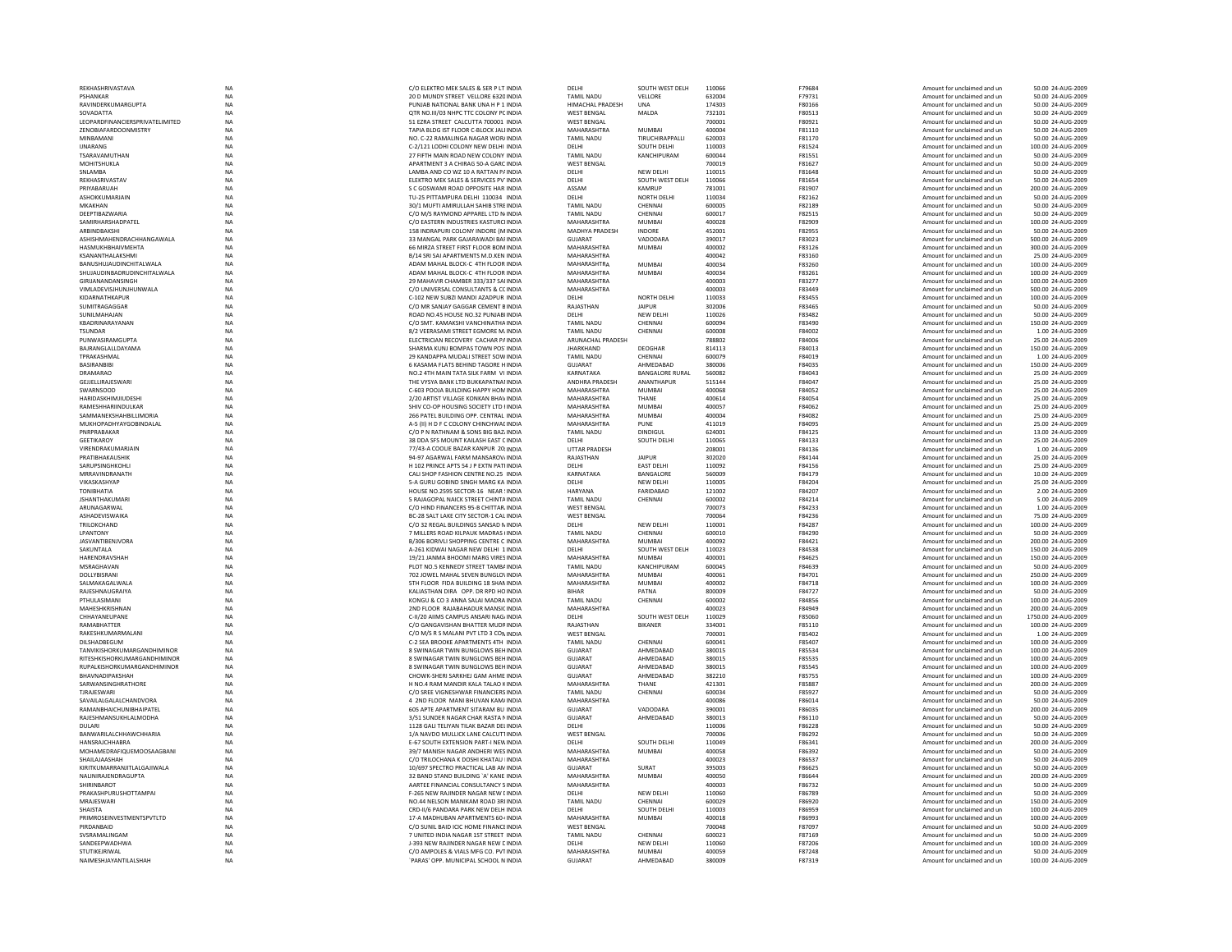| REKHASHRIVASTAVA                                               | <b>NA</b>              | C/O ELEKTRO MEK SALES & SER P LT INDIA                                          | DELHI                               | SOUTH WEST DELH                   | 110066           | F79684                  | Amount for unclaimed and un                                | 50.00 24-AUG-2009                        |
|----------------------------------------------------------------|------------------------|---------------------------------------------------------------------------------|-------------------------------------|-----------------------------------|------------------|-------------------------|------------------------------------------------------------|------------------------------------------|
| PSHANKAR                                                       | <b>NA</b>              | 20 D MUNDY STREET VELLORE 6320 INDIA                                            | <b>TAMIL NADU</b>                   | VELLORE                           | 632004           | F79731                  | Amount for unclaimed and un                                | 50.00 24-AUG-2009                        |
| RAVINDERKUMARGUPTA                                             | <b>NA</b>              | PUNJAR NATIONAL BANK UNA H P 1 INDIA                                            | <b>HIMACHAI PRADESH</b>             | <b>UNA</b>                        | 174303           | <b>F80166</b>           | Amount for unclaimed and un                                | 50.00 24-AUG-2009                        |
| SOVADATTA                                                      | NA                     | QTR NO.III/03 NHPC TTC COLONY PC INDIA                                          | <b>WEST RENGAL</b>                  | MALDA                             | 732101           | F80513                  | Amount for unclaimed and un                                | 50.00 24-AUG-2009                        |
| LEOPARDFINANCIERSPRIVATELIMITED<br><b>ZENOBIAFARDOONMISTRY</b> | <b>NA</b><br>NA        | 51 EZRA STREET CALCUTTA 700001 INDIA<br>TAPIA BLDG IST FLOOR C-BLOCK JALI INDIA | <b>WEST BENGAL</b><br>MAHARASHTRA   | <b>MUMBAI</b>                     | 700001<br>400004 | F80921<br>F81110        | Amount for unclaimed and un<br>Amount for unclaimed and un | 50.00 24-AUG-2009<br>50.00 24-AUG-2009   |
| MINRAMANI                                                      | <b>NA</b>              | NO. C-22 RAMALINGA NAGAR WORLINDIA                                              | <b>TAMIL NADU</b>                   | TIRUCHIRAPPALLI                   | 620003           | F81170                  | Amount for unclaimed and un                                | 50.00 24-AUG-2009                        |
| <b>IINARANG</b>                                                | <b>NA</b>              | C-2/121 LODHI COLONY NEW DELHI INDIA                                            | DELHI                               | SOUTH DELHI                       | 110003           | F81524                  | Amount for unclaimed and un                                | 100.00 24-AUG-2009                       |
| TSARAVAMUTHAN                                                  | NA                     | 27 FIFTH MAIN ROAD NEW COLONY INDIA                                             | <b>TAMIL NADU</b>                   | KANCHIPURAM                       | 600044           | F81551                  | Amount for unclaimed and ur                                | 50.00 24-AUG-2009                        |
| MOHITSHUKLA                                                    | <b>NA</b>              | APARTMENT 3 A CHIRAG 50-A GARC INDIA                                            | <b>WEST BENGAL</b>                  |                                   | 700019           | F81627                  | Amount for unclaimed and un                                | 50.00 24-AUG-2009                        |
| SNLAMBA                                                        | <b>NA</b>              | LAMBA AND CO WZ 10 A RATTAN P/ INDIA                                            | DELHI                               | NEW DELHI                         | 110015           | F81648                  | Amount for unclaimed and un                                | 50.00 24-AUG-2009                        |
| REKHASRIVASTAV                                                 | <b>NA</b>              | FLEKTRO MEK SALES & SERVICES PV INDIA                                           | DELHI                               | SOUTH WEST DELH                   | 110066           | F81654                  | Amount for unclaimed and un                                | 50.00 24-AUG-2009                        |
| PRIYARARUAH                                                    | <b>NA</b>              | S C GOSWAMI ROAD OPPOSITE HAR INDIA                                             | ASSAM                               | KAMRUP                            | 781001           | F81907                  | Amount for unclaimed and un                                | 200.00 24-AUG-2009                       |
| ASHOKKUMARJAIN                                                 | NA                     | TU-25 PITTAMPURA DELHI 110034 INDIA                                             | DELHI                               | NORTH DELHI                       | 110034           | F82162                  | Amount for unclaimed and ur                                | 50.00 24-AUG-2009                        |
| MKAKHAN                                                        | <b>NA</b>              | 30/1 MUFTI AMIRULLAH SAHIB STREINDIA                                            | TAMIL NADU                          | CHENNAI                           | 600005           | F82189                  | Amount for unclaimed and un                                | 50.00 24-AUG-2009                        |
| DEEPTIBAZWARI/                                                 | <b>NA</b>              | C/O M/S RAYMOND APPAREL LTD N INDIA                                             | <b>TAMIL NADU</b>                   | CHENNAI                           | 600017           | F82515                  | Amount for unclaimed and un                                | 50.00 24-AUG-2009                        |
| SAMIRHARSHADPATEL                                              | NA                     | C/O FASTERN INDUSTRIES KASTURCUNDIA                                             | MAHARASHTRA                         | MUMBAI                            | 400028           | <b>F82909</b>           | Amount for unclaimed and un                                | 100.00 24-AUG-2009                       |
| ARBINDBAKSH                                                    | NA                     | 158 INDRAPURI COLONY INDORE (MINDIA                                             | MADHYA PRADESH                      | INDORE                            | 452001           | F82955                  | Amount for unclaimed and ur                                | 50.00 24-AUG-2009                        |
| ASHISHMAHENDRACHHANGAWALA                                      | NA                     | 33 MANGAL PARK GAJARAWADI BAFINDIA                                              | <b>GUJARAT</b>                      | VADODAR/                          | 390017           | F83023                  | Amount for unclaimed and ur                                | 500.00 24-AUG-2009                       |
| <b>HASMUKHBHAIVMEHTA</b>                                       | <b>NA</b>              | 66 MIRZA STREET FIRST FLOOR BOM INDIA                                           | MAHARASHTRA                         | <b>MUMBAI</b>                     | 400002           | F83126                  | Amount for unclaimed and un                                | 300.00 24-AUG-2009                       |
| KSANANTHALAKSHMI                                               | <b>NA</b>              | B/14 SRI SAI APARTMENTS M.D.KEN INDIA                                           | MAHARASHTRA                         |                                   | 400042           | F83160                  | Amount for unclaimed and un                                | 25.00 24-AUG-2009                        |
| BANUSHUJAUDINCHITALWALA                                        | NA                     | ADAM MAHAL BLOCK-C 4TH FLOOR INDIA                                              | MAHARASHTRA                         | <b>MUMBAI</b>                     | 400034           | F83260                  | Amount for unclaimed and un                                | 100.00 24-AUG-2009                       |
| SHUJAUDINBADRUDINCHITALWALA                                    | NA                     | ADAM MAHAL BLOCK-C 4TH FLOOR INDIA                                              | MAHARASHTRA                         | <b>MUMBAI</b>                     | 400034           | F83261                  | Amount for unclaimed and ur                                | 100.00 24-AUG-2009                       |
| GIRIJANANDANSINGH                                              | <b>NA</b>              | 29 MAHAVIR CHAMBER 333/337 SAIINDIA                                             | MAHARASHTRA                         |                                   | 400003           | F83277                  | Amount for unclaimed and un                                | 100.00 24-AUG-2009                       |
| VIMLADEVISJHUNJHUNWALA                                         | <b>NA</b><br><b>NA</b> | C/O UNIVERSAL CONSULTANTS & CC INDIA                                            | MAHARASHTRA                         | NORTH DELHI                       | 400003           | F83449                  | Amount for unclaimed and un                                | 500.00 24-AUG-2009                       |
| KIDARNATHKAPUR                                                 |                        | C-102 NEW SUB7LMANDLAZADPUR INDIA                                               | DELHI                               |                                   | 110033           | <b>F83455</b>           | Amount for unclaimed and un                                | 100.00 24-AUG-2009                       |
| SUMITRAGAGGAR<br>SUNILMAHAJAN                                  | NA<br><b>NA</b>        | C/O MR SANJAY GAGGAR CEMENT BINDIA<br>ROAD NO.45 HOUSE NO.32 PUNJABI INDIA      | RAJASTHAN<br>DELHI                  | <b>JAIPUR</b><br><b>NEW DELHI</b> | 302006<br>110026 | F83465<br>F83482        | Amount for unclaimed and ur<br>Amount for unclaimed and un | 50.00 24-AUG-2009<br>50.00 24-AUG-2009   |
| KBADRINARAYANAN                                                | NA                     | C/O SMT. KAMAKSHI VANCHINATHA INDIA                                             | <b>TAMIL NADU</b>                   | CHENNAI                           | 600094           | F83490                  | Amount for unclaimed and un                                | 150.00 24-AUG-2009                       |
| TSUNDAR                                                        | <b>NA</b>              | 8/2 VEERASAMI STREET EGMORE MJINDIA                                             | <b>TAMIL NADU</b>                   | CHENNAL                           | 600008           | <b>F84002</b>           | Amount for unclaimed and un                                | 1.00 24-AUG-2009                         |
| PUNWASIRAMGUPTA                                                | <b>NA</b>              | FLECTRICIAN RECOVERY CACHAR PAINDIA                                             | ARUNACHAL PRADESH                   |                                   | 788802           | <b>F84006</b>           | Amount for unclaimed and un                                | 25.00 24-AUG-2009                        |
|                                                                | NA                     |                                                                                 | <b>JHARKHAND</b>                    |                                   |                  |                         |                                                            |                                          |
| BAJRANGLALLDAYAMA<br>TPRAKASHMAL                               | <b>NA</b>              | SHARMA KUNJ BOMPAS TOWN POS' INDIA<br>29 KANDAPPA MUDALI STREET SOW INDIA       | TAMIL NADU                          | <b>DEOGHAR</b><br>CHENNAI         | 814113<br>600079 | F84013<br>F84019        | Amount for unclaimed and ur<br>Amount for unclaimed and un | 150.00 24-AUG-2009<br>1.00 24-AUG-2009   |
| <b>RASIRANRIRI</b>                                             | NA                     | 6 KASAMA FLATS BEHIND TAGORE HINDIA                                             | GUIARAT                             | AHMFDARAD                         | 380006           | <b>F84035</b>           | Amount for unclaimed and un                                | 150.00 24-AUG-2009                       |
| <b>DRAMARAO</b>                                                | <b>NA</b>              | NO.2 4TH MAIN TATA SILK FARM VI INDIA                                           | KARNATAKA                           | <b>BANGALORE RURAL</b>            | 560082           | <b>F84043</b>           | Amount for unclaimed and un                                | 25.00.24-AUG-2009                        |
| <b>GEJJELLIRAJESWAR</b>                                        | <b>NA</b>              | THE VYSYA BANK LTD BUKKAPATNAI INDIA                                            | ANDHRA PRADESH                      | ANANTHAPUR                        | 515144           | ER4047                  | Amount for unclaimed and un                                | 25.00 24-AUG-2009                        |
| SWARNSOOD                                                      | <b>NA</b>              | C-603 POOJA BUILDING HAPPY HOM INDIA                                            | MAHARASHTRA                         | <b>MUMBA</b>                      | 400068           | F84052                  | Amount for unclaimed and un                                | 25.00 24-AUG-2009                        |
| HARIDASKHIMJIUDESHI                                            | <b>NA</b>              | 2/20 ARTIST VILLAGE KONKAN BHAV INDIA                                           | MAHARASHTRA                         | THANE                             | 400614           | F84054                  | Amount for unclaimed and un                                | 25.00 24-AUG-2009                        |
| RAMESHHARIINDULKAR                                             | <b>NA</b>              | SHIV CO-OP HOUSING SOCIETY LTD HNDIA                                            | MAHARASHTRA                         | <b>MUMBA</b>                      | 400057           | F84062                  | Amount for unclaimed and un                                | 25.00 24-AUG-2009                        |
| SAMMANEKSHAHBILLIMORIA                                         | <b>NA</b>              | 266 PATEL BUILDING OPP. CENTRAL INDIA                                           | MAHARASHTRA                         | <b>MUMBAI</b>                     | 400004           | <b>F84082</b>           | Amount for unclaimed and un                                | 25.00 24-AUG-2009                        |
| MUKHOPADHYAYGOBINDALAL                                         | <b>NA</b>              | A-5 (II) H D F C COLONY CHINCHWAL INDIA                                         | MAHARASHTRA                         | PUNE                              | 411019           | F84095                  | Amount for unclaimed and un                                | 25.00 24-AUG-2009                        |
| PNRPRABAKAR                                                    | NA                     | C/O P N RATHNAM & SONS BIG BAZ INDIA                                            | <b>TAMIL NADU</b>                   | <b>DINDIGUL</b>                   | 624001           | F84125                  | Amount for unclaimed and un                                | 13.00 24-AUG-2009                        |
| <b>GEETIKAROY</b>                                              | <b>NA</b>              | 38 DDA SFS MOUNT KAILASH EAST CINDIA                                            | DELHI                               | SOUTH DELHI                       | 110065           | F84133                  | Amount for unclaimed and un                                | 25.00 24-AUG-2009                        |
| VIRENDRAKUMARJAIN                                              | <b>NA</b>              | 77/43-A COOLIE BAZAR KANPUR 20/INDIA                                            | <b>UTTAR PRADESH</b>                |                                   | 208001           | F84136                  | Amount for unclaimed and un                                | 1.00 24-AUG-2009                         |
| PRATIRHAKALISHIK                                               | <b>NA</b>              | 94-97 AGARWAI FARM MANSAROV INDIA                                               | RAJASTHAN                           | <b>JAIPLIR</b>                    | 302020           | F84144                  | Amount for unclaimed and un                                | 25.00 24-AUG-2009                        |
| SARUPSINGHKOHLI                                                | NA                     | H 102 PRINCE APTS 54 J P EXTN PATI INDIA                                        | DELHI                               | <b>EAST DELHI</b>                 | 110092           | F84156                  | Amount for unclaimed and ur                                | 25.00 24-AUG-2009                        |
| MRRAVINDRANATH                                                 | NA                     | CALLSHOP FASHION CENTRE NO.25 INDIA                                             | KARNATAKA                           | <b>BANGALORE</b>                  | 560009           | F84179                  | Amount for unclaimed and un                                | 10.00 24-AUG-2009                        |
| VIKASKASHYAP                                                   | <b>NA</b>              | 5-A GURU GOBIND SINGH MARG KA INDIA                                             | DELHI                               | <b>NEW DELHI</b>                  | 110005           | F84204                  | Amount for unclaimed and un                                | 25.00 24-AUG-2009                        |
| <b>TONIRHATIA</b>                                              | <b>NA</b>              | HOUSE NO. 2595 SECTOR-16 NEAR 'INDIA                                            | <b>HARYANA</b>                      | FARIDARAD                         | 121002           | F84207                  | Amount for unclaimed and un                                | 2.00 24-AUG-2009                         |
| <b>JSHANTHAKUMARI</b>                                          | NA                     | 5 RAJAGOPAL NAICK STREET CHINTA INDIA                                           | <b>TAMIL NADU</b>                   | CHENNAI                           | 600002           | F84214                  | Amount for unclaimed and ur                                | 5.00 24-AUG-2009                         |
| ARUNAGARWAL                                                    | NA                     | C/O HIND FINANCERS 95-B CHITTAR INDIA                                           | <b>WEST BENGAL</b>                  |                                   | 700073           | F84233                  | Amount for unclaimed and un                                | 1.00 24-AUG-2009                         |
| ASHADEVISWAIKA                                                 | <b>NA</b>              | BC-28 SALT LAKE CITY SECTOR-1 CAL INDIA                                         | <b>WEST BENGAL</b>                  |                                   | 700064           | F84236                  | Amount for unclaimed and un                                | 75.00 24-AUG-2009                        |
| TRILOKCHAND                                                    | <b>NA</b>              | C/O 32 REGAL BUILDINGS SANSAD N INDIA                                           | DELHI                               | NEW DELHI                         | 110001           | F84287                  | Amount for unclaimed and un                                | 100.00 24-AUG-2009                       |
| <b>I PANTONY</b>                                               | <b>NA</b>              | 7 MILLERS ROAD KILPAUK MADRAS UNDIA                                             | <b>TAMIL NADU</b>                   | CHENNAL                           | 600010           | <b>F84290</b>           | Amount for unclaimed and un                                | 50.00 24-AUG-2009                        |
| <b>JASVANTIBENJVORA</b>                                        | NA                     | B/306 BORIVLI SHOPPING CENTRE C INDIA                                           | MAHARASHTRA                         | MUMBAI                            | 400092           | F84421                  | Amount for unclaimed and ur                                | 200.00 24-AUG-2009                       |
| SAKUNTALA                                                      | <b>NA</b>              | A-261 KIDWAI NAGAR NEW DELHI 1 INDIA                                            | DELHI                               | SOUTH WEST DELH                   | 110023           | F84538                  | Amount for unclaimed and un                                | 150.00 24-AUG-2009                       |
| HARENDRAVSHAH                                                  | <b>NA</b>              | 19/21 JANMA BHOOMI MARG VIRES INDIA                                             | MAHARASHTRA                         | <b>MUMBAI</b>                     | 400001           | F84625                  | Amount for unclaimed and un                                | 150.00 24-AUG-2009                       |
| MSRAGHAVAN                                                     | <b>NA</b>              | PLOT NO. 5 KENNEDY STREET TAMBAINDIA                                            | <b>TAMIL NADU</b>                   | KANCHIPURAM                       | 600045           | <b>F84639</b>           | Amount for unclaimed and un                                | 50.00 24-AUG-2009                        |
| <b>DOLLYBISRANI</b>                                            | <b>NA</b>              | 702 JOWEL MAHAL SEVEN BUNGLOVINDIA                                              | MAHARASHTRA                         | MUMBAI                            | 400061           | F84701                  | Amount for unclaimed and un                                | 250.00 24-AUG-2009                       |
| SALMAKAGALWALA                                                 | NA                     | 5TH FLOOR FIDA BUILDING 18 SHAN INDIA                                           | MAHARASHTRA                         | <b>MUMBA</b>                      | 400002           | F84718                  | Amount for unclaimed and ur                                | 100.00 24-AUG-2009                       |
| RAJESHNAUGRAIYA                                                | <b>NA</b>              | KALIASTHAN DIRA OPP. DR RPD HO INDIA                                            | <b>BIHAR</b>                        | PATNA                             | 800009           | F84727                  | Amount for unclaimed and un                                | 50.00 24-AUG-2009                        |
| <b>PTHULASIMANI</b>                                            | <b>NA</b>              | KONGU & CO 3 ANNA SALALMADRA INDIA                                              | <b>TAMIL NADLI</b>                  | CHENNAL                           | 600002           | <b>FR4856</b>           | Amount for unclaimed and un                                | 100.00 24-AUG-2009                       |
| MAHFSHKRISHNAN                                                 | <b>NA</b>              | 2ND FLOOR RAIABAHADUR MANSICINDIA                                               | MAHARASHTRA                         |                                   | 400023           | <b>F84949</b>           | Amount for unclaimed and un                                | 200.00 24-AUG-2009                       |
| CHHAYANFUPANE                                                  | <b>NA</b>              | C-II/20 AIIMS CAMPUS ANSARI NAG/INDIA                                           | DELHI                               | SOUTH WEST DELH                   | 110029           | <b>F85060</b>           | Amount for unclaimed and un                                | 1750.00 24-AUG-2009                      |
| RAMABHATTER                                                    | <b>NA</b>              | C/O GANGAVISHAN BHATTER MUDRINDIA                                               | RAJASTHAN                           | <b>BIKANER</b>                    | 334001           | F85110                  | Amount for unclaimed and un                                | 100.00 24-AUG-2009                       |
| RAKESHKUMARMALANI                                              | NA                     | C/O M/S R S MALANI PVT LTD 3 CON INDIA                                          | WEST BENGAL                         |                                   | 700001<br>600041 | F85402                  | Amount for unclaimed and un                                | 1.00 24-AUG-2009                         |
| DII SHADREGUM<br>TANVIKISHORKUMARGANDHIMINOR                   | <b>NA</b><br><b>NA</b> | C-2 SEA BROOKE APARTMENTS 4TH INDIA<br>8 SWINAGAR TWIN BUNGLOWS BEHINDIA        | <b>TAMIL NADU</b><br><b>GUJARAT</b> | CHENNAL<br>AHMEDABAD              | 380015           | <b>F85407</b><br>F85534 | Amount for unclaimed and un<br>Amount for unclaimed and un | 100.00 24-AUG-2009<br>100.00 24-AUG-2009 |
| RITESHKISHORKUMARGANDHIMINOR                                   | NA                     |                                                                                 | GUJARAT                             | AHMEDABAD                         | 380015           | F85535                  | Amount for unclaimed and ur                                | 100.00 24-AUG-2009                       |
| RUPALKISHORKUMARGANDHIMINOR                                    | NA                     | 8 SWINAGAR TWIN BUNGLOWS BEHINDIA<br>8 SWINAGAR TWIN BUNGLOWS BEHINDIA          | <b>GUJARAT</b>                      | AHMEDABAD                         | 380015           | F85545                  | Amount for unclaimed and un                                | 100.00 24-AUG-2009                       |
| BHAVNADIPAKSHAH                                                | <b>NA</b>              | CHOWK-SHERI SARKHEJ GAM AHME INDIA                                              | <b>GUJARAT</b>                      | AHMEDABAD                         | 382210           | F85755                  | Amount for unclaimed and un                                | 100.00 24-AUG-2009                       |
| SARWANSINGHRATHORE                                             | <b>NA</b>              | H NO 4 RAM MANDIR KALA TALAO KINDIA                                             | MAHARASHTRA                         | THANF                             | 421301           | <b>F85887</b>           | Amount for unclaimed and un                                | 200.00 24-AUG-2009                       |
| TJRAJESWARI                                                    | <b>NA</b>              | C/O SREE VIGNESHWAR FINANCIERS INDIA                                            | <b>TAMIL NADU</b>                   | CHENNAI                           | 600034           | F85927                  | Amount for unclaimed and ur                                | 50.00 24-AUG-2009                        |
| SAVAILALGALALCHANDVORA                                         | NA                     | 4 2ND FLOOR MANI BHUVAN KAM/ INDIA                                              | MAHARASHTRA                         |                                   | 400086           | F86014                  | Amount for unclaimed and ur                                | 50.00 24-AUG-2009                        |
| RAMANBHAICHUNIBHAIPATEL                                        | NA                     | 605 APTE APARTMENT SITARAM BU INDIA                                             | GUJARAT                             | VADODARA                          | 390001           | F86035                  | Amount for unclaimed and un                                | 200.00 24-AUG-2009                       |
| RAJESHMANSUKHLALMODHA                                          | <b>NA</b>              | 3/51 SUNDER NAGAR CHAR RASTA NINDIA                                             | <b>GUJARAT</b>                      | AHMEDABAD                         | 380013           | F86110                  | Amount for unclaimed and un                                | 50.00 24-AUG-2009                        |
| DULARI                                                         | <b>NA</b>              | 1128 GALLTELIYAN TILAK BAZAR DELINDIA                                           | DELHI                               |                                   | 110006           | <b>F86228</b>           | Amount for unclaimed and un                                | 50.00 24-AUG-2009                        |
| BANWARILALCHHAWCHHARIA                                         | NA                     | 1/A NAVDO MULLICK LANE CALCUTTINDIA                                             | <b>WEST BENGAL</b>                  |                                   | 700006           | F86292                  | Amount for unclaimed and ur                                | 50.00 24-AUG-2009                        |
| HANSRAJCHHABRA                                                 | NA                     | E-67 SOUTH EXTENSION PART-I NEW INDIA                                           | DELHI                               | SOUTH DELHI                       | 110049           | F86341                  | Amount for unclaimed and un                                | 200.00 24-AUG-2009                       |
| MOHAMEDRAFIQUEMOOSAAGBANI                                      | <b>NA</b>              | 39/7 MANISH NAGAR ANDHERI WES INDIA                                             | MAHARASHTRA                         | <b>MUMBAI</b>                     | 400058           | F86392                  | Amount for unclaimed and un                                | 50.00 24-AUG-2009                        |
| SHAILAJAASHAH                                                  | <b>NA</b>              | C/O TRILOCHANA K DOSHI KHATAU IINDIA                                            | MAHARASHTRA                         |                                   | 400023           | F86537                  | Amount for unclaimed and un                                | 50.00 24-AUG-2009                        |
| KIRITKUMARRANJITLALGAJIWALA                                    | <b>NA</b>              | 10/697 SPECTRO PRACTICAL LAB AN INDIA                                           | GUIARAT                             | SURAT                             | 395003           | F86625                  | Amount for unclaimed and un                                | 50.00 24-AUG-2009                        |
| NALINIRAJENDRAGUPTA                                            | NA                     | 32 BAND STAND BUILDING 'A' KANE INDIA                                           | <b>MAHARASHTRA</b>                  | <b>MUMBA</b>                      | 400050           | F86644                  | Amount for unclaimed and ur                                | 200.00 24-AUG-2009                       |
| SHIRINBAROT                                                    | <b>NA</b>              | AARTEE FINANCIAL CONSULTANCY 5 INDIA                                            | MAHARASHTRA                         |                                   | 400003           | F86732                  | Amount for unclaimed and un                                | 50.00 24-AUG-2009                        |
| PRAKASHPURUSHOTTAMPAI                                          | <b>NA</b>              | F-265 NEW RAJINDER NAGAR NEW LINDIA                                             | DELHI                               | NEW DELHI                         | 110060           | F86789                  | Amount for unclaimed and un                                | 50.00 24-AUG-2009                        |
| MRAIFSWARI                                                     | <b>NA</b>              | NO 44 NELSON MANIKAM ROAD 3RUNDIA                                               | <b>TAMIL NADU</b>                   | CHENNAL                           | 600029           | <b>F86920</b>           | Amount for unclaimed and un                                | 150.00 24-AUG-2009                       |
| SHAISTA                                                        | NA                     | CRD-II/6 PANDARA PARK NEW DELH INDIA                                            | DELHI                               | SOUTH DELHI                       | 110003           | F86959                  | Amount for unclaimed and ur                                | 100.00 24-AUG-2009                       |
| PRIMROSEINVESTMENTSPVTLTD                                      | <b>NA</b>              | 17-A MADHUBAN APARTMENTS 60-INDIA                                               | MAHARASHTRA                         | <b>MUMBAI</b>                     | 400018           | F86993                  | Amount for unclaimed and un                                | 100.00 24-AUG-2009                       |
| PIRDANBAID                                                     | <b>NA</b>              | C/O SUNIL BAID ICIC HOME FINANCE INDIA                                          | <b>WEST BENGAL</b>                  |                                   | 700048           | F87097                  | Amount for unclaimed and un                                | 50.00 24-AUG-2009                        |
| <b>SVSRAMALINGAM</b>                                           | <b>NA</b>              | 7 UNITED INDIA NAGAR 1ST STREET INDIA                                           | TAMII NADU                          | CHENNAL                           | 600023           | F87169                  | Amount for unclaimed and un                                | 50.00 24-AUG-2009                        |
| SANDEEPWADHWA                                                  | <b>NA</b>              | <b>I-393 NEW RAIINDER NAGAR NEW CINDIA</b>                                      | DFI HI                              | <b>NEW DELHI</b>                  | 110060           | F87206                  | Amount for unclaimed and un                                | 100.00 24-AUG-2009                       |
| STUTIKEJRIWAL                                                  | NA                     | C/O AMPOLES & VIALS MFG CO. PVT INDIA                                           | MAHARASHTRA                         | MUMBAI                            | 400059           | F87248                  | Amount for unclaimed and un                                | 50.00 24-AUG-2009                        |
| NAIMESHJAYANTILALSHAH                                          | N <sub>A</sub>         | 'PARAS' OPP. MUNICIPAL SCHOOL N INDIA                                           | GUJARAT                             | AHMEDABAD                         | 380009           | F87319                  | Amount for unclaimed and un                                | 100.00 24-AUG-2009                       |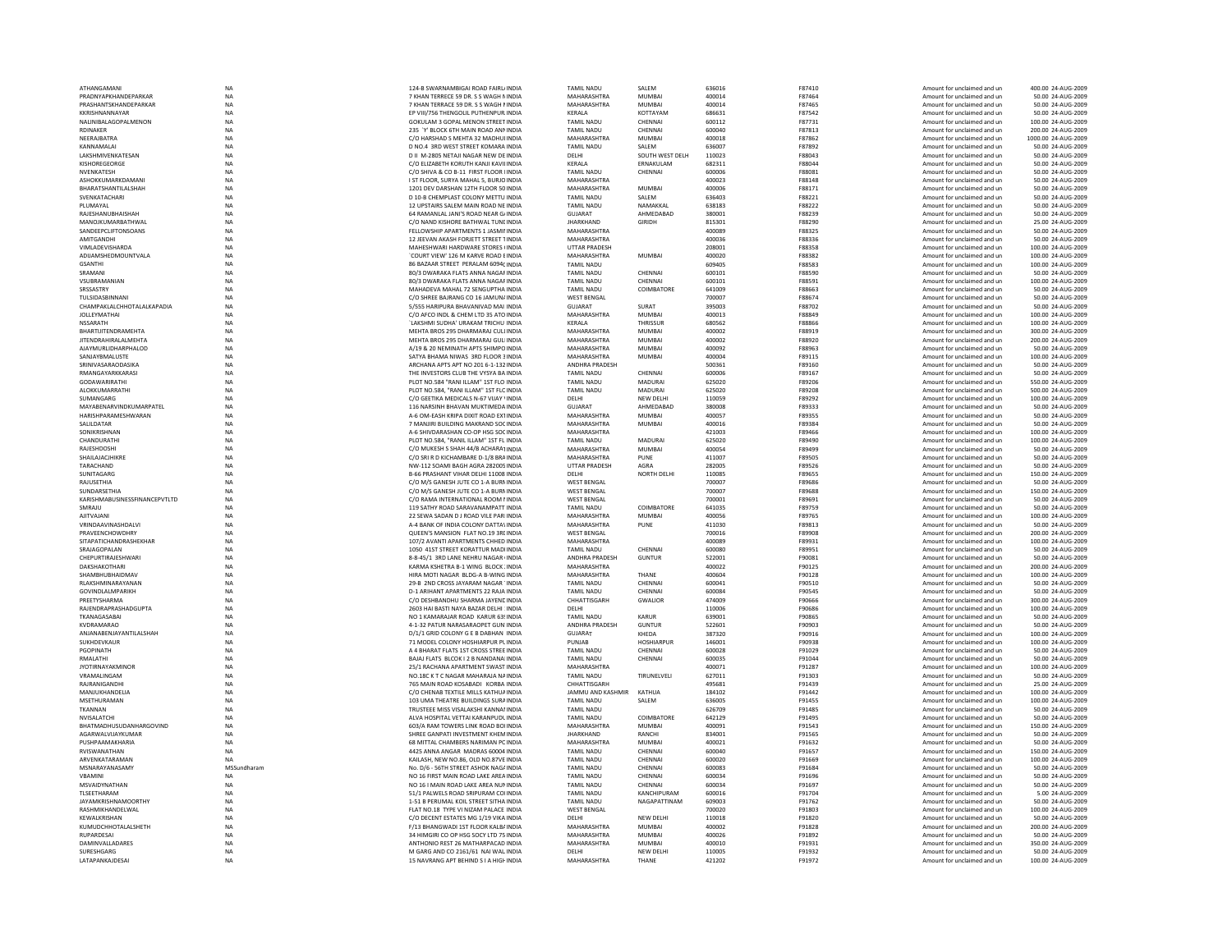| ATHANGAMAN                    | <b>NA</b>   | 124-B SWARNAMBIGAI ROAD FAIRL/INDIA         | <b>TAMIL NADU</b>     | SALEM             | 636016 | F87410        | Amount for unclaimed and un | 400.00 24-AUG-2009  |
|-------------------------------|-------------|---------------------------------------------|-----------------------|-------------------|--------|---------------|-----------------------------|---------------------|
|                               |             |                                             |                       | MUMRAI            |        |               |                             |                     |
| PRADNYAPKHANDEPARKAR          | <b>NA</b>   | 7 KHAN TERRECE 59 DR. S.S WAGH MINDIA       | MAHARASHTRA           |                   | 400014 | F87464        | Amount for unclaimed and un | 50.00 24-AUG-2009   |
| PRASHANTSKHANDFPARKAR         | <b>NA</b>   | 7 KHAN TERRACE 59 DR. S S WAGH I INDIA      | MAHARASHTRA           | MUMRAI            | 400014 | <b>F87465</b> | Amount for unclaimed and un | 50.00 24-AUG-2009   |
| KKRISHNANNAYAR                | NA          | EP VIII/756 THENGOLIL PUTHENPUR INDIA       | KERALA                | KOTTAYAM          | 686631 | F87542        | Amount for unclaimed and un | 50.00 24-AUG-2009   |
| NALINIBALAGOPALMENON          | <b>NA</b>   | GOKULAM 3 GOPAL MENON STREET INDIA          | <b>TAMIL NADU</b>     | CHENNAI           | 600112 | F87731        | Amount for unclaimed and un | 100.00 24-AUG-2009  |
| RDINAKER                      | NA          | 235 'Y' BLOCK 6TH MAIN ROAD ANN INDIA       | <b>TAMIL NADU</b>     | CHENNAI           | 600040 | F87813        | Amount for unclaimed and un | 200.00 24-AUG-2009  |
| NFFRAIRATRA                   | <b>NA</b>   | C/O HARSHAD S MEHTA 32 MADHUI INDIA         | MAHARASHTRA           | MUMRAI            | 400018 | F87862        | Amount for unclaimed and un | 1000.00 24-AUG-2009 |
| KANNAMALAI                    | <b>NA</b>   | D NO.4 3RD WEST STREET KOMARA INDIA         | <b>TAMIL NADU</b>     | SAIFM             | 636007 | F87892        | Amount for unclaimed and un | 50.00 24-AUG-2009   |
| LAKSHMIVENKATESAN             | NA          | D II M-2805 NETAJI NAGAR NEW DE INDIA       | DELHI                 | SOUTH WEST DELH   | 110023 | F88043        | Amount for unclaimed and ur | 50.00 24-AUG-2009   |
| KISHOREGEORGE                 | <b>NA</b>   | C/O ELIZABETH KORUTH KANJI KAVILINDIA       | KERALA                | ERNAKULAM         | 682311 | F88044        | Amount for unclaimed and un | 50.00 24-AUG-2009   |
| NVENKATESH                    | <b>NA</b>   | C/O SHIVA & CO B-11 FIRST FLOOR IINDIA      | <b>TAMIL NADU</b>     | CHENNAI           | 600006 | F88081        | Amount for unclaimed and un | 50.00 24-AUG-2009   |
|                               |             |                                             |                       |                   |        |               |                             |                     |
| ASHOKKUMARKDAMANI             | <b>NA</b>   | I ST FLOOR, SURYA MAHAL 5, BURJO INDIA      | MAHARASHTRA           |                   | 400023 | <b>F88148</b> | Amount for unclaimed and un | 50.00 24-AUG-2009   |
| BHARATSHANTILALSHAH           | <b>NA</b>   | 1201 DEV DARSHAN 12TH FLOOR 50 INDIA        | MAHARASHTRA           | MUMRAI            | 400006 | F88171        | Amount for unclaimed and un | 50.00 24-AUG-2009   |
| SVENKATACHAR                  | NA          | D 10-B CHEMPLAST COLONY METTU INDIA         | <b>TAMIL NADU</b>     | SALEM             | 636403 | F88221        | Amount for unclaimed and ur | 50.00 24-AUG-2009   |
| PLUMAYAL                      | <b>NA</b>   | 12 UPSTAIRS SALEM MAIN ROAD NE INDIA        | TAMIL NADU            | NAMAKKAL          | 638183 | F88222        | Amount for unclaimed and un | 50.00 24-AUG-2009   |
| RAJESHANUBHAISHAH             | <b>NA</b>   | 64 RAMANLAL JANI'S ROAD NEAR G/INDIA        | <b>GUJARAT</b>        | AHMEDABAD         | 380001 | F88239        | Amount for unclaimed and un | 50.00 24-AUG-2009   |
| MANOIKUMARRATHWAI             | <b>NA</b>   | C/O NAND KISHORE BATHWAI TUNEINDIA          | <b>IHARKHAND</b>      | <b>GIRIDH</b>     |        | <b>F88290</b> |                             | 25.00.24-AUG-2009   |
|                               |             |                                             |                       |                   | 815301 |               | Amount for unclaimed and un |                     |
| SANDEEPCLIFTONSOANS           | <b>NA</b>   | FELLOWSHIP APARTMENTS 1 JASMII INDIA        | MAHARASHTRA           |                   | 400089 | F88325        | Amount for unclaimed and ur | 50.00 24-AUG-2009   |
| AMITGANDH                     | NA          | 12 JEEVAN AKASH FORJETT STREET TINDIA       | MAHARASHTRA           |                   | 400036 | F88336        | Amount for unclaimed and ur | 50.00 24-AUG-2009   |
| VIMLADEVISHARDA               | <b>NA</b>   | MAHESHWARI HARDWARE STORES (INDIA           | <b>UTTAR PRADESH</b>  |                   | 208001 | F88358        | Amount for unclaimed and un | 100.00 24-AUG-2009  |
| ADIJAMSHEDMOUNTVALA           | <b>NA</b>   | 'COURT VIEW' 126 M KARVE ROAD EINDIA        | MAHARASHTRA           | <b>MUMBAI</b>     | 400020 | F88382        | Amount for unclaimed and un | 100.00 24-AUG-2009  |
| <b>GSANTHI</b>                | <b>NA</b>   | 86 BAZAAR STREET PERALAM 6094( INDIA        | <b>TAMIL NADU</b>     |                   | 609405 | F88583        | Amount for unclaimed and ur | 100.00 24-AUG-2009  |
| SRAMANI                       | NA          | 80/3 DWARAKA FLATS ANNA NAGAF INDIA         | <b>TAMIL NADU</b>     | CHENNAI           | 600101 | F88590        | Amount for unclaimed and ur | 50.00 24-AUG-2009   |
| VSUBRAMANIAN                  | <b>NA</b>   | 80/3 DWARAKA FLATS ANNA NAGAF INDIA         | <b>TAMIL NADU</b>     | CHENNAI           | 600101 | F88591        | Amount for unclaimed and un | 100.00 24-AUG-2009  |
|                               |             |                                             |                       |                   |        |               |                             |                     |
| SRSSASTRY                     | <b>NA</b>   | MAHADEVA MAHAL 72 SENGUPTHA INDIA           | <b>TAMIL NADU</b>     | COIMBATORE        | 641009 | F88663        | Amount for unclaimed and un | 50.00 24-AUG-2009   |
| <b>TUI SIDASRINNAN</b>        | <b>NA</b>   | C/O SHREE BAIRANG CO 16 JAMUN/ INDIA        | <b>WEST RENGAL</b>    |                   | 700007 | <b>F88674</b> | Amount for unclaimed and un | 50.00 24-AUG-2009   |
| CHAMPAKLALCHHOTALALKAPADIA    | NA          | 5/555 HARIPURA BHAVANIVAD MAI INDIA         | <b>GUJARAT</b>        | SURAT             | 395003 | F88702        | Amount for unclaimed and ur | 50.00 24-AUG-2009   |
| JOLLEYMATHA                   | <b>NA</b>   | C/O AFCO INDL & CHEM LTD 35 ATO INDIA       | MAHARASHTRA           | <b>MUMBA</b>      | 400013 | F88849        | Amount for unclaimed and un | 100.00 24-AUG-2009  |
| <b>NSSARATH</b>               | NA          | `LAKSHMI SUDHA' URAKAM TRICHU INDIA         | KERALA                | THRISSUR          | 680562 | F88866        | Amount for unclaimed and un | 100.00 24-AUG-2009  |
| RHARTIIITFNDRAMFHTA           | <b>NA</b>   | MEHTA BROS 295 DHARMARAI CULUNDIA           | MAHARASHTRA           | MUMRAI            | 400002 | <b>F88919</b> | Amount for unclaimed and un | 300.00 24-AUG-2009  |
|                               |             |                                             |                       |                   |        |               |                             |                     |
| <b>JITENDRAHIRALALMEHTA</b>   | <b>NA</b>   | MEHTA BROS 295 DHARMARAJ GULIINDIA          | MAHARASHTRA           | MUMRAI            | 400002 | <b>F88920</b> | Amount for unclaimed and un | 200.00 24-AUG-2009  |
| AJAYMURLIDHARPHALOD           | NA          | A/19 & 20 NEMINATH APTS SHIMPO INDIA        | MAHARASHTRA           | MUMBAI            | 400092 | F88963        | Amount for unclaimed and ur | 50.00 24-AUG-2009   |
| SANJAYBMALUSTE                | <b>NA</b>   | SATYA BHAMA NIWAS 3RD FLOOR 3 INDIA         | MAHARASHTRA           | MUMBAI            | 400004 | F89115        | Amount for unclaimed and un | 100.00 24-AUG-2009  |
| SRINIVASARAODASIKA            | NA          | ARCHANA APTS APT NO 201 6-1-132 INDIA       | <b>ANDHRA PRADESH</b> |                   | 500361 | F89160        | Amount for unclaimed and un | 50.00 24-AUG-2009   |
| RMANGAYARKKARASI              | <b>NA</b>   | THE INVESTORS CLUB THE VYSYA BA INDIA       | <b>TAMIL NADU</b>     | CHENNAL           | 600006 | F89167        | Amount for unclaimed and un | 50.00 24-AUG-2009   |
|                               | <b>NA</b>   | PLOT NO.584 "RANI ILLAM" 1ST FLO INDIA      |                       | MADURAI           | 625020 |               |                             |                     |
| GODAWARIRATHI                 |             |                                             | <b>TAMIL NADU</b>     |                   |        | F89206        | Amount for unclaimed and un | 550.00 24-AUG-2009  |
| ALOKKUMARRATHI                | <b>NA</b>   | PLOT NO.584. "RANI ILLAM" 1ST FLC INDIA     | <b>TAMIL NADU</b>     | <b>MADURAI</b>    | 625020 | F89208        | Amount for unclaimed and un | 500.00 24-AUG-2009  |
| SUMANGARG                     | NA          | C/O GEETIKA MEDICALS N-67 VIJAY \INDIA      | DELHI                 | NEW DELHI         | 110059 | F89292        | Amount for unclaimed and un | 100.00 24-AUG-2009  |
| MAYABENARVINDKUMARPATEL       | <b>NA</b>   | 116 NARSINH BHAVAN MUKTIMEDA INDIA          | <b>GUJARAT</b>        | AHMEDARAD         | 380008 | F89333        | Amount for unclaimed and un | 50.00 24-AUG-2009   |
| HARISHPARAMESHWARAN           | NA          | A-6 OM-EASH KRIPA DIXIT ROAD EXTINDIA       | MAHARASHTRA           | <b>MUMBAI</b>     | 400057 | F89355        | Amount for unclaimed and un | 50.00 24-AUG-2009   |
| SALILDATAR                    | <b>NA</b>   | 7 MANJIRI BUILDING MAKRAND SOCINDIA         | MAHARASHTRA           | <b>MUMBAI</b>     | 400016 | F89384        | Amount for unclaimed and ur | 50.00 24-AUG-2009   |
| SONIKRISHNAN                  | <b>NA</b>   | A-6 SHIVDARASHAN CO-OP HSG SOCINDIA         | MAHARASHTRA           |                   | 421003 | F89466        | Amount for unclaimed and un | 100.00 24-AUG-2009  |
|                               |             |                                             |                       |                   |        |               |                             |                     |
| CHANDURATH                    | <b>NA</b>   | PLOT NO.584, "RANIL ILLAM" 1ST FL INDIA     | TAMIL NADU            | <b>MADURAI</b>    | 625020 | F89490        | Amount for unclaimed and un | 100.00 24-AUG-2009  |
| RAJESHDOSHI                   | <b>NA</b>   | C/O MUKESH S SHAH 44/B ACHARATINDIA         | MAHARASHTRA           | <b>MUMBAI</b>     | 400054 | F89499        | Amount for unclaimed and un | 50.00 24-AUG-2009   |
| SHAILAJACJHIKRE               | NA          | C/O SRI R D KICHAMBARE D-1/8 BRA INDIA      | MAHARASHTRA           | PUNE              | 411007 | <b>E89505</b> | Amount for unclaimed and ur | 50.00 24-AUG-2009   |
| TARACHAND                     | NA          | NW-112 SOAMI BAGH AGRA 282005 INDIA         | UTTAR PRADESH         | AGRA              | 282005 | F89526        | Amount for unclaimed and ur | 50.00 24-AUG-2009   |
| SUNITAGARG                    | NA          | B-66 PRASHANT VIHAR DELHI 11008 INDIA       | <b>DELHI</b>          | NORTH DELHI       | 110085 | <b>F89655</b> | Amount for unclaimed and un | 150.00 24-AUG-2009  |
| RAJUSETHIA                    | <b>NA</b>   | C/O M/S GANESH JUTE CO 1-A BURN INDIA       | <b>WEST BENGAL</b>    |                   | 700007 | F89686        | Amount for unclaimed and un | 50.00 24-AUG-2009   |
|                               |             |                                             |                       |                   |        |               |                             |                     |
| SUNDARSETHIA                  | <b>NA</b>   | C/O M/S GANESH IUTE CO 1-A BURNINDIA        | <b>WEST RENGAL</b>    |                   | 700007 | <b>F89688</b> | Amount for unclaimed and un | 150.00 24-AUG-2009  |
| KARISHMABUSINESSFINANCEPVTLTD | NA          | C/O RAMA INTERNATIONAL ROOM I INDIA         | <b>WEST BENGAL</b>    |                   | 700001 | F89691        | Amount for unclaimed and ur | 50.00 24-AUG-2009   |
| SMRAJU                        | NA          | 119 SATHY ROAD SARAVANAMPATT INDIA          | <b>TAMIL NADU</b>     | COIMBATORE        | 641035 | F89759        | Amount for unclaimed and ur | 50.00 24-AUG-2009   |
| <b>AJITVAJANI</b>             | <b>NA</b>   | 22 SEWA SADAN D J ROAD VILE PARI INDIA      | <b>MAHARASHTRA</b>    | <b>MUMBAI</b>     | 400056 | F89765        | Amount for unclaimed and un | 100.00 24-AUG-2009  |
| VRINDAAVINASHDALVI            | <b>NA</b>   | A-4 BANK OF INDIA COLONY DATTA\ INDIA       | MAHARASHTRA           | PUNE              | 411030 | F89813        | Amount for unclaimed and un | 50.00 24-AUG-2009   |
| PRAVEENCHOWDHRY               | <b>NA</b>   | QUEEN'S MANSION FLAT NO.19 3REINDIA         | <b>WEST RENGAL</b>    |                   | 700016 | <b>F89908</b> | Amount for unclaimed and un | 200.00 24-AUG-2009  |
|                               |             |                                             |                       |                   |        |               |                             |                     |
| SITAPATICHANDRASHEKHAR        | NA          | 107/2 AVANTI APARTMENTS CHHED INDIA         | MAHARASHTRA           |                   | 400089 | F89931        | Amount for unclaimed and ur | 100.00 24-AUG-2009  |
| SRAJAGOPALAN                  | <b>NA</b>   | 1050 41ST STREET KORATTUR MADI INDIA        | <b>TAMIL NADU</b>     | CHENNAI           | 600080 | F89951        | Amount for unclaimed and un | 50.00 24-AUG-2009   |
| CHEPURTIRAJESHWARI            | <b>NA</b>   | 8-8-45/1 3RD LANE NEHRU NAGAR (INDIA        | ANDHRA PRADESH        | <b>GUNTUR</b>     | 522001 | F90081        | Amount for unclaimed and un | 50.00 24-AUG-2009   |
| DAKSHAKOTHARI                 | <b>NA</b>   | KARMA KSHETRA B-1 WING BLOCK : INDIA        | MAHARASHTRA           |                   | 400022 | F90125        | Amount for unclaimed and un | 200.00 24-AUG-2009  |
| SHAMRHURHAIDMAV               | <b>NA</b>   | HIRA MOTI NAGAR BLDG-A B-WING INDIA         | MAHARASHTRA           | THANF             | 400604 | F90128        | Amount for unclaimed and un | 100.00 24-AUG-2009  |
| RLAKSHMINARAYANAN             | <b>NA</b>   | 29-B 2ND CROSS JAYARAM NAGAR 'INDIA         | <b>TAMIL NADU</b>     | CHENNAI           | 600041 | F90510        | Amount for unclaimed and ur | 50.00 24-AUG-2009   |
|                               |             |                                             |                       |                   |        |               |                             |                     |
| GOVINDLALMPARIKH              | <b>NA</b>   | <b>D-1 ARIHANT APARTMENTS 22 RAJA INDIA</b> | TAMIL NADU            | CHENNAL           | 600084 | F90545        | Amount for unclaimed and un | 50.00 24-AUG-2009   |
| PREETYSHARMA                  | <b>NA</b>   | C/O DESHBANDHU SHARMA JAYENE INDIA          | CHHATTISGARH          | <b>GWALIOR</b>    | 474009 | <b>F90666</b> | Amount for unclaimed and un | 300.00 24-AUG-2009  |
| RAJENDRAPRASHADGUPTA          | <b>NA</b>   | 2603 HAI BASTI NAYA BAZAR DELHI : INDIA     | <b>DELHI</b>          |                   | 110006 | <b>F90686</b> | Amount for unclaimed and un | 100.00 24-AUG-2009  |
| TKANAGASABA                   | <b>NA</b>   | NO 1 KAMARAJAR ROAD KARUR 63! INDIA         | <b>TAMIL NADU</b>     | KARLIR            | 639001 | <b>F90865</b> | Amount for unclaimed and ur | 50.00 24-AUG-2009   |
| KVDRAMARAO                    | <b>NA</b>   | 4-1-32 PATUR NARASARAOPET GUN INDIA         | ANDHRA PRADESH        | <b>GUNTUR</b>     | 522601 | F90903        | Amount for unclaimed and un | 50.00 24-AUG-2009   |
| ANJANABENJAYANTILALSHAH       | NA          | D/1/1 GRID COLONY G E B DABHAN INDIA        | <b>GUJARAT</b>        | KHEDA             | 387320 | F90916        | Amount for unclaimed and un | 100.00 24-AUG-2009  |
| SUKHDEVKAUR                   | <b>NA</b>   | 71 MODEL COLONY HOSHIARPUR PLINDIA          | PUNIAR                | <b>HOSHIARPUR</b> | 146001 | <b>F90938</b> | Amount for unclaimed and un | 100.00 24-AUG-2009  |
|                               |             |                                             |                       |                   |        |               |                             |                     |
| PGOPINATH                     | <b>NA</b>   | A 4 BHARAT FLATS 1ST CROSS STREE INDIA      | <b>TAMIL NADU</b>     | CHENNAI           | 600028 | F91029        | Amount for unclaimed and ur | 50.00 24-AUG-2009   |
| RMALATHI                      | <b>NA</b>   | BAJAJ FLATS BLCOK I 2 B NANDANAI INDIA      | TAMIL NADU            | CHENNAI           | 600035 | F91044        | Amount for unclaimed and ur | 50.00 24-AUG-2009   |
| <b>JYOTIRNAYAKMINOR</b>       | <b>NA</b>   | 25/1 RACHANA APARTMENT SWAST INDIA          | MAHARASHTRA           |                   | 400071 | F91287        | Amount for unclaimed and un | 100.00 24-AUG-2009  |
| VRAMALINGAM                   | <b>NA</b>   | NO.18C K T C NAGAR MAHARAJA NAINDIA         | <b>TAMIL NADU</b>     | TIRUNELVELI       | 627011 | F91303        | Amount for unclaimed and un | 50.00 24-AUG-2009   |
| RAIRANIGANDHI                 | <b>NA</b>   | 765 MAIN ROAD KOSARADI KORRA INDIA          | CHHATTISGARH          |                   | 495681 | F91439        | Amount for unclaimed and un | 25.00 24-AUG-2009   |
| MANJUKHANDELIA                | <b>NA</b>   | C/O CHENAB TEXTILE MILLS KATHUA INDIA       | JAMMU AND KASHMIR     | KATHUA            | 184102 | F91442        | Amount for unclaimed and ur | 100.00 24-AUG-2009  |
| MSETHURAMAN                   | NA          | 103 UMA THEATRE BUILDINGS SURA INDIA        | <b>TAMIL NADU</b>     | SALEM             | 636005 | F91455        | Amount for unclaimed and ur | 100.00 24-AUG-2009  |
|                               |             |                                             |                       |                   |        |               |                             |                     |
| TKANNAN                       | <b>NA</b>   | TRUSTEEE MISS VISALAKSHI KANNAI INDIA       | TAMIL NADU            |                   | 626709 | F91485        | Amount for unclaimed and un | 50.00 24-AUG-2009   |
| NVISALATCHI                   | <b>NA</b>   | ALVA HOSPITAL VETTAI KARANPUDL INDIA        | <b>TAMIL NADU</b>     | COIMBATORE        | 642129 | F91495        | Amount for unclaimed and un | 50.00 24-AUG-2009   |
| RHATMADHUSUDANHARGOVIND       | <b>NA</b>   | 603/A RAM TOWERS LINK ROAD BOLINDIA         | MAHARASHTRA           | MUMBAL            | 400091 | F91543        | Amount for unclaimed and un | 150.00 24-AUG-2009  |
| AGARWALVIJAYKUMAI             | NA          | SHREE GANPATI INVESTMENT KHEMINDIA          | <b>JHARKHAND</b>      | RANCHI            | 834001 | F91565        | Amount for unclaimed and ur | 50.00 24-AUG-200    |
| PUSHPAAMAKHARIA               | NA          | 68 MITTAL CHAMBERS NARIMAN PC INDIA         | MAHARASHTRA           | <b>MUMBA</b>      | 400021 | F91632        | Amount for unclaimed and un | 50.00 24-AUG-2009   |
| RVISWANATHAN                  | <b>NA</b>   | 4425 ANNA ANGAR MADRAS 60004 INDIA          | <b>TAMIL NADU</b>     | CHENNAI           | 600040 | F91657        | Amount for unclaimed and un | 150.00 24-AUG-2009  |
|                               |             |                                             |                       |                   |        |               |                             |                     |
| ARVENKATARAMAN                | <b>NA</b>   | KAILASH, NEW NO.86, OLD NO.87VE INDIA       | <b>TAMIL NADU</b>     | CHENNAI           | 600020 | F91669        | Amount for unclaimed and un | 100.00 24-AUG-2009  |
| MSNARAYANASAMY                | MSSundharam | No. D/6 - 56TH STREET ASHOK NAGAINDIA       | <b>TAMIL NADU</b>     | CHENNAI           | 600083 | F91684        | Amount for unclaimed and ur | 50.00 24-AUG-2009   |
| VBAMIN                        | NA          | NO 16 FIRST MAIN ROAD LAKE AREA INDIA       | <b>TAMIL NADU</b>     | CHENNAI           | 600034 | F91696        | Amount for unclaimed and ur | 50.00 24-AUG-2009   |
| MSVAIDYNATHAN                 | <b>NA</b>   | NO 16 I MAIN ROAD LAKE AREA NUMNDIA         | <b>TAMIL NADU</b>     | CHENNAI           | 600034 | F91697        | Amount for unclaimed and un | 50.00 24-AUG-2009   |
| TLSEETHARAM                   | <b>NA</b>   | 51/1 PALWELS ROAD SRIPURAM COLINDIA         | <b>TAMIL NADU</b>     | KANCHIPURAM       | 600016 | F91704        | Amount for unclaimed and un | 5.00 24-AUG-2009    |
| <b>IAYAMKRISHNAMOORTHY</b>    | <b>NA</b>   | 1-51 B PERUMAL KOIL STREET SITHA INDIA      | <b>TAMIL NADU</b>     | NAGAPATTINAM      | 609003 | F91762        | Amount for unclaimed and un | 50.00 24-AUG-2009   |
|                               |             |                                             |                       |                   |        |               |                             |                     |
| RASHMIKHANDELWAL              | NA          | FLAT NO.18 TYPE VI NIZAM PALACE INDIA       | <b>WEST BENGAL</b>    |                   | 700020 | F91803        | Amount for unclaimed and ur | 100.00 24-AUG-2009  |
| KEWALKRISHAN                  | <b>NA</b>   | C/O DECENT ESTATES MG 1/19 VIKA INDIA       | DELHI                 | <b>NEW DELHI</b>  | 110018 | F91820        | Amount for unclaimed and un | 50.00 24-AUG-2009   |
| KUMUDCHHOTALALSHETH           | <b>NA</b>   | F/13 BHANGWADI 1ST FLOOR KALBAINDIA         | MAHARASHTRA           | <b>MUMBAI</b>     | 400002 | F91828        | Amount for unclaimed and un | 200.00 24-AUG-2009  |
| RUPARDESAL                    | <b>NA</b>   | 34 HIMGIRI CO OP HSG SOCY LTD 75 INDIA      | MAHARASHTRA           | MUMRAI            | 400026 | F91892        | Amount for unclaimed and un | 50.00 24-AUG-2009   |
| DAMINVALLADARES               | <b>NA</b>   | ANTHONIO REST 26 MATHARPACAD INDIA          | MAHARASHTRA           | MUMRAI            | 400010 | F91931        | Amount for unclaimed and un | 350.00 24-AUG-2009  |
| SURESHGARG                    | NA          | M GARG AND CO 2161/61 NAI WAL INDIA         | DELHI                 | NEW DELHI         | 110005 | F91932        | Amount for unclaimed and un | 50.00 24-AUG-2009   |
|                               |             |                                             | MAHARASHTRA           | THANE             | 421202 | F91972        | Amount for unclaimed and un | 100.00 24-AUG-2009  |
| LATAPANKAJDESAI               | <b>NA</b>   | 15 NAVRANG APT BEHIND S I A HIGH INDIA      |                       |                   |        |               |                             |                     |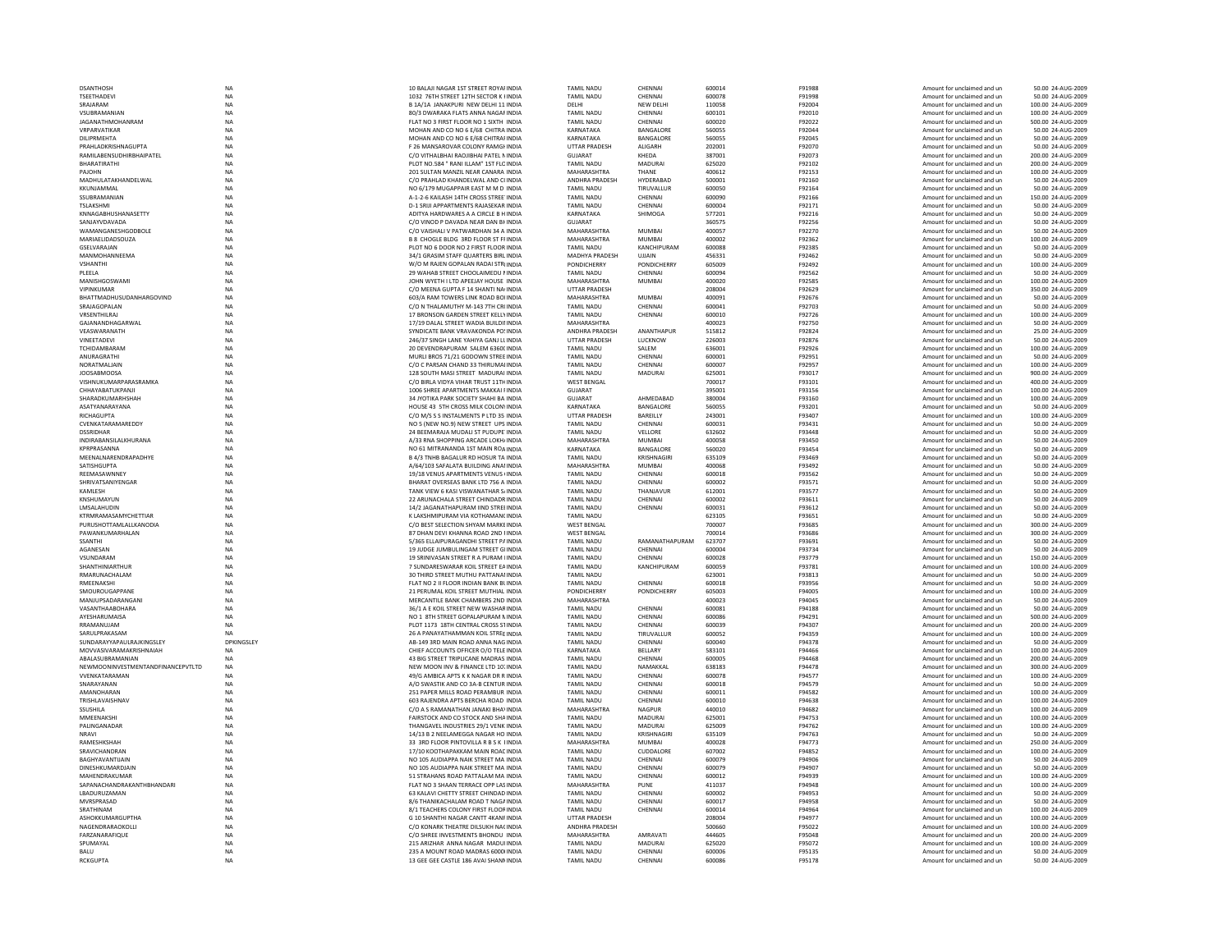| <b>DSANTHOSH</b>                  | <b>NA</b>   | 10 BALAJI NAGAR 1ST STREET ROYAI INDIA  | <b>TAMIL NADU</b>     | CHENNAI          | 600014 | F91988 | Amount for unclaimed and un | 50.00 24-AUG-2009  |
|-----------------------------------|-------------|-----------------------------------------|-----------------------|------------------|--------|--------|-----------------------------|--------------------|
| <b>TSEETHADEVI</b>                | <b>NA</b>   | 1032 76TH STREET 12TH SECTOR K HNDIA    | <b>TAMIL NADU</b>     | CHENNAI          | 600078 | F91998 | Amount for unclaimed and un | 50.00 24-AUG-2009  |
| SRAJARAM                          | <b>NA</b>   | B 1A/1A JANAKPURI NEW DELHI 11 INDIA    | DELHI                 | NEW DELHI        | 110058 | F92004 | Amount for unclaimed and ur | 100.00 24-AUG-2009 |
| VSUBRAMANIAN                      | NA          | 80/3 DWARAKA FLATS ANNA NAGAF INDIA     | TAMIL NADU            | CHENNAI          | 600101 | F92010 | Amount for unclaimed and ur | 100.00 24-AUG-2009 |
| <b>JAGANATHMOHANRAM</b>           | <b>NA</b>   | FLAT NO 3 FIRST FLOOR NO 1 SIXTH INDIA  | TAMIL NADU            | CHENNAI          | 600020 | F92022 | Amount for unclaimed and un | 500.00 24-AUG-2009 |
| VRPARVATIKAR                      | <b>NA</b>   | MOHAN AND CO NO 6 E/68 CHITRA INDIA     | KARNATAKA             | BANGALORE        | 560055 | F92044 | Amount for unclaimed and un | 50.00 24-AUG-2009  |
| DILIPRMEHTA                       | <b>NA</b>   | MOHAN AND CO NO 6 F/68 CHITRAI INDIA    | KARNATAKA             | <b>BANGALORE</b> | 560055 | F92045 | Amount for unclaimed and un | 50.00 24-AUG-2009  |
| PRAHLADKRISHNAGUPTA               | NA          | F 26 MANSAROVAR COLONY RAMGHNDIA        | UTTAR PRADESH         | ALIGARH          | 202001 | F92070 | Amount for unclaimed and ur | 50.00 24-AUG-2009  |
| RAMILABENSUDHIRBHAIPATEL          | NA          | C/O VITHALBHAI RAOJIBHAI PATEL N INDIA  | <b>GUJARAT</b>        | KHEDA            | 387001 | F92073 | Amount for unclaimed and ur | 200.00 24-AUG-2009 |
| BHARATIRATHI                      | <b>NA</b>   | PLOT NO.584 " RANI ILLAM" 1ST FLC INDIA | <b>TAMIL NADU</b>     | MADURAI          | 625020 | F92102 | Amount for unclaimed and un | 200.00 24-AUG-2009 |
| PAJOHN                            | <b>NA</b>   | 201 SULTAN MANZIL NEAR CANARA INDIA     | MAHARASHTRA           | THANE            | 400612 | F92153 | Amount for unclaimed and un | 100.00 24-AUG-2009 |
| MADHULATAKHANDELWAL               | $_{\sf NA}$ | C/O PRAHLAD KHANDELWAL AND CHNDIA       | ANDHRA PRADESH        | HYDERABAD        | 500001 | F92160 | Amount for unclaimed and ur | 50.00 24-AUG-2009  |
| KKUNJAMMAL                        | NA          | NO 6/179 MUGAPPAIR EAST M M D INDIA     | <b>TAMIL NADU</b>     | TIRUVALLUR       | 600050 | F92164 | Amount for unclaimed and ur | 50.00 24-AUG-2009  |
| SSUBRAMANIAN                      | <b>NA</b>   | A-1-2-6 KAILASH 14TH CROSS STREE INDIA  | <b>TAMIL NADU</b>     | CHENNAI          | 600090 | F92166 | Amount for unclaimed and ur | 150.00 24-AUG-2009 |
| <b>TSLAKSHMI</b>                  | <b>NA</b>   | D-1 SRIJI APPARTMENTS RAJASEKAR INDIA   | <b>TAMIL NADU</b>     | CHENNAI          | 600004 | F92171 | Amount for unclaimed and un | 50.00 24-AUG-2009  |
| KNNAGARHUSHANASETTY               | <b>NA</b>   | ADITYA HARDWARES A A CIRCLE B H INDIA   | KARNATAKA             |                  | 577201 | F92216 | Amount for unclaimed and un | 50.00 24-AUG-2009  |
|                                   |             |                                         |                       | SHIMOGA          |        |        |                             |                    |
| SANJAYVDAVADA                     | NA          | C/O VINOD P DAVADA NEAR DAN BH INDIA    | <b>GUJARAT</b>        |                  | 360575 | F92256 | Amount for unclaimed and ur | 50.00 24-AUG-2009  |
| WAMANGANESHGODBOLE                | NA          | C/O VAISHALI V PATWARDHAN 34 A INDIA    | MAHARASHTRA           | MUMBAI           | 400057 | F92270 | Amount for unclaimed and ur | 50.00 24-AUG-2009  |
| MARIAELIDADSOUZA                  | <b>NA</b>   | B 8 CHOGLE BLDG 3RD FLOOR ST FFINDIA    | MAHARASHTRA           | <b>MUMBA</b>     | 400002 | F92362 | Amount for unclaimed and ur | 100.00 24-AUG-2009 |
| GSELVARAJAN                       | <b>NA</b>   | PLOT NO 6 DOOR NO 2 FIRST FLOOR INDIA   | <b>TAMIL NADU</b>     | KANCHIPURAM      | 600088 | F92385 | Amount for unclaimed and un | 50.00 24-AUG-2009  |
| MANMOHANNEEMA                     | <b>NA</b>   | 34/1 GRASIM STAFF OUARTERS BIRLINDIA    | <b>MADHYA PRADESH</b> | UIJAIN           | 456331 | F92462 | Amount for unclaimed and un | 50.00 24-AUG-2009  |
| <b>VSHANTHI</b>                   | NA          | W/O M RAJEN GOPALAN RADAI STRIINDIA     | PONDICHERRY           | PONDICHERRY      | 605009 | F92492 | Amount for unclaimed and ur | 100.00 24-AUG-2009 |
| PLEELA                            | NA          | 29 WAHAB STREET CHOOLAIMEDU I INDIA     | TAMIL NADU            | CHENNAI          | 600094 | F92562 | Amount for unclaimed and ur | 50.00 24-AUG-2009  |
| MANISHGOSWAMI                     | <b>NA</b>   | JOHN WYETH I LTD APEEJAY HOUSE INDIA    | MAHARASHTRA           | <b>MUMBAI</b>    | 400020 | F92585 | Amount for unclaimed and un | 100.00 24-AUG-2009 |
| VIPINKUMAR                        | <b>NA</b>   | C/O MEENA GUPTA F 14 SHANTI NA(INDIA    | <b>UTTAR PRADESH</b>  |                  | 208004 | F92629 | Amount for unclaimed and un | 350.00 24-AUG-2009 |
| <b>BHATTMADHUSUDANHARGOVIND</b>   | <b>NA</b>   | 603/A RAM TOWERS LINK ROAD BOLINDIA     | MAHARASHTRA           | MUMRAI           | 400091 | F92676 | Amount for unclaimed and un | 50.00 24-AUG-2009  |
| SRAJAGOPALAN                      | NA          | C/O N THALAMUTHY M-143 7TH CR(INDIA     | TAMIL NADU            | CHENNAI          | 600041 | F92703 | Amount for unclaimed and ur | 50.00 24-AUG-2009  |
| VRSENTHILRAJ                      | <b>NA</b>   | 17 BRONSON GARDEN STREET KELLY INDIA    | <b>TAMIL NADU</b>     | CHENNAI          | 600010 | F92726 | Amount for unclaimed and un | 100.00 24-AUG-2009 |
| GAJANANDHAGARWAL                  | NA          | 17/19 DALAL STREET WADIA BUILDII INDIA  | MAHARASHTRA           |                  | 400023 | F92750 | Amount for unclaimed and un | 50.00 24-AUG-2009  |
| VFASWARANATH                      | <b>NA</b>   | SYNDICATE BANK VRAVAKONDA PO'INDIA      | <b>ANDHRA PRADESH</b> | ANANTHAPUR       | 515812 | F92824 | Amount for unclaimed and un | 25.00.24-AUG-2009  |
| <b>VINFFTADFVI</b>                | <b>NA</b>   | 246/37 SINGH LANE YAHIYA GANJ LUINDIA   | <b>UTTAR PRADESH</b>  | LUCKNOW          | 226003 | F92876 | Amount for unclaimed and un | 50.00 24-AUG-2009  |
|                                   |             |                                         |                       |                  |        |        |                             |                    |
| TCHIDAMBARAM                      | NA          | 20 DEVENDRAPURAM SALEM 63600 INDIA      | <b>TAMIL NADU</b>     | SALEM            | 636001 | F92926 | Amount for unclaimed and ur | 100.00 24-AUG-2009 |
| ANURAGRATHI                       | <b>NA</b>   | MURLI BROS 71/21 GODOWN STREE INDIA     | <b>TAMIL NADU</b>     | CHENNAL          | 600001 | F92951 | Amount for unclaimed and un | 50.00 24-AUG-2009  |
| NORATMALIAIN                      | NA          | C/O C PARSAN CHAND 33 THIRUMALINDIA     | <b>TAMIL NADU</b>     | CHENNAI          | 600007 | F92957 | Amount for unclaimed and un | 100.00 24-AUG-2009 |
| <b>IOOSABMOOSA</b>                | <b>NA</b>   | 128 SOUTH MASI STREET MADURALINDIA      | <b>TAMIL NADU</b>     | <b>MADURAI</b>   | 625001 | F93017 | Amount for unclaimed and un | 900.00 24-AUG-2009 |
| VISHNUKUMARPARASRAMKA             | <b>NA</b>   | C/O BIRLA VIDYA VIHAR TRUST 11TH INDIA  | <b>WEST BENGAL</b>    |                  | 700017 | F93101 | Amount for unclaimed and un | 400.00 24-AUG-2009 |
| CHHAYABATUKPANJI                  | <b>NA</b>   | 1006 SHREE APARTMENTS MAKKAI FINDIA     | <b>GUJARAT</b>        |                  | 395001 | F93156 | Amount for unclaimed and un | 100.00 24-AUG-2009 |
| SHARADKUMARHSHAH                  | <b>NA</b>   | 34 JYOTIKA PARK SOCIETY SHAHI BA INDIA  | <b>GUJARAT</b>        | AHMEDABAD        | 380004 | F93160 | Amount for unclaimed and un | 100.00 24-AUG-2009 |
| ASATYANARAYANA                    | <b>NA</b>   | HOUSE 43 5TH CROSS MILK COLON\INDIA     | KARNATAKA             | BANGALORE        | 560055 | F93201 | Amount for unclaimed and un | 50.00 24-AUG-2009  |
| RICHAGUPTA                        | <b>NA</b>   | C/O M/S S S INSTALMENTS P LTD 35 INDIA  | <b>UTTAR PRADESH</b>  | BAREILLY         | 243001 | F93407 | Amount for unclaimed and un | 100.00 24-AUG-2009 |
| CVENKATARAMAREDDY                 | <b>NA</b>   | NO 5 (NEW NO.9) NEW STREET UPS INDIA    | <b>TAMIL NADU</b>     | CHENNAL          | 600031 | F93431 | Amount for unclaimed and un | 50.00 24-AUG-2009  |
| <b>DSSRIDHAR</b>                  | <b>NA</b>   | 24 BEEMARAJA MUDALI ST PUDUPE INDIA     | <b>TAMIL NADU</b>     | VELLORE          | 632602 | F93448 | Amount for unclaimed and un | 50.00 24-AUG-2009  |
| INDIRABANSILALKHURANA             | <b>NA</b>   | A/33 RNA SHOPPING ARCADE LOKH/ INDIA    | MAHARASHTRA           | MUMBAI           | 400058 | F93450 | Amount for unclaimed and un | 50.00 24-AUG-2009  |
| KPRPRASANNA                       | <b>NA</b>   | NO 61 MITRANANDA 1ST MAIN ROA INDIA     | KARNATAKA             | BANGALORE        | 560020 | F93454 | Amount for unclaimed and un | 50.00 24-AUG-2009  |
|                                   |             |                                         |                       |                  |        |        |                             |                    |
| MEENALNARENDRAPADHYE              | <b>NA</b>   | B 4/3 TNHB BAGALUR RD HOSUR TA INDIA    | <b>TAMIL NADU</b>     | KRISHNAGIRI      | 635109 | F93469 | Amount for unclaimed and un | 50.00 24-AUG-2009  |
| SATISHGUPTA                       | <b>NA</b>   | A/64/103 SAFALATA BUILDING ANALINDIA    | MAHARASHTRA           | MUMRAI           | 400068 | F93492 | Amount for unclaimed and ur | 50.00 24-AUG-2009  |
| REEMASAWNNE'                      | <b>NA</b>   | 19/18 VENUS APARTMENTS VENUS (INDIA     | <b>TAMIL NADU</b>     | CHENNAL          | 600018 | F93562 | Amount for unclaimed and un | 50.00 24-AUG-2009  |
| SHRIVATSANIYENGAR                 | NA          | BHARAT OVERSEAS BANK LTD 756 A INDIA    | <b>TAMIL NADU</b>     | CHENNAI          | 600002 | F93571 | Amount for unclaimed and un | 50.00 24-AUG-2009  |
| KAMLESH                           | <b>NA</b>   | TANK VIEW 6 KASI VISWANATHAR S/ INDIA   | <b>TAMIL NADU</b>     | THANJAVUR        | 612001 | F93577 | Amount for unclaimed and un | 50.00 24-AUG-2009  |
| KNSHUMAYUN                        | <b>NA</b>   | 22 ARUNACHALA STREET CHINDADR INDIA     | <b>TAMIL NADU</b>     | CHENNAI          | 600002 | F93611 | Amount for unclaimed and un | 50.00 24-AUG-2009  |
| LMSALAHUDIN                       | NA          | 14/2 JAGANATHAPURAM IIND STREEINDIA     | <b>TAMIL NADU</b>     | CHENNAI          | 600031 | F93612 | Amount for unclaimed and ur | 50.00 24-AUG-2009  |
| KTRMRAMASAMYCHETTIAR              | <b>NA</b>   | K LAKSHMIPURAM VIA KOTHAMANCINDIA       | <b>TAMIL NADU</b>     |                  | 623105 | F93651 | Amount for unclaimed and un | 50.00 24-AUG-2009  |
| PURUSHOTTAMLALLKANODIA            | <b>NA</b>   | C/O BEST SELECTION SHYAM MARKE INDIA    | <b>WEST BENGAL</b>    |                  | 700007 | F93685 | Amount for unclaimed and un | 300.00 24-AUG-2009 |
| PAWANKUMARHALAN                   | <b>NA</b>   | 87 DHAN DEVI KHANNA ROAD 2ND FINDIA     | <b>WEST BENGAL</b>    |                  | 700014 | F93686 | Amount for unclaimed and un | 300.00 24-AUG-2009 |
| SSANTHI                           | <b>NA</b>   | 5/365 ELLAIPURAGANDHI STREET PAINDIA    | <b>TAMIL NADU</b>     | RAMANATHAPURAM   | 623707 | F93691 | Amount for unclaimed and un | 50.00 24-AUG-2009  |
| AGANESAN                          | NA          | 19 JUDGE JUMBULINGAM STREET GI INDIA    | <b>TAMIL NADU</b>     | CHENNAI          | 600004 | F93734 | Amount for unclaimed and ur | 50.00 24-AUG-2009  |
| VSUNDARAM                         |             | 19 SRINIVASAN STREET R A PURAM IINDIA   | <b>TAMIL NADU</b>     |                  | 600028 | F93779 |                             |                    |
|                                   | NA          |                                         |                       | CHENNAI          |        |        | Amount for unclaimed and un | 150.00 24-AUG-2009 |
| SHANTHINIARTHUR                   | <b>NA</b>   | 7 SUNDARESWARAR KOIL STREET EA INDIA    | <b>TAMIL NADU</b>     | KANCHIPURAM      | 600059 | F93781 | Amount for unclaimed and un | 100.00 24-AUG-2009 |
| RMARUNACHALAM                     | <b>NA</b>   | 30 THIRD STREET MUTHU PATTANALINDIA     | <b>TAMIL NADU</b>     |                  | 623001 | F93813 | Amount for unclaimed and un | 50.00 24-AUG-2009  |
| RMEENAKSHI                        | $_{\sf NA}$ | FLAT NO 2 II FLOOR INDIAN BANK BUNDIA   | <b>TAMIL NADU</b>     | CHENNAI          | 600018 | F93956 | Amount for unclaimed and ur | 50.00 24-AUG-2009  |
| SMOUROUGAPPANE                    | NA          | 21 PERUMAL KOIL STREET MUTHIAL INDIA    | <b>PONDICHERRY</b>    | PONDICHERRY      | 605003 | F94005 | Amount for unclaimed and ur | 100.00 24-AUG-2009 |
| MANJUPSADARANGANI                 | NA          | MERCANTILE BANK CHAMBERS 2ND INDIA      | MAHARASHTRA           |                  | 400023 | F94045 | Amount for unclaimed and un | 50.00 24-AUG-2009  |
| VASANTHAABOHARA                   | <b>NA</b>   | 36/1 A E KOIL STREET NEW WASHAR INDIA   | <b>TAMIL NADU</b>     | CHENNAI          | 600081 | F94188 | Amount for unclaimed and un | 50.00 24-AUG-2009  |
| AYESHARUMAISA                     | <b>NA</b>   | NO 1 STH STREET GOPALAPURAM NINDIA      | <b>TAMIL NADLI</b>    | CHENNAL          | 600086 | F94291 | Amount for unclaimed and un | 500.00 24-AUG-2009 |
| RRAMANUJAM                        | NA          | PLOT 1173 18TH CENTRAL CROSS STINDIA    | <b>TAMIL NADU</b>     | CHENNAI          | 600039 | F94307 | Amount for unclaimed and ur | 200.00 24-AUG-2009 |
| SARULPRAKASAM                     | NA          | 26 A PANAYATHAMMAN KOIL STREE INDIA     | <b>TAMIL NADU</b>     | TIRUVALLUR       | 600052 | F94359 | Amount for unclaimed and ur | 100.00 24-AUG-2009 |
| SUNDARAYYAPAULRAJKINGSLEY         | DPKINGSLEY  | AB-149 3RD MAIN ROAD ANNA NAG INDIA     | <b>TAMIL NADU</b>     | CHENNAI          | 600040 | F94378 | Amount for unclaimed and un | 50.00 24-AUG-2009  |
| MOVVASIVARAMAKRISHNAIAH           | <b>NA</b>   | CHIEF ACCOUNTS OFFICER O/O TELE INDIA   | KARNATAKA             | BELLARY          | 583101 | F94466 | Amount for unclaimed and un | 100.00 24-AUG-2009 |
| <b>ARAI ASURRAMANIAN</b>          | <b>NA</b>   | 43 BIG STREET TRIPLICANE MADRAS INDIA   | <b>TAMIL NADU</b>     | CHENNAL          | 600005 | F94468 | Amount for unclaimed and un | 200.00 24-AUG-2009 |
| NEWMOONINVESTMENTANDFINANCEPVTLTD | NA          | NEW MOON INV & FINANCE LTD 10. INDIA    | <b>TAMIL NADU</b>     | NAMAKKAL         | 638183 | F94478 | Amount for unclaimed and ur | 300.00 24-AUG-2009 |
| VVENKATARAMAN                     | <b>NA</b>   | 49/G AMBICA APTS K K NAGAR DR R INDIA   | <b>TAMIL NADU</b>     | CHENNAI          | 600078 | F94577 | Amount for unclaimed and un | 100.00 24-AUG-2009 |
|                                   |             | A/O SWASTIK AND CO 3A-B CENTUR INDIA    | <b>TAMIL NADU</b>     |                  | 600018 |        |                             |                    |
| SNARAYANAN                        | <b>NA</b>   |                                         |                       | CHENNAI          |        | F94579 | Amount for unclaimed and un | 50.00 24-AUG-2009  |
| AMANOHARAN                        | <b>NA</b>   | 251 PAPER MILLS ROAD PERAMBUR INDIA     | <b>TAMIL NADU</b>     | CHENNAI          | 600011 | F94582 | Amount for unclaimed and un | 100.00 24-AUG-2009 |
| TRISHI AVAISHNAV                  | <b>NA</b>   | 603 RAJENDRA APTS BERCHA ROAD INDIA     | <b>TAMIL NADU</b>     | CHENNAL          | 600010 | F94638 | Amount for unclaimed and un | 100.00 24-AUG-2009 |
| <b>SSUSHILA</b>                   | NA          | C/O A S RAMANATHAN JANAKI BHA\ INDIA    | <b>MAHARASHTRA</b>    | NAGPUR           | 440010 | F94682 | Amount for unclaimed and ur | 100.00 24-AUG-2009 |
| MMEENAKSH                         | <b>NA</b>   | FAIRSTOCK AND CO STOCK AND SHA INDIA    | TAMIL NADU            | <b>MADURAI</b>   | 625001 | F94753 | Amount for unclaimed and un | 100.00 24-AUG-2009 |
| PALINGANADAR                      | <b>NA</b>   | THANGAVEL INDUSTRIES 29/1 VENK INDIA    | <b>TAMIL NADU</b>     | <b>MADURAI</b>   | 625009 | F94762 | Amount for unclaimed and un | 100.00 24-AUG-2009 |
| NRAVI                             | <b>NA</b>   | 14/13 B 2 NEELAMEGGA NAGAR HO INDIA     | <b>TAMIL NADU</b>     | KRISHNAGIRI      | 635109 | F94763 | Amount for unclaimed and un | 50.00 24-AUG-2009  |
| RAMFSHKSHAH                       | <b>NA</b>   | 33 3RD FLOOR PINTOVILLA R B S K 1 INDIA | MAHARASHTRA           | MUMRAI           | 400028 | F94773 | Amount for unclaimed and un | 250.00 24-AUG-2009 |
| SRAVICHANDRAN                     | NA          | 17/10 KOOTHAPAKKAM MAIN ROAC INDIA      | TAMIL NADU            | CUDDALORE        | 607002 | F94852 | Amount for unclaimed and ur | 100.00 24-AUG-2009 |
| BAGHYAVANTUAIN                    | <b>NA</b>   | NO 105 AUDIAPPA NAIK STREET MA INDIA    | <b>TAMIL NADU</b>     | CHENNAI          | 600079 | F94906 | Amount for unclaimed and un | 50.00 24-AUG-2009  |
| DINESHKUMARDJAIN                  | <b>NA</b>   | NO 105 AUDIAPPA NAIK STREET MA INDIA    | <b>TAMIL NADU</b>     | CHENNAL          | 600079 | F94907 | Amount for unclaimed and un | 50.00 24-AUG-2009  |
| MAHENDRAKUMAR                     | <b>NA</b>   | 51 STRAHANS ROAD PATTALAM MA INDIA      | <b>TAMIL NADU</b>     | CHENNAL          | 600012 | F94939 | Amount for unclaimed and un | 100.00 24-AUG-2009 |
| SAPANACHANDRAKANTHBHANDARI        | <b>NA</b>   | FLAT NO 3 SHAAN TERRACE OPP LAS INDIA   | MAHARASHTRA           | PUNE             | 411037 | F94948 | Amount for unclaimed and un | 100.00 24-AUG-2009 |
| LBADURUZAMAN                      | <b>NA</b>   | 63 KALAVI CHETTY STREET CHINDAD INDIA   | <b>TAMIL NADU</b>     | CHENNAL          | 600002 | F94953 | Amount for unclaimed and ur | 50.00 24-AUG-2009  |
|                                   |             |                                         |                       |                  |        |        |                             |                    |
| MVRSPRASAD                        | <b>NA</b>   | 8/6 THANIKACHALAM ROAD T NAGA INDIA     | <b>TAMIL NADU</b>     | CHENNAI          | 600017 | F94958 | Amount for unclaimed and un | 50.00 24-AUG-2009  |
| SRATHINAM                         | <b>NA</b>   | 8/1 TEACHERS COLONY FIRST FLOOR INDIA   | <b>TAMIL NADLI</b>    | CHENNAI          | 600014 | F94964 | Amount for unclaimed and un | 100.00 24-AUG-2009 |
| ASHOKKUMARGUPTHA                  | <b>NA</b>   | G 10 SHANTHI NAGAR CANTT 4KANF INDIA    | <b>UTTAR PRADESH</b>  |                  | 208004 | F94977 | Amount for unclaimed and un | 100.00 24-AUG-2009 |
| NAGENDRARAOKOLLI                  | <b>NA</b>   | C/O KONARK THEATRE DILSUKH NACINDIA     | <b>ANDHRA PRADESH</b> |                  | 500660 | F95022 | Amount for unclaimed and ur | 100.00 24-AUG-2009 |
| <b>FARZANARAFIQUE</b>             | <b>NA</b>   | C/O SHREE INVESTMENTS BHONDU INDIA      | MAHARASHTRA           | AMRAVATI         | 444605 | F95048 | Amount for unclaimed and un | 200.00 24-AUG-2009 |
| SPUMAYAL                          | <b>NA</b>   | 215 ARIZHAR ANNA NAGAR MADUHNDIA        | <b>TAMIL NADU</b>     | <b>MADURAI</b>   | 625020 | F95072 | Amount for unclaimed and un | 100.00 24-AUG-2009 |
| <b>BALLI</b>                      | <b>NA</b>   | 235 A MOUNT ROAD MADRAS 6000UNDIA       | <b>TAMIL NADU</b>     | CHENNAL          | 600006 | F95135 | Amount for unclaimed and un | 50.00 24-AUG-2009  |
| <b>RCKGUPTA</b>                   | <b>NA</b>   | 13 GEE GEE CASTLE 186 AVAI SHANN INDIA  | <b>TAMIL NADU</b>     | CHENNAI          | 600086 | F95178 | Amount for unclaimed and un | 50.00 24-AUG-2009  |
|                                   |             |                                         |                       |                  |        |        |                             |                    |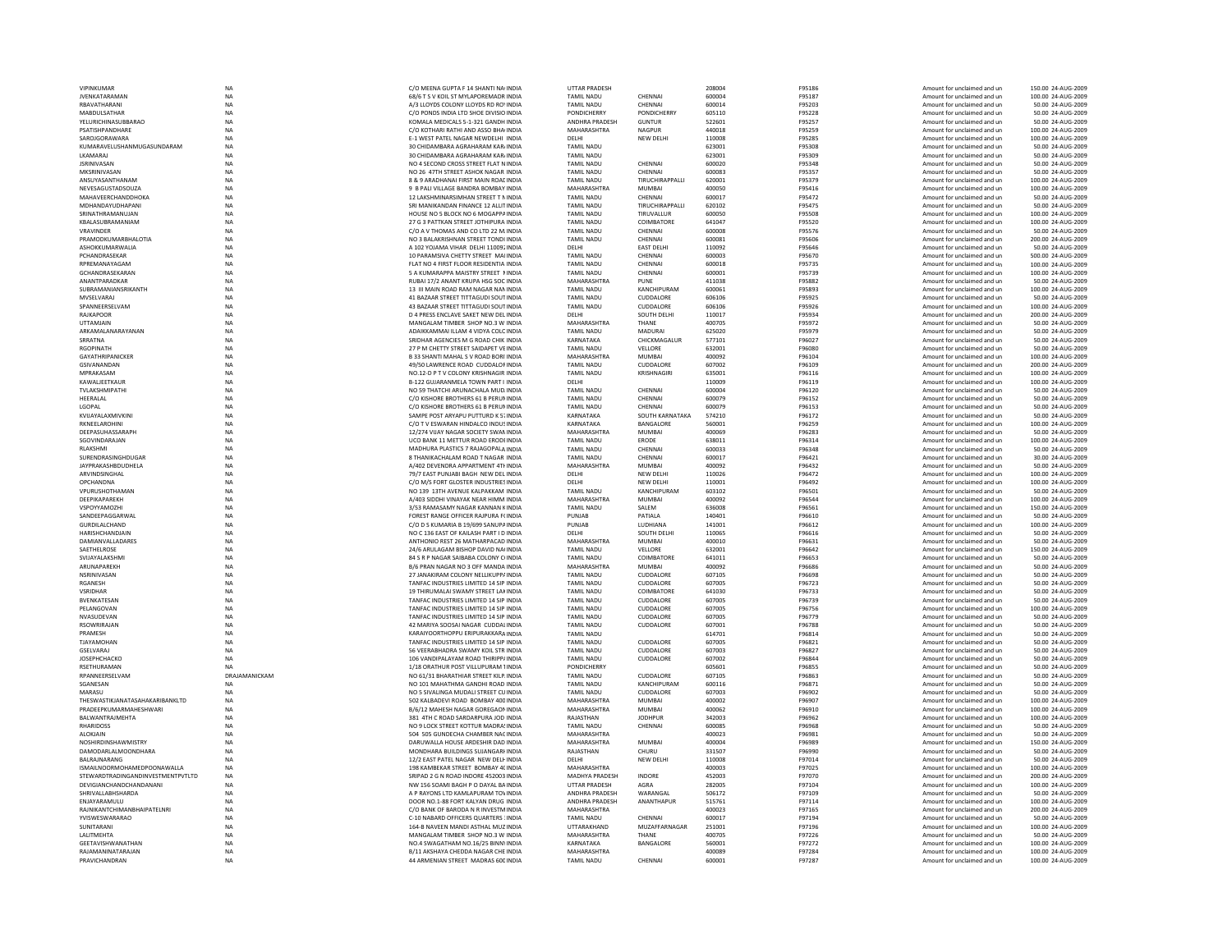| VIPINKUMAR                         | NA                     | C/O MEENA GUPTA F 14 SHANTI NAUNDIA                                               | <b>UTTAR PRADESH</b>             |                     | 208004           | F95186           | Amount for unclaimed and un                                | 150.00 24-AUG-2009                       |
|------------------------------------|------------------------|-----------------------------------------------------------------------------------|----------------------------------|---------------------|------------------|------------------|------------------------------------------------------------|------------------------------------------|
| <b>JVENKATARAMAN</b>               | NA                     | 68/6 T S V KOIL ST MYLAPOREMADR INDIA                                             | <b>TAMIL NADU</b>                | CHENNAI             | 600004           | F95187           | Amount for unclaimed and un                                | 100.00 24-AUG-2009                       |
| RRAVATHARANI                       | <b>NA</b>              | A/3 LLOYDS COLONY LLOYDS RD ROUNDIA                                               | <b>TAMIL NADU</b>                | CHENNAL             | 600014           | <b>F95203</b>    | Amount for unclaimed and un                                | 50.00 24-AUG-2009                        |
| <b>MABDULSATHAR</b>                | NA                     | C/O PONDS INDIA LTD SHOE DIVISIO INDIA                                            | PONDICHERRY                      | PONDICHERRY         | 605110           | F95228           | Amount for unclaimed and un                                | 50.00 24-AUG-2009                        |
| <b>YELURICHINASUBBARAO</b>         | NA                     | KOMALA MEDICALS 5-1-321 GANDH INDIA                                               | ANDHRA PRADESH                   | <b>GUNTUR</b>       | 522601           | F95257           | Amount for unclaimed and un                                | 50.00 24-AUG-2009                        |
| PSATISHPANDHARE                    | NA                     | C/O KOTHARI RATHI AND ASSO BHA INDIA                                              | MAHARASHTRA                      | <b>NAGPUR</b>       | 440018           | F95259           | Amount for unclaimed and un                                | 100.00 24-AUG-2009                       |
| SAROIGORAWARA                      | <b>NA</b>              | F-1 WEST PATEL NAGAR NEWDELHL INDIA                                               | <b>DELHI</b>                     | NFW DFI HI          | 110008           | F95285           | Amount for unclaimed and un                                | 100.00 24-AUG-2009                       |
| KUMARAVELUSHANMUGASUNDARAM         | <b>NA</b>              | 30 CHIDAMBARA AGRAHARAM KARJINDIA                                                 | <b>TAMIL NADU</b>                |                     | 623001           | <b>F95308</b>    | Amount for unclaimed and un                                | 50.00 24-AUG-2009                        |
| LKAMARAJ                           | NA                     | 30 CHIDAMBARA AGRAHARAM KAR/INDIA                                                 | <b>TAMIL NADU</b>                |                     | 623001           | F95309           | Amount for unclaimed and un                                | 50.00 24-AUG-2009                        |
| <b>JSRINIVASAN</b>                 | NA                     | NO 4 SECOND CROSS STREET FLAT NINDIA                                              | <b>TAMIL NADU</b>                | CHENNAI             | 600020           | F95348           | Amount for unclaimed and un                                | 50.00 24-AUG-2009                        |
| MKSRINIVASAN                       | NA                     | NO 26 47TH STREET ASHOK NAGAR INDIA                                               | <b>TAMIL NADU</b>                | CHENNAL             | 600083           | F95357           | Amount for unclaimed and un                                | 50.00 24-AUG-2009                        |
| ANSUYASANTHANAM                    | <b>NA</b>              | 8 & 9 ARADHANAI FIRST MAIN ROAF INDIA                                             | <b>TAMIL NADU</b>                | TIRUCHIRAPPALLI     | 620001           | F95379           | Amount for unclaimed and un                                | 100.00 24-AUG-2009                       |
| NEVESAGUSTADSOUZA                  | NA                     | 9 B PALI VILLAGE BANDRA BOMBAY INDIA                                              | MAHARASHTRA                      | MUMBAL              | 400050           | F95416           | Amount for unclaimed and un                                | 100.00 24-AUG-2009                       |
| MAHAVEERCHANDDHOKA                 | NA                     | 12 LAKSHMINARSIMHAN STREET T N INDIA                                              | <b>TAMIL NADU</b>                | CHENNAI             | 600017           | F95472           | Amount for unclaimed and un                                | 50.00 24-AUG-2009                        |
| MDHANDAYUDHAPANI                   | NA                     | SRI MANIKANDAN FINANCE 12 ALLIT INDIA                                             | TAMIL NADU                       | TIRUCHIRAPPALLI     | 620102           | F95475           | Amount for unclaimed and un                                | 50.00 24-AUG-2009                        |
| SRINATHRAMANUJAN                   | NA                     | HOUSE NO 5 BLOCK NO 6 MOGAPPA INDIA                                               | <b>TAMIL NADU</b>                | TIRUVALLUR          | 600050           | F95508           | Amount for unclaimed and un                                | 100.00 24-AUG-2009                       |
| KBALASUBRAMANIAM                   | NA                     | 27 G 3 PATTKAN STREET JOTHIPURA INDIA                                             | <b>TAMIL NADU</b>                | COIMBATORE          | 641047           | F95520           | Amount for unclaimed and un                                | 100.00 24-AUG-2009                       |
| <b>VRAVINDER</b>                   | <b>NA</b>              | C/O A V THOMAS AND CO LTD 22 M INDIA                                              | <b>TAMIL NADU</b>                | CHENNAL             | 600008           | F95576           | Amount for unclaimed and un                                | 50.00 24-AUG-2009                        |
| PRAMODKUMARBHALOTIA                | NA                     | NO 3 BALAKRISHNAN STREET TONDI INDIA                                              | TAMIL NADU                       | CHENNAI             | 600081           | F95606           | Amount for unclaimed and ur                                | 200.00 24-AUG-2009                       |
| ASHOKKUMARWALIA                    | NA                     | A 102 YOJAMA VIHAR DELHI 110092 INDIA                                             | DELHI                            | <b>EAST DELHI</b>   | 110092           | F95646           | Amount for unclaimed and un                                | 50.00 24-AUG-2009                        |
| PCHANDRASEKAR                      | <b>NA</b>              | 10 PARAMSIVA CHETTY STREET MALINDIA                                               | <b>TAMIL NADU</b>                | CHENNAI             | 600003           | F95670           | Amount for unclaimed and un                                | 500.00 24-AUG-2009                       |
| RPREMANAVAGAM                      | NA                     | FLAT NO 4 FIRST FLOOR RESIDENTIA INDIA                                            | <b>TAMIL NADU</b>                | CHENNAI             | 600018           | F95735           | Amount for unclaimed and un                                | 100.00 24-AUG-2009                       |
| GCHANDRASEKARAN                    | NA                     | 5 A KUMARAPPA MAISTRY STREET NINDIA                                               | <b>TAMIL NADU</b>                | CHENNAI             | 600001           | F95739           | Amount for unclaimed and un                                | 100.00 24-AUG-2009                       |
| ANANTPARADKAR                      | NA                     | RUBAI 17/2 ANANT KRUPA HSG SOC INDIA                                              | <b>MAHARASHTRA</b>               | PUNE                | 411038           | F95882           | Amount for unclaimed and ur                                | 50.00 24-AUG-2009                        |
| SUBRAMANIANSRIKANTH                | <b>NA</b>              | 13 III MAIN ROAD RAM NAGAR NAN INDIA                                              | <b>TAMIL NADU</b>                | KANCHIPURAM         | 600061           | F95893           | Amount for unclaimed and un                                | 100.00 24-AUG-2009                       |
| MVSELVARAJ                         | <b>NA</b>              | 41 BAZAAR STREET TITTAGUDI SOUTINDIA                                              | <b>TAMIL NADU</b>                | CUDDALORE           | 606106           | F95925           | Amount for unclaimed and un                                | 50.00 24-AUG-2009                        |
| SPANNEERSELVAM                     | NA                     | 43 BAZAAR STREET TITTAGUDI SOUT INDIA                                             | <b>TAMIL NADU</b>                | CUDDALORE           | 606106           | F95926           | Amount for unclaimed and un                                | 100.00 24-AUG-2009                       |
| <b>RAJKAPOOR</b>                   | NA                     | D 4 PRESS ENCLAVE SAKET NEW DELINDIA                                              | DELHI                            | SOUTH DELHI         | 110017           | F95934           | Amount for unclaimed and un                                | 200.00 24-AUG-2009                       |
| UTTAMJAIN                          | NA                     | MANGALAM TIMBER SHOP NO.3 W INDIA                                                 | <b>MAHARASHTRA</b>               | THANE               | 400705           | F95972           | Amount for unclaimed and un                                | 50.00 24-AUG-2009                        |
| ARKAMALANARAYANAN                  | <b>NA</b>              | ADAIKKAMMAI ILLAM 4 VIDYA COLC INDIA                                              | <b>TAMIL NADU</b>                | <b>MADURAI</b>      | 625020           | F95979           | Amount for unclaimed and un                                | 50.00 24-AUG-2009                        |
| SRRATNA                            | <b>NA</b>              | SRIDHAR AGENCIES M G ROAD CHIK INDIA                                              | KARNATAKA                        | CHICKMAGALUR        | 577101           | F96027           | Amount for unclaimed and un                                | 50.00 24-AUG-2009                        |
| <b>RGOPINATH</b>                   | NA                     | 27 P M CHETTY STREET SAIDAPET VEINDIA                                             | <b>TAMIL NADU</b>                | VELLORE             | 632001           | F96080           | Amount for unclaimed and un                                | 50.00 24-AUG-2009                        |
| GAYATHRIPANICKER                   | NA                     | B 33 SHANTI MAHAL S V ROAD BORI INDIA                                             | MAHARASHTRA                      | <b>MUMBAI</b>       | 400092           | F96104           | Amount for unclaimed and un                                | 100.00 24-AUG-2009                       |
| <b>GSIVANANDAM</b>                 | NA                     | 49/50 LAWRENCE ROAD CUDDALOF INDIA                                                | TAMIL NADU                       | CUDDALORE           | 607002           | F96109           | Amount for unclaimed and un                                | 200.00 24-AUG-2009                       |
| MPRAKASAM                          | <b>NA</b>              | NO.12-D P T V COLONY KRISHNAGIR INDIA                                             | <b>TAMIL NADU</b>                | KRISHNAGIRI         | 635001           | F96116           | Amount for unclaimed and un                                | 100.00 24-AUG-2009                       |
| KAWAI IFFTKAUR                     | <b>NA</b>              | <b>B-122 GUIARANMELA TOWN PART LINDIA</b>                                         | <b>DELHI</b>                     |                     | 110009           | F96119           | Amount for unclaimed and un                                | 100.00 24-AUG-2009                       |
| TVLAKSHMIPATHI                     | NA                     | NO 59 THATCHI ARUNACHALA MUD. INDIA                                               | <b>TAMIL NADU</b>                | CHENNAI             | 600004           | F96120           | Amount for unclaimed and un                                | 50.00 24-AUG-2009                        |
| HEERALAL                           | <b>NA</b>              | C/O KISHORE BROTHERS 61 B PERUMINDIA                                              | <b>TAMIL NADU</b>                | CHENNAI             | 600079           | F96152           | Amount for unclaimed and un                                | 50.00 24-AUG-2009                        |
| LGOPAL                             | NA                     | C/O KISHORE BROTHERS 61 B PERUNINDIA                                              | <b>TAMIL NADU</b>                | CHENNAI             | 600079           | F96153           | Amount for unclaimed and un                                | 50.00 24-AUG-2009                        |
| KVIJAYAI AXMIVKINI                 | <b>NA</b>              | SAMPE POST ARYAPLI PUTTURD K 5, INDIA                                             | KARNATAKA                        | SOUTH KARNATAKA     | 574210           | F96172           | Amount for unclaimed and un                                | 50.00 24-AUG-2009                        |
| <b>RKNEFI AROHINI</b>              | <b>NA</b>              | C/O T V ESWARAN HINDALCO INDUSTNDIA                                               | KARNATAKA                        | <b>BANGALORE</b>    | 560001           | F96259           | Amount for unclaimed and un                                | 100.00 24-AUG-2009                       |
|                                    |                        |                                                                                   | <b>MAHARASHTRA</b>               | <b>MUMBAI</b>       |                  |                  |                                                            |                                          |
| DEEPASUHASSARAPH<br>SGOVINDARAJAN  | NA                     | 12/274 VIJAY NAGAR SOCIETY SWAN INDIA<br>UCO BANK 11 METTUR ROAD ERODEINDIA       | <b>TAMIL NADU</b>                | ERODE               | 400069<br>638011 | F96283<br>F96314 | Amount for unclaimed and un<br>Amount for unclaimed and un | 50.00 24-AUG-2009<br>100.00 24-AUG-2009  |
|                                    | NA                     |                                                                                   |                                  |                     |                  |                  |                                                            |                                          |
| RLAKSHMI                           | NA                     | MADHURA PLASTICS 7 RAJAGOPALA INDIA                                               | <b>TAMIL NADU</b>                | CHENNAI             | 600033           | F96348           | Amount for unclaimed and un                                | 50.00 24-AUG-2009                        |
| SURENDRASINGHDUGAR                 | <b>NA</b>              | 8 THANIKACHAI AM ROAD T NAGAR INDIA                                               | <b>TAMIL NADU</b>                | CHENNAL             | 600017           | F96421           | Amount for unclaimed and un                                | 30.00 24-AUG-2009                        |
| <b>JAYPRAKASHBDUDHELA</b>          | <b>NA</b>              | A/402 DEVENDRA APPARTMENT 4TH INDIA                                               | MAHARASHTRA                      | MUMBAI              | 400092           | F96432           | Amount for unclaimed and un                                | 50.00 24-AUG-2009                        |
| ARVINDSINGHAL                      | NA                     | 79/7 EAST PUNJABI BAGH NEW DELINDIA                                               | DELHI                            | NEW DELHI           | 110026           | F96472           | Amount for unclaimed and un                                | 100.00 24-AUG-2009                       |
| OPCHANDNA                          | NA                     | C/O M/S FORT GLOSTER INDUSTRIES INDIA                                             | DELHI                            | NEW DELHI           | 110001           | F96492           | Amount for unclaimed and un                                | 100.00 24-AUG-2009                       |
| VPURUSHOTHAMAN                     | NA                     | NO 139 13TH AVENUE KALPAKKAM INDIA                                                | <b>TAMIL NADU</b>                | KANCHIPURAM         | 603102           | F96501           | Amount for unclaimed and un                                | 50.00 24-AUG-2009                        |
| DEEPIKAPAREKH                      | NA                     | A/403 SIDDHI VINAYAK NEAR HIMM INDIA                                              | MAHARASHTRA                      | MUMRAI              |                  | F96544           | Amount for unclaimed and un                                | 100.00 24-AUG-2009                       |
|                                    |                        |                                                                                   |                                  |                     | 400092           |                  |                                                            |                                          |
| VSPOYYAMOZHI                       | NA                     | 3/53 RAMASAMY NAGAR KANNAN KINDIA                                                 | <b>TAMIL NADU</b>                | SALEM               | 636008           | F96561           | Amount for unclaimed and un                                | 150.00 24-AUG-2009                       |
| SANDEEPAGGARWAL                    | NA                     | FOREST RANGE OFFICER RAJPURA F(INDIA                                              | PUNJAB                           | PATIALA             | 140401           | F96610           | Amount for unclaimed and un                                | 50.00 24-AUG-2009                        |
| GURDILALCHAND                      | NA                     | C/O D S KUMARIA B 19/699 SANUPA INDIA                                             | PUNJAB                           | LUDHIANA            | 141001           | F96612           | Amount for unclaimed and un                                | 100.00 24-AUG-2009                       |
| <b>HARISHCHANDJAIN</b>             | <b>NA</b>              | NO C 136 EAST OF KAILASH PART I D INDIA                                           | DELHI                            | SOUTH DELHI         | 110065           | F96616           | Amount for unclaimed and un                                | 50.00 24-AUG-2009                        |
| DAMIANVALLADARES                   | NA                     | ANTHONIO REST 26 MATHARPACAD INDIA                                                | MAHARASHTRA                      | MUMRAI              | 400010           | F96631           | Amount for unclaimed and un                                | 50.00 24-AUG-2009                        |
| SAETHELROSE                        | <b>NA</b>              | 24/6 ARULAGAM BISHOP DAVID NAUNDIA                                                | <b>TAMIL NADU</b>                | VELLORE             | 632001           | F96642           | Amount for unclaimed and un                                | 150.00 24-AUG-2009                       |
|                                    |                        |                                                                                   |                                  |                     |                  |                  |                                                            |                                          |
| SVIJAYALAKSHM                      | NA                     | 84 S R P NAGAR SAIBABA COLONY CUNDIA                                              | <b>TAMIL NADU</b>                | <b>COIMBATORE</b>   | 641011<br>400092 | F96653           | Amount for unclaimed and un                                | 50.00 24-AUG-2009<br>50.00 24-AUG-2009   |
| ARUNAPAREKH<br>NSRINIVASAN         | NA<br><b>NA</b>        | B/6 PRAN NAGAR NO 3 OFF MANDA INDIA<br>27 JANAKIRAM COLONY NELLIKUPPA INDIA       | MAHARASHTRA<br><b>TAMIL NADU</b> | MUMBAI<br>CUDDALORE | 607105           | F96686<br>F96698 | Amount for unclaimed and un<br>Amount for unclaimed and un | 50.00 24-AUG-2009                        |
|                                    |                        |                                                                                   |                                  |                     |                  |                  |                                                            |                                          |
| RGANESH                            | NA                     | TANFAC INDUSTRIES LIMITED 14 SIP INDIA                                            | <b>TAMIL NADU</b>                | CUDDALORE           | 607005           | F96723           | Amount for unclaimed and un                                | 50.00 24-AUG-2009                        |
| VSRIDHAR                           | NA                     | 19 THIRUMALAI SWAMY STREET LAKINDIA                                               | <b>TAMIL NADU</b>                | <b>COIMBATORE</b>   | 641030           | F96733           | Amount for unclaimed and un                                | 50.00 24-AUG-2009                        |
| <b>BVENKATESAM</b>                 | NA                     | TANFAC INDUSTRIES LIMITED 14 SIP INDIA                                            | <b>TAMIL NADU</b>                | CUDDALORE           | 607005           | F96739           | Amount for unclaimed and un                                | 50.00 24-AUG-2009                        |
| PELANGOVAN                         | <b>NA</b>              | TANFAC INDUSTRIES LIMITED 14 SIP INDIA                                            | <b>TAMIL NADU</b>                | CUDDALORE           | 607005           | F96756           | Amount for unclaimed and un                                | 100.00 24-AUG-2009                       |
| NVASUDEVAN                         | <b>NA</b>              | TANFAC INDUSTRIES LIMITED 14 SIP INDIA                                            | <b>TAMIL NADU</b>                | CUDDALORE           | 607005           | F96779           | Amount for unclaimed and un                                | 50.00 24-AUG-2009                        |
| <b>RSOWRIRAIAN</b>                 | NA                     | 42 MARIYA SOOSAI NAGAR CUDDALINDIA                                                | <b>TAMIL NADU</b>                | CUDDALORE           | 607001           | F96788           | Amount for unclaimed and un                                | 50.00 24-AUG-2009                        |
| PRAMESH                            | NA                     | KARAIYOORTHOPPU ERIPURAKKARA INDIA                                                | <b>TAMIL NADU</b>                |                     | 614701           | F96814           | Amount for unclaimed and un                                | 50.00 24-AUG-2009                        |
| TJAYAMOHAN                         | NA                     | TANFAC INDUSTRIES LIMITED 14 SIP INDIA                                            | <b>TAMIL NADU</b>                | CUDDALORE           | 607005           | F96821           | Amount for unclaimed and un                                | 50.00 24-AUG-2009                        |
| GSELVARAJ                          | <b>NA</b>              | 56 VEERABHADRA SWAMY KOIL STR INDIA                                               | <b>TAMIL NADU</b>                | CUDDALORE           | 607003           | F96827           | Amount for unclaimed and un                                | 50.00 24-AUG-2009                        |
| <b>IOSEPHCHACKO</b>                | <b>NA</b>              | 106 VANDIPALAYAM ROAD THIRIPP/INDIA                                               | <b>TAMIL NADU</b>                | CUDDALORE           | 607002           | F96844           | Amount for unclaimed and un                                | 50.00 24-AUG-2009                        |
| <b>RSETHURAMAN</b>                 | <b>NA</b>              | 1/18 ORATHUR POST VILLUPURAM 1INDIA                                               | <b>PONDICHERRY</b>               |                     | 605601           | F96855           | Amount for unclaimed and un                                | 50.00 24-AUG-2009                        |
| RPANNEERSELVAM                     | DRAJAMANICKAM          | NO 61/31 BHARATHIAR STREET KILP. INDIA                                            | <b>TAMIL NADU</b>                | CUDDALORE           | 607105           | F96863           | Amount for unclaimed and un                                | 50.00 24-AUG-2009                        |
| SGANESAN                           | <b>NA</b>              | NO 101 MAHATHMA GANDHI ROAD INDIA                                                 | <b>TAMIL NADU</b>                | KANCHIPURAM         | 600116           | F96871           | Amount for unclaimed and un                                | 50.00 24-AUG-2009                        |
| MARASU                             | <b>NA</b>              | NO 5 SIVALINGA MUDALI STREET CUINDIA                                              | <b>TAMIL NADU</b>                | CUDDALORE           | 607003           | F96902           | Amount for unclaimed and un                                | 50.00 24-AUG-2009                        |
| THESWASTIKIANATASAHAKARIRANKI TD   | <b>NA</b>              | 502 KALBADEVI ROAD, BOMBAY 400 INDIA                                              | MAHARASHTRA                      | MUMRAI              | 400002           | F96907           | Amount for unclaimed and un                                | 100.00 24-AUG-2009                       |
| PRADEEPKUMARMAHESHWARI             | NA                     | B/6/12 MAHESH NAGAR GOREGAON INDIA                                                | MAHARASHTRA                      | <b>MUMBAI</b>       | 400062           | F96910           | Amount for unclaimed and un                                | 100.00 24-AUG-2009                       |
| <b>BALWANTRAJMEHTA</b>             | NA                     | 381 4TH C ROAD SARDARPURA JOD INDIA                                               | RAJASTHAN                        | <b>JODHPUR</b>      | 342003           | F96962           | Amount for unclaimed and un                                | 100.00 24-AUG-2009                       |
| <b>RHARIDOSS</b>                   | <b>NA</b>              | NO 9 LOCK STREET KOTTUR MADRA! INDIA                                              | <b>TAMIL NADU</b>                | CHENNAI             | 600085           | F96968           | Amount for unclaimed and un                                | 50.00 24-AUG-2009                        |
| <b>ALOKIAIN</b>                    | <b>NA</b>              | 504 505 GUNDECHA CHAMBER NACINDIA                                                 | MAHARASHTRA                      |                     | 400023           | F96981           | Amount for unclaimed and un                                | 50.00 24-AUG-2009                        |
| NOSHIRDINSHAWMISTRY                | <b>NA</b>              | DARUWALLA HOUSE ARDESHIR DAD INDIA                                                | MAHARASHTRA                      | MUMRAI              | 400004           | F96989           | Amount for unclaimed and un                                | 150.00 24-AUG-2009                       |
| DAMODARLALMOONDHARA                | NA                     | MONDHARA BUILDINGS SUJANGARI INDIA                                                | RAJASTHAN                        | CHURU               | 331507           | F96990           | Amount for unclaimed and ur                                | 50.00 24-AUG-2009                        |
| BALRAJNARANG                       | NA                     | 12/2 EAST PATEL NAGAR NEW DELHINDIA                                               | DELHI                            | NEW DELHI           | 110008           | F97014           | Amount for unclaimed and un                                | 50.00 24-AUG-2009                        |
| ISMAILNOORMOHAMEDPOONAWALLA        | <b>NA</b>              | 198 KAMBEKAR STREET BOMBAY 4C INDIA                                               | MAHARASHTRA                      |                     | 400003           | F97025           | Amount for unclaimed and un                                | 100.00 24-AUG-2009                       |
| STEWARDTRADINGANDINVESTMENTPVTLTD  | <b>NA</b>              | SRIPAD 2 G N ROAD INDORE 452003 INDIA                                             | <b>MADHYA PRADESH</b>            | <b>INDORF</b>       | 452003           | F97070           | Amount for unclaimed and un                                | 200.00 24-AUG-2009                       |
| DEVIGIANCHANDCHANDANANI            | <b>NA</b>              | NW 156 SOAMI BAGH P O DAYAL BA INDIA                                              | <b>UTTAR PRADESH</b>             | AGRA                | 282005           | F97104           | Amount for unclaimed and un                                | 100.00 24-AUG-2009                       |
| <b>SHRIVALLABHSHARDA</b>           |                        | A P RAYONS LTD KAMLAPURAM TOVINDIA                                                | ANDHRA PRADESH                   | WARANGAL            | 506172           | F97109           | Amount for unclaimed and un                                | 50.00 24-AUG-2009                        |
| ENJAYARAMULU                       | ΝA                     | DOOR NO.1-88 FORT KALYAN DRUG INDIA                                               | ANDHRA PRADESH                   | ANANTHAPUR          | 515761           | F97114           |                                                            | 100.00 24-AUG-2009                       |
|                                    | NA                     |                                                                                   |                                  |                     |                  |                  | Amount for unclaimed and un                                |                                          |
| RAINIKANTCHIMANRHAIPATFI NRI       | <b>NA</b>              | C/O BANK OF BARODA N R INVESTMINDIA                                               | MAHARASHTRA                      |                     | 400023           | F97165           | Amount for unclaimed and un                                | 200.00 24-AUG-2009                       |
| YVISWESWARARAO                     | <b>NA</b>              | C-10 NABARD OFFICERS QUARTERS : INDIA                                             | TAMII NADU                       | CHENNAL             | 600017           | F97194           | Amount for unclaimed and un                                | 50.00 24-AUG-2009                        |
| SUNITARANI                         | <b>NA</b>              | 164-B NAVEEN MANDI ASTHAL MUZ INDIA                                               | <b>UTTARAKHAND</b>               | MUZAFFARNAGAR       | 251001           | F97196           | Amount for unclaimed and un                                | 100.00 24-AUG-2009                       |
| LALITMEHTA                         | NA                     | MANGALAM TIMBER SHOP NO.3 W INDIA                                                 | MAHARASHTRA                      | THANE               | 400705           | F97226           | Amount for unclaimed and un                                | 50.00 24-AUG-2009                        |
| GEETAVISHWANATHAN                  | NA                     | NO.4 SWAGATHAM NO.16/25 BINN INDIA                                                | KARNATAKA                        | BANGALORE           | 560001           | F97272           | Amount for unclaimed and un                                | 100.00 24-AUG-2009                       |
| RAIAMANINATARAIAN<br>PRAVICHANDRAN | <b>NA</b><br><b>NA</b> | <b>B/11 AKSHAYA CHEDDA NAGAR CHE INDIA</b><br>44 ARMENIAN STREET MADRAS 600 INDIA | MAHARASHTRA<br><b>TAMIL NADU</b> | CHENNAL             | 400089<br>600001 | F97284<br>F97287 | Amount for unclaimed and un<br>Amount for unclaimed and un | 100.00 24-AUG-2009<br>100.00 24-AUG-2009 |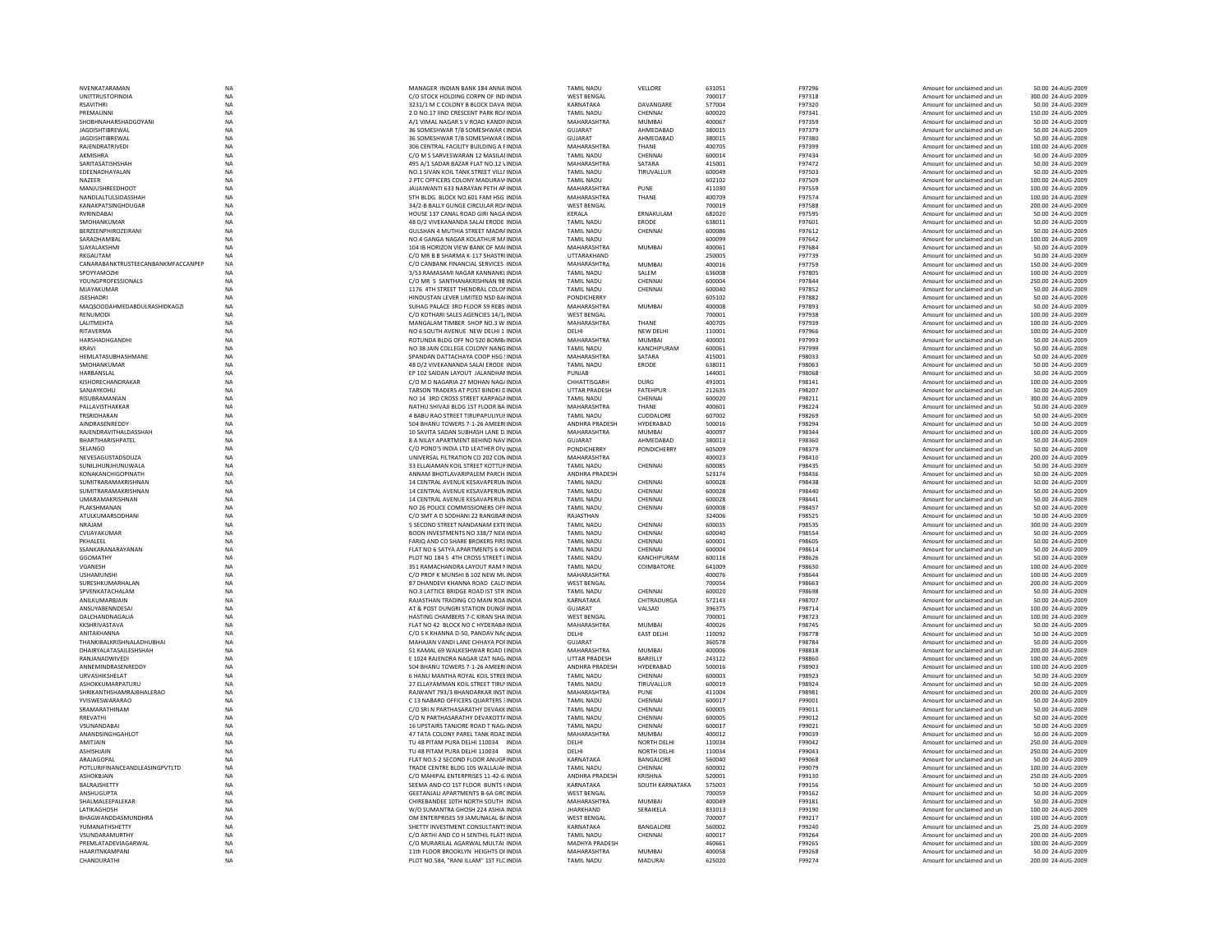| NVENKATARAMAM                      | NA          | MANAGER INDIAN BANK 184 ANNA INDIA          | <b>TAMIL NADU</b>    | VELLORE            | 631051 | F97296 | Amount for unclaimed and un | 50.00 24-AUG-2009  |
|------------------------------------|-------------|---------------------------------------------|----------------------|--------------------|--------|--------|-----------------------------|--------------------|
| UNITTRUSTOFINDIA                   | NA          | C/O STOCK HOLDING CORPN OF IND INDIA        | <b>WEST BENGAL</b>   |                    | 700017 | F97318 | Amount for unclaimed and un | 300.00 24-AUG-2009 |
|                                    |             |                                             |                      | DAVANGARE          |        |        |                             |                    |
| <b>RSAVITHRI</b>                   | <b>NA</b>   | 3231/1 M C COLONY B BLOCK DAVA INDIA        | KARNATAKA            |                    | 577004 | F97320 | Amount for unclaimed and un | 50.00 24-AUG-2009  |
| PREMAUNNI                          | <b>NA</b>   | 2 D NO.17 JIND CRESCENT PARK ROAINDIA       | <b>TAMIL NADU</b>    | CHENNAL            | 600020 | F97341 | Amount for unclaimed and un | 150.00 24-AUG-2009 |
| SHOBHNAHARSHADGOYANI               | NA          | A/1 VIMAL NAGAR S V ROAD KANDINNDIA         | MAHARASHTRA          | <b>MUMBAI</b>      | 400067 | F97359 | Amount for unclaimed and un | 50.00 24-AUG-2009  |
| <b>JAGDISHTIBREWAI</b>             | NA          | 36 SOMESHWAR T/B SOMESHWAR (INDIA           | <b>GUJARAT</b>       | AHMEDABAD          | 380015 | F97379 | Amount for unclaimed and un | 50.00 24-AUG-2009  |
| <b>JAGDISHTIBREWAL</b>             | <b>NA</b>   | 36 SOMESHWAR T/B SOMESHWAR (INDIA           | <b>GUJARAT</b>       | AHMEDABAD          | 380015 | F97380 | Amount for unclaimed and un | 50.00 24-AUG-2009  |
| RAJENDRATRIVEDI                    | <b>NA</b>   | 306 CENTRAL FACILITY BUILDING A FINDIA      | MAHARASHTRA          | THANE              | 400705 | F97399 | Amount for unclaimed and un | 100.00 24-AUG-2009 |
|                                    |             |                                             |                      |                    |        |        |                             |                    |
| AKMISHRA                           | <b>NA</b>   | C/O M S SARVESWARAN 12 MASILAHNDIA          | <b>TAMIL NADU</b>    | CHENNAL            | 600014 | F97434 | Amount for unclaimed and un | 50.00 24-AUG-2009  |
| SARITASATISHSHAH                   | NA          | 495 A/1 SADAR BAZAR FLAT NO.12 \ INDIA      | <b>MAHARASHTRA</b>   | SATARA             | 415001 | F97472 | Amount for unclaimed and un | 50.00 24-AUG-2009  |
| EDEENADHAYALAN                     | <b>NA</b>   | NO.1 SIVAN KOIL TANK STREET VILLI' INDIA    | <b>TAMIL NADU</b>    | TIRUVALLUR         | 600049 | F97503 | Amount for unclaimed and un | 50.00 24-AUG-2009  |
| NAZEER                             | <b>NA</b>   | 2 PTC OFFICERS COLONY MADURAVI INDIA        | <b>TAMIL NADU</b>    |                    | 602102 | F97509 | Amount for unclaimed and un | 100.00 24-AUG-2009 |
| MANILISHREEDHOOT                   | <b>NA</b>   | <b>JAIJAIWANTI 633 NARAYAN PETH APINDIA</b> | MAHARASHTRA          | PUNE               | 411030 | F97559 | Amount for unclaimed and un | 100.00 24-AUG-2009 |
|                                    |             |                                             |                      |                    |        |        |                             |                    |
| NANDLALTULSIDASSHAH                | <b>NA</b>   | 5TH BLDG, BLOCK NO.601 FAM HSG INDIA        | MAHARASHTRA          | THANE              | 400709 | F97574 | Amount for unclaimed and un | 100.00 24-AUG-2009 |
| KANAKPATSINGHDUGAR                 | <b>NA</b>   | 34/2-B BALLY GUNGE CIRCULAR RO/ INDIA       | <b>WEST BENGAL</b>   |                    | 700019 | F97588 | Amount for unclaimed and un | 200.00 24-AUG-2009 |
| RVRINDABA                          | <b>NA</b>   | HOUSE 137 CANAL ROAD GIRI NAGA INDIA        | KERALA               | ERNAKULAM          | 682020 | F97595 | Amount for unclaimed and un | 50.00 24-AUG-2009  |
| SMOHANKUMAR                        | <b>NA</b>   | 48 D/2 VIVEKANANDA SALAI ERODE INDIA        | <b>TAMIL NADU</b>    | ERODE              | 638011 | F97601 | Amount for unclaimed and un | 50.00 24-AUG-2009  |
|                                    |             |                                             |                      |                    |        |        |                             |                    |
| <b>RERZEENPHIROZEIRANI</b>         | <b>NA</b>   | GUI SHAN 4 MUTHIA STREET MADRAINDIA         | <b>TAMIL NADU</b>    | CHENNAI            | 600086 | F97612 | Amount for unclaimed and un | 50.00 24-AUG-2009  |
| SARADHAMBAI                        | NA          | NO.4 GANGA NAGAR KOLATHUR MAINDIA           | <b>TAMIL NADU</b>    |                    | 600099 | F97642 | Amount for unclaimed and un | 100.00 24-AUG-2009 |
| SJAYALAKSHM                        | <b>NA</b>   | 104 IB HORIZON VIEW BANK OF MAIINDIA        | <b>MAHARASHTRA</b>   | <b>MUMBAI</b>      | 400061 | F97684 | Amount for unclaimed and un | 50.00 24-AUG-2009  |
| RKGAUTAM                           | NA          | C/O MR B B SHARMA K-117 SHASTRI INDIA       | UTTARAKHAND          |                    | 250005 | F97739 | Amount for unclaimed and un | 50.00 24-AUG-2009  |
| CANARABANKTRUSTEECANBANKMEACCANPEP | <b>NA</b>   | C/O CANRANK FINANCIAL SERVICES INDIA        | MAHARASHTRA          | MUMBAL             | 400016 | F97759 | Amount for unclaimed and un | 150.00 24-AUG-2009 |
|                                    |             |                                             |                      |                    |        |        |                             |                    |
| SPOYYAMOZHI                        | <b>NA</b>   | 3/53 RAMASAMI NAGAR KANNANKLINDIA           | <b>TAMIL NADU</b>    | SAIFM              | 800958 | F97805 | Amount for unclaimed and un | 100.00 24-AUG-2009 |
| YOUNGPROFESSIONALS                 | $_{\sf NA}$ | C/O MR S SANTHANAKRISHNAN 98 INDIA          | <b>TAMIL NADU</b>    | CHENNAL            | 600004 | F97844 | Amount for unclaimed and un | 250.00 24-AUG-2009 |
| MJAYAKUMAR                         | NA          | 1176 4TH STREET THENDRAL COLOMINDIA         | <b>TAMIL NADU</b>    | CHENNAI            | 600040 | F97852 | Amount for unclaimed and un | 50.00 24-AUG-2009  |
| <b>JSESHADRI</b>                   | <b>NA</b>   | HINDUSTAN LEVER LIMITED NSD BAHNDIA         | <b>PONDICHERRY</b>   |                    | 605102 | F97882 | Amount for unclaimed and un | 50.00 24-AUG-2009  |
|                                    |             |                                             | MAHARASHTRA          |                    | 400008 | F97893 |                             | 50.00 24-AUG-2009  |
| MAQSOODAHMEDABDULRASHIDKAGZI       | <b>NA</b>   | SUHAG PALACE 3RD FLOOR 59 REBS INDIA        |                      | <b>MUMBAI</b>      |        |        | Amount for unclaimed and un |                    |
| RENUMOD                            | NA          | C/O KOTHARI SALES AGENCIES 14/1/ INDIA      | <b>WEST BENGAL</b>   |                    | 700001 | F97938 | Amount for unclaimed and un | 100.00 24-AUG-2009 |
| LALITMEHTA                         | NA          | MANGALAM TIMBER SHOP NO.3 W INDIA           | MAHARASHTRA          | THANE              | 400705 | F97939 | Amount for unclaimed and un | 100.00 24-AUG-2009 |
| RITAVERMA                          | NA          | NO 6 SOUTH AVENUE NEW DELHI 1 INDIA         | DELHI                | NEW DELHI          | 110001 | F97966 | Amount for unclaimed and un | 100.00 24-AUG-2009 |
| HARSHADHGANDHI                     | <b>NA</b>   | ROTUNDA BLDG OFF NO 520 BOMB/ INDIA         | MAHARASHTRA          | <b>MUMBAI</b>      | 400001 | F97993 | Amount for unclaimed and un | 50.00 24-AUG-2009  |
|                                    |             |                                             |                      |                    |        |        |                             |                    |
| KRAVI                              | <b>NA</b>   | NO 38 JAIN COLLEGE COLONY NANG INDIA        | <b>TAMIL NADU</b>    | KANCHIPURAM        | 600061 | F97999 | Amount for unclaimed and un | 50.00 24-AUG-2009  |
| HEMLATASUBHASHMANE                 | <b>NA</b>   | SPANDAN DATTACHAYA COOP HSG ! INDIA         | MAHARASHTRA          | SATARA             | 415001 | F98033 | Amount for unclaimed and un | 50.00 24-AUG-2009  |
| SMOHANKUMAR                        | NA          | 48 D/2 VIVEKANANDA SALAI ERODE INDIA        | <b>TAMIL NADU</b>    | ERODE              | 638011 | F98063 | Amount for unclaimed and un | 50.00 24-AUG-2009  |
|                                    |             | EP 102 SAIDAN LAYOUT JALANDHAF INDIA        |                      |                    | 144001 |        |                             | 50.00 24-AUG-2009  |
| HARBANSLAL                         | <b>NA</b>   |                                             | PUNJAB               |                    |        | F98068 | Amount for unclaimed and un |                    |
| KISHORECHANDRAKAR                  | <b>NA</b>   | C/O M D NAGARIA 27 MOHAN NAG/ INDIA         | CHHATTISGARH         | <b>DURG</b>        | 491001 | F98141 | Amount for unclaimed and un | 100.00 24-AUG-2009 |
| SANJAYKOHLI                        | NA          | TARSON TRADERS AT POST BINDKLD INDIA        | <b>UTTAR PRADESH</b> | <b>FATEHPUR</b>    | 212635 | F98207 | Amount for unclaimed and un | 50.00 24-AUG-2009  |
| RISUBRAMANIAN                      | NA          | NO 14 3RD CROSS STREET KARPAGA INDIA        | <b>TAMIL NADU</b>    | CHENNAI            | 600020 | F98211 | Amount for unclaimed and un | 300.00 24-AUG-2009 |
| PALLAVISTHAKKAP                    | NA          | NATHU SHIVAJI BLDG 1ST FLOOR BA INDIA       | <b>MAHARASHTRA</b>   | THANE              | 400601 | F98224 |                             | 50.00 24-AUG-2009  |
|                                    |             |                                             |                      |                    |        |        | Amount for unclaimed and un |                    |
| TRSRIDHARAN                        | <b>NA</b>   | 4 BABU RAO STREET TIRUPAPULIYUF INDIA       | <b>TAMIL NADU</b>    | CUDDALORE          | 607002 | F98269 | Amount for unclaimed and un | 50.00 24-AUG-2009  |
| AINDRASENREDDY                     | <b>NA</b>   | 504 BHANLI TOWERS 7-1-26 AMEERUNDIA         | ANDHRA PRADESH       | HYDERABAD          | 500016 | F98294 | Amount for unclaimed and un | 50.00 24-AUG-2009  |
| RAJENDRAVITHALDASSHAH              | NA          | 10 SAVITA SADAN SUBHASH LANE DJINDIA        | MAHARASHTRA          | <b>MUMBAI</b>      | 400097 | F98344 | Amount for unclaimed and un | 100.00 24-AUG-2009 |
| BHARTIHARISHPATEL                  | NA          | 8 A NILAY APARTMENT BEHIND NAV INDIA        | GUJARAT              | AHMEDABAD          | 380013 | F98360 | Amount for unclaimed and un | 50.00 24-AUG-2009  |
| SELANGO                            | <b>NA</b>   | C/O POND'S INDIA LTD LEATHER DIV INDIA      | <b>PONDICHERRY</b>   | <b>PONDICHERRY</b> | 605009 | F98379 |                             | 50.00 24-AUG-2009  |
|                                    |             |                                             |                      |                    |        |        | Amount for unclaimed and un |                    |
| NEVESAGUSTADSOUZA                  | <b>NA</b>   | UNIVERSAL FILTRATION CO 202 CON INDIA       | MAHARASHTRA          |                    | 400023 | F98410 | Amount for unclaimed and un | 200.00 24-AUG-2009 |
| SUNILIHUNIHUNUWALA                 | <b>NA</b>   | 33 FU AIAMAN KOIL STREET KOTTURINDIA        | <b>TAMIL NADU</b>    | CHENNAL            | 600085 | F98435 | Amount for unclaimed and un | 50.00 24-AUG-2009  |
| KONAKANCHIGOPINATH                 | NA          | ANNAM BHOTLAVARIPALEM PARCH INDIA           | ANDHRA PRADESH       |                    | 523174 | F98436 | Amount for unclaimed and un | 50.00 24-AUG-2009  |
|                                    |             |                                             |                      |                    |        |        |                             |                    |
| SUMITRARAMAKRISHNAN                | <b>NA</b>   | 14 CENTRAL AVENUE KESAVAPERUN INDIA         | <b>TAMIL NADU</b>    | CHENNAI            | 600028 | F98438 | Amount for unclaimed and un | 50.00 24-AUG-2009  |
| SUMITRARAMAKRISHNAN                | NA          | 14 CENTRAL AVENUE KESAVAPERUN INDIA         | <b>TAMIL NADU</b>    | CHENNA             | 600028 | F98440 | Amount for unclaimed and un | 50.00 24-AUG-2009  |
| UMARAMAKRISHNAN                    | <b>NA</b>   | 14 CENTRAL AVENUE KESAVAPERUN INDIA         | <b>TAMIL NADU</b>    | CHENNAL            | 600028 | F98441 | Amount for unclaimed and un | 50.00 24-AUG-2009  |
| PLAKSHMANAN                        | <b>NA</b>   | NO 26 POLICE COMMISSIONERS OFF INDIA        | <b>TAMIL NADU</b>    | CHENNAI            | 600008 | F98457 | Amount for unclaimed and un | 50.00 24-AUG-2009  |
|                                    |             |                                             |                      |                    |        |        |                             |                    |
| ATULKUMARSODHANI                   | NA          | C/O SMT A D SODHANI 22 RANGBAR INDIA        | RAJASTHAN            |                    | 324006 | F98525 | Amount for unclaimed and un | 50.00 24-AUG-2009  |
| NRAJAM                             | <b>NA</b>   | 5 SECOND STREET NANDANAM EXTEINDIA          | <b>TAMIL NADU</b>    | CHENNAL            | 600035 | F98535 | Amount for unclaimed and un | 300.00 24-AUG-2009 |
| CVIJAYAKUMAF                       | NA          | BOON INVESTMENTS NO 338/7 NEW INDIA         | <b>TAMIL NADU</b>    | CHENNAI            | 600040 | F98554 | Amount for unclaimed and un | 50.00 24-AUG-2009  |
| PKHAI FFI                          | <b>NA</b>   | FARIO AND CO SHARE BROKERS FIRSINDIA        | <b>TAMIL NADU</b>    | CHENNAL            | 600001 | F98605 | Amount for unclaimed and un | 50.00 24-AUG-2009  |
| SSANKARANARAYANAN                  | <b>NA</b>   | FLAT NO 6 SATYA APARTMENTS 6 K/ INDIA       | <b>TAMIL NADU</b>    | CHENNAI            | 600004 | F98614 | Amount for unclaimed and un | 50.00 24-AUG-2009  |
|                                    |             |                                             |                      |                    |        |        |                             |                    |
| <b>GGOMATHY</b>                    | <b>NA</b>   | PLOT NO 184 5 4TH CROSS STREET LINDIA       | <b>TAMIL NADU</b>    | KANCHIPURAM        | 600116 | F98626 | Amount for unclaimed and un | 50.00 24-AUG-2009  |
|                                    |             |                                             | <b>TAMIL NADU</b>    |                    |        | F98630 | Amount for unclaimed and un | 100.00 24-AUG-2009 |
| VGANESH                            | NA          | 351 RAMACHANDRA LAYOUT RAM NINDIA           |                      | COIMBATORE         | 641009 |        |                             |                    |
| <b>USHAMUNSHI</b>                  | <b>NA</b>   | C/O PROF K MUNSHI B 102 NEW ML INDIA        | <b>MAHARASHTRA</b>   |                    | 400076 | F98644 | Amount for unclaimed and un | 100.00 24-AUG-2009 |
|                                    |             |                                             |                      |                    |        |        |                             |                    |
| SURESHKUMARHALAN                   | <b>NA</b>   | 87 DHANDEVI KHANNA ROAD CALCUNDIA           | <b>WEST BENGAL</b>   |                    | 700054 | F98663 | Amount for unclaimed and un | 200.00 24-AUG-2009 |
| SPVENKATACHALAM                    | <b>NA</b>   | NO.3 LATTICE BRIDGE ROAD IST STR INDIA      | <b>TAMIL NADU</b>    | CHENNAL            | 600020 | F98698 | Amount for unclaimed and un | 50.00 24-AUG-2009  |
| ANILKUMARBJAIN                     | <b>NA</b>   | RAJASTHAN TRADING CO MAIN ROA INDIA         | KARNATAKA            | CHITRADURGA        | 572143 | F98707 | Amount for unclaimed and un | 50.00 24-AUG-2009  |
| ANSUYABENNDESAI                    | NA          | AT & POST DUNGRI STATION DUNGFINDIA         | GUJARAT              | VALSAD             | 396375 | F98714 | Amount for unclaimed and un | 100.00 24-AUG-2009 |
|                                    |             |                                             |                      |                    |        |        |                             |                    |
| DALCHANDNAGALIA                    | <b>NA</b>   | HASTING CHAMBERS 7-C KIRAN SHA INDIA        | <b>WEST BENGAL</b>   |                    | 700001 | F98723 | Amount for unclaimed and un | 100.00 24-AUG-2009 |
| KKSHRIVASTAVA                      | <b>NA</b>   | FLAT NO 42 BLOCK NO C HYDERABA INDIA        | MAHARASHTRA          | <b>MUMBAI</b>      | 400026 | F98745 | Amount for unclaimed and un | 50.00 24-AUG-2009  |
| ANITAKHANNA                        | NA          | C/O S K KHANNA D-50, PANDAV NACINDIA        | DELHI                | <b>EAST DELHI</b>  | 110092 | F98778 | Amount for unclaimed and un | 50.00 24-AUG-2009  |
| THANKIBALKRISHNALADHUBHAI          | NA          | MAHAJAN VANDI LANE CHHAYA POFINDIA          | <b>GUJARAT</b>       |                    | 360578 | F98784 | Amount for unclaimed and un | 50.00 24-AUG-2009  |
| DHAIRYALATASAILESHSHAH             | <b>NA</b>   | 51 KAMAL 69 WALKESHWAR ROAD I INDIA         | MAHARASHTRA          | <b>MUMBAI</b>      | 400006 | F98818 | Amount for unclaimed and un | 200.00 24-AUG-2009 |
|                                    |             |                                             |                      |                    |        |        |                             |                    |
| RANJANADWIVEDI                     | <b>NA</b>   | E 1024 RAJENDRA NAGAR IZAT NAG/INDIA        | <b>UTTAR PRADESH</b> | BAREILLY           | 243122 | F98860 | Amount for unclaimed and un | 100.00 24-AUG-2009 |
| ANNEMINDRASENREDDY                 | $_{\sf NA}$ | 504 BHANU TOWERS 7-1-26 AMEERI INDIA        | ANDHRA PRADESH       | HYDERABAD          | 500016 | F98903 | Amount for unclaimed and un | 100.00 24-AUG-2009 |
| URVASHIKSHELAT                     | NA          | 6 HANU MANTHA ROYAL KOIL STREE INDIA        | <b>TAMIL NADU</b>    | CHENNAI            | 600003 | F98923 | Amount for unclaimed and un | 50.00 24-AUG-2009  |
|                                    |             |                                             |                      |                    | 600019 | F98924 |                             | 50.00 24-AUG-2009  |
| ASHOKKUMARPATURL                   | NA          | 27 ELLAYAMMAN KOIL STREET TIRU'INDIA        | <b>TAMIL NADU</b>    | TIRUVALLUR         |        |        | Amount for unclaimed and un |                    |
| SHRIKANTHSHAMRAJBHALERAO           | <b>NA</b>   | RAJWANT 793/3 BHANDARKAR INST INDIA         | MAHARASHTRA          | PUNE               | 411004 | F98981 | Amount for unclaimed and un | 200.00 24-AUG-2009 |
| YVISWESWARARAO                     | <b>NA</b>   | C 13 NABARD OFFICERS OUARTERS : INDIA       | <b>TAMIL NADLI</b>   | CHENNAL            | 600017 | F99001 | Amount for unclaimed and un | 50.00 24-AUG-2009  |
| SRAMARATHINAM                      | NA          | C/O SRI N PARTHASARATHY DEVAKK INDIA        | <b>TAMIL NADU</b>    | CHENNAL            | 600005 | F99011 | Amount for unclaimed and un | 50.00 24-AUG-2009  |
| RREVATHI                           | NA          | C/O N PARTHASARATHY DEVAKOTT/ INDIA         | <b>TAMIL NADU</b>    | CHENNAI            | 600005 | F99012 | Amount for unclaimed and un | 50.00 24-AUG-2009  |
| VSUNANDABA                         | <b>NA</b>   | 16 UPSTAIRS TANJORE ROAD T NAG/INDIA        | <b>TAMIL NADU</b>    | CHENNAL            | 600017 | F99021 | Amount for unclaimed and un | 50.00 24-AUG-2009  |
|                                    |             |                                             |                      |                    |        |        |                             |                    |
| ANANDSINGHGAHLOT                   | <b>NA</b>   | 47 TATA COLONY PAREL TANK ROAD INDIA        | MAHARASHTRA          | <b>MUMBAI</b>      | 400012 | F99039 | Amount for unclaimed and un | 50.00 24-AUG-2009  |
| AMITIAIN                           | <b>NA</b>   | TU 48 PITAM PURA DELHI 110034 INDIA         | <b>DELHI</b>         | NORTH DELHI        | 110034 | F99042 | Amount for unclaimed and un | 250.00 24-AUG-2009 |
| <b>ASHISHJAIN</b>                  | NA          | TU 48 PITAM PURA DELHI 110034 INDIA         | DELHI                | <b>NORTH DELHI</b> | 110034 | F99043 | Amount for unclaimed and un | 250.00 24-AUG-2009 |
| ARAJAGOPA                          | <b>NA</b>   | FLAT NO.S-2 SECOND FLOOR ANUGRINDIA         | KARNATAKA            | BANGALORE          | 560040 | F99068 | Amount for unclaimed and un | 50.00 24-AUG-2009  |
|                                    |             |                                             |                      |                    |        |        |                             |                    |
| POTLURIFINANCEANDLEASINGPVTLTD     | <b>NA</b>   | TRADE CENTRE BLDG 105 WALLAJAI INDIA        | <b>TAMIL NADU</b>    | CHENNAI            | 600002 | F99079 | Amount for unclaimed and un | 100.00 24-AUG-2009 |
| ASHOKRIAIN                         | <b>NA</b>   | C/O MAHIPAL ENTERPRISES 11-42-6 INDIA       | ANDHRA PRADESH       | KRISHNA            | 520001 | F99130 | Amount for unclaimed and un | 250.00 24-AUG-2009 |
| BALRAJSHETTY                       | <b>NA</b>   | SEEMA AND CO 1ST FLOOR BUNTS HNDIA          | KARNATAKA            | SOUTH KARNATAKA    | 575003 | F99156 | Amount for unclaimed and un | 50.00 24-AUG-2009  |
| <b>ANSHUGUPTA</b>                  | NA          | GEETANJALI APARTMENTS B-6A GRC INDIA        | <b>WEST BENGAL</b>   |                    | 700059 | F99162 | Amount for unclaimed and un | 50.00 24-AUG-2009  |
|                                    |             |                                             |                      |                    |        |        |                             |                    |
| SHALMALEEPALEKAR                   | NA          | CHIREBANDEE 10TH NORTH SOUTH INDIA          | MAHARASHTRA          | MUMBAI             | 400049 | F99181 | Amount for unclaimed and un | 50.00 24-AUG-2009  |
| LATIKAGHOSH                        | <b>NA</b>   | W/O SUMANTRA GHOSH 224 ASHIA INDIA          | <b>JHARKHAND</b>     | SERAIKELA          | 831013 | F99190 | Amount for unclaimed and un | 100.00 24-AUG-2009 |
| BHAGWANDDASMUNDHRA                 | <b>NA</b>   | OM ENTERPRISES 59 JAMUNALAL BAINDIA         | <b>WEST BENGAL</b>   |                    | 700007 | F99217 | Amount for unclaimed and un | 100.00 24-AUG-2009 |
| YUMANATHSHETTY                     | <b>NA</b>   | SHETTY INVESTMENT CONSULTANTS INDIA         | KARNATAKA            | BANGALORE          | 560002 | F99240 | Amount for unclaimed and un | 25.00 24-AUG-2009  |
|                                    |             |                                             |                      |                    |        |        |                             |                    |
| VSUNDARAMURTHY                     | <b>NA</b>   | C/O ARTHI AND CO H SENTHIL FLATS INDIA      | <b>TAMIL NADU</b>    | CHENNAI            | 600017 | F99264 | Amount for unclaimed and un | 200.00 24-AUG-2009 |
| PREMLATADEVIAGARWAL                | NA          | C/O MURARILAL AGARWAL MULTAI INDIA          | MADHYA PRADESH       |                    | 460661 | F99265 | Amount for unclaimed and un | 100.00 24-AUG-2009 |
| HAARITNKAMPANI                     | <b>NA</b>   | 11th FLOOR BROOKLYN HEIGHTS OFINDIA         | MAHARASHTRA          | MUMRAI             | 400058 | F99268 | Amount for unclaimed and un | 50.00 24-AUG-2009  |
| CHANDURATHI                        | <b>NA</b>   | PLOT NO.584, "RANI ILLAM" 1ST FLC INDIA     | <b>TAMIL NADU</b>    | MADURAL            | 625020 | F99274 | Amount for unclaimed and un | 200.00 24-AUG-2009 |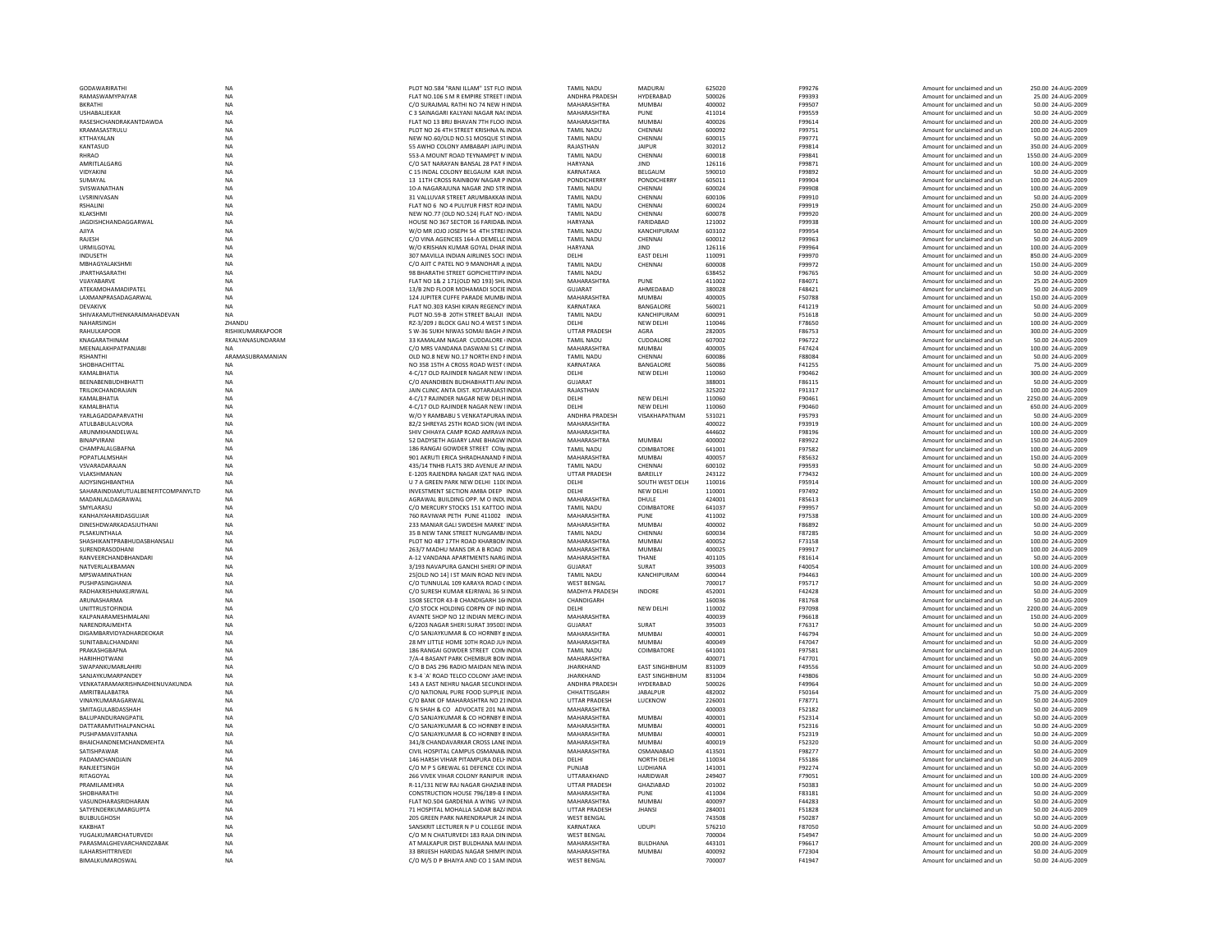| <b>GODAWARIRATHI</b>               | <b>NA</b>        | PLOT NO.584 "RANI ILLAM" 1ST FLO INDIA  | <b>TAMIL NADU</b>          | <b>MADURAI</b>        | 625020 | F99276        | Amount for unclaimed and un | 250.00 24-AUG-2009  |
|------------------------------------|------------------|-----------------------------------------|----------------------------|-----------------------|--------|---------------|-----------------------------|---------------------|
| RAMASWAMYPAIYAR                    | NA               | FLAT NO.106 S M R EMPIRE STREET IINDIA  | ANDHRA PRADESH             | HYDERABAD             | 500026 | F99393        | Amount for unclaimed and un | 25.00 24-AUG-2009   |
| <b>BKRATHI</b>                     | NA               | C/O SURAJMAL RATHI NO 74 NEW HINDIA     | MAHARASHTRA                | <b>MUMBAI</b>         | 400002 | F99507        | Amount for unclaimed and un | 50.00 24-AUG-2009   |
| USHABALJEKAR                       | NA               | C 3 SAINAGARI KALYANI NAGAR NACINDIA    | MAHARASHTRA                | PUNE                  | 411014 | F99559        | Amount for unclaimed and ur | 50.00 24-AUG-2009   |
| RASESHCHANDRAKANTDAWDA             | <b>NA</b>        | FLAT NO 13 BRIJ BHAVAN 7TH FLOO INDIA   | MAHARASHTRA                | <b>MUMBAI</b>         | 400026 | F99614        | Amount for unclaimed and un | 200.00 24-AUG-2009  |
| KRAMASASTRULU                      | <b>NA</b>        | PLOT NO 26 4TH STREET KRISHNA N INDIA   | <b>TAMIL NADU</b>          | CHENNAI               | 600092 | F99751        | Amount for unclaimed and un | 100.00 24-AUG-2009  |
| <b>KTTHAYALAN</b>                  | NA               | NEW NO.60/OLD NO.51 MOSQUE STINDIA      | <b>TAMIL NADU</b>          | CHENNAL               | 600015 | F99771        | Amount for unclaimed and un | 50.00 24-AUG-2009   |
| KANTASUD                           | NA               | 55 AWHO COLONY AMBABAPI JAIPU INDIA     | RAJASTHAN                  | <b>JAIPUR</b>         | 302012 | F99814        | Amount for unclaimed and un | 350.00 24-AUG-2009  |
| <b>RHRAO</b>                       | NA               | 553-A MOUNT ROAD TEYNAMPET MINDIA       | <b>TAMIL NADU</b>          | CHENNAI               | 600018 | F99841        | Amount for unclaimed and un | 1550.00 24-AUG-2009 |
| AMRITLALGARG                       | <b>NA</b>        | C/O SAT NARAYAN BANSAL 28 PAT FINDIA    | HARYANA                    | <b>JIND</b>           | 126116 | F99871        | Amount for unclaimed and un | 100.00 24-AUG-2009  |
| VIDYAKINI                          | <b>NA</b>        | C 15 INDAI COLONY BELGAUM KAR INDIA     | KARNATAKA                  | <b>BELGAUM</b>        | 590010 | F99892        | Amount for unclaimed and un | 50.00 24-AUG-2009   |
| SUMAYAL                            | NA               | 13 11TH CROSS RAINBOW NAGAR P INDIA     | <b>PONDICHERRY</b>         | PONDICHERRY           | 605011 | F99904        | Amount for unclaimed and un | 100.00 24-AUG-2009  |
| SVISWANATHAN                       | NA               | 10-A NAGARAJUNA NAGAR 2ND STR INDIA     | <b>TAMIL NADU</b>          | CHENNAI               | 600024 | F99908        | Amount for unclaimed and un | 100.00 24-AUG-2009  |
| LVSRINIVASAN                       | NA               | 31 VALLUVAR STREET ARUMBAKKAN INDIA     | <b>TAMIL NADU</b>          | CHENNAI               | 600106 | F99910        | Amount for unclaimed and un | 50.00 24-AUG-2009   |
| <b>RSHALINI</b>                    | <b>NA</b>        | FLAT NO 6 NO 4 PULIYUR FIRST ROAINDIA   | <b>TAMIL NADU</b>          | CHENNAI               | 600024 | F99919        | Amount for unclaimed and un | 250.00 24-AUG-2009  |
| <b>KI AKSHMI</b>                   | <b>NA</b>        | NEW NO.77 (OLD NO.524) FLAT NO. INDIA   | <b>TAMIL NADU</b>          | CHENNAL               | 600078 | F99920        | Amount for unclaimed and un | 200.00 24-AUG-2009  |
| JAGDISHCHANDAGGARWAL               | NA               | HOUSE NO 367 SECTOR 16 FARIDAB INDIA    | HARYANA                    | FARIDABAD             | 121002 | F99938        | Amount for unclaimed and un | 100.00 24-AUG-2009  |
| AJIYA                              | NA               | W/O MR JOJO JOSEPH 54 4TH STREI INDIA   | <b>TAMIL NADU</b>          | KANCHIPURAM           | 603102 | F99954        | Amount for unclaimed and un | 50.00 24-AUG-2009   |
| RAJESH                             | NA               | C/O VINA AGENCIES 164-A DEMELLC INDIA   | <b>TAMIL NADU</b>          | CHENNAI               | 600012 | F99963        | Amount for unclaimed and un | 50.00 24-AUG-2009   |
| <b>URMILGOYAL</b>                  | <b>NA</b>        | W/O KRISHAN KUMAR GOYAL DHAR INDIA      | HARYANA                    | <b>IIND</b>           | 126116 | F99964        | Amount for unclaimed and un | 100.00 24-AUG-2009  |
| <b>INDUSETH</b>                    | <b>NA</b>        | 307 MAVILLA INDIAN AIRLINES SOCI INDIA  | DELHI                      | <b>EAST DELHI</b>     | 110091 | F99970        | Amount for unclaimed and un | 850.00 24-AUG-2009  |
| MBHAGYALAKSHM                      | NA               | C/O AJIT C PATEL NO 9 MANOHAR A INDIA   | TAMIL NADU                 | CHENNAI               | 600008 | F99972        | Amount for unclaimed and un | 150.00 24-AUG-2009  |
| <b>JPARTHASARATHI</b>              | NA               | 98 BHARATHI STREET GOPICHETTIPA INDIA   | <b>TAMIL NADU</b>          |                       | 638452 | F96765        | Amount for unclaimed and un | 50.00 24-AUG-2009   |
| VIJAYABARVE                        | NA               | FLAT NO 1& 2 171(OLD NO 193) SHL INDIA  | MAHARASHTRA                | PUNE                  | 411002 | F84071        | Amount for unclaimed and un | 25.00.24-AUG-2009   |
| <b>ATFKAMOHAMADIPATFI</b>          | <b>NA</b>        | 13/B 2ND FLOOR MOHAMADI SOCIE INDIA     | GUIARAT                    | AHMEDABAD             | 380028 | F48421        | Amount for unclaimed and un | 50.00 24-AUG-2009   |
| LAXMANPRASADAGARWAL                | <b>NA</b>        | 124 JUPITER CUFFE PARADE MUMB/ INDIA    | MAHARASHTRA                | MUMBAL                | 400005 | F50788        | Amount for unclaimed and un | 150.00 24-AUG-2009  |
| <b>DEVAKIVK</b>                    | <b>NA</b>        | FLAT NO.303 KASHI KIRAN REGENCY INDIA   | KARNATAKA                  | BANGALORE             | 560021 | F41219        | Amount for unclaimed and un | 50.00 24-AUG-2009   |
| SHIVAKAMUTHENKARAIMAHADEVAN        | <b>NA</b>        | PLOT NO.59-B 20TH STREET BALAJI INDIA   | TAMIL NADU                 | KANCHIPURAM           | 600091 | F51618        | Amount for unclaimed and un | 50.00 24-AUG-2009   |
| NAHARSINGH                         | ZHANDU           | RZ-3/209 J BLOCK GALI NO.4 WEST SINDIA  | DELHI                      | NEW DELHI             | 110046 | F78650        | Amount for unclaimed and un | 100.00 24-AUG-2009  |
| RAHULKAPOOR                        | RISHIKUMARKAPOOR | S W-36 SUKH NIWAS SOMAI BAGH A INDIA    | <b>UTTAR PRADESH</b>       | AGRA                  | 282005 | F86753        | Amount for unclaimed and un | 300.00 24-AUG-2009  |
| KNAGARATHINAM                      | RKALYANASUNDARAM | 33 KAMALAM NAGAR CUDDALORE INDIA        | <b>TAMIL NADU</b>          | CUDDALORE             | 607002 | F96722        | Amount for unclaimed and un | 50.00 24-AUG-2009   |
| MEENALAKHPATPANJABI                | <b>NA</b>        | C/O MRS VANDANA DASWANI 51 CAINDIA      | MAHARASHTRA                | <b>MUMBAI</b>         | 400005 | F47424        | Amount for unclaimed and un | 100.00 24-AUG-2009  |
| RSHANTHI                           | ARAMASUBRAMANIAN | OLD NO.8 NEW NO.17 NORTH END FINDIA     | <b>TAMIL NADU</b>          | CHENNAI               | 600086 | F88084        | Amount for unclaimed and un | 50.00 24-AUG-2009   |
| SHOBHACHITTAL                      | <b>NA</b>        | NO 358 15TH A CROSS ROAD WEST (INDIA    | KARNATAKA                  | BANGALORE             | 560086 | F41255        | Amount for unclaimed and un | 75.00 24-AUG-2009   |
| KAMALBHATIA                        | NA               | 4-C/17 OLD RAJINDER NAGAR NEW HNDIA     | DELHI                      | NEW DELHI             | 110060 | F90462        | Amount for unclaimed and un | 300.00 24-AUG-2009  |
| BEENABENBUDHBHATTI                 | NA               | C/O ANANDIBEN BUDHABHATTI AN/ INDIA     | <b>GUJARAT</b>             |                       | 388001 | F86115        | Amount for unclaimed and un | 50.00 24-AUG-2009   |
| TRILOKCHANDRAJAIN                  | NA               | JAIN CLINIC ANTA DIST. KOTARAJASTINDIA  | RAJASTHAN                  |                       | 325202 | F91317        | Amount for unclaimed and un | 100.00 24-AUG-2009  |
| KAMALBHATIA                        | <b>NA</b>        | 4-C/17 RAJINDER NAGAR NEW DELHINDIA     | DELHI                      | NEW DELHI             | 110060 | F90461        | Amount for unclaimed and un | 2250.00 24-AUG-2009 |
| KAMALBHATIA                        | <b>NA</b>        | 4-C/17 OLD RAJINDER NAGAR NEW IINDIA    | DELHI                      | <b>NEW DELHI</b>      | 110060 | F90460        | Amount for unclaimed and un | 650.00 24-AUG-2009  |
| YARLAGADDAPARVATHI                 |                  | W/O Y RAMBABU S VENKATAPURAN INDIA      | ANDHRA PRADESH             | VISAKHAPATNAM         | 531021 | F95793        | Amount for unclaimed and un | 50.00 24-AUG-2009   |
|                                    | NA               |                                         |                            |                       |        |               |                             |                     |
| ATULBABULALVORA                    | NA               | 82/2 SHREYAS 25TH ROAD SION (WEINDIA    | MAHARASHTRA<br>MAHARASHTRA |                       | 400022 | F93919        | Amount for unclaimed and un | 100.00 24-AUG-2009  |
| ARUNMKHANDELWAL                    | NA               | SHIV CHHAYA CAMP ROAD AMRAVA INDIA      |                            |                       | 444602 | F98196        | Amount for unclaimed and un | 100.00 24-AUG-2009  |
| <b>BINAPVIRANI</b>                 | <b>NA</b>        | 52 DADYSETH AGIARY LANE BHAGW INDIA     | MAHARASHTRA                | <b>MUMBAI</b>         | 400002 | F89922        | Amount for unclaimed and un | 150.00 24-AUG-2009  |
| CHAMPALAI GRAFNA                   | <b>NA</b>        | 186 RANGAI GOWDER STREET COIN INDIA     | TAMII NADU                 | COIMBATORE            | 641001 | F97582        | Amount for unclaimed and un | 100.00 24-AUG-2009  |
| POPATLALMSHAH                      | NA               | 901 AKRUTI ERICA SHRADHANAND FINDIA     | MAHARASHTRA                | <b>MUMBAI</b>         | 400057 | F85632        | Amount for unclaimed and ur | 150.00 24-AUG-2009  |
| VSVARADARAJAN                      | NA               | 435/14 TNHB FLATS 3RD AVENUE AN INDIA   | <b>TAMIL NADU</b>          | CHENNAI               | 600102 | F99593        | Amount for unclaimed and un | 50.00 24-AUG-2009   |
| VLAKSHMANAN                        | <b>NA</b>        | E-1205 RAJENDRA NAGAR IZAT NAG, INDIA   | <b>UTTAR PRADESH</b>       | BAREILLY              | 243122 | F79432        | Amount for unclaimed and un | 100.00 24-AUG-2009  |
| <b>AJOYSINGHBANTHIA</b>            | <b>NA</b>        | U 7 A GREEN PARK NEW DELHI 110( INDIA   | DELHI                      | SOUTH WEST DELH       | 110016 | F95914        | Amount for unclaimed and un | 100.00 24-AUG-2009  |
| SAHARAINDIAMUTUALBENEFITCOMPANYLTD | <b>NA</b>        | INVESTMENT SECTION AMBA DEEP INDIA      | DELHI                      | NFW DFI HI            | 110001 | F97492        | Amount for unclaimed and un | 150.00 24-AUG-2009  |
| MADANLALDAGRAWAL                   | NA               | AGRAWAL BUILDING OPP. M O INDL INDIA    | MAHARASHTRA                | DHULE                 | 424001 | F85613        | Amount for unclaimed and ur | 50.00 24-AUG-2009   |
| SMYLARASU                          | NA               | C/O MERCURY STOCKS 151 KATTOO INDIA     | <b>TAMIL NADU</b>          | <b>COIMBATORE</b>     | 641037 | F99957        | Amount for unclaimed and un | 50.00 24-AUG-2009   |
| KANHAIYAHARIDASGUJAR               | <b>NA</b>        | 760 RAVIWAR PETH PUNE 411002 INDIA      | MAHARASHTRA                | PUNE                  | 411002 | F97538        | Amount for unclaimed and un | 100.00 24-AUG-2009  |
| DINESHDWARKADASIUTHANI             | <b>NA</b>        | 233 MANIAR GALLSWDESHLMARKE INDIA       | MAHARASHTRA                | MUMBAI                | 400002 | <b>F86892</b> | Amount for unclaimed and un | 50.00 24-AUG-2009   |
| PLSAKUNTHALA                       | <b>NA</b>        | 35 B NEW TANK STREET NUNGAMB/ INDIA     | <b>TAMIL NADU</b>          | CHENNAL               | 600034 | F87285        | Amount for unclaimed and un | 50.00 24-AUG-2009   |
| SHASHIKANTPRABHUDASBHANSAL         | NA               | PLOT NO 487 17TH ROAD KHARBON INDIA     | MAHARASHTRA                | <b>MUMBAI</b>         | 400052 | F73158        | Amount for unclaimed and un | 100.00 24-AUG-2009  |
| SURENDRASODHANI                    | NA               | 263/7 MADHU MANS DR A B ROAD INDIA      | MAHARASHTRA                | <b>MUMBAI</b>         | 400025 | F99917        | Amount for unclaimed and un | 100.00 24-AUG-2009  |
| RANVEFRCHANDRHANDARI               | <b>NA</b>        | A-12 VANDANA APARTMENTS NARGINDIA       | MAHARASHTRA                | THANF                 | 401105 | F81614        | Amount for unclaimed and un | 50.00 24-AUG-2009   |
| NATVERI AI KRAMAN                  | <b>NA</b>        | 3/193 NAVAPURA GANCHI SHERI OP INDIA    | GUIARAT                    | SURAT                 | 395003 | <b>F40054</b> | Amount for unclaimed and un | 100.00 24-AUG-2009  |
| MPSWAMINATHAN                      | NA               | 25 [OLD NO 14] I ST MAIN ROAD NEV INDIA | <b>TAMIL NADU</b>          | KANCHIPURAM           | 600044 | F94463        | Amount for unclaimed and un | 100.00 24-AUG-2009  |
| PUSHPASINGHANIA                    | NA               | C/O TUNNULAL 109 KARAYA ROAD (INDIA     | <b>WEST BENGAL</b>         |                       | 700017 | F95717        | Amount for unclaimed and un | 50.00 24-AUG-2009   |
| RADHAKRISHNAKEJRIWAL               | NA               | C/O SURESH KUMAR KEJRIWAL 36 SHNDIA     | MADHYA PRADESH             | <b>INDORE</b>         | 452001 | F42428        | Amount for unclaimed and un | 50.00 24-AUG-2009   |
| ARUNASHARMA                        | <b>NA</b>        | 1508 SECTOR 43-B CHANDIGARH 16(INDIA    | CHANDIGARH                 |                       | 160036 | <b>F81768</b> | Amount for unclaimed and un | 50.00 24-AUG-2009   |
| <b>UNITTRUSTOFINDIA</b>            | NA               | C/O STOCK HOLDING CORPN OF IND INDIA    | DELHI                      | <b>NEW DELHI</b>      | 110002 | F97098        | Amount for unclaimed and un | 2200.00 24-AUG-2009 |
| KALPANARAMESHMALANI                | NA               | AVANTE SHOP NO 12 INDIAN MERC/ INDIA    | MAHARASHTRA                |                       | 400039 | F96618        | Amount for unclaimed and un | 150.00 24-AUG-2009  |
| NARENDRAJMEHTA                     | NA               | 6/2203 NAGAR SHERI SURAT 395003 INDIA   | <b>GUJARAT</b>             | SURAT                 | 395003 | F76317        | Amount for unclaimed and un | 50.00 24-AUG-2009   |
| DIGAMBARVIDYADHARDEOKAR            | <b>NA</b>        | C/O SANJAYKUMAR & CO HORNBY BINDIA      | MAHARASHTRA                | MUMBAI                | 400001 | F46794        | Amount for unclaimed and un | 50.00 24-AUG-2009   |
| SUNITARAI CHANDANI                 | <b>NA</b>        | 28 MY LITTLE HOME 10TH ROAD IUI-INDIA   | MAHARASHTRA                | MUMRAI                | 400049 | F47047        | Amount for unclaimed and un | 50.00 24-AUG-2009   |
| PRAKASHGRAFNA                      | NA               | 186 RANGAI GOWDER STREET COIN INDIA     | <b>TAMIL NADU</b>          | COIMBATORE            | 641001 | F97581        | Amount for unclaimed and un | 100.00 24-AUG-200   |
| <b>HARIHHOTWANI</b>                | NA               | 7/A-4 BASANT PARK CHEMBUR BON INDIA     | MAHARASHTRA                |                       | 400071 | F47701        | Amount for unclaimed and un | 50.00 24-AUG-2009   |
| SWAPANKUMARLAHIRI                  | NA               | C/O B DAS 296 RADIO MAIDAN NEW INDIA    | <b>JHARKHAND</b>           | <b>EAST SINGHBHUM</b> | 831009 | F49556        | Amount for unclaimed and un | 50.00 24-AUG-2009   |
| SANJAYKUMARPANDEY                  | <b>NA</b>        | K 3-4 'A' ROAD TELCO COLONY JAMS INDIA  | <b>JHARKHAND</b>           | <b>EAST SINGHBHUM</b> | 831004 | F49806        | Amount for unclaimed and un | 50.00 24-AUG-2009   |
| VENKATARAMAKRISHNADHENUVAKUNDA     | <b>NA</b>        | 143 A EAST NEHRU NAGAR SECUNDI INDIA    | ANDHRA PRADESH             | HYDERARAD             | 500026 | F49964        | Amount for unclaimed and un | 50.00 24-AUG-2009   |
| AMRITBALABATRA                     | NA               | C/O NATIONAL PURE FOOD SUPPLIE INDIA    | CHHATTISGARH               | <b>JABALPUR</b>       | 482002 | F50164        | Amount for unclaimed and un | 75.00 24-AUG-2009   |
| VINAYKUMARAGARWAL                  | NA               | C/O BANK OF MAHARASHTRA NO 21INDIA      | <b>UTTAR PRADESH</b>       | LUCKNOW               | 226001 | F78771        | Amount for unclaimed and un | 50.00 24-AUG-2009   |
| SMITAGULABDASSHAH                  | <b>NA</b>        | G N SHAH & CO ADVOCATE 201 NA INDIA     | MAHARASHTRA                |                       | 400003 | F52182        | Amount for unclaimed and un | 50.00 24-AUG-2009   |
| BALUPANDURANGPATIL                 | <b>NA</b>        | C/O SANJAYKUMAR & CO HORNBY BINDIA      | MAHARASHTRA                | <b>MUMBAI</b>         | 400001 | F52314        | Amount for unclaimed and un | 50.00 24-AUG-2009   |
| DATTARAMVITHALPANCHAL              |                  | C/O SANJAYKUMAR & CO HORNBY BINDIA      | MAHARASHTRA                | MUMRAI                | 400001 | F52316        | Amount for unclaimed and un | 50.00 24-AUG-2009   |
| PUSHPAMAVJITANNA                   | NA<br>NA         | C/O SANJAYKUMAR & CO HORNBY BINDIA      | MAHARASHTRA                | <b>MUMBAI</b>         | 400001 | F52319        | Amount for unclaimed and ur | 50.00 24-AUG-200    |
| <b>BHAICHANDNEMCHANDMEHTA</b>      |                  | 341/8 CHANDAVARKAR CROSS LANE INDIA     | MAHARASHTRA                | <b>MUMBAI</b>         | 400019 | F52320        | Amount for unclaimed and un | 50.00 24-AUG-2009   |
|                                    | NA               |                                         |                            |                       |        |               |                             |                     |
| SATISHPAWAR<br>PADAMCHANDIAIN      | <b>NA</b>        | CIVIL HOSPITAL CAMPUS OSMANAB INDIA     | MAHARASHTRA                | OSMANABAD             | 413501 | F98277        | Amount for unclaimed and un | 50.00 24-AUG-2009   |
|                                    | NA               | 146 HARSH VIHAR PITAMPURA DELFINDIA     | DELHI                      | NORTH DELHI           | 110034 | F55186        | Amount for unclaimed and un | 50.00 24-AUG-2009   |
| RANJEETSINGH                       | NA               | C/O M P S GREWAL 61 DEFENCE COLINDIA    | PUNJAB                     | LUDHIANA              | 141001 | F92274        | Amount for unclaimed and un | 50.00 24-AUG-2009   |
| RITAGOYAL                          | NA               | 266 VIVEK VIHAR COLONY RANIPUR INDIA    | UTTARAKHAND                | <b>HARIDWAF</b>       | 249407 | F79051        | Amount for unclaimed and un | 100.00 24-AUG-200   |
| <b>PRAMILAMEHRA</b>                | NA               | R-11/131 NEW RAJ NAGAR GHAZIAB INDIA    | <b>UTTAR PRADESH</b>       | GHAZIABAD             | 201002 | F50383        | Amount for unclaimed and un | 50.00 24-AUG-2009   |
| SHOBHARATHI                        | <b>NA</b>        | CONSTRUCTION HOUSE 796/189-B EINDIA     | MAHARASHTRA                | PUNE                  | 411004 | F83181        | Amount for unclaimed and un | 50.00 24-AUG-2009   |
| VASUNDHARASRIDHARAN                | <b>NA</b>        | FLAT NO.504 GARDENIA A WING VAINDIA     | MAHARASHTRA                | MUMBAI                | 400097 | F44283        | Amount for unclaimed and un | 50.00 24-AUG-2009   |
| SATYENDERKUMARGUPTA                | NA               | 71 HOSPITAL MOHALLA SADAR BAZ/ INDIA    | UTTAR PRADESH              | <b>JHANSI</b>         | 284001 | F51828        | Amount for unclaimed and un | 50.00 24-AUG-2009   |
| <b>BULBULGHOSH</b>                 | NA               | 205 GREEN PARK NARENDRAPUR 24 INDIA     | <b>WEST BENGAL</b>         |                       | 743508 | F50287        | Amount for unclaimed and un | 50.00 24-AUG-2009   |
| KAKBHAT                            | NA               | SANSKRIT LECTURER N P U COLLEGE INDIA   | KARNATAKA                  | <b>UDUPI</b>          | 576210 | F87050        | Amount for unclaimed and un | 50.00 24-AUG-2009   |
| YUGALKUMARCHATURVEDL               | <b>NA</b>        | C/O M N CHATURVEDI 183 RAIA DININDIA    | <b>WEST RENGAL</b>         |                       | 700004 | F54947        | Amount for unclaimed and un | 50.00 24-AUG-2009   |
| PARASMALGHEVARCHANDZABAK           | NA               | AT MALKAPUR DIST BULDHANA MAHNDIA       | MAHARASHTRA                | <b>BULDHANA</b>       | 443101 | F96617        | Amount for unclaimed and un | 200.00 24-AUG-2009  |
| <b>ILAHARSHITTRIVEDI</b>           | NA               | 33 BRIJESH HARIDAS NAGAR SHIMP(INDIA    | MAHARASHTRA                | MUMBAI                | 400092 | F72304        | Amount for unclaimed and un | 50.00 24-AUG-2009   |
| BIMALKUMAROSWAI                    | <b>NA</b>        | C/O M/S D P BHAIYA AND CO 1 SAM INDIA   | <b>WEST BENGAL</b>         |                       | 700007 | F41947        | Amount for unclaimed and un | 50.00 24-AUG-2009   |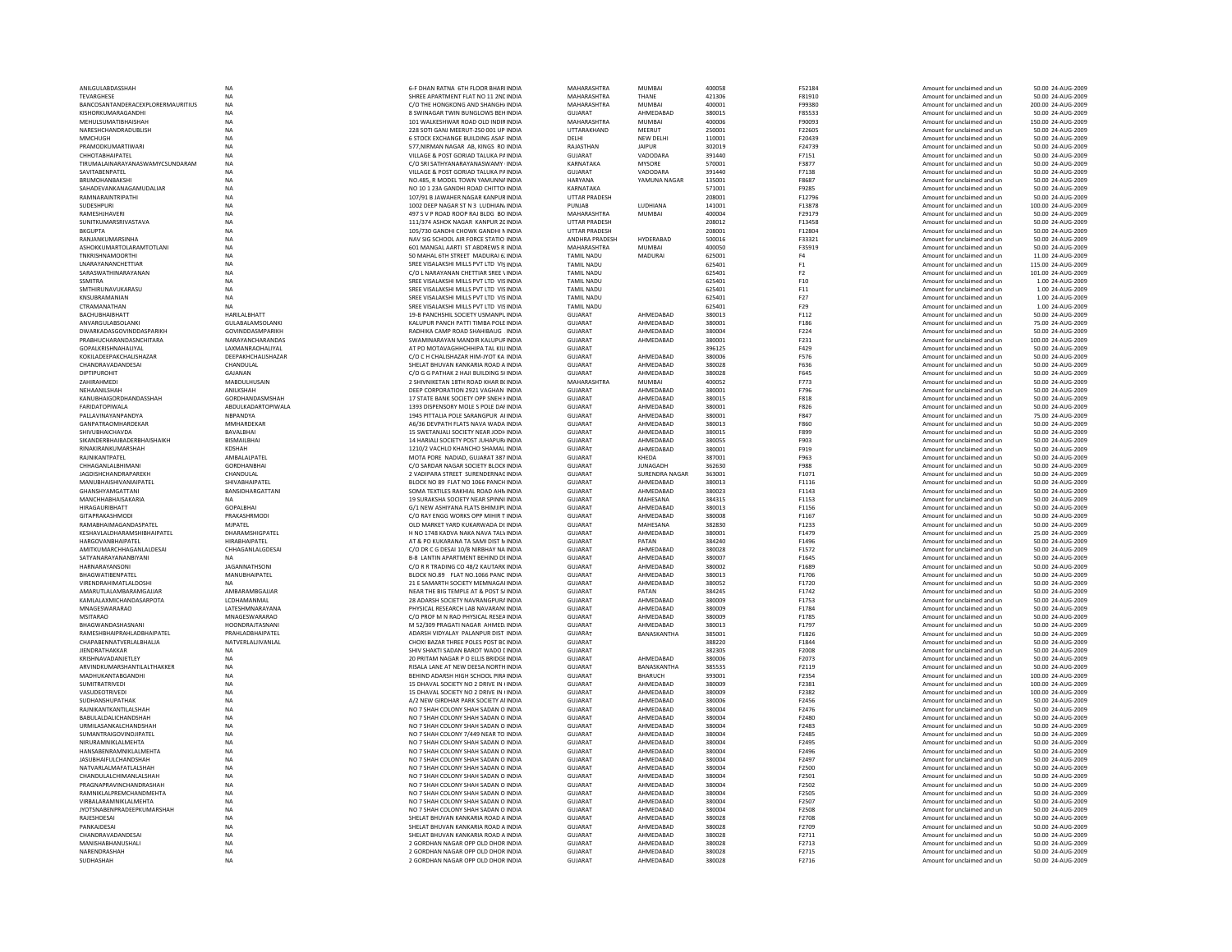| ANILGULABDASSHAH                                     | <b>NA</b>                                   | 6-F DHAN RATNA 6TH FLOOR BHARIINDIA                                                 | MAHARASHTRA                       | <b>MUMBAI</b>              | 400058           | F52184                          | Amount for unclaimed and un                                | 50.00 24-AUG-2009                        |
|------------------------------------------------------|---------------------------------------------|-------------------------------------------------------------------------------------|-----------------------------------|----------------------------|------------------|---------------------------------|------------------------------------------------------------|------------------------------------------|
| TEVARGHESE                                           | NA                                          | SHREE APARTMENT FLAT NO 11 2NC INDIA                                                | MAHARASHTRA                       | THANF                      | 421306           | F81910                          | Amount for unclaimed and un                                | 50.00 24-AUG-2009                        |
| BANCOSANTANDERACEXPLORERMAURITIUS                    | NA                                          | C/O THE HONGKONG AND SHANGH/ INDIA                                                  | MAHARASHTRA                       | <b>MUMBAI</b>              | 400001           | F99380                          | Amount for unclaimed and un                                | 200.00 24-AUG-2009                       |
| KISHORKUMARAGANDH<br>MEHULSUMATIBHAISHAH             | NA<br><b>NA</b>                             | 8 SWINAGAR TWIN BUNGLOWS BEH INDIA<br>101 WALKESHWAR ROAD OLD INDIRINDIA            | <b>GUJARAT</b><br>MAHARASHTRA     | AHMEDABAD<br><b>MUMBAI</b> | 380019<br>400006 | F85533<br>F90093                | Amount for unclaimed and ur<br>Amount for unclaimed and un | 50.00 24-AUG-200<br>150.00 24-AUG-2009   |
| NARESHCHANDRADUBLISH                                 | <b>NA</b>                                   | 228 SOTI GANJ MEERUT-250 001 UP INDIA                                               | UTTARAKHAND                       | MEERUT                     | 250001           | F22605                          | Amount for unclaimed and un                                | 50.00 24-AUG-2009                        |
| MMCHUGH                                              | NA                                          | 6 STOCK EXCHANGE BUILDING ASAF INDIA                                                | <b>DELHI</b>                      | NEW DELHI                  | 110001           | F20439                          | Amount for unclaimed and un                                | 50.00 24-AUG-2009                        |
| PRAMODKUMARTIWARI                                    | NA                                          | 577, NIRMAN NAGAR AB, KINGS RO INDIA                                                | RAJASTHAN                         | <b>JAIPUR</b>              | 302019           | F24739                          | Amount for unclaimed and un                                | 50.00 24-AUG-2009                        |
| <b>CHHOTABHAIPATEL</b>                               | ΝA                                          | VILLAGE & POST GORIAD TALUKA PAINDIA                                                | <b>GUJARAT</b>                    | VADODARA                   | 391440           | F7151                           | Amount for unclaimed and ur                                | 50.00 24-AUG-200                         |
| TIRUMALAINARAYANASWAMYCSUNDARAM                      | <b>NA</b>                                   | C/O SRI SATHYANARAYANASWAMY INDIA                                                   | KARNATAKA                         | <b>MYSORE</b>              | 570001           | F3877                           | Amount for unclaimed and un                                | 50.00 24-AUG-2009                        |
| SAVITARENPATEL                                       | <b>NA</b>                                   | VILLAGE & POST GORIAD TALUKA PAINDIA                                                | GUIARAT                           | VADODARA                   | 391440           | F7138                           | Amount for unclaimed and un                                | 50.00 24-AUG-2009                        |
| BRIJMOHANBAKSH                                       | NA                                          | NO.485, R MODEL TOWN YAMUNNA INDIA                                                  | HARYANA                           | YAMUNA NAGAR               | 135001           | F8687                           | Amount for unclaimed and un                                | 50.00 24-AUG-2009                        |
| SAHADEVANKANAGAMUDALIAR<br><b>RAMNARAINTRIPATHI</b>  | NA<br>NA                                    | NO 10 1 23A GANDHI ROAD CHITTOI INDIA<br>107/91 B JAWAHER NAGAR KANPUR INDIA        | KARNATAKA<br><b>UTTAR PRADESH</b> |                            | 571001<br>208001 | F9285<br>F12796                 | Amount for unclaimed and un<br>Amount for unclaimed and un | 50.00 24-AUG-2009<br>50.00 24-AUG-2009   |
| SUDESHPURI                                           | <b>NA</b>                                   | 1002 DEEP NAGAR ST N 3 LUDHIAN INDIA                                                | PUNJAB                            | LUDHIANA                   | 141001           | F13878                          | Amount for unclaimed and un                                | 100.00 24-AUG-2009                       |
| <b>RAMFSHIHAVER</b>                                  | <b>NA</b>                                   | 497 S.V.P.ROAD ROOP RALBLDG, BO INDIA                                               | MAHARASHTRA                       | MUMRAI                     | 400004           | F29179                          | Amount for unclaimed and un                                | 50.00 24-AUG-2009                        |
| SUNITKUMARSRIVASTAVA                                 | NA                                          | 111/374 ASHOK NAGAR KANPUR 20 INDIA                                                 | <b>UTTAR PRADESH</b>              |                            | 208012           | F13458                          | Amount for unclaimed and un                                | 50.00 24-AUG-2009                        |
| <b>BKGUPTA</b>                                       | NA                                          | 105/730 GANDHI CHOWK GANDHI NINDIA                                                  | <b>UTTAR PRADESH</b>              |                            | 208001           | F12804                          | Amount for unclaimed and un                                | 50.00 24-AUG-2009                        |
| RANJANKUMARSINHA                                     | NA                                          | NAV SIG SCHOOL AIR FORCE STATIO INDIA                                               | ANDHRA PRADESH                    | HYDERABAD                  | 500016           | F33321                          | Amount for unclaimed and un                                | 50.00 24-AUG-2009                        |
| ASHOKKUMARTOLARAMTOTLANI                             | <b>NA</b>                                   | 601 MANGAL AARTI ST ARDREWS R INDIA                                                 | MAHARASHTRA                       | MUMRAI                     | 400050           | F35919                          | Amount for unclaimed and un                                | 50.00 24-AUG-2009                        |
| TNKRISHNAMOORTHI                                     | <b>NA</b><br>NA                             | 50 MAHAL 6TH STREET MADURAI 6, INDIA                                                | <b>TAMIL NADU</b><br>TAMIL NADU   | MADURAI                    | 625001           | F <sub>4</sub><br>$\mathsf{F}1$ | Amount for unclaimed and un                                | 11.00 24-AUG-2009                        |
| LNARAYANANCHETTIAF<br>SARASWATHINARAYANAN            | NA                                          | SREE VISALAKSHI MILLS PVT LTD VISINDIA<br>C/O L NARAYANAN CHETTIAR SREE \ INDIA     | <b>TAMIL NADU</b>                 |                            | 625401<br>625401 | F <sub>2</sub>                  | Amount for unclaimed and un<br>Amount for unclaimed and un | 115.00 24-AUG-2009<br>101.00 24-AUG-2009 |
| SSMITRA                                              | NA                                          | SREE VISALAKSHI MILLS PVT LTD VISINDIA                                              | <b>TAMIL NADU</b>                 |                            | 625401           | F10                             | Amount for unclaimed and un                                | 1.00 24-AUG-2009                         |
| SMTHIRUNAVUKARASU                                    | <b>NA</b>                                   | SREE VISALAKSHI MILLS PVT LTD VISINDIA                                              | <b>TAMIL NADU</b>                 |                            | 625401           | F <sub>11</sub>                 | Amount for unclaimed and un                                | 1.00 24-AUG-2009                         |
| KNSUBRAMANIAN                                        | <b>NA</b>                                   | SREE VISALAKSHI MILLS PVT LTD VISINDIA                                              | <b>TAMIL NADU</b>                 |                            | 625401           | F27                             | Amount for unclaimed and un                                | 1.00 24-AUG-2009                         |
| CTRAMANATHAN                                         | <b>NA</b>                                   | SREE VISALAKSHI MILLS PVT LTD VISINDIA                                              | <b>TAMIL NADU</b>                 |                            | 625401           | F <sub>29</sub>                 | Amount for unclaimed and un                                | 1.00 24-AUG-200                          |
| <b>BACHUBHAIBHATT</b>                                | <b>HARILALBHATT</b>                         | 19-B PANCHSHIL SOCIETY USMANPL INDIA                                                | <b>GUJARAT</b>                    | AHMEDABAD                  | 380013           | F112                            | Amount for unclaimed and un                                | 50.00 24-AUG-2009                        |
| ANVARGULABSOLANK                                     | <b>GULABALAMSOLANKI</b>                     | KALUPUR PANCH PATTI TIMBA POLE INDIA                                                | <b>GUJARAT</b>                    | AHMFDARAD                  | 380001           | F186                            | Amount for unclaimed and un                                | 75.00 24-AUG-2009                        |
| DWARKADASGOVINDDASPARIKH<br>PRABHUCHARANDASNCHITARA  | <b>GOVINDDASMPARIKH</b><br>NARAYANCHARANDAS | RADHIKA CAMP ROAD SHAHIBAUG . INDIA<br>SWAMINARAYAN MANDIR KALUPUF INDIA            | GUJARAT<br>GUIARAT                | AHMEDABAD<br>AHMEDABAD     | 380004<br>380001 | F224<br>F231                    | Amount for unclaimed and un<br>Amount for unclaimed and un | 50.00 24-AUG-2009<br>100.00 24-AUG-2009  |
| <b>GOPALKRISHNAHALIYAL</b>                           | LAXMANRAOHALIYAL                            | AT PO MOTAVAGHHCHHIPA TAL KILIINDIA                                                 | <b>GUJARAT</b>                    |                            | 396125           | F429                            | Amount for unclaimed and un                                | 50.00 24-AUG-200                         |
| KOKILADEEPAKCHALISHAZAR                              | DEEPAKHCHALISHAZAR                          | C/O C H CHALISHAZAR HIM-JYOT KA INDIA                                               | GUJARAT                           | AHMEDABAD                  | 380006           | F576                            | Amount for unclaimed and un                                | 50.00 24-AUG-2009                        |
| CHANDRAVADANDESAI                                    | CHANDULAL                                   | SHELAT BHUVAN KANKARIA ROAD A INDIA                                                 | <b>GUJARAT</b>                    | AHMEDABAD                  | 380028           | F636                            | Amount for unclaimed and un                                | 50.00 24-AUG-2009                        |
| <b>DIPTIPUROHIT</b>                                  | GAJANAN                                     | C/O G G PATHAK 2 HAJI BUILDING SHNDIA                                               | GUJARAT                           | AHMEDABAD                  | 380028           | F645                            | Amount for unclaimed and un                                | 50.00 24-AUG-2009                        |
| ZAHIRAHMEDI                                          | MABDULHUSAIN                                | 2 SHIVNIKETAN 18TH ROAD KHAR B(INDIA                                                | MAHARASHTRA                       | <b>MUMBAI</b>              | 400052           | F773                            | Amount for unclaimed and un                                | 50.00 24-AUG-2009                        |
| NEHAANILSHAH                                         | ANILKSHAH                                   | DEEP CORPORATION 2921 VAGHAN INDIA                                                  | <b>GUJARAT</b>                    | AHMEDABAD                  | 380001           | F796                            | Amount for unclaimed and un                                | 50.00 24-AUG-2009                        |
| KANUBHAIGORDHANDASSHAH                               | GORDHANDASMSHAH                             | 17 STATE BANK SOCIETY OPP SNEH HINDIA                                               | <b>GUJARAT</b>                    | AHMEDABAD                  | 380015           | F818                            | Amount for unclaimed and un                                | 50.00 24-AUG-2009                        |
| <b>FARIDATOPIWALA</b>                                | ABDULKADARTOPIWALA                          | 1393 DISPENSORY MOLE S POLE DAFINDIA                                                | <b>GUJARAT</b>                    | AHMEDABAD                  | 380001           | F826                            | Amount for unclaimed and un                                | 50.00 24-AUG-2009                        |
| PALLAVINAYANPANDYA<br>GANPATRAOMHARDEKAR             | NBPANDYA<br>MMHARDEKAR                      | 1945 PITTALIA POLE SARANGPUR AHNDIA<br>A6/36 DEVPATH FLATS NAVA WADA INDIA          | <b>GUJARAT</b><br><b>GUJARA1</b>  | AHMEDABAD<br>AHMEDABAD     | 380001<br>380013 | F847<br>F860                    | Amount for unclaimed and un<br>Amount for unclaimed and un | 75.00 24-AUG-2009<br>50.00 24-AUG-2009   |
| SHIVUBHAICHAVDA                                      | BAVALBHAI                                   | 15 SWETANJALI SOCIETY NEAR JODH INDIA                                               | <b>GUIARA</b>                     | AHMEDABAD                  | 380015           | F899                            | Amount for unclaimed and un                                | 50.00 24-AUG-2009                        |
| SIKANDERBHAIBADERBHAISHAIKH                          | <b>BISMAILBHAI</b>                          | 14 HARIALI SOCIETY POST JUHAPUR/INDIA                                               | <b>GUJARAT</b>                    | AHMEDABAD                  | 380055           | F903                            | Amount for unclaimed and un                                | 50.00 24-AUG-2009                        |
| RINAKIRANKUMARSHAH                                   | KDSHAH                                      | 1210/2 VACHLO KHANCHO SHAMAL INDIA                                                  | GUIARAT                           | AHMFDARAD                  | 380001           | F919                            | Amount for unclaimed and un                                | 50.00 24-AUG-2009                        |
| RAJNIKANTPATEL                                       | AMBALALPATEL                                | MOTA PORE NADIAD, GUJARAT 387 INDIA                                                 | <b>GUJARAT</b>                    | KHEDA                      | 387001           | F963                            | Amount for unclaimed and un                                | 50.00 24-AUG-2009                        |
| CHHAGANLALBHIMANI                                    | GORDHANBHA                                  | C/O SARDAR NAGAR SOCIETY BLOCK INDIA                                                | <b>GUJARAT</b>                    | <b>JUNAGADH</b>            | 362630           | F988                            | Amount for unclaimed and un                                | 50.00 24-AUG-200                         |
| <b>JAGDISHCHANDRAPAREKH</b>                          | CHANDULAL                                   | 2 VADIPARA STREET SURENDERNAG INDIA                                                 | <b>GUJARAT</b>                    | SURENDRA NAGAR             | 363001           | F1071                           | Amount for unclaimed and un                                | 50.00 24-AUG-2009                        |
| MANUBHAISHIVANIAIPATEL<br><b>GHANSHYAMGATTANI</b>    | SHIVABHAIPATEL<br><b>BANSIDHARGATTANI</b>   | BLOCK NO 89 FLAT NO 1066 PANCH INDIA<br>SOMA TEXTILES RAKHIAL ROAD AHN INDIA        | <b>GUJARAT</b><br>GUIARAT         | AHMEDABAD<br>AHMFDARAD     | 380013<br>380023 | F1116<br>F1143                  | Amount for unclaimed and un<br>Amount for unclaimed and un | 50.00 24-AUG-2009<br>50.00 24-AUG-2009   |
| MANCHHABHAISAKARIA                                   | NA                                          | 19 SURAKSHA SOCIETY NEAR SPINNI INDIA                                               | GUJARAT                           | MAHESANA                   | 384315           | F1153                           | Amount for unclaimed and ur                                | 50.00 24-AUG-2009                        |
| <b>HIRAGAURIBHATT</b>                                | <b>GOPALBHA</b>                             | G/1 NEW ASHIYANA FLATS BHIMJIPLINDIA                                                | <b>GUJARAT</b>                    | AHMEDABAD                  | 380013           | F1156                           | Amount for unclaimed and un                                | 50.00 24-AUG-2009                        |
| <b>GITAPRAKASHMODI</b>                               | PRAKASHRMODI                                | C/O RAY ENGG WORKS OPP MIHIR T INDIA                                                | <b>GUJARAT</b>                    | AHMEDABAD                  | 380008           | F1167                           | Amount for unclaimed and un                                | 50.00 24-AUG-2009                        |
| RAMARHAIMAGANDASPATFI                                | MIPATFI                                     | OLD MARKET YARD KUKARWADA DI'INDIA                                                  | GUIARAT                           | MAHFSANA                   | 382830           | F1233                           | Amount for unclaimed and un                                | 50.00 24-AUG-2009                        |
| KESHAVLALDHARAMSHIBHAIPATEL                          | DHARAMSHIGPATEL                             | H NO 1748 KADVA NAKA NAVA TALVINDIA                                                 | <b>GUJARAT</b>                    | AHMEDABAD                  | 380001           | F1479                           | Amount for unclaimed and un                                | 25.00 24-AUG-2009                        |
| <b>HARGOVANBHAIPATEL</b>                             | HIRABHAIPATEL                               | AT & PO KUKARANA TA SAMI DIST N INDIA                                               | <b>GUJARAT</b>                    | PATAN                      | 384240           | F1496                           | Amount for unclaimed and un                                | 50.00 24-AUG-2009                        |
| AMITKUMARCHHAGANLALDESA                              | CHHAGANLALGDESAI                            | C/O DR C G DESAI 10/B NIRBHAY NA INDIA                                              | <b>GUJARAT</b>                    | AHMEDABAD                  | 380028           | F1572                           | Amount for unclaimed and un                                | 50.00 24-AUG-2009                        |
| SATYANARAYANANRIYANI<br>HARNARAYANSONI               | <b>NA</b><br><b>IAGANNATHSONI</b>           | <b>B-8 LANTIN APARTMENT REHIND DEINDIA</b><br>C/O R R TRADING CO 48/2 KAUTARK INDIA | GUIARAT<br>GUIARAT                | AHMFDARAD<br>AHMEDABAD     | 380007<br>380002 | F1645<br>F1689                  | Amount for unclaimed and un<br>Amount for unclaimed and un | 50.00 24-AUG-2009<br>50.00 24-AUG-2009   |
| BHAGWATIBENPATEL                                     | MANUBHAIPATEL                               | BLOCK NO.89 FLAT NO.1066 PANC INDIA                                                 | GUIARAT                           | AHMFDARAD                  | 380013           | F1706                           | Amount for unclaimed and un                                | 50.00 24-AUG-2009                        |
| VIRENDRAHIMATLALDOSH                                 | <b>NA</b>                                   | 21 E SAMARTH SOCIETY MEMNAGAI INDIA                                                 | <b>GUJARAT</b>                    | AHMEDABAD                  | 380052           | F1720                           | Amount for unclaimed and un                                | 50.00 24-AUG-2009                        |
| AMARUTLALAMBARAMGAJJAR                               | AMBARAMBGAJJAR                              | NEAR THE BIG TEMPLE AT & POST S/ INDIA                                              | <b>GUJARAT</b>                    | PATAN                      | 384245           | F1742                           | Amount for unclaimed and un                                | 50.00 24-AUG-2009                        |
| KAMI ALAXMICHANDASARPOTA                             | <b>I CDHAMANMAI</b>                         | 28 ADARSH SOCIETY NAVRANGPURAINDIA                                                  | <b>GUIARAT</b>                    | AHMFDARAD                  | 380009           | F1753                           | Amount for unclaimed and un                                | 50.00 24-AUG-2009                        |
| MNAGESWARARAO                                        | LATESHMNARAYANA                             | PHYSICAL RESEARCH LAB NAVARAN(INDIA                                                 | <b>GUJARAT</b>                    | AHMEDABAD                  | 380009           | F1784                           | Amount for unclaimed and un                                | 50.00 24-AUG-2009                        |
| <b>MSITARAO</b>                                      | MNAGESWARARAO                               | C/O PROF M N RAO PHYSICAL RESEA INDIA                                               | <b>GUJARAT</b>                    | AHMEDABAD                  | 380009           | F1785                           | Amount for unclaimed and un                                | 50.00 24-AUG-2009                        |
| BHAGWANDASHASNANI                                    | <b>HOONDRAJTASNANI</b>                      | M 52/309 PRAGATI NAGAR AHMED INDIA                                                  | <b>GUJARAT</b>                    | AHMEDABAD                  | 380013<br>385001 | F1797                           | Amount for unclaimed and un                                | 50.00 24-AUG-2009                        |
| RAMESHBHAIPRAHLADBHAIPATEL                           | PRAHLADBHAIPATEL                            | ADARSH VIDYALAY PALANPUR DIST INDIA<br>CHOXLBAZAR THREE POLES POST BC INDIA         | GUJARAT<br>GUIARAT                | BANASKANTHA                | 388220           | F1826<br>F1844                  | Amount for unclaimed and un<br>Amount for unclaimed and un | 50.00 24-AUG-2009<br>50.00 24-AUG-2009   |
| CHAPABENNATVERLALBHALJA<br><b>IIFNDRATHAKKAR</b>     | NATVERLALIIVANLAL<br><b>NA</b>              | SHIV SHAKTI SADAN BAROT WADO LINDIA                                                 | <b>GUIARAT</b>                    |                            | 382305           | F2008                           | Amount for unclaimed and un                                | 50.00 24-AUG-200                         |
| KRISHNAVADANJETLEY                                   | NA                                          | 20 PRITAM NAGAR P O ELLIS BRIDGE INDIA                                              | <b>GUJARA1</b>                    | AHMEDABAD                  | 380006           | F2073                           | Amount for unclaimed and un                                | 50.00 24-AUG-2009                        |
| ARVINDKUMARSHANTILALTHAKKER                          | NA                                          | RISALA LANE AT NEW DEESA NORTH INDIA                                                | <b>GUJARAT</b>                    | BANASKANTHA                | 385535           | F2119                           | Amount for unclaimed and un                                | 50.00 24-AUG-2009                        |
| MADHUKANTABGANDHI                                    | <b>NA</b>                                   | BEHIND ADARSH HIGH SCHOOL PIRA INDIA                                                | <b>GUJARAT</b>                    | BHARUCH                    | 393001           | F2354                           | Amount for unclaimed and un                                | 100.00 24-AUG-2009                       |
| <b>SUMITRATRIVEDI</b>                                | <b>NA</b>                                   | 15 DHAVAL SOCIETY NO 2 DRIVE IN (INDIA                                              | GUIARAT                           | AHMEDABAD                  | 380009           | F2381                           | Amount for unclaimed and un                                | 100.00 24-AUG-2009                       |
| VASUDEOTRIVED                                        | NA                                          | 15 DHAVAL SOCIETY NO 2 DRIVE IN (INDIA                                              | <b>GUJARAT</b>                    | AHMEDABAD                  | 380009           | F2382                           | Amount for unclaimed and un                                | 100.00 24-AUG-200                        |
| SUDHANSHUPATHAK                                      | NA                                          | A/2 NEW GIRDHAR PARK SOCIETY AI INDIA                                               | <b>GUJARAT</b>                    | AHMEDABAD                  | 380006           | F2456                           | Amount for unclaimed and un                                | 50.00 24-AUG-2009                        |
| RAJNIKANTKANTILALSHAH                                | NA<br><b>NA</b>                             | NO 7 SHAH COLONY SHAH SADAN O INDIA                                                 | <b>GUJARAT</b><br><b>GUJARAT</b>  | AHMEDABAD<br>AHMEDABAD     | 380004           | F2476                           | Amount for unclaimed and un                                | 50.00 24-AUG-2009                        |
| BABULALDALICHANDSHAH<br><b>URMILASANKALCHANDSHAH</b> | NA                                          | NO 7 SHAH COLONY SHAH SADAN O INDIA<br>NO 7 SHAH COLONY SHAH SADAN O INDIA          | GUIARAT                           | AHMFDARAD                  | 380004<br>380004 | F2480<br>F2483                  | Amount for unclaimed and un<br>Amount for unclaimed and un | 50.00 24-AUG-2009<br>50.00 24-AUG-2009   |
| SUMANTRAIGOVINDJIPATEL                               | NA                                          | NO 7 SHAH COLONY 7/449 NEAR TO INDIA                                                | GUJARAT                           | AHMEDABAD                  | 380004           | F2485                           | Amount for unclaimed and ur                                | 50.00 24-AUG-200                         |
| NIRURAMNIKLALMEHTA                                   | <b>NA</b>                                   | NO 7 SHAH COLONY SHAH SADAN O INDIA                                                 | <b>GUJARAT</b>                    | AHMEDABAD                  | 380004           | F2495                           | Amount for unclaimed and un                                | 50.00 24-AUG-2009                        |
| HANSABENRAMNIKLALMEHTA                               | <b>NA</b>                                   | NO 7 SHAH COLONY SHAH SADAN O INDIA                                                 | <b>GUJARAT</b>                    | AHMEDABAD                  | 380004           | F2496                           | Amount for unclaimed and un                                | 50.00 24-AUG-2009                        |
| <b>IASURHAIFUI CHANDSHAH</b>                         | NA                                          | NO 7 SHAH COLONY SHAH SADAN O INDIA                                                 | GUIARAT                           | AHMFDARAD                  | 380004           | F2497                           | Amount for unclaimed and un                                | 50.00 24-AUG-2009                        |
| NATVARLALMAFATLALSHAH                                | NA                                          | NO 7 SHAH COLONY SHAH SADAN O INDIA                                                 | GUJARAT                           | AHMEDABAD                  | 380004           | F2500                           | Amount for unclaimed and un                                | 50.00 24-AUG-2009                        |
| CHANDULALCHIMANLALSHAH                               | NA                                          | NO 7 SHAH COLONY SHAH SADAN O INDIA                                                 | GUJARAT                           | AHMEDABAD                  | 380004           | F2501                           | Amount for unclaimed and un                                | 50.00 24-AUG-200                         |
| PRAGNAPRAVINCHANDRASHAH<br>RAMNIKLALPREMCHANDMEHTA   | NA<br><b>NA</b>                             | NO 7 SHAH COLONY SHAH SADAN O INDIA<br>NO 7 SHAH COLONY SHAH SADAN O INDIA          | <b>GUJARAT</b><br><b>GUJARAT</b>  | AHMEDABAD<br>AHMEDABAD     | 380004<br>380004 | F2502<br>F2505                  | Amount for unclaimed and un<br>Amount for unclaimed and un | 50.00 24-AUG-2009<br>50.00 24-AUG-2009   |
| VIRRAI ARAMNIKI AI MEHTA                             | NA                                          | NO 7 SHAH COLONY SHAH SADAN O INDIA                                                 | GUIARAT                           | AHMEDABAD                  | 380004           | F2507                           | Amount for unclaimed and un                                | 50.00 24-AUG-2009                        |
| JYOTSNABENPRADEEPKUMARSHAH                           | NA                                          | NO 7 SHAH COLONY SHAH SADAN O INDIA                                                 | GUJARAT                           | AHMEDABAD                  | 380004           | F2508                           | Amount for unclaimed and un                                | 50.00 24-AUG-2009                        |
| RAJESHDESA                                           | NA                                          | SHELAT BHUVAN KANKARIA ROAD A INDIA                                                 | <b>GUJARA</b>                     | AHMEDABAD                  | 380028           | F2708                           | Amount for unclaimed and un                                | 50.00 24-AUG-2009                        |
| PANKAJDESAI                                          | NA                                          | SHELAT BHUVAN KANKARIA ROAD A INDIA                                                 | <b>GUJARAT</b>                    | AHMEDABAD                  | 380028           | F2709                           | Amount for unclaimed and un                                | 50.00 24-AUG-2009                        |
| CHANDRAVADANDESAL                                    | <b>NA</b>                                   | SHELAT BHUVAN KANKARIA ROAD A INDIA                                                 | GUIARAT                           | AHMFDARAD                  | 380028           | F2711                           | Amount for unclaimed and un                                | 50.00 24-AUG-2009                        |
| MANISHABHANUSHALI                                    | NA                                          | 2 GORDHAN NAGAR OPP OLD DHOR INDIA                                                  | <b>GUJARAT</b>                    | AHMEDABAD                  | 380028           | F2713                           | Amount for unclaimed and un                                | 50.00 24-AUG-2009                        |
| NARENDRASHAH<br>SUDHASHAH                            | NA<br><b>NA</b>                             | 2 GORDHAN NAGAR OPP OLD DHOR INDIA<br>2 GORDHAN NAGAR OPP OLD DHOR INDIA            | <b>GUJARAT</b><br><b>GUJARAT</b>  | AHMEDABAD<br>AHMEDABAD     | 380028<br>380028 | F2715<br>F2716                  | Amount for unclaimed and un<br>Amount for unclaimed and un | 50.00 24-AUG-2009<br>50.00 24-AUG-2009   |
|                                                      |                                             |                                                                                     |                                   |                            |                  |                                 |                                                            |                                          |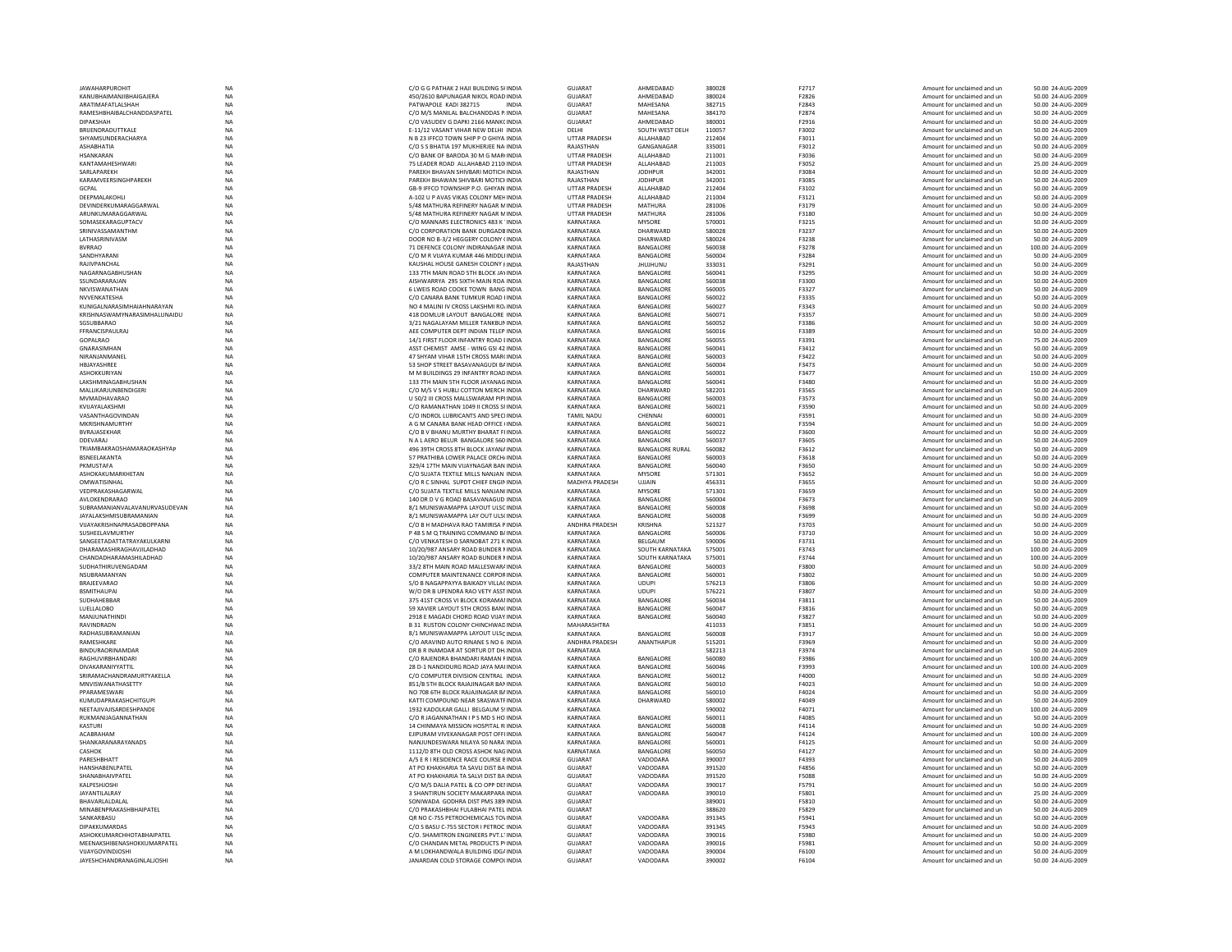| <b>JAWAHARPUROHIT</b>             | NA        | C/O G G PATHAK 2 HAJI BUILDING SHNDIA     | <b>GUJARAT</b>        | AHMEDABAD              | 380028 | F2717          | Amount for unclaimed and ur | 50.00 24-AUG-2009  |
|-----------------------------------|-----------|-------------------------------------------|-----------------------|------------------------|--------|----------------|-----------------------------|--------------------|
| KANUBHAIMANJIBHAIGAJERA           | <b>NA</b> | 450/2610 BAPUNAGAR NIKOL ROAD INDIA       | GUJARAT               | AHMEDABAD              | 380024 | F2826          | Amount for unclaimed and un | 50.00 24-AUG-2009  |
| ARATIMAFATLALSHAH                 | <b>NA</b> | PATWAPOLE KADI 382715<br><b>INDIA</b>     | <b>GUJARAT</b>        | MAHESANA               | 382715 | F2843          | Amount for unclaimed and un | 50.00 24-AUG-2009  |
| RAMESHRHAIRAI CHANDDASPATEI       | <b>NA</b> | C/O M/S MANILAL BALCHANDDAS P. INDIA      | GUIARAT               | <b>MAHFSANA</b>        | 384170 | F2874          | Amount for unclaimed and un | 50.00 24-AUG-2009  |
| DIPAKSHAH                         | NA        | C/O VASUDEV G DAPKI 2166 MANK( INDIA      | GUJARAT               | AHMEDABAD              | 380001 | F2916          | Amount for unclaimed and un | 50.00 24-AUG-2009  |
| <b>BRUENDRADUTTKALE</b>           | <b>NA</b> | E-11/12 VASANT VIHAR NEW DELHI INDIA      | DELHI                 | SOUTH WEST DELH        | 110057 | F3002          | Amount for unclaimed and un | 50.00 24-AUG-2009  |
| SHYAMSUNDERACHARYA                | <b>NA</b> | N B 23 IFFCO TOWN SHIP P O GHIYA INDIA    | UTTAR PRADESH         | ALLAHABAD              | 212404 | F3011          | Amount for unclaimed and un | 50.00 24-AUG-2009  |
| <b>ASHARHATIA</b>                 | <b>NA</b> | C/O S S RHATIA 197 MUKHERIEF NAUNDIA      | RAIASTHAN             | GANGANAGAR             | 335001 | F3012          | Amount for unclaimed and un | 50.00 24-AUG-2009  |
| <b>HSANKARAN</b>                  | <b>NA</b> | C/O BANK OF BARODA 30 M G MAR(INDIA       | <b>UTTAR PRADESH</b>  | ALLAHABAD              | 211001 | F3036          | Amount for unclaimed and un | 50.00 24-AUG-2009  |
| KANTAMAHESHWARI                   | NA        | 75 LEADER ROAD ALLAHABAD 2110 INDIA       | <b>UTTAR PRADESH</b>  | ALLAHABAD              | 211003 | F3052          | Amount for unclaimed and un | 25.00 24-AUG-2009  |
| SARLAPAREKH                       | <b>NA</b> | PAREKH BHAVAN SHIVBARI MOTICH INDIA       | RAJASTHAN             | <b>JODHPUR</b>         | 342001 | F3084          | Amount for unclaimed and un | 50.00 24-AUG-2009  |
| KARAMVEERSINGHPAREKH              | <b>NA</b> | PAREKH BHAWAN SHIVBARI MOTICI INDIA       | RAJASTHAN             | <b>JODHPUR</b>         | 342001 | F3085          | Amount for unclaimed and un | 50.00 24-AUG-2009  |
| GCPAL                             | <b>NA</b> | GB-9 IFFCO TOWNSHIP P.O. GHIYAN INDIA     | <b>UTTAR PRADESH</b>  | <b>ALLAHARAD</b>       | 212404 | F3102          | Amount for unclaimed and un | 50.00 24-AUG-2009  |
| DEEPMALAKOHLI                     | NA        | A-102 U P AVAS VIKAS COLONY MEHINDIA      | <b>UTTAR PRADESH</b>  | ALLAHABAD              | 211004 | F3121          | Amount for unclaimed and un | 50.00 24-AUG-2009  |
| DEVINDERKUMARAGGARWAL             | <b>NA</b> | 5/48 MATHURA REFINERY NAGAR MINDIA        | <b>UTTAR PRADESH</b>  | MATHURA                | 281006 | F3179          | Amount for unclaimed and un | 50.00 24-AUG-2009  |
| ARUNKUMARAGGARWAL                 | NA        | 5/48 MATHURA REFINERY NAGAR MINDIA        | <b>UTTAR PRADESH</b>  | MATHURA                | 281006 | F3180          | Amount for unclaimed and un | 50.00 24-AUG-2009  |
| SOMASEKARAGUPTACV                 | <b>NA</b> | C/O MANNARS ELECTRONICS 483 K "INDIA      | KARNATAKA             | <b>MYSORE</b>          | 570001 | F3215          | Amount for unclaimed and un | 50.00 24-AUG-2009  |
| SRINIVASSAMANTHM                  | <b>NA</b> | C/O CORPORATION BANK DURGADB INDIA        | KARNATAKA             | DHARWARD               | 580028 | F3237          |                             | 50.00 24-AUG-2009  |
| LATHASRINIVASM                    |           |                                           | KARNATAKA             | DHARWARD               | 580024 |                | Amount for unclaimed and un |                    |
|                                   | NA        | DOOR NO B-3/2 HEGGERY COLONY (INDIA       |                       |                        |        | F3238          | Amount for unclaimed and un | 50.00 24-AUG-2009  |
| <b>BVRRAO</b>                     | <b>NA</b> | 71 DEFENCE COLONY INDIRANAGAR INDIA       | KARNATAKA             | BANGALORE              | 560038 | F3278          | Amount for unclaimed and un | 100.00 24-AUG-2009 |
| SANDHYARAN                        | <b>NA</b> | C/O M R VIJAYA KUMAR 446 MIDDLI INDIA     | KARNATAKA             | BANGALORE              | 560004 | F3284          | Amount for unclaimed and un | 50.00 24-AUG-2009  |
| RAJIVPANCHAL                      | <b>NA</b> | KAUSHAL HOUSE GANESH COLONY FINDIA        | RAJASTHAN             | <b>UNUHUNU</b>         | 333031 | F3291          | Amount for unclaimed and un | 50.00 24-AUG-2009  |
| NAGARNAGABHUSHAN                  | <b>NA</b> | 133 7TH MAIN ROAD 5TH BLOCK JAYINDIA      | KARNATAKA             | BANGALORE              | 560041 | F3295          | Amount for unclaimed and un | 50.00 24-AUG-2009  |
| SSUNDARARAJAN                     | NA        | AISHWARRYA 295 SIXTH MAIN ROA INDIA       | KARNATAKA             | BANGALORE              | 560038 | F3300          | Amount for unclaimed and un | 50.00 24-AUG-2009  |
| NKVISWANATHAN                     | <b>NA</b> | 6 LWEIS ROAD COOKE TOWN BANG INDIA        | KARNATAKA             | BANGALORE              | 560005 | F3327          | Amount for unclaimed and un | 50.00 24-AUG-2009  |
| NVVENKATESHA                      | <b>NA</b> | C/O CANARA BANK TUMKUR ROAD HNDIA         | KARNATAKA             | BANGALORE              | 560022 | F3335          | Amount for unclaimed and un | 50.00 24-AUG-2009  |
| KUNIGALNARASIMHAIAHNARAYAN        | NA        | NO 4 MALINI IV CROSS LAKSHMI ROJ INDIA    | KARNATAKA             | BANGALORE              | 560027 | F3343          | Amount for unclaimed and un | 50.00 24-AUG-2009  |
| KRISHNASWAMYNARASIMHALUNAIDU      | NA        | 418 DOMLUR LAYOUT BANGALORE INDIA         | KARNATAKA             | BANGALORE              | 560071 | F3357          | Amount for unclaimed and un | 50.00 24-AUG-2009  |
| SGSUBBARAO                        | NA        | 3/21 NAGALAYAM MILLER TANKBUN INDIA       | KARNATAKA             | BANGALORE              | 560052 | F3386          | Amount for unclaimed and un | 50.00 24-AUG-2009  |
| FFRANCISPAULRAJ                   | <b>NA</b> | AEE COMPUTER DEPT INDIAN TELEP INDIA      | KARNATAKA             | BANGALORE              | 560016 | F3389          | Amount for unclaimed and un | 50.00 24-AUG-2009  |
| GOPALRAO                          | <b>NA</b> | 14/1 FIRST FLOOR INFANTRY ROAD FINDIA     | KARNATAKA             | <b>BANGALORE</b>       | 560055 | F3391          | Amount for unclaimed and un | 75.00.24-AUG-2009  |
| <b>GNARASIMHAN</b>                | NA        | ASST CHEMIST AMSE - WING GSI 42 INDIA     | KARNATAKA             | BANGALORE              | 560041 | F3412          | Amount for unclaimed and un | 50.00 24-AUG-2009  |
| NIRANJANMANEI                     | NA        | 47 SHYAM VIHAR 15TH CROSS MAR(INDIA       | KARNATAKA             | BANGALORE              | 560003 | F3422          | Amount for unclaimed and un | 50.00 24-AUG-2009  |
| HBJAYASHREE                       | <b>NA</b> | 53 SHOP STREET BASAVANAGUDI BAINDIA       | KARNATAKA             | BANGALORE              | 560004 | F3473          | Amount for unclaimed and un | 50.00 24-AUG-2009  |
|                                   |           |                                           |                       |                        |        |                |                             |                    |
| ASHOKKURIYAN                      | <b>NA</b> | M M BUILDINGS 29 INFANTRY ROAD INDIA      | KARNATAKA             | BANGALORE              | 560001 | F3477          | Amount for unclaimed and un | 150.00 24-AUG-2009 |
| <b>LAKSHMINAGARHUSHAN</b>         | <b>NA</b> | 133 7TH MAIN 5TH FLOOR JAYANAG INDIA      | KARNATAKA             | <b>BANGALORE</b>       | 560041 | <b>F3480</b>   | Amount for unclaimed and un | 50.00 24-AUG-2009  |
| MALLIKARJUNBENDIGERI              | NA        | C/O M/S V S HUBLI COTTON MERCH INDIA      | KARNATAKA             | DHARWARD               | 582201 | F3565          | Amount for unclaimed and un | 50.00 24-AUG-2009  |
| MVMADHAVARAO                      | <b>NA</b> | U 50/2 III CROSS MALLSWARAM PIPHNDIA      | KARNATAKA             | BANGALORE              | 560003 | F3573          | Amount for unclaimed and un | 50.00 24-AUG-2009  |
| KVIJAYALAKSHM                     | NA        | C/O RAMANATHAN 1049 II CROSS SFINDIA      | KARNATAKA             | BANGALORE              | 560021 | F3590          | Amount for unclaimed and un | 50.00 24-AUG-2009  |
| VASANTHAGOVINDAN                  | <b>NA</b> | C/O INDROI TURRICANTS AND SPECIJNDIA      | <b>TAMIL NADU</b>     | CHENNAL                | 600001 | F3591          | Amount for unclaimed and un | 50.00 24-AUG-2009  |
| MKRISHNAMURTHY                    | <b>NA</b> | A G M CANARA BANK HEAD OFFICE UNDIA       | KARNATAKA             | BANGALORE              | 560021 | F3594          | Amount for unclaimed and un | 50.00 24-AUG-2009  |
| <b>BVRAJASEKHAI</b>               | <b>NA</b> | C/O B V BHANU MURTHY BHARAT FIINDIA       | KARNATAKA             | BANGALORE              | 560022 | F3600          | Amount for unclaimed and un | 50.00 24-AUG-2009  |
| <b>DDEVARAJ</b>                   | <b>NA</b> | N A L AERO BELUR BANGALORE 560 INDIA      | KARNATAKA             | BANGALORE              | 560037 | F3605          | Amount for unclaimed and un | 50.00 24-AUG-2009  |
| TRIAMBAKRAOSHAMARAOKASHYAP        | <b>NA</b> | 496 39TH CROSS 8TH BLOCK JAYANA INDIA     | KARNATAKA             | <b>BANGALORE RURAL</b> | 560082 | F3612          | Amount for unclaimed and un | 50.00 24-AUG-2009  |
| BSNEELAKANTA                      | <b>NA</b> | 57 PRATHIBA LOWER PALACE ORCH/ INDIA      | KARNATAKA             | BANGALORE              | 560003 | F3618          | Amount for unclaimed and un | 50.00 24-AUG-2009  |
| PKMUSTAFA                         | <b>NA</b> | 329/4 17TH MAIN VIJAYNAGAR BAN INDIA      | KARNATAKA             | BANGALORE              | 560040 | F3650          | Amount for unclaimed and un | 50.00 24-AUG-2009  |
| ASHOKAKUMARKHETAN                 | <b>NA</b> | C/O SUJATA TEXTILE MILLS NANJAN INDIA     | KARNATAKA             | <b>MYSORE</b>          | 571301 | F3652          | Amount for unclaimed and un | 50.00 24-AUG-2009  |
| OMWATISINHAL                      | <b>NA</b> | C/O R C SINHAL SUPDT CHIEF ENGININDIA     | MADHYA PRADESH        |                        | 456331 |                |                             |                    |
| VEDPRAKASHAGARWAL                 | <b>NA</b> |                                           | KARNATAKA             | <b>UJJAIN</b>          | 571301 | F3655<br>F3659 | Amount for unclaimed and un | 50.00 24-AUG-2009  |
|                                   |           | C/O SUJATA TEXTILE MILLS NANJAN(INDIA     |                       | <b>MYSORE</b>          |        |                | Amount for unclaimed and un | 50.00 24-AUG-2009  |
| AVI OKENDRARAO                    | NA        | 140 DR D V G ROAD BASAVANAGUD INDIA       | KARNATAKA             | <b>BANGALORE</b>       | 560004 | F3673          | Amount for unclaimed and un | 50.00 24-AUG-2009  |
| SUBRAMANIANVALAVANURVASUDEVAN     | NA        | 8/1 MUNISWAMAPPA LAYOUT ULSC INDIA        | KARNATAKA             | BANGALORE              | 560008 | F3698          | Amount for unclaimed and un | 50.00 24-AUG-2009  |
| <b>JAYALAKSHMISUBRAMANIAN</b>     | NA        | 8/1 MUNISWAMAPPA LAY OUT ULS(INDIA        | KARNATAKA             | BANGALORE              | 560008 | F3699          | Amount for unclaimed and un | 50.00 24-AUG-2009  |
| VUAYAKRISHNAPRASADBOPPANA         | <b>NA</b> | C/O B H MADHAVA RAO TAMIRISA PINDIA       | ANDHRA PRADESH        | KRISHNA                | 521327 | F3703          | Amount for unclaimed and un | 50.00 24-AUG-2009  |
| SUSHEELAVMURTHY                   | <b>NA</b> | P 48 S M O TRAINING COMMAND B/ INDIA      | <b>KARNATAKA</b>      | BANGALORE              | 560006 | F3710          | Amount for unclaimed and un | 50.00 24-AUG-2009  |
| SANGEETADATTATRAYAKULKARNI        | NA        | C/O VENKATESH D SARNOBAT 271 K INDIA      | KARNATAKA             | BELGAUM                | 590006 | F3731          | Amount for unclaimed and un | 50.00 24-AUG-2009  |
| DHARAMASHIRAGHAVJILADHAD          | NA        | 10/20/987 ANSARY ROAD BUNDER INDIA        | KARNATAKA             | SOUTH KARNATAKA        | 575001 | F3743          | Amount for unclaimed and un | 100.00 24-AUG-2009 |
| CHANDADHARAMASHILADHAD            | NA        | 10/20/987 ANSARY ROAD BUNDER NINDIA       | KARNATAKA             | <b>SOUTH KARNATAKA</b> | 575001 | F3744          | Amount for unclaimed and un | 100.00 24-AUG-2009 |
| SUDHATHIRUVENGADAM                | <b>NA</b> | 33/2 8TH MAIN ROAD MALLESWAR/ INDIA       | KARNATAKA             | BANGALORE              | 560003 | F3800          | Amount for unclaimed and un | 50.00 24-AUG-2009  |
| NSURRAMANYAN                      | <b>NA</b> | COMPUTER MAINTENANCE CORPORINDIA          | KARNATAKA             | BANGALORE              | 560001 | <b>F3802</b>   | Amount for unclaimed and un | 50.00 24-AUG-2009  |
| <b>BRAJEEVARAO</b>                | NA        | S/O B NAGAPPAYYA BAIKADY VILLA( INDIA     | KARNATAKA             | <b>UDUPI</b>           | 576213 | F3806          | Amount for unclaimed and un | 50.00 24-AUG-2009  |
| <b>BSMITHAUPAI</b>                | <b>NA</b> | W/O DR B UPENDRA RAO VETY ASST INDIA      | KARNATAKA             | <b>UDUPI</b>           | 576221 | F3807          | Amount for unclaimed and un | 50.00 24-AUG-2009  |
| <b>SUDHAHEBBAR</b>                | <b>NA</b> | 375 41ST CROSS VI BLOCK KORAMAI INDIA     | KARNATAKA             | BANGALORE              | 560034 | F3811          | Amount for unclaimed and un | 50.00 24-AUG-2009  |
| LUFLI ALORO                       | <b>NA</b> | 59 XAVIER LAYOUT 5TH CROSS BANCINDIA      | KARNATAKA             | <b>BANGALORE</b>       | 560047 | F3816          | Amount for unclaimed and un | 50.00 24-AUG-2009  |
| MANIUNATHIND                      | <b>NA</b> | 2918 E MAGADI CHORD ROAD VIJAY INDIA      | KARNATAKA             | BANGALORE              | 560040 | F3827          |                             | 50.00 24-AUG-2009  |
|                                   |           |                                           |                       |                        |        |                | Amount for unclaimed and un |                    |
| RAVINDRADN                        | <b>NA</b> | <b>B 31 RUSTON COLONY CHINCHWAD INDIA</b> | <b>MAHARASHTRA</b>    |                        | 411033 | F3851          | Amount for unclaimed and un | 50.00 24-AUG-2009  |
| RADHASUBRAMANIAN                  | <b>NA</b> | 8/1 MUNISWAMAPPA LAYOUT ULSC INDIA        | KARNATAKA             | BANGALORE              | 560008 | F3917          | Amount for unclaimed and un | 50.00 24-AUG-2009  |
| <b>RAMFSHKARF</b>                 | <b>NA</b> | C/O ARAVIND AUTO RINANE S NO 6 INDIA      | <b>ANDHRA PRADESH</b> | ANANTHAPUR             | 515201 | <b>F3969</b>   | Amount for unclaimed and un | 50.00 24-AUG-2009  |
| <b><i>RINDURAORINAMDAR</i></b>    | <b>NA</b> | DR B R INAMDAR AT SORTUR DT DH. INDIA     | KARNATAKA             |                        | 582213 | F3974          | Amount for unclaimed and un | 50.00 24-AUG-2009  |
| RAGHUVIRRHANDARI                  | <b>NA</b> | C/O RAJENDRA BHANDARI RAMAN FINDIA        | KARNATAKA             | <b>BANGALORE</b>       | 560080 | F3986          | Amount for unclaimed and un | 100.00 24-AUG-2009 |
| DIVAKARANIYYATTIL                 | <b>NA</b> | 28 D-1 NANDIDURG ROAD JAYA MAHNDIA        | KARNATAKA             | BANGALORE              | 560046 | F3993          | Amount for unclaimed and un | 100.00 24-AUG-2009 |
| SRIRAMACHANDRAMURTYAKELLA         | <b>NA</b> | C/O COMPUTER DIVISION CENTRAL INDIA       | KARNATAKA             | BANGALORE              | 560012 | <b>F4000</b>   | Amount for unclaimed and un | 50.00 24-AUG-2009  |
| MNVISWANATHASETTY                 | <b>NA</b> | 851/B 5TH BLOCK RAIAIINAGAR BANINDIA      | KARNATAKA             | <b>BANGALORE</b>       | 560010 | F4023          | Amount for unclaimed and un | 50.00 24-AUG-2009  |
| PPARAMFSWARI                      | <b>NA</b> | NO 708 6TH BLOCK RAJAJINAGAR B/ INDIA     | KARNATAKA             | BANGALORE              | 560010 | F4024          | Amount for unclaimed and un | 50.00 24-AUG-2009  |
| KUMUDAPRAKASHCHITGUPI             | NA        | KATTI COMPOUND NEAR SRASWATF INDIA        | KARNATAKA             | DHARWARD               | 580002 | F4049          | Amount for unclaimed and un | 50.00 24-AUG-2009  |
| NEETAJIVAJISARDESHPANDE           | NA        | 1932 KADOLKAR GALLI BELGAUM 5! INDIA      | KARNATAKA             |                        | 590002 | F4071          | Amount for unclaimed and un | 100.00 24-AUG-2009 |
| RUKMANUAGANNATHAN                 | <b>NA</b> | C/O R JAGANNATHAN I P S MD S HO INDIA     | KARNATAKA             | BANGALORE              | 560011 | F4085          | Amount for unclaimed and un | 50.00 24-AUG-2009  |
| <b>KASTURI</b>                    | <b>NA</b> | 14 CHINMAYA MISSION HOSPITAL RIINDIA      | KARNATAKA             | BANGALORE              | 560008 | F4114          | Amount for unclaimed and un | 50.00 24-AUG-2009  |
| <b>ACABRAHAN</b>                  | NA        | EJIPURAM VIVEKANAGAR POST OFFI INDIA      | KARNATAKA             | BANGALORE              | 560047 | F4124          | Amount for unclaimed and un | 100.00 24-AUG-2009 |
| SHANKARANARAYANADS                | NA        | NANJUNDESWARA NILAYA 50 NARA' INDIA       | KARNATAKA             | BANGALORE              | 560001 | F4125          | Amount for unclaimed and un | 50.00 24-AUG-2009  |
| CASHOK                            | <b>NA</b> | 1112/D 8TH OLD CROSS ASHOK NAG INDIA      | KARNATAKA             | BANGALORE              | 560050 | F4127          | Amount for unclaimed and un | 50.00 24-AUG-2009  |
| PARESHBHATT                       | <b>NA</b> | A/5 E R I RESIDENCE RACE COURSE EINDIA    | GUJARAT               | VADODARA               | 390007 | F4393          | Amount for unclaimed and un | 50.00 24-AUG-2009  |
| <b>HANSHARENI PATEL</b>           | <b>NA</b> | AT PO KHAKHARIA TA SAVLI DIST BA INDIA    | GUJARAT               | VADODARA               | 391520 | F4856          | Amount for unclaimed and un | 50.00 24-AUG-2009  |
|                                   |           |                                           |                       |                        |        |                |                             |                    |
| SHANABHAIVPATEL                   | NA        | AT PO KHAKHARIA TA SALVI DIST BA INDIA    | GUJARAT               | VADODARA               | 391520 | F5088          | Amount for unclaimed and un | 50.00 24-AUG-2009  |
| KALPESHJOSHI                      | <b>NA</b> | C/O M/S DALIA PATEL & CO OPP DEI INDIA    | GUJARAT               | VADODARA               | 390017 | F5791          | Amount for unclaimed and un | 50.00 24-AUG-2009  |
| <b>JAYANTILALRAY</b>              | <b>NA</b> | 3 SHANTIRUN SOCIETY MAKARPARA INDIA       | <b>GUJARAT</b>        | VADODARA               | 390010 | F5801          | Amount for unclaimed and un | 25.00 24-AUG-2009  |
| <b>RHAVARI AI DAI AI</b>          | <b>NA</b> | SONIWADA GODHRA DIST PMS 389(INDIA        | GUIARAT               |                        | 389001 | F5810          | Amount for unclaimed and un | 50.00 24-AUG-2009  |
| MINABENPRAKASHBHAIPATEL           | NA        | C/O PRAKASHBHAI FULABHAI PATEL INDIA      | GUJARAT               |                        | 388620 | F5829          | Amount for unclaimed and un | 50.00 24-AUG-2009  |
| SANKARBASL                        | <b>NA</b> | OR NO C-755 PETROCHEMICALS TO\ INDIA      | <b>GUJARAT</b>        | VADODARA               | 391345 | F5941          | Amount for unclaimed and un | 50.00 24-AUG-2009  |
| DIPAKKUMARDAS                     | <b>NA</b> | C/O S BASU C-755 SECTOR I PETROC INDIA    | GUJARAT               | VADODARA               | 391345 | F5943          | Amount for unclaimed and un | 50.00 24-AUG-2009  |
| <b>ASHOKKUMARCHHOTARHAIPATFI</b>  | <b>NA</b> | C/O. SHAMITRON ENGINEERS PVT.ITINDIA      | GUIARAT               | VADODARA               | 390016 | <b>F5980</b>   | Amount for unclaimed and un | 50.00 24-AUG-2009  |
| MEENAKSHIBENASHOKKUMARPATEL       | <b>NA</b> | C/O CHANDAN METAL PRODUCTS PVINDIA        | GUIARAT               | VADODARA               | 390016 | F5981          | Amount for unclaimed and un | 50.00 24-AUG-2009  |
| VIJAYGOVINDJOSHI                  | NA        | A M LOKHANDWALA BUILDING IDG/ INDIA       | <b>GUJARAT</b>        | VADODARA               | 390004 | F6100          | Amount for unclaimed and un | 50.00 24-AUG-2009  |
| <b>JAYESHCHANDRANAGINLALIOSHI</b> | <b>NA</b> | JANARDAN COLD STORAGE COMPOLINDIA         | GUJARAT               | VADODARA               | 390002 | F6104          | Amount for unclaimed and un | 50.00 24-AUG-2009  |
|                                   |           |                                           |                       |                        |        |                |                             |                    |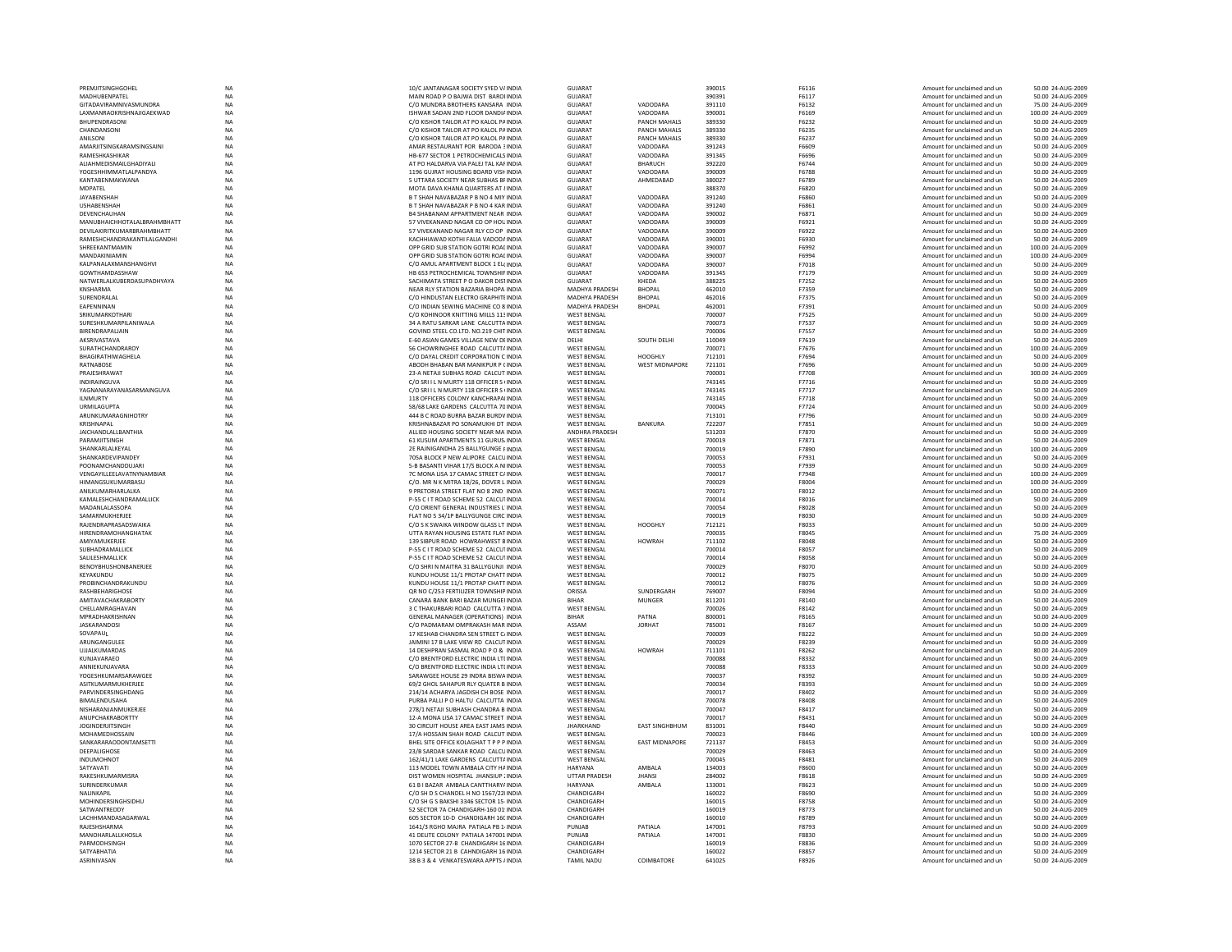| PREMJITSINGHGOHEL                                 | <b>NA</b>              | 10/C JANTANAGAR SOCIETY SYED V/ INDIA                                           | <b>GUJARAT</b>                           |                          | 390015           | F6116                 | Amount for unclaimed and un                                | 50.00 24-AUG-2009                       |
|---------------------------------------------------|------------------------|---------------------------------------------------------------------------------|------------------------------------------|--------------------------|------------------|-----------------------|------------------------------------------------------------|-----------------------------------------|
| MADHUBENPATEL                                     | NA                     | MAIN ROAD P O BAJWA DIST BAROLINDIA                                             | GUIARAT                                  |                          | 390391           | F6117                 | Amount for unclaimed and un                                | 50.00 24-AUG-2009                       |
| <b>GITADAVIRAMNIVASMUNDRA</b>                     | NA                     | C/O MUNDRA BROTHERS KANSARA INDIA                                               | <b>GUJARAT</b>                           | VADODARA                 | 391110           | F6132                 | Amount for unclaimed and ur                                | 75.00 24-AUG-2009                       |
| LAXMANRAOKRISHNAJIGAEKWAD<br><b>BHUPENDRASONI</b> | NA<br><b>NA</b>        | ISHWAR SADAN 2ND FLOOR DANDIA INDIA<br>C/O KISHOR TAILOR AT PO KALOL PAINDIA    | GUJARAT<br>GUJARAT                       | VADODARA<br>PANCH MAHALS | 390001<br>389330 | F6169<br>F6232        | Amount for unclaimed and ur<br>Amount for unclaimed and un | 100.00 24-AUG-2009<br>50.00 24-AUG-2009 |
| CHANDANSONI                                       | <b>NA</b>              | C/O KISHOR TAILOR AT PO KALOL PAINDIA                                           | <b>GUJARAT</b>                           | <b>PANCH MAHALS</b>      | 389330           | F6235                 | Amount for unclaimed and un                                | 50.00 24-AUG-2009                       |
| ANILSONI                                          | NA                     | C/O KISHOR TAILOR AT PO KALOL PAINDIA                                           | GUIARAT                                  | PANCH MAHALS             | 389330           | F6237                 | Amount for unclaimed and un                                | 50.00 24-AUG-2009                       |
| AMARJITSINGKARAMSINGSAINI                         | NA                     | AMAR RESTAURANT POR BARODA 3 INDIA                                              | GUJARAT                                  | VADODARA                 | 391243           | F6609                 | Amount for unclaimed and un                                | 50.00 24-AUG-2009                       |
| RAMESHKASHIKAR                                    | NA                     | HB-677 SECTOR 1 PETROCHEMICALS INDIA                                            | GUJARAT                                  | VADODARA                 | 391345           | F6696                 | Amount for unclaimed and ur                                | 50.00 24-AUG-2009                       |
| ALIAHMEDISMAILGHADIYALI                           | <b>NA</b>              | AT PO HALDARVA VIA PALEJ TAL KAFINDIA                                           | GUJARAT                                  | <b>BHARUCH</b>           | 392220           | F6744                 | Amount for unclaimed and un                                | 50.00 24-AUG-2009                       |
| YOGESHHIMMATLALPANDYA                             | <b>NA</b>              | 1196 GUJRAT HOUSING BOARD VISH INDIA                                            | <b>GUJARAT</b>                           | VADODARA                 | 390009           | F6788                 | Amount for unclaimed and un                                | 50.00 24-AUG-2009                       |
| KANTABENMAKWANA                                   | $_{\sf NA}$            | 5 UTTARA SOCIETY NEAR SUBHAS BFINDIA                                            | GUIARAT                                  | AHMEDABAD                | 380027           | F6789                 | Amount for unclaimed and un                                | 50.00 24-AUG-2009                       |
| <b>MDPATEL</b>                                    | NA                     | MOTA DAVA KHANA QUARTERS AT {INDIA                                              | GUJARAT                                  |                          | 388370           | F6820                 | Amount for unclaimed and un                                | 50.00 24-AUG-2009                       |
| <b>JAYABENSHAH</b><br><b>USHABENSHAH</b>          | NA<br><b>NA</b>        | B T SHAH NAVABAZAR P B NO 4 MIY INDIA<br>B T SHAH NAVABAZAR P B NO 4 KAR INDIA  | <b>GUJARAT</b><br><b>GUJARAT</b>         | VADODARA<br>VADODARA     | 391240<br>391240 | F6860<br>F6861        | Amount for unclaimed and un                                | 50.00 24-AUG-2009<br>50.00 24-AUG-2009  |
| DEVENCHAUHAN                                      | <b>NA</b>              | <b>R4 SHARANAM APPARTMENT NEAR INDIA</b>                                        | GUIARAT                                  | VADODARA                 | 390002           | F6871                 | Amount for unclaimed and un<br>Amount for unclaimed and un | 50.00 24-AUG-2009                       |
| MANUBHAICHHOTALALBRAHMBHATT                       | NA                     | 57 VIVEKANAND NAGAR CO OP HOU INDIA                                             | <b>GUJARAT</b>                           | VADODARA                 | 390009           | F6921                 | Amount for unclaimed and un                                | 50.00 24-AUG-2009                       |
| DEVILAKIRITKUMARBRAHMBHATT                        | NA                     | 57 VIVEKANAND NAGAR RLY CO OP INDIA                                             | <b>GUJARAT</b>                           | VADODARA                 | 390009           | F6922                 | Amount for unclaimed and un                                | 50.00 24-AUG-2009                       |
| RAMESHCHANDRAKANTILALGANDHI                       | NA                     | KACHHIAWAD KOTHI FALIA VADODA INDIA                                             | <b>GUJARAT</b>                           | VADODARA                 | 390001           | F6930                 | Amount for unclaimed and un                                | 50.00 24-AUG-2009                       |
| SHREEKANTMAMIN                                    | <b>NA</b>              | OPP GRID SUB STATION GOTRI ROAI INDIA                                           | <b>GUJARAT</b>                           | VADODARA                 | 390007           | F6992                 | Amount for unclaimed and un                                | 100.00 24-AUG-2009                      |
| MANDAKINIAMIN                                     | <b>NA</b>              | OPP GRID SUB STATION GOTRI ROALINDIA                                            | GUIARAT                                  | VADODARA                 | 390007           | F6994                 | Amount for unclaimed and un                                | 100.00 24-AUG-2009                      |
| KALPANALAXMANSHANGHVI                             | NA                     | C/O AMUL APARTMENT BLOCK 1 EL(INDIA                                             | <b>GUJARAT</b>                           | VADODARA                 | 390007           | F7018                 | Amount for unclaimed and ur                                | 50.00 24-AUG-2009                       |
| GOWTHAMDASSHAW                                    | NA                     | HB 653 PETROCHEMICAL TOWNSHIF INDIA                                             | <b>GUJARAT</b>                           | VADODARA                 | 391345           | F7179                 | Amount for unclaimed and un                                | 50.00 24-AUG-2009                       |
| NATWERLALKUBERDASUPADHYAYA                        | NA                     | SACHIMATA STREET P O DAKOR DISTINDIA                                            | <b>GUJARAT</b>                           | KHEDA                    | 388225           | F7252                 | Amount for unclaimed and un                                | 50.00 24-AUG-2009                       |
| KNSHARMA                                          | NA                     | NEAR RLY STATION BAZARIA BHOPA INDIA                                            | MADHYA PRADESH                           | <b>BHOPAL</b>            | 462010           | F7359                 | Amount for unclaimed and un                                | 50.00 24-AUG-2009                       |
| SURFNDRALAI                                       | <b>NA</b>              | C/O HINDUSTAN FLECTRO GRAPHITI INDIA                                            | <b>MADHYA PRADESH</b><br>MADHYA PRADESH  | <b>BHOPAL</b>            | 462016           | F7375                 | Amount for unclaimed and un                                | 50.00 24-AUG-2009                       |
| EAPENNINAN<br>SRIKUMARKOTHARI                     | NA                     | C/O INDIAN SEWING MACHINE CO 8 INDIA<br>C/O KOHINOOR KNITTING MILLS 113 INDIA   | <b>WEST BENGAL</b>                       | <b>BHOPAL</b>            | 462001<br>700007 | F7391<br>F7525        | Amount for unclaimed and un<br>Amount for unclaimed and un | 50.00 24-AUG-2009<br>50.00 24-AUG-2009  |
| SURESHKUMARPILANIWALA                             | NA<br>NA               | 34 A RATU SARKAR LANE CALCUTTA INDIA                                            | <b>WEST BENGAL</b>                       |                          | 700073           | F7537                 | Amount for unclaimed and un                                | 50.00 24-AUG-2009                       |
| <b>BIRENDRAPALIAIN</b>                            | <b>NA</b>              | GOVIND STEEL CO LTD. NO 219 CHIT INDIA                                          | <b>WEST BENGAL</b>                       |                          | 700006           | F7557                 | Amount for unclaimed and un                                | 50.00 24-AUG-2009                       |
| AKSRIVASTAVA                                      | <b>NA</b>              | E-60 ASIAN GAMES VILLAGE NEW DEINDIA                                            | DELHI                                    | SOUTH DELHI              | 110049           | F7619                 | Amount for unclaimed and un                                | 50.00 24-AUG-2009                       |
| SURATHCHANDRAROY                                  | NA                     | 56 CHOWRINGHEE ROAD CALCUTT/ INDIA                                              | <b>WEST BENGAL</b>                       |                          | 700071           | F7676                 | Amount for unclaimed and un                                | 100.00 24-AUG-2009                      |
| BHAGIRATHIWAGHELA                                 | NA                     | C/O DAYAL CREDIT CORPORATION C INDIA                                            | <b>WEST BENGAL</b>                       | <b>HOOGHLY</b>           | 712101           | F7694                 | Amount for unclaimed and un                                | 50.00 24-AUG-2009                       |
| <b>RATNABOSE</b>                                  | NA                     | ABODH BHABAN BAR MANIKPUR P (INDIA                                              | <b>WEST BENGAL</b>                       | <b>WEST MIDNAPORE</b>    | 721101           | F7696                 | Amount for unclaimed and un                                | 50.00 24-AUG-2009                       |
| PRAIFSHRAWAT                                      | <b>NA</b>              | 23-A NETAIL SURHAS ROAD, CALCUT INDIA                                           | <b>WEST RENGAL</b>                       |                          | 700001           | F7708                 | Amount for unclaimed and un                                | 300.00 24-AUG-2009                      |
| INDIRAINGUVA                                      | NA                     | C/O SRI I L N MURTY 118 OFFICER S (INDIA                                        | <b>WEST BENGAL</b>                       |                          | 743145           | F7716                 | Amount for unclaimed and un                                | 50.00 24-AUG-2009                       |
| YAGNANARAYANASARMAINGUVA                          | NA                     | C/O SRI I L N MURTY 118 OFFICER S (INDIA                                        | <b>WEST BENGAL</b>                       |                          | 743145           | F7717                 | Amount for unclaimed and un                                | 50.00 24-AUG-2009                       |
| <b>ILNMURTY</b>                                   | NA                     | 118 OFFICERS COLONY KANCHRAPAI INDIA                                            | <b>WEST BENGAL</b>                       |                          | 743145           | F7718                 | Amount for unclaimed and un                                | 50.00 24-AUG-2009                       |
| URMILAGUPTA                                       | NA                     | 58/68 LAKE GARDENS CALCUTTA 70 INDIA                                            | <b>WEST BENGAL</b>                       |                          | 700045           | F7724                 | Amount for unclaimed and un                                | 50.00 24-AUG-2009                       |
| ARUNKUMARAGNIHOTRY                                | NA                     | 444 B C ROAD BURRA BAZAR BURDV INDIA                                            | <b>WEST BENGAL</b>                       |                          | 713101           | F7796                 | Amount for unclaimed and un                                | 50.00 24-AUG-2009                       |
| KRISHNAPAI                                        | NA                     | KRISHNARAZAR PO SONAMUKHI DT INDIA                                              | <b>WEST BENGAL</b>                       | <b>BANKURA</b>           | 722207           | F7851                 | Amount for unclaimed and un                                | 50.00 24-AUG-2009                       |
| <b>JAICHANDLALLBANTHIA</b>                        | NA                     | ALLIED HOUSING SOCIETY NEAR MA' INDIA                                           | ANDHRA PRADESH                           |                          | 531203           | F7870                 | Amount for unclaimed and un                                | 50.00 24-AUG-2009                       |
| PARAMJITSINGH<br>SHANKARLALKEYAL                  | NA<br><b>NA</b>        | 61 KUSUM APARTMENTS 11 GURUS INDIA<br>2E RAJNIGANDHA 25 BALLYGUNGE FINDIA       | <b>WEST BENGAL</b><br><b>WEST BENGAL</b> |                          | 700019<br>700019 | F7871                 | Amount for unclaimed and un                                | 50.00 24-AUG-2009<br>100.00 24-AUG-2009 |
| SHANKARDEVIPANDEY                                 |                        | 705A BLOCK P NEW ALIPORE CALCUINDIA                                             | <b>WEST BENGAL</b>                       |                          | 700053           | F7890<br>F7931        | Amount for unclaimed and un                                | 50.00 24-AUG-2009                       |
| POONAMCHANDDUJAR                                  | NA<br>NA               | 5-B BASANTI VIHAR 17/S BLOCK A NIINDIA                                          | <b>WEST BENGAL</b>                       |                          | 700053           | F7939                 | Amount for unclaimed and un<br>Amount for unclaimed and ur | 50.00 24-AUG-2009                       |
| VENGAYILLEELAVATNYNAMBIAR                         | NA                     | 7C MONA LISA 17 CAMAC STREET C/ INDIA                                           | <b>WEST BENGAL</b>                       |                          | 700017           | F7948                 | Amount for unclaimed and un                                | 100.00 24-AUG-2009                      |
| HIMANGSUKUMARBASU                                 | NA                     | C/O. MR N K MITRA 18/26, DOVER L INDIA                                          | <b>WEST BENGAL</b>                       |                          | 700029           | F8004                 | Amount for unclaimed and un                                | 100.00 24-AUG-2009                      |
| ANILKUMARHARLALKA                                 | <b>NA</b>              | 9 PRETORIA STREET FLAT NO 8 2ND INDIA                                           | <b>WEST BENGAL</b>                       |                          | 700071           | F8012                 | Amount for unclaimed and un                                | 100.00 24-AUG-2009                      |
| KAMALESHCHANDRAMALLICK                            | NA                     | P-55 C I T ROAD SCHEME 52 CALCUTINDIA                                           | <b>WEST BENGAL</b>                       |                          | 700014           | F8016                 | Amount for unclaimed and un                                | 50.00 24-AUG-2009                       |
| MADANLALASSOPA                                    | NA                     | C/O ORIENT GENERAL INDUSTRIES L'INDIA                                           | <b>WEST BENGAL</b>                       |                          | 700054           | F8028                 | Amount for unclaimed and ur                                | 50.00 24-AUG-2009                       |
| SAMARMUKHERJEE                                    | NA                     | FLAT NO 5 34/1P BALLYGUNGE CIRC INDIA                                           | <b>WEST BENGAL</b>                       |                          | 700019           | F8030                 | Amount for unclaimed and un                                | 50.00 24-AUG-2009                       |
| RAJENDRAPRASADSWAIKA                              | <b>NA</b>              | C/O S K SWAIKA WINDOW GLASS LT INDIA                                            | <b>WEST BENGAL</b>                       | HOOGHLY                  | 712121           | F8033                 | Amount for unclaimed and un                                | 50.00 24-AUG-2009                       |
| HIRENDRAMOHANGHATAK                               | <b>NA</b>              | UTTA RAYAN HOUSING ESTATE FLAT INDIA                                            | <b>WEST BENGAL</b>                       |                          | 700035           | F8045                 | Amount for unclaimed and un                                | 75.00 24-AUG-2009                       |
| AMIYAMUKERJEE                                     | NA                     | 139 SIBPUR ROAD HOWRAHWEST BINDIA                                               | <b>WEST BENGAL</b>                       | HOWRAH                   | 711102           | <b>F8048</b>          | Amount for unclaimed and un                                | 50.00 24-AUG-2009                       |
| SUBHADRAMALLICK                                   | NA                     | P-55 C I T ROAD SCHEME 52 CALCUTINDIA                                           | <b>WEST BENGAL</b>                       |                          | 700014           | F8057                 | Amount for unclaimed and ur                                | 50.00 24-AUG-2009                       |
| SALILESHMALLICK                                   | NA                     | P-55 C I T ROAD SCHEME 52 CALCUTINDIA                                           | <b>WEST BENGAL</b>                       |                          | 700014           | F8058                 | Amount for unclaimed and un                                | 50.00 24-AUG-2009                       |
| BENOYBHUSHONBANERJEE                              | <b>NA</b>              | C/O SHRI N MAITRA 31 BALLYGUNJI INDIA                                           | <b>WEST BENGAL</b>                       |                          | 700029           | F8070                 | Amount for unclaimed and un                                | 50.00 24-AUG-2009                       |
| KEYAKUNDU<br>PROBINCHANDRAKUNDL                   | <b>NA</b>              | KUNDU HOUSE 11/1 PROTAP CHATT INDIA<br>KUNDU HOUSE 11/1 PROTAP CHATT INDIA      | <b>WEST BENGAL</b><br><b>WEST BENGAL</b> |                          | 700012<br>700012 | F8075<br>F8076        | Amount for unclaimed and un<br>Amount for unclaimed and un | 50.00 24-AUG-2009<br>50.00 24-AUG-2009  |
| RASHBEHARIGHOSE                                   | NA<br>NA               | QR NO C/253 FERTILIZER TOWNSHIP INDIA                                           | ORISSA                                   | SUNDERGARH               | 769007           | F8094                 | Amount for unclaimed and un                                | 50.00 24-AUG-2009                       |
| AMITAVACHAKRABORTY                                | NA                     | CANARA BANK BARI BAZAR MUNGEHNDIA                                               | <b>BIHAR</b>                             | MUNGER                   | 811201           | F8140                 | Amount for unclaimed and un                                | 50.00 24-AUG-2009                       |
| CHELLAMRAGHAVAN                                   | <b>NA</b>              | 3 C THAKURBARI ROAD CALCUTTA 7 INDIA                                            | <b>WEST BENGAL</b>                       |                          | 700026           | F8142                 | Amount for unclaimed and un                                | 50.00 24-AUG-2009                       |
| MPRADHAKRISHNAN                                   | <b>NA</b>              | GENERAL MANAGER (OPERATIONS) INDIA                                              | <b>BIHAR</b>                             | PATNA                    | 800001           | F8165                 | Amount for unclaimed and un                                | 50.00 24-AUG-2009                       |
| <b>JASKARANDOSI</b>                               | NA                     | C/O PADMARAM OMPRAKASH MAR INDIA                                                | ASSAM                                    | <b>JORHAT</b>            | 785001           | F8167                 | Amount for unclaimed and un                                | 50.00 24-AUG-2009                       |
| SOVAPAUL                                          | NA                     | 17 KESHAB CHANDRA SEN STREET C INDIA                                            | <b>WEST BENGAL</b>                       |                          | 700009           | F8222                 | Amount for unclaimed and un                                | 50.00 24-AUG-2009                       |
| ARUNGANGULEE                                      | <b>NA</b>              | JAIMINI 17 B LAKE VIEW RD CALCUT INDIA                                          | <b>WEST BENGAL</b>                       |                          | 700029           | F8239                 | Amount for unclaimed and un                                | 50.00 24-AUG-2009                       |
| <b>UJJALKUMARDAS</b>                              | <b>NA</b>              | 14 DESHPRAN SASMAL ROAD P O & INDIA                                             | <b>WEST BENGAL</b>                       | <b>HOWRAH</b>            | 711101           | F8262                 | Amount for unclaimed and un                                | 80.00 24-AUG-2009                       |
| KUNIAVARAFO                                       | <b>NA</b>              | C/O BRENTFORD ELECTRIC INDIA LTI INDIA                                          | <b>WEST RENGAL</b>                       |                          | 700088           | <b>F8332</b>          | Amount for unclaimed and un                                | 50.00 24-AUG-2009                       |
| ANNIEKUNJAVARA                                    | NA                     | C/O BRENTFORD ELECTRIC INDIA LTI INDIA                                          | WEST BENGAL                              |                          | 700088           | F8333                 | Amount for unclaimed and ur                                | 50.00 24-AUG-2009                       |
| YOGESHKUMARSARAWGEI                               | <b>NA</b>              | SARAWGEE HOUSE 29 INDRA BISWA INDIA                                             | <b>WEST BENGAL</b>                       |                          | 700037           | F8392                 | Amount for unclaimed and un                                | 50.00 24-AUG-2009                       |
| ASITKUMARMUKHERJEE                                | <b>NA</b>              | 69/2 GHOL SAHAPUR RLY QUATER B INDIA                                            | <b>WEST BENGAL</b>                       |                          | 700034           | F8393                 | Amount for unclaimed and un                                | 50.00 24-AUG-2009                       |
| PARVINDERSINGHDANG<br><b>RIMALFNDUSAHA</b>        | <b>NA</b><br><b>NA</b> | 214/14 ACHARYA JAGDISH CH BOSE INDIA<br>PURBA PALLI P O HALTU CALCUTTA INDIA    | <b>WEST BENGAL</b><br><b>WEST RENGAL</b> |                          | 700017<br>700078 | F8402<br><b>F8408</b> | Amount for unclaimed and un<br>Amount for unclaimed and un | 50.00 24-AUG-2009<br>50.00 24-AUG-2009  |
| NISHARANJANMUKERJEE                               | NA                     | 278/1 NETAJI SUBHASH CHANDRA B INDIA                                            | <b>WEST BENGAL</b>                       |                          | 700047           | F8417                 | Amount for unclaimed and un                                | 50.00 24-AUG-2009                       |
| ANUPCHAKRABORTTY                                  | NA                     | 12-A MONA LISA 17 CAMAC STREET INDIA                                            | <b>WEST BENGAL</b>                       |                          | 700017           | F8431                 | Amount for unclaimed and un                                | 50.00 24-AUG-2009                       |
| <b>JOGINDERJITSINGH</b>                           | <b>NA</b>              | 30 CIRCUIT HOUSE AREA EAST JAMS INDIA                                           | <b>JHARKHAND</b>                         | <b>EAST SINGHBHUM</b>    | 831001           | F8440                 | Amount for unclaimed and un                                | 50.00 24-AUG-2009                       |
| <b>MOHAMEDHOSSAIN</b>                             | <b>NA</b>              | 17/A HOSSAIN SHAH ROAD, CALCUT INDIA                                            | <b>WEST RENGAL</b>                       |                          | 700023           | <b>F8446</b>          | Amount for unclaimed and un                                | 100.00 24-AUG-2009                      |
| SANKARARAODONTAMSETTI                             | <b>NA</b>              | BHEL SITE OFFICE KOLAGHAT T P P P INDIA                                         | <b>WEST BENGAL</b>                       | <b>EAST MIDNAPORE</b>    | 721137           | <b>F8453</b>          | Amount for unclaimed and un                                | 50.00 24-AUG-2009                       |
| DEEPALIGHOSE                                      | NA                     | 23/B SARDAR SANKAR ROAD CALCUINDIA                                              | <b>WEST BENGAL</b>                       |                          | 700029           | F8463                 | Amount for unclaimed and un                                | 50.00 24-AUG-2009                       |
| INDUMOHNOT                                        | NA                     | 162/41/1 LAKE GARDENS CALCUTT/ INDIA                                            | <b>WEST BENGAL</b>                       |                          | 700045           | F8481                 | Amount for unclaimed and un                                | 50.00 24-AUG-2009                       |
| SATYAVATI                                         | <b>NA</b>              | 113 MODEL TOWN AMBALA CITY HAINDIA                                              | HARYANA                                  | AMBALA                   | 134003           | F8600                 | Amount for unclaimed and un                                | 50.00 24-AUG-2009                       |
| RAKESHKUMARMISRA                                  | <b>NA</b>              | DIST WOMEN HOSPITAL JHANSIUP : INDIA                                            | <b>UTTAR PRADESH</b>                     | <b>IHANSI</b>            | 284002           | <b>F8618</b>          | Amount for unclaimed and un                                | 50.00 24-AUG-2009                       |
| SURINDERKUMAR                                     | NA                     | 61 B I BAZAR AMBALA CANTTHARY/ INDIA                                            | HARYANA                                  | AMBALA                   | 133001           | F8623                 | Amount for unclaimed and un                                | 50.00 24-AUG-2009                       |
| NALINKAPIL                                        | NA                     | C/O SH D S CHANDEL H NO 1567/22 INDIA                                           | CHANDIGARH                               |                          | 160022<br>160015 | F8690                 | Amount for unclaimed and un                                | 50.00 24-AUG-2009                       |
| MOHINDERSINGHSIDHU<br>SATWANTREDDY                | NA<br><b>NA</b>        | C/O SH G S BAKSHI 3346 SECTOR 15- INDIA<br>52 SECTOR 7A CHANDIGARH-160 01 INDIA | CHANDIGARH<br>CHANDIGARH                 |                          | 160019           | F8758<br><b>F8773</b> | Amount for unclaimed and un<br>Amount for unclaimed and un | 50.00 24-AUG-2009<br>50.00 24-AUG-2009  |
| LACHHMANDASAGARWAL                                | NA                     | 605 SECTOR 10-D CHANDIGARH 16( INDIA                                            | CHANDIGARH                               |                          | 160010           | <b>F8789</b>          | Amount for unclaimed and un                                | 50.00 24-AUG-2009                       |
| RAIFSHSHARMA                                      | NA                     | 1641/3 RGHO MAJRA PATIALA PB 1 INDIA                                            | PUNIAR                                   | PATIAI A                 | 147001           | <b>F8793</b>          | Amount for unclaimed and un                                | 50.00 24-AUG-2009                       |
| MANOHARLALLKHOSLA                                 | NA                     | 41 DELITE COLONY PATIALA 147001 INDIA                                           | PUNJAB                                   | PATIALA                  | 147001           | F8830                 | Amount for unclaimed and un                                | 50.00 24-AUG-2009                       |
| PARMODHSINGH                                      | NA                     | 1070 SECTOR 27-B CHANDIGARH 16 INDIA                                            | CHANDIGARH                               |                          | 160019           | F8836                 | Amount for unclaimed and un                                | 50.00 24-AUG-2009                       |
|                                                   |                        |                                                                                 |                                          |                          |                  |                       |                                                            |                                         |
| SATYARHATIA<br>ASRINIVASAN                        | <b>NA</b><br><b>NA</b> | 1214 SECTOR 21 B. CAHNDIGARH 16 INDIA<br>38 B 3 & 4 VENKATESWARA APPTS / INDIA  | CHANDIGARH<br><b>TAMIL NADU</b>          | COIMBATORE               | 160022<br>641025 | <b>F8857</b><br>F8926 | Amount for unclaimed and un<br>Amount for unclaimed and un | 50.00 24-AUG-2009<br>50.00 24-AUG-2009  |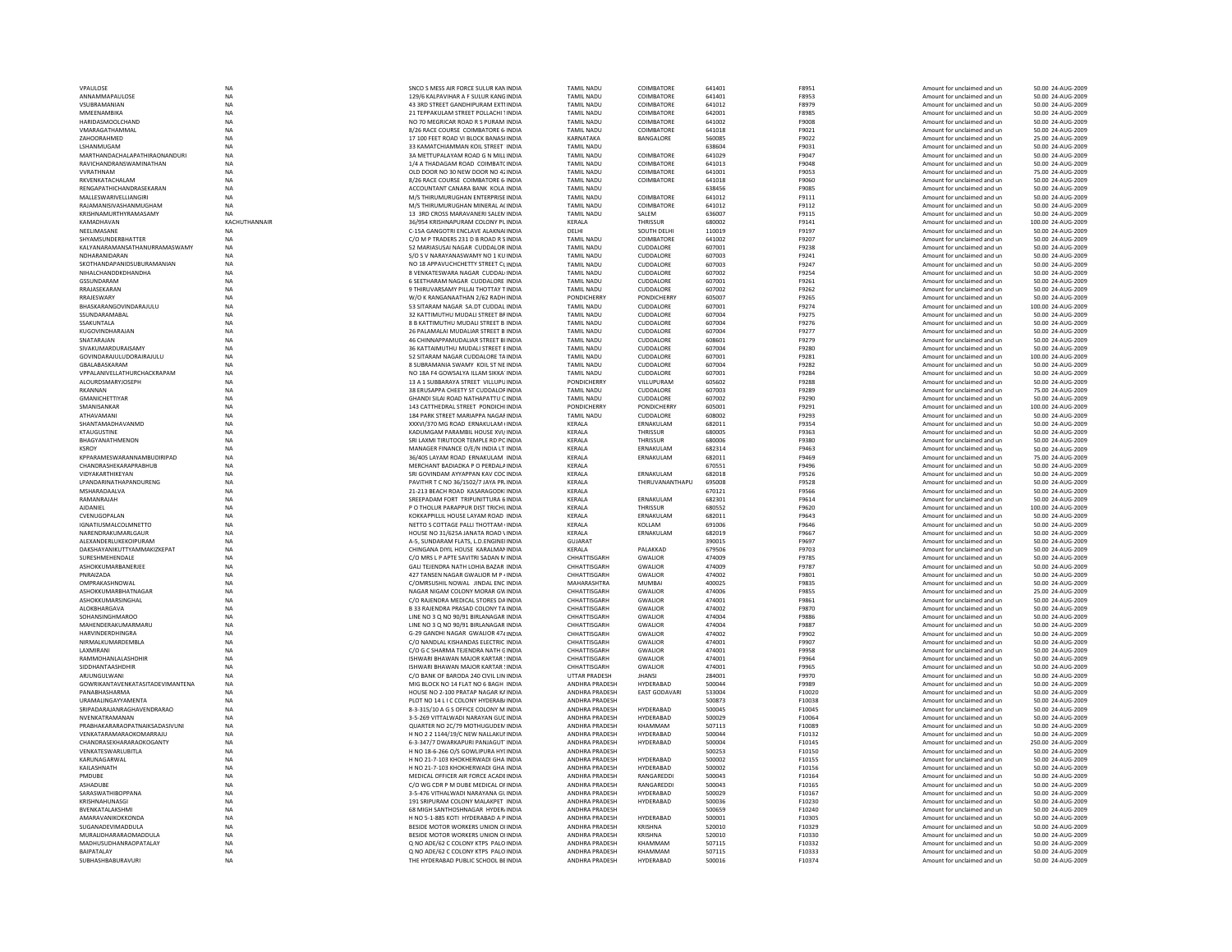| NA<br>129/6 KALPAVIHAR A F SULUR KANG INDIA<br><b>TAMIL NADU</b><br>COIMBATORE<br>641401<br>F8953<br>Amount for unclaimed and un<br>50.00 24-AUG-2009<br>VSUBRAMANIAN<br>TAMIL NADU<br>COIMBATORE<br>50.00 24-AUG-2009<br>NA<br>43 3RD STREET GANDHIPURAM EXTI INDIA<br>641012<br>F8979<br>Amount for unclaimed and un<br>NA<br>21 TEPPAKULAM STREET POLLACHI 1INDIA<br><b>TAMIL NADU</b><br>COIMBATORE<br>642001<br>F8985<br>Amount for unclaimed and un<br>50.00 24-AUG-2009<br>NO 70 MEGRICAR ROAD R S PURAM INDIA<br><b>TAMIL NADU</b><br>COIMBATORE<br><b>NA</b><br>641002<br>F9008<br>Amount for unclaimed and un<br>50.00 24-AUG-2009<br>VMARAGATHAMMAL<br><b>NA</b><br>641018<br>8/26 RACE COURSE COIMBATORE 6 INDIA<br><b>TAMIL NADU</b><br>COIMBATORE<br>F9021<br>Amount for unclaimed and un<br>50.00 24-AUG-2009<br>ZAHOORAHMED<br>NA<br>17 100 FEET ROAD VI BLOCK BANASHNDIA<br>KARNATAKA<br>BANGALORE<br>560085<br>F9022<br>25.00 24-AUG-2009<br>Amount for unclaimed and un<br>LSHANMUGAM<br>NA<br>33 KAMATCHIAMMAN KOIL STREET INDIA<br><b>TAMIL NADU</b><br>638604<br>F9031<br>Amount for unclaimed and un<br>50.00 24-AUG-2009<br>MARTHANDACHALAPATHIRAONANDURI<br><b>NA</b><br>3A METTUPALAYAM ROAD G N MILL INDIA<br><b>TAMIL NADU</b><br>COIMBATORE<br>641029<br>F9047<br>50.00 24-AUG-2009<br>Amount for unclaimed and un<br><b>TAMIL NADU</b><br>COIMBATORE<br>RAVICHANDRANSWAMINATHAN<br><b>NA</b><br>1/4 A THADAGAM ROAD COIMBATCINDIA<br>641013<br>F9048<br>50.00 24-AUG-2009<br>Amount for unclaimed and un<br><b>NA</b><br><b>VVRATHNAM</b><br>OLD DOOR NO 30 NEW DOOR NO 42 INDIA<br><b>TAMIL NADU</b><br>COIMBATORE<br>641001<br><b>F9053</b><br>Amount for unclaimed and un<br>75.00.24-AUG-2009<br>RKVENKATACHALAM<br>NA<br>8/26 RACE COURSE COIMBATORE 6 INDIA<br><b>TAMIL NADU</b><br>COIMBATORE<br>641018<br>F9060<br>50.00 24-AUG-2009<br>Amount for unclaimed and un<br>RENGAPATHICHANDRASEKARAN<br>NA<br>ACCOUNTANT CANARA BANK KOLA INDIA<br><b>TAMIL NADU</b><br>638456<br>F9085<br>Amount for unclaimed and un<br>50.00 24-AUG-2009<br>MALLESWARIVELLIANGIR<br><b>NA</b><br>M/S THIRUMURUGHAN ENTERPRISE INDIA<br>TAMIL NADU<br>COIMBATORE<br>641012<br>F9111<br>50.00 24-AUG-2009<br>Amount for unclaimed and un<br>RAJAMANISIVASHANMUGHAM<br><b>TAMIL NADU</b><br>COIMBATORE<br><b>NA</b><br>M/S THIRUMURUGHAN MINERAL ACINDIA<br>641012<br>F9112<br>Amount for unclaimed and un<br>50.00 24-AUG-2009<br>KRISHNAMURTHYRAMASAMY<br><b>NA</b><br>13 BRD CROSS MARAVANERI SALEM INDIA<br><b>TAMIL NADU</b><br>SAIFM<br>636007<br>F9115<br>Amount for unclaimed and un<br>50.00 24-AUG-2009<br>KAMADHAVAN<br>KACHUTHANNAIR<br>36/954 KRISHNAPURAM COLONY PL INDIA<br>KERALA<br>THRISSUR<br>680002<br>F9141<br>Amount for unclaimed and un<br>100.00 24-AUG-2009<br>NEELIMASANE<br>C-15A GANGOTRI ENCLAVE ALAKNAI INDIA<br>DELHI<br>SOUTH DELHI<br>110019<br>F9197<br>Amount for unclaimed and un<br>50.00 24-AUG-2009<br><b>NA</b><br>SHYAMSUNDERBHATTER<br>NA<br>C/O M P TRADERS 231 D B ROAD R SINDIA<br><b>TAMIL NADU</b><br>COIMBATORE<br>641002<br>F9207<br>50.00 24-AUG-2009<br>Amount for unclaimed and un<br>KAI YANARAMANSATHANI IRRAMASWAMY<br><b>TAMIL NADU</b><br><b>NA</b><br>52 MARIASUSAI NAGAR CUDDALOR INDIA<br><b>CUDDALORE</b><br>607001<br>F9238<br>Amount for unclaimed and un<br>50.00 24-AUG-2009<br>NDHARANIDARAN<br><b>NA</b><br>S/O S V NARAYANASWAMY NO 1 KUINDIA<br><b>TAMIL NADU</b><br>CUDDALORE<br>607003<br>F9241<br>Amount for unclaimed and un<br>50.00 24-AUG-2009<br>NA<br>TAMIL NADU<br>SKOTHANDAPANIDSUBURAMANIAN<br>NO 18 APPAVUCHCHETTY STREET CLINDIA<br>CUDDALORE<br>607003<br>F9247<br>Amount for unclaimed and un<br>50.00 24-AUG-2009<br>NIHALCHANDDKDHANDHA<br>8 VENKATESWARA NAGAR CUDDAL INDIA<br><b>TAMIL NADU</b><br>CUDDALORE<br>50.00 24-AUG-2009<br><b>NA</b><br>607002<br>F9254<br>Amount for unclaimed and un<br>GSSUNDARAM<br>NA<br>6 SEETHARAM NAGAR CUDDALORE INDIA<br><b>TAMIL NADU</b><br>CUDDALORE<br>607001<br>F9261<br>50.00 24-AUG-2009<br>Amount for unclaimed and un<br>RRAIASFKARAN<br><b>NA</b><br>9 THIRLIVARSAMY PILLAL THOTTAY TINDIA<br><b>TAMIL NADU</b><br><b>CUDDALORE</b><br>607002<br>F9262<br>Amount for unclaimed and un<br>50.00 24-AUG-2009<br><b>NA</b><br>W/O K RANGANAATHAN 2/62 RADH INDIA<br><b>PONDICHERRY</b><br><b>PONDICHERRY</b><br>605007<br>50.00 24-AUG-2009<br>F9265<br>Amount for unclaimed and un<br><b>NA</b><br>BHASKARANGOVINDARAJULU<br>53 SITARAM NAGAR SA,DT CUDDAL INDIA<br><b>TAMIL NADU</b><br>CUDDALORE<br>607001<br>F9274<br>Amount for unclaimed and un<br>100.00 24-AUG-2009<br>TAMIL NADU<br>NA<br>32 KATTIMUTHU MUDALI STREET BF INDIA<br>CUDDALORE<br>607004<br>F9275<br>50.00 24-AUG-2009<br>Amount for unclaimed and un<br><b>NA</b><br>8 B KATTIMUTHU MUDALI STREET B INDIA<br><b>TAMIL NADU</b><br>CUDDALORE<br>607004<br>F9276<br>50.00 24-AUG-2009<br>Amount for unclaimed and un<br><b>NA</b><br>26 PALAMALAI MUDALIAR STREET B INDIA<br><b>TAMIL NADU</b><br>CUDDALORE<br>607004<br>F9277<br>Amount for unclaimed and un<br>50.00 24-AUG-2009<br><b>NA</b><br>46 CHINNAPPAMUDALIAR STREET BIJNDIA<br><b>TAMIL NADU</b><br>CUDDALORE<br>50.00 24-AUG-2009<br>608601<br>F9279<br>Amount for unclaimed and un<br><b>NA</b><br>36 KATTAIMUTHU MUDALI STREET EINDIA<br><b>TAMIL NADU</b><br>CUDDALORE<br>607004<br>F9280<br>50.00 24-AUG-2009<br>Amount for unclaimed and un<br>52 SITARAM NAGAR CUDDALORE TA INDIA<br><b>TAMIL NADU</b><br>CUDDALORE<br>100.00 24-AUG-2009<br>NA<br>607001<br>F9281<br>Amount for unclaimed and un<br><b>NA</b><br><b>TAMIL NADU</b><br>CUDDALORE<br>607004<br>8 SUBRAMANIA SWAMY KOIL ST NE INDIA<br>F9282<br>Amount for unclaimed and un<br>50.00 24-AUG-2009<br>VPPALANIVELLATHURCHACKRAPAM<br>NA<br>NO 18A F4 GOWSALYA ILLAM SIKKA INDIA<br><b>TAMIL NADU</b><br>CUDDALORE<br>607001<br>F9284<br>50.00 24-AUG-2009<br>Amount for unclaimed and un<br>NA<br><b>PONDICHERRY</b><br>VILLUPURAM<br>13 A 1 SUBBARAYA STREET VILLUPU INDIA<br>605602<br>F9288<br>Amount for unclaimed and un<br>50.00 24-AUG-2009<br>NA<br>38 ERUSAPPA CHEETY ST CUDDALOF INDIA<br><b>TAMIL NADU</b><br>CUDDALORE<br>607003<br>F9289<br>75.00 24-AUG-2009<br>Amount for unclaimed and un<br><b>TAMIL NADU</b><br><b>NA</b><br>GHANDI SILAI ROAD NATHAPATTU C INDIA<br>CUDDALORE<br>607002<br>F9290<br>50.00 24-AUG-2009<br>Amount for unclaimed and un<br><b>NA</b><br>143 CATTHEDRAL STREET PONDICHI INDIA<br><b>PONDICHERRY</b><br><b>PONDICHERRY</b><br>605001<br>F9291<br>Amount for unclaimed and un<br>100.00 24-AUG-2009<br>NA<br>184 PARK STREET MARIAPPA NAGAF INDIA<br><b>TAMIL NADU</b><br>CUDDALORE<br>608002<br>F9293<br>50.00 24-AUG-2009<br>Amount for unclaimed and un<br>NA<br>XXXVI/370 MG ROAD ERNAKULAM IINDIA<br>KERALA<br>ERNAKULAM<br>682011<br>F9354<br>Amount for unclaimed and un<br>50.00 24-AUG-2009<br>NA<br>KADUMGAM PARAMBIL HOUSE XVI/ INDIA<br>KERALA<br>THRISSUR<br>680005<br>F9363<br>50.00 24-AUG-2009<br>Amount for unclaimed and un<br><b>NA</b><br>SRI LAXMI TIRUTOOR TEMPLE RD PC INDIA<br>KERALA<br>THRISSUR<br>50.00 24-AUG-2009<br>680006<br>F9380<br>Amount for unclaimed and un<br><b>NA</b><br>MANAGER FINANCE O/F/N INDIA IT INDIA<br><b>KFRAIA</b><br><b>FRNAKULAM</b><br>682314<br>F9463<br>Amount for unclaimed and un<br>50.00 24-AUG-2009<br>NA<br>36/405 LAYAM ROAD ERNAKULAM INDIA<br>KERALA<br>ERNAKULAM<br>682011<br>F9469<br>Amount for unclaimed and un<br>75.00 24-AUG-2009<br>NA<br>MERCHANT BADIADKA P O PERDALA INDIA<br>KERALA<br>670551<br>F9496<br>Amount for unclaimed and un<br>50.00 24-AUG-2009<br><b>NA</b><br>SRI GOVINDAM AYYAPPAN KAV COC INDIA<br>KERALA<br>ERNAKULAM<br>682018<br>F9526<br>50.00 24-AUG-2009<br>Amount for unclaimed and un<br><b>NA</b><br>KERALA<br>THIRUVANANTHAPU<br>PAVITHR T C NO 36/1502/7 JAYA PR INDIA<br>695008<br>F9528<br>Amount for unclaimed and un<br>50.00 24-AUG-2009<br><b>NA</b><br>21-213 BEACH ROAD KASARAGODKUNDIA<br><b>KFRAIA</b><br>670121<br>F9566<br>Amount for unclaimed and un<br>50.00 24-AUG-2009<br>NA<br>KERALA<br>ERNAKULAM<br>SREEPADAM FORT TRIPUNITTURA 6 INDIA<br>682301<br>F9614<br>Amount for unclaimed and un<br>50.00 24-AUG-2009<br><b>NA</b><br>P O THOLUR PARAPPUR DIST TRICHL INDIA<br>KERALA<br>THRISSUR<br>680552<br>F9620<br>100.00 24-AUG-2009<br>Amount for unclaimed and un<br><b>NA</b><br>682011<br>KOKKAPPILLIL HOUSE LAYAM ROAD INDIA<br>KERALA<br>ERNAKULAM<br>F9643<br>Amount for unclaimed and un<br>50.00 24-AUG-2009<br><b>NA</b><br>NETTO S COTTAGE PALLI THOTTAM UNDIA<br><b>KFRAIA</b><br>KOLLAM<br>691006<br>F9646<br>Amount for unclaimed and un<br>50.00 24-AUG-2009<br><b>NA</b><br>HOUSE NO 31/625A JANATA ROAD \INDIA<br>KERALA<br>ERNAKULAM<br>682019<br>F9667<br>Amount for unclaimed and un<br>50.00 24-AUG-2009<br>NA<br>A-5. SUNDARAM FLATS, L.D.ENGINEHNDIA<br><b>GUJARAT</b><br>390015<br>F9697<br>Amount for unclaimed and un<br>50.00 24-AUG-2009<br>DAKSHAYANIKUTTYAMMAKIZKEPAT<br>CHINGANA DIYIL HOUSE KARALMAN INDIA<br>KERALA<br>PALAKKAD<br>NA<br>679506<br>F9703<br>Amount for unclaimed and un<br>50.00 24-AUG-2009<br><b>NA</b><br>CHHATTISGARH<br>474009<br>C/O MRS LP APTE SAVITRI SADAN MINDIA<br><b>GWALIOR</b><br>F9785<br>Amount for unclaimed and un<br>50.00 24-AUG-2009<br><b>NA</b><br>GALI TEJENDRA NATH LOHIA BAZAR INDIA<br>CHHATTISGARH<br><b>GWALIOR</b><br>474009<br>F9787<br>Amount for unclaimed and un<br>50.00 24-AUG-2009<br>NA<br>427 TANSEN NAGAR GWALIOR M P < INDIA<br>CHHATTISGARH<br><b>GWALIOR</b><br>474002<br>50.00 24-AUG-2009<br>F9801<br>Amount for unclaimed and un<br>OMPRAKASHNOWAL<br><b>NA</b><br>C/OMRSUSHIL NOWAL JINDAL ENC INDIA<br>MAHARASHTRA<br><b>MUMBA</b><br>400025<br>F9835<br>50.00 24-AUG-2009<br>Amount for unclaimed and un<br>NA<br>NAGAR NIGAM COLONY MORAR GWINDIA<br>CHHATTISGARH<br><b>GWALIOR</b><br>474006<br>F9855<br>25.00 24-AUG-2009<br>Amount for unclaimed and un<br>ASHOKKUMARSINGHAL<br><b>NA</b><br>C/O RAIENDRA MEDICAL STORES DAINDIA<br>CHHATTISGARH<br><b>GWALIOR</b><br>474001<br>F9861<br>Amount for unclaimed and un<br>50.00 24-AUG-2009<br>ALOKBHARGAVA<br>NA<br>B 33 RAJENDRA PRASAD COLONY TA INDIA<br>CHHATTISGARH<br><b>GWALIOR</b><br>474002<br>F9870<br>50.00 24-AUG-2009<br>Amount for unclaimed and un<br>SOHANSINGHMAROO<br><b>NA</b><br>LINE NO 3 Q NO 90/91 BIRLANAGAR INDIA<br>CHHATTISGARH<br><b>GWALIOR</b><br>50.00 24-AUG-2009<br>474004<br>F9886<br>Amount for unclaimed and un<br>MAHENDERAKUMARMARU<br>NA<br>LINE NO 3 Q NO 90/91 BIRLANAGAR INDIA<br>CHHATTISGARH<br><b>GWALIOR</b><br>474004<br>F9887<br>50.00 24-AUG-2009<br>Amount for unclaimed and un<br><b>HARVINDERDHINGRA</b><br>CHHATTISGARH<br><b>GWALIOR</b><br>474002<br><b>NA</b><br>G-29 GANDHI NAGAR GWALIOR 474 INDIA<br>F9902<br>50.00 24-AUG-2009<br>Amount for unclaimed and un<br>NIRMALKUMARDEMBLA<br><b>NA</b><br>C/O NANDI AL KISHANDAS ELECTRIC INDIA<br>CHHATTISGARH<br><b>GWALIOR</b><br>474001<br>F9907<br>Amount for unclaimed and un<br>50.00 24-AUG-2009<br>LAXMIRANI<br>NA<br>C/O G C SHARMA TEJENDRA NATH GINDIA<br>CHHATTISGARH<br><b>GWALIOR</b><br>474001<br>F9958<br>50.00 24-AUG-2009<br>Amount for unclaimed and un<br>RAMMOHANLALASHDHIR<br>NA<br>ISHWARI BHAWAN MAJOR KARTAR ! INDIA<br>CHHATTISGARH<br><b>GWALIOR</b><br>474001<br>F9964<br>Amount for unclaimed and un<br>50.00 24-AUG-2009<br>NA<br>CHHATTISGARH<br>474001<br>SIDDHANTAASHDHIR<br>ISHWARI BHAWAN MAJOR KARTAR ! INDIA<br><b>GWALIOR</b><br>F9965<br>50.00 24-AUG-2009<br>Amount for unclaimed and un<br><b>UTTAR PRADESH</b><br><b>NA</b><br>C/O BANK OF BARODA 240 CIVIL LIN INDIA<br>284001<br>F9970<br>50.00 24-AUG-2009<br>ARJUNGULWANI<br><b>JHANSI</b><br>Amount for unclaimed and un<br>GOWRIKANTAVENKATASITADEVIMANTENA<br><b>NA</b><br>MIG BLOCK NO 14 FLAT NO 6 BAGH INDIA<br>ANDHRA PRADESH<br>HYDERABAD<br>500044<br>F9989<br>Amount for unclaimed and un<br>50.00 24-AUG-2009<br>PANABHASHARMA<br>NA<br>HOUSE NO 2-100 PRATAP NAGAR KAINDIA<br>ANDHRA PRADESH<br><b>EAST GODAVARI</b><br>533004<br>F10020<br>Amount for unclaimed and un<br>50.00 24-AUG-2009<br>URAMALINGAYYAMENTA<br>NA<br>PLOT NO 14 L I C COLONY HYDERAB/ INDIA<br>ANDHRA PRADESH<br>500873<br>F10038<br>Amount for unclaimed and un<br>50.00 24-AUG-2009<br>NA<br>SRIPADARAJANRAGHAVENDRARAO<br>8-3-315/10 A G S OFFICE COLONY M INDIA<br>ANDHRA PRADESH<br>HYDERABAD<br>500045<br>F10045<br>50.00 24-AUG-2009<br>Amount for unclaimed and un<br><b>NA</b><br>NVENKATRAMANAN<br>3-5-269 VITTALWADI NARAYAN GUE INDIA<br>ANDHRA PRADESH<br>HYDERABAD<br>500029<br>F10064<br>Amount for unclaimed and un<br>50.00 24-AUG-2009<br><b>PRABHAKARARAOPATNAIKSADASIVUNI</b><br><b>NA</b><br>OUARTER NO 2C/79 MOTHUGUDEM INDIA<br><b>ANDHRA PRADESH</b><br>KHAMMAM<br>507113<br>F10089<br>50.00 24-AUG-2009<br>Amount for unclaimed and un<br>VENKATARAMARAOKOMARRAJL<br>NA<br>ANDHRA PRADESH<br>HYDERABAD<br>H NO 2 2 1144/19/C NEW NALLAKUI INDIA<br>500044<br>F10132<br>Amount for unclaimed and un<br>50.00 24-AUG-2009<br>CHANDRASEKHARARAOKOGANTY<br><b>NA</b><br>6-3-347/7 DWARKAPURI PANJAGUT INDIA<br>ANDHRA PRADESH<br>HYDERABAD<br>500004<br>F10145<br>Amount for unclaimed and un<br>250.00 24-AUG-2009<br><b>NA</b><br>500253<br>VENKATESWARLUBITLA<br>H NO 18-6-266 O/S GOWLIPURA HYLINDIA<br>ANDHRA PRADESH<br>F10150<br>50.00 24-AUG-2009<br>Amount for unclaimed and un<br>KARUNAGARWAI<br><b>NA</b><br>H NO 21-7-103 KHOKHERWADI GHA INDIA<br><b>ANDHRA PRADESH</b><br>HYDERARAD<br>500002<br>F10155<br>Amount for unclaimed and un<br>50.00 24-AUG-2009<br>KAILASHNATH<br>NA<br>H NO 21-7-103 KHOKHERWADI GHA INDIA<br>ANDHRA PRADESH<br>50.00 24-AUG-2009<br><b>HYDERABAD</b><br>500002<br>F10156<br>Amount for unclaimed and un<br>NA<br>PMDUBE<br>MEDICAL OFFICER AIR FORCE ACADE INDIA<br>ANDHRA PRADESH<br>RANGAREDD<br>500043<br>F10164<br>Amount for unclaimed and un<br>50.00 24-AUG-2009<br>ASHADUBE<br>C/O WG CDR P M DUBE MEDICAL OF INDIA<br>ANDHRA PRADESH<br>RANGAREDD<br>500043<br>F10165<br>50.00 24-AUG-2009<br><b>NA</b><br>Amount for unclaimed and un<br>SARASWATHIBOPPANA<br><b>NA</b><br>HYDERABAD<br>500029<br>F10167<br>3-5-476 VITHALWADI NARAYANA GLINDIA<br>ANDHRA PRADESH<br>Amount for unclaimed and un<br>50.00 24-AUG-2009<br>KRISHNAHUNASGI<br><b>NA</b><br>191 SRIPURAM COLONY MALAKPET INDIA<br>ANDHRA PRADESH<br>HYDERABAD<br>500036<br>F10230<br>Amount for unclaimed and un<br>50.00 24-AUG-2009<br>BVENKATALAKSHMI<br>NA<br>68 MIGH SANTHOSHNAGAR HYDER/INDIA<br>ANDHRA PRADESH<br>500659<br>F10240<br>Amount for unclaimed and un<br>50.00 24-AUG-2009<br><b>AMARAVANIKOKKONDA</b><br><b>NA</b><br>H NO 5-1-885 KOTI HYDERABAD A P INDIA<br>ANDHRA PRADESH<br>HYDERABAD<br>500001<br>F10305<br>50.00 24-AUG-2009<br>Amount for unclaimed and un<br>SUGANADEVIMADDULA<br>BESIDE MOTOR WORKERS UNION OHNDIA<br>ANDHRA PRADESH<br><b>NA</b><br><b>KRISHNA</b><br>520010<br>F10329<br>50.00 24-AUG-2009<br>Amount for unclaimed and un<br>MURALIDHARARAOMADDULA<br><b>NA</b><br>BESIDE MOTOR WORKERS UNION OUNDIA<br><b>ANDHRA PRADESH</b><br>KRISHNA<br>520010<br>F10330<br>Amount for unclaimed and un<br>50.00 24-AUG-2009<br><b>NA</b><br>O NO ADE/62 C COLONY KTPS PALO INDIA<br>ANDHRA PRADESH<br>KHAMMAM<br>507115<br>F10332<br>Amount for unclaimed and un<br>50.00 24-AUG-2009<br><b>BAIPATALAY</b><br>NA<br>Q NO ADE/62 C COLONY KTPS PALO INDIA<br>ANDHRA PRADESH<br>KHAMMAM<br>507115<br>F10333<br>Amount for unclaimed and un<br>50.00 24-AUG-2009<br><b>NA</b><br>THE HYDERABAD PUBLIC SCHOOL BEINDIA<br>ANDHRA PRADESH<br><b>HYDERABAD</b><br>500016<br>F10374<br>Amount for unclaimed and un<br>50.00 24-AUG-2009 | VPAULOSE                   | <b>NA</b> | SNCO S MESS AIR FORCE SULUR KAN INDIA | <b>TAMIL NADU</b> | COIMBATORE | 641401 | F8951 | Amount for unclaimed and un | 50.00 24-AUG-2009 |
|--------------------------------------------------------------------------------------------------------------------------------------------------------------------------------------------------------------------------------------------------------------------------------------------------------------------------------------------------------------------------------------------------------------------------------------------------------------------------------------------------------------------------------------------------------------------------------------------------------------------------------------------------------------------------------------------------------------------------------------------------------------------------------------------------------------------------------------------------------------------------------------------------------------------------------------------------------------------------------------------------------------------------------------------------------------------------------------------------------------------------------------------------------------------------------------------------------------------------------------------------------------------------------------------------------------------------------------------------------------------------------------------------------------------------------------------------------------------------------------------------------------------------------------------------------------------------------------------------------------------------------------------------------------------------------------------------------------------------------------------------------------------------------------------------------------------------------------------------------------------------------------------------------------------------------------------------------------------------------------------------------------------------------------------------------------------------------------------------------------------------------------------------------------------------------------------------------------------------------------------------------------------------------------------------------------------------------------------------------------------------------------------------------------------------------------------------------------------------------------------------------------------------------------------------------------------------------------------------------------------------------------------------------------------------------------------------------------------------------------------------------------------------------------------------------------------------------------------------------------------------------------------------------------------------------------------------------------------------------------------------------------------------------------------------------------------------------------------------------------------------------------------------------------------------------------------------------------------------------------------------------------------------------------------------------------------------------------------------------------------------------------------------------------------------------------------------------------------------------------------------------------------------------------------------------------------------------------------------------------------------------------------------------------------------------------------------------------------------------------------------------------------------------------------------------------------------------------------------------------------------------------------------------------------------------------------------------------------------------------------------------------------------------------------------------------------------------------------------------------------------------------------------------------------------------------------------------------------------------------------------------------------------------------------------------------------------------------------------------------------------------------------------------------------------------------------------------------------------------------------------------------------------------------------------------------------------------------------------------------------------------------------------------------------------------------------------------------------------------------------------------------------------------------------------------------------------------------------------------------------------------------------------------------------------------------------------------------------------------------------------------------------------------------------------------------------------------------------------------------------------------------------------------------------------------------------------------------------------------------------------------------------------------------------------------------------------------------------------------------------------------------------------------------------------------------------------------------------------------------------------------------------------------------------------------------------------------------------------------------------------------------------------------------------------------------------------------------------------------------------------------------------------------------------------------------------------------------------------------------------------------------------------------------------------------------------------------------------------------------------------------------------------------------------------------------------------------------------------------------------------------------------------------------------------------------------------------------------------------------------------------------------------------------------------------------------------------------------------------------------------------------------------------------------------------------------------------------------------------------------------------------------------------------------------------------------------------------------------------------------------------------------------------------------------------------------------------------------------------------------------------------------------------------------------------------------------------------------------------------------------------------------------------------------------------------------------------------------------------------------------------------------------------------------------------------------------------------------------------------------------------------------------------------------------------------------------------------------------------------------------------------------------------------------------------------------------------------------------------------------------------------------------------------------------------------------------------------------------------------------------------------------------------------------------------------------------------------------------------------------------------------------------------------------------------------------------------------------------------------------------------------------------------------------------------------------------------------------------------------------------------------------------------------------------------------------------------------------------------------------------------------------------------------------------------------------------------------------------------------------------------------------------------------------------------------------------------------------------------------------------------------------------------------------------------------------------------------------------------------------------------------------------------------------------------------------------------------------------------------------------------------------------------------------------------------------------------------------------------------------------------------------------------------------------------------------------------------------------------------------------------------------------------------------------------------------------------------------------------------------------------------------------------------------------------------------------------------------------------------------------------------------------------------------------------------------------------------------------------------------------------------------------------------------------------------------------------------------------------------------------------------------------------------------------------------------------------------------------------------------------------------------------------------------------------------------------------------------------------------------------------------------------------------------------------------------------------------------------------------------------------------------------------------------------------------------------------------------------------------------------------------------------------------------------------------------------------------------------------------------------------------------------------------------------------------------------------------------------------------------------------------------------------------------------------------------------------------------------------------------------------------------------------------------------------------------------------------------------------------------------------------------------------------------------------------------------------------------------------------------------------------------------------------------------------------------------------------------------------------------------------------------------------------------------------------------------------------------------------------------------------------------------------------------------------------------------------------------------------------------------------------------------------------------------------------------------------------------------------------------------------------------------------------------------------------------------------------------------------------------------------------------------------------------------------------------------------------------------------------------------------------------------------------------------------------------------------------------------------------------------------------------------------------------------------------------------------------------------------------------------------------------------------------------------------------------------------------------------------------------------------------------------------------------------------------------------------------------------------------------------------------------------------------------------------------------------------------------------------------------------------------------------------------------------------------------------------------------------------------------------------------------------------------------------------------------------------------------------------------------------------------------------------------------------------------------------------------------------------------------------------------------------------------------------------------------------------------------------------------------------------------------------------------------------------------------------------------------------------------------------------------------------------------------------------------------------------------------------------------------------------------------------------------------------------------------------------------------------------------------------------------------------------------------------------------------------------------------------------------------------------------------------------------------------------------------------------------------------------------------------------------------------------------------------------------------------------------------------------------------------------------------------------------------------------------------------------------------------------------------------------------------------------------------------------------------------------------------------------------------------------------------------------------------------------------------------------------------------------------------------------------------------------------------------------------------------------------------------------------------------------------------------------------------------------------------------------------------------------------------------------------------------------------------------------------------------------------------------------------------------------------------------------------------------------------------------------------------------------------------------------------------------------------------------------------------------------------------------------------------------------------------------------------------------------------------------------------------------------------------------------------------------------------------------------------------------------------------------------------------------------------------------------------------------------------------------------------------------------------------------------------------------------------------------------------------------------------------------------------------------------------------------------------------------------------------------------------------------------------------------------------------------------------------------------------------------------------------------------------------------------------------------------------------------------------------------------------------------------------------------------------------------------------------------------------------------------------------------------------------------------------------------------------------------------------------------------------------------------------------------------------------------------------------------------------------------------------------------------------------------------------------------------------------------------------------------------------------------------------------------------------------------------------------------------------------------------------------------------------------------------------------------------------------------------------------------------------------------------------------------------------------------------------------------------------------------------------------------------------------------------------------------------------------|----------------------------|-----------|---------------------------------------|-------------------|------------|--------|-------|-----------------------------|-------------------|
|                                                                                                                                                                                                                                                                                                                                                                                                                                                                                                                                                                                                                                                                                                                                                                                                                                                                                                                                                                                                                                                                                                                                                                                                                                                                                                                                                                                                                                                                                                                                                                                                                                                                                                                                                                                                                                                                                                                                                                                                                                                                                                                                                                                                                                                                                                                                                                                                                                                                                                                                                                                                                                                                                                                                                                                                                                                                                                                                                                                                                                                                                                                                                                                                                                                                                                                                                                                                                                                                                                                                                                                                                                                                                                                                                                                                                                                                                                                                                                                                                                                                                                                                                                                                                                                                                                                                                                                                                                                                                                                                                                                                                                                                                                                                                                                                                                                                                                                                                                                                                                                                                                                                                                                                                                                                                                                                                                                                                                                                                                                                                                                                                                                                                                                                                                                                                                                                                                                                                                                                                                                                                                                                                                                                                                                                                                                                                                                                                                                                                                                                                                                                                                                                                                                                                                                                                                                                                                                                                                                                                                                                                                                                                                                                                                                                                                                                                                                                                                                                                                                                                                                                                                                                                                                                                                                                                                                                                                                                                                                                                                                                                                                                                                                                                                                                                                                                                                                                                                                                                                                                                                                                                                                                                                                                                                                                                                                                                                                                                                                                                                                                                                                                                                                                                                                                                                                                                                                                                                                                                                                                                                                                                                                                                                                                                                                                                                                                                                                                                                                                                                                                                                                                                                                                                                                                                                                                                                                                                                                                                                                                                                                                                                                                                                                                                                                                                                                                                                                                                                                                                                                                                                                                                                                                                                                                                                                                                                                                                                                                                                                                                                                                                                                                                                                                                                                                                                                                                                                                                                                                                                                                                                                                                                                                                                                                                                                                                                                                                                                                                                                                                                                                                                                                                                                                                                                                                                                                                                                                                                                                                                                                                                                                                                                                                                                                                                                                                                                                                                                                                                                                                                                                                                                                                                                                                                                                                                                                                                                                                                                                                                                                                                                                                                                                                                                                                                                                                                                                                                                                                                                                                                                                                                                                                                                                                                                                                                                                                                                                                                                                                                                                                                                                                                                                                                                                                                                                                                                                                                                                                                                                                                                                                                                                                                                                                                                            | ANNAMMAPAULOSE             |           |                                       |                   |            |        |       |                             |                   |
|                                                                                                                                                                                                                                                                                                                                                                                                                                                                                                                                                                                                                                                                                                                                                                                                                                                                                                                                                                                                                                                                                                                                                                                                                                                                                                                                                                                                                                                                                                                                                                                                                                                                                                                                                                                                                                                                                                                                                                                                                                                                                                                                                                                                                                                                                                                                                                                                                                                                                                                                                                                                                                                                                                                                                                                                                                                                                                                                                                                                                                                                                                                                                                                                                                                                                                                                                                                                                                                                                                                                                                                                                                                                                                                                                                                                                                                                                                                                                                                                                                                                                                                                                                                                                                                                                                                                                                                                                                                                                                                                                                                                                                                                                                                                                                                                                                                                                                                                                                                                                                                                                                                                                                                                                                                                                                                                                                                                                                                                                                                                                                                                                                                                                                                                                                                                                                                                                                                                                                                                                                                                                                                                                                                                                                                                                                                                                                                                                                                                                                                                                                                                                                                                                                                                                                                                                                                                                                                                                                                                                                                                                                                                                                                                                                                                                                                                                                                                                                                                                                                                                                                                                                                                                                                                                                                                                                                                                                                                                                                                                                                                                                                                                                                                                                                                                                                                                                                                                                                                                                                                                                                                                                                                                                                                                                                                                                                                                                                                                                                                                                                                                                                                                                                                                                                                                                                                                                                                                                                                                                                                                                                                                                                                                                                                                                                                                                                                                                                                                                                                                                                                                                                                                                                                                                                                                                                                                                                                                                                                                                                                                                                                                                                                                                                                                                                                                                                                                                                                                                                                                                                                                                                                                                                                                                                                                                                                                                                                                                                                                                                                                                                                                                                                                                                                                                                                                                                                                                                                                                                                                                                                                                                                                                                                                                                                                                                                                                                                                                                                                                                                                                                                                                                                                                                                                                                                                                                                                                                                                                                                                                                                                                                                                                                                                                                                                                                                                                                                                                                                                                                                                                                                                                                                                                                                                                                                                                                                                                                                                                                                                                                                                                                                                                                                                                                                                                                                                                                                                                                                                                                                                                                                                                                                                                                                                                                                                                                                                                                                                                                                                                                                                                                                                                                                                                                                                                                                                                                                                                                                                                                                                                                                                                                                                                                                                                                            |                            |           |                                       |                   |            |        |       |                             |                   |
|                                                                                                                                                                                                                                                                                                                                                                                                                                                                                                                                                                                                                                                                                                                                                                                                                                                                                                                                                                                                                                                                                                                                                                                                                                                                                                                                                                                                                                                                                                                                                                                                                                                                                                                                                                                                                                                                                                                                                                                                                                                                                                                                                                                                                                                                                                                                                                                                                                                                                                                                                                                                                                                                                                                                                                                                                                                                                                                                                                                                                                                                                                                                                                                                                                                                                                                                                                                                                                                                                                                                                                                                                                                                                                                                                                                                                                                                                                                                                                                                                                                                                                                                                                                                                                                                                                                                                                                                                                                                                                                                                                                                                                                                                                                                                                                                                                                                                                                                                                                                                                                                                                                                                                                                                                                                                                                                                                                                                                                                                                                                                                                                                                                                                                                                                                                                                                                                                                                                                                                                                                                                                                                                                                                                                                                                                                                                                                                                                                                                                                                                                                                                                                                                                                                                                                                                                                                                                                                                                                                                                                                                                                                                                                                                                                                                                                                                                                                                                                                                                                                                                                                                                                                                                                                                                                                                                                                                                                                                                                                                                                                                                                                                                                                                                                                                                                                                                                                                                                                                                                                                                                                                                                                                                                                                                                                                                                                                                                                                                                                                                                                                                                                                                                                                                                                                                                                                                                                                                                                                                                                                                                                                                                                                                                                                                                                                                                                                                                                                                                                                                                                                                                                                                                                                                                                                                                                                                                                                                                                                                                                                                                                                                                                                                                                                                                                                                                                                                                                                                                                                                                                                                                                                                                                                                                                                                                                                                                                                                                                                                                                                                                                                                                                                                                                                                                                                                                                                                                                                                                                                                                                                                                                                                                                                                                                                                                                                                                                                                                                                                                                                                                                                                                                                                                                                                                                                                                                                                                                                                                                                                                                                                                                                                                                                                                                                                                                                                                                                                                                                                                                                                                                                                                                                                                                                                                                                                                                                                                                                                                                                                                                                                                                                                                                                                                                                                                                                                                                                                                                                                                                                                                                                                                                                                                                                                                                                                                                                                                                                                                                                                                                                                                                                                                                                                                                                                                                                                                                                                                                                                                                                                                                                                                                                                                                                                                                            | MMEENAMBIKA                |           |                                       |                   |            |        |       |                             |                   |
|                                                                                                                                                                                                                                                                                                                                                                                                                                                                                                                                                                                                                                                                                                                                                                                                                                                                                                                                                                                                                                                                                                                                                                                                                                                                                                                                                                                                                                                                                                                                                                                                                                                                                                                                                                                                                                                                                                                                                                                                                                                                                                                                                                                                                                                                                                                                                                                                                                                                                                                                                                                                                                                                                                                                                                                                                                                                                                                                                                                                                                                                                                                                                                                                                                                                                                                                                                                                                                                                                                                                                                                                                                                                                                                                                                                                                                                                                                                                                                                                                                                                                                                                                                                                                                                                                                                                                                                                                                                                                                                                                                                                                                                                                                                                                                                                                                                                                                                                                                                                                                                                                                                                                                                                                                                                                                                                                                                                                                                                                                                                                                                                                                                                                                                                                                                                                                                                                                                                                                                                                                                                                                                                                                                                                                                                                                                                                                                                                                                                                                                                                                                                                                                                                                                                                                                                                                                                                                                                                                                                                                                                                                                                                                                                                                                                                                                                                                                                                                                                                                                                                                                                                                                                                                                                                                                                                                                                                                                                                                                                                                                                                                                                                                                                                                                                                                                                                                                                                                                                                                                                                                                                                                                                                                                                                                                                                                                                                                                                                                                                                                                                                                                                                                                                                                                                                                                                                                                                                                                                                                                                                                                                                                                                                                                                                                                                                                                                                                                                                                                                                                                                                                                                                                                                                                                                                                                                                                                                                                                                                                                                                                                                                                                                                                                                                                                                                                                                                                                                                                                                                                                                                                                                                                                                                                                                                                                                                                                                                                                                                                                                                                                                                                                                                                                                                                                                                                                                                                                                                                                                                                                                                                                                                                                                                                                                                                                                                                                                                                                                                                                                                                                                                                                                                                                                                                                                                                                                                                                                                                                                                                                                                                                                                                                                                                                                                                                                                                                                                                                                                                                                                                                                                                                                                                                                                                                                                                                                                                                                                                                                                                                                                                                                                                                                                                                                                                                                                                                                                                                                                                                                                                                                                                                                                                                                                                                                                                                                                                                                                                                                                                                                                                                                                                                                                                                                                                                                                                                                                                                                                                                                                                                                                                                                                                                                                                                            | <b>HARIDASMOOLCHAND</b>    |           |                                       |                   |            |        |       |                             |                   |
|                                                                                                                                                                                                                                                                                                                                                                                                                                                                                                                                                                                                                                                                                                                                                                                                                                                                                                                                                                                                                                                                                                                                                                                                                                                                                                                                                                                                                                                                                                                                                                                                                                                                                                                                                                                                                                                                                                                                                                                                                                                                                                                                                                                                                                                                                                                                                                                                                                                                                                                                                                                                                                                                                                                                                                                                                                                                                                                                                                                                                                                                                                                                                                                                                                                                                                                                                                                                                                                                                                                                                                                                                                                                                                                                                                                                                                                                                                                                                                                                                                                                                                                                                                                                                                                                                                                                                                                                                                                                                                                                                                                                                                                                                                                                                                                                                                                                                                                                                                                                                                                                                                                                                                                                                                                                                                                                                                                                                                                                                                                                                                                                                                                                                                                                                                                                                                                                                                                                                                                                                                                                                                                                                                                                                                                                                                                                                                                                                                                                                                                                                                                                                                                                                                                                                                                                                                                                                                                                                                                                                                                                                                                                                                                                                                                                                                                                                                                                                                                                                                                                                                                                                                                                                                                                                                                                                                                                                                                                                                                                                                                                                                                                                                                                                                                                                                                                                                                                                                                                                                                                                                                                                                                                                                                                                                                                                                                                                                                                                                                                                                                                                                                                                                                                                                                                                                                                                                                                                                                                                                                                                                                                                                                                                                                                                                                                                                                                                                                                                                                                                                                                                                                                                                                                                                                                                                                                                                                                                                                                                                                                                                                                                                                                                                                                                                                                                                                                                                                                                                                                                                                                                                                                                                                                                                                                                                                                                                                                                                                                                                                                                                                                                                                                                                                                                                                                                                                                                                                                                                                                                                                                                                                                                                                                                                                                                                                                                                                                                                                                                                                                                                                                                                                                                                                                                                                                                                                                                                                                                                                                                                                                                                                                                                                                                                                                                                                                                                                                                                                                                                                                                                                                                                                                                                                                                                                                                                                                                                                                                                                                                                                                                                                                                                                                                                                                                                                                                                                                                                                                                                                                                                                                                                                                                                                                                                                                                                                                                                                                                                                                                                                                                                                                                                                                                                                                                                                                                                                                                                                                                                                                                                                                                                                                                                                                                                                            |                            |           |                                       |                   |            |        |       |                             |                   |
|                                                                                                                                                                                                                                                                                                                                                                                                                                                                                                                                                                                                                                                                                                                                                                                                                                                                                                                                                                                                                                                                                                                                                                                                                                                                                                                                                                                                                                                                                                                                                                                                                                                                                                                                                                                                                                                                                                                                                                                                                                                                                                                                                                                                                                                                                                                                                                                                                                                                                                                                                                                                                                                                                                                                                                                                                                                                                                                                                                                                                                                                                                                                                                                                                                                                                                                                                                                                                                                                                                                                                                                                                                                                                                                                                                                                                                                                                                                                                                                                                                                                                                                                                                                                                                                                                                                                                                                                                                                                                                                                                                                                                                                                                                                                                                                                                                                                                                                                                                                                                                                                                                                                                                                                                                                                                                                                                                                                                                                                                                                                                                                                                                                                                                                                                                                                                                                                                                                                                                                                                                                                                                                                                                                                                                                                                                                                                                                                                                                                                                                                                                                                                                                                                                                                                                                                                                                                                                                                                                                                                                                                                                                                                                                                                                                                                                                                                                                                                                                                                                                                                                                                                                                                                                                                                                                                                                                                                                                                                                                                                                                                                                                                                                                                                                                                                                                                                                                                                                                                                                                                                                                                                                                                                                                                                                                                                                                                                                                                                                                                                                                                                                                                                                                                                                                                                                                                                                                                                                                                                                                                                                                                                                                                                                                                                                                                                                                                                                                                                                                                                                                                                                                                                                                                                                                                                                                                                                                                                                                                                                                                                                                                                                                                                                                                                                                                                                                                                                                                                                                                                                                                                                                                                                                                                                                                                                                                                                                                                                                                                                                                                                                                                                                                                                                                                                                                                                                                                                                                                                                                                                                                                                                                                                                                                                                                                                                                                                                                                                                                                                                                                                                                                                                                                                                                                                                                                                                                                                                                                                                                                                                                                                                                                                                                                                                                                                                                                                                                                                                                                                                                                                                                                                                                                                                                                                                                                                                                                                                                                                                                                                                                                                                                                                                                                                                                                                                                                                                                                                                                                                                                                                                                                                                                                                                                                                                                                                                                                                                                                                                                                                                                                                                                                                                                                                                                                                                                                                                                                                                                                                                                                                                                                                                                                                                                                                                            |                            |           |                                       |                   |            |        |       |                             |                   |
|                                                                                                                                                                                                                                                                                                                                                                                                                                                                                                                                                                                                                                                                                                                                                                                                                                                                                                                                                                                                                                                                                                                                                                                                                                                                                                                                                                                                                                                                                                                                                                                                                                                                                                                                                                                                                                                                                                                                                                                                                                                                                                                                                                                                                                                                                                                                                                                                                                                                                                                                                                                                                                                                                                                                                                                                                                                                                                                                                                                                                                                                                                                                                                                                                                                                                                                                                                                                                                                                                                                                                                                                                                                                                                                                                                                                                                                                                                                                                                                                                                                                                                                                                                                                                                                                                                                                                                                                                                                                                                                                                                                                                                                                                                                                                                                                                                                                                                                                                                                                                                                                                                                                                                                                                                                                                                                                                                                                                                                                                                                                                                                                                                                                                                                                                                                                                                                                                                                                                                                                                                                                                                                                                                                                                                                                                                                                                                                                                                                                                                                                                                                                                                                                                                                                                                                                                                                                                                                                                                                                                                                                                                                                                                                                                                                                                                                                                                                                                                                                                                                                                                                                                                                                                                                                                                                                                                                                                                                                                                                                                                                                                                                                                                                                                                                                                                                                                                                                                                                                                                                                                                                                                                                                                                                                                                                                                                                                                                                                                                                                                                                                                                                                                                                                                                                                                                                                                                                                                                                                                                                                                                                                                                                                                                                                                                                                                                                                                                                                                                                                                                                                                                                                                                                                                                                                                                                                                                                                                                                                                                                                                                                                                                                                                                                                                                                                                                                                                                                                                                                                                                                                                                                                                                                                                                                                                                                                                                                                                                                                                                                                                                                                                                                                                                                                                                                                                                                                                                                                                                                                                                                                                                                                                                                                                                                                                                                                                                                                                                                                                                                                                                                                                                                                                                                                                                                                                                                                                                                                                                                                                                                                                                                                                                                                                                                                                                                                                                                                                                                                                                                                                                                                                                                                                                                                                                                                                                                                                                                                                                                                                                                                                                                                                                                                                                                                                                                                                                                                                                                                                                                                                                                                                                                                                                                                                                                                                                                                                                                                                                                                                                                                                                                                                                                                                                                                                                                                                                                                                                                                                                                                                                                                                                                                                                                                                                                            |                            |           |                                       |                   |            |        |       |                             |                   |
|                                                                                                                                                                                                                                                                                                                                                                                                                                                                                                                                                                                                                                                                                                                                                                                                                                                                                                                                                                                                                                                                                                                                                                                                                                                                                                                                                                                                                                                                                                                                                                                                                                                                                                                                                                                                                                                                                                                                                                                                                                                                                                                                                                                                                                                                                                                                                                                                                                                                                                                                                                                                                                                                                                                                                                                                                                                                                                                                                                                                                                                                                                                                                                                                                                                                                                                                                                                                                                                                                                                                                                                                                                                                                                                                                                                                                                                                                                                                                                                                                                                                                                                                                                                                                                                                                                                                                                                                                                                                                                                                                                                                                                                                                                                                                                                                                                                                                                                                                                                                                                                                                                                                                                                                                                                                                                                                                                                                                                                                                                                                                                                                                                                                                                                                                                                                                                                                                                                                                                                                                                                                                                                                                                                                                                                                                                                                                                                                                                                                                                                                                                                                                                                                                                                                                                                                                                                                                                                                                                                                                                                                                                                                                                                                                                                                                                                                                                                                                                                                                                                                                                                                                                                                                                                                                                                                                                                                                                                                                                                                                                                                                                                                                                                                                                                                                                                                                                                                                                                                                                                                                                                                                                                                                                                                                                                                                                                                                                                                                                                                                                                                                                                                                                                                                                                                                                                                                                                                                                                                                                                                                                                                                                                                                                                                                                                                                                                                                                                                                                                                                                                                                                                                                                                                                                                                                                                                                                                                                                                                                                                                                                                                                                                                                                                                                                                                                                                                                                                                                                                                                                                                                                                                                                                                                                                                                                                                                                                                                                                                                                                                                                                                                                                                                                                                                                                                                                                                                                                                                                                                                                                                                                                                                                                                                                                                                                                                                                                                                                                                                                                                                                                                                                                                                                                                                                                                                                                                                                                                                                                                                                                                                                                                                                                                                                                                                                                                                                                                                                                                                                                                                                                                                                                                                                                                                                                                                                                                                                                                                                                                                                                                                                                                                                                                                                                                                                                                                                                                                                                                                                                                                                                                                                                                                                                                                                                                                                                                                                                                                                                                                                                                                                                                                                                                                                                                                                                                                                                                                                                                                                                                                                                                                                                                                                                                                                                            |                            |           |                                       |                   |            |        |       |                             |                   |
|                                                                                                                                                                                                                                                                                                                                                                                                                                                                                                                                                                                                                                                                                                                                                                                                                                                                                                                                                                                                                                                                                                                                                                                                                                                                                                                                                                                                                                                                                                                                                                                                                                                                                                                                                                                                                                                                                                                                                                                                                                                                                                                                                                                                                                                                                                                                                                                                                                                                                                                                                                                                                                                                                                                                                                                                                                                                                                                                                                                                                                                                                                                                                                                                                                                                                                                                                                                                                                                                                                                                                                                                                                                                                                                                                                                                                                                                                                                                                                                                                                                                                                                                                                                                                                                                                                                                                                                                                                                                                                                                                                                                                                                                                                                                                                                                                                                                                                                                                                                                                                                                                                                                                                                                                                                                                                                                                                                                                                                                                                                                                                                                                                                                                                                                                                                                                                                                                                                                                                                                                                                                                                                                                                                                                                                                                                                                                                                                                                                                                                                                                                                                                                                                                                                                                                                                                                                                                                                                                                                                                                                                                                                                                                                                                                                                                                                                                                                                                                                                                                                                                                                                                                                                                                                                                                                                                                                                                                                                                                                                                                                                                                                                                                                                                                                                                                                                                                                                                                                                                                                                                                                                                                                                                                                                                                                                                                                                                                                                                                                                                                                                                                                                                                                                                                                                                                                                                                                                                                                                                                                                                                                                                                                                                                                                                                                                                                                                                                                                                                                                                                                                                                                                                                                                                                                                                                                                                                                                                                                                                                                                                                                                                                                                                                                                                                                                                                                                                                                                                                                                                                                                                                                                                                                                                                                                                                                                                                                                                                                                                                                                                                                                                                                                                                                                                                                                                                                                                                                                                                                                                                                                                                                                                                                                                                                                                                                                                                                                                                                                                                                                                                                                                                                                                                                                                                                                                                                                                                                                                                                                                                                                                                                                                                                                                                                                                                                                                                                                                                                                                                                                                                                                                                                                                                                                                                                                                                                                                                                                                                                                                                                                                                                                                                                                                                                                                                                                                                                                                                                                                                                                                                                                                                                                                                                                                                                                                                                                                                                                                                                                                                                                                                                                                                                                                                                                                                                                                                                                                                                                                                                                                                                                                                                                                                                                                                                            |                            |           |                                       |                   |            |        |       |                             |                   |
|                                                                                                                                                                                                                                                                                                                                                                                                                                                                                                                                                                                                                                                                                                                                                                                                                                                                                                                                                                                                                                                                                                                                                                                                                                                                                                                                                                                                                                                                                                                                                                                                                                                                                                                                                                                                                                                                                                                                                                                                                                                                                                                                                                                                                                                                                                                                                                                                                                                                                                                                                                                                                                                                                                                                                                                                                                                                                                                                                                                                                                                                                                                                                                                                                                                                                                                                                                                                                                                                                                                                                                                                                                                                                                                                                                                                                                                                                                                                                                                                                                                                                                                                                                                                                                                                                                                                                                                                                                                                                                                                                                                                                                                                                                                                                                                                                                                                                                                                                                                                                                                                                                                                                                                                                                                                                                                                                                                                                                                                                                                                                                                                                                                                                                                                                                                                                                                                                                                                                                                                                                                                                                                                                                                                                                                                                                                                                                                                                                                                                                                                                                                                                                                                                                                                                                                                                                                                                                                                                                                                                                                                                                                                                                                                                                                                                                                                                                                                                                                                                                                                                                                                                                                                                                                                                                                                                                                                                                                                                                                                                                                                                                                                                                                                                                                                                                                                                                                                                                                                                                                                                                                                                                                                                                                                                                                                                                                                                                                                                                                                                                                                                                                                                                                                                                                                                                                                                                                                                                                                                                                                                                                                                                                                                                                                                                                                                                                                                                                                                                                                                                                                                                                                                                                                                                                                                                                                                                                                                                                                                                                                                                                                                                                                                                                                                                                                                                                                                                                                                                                                                                                                                                                                                                                                                                                                                                                                                                                                                                                                                                                                                                                                                                                                                                                                                                                                                                                                                                                                                                                                                                                                                                                                                                                                                                                                                                                                                                                                                                                                                                                                                                                                                                                                                                                                                                                                                                                                                                                                                                                                                                                                                                                                                                                                                                                                                                                                                                                                                                                                                                                                                                                                                                                                                                                                                                                                                                                                                                                                                                                                                                                                                                                                                                                                                                                                                                                                                                                                                                                                                                                                                                                                                                                                                                                                                                                                                                                                                                                                                                                                                                                                                                                                                                                                                                                                                                                                                                                                                                                                                                                                                                                                                                                                                                                                                                                            |                            |           |                                       |                   |            |        |       |                             |                   |
|                                                                                                                                                                                                                                                                                                                                                                                                                                                                                                                                                                                                                                                                                                                                                                                                                                                                                                                                                                                                                                                                                                                                                                                                                                                                                                                                                                                                                                                                                                                                                                                                                                                                                                                                                                                                                                                                                                                                                                                                                                                                                                                                                                                                                                                                                                                                                                                                                                                                                                                                                                                                                                                                                                                                                                                                                                                                                                                                                                                                                                                                                                                                                                                                                                                                                                                                                                                                                                                                                                                                                                                                                                                                                                                                                                                                                                                                                                                                                                                                                                                                                                                                                                                                                                                                                                                                                                                                                                                                                                                                                                                                                                                                                                                                                                                                                                                                                                                                                                                                                                                                                                                                                                                                                                                                                                                                                                                                                                                                                                                                                                                                                                                                                                                                                                                                                                                                                                                                                                                                                                                                                                                                                                                                                                                                                                                                                                                                                                                                                                                                                                                                                                                                                                                                                                                                                                                                                                                                                                                                                                                                                                                                                                                                                                                                                                                                                                                                                                                                                                                                                                                                                                                                                                                                                                                                                                                                                                                                                                                                                                                                                                                                                                                                                                                                                                                                                                                                                                                                                                                                                                                                                                                                                                                                                                                                                                                                                                                                                                                                                                                                                                                                                                                                                                                                                                                                                                                                                                                                                                                                                                                                                                                                                                                                                                                                                                                                                                                                                                                                                                                                                                                                                                                                                                                                                                                                                                                                                                                                                                                                                                                                                                                                                                                                                                                                                                                                                                                                                                                                                                                                                                                                                                                                                                                                                                                                                                                                                                                                                                                                                                                                                                                                                                                                                                                                                                                                                                                                                                                                                                                                                                                                                                                                                                                                                                                                                                                                                                                                                                                                                                                                                                                                                                                                                                                                                                                                                                                                                                                                                                                                                                                                                                                                                                                                                                                                                                                                                                                                                                                                                                                                                                                                                                                                                                                                                                                                                                                                                                                                                                                                                                                                                                                                                                                                                                                                                                                                                                                                                                                                                                                                                                                                                                                                                                                                                                                                                                                                                                                                                                                                                                                                                                                                                                                                                                                                                                                                                                                                                                                                                                                                                                                                                                                                                                                            |                            |           |                                       |                   |            |        |       |                             |                   |
|                                                                                                                                                                                                                                                                                                                                                                                                                                                                                                                                                                                                                                                                                                                                                                                                                                                                                                                                                                                                                                                                                                                                                                                                                                                                                                                                                                                                                                                                                                                                                                                                                                                                                                                                                                                                                                                                                                                                                                                                                                                                                                                                                                                                                                                                                                                                                                                                                                                                                                                                                                                                                                                                                                                                                                                                                                                                                                                                                                                                                                                                                                                                                                                                                                                                                                                                                                                                                                                                                                                                                                                                                                                                                                                                                                                                                                                                                                                                                                                                                                                                                                                                                                                                                                                                                                                                                                                                                                                                                                                                                                                                                                                                                                                                                                                                                                                                                                                                                                                                                                                                                                                                                                                                                                                                                                                                                                                                                                                                                                                                                                                                                                                                                                                                                                                                                                                                                                                                                                                                                                                                                                                                                                                                                                                                                                                                                                                                                                                                                                                                                                                                                                                                                                                                                                                                                                                                                                                                                                                                                                                                                                                                                                                                                                                                                                                                                                                                                                                                                                                                                                                                                                                                                                                                                                                                                                                                                                                                                                                                                                                                                                                                                                                                                                                                                                                                                                                                                                                                                                                                                                                                                                                                                                                                                                                                                                                                                                                                                                                                                                                                                                                                                                                                                                                                                                                                                                                                                                                                                                                                                                                                                                                                                                                                                                                                                                                                                                                                                                                                                                                                                                                                                                                                                                                                                                                                                                                                                                                                                                                                                                                                                                                                                                                                                                                                                                                                                                                                                                                                                                                                                                                                                                                                                                                                                                                                                                                                                                                                                                                                                                                                                                                                                                                                                                                                                                                                                                                                                                                                                                                                                                                                                                                                                                                                                                                                                                                                                                                                                                                                                                                                                                                                                                                                                                                                                                                                                                                                                                                                                                                                                                                                                                                                                                                                                                                                                                                                                                                                                                                                                                                                                                                                                                                                                                                                                                                                                                                                                                                                                                                                                                                                                                                                                                                                                                                                                                                                                                                                                                                                                                                                                                                                                                                                                                                                                                                                                                                                                                                                                                                                                                                                                                                                                                                                                                                                                                                                                                                                                                                                                                                                                                                                                                                                                                                            |                            |           |                                       |                   |            |        |       |                             |                   |
|                                                                                                                                                                                                                                                                                                                                                                                                                                                                                                                                                                                                                                                                                                                                                                                                                                                                                                                                                                                                                                                                                                                                                                                                                                                                                                                                                                                                                                                                                                                                                                                                                                                                                                                                                                                                                                                                                                                                                                                                                                                                                                                                                                                                                                                                                                                                                                                                                                                                                                                                                                                                                                                                                                                                                                                                                                                                                                                                                                                                                                                                                                                                                                                                                                                                                                                                                                                                                                                                                                                                                                                                                                                                                                                                                                                                                                                                                                                                                                                                                                                                                                                                                                                                                                                                                                                                                                                                                                                                                                                                                                                                                                                                                                                                                                                                                                                                                                                                                                                                                                                                                                                                                                                                                                                                                                                                                                                                                                                                                                                                                                                                                                                                                                                                                                                                                                                                                                                                                                                                                                                                                                                                                                                                                                                                                                                                                                                                                                                                                                                                                                                                                                                                                                                                                                                                                                                                                                                                                                                                                                                                                                                                                                                                                                                                                                                                                                                                                                                                                                                                                                                                                                                                                                                                                                                                                                                                                                                                                                                                                                                                                                                                                                                                                                                                                                                                                                                                                                                                                                                                                                                                                                                                                                                                                                                                                                                                                                                                                                                                                                                                                                                                                                                                                                                                                                                                                                                                                                                                                                                                                                                                                                                                                                                                                                                                                                                                                                                                                                                                                                                                                                                                                                                                                                                                                                                                                                                                                                                                                                                                                                                                                                                                                                                                                                                                                                                                                                                                                                                                                                                                                                                                                                                                                                                                                                                                                                                                                                                                                                                                                                                                                                                                                                                                                                                                                                                                                                                                                                                                                                                                                                                                                                                                                                                                                                                                                                                                                                                                                                                                                                                                                                                                                                                                                                                                                                                                                                                                                                                                                                                                                                                                                                                                                                                                                                                                                                                                                                                                                                                                                                                                                                                                                                                                                                                                                                                                                                                                                                                                                                                                                                                                                                                                                                                                                                                                                                                                                                                                                                                                                                                                                                                                                                                                                                                                                                                                                                                                                                                                                                                                                                                                                                                                                                                                                                                                                                                                                                                                                                                                                                                                                                                                                                                                                                                            |                            |           |                                       |                   |            |        |       |                             |                   |
|                                                                                                                                                                                                                                                                                                                                                                                                                                                                                                                                                                                                                                                                                                                                                                                                                                                                                                                                                                                                                                                                                                                                                                                                                                                                                                                                                                                                                                                                                                                                                                                                                                                                                                                                                                                                                                                                                                                                                                                                                                                                                                                                                                                                                                                                                                                                                                                                                                                                                                                                                                                                                                                                                                                                                                                                                                                                                                                                                                                                                                                                                                                                                                                                                                                                                                                                                                                                                                                                                                                                                                                                                                                                                                                                                                                                                                                                                                                                                                                                                                                                                                                                                                                                                                                                                                                                                                                                                                                                                                                                                                                                                                                                                                                                                                                                                                                                                                                                                                                                                                                                                                                                                                                                                                                                                                                                                                                                                                                                                                                                                                                                                                                                                                                                                                                                                                                                                                                                                                                                                                                                                                                                                                                                                                                                                                                                                                                                                                                                                                                                                                                                                                                                                                                                                                                                                                                                                                                                                                                                                                                                                                                                                                                                                                                                                                                                                                                                                                                                                                                                                                                                                                                                                                                                                                                                                                                                                                                                                                                                                                                                                                                                                                                                                                                                                                                                                                                                                                                                                                                                                                                                                                                                                                                                                                                                                                                                                                                                                                                                                                                                                                                                                                                                                                                                                                                                                                                                                                                                                                                                                                                                                                                                                                                                                                                                                                                                                                                                                                                                                                                                                                                                                                                                                                                                                                                                                                                                                                                                                                                                                                                                                                                                                                                                                                                                                                                                                                                                                                                                                                                                                                                                                                                                                                                                                                                                                                                                                                                                                                                                                                                                                                                                                                                                                                                                                                                                                                                                                                                                                                                                                                                                                                                                                                                                                                                                                                                                                                                                                                                                                                                                                                                                                                                                                                                                                                                                                                                                                                                                                                                                                                                                                                                                                                                                                                                                                                                                                                                                                                                                                                                                                                                                                                                                                                                                                                                                                                                                                                                                                                                                                                                                                                                                                                                                                                                                                                                                                                                                                                                                                                                                                                                                                                                                                                                                                                                                                                                                                                                                                                                                                                                                                                                                                                                                                                                                                                                                                                                                                                                                                                                                                                                                                                                                                                                            |                            |           |                                       |                   |            |        |       |                             |                   |
|                                                                                                                                                                                                                                                                                                                                                                                                                                                                                                                                                                                                                                                                                                                                                                                                                                                                                                                                                                                                                                                                                                                                                                                                                                                                                                                                                                                                                                                                                                                                                                                                                                                                                                                                                                                                                                                                                                                                                                                                                                                                                                                                                                                                                                                                                                                                                                                                                                                                                                                                                                                                                                                                                                                                                                                                                                                                                                                                                                                                                                                                                                                                                                                                                                                                                                                                                                                                                                                                                                                                                                                                                                                                                                                                                                                                                                                                                                                                                                                                                                                                                                                                                                                                                                                                                                                                                                                                                                                                                                                                                                                                                                                                                                                                                                                                                                                                                                                                                                                                                                                                                                                                                                                                                                                                                                                                                                                                                                                                                                                                                                                                                                                                                                                                                                                                                                                                                                                                                                                                                                                                                                                                                                                                                                                                                                                                                                                                                                                                                                                                                                                                                                                                                                                                                                                                                                                                                                                                                                                                                                                                                                                                                                                                                                                                                                                                                                                                                                                                                                                                                                                                                                                                                                                                                                                                                                                                                                                                                                                                                                                                                                                                                                                                                                                                                                                                                                                                                                                                                                                                                                                                                                                                                                                                                                                                                                                                                                                                                                                                                                                                                                                                                                                                                                                                                                                                                                                                                                                                                                                                                                                                                                                                                                                                                                                                                                                                                                                                                                                                                                                                                                                                                                                                                                                                                                                                                                                                                                                                                                                                                                                                                                                                                                                                                                                                                                                                                                                                                                                                                                                                                                                                                                                                                                                                                                                                                                                                                                                                                                                                                                                                                                                                                                                                                                                                                                                                                                                                                                                                                                                                                                                                                                                                                                                                                                                                                                                                                                                                                                                                                                                                                                                                                                                                                                                                                                                                                                                                                                                                                                                                                                                                                                                                                                                                                                                                                                                                                                                                                                                                                                                                                                                                                                                                                                                                                                                                                                                                                                                                                                                                                                                                                                                                                                                                                                                                                                                                                                                                                                                                                                                                                                                                                                                                                                                                                                                                                                                                                                                                                                                                                                                                                                                                                                                                                                                                                                                                                                                                                                                                                                                                                                                                                                                                                                                            |                            |           |                                       |                   |            |        |       |                             |                   |
|                                                                                                                                                                                                                                                                                                                                                                                                                                                                                                                                                                                                                                                                                                                                                                                                                                                                                                                                                                                                                                                                                                                                                                                                                                                                                                                                                                                                                                                                                                                                                                                                                                                                                                                                                                                                                                                                                                                                                                                                                                                                                                                                                                                                                                                                                                                                                                                                                                                                                                                                                                                                                                                                                                                                                                                                                                                                                                                                                                                                                                                                                                                                                                                                                                                                                                                                                                                                                                                                                                                                                                                                                                                                                                                                                                                                                                                                                                                                                                                                                                                                                                                                                                                                                                                                                                                                                                                                                                                                                                                                                                                                                                                                                                                                                                                                                                                                                                                                                                                                                                                                                                                                                                                                                                                                                                                                                                                                                                                                                                                                                                                                                                                                                                                                                                                                                                                                                                                                                                                                                                                                                                                                                                                                                                                                                                                                                                                                                                                                                                                                                                                                                                                                                                                                                                                                                                                                                                                                                                                                                                                                                                                                                                                                                                                                                                                                                                                                                                                                                                                                                                                                                                                                                                                                                                                                                                                                                                                                                                                                                                                                                                                                                                                                                                                                                                                                                                                                                                                                                                                                                                                                                                                                                                                                                                                                                                                                                                                                                                                                                                                                                                                                                                                                                                                                                                                                                                                                                                                                                                                                                                                                                                                                                                                                                                                                                                                                                                                                                                                                                                                                                                                                                                                                                                                                                                                                                                                                                                                                                                                                                                                                                                                                                                                                                                                                                                                                                                                                                                                                                                                                                                                                                                                                                                                                                                                                                                                                                                                                                                                                                                                                                                                                                                                                                                                                                                                                                                                                                                                                                                                                                                                                                                                                                                                                                                                                                                                                                                                                                                                                                                                                                                                                                                                                                                                                                                                                                                                                                                                                                                                                                                                                                                                                                                                                                                                                                                                                                                                                                                                                                                                                                                                                                                                                                                                                                                                                                                                                                                                                                                                                                                                                                                                                                                                                                                                                                                                                                                                                                                                                                                                                                                                                                                                                                                                                                                                                                                                                                                                                                                                                                                                                                                                                                                                                                                                                                                                                                                                                                                                                                                                                                                                                                                                                                                                            |                            |           |                                       |                   |            |        |       |                             |                   |
|                                                                                                                                                                                                                                                                                                                                                                                                                                                                                                                                                                                                                                                                                                                                                                                                                                                                                                                                                                                                                                                                                                                                                                                                                                                                                                                                                                                                                                                                                                                                                                                                                                                                                                                                                                                                                                                                                                                                                                                                                                                                                                                                                                                                                                                                                                                                                                                                                                                                                                                                                                                                                                                                                                                                                                                                                                                                                                                                                                                                                                                                                                                                                                                                                                                                                                                                                                                                                                                                                                                                                                                                                                                                                                                                                                                                                                                                                                                                                                                                                                                                                                                                                                                                                                                                                                                                                                                                                                                                                                                                                                                                                                                                                                                                                                                                                                                                                                                                                                                                                                                                                                                                                                                                                                                                                                                                                                                                                                                                                                                                                                                                                                                                                                                                                                                                                                                                                                                                                                                                                                                                                                                                                                                                                                                                                                                                                                                                                                                                                                                                                                                                                                                                                                                                                                                                                                                                                                                                                                                                                                                                                                                                                                                                                                                                                                                                                                                                                                                                                                                                                                                                                                                                                                                                                                                                                                                                                                                                                                                                                                                                                                                                                                                                                                                                                                                                                                                                                                                                                                                                                                                                                                                                                                                                                                                                                                                                                                                                                                                                                                                                                                                                                                                                                                                                                                                                                                                                                                                                                                                                                                                                                                                                                                                                                                                                                                                                                                                                                                                                                                                                                                                                                                                                                                                                                                                                                                                                                                                                                                                                                                                                                                                                                                                                                                                                                                                                                                                                                                                                                                                                                                                                                                                                                                                                                                                                                                                                                                                                                                                                                                                                                                                                                                                                                                                                                                                                                                                                                                                                                                                                                                                                                                                                                                                                                                                                                                                                                                                                                                                                                                                                                                                                                                                                                                                                                                                                                                                                                                                                                                                                                                                                                                                                                                                                                                                                                                                                                                                                                                                                                                                                                                                                                                                                                                                                                                                                                                                                                                                                                                                                                                                                                                                                                                                                                                                                                                                                                                                                                                                                                                                                                                                                                                                                                                                                                                                                                                                                                                                                                                                                                                                                                                                                                                                                                                                                                                                                                                                                                                                                                                                                                                                                                                                                                                                            |                            |           |                                       |                   |            |        |       |                             |                   |
|                                                                                                                                                                                                                                                                                                                                                                                                                                                                                                                                                                                                                                                                                                                                                                                                                                                                                                                                                                                                                                                                                                                                                                                                                                                                                                                                                                                                                                                                                                                                                                                                                                                                                                                                                                                                                                                                                                                                                                                                                                                                                                                                                                                                                                                                                                                                                                                                                                                                                                                                                                                                                                                                                                                                                                                                                                                                                                                                                                                                                                                                                                                                                                                                                                                                                                                                                                                                                                                                                                                                                                                                                                                                                                                                                                                                                                                                                                                                                                                                                                                                                                                                                                                                                                                                                                                                                                                                                                                                                                                                                                                                                                                                                                                                                                                                                                                                                                                                                                                                                                                                                                                                                                                                                                                                                                                                                                                                                                                                                                                                                                                                                                                                                                                                                                                                                                                                                                                                                                                                                                                                                                                                                                                                                                                                                                                                                                                                                                                                                                                                                                                                                                                                                                                                                                                                                                                                                                                                                                                                                                                                                                                                                                                                                                                                                                                                                                                                                                                                                                                                                                                                                                                                                                                                                                                                                                                                                                                                                                                                                                                                                                                                                                                                                                                                                                                                                                                                                                                                                                                                                                                                                                                                                                                                                                                                                                                                                                                                                                                                                                                                                                                                                                                                                                                                                                                                                                                                                                                                                                                                                                                                                                                                                                                                                                                                                                                                                                                                                                                                                                                                                                                                                                                                                                                                                                                                                                                                                                                                                                                                                                                                                                                                                                                                                                                                                                                                                                                                                                                                                                                                                                                                                                                                                                                                                                                                                                                                                                                                                                                                                                                                                                                                                                                                                                                                                                                                                                                                                                                                                                                                                                                                                                                                                                                                                                                                                                                                                                                                                                                                                                                                                                                                                                                                                                                                                                                                                                                                                                                                                                                                                                                                                                                                                                                                                                                                                                                                                                                                                                                                                                                                                                                                                                                                                                                                                                                                                                                                                                                                                                                                                                                                                                                                                                                                                                                                                                                                                                                                                                                                                                                                                                                                                                                                                                                                                                                                                                                                                                                                                                                                                                                                                                                                                                                                                                                                                                                                                                                                                                                                                                                                                                                                                                                                                                                            |                            |           |                                       |                   |            |        |       |                             |                   |
|                                                                                                                                                                                                                                                                                                                                                                                                                                                                                                                                                                                                                                                                                                                                                                                                                                                                                                                                                                                                                                                                                                                                                                                                                                                                                                                                                                                                                                                                                                                                                                                                                                                                                                                                                                                                                                                                                                                                                                                                                                                                                                                                                                                                                                                                                                                                                                                                                                                                                                                                                                                                                                                                                                                                                                                                                                                                                                                                                                                                                                                                                                                                                                                                                                                                                                                                                                                                                                                                                                                                                                                                                                                                                                                                                                                                                                                                                                                                                                                                                                                                                                                                                                                                                                                                                                                                                                                                                                                                                                                                                                                                                                                                                                                                                                                                                                                                                                                                                                                                                                                                                                                                                                                                                                                                                                                                                                                                                                                                                                                                                                                                                                                                                                                                                                                                                                                                                                                                                                                                                                                                                                                                                                                                                                                                                                                                                                                                                                                                                                                                                                                                                                                                                                                                                                                                                                                                                                                                                                                                                                                                                                                                                                                                                                                                                                                                                                                                                                                                                                                                                                                                                                                                                                                                                                                                                                                                                                                                                                                                                                                                                                                                                                                                                                                                                                                                                                                                                                                                                                                                                                                                                                                                                                                                                                                                                                                                                                                                                                                                                                                                                                                                                                                                                                                                                                                                                                                                                                                                                                                                                                                                                                                                                                                                                                                                                                                                                                                                                                                                                                                                                                                                                                                                                                                                                                                                                                                                                                                                                                                                                                                                                                                                                                                                                                                                                                                                                                                                                                                                                                                                                                                                                                                                                                                                                                                                                                                                                                                                                                                                                                                                                                                                                                                                                                                                                                                                                                                                                                                                                                                                                                                                                                                                                                                                                                                                                                                                                                                                                                                                                                                                                                                                                                                                                                                                                                                                                                                                                                                                                                                                                                                                                                                                                                                                                                                                                                                                                                                                                                                                                                                                                                                                                                                                                                                                                                                                                                                                                                                                                                                                                                                                                                                                                                                                                                                                                                                                                                                                                                                                                                                                                                                                                                                                                                                                                                                                                                                                                                                                                                                                                                                                                                                                                                                                                                                                                                                                                                                                                                                                                                                                                                                                                                                                                                                            |                            |           |                                       |                   |            |        |       |                             |                   |
|                                                                                                                                                                                                                                                                                                                                                                                                                                                                                                                                                                                                                                                                                                                                                                                                                                                                                                                                                                                                                                                                                                                                                                                                                                                                                                                                                                                                                                                                                                                                                                                                                                                                                                                                                                                                                                                                                                                                                                                                                                                                                                                                                                                                                                                                                                                                                                                                                                                                                                                                                                                                                                                                                                                                                                                                                                                                                                                                                                                                                                                                                                                                                                                                                                                                                                                                                                                                                                                                                                                                                                                                                                                                                                                                                                                                                                                                                                                                                                                                                                                                                                                                                                                                                                                                                                                                                                                                                                                                                                                                                                                                                                                                                                                                                                                                                                                                                                                                                                                                                                                                                                                                                                                                                                                                                                                                                                                                                                                                                                                                                                                                                                                                                                                                                                                                                                                                                                                                                                                                                                                                                                                                                                                                                                                                                                                                                                                                                                                                                                                                                                                                                                                                                                                                                                                                                                                                                                                                                                                                                                                                                                                                                                                                                                                                                                                                                                                                                                                                                                                                                                                                                                                                                                                                                                                                                                                                                                                                                                                                                                                                                                                                                                                                                                                                                                                                                                                                                                                                                                                                                                                                                                                                                                                                                                                                                                                                                                                                                                                                                                                                                                                                                                                                                                                                                                                                                                                                                                                                                                                                                                                                                                                                                                                                                                                                                                                                                                                                                                                                                                                                                                                                                                                                                                                                                                                                                                                                                                                                                                                                                                                                                                                                                                                                                                                                                                                                                                                                                                                                                                                                                                                                                                                                                                                                                                                                                                                                                                                                                                                                                                                                                                                                                                                                                                                                                                                                                                                                                                                                                                                                                                                                                                                                                                                                                                                                                                                                                                                                                                                                                                                                                                                                                                                                                                                                                                                                                                                                                                                                                                                                                                                                                                                                                                                                                                                                                                                                                                                                                                                                                                                                                                                                                                                                                                                                                                                                                                                                                                                                                                                                                                                                                                                                                                                                                                                                                                                                                                                                                                                                                                                                                                                                                                                                                                                                                                                                                                                                                                                                                                                                                                                                                                                                                                                                                                                                                                                                                                                                                                                                                                                                                                                                                                                                                                                            |                            |           |                                       |                   |            |        |       |                             |                   |
|                                                                                                                                                                                                                                                                                                                                                                                                                                                                                                                                                                                                                                                                                                                                                                                                                                                                                                                                                                                                                                                                                                                                                                                                                                                                                                                                                                                                                                                                                                                                                                                                                                                                                                                                                                                                                                                                                                                                                                                                                                                                                                                                                                                                                                                                                                                                                                                                                                                                                                                                                                                                                                                                                                                                                                                                                                                                                                                                                                                                                                                                                                                                                                                                                                                                                                                                                                                                                                                                                                                                                                                                                                                                                                                                                                                                                                                                                                                                                                                                                                                                                                                                                                                                                                                                                                                                                                                                                                                                                                                                                                                                                                                                                                                                                                                                                                                                                                                                                                                                                                                                                                                                                                                                                                                                                                                                                                                                                                                                                                                                                                                                                                                                                                                                                                                                                                                                                                                                                                                                                                                                                                                                                                                                                                                                                                                                                                                                                                                                                                                                                                                                                                                                                                                                                                                                                                                                                                                                                                                                                                                                                                                                                                                                                                                                                                                                                                                                                                                                                                                                                                                                                                                                                                                                                                                                                                                                                                                                                                                                                                                                                                                                                                                                                                                                                                                                                                                                                                                                                                                                                                                                                                                                                                                                                                                                                                                                                                                                                                                                                                                                                                                                                                                                                                                                                                                                                                                                                                                                                                                                                                                                                                                                                                                                                                                                                                                                                                                                                                                                                                                                                                                                                                                                                                                                                                                                                                                                                                                                                                                                                                                                                                                                                                                                                                                                                                                                                                                                                                                                                                                                                                                                                                                                                                                                                                                                                                                                                                                                                                                                                                                                                                                                                                                                                                                                                                                                                                                                                                                                                                                                                                                                                                                                                                                                                                                                                                                                                                                                                                                                                                                                                                                                                                                                                                                                                                                                                                                                                                                                                                                                                                                                                                                                                                                                                                                                                                                                                                                                                                                                                                                                                                                                                                                                                                                                                                                                                                                                                                                                                                                                                                                                                                                                                                                                                                                                                                                                                                                                                                                                                                                                                                                                                                                                                                                                                                                                                                                                                                                                                                                                                                                                                                                                                                                                                                                                                                                                                                                                                                                                                                                                                                                                                                                                                                                            |                            |           |                                       |                   |            |        |       |                             |                   |
|                                                                                                                                                                                                                                                                                                                                                                                                                                                                                                                                                                                                                                                                                                                                                                                                                                                                                                                                                                                                                                                                                                                                                                                                                                                                                                                                                                                                                                                                                                                                                                                                                                                                                                                                                                                                                                                                                                                                                                                                                                                                                                                                                                                                                                                                                                                                                                                                                                                                                                                                                                                                                                                                                                                                                                                                                                                                                                                                                                                                                                                                                                                                                                                                                                                                                                                                                                                                                                                                                                                                                                                                                                                                                                                                                                                                                                                                                                                                                                                                                                                                                                                                                                                                                                                                                                                                                                                                                                                                                                                                                                                                                                                                                                                                                                                                                                                                                                                                                                                                                                                                                                                                                                                                                                                                                                                                                                                                                                                                                                                                                                                                                                                                                                                                                                                                                                                                                                                                                                                                                                                                                                                                                                                                                                                                                                                                                                                                                                                                                                                                                                                                                                                                                                                                                                                                                                                                                                                                                                                                                                                                                                                                                                                                                                                                                                                                                                                                                                                                                                                                                                                                                                                                                                                                                                                                                                                                                                                                                                                                                                                                                                                                                                                                                                                                                                                                                                                                                                                                                                                                                                                                                                                                                                                                                                                                                                                                                                                                                                                                                                                                                                                                                                                                                                                                                                                                                                                                                                                                                                                                                                                                                                                                                                                                                                                                                                                                                                                                                                                                                                                                                                                                                                                                                                                                                                                                                                                                                                                                                                                                                                                                                                                                                                                                                                                                                                                                                                                                                                                                                                                                                                                                                                                                                                                                                                                                                                                                                                                                                                                                                                                                                                                                                                                                                                                                                                                                                                                                                                                                                                                                                                                                                                                                                                                                                                                                                                                                                                                                                                                                                                                                                                                                                                                                                                                                                                                                                                                                                                                                                                                                                                                                                                                                                                                                                                                                                                                                                                                                                                                                                                                                                                                                                                                                                                                                                                                                                                                                                                                                                                                                                                                                                                                                                                                                                                                                                                                                                                                                                                                                                                                                                                                                                                                                                                                                                                                                                                                                                                                                                                                                                                                                                                                                                                                                                                                                                                                                                                                                                                                                                                                                                                                                                                                                                                                            |                            |           |                                       |                   |            |        |       |                             |                   |
|                                                                                                                                                                                                                                                                                                                                                                                                                                                                                                                                                                                                                                                                                                                                                                                                                                                                                                                                                                                                                                                                                                                                                                                                                                                                                                                                                                                                                                                                                                                                                                                                                                                                                                                                                                                                                                                                                                                                                                                                                                                                                                                                                                                                                                                                                                                                                                                                                                                                                                                                                                                                                                                                                                                                                                                                                                                                                                                                                                                                                                                                                                                                                                                                                                                                                                                                                                                                                                                                                                                                                                                                                                                                                                                                                                                                                                                                                                                                                                                                                                                                                                                                                                                                                                                                                                                                                                                                                                                                                                                                                                                                                                                                                                                                                                                                                                                                                                                                                                                                                                                                                                                                                                                                                                                                                                                                                                                                                                                                                                                                                                                                                                                                                                                                                                                                                                                                                                                                                                                                                                                                                                                                                                                                                                                                                                                                                                                                                                                                                                                                                                                                                                                                                                                                                                                                                                                                                                                                                                                                                                                                                                                                                                                                                                                                                                                                                                                                                                                                                                                                                                                                                                                                                                                                                                                                                                                                                                                                                                                                                                                                                                                                                                                                                                                                                                                                                                                                                                                                                                                                                                                                                                                                                                                                                                                                                                                                                                                                                                                                                                                                                                                                                                                                                                                                                                                                                                                                                                                                                                                                                                                                                                                                                                                                                                                                                                                                                                                                                                                                                                                                                                                                                                                                                                                                                                                                                                                                                                                                                                                                                                                                                                                                                                                                                                                                                                                                                                                                                                                                                                                                                                                                                                                                                                                                                                                                                                                                                                                                                                                                                                                                                                                                                                                                                                                                                                                                                                                                                                                                                                                                                                                                                                                                                                                                                                                                                                                                                                                                                                                                                                                                                                                                                                                                                                                                                                                                                                                                                                                                                                                                                                                                                                                                                                                                                                                                                                                                                                                                                                                                                                                                                                                                                                                                                                                                                                                                                                                                                                                                                                                                                                                                                                                                                                                                                                                                                                                                                                                                                                                                                                                                                                                                                                                                                                                                                                                                                                                                                                                                                                                                                                                                                                                                                                                                                                                                                                                                                                                                                                                                                                                                                                                                                                                                                                                            |                            |           |                                       |                   |            |        |       |                             |                   |
|                                                                                                                                                                                                                                                                                                                                                                                                                                                                                                                                                                                                                                                                                                                                                                                                                                                                                                                                                                                                                                                                                                                                                                                                                                                                                                                                                                                                                                                                                                                                                                                                                                                                                                                                                                                                                                                                                                                                                                                                                                                                                                                                                                                                                                                                                                                                                                                                                                                                                                                                                                                                                                                                                                                                                                                                                                                                                                                                                                                                                                                                                                                                                                                                                                                                                                                                                                                                                                                                                                                                                                                                                                                                                                                                                                                                                                                                                                                                                                                                                                                                                                                                                                                                                                                                                                                                                                                                                                                                                                                                                                                                                                                                                                                                                                                                                                                                                                                                                                                                                                                                                                                                                                                                                                                                                                                                                                                                                                                                                                                                                                                                                                                                                                                                                                                                                                                                                                                                                                                                                                                                                                                                                                                                                                                                                                                                                                                                                                                                                                                                                                                                                                                                                                                                                                                                                                                                                                                                                                                                                                                                                                                                                                                                                                                                                                                                                                                                                                                                                                                                                                                                                                                                                                                                                                                                                                                                                                                                                                                                                                                                                                                                                                                                                                                                                                                                                                                                                                                                                                                                                                                                                                                                                                                                                                                                                                                                                                                                                                                                                                                                                                                                                                                                                                                                                                                                                                                                                                                                                                                                                                                                                                                                                                                                                                                                                                                                                                                                                                                                                                                                                                                                                                                                                                                                                                                                                                                                                                                                                                                                                                                                                                                                                                                                                                                                                                                                                                                                                                                                                                                                                                                                                                                                                                                                                                                                                                                                                                                                                                                                                                                                                                                                                                                                                                                                                                                                                                                                                                                                                                                                                                                                                                                                                                                                                                                                                                                                                                                                                                                                                                                                                                                                                                                                                                                                                                                                                                                                                                                                                                                                                                                                                                                                                                                                                                                                                                                                                                                                                                                                                                                                                                                                                                                                                                                                                                                                                                                                                                                                                                                                                                                                                                                                                                                                                                                                                                                                                                                                                                                                                                                                                                                                                                                                                                                                                                                                                                                                                                                                                                                                                                                                                                                                                                                                                                                                                                                                                                                                                                                                                                                                                                                                                                                                                                                            | RRAJESWARY                 |           |                                       |                   |            |        |       |                             |                   |
|                                                                                                                                                                                                                                                                                                                                                                                                                                                                                                                                                                                                                                                                                                                                                                                                                                                                                                                                                                                                                                                                                                                                                                                                                                                                                                                                                                                                                                                                                                                                                                                                                                                                                                                                                                                                                                                                                                                                                                                                                                                                                                                                                                                                                                                                                                                                                                                                                                                                                                                                                                                                                                                                                                                                                                                                                                                                                                                                                                                                                                                                                                                                                                                                                                                                                                                                                                                                                                                                                                                                                                                                                                                                                                                                                                                                                                                                                                                                                                                                                                                                                                                                                                                                                                                                                                                                                                                                                                                                                                                                                                                                                                                                                                                                                                                                                                                                                                                                                                                                                                                                                                                                                                                                                                                                                                                                                                                                                                                                                                                                                                                                                                                                                                                                                                                                                                                                                                                                                                                                                                                                                                                                                                                                                                                                                                                                                                                                                                                                                                                                                                                                                                                                                                                                                                                                                                                                                                                                                                                                                                                                                                                                                                                                                                                                                                                                                                                                                                                                                                                                                                                                                                                                                                                                                                                                                                                                                                                                                                                                                                                                                                                                                                                                                                                                                                                                                                                                                                                                                                                                                                                                                                                                                                                                                                                                                                                                                                                                                                                                                                                                                                                                                                                                                                                                                                                                                                                                                                                                                                                                                                                                                                                                                                                                                                                                                                                                                                                                                                                                                                                                                                                                                                                                                                                                                                                                                                                                                                                                                                                                                                                                                                                                                                                                                                                                                                                                                                                                                                                                                                                                                                                                                                                                                                                                                                                                                                                                                                                                                                                                                                                                                                                                                                                                                                                                                                                                                                                                                                                                                                                                                                                                                                                                                                                                                                                                                                                                                                                                                                                                                                                                                                                                                                                                                                                                                                                                                                                                                                                                                                                                                                                                                                                                                                                                                                                                                                                                                                                                                                                                                                                                                                                                                                                                                                                                                                                                                                                                                                                                                                                                                                                                                                                                                                                                                                                                                                                                                                                                                                                                                                                                                                                                                                                                                                                                                                                                                                                                                                                                                                                                                                                                                                                                                                                                                                                                                                                                                                                                                                                                                                                                                                                                                                                                                                                            |                            |           |                                       |                   |            |        |       |                             |                   |
|                                                                                                                                                                                                                                                                                                                                                                                                                                                                                                                                                                                                                                                                                                                                                                                                                                                                                                                                                                                                                                                                                                                                                                                                                                                                                                                                                                                                                                                                                                                                                                                                                                                                                                                                                                                                                                                                                                                                                                                                                                                                                                                                                                                                                                                                                                                                                                                                                                                                                                                                                                                                                                                                                                                                                                                                                                                                                                                                                                                                                                                                                                                                                                                                                                                                                                                                                                                                                                                                                                                                                                                                                                                                                                                                                                                                                                                                                                                                                                                                                                                                                                                                                                                                                                                                                                                                                                                                                                                                                                                                                                                                                                                                                                                                                                                                                                                                                                                                                                                                                                                                                                                                                                                                                                                                                                                                                                                                                                                                                                                                                                                                                                                                                                                                                                                                                                                                                                                                                                                                                                                                                                                                                                                                                                                                                                                                                                                                                                                                                                                                                                                                                                                                                                                                                                                                                                                                                                                                                                                                                                                                                                                                                                                                                                                                                                                                                                                                                                                                                                                                                                                                                                                                                                                                                                                                                                                                                                                                                                                                                                                                                                                                                                                                                                                                                                                                                                                                                                                                                                                                                                                                                                                                                                                                                                                                                                                                                                                                                                                                                                                                                                                                                                                                                                                                                                                                                                                                                                                                                                                                                                                                                                                                                                                                                                                                                                                                                                                                                                                                                                                                                                                                                                                                                                                                                                                                                                                                                                                                                                                                                                                                                                                                                                                                                                                                                                                                                                                                                                                                                                                                                                                                                                                                                                                                                                                                                                                                                                                                                                                                                                                                                                                                                                                                                                                                                                                                                                                                                                                                                                                                                                                                                                                                                                                                                                                                                                                                                                                                                                                                                                                                                                                                                                                                                                                                                                                                                                                                                                                                                                                                                                                                                                                                                                                                                                                                                                                                                                                                                                                                                                                                                                                                                                                                                                                                                                                                                                                                                                                                                                                                                                                                                                                                                                                                                                                                                                                                                                                                                                                                                                                                                                                                                                                                                                                                                                                                                                                                                                                                                                                                                                                                                                                                                                                                                                                                                                                                                                                                                                                                                                                                                                                                                                                                                                                            | SSUNDARAMABAL              |           |                                       |                   |            |        |       |                             |                   |
|                                                                                                                                                                                                                                                                                                                                                                                                                                                                                                                                                                                                                                                                                                                                                                                                                                                                                                                                                                                                                                                                                                                                                                                                                                                                                                                                                                                                                                                                                                                                                                                                                                                                                                                                                                                                                                                                                                                                                                                                                                                                                                                                                                                                                                                                                                                                                                                                                                                                                                                                                                                                                                                                                                                                                                                                                                                                                                                                                                                                                                                                                                                                                                                                                                                                                                                                                                                                                                                                                                                                                                                                                                                                                                                                                                                                                                                                                                                                                                                                                                                                                                                                                                                                                                                                                                                                                                                                                                                                                                                                                                                                                                                                                                                                                                                                                                                                                                                                                                                                                                                                                                                                                                                                                                                                                                                                                                                                                                                                                                                                                                                                                                                                                                                                                                                                                                                                                                                                                                                                                                                                                                                                                                                                                                                                                                                                                                                                                                                                                                                                                                                                                                                                                                                                                                                                                                                                                                                                                                                                                                                                                                                                                                                                                                                                                                                                                                                                                                                                                                                                                                                                                                                                                                                                                                                                                                                                                                                                                                                                                                                                                                                                                                                                                                                                                                                                                                                                                                                                                                                                                                                                                                                                                                                                                                                                                                                                                                                                                                                                                                                                                                                                                                                                                                                                                                                                                                                                                                                                                                                                                                                                                                                                                                                                                                                                                                                                                                                                                                                                                                                                                                                                                                                                                                                                                                                                                                                                                                                                                                                                                                                                                                                                                                                                                                                                                                                                                                                                                                                                                                                                                                                                                                                                                                                                                                                                                                                                                                                                                                                                                                                                                                                                                                                                                                                                                                                                                                                                                                                                                                                                                                                                                                                                                                                                                                                                                                                                                                                                                                                                                                                                                                                                                                                                                                                                                                                                                                                                                                                                                                                                                                                                                                                                                                                                                                                                                                                                                                                                                                                                                                                                                                                                                                                                                                                                                                                                                                                                                                                                                                                                                                                                                                                                                                                                                                                                                                                                                                                                                                                                                                                                                                                                                                                                                                                                                                                                                                                                                                                                                                                                                                                                                                                                                                                                                                                                                                                                                                                                                                                                                                                                                                                                                                                                                                                            | SSAKUNTALA                 |           |                                       |                   |            |        |       |                             |                   |
|                                                                                                                                                                                                                                                                                                                                                                                                                                                                                                                                                                                                                                                                                                                                                                                                                                                                                                                                                                                                                                                                                                                                                                                                                                                                                                                                                                                                                                                                                                                                                                                                                                                                                                                                                                                                                                                                                                                                                                                                                                                                                                                                                                                                                                                                                                                                                                                                                                                                                                                                                                                                                                                                                                                                                                                                                                                                                                                                                                                                                                                                                                                                                                                                                                                                                                                                                                                                                                                                                                                                                                                                                                                                                                                                                                                                                                                                                                                                                                                                                                                                                                                                                                                                                                                                                                                                                                                                                                                                                                                                                                                                                                                                                                                                                                                                                                                                                                                                                                                                                                                                                                                                                                                                                                                                                                                                                                                                                                                                                                                                                                                                                                                                                                                                                                                                                                                                                                                                                                                                                                                                                                                                                                                                                                                                                                                                                                                                                                                                                                                                                                                                                                                                                                                                                                                                                                                                                                                                                                                                                                                                                                                                                                                                                                                                                                                                                                                                                                                                                                                                                                                                                                                                                                                                                                                                                                                                                                                                                                                                                                                                                                                                                                                                                                                                                                                                                                                                                                                                                                                                                                                                                                                                                                                                                                                                                                                                                                                                                                                                                                                                                                                                                                                                                                                                                                                                                                                                                                                                                                                                                                                                                                                                                                                                                                                                                                                                                                                                                                                                                                                                                                                                                                                                                                                                                                                                                                                                                                                                                                                                                                                                                                                                                                                                                                                                                                                                                                                                                                                                                                                                                                                                                                                                                                                                                                                                                                                                                                                                                                                                                                                                                                                                                                                                                                                                                                                                                                                                                                                                                                                                                                                                                                                                                                                                                                                                                                                                                                                                                                                                                                                                                                                                                                                                                                                                                                                                                                                                                                                                                                                                                                                                                                                                                                                                                                                                                                                                                                                                                                                                                                                                                                                                                                                                                                                                                                                                                                                                                                                                                                                                                                                                                                                                                                                                                                                                                                                                                                                                                                                                                                                                                                                                                                                                                                                                                                                                                                                                                                                                                                                                                                                                                                                                                                                                                                                                                                                                                                                                                                                                                                                                                                                                                                                                                                                            | KUGOVINDHARAJAN            |           |                                       |                   |            |        |       |                             |                   |
|                                                                                                                                                                                                                                                                                                                                                                                                                                                                                                                                                                                                                                                                                                                                                                                                                                                                                                                                                                                                                                                                                                                                                                                                                                                                                                                                                                                                                                                                                                                                                                                                                                                                                                                                                                                                                                                                                                                                                                                                                                                                                                                                                                                                                                                                                                                                                                                                                                                                                                                                                                                                                                                                                                                                                                                                                                                                                                                                                                                                                                                                                                                                                                                                                                                                                                                                                                                                                                                                                                                                                                                                                                                                                                                                                                                                                                                                                                                                                                                                                                                                                                                                                                                                                                                                                                                                                                                                                                                                                                                                                                                                                                                                                                                                                                                                                                                                                                                                                                                                                                                                                                                                                                                                                                                                                                                                                                                                                                                                                                                                                                                                                                                                                                                                                                                                                                                                                                                                                                                                                                                                                                                                                                                                                                                                                                                                                                                                                                                                                                                                                                                                                                                                                                                                                                                                                                                                                                                                                                                                                                                                                                                                                                                                                                                                                                                                                                                                                                                                                                                                                                                                                                                                                                                                                                                                                                                                                                                                                                                                                                                                                                                                                                                                                                                                                                                                                                                                                                                                                                                                                                                                                                                                                                                                                                                                                                                                                                                                                                                                                                                                                                                                                                                                                                                                                                                                                                                                                                                                                                                                                                                                                                                                                                                                                                                                                                                                                                                                                                                                                                                                                                                                                                                                                                                                                                                                                                                                                                                                                                                                                                                                                                                                                                                                                                                                                                                                                                                                                                                                                                                                                                                                                                                                                                                                                                                                                                                                                                                                                                                                                                                                                                                                                                                                                                                                                                                                                                                                                                                                                                                                                                                                                                                                                                                                                                                                                                                                                                                                                                                                                                                                                                                                                                                                                                                                                                                                                                                                                                                                                                                                                                                                                                                                                                                                                                                                                                                                                                                                                                                                                                                                                                                                                                                                                                                                                                                                                                                                                                                                                                                                                                                                                                                                                                                                                                                                                                                                                                                                                                                                                                                                                                                                                                                                                                                                                                                                                                                                                                                                                                                                                                                                                                                                                                                                                                                                                                                                                                                                                                                                                                                                                                                                                                                                                                                            | SNATARAJAN                 |           |                                       |                   |            |        |       |                             |                   |
|                                                                                                                                                                                                                                                                                                                                                                                                                                                                                                                                                                                                                                                                                                                                                                                                                                                                                                                                                                                                                                                                                                                                                                                                                                                                                                                                                                                                                                                                                                                                                                                                                                                                                                                                                                                                                                                                                                                                                                                                                                                                                                                                                                                                                                                                                                                                                                                                                                                                                                                                                                                                                                                                                                                                                                                                                                                                                                                                                                                                                                                                                                                                                                                                                                                                                                                                                                                                                                                                                                                                                                                                                                                                                                                                                                                                                                                                                                                                                                                                                                                                                                                                                                                                                                                                                                                                                                                                                                                                                                                                                                                                                                                                                                                                                                                                                                                                                                                                                                                                                                                                                                                                                                                                                                                                                                                                                                                                                                                                                                                                                                                                                                                                                                                                                                                                                                                                                                                                                                                                                                                                                                                                                                                                                                                                                                                                                                                                                                                                                                                                                                                                                                                                                                                                                                                                                                                                                                                                                                                                                                                                                                                                                                                                                                                                                                                                                                                                                                                                                                                                                                                                                                                                                                                                                                                                                                                                                                                                                                                                                                                                                                                                                                                                                                                                                                                                                                                                                                                                                                                                                                                                                                                                                                                                                                                                                                                                                                                                                                                                                                                                                                                                                                                                                                                                                                                                                                                                                                                                                                                                                                                                                                                                                                                                                                                                                                                                                                                                                                                                                                                                                                                                                                                                                                                                                                                                                                                                                                                                                                                                                                                                                                                                                                                                                                                                                                                                                                                                                                                                                                                                                                                                                                                                                                                                                                                                                                                                                                                                                                                                                                                                                                                                                                                                                                                                                                                                                                                                                                                                                                                                                                                                                                                                                                                                                                                                                                                                                                                                                                                                                                                                                                                                                                                                                                                                                                                                                                                                                                                                                                                                                                                                                                                                                                                                                                                                                                                                                                                                                                                                                                                                                                                                                                                                                                                                                                                                                                                                                                                                                                                                                                                                                                                                                                                                                                                                                                                                                                                                                                                                                                                                                                                                                                                                                                                                                                                                                                                                                                                                                                                                                                                                                                                                                                                                                                                                                                                                                                                                                                                                                                                                                                                                                                                                                                                            | SIVAKUMARDURAISAMY         |           |                                       |                   |            |        |       |                             |                   |
|                                                                                                                                                                                                                                                                                                                                                                                                                                                                                                                                                                                                                                                                                                                                                                                                                                                                                                                                                                                                                                                                                                                                                                                                                                                                                                                                                                                                                                                                                                                                                                                                                                                                                                                                                                                                                                                                                                                                                                                                                                                                                                                                                                                                                                                                                                                                                                                                                                                                                                                                                                                                                                                                                                                                                                                                                                                                                                                                                                                                                                                                                                                                                                                                                                                                                                                                                                                                                                                                                                                                                                                                                                                                                                                                                                                                                                                                                                                                                                                                                                                                                                                                                                                                                                                                                                                                                                                                                                                                                                                                                                                                                                                                                                                                                                                                                                                                                                                                                                                                                                                                                                                                                                                                                                                                                                                                                                                                                                                                                                                                                                                                                                                                                                                                                                                                                                                                                                                                                                                                                                                                                                                                                                                                                                                                                                                                                                                                                                                                                                                                                                                                                                                                                                                                                                                                                                                                                                                                                                                                                                                                                                                                                                                                                                                                                                                                                                                                                                                                                                                                                                                                                                                                                                                                                                                                                                                                                                                                                                                                                                                                                                                                                                                                                                                                                                                                                                                                                                                                                                                                                                                                                                                                                                                                                                                                                                                                                                                                                                                                                                                                                                                                                                                                                                                                                                                                                                                                                                                                                                                                                                                                                                                                                                                                                                                                                                                                                                                                                                                                                                                                                                                                                                                                                                                                                                                                                                                                                                                                                                                                                                                                                                                                                                                                                                                                                                                                                                                                                                                                                                                                                                                                                                                                                                                                                                                                                                                                                                                                                                                                                                                                                                                                                                                                                                                                                                                                                                                                                                                                                                                                                                                                                                                                                                                                                                                                                                                                                                                                                                                                                                                                                                                                                                                                                                                                                                                                                                                                                                                                                                                                                                                                                                                                                                                                                                                                                                                                                                                                                                                                                                                                                                                                                                                                                                                                                                                                                                                                                                                                                                                                                                                                                                                                                                                                                                                                                                                                                                                                                                                                                                                                                                                                                                                                                                                                                                                                                                                                                                                                                                                                                                                                                                                                                                                                                                                                                                                                                                                                                                                                                                                                                                                                                                                                                                                            | GOVINDARAJULUDORAIRAJULU   |           |                                       |                   |            |        |       |                             |                   |
|                                                                                                                                                                                                                                                                                                                                                                                                                                                                                                                                                                                                                                                                                                                                                                                                                                                                                                                                                                                                                                                                                                                                                                                                                                                                                                                                                                                                                                                                                                                                                                                                                                                                                                                                                                                                                                                                                                                                                                                                                                                                                                                                                                                                                                                                                                                                                                                                                                                                                                                                                                                                                                                                                                                                                                                                                                                                                                                                                                                                                                                                                                                                                                                                                                                                                                                                                                                                                                                                                                                                                                                                                                                                                                                                                                                                                                                                                                                                                                                                                                                                                                                                                                                                                                                                                                                                                                                                                                                                                                                                                                                                                                                                                                                                                                                                                                                                                                                                                                                                                                                                                                                                                                                                                                                                                                                                                                                                                                                                                                                                                                                                                                                                                                                                                                                                                                                                                                                                                                                                                                                                                                                                                                                                                                                                                                                                                                                                                                                                                                                                                                                                                                                                                                                                                                                                                                                                                                                                                                                                                                                                                                                                                                                                                                                                                                                                                                                                                                                                                                                                                                                                                                                                                                                                                                                                                                                                                                                                                                                                                                                                                                                                                                                                                                                                                                                                                                                                                                                                                                                                                                                                                                                                                                                                                                                                                                                                                                                                                                                                                                                                                                                                                                                                                                                                                                                                                                                                                                                                                                                                                                                                                                                                                                                                                                                                                                                                                                                                                                                                                                                                                                                                                                                                                                                                                                                                                                                                                                                                                                                                                                                                                                                                                                                                                                                                                                                                                                                                                                                                                                                                                                                                                                                                                                                                                                                                                                                                                                                                                                                                                                                                                                                                                                                                                                                                                                                                                                                                                                                                                                                                                                                                                                                                                                                                                                                                                                                                                                                                                                                                                                                                                                                                                                                                                                                                                                                                                                                                                                                                                                                                                                                                                                                                                                                                                                                                                                                                                                                                                                                                                                                                                                                                                                                                                                                                                                                                                                                                                                                                                                                                                                                                                                                                                                                                                                                                                                                                                                                                                                                                                                                                                                                                                                                                                                                                                                                                                                                                                                                                                                                                                                                                                                                                                                                                                                                                                                                                                                                                                                                                                                                                                                                                                                                                                                                            | GBALABASKARAM              |           |                                       |                   |            |        |       |                             |                   |
|                                                                                                                                                                                                                                                                                                                                                                                                                                                                                                                                                                                                                                                                                                                                                                                                                                                                                                                                                                                                                                                                                                                                                                                                                                                                                                                                                                                                                                                                                                                                                                                                                                                                                                                                                                                                                                                                                                                                                                                                                                                                                                                                                                                                                                                                                                                                                                                                                                                                                                                                                                                                                                                                                                                                                                                                                                                                                                                                                                                                                                                                                                                                                                                                                                                                                                                                                                                                                                                                                                                                                                                                                                                                                                                                                                                                                                                                                                                                                                                                                                                                                                                                                                                                                                                                                                                                                                                                                                                                                                                                                                                                                                                                                                                                                                                                                                                                                                                                                                                                                                                                                                                                                                                                                                                                                                                                                                                                                                                                                                                                                                                                                                                                                                                                                                                                                                                                                                                                                                                                                                                                                                                                                                                                                                                                                                                                                                                                                                                                                                                                                                                                                                                                                                                                                                                                                                                                                                                                                                                                                                                                                                                                                                                                                                                                                                                                                                                                                                                                                                                                                                                                                                                                                                                                                                                                                                                                                                                                                                                                                                                                                                                                                                                                                                                                                                                                                                                                                                                                                                                                                                                                                                                                                                                                                                                                                                                                                                                                                                                                                                                                                                                                                                                                                                                                                                                                                                                                                                                                                                                                                                                                                                                                                                                                                                                                                                                                                                                                                                                                                                                                                                                                                                                                                                                                                                                                                                                                                                                                                                                                                                                                                                                                                                                                                                                                                                                                                                                                                                                                                                                                                                                                                                                                                                                                                                                                                                                                                                                                                                                                                                                                                                                                                                                                                                                                                                                                                                                                                                                                                                                                                                                                                                                                                                                                                                                                                                                                                                                                                                                                                                                                                                                                                                                                                                                                                                                                                                                                                                                                                                                                                                                                                                                                                                                                                                                                                                                                                                                                                                                                                                                                                                                                                                                                                                                                                                                                                                                                                                                                                                                                                                                                                                                                                                                                                                                                                                                                                                                                                                                                                                                                                                                                                                                                                                                                                                                                                                                                                                                                                                                                                                                                                                                                                                                                                                                                                                                                                                                                                                                                                                                                                                                                                                                                                                                            |                            |           |                                       |                   |            |        |       |                             |                   |
|                                                                                                                                                                                                                                                                                                                                                                                                                                                                                                                                                                                                                                                                                                                                                                                                                                                                                                                                                                                                                                                                                                                                                                                                                                                                                                                                                                                                                                                                                                                                                                                                                                                                                                                                                                                                                                                                                                                                                                                                                                                                                                                                                                                                                                                                                                                                                                                                                                                                                                                                                                                                                                                                                                                                                                                                                                                                                                                                                                                                                                                                                                                                                                                                                                                                                                                                                                                                                                                                                                                                                                                                                                                                                                                                                                                                                                                                                                                                                                                                                                                                                                                                                                                                                                                                                                                                                                                                                                                                                                                                                                                                                                                                                                                                                                                                                                                                                                                                                                                                                                                                                                                                                                                                                                                                                                                                                                                                                                                                                                                                                                                                                                                                                                                                                                                                                                                                                                                                                                                                                                                                                                                                                                                                                                                                                                                                                                                                                                                                                                                                                                                                                                                                                                                                                                                                                                                                                                                                                                                                                                                                                                                                                                                                                                                                                                                                                                                                                                                                                                                                                                                                                                                                                                                                                                                                                                                                                                                                                                                                                                                                                                                                                                                                                                                                                                                                                                                                                                                                                                                                                                                                                                                                                                                                                                                                                                                                                                                                                                                                                                                                                                                                                                                                                                                                                                                                                                                                                                                                                                                                                                                                                                                                                                                                                                                                                                                                                                                                                                                                                                                                                                                                                                                                                                                                                                                                                                                                                                                                                                                                                                                                                                                                                                                                                                                                                                                                                                                                                                                                                                                                                                                                                                                                                                                                                                                                                                                                                                                                                                                                                                                                                                                                                                                                                                                                                                                                                                                                                                                                                                                                                                                                                                                                                                                                                                                                                                                                                                                                                                                                                                                                                                                                                                                                                                                                                                                                                                                                                                                                                                                                                                                                                                                                                                                                                                                                                                                                                                                                                                                                                                                                                                                                                                                                                                                                                                                                                                                                                                                                                                                                                                                                                                                                                                                                                                                                                                                                                                                                                                                                                                                                                                                                                                                                                                                                                                                                                                                                                                                                                                                                                                                                                                                                                                                                                                                                                                                                                                                                                                                                                                                                                                                                                                                                                                                            | ALOURDSMARYJOSEPH          |           |                                       |                   |            |        |       |                             |                   |
|                                                                                                                                                                                                                                                                                                                                                                                                                                                                                                                                                                                                                                                                                                                                                                                                                                                                                                                                                                                                                                                                                                                                                                                                                                                                                                                                                                                                                                                                                                                                                                                                                                                                                                                                                                                                                                                                                                                                                                                                                                                                                                                                                                                                                                                                                                                                                                                                                                                                                                                                                                                                                                                                                                                                                                                                                                                                                                                                                                                                                                                                                                                                                                                                                                                                                                                                                                                                                                                                                                                                                                                                                                                                                                                                                                                                                                                                                                                                                                                                                                                                                                                                                                                                                                                                                                                                                                                                                                                                                                                                                                                                                                                                                                                                                                                                                                                                                                                                                                                                                                                                                                                                                                                                                                                                                                                                                                                                                                                                                                                                                                                                                                                                                                                                                                                                                                                                                                                                                                                                                                                                                                                                                                                                                                                                                                                                                                                                                                                                                                                                                                                                                                                                                                                                                                                                                                                                                                                                                                                                                                                                                                                                                                                                                                                                                                                                                                                                                                                                                                                                                                                                                                                                                                                                                                                                                                                                                                                                                                                                                                                                                                                                                                                                                                                                                                                                                                                                                                                                                                                                                                                                                                                                                                                                                                                                                                                                                                                                                                                                                                                                                                                                                                                                                                                                                                                                                                                                                                                                                                                                                                                                                                                                                                                                                                                                                                                                                                                                                                                                                                                                                                                                                                                                                                                                                                                                                                                                                                                                                                                                                                                                                                                                                                                                                                                                                                                                                                                                                                                                                                                                                                                                                                                                                                                                                                                                                                                                                                                                                                                                                                                                                                                                                                                                                                                                                                                                                                                                                                                                                                                                                                                                                                                                                                                                                                                                                                                                                                                                                                                                                                                                                                                                                                                                                                                                                                                                                                                                                                                                                                                                                                                                                                                                                                                                                                                                                                                                                                                                                                                                                                                                                                                                                                                                                                                                                                                                                                                                                                                                                                                                                                                                                                                                                                                                                                                                                                                                                                                                                                                                                                                                                                                                                                                                                                                                                                                                                                                                                                                                                                                                                                                                                                                                                                                                                                                                                                                                                                                                                                                                                                                                                                                                                                                                                                                            | <b>RKANNAN</b>             |           |                                       |                   |            |        |       |                             |                   |
|                                                                                                                                                                                                                                                                                                                                                                                                                                                                                                                                                                                                                                                                                                                                                                                                                                                                                                                                                                                                                                                                                                                                                                                                                                                                                                                                                                                                                                                                                                                                                                                                                                                                                                                                                                                                                                                                                                                                                                                                                                                                                                                                                                                                                                                                                                                                                                                                                                                                                                                                                                                                                                                                                                                                                                                                                                                                                                                                                                                                                                                                                                                                                                                                                                                                                                                                                                                                                                                                                                                                                                                                                                                                                                                                                                                                                                                                                                                                                                                                                                                                                                                                                                                                                                                                                                                                                                                                                                                                                                                                                                                                                                                                                                                                                                                                                                                                                                                                                                                                                                                                                                                                                                                                                                                                                                                                                                                                                                                                                                                                                                                                                                                                                                                                                                                                                                                                                                                                                                                                                                                                                                                                                                                                                                                                                                                                                                                                                                                                                                                                                                                                                                                                                                                                                                                                                                                                                                                                                                                                                                                                                                                                                                                                                                                                                                                                                                                                                                                                                                                                                                                                                                                                                                                                                                                                                                                                                                                                                                                                                                                                                                                                                                                                                                                                                                                                                                                                                                                                                                                                                                                                                                                                                                                                                                                                                                                                                                                                                                                                                                                                                                                                                                                                                                                                                                                                                                                                                                                                                                                                                                                                                                                                                                                                                                                                                                                                                                                                                                                                                                                                                                                                                                                                                                                                                                                                                                                                                                                                                                                                                                                                                                                                                                                                                                                                                                                                                                                                                                                                                                                                                                                                                                                                                                                                                                                                                                                                                                                                                                                                                                                                                                                                                                                                                                                                                                                                                                                                                                                                                                                                                                                                                                                                                                                                                                                                                                                                                                                                                                                                                                                                                                                                                                                                                                                                                                                                                                                                                                                                                                                                                                                                                                                                                                                                                                                                                                                                                                                                                                                                                                                                                                                                                                                                                                                                                                                                                                                                                                                                                                                                                                                                                                                                                                                                                                                                                                                                                                                                                                                                                                                                                                                                                                                                                                                                                                                                                                                                                                                                                                                                                                                                                                                                                                                                                                                                                                                                                                                                                                                                                                                                                                                                                                                                                                                            | <b>GMANICHETTIYAR</b>      |           |                                       |                   |            |        |       |                             |                   |
|                                                                                                                                                                                                                                                                                                                                                                                                                                                                                                                                                                                                                                                                                                                                                                                                                                                                                                                                                                                                                                                                                                                                                                                                                                                                                                                                                                                                                                                                                                                                                                                                                                                                                                                                                                                                                                                                                                                                                                                                                                                                                                                                                                                                                                                                                                                                                                                                                                                                                                                                                                                                                                                                                                                                                                                                                                                                                                                                                                                                                                                                                                                                                                                                                                                                                                                                                                                                                                                                                                                                                                                                                                                                                                                                                                                                                                                                                                                                                                                                                                                                                                                                                                                                                                                                                                                                                                                                                                                                                                                                                                                                                                                                                                                                                                                                                                                                                                                                                                                                                                                                                                                                                                                                                                                                                                                                                                                                                                                                                                                                                                                                                                                                                                                                                                                                                                                                                                                                                                                                                                                                                                                                                                                                                                                                                                                                                                                                                                                                                                                                                                                                                                                                                                                                                                                                                                                                                                                                                                                                                                                                                                                                                                                                                                                                                                                                                                                                                                                                                                                                                                                                                                                                                                                                                                                                                                                                                                                                                                                                                                                                                                                                                                                                                                                                                                                                                                                                                                                                                                                                                                                                                                                                                                                                                                                                                                                                                                                                                                                                                                                                                                                                                                                                                                                                                                                                                                                                                                                                                                                                                                                                                                                                                                                                                                                                                                                                                                                                                                                                                                                                                                                                                                                                                                                                                                                                                                                                                                                                                                                                                                                                                                                                                                                                                                                                                                                                                                                                                                                                                                                                                                                                                                                                                                                                                                                                                                                                                                                                                                                                                                                                                                                                                                                                                                                                                                                                                                                                                                                                                                                                                                                                                                                                                                                                                                                                                                                                                                                                                                                                                                                                                                                                                                                                                                                                                                                                                                                                                                                                                                                                                                                                                                                                                                                                                                                                                                                                                                                                                                                                                                                                                                                                                                                                                                                                                                                                                                                                                                                                                                                                                                                                                                                                                                                                                                                                                                                                                                                                                                                                                                                                                                                                                                                                                                                                                                                                                                                                                                                                                                                                                                                                                                                                                                                                                                                                                                                                                                                                                                                                                                                                                                                                                                                                                                                            | SMANISANKAR                |           |                                       |                   |            |        |       |                             |                   |
|                                                                                                                                                                                                                                                                                                                                                                                                                                                                                                                                                                                                                                                                                                                                                                                                                                                                                                                                                                                                                                                                                                                                                                                                                                                                                                                                                                                                                                                                                                                                                                                                                                                                                                                                                                                                                                                                                                                                                                                                                                                                                                                                                                                                                                                                                                                                                                                                                                                                                                                                                                                                                                                                                                                                                                                                                                                                                                                                                                                                                                                                                                                                                                                                                                                                                                                                                                                                                                                                                                                                                                                                                                                                                                                                                                                                                                                                                                                                                                                                                                                                                                                                                                                                                                                                                                                                                                                                                                                                                                                                                                                                                                                                                                                                                                                                                                                                                                                                                                                                                                                                                                                                                                                                                                                                                                                                                                                                                                                                                                                                                                                                                                                                                                                                                                                                                                                                                                                                                                                                                                                                                                                                                                                                                                                                                                                                                                                                                                                                                                                                                                                                                                                                                                                                                                                                                                                                                                                                                                                                                                                                                                                                                                                                                                                                                                                                                                                                                                                                                                                                                                                                                                                                                                                                                                                                                                                                                                                                                                                                                                                                                                                                                                                                                                                                                                                                                                                                                                                                                                                                                                                                                                                                                                                                                                                                                                                                                                                                                                                                                                                                                                                                                                                                                                                                                                                                                                                                                                                                                                                                                                                                                                                                                                                                                                                                                                                                                                                                                                                                                                                                                                                                                                                                                                                                                                                                                                                                                                                                                                                                                                                                                                                                                                                                                                                                                                                                                                                                                                                                                                                                                                                                                                                                                                                                                                                                                                                                                                                                                                                                                                                                                                                                                                                                                                                                                                                                                                                                                                                                                                                                                                                                                                                                                                                                                                                                                                                                                                                                                                                                                                                                                                                                                                                                                                                                                                                                                                                                                                                                                                                                                                                                                                                                                                                                                                                                                                                                                                                                                                                                                                                                                                                                                                                                                                                                                                                                                                                                                                                                                                                                                                                                                                                                                                                                                                                                                                                                                                                                                                                                                                                                                                                                                                                                                                                                                                                                                                                                                                                                                                                                                                                                                                                                                                                                                                                                                                                                                                                                                                                                                                                                                                                                                                                                                                                            | ATHAVAMANI                 |           |                                       |                   |            |        |       |                             |                   |
|                                                                                                                                                                                                                                                                                                                                                                                                                                                                                                                                                                                                                                                                                                                                                                                                                                                                                                                                                                                                                                                                                                                                                                                                                                                                                                                                                                                                                                                                                                                                                                                                                                                                                                                                                                                                                                                                                                                                                                                                                                                                                                                                                                                                                                                                                                                                                                                                                                                                                                                                                                                                                                                                                                                                                                                                                                                                                                                                                                                                                                                                                                                                                                                                                                                                                                                                                                                                                                                                                                                                                                                                                                                                                                                                                                                                                                                                                                                                                                                                                                                                                                                                                                                                                                                                                                                                                                                                                                                                                                                                                                                                                                                                                                                                                                                                                                                                                                                                                                                                                                                                                                                                                                                                                                                                                                                                                                                                                                                                                                                                                                                                                                                                                                                                                                                                                                                                                                                                                                                                                                                                                                                                                                                                                                                                                                                                                                                                                                                                                                                                                                                                                                                                                                                                                                                                                                                                                                                                                                                                                                                                                                                                                                                                                                                                                                                                                                                                                                                                                                                                                                                                                                                                                                                                                                                                                                                                                                                                                                                                                                                                                                                                                                                                                                                                                                                                                                                                                                                                                                                                                                                                                                                                                                                                                                                                                                                                                                                                                                                                                                                                                                                                                                                                                                                                                                                                                                                                                                                                                                                                                                                                                                                                                                                                                                                                                                                                                                                                                                                                                                                                                                                                                                                                                                                                                                                                                                                                                                                                                                                                                                                                                                                                                                                                                                                                                                                                                                                                                                                                                                                                                                                                                                                                                                                                                                                                                                                                                                                                                                                                                                                                                                                                                                                                                                                                                                                                                                                                                                                                                                                                                                                                                                                                                                                                                                                                                                                                                                                                                                                                                                                                                                                                                                                                                                                                                                                                                                                                                                                                                                                                                                                                                                                                                                                                                                                                                                                                                                                                                                                                                                                                                                                                                                                                                                                                                                                                                                                                                                                                                                                                                                                                                                                                                                                                                                                                                                                                                                                                                                                                                                                                                                                                                                                                                                                                                                                                                                                                                                                                                                                                                                                                                                                                                                                                                                                                                                                                                                                                                                                                                                                                                                                                                                                                                                                            | SHANTAMADHAVANMD           |           |                                       |                   |            |        |       |                             |                   |
|                                                                                                                                                                                                                                                                                                                                                                                                                                                                                                                                                                                                                                                                                                                                                                                                                                                                                                                                                                                                                                                                                                                                                                                                                                                                                                                                                                                                                                                                                                                                                                                                                                                                                                                                                                                                                                                                                                                                                                                                                                                                                                                                                                                                                                                                                                                                                                                                                                                                                                                                                                                                                                                                                                                                                                                                                                                                                                                                                                                                                                                                                                                                                                                                                                                                                                                                                                                                                                                                                                                                                                                                                                                                                                                                                                                                                                                                                                                                                                                                                                                                                                                                                                                                                                                                                                                                                                                                                                                                                                                                                                                                                                                                                                                                                                                                                                                                                                                                                                                                                                                                                                                                                                                                                                                                                                                                                                                                                                                                                                                                                                                                                                                                                                                                                                                                                                                                                                                                                                                                                                                                                                                                                                                                                                                                                                                                                                                                                                                                                                                                                                                                                                                                                                                                                                                                                                                                                                                                                                                                                                                                                                                                                                                                                                                                                                                                                                                                                                                                                                                                                                                                                                                                                                                                                                                                                                                                                                                                                                                                                                                                                                                                                                                                                                                                                                                                                                                                                                                                                                                                                                                                                                                                                                                                                                                                                                                                                                                                                                                                                                                                                                                                                                                                                                                                                                                                                                                                                                                                                                                                                                                                                                                                                                                                                                                                                                                                                                                                                                                                                                                                                                                                                                                                                                                                                                                                                                                                                                                                                                                                                                                                                                                                                                                                                                                                                                                                                                                                                                                                                                                                                                                                                                                                                                                                                                                                                                                                                                                                                                                                                                                                                                                                                                                                                                                                                                                                                                                                                                                                                                                                                                                                                                                                                                                                                                                                                                                                                                                                                                                                                                                                                                                                                                                                                                                                                                                                                                                                                                                                                                                                                                                                                                                                                                                                                                                                                                                                                                                                                                                                                                                                                                                                                                                                                                                                                                                                                                                                                                                                                                                                                                                                                                                                                                                                                                                                                                                                                                                                                                                                                                                                                                                                                                                                                                                                                                                                                                                                                                                                                                                                                                                                                                                                                                                                                                                                                                                                                                                                                                                                                                                                                                                                                                                                                                                            | KTAUGUSTINE                |           |                                       |                   |            |        |       |                             |                   |
|                                                                                                                                                                                                                                                                                                                                                                                                                                                                                                                                                                                                                                                                                                                                                                                                                                                                                                                                                                                                                                                                                                                                                                                                                                                                                                                                                                                                                                                                                                                                                                                                                                                                                                                                                                                                                                                                                                                                                                                                                                                                                                                                                                                                                                                                                                                                                                                                                                                                                                                                                                                                                                                                                                                                                                                                                                                                                                                                                                                                                                                                                                                                                                                                                                                                                                                                                                                                                                                                                                                                                                                                                                                                                                                                                                                                                                                                                                                                                                                                                                                                                                                                                                                                                                                                                                                                                                                                                                                                                                                                                                                                                                                                                                                                                                                                                                                                                                                                                                                                                                                                                                                                                                                                                                                                                                                                                                                                                                                                                                                                                                                                                                                                                                                                                                                                                                                                                                                                                                                                                                                                                                                                                                                                                                                                                                                                                                                                                                                                                                                                                                                                                                                                                                                                                                                                                                                                                                                                                                                                                                                                                                                                                                                                                                                                                                                                                                                                                                                                                                                                                                                                                                                                                                                                                                                                                                                                                                                                                                                                                                                                                                                                                                                                                                                                                                                                                                                                                                                                                                                                                                                                                                                                                                                                                                                                                                                                                                                                                                                                                                                                                                                                                                                                                                                                                                                                                                                                                                                                                                                                                                                                                                                                                                                                                                                                                                                                                                                                                                                                                                                                                                                                                                                                                                                                                                                                                                                                                                                                                                                                                                                                                                                                                                                                                                                                                                                                                                                                                                                                                                                                                                                                                                                                                                                                                                                                                                                                                                                                                                                                                                                                                                                                                                                                                                                                                                                                                                                                                                                                                                                                                                                                                                                                                                                                                                                                                                                                                                                                                                                                                                                                                                                                                                                                                                                                                                                                                                                                                                                                                                                                                                                                                                                                                                                                                                                                                                                                                                                                                                                                                                                                                                                                                                                                                                                                                                                                                                                                                                                                                                                                                                                                                                                                                                                                                                                                                                                                                                                                                                                                                                                                                                                                                                                                                                                                                                                                                                                                                                                                                                                                                                                                                                                                                                                                                                                                                                                                                                                                                                                                                                                                                                                                                                                                                                                            | BHAGYANATHMENON            |           |                                       |                   |            |        |       |                             |                   |
|                                                                                                                                                                                                                                                                                                                                                                                                                                                                                                                                                                                                                                                                                                                                                                                                                                                                                                                                                                                                                                                                                                                                                                                                                                                                                                                                                                                                                                                                                                                                                                                                                                                                                                                                                                                                                                                                                                                                                                                                                                                                                                                                                                                                                                                                                                                                                                                                                                                                                                                                                                                                                                                                                                                                                                                                                                                                                                                                                                                                                                                                                                                                                                                                                                                                                                                                                                                                                                                                                                                                                                                                                                                                                                                                                                                                                                                                                                                                                                                                                                                                                                                                                                                                                                                                                                                                                                                                                                                                                                                                                                                                                                                                                                                                                                                                                                                                                                                                                                                                                                                                                                                                                                                                                                                                                                                                                                                                                                                                                                                                                                                                                                                                                                                                                                                                                                                                                                                                                                                                                                                                                                                                                                                                                                                                                                                                                                                                                                                                                                                                                                                                                                                                                                                                                                                                                                                                                                                                                                                                                                                                                                                                                                                                                                                                                                                                                                                                                                                                                                                                                                                                                                                                                                                                                                                                                                                                                                                                                                                                                                                                                                                                                                                                                                                                                                                                                                                                                                                                                                                                                                                                                                                                                                                                                                                                                                                                                                                                                                                                                                                                                                                                                                                                                                                                                                                                                                                                                                                                                                                                                                                                                                                                                                                                                                                                                                                                                                                                                                                                                                                                                                                                                                                                                                                                                                                                                                                                                                                                                                                                                                                                                                                                                                                                                                                                                                                                                                                                                                                                                                                                                                                                                                                                                                                                                                                                                                                                                                                                                                                                                                                                                                                                                                                                                                                                                                                                                                                                                                                                                                                                                                                                                                                                                                                                                                                                                                                                                                                                                                                                                                                                                                                                                                                                                                                                                                                                                                                                                                                                                                                                                                                                                                                                                                                                                                                                                                                                                                                                                                                                                                                                                                                                                                                                                                                                                                                                                                                                                                                                                                                                                                                                                                                                                                                                                                                                                                                                                                                                                                                                                                                                                                                                                                                                                                                                                                                                                                                                                                                                                                                                                                                                                                                                                                                                                                                                                                                                                                                                                                                                                                                                                                                                                                                                                                                            | KSROY                      |           |                                       |                   |            |        |       |                             |                   |
|                                                                                                                                                                                                                                                                                                                                                                                                                                                                                                                                                                                                                                                                                                                                                                                                                                                                                                                                                                                                                                                                                                                                                                                                                                                                                                                                                                                                                                                                                                                                                                                                                                                                                                                                                                                                                                                                                                                                                                                                                                                                                                                                                                                                                                                                                                                                                                                                                                                                                                                                                                                                                                                                                                                                                                                                                                                                                                                                                                                                                                                                                                                                                                                                                                                                                                                                                                                                                                                                                                                                                                                                                                                                                                                                                                                                                                                                                                                                                                                                                                                                                                                                                                                                                                                                                                                                                                                                                                                                                                                                                                                                                                                                                                                                                                                                                                                                                                                                                                                                                                                                                                                                                                                                                                                                                                                                                                                                                                                                                                                                                                                                                                                                                                                                                                                                                                                                                                                                                                                                                                                                                                                                                                                                                                                                                                                                                                                                                                                                                                                                                                                                                                                                                                                                                                                                                                                                                                                                                                                                                                                                                                                                                                                                                                                                                                                                                                                                                                                                                                                                                                                                                                                                                                                                                                                                                                                                                                                                                                                                                                                                                                                                                                                                                                                                                                                                                                                                                                                                                                                                                                                                                                                                                                                                                                                                                                                                                                                                                                                                                                                                                                                                                                                                                                                                                                                                                                                                                                                                                                                                                                                                                                                                                                                                                                                                                                                                                                                                                                                                                                                                                                                                                                                                                                                                                                                                                                                                                                                                                                                                                                                                                                                                                                                                                                                                                                                                                                                                                                                                                                                                                                                                                                                                                                                                                                                                                                                                                                                                                                                                                                                                                                                                                                                                                                                                                                                                                                                                                                                                                                                                                                                                                                                                                                                                                                                                                                                                                                                                                                                                                                                                                                                                                                                                                                                                                                                                                                                                                                                                                                                                                                                                                                                                                                                                                                                                                                                                                                                                                                                                                                                                                                                                                                                                                                                                                                                                                                                                                                                                                                                                                                                                                                                                                                                                                                                                                                                                                                                                                                                                                                                                                                                                                                                                                                                                                                                                                                                                                                                                                                                                                                                                                                                                                                                                                                                                                                                                                                                                                                                                                                                                                                                                                                                                                                                            | KPPARAMESWARANNAMBUDIRIPAD |           |                                       |                   |            |        |       |                             |                   |
|                                                                                                                                                                                                                                                                                                                                                                                                                                                                                                                                                                                                                                                                                                                                                                                                                                                                                                                                                                                                                                                                                                                                                                                                                                                                                                                                                                                                                                                                                                                                                                                                                                                                                                                                                                                                                                                                                                                                                                                                                                                                                                                                                                                                                                                                                                                                                                                                                                                                                                                                                                                                                                                                                                                                                                                                                                                                                                                                                                                                                                                                                                                                                                                                                                                                                                                                                                                                                                                                                                                                                                                                                                                                                                                                                                                                                                                                                                                                                                                                                                                                                                                                                                                                                                                                                                                                                                                                                                                                                                                                                                                                                                                                                                                                                                                                                                                                                                                                                                                                                                                                                                                                                                                                                                                                                                                                                                                                                                                                                                                                                                                                                                                                                                                                                                                                                                                                                                                                                                                                                                                                                                                                                                                                                                                                                                                                                                                                                                                                                                                                                                                                                                                                                                                                                                                                                                                                                                                                                                                                                                                                                                                                                                                                                                                                                                                                                                                                                                                                                                                                                                                                                                                                                                                                                                                                                                                                                                                                                                                                                                                                                                                                                                                                                                                                                                                                                                                                                                                                                                                                                                                                                                                                                                                                                                                                                                                                                                                                                                                                                                                                                                                                                                                                                                                                                                                                                                                                                                                                                                                                                                                                                                                                                                                                                                                                                                                                                                                                                                                                                                                                                                                                                                                                                                                                                                                                                                                                                                                                                                                                                                                                                                                                                                                                                                                                                                                                                                                                                                                                                                                                                                                                                                                                                                                                                                                                                                                                                                                                                                                                                                                                                                                                                                                                                                                                                                                                                                                                                                                                                                                                                                                                                                                                                                                                                                                                                                                                                                                                                                                                                                                                                                                                                                                                                                                                                                                                                                                                                                                                                                                                                                                                                                                                                                                                                                                                                                                                                                                                                                                                                                                                                                                                                                                                                                                                                                                                                                                                                                                                                                                                                                                                                                                                                                                                                                                                                                                                                                                                                                                                                                                                                                                                                                                                                                                                                                                                                                                                                                                                                                                                                                                                                                                                                                                                                                                                                                                                                                                                                                                                                                                                                                                                                                                                                                                            | CHANDRASHEKARAPRABHUB      |           |                                       |                   |            |        |       |                             |                   |
|                                                                                                                                                                                                                                                                                                                                                                                                                                                                                                                                                                                                                                                                                                                                                                                                                                                                                                                                                                                                                                                                                                                                                                                                                                                                                                                                                                                                                                                                                                                                                                                                                                                                                                                                                                                                                                                                                                                                                                                                                                                                                                                                                                                                                                                                                                                                                                                                                                                                                                                                                                                                                                                                                                                                                                                                                                                                                                                                                                                                                                                                                                                                                                                                                                                                                                                                                                                                                                                                                                                                                                                                                                                                                                                                                                                                                                                                                                                                                                                                                                                                                                                                                                                                                                                                                                                                                                                                                                                                                                                                                                                                                                                                                                                                                                                                                                                                                                                                                                                                                                                                                                                                                                                                                                                                                                                                                                                                                                                                                                                                                                                                                                                                                                                                                                                                                                                                                                                                                                                                                                                                                                                                                                                                                                                                                                                                                                                                                                                                                                                                                                                                                                                                                                                                                                                                                                                                                                                                                                                                                                                                                                                                                                                                                                                                                                                                                                                                                                                                                                                                                                                                                                                                                                                                                                                                                                                                                                                                                                                                                                                                                                                                                                                                                                                                                                                                                                                                                                                                                                                                                                                                                                                                                                                                                                                                                                                                                                                                                                                                                                                                                                                                                                                                                                                                                                                                                                                                                                                                                                                                                                                                                                                                                                                                                                                                                                                                                                                                                                                                                                                                                                                                                                                                                                                                                                                                                                                                                                                                                                                                                                                                                                                                                                                                                                                                                                                                                                                                                                                                                                                                                                                                                                                                                                                                                                                                                                                                                                                                                                                                                                                                                                                                                                                                                                                                                                                                                                                                                                                                                                                                                                                                                                                                                                                                                                                                                                                                                                                                                                                                                                                                                                                                                                                                                                                                                                                                                                                                                                                                                                                                                                                                                                                                                                                                                                                                                                                                                                                                                                                                                                                                                                                                                                                                                                                                                                                                                                                                                                                                                                                                                                                                                                                                                                                                                                                                                                                                                                                                                                                                                                                                                                                                                                                                                                                                                                                                                                                                                                                                                                                                                                                                                                                                                                                                                                                                                                                                                                                                                                                                                                                                                                                                                                                                                                                            | VIDYAKARTHIKEYAN           |           |                                       |                   |            |        |       |                             |                   |
|                                                                                                                                                                                                                                                                                                                                                                                                                                                                                                                                                                                                                                                                                                                                                                                                                                                                                                                                                                                                                                                                                                                                                                                                                                                                                                                                                                                                                                                                                                                                                                                                                                                                                                                                                                                                                                                                                                                                                                                                                                                                                                                                                                                                                                                                                                                                                                                                                                                                                                                                                                                                                                                                                                                                                                                                                                                                                                                                                                                                                                                                                                                                                                                                                                                                                                                                                                                                                                                                                                                                                                                                                                                                                                                                                                                                                                                                                                                                                                                                                                                                                                                                                                                                                                                                                                                                                                                                                                                                                                                                                                                                                                                                                                                                                                                                                                                                                                                                                                                                                                                                                                                                                                                                                                                                                                                                                                                                                                                                                                                                                                                                                                                                                                                                                                                                                                                                                                                                                                                                                                                                                                                                                                                                                                                                                                                                                                                                                                                                                                                                                                                                                                                                                                                                                                                                                                                                                                                                                                                                                                                                                                                                                                                                                                                                                                                                                                                                                                                                                                                                                                                                                                                                                                                                                                                                                                                                                                                                                                                                                                                                                                                                                                                                                                                                                                                                                                                                                                                                                                                                                                                                                                                                                                                                                                                                                                                                                                                                                                                                                                                                                                                                                                                                                                                                                                                                                                                                                                                                                                                                                                                                                                                                                                                                                                                                                                                                                                                                                                                                                                                                                                                                                                                                                                                                                                                                                                                                                                                                                                                                                                                                                                                                                                                                                                                                                                                                                                                                                                                                                                                                                                                                                                                                                                                                                                                                                                                                                                                                                                                                                                                                                                                                                                                                                                                                                                                                                                                                                                                                                                                                                                                                                                                                                                                                                                                                                                                                                                                                                                                                                                                                                                                                                                                                                                                                                                                                                                                                                                                                                                                                                                                                                                                                                                                                                                                                                                                                                                                                                                                                                                                                                                                                                                                                                                                                                                                                                                                                                                                                                                                                                                                                                                                                                                                                                                                                                                                                                                                                                                                                                                                                                                                                                                                                                                                                                                                                                                                                                                                                                                                                                                                                                                                                                                                                                                                                                                                                                                                                                                                                                                                                                                                                                                                                                                                            | LPANDARINATHAPANDURENG     |           |                                       |                   |            |        |       |                             |                   |
|                                                                                                                                                                                                                                                                                                                                                                                                                                                                                                                                                                                                                                                                                                                                                                                                                                                                                                                                                                                                                                                                                                                                                                                                                                                                                                                                                                                                                                                                                                                                                                                                                                                                                                                                                                                                                                                                                                                                                                                                                                                                                                                                                                                                                                                                                                                                                                                                                                                                                                                                                                                                                                                                                                                                                                                                                                                                                                                                                                                                                                                                                                                                                                                                                                                                                                                                                                                                                                                                                                                                                                                                                                                                                                                                                                                                                                                                                                                                                                                                                                                                                                                                                                                                                                                                                                                                                                                                                                                                                                                                                                                                                                                                                                                                                                                                                                                                                                                                                                                                                                                                                                                                                                                                                                                                                                                                                                                                                                                                                                                                                                                                                                                                                                                                                                                                                                                                                                                                                                                                                                                                                                                                                                                                                                                                                                                                                                                                                                                                                                                                                                                                                                                                                                                                                                                                                                                                                                                                                                                                                                                                                                                                                                                                                                                                                                                                                                                                                                                                                                                                                                                                                                                                                                                                                                                                                                                                                                                                                                                                                                                                                                                                                                                                                                                                                                                                                                                                                                                                                                                                                                                                                                                                                                                                                                                                                                                                                                                                                                                                                                                                                                                                                                                                                                                                                                                                                                                                                                                                                                                                                                                                                                                                                                                                                                                                                                                                                                                                                                                                                                                                                                                                                                                                                                                                                                                                                                                                                                                                                                                                                                                                                                                                                                                                                                                                                                                                                                                                                                                                                                                                                                                                                                                                                                                                                                                                                                                                                                                                                                                                                                                                                                                                                                                                                                                                                                                                                                                                                                                                                                                                                                                                                                                                                                                                                                                                                                                                                                                                                                                                                                                                                                                                                                                                                                                                                                                                                                                                                                                                                                                                                                                                                                                                                                                                                                                                                                                                                                                                                                                                                                                                                                                                                                                                                                                                                                                                                                                                                                                                                                                                                                                                                                                                                                                                                                                                                                                                                                                                                                                                                                                                                                                                                                                                                                                                                                                                                                                                                                                                                                                                                                                                                                                                                                                                                                                                                                                                                                                                                                                                                                                                                                                                                                                                                                                            | MSHARADAAI VA              |           |                                       |                   |            |        |       |                             |                   |
|                                                                                                                                                                                                                                                                                                                                                                                                                                                                                                                                                                                                                                                                                                                                                                                                                                                                                                                                                                                                                                                                                                                                                                                                                                                                                                                                                                                                                                                                                                                                                                                                                                                                                                                                                                                                                                                                                                                                                                                                                                                                                                                                                                                                                                                                                                                                                                                                                                                                                                                                                                                                                                                                                                                                                                                                                                                                                                                                                                                                                                                                                                                                                                                                                                                                                                                                                                                                                                                                                                                                                                                                                                                                                                                                                                                                                                                                                                                                                                                                                                                                                                                                                                                                                                                                                                                                                                                                                                                                                                                                                                                                                                                                                                                                                                                                                                                                                                                                                                                                                                                                                                                                                                                                                                                                                                                                                                                                                                                                                                                                                                                                                                                                                                                                                                                                                                                                                                                                                                                                                                                                                                                                                                                                                                                                                                                                                                                                                                                                                                                                                                                                                                                                                                                                                                                                                                                                                                                                                                                                                                                                                                                                                                                                                                                                                                                                                                                                                                                                                                                                                                                                                                                                                                                                                                                                                                                                                                                                                                                                                                                                                                                                                                                                                                                                                                                                                                                                                                                                                                                                                                                                                                                                                                                                                                                                                                                                                                                                                                                                                                                                                                                                                                                                                                                                                                                                                                                                                                                                                                                                                                                                                                                                                                                                                                                                                                                                                                                                                                                                                                                                                                                                                                                                                                                                                                                                                                                                                                                                                                                                                                                                                                                                                                                                                                                                                                                                                                                                                                                                                                                                                                                                                                                                                                                                                                                                                                                                                                                                                                                                                                                                                                                                                                                                                                                                                                                                                                                                                                                                                                                                                                                                                                                                                                                                                                                                                                                                                                                                                                                                                                                                                                                                                                                                                                                                                                                                                                                                                                                                                                                                                                                                                                                                                                                                                                                                                                                                                                                                                                                                                                                                                                                                                                                                                                                                                                                                                                                                                                                                                                                                                                                                                                                                                                                                                                                                                                                                                                                                                                                                                                                                                                                                                                                                                                                                                                                                                                                                                                                                                                                                                                                                                                                                                                                                                                                                                                                                                                                                                                                                                                                                                                                                                                                                                                                            | RAMANRAJAH                 |           |                                       |                   |            |        |       |                             |                   |
|                                                                                                                                                                                                                                                                                                                                                                                                                                                                                                                                                                                                                                                                                                                                                                                                                                                                                                                                                                                                                                                                                                                                                                                                                                                                                                                                                                                                                                                                                                                                                                                                                                                                                                                                                                                                                                                                                                                                                                                                                                                                                                                                                                                                                                                                                                                                                                                                                                                                                                                                                                                                                                                                                                                                                                                                                                                                                                                                                                                                                                                                                                                                                                                                                                                                                                                                                                                                                                                                                                                                                                                                                                                                                                                                                                                                                                                                                                                                                                                                                                                                                                                                                                                                                                                                                                                                                                                                                                                                                                                                                                                                                                                                                                                                                                                                                                                                                                                                                                                                                                                                                                                                                                                                                                                                                                                                                                                                                                                                                                                                                                                                                                                                                                                                                                                                                                                                                                                                                                                                                                                                                                                                                                                                                                                                                                                                                                                                                                                                                                                                                                                                                                                                                                                                                                                                                                                                                                                                                                                                                                                                                                                                                                                                                                                                                                                                                                                                                                                                                                                                                                                                                                                                                                                                                                                                                                                                                                                                                                                                                                                                                                                                                                                                                                                                                                                                                                                                                                                                                                                                                                                                                                                                                                                                                                                                                                                                                                                                                                                                                                                                                                                                                                                                                                                                                                                                                                                                                                                                                                                                                                                                                                                                                                                                                                                                                                                                                                                                                                                                                                                                                                                                                                                                                                                                                                                                                                                                                                                                                                                                                                                                                                                                                                                                                                                                                                                                                                                                                                                                                                                                                                                                                                                                                                                                                                                                                                                                                                                                                                                                                                                                                                                                                                                                                                                                                                                                                                                                                                                                                                                                                                                                                                                                                                                                                                                                                                                                                                                                                                                                                                                                                                                                                                                                                                                                                                                                                                                                                                                                                                                                                                                                                                                                                                                                                                                                                                                                                                                                                                                                                                                                                                                                                                                                                                                                                                                                                                                                                                                                                                                                                                                                                                                                                                                                                                                                                                                                                                                                                                                                                                                                                                                                                                                                                                                                                                                                                                                                                                                                                                                                                                                                                                                                                                                                                                                                                                                                                                                                                                                                                                                                                                                                                                                                                                                            | AJDANIEL                   |           |                                       |                   |            |        |       |                             |                   |
|                                                                                                                                                                                                                                                                                                                                                                                                                                                                                                                                                                                                                                                                                                                                                                                                                                                                                                                                                                                                                                                                                                                                                                                                                                                                                                                                                                                                                                                                                                                                                                                                                                                                                                                                                                                                                                                                                                                                                                                                                                                                                                                                                                                                                                                                                                                                                                                                                                                                                                                                                                                                                                                                                                                                                                                                                                                                                                                                                                                                                                                                                                                                                                                                                                                                                                                                                                                                                                                                                                                                                                                                                                                                                                                                                                                                                                                                                                                                                                                                                                                                                                                                                                                                                                                                                                                                                                                                                                                                                                                                                                                                                                                                                                                                                                                                                                                                                                                                                                                                                                                                                                                                                                                                                                                                                                                                                                                                                                                                                                                                                                                                                                                                                                                                                                                                                                                                                                                                                                                                                                                                                                                                                                                                                                                                                                                                                                                                                                                                                                                                                                                                                                                                                                                                                                                                                                                                                                                                                                                                                                                                                                                                                                                                                                                                                                                                                                                                                                                                                                                                                                                                                                                                                                                                                                                                                                                                                                                                                                                                                                                                                                                                                                                                                                                                                                                                                                                                                                                                                                                                                                                                                                                                                                                                                                                                                                                                                                                                                                                                                                                                                                                                                                                                                                                                                                                                                                                                                                                                                                                                                                                                                                                                                                                                                                                                                                                                                                                                                                                                                                                                                                                                                                                                                                                                                                                                                                                                                                                                                                                                                                                                                                                                                                                                                                                                                                                                                                                                                                                                                                                                                                                                                                                                                                                                                                                                                                                                                                                                                                                                                                                                                                                                                                                                                                                                                                                                                                                                                                                                                                                                                                                                                                                                                                                                                                                                                                                                                                                                                                                                                                                                                                                                                                                                                                                                                                                                                                                                                                                                                                                                                                                                                                                                                                                                                                                                                                                                                                                                                                                                                                                                                                                                                                                                                                                                                                                                                                                                                                                                                                                                                                                                                                                                                                                                                                                                                                                                                                                                                                                                                                                                                                                                                                                                                                                                                                                                                                                                                                                                                                                                                                                                                                                                                                                                                                                                                                                                                                                                                                                                                                                                                                                                                                                                                                                            | CVENUGOPALAN               |           |                                       |                   |            |        |       |                             |                   |
|                                                                                                                                                                                                                                                                                                                                                                                                                                                                                                                                                                                                                                                                                                                                                                                                                                                                                                                                                                                                                                                                                                                                                                                                                                                                                                                                                                                                                                                                                                                                                                                                                                                                                                                                                                                                                                                                                                                                                                                                                                                                                                                                                                                                                                                                                                                                                                                                                                                                                                                                                                                                                                                                                                                                                                                                                                                                                                                                                                                                                                                                                                                                                                                                                                                                                                                                                                                                                                                                                                                                                                                                                                                                                                                                                                                                                                                                                                                                                                                                                                                                                                                                                                                                                                                                                                                                                                                                                                                                                                                                                                                                                                                                                                                                                                                                                                                                                                                                                                                                                                                                                                                                                                                                                                                                                                                                                                                                                                                                                                                                                                                                                                                                                                                                                                                                                                                                                                                                                                                                                                                                                                                                                                                                                                                                                                                                                                                                                                                                                                                                                                                                                                                                                                                                                                                                                                                                                                                                                                                                                                                                                                                                                                                                                                                                                                                                                                                                                                                                                                                                                                                                                                                                                                                                                                                                                                                                                                                                                                                                                                                                                                                                                                                                                                                                                                                                                                                                                                                                                                                                                                                                                                                                                                                                                                                                                                                                                                                                                                                                                                                                                                                                                                                                                                                                                                                                                                                                                                                                                                                                                                                                                                                                                                                                                                                                                                                                                                                                                                                                                                                                                                                                                                                                                                                                                                                                                                                                                                                                                                                                                                                                                                                                                                                                                                                                                                                                                                                                                                                                                                                                                                                                                                                                                                                                                                                                                                                                                                                                                                                                                                                                                                                                                                                                                                                                                                                                                                                                                                                                                                                                                                                                                                                                                                                                                                                                                                                                                                                                                                                                                                                                                                                                                                                                                                                                                                                                                                                                                                                                                                                                                                                                                                                                                                                                                                                                                                                                                                                                                                                                                                                                                                                                                                                                                                                                                                                                                                                                                                                                                                                                                                                                                                                                                                                                                                                                                                                                                                                                                                                                                                                                                                                                                                                                                                                                                                                                                                                                                                                                                                                                                                                                                                                                                                                                                                                                                                                                                                                                                                                                                                                                                                                                                                                                                                                            | IGNATIUSMALCOLMNETTO       |           |                                       |                   |            |        |       |                             |                   |
|                                                                                                                                                                                                                                                                                                                                                                                                                                                                                                                                                                                                                                                                                                                                                                                                                                                                                                                                                                                                                                                                                                                                                                                                                                                                                                                                                                                                                                                                                                                                                                                                                                                                                                                                                                                                                                                                                                                                                                                                                                                                                                                                                                                                                                                                                                                                                                                                                                                                                                                                                                                                                                                                                                                                                                                                                                                                                                                                                                                                                                                                                                                                                                                                                                                                                                                                                                                                                                                                                                                                                                                                                                                                                                                                                                                                                                                                                                                                                                                                                                                                                                                                                                                                                                                                                                                                                                                                                                                                                                                                                                                                                                                                                                                                                                                                                                                                                                                                                                                                                                                                                                                                                                                                                                                                                                                                                                                                                                                                                                                                                                                                                                                                                                                                                                                                                                                                                                                                                                                                                                                                                                                                                                                                                                                                                                                                                                                                                                                                                                                                                                                                                                                                                                                                                                                                                                                                                                                                                                                                                                                                                                                                                                                                                                                                                                                                                                                                                                                                                                                                                                                                                                                                                                                                                                                                                                                                                                                                                                                                                                                                                                                                                                                                                                                                                                                                                                                                                                                                                                                                                                                                                                                                                                                                                                                                                                                                                                                                                                                                                                                                                                                                                                                                                                                                                                                                                                                                                                                                                                                                                                                                                                                                                                                                                                                                                                                                                                                                                                                                                                                                                                                                                                                                                                                                                                                                                                                                                                                                                                                                                                                                                                                                                                                                                                                                                                                                                                                                                                                                                                                                                                                                                                                                                                                                                                                                                                                                                                                                                                                                                                                                                                                                                                                                                                                                                                                                                                                                                                                                                                                                                                                                                                                                                                                                                                                                                                                                                                                                                                                                                                                                                                                                                                                                                                                                                                                                                                                                                                                                                                                                                                                                                                                                                                                                                                                                                                                                                                                                                                                                                                                                                                                                                                                                                                                                                                                                                                                                                                                                                                                                                                                                                                                                                                                                                                                                                                                                                                                                                                                                                                                                                                                                                                                                                                                                                                                                                                                                                                                                                                                                                                                                                                                                                                                                                                                                                                                                                                                                                                                                                                                                                                                                                                                                                                                            | NARENDRAKUMARI GAUR        |           |                                       |                   |            |        |       |                             |                   |
|                                                                                                                                                                                                                                                                                                                                                                                                                                                                                                                                                                                                                                                                                                                                                                                                                                                                                                                                                                                                                                                                                                                                                                                                                                                                                                                                                                                                                                                                                                                                                                                                                                                                                                                                                                                                                                                                                                                                                                                                                                                                                                                                                                                                                                                                                                                                                                                                                                                                                                                                                                                                                                                                                                                                                                                                                                                                                                                                                                                                                                                                                                                                                                                                                                                                                                                                                                                                                                                                                                                                                                                                                                                                                                                                                                                                                                                                                                                                                                                                                                                                                                                                                                                                                                                                                                                                                                                                                                                                                                                                                                                                                                                                                                                                                                                                                                                                                                                                                                                                                                                                                                                                                                                                                                                                                                                                                                                                                                                                                                                                                                                                                                                                                                                                                                                                                                                                                                                                                                                                                                                                                                                                                                                                                                                                                                                                                                                                                                                                                                                                                                                                                                                                                                                                                                                                                                                                                                                                                                                                                                                                                                                                                                                                                                                                                                                                                                                                                                                                                                                                                                                                                                                                                                                                                                                                                                                                                                                                                                                                                                                                                                                                                                                                                                                                                                                                                                                                                                                                                                                                                                                                                                                                                                                                                                                                                                                                                                                                                                                                                                                                                                                                                                                                                                                                                                                                                                                                                                                                                                                                                                                                                                                                                                                                                                                                                                                                                                                                                                                                                                                                                                                                                                                                                                                                                                                                                                                                                                                                                                                                                                                                                                                                                                                                                                                                                                                                                                                                                                                                                                                                                                                                                                                                                                                                                                                                                                                                                                                                                                                                                                                                                                                                                                                                                                                                                                                                                                                                                                                                                                                                                                                                                                                                                                                                                                                                                                                                                                                                                                                                                                                                                                                                                                                                                                                                                                                                                                                                                                                                                                                                                                                                                                                                                                                                                                                                                                                                                                                                                                                                                                                                                                                                                                                                                                                                                                                                                                                                                                                                                                                                                                                                                                                                                                                                                                                                                                                                                                                                                                                                                                                                                                                                                                                                                                                                                                                                                                                                                                                                                                                                                                                                                                                                                                                                                                                                                                                                                                                                                                                                                                                                                                                                                                                                                                                            | ALEXANDERLUKEKOIPURAM      |           |                                       |                   |            |        |       |                             |                   |
|                                                                                                                                                                                                                                                                                                                                                                                                                                                                                                                                                                                                                                                                                                                                                                                                                                                                                                                                                                                                                                                                                                                                                                                                                                                                                                                                                                                                                                                                                                                                                                                                                                                                                                                                                                                                                                                                                                                                                                                                                                                                                                                                                                                                                                                                                                                                                                                                                                                                                                                                                                                                                                                                                                                                                                                                                                                                                                                                                                                                                                                                                                                                                                                                                                                                                                                                                                                                                                                                                                                                                                                                                                                                                                                                                                                                                                                                                                                                                                                                                                                                                                                                                                                                                                                                                                                                                                                                                                                                                                                                                                                                                                                                                                                                                                                                                                                                                                                                                                                                                                                                                                                                                                                                                                                                                                                                                                                                                                                                                                                                                                                                                                                                                                                                                                                                                                                                                                                                                                                                                                                                                                                                                                                                                                                                                                                                                                                                                                                                                                                                                                                                                                                                                                                                                                                                                                                                                                                                                                                                                                                                                                                                                                                                                                                                                                                                                                                                                                                                                                                                                                                                                                                                                                                                                                                                                                                                                                                                                                                                                                                                                                                                                                                                                                                                                                                                                                                                                                                                                                                                                                                                                                                                                                                                                                                                                                                                                                                                                                                                                                                                                                                                                                                                                                                                                                                                                                                                                                                                                                                                                                                                                                                                                                                                                                                                                                                                                                                                                                                                                                                                                                                                                                                                                                                                                                                                                                                                                                                                                                                                                                                                                                                                                                                                                                                                                                                                                                                                                                                                                                                                                                                                                                                                                                                                                                                                                                                                                                                                                                                                                                                                                                                                                                                                                                                                                                                                                                                                                                                                                                                                                                                                                                                                                                                                                                                                                                                                                                                                                                                                                                                                                                                                                                                                                                                                                                                                                                                                                                                                                                                                                                                                                                                                                                                                                                                                                                                                                                                                                                                                                                                                                                                                                                                                                                                                                                                                                                                                                                                                                                                                                                                                                                                                                                                                                                                                                                                                                                                                                                                                                                                                                                                                                                                                                                                                                                                                                                                                                                                                                                                                                                                                                                                                                                                                                                                                                                                                                                                                                                                                                                                                                                                                                                                                                                                            |                            |           |                                       |                   |            |        |       |                             |                   |
|                                                                                                                                                                                                                                                                                                                                                                                                                                                                                                                                                                                                                                                                                                                                                                                                                                                                                                                                                                                                                                                                                                                                                                                                                                                                                                                                                                                                                                                                                                                                                                                                                                                                                                                                                                                                                                                                                                                                                                                                                                                                                                                                                                                                                                                                                                                                                                                                                                                                                                                                                                                                                                                                                                                                                                                                                                                                                                                                                                                                                                                                                                                                                                                                                                                                                                                                                                                                                                                                                                                                                                                                                                                                                                                                                                                                                                                                                                                                                                                                                                                                                                                                                                                                                                                                                                                                                                                                                                                                                                                                                                                                                                                                                                                                                                                                                                                                                                                                                                                                                                                                                                                                                                                                                                                                                                                                                                                                                                                                                                                                                                                                                                                                                                                                                                                                                                                                                                                                                                                                                                                                                                                                                                                                                                                                                                                                                                                                                                                                                                                                                                                                                                                                                                                                                                                                                                                                                                                                                                                                                                                                                                                                                                                                                                                                                                                                                                                                                                                                                                                                                                                                                                                                                                                                                                                                                                                                                                                                                                                                                                                                                                                                                                                                                                                                                                                                                                                                                                                                                                                                                                                                                                                                                                                                                                                                                                                                                                                                                                                                                                                                                                                                                                                                                                                                                                                                                                                                                                                                                                                                                                                                                                                                                                                                                                                                                                                                                                                                                                                                                                                                                                                                                                                                                                                                                                                                                                                                                                                                                                                                                                                                                                                                                                                                                                                                                                                                                                                                                                                                                                                                                                                                                                                                                                                                                                                                                                                                                                                                                                                                                                                                                                                                                                                                                                                                                                                                                                                                                                                                                                                                                                                                                                                                                                                                                                                                                                                                                                                                                                                                                                                                                                                                                                                                                                                                                                                                                                                                                                                                                                                                                                                                                                                                                                                                                                                                                                                                                                                                                                                                                                                                                                                                                                                                                                                                                                                                                                                                                                                                                                                                                                                                                                                                                                                                                                                                                                                                                                                                                                                                                                                                                                                                                                                                                                                                                                                                                                                                                                                                                                                                                                                                                                                                                                                                                                                                                                                                                                                                                                                                                                                                                                                                                                                                                                                            | <b>SURFSHMEHENDALE</b>     |           |                                       |                   |            |        |       |                             |                   |
|                                                                                                                                                                                                                                                                                                                                                                                                                                                                                                                                                                                                                                                                                                                                                                                                                                                                                                                                                                                                                                                                                                                                                                                                                                                                                                                                                                                                                                                                                                                                                                                                                                                                                                                                                                                                                                                                                                                                                                                                                                                                                                                                                                                                                                                                                                                                                                                                                                                                                                                                                                                                                                                                                                                                                                                                                                                                                                                                                                                                                                                                                                                                                                                                                                                                                                                                                                                                                                                                                                                                                                                                                                                                                                                                                                                                                                                                                                                                                                                                                                                                                                                                                                                                                                                                                                                                                                                                                                                                                                                                                                                                                                                                                                                                                                                                                                                                                                                                                                                                                                                                                                                                                                                                                                                                                                                                                                                                                                                                                                                                                                                                                                                                                                                                                                                                                                                                                                                                                                                                                                                                                                                                                                                                                                                                                                                                                                                                                                                                                                                                                                                                                                                                                                                                                                                                                                                                                                                                                                                                                                                                                                                                                                                                                                                                                                                                                                                                                                                                                                                                                                                                                                                                                                                                                                                                                                                                                                                                                                                                                                                                                                                                                                                                                                                                                                                                                                                                                                                                                                                                                                                                                                                                                                                                                                                                                                                                                                                                                                                                                                                                                                                                                                                                                                                                                                                                                                                                                                                                                                                                                                                                                                                                                                                                                                                                                                                                                                                                                                                                                                                                                                                                                                                                                                                                                                                                                                                                                                                                                                                                                                                                                                                                                                                                                                                                                                                                                                                                                                                                                                                                                                                                                                                                                                                                                                                                                                                                                                                                                                                                                                                                                                                                                                                                                                                                                                                                                                                                                                                                                                                                                                                                                                                                                                                                                                                                                                                                                                                                                                                                                                                                                                                                                                                                                                                                                                                                                                                                                                                                                                                                                                                                                                                                                                                                                                                                                                                                                                                                                                                                                                                                                                                                                                                                                                                                                                                                                                                                                                                                                                                                                                                                                                                                                                                                                                                                                                                                                                                                                                                                                                                                                                                                                                                                                                                                                                                                                                                                                                                                                                                                                                                                                                                                                                                                                                                                                                                                                                                                                                                                                                                                                                                                                                                                                                                            | ASHOKKUMARBANERJEE         |           |                                       |                   |            |        |       |                             |                   |
|                                                                                                                                                                                                                                                                                                                                                                                                                                                                                                                                                                                                                                                                                                                                                                                                                                                                                                                                                                                                                                                                                                                                                                                                                                                                                                                                                                                                                                                                                                                                                                                                                                                                                                                                                                                                                                                                                                                                                                                                                                                                                                                                                                                                                                                                                                                                                                                                                                                                                                                                                                                                                                                                                                                                                                                                                                                                                                                                                                                                                                                                                                                                                                                                                                                                                                                                                                                                                                                                                                                                                                                                                                                                                                                                                                                                                                                                                                                                                                                                                                                                                                                                                                                                                                                                                                                                                                                                                                                                                                                                                                                                                                                                                                                                                                                                                                                                                                                                                                                                                                                                                                                                                                                                                                                                                                                                                                                                                                                                                                                                                                                                                                                                                                                                                                                                                                                                                                                                                                                                                                                                                                                                                                                                                                                                                                                                                                                                                                                                                                                                                                                                                                                                                                                                                                                                                                                                                                                                                                                                                                                                                                                                                                                                                                                                                                                                                                                                                                                                                                                                                                                                                                                                                                                                                                                                                                                                                                                                                                                                                                                                                                                                                                                                                                                                                                                                                                                                                                                                                                                                                                                                                                                                                                                                                                                                                                                                                                                                                                                                                                                                                                                                                                                                                                                                                                                                                                                                                                                                                                                                                                                                                                                                                                                                                                                                                                                                                                                                                                                                                                                                                                                                                                                                                                                                                                                                                                                                                                                                                                                                                                                                                                                                                                                                                                                                                                                                                                                                                                                                                                                                                                                                                                                                                                                                                                                                                                                                                                                                                                                                                                                                                                                                                                                                                                                                                                                                                                                                                                                                                                                                                                                                                                                                                                                                                                                                                                                                                                                                                                                                                                                                                                                                                                                                                                                                                                                                                                                                                                                                                                                                                                                                                                                                                                                                                                                                                                                                                                                                                                                                                                                                                                                                                                                                                                                                                                                                                                                                                                                                                                                                                                                                                                                                                                                                                                                                                                                                                                                                                                                                                                                                                                                                                                                                                                                                                                                                                                                                                                                                                                                                                                                                                                                                                                                                                                                                                                                                                                                                                                                                                                                                                                                                                                                                                                                            | PNRAIZADA                  |           |                                       |                   |            |        |       |                             |                   |
|                                                                                                                                                                                                                                                                                                                                                                                                                                                                                                                                                                                                                                                                                                                                                                                                                                                                                                                                                                                                                                                                                                                                                                                                                                                                                                                                                                                                                                                                                                                                                                                                                                                                                                                                                                                                                                                                                                                                                                                                                                                                                                                                                                                                                                                                                                                                                                                                                                                                                                                                                                                                                                                                                                                                                                                                                                                                                                                                                                                                                                                                                                                                                                                                                                                                                                                                                                                                                                                                                                                                                                                                                                                                                                                                                                                                                                                                                                                                                                                                                                                                                                                                                                                                                                                                                                                                                                                                                                                                                                                                                                                                                                                                                                                                                                                                                                                                                                                                                                                                                                                                                                                                                                                                                                                                                                                                                                                                                                                                                                                                                                                                                                                                                                                                                                                                                                                                                                                                                                                                                                                                                                                                                                                                                                                                                                                                                                                                                                                                                                                                                                                                                                                                                                                                                                                                                                                                                                                                                                                                                                                                                                                                                                                                                                                                                                                                                                                                                                                                                                                                                                                                                                                                                                                                                                                                                                                                                                                                                                                                                                                                                                                                                                                                                                                                                                                                                                                                                                                                                                                                                                                                                                                                                                                                                                                                                                                                                                                                                                                                                                                                                                                                                                                                                                                                                                                                                                                                                                                                                                                                                                                                                                                                                                                                                                                                                                                                                                                                                                                                                                                                                                                                                                                                                                                                                                                                                                                                                                                                                                                                                                                                                                                                                                                                                                                                                                                                                                                                                                                                                                                                                                                                                                                                                                                                                                                                                                                                                                                                                                                                                                                                                                                                                                                                                                                                                                                                                                                                                                                                                                                                                                                                                                                                                                                                                                                                                                                                                                                                                                                                                                                                                                                                                                                                                                                                                                                                                                                                                                                                                                                                                                                                                                                                                                                                                                                                                                                                                                                                                                                                                                                                                                                                                                                                                                                                                                                                                                                                                                                                                                                                                                                                                                                                                                                                                                                                                                                                                                                                                                                                                                                                                                                                                                                                                                                                                                                                                                                                                                                                                                                                                                                                                                                                                                                                                                                                                                                                                                                                                                                                                                                                                                                                                                                                                                                            |                            |           |                                       |                   |            |        |       |                             |                   |
|                                                                                                                                                                                                                                                                                                                                                                                                                                                                                                                                                                                                                                                                                                                                                                                                                                                                                                                                                                                                                                                                                                                                                                                                                                                                                                                                                                                                                                                                                                                                                                                                                                                                                                                                                                                                                                                                                                                                                                                                                                                                                                                                                                                                                                                                                                                                                                                                                                                                                                                                                                                                                                                                                                                                                                                                                                                                                                                                                                                                                                                                                                                                                                                                                                                                                                                                                                                                                                                                                                                                                                                                                                                                                                                                                                                                                                                                                                                                                                                                                                                                                                                                                                                                                                                                                                                                                                                                                                                                                                                                                                                                                                                                                                                                                                                                                                                                                                                                                                                                                                                                                                                                                                                                                                                                                                                                                                                                                                                                                                                                                                                                                                                                                                                                                                                                                                                                                                                                                                                                                                                                                                                                                                                                                                                                                                                                                                                                                                                                                                                                                                                                                                                                                                                                                                                                                                                                                                                                                                                                                                                                                                                                                                                                                                                                                                                                                                                                                                                                                                                                                                                                                                                                                                                                                                                                                                                                                                                                                                                                                                                                                                                                                                                                                                                                                                                                                                                                                                                                                                                                                                                                                                                                                                                                                                                                                                                                                                                                                                                                                                                                                                                                                                                                                                                                                                                                                                                                                                                                                                                                                                                                                                                                                                                                                                                                                                                                                                                                                                                                                                                                                                                                                                                                                                                                                                                                                                                                                                                                                                                                                                                                                                                                                                                                                                                                                                                                                                                                                                                                                                                                                                                                                                                                                                                                                                                                                                                                                                                                                                                                                                                                                                                                                                                                                                                                                                                                                                                                                                                                                                                                                                                                                                                                                                                                                                                                                                                                                                                                                                                                                                                                                                                                                                                                                                                                                                                                                                                                                                                                                                                                                                                                                                                                                                                                                                                                                                                                                                                                                                                                                                                                                                                                                                                                                                                                                                                                                                                                                                                                                                                                                                                                                                                                                                                                                                                                                                                                                                                                                                                                                                                                                                                                                                                                                                                                                                                                                                                                                                                                                                                                                                                                                                                                                                                                                                                                                                                                                                                                                                                                                                                                                                                                                                                                                                                            | ASHOKKUMARBHATNAGAR        |           |                                       |                   |            |        |       |                             |                   |
|                                                                                                                                                                                                                                                                                                                                                                                                                                                                                                                                                                                                                                                                                                                                                                                                                                                                                                                                                                                                                                                                                                                                                                                                                                                                                                                                                                                                                                                                                                                                                                                                                                                                                                                                                                                                                                                                                                                                                                                                                                                                                                                                                                                                                                                                                                                                                                                                                                                                                                                                                                                                                                                                                                                                                                                                                                                                                                                                                                                                                                                                                                                                                                                                                                                                                                                                                                                                                                                                                                                                                                                                                                                                                                                                                                                                                                                                                                                                                                                                                                                                                                                                                                                                                                                                                                                                                                                                                                                                                                                                                                                                                                                                                                                                                                                                                                                                                                                                                                                                                                                                                                                                                                                                                                                                                                                                                                                                                                                                                                                                                                                                                                                                                                                                                                                                                                                                                                                                                                                                                                                                                                                                                                                                                                                                                                                                                                                                                                                                                                                                                                                                                                                                                                                                                                                                                                                                                                                                                                                                                                                                                                                                                                                                                                                                                                                                                                                                                                                                                                                                                                                                                                                                                                                                                                                                                                                                                                                                                                                                                                                                                                                                                                                                                                                                                                                                                                                                                                                                                                                                                                                                                                                                                                                                                                                                                                                                                                                                                                                                                                                                                                                                                                                                                                                                                                                                                                                                                                                                                                                                                                                                                                                                                                                                                                                                                                                                                                                                                                                                                                                                                                                                                                                                                                                                                                                                                                                                                                                                                                                                                                                                                                                                                                                                                                                                                                                                                                                                                                                                                                                                                                                                                                                                                                                                                                                                                                                                                                                                                                                                                                                                                                                                                                                                                                                                                                                                                                                                                                                                                                                                                                                                                                                                                                                                                                                                                                                                                                                                                                                                                                                                                                                                                                                                                                                                                                                                                                                                                                                                                                                                                                                                                                                                                                                                                                                                                                                                                                                                                                                                                                                                                                                                                                                                                                                                                                                                                                                                                                                                                                                                                                                                                                                                                                                                                                                                                                                                                                                                                                                                                                                                                                                                                                                                                                                                                                                                                                                                                                                                                                                                                                                                                                                                                                                                                                                                                                                                                                                                                                                                                                                                                                                                                                                                                                                            |                            |           |                                       |                   |            |        |       |                             |                   |
|                                                                                                                                                                                                                                                                                                                                                                                                                                                                                                                                                                                                                                                                                                                                                                                                                                                                                                                                                                                                                                                                                                                                                                                                                                                                                                                                                                                                                                                                                                                                                                                                                                                                                                                                                                                                                                                                                                                                                                                                                                                                                                                                                                                                                                                                                                                                                                                                                                                                                                                                                                                                                                                                                                                                                                                                                                                                                                                                                                                                                                                                                                                                                                                                                                                                                                                                                                                                                                                                                                                                                                                                                                                                                                                                                                                                                                                                                                                                                                                                                                                                                                                                                                                                                                                                                                                                                                                                                                                                                                                                                                                                                                                                                                                                                                                                                                                                                                                                                                                                                                                                                                                                                                                                                                                                                                                                                                                                                                                                                                                                                                                                                                                                                                                                                                                                                                                                                                                                                                                                                                                                                                                                                                                                                                                                                                                                                                                                                                                                                                                                                                                                                                                                                                                                                                                                                                                                                                                                                                                                                                                                                                                                                                                                                                                                                                                                                                                                                                                                                                                                                                                                                                                                                                                                                                                                                                                                                                                                                                                                                                                                                                                                                                                                                                                                                                                                                                                                                                                                                                                                                                                                                                                                                                                                                                                                                                                                                                                                                                                                                                                                                                                                                                                                                                                                                                                                                                                                                                                                                                                                                                                                                                                                                                                                                                                                                                                                                                                                                                                                                                                                                                                                                                                                                                                                                                                                                                                                                                                                                                                                                                                                                                                                                                                                                                                                                                                                                                                                                                                                                                                                                                                                                                                                                                                                                                                                                                                                                                                                                                                                                                                                                                                                                                                                                                                                                                                                                                                                                                                                                                                                                                                                                                                                                                                                                                                                                                                                                                                                                                                                                                                                                                                                                                                                                                                                                                                                                                                                                                                                                                                                                                                                                                                                                                                                                                                                                                                                                                                                                                                                                                                                                                                                                                                                                                                                                                                                                                                                                                                                                                                                                                                                                                                                                                                                                                                                                                                                                                                                                                                                                                                                                                                                                                                                                                                                                                                                                                                                                                                                                                                                                                                                                                                                                                                                                                                                                                                                                                                                                                                                                                                                                                                                                                                                                                                            |                            |           |                                       |                   |            |        |       |                             |                   |
|                                                                                                                                                                                                                                                                                                                                                                                                                                                                                                                                                                                                                                                                                                                                                                                                                                                                                                                                                                                                                                                                                                                                                                                                                                                                                                                                                                                                                                                                                                                                                                                                                                                                                                                                                                                                                                                                                                                                                                                                                                                                                                                                                                                                                                                                                                                                                                                                                                                                                                                                                                                                                                                                                                                                                                                                                                                                                                                                                                                                                                                                                                                                                                                                                                                                                                                                                                                                                                                                                                                                                                                                                                                                                                                                                                                                                                                                                                                                                                                                                                                                                                                                                                                                                                                                                                                                                                                                                                                                                                                                                                                                                                                                                                                                                                                                                                                                                                                                                                                                                                                                                                                                                                                                                                                                                                                                                                                                                                                                                                                                                                                                                                                                                                                                                                                                                                                                                                                                                                                                                                                                                                                                                                                                                                                                                                                                                                                                                                                                                                                                                                                                                                                                                                                                                                                                                                                                                                                                                                                                                                                                                                                                                                                                                                                                                                                                                                                                                                                                                                                                                                                                                                                                                                                                                                                                                                                                                                                                                                                                                                                                                                                                                                                                                                                                                                                                                                                                                                                                                                                                                                                                                                                                                                                                                                                                                                                                                                                                                                                                                                                                                                                                                                                                                                                                                                                                                                                                                                                                                                                                                                                                                                                                                                                                                                                                                                                                                                                                                                                                                                                                                                                                                                                                                                                                                                                                                                                                                                                                                                                                                                                                                                                                                                                                                                                                                                                                                                                                                                                                                                                                                                                                                                                                                                                                                                                                                                                                                                                                                                                                                                                                                                                                                                                                                                                                                                                                                                                                                                                                                                                                                                                                                                                                                                                                                                                                                                                                                                                                                                                                                                                                                                                                                                                                                                                                                                                                                                                                                                                                                                                                                                                                                                                                                                                                                                                                                                                                                                                                                                                                                                                                                                                                                                                                                                                                                                                                                                                                                                                                                                                                                                                                                                                                                                                                                                                                                                                                                                                                                                                                                                                                                                                                                                                                                                                                                                                                                                                                                                                                                                                                                                                                                                                                                                                                                                                                                                                                                                                                                                                                                                                                                                                                                                                                                                                            |                            |           |                                       |                   |            |        |       |                             |                   |
|                                                                                                                                                                                                                                                                                                                                                                                                                                                                                                                                                                                                                                                                                                                                                                                                                                                                                                                                                                                                                                                                                                                                                                                                                                                                                                                                                                                                                                                                                                                                                                                                                                                                                                                                                                                                                                                                                                                                                                                                                                                                                                                                                                                                                                                                                                                                                                                                                                                                                                                                                                                                                                                                                                                                                                                                                                                                                                                                                                                                                                                                                                                                                                                                                                                                                                                                                                                                                                                                                                                                                                                                                                                                                                                                                                                                                                                                                                                                                                                                                                                                                                                                                                                                                                                                                                                                                                                                                                                                                                                                                                                                                                                                                                                                                                                                                                                                                                                                                                                                                                                                                                                                                                                                                                                                                                                                                                                                                                                                                                                                                                                                                                                                                                                                                                                                                                                                                                                                                                                                                                                                                                                                                                                                                                                                                                                                                                                                                                                                                                                                                                                                                                                                                                                                                                                                                                                                                                                                                                                                                                                                                                                                                                                                                                                                                                                                                                                                                                                                                                                                                                                                                                                                                                                                                                                                                                                                                                                                                                                                                                                                                                                                                                                                                                                                                                                                                                                                                                                                                                                                                                                                                                                                                                                                                                                                                                                                                                                                                                                                                                                                                                                                                                                                                                                                                                                                                                                                                                                                                                                                                                                                                                                                                                                                                                                                                                                                                                                                                                                                                                                                                                                                                                                                                                                                                                                                                                                                                                                                                                                                                                                                                                                                                                                                                                                                                                                                                                                                                                                                                                                                                                                                                                                                                                                                                                                                                                                                                                                                                                                                                                                                                                                                                                                                                                                                                                                                                                                                                                                                                                                                                                                                                                                                                                                                                                                                                                                                                                                                                                                                                                                                                                                                                                                                                                                                                                                                                                                                                                                                                                                                                                                                                                                                                                                                                                                                                                                                                                                                                                                                                                                                                                                                                                                                                                                                                                                                                                                                                                                                                                                                                                                                                                                                                                                                                                                                                                                                                                                                                                                                                                                                                                                                                                                                                                                                                                                                                                                                                                                                                                                                                                                                                                                                                                                                                                                                                                                                                                                                                                                                                                                                                                                                                                                                                                                            |                            |           |                                       |                   |            |        |       |                             |                   |
|                                                                                                                                                                                                                                                                                                                                                                                                                                                                                                                                                                                                                                                                                                                                                                                                                                                                                                                                                                                                                                                                                                                                                                                                                                                                                                                                                                                                                                                                                                                                                                                                                                                                                                                                                                                                                                                                                                                                                                                                                                                                                                                                                                                                                                                                                                                                                                                                                                                                                                                                                                                                                                                                                                                                                                                                                                                                                                                                                                                                                                                                                                                                                                                                                                                                                                                                                                                                                                                                                                                                                                                                                                                                                                                                                                                                                                                                                                                                                                                                                                                                                                                                                                                                                                                                                                                                                                                                                                                                                                                                                                                                                                                                                                                                                                                                                                                                                                                                                                                                                                                                                                                                                                                                                                                                                                                                                                                                                                                                                                                                                                                                                                                                                                                                                                                                                                                                                                                                                                                                                                                                                                                                                                                                                                                                                                                                                                                                                                                                                                                                                                                                                                                                                                                                                                                                                                                                                                                                                                                                                                                                                                                                                                                                                                                                                                                                                                                                                                                                                                                                                                                                                                                                                                                                                                                                                                                                                                                                                                                                                                                                                                                                                                                                                                                                                                                                                                                                                                                                                                                                                                                                                                                                                                                                                                                                                                                                                                                                                                                                                                                                                                                                                                                                                                                                                                                                                                                                                                                                                                                                                                                                                                                                                                                                                                                                                                                                                                                                                                                                                                                                                                                                                                                                                                                                                                                                                                                                                                                                                                                                                                                                                                                                                                                                                                                                                                                                                                                                                                                                                                                                                                                                                                                                                                                                                                                                                                                                                                                                                                                                                                                                                                                                                                                                                                                                                                                                                                                                                                                                                                                                                                                                                                                                                                                                                                                                                                                                                                                                                                                                                                                                                                                                                                                                                                                                                                                                                                                                                                                                                                                                                                                                                                                                                                                                                                                                                                                                                                                                                                                                                                                                                                                                                                                                                                                                                                                                                                                                                                                                                                                                                                                                                                                                                                                                                                                                                                                                                                                                                                                                                                                                                                                                                                                                                                                                                                                                                                                                                                                                                                                                                                                                                                                                                                                                                                                                                                                                                                                                                                                                                                                                                                                                                                                                                                                            |                            |           |                                       |                   |            |        |       |                             |                   |
|                                                                                                                                                                                                                                                                                                                                                                                                                                                                                                                                                                                                                                                                                                                                                                                                                                                                                                                                                                                                                                                                                                                                                                                                                                                                                                                                                                                                                                                                                                                                                                                                                                                                                                                                                                                                                                                                                                                                                                                                                                                                                                                                                                                                                                                                                                                                                                                                                                                                                                                                                                                                                                                                                                                                                                                                                                                                                                                                                                                                                                                                                                                                                                                                                                                                                                                                                                                                                                                                                                                                                                                                                                                                                                                                                                                                                                                                                                                                                                                                                                                                                                                                                                                                                                                                                                                                                                                                                                                                                                                                                                                                                                                                                                                                                                                                                                                                                                                                                                                                                                                                                                                                                                                                                                                                                                                                                                                                                                                                                                                                                                                                                                                                                                                                                                                                                                                                                                                                                                                                                                                                                                                                                                                                                                                                                                                                                                                                                                                                                                                                                                                                                                                                                                                                                                                                                                                                                                                                                                                                                                                                                                                                                                                                                                                                                                                                                                                                                                                                                                                                                                                                                                                                                                                                                                                                                                                                                                                                                                                                                                                                                                                                                                                                                                                                                                                                                                                                                                                                                                                                                                                                                                                                                                                                                                                                                                                                                                                                                                                                                                                                                                                                                                                                                                                                                                                                                                                                                                                                                                                                                                                                                                                                                                                                                                                                                                                                                                                                                                                                                                                                                                                                                                                                                                                                                                                                                                                                                                                                                                                                                                                                                                                                                                                                                                                                                                                                                                                                                                                                                                                                                                                                                                                                                                                                                                                                                                                                                                                                                                                                                                                                                                                                                                                                                                                                                                                                                                                                                                                                                                                                                                                                                                                                                                                                                                                                                                                                                                                                                                                                                                                                                                                                                                                                                                                                                                                                                                                                                                                                                                                                                                                                                                                                                                                                                                                                                                                                                                                                                                                                                                                                                                                                                                                                                                                                                                                                                                                                                                                                                                                                                                                                                                                                                                                                                                                                                                                                                                                                                                                                                                                                                                                                                                                                                                                                                                                                                                                                                                                                                                                                                                                                                                                                                                                                                                                                                                                                                                                                                                                                                                                                                                                                                                                                                                                            |                            |           |                                       |                   |            |        |       |                             |                   |
|                                                                                                                                                                                                                                                                                                                                                                                                                                                                                                                                                                                                                                                                                                                                                                                                                                                                                                                                                                                                                                                                                                                                                                                                                                                                                                                                                                                                                                                                                                                                                                                                                                                                                                                                                                                                                                                                                                                                                                                                                                                                                                                                                                                                                                                                                                                                                                                                                                                                                                                                                                                                                                                                                                                                                                                                                                                                                                                                                                                                                                                                                                                                                                                                                                                                                                                                                                                                                                                                                                                                                                                                                                                                                                                                                                                                                                                                                                                                                                                                                                                                                                                                                                                                                                                                                                                                                                                                                                                                                                                                                                                                                                                                                                                                                                                                                                                                                                                                                                                                                                                                                                                                                                                                                                                                                                                                                                                                                                                                                                                                                                                                                                                                                                                                                                                                                                                                                                                                                                                                                                                                                                                                                                                                                                                                                                                                                                                                                                                                                                                                                                                                                                                                                                                                                                                                                                                                                                                                                                                                                                                                                                                                                                                                                                                                                                                                                                                                                                                                                                                                                                                                                                                                                                                                                                                                                                                                                                                                                                                                                                                                                                                                                                                                                                                                                                                                                                                                                                                                                                                                                                                                                                                                                                                                                                                                                                                                                                                                                                                                                                                                                                                                                                                                                                                                                                                                                                                                                                                                                                                                                                                                                                                                                                                                                                                                                                                                                                                                                                                                                                                                                                                                                                                                                                                                                                                                                                                                                                                                                                                                                                                                                                                                                                                                                                                                                                                                                                                                                                                                                                                                                                                                                                                                                                                                                                                                                                                                                                                                                                                                                                                                                                                                                                                                                                                                                                                                                                                                                                                                                                                                                                                                                                                                                                                                                                                                                                                                                                                                                                                                                                                                                                                                                                                                                                                                                                                                                                                                                                                                                                                                                                                                                                                                                                                                                                                                                                                                                                                                                                                                                                                                                                                                                                                                                                                                                                                                                                                                                                                                                                                                                                                                                                                                                                                                                                                                                                                                                                                                                                                                                                                                                                                                                                                                                                                                                                                                                                                                                                                                                                                                                                                                                                                                                                                                                                                                                                                                                                                                                                                                                                                                                                                                                                                                                                                            |                            |           |                                       |                   |            |        |       |                             |                   |
|                                                                                                                                                                                                                                                                                                                                                                                                                                                                                                                                                                                                                                                                                                                                                                                                                                                                                                                                                                                                                                                                                                                                                                                                                                                                                                                                                                                                                                                                                                                                                                                                                                                                                                                                                                                                                                                                                                                                                                                                                                                                                                                                                                                                                                                                                                                                                                                                                                                                                                                                                                                                                                                                                                                                                                                                                                                                                                                                                                                                                                                                                                                                                                                                                                                                                                                                                                                                                                                                                                                                                                                                                                                                                                                                                                                                                                                                                                                                                                                                                                                                                                                                                                                                                                                                                                                                                                                                                                                                                                                                                                                                                                                                                                                                                                                                                                                                                                                                                                                                                                                                                                                                                                                                                                                                                                                                                                                                                                                                                                                                                                                                                                                                                                                                                                                                                                                                                                                                                                                                                                                                                                                                                                                                                                                                                                                                                                                                                                                                                                                                                                                                                                                                                                                                                                                                                                                                                                                                                                                                                                                                                                                                                                                                                                                                                                                                                                                                                                                                                                                                                                                                                                                                                                                                                                                                                                                                                                                                                                                                                                                                                                                                                                                                                                                                                                                                                                                                                                                                                                                                                                                                                                                                                                                                                                                                                                                                                                                                                                                                                                                                                                                                                                                                                                                                                                                                                                                                                                                                                                                                                                                                                                                                                                                                                                                                                                                                                                                                                                                                                                                                                                                                                                                                                                                                                                                                                                                                                                                                                                                                                                                                                                                                                                                                                                                                                                                                                                                                                                                                                                                                                                                                                                                                                                                                                                                                                                                                                                                                                                                                                                                                                                                                                                                                                                                                                                                                                                                                                                                                                                                                                                                                                                                                                                                                                                                                                                                                                                                                                                                                                                                                                                                                                                                                                                                                                                                                                                                                                                                                                                                                                                                                                                                                                                                                                                                                                                                                                                                                                                                                                                                                                                                                                                                                                                                                                                                                                                                                                                                                                                                                                                                                                                                                                                                                                                                                                                                                                                                                                                                                                                                                                                                                                                                                                                                                                                                                                                                                                                                                                                                                                                                                                                                                                                                                                                                                                                                                                                                                                                                                                                                                                                                                                                                                                                                            |                            |           |                                       |                   |            |        |       |                             |                   |
|                                                                                                                                                                                                                                                                                                                                                                                                                                                                                                                                                                                                                                                                                                                                                                                                                                                                                                                                                                                                                                                                                                                                                                                                                                                                                                                                                                                                                                                                                                                                                                                                                                                                                                                                                                                                                                                                                                                                                                                                                                                                                                                                                                                                                                                                                                                                                                                                                                                                                                                                                                                                                                                                                                                                                                                                                                                                                                                                                                                                                                                                                                                                                                                                                                                                                                                                                                                                                                                                                                                                                                                                                                                                                                                                                                                                                                                                                                                                                                                                                                                                                                                                                                                                                                                                                                                                                                                                                                                                                                                                                                                                                                                                                                                                                                                                                                                                                                                                                                                                                                                                                                                                                                                                                                                                                                                                                                                                                                                                                                                                                                                                                                                                                                                                                                                                                                                                                                                                                                                                                                                                                                                                                                                                                                                                                                                                                                                                                                                                                                                                                                                                                                                                                                                                                                                                                                                                                                                                                                                                                                                                                                                                                                                                                                                                                                                                                                                                                                                                                                                                                                                                                                                                                                                                                                                                                                                                                                                                                                                                                                                                                                                                                                                                                                                                                                                                                                                                                                                                                                                                                                                                                                                                                                                                                                                                                                                                                                                                                                                                                                                                                                                                                                                                                                                                                                                                                                                                                                                                                                                                                                                                                                                                                                                                                                                                                                                                                                                                                                                                                                                                                                                                                                                                                                                                                                                                                                                                                                                                                                                                                                                                                                                                                                                                                                                                                                                                                                                                                                                                                                                                                                                                                                                                                                                                                                                                                                                                                                                                                                                                                                                                                                                                                                                                                                                                                                                                                                                                                                                                                                                                                                                                                                                                                                                                                                                                                                                                                                                                                                                                                                                                                                                                                                                                                                                                                                                                                                                                                                                                                                                                                                                                                                                                                                                                                                                                                                                                                                                                                                                                                                                                                                                                                                                                                                                                                                                                                                                                                                                                                                                                                                                                                                                                                                                                                                                                                                                                                                                                                                                                                                                                                                                                                                                                                                                                                                                                                                                                                                                                                                                                                                                                                                                                                                                                                                                                                                                                                                                                                                                                                                                                                                                                                                                                                                                            |                            |           |                                       |                   |            |        |       |                             |                   |
|                                                                                                                                                                                                                                                                                                                                                                                                                                                                                                                                                                                                                                                                                                                                                                                                                                                                                                                                                                                                                                                                                                                                                                                                                                                                                                                                                                                                                                                                                                                                                                                                                                                                                                                                                                                                                                                                                                                                                                                                                                                                                                                                                                                                                                                                                                                                                                                                                                                                                                                                                                                                                                                                                                                                                                                                                                                                                                                                                                                                                                                                                                                                                                                                                                                                                                                                                                                                                                                                                                                                                                                                                                                                                                                                                                                                                                                                                                                                                                                                                                                                                                                                                                                                                                                                                                                                                                                                                                                                                                                                                                                                                                                                                                                                                                                                                                                                                                                                                                                                                                                                                                                                                                                                                                                                                                                                                                                                                                                                                                                                                                                                                                                                                                                                                                                                                                                                                                                                                                                                                                                                                                                                                                                                                                                                                                                                                                                                                                                                                                                                                                                                                                                                                                                                                                                                                                                                                                                                                                                                                                                                                                                                                                                                                                                                                                                                                                                                                                                                                                                                                                                                                                                                                                                                                                                                                                                                                                                                                                                                                                                                                                                                                                                                                                                                                                                                                                                                                                                                                                                                                                                                                                                                                                                                                                                                                                                                                                                                                                                                                                                                                                                                                                                                                                                                                                                                                                                                                                                                                                                                                                                                                                                                                                                                                                                                                                                                                                                                                                                                                                                                                                                                                                                                                                                                                                                                                                                                                                                                                                                                                                                                                                                                                                                                                                                                                                                                                                                                                                                                                                                                                                                                                                                                                                                                                                                                                                                                                                                                                                                                                                                                                                                                                                                                                                                                                                                                                                                                                                                                                                                                                                                                                                                                                                                                                                                                                                                                                                                                                                                                                                                                                                                                                                                                                                                                                                                                                                                                                                                                                                                                                                                                                                                                                                                                                                                                                                                                                                                                                                                                                                                                                                                                                                                                                                                                                                                                                                                                                                                                                                                                                                                                                                                                                                                                                                                                                                                                                                                                                                                                                                                                                                                                                                                                                                                                                                                                                                                                                                                                                                                                                                                                                                                                                                                                                                                                                                                                                                                                                                                                                                                                                                                                                                                                                                                            |                            |           |                                       |                   |            |        |       |                             |                   |
|                                                                                                                                                                                                                                                                                                                                                                                                                                                                                                                                                                                                                                                                                                                                                                                                                                                                                                                                                                                                                                                                                                                                                                                                                                                                                                                                                                                                                                                                                                                                                                                                                                                                                                                                                                                                                                                                                                                                                                                                                                                                                                                                                                                                                                                                                                                                                                                                                                                                                                                                                                                                                                                                                                                                                                                                                                                                                                                                                                                                                                                                                                                                                                                                                                                                                                                                                                                                                                                                                                                                                                                                                                                                                                                                                                                                                                                                                                                                                                                                                                                                                                                                                                                                                                                                                                                                                                                                                                                                                                                                                                                                                                                                                                                                                                                                                                                                                                                                                                                                                                                                                                                                                                                                                                                                                                                                                                                                                                                                                                                                                                                                                                                                                                                                                                                                                                                                                                                                                                                                                                                                                                                                                                                                                                                                                                                                                                                                                                                                                                                                                                                                                                                                                                                                                                                                                                                                                                                                                                                                                                                                                                                                                                                                                                                                                                                                                                                                                                                                                                                                                                                                                                                                                                                                                                                                                                                                                                                                                                                                                                                                                                                                                                                                                                                                                                                                                                                                                                                                                                                                                                                                                                                                                                                                                                                                                                                                                                                                                                                                                                                                                                                                                                                                                                                                                                                                                                                                                                                                                                                                                                                                                                                                                                                                                                                                                                                                                                                                                                                                                                                                                                                                                                                                                                                                                                                                                                                                                                                                                                                                                                                                                                                                                                                                                                                                                                                                                                                                                                                                                                                                                                                                                                                                                                                                                                                                                                                                                                                                                                                                                                                                                                                                                                                                                                                                                                                                                                                                                                                                                                                                                                                                                                                                                                                                                                                                                                                                                                                                                                                                                                                                                                                                                                                                                                                                                                                                                                                                                                                                                                                                                                                                                                                                                                                                                                                                                                                                                                                                                                                                                                                                                                                                                                                                                                                                                                                                                                                                                                                                                                                                                                                                                                                                                                                                                                                                                                                                                                                                                                                                                                                                                                                                                                                                                                                                                                                                                                                                                                                                                                                                                                                                                                                                                                                                                                                                                                                                                                                                                                                                                                                                                                                                                                                                                                                            |                            |           |                                       |                   |            |        |       |                             |                   |
|                                                                                                                                                                                                                                                                                                                                                                                                                                                                                                                                                                                                                                                                                                                                                                                                                                                                                                                                                                                                                                                                                                                                                                                                                                                                                                                                                                                                                                                                                                                                                                                                                                                                                                                                                                                                                                                                                                                                                                                                                                                                                                                                                                                                                                                                                                                                                                                                                                                                                                                                                                                                                                                                                                                                                                                                                                                                                                                                                                                                                                                                                                                                                                                                                                                                                                                                                                                                                                                                                                                                                                                                                                                                                                                                                                                                                                                                                                                                                                                                                                                                                                                                                                                                                                                                                                                                                                                                                                                                                                                                                                                                                                                                                                                                                                                                                                                                                                                                                                                                                                                                                                                                                                                                                                                                                                                                                                                                                                                                                                                                                                                                                                                                                                                                                                                                                                                                                                                                                                                                                                                                                                                                                                                                                                                                                                                                                                                                                                                                                                                                                                                                                                                                                                                                                                                                                                                                                                                                                                                                                                                                                                                                                                                                                                                                                                                                                                                                                                                                                                                                                                                                                                                                                                                                                                                                                                                                                                                                                                                                                                                                                                                                                                                                                                                                                                                                                                                                                                                                                                                                                                                                                                                                                                                                                                                                                                                                                                                                                                                                                                                                                                                                                                                                                                                                                                                                                                                                                                                                                                                                                                                                                                                                                                                                                                                                                                                                                                                                                                                                                                                                                                                                                                                                                                                                                                                                                                                                                                                                                                                                                                                                                                                                                                                                                                                                                                                                                                                                                                                                                                                                                                                                                                                                                                                                                                                                                                                                                                                                                                                                                                                                                                                                                                                                                                                                                                                                                                                                                                                                                                                                                                                                                                                                                                                                                                                                                                                                                                                                                                                                                                                                                                                                                                                                                                                                                                                                                                                                                                                                                                                                                                                                                                                                                                                                                                                                                                                                                                                                                                                                                                                                                                                                                                                                                                                                                                                                                                                                                                                                                                                                                                                                                                                                                                                                                                                                                                                                                                                                                                                                                                                                                                                                                                                                                                                                                                                                                                                                                                                                                                                                                                                                                                                                                                                                                                                                                                                                                                                                                                                                                                                                                                                                                                                                                                                            |                            |           |                                       |                   |            |        |       |                             |                   |
|                                                                                                                                                                                                                                                                                                                                                                                                                                                                                                                                                                                                                                                                                                                                                                                                                                                                                                                                                                                                                                                                                                                                                                                                                                                                                                                                                                                                                                                                                                                                                                                                                                                                                                                                                                                                                                                                                                                                                                                                                                                                                                                                                                                                                                                                                                                                                                                                                                                                                                                                                                                                                                                                                                                                                                                                                                                                                                                                                                                                                                                                                                                                                                                                                                                                                                                                                                                                                                                                                                                                                                                                                                                                                                                                                                                                                                                                                                                                                                                                                                                                                                                                                                                                                                                                                                                                                                                                                                                                                                                                                                                                                                                                                                                                                                                                                                                                                                                                                                                                                                                                                                                                                                                                                                                                                                                                                                                                                                                                                                                                                                                                                                                                                                                                                                                                                                                                                                                                                                                                                                                                                                                                                                                                                                                                                                                                                                                                                                                                                                                                                                                                                                                                                                                                                                                                                                                                                                                                                                                                                                                                                                                                                                                                                                                                                                                                                                                                                                                                                                                                                                                                                                                                                                                                                                                                                                                                                                                                                                                                                                                                                                                                                                                                                                                                                                                                                                                                                                                                                                                                                                                                                                                                                                                                                                                                                                                                                                                                                                                                                                                                                                                                                                                                                                                                                                                                                                                                                                                                                                                                                                                                                                                                                                                                                                                                                                                                                                                                                                                                                                                                                                                                                                                                                                                                                                                                                                                                                                                                                                                                                                                                                                                                                                                                                                                                                                                                                                                                                                                                                                                                                                                                                                                                                                                                                                                                                                                                                                                                                                                                                                                                                                                                                                                                                                                                                                                                                                                                                                                                                                                                                                                                                                                                                                                                                                                                                                                                                                                                                                                                                                                                                                                                                                                                                                                                                                                                                                                                                                                                                                                                                                                                                                                                                                                                                                                                                                                                                                                                                                                                                                                                                                                                                                                                                                                                                                                                                                                                                                                                                                                                                                                                                                                                                                                                                                                                                                                                                                                                                                                                                                                                                                                                                                                                                                                                                                                                                                                                                                                                                                                                                                                                                                                                                                                                                                                                                                                                                                                                                                                                                                                                                                                                                                                                                                                            |                            |           |                                       |                   |            |        |       |                             |                   |
|                                                                                                                                                                                                                                                                                                                                                                                                                                                                                                                                                                                                                                                                                                                                                                                                                                                                                                                                                                                                                                                                                                                                                                                                                                                                                                                                                                                                                                                                                                                                                                                                                                                                                                                                                                                                                                                                                                                                                                                                                                                                                                                                                                                                                                                                                                                                                                                                                                                                                                                                                                                                                                                                                                                                                                                                                                                                                                                                                                                                                                                                                                                                                                                                                                                                                                                                                                                                                                                                                                                                                                                                                                                                                                                                                                                                                                                                                                                                                                                                                                                                                                                                                                                                                                                                                                                                                                                                                                                                                                                                                                                                                                                                                                                                                                                                                                                                                                                                                                                                                                                                                                                                                                                                                                                                                                                                                                                                                                                                                                                                                                                                                                                                                                                                                                                                                                                                                                                                                                                                                                                                                                                                                                                                                                                                                                                                                                                                                                                                                                                                                                                                                                                                                                                                                                                                                                                                                                                                                                                                                                                                                                                                                                                                                                                                                                                                                                                                                                                                                                                                                                                                                                                                                                                                                                                                                                                                                                                                                                                                                                                                                                                                                                                                                                                                                                                                                                                                                                                                                                                                                                                                                                                                                                                                                                                                                                                                                                                                                                                                                                                                                                                                                                                                                                                                                                                                                                                                                                                                                                                                                                                                                                                                                                                                                                                                                                                                                                                                                                                                                                                                                                                                                                                                                                                                                                                                                                                                                                                                                                                                                                                                                                                                                                                                                                                                                                                                                                                                                                                                                                                                                                                                                                                                                                                                                                                                                                                                                                                                                                                                                                                                                                                                                                                                                                                                                                                                                                                                                                                                                                                                                                                                                                                                                                                                                                                                                                                                                                                                                                                                                                                                                                                                                                                                                                                                                                                                                                                                                                                                                                                                                                                                                                                                                                                                                                                                                                                                                                                                                                                                                                                                                                                                                                                                                                                                                                                                                                                                                                                                                                                                                                                                                                                                                                                                                                                                                                                                                                                                                                                                                                                                                                                                                                                                                                                                                                                                                                                                                                                                                                                                                                                                                                                                                                                                                                                                                                                                                                                                                                                                                                                                                                                                                                                                                                                            |                            |           |                                       |                   |            |        |       |                             |                   |
|                                                                                                                                                                                                                                                                                                                                                                                                                                                                                                                                                                                                                                                                                                                                                                                                                                                                                                                                                                                                                                                                                                                                                                                                                                                                                                                                                                                                                                                                                                                                                                                                                                                                                                                                                                                                                                                                                                                                                                                                                                                                                                                                                                                                                                                                                                                                                                                                                                                                                                                                                                                                                                                                                                                                                                                                                                                                                                                                                                                                                                                                                                                                                                                                                                                                                                                                                                                                                                                                                                                                                                                                                                                                                                                                                                                                                                                                                                                                                                                                                                                                                                                                                                                                                                                                                                                                                                                                                                                                                                                                                                                                                                                                                                                                                                                                                                                                                                                                                                                                                                                                                                                                                                                                                                                                                                                                                                                                                                                                                                                                                                                                                                                                                                                                                                                                                                                                                                                                                                                                                                                                                                                                                                                                                                                                                                                                                                                                                                                                                                                                                                                                                                                                                                                                                                                                                                                                                                                                                                                                                                                                                                                                                                                                                                                                                                                                                                                                                                                                                                                                                                                                                                                                                                                                                                                                                                                                                                                                                                                                                                                                                                                                                                                                                                                                                                                                                                                                                                                                                                                                                                                                                                                                                                                                                                                                                                                                                                                                                                                                                                                                                                                                                                                                                                                                                                                                                                                                                                                                                                                                                                                                                                                                                                                                                                                                                                                                                                                                                                                                                                                                                                                                                                                                                                                                                                                                                                                                                                                                                                                                                                                                                                                                                                                                                                                                                                                                                                                                                                                                                                                                                                                                                                                                                                                                                                                                                                                                                                                                                                                                                                                                                                                                                                                                                                                                                                                                                                                                                                                                                                                                                                                                                                                                                                                                                                                                                                                                                                                                                                                                                                                                                                                                                                                                                                                                                                                                                                                                                                                                                                                                                                                                                                                                                                                                                                                                                                                                                                                                                                                                                                                                                                                                                                                                                                                                                                                                                                                                                                                                                                                                                                                                                                                                                                                                                                                                                                                                                                                                                                                                                                                                                                                                                                                                                                                                                                                                                                                                                                                                                                                                                                                                                                                                                                                                                                                                                                                                                                                                                                                                                                                                                                                                                                                                                                                            |                            |           |                                       |                   |            |        |       |                             |                   |
|                                                                                                                                                                                                                                                                                                                                                                                                                                                                                                                                                                                                                                                                                                                                                                                                                                                                                                                                                                                                                                                                                                                                                                                                                                                                                                                                                                                                                                                                                                                                                                                                                                                                                                                                                                                                                                                                                                                                                                                                                                                                                                                                                                                                                                                                                                                                                                                                                                                                                                                                                                                                                                                                                                                                                                                                                                                                                                                                                                                                                                                                                                                                                                                                                                                                                                                                                                                                                                                                                                                                                                                                                                                                                                                                                                                                                                                                                                                                                                                                                                                                                                                                                                                                                                                                                                                                                                                                                                                                                                                                                                                                                                                                                                                                                                                                                                                                                                                                                                                                                                                                                                                                                                                                                                                                                                                                                                                                                                                                                                                                                                                                                                                                                                                                                                                                                                                                                                                                                                                                                                                                                                                                                                                                                                                                                                                                                                                                                                                                                                                                                                                                                                                                                                                                                                                                                                                                                                                                                                                                                                                                                                                                                                                                                                                                                                                                                                                                                                                                                                                                                                                                                                                                                                                                                                                                                                                                                                                                                                                                                                                                                                                                                                                                                                                                                                                                                                                                                                                                                                                                                                                                                                                                                                                                                                                                                                                                                                                                                                                                                                                                                                                                                                                                                                                                                                                                                                                                                                                                                                                                                                                                                                                                                                                                                                                                                                                                                                                                                                                                                                                                                                                                                                                                                                                                                                                                                                                                                                                                                                                                                                                                                                                                                                                                                                                                                                                                                                                                                                                                                                                                                                                                                                                                                                                                                                                                                                                                                                                                                                                                                                                                                                                                                                                                                                                                                                                                                                                                                                                                                                                                                                                                                                                                                                                                                                                                                                                                                                                                                                                                                                                                                                                                                                                                                                                                                                                                                                                                                                                                                                                                                                                                                                                                                                                                                                                                                                                                                                                                                                                                                                                                                                                                                                                                                                                                                                                                                                                                                                                                                                                                                                                                                                                                                                                                                                                                                                                                                                                                                                                                                                                                                                                                                                                                                                                                                                                                                                                                                                                                                                                                                                                                                                                                                                                                                                                                                                                                                                                                                                                                                                                                                                                                                                                                                                                            |                            |           |                                       |                   |            |        |       |                             |                   |
|                                                                                                                                                                                                                                                                                                                                                                                                                                                                                                                                                                                                                                                                                                                                                                                                                                                                                                                                                                                                                                                                                                                                                                                                                                                                                                                                                                                                                                                                                                                                                                                                                                                                                                                                                                                                                                                                                                                                                                                                                                                                                                                                                                                                                                                                                                                                                                                                                                                                                                                                                                                                                                                                                                                                                                                                                                                                                                                                                                                                                                                                                                                                                                                                                                                                                                                                                                                                                                                                                                                                                                                                                                                                                                                                                                                                                                                                                                                                                                                                                                                                                                                                                                                                                                                                                                                                                                                                                                                                                                                                                                                                                                                                                                                                                                                                                                                                                                                                                                                                                                                                                                                                                                                                                                                                                                                                                                                                                                                                                                                                                                                                                                                                                                                                                                                                                                                                                                                                                                                                                                                                                                                                                                                                                                                                                                                                                                                                                                                                                                                                                                                                                                                                                                                                                                                                                                                                                                                                                                                                                                                                                                                                                                                                                                                                                                                                                                                                                                                                                                                                                                                                                                                                                                                                                                                                                                                                                                                                                                                                                                                                                                                                                                                                                                                                                                                                                                                                                                                                                                                                                                                                                                                                                                                                                                                                                                                                                                                                                                                                                                                                                                                                                                                                                                                                                                                                                                                                                                                                                                                                                                                                                                                                                                                                                                                                                                                                                                                                                                                                                                                                                                                                                                                                                                                                                                                                                                                                                                                                                                                                                                                                                                                                                                                                                                                                                                                                                                                                                                                                                                                                                                                                                                                                                                                                                                                                                                                                                                                                                                                                                                                                                                                                                                                                                                                                                                                                                                                                                                                                                                                                                                                                                                                                                                                                                                                                                                                                                                                                                                                                                                                                                                                                                                                                                                                                                                                                                                                                                                                                                                                                                                                                                                                                                                                                                                                                                                                                                                                                                                                                                                                                                                                                                                                                                                                                                                                                                                                                                                                                                                                                                                                                                                                                                                                                                                                                                                                                                                                                                                                                                                                                                                                                                                                                                                                                                                                                                                                                                                                                                                                                                                                                                                                                                                                                                                                                                                                                                                                                                                                                                                                                                                                                                                                                                                                            |                            |           |                                       |                   |            |        |       |                             |                   |
|                                                                                                                                                                                                                                                                                                                                                                                                                                                                                                                                                                                                                                                                                                                                                                                                                                                                                                                                                                                                                                                                                                                                                                                                                                                                                                                                                                                                                                                                                                                                                                                                                                                                                                                                                                                                                                                                                                                                                                                                                                                                                                                                                                                                                                                                                                                                                                                                                                                                                                                                                                                                                                                                                                                                                                                                                                                                                                                                                                                                                                                                                                                                                                                                                                                                                                                                                                                                                                                                                                                                                                                                                                                                                                                                                                                                                                                                                                                                                                                                                                                                                                                                                                                                                                                                                                                                                                                                                                                                                                                                                                                                                                                                                                                                                                                                                                                                                                                                                                                                                                                                                                                                                                                                                                                                                                                                                                                                                                                                                                                                                                                                                                                                                                                                                                                                                                                                                                                                                                                                                                                                                                                                                                                                                                                                                                                                                                                                                                                                                                                                                                                                                                                                                                                                                                                                                                                                                                                                                                                                                                                                                                                                                                                                                                                                                                                                                                                                                                                                                                                                                                                                                                                                                                                                                                                                                                                                                                                                                                                                                                                                                                                                                                                                                                                                                                                                                                                                                                                                                                                                                                                                                                                                                                                                                                                                                                                                                                                                                                                                                                                                                                                                                                                                                                                                                                                                                                                                                                                                                                                                                                                                                                                                                                                                                                                                                                                                                                                                                                                                                                                                                                                                                                                                                                                                                                                                                                                                                                                                                                                                                                                                                                                                                                                                                                                                                                                                                                                                                                                                                                                                                                                                                                                                                                                                                                                                                                                                                                                                                                                                                                                                                                                                                                                                                                                                                                                                                                                                                                                                                                                                                                                                                                                                                                                                                                                                                                                                                                                                                                                                                                                                                                                                                                                                                                                                                                                                                                                                                                                                                                                                                                                                                                                                                                                                                                                                                                                                                                                                                                                                                                                                                                                                                                                                                                                                                                                                                                                                                                                                                                                                                                                                                                                                                                                                                                                                                                                                                                                                                                                                                                                                                                                                                                                                                                                                                                                                                                                                                                                                                                                                                                                                                                                                                                                                                                                                                                                                                                                                                                                                                                                                                                                                                                                                                                                            |                            |           |                                       |                   |            |        |       |                             |                   |
|                                                                                                                                                                                                                                                                                                                                                                                                                                                                                                                                                                                                                                                                                                                                                                                                                                                                                                                                                                                                                                                                                                                                                                                                                                                                                                                                                                                                                                                                                                                                                                                                                                                                                                                                                                                                                                                                                                                                                                                                                                                                                                                                                                                                                                                                                                                                                                                                                                                                                                                                                                                                                                                                                                                                                                                                                                                                                                                                                                                                                                                                                                                                                                                                                                                                                                                                                                                                                                                                                                                                                                                                                                                                                                                                                                                                                                                                                                                                                                                                                                                                                                                                                                                                                                                                                                                                                                                                                                                                                                                                                                                                                                                                                                                                                                                                                                                                                                                                                                                                                                                                                                                                                                                                                                                                                                                                                                                                                                                                                                                                                                                                                                                                                                                                                                                                                                                                                                                                                                                                                                                                                                                                                                                                                                                                                                                                                                                                                                                                                                                                                                                                                                                                                                                                                                                                                                                                                                                                                                                                                                                                                                                                                                                                                                                                                                                                                                                                                                                                                                                                                                                                                                                                                                                                                                                                                                                                                                                                                                                                                                                                                                                                                                                                                                                                                                                                                                                                                                                                                                                                                                                                                                                                                                                                                                                                                                                                                                                                                                                                                                                                                                                                                                                                                                                                                                                                                                                                                                                                                                                                                                                                                                                                                                                                                                                                                                                                                                                                                                                                                                                                                                                                                                                                                                                                                                                                                                                                                                                                                                                                                                                                                                                                                                                                                                                                                                                                                                                                                                                                                                                                                                                                                                                                                                                                                                                                                                                                                                                                                                                                                                                                                                                                                                                                                                                                                                                                                                                                                                                                                                                                                                                                                                                                                                                                                                                                                                                                                                                                                                                                                                                                                                                                                                                                                                                                                                                                                                                                                                                                                                                                                                                                                                                                                                                                                                                                                                                                                                                                                                                                                                                                                                                                                                                                                                                                                                                                                                                                                                                                                                                                                                                                                                                                                                                                                                                                                                                                                                                                                                                                                                                                                                                                                                                                                                                                                                                                                                                                                                                                                                                                                                                                                                                                                                                                                                                                                                                                                                                                                                                                                                                                                                                                                                                                                                                            |                            |           |                                       |                   |            |        |       |                             |                   |
|                                                                                                                                                                                                                                                                                                                                                                                                                                                                                                                                                                                                                                                                                                                                                                                                                                                                                                                                                                                                                                                                                                                                                                                                                                                                                                                                                                                                                                                                                                                                                                                                                                                                                                                                                                                                                                                                                                                                                                                                                                                                                                                                                                                                                                                                                                                                                                                                                                                                                                                                                                                                                                                                                                                                                                                                                                                                                                                                                                                                                                                                                                                                                                                                                                                                                                                                                                                                                                                                                                                                                                                                                                                                                                                                                                                                                                                                                                                                                                                                                                                                                                                                                                                                                                                                                                                                                                                                                                                                                                                                                                                                                                                                                                                                                                                                                                                                                                                                                                                                                                                                                                                                                                                                                                                                                                                                                                                                                                                                                                                                                                                                                                                                                                                                                                                                                                                                                                                                                                                                                                                                                                                                                                                                                                                                                                                                                                                                                                                                                                                                                                                                                                                                                                                                                                                                                                                                                                                                                                                                                                                                                                                                                                                                                                                                                                                                                                                                                                                                                                                                                                                                                                                                                                                                                                                                                                                                                                                                                                                                                                                                                                                                                                                                                                                                                                                                                                                                                                                                                                                                                                                                                                                                                                                                                                                                                                                                                                                                                                                                                                                                                                                                                                                                                                                                                                                                                                                                                                                                                                                                                                                                                                                                                                                                                                                                                                                                                                                                                                                                                                                                                                                                                                                                                                                                                                                                                                                                                                                                                                                                                                                                                                                                                                                                                                                                                                                                                                                                                                                                                                                                                                                                                                                                                                                                                                                                                                                                                                                                                                                                                                                                                                                                                                                                                                                                                                                                                                                                                                                                                                                                                                                                                                                                                                                                                                                                                                                                                                                                                                                                                                                                                                                                                                                                                                                                                                                                                                                                                                                                                                                                                                                                                                                                                                                                                                                                                                                                                                                                                                                                                                                                                                                                                                                                                                                                                                                                                                                                                                                                                                                                                                                                                                                                                                                                                                                                                                                                                                                                                                                                                                                                                                                                                                                                                                                                                                                                                                                                                                                                                                                                                                                                                                                                                                                                                                                                                                                                                                                                                                                                                                                                                                                                                                                                                                                            |                            |           |                                       |                   |            |        |       |                             |                   |
|                                                                                                                                                                                                                                                                                                                                                                                                                                                                                                                                                                                                                                                                                                                                                                                                                                                                                                                                                                                                                                                                                                                                                                                                                                                                                                                                                                                                                                                                                                                                                                                                                                                                                                                                                                                                                                                                                                                                                                                                                                                                                                                                                                                                                                                                                                                                                                                                                                                                                                                                                                                                                                                                                                                                                                                                                                                                                                                                                                                                                                                                                                                                                                                                                                                                                                                                                                                                                                                                                                                                                                                                                                                                                                                                                                                                                                                                                                                                                                                                                                                                                                                                                                                                                                                                                                                                                                                                                                                                                                                                                                                                                                                                                                                                                                                                                                                                                                                                                                                                                                                                                                                                                                                                                                                                                                                                                                                                                                                                                                                                                                                                                                                                                                                                                                                                                                                                                                                                                                                                                                                                                                                                                                                                                                                                                                                                                                                                                                                                                                                                                                                                                                                                                                                                                                                                                                                                                                                                                                                                                                                                                                                                                                                                                                                                                                                                                                                                                                                                                                                                                                                                                                                                                                                                                                                                                                                                                                                                                                                                                                                                                                                                                                                                                                                                                                                                                                                                                                                                                                                                                                                                                                                                                                                                                                                                                                                                                                                                                                                                                                                                                                                                                                                                                                                                                                                                                                                                                                                                                                                                                                                                                                                                                                                                                                                                                                                                                                                                                                                                                                                                                                                                                                                                                                                                                                                                                                                                                                                                                                                                                                                                                                                                                                                                                                                                                                                                                                                                                                                                                                                                                                                                                                                                                                                                                                                                                                                                                                                                                                                                                                                                                                                                                                                                                                                                                                                                                                                                                                                                                                                                                                                                                                                                                                                                                                                                                                                                                                                                                                                                                                                                                                                                                                                                                                                                                                                                                                                                                                                                                                                                                                                                                                                                                                                                                                                                                                                                                                                                                                                                                                                                                                                                                                                                                                                                                                                                                                                                                                                                                                                                                                                                                                                                                                                                                                                                                                                                                                                                                                                                                                                                                                                                                                                                                                                                                                                                                                                                                                                                                                                                                                                                                                                                                                                                                                                                                                                                                                                                                                                                                                                                                                                                                                                                                                                            |                            |           |                                       |                   |            |        |       |                             |                   |
|                                                                                                                                                                                                                                                                                                                                                                                                                                                                                                                                                                                                                                                                                                                                                                                                                                                                                                                                                                                                                                                                                                                                                                                                                                                                                                                                                                                                                                                                                                                                                                                                                                                                                                                                                                                                                                                                                                                                                                                                                                                                                                                                                                                                                                                                                                                                                                                                                                                                                                                                                                                                                                                                                                                                                                                                                                                                                                                                                                                                                                                                                                                                                                                                                                                                                                                                                                                                                                                                                                                                                                                                                                                                                                                                                                                                                                                                                                                                                                                                                                                                                                                                                                                                                                                                                                                                                                                                                                                                                                                                                                                                                                                                                                                                                                                                                                                                                                                                                                                                                                                                                                                                                                                                                                                                                                                                                                                                                                                                                                                                                                                                                                                                                                                                                                                                                                                                                                                                                                                                                                                                                                                                                                                                                                                                                                                                                                                                                                                                                                                                                                                                                                                                                                                                                                                                                                                                                                                                                                                                                                                                                                                                                                                                                                                                                                                                                                                                                                                                                                                                                                                                                                                                                                                                                                                                                                                                                                                                                                                                                                                                                                                                                                                                                                                                                                                                                                                                                                                                                                                                                                                                                                                                                                                                                                                                                                                                                                                                                                                                                                                                                                                                                                                                                                                                                                                                                                                                                                                                                                                                                                                                                                                                                                                                                                                                                                                                                                                                                                                                                                                                                                                                                                                                                                                                                                                                                                                                                                                                                                                                                                                                                                                                                                                                                                                                                                                                                                                                                                                                                                                                                                                                                                                                                                                                                                                                                                                                                                                                                                                                                                                                                                                                                                                                                                                                                                                                                                                                                                                                                                                                                                                                                                                                                                                                                                                                                                                                                                                                                                                                                                                                                                                                                                                                                                                                                                                                                                                                                                                                                                                                                                                                                                                                                                                                                                                                                                                                                                                                                                                                                                                                                                                                                                                                                                                                                                                                                                                                                                                                                                                                                                                                                                                                                                                                                                                                                                                                                                                                                                                                                                                                                                                                                                                                                                                                                                                                                                                                                                                                                                                                                                                                                                                                                                                                                                                                                                                                                                                                                                                                                                                                                                                                                                                                                                                            |                            |           |                                       |                   |            |        |       |                             |                   |
|                                                                                                                                                                                                                                                                                                                                                                                                                                                                                                                                                                                                                                                                                                                                                                                                                                                                                                                                                                                                                                                                                                                                                                                                                                                                                                                                                                                                                                                                                                                                                                                                                                                                                                                                                                                                                                                                                                                                                                                                                                                                                                                                                                                                                                                                                                                                                                                                                                                                                                                                                                                                                                                                                                                                                                                                                                                                                                                                                                                                                                                                                                                                                                                                                                                                                                                                                                                                                                                                                                                                                                                                                                                                                                                                                                                                                                                                                                                                                                                                                                                                                                                                                                                                                                                                                                                                                                                                                                                                                                                                                                                                                                                                                                                                                                                                                                                                                                                                                                                                                                                                                                                                                                                                                                                                                                                                                                                                                                                                                                                                                                                                                                                                                                                                                                                                                                                                                                                                                                                                                                                                                                                                                                                                                                                                                                                                                                                                                                                                                                                                                                                                                                                                                                                                                                                                                                                                                                                                                                                                                                                                                                                                                                                                                                                                                                                                                                                                                                                                                                                                                                                                                                                                                                                                                                                                                                                                                                                                                                                                                                                                                                                                                                                                                                                                                                                                                                                                                                                                                                                                                                                                                                                                                                                                                                                                                                                                                                                                                                                                                                                                                                                                                                                                                                                                                                                                                                                                                                                                                                                                                                                                                                                                                                                                                                                                                                                                                                                                                                                                                                                                                                                                                                                                                                                                                                                                                                                                                                                                                                                                                                                                                                                                                                                                                                                                                                                                                                                                                                                                                                                                                                                                                                                                                                                                                                                                                                                                                                                                                                                                                                                                                                                                                                                                                                                                                                                                                                                                                                                                                                                                                                                                                                                                                                                                                                                                                                                                                                                                                                                                                                                                                                                                                                                                                                                                                                                                                                                                                                                                                                                                                                                                                                                                                                                                                                                                                                                                                                                                                                                                                                                                                                                                                                                                                                                                                                                                                                                                                                                                                                                                                                                                                                                                                                                                                                                                                                                                                                                                                                                                                                                                                                                                                                                                                                                                                                                                                                                                                                                                                                                                                                                                                                                                                                                                                                                                                                                                                                                                                                                                                                                                                                                                                                                                                                                            |                            |           |                                       |                   |            |        |       |                             |                   |
|                                                                                                                                                                                                                                                                                                                                                                                                                                                                                                                                                                                                                                                                                                                                                                                                                                                                                                                                                                                                                                                                                                                                                                                                                                                                                                                                                                                                                                                                                                                                                                                                                                                                                                                                                                                                                                                                                                                                                                                                                                                                                                                                                                                                                                                                                                                                                                                                                                                                                                                                                                                                                                                                                                                                                                                                                                                                                                                                                                                                                                                                                                                                                                                                                                                                                                                                                                                                                                                                                                                                                                                                                                                                                                                                                                                                                                                                                                                                                                                                                                                                                                                                                                                                                                                                                                                                                                                                                                                                                                                                                                                                                                                                                                                                                                                                                                                                                                                                                                                                                                                                                                                                                                                                                                                                                                                                                                                                                                                                                                                                                                                                                                                                                                                                                                                                                                                                                                                                                                                                                                                                                                                                                                                                                                                                                                                                                                                                                                                                                                                                                                                                                                                                                                                                                                                                                                                                                                                                                                                                                                                                                                                                                                                                                                                                                                                                                                                                                                                                                                                                                                                                                                                                                                                                                                                                                                                                                                                                                                                                                                                                                                                                                                                                                                                                                                                                                                                                                                                                                                                                                                                                                                                                                                                                                                                                                                                                                                                                                                                                                                                                                                                                                                                                                                                                                                                                                                                                                                                                                                                                                                                                                                                                                                                                                                                                                                                                                                                                                                                                                                                                                                                                                                                                                                                                                                                                                                                                                                                                                                                                                                                                                                                                                                                                                                                                                                                                                                                                                                                                                                                                                                                                                                                                                                                                                                                                                                                                                                                                                                                                                                                                                                                                                                                                                                                                                                                                                                                                                                                                                                                                                                                                                                                                                                                                                                                                                                                                                                                                                                                                                                                                                                                                                                                                                                                                                                                                                                                                                                                                                                                                                                                                                                                                                                                                                                                                                                                                                                                                                                                                                                                                                                                                                                                                                                                                                                                                                                                                                                                                                                                                                                                                                                                                                                                                                                                                                                                                                                                                                                                                                                                                                                                                                                                                                                                                                                                                                                                                                                                                                                                                                                                                                                                                                                                                                                                                                                                                                                                                                                                                                                                                                                                                                                                                                                                            |                            |           |                                       |                   |            |        |       |                             |                   |
|                                                                                                                                                                                                                                                                                                                                                                                                                                                                                                                                                                                                                                                                                                                                                                                                                                                                                                                                                                                                                                                                                                                                                                                                                                                                                                                                                                                                                                                                                                                                                                                                                                                                                                                                                                                                                                                                                                                                                                                                                                                                                                                                                                                                                                                                                                                                                                                                                                                                                                                                                                                                                                                                                                                                                                                                                                                                                                                                                                                                                                                                                                                                                                                                                                                                                                                                                                                                                                                                                                                                                                                                                                                                                                                                                                                                                                                                                                                                                                                                                                                                                                                                                                                                                                                                                                                                                                                                                                                                                                                                                                                                                                                                                                                                                                                                                                                                                                                                                                                                                                                                                                                                                                                                                                                                                                                                                                                                                                                                                                                                                                                                                                                                                                                                                                                                                                                                                                                                                                                                                                                                                                                                                                                                                                                                                                                                                                                                                                                                                                                                                                                                                                                                                                                                                                                                                                                                                                                                                                                                                                                                                                                                                                                                                                                                                                                                                                                                                                                                                                                                                                                                                                                                                                                                                                                                                                                                                                                                                                                                                                                                                                                                                                                                                                                                                                                                                                                                                                                                                                                                                                                                                                                                                                                                                                                                                                                                                                                                                                                                                                                                                                                                                                                                                                                                                                                                                                                                                                                                                                                                                                                                                                                                                                                                                                                                                                                                                                                                                                                                                                                                                                                                                                                                                                                                                                                                                                                                                                                                                                                                                                                                                                                                                                                                                                                                                                                                                                                                                                                                                                                                                                                                                                                                                                                                                                                                                                                                                                                                                                                                                                                                                                                                                                                                                                                                                                                                                                                                                                                                                                                                                                                                                                                                                                                                                                                                                                                                                                                                                                                                                                                                                                                                                                                                                                                                                                                                                                                                                                                                                                                                                                                                                                                                                                                                                                                                                                                                                                                                                                                                                                                                                                                                                                                                                                                                                                                                                                                                                                                                                                                                                                                                                                                                                                                                                                                                                                                                                                                                                                                                                                                                                                                                                                                                                                                                                                                                                                                                                                                                                                                                                                                                                                                                                                                                                                                                                                                                                                                                                                                                                                                                                                                                                                                                                                                            |                            |           |                                       |                   |            |        |       |                             |                   |
|                                                                                                                                                                                                                                                                                                                                                                                                                                                                                                                                                                                                                                                                                                                                                                                                                                                                                                                                                                                                                                                                                                                                                                                                                                                                                                                                                                                                                                                                                                                                                                                                                                                                                                                                                                                                                                                                                                                                                                                                                                                                                                                                                                                                                                                                                                                                                                                                                                                                                                                                                                                                                                                                                                                                                                                                                                                                                                                                                                                                                                                                                                                                                                                                                                                                                                                                                                                                                                                                                                                                                                                                                                                                                                                                                                                                                                                                                                                                                                                                                                                                                                                                                                                                                                                                                                                                                                                                                                                                                                                                                                                                                                                                                                                                                                                                                                                                                                                                                                                                                                                                                                                                                                                                                                                                                                                                                                                                                                                                                                                                                                                                                                                                                                                                                                                                                                                                                                                                                                                                                                                                                                                                                                                                                                                                                                                                                                                                                                                                                                                                                                                                                                                                                                                                                                                                                                                                                                                                                                                                                                                                                                                                                                                                                                                                                                                                                                                                                                                                                                                                                                                                                                                                                                                                                                                                                                                                                                                                                                                                                                                                                                                                                                                                                                                                                                                                                                                                                                                                                                                                                                                                                                                                                                                                                                                                                                                                                                                                                                                                                                                                                                                                                                                                                                                                                                                                                                                                                                                                                                                                                                                                                                                                                                                                                                                                                                                                                                                                                                                                                                                                                                                                                                                                                                                                                                                                                                                                                                                                                                                                                                                                                                                                                                                                                                                                                                                                                                                                                                                                                                                                                                                                                                                                                                                                                                                                                                                                                                                                                                                                                                                                                                                                                                                                                                                                                                                                                                                                                                                                                                                                                                                                                                                                                                                                                                                                                                                                                                                                                                                                                                                                                                                                                                                                                                                                                                                                                                                                                                                                                                                                                                                                                                                                                                                                                                                                                                                                                                                                                                                                                                                                                                                                                                                                                                                                                                                                                                                                                                                                                                                                                                                                                                                                                                                                                                                                                                                                                                                                                                                                                                                                                                                                                                                                                                                                                                                                                                                                                                                                                                                                                                                                                                                                                                                                                                                                                                                                                                                                                                                                                                                                                                                                                                                                                                                            |                            |           |                                       |                   |            |        |       |                             |                   |
|                                                                                                                                                                                                                                                                                                                                                                                                                                                                                                                                                                                                                                                                                                                                                                                                                                                                                                                                                                                                                                                                                                                                                                                                                                                                                                                                                                                                                                                                                                                                                                                                                                                                                                                                                                                                                                                                                                                                                                                                                                                                                                                                                                                                                                                                                                                                                                                                                                                                                                                                                                                                                                                                                                                                                                                                                                                                                                                                                                                                                                                                                                                                                                                                                                                                                                                                                                                                                                                                                                                                                                                                                                                                                                                                                                                                                                                                                                                                                                                                                                                                                                                                                                                                                                                                                                                                                                                                                                                                                                                                                                                                                                                                                                                                                                                                                                                                                                                                                                                                                                                                                                                                                                                                                                                                                                                                                                                                                                                                                                                                                                                                                                                                                                                                                                                                                                                                                                                                                                                                                                                                                                                                                                                                                                                                                                                                                                                                                                                                                                                                                                                                                                                                                                                                                                                                                                                                                                                                                                                                                                                                                                                                                                                                                                                                                                                                                                                                                                                                                                                                                                                                                                                                                                                                                                                                                                                                                                                                                                                                                                                                                                                                                                                                                                                                                                                                                                                                                                                                                                                                                                                                                                                                                                                                                                                                                                                                                                                                                                                                                                                                                                                                                                                                                                                                                                                                                                                                                                                                                                                                                                                                                                                                                                                                                                                                                                                                                                                                                                                                                                                                                                                                                                                                                                                                                                                                                                                                                                                                                                                                                                                                                                                                                                                                                                                                                                                                                                                                                                                                                                                                                                                                                                                                                                                                                                                                                                                                                                                                                                                                                                                                                                                                                                                                                                                                                                                                                                                                                                                                                                                                                                                                                                                                                                                                                                                                                                                                                                                                                                                                                                                                                                                                                                                                                                                                                                                                                                                                                                                                                                                                                                                                                                                                                                                                                                                                                                                                                                                                                                                                                                                                                                                                                                                                                                                                                                                                                                                                                                                                                                                                                                                                                                                                                                                                                                                                                                                                                                                                                                                                                                                                                                                                                                                                                                                                                                                                                                                                                                                                                                                                                                                                                                                                                                                                                                                                                                                                                                                                                                                                                                                                                                                                                                                                                                                            |                            |           |                                       |                   |            |        |       |                             |                   |
|                                                                                                                                                                                                                                                                                                                                                                                                                                                                                                                                                                                                                                                                                                                                                                                                                                                                                                                                                                                                                                                                                                                                                                                                                                                                                                                                                                                                                                                                                                                                                                                                                                                                                                                                                                                                                                                                                                                                                                                                                                                                                                                                                                                                                                                                                                                                                                                                                                                                                                                                                                                                                                                                                                                                                                                                                                                                                                                                                                                                                                                                                                                                                                                                                                                                                                                                                                                                                                                                                                                                                                                                                                                                                                                                                                                                                                                                                                                                                                                                                                                                                                                                                                                                                                                                                                                                                                                                                                                                                                                                                                                                                                                                                                                                                                                                                                                                                                                                                                                                                                                                                                                                                                                                                                                                                                                                                                                                                                                                                                                                                                                                                                                                                                                                                                                                                                                                                                                                                                                                                                                                                                                                                                                                                                                                                                                                                                                                                                                                                                                                                                                                                                                                                                                                                                                                                                                                                                                                                                                                                                                                                                                                                                                                                                                                                                                                                                                                                                                                                                                                                                                                                                                                                                                                                                                                                                                                                                                                                                                                                                                                                                                                                                                                                                                                                                                                                                                                                                                                                                                                                                                                                                                                                                                                                                                                                                                                                                                                                                                                                                                                                                                                                                                                                                                                                                                                                                                                                                                                                                                                                                                                                                                                                                                                                                                                                                                                                                                                                                                                                                                                                                                                                                                                                                                                                                                                                                                                                                                                                                                                                                                                                                                                                                                                                                                                                                                                                                                                                                                                                                                                                                                                                                                                                                                                                                                                                                                                                                                                                                                                                                                                                                                                                                                                                                                                                                                                                                                                                                                                                                                                                                                                                                                                                                                                                                                                                                                                                                                                                                                                                                                                                                                                                                                                                                                                                                                                                                                                                                                                                                                                                                                                                                                                                                                                                                                                                                                                                                                                                                                                                                                                                                                                                                                                                                                                                                                                                                                                                                                                                                                                                                                                                                                                                                                                                                                                                                                                                                                                                                                                                                                                                                                                                                                                                                                                                                                                                                                                                                                                                                                                                                                                                                                                                                                                                                                                                                                                                                                                                                                                                                                                                                                                                                                                                                                            |                            |           |                                       |                   |            |        |       |                             |                   |
|                                                                                                                                                                                                                                                                                                                                                                                                                                                                                                                                                                                                                                                                                                                                                                                                                                                                                                                                                                                                                                                                                                                                                                                                                                                                                                                                                                                                                                                                                                                                                                                                                                                                                                                                                                                                                                                                                                                                                                                                                                                                                                                                                                                                                                                                                                                                                                                                                                                                                                                                                                                                                                                                                                                                                                                                                                                                                                                                                                                                                                                                                                                                                                                                                                                                                                                                                                                                                                                                                                                                                                                                                                                                                                                                                                                                                                                                                                                                                                                                                                                                                                                                                                                                                                                                                                                                                                                                                                                                                                                                                                                                                                                                                                                                                                                                                                                                                                                                                                                                                                                                                                                                                                                                                                                                                                                                                                                                                                                                                                                                                                                                                                                                                                                                                                                                                                                                                                                                                                                                                                                                                                                                                                                                                                                                                                                                                                                                                                                                                                                                                                                                                                                                                                                                                                                                                                                                                                                                                                                                                                                                                                                                                                                                                                                                                                                                                                                                                                                                                                                                                                                                                                                                                                                                                                                                                                                                                                                                                                                                                                                                                                                                                                                                                                                                                                                                                                                                                                                                                                                                                                                                                                                                                                                                                                                                                                                                                                                                                                                                                                                                                                                                                                                                                                                                                                                                                                                                                                                                                                                                                                                                                                                                                                                                                                                                                                                                                                                                                                                                                                                                                                                                                                                                                                                                                                                                                                                                                                                                                                                                                                                                                                                                                                                                                                                                                                                                                                                                                                                                                                                                                                                                                                                                                                                                                                                                                                                                                                                                                                                                                                                                                                                                                                                                                                                                                                                                                                                                                                                                                                                                                                                                                                                                                                                                                                                                                                                                                                                                                                                                                                                                                                                                                                                                                                                                                                                                                                                                                                                                                                                                                                                                                                                                                                                                                                                                                                                                                                                                                                                                                                                                                                                                                                                                                                                                                                                                                                                                                                                                                                                                                                                                                                                                                                                                                                                                                                                                                                                                                                                                                                                                                                                                                                                                                                                                                                                                                                                                                                                                                                                                                                                                                                                                                                                                                                                                                                                                                                                                                                                                                                                                                                                                                                                                                                                            | MADHUSUDHANRAOPATALAY      |           |                                       |                   |            |        |       |                             |                   |
|                                                                                                                                                                                                                                                                                                                                                                                                                                                                                                                                                                                                                                                                                                                                                                                                                                                                                                                                                                                                                                                                                                                                                                                                                                                                                                                                                                                                                                                                                                                                                                                                                                                                                                                                                                                                                                                                                                                                                                                                                                                                                                                                                                                                                                                                                                                                                                                                                                                                                                                                                                                                                                                                                                                                                                                                                                                                                                                                                                                                                                                                                                                                                                                                                                                                                                                                                                                                                                                                                                                                                                                                                                                                                                                                                                                                                                                                                                                                                                                                                                                                                                                                                                                                                                                                                                                                                                                                                                                                                                                                                                                                                                                                                                                                                                                                                                                                                                                                                                                                                                                                                                                                                                                                                                                                                                                                                                                                                                                                                                                                                                                                                                                                                                                                                                                                                                                                                                                                                                                                                                                                                                                                                                                                                                                                                                                                                                                                                                                                                                                                                                                                                                                                                                                                                                                                                                                                                                                                                                                                                                                                                                                                                                                                                                                                                                                                                                                                                                                                                                                                                                                                                                                                                                                                                                                                                                                                                                                                                                                                                                                                                                                                                                                                                                                                                                                                                                                                                                                                                                                                                                                                                                                                                                                                                                                                                                                                                                                                                                                                                                                                                                                                                                                                                                                                                                                                                                                                                                                                                                                                                                                                                                                                                                                                                                                                                                                                                                                                                                                                                                                                                                                                                                                                                                                                                                                                                                                                                                                                                                                                                                                                                                                                                                                                                                                                                                                                                                                                                                                                                                                                                                                                                                                                                                                                                                                                                                                                                                                                                                                                                                                                                                                                                                                                                                                                                                                                                                                                                                                                                                                                                                                                                                                                                                                                                                                                                                                                                                                                                                                                                                                                                                                                                                                                                                                                                                                                                                                                                                                                                                                                                                                                                                                                                                                                                                                                                                                                                                                                                                                                                                                                                                                                                                                                                                                                                                                                                                                                                                                                                                                                                                                                                                                                                                                                                                                                                                                                                                                                                                                                                                                                                                                                                                                                                                                                                                                                                                                                                                                                                                                                                                                                                                                                                                                                                                                                                                                                                                                                                                                                                                                                                                                                                                                                                                                            |                            |           |                                       |                   |            |        |       |                             |                   |
|                                                                                                                                                                                                                                                                                                                                                                                                                                                                                                                                                                                                                                                                                                                                                                                                                                                                                                                                                                                                                                                                                                                                                                                                                                                                                                                                                                                                                                                                                                                                                                                                                                                                                                                                                                                                                                                                                                                                                                                                                                                                                                                                                                                                                                                                                                                                                                                                                                                                                                                                                                                                                                                                                                                                                                                                                                                                                                                                                                                                                                                                                                                                                                                                                                                                                                                                                                                                                                                                                                                                                                                                                                                                                                                                                                                                                                                                                                                                                                                                                                                                                                                                                                                                                                                                                                                                                                                                                                                                                                                                                                                                                                                                                                                                                                                                                                                                                                                                                                                                                                                                                                                                                                                                                                                                                                                                                                                                                                                                                                                                                                                                                                                                                                                                                                                                                                                                                                                                                                                                                                                                                                                                                                                                                                                                                                                                                                                                                                                                                                                                                                                                                                                                                                                                                                                                                                                                                                                                                                                                                                                                                                                                                                                                                                                                                                                                                                                                                                                                                                                                                                                                                                                                                                                                                                                                                                                                                                                                                                                                                                                                                                                                                                                                                                                                                                                                                                                                                                                                                                                                                                                                                                                                                                                                                                                                                                                                                                                                                                                                                                                                                                                                                                                                                                                                                                                                                                                                                                                                                                                                                                                                                                                                                                                                                                                                                                                                                                                                                                                                                                                                                                                                                                                                                                                                                                                                                                                                                                                                                                                                                                                                                                                                                                                                                                                                                                                                                                                                                                                                                                                                                                                                                                                                                                                                                                                                                                                                                                                                                                                                                                                                                                                                                                                                                                                                                                                                                                                                                                                                                                                                                                                                                                                                                                                                                                                                                                                                                                                                                                                                                                                                                                                                                                                                                                                                                                                                                                                                                                                                                                                                                                                                                                                                                                                                                                                                                                                                                                                                                                                                                                                                                                                                                                                                                                                                                                                                                                                                                                                                                                                                                                                                                                                                                                                                                                                                                                                                                                                                                                                                                                                                                                                                                                                                                                                                                                                                                                                                                                                                                                                                                                                                                                                                                                                                                                                                                                                                                                                                                                                                                                                                                                                                                                                                                                                            | SUBHASHBABURAVURI          |           |                                       |                   |            |        |       |                             |                   |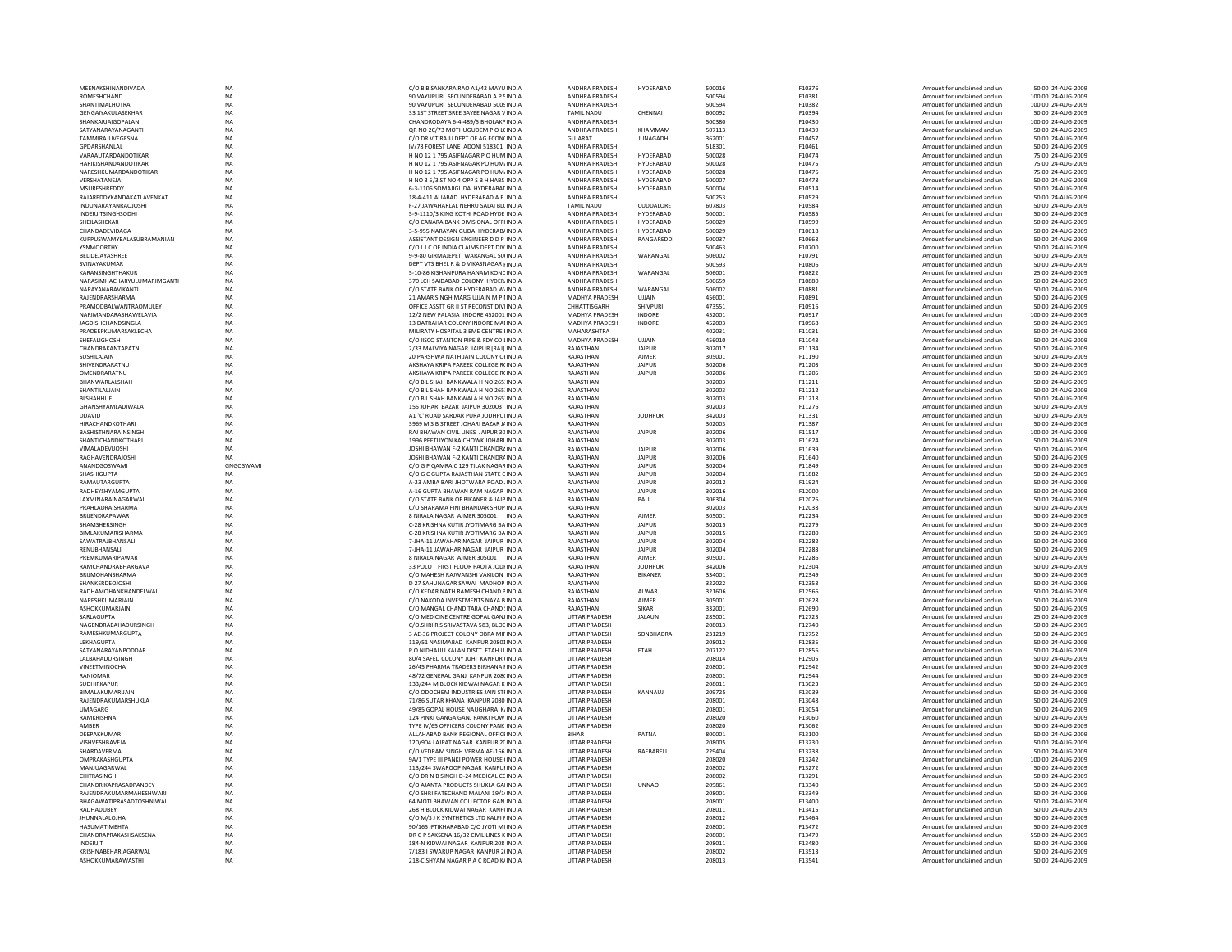| MEENAKSHINANDIVADA                        | NA              | C/O B B SANKARA RAO A1/42 MAYU INDIA                                          | ANDHRA PRADESH                               | HYDERABAD        | 500016           | F10376           | Amount for unclaimed and ur                                | 50.00 24-AUG-2009                      |
|-------------------------------------------|-----------------|-------------------------------------------------------------------------------|----------------------------------------------|------------------|------------------|------------------|------------------------------------------------------------|----------------------------------------|
| ROMESHCHAND                               | <b>NA</b>       | 90 VAYUPURI SECUNDERABAD A P SINDIA                                           | ANDHRA PRADESH                               |                  | 500594           | F10381           | Amount for unclaimed and un                                | 100.00 24-AUG-2009                     |
| SHANTIMALHOTRA                            | <b>NA</b>       | 90 VAYUPURI SECUNDERABAD 5005 INDIA                                           | ANDHRA PRADESH                               |                  | 500594           | F10382           | Amount for unclaimed and un                                | 100.00 24-AUG-2009                     |
| <b>GENGAIYAKULASEKHAR</b>                 | <b>NA</b>       | 33 1ST STREET SREE SAYEE NAGAR VINDIA                                         | TAMII NADU                                   | CHENNAL          | 600092           | F10394           | Amount for unclaimed and un                                | 50.00 24-AUG-2009                      |
| SHANKARJAIGOPALAN                         | <b>NA</b>       | CHANDRODAYA 6-4-489/5 BHOLAKP INDIA                                           | ANDHRA PRADESH                               |                  | 500380           | F10430           | Amount for unclaimed and un                                | 100.00 24-AUG-2009                     |
| SATYANARAYANAGANT                         | <b>NA</b>       | OR NO 2C/73 MOTHUGUDEM P O LCINDIA                                            | ANDHRA PRADESH                               | KHAMMAM          | 507113           | F10439           | Amount for unclaimed and un                                | 50.00 24-AUG-2009                      |
|                                           |                 |                                                                               |                                              |                  |                  |                  |                                                            |                                        |
| TAMMIRAJUVEGESNA                          | <b>NA</b>       | C/O DR V T RAJU DEPT OF AG ECON( INDIA                                        | <b>GUJARAT</b>                               | <b>JUNAGADH</b>  | 362001           | F10457           | Amount for unclaimed and un                                | 50.00 24-AUG-2009                      |
| <b>GPDARSHANLAL</b>                       | <b>NA</b>       | IV/78 FOREST LANE ADONI 518301 INDIA                                          | <b>ANDHRA PRADESH</b>                        |                  | 518301           | F10461           | Amount for unclaimed and un                                | 50.00 24-AUG-2009                      |
| VARAAUTARDANDOTIKAR                       | <b>NA</b>       | H NO 12 1 795 ASIFNAGAR P O HUMINDIA                                          | ANDHRA PRADESH                               | <b>HYDERABAD</b> | 500028           | F10474           | Amount for unclaimed and un                                | 75.00 24-AUG-2009                      |
|                                           |                 |                                                                               |                                              |                  |                  |                  |                                                            |                                        |
| HARIKISHANDANDOTIKAR                      | NA              | H NO 12 1 795 ASIFNAGAR PO HUM/ INDIA                                         | ANDHRA PRADESH                               | HYDERABAD        | 500028           | F10475           | Amount for unclaimed and un                                | 75.00 24-AUG-2009                      |
| NARESHKUMARDANDOTIKAR                     | <b>NA</b>       | H NO 12 1 795 ASIFNAGAR PO HUM/ INDIA                                         | ANDHRA PRADESH                               | HYDERABAD        | 500028           | F10476           | Amount for unclaimed and un                                | 75.00 24-AUG-2009                      |
| VERSHATANEJA                              | <b>NA</b>       | H NO 3 5/3 ST NO 4 OPP S B H HABS INDIA                                       | ANDHRA PRADESH                               | HYDERABAD        | 500007           | F10478           | Amount for unclaimed and un                                | 50.00 24-AUG-2009                      |
| MSURESHREDDY                              | <b>NA</b>       | 6-3-1106 SOMAIIGUDA HYDERARAE INDIA                                           | <b>ANDHRA PRADESH</b>                        | HYDERABAD        | 500004           | F10514           | Amount for unclaimed and un                                | 50.00 24-AUG-2009                      |
|                                           |                 |                                                                               |                                              |                  |                  |                  |                                                            |                                        |
| RAJAREDDYKANDAKATLAVENKAT                 | NA              | 18-4-411 ALIABAD HYDERABAD A P INDIA                                          | ANDHRA PRADESH                               |                  | 500253           | F10529           | Amount for unclaimed and un                                | 50.00 24-AUG-2009                      |
| <b>INDUNARAYANRAOJOSHI</b>                | <b>NA</b>       | F-27 JAWAHARLAL NEHRU SALAI BLCINDIA                                          | <b>TAMIL NADU</b>                            | CUDDALORE        | 607803           | F10584           | Amount for unclaimed and un                                | 50.00 24-AUG-2009                      |
| <b>INDERJITSINGHSODHI</b>                 | NA              | 5-9-1110/3 KING KOTHI ROAD HYDE INDIA                                         | ANDHRA PRADESH                               | HYDERABAD        | 500001           | F10585           | Amount for unclaimed and un                                | 50.00 24-AUG-2009                      |
| SHEII ASHEKAR                             | <b>NA</b>       | C/O CANARA BANK DIVISIONAL OFFLINDIA                                          | <b>ANDHRA PRADESH</b>                        | HYDFRARAD        | 500029           | F10599           | Amount for unclaimed and un                                | 50.00 24-AUG-2009                      |
|                                           |                 |                                                                               |                                              |                  |                  |                  |                                                            |                                        |
| CHANDADEVIDAGA                            | <b>NA</b>       | 3-5-955 NARAYAN GUDA HYDERAB/INDIA                                            | ANDHRA PRADESH                               | HYDERABAD        | 500029           | F10618           | Amount for unclaimed and un                                | 50.00 24-AUG-2009                      |
| KUPPUSWAMYBALASUBRAMANIAN                 | NA              | ASSISTANT DESIGN ENGINEER D D P INDIA                                         | ANDHRA PRADESH                               | RANGAREDDI       | 500037           | F10663           | Amount for unclaimed and ur                                | 50.00 24-AUG-2009                      |
| YSNMOORTHY                                | <b>NA</b>       | C/O L I C OF INDIA CLAIMS DEPT DIV INDIA                                      | ANDHRA PRADESH                               |                  | 500463           | F10700           | Amount for unclaimed and un                                | 50.00 24-AUG-2009                      |
| BELIDEJAYASHREE                           | <b>NA</b>       | 9-9-80 GIRMAJEPET WARANGAL 50 INDIA                                           | ANDHRA PRADESH                               | WARANGAL         | 506002           | F10791           | Amount for unclaimed and un                                | 50.00 24-AUG-2009                      |
|                                           |                 |                                                                               |                                              |                  |                  |                  |                                                            |                                        |
| SVINAYAKUMAR                              | <b>NA</b>       | DEPT VTS BHEL R & D VIKASNAGAR HNDIA                                          | ANDHRA PRADESH                               |                  | 500593           | F10806           | Amount for unclaimed and un                                | 50.00 24-AUG-2009                      |
| KARANSINGHTHAKUR                          | <b>NA</b>       | 5-10-86 KISHANPURA HANAM KONCINDIA                                            | ANDHRA PRADESH                               | WARANGAL         | 506001           | F10822           | Amount for unclaimed and un                                | 25.00 24-AUG-2009                      |
| NARASIMHACHARYULUMARIMGANTI               | NA              | 370 LCH SAIDABAD COLONY HYDER INDIA                                           | ANDHRA PRADESH                               |                  | 500659           | F10880           | Amount for unclaimed and ur                                | 50.00 24-AUG-2009                      |
| NARAYANARAVIKANTI                         | <b>NA</b>       | C/O STATE BANK OF HYDERABAD W/ INDIA                                          | ANDHRA PRADESH                               | WARANGAL         | 506002           | F10881           | Amount for unclaimed and un                                | 50.00 24-AUG-2009                      |
|                                           |                 |                                                                               |                                              |                  |                  |                  |                                                            |                                        |
| RAJENDRARSHARMA                           | <b>NA</b>       | 21 AMAR SINGH MARG UJJAIN M P LINDIA                                          | MADHYA PRADESH                               | <b>UJJAIN</b>    | 456001           | F10891           | Amount for unclaimed and un                                | 50.00 24-AUG-2009                      |
| PRAMODRAI WANTRAOMULEY                    | NA              | OFFICE ASSTT GR II ST RECONST DIVIINDIA                                       | CHHATTISGARH                                 | SHIVPURI         | 473551           | F10916           | Amount for unclaimed and un                                | 50.00 24-AUG-2009                      |
| NARIMANDARASHAWELAVIA                     | NA              | 12/2 NEW PALASIA INDORE 452001 INDIA                                          | MADHYA PRADESH                               | <b>INDORE</b>    | 452001           | F10917           | Amount for unclaimed and un                                | 100.00 24-AUG-2009                     |
| <b>JAGDISHCHANDSINGLA</b>                 | NA              | 13 DATRAHAR COLONY INDORE MAI INDIA                                           | MADHYA PRADESH                               | <b>INDORE</b>    | 452003           | F10968           | Amount for unclaimed and un                                | 50.00 24-AUG-2009                      |
|                                           |                 |                                                                               |                                              |                  |                  |                  |                                                            |                                        |
| PRADEEPKUMARSAKLECHA                      | <b>NA</b>       | MILIRATY HOSPITAL 3 EME CENTRE HNDIA                                          | MAHARASHTRA                                  |                  | 402031           | F11031           | Amount for unclaimed and un                                | 50.00 24-AUG-2009                      |
| <b>SHEEALIGHOSH</b>                       | <b>NA</b>       | C/O IISCO STANTON PIPE & EDY CO LINDIA                                        | <b>MADHYA PRADESH</b>                        | UIJAIN           | 456010           | F11043           | Amount for unclaimed and un                                | 50.00 24-AUG-2009                      |
| CHANDRAKANTAPATNI                         | NA              | 2/33 MALVIYA NAGAR JAIPUR [RAJ] INDIA                                         | RAJASTHAN                                    | <b>JAIPUR</b>    | 302017           | F11134           | Amount for unclaimed and un                                | 50.00 24-AUG-2009                      |
|                                           |                 |                                                                               |                                              |                  |                  |                  |                                                            |                                        |
| <b>SUSHILAJAIN</b>                        | NA              | 20 PARSHWA NATH JAIN COLONY OI INDIA                                          | RAJASTHAN                                    | <b>AJMER</b>     | 305001           | F11190           | Amount for unclaimed and un                                | 50.00 24-AUG-2009                      |
| SHIVENDRARATNU                            | <b>NA</b>       | AKSHAYA KRIPA PAREEK COLLEGE R(INDIA                                          | RAJASTHAN                                    | <b>JAIPUR</b>    | 302006           | F11203           | Amount for unclaimed and un                                | 50.00 24-AUG-2009                      |
| OMENDRARATNU                              | <b>NA</b>       | AKSHAYA KRIPA PAREEK COLLEGE R(INDIA                                          | RAJASTHAN                                    | <b>JAIPUR</b>    | 302006           | F11205           | Amount for unclaimed and un                                | 50.00 24-AUG-2009                      |
| <b>RHANWARI AI SHAH</b>                   | <b>NA</b>       | C/O B L SHAH BANKWALA H NO 265 INDIA                                          | RAIASTHAN                                    |                  | 302003           | F11211           | Amount for unclaimed and un                                | 50.00 24-AUG-2009                      |
|                                           |                 |                                                                               |                                              |                  |                  |                  |                                                            |                                        |
| SHANTILALJAIN                             | NA              | C/O B L SHAH BANKWALA H NO 265: INDIA                                         | RAJASTHAN                                    |                  | 302003           | F11212           | Amount for unclaimed and ur                                | 50.00 24-AUG-2009                      |
| <b>BLSHAHHUF</b>                          | <b>NA</b>       | C/O B L SHAH BANKWALA H NO 265 INDIA                                          | RAJASTHAN                                    |                  | 302003           | F11218           | Amount for unclaimed and un                                | 50.00 24-AUG-2009                      |
| GHANSHYAMLADIWALA                         | NA              | 155 JOHARI BAZAR JAIPUR 302003 INDIA                                          | RAJASTHAN                                    |                  | 302003           | F11276           | Amount for unclaimed and un                                | 50.00 24-AUG-2009                      |
|                                           |                 |                                                                               |                                              |                  |                  |                  |                                                            |                                        |
| DDAVID                                    | <b>NA</b>       | A1 'C' ROAD SARDAR PURA IODHPULINDIA                                          | RAIASTHAN                                    | <b>IODHPUR</b>   | 342003           | F11331           | Amount for unclaimed and un                                | 50.00 24-AUG-2009                      |
| <b>HIRACHANDKOTHARI</b>                   | <b>NA</b>       | 3969 M S B STREET JOHARI BAZAR J/ INDIA                                       | RAJASTHAN                                    |                  | 302003           | F11387           | Amount for unclaimed and un                                | 50.00 24-AUG-2009                      |
| <b>BASHISTHNARAINSINGH</b>                | <b>NA</b>       | RAJ BHAWAN CIVIL LINES JAIPUR 30 INDIA                                        | RAJASTHAN                                    | <b>JAIPUR</b>    | 302006           | F11517           | Amount for unclaimed and un                                | 100.00 24-AUG-2009                     |
| SHANTICHANDKOTHARI                        | <b>NA</b>       | 1996 PEETLIYON KA CHOWK JOHARI INDIA                                          | RAJASTHAN                                    |                  | 302003           | F11624           | Amount for unclaimed and un                                | 50.00 24-AUG-2009                      |
|                                           |                 |                                                                               |                                              |                  |                  |                  |                                                            |                                        |
| <b>VIMALADEVIIOSHI</b>                    | <b>NA</b>       | JOSHI BHAWAN F-2 KANTI CHANDRAINDIA                                           | RAIASTHAN                                    | <b>JAIPUR</b>    | 302006           | F11639           | Amount for unclaimed and un                                | 50.00 24-AUG-2009                      |
| RAGHAVENDRAIOSHI                          | <b>NA</b>       | JOSHI BHAWAN F-2 KANTI CHANDRAINDIA                                           | RAJASTHAN                                    | <b>JAIPUR</b>    | 302006           | F11640           | Amount for unclaimed and un                                | 50.00 24-AUG-2009                      |
| ANANDGOSWAMI                              | GNGOSWAMI       | C/O G P OAMRA C 129 TILAK NAGAR INDIA                                         | RAJASTHAN                                    |                  | 302004           | F11849           | Amount for unclaimed and un                                | 50.00 24-AUG-2009                      |
|                                           |                 |                                                                               |                                              |                  |                  |                  |                                                            |                                        |
|                                           |                 |                                                                               |                                              | <b>JAIPUR</b>    |                  |                  |                                                            |                                        |
| <b>SHASHIGUPTA</b>                        | <b>NA</b>       | C/O G C GUPTA RAJASTHAN STATE C INDIA                                         | RAJASTHAN                                    | <b>JAIPUR</b>    | 302004           | F11882           | Amount for unclaimed and un                                | 50.00 24-AUG-2009                      |
| RAMAUTARGUPTA                             | NA              | A-23 AMBA BARI JHOTWARA ROAD . INDIA                                          | RAJASTHAN                                    | <b>JAIPUR</b>    | 302012           | F11924           | Amount for unclaimed and un                                | 50.00 24-AUG-2009                      |
| RADHEYSHYAMGUPTA                          | <b>NA</b>       | A-16 GUPTA BHAWAN RAM NAGAR INDIA                                             | RAJASTHAN                                    | <b>JAIPUR</b>    | 302016           | F12000           | Amount for unclaimed and un                                | 50.00 24-AUG-2009                      |
|                                           |                 |                                                                               |                                              |                  |                  |                  |                                                            |                                        |
| <b>I AXMINARAINAGARWAI</b>                | NA              | C/O STATE BANK OF BIKANER & JAIP INDIA                                        | RAIASTHAN                                    | PALI             | 306304           | F12026           | Amount for unclaimed and un                                | 50.00 24-AUG-2009                      |
| PRAHLADRAISHARMA                          | NA              | C/O SHARAMA FINI BHANDAR SHOP INDIA                                           | RAJASTHAN                                    |                  | 302003           | F12038           | Amount for unclaimed and ur                                | 50.00 24-AUG-2009                      |
| BRIJENDRAPAWAR                            | NA              | 8 NIRALA NAGAR AJMER 305001 INDIA                                             | RAJASTHAN                                    | <b>AJMER</b>     | 305001           | F12234           | Amount for unclaimed and un                                | 50.00 24-AUG-2009                      |
|                                           |                 |                                                                               |                                              |                  |                  |                  |                                                            |                                        |
| SHAMSHERSINGH                             | <b>NA</b>       | C-28 KRISHNA KUTIR JYOTIMARG BA INDIA                                         | RAJASTHAN                                    | <b>JAIPUR</b>    | 302015           | F12279           | Amount for unclaimed and un                                | 50.00 24-AUG-2009                      |
| BIMLAKUMARISHARMA                         | <b>NA</b>       | C-28 KRISHNA KUTIR JYOTIMARG BA INDIA                                         | RAJASTHAN                                    | <b>JAIPUR</b>    | 302015           | F12280           | Amount for unclaimed and un                                | 50.00 24-AUG-2009                      |
| SAWATRAJBHANSALI                          | NA              | 7-JHA-11 JAWAHAR NAGAR JAIPUR INDIA                                           | RAJASTHAN                                    | <b>JAIPUR</b>    | 302004           | F12282           | Amount for unclaimed and ur                                | 50.00 24-AUG-2009                      |
| RENUBHANSALI                              | NA              | 7-JHA-11 JAWAHAR NAGAR JAIPUR INDIA                                           | RAJASTHAN                                    | <b>JAIPUR</b>    | 302004           | F12283           | Amount for unclaimed and un                                | 50.00 24-AUG-2009                      |
|                                           |                 |                                                                               |                                              |                  |                  |                  |                                                            |                                        |
| PREMKUMARIPAWAR                           | <b>NA</b>       | 8 NIRALA NAGAR AJMER 305001 INDIA                                             | RAJASTHAN                                    | <b>AJMER</b>     | 305001           | F12286           | Amount for unclaimed and un                                | 50.00 24-AUG-2009                      |
| RAMCHANDRABHARGAVA                        | <b>NA</b>       | 33 POLO I FIRST FLOOR PAOTA JODHNDIA                                          | RAJASTHAN                                    | <b>JODHPUR</b>   | 342006           | F12304           | Amount for unclaimed and un                                | 50.00 24-AUG-2009                      |
| RRIIMOHANSHARMA                           | <b>NA</b>       | C/O MAHESH RAIWANSHI VAKILON INDIA                                            | RAIASTHAN                                    | <b>BIKANER</b>   | 334001           | F12349           | Amount for unclaimed and un                                | 50.00 24-AUG-2009                      |
| SHANKERDEOJOSHI                           | NA              |                                                                               |                                              |                  |                  | F12353           | Amount for unclaimed and ur                                | 50.00 24-AUG-2009                      |
|                                           |                 | D 27 SAHUNAGAR SAWAI MADHOP INDIA                                             | RAJASTHAN                                    |                  | 322022           |                  |                                                            |                                        |
| RADHAMOHANKHANDELWAL                      | <b>NA</b>       | C/O KEDAR NATH RAMESH CHAND PINDIA                                            | RAJASTHAN                                    | ALWAR            | 321606           | F12566           | Amount for unclaimed and un                                | 50.00 24-AUG-2009                      |
| NARESHKUMARJAIN                           | <b>NA</b>       | C/O NAKODA INVESTMENTS NAYA B INDIA                                           | RAJASTHAN                                    | <b>AJMER</b>     | 305001           | F12628           | Amount for unclaimed and un                                | 50.00 24-AUG-2009                      |
| ASHOKKUMARIAIN                            | <b>NA</b>       | C/O MANGAL CHAND TARA CHAND 'INDIA                                            | RAIASTHAN                                    | <b>SIKAR</b>     | 332001           | F12690           | Amount for unclaimed and un                                | 50.00 24-AUG-2009                      |
| SARLAGUPTA                                | <b>NA</b>       | C/O MEDICINE CENTRE GOPAL GANJINDIA                                           | <b>UTTAR PRADESH</b>                         | JALAUN           | 285001           | F12723           | Amount for unclaimed and un                                | 25.00 24-AUG-2009                      |
|                                           |                 |                                                                               |                                              |                  |                  |                  |                                                            |                                        |
| NAGENDRABAHADURSINGH                      | <b>NA</b>       | C/O.SHRI R S SRIVASTAVA 583, BLOC INDIA                                       | <b>UTTAR PRADESH</b>                         |                  | 208013           | F12740           | Amount for unclaimed and un                                | 50.00 24-AUG-2009                      |
| RAMESHKUMARGUPTA                          | <b>NA</b>       | 3 AE-36 PROJECT COLONY OBRA MIF INDIA                                         | UTTAR PRADESH                                | SONBHADRA        | 231219           | F12752           | Amount for unclaimed and un                                | 50.00 24-AUG-2009                      |
| <b>I FKHAGUPTA</b>                        | <b>NA</b>       | 119/51 NASIMARAD KANPUR 20801INDIA                                            | <b>UTTAR PRADESH</b>                         |                  | 208012           | F12835           | Amount for unclaimed and un                                | 50.00 24-AUG-2009                      |
| SATYANARAYANPODDAR                        | <b>NA</b>       | P O NIDHAULI KALAN DISTT ETAH U INDIA                                         | <b>UTTAR PRADESH</b>                         | ETAH             | 207122           | F12856           | Amount for unclaimed and un                                | 50.00 24-AUG-2009                      |
| LALBAHADURSINGH                           | <b>NA</b>       | 80/4 SAFED COLONY JUHI KANPUR UNDIA                                           | <b>UTTAR PRADESH</b>                         |                  | 208014           | F12905           | Amount for unclaimed and un                                | 50.00 24-AUG-2009                      |
|                                           |                 |                                                                               |                                              |                  |                  |                  |                                                            |                                        |
| VINEETMINOCHA                             | <b>NA</b>       | 26/45 PHARMA TRADERS BIRHANA FINDIA                                           | <b>UTTAR PRADESH</b>                         |                  | 208001           | F12942           | Amount for unclaimed and un                                | 50.00 24-AUG-2009                      |
| RANIOMAR                                  | NA              | 48/72 GENERAL GANJ KANPUR 208(INDIA                                           | <b>UTTAR PRADESH</b>                         |                  | 208001           | F12944           | Amount for unclaimed and un                                | 50.00 24-AUG-2009                      |
| SUDHIRKAPUF                               | <b>NA</b>       | 133/244 M BLOCK KIDWAI NAGAR K INDIA                                          | <b>UTTAR PRADESH</b>                         |                  | 208011           | F13023           | Amount for unclaimed and un                                | 50.00 24-AUG-2009                      |
| <b>RIMAI AKUMARIJAIN</b>                  |                 |                                                                               |                                              | KANNAUI          |                  |                  |                                                            |                                        |
|                                           | NA              | C/O ODOCHEM INDUSTRIES JAIN STI INDIA                                         | <b>UTTAR PRADESH</b>                         |                  | 209725           | F13039           | Amount for unclaimed and un                                | 50.00 24-AUG-2009                      |
| RAJENDRAKUMARSHUKLA                       | NA              | 71/86 SUTAR KHANA KANPUR 2080 INDIA                                           | <b>UTTAR PRADESH</b>                         |                  | 208001           | F13048           | Amount for unclaimed and un                                | 50.00 24-AUG-2009                      |
| UMAGARG                                   | <b>NA</b>       | 49/85 GOPAL HOUSE NAUGHARA K INDIA                                            | <b>UTTAR PRADESH</b>                         |                  | 208001           | F13054           | Amount for unclaimed and un                                | 50.00 24-AUG-2009                      |
| RAMKRISHNA                                | <b>NA</b>       | 124 PINKI GANGA GANJ PANKI POW INDIA                                          | <b>UTTAR PRADESH</b>                         |                  | 208020           | F13060           | Amount for unclaimed and un                                | 50.00 24-AUG-2009                      |
|                                           |                 |                                                                               |                                              |                  |                  |                  |                                                            |                                        |
| AMRFR                                     | <b>NA</b>       | TYPE IV/65 OFFICERS COLONY PANK INDIA                                         | <b>UTTAR PRADESH</b>                         |                  | 208020           | F13062           | Amount for unclaimed and un                                | 50.00 24-AUG-2009                      |
| DEEPAKKUMAR                               | NA              | ALLAHABAD BANK REGIONAL OFFICEINDIA                                           | <b>BIHAR</b>                                 | PATNA            | 800001           | F13100           | Amount for unclaimed and ur                                | 50.00 24-AUG-2009                      |
| VISHVESHBAVEJA                            | NA              | 120/904 LAJPAT NAGAR KANPUR 2C INDIA                                          | <b>UTTAR PRADESH</b>                         |                  | 208005           | F13230           | Amount for unclaimed and un                                | 50.00 24-AUG-2009                      |
| SHARDAVERMA                               | <b>NA</b>       | C/O VEDRAM SINGH VERMA AE-166 INDIA                                           | <b>UTTAR PRADESH</b>                         |                  | 229404           | F13238           | Amount for unclaimed and un                                | 50.00 24-AUG-2009                      |
|                                           |                 |                                                                               |                                              | RAEBARELI        |                  |                  |                                                            |                                        |
| OMPRAKASHGUPTA                            | <b>NA</b>       | 9A/1 TYPE III PANKI POWER HOUSE (INDIA                                        | <b>UTTAR PRADESH</b>                         |                  | 208020           | F13242           | Amount for unclaimed and un                                | 100.00 24-AUG-2009                     |
| MANJUAGARWAL                              | <b>NA</b>       | 113/244 SWAROOP NAGAR KANPUHNDIA                                              | <b>UTTAR PRADESH</b>                         |                  | 208002           | F13272           | Amount for unclaimed and un                                | 50.00 24-AUG-2009                      |
| CHITRASINGH                               | NA              | C/O DR N B SINGH D-24 MEDICAL CC INDIA                                        | <b>UTTAR PRADESH</b>                         |                  | 208002           | F13291           | Amount for unclaimed and ur                                | 50.00 24-AUG-2009                      |
|                                           |                 |                                                                               |                                              |                  |                  |                  |                                                            |                                        |
| CHANDRIKAPRASADPANDEY                     | <b>NA</b>       | C/O AJANTA PRODUCTS SHUKLA GAI INDIA                                          | <b>UTTAR PRADESH</b>                         | <b>UNNAO</b>     | 209861           | F13340           | Amount for unclaimed and un                                | 50.00 24-AUG-2009                      |
| RAJENDRAKUMARMAHESHWARI                   | <b>NA</b>       | C/O SHRI FATECHAND MALANI 19/1 INDIA                                          | <b>UTTAR PRADESH</b>                         |                  | 208001           | F13349           | Amount for unclaimed and un                                | 50.00 24-AUG-2009                      |
| <b>RHAGAWATIPRASADTOSHNIWAI</b>           | <b>NA</b>       | 64 MOTI BHAWAN COLLECTOR GAN INDIA                                            | <b>UTTAR PRADESH</b>                         |                  | 208001           | F13400           | Amount for unclaimed and un                                | 50.00 24-AUG-2009                      |
|                                           | NA              | 268 H BLOCK KIDWAI NAGAR KANPUNDIA                                            |                                              |                  | 208011           | F13415           | Amount for unclaimed and un                                | 50.00 24-AUG-2009                      |
| RADHADUBEY                                |                 |                                                                               | UTTAR PRADESH                                |                  |                  |                  |                                                            |                                        |
| <b>JHUNNALALOJHA</b>                      | <b>NA</b>       | C/O M/S J K SYNTHETICS LTD KALPI FINDIA                                       | <b>UTTAR PRADESH</b>                         |                  | 208012           | F13464           | Amount for unclaimed and un                                | 50.00 24-AUG-2009                      |
| HASUMATIMEHTA                             | <b>NA</b>       | 90/165 IFTIKHARABAD C/O JYOTI MI INDIA                                        | <b>UTTAR PRADESH</b>                         |                  | 208001           | F13472           | Amount for unclaimed and un                                | 50.00 24-AUG-2009                      |
| CHANDRAPRAKASHSAKSENA                     | <b>NA</b>       | DR C P SAKSENA 16/32 CIVIL LINES K INDIA                                      | <b>UTTAR PRADESH</b>                         |                  | 208001           | F13479           | Amount for unclaimed and un                                | 550.00 24-AUG-2009                     |
| <b>INDERJIT</b>                           | <b>NA</b>       | 184-N KIDWAI NAGAR KANPUR 208 INDIA                                           | <b>UTTAR PRADESH</b>                         |                  | 208011           | F13480           | Amount for unclaimed and un                                | 50.00 24-AUG-2009                      |
|                                           |                 |                                                                               |                                              |                  |                  |                  |                                                            |                                        |
| KRISHNABEHARIAGARWAL<br>ASHOKKUMARAWASTHI | NA<br><b>NA</b> | 7/183 I SWARUP NAGAR KANPUR 2I INDIA<br>218-C SHYAM NAGAR P A C ROAD K/ INDIA | <b>UTTAR PRADESH</b><br><b>UTTAR PRADESH</b> |                  | 208002<br>208013 | F13513<br>F13541 | Amount for unclaimed and un<br>Amount for unclaimed and un | 50.00 24-AUG-2009<br>50.00 24-AUG-2009 |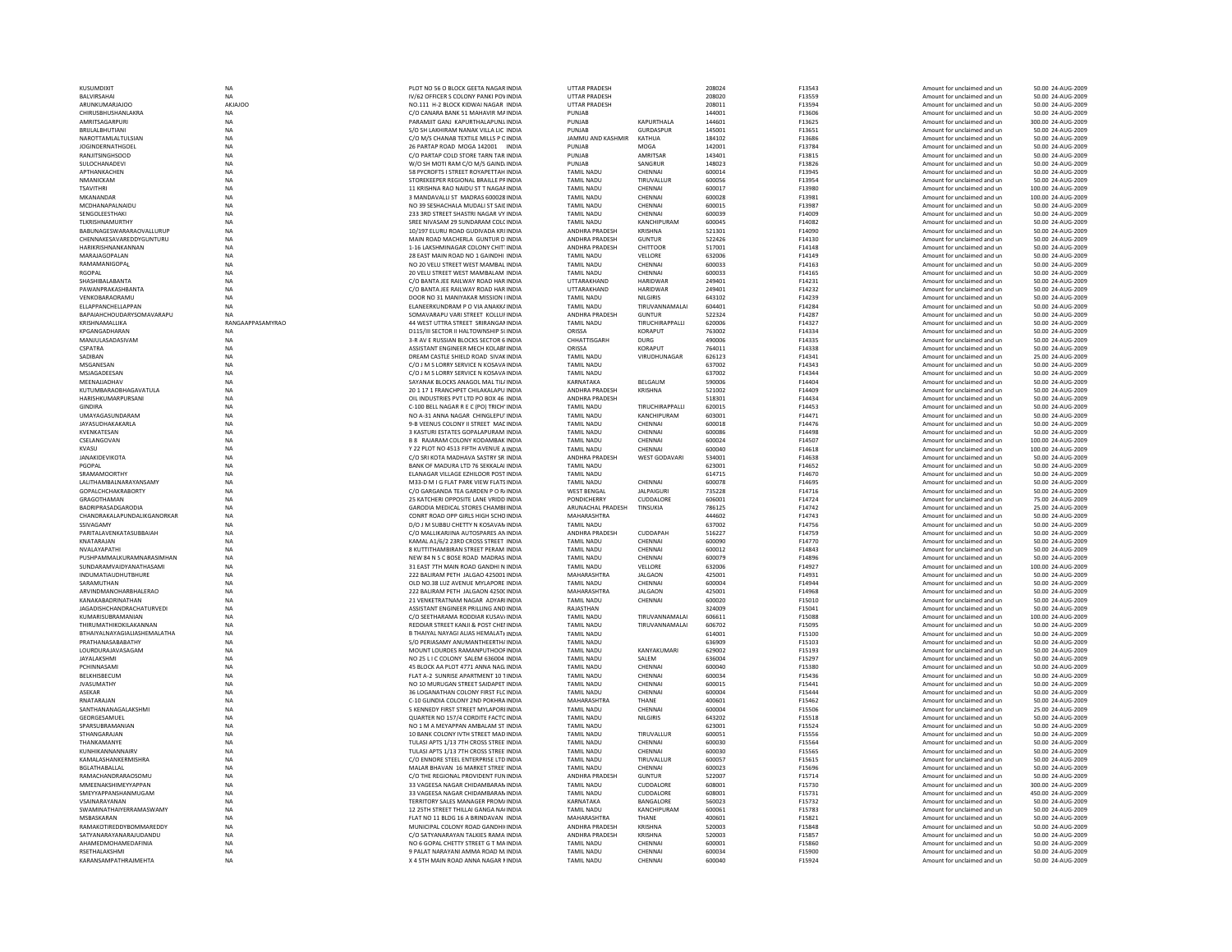| KUSUMDIXIT                                          | <b>NA</b>              | PLOT NO 56 O BLOCK GEETA NAGAR INDIA                                            | <b>UTTAR PRADESH</b>                    |                                | 208024           | F13543           | Amount for unclaimed and un                                | 50.00 24-AUG-2009                       |
|-----------------------------------------------------|------------------------|---------------------------------------------------------------------------------|-----------------------------------------|--------------------------------|------------------|------------------|------------------------------------------------------------|-----------------------------------------|
| BALVIRSAHAI                                         | <b>NA</b>              | IV/62 OFFICER S COLONY PANKI POVINDIA                                           | <b>UTTAR PRADESH</b>                    |                                | 208020           | F13559           | Amount for unclaimed and un                                | 50.00 24-AUG-2009                       |
| ARUNKUMARJAJOO                                      | AKJAJOO                | NO.111 H-2 BLOCK KIDWAI NAGAR INDIA                                             | <b>UTTAR PRADESH</b>                    |                                | 208011           | F13594           | Amount for unclaimed and un                                | 50.00 24-AUG-2009                       |
| CHIRUSBHUSHANLAKRA                                  | NA                     | C/O CANARA BANK 51 MAHAVIR MAINDIA                                              | PUNJAB                                  |                                | 144001           | F13606           | Amount for unclaimed and un                                | 50.00 24-AUG-2009                       |
| AMRITSAGARPURI                                      | <b>NA</b>              | PARAMJIT GANJ KAPURTHALAPUNJ INDIA                                              | PUNJAB                                  | KAPURTHALA<br><b>GURDASPUR</b> | 144601<br>145001 | F13625           | Amount for unclaimed and un                                | 300.00 24-AUG-2009                      |
| BRIJLALBHUTIANI<br>NAROTTAMLALTULSIAN               | <b>NA</b><br><b>NA</b> | S/O SH LAKHIRAM NANAK VILLA LIC INDIA<br>C/O M/S CHANAB TEXTILE MILLS P C INDIA | PUNJAB<br>JAMMU AND KASHMIR             | KATHUA                         | 184102           | F13651<br>F13686 | Amount for unclaimed and un<br>Amount for unclaimed and un | 50.00 24-AUG-2009<br>50.00 24-AUG-2009  |
| <b>JOGINDERNATHGOEL</b>                             | NA                     | 26 PARTAP ROAD MOGA 142001 INDIA                                                | PUNJAB                                  | MOGA                           | 142001           | F13784           | Amount for unclaimed and un                                | 50.00 24-AUG-2009                       |
| <b>RANJITSINGHSOOD</b>                              | <b>NA</b>              | C/O PARTAP COLD STORE TARN TAR INDIA                                            | PUNJAB                                  | AMRITSAR                       | 143401           | F13815           | Amount for unclaimed and un                                | 50.00 24-AUG-2009                       |
| SULOCHANADEVI                                       | <b>NA</b>              | W/O SH MOTI RAM C/O M/S GAIND INDIA                                             | PUNJAB                                  | SANGRUR                        | 148023           | F13826           | Amount for unclaimed and un                                | 50.00 24-AUG-2009                       |
| APTHANKACHEN                                        | <b>NA</b>              | 58 PYCROFTS I STREET ROYAPETTAH INDIA                                           | <b>TAMIL NADU</b>                       | CHENNAL                        | 600014           | F13945           | Amount for unclaimed and un                                | 50.00 24-AUG-2009                       |
| NMANICKAM                                           | <b>NA</b>              | STOREKEEPER REGIONAL BRAILLE PFINDIA                                            | <b>TAMIL NADU</b>                       | TIRUVALLUR                     | 600056           | F13954           | Amount for unclaimed and un                                | 50.00 24-AUG-2009                       |
| <b>TSAVITHR</b>                                     | NA                     | 11 KRISHNA RAO NAIDU ST T NAGAF INDIA                                           | <b>TAMIL NADL</b>                       | CHENNAI                        | 600017           | F13980           | Amount for unclaimed and un                                | 100.00 24-AUG-2009                      |
| MKANANDAR                                           | <b>NA</b>              | 3 MANDAVALLI ST MADRAS 600028 INDIA                                             | <b>TAMIL NADU</b>                       | CHENNAI                        | 600028           | F13981           | Amount for unclaimed and un                                | 100.00 24-AUG-2009                      |
| MCDHANAPALNAIDU                                     | <b>NA</b>              | NO 39 SESHACHALA MUDALI ST SAIL INDIA                                           | <b>TAMIL NADU</b>                       | CHENNAI                        | 600015           | F13987           | Amount for unclaimed and un                                | 50.00 24-AUG-2009                       |
| SENGOLFESTHAKL                                      | <b>NA</b>              | 233 3RD STREET SHASTRI NAGAR VY INDIA                                           | <b>TAMIL NADU</b>                       | CHENNAL                        | 600039           | F14009           | Amount for unclaimed and un                                | 50.00 24-AUG-2009                       |
| TLKRISHNAMURTHY                                     | NA                     | SREE NIVASAM 29 SUNDARAM COL( INDIA                                             | <b>TAMIL NADU</b>                       | KANCHIPURAM                    | 600045           | F14082           | Amount for unclaimed and un                                | 50.00 24-AUG-2009                       |
| BABUNAGESWARARAOVALLURUF                            | <b>NA</b>              | 10/197 ELURU ROAD GUDIVADA KRI INDIA                                            | <b>ANDHRA PRADESH</b>                   | KRISHNA                        | 521301           | F14090           | Amount for unclaimed and un                                | 50.00 24-AUG-2009                       |
| CHENNAKESAVAREDDYGUNTURU                            | <b>NA</b>              | MAIN ROAD MACHERLA GUNTUR D INDIA                                               | ANDHRA PRADESH                          | <b>GUNTUR</b>                  | 522426           | F14130           | Amount for unclaimed and un                                | 50.00 24-AUG-2009                       |
| HARIKRISHNANKANNAN                                  | <b>NA</b>              | 1-16 LAKSHMINAGAR COLONY CHITLINDIA                                             | <b>ANDHRA PRADESH</b>                   | CHITTOOR                       | 517001           | F14148           | Amount for unclaimed and un                                | 50.00 24-AUG-2009                       |
| <b>MARAIAGOPALAN</b>                                | <b>NA</b>              | 28 FAST MAIN ROAD NO 1 GAINDHI INDIA                                            | <b>TAMIL NADU</b>                       | VELLORE                        | 632006           | F14149           | Amount for unclaimed and un                                | 50.00 24-AUG-2009                       |
| RAMAMANIGOPAL                                       | NA                     | NO 20 VELU STREET WEST MAMBAL INDIA                                             | TAMIL NADU                              | CHENNAI                        | 600033           | F14163           | Amount for unclaimed and un                                | 50.00 24-AUG-2009                       |
| RGOPAL                                              | NA                     | 20 VELU STREET WEST MAMBALAM INDIA                                              | <b>TAMIL NADU</b>                       | CHENNAL<br><b>HARIDWAR</b>     | 600033<br>249401 | F14165           | Amount for unclaimed and un                                | 50.00 24-AUG-2009                       |
| SHASHIBALABANTA<br>PAWANPRAKASHRANTA                | NA<br><b>NA</b>        | C/O BANTA JEE RAILWAY ROAD HAR INDIA<br>C/O BANTA IFF RAILWAY ROAD HAR INDIA    | UTTARAKHAND<br><b>UTTARAKHAND</b>       | <b>HARIDWAR</b>                | 249401           | F14231<br>F14232 | Amount for unclaimed and un<br>Amount for unclaimed and un | 50.00 24-AUG-2009<br>50.00 24-AUG-2009  |
| VENKOBARAORAMU                                      | <b>NA</b>              | DOOR NO 31 MANIYAKAR MISSION I INDIA                                            | <b>TAMIL NADU</b>                       | <b>NILGIRIS</b>                | 643102           | F14239           | Amount for unclaimed and un                                | 50.00 24-AUG-2009                       |
| ELLAPPANCHELLAPPAN                                  | <b>NA</b>              | ELANEERKUNDRAM P O VIA ANAKKA INDIA                                             | <b>TAMIL NADU</b>                       | TIRUVANNAMALAI                 | 604401           | F14284           | Amount for unclaimed and un                                | 50.00 24-AUG-2009                       |
| BAPAIAHCHOUDARYSOMAVARAPU                           | <b>NA</b>              | SOMAVARAPU VARI STREET KOLLUFINDIA                                              | ANDHRA PRADESH                          | <b>GUNTUR</b>                  | 522324           | F14287           | Amount for unclaimed and un                                | 50.00 24-AUG-2009                       |
| KRISHNAMALLIKA                                      | RANGAAPPASAMYRAO       | 44 WEST UTTRA STREET SRIRANGAMINDIA                                             | <b>TAMIL NADU</b>                       | TIRUCHIRAPPALLI                | 620006           | F14327           | Amount for unclaimed and un                                | 50.00 24-AUG-2009                       |
| KPGANGADHARAN                                       | <b>NA</b>              | D115/III SECTOR II HALTOWNSHIP SUNDIA                                           | ORISSA                                  | <b>KORAPUT</b>                 | 763002           | F14334           | Amount for unclaimed and un                                | 50.00 24-AUG-2009                       |
| MANJULASADASIVAM                                    | <b>NA</b>              | 3-R AV E RUSSIAN BLOCKS SECTOR 6 INDIA                                          | CHHATTISGARI                            | <b>DURG</b>                    | 490006           | F14335           | Amount for unclaimed and un                                | 50.00 24-AUG-2009                       |
| CSPATRA                                             | <b>NA</b>              | ASSISTANT ENGINEER MECH KOLABI INDIA                                            | ORISSA                                  | <b>KORAPUT</b>                 | 764011           | F14338           | Amount for unclaimed and un                                | 50.00 24-AUG-2009                       |
| SADIBAN                                             | <b>NA</b>              | DREAM CASTLE SHIELD ROAD SIVAK INDIA                                            | TAMIL NADU                              | VIRUDHUNAGAR                   | 626123           | F14341           | Amount for unclaimed and un                                | 25.00.24-AUG-2009                       |
| MSGANESAN                                           | <b>NA</b>              | C/O J M S LORRY SERVICE N KOSAVA INDIA                                          | <b>TAMIL NADU</b>                       |                                | 637002           | F14343           | Amount for unclaimed and un                                | 50.00 24-AUG-2009                       |
| MSJAGADEESAN                                        | <b>NA</b>              | C/O J M S LORRY SERVICE N KOSAVA INDIA                                          | <b>TAMIL NADU</b>                       |                                | 637002           | F14344           | Amount for unclaimed and un                                | 50.00 24-AUG-2009                       |
| <b>MEENAJJADHA\</b>                                 | NA                     | SAYANAK BLOCKS ANAGOL MAL TILI INDIA                                            | KARNATAKA                               | BELGAUM                        | 590006           | F14404           | Amount for unclaimed and un                                | 50.00 24-AUG-2009                       |
| KUTUMBARAOBHAGAVATULA                               | <b>NA</b>              | 20 1 17 1 FRANCHPET CHILAKALAPU INDIA                                           | ANDHRA PRADESH                          | KRISHNA                        | 521002           | F14409           | Amount for unclaimed and un                                | 50.00 24-AUG-2009                       |
| HARISHKUMARPURSANI                                  | <b>NA</b>              | OIL INDUSTRIES PVT LTD PO BOX 46 INDIA                                          | ANDHRA PRADESH                          |                                | 518301           | F14434           | Amount for unclaimed and un                                | 50.00 24-AUG-2009                       |
| <b>GINDIRA</b>                                      | <b>NA</b>              | C-100 BELL NAGAR R E C (PO) TRICH' INDIA                                        | <b>TAMIL NADU</b>                       | TIRUCHIRAPPALLI                | 620015           | F14453           | Amount for unclaimed and un                                | 50.00 24-AUG-2009                       |
| UMAYAGASUNDARAM                                     | <b>NA</b>              | NO A-31 ANNA NAGAR CHINGLEPUTINDIA                                              | <b>TAMIL NADU</b>                       | KANCHIPURAM                    | 603001           | F14471           | Amount for unclaimed and un                                | 50.00 24-AUG-2009                       |
| <b>JAYASUDHAKAKARLA</b>                             | NA                     | 9-B VEENUS COLONY II STREET MAC INDIA                                           | <b>TAMIL NADU</b>                       | CHENNAI                        | 600018           | F14476           | Amount for unclaimed and un                                | 50.00 24-AUG-2009                       |
| KVENKATESAN                                         | <b>NA</b>              | 3 KASTURI ESTATES GOPALAPURAM INDIA                                             | TAMIL NADU                              | CHENNAL                        | 600086           | F14498           | Amount for unclaimed and un                                | 50.00 24-AUG-2009                       |
| CSELANGOVAN                                         | <b>NA</b>              | <b>B 8 RAJARAM COLONY KODAMBAK INDIA</b>                                        | <b>TAMIL NADU</b><br><b>TAMIL NADU</b>  | CHENNAI                        | 600024           | F14507           | Amount for unclaimed and un                                | 100.00 24-AUG-2009                      |
| KVASU                                               | <b>NA</b>              | Y 22 PLOT NO 4513 FIFTH AVENUE A INDIA                                          |                                         | CHENNAL                        | 600040           | F14618           | Amount for unclaimed and un                                | 100.00 24-AUG-2009                      |
| <b>JANAKIDEVIKOTA</b><br>PGOPAL                     | NA<br>NA               | C/O SRI KOTA MADHAVA SASTRY SR INDIA<br>BANK OF MADURA LTD 76 SEKKALAI INDIA    | ANDHRA PRADESH<br><b>TAMIL NADU</b>     | WEST GODAVARI                  | 534001<br>623001 | F14638<br>F14652 | Amount for unclaimed and ur<br>Amount for unclaimed and un | 50.00 24-AUG-2009<br>50.00 24-AUG-2009  |
| SRAMAMOORTHY                                        | <b>NA</b>              | ELANAGAR VILLAGE EZHILOOR POST INDIA                                            | <b>TAMIL NADU</b>                       |                                | 614715           | F14670           |                                                            | 50.00 24-AUG-2009                       |
| LALITHAMBALNARAYANSAMY                              | <b>NA</b>              | M33-D M I G FLAT PARK VIEW FLATS INDIA                                          | <b>TAMIL NADU</b>                       | CHENNAI                        | 600078           | F14695           | Amount for unclaimed and un<br>Amount for unclaimed and un | 50.00 24-AUG-2009                       |
| <b>GOPALCHCHAKRABORTY</b>                           | <b>NA</b>              | C/O GARGANDA TEA GARDEN P O R/ INDIA                                            | <b>WEST RENGAL</b>                      | <b>JAI PAIGURI</b>             | 735228           | F14716           | Amount for unclaimed and un                                | 50.00 24-AUG-2009                       |
| GRAGOTHAMAN                                         | NA                     | 25 KATCHERI OPPOSITE LANE VRIDD INDIA                                           | PONDICHERRY                             | CUDDALORE                      | 606001           | F14724           | Amount for unclaimed and un                                | 75.00 24-AUG-2009                       |
| BADRIPRASADGARODIA                                  | <b>NA</b>              | <b>GARODIA MEDICAL STORES CHAMBLINDIA</b>                                       | ARUNACHAL PRADESH                       | TINSUKIA                       | 786125           | F14742           | Amount for unclaimed and un                                | 25.00 24-AUG-2009                       |
| CHANDRAKALAPUNDALIKGANORKAR                         | <b>NA</b>              | CONRT ROAD OPP GIRLS HIGH SCHO INDIA                                            | MAHARASHTRA                             |                                | 444602           | F14743           | Amount for unclaimed and un                                | 50.00 24-AUG-2009                       |
| SSIVAGAMY                                           | <b>NA</b>              | D/O J M SUBBU CHETTY N KOSAVAN INDIA                                            | <b>TAMIL NADU</b>                       |                                | 637002           | F14756           | Amount for unclaimed and un                                | 50.00 24-AUG-2009                       |
| PARITALAVENKATASUBBAIAH                             | <b>NA</b>              | C/O MALLIKARJINA AUTOSPARES AN INDIA                                            | ANDHRA PRADESH                          | CUDDAPAH                       | 516227           | F14759           | Amount for unclaimed and un                                | 50.00 24-AUG-2009                       |
| KNATARAJAN                                          | <b>NA</b>              | KAMAL A1/6/2 23RD CROSS STREET INDIA                                            | <b>TAMIL NADU</b>                       | CHENNAI                        | 600090           | F14770           | Amount for unclaimed and un                                | 50.00 24-AUG-2009                       |
| NVALAYAPATH                                         | <b>NA</b>              | 8 KUTTITHAMBIRAN STREET PERAM INDIA                                             | <b>TAMIL NADU</b>                       | CHENNAL                        | 600012           | F14843           | Amount for unclaimed and un                                | 50.00 24-AUG-2009                       |
| PUSHPAMMAI KURAMNARASIMHAN                          | <b>NA</b>              | NEW 84 N S C BOSE ROAD MADRAS INDIA                                             | <b>TAMIL NADU</b>                       | CHENNAL                        | 600079           | F14896           | Amount for unclaimed and un                                | 50.00 24-AUG-2009                       |
| SUNDARAMVAIDYANATHASAMI                             | <b>NA</b>              | 31 EAST 7TH MAIN ROAD GANDHI N INDIA                                            | <b>TAMIL NADU</b>                       | VELLORE                        | 632006           | F14927           | Amount for unclaimed and un                                | 100.00 24-AUG-2009                      |
| <b>INDUMATIAUDHUTRHURF</b>                          | NΔ                     | 222 BALIRAM PETH JALGAO 425001 INDIA                                            | <b>MAHARASHTRA</b>                      | <b>JALGAON</b>                 | 425001           | F14931           | Amount for unclaimed and un                                | 50.00 24-AUG-2009                       |
| SARAMUTHAN                                          | <b>NA</b>              | OLD NO.38 LUZ AVENUE MYLAPORE INDIA                                             | <b>TAMIL NADU</b>                       | CHENNAI                        | 600004           | F14944           | Amount for unclaimed and un                                | 50.00 24-AUG-2009                       |
| ARVINDMANOHARBHALERAO                               | <b>NA</b>              | 222 BALIRAM PETH JALGAON 4250( INDIA                                            | MAHARASHTRA                             | <b>JALGAON</b>                 | 425001           | F14968           | Amount for unclaimed and un                                | 50.00 24-AUG-2009                       |
| KANAKARADRINATHAN                                   | <b>NA</b>              | 21 VENKETRATNAM NAGAR ADYARUNDIA                                                | <b>TAMIL NADU</b>                       | CHENNAL                        | 600020           | F15010           | Amount for unclaimed and un                                | 50.00 24-AUG-2009                       |
| JAGADISHCHANDRACHATURVEDI<br>KUMARISUBRAMANIAN      | <b>NA</b><br>NA        | ASSISTANT ENGINEER PRILLING AND INDIA                                           | RAJASTHAN                               | TIRUVANNAMALAI                 | 324009<br>606611 | F15041<br>F15088 | Amount for unclaimed and un                                | 50.00 24-AUG-2009<br>100.00 24-AUG-2009 |
| THIRUMATHIKOKILAKANNAN                              | <b>NA</b>              | C/O SEETHARAMA RODDIAR KUSAV/INDIA<br>REDDIAR STREET KANJI & POST CHEI INDIA    | <b>TAMIL NADU</b><br><b>TAMIL NADU</b>  | TIRUVANNAMALAI                 | 606702           | F15095           | Amount for unclaimed and un                                | 50.00 24-AUG-2009                       |
| BTHAIYALNAYAGIALIASHEMALATHA                        | <b>NA</b>              | B THAIYAL NAYAGI ALIAS HEMALATI INDIA                                           | <b>TAMIL NADU</b>                       |                                | 614001           | F15100           | Amount for unclaimed and un<br>Amount for unclaimed and un | 50.00 24-AUG-2009                       |
| PRATHANASARARATHY                                   | <b>NA</b>              | S/O PERIASAMY ANUMANTHEERTHAINDIA                                               | <b>TAMIL NADU</b>                       |                                | 636909           | F15103           | Amount for unclaimed and un                                | 50.00 24-AUG-2009                       |
| LOURDURAJAVASAGAM                                   | <b>NA</b>              | MOUNT LOURDES RAMANPUTHOOF INDIA                                                | <b>TAMIL NADU</b>                       | KANYAKUMARI                    | 629002           | F15193           | Amount for unclaimed and un                                | 50.00 24-AUG-2009                       |
| <b>JAYALAKSHMI</b>                                  | NA                     | NO 25 L I C COLONY SALEM 636004 INDIA                                           | <b>TAMIL NADU</b>                       | SALEM                          | 636004           | F15297           | Amount for unclaimed and un                                | 50.00 24-AUG-2009                       |
| PCHINNASAM                                          | NA                     | 45 BLOCK AA PLOT 4771 ANNA NAG. INDIA                                           | TAMIL NADU                              | CHENNAI                        | 600040           | F15380           | Amount for unclaimed and un                                | 50.00 24-AUG-2009                       |
| BELKHISBECUM                                        | <b>NA</b>              | FLAT A-2 SUNRISE APARTMENT 10 TINDIA                                            | <b>TAMIL NADU</b>                       | CHENNAI                        | 600034           | F15436           | Amount for unclaimed and un                                | 50.00 24-AUG-2009                       |
| <b>JVASUMATHY</b>                                   | <b>NA</b>              | NO 10 MURUGAN STREET SAIDAPET INDIA                                             | <b>TAMIL NADU</b>                       | CHENNAI                        | 600015           | F15441           | Amount for unclaimed and un                                | 50.00 24-AUG-2009                       |
| ASEKAR                                              | <b>NA</b>              | 36 LOGANATHAN COLONY FIRST FLC INDIA                                            | <b>TAMIL NADU</b>                       | CHENNAI                        | 600004           | F15444           | Amount for unclaimed and ur                                | 50.00 24-AUG-2009                       |
| RNATARAJAN                                          | NA                     | C-10 GLINDIA COLONY 2ND POKHRA INDIA                                            | <b>MAHARASHTRA</b>                      | THANE                          | 400601           | F15462           | Amount for unclaimed and un                                | 50.00 24-AUG-2009                       |
| SANTHANANAGALAKSHMI                                 | <b>NA</b>              | 5 KENNEDY FIRST STREET MYLAPORI INDIA                                           | <b>TAMIL NADU</b>                       | CHENNAL                        | 600004           | F15506           | Amount for unclaimed and un                                | 25.00 24-AUG-2009                       |
| GEORGESAMUEL                                        | <b>NA</b>              | QUARTER NO 157/4 CORDITE FACTC INDIA                                            | <b>TAMIL NADU</b>                       | <b>NILGIRIS</b>                | 643202           | F15518           | Amount for unclaimed and un                                | 50.00 24-AUG-2009                       |
| SPARSUBRAMANIAN                                     | <b>NA</b>              | NO 1 M A MEYAPPAN AMBALAM ST INDIA                                              | <b>TAMIL NADU</b>                       |                                | 623001           | F15524           | Amount for unclaimed and un                                | 50.00 24-AUG-2009                       |
| STHANGARAJAN                                        | NA                     | 10 BANK COLONY IVTH STREET MAD INDIA                                            | <b>TAMIL NADU</b>                       | TIRUVALLUR                     | 600051           | F15556           | Amount for unclaimed and ur                                | 50.00 24-AUG-2009                       |
| THANKAMANYE                                         | NA                     | TULASI APTS 1/13 7TH CROSS STREE INDIA                                          | <b>TAMIL NADU</b>                       | CHENNAI                        | 600030           | F15564           | Amount for unclaimed and un                                | 50.00 24-AUG-2009                       |
| KUNHIKANNANNAIRV                                    | <b>NA</b>              | TULASI APTS 1/13 7TH CROSS STREE INDIA                                          | <b>TAMIL NADU</b><br><b>TAMIL NADU</b>  | CHENNAI                        | 600030           | F15565           | Amount for unclaimed and un                                | 50.00 24-AUG-2009                       |
| <b>KAMAI ASHANKERMISHRA</b><br><b>BGLATHABALLAL</b> | <b>NA</b>              | C/O ENNORE STEEL ENTERPRISE LTD INDIA                                           | <b>TAMIL NADU</b>                       | TIRUVALLUR<br>CHENNAI          | 600057<br>600023 | F15615           | Amount for unclaimed and un                                | 50.00 24-AUG-2009<br>50.00 24-AUG-2009  |
| RAMACHANDRARAOSOML                                  | <b>NA</b><br>NA        | MALAR BHAVAN 16 MARKET STREE INDIA<br>C/O THE REGIONAL PROVIDENT FUN INDIA      | ANDHRA PRADESH                          | <b>GUNTUR</b>                  | 522007           | F15696<br>F15714 | Amount for unclaimed and un<br>Amount for unclaimed and un | 50.00 24-AUG-2009                       |
| MMEENAKSHIMEYYAPPAN                                 | <b>NA</b>              | 33 VAGEESA NAGAR CHIDAMBARAN INDIA                                              | <b>TAMIL NADU</b>                       | CUDDALORE                      | 608001           | F15730           | Amount for unclaimed and un                                | 300.00 24-AUG-2009                      |
| SMEYYAPPANSHANMUGAM                                 | <b>NA</b>              | 33 VAGEESA NAGAR CHIDAMBARAN INDIA                                              | <b>TAMIL NADU</b>                       | CUDDALORE                      | 608001           | F15731           | Amount for unclaimed and un                                | 450.00 24-AUG-2009                      |
| VSAINARAYANAN                                       |                        |                                                                                 |                                         | <b>BANGALORE</b>               | 560023           | F15732           | Amount for unclaimed and un                                | 50.00 24-AUG-2009                       |
|                                                     | <b>NA</b>              | TERRITORY SALES MANAGER PROM/INDIA                                              | KARNATAKA                               |                                |                  |                  |                                                            |                                         |
|                                                     |                        |                                                                                 |                                         |                                |                  |                  |                                                            |                                         |
| SWAMINATHAIYERRAMASWAMY<br>MSBASKARAN               | NA<br><b>NA</b>        | 12 25TH STREET THILLAI GANGA NA(INDIA<br>FLAT NO 11 BLDG 16 A BRINDAVAN INDIA   | <b>TAMIL NADU</b><br><b>MAHARASHTRA</b> | KANCHIPURAM<br>THANE           | 600061<br>400601 | F15783<br>F15821 | Amount for unclaimed and un<br>Amount for unclaimed and un | 50.00 24-AUG-2009<br>50.00 24-AUG-2009  |
| RAMAKOTIREDDYBOMMAREDDY                             | <b>NA</b>              | MUNICIPAL COLONY ROAD GANDHI(INDIA                                              | ANDHRA PRADESH                          | KRISHNA                        | 520003           | F15848           | Amount for unclaimed and un                                | 50.00 24-AUG-2009                       |
| SATYANARAYANARAILIDANDLI                            | <b>NA</b>              | C/O SATYANARAYAN TAI KIES RAMA INDIA                                            | <b>ANDHRA PRADESH</b>                   | KRISHNA                        | 520003           | F15857           | Amount for unclaimed and un                                | 50.00 24-AUG-2009                       |
| AHAMEDMOHAMEDAFINIA                                 | <b>NA</b>              | NO 6 GOPAL CHETTY STREET G T MA INDIA                                           | <b>TAMIL NADU</b>                       | CHENNAI                        | 600001           | F15860           | Amount for unclaimed and un                                | 50.00 24-AUG-2009                       |
| RSETHALAKSHMI<br>KARANSAMPATHRAJMEHTA               | NA<br><b>NA</b>        | 9 PALAT NARAYANI AMMA ROAD M. INDIA<br>X 4 5TH MAIN ROAD ANNA NAGAR NINDIA      | TAMIL NADU<br><b>TAMIL NADU</b>         | CHENNAI<br>CHENNAI             | 600034<br>600040 | F15900<br>F15924 | Amount for unclaimed and un<br>Amount for unclaimed and un | 50.00 24-AUG-2009<br>50.00 24-AUG-2009  |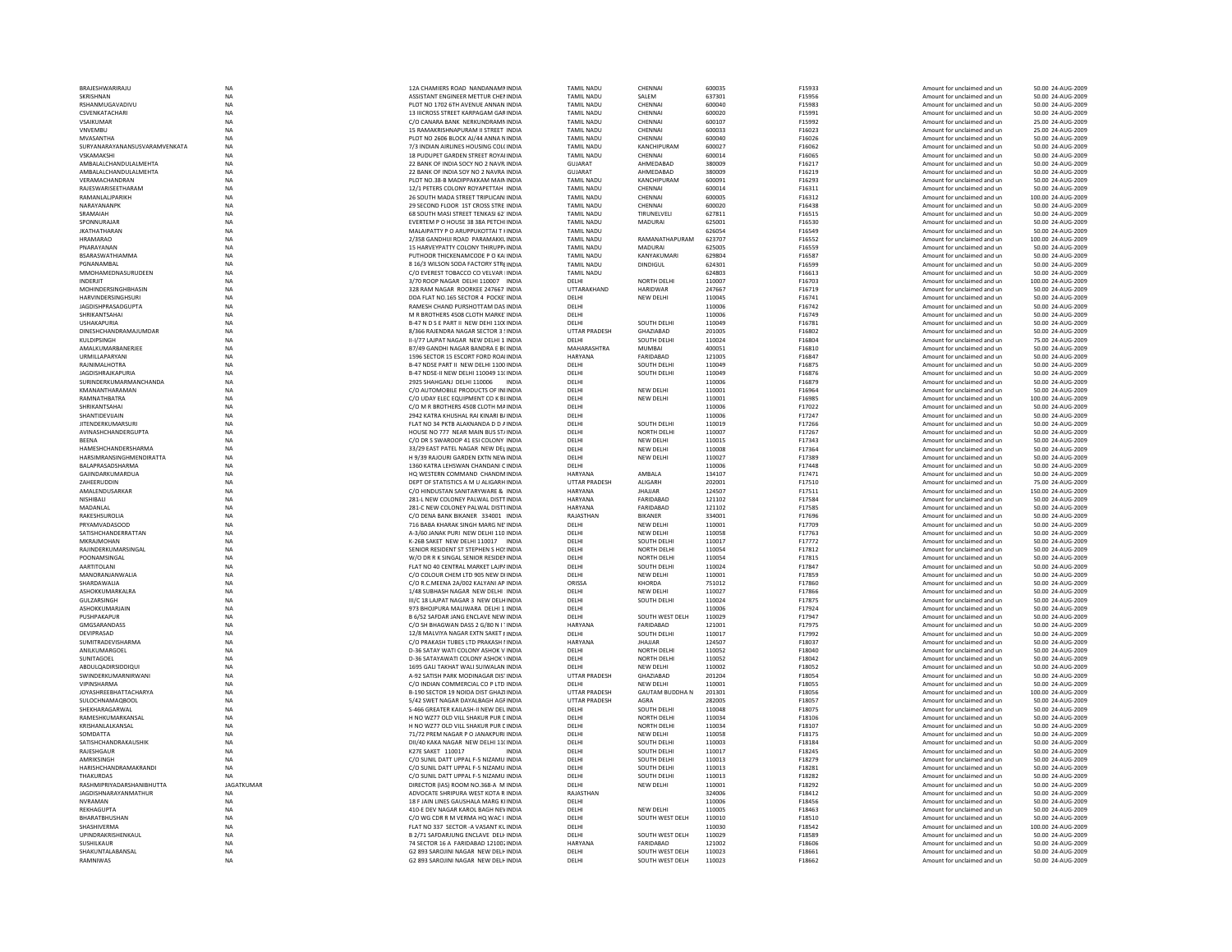| BRAJESHWARIRAJU                                          | NA                     | 12A CHAMIERS ROAD NANDANAMMINDIA                                              | <b>TAMIL NADU</b>                      | CHENNAI                            | 600035           | F15933           | Amount for unclaimed and ur                                | 50.00 24-AUG-2009                      |
|----------------------------------------------------------|------------------------|-------------------------------------------------------------------------------|----------------------------------------|------------------------------------|------------------|------------------|------------------------------------------------------------|----------------------------------------|
| SKRISHNAN                                                | <b>NA</b>              | ASSISTANT ENGINEER METTUR CHEMINDIA                                           | <b>TAMIL NADU</b>                      | SALEM                              | 637301           | F15956           | Amount for unclaimed and un                                | 50.00 24-AUG-2009                      |
| RSHANMUGAVADIVU                                          | <b>NA</b>              | PLOT NO 1702 6TH AVENUE ANNAN INDIA                                           | <b>TAMIL NADU</b>                      | CHENNAI                            | 600040           | F15983           | Amount for unclaimed and un                                | 50.00 24-AUG-2009                      |
| <b>CSVENKATACHARI</b>                                    | <b>NA</b>              | 13 IIICROSS STREET KARPAGAM GAR INDIA                                         | <b>TAMIL NADLI</b>                     | CHENNAL                            | 600020           | F15991           | Amount for unclaimed and un                                | 50.00 24-AUG-2009                      |
| VSAIKUMAR<br>VNVEMBU                                     | NA<br>NA               | C/O CANARA BANK NERKUNDRAMN INDIA<br>15 RAMAKRISHNAPURAM II STREET INDIA      | <b>TAMIL NADU</b><br><b>TAMIL NADU</b> | CHENNAI<br>CHENNAI                 | 600107<br>600033 | F15992<br>F16023 | Amount for unclaimed and ur<br>Amount for unclaimed and un | 25.00 24-AUG-2009<br>25.00 24-AUG-2009 |
| MVASANTHA                                                | <b>NA</b>              | PLOT NO 2606 BLOCK AJ/44 ANNA NINDIA                                          | <b>TAMIL NADU</b>                      | CHENNAI                            | 600040           | F16026           | Amount for unclaimed and un                                | 50.00 24-AUG-2009                      |
| SURYANARAYANANSUSVARAMVENKATA                            | <b>NA</b>              | 7/3 INDIAN AIRLINES HOUSING COL(INDIA                                         | <b>TAMIL NADU</b>                      | KANCHIPURAM                        | 600027           | F16062           | Amount for unclaimed and un                                | 50.00 24-AUG-2009                      |
| VSKAMAKSHI                                               | <b>NA</b>              | 18 PUDUPET GARDEN STREET ROYAUNDIA                                            | <b>TAMIL NADU</b>                      | CHENNAI                            | 600014           | F16065           | Amount for unclaimed and un                                | 50.00 24-AUG-2009                      |
| AMBALALCHANDULALMEHTA                                    | NA                     | 22 BANK OF INDIA SOCY NO 2 NAVR INDIA                                         | GUJARAT                                | AHMEDABAD                          | 380009           | F16217           | Amount for unclaimed and ur                                | 50.00 24-AUG-2009                      |
| AMBALALCHANDULALMEHTA                                    | <b>NA</b>              | 22 BANK OF INDIA SOY NO 2 NAVRA INDIA                                         | <b>GUJARAT</b>                         | AHMEDABAD                          | 380009           | F16219           | Amount for unclaimed and un                                | 50.00 24-AUG-2009                      |
| VERAMACHANDRAN                                           | <b>NA</b>              | PLOT NO.38-B MADIPPAKKAM MAIN INDIA                                           | <b>TAMIL NADU</b>                      | KANCHIPURAM                        | 600091           | F16293           | Amount for unclaimed and un                                | 50.00 24-AUG-2009                      |
| RAIFSWARISFFTHARAM                                       | <b>NA</b>              | 12/1 PETERS COLONY ROYAPETTAH INDIA                                           | <b>TAMIL NADU</b>                      | CHENNAL                            | 600014           | F16311           | Amount for unclaimed and un                                | 50.00 24-AUG-2009                      |
| RAMANLALIPARIKH                                          | NA                     | 26 SOUTH MADA STREET TRIPLICANI INDIA                                         | <b>TAMIL NADU</b>                      | CHENNAI                            | 600005           | F16312           | Amount for unclaimed and un                                | 100.00 24-AUG-2009                     |
| NARAYANANPK                                              | <b>NA</b>              | 29 SECOND FLOOR 1ST CROSS STRE INDIA                                          | <b>TAMIL NADU</b>                      | CHENNAI                            | 600020           | F16438           | Amount for unclaimed and un                                | 50.00 24-AUG-2009                      |
| SRAMAIAH                                                 | NA                     | 68 SOUTH MASI STREET TENKASI 62. INDIA                                        | <b>TAMIL NADU</b>                      | TIRUNELVELI                        | 627811           | F16515           | Amount for unclaimed and un                                | 50.00 24-AUG-2009                      |
| SPONNURAIAR                                              | <b>NA</b>              | EVERTEM P O HOUSE 38 38A PETCHUNDIA                                           | <b>TAMIL NADU</b>                      | <b>MADURAI</b>                     | 625001           | F16530           | Amount for unclaimed and un                                | 50.00 24-AUG-2009                      |
| <b>IKATHATHARAN</b>                                      | <b>NA</b>              | MALAIPATTY P O ARUPPUKOTTAI T HINDIA                                          | <b>TAMIL NADU</b>                      |                                    | 626054           | F16549           | Amount for unclaimed and un                                | 50.00 24-AUG-2009                      |
| <b>HRAMARAO</b>                                          | $_{\sf NA}$            | 2/358 GANDHIJI ROAD PARAMAKKL INDIA                                           | <b>TAMIL NADU</b>                      | RAMANATHAPURAM                     | 623707           | F16552           | Amount for unclaimed and un                                | 100.00 24-AUG-2009                     |
| PNARAYANAN                                               | <b>NA</b>              | 15 HARVEYPATTY COLONY THIRUPP/ INDIA                                          | <b>TAMIL NADU</b>                      | <b>MADURAI</b>                     | 625005           | F16559           | Amount for unclaimed and un                                | 50.00 24-AUG-2009                      |
| BSARASWATHIAMMA                                          | NA                     | PUTHOOR THICKENAMCODE P O KAI INDIA                                           | <b>TAMIL NADU</b>                      | KANYAKUMARI                        | 629804           | F16587           | Amount for unclaimed and un                                | 50.00 24-AUG-2009                      |
| PGNANAMRAI<br>MMOHAMEDNASURUDEEN                         | <b>NA</b><br><b>NA</b> | 8 16/3 WILSON SODA FACTORY STREINDIA<br>C/O EVEREST TOBACCO CO VELVAR I INDIA | <b>TAMIL NADU</b><br><b>TAMIL NADU</b> | <b>DINDIGUL</b>                    | 624301<br>624803 | F16599<br>F16613 | Amount for unclaimed and un                                | 50.00 24-AUG-2009<br>50.00 24-AUG-2009 |
| INDERJIT                                                 | NA                     | 3/70 ROOP NAGAR DELHI 110007 INDIA                                            | DELHI                                  | <b>NORTH DELHI</b>                 | 110007           | F16703           | Amount for unclaimed and un<br>Amount for unclaimed and ur | 100.00 24-AUG-2009                     |
| MOHINDERSINGHBHASIN                                      | NA                     | 328 RAM NAGAR ROORKEE 247667 INDIA                                            | UTTARAKHAND                            | <b>HARIDWAR</b>                    | 247667           | F16719           | Amount for unclaimed and un                                | 50.00 24-AUG-2009                      |
| <b>HARVINDERSINGHSURI</b>                                | <b>NA</b>              | DDA FLAT NO.165 SECTOR 4 POCKE INDIA                                          | DELHI                                  | NEW DELHI                          | 110045           | F16741           | Amount for unclaimed and un                                | 50.00 24-AUG-2009                      |
| <b>JAGDISHPRASADGUPTA</b>                                | <b>NA</b>              | RAMESH CHAND PURSHOTTAM DAS INDIA                                             | DELHI                                  |                                    | 110006           | F16742           | Amount for unclaimed and un                                | 50.00 24-AUG-2009                      |
| SHRIKANTSAHAI                                            | <b>NA</b>              | M R BROTHERS 4508 CLOTH MARKE INDIA                                           | DELHI                                  |                                    | 110006           | F16749           | Amount for unclaimed and ur                                | 50.00 24-AUG-2009                      |
| <b>USHAKAPURIA</b>                                       | NA                     | B-47 N D S E PART II NEW DEHI 110(INDIA                                       | DELHI                                  | SOUTH DELHI                        | 110049           | F16781           | Amount for unclaimed and ur                                | 50.00 24-AUG-200                       |
| DINESHCHANDRAMAJUMDAR                                    | <b>NA</b>              | 8/366 RAJENDRA NAGAR SECTOR 3 SINDIA                                          | UTTAR PRADESH                          | GHAZIABAD                          | 201005           | F16802           | Amount for unclaimed and un                                | 50.00 24-AUG-2009                      |
| KULDIPSINGH                                              | <b>NA</b>              | II-I/77 LAJPAT NAGAR NEW DELHI 1 INDIA                                        | DELHI                                  | SOUTH DELHI                        | 110024           | F16804           | Amount for unclaimed and un                                | 75.00 24-AUG-2009                      |
| AMALKUMARBANERJEE                                        | $_{\sf NA}$            | <b>R7/49 GANDHI NAGAR RANDRA F R( INDIA</b>                                   | MAHARASHTRA                            | <b>MUMBAI</b>                      | 400051           | F16810           | Amount for unclaimed and un                                | 50.00 24-AUG-2009                      |
| URMILLAPARYAN                                            | NA                     | 1596 SECTOR 15 ESCORT FORD ROALINDIA                                          | HARYANA                                | FARIDABAD                          | 121005           | F16847           | Amount for unclaimed and ur                                | 50.00 24-AUG-2009                      |
| <b>RAJNIMALHOTRA</b>                                     | NA                     | B-47 NDSE PART II NEW DELHI 1100 INDIA                                        | DELHI                                  | SOUTH DELH                         | 110049           | F16875           | Amount for unclaimed and ur                                | 50.00 24-AUG-2009                      |
| <b>JAGDISHRAJKAPURIA</b>                                 | <b>NA</b>              | B-47 NDSE-II NEW DELHI 110049 11(INDIA                                        | DELHI                                  | SOUTH DELHI                        | 110049           | F16876           | Amount for unclaimed and un                                | 50.00 24-AUG-2009                      |
| <b>SURINDERKUMARMANCHANDA</b>                            | <b>NA</b>              | 2925 SHAHGANI DELHI 110006<br><b>INDIA</b>                                    | <b>DELHI</b>                           |                                    | 110006           | F16879           | Amount for unclaimed and un                                | 50.00 24-AUG-2009                      |
| KMANANTHARAMAN                                           | NA                     | C/O AUTOMOBILE PRODUCTS OF INIINDIA                                           | DELHI                                  | NEW DELHI                          | 110001           | F16964           | Amount for unclaimed and un                                | 50.00 24-AUG-2009                      |
| RAMNATHBATRA                                             | NA                     | C/O UDAY ELEC EQUIPMENT CO K BLINDIA                                          | DELHI                                  | NEW DELHI                          | 110001           | F16985           | Amount for unclaimed and un                                | 100.00 24-AUG-2009                     |
| SHRIKANTSAHAI                                            | NA                     | C/O M R BROTHERS 4508 CLOTH MAINDIA                                           | DELHI                                  |                                    | 110006           | F17022           | Amount for unclaimed and un                                | 50.00 24-AUG-2009                      |
| SHANTIDEVUAIN                                            | <b>NA</b>              | 2942 KATRA KHUSHAL RAI KINARI B/ INDIA                                        | DELHI                                  |                                    | 110006           | F17247           | Amount for unclaimed and un                                | 50.00 24-AUG-2009                      |
| <b>IITENDERKUMARSUR</b>                                  | <b>NA</b>              | FLAT NO 34 PKTR ALAKNANDA D D AINDIA                                          | DFI HI                                 | SOUTH DELHI                        | 110019           | F17266           | Amount for unclaimed and un                                | 50.00 24-AUG-2009                      |
| AVINASHCHANDERGUPTA                                      | NA                     | HOUSE NO 777 NEAR MAIN BUS ST/INDIA                                           | DELHI                                  | <b>NORTH DELHI</b>                 | 110007           | F17267           | Amount for unclaimed and ur                                | 50.00 24-AUG-2009                      |
| <b>BEENA</b><br>HAMESHCHANDERSHARMA                      | <b>NA</b>              | C/O DR S SWAROOP 41 ESI COLONY INDIA<br>33/29 EAST PATEL NAGAR NEW DELINDIA   | DELHI<br>DELHI                         | NEW DELHI<br>NEW DELHI             | 110015<br>110008 | F17343<br>F17364 | Amount for unclaimed and un                                | 50.00 24-AUG-2009<br>50.00 24-AUG-2009 |
| HARSIMRANSINGHMENDIRATTA                                 | NA<br><b>NA</b>        | H 9/39 RAJOURI GARDEN EXTN NEW INDIA                                          | DFI HI                                 | NFW DFI HI                         | 110027           | F17389           | Amount for unclaimed and un<br>Amount for unclaimed and un | 50.00 24-AUG-2009                      |
| <b>BALAPRASADSHARMA</b>                                  | <b>NA</b>              | 1360 KATRA LEHSWAN CHANDANI C INDIA                                           | DFI HI                                 |                                    | 110006           | F17448           | Amount for unclaimed and un                                | 50.00 24-AUG-2009                      |
| <b>GAJINDARKUMARDUA</b>                                  | NA                     | HO WESTERN COMMAND CHANDMINDIA                                                | HARYANA                                | AMBALA                             | 134107           | F17471           | Amount for unclaimed and ur                                | 50.00 24-AUG-2009                      |
| ZAHEERUDDIN                                              | <b>NA</b>              | DEPT OF STATISTICS A M U ALIGARH INDIA                                        | <b>UTTAR PRADESH</b>                   | ALIGARH                            | 202001           | F17510           | Amount for unclaimed and un                                | 75.00 24-AUG-2009                      |
| AMALENDUSARKAR                                           | NA                     | C/O HINDUSTAN SANITARYWARE & INDIA                                            | HARYANA                                | <b>JHAJJAR</b>                     | 124507           | F17511           | Amount for unclaimed and un                                | 150.00 24-AUG-2009                     |
| <b>NISHIRALL</b>                                         | <b>NA</b>              | 281-L NEW COLONEY PALWAL DISTTINDIA                                           | <b>HARYANA</b>                         | FARIDARAD                          | 121102           | F17584           | Amount for unclaimed and un                                | 50.00 24-AUG-2009                      |
| MADANI AI                                                | <b>NA</b>              | 281-C NEW COLONEY PALWAL DIST1INDIA                                           | <b>HARYANA</b>                         | FARIDABAD                          | 121102           | F17585           | Amount for unclaimed and un                                | 50.00 24-AUG-2009                      |
| RAKESHSUROLIA                                            | <b>NA</b>              | C/O DENA BANK BIKANER 334001 INDIA                                            | RAJASTHAN                              | <b>BIKANER</b>                     | 334001           | F17696           | Amount for unclaimed and un                                | 50.00 24-AUG-2009                      |
| PRYAMVADASOOD                                            | NA                     | 716 BABA KHARAK SINGH MARG NE' INDIA                                          | DELHI                                  | NEW DELHI                          | 110001           | F17709           | Amount for unclaimed and un                                | 50.00 24-AUG-2009                      |
| SATISHCHANDERRATTAN                                      | <b>NA</b>              | A-3/60 JANAK PURI NEW DELHI 110 INDIA                                         | DELHI                                  | <b>NEW DELHI</b>                   | 110058           | F17763           | Amount for unclaimed and un                                | 50.00 24-AUG-2009                      |
| <b>MKRAJMOHAN</b>                                        | <b>NA</b>              | K-26B SAKET NEW DELHI 110017 INDIA                                            | DELHI                                  | SOUTH DELHI                        | 110017           | F17772           | Amount for unclaimed and un                                | 50.00 24-AUG-2009                      |
| RAJINDERKUMARSINGAL                                      | NA                     | SENIOR RESIDENT ST STEPHEN S HO! INDIA                                        | DELHI                                  |                                    |                  |                  |                                                            |                                        |
| POONAMSINGAL                                             |                        |                                                                               |                                        | <b>NORTH DELHI</b>                 | 110054           | F17812           | Amount for unclaimed and un                                | 50.00 24-AUG-2009                      |
| AARTITOLANI                                              | NA                     | W/O DR R K SINGAL SENIOR RESIDENINDIA                                         | DELHI                                  | <b>NORTH DELHI</b>                 | 110054           | F17815           | Amount for unclaimed and un                                | 50.00 24-AUG-2009                      |
| MANORANJANWALIA                                          | <b>NA</b>              | FLAT NO 40 CENTRAL MARKET LAJP/ INDIA                                         | DELHI                                  | SOUTH DELHI                        | 110024           | F17847           | Amount for unclaimed and un                                | 50.00 24-AUG-2009                      |
|                                                          | <b>NA</b>              | C/O COLOUR CHEM LTD 905 NEW DIINDIA                                           | DELHI                                  | <b>NEW DELHI</b>                   | 110001           | F17859           | Amount for unclaimed and un                                | 50.00 24-AUG-2009                      |
| <b>SHARDAWALIA</b>                                       | $_{\sf NA}$            | C/O R.C.MEENA 2A/002 KALYANI AP INDIA                                         | <b>ORISSA</b>                          | KHORDA                             | 751012           | F17860           | Amount for unclaimed and un                                | 50.00 24-AUG-2009                      |
| ASHOKKUMARKALRA                                          | NA                     | 1/48 SUBHASH NAGAR NEW DELHI : INDIA                                          | DELHI                                  | NEW DELHI                          | 110027           | F17866           | Amount for unclaimed and ur                                | 50.00 24-AUG-2009                      |
| <b>GULZARSINGH</b>                                       | NA                     | III/C 18   AIPAT NAGAR 3 NEW DELHINDIA                                        | DELHI                                  | SOUTH DELHI                        | 110024           | F17875           | Amount for unclaimed and un                                | 50.00 24-AUG-2009                      |
| ASHOKKUMARJAIN                                           | <b>NA</b>              | 973 BHOJPURA MALIWARA DELHI 1 INDIA                                           | DELHI                                  |                                    | 110006           | F17924           | Amount for unclaimed and un                                | 50.00 24-AUG-2009                      |
| PUSHPAKAPUR                                              | <b>NA</b>              | B 6/52 SAEDAR JANG ENCLAVE NEW INDIA                                          | <b>DELHI</b>                           | SOUTH WEST DELH                    | 110029           | F17947           | Amount for unclaimed and un                                | 50.00 24-AUG-2009                      |
| GMGSARANDASS                                             | NA                     | C/O SH BHAGWAN DASS 2 G/80 N I TINDIA                                         | HARYANA                                | FARIDABAD                          | 121001           | F17975           | Amount for unclaimed and ur                                | 50.00 24-AUG-2009                      |
| DEVIPRASAD<br>SUMITRADEVISHARMA                          | NA<br><b>NA</b>        | 12/8 MALVIYA NAGAR EXTN SAKET FINDIA<br>C/O PRAKASH TUBES LTD PRAKASH I INDIA | DELHI<br>HARYANA                       | SOUTH DELHI<br><b>JHAJJAR</b>      | 110017<br>124507 | F17992<br>F18037 | Amount for unclaimed and un<br>Amount for unclaimed and un | 50.00 24-AUG-2009<br>50.00 24-AUG-2009 |
| ANILKUMARGOEL                                            | <b>NA</b>              | D-36 SATAY WATI COLONY ASHOK V INDIA                                          | DELHI                                  | NORTH DELHI                        | 110052           | F18040           | Amount for unclaimed and un                                | 50.00 24-AUG-2009                      |
| <b>SUNITAGOEL</b>                                        | <b>NA</b>              | D-36 SATAYAWATI COLONY ASHOK \INDIA                                           | DFI HI                                 | NORTH DELHI                        | 110052           | F18042           | Amount for unclaimed and un                                | 50.00 24-AUG-2009                      |
|                                                          |                        | 1695 GALI TAKHAT WALI SUIWALAN INDIA                                          | DELHI                                  | NEW DELHI                          | 110002           | F18052           | Amount for unclaimed and ur                                | 50.00 24-AUG-2009                      |
| ABDULQADIRSIDDIQUI<br>SWINDERKUMARNIRWAN                 | NA<br><b>NA</b>        | A-92 SATISH PARK MODINAGAR DISTINDIA                                          | <b>UTTAR PRADESH</b>                   | GHAZIABAD                          | 201204           | F18054           | Amount for unclaimed and un                                | 50.00 24-AUG-2009                      |
| VIPINSHARMA                                              | <b>NA</b>              | C/O INDIAN COMMERCIAL CO P LTD INDIA                                          | DELHI                                  | <b>NEW DELHI</b>                   | 110001           | F18055           | Amount for unclaimed and un                                | 50.00 24-AUG-2009                      |
| <b>IOYASHRFFRHATTACHARYA</b>                             | <b>NA</b>              | B-190 SECTOR 19 NOIDA DIST GHAZUNDIA                                          | <b>UTTAR PRADESH</b>                   | <b>GAUTAM BUDDHA N</b>             | 201301           | F18056           | Amount for unclaimed and un                                | 100.00 24-AUG-2009                     |
| <b>SULOCHNAMAQBOOL</b>                                   | <b>NA</b>              | 5/42 SWET NAGAR DAYALBAGH AGF INDIA                                           | <b>UTTAR PRADESH</b>                   | AGRA                               | 282005           | F18057           | Amount for unclaimed and un                                | 50.00 24-AUG-2009                      |
| SHEKHARAGARWAL                                           | NA                     | S-466 GREATER KAILASH-II NEW DEL INDIA                                        | DELHI                                  | SOUTH DELHI                        | 110048           | F18075           | Amount for unclaimed and ur                                | 50.00 24-AUG-2009                      |
| RAMESHKUMARKANSAL                                        | NA                     | H NO WZ77 OLD VILL SHAKUR PUR E INDIA                                         | DELHI                                  | NORTH DELHI                        | 110034           | F18106           | Amount for unclaimed and un                                | 50.00 24-AUG-2009                      |
| <b>KRISHANI AI KANSAI</b>                                | <b>NA</b>              | H NO W777 OLD VILL SHAKUR PUR CINDIA                                          | <b>DELHI</b>                           | NORTH DELHI                        | 110034           | F18107           | Amount for unclaimed and un                                | 50.00 24-AUG-2009                      |
| SOMDATTA                                                 | <b>NA</b>              | 71/72 PREM NAGAR P O JANAKPURI INDIA                                          | DELHI                                  | NEW DELHI                          | 110058           | F18175           | Amount for unclaimed and un                                | 50.00 24-AUG-2009                      |
| SATISHCHANDRAKAUSHIK                                     | <b>NA</b>              | DII/40 KAKA NAGAR NEW DELHI 11(INDIA                                          | DELHI                                  | SOUTH DELHI                        | 110003           | F18184           | Amount for unclaimed and un                                | 50.00 24-AUG-2009                      |
| RAJESHGAUR                                               | <b>NA</b>              | K27E SAKET 110017<br>INDIA                                                    | DELHI                                  | SOUTH DELHI                        | 110017           | F18245           | Amount for unclaimed and un                                | 50.00 24-AUG-2009                      |
| AMRIKSINGH                                               | NA                     | C/O SUNIL DATT UPPAL F-5 NIZAMU INDIA                                         | DELHI                                  | SOUTH DELHI                        | 110013           | F18279           | Amount for unclaimed and un                                | 50.00 24-AUG-2009                      |
| HARISHCHANDRAMAKRANDI                                    | <b>NA</b><br>NA        | C/O SUNILDATT UPPAL E-5 NIZAMU INDIA                                          | DFI HI                                 | SOUTH DELHI                        | 110013           | F18281           | Amount for unclaimed and un                                | 50.00 24-AUG-2009                      |
| <b>THAKURDAS</b>                                         |                        | C/O SUNIL DATT UPPAL F-5 NIZAMU INDIA                                         | DELHI                                  | SOUTH DELHI                        | 110013           | F18282           | Amount for unclaimed and un                                | 50.00 24-AUG-2009                      |
| RASHMIPRIYADARSHANIBHUTTA<br><b>JAGDISHNARAYANMATHUR</b> | <b>JAGATKUMAR</b>      | DIRECTOR (IAS) ROOM NO.368-A M INDIA                                          | DELHI                                  | NEW DELHI                          | 110001<br>324006 | F18292<br>F18412 | Amount for unclaimed and ur<br>Amount for unclaimed and un | 50.00 24-AUG-2009<br>50.00 24-AUG-2009 |
| <b>NVRAMAN</b>                                           | NA<br><b>NA</b>        | ADVOCATE SHRIPURA WEST KOTA R INDIA<br>18 F JAIN LINES GAUSHALA MARG KIINDIA  | RAJASTHAN<br>DELHI                     |                                    | 110006           | F18456           | Amount for unclaimed and un                                | 50.00 24-AUG-2009                      |
| REKHAGUPTA                                               | <b>NA</b>              | 410-E DEV NAGAR KAROL BAGH NEVINDIA                                           | DELHI                                  | NFW DFI HI                         | 110005           | F18463           | Amount for unclaimed and un                                | 50.00 24-AUG-2009                      |
| BHARATBHUSHAN                                            | <b>NA</b>              | C/O WG CDR R M VERMA HO WAC I INDIA                                           |                                        |                                    | 110010           | F18510           | Amount for unclaimed and ur                                | 50.00 24-AUG-2009                      |
| SHASHIVERMA                                              | NA                     | FLAT NO 337 SECTOR - A VASANT KUINDIA                                         | DELHI<br>DELHI                         | SOUTH WEST DELH                    | 110030           | F18542           | Amount for unclaimed and un                                | 100.00 24-AUG-2009                     |
| <b>UPINDRAKRISHENKAUL</b>                                | <b>NA</b>              | B 2/71 SAFDARJUNG ENCLAVE DELHINDIA                                           | DELHI                                  | SOUTH WEST DELH                    | 110029           | F18589           | Amount for unclaimed and un                                | 50.00 24-AUG-2009                      |
| SUSHILKAUR                                               | <b>NA</b>              | 74 SECTOR 16 A FARIDABAD 121002 INDIA                                         | <b>HARYANA</b>                         | FARIDABAD                          | 121002           | F18606           | Amount for unclaimed and un                                | 50.00 24-AUG-2009                      |
| SHAKUNTAI ARANSAI<br>RAMNIWAS                            | <b>NA</b><br><b>NA</b> | G2 893 SAROJINI NAGAR NEW DELHINDIA<br>G2 893 SAROJINI NAGAR NEW DELHINDIA    | <b>DELHI</b><br>DELHI                  | SOUTH WEST DELH<br>SOUTH WEST DELH | 110023<br>110023 | F18661<br>F18662 | Amount for unclaimed and un<br>Amount for unclaimed and ur | 50.00 24-AUG-2009<br>50.00 24-AUG-2009 |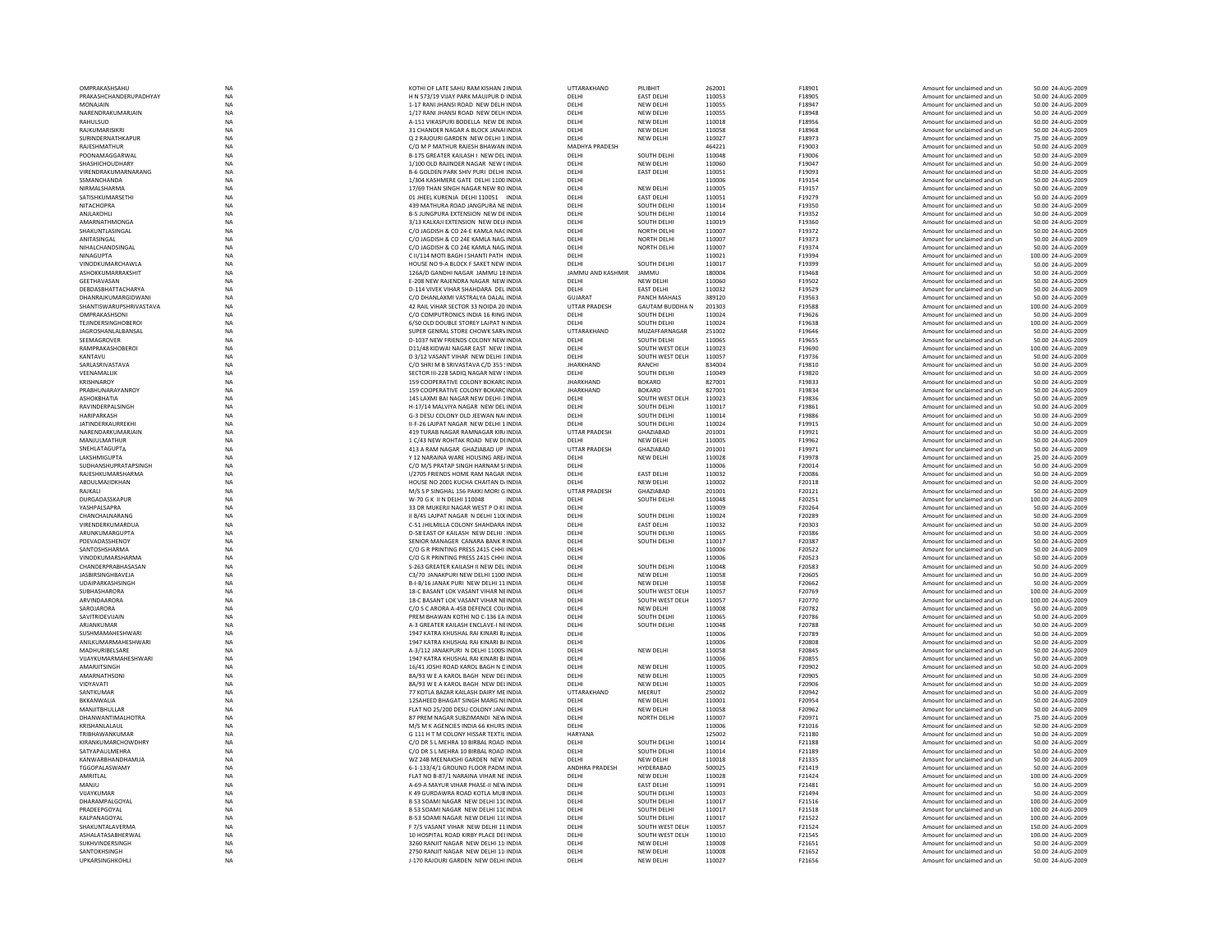| OMPRAKASHSAHU                   | <b>NA</b>       | KOTHI OF LATE SAHU RAM KISHAN 2 INDIA                                        | UTTARAKHAND          | PILIBHIT                      | 262001           | F18901           | Amount for unclaimed and un                                | 50.00 24-AUG-2009                      |
|---------------------------------|-----------------|------------------------------------------------------------------------------|----------------------|-------------------------------|------------------|------------------|------------------------------------------------------------|----------------------------------------|
| PRAKASHCHANDERUPADHYAY          | <b>NA</b>       | H N 573/19 VIJAY PARK MAUJPUR D INDIA                                        | DELHI                | <b>EAST DELHI</b>             | 110053           | F18905           | Amount for unclaimed and un                                | 50.00 24-AUG-2009                      |
|                                 |                 | 1-17 RANI JHANSI ROAD NEW DELH INDIA                                         | DELHI                |                               |                  | F18947           |                                                            |                                        |
| MONAJAIN                        | NA              |                                                                              |                      | NEW DELHI                     | 110055           |                  | Amount for unclaimed and un                                | 50.00 24-AUG-2009                      |
| NARENDRAKUMARJAIN               | NA              | 1/17 RANI JHANSI ROAD NEW DELH INDIA                                         | DELHI                | NEW DELHI                     | 110055           | F18948           | Amount for unclaimed and un                                | 50.00 24-AUG-2009                      |
| RAHULSUD                        | <b>NA</b>       | A-151 VIKASPURI BODELLA NEW DE INDIA                                         | DELHI                | NEW DELHI                     | 110018           | F18956           | Amount for unclaimed and un                                | 50.00 24-AUG-2009                      |
| RAJKUMARISIKR                   | <b>NA</b>       | 31 CHANDER NAGAR A BLOCK JANAHNDIA                                           | DELHI                | <b>NEW DELHI</b>              | 110058           | F18968           | Amount for unclaimed and un                                | 50.00 24-AUG-2009                      |
| <b>SURINDERNATHKAPUR</b>        | $_{\sf NA}$     | O 2 RAJOURI GARDEN NEW DELHI 1 INDIA                                         | DELHI                | <b>NEW DELHI</b>              | 110027           | F18973           | Amount for unclaimed and un                                | 75.00 24-AUG-2009                      |
| RAJESHMATHUF                    | NA              | C/O M P MATHUR RAJESH BHAWAN INDIA                                           | MADHYA PRADESH       |                               | 464221           | F19003           | Amount for unclaimed and un                                | 50.00 24-AUG-2009                      |
|                                 |                 |                                                                              |                      |                               |                  |                  |                                                            |                                        |
| POONAMAGGARWAI                  | <b>NA</b>       | B-175 GREATER KAILASH I NEW DEL INDIA                                        | DELHI                | SOUTH DELHI                   | 110048           | F19006           | Amount for unclaimed and un                                | 50.00 24-AUG-2009                      |
| SHASHICHOUDHARY                 | <b>NA</b>       | 1/100 OLD RAJINDER NAGAR NEW LINDIA                                          | DELHI                | <b>NEW DELHI</b>              | 110060           | F19047           | Amount for unclaimed and un                                | 50.00 24-AUG-2009                      |
| VIRENDRAKLIMARNARANG            | <b>NA</b>       | B-6 GOLDEN PARK SHIV PURL DELHI INDIA                                        | <b>DELHI</b>         | <b>EAST DELHI</b>             | 110051           | F19093           | Amount for unclaimed and un                                | 50.00 24-AUG-2009                      |
| SSMANCHANDA                     | NA              | 1/304 KASHMERE GATE DELHI 1100 INDIA                                         | DELHI                |                               | 110006           | F19154           | Amount for unclaimed and un                                | 50.00 24-AUG-2009                      |
|                                 |                 |                                                                              |                      |                               |                  |                  |                                                            |                                        |
| <b>NIRMALSHARM</b>              | NA              | 17/69 THAN SINGH NAGAR NEW RO INDIA                                          | DELHI                | NEW DELHI                     | 110005           | F19157           | Amount for unclaimed and un                                | 50.00 24-AUG-2009                      |
| SATISHKUMARSETHI                | <b>NA</b>       | 01 JHEEL KURENJA DELHI 110051 INDIA                                          | DELHI                | <b>EAST DELHI</b>             | 110051           | F19279           | Amount for unclaimed and un                                | 50.00 24-AUG-2009                      |
| NITACHOPRA                      | <b>NA</b>       | 439 MATHURA ROAD JANGPURA NE INDIA                                           | DELHI                | SOUTH DELHI                   | 110014           | F19350           | Amount for unclaimed and un                                | 50.00 24-AUG-2009                      |
| <b>ANII AKOHII</b>              | <b>NA</b>       | <b>B-5 IUNGPURA EXTENSION NEW DEINDIA</b>                                    | DELHI                | SOUTH DELHI                   | 110014           | F19352           | Amount for unclaimed and un                                | 50.00 24-AUG-2009                      |
|                                 |                 |                                                                              |                      |                               |                  |                  |                                                            |                                        |
| AMARNATHMONGA                   | NA              | 3/13 KALKAJI EXTENSION NEW DELI INDIA                                        | DELHI                | SOUTH DELHI                   | 110019           | F19360           | Amount for unclaimed and un                                | 50.00 24-AUG-2009                      |
| SHAKUNTLASINGAL                 | <b>NA</b>       | C/O JAGDISH & CO 24-E KAMLA NAC INDIA                                        | DELHI                | <b>NORTH DELHI</b>            | 110007           | F19372           | Amount for unclaimed and un                                | 50.00 24-AUG-2009                      |
| ANITASINGAL                     | NA              | C/O JAGDISH & CO 24E KAMLA NAG. INDIA                                        | DELHI                | NORTH DELHI                   | 110007           | F19373           | Amount for unclaimed and un                                | 50.00 24-AUG-2009                      |
| NIHAI CHANDSINGAL               | <b>NA</b>       | C/O IAGDISH & CO 24F KAMI A NAG INDIA                                        | <b>DELHI</b>         | NORTH DELHI                   | 110007           | F19374           | Amount for unclaimed and un                                | 50.00 24-AUG-2009                      |
| NINAGUPTA                       | <b>NA</b>       | C II/114 MOTI BAGH I SHANTI PATH INDIA                                       | DELHI                |                               | 110021           | F19394           | Amount for unclaimed and un                                | 100.00 24-AUG-2009                     |
|                                 |                 |                                                                              |                      |                               |                  |                  |                                                            |                                        |
| VINODKUMARCHAWLA                | NA              | HOUSE NO 9-A BLOCK F SAKET NEW INDIA                                         | DELHI                | SOUTH DELHI                   | 110017           | F19399           | Amount for unclaimed and un                                | 50.00 24-AUG-2009                      |
| ASHOKKUMARRAKSHIT               | <b>NA</b>       | 126A/D GANDHI NAGAR JAMMU 18 INDIA                                           | JAMMU AND KASHMIR    | JAMMU                         | 180004           | F19468           | Amount for unclaimed and un                                | 50.00 24-AUG-2009                      |
| GEETHAVASAN                     | NA              | E-208 NEW RAJENDRA NAGAR NEW INDIA                                           | DELHI                | NFW DFI HI                    | 110060           | F19502           | Amount for unclaimed and un                                | 50.00 24-AUG-2009                      |
| DEBDASBHATTACHARYA              | <b>NA</b>       | D-114 VIVEK VIHAR SHAHDARA DEL INDIA                                         | DELHI                | <b>EAST DELHI</b>             | 110032           | F19529           | Amount for unclaimed and un                                | 50.00 24-AUG-2009                      |
| DHANRAJKUMARGIDWANI             | <b>NA</b>       | C/O DHANLAXMI VASTRALYA DALAL INDIA                                          | <b>GUJARAT</b>       | <b>PANCH MAHALS</b>           | 389120           | F19563           | Amount for unclaimed and un                                | 50.00 24-AUG-2009                      |
|                                 |                 |                                                                              |                      |                               |                  |                  |                                                            |                                        |
| SHANTISWARUPSHRIVASTAVA         | <b>NA</b>       | 42 RAIL VIHAR SECTOR 33 NOIDA 20 INDIA                                       | <b>UTTAR PRADESH</b> | <b>GAUTAM BUDDHA N</b>        | 201303           | F19588           | Amount for unclaimed and un                                | 100.00 24-AUG-2009                     |
| OMPRAKASHSONI                   | NA              | C/O COMPUTRONICS INDIA 16 RING INDIA                                         | DELHI                | SOUTH DELHI                   | 110024           | F19626           | Amount for unclaimed and un                                | 50.00 24-AUG-2009                      |
| TEJINDERSINGHOBERO              | <b>NA</b>       | 6/50 OLD DOUBLE STOREY LAJPAT N INDIA                                        | DELHI                | SOUTH DELHI                   | 110024           | F19638           | Amount for unclaimed and un                                | 100.00 24-AUG-2009                     |
| JAGROSHANLALBANSAL              | <b>NA</b>       | SUPER GENRAL STORE CHOWK SARVINDIA                                           | UTTARAKHAND          | MUZAFFARNAGAR                 | 251002           | F19646           | Amount for unclaimed and un                                | 50.00 24-AUG-2009                      |
| SEEMAGROVER                     | <b>NA</b>       | D-1037 NEW FRIENDS COLONY NEW INDIA                                          |                      | SOUTH DELHI                   | 110065           |                  |                                                            | 50.00 24-AUG-2009                      |
|                                 |                 |                                                                              | DELHI                |                               |                  | F19655           | Amount for unclaimed and un                                |                                        |
| RAMPRAKASHOBEROI                | NA              | D11/48 KIDWAI NAGAR EAST NEW LINDIA                                          | DELHI                | SOUTH WEST DELH               | 110023           | F19690           | Amount for unclaimed and un                                | 100.00 24-AUG-2009                     |
| KANTAVIJ                        | NA              | D 3/12 VASANT VIHAR NEW DELHI 1INDIA                                         | DELHI                | SOUTH WEST DELH               | 110057           | F19736           | Amount for unclaimed and un                                | 50.00 24-AUG-2009                      |
| SARLASRIVASTAVA                 | <b>NA</b>       | C/O SHRI M B SRIVASTAVA C/D 355 ! INDIA                                      | <b>JHARKHAND</b>     | RANCHI                        | 834004           | F19810           | Amount for unclaimed and un                                | 50.00 24-AUG-2009                      |
| VEENAMALLIK                     | NA              | SECTOR III-228 SADIO NAGAR NEW LINDIA                                        | DELHI                | SOUTH DELHI                   | 110049           | F19820           | Amount for unclaimed and un                                | 50.00 24-AUG-2009                      |
|                                 |                 |                                                                              |                      |                               |                  |                  |                                                            |                                        |
| <b>KRISHNAROY</b>               | NA              | 159 COOPERATIVE COLONY BOKARC INDIA                                          | <b>JHARKHAND</b>     | <b>BOKARO</b>                 | 827001           | F19833           | Amount for unclaimed and un                                | 50.00 24-AUG-2009                      |
| PRABHUNARAYANROY                | NA              | 159 COOPERATIVE COLONY BOKARC INDIA                                          | <b>JHARKHAND</b>     | <b>BOKARO</b>                 | 827001           | F19834           | Amount for unclaimed and un                                | 50.00 24-AUG-2009                      |
| ASHOKBHATIA                     | <b>NA</b>       | 145 LAXMI BAI NAGAR NEW DELHI-1INDIA                                         | DELHI                | SOUTH WEST DELH               | 110023           | F19836           | Amount for unclaimed and un                                | 50.00 24-AUG-2009                      |
| RAVINDERPALSINGH                | <b>NA</b>       | H-17/14 MALVIYA NAGAR NEW DELINDIA                                           | DELHI                | SOUTH DELHI                   | 110017           | F19861           | Amount for unclaimed and un                                | 50.00 24-AUG-2009                      |
| HARIPARKASH                     |                 | G-3 DESU COLONY OLD JEEWAN NA(INDIA                                          | DELHI                | SOUTH DELHI                   | 110014           | F19886           |                                                            | 50.00 24-AUG-2009                      |
|                                 | $_{\sf NA}$     |                                                                              |                      |                               |                  |                  | Amount for unclaimed and un                                |                                        |
| JATINDERKAURREKHI               | NA              | II-F-26 LAJPAT NAGAR NEW DELHI 1 INDIA                                       | DELHI                | SOUTH DELHI                   | 110024           | F19915           | Amount for unclaimed and un                                | 50.00 24-AUG-2009                      |
| NARFNDARKUMARIAIN               | <b>NA</b>       | 419 TURAR NAGAR RAMNAGAR KIRJINDIA                                           | UTTAR PRADESH        | GHA7IARAD                     | 201001           | F19921           | Amount for unclaimed and un                                | 50.00 24-AUG-2009                      |
| MANJULMATHUR                    | <b>NA</b>       | 1 C/43 NEW ROHTAK ROAD NEW DHNDIA                                            | DELHI                | <b>NEW DELHI</b>              | 110005           | F19962           | Amount for unclaimed and un                                | 50.00 24-AUG-2009                      |
| SNEHI ATAGUPTA                  | <b>NA</b>       | 413 A RAM NAGAR GHAZIARAD UP INDIA                                           | <b>UTTAR PRADESH</b> | <b>GHAZIARAD</b>              | 201001           | F19971           | Amount for unclaimed and un                                | 50.00 24-AUG-2009                      |
|                                 |                 |                                                                              |                      |                               |                  |                  |                                                            |                                        |
| LAKSHMIGUPTA                    | NA              | Y 12 NARAINA WARE HOUSING ARE/ INDIA                                         | DELHI                | NEW DELHI                     | 110028           | F19978           | Amount for unclaimed and un                                | 25.00 24-AUG-2009                      |
| SUDHANSHUPRATAPSINGH            | NA              | C/O M/S PRATAP SINGH HARNAM SI INDIA                                         | DELHI                |                               | 110006           | F20014           | Amount for unclaimed and un                                | 50.00 24-AUG-2009                      |
| RAJESHKUMARSHARMA               | <b>NA</b>       | I/2705 FRIENDS HOME RAM NAGAR INDIA                                          | DELHI                | <b>EAST DELHI</b>             | 110032           | F20086           | Amount for unclaimed and un                                | 50.00 24-AUG-2009                      |
| ABDULMAJIDKHAN                  | <b>NA</b>       | HOUSE NO 2001 KUCHA CHAITAN D/INDIA                                          | DELHI                | <b>NEW DELHI</b>              | 110002           | F20118           | Amount for unclaimed and un                                | 50.00 24-AUG-2009                      |
| RAIKALL                         | <b>NA</b>       | M/S S P SINGHAL 156 PAKKI MORI G INDIA                                       | <b>UTTAR PRADESH</b> | GHAZIABAD                     | 201001           | F20121           | Amount for unclaimed and un                                | 50.00 24-AUG-2009                      |
|                                 |                 |                                                                              |                      |                               |                  |                  |                                                            |                                        |
| DURGADASSKAPUR                  | NA              | W-70 G K II N DELHI 110048                                                   | DELHI                | SOUTH DELHI                   | 110048           | F20251           | Amount for unclaimed and un                                | 100.00 24-AUG-2009                     |
| YASHPALSAPRA                    | <b>NA</b>       | 33 DR MUKERJI NAGAR WEST P O KI INDIA                                        | DELHI                |                               | 110009           | F20264           | Amount for unclaimed and un                                | 50.00 24-AUG-2009                      |
| CHANCHALNARANG                  | <b>NA</b>       | II B/45 LAJPAT NAGAR N DELHI 110( INDIA                                      | DELHI                | SOUTH DELHI                   | 110024           | F20289           | Amount for unclaimed and un                                | 50.00 24-AUG-2009                      |
| VIRENDERKUMARDUA                | <b>NA</b>       | C-51 IHII MILLA COLONY SHAHDARA INDIA                                        | <b>DELHI</b>         | <b>FAST DELHI</b>             | 110032           | E20303           | Amount for unclaimed and un                                | 50.00 24-AUG-2009                      |
|                                 |                 |                                                                              |                      |                               |                  |                  |                                                            |                                        |
| ARUNKUMARGUPTA                  | <b>NA</b>       | D-58 EAST OF KAILASH NEW DELHI : INDIA                                       | DELHI                | SOUTH DELHI                   | 110065           | F20386           | Amount for unclaimed and un                                | 50.00 24-AUG-2009                      |
| PDEVADASSHENOY                  | <b>NA</b>       | SENIOR MANAGER CANARA BANK RINDIA                                            | DELHI                | SOUTH DELHI                   | 110017           | F20387           | Amount for unclaimed and un                                | 50.00 24-AUG-2009                      |
|                                 |                 |                                                                              | DELHI                |                               |                  | F20522           | Amount for unclaimed and un                                | 50.00 24-AUG-2009                      |
|                                 |                 | C/O G R PRINTING PRESS 2415 CHHI INDIA                                       |                      |                               | 110006           |                  |                                                            |                                        |
| SANTOSHSHARMA                   | NA              |                                                                              |                      |                               |                  |                  |                                                            |                                        |
| VINODKUMARSHARMA                | <b>NA</b>       | C/O G R PRINTING PRESS 2415 CHHI INDIA                                       | DFI HI               |                               | 110006           | F20523           | Amount for unclaimed and un                                | 50.00 24-AUG-2009                      |
| CHANDERPRABHASASAN              | <b>NA</b>       | S-263 GREATER KAILASH II NEW DEL INDIA                                       | DELHI                | SOUTH DELHI                   | 110048           | F20583           | Amount for unclaimed and un                                | 50.00 24-AUG-2009                      |
| <b>JASBIRSINGHBAVEJA</b>        | <b>NA</b>       | C3/70 JANAKPURI NEW DELHI 1100! INDIA                                        | DELHI                | NEW DELHI                     | 110058           | F20605           | Amount for unclaimed and un                                | 50.00 24-AUG-2009                      |
| <b>UDAIPARKASHSINGH</b>         | <b>NA</b>       | B-I-B/16 JANAK PURI NEW DELHI 11 INDIA                                       | DELHI                | NEW DELHI                     | 110058           | F20662           | Amount for unclaimed and un                                | 50.00 24-AUG-2009                      |
|                                 |                 |                                                                              |                      |                               |                  |                  |                                                            |                                        |
| SUBHASHARORA                    | NA              | 18-C BASANT LOK VASANT VIHAR NEINDIA                                         | DELHI                | SOUTH WEST DELH               | 110057           | F20769           | Amount for unclaimed and un                                | 100.00 24-AUG-2009                     |
| <b>ARVINDAARORA</b>             | <b>NA</b>       | 18-C BASANT LOK VASANT VIHAR NEINDIA                                         | DELHI                | SOUTH WEST DELH               | 110057           | F20770           | Amount for unclaimed and un                                | 100.00 24-AUG-2009                     |
| SAROJARORA                      | <b>NA</b>       | C/O S C ARORA A-458 DEFENCE COLHNDIA                                         | DELHI                | NEW DELHI                     | 110008           | F20782           | Amount for unclaimed and un                                | 50.00 24-AUG-2009                      |
| SAVITRIDEVIJAIN                 | <b>NA</b>       | PREM BHAWAN KOTHI NO C-136 EA INDIA                                          | DELHI                | SOUTH DELHI                   | 110065           | F20786           | Amount for unclaimed and un                                | 50.00 24-AUG-2009                      |
| ARJANKUMAR                      | NA              | A-3 GREATER KAILASH ENCLAVE-I NEINDIA                                        | DELHI                | SOUTH DELHI                   | 110048           | F20788           | Amount for unclaimed and un                                | 50.00 24-AUG-2009                      |
| SUSHMAMAHESHWARI                | <b>NA</b>       | 1947 KATRA KHUSHAL RAI KINARI B/ INDIA                                       | DELHI                |                               | 110006           | F20789           | Amount for unclaimed and un                                | 50.00 24-AUG-2009                      |
|                                 |                 |                                                                              |                      |                               |                  |                  |                                                            |                                        |
| ANILKUMARMAHESHWARI             | <b>NA</b>       | 1947 KATRA KHUSHAI RAI KINARI BAINDIA                                        | DELHI                |                               | 110006           | <b>E20808</b>    | Amount for unclaimed and un                                | 50.00 24-AUG-2009                      |
| MADHURIBELSARE                  | NA              | A-3/112 JANAKPURI N DELHI 11005/INDIA                                        | DELHI                | NEW DELHI                     | 110058           | F20845           | Amount for unclaimed and un                                | 50.00 24-AUG-2009                      |
| VUAYKUMARMAHESHWARI             | NA              | 1947 KATRA KHUSHAL RAI KINARI B/ INDIA                                       | DELHI                |                               | 110006           | F20855           | Amount for unclaimed and un                                | 50.00 24-AUG-2009                      |
| AMARJITSINGH                    |                 | 16/41 JOSHI ROAD KAROL BAGH N DINDIA                                         | DELHI                | NEW DELHI                     |                  |                  | Amount for unclaimed and un                                | 50.00 24-AUG-2009                      |
|                                 | NA              |                                                                              |                      |                               | 110005           | F20902           |                                                            |                                        |
| AMARNATHSON                     | <b>NA</b>       | 8A/93 W E A KAROL BAGH NEW DELINDIA                                          | DELHI                | <b>NEW DELHI</b>              | 110005           | F20905           | Amount for unclaimed and un                                | 50.00 24-AUG-2009                      |
| VIDYAVATI                       | <b>NA</b>       | 8A/93 W E A KAROL BAGH NEW DELINDIA                                          | DELHI                | NEW DELHI                     | 110005           | F20906           | Amount for unclaimed and un                                | 50.00 24-AUG-2009                      |
| SANTKUMAF                       | NA              | 77 KOTLA BAZAR KAILASH DAIRY ME INDIA                                        | UTTARAKHAND          | MEERUT                        | 250002           | F20942           | Amount for unclaimed and un                                | 50.00 24-AUG-2009                      |
| BKKANWALIA                      | NA              | 12SAHEED BHAGAT SINGH MARG NEINDIA                                           | DELHI                | NEW DELHI                     | 110001           | F20954           | Amount for unclaimed and un                                | 50.00 24-AUG-2009                      |
| MANJITBHULLAR                   | <b>NA</b>       | FLAT NO 25/200 DESU COLONY JAN/ INDIA                                        | DELHI                | NEW DELHI                     | 110058           | F20962           | Amount for unclaimed and un                                | 50.00 24-AUG-2009                      |
|                                 |                 |                                                                              |                      |                               |                  |                  |                                                            |                                        |
| DHANWANTIMALHOTRA               | <b>NA</b>       | 87 PREM NAGAR SUBZIMANDI NEW INDIA                                           | DELHI                | <b>NORTH DELHI</b>            | 110007           | F20971           | Amount for unclaimed and un                                | 75.00 24-AUG-2009                      |
| KRISHANLALAUL                   | <b>NA</b>       | M/S M K AGENCIES INDIA 66 KHURS INDIA                                        | DELHI                |                               | 110006           | F21016           | Amount for unclaimed and un                                | 50.00 24-AUG-2009                      |
| TRIBHAWANKUMAF                  | NA              | G 111 H T M COLONY HISSAR TEXTIL INDIA                                       | HARYANA              |                               | 125002           | F21180           | Amount for unclaimed and un                                | 50.00 24-AUG-2009                      |
| KIRANKUMARCHOWDHRY              | <b>NA</b>       | C/O DR S L MEHRA 10 BIRBAL ROAD INDIA                                        | DELHI                | SOUTH DELHI                   | 110014           | F21188           | Amount for unclaimed and un                                | 50.00 24-AUG-2009                      |
| SATYAPAULMEHRA                  | <b>NA</b>       | C/O DR S L MEHRA 10 BIRBAL ROAD INDIA                                        | DELHI                | SOUTH DELHI                   | 110014           | F21189           | Amount for unclaimed and un                                | 50.00 24-AUG-2009                      |
|                                 |                 |                                                                              |                      |                               |                  |                  |                                                            |                                        |
| KANWARRHANDHAMIIA               | NA              | W7 24R MFFNAKSHI GARDEN NEW INDIA                                            | <b>DELHI</b>         | NFW DFI HI                    | 110018           | F21335           | Amount for unclaimed and un                                | 50.00 24-AUG-2009                      |
| TGGOPALASWAMY                   | <b>NA</b>       | 6-1-133/4/1 GROUND FLOOR PADM INDIA                                          | ANDHRA PRADESH       | <b>HYDERABAD</b>              | 500025           | F21419           | Amount for unclaimed and un                                | 50.00 24-AUG-2009                      |
| AMRITLAL                        | NA              | FLAT NO B-87/1 NARAINA VIHAR NE INDIA                                        | DELHI                | NEW DELHI                     | 110028           | F21424           | Amount for unclaimed and un                                | 100.00 24-AUG-2009                     |
| <b>MANJU</b>                    | NA              | A-69-A MAYUR VIHAR PHASE-II NEW INDIA                                        | DELHI                | <b>EAST DELHI</b>             | 110091           | F21481           | Amount for unclaimed and un                                | 50.00 24-AUG-2009                      |
|                                 |                 |                                                                              |                      |                               |                  |                  |                                                            |                                        |
| VUAYKUMAR                       | <b>NA</b>       | K 49 GURDAWRA ROAD KOTLA MUBINDIA                                            | DELHI                | SOUTH DELHI                   | 110003           | F21494           | Amount for unclaimed and un                                | 50.00 24-AUG-2009                      |
| DHARAMPAI GOYAL                 | <b>NA</b>       | B 53 SOAMLNAGAR NEW DELHL11CINDIA                                            | DELHI                | SOUTH DELHI                   | 110017           | F21516           | Amount for unclaimed and un                                | 100.00 24-AUG-2009                     |
| PRADEEPGOYAL                    | NA              | B 53 SOAMI NAGAR NEW DELHI 11C INDIA                                         | DELHI                | SOUTH DELHI                   | 110017           | F21518           | Amount for unclaimed and un                                | 100.00 24-AUG-2009                     |
| KALPANAGOYAI                    | <b>NA</b>       | B-53 SOAMI NAGAR NEW DELHI 11( INDIA                                         | DELHI                | SOUTH DELHI                   | 110017           | F21522           | Amount for unclaimed and un                                | 100.00 24-AUG-2009                     |
| SHAKUNTALAVERMA                 | NA              |                                                                              |                      | SOUTH WEST DELH               | 110057           | F21524           | Amount for unclaimed and un                                | 150.00 24-AUG-2009                     |
|                                 |                 | F 7/5 VASANT VIHAR NEW DELHI 11 INDIA                                        | DELHI                |                               |                  |                  |                                                            |                                        |
| ASHAI ATASARHERWAI              | <b>NA</b>       | 10 HOSPITAL ROAD KIRRY PLACE DELINDIA                                        | DFI HI               | SOUTH WEST DELH               | 110010           | F21545           | Amount for unclaimed and un                                | 100.00 24-AUG-2009                     |
| SUKHVINDERSINGH                 | <b>NA</b>       | 3260 RANJIT NAGAR NEW DELHI 11 INDIA                                         | DELHI                | NEW DELHI                     | 110008           | F21651           | Amount for unclaimed and un                                | 50.00 24-AUG-2009                      |
| SANTOKHSINGH<br>UPKARSINGHKOHLI | NA<br><b>NA</b> | 2750 RANJIT NAGAR NEW DELHI 11/INDIA<br>J-170 RAJOURI GARDEN NEW DELHI INDIA | DELHI<br>DELHI       | NEW DELHI<br><b>NEW DELHI</b> | 110008<br>110027 | F21652<br>F21656 | Amount for unclaimed and un<br>Amount for unclaimed and un | 50.00 24-AUG-2009<br>50.00 24-AUG-2009 |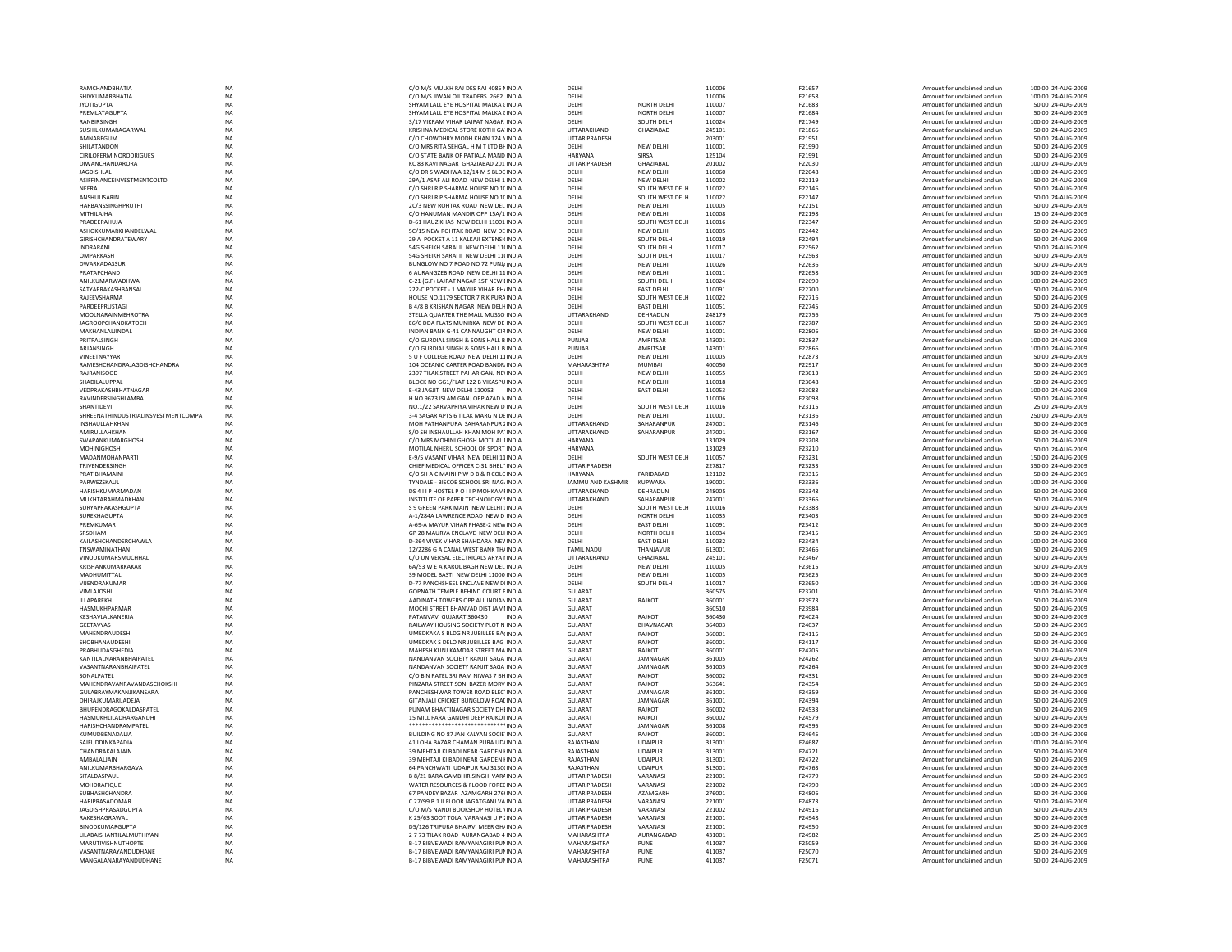|                                               | <b>NA</b>              | C/O M/S MULKH RAJ DES RAJ 4085 NINDIA                                                    | DELHI                      |                    | 110006           | F21657           | Amount for unclaimed and un                                | 100.00 24-AUG-2009                     |
|-----------------------------------------------|------------------------|------------------------------------------------------------------------------------------|----------------------------|--------------------|------------------|------------------|------------------------------------------------------------|----------------------------------------|
| RAMCHANDBHATIA                                |                        |                                                                                          |                            |                    |                  |                  |                                                            |                                        |
| SHIVKUMARBHATIA                               | <b>NA</b>              | C/O M/S JIWAN OIL TRADERS 2662 INDIA                                                     | DELHI                      |                    | 110006           | F21658           | Amount for unclaimed and un                                | 100.00 24-AUG-2009                     |
| <b>JYOTIGUPTA</b>                             | <b>NA</b>              | SHYAM LALL EYE HOSPITAL MALKA CINDIA                                                     | <b>DELHI</b>               | NORTH DELHI        | 110007           | F21683           | Amount for unclaimed and un                                | 50.00 24-AUG-2009                      |
| <b>PREMLATAGUPTA</b>                          | NA                     | SHYAM LALL EYE HOSPITAL MALKA CINDIA                                                     | DELHI                      | <b>NORTH DELHI</b> | 110007           | F21684           | Amount for unclaimed and un                                | 50.00 24-AUG-2009                      |
| RANBIRSINGH                                   | <b>NA</b>              | 3/17 VIKRAM VIHAR LAJPAT NAGAR INDIA                                                     | DELHI                      | SOUTH DELHI        | 110024           | F21749           | Amount for unclaimed and un                                | 100.00 24-AUG-2009                     |
| SUSHILKUMARAGARWAL                            | NA                     | KRISHNA MEDICAL STORE KOTHI GA' INDIA                                                    | UTTARAKHAND                | GHAZIABAD          | 245101           | F21866           | Amount for unclaimed and un                                | 50.00 24-AUG-2009                      |
| AMNARFGUM                                     | <b>NA</b>              | C/O CHOWDHRY MODH KHAN 124 NINDIA                                                        | <b>UTTAR PRADESH</b>       |                    | 203001           | F21951           | Amount for unclaimed and un                                | 50.00 24-AUG-2009                      |
|                                               | <b>NA</b>              |                                                                                          | <b>DELHI</b>               |                    |                  | F21990           |                                                            |                                        |
| SHILATANDON                                   |                        | C/O MRS RITA SEHGAL H M T LTD BI INDIA                                                   |                            | <b>NEW DELHI</b>   | 110001           |                  | Amount for unclaimed and un                                | 50.00 24-AUG-2009                      |
| CIRILOFERMINORODRIGUES                        | $_{\sf NA}$            | C/O STATE BANK OF PATIALA MAND INDIA                                                     | HARYANA                    | SIRSA              | 125104           | F21991           | Amount for unclaimed and un                                | 50.00 24-AUG-2009                      |
| <b>DIWANCHANDARORA</b>                        | <b>NA</b>              | KC 83 KAVI NAGAR GHAZIABAD 201 INDIA                                                     | <b>UTTAR PRADESH</b>       | GHAZIABAD          | 201002           | F22030           | Amount for unclaimed and un                                | 100.00 24-AUG-2009                     |
| <b>JAGDISHLAL</b>                             | <b>NA</b>              | C/O DR S WADHWA 12/14 M S BLDG INDIA                                                     | DELHI                      | NEW DELHI          | 110060           | F22048           | Amount for unclaimed and un                                | 100.00 24-AUG-2009                     |
| ASIFFINANCEINVESTMENTCOLTD                    | <b>NA</b>              | 29A/1 ASAF ALI ROAD NEW DELHI 1 INDIA                                                    | DELHI                      | <b>NEW DELHI</b>   | 110002           | F22119           | Amount for unclaimed and un                                | 50.00 24-AUG-2009                      |
|                                               | <b>NA</b>              |                                                                                          |                            |                    |                  |                  |                                                            |                                        |
| NFFRA                                         |                        | C/O SHRI R P SHARMA HOUSE NO 1( INDIA                                                    | DELHI                      | SOUTH WEST DELH    | 110022           | F22146           | Amount for unclaimed and un                                | 50.00 24-AUG-2009                      |
| ANSHULISARIN                                  | NA                     | C/O SHRI R P SHARMA HOUSE NO 1( INDIA                                                    | DELHI                      | SOUTH WEST DELH    | 110022           | F22147           | Amount for unclaimed and un                                | 50.00 24-AUG-2009                      |
| HARBANSSINGHPRUTHI                            | NA                     | 2C/3 NEW ROHTAK ROAD NEW DEL INDIA                                                       | DELHI                      | NEW DELHI          | 110005           | F22151           | Amount for unclaimed and un                                | 50.00 24-AUG-2009                      |
| MITHILAJHA                                    | <b>NA</b>              | C/O HANUMAN MANDIR OPP 15A/1 INDIA                                                       | DELHI                      | <b>NEW DELHI</b>   | 110008           | F22198           | Amount for unclaimed and un                                | 15.00 24-AUG-2009                      |
| PRADEEPAHUJA                                  | <b>NA</b>              | D-61 HAUZ KHAS NEW DELHI 11001 INDIA                                                     | DELHI                      | SOUTH WEST DELH    | 110016           | F22347           | Amount for unclaimed and un                                | 50.00 24-AUG-2009                      |
|                                               |                        |                                                                                          |                            |                    |                  |                  |                                                            |                                        |
| ASHOKKUMARKHANDELWAL                          | <b>NA</b>              | 5C/15 NEW ROHTAK ROAD NEW DE INDIA                                                       | DELHI                      | NEW DELHI          | 110005           | F22442           | Amount for unclaimed and un                                | 50.00 24-AUG-2009                      |
| GIRISHCHANDRATEWARY                           | NA                     | 29 A POCKET A 11 KALKAJI EXTENSI(INDIA                                                   | DELHI                      | SOUTH DELH         | 110019           | F22494           | Amount for unclaimed and un                                | 50.00 24-AUG-2009                      |
| INDRARANI                                     | <b>NA</b>              | 54G SHEIKH SARAI II NEW DELHI 11(INDIA                                                   | DELHI                      | SOUTH DELHI        | 110017           | F22562           | Amount for unclaimed and un                                | 50.00 24-AUG-2009                      |
| OMPARKASH                                     | <b>NA</b>              | 54G SHEIKH SARAI II NEW DELHI 11(INDIA                                                   | DELHI                      | SOUTH DELHI        | 110017           | F22563           | Amount for unclaimed and un                                | 50.00 24-AUG-2009                      |
| DWARKADASSURI                                 | <b>NA</b>              | BUNGLOW NO 7 ROAD NO 72 PUNJ/INDIA                                                       | DELHI                      | NEW DELHI          | 110026           | F22636           | Amount for unclaimed and un                                | 50.00 24-AUG-2009                      |
| PRATAPCHAND                                   | NA                     | 6 AURANGZEB ROAD NEW DELHI 11 INDIA                                                      | DELHI                      | NEW DELHI          | 110011           | F22658           | Amount for unclaimed and un                                | 300.00 24-AUG-2009                     |
|                                               |                        |                                                                                          |                            |                    |                  |                  |                                                            |                                        |
| ANILKUMARWADHWA                               | <b>NA</b>              | C-21 (G.F) LAJPAT NAGAR 1ST NEW LINDIA                                                   | DELHI                      | SOUTH DELHI        | 110024           | F22690           | Amount for unclaimed and un                                | 100.00 24-AUG-2009                     |
| SATYAPRAKASHBANSAL                            | <b>NA</b>              | 222-C POCKET - 1 MAYUR VIHAR PH/ INDIA                                                   | DELHI                      | <b>EAST DELHI</b>  | 110091           | F22700           | Amount for unclaimed and un                                | 50.00 24-AUG-2009                      |
| RAIFFVSHARMA                                  | <b>NA</b>              | HOUSE NO. 1179 SECTOR 7 R K PURA INDIA                                                   | DELHI                      | SOUTH WEST DELH    | 110022           | F22716           | Amount for unclaimed and un                                | 50.00 24-AUG-2009                      |
| PARDEEPRUSTAGI                                | NA                     | <b>B 4/8 B KRISHAN NAGAR NEW DELHINDIA</b>                                               | DELHI                      | <b>EAST DELHI</b>  | 110051           | F22745           | Amount for unclaimed and un                                | 50.00 24-AUG-2009                      |
| MOOLNARAINMEHROTRA                            | NA                     | STELLA QUARTER THE MALL MUSSO INDIA                                                      | UTTARAKHAND                | DEHRADUN           | 248179           | F22756           | Amount for unclaimed and un                                | 75.00 24-AUG-2009                      |
|                                               |                        |                                                                                          |                            |                    |                  |                  |                                                            |                                        |
| <b>JAGROOPCHANDKATOCH</b>                     | <b>NA</b>              | E6/C DDA FLATS MUNIRKA NEW DE INDIA                                                      | DELHI                      | SOUTH WEST DELH    | 110067           | F22787           | Amount for unclaimed and un                                | 50.00 24-AUG-2009                      |
| MAKHANLALJINDAL                               | <b>NA</b>              | INDIAN BANK G-41 CANNAUGHT CIRINDIA                                                      | DELHI                      | <b>NEW DELHI</b>   | 110001           | F22806           | Amount for unclaimed and un                                | 50.00 24-AUG-2009                      |
| PRITPAI SINGH                                 | <b>NA</b>              | C/O GURDIAL SINGH & SONS HALL B INDIA                                                    | PUNIAR                     | <b>AMRITSAR</b>    | 143001           | F22837           | Amount for unclaimed and un                                | 100.00 24-AUG-2009                     |
| ARJANSINGH                                    | NA                     | C/O GURDIAL SINGH & SONS HALL B INDIA                                                    | PUNJAB                     | AMRITSAR           | 143001           | F22866           | Amount for unclaimed and un                                | 100.00 24-AUG-2009                     |
|                                               |                        |                                                                                          |                            |                    |                  |                  |                                                            |                                        |
| VINEETNAYYAR                                  | <b>NA</b>              | 5 U F COLLEGE ROAD NEW DELHI 11INDIA                                                     | DELHI                      | <b>NEW DELHI</b>   | 110005           | F22873           | Amount for unclaimed and un                                | 50.00 24-AUG-2009                      |
| RAMESHCHANDRAJAGDISHCHANDRA                   | NA                     | 104 OCEANIC CARTER ROAD BANDR INDIA                                                      | MAHARASHTRA                | <b>MUMBAI</b>      | 400050           | F22917           | Amount for unclaimed and un                                | 50.00 24-AUG-2009                      |
| RAIRANISOOD                                   | <b>NA</b>              | 2397 TILAK STREET PAHAR GANI NEUNDIA                                                     | DELHI                      | NFW DFI HI         | 110055           | F23013           | Amount for unclaimed and un                                | 50.00 24-AUG-2009                      |
| SHADILALUPPAI                                 | <b>NA</b>              | BLOCK NO GG1/FLAT 122 B VIKASPU INDIA                                                    | DELHI                      | <b>NEW DELHI</b>   | 110018           | F23048           | Amount for unclaimed and un                                | 50.00 24-AUG-2009                      |
| VEDPRAKASHBHATNAGAR                           | NA                     | E-43 JAGJIT NEW DELHI 110053 INDIA                                                       | DELHI                      | <b>EAST DELHI</b>  | 110053           | F23083           | Amount for unclaimed and un                                | 100.00 24-AUG-2009                     |
|                                               |                        |                                                                                          |                            |                    |                  |                  |                                                            |                                        |
| RAVINDERSINGHLAMBA                            | <b>NA</b>              | H NO 9673 ISLAM GANJ OPP AZAD NINDIA                                                     | DELHI                      |                    | 110006           | F23098           | Amount for unclaimed and un                                | 50.00 24-AUG-2009                      |
| SHANTIDEVI                                    | NA                     | NO.1/22 SARVAPRIYA VIHAR NEW D INDIA                                                     | DELHI                      | SOUTH WEST DELH    | 110016           | F23115           | Amount for unclaimed and un                                | 25.00 24-AUG-2009                      |
| SHREENATHINDUSTRIALINSVESTMENTCOMPA           | <b>NA</b>              | 3-4 SAGAR APTS 6 TILAK MARG N DEINDIA                                                    | <b>DELHI</b>               | NEW DELHI          | 110001           | F23136           | Amount for unclaimed and un                                | 250.00 24-AUG-2009                     |
| INSHAULLAHKHAN                                | <b>NA</b>              | MOH PATHANPURA SAHARANPUR ; INDIA                                                        | UTTARAKHAND                | SAHARANPUR         | 247001           | F23146           | Amount for unclaimed and un                                | 50.00 24-AUG-2009                      |
| AMIRULLAHKHAN                                 | <b>NA</b>              | S/O SH INSHAULLAH KHAN MOH PA' INDIA                                                     | UTTARAKHAND                | SAHARANPUR         | 247001           | F23167           | Amount for unclaimed and un                                | 50.00 24-AUG-2009                      |
|                                               |                        |                                                                                          |                            |                    |                  |                  |                                                            |                                        |
| SWAPANKUMARGHOSH                              | NA                     | C/O MRS MOHINI GHOSH MOTILAL I INDIA                                                     | HARYANA                    |                    | 131029           | F23208           | Amount for unclaimed and un                                | 50.00 24-AUG-2009                      |
| MOHINIGHOSH                                   | <b>NA</b>              | MOTILAL NHERU SCHOOL OF SPORT INDIA                                                      | <b>HARYANA</b>             |                    | 131029           | F23210           | Amount for unclaimed and un                                | 50.00 24-AUG-2009                      |
| MADANMOHANPARTI                               | <b>NA</b>              | E-9/5 VASANT VIHAR NEW DELHI 11 INDIA                                                    | DELHI                      | SOUTH WEST DELH    | 110057           | F23231           | Amount for unclaimed and un                                | 150.00 24-AUG-2009                     |
| TRIVENDERSINGH                                | <b>NA</b>              | CHIEF MEDICAL OFFICER C-31 BHEL' INDIA                                                   | <b>UTTAR PRADESH</b>       |                    | 227817           | <b>F23233</b>    | Amount for unclaimed and un                                | 350.00 24-AUG-2009                     |
|                                               |                        |                                                                                          |                            |                    |                  |                  |                                                            |                                        |
| PRATIBHAMAIN                                  | <b>NA</b>              | C/O SH A C MAINI P W D B & R COLC INDIA                                                  | HARYANA                    | <b>FARIDABAD</b>   | 121102           | F23315           | Amount for unclaimed and un                                | 50.00 24-AUG-2009                      |
| PARWEZSKAUL                                   | NA                     | TYNDALE - BISCOE SCHOOL SRI NAG/ INDIA                                                   | JAMMU AND KASHMIR          | KUPWARA            | 190001           | F23336           | Amount for unclaimed and un                                | 100.00 24-AUG-2009                     |
| HARISHKUMARMADAN                              | <b>NA</b>              | DS 411 P HOSTEL P O 11 P MOHKAMI INDIA                                                   | UTTARAKHAND                | DEHRADUN           | 248005           | F23348           | Amount for unclaimed and un                                | 50.00 24-AUG-2009                      |
| MUKHTARAHMADKHAN                              | NA                     | INSTITUTE OF PAPER TECHNOLOGY ! INDIA                                                    | UTTARAKHAND                | SAHARANPUR         | 247001           | F23366           | Amount for unclaimed and un                                | 50.00 24-AUG-2009                      |
| <b>SURYAPRAKASHGUPTA</b>                      | NA                     | S 9 GREEN PARK MAIN NEW DELHI 1INDIA                                                     | DELHI                      | SOUTH WEST DELH    | 110016           | F23388           | Amount for unclaimed and un                                | 50.00 24-AUG-2009                      |
|                                               |                        |                                                                                          | DELHI                      | NORTH DELHI        |                  |                  |                                                            |                                        |
| SUREKHAGUPTA                                  |                        |                                                                                          |                            |                    | 110035           | F23403           | Amount for unclaimed and un                                | 50.00 24-AUG-2009                      |
|                                               | <b>NA</b>              | A-1/284A LAWRENCE ROAD NEW D INDIA                                                       |                            |                    |                  |                  |                                                            |                                        |
| PREMKUMAR                                     | <b>NA</b>              | A-69-A MAYUR VIHAR PHASE-2 NEW INDIA                                                     | DELHI                      | <b>EAST DELHI</b>  | 110091           | F23412           | Amount for unclaimed and un                                | 50.00 24-AUG-2009                      |
| SPSDHAM                                       | <b>NA</b>              | GP 28 MAURYA ENCLAVE NEW DELHNDIA                                                        | DELHI                      | <b>NORTH DELHI</b> | 110034           | F23415           | Amount for unclaimed and un                                | 50.00 24-AUG-2009                      |
|                                               |                        |                                                                                          |                            |                    |                  |                  |                                                            |                                        |
| KAILASHCHANDERCHAWLA                          | $_{\sf NA}$            | D-264 VIVEK VIHAR SHAHDARA NEV INDIA                                                     | DELHI                      | <b>EAST DELHI</b>  | 110032           | F23434           | Amount for unclaimed and un                                | 100.00 24-AUG-2009                     |
| TNSWAMINATHAN                                 | NA                     | 12/2286 G A CANAL WEST BANK TH/ INDIA                                                    | <b>TAMIL NADU</b>          | THANJAVUR          | 613001           | F23466           | Amount for unclaimed and un                                | 50.00 24-AUG-2009                      |
| VINODKUMARSMUCHHAL                            | <b>NA</b>              | C/O UNIVERSAL ELECTRICALS ARYA LINDIA                                                    | UTTARAKHAND                | GHA7IARAD          | 245101           | F23467           | Amount for unclaimed and un                                | 50.00 24-AUG-2009                      |
| KRISHANKUMARKAKAR                             | <b>NA</b>              | 6A/53 W E A KAROL BAGH NEW DEL INDIA                                                     | DELHI                      | NEW DELHI          | 110005           | F23615           | Amount for unclaimed and un                                | 50.00 24-AUG-2009                      |
| MADHUMITTAL                                   | <b>NA</b>              | 39 MODEL BASTL NEW DELHL11000 INDIA                                                      | DELHI                      | NFW DFI HI         | 110005           | F23625           |                                                            | 50.00 24-AUG-2009                      |
|                                               |                        |                                                                                          |                            |                    |                  |                  | Amount for unclaimed and un                                |                                        |
| VUENDRAKUMAR                                  | NA                     | D-77 PANCHSHEEL ENCLAVE NEW DIINDIA                                                      | DELHI                      | SOUTH DELHI        | 110017           | F23650           | Amount for unclaimed and un                                | 100.00 24-AUG-2009                     |
| VIMLAJOSHI                                    | NA                     | GOPNATH TEMPLE BEHIND COURT FINDIA                                                       | <b>GUJARAT</b>             |                    | 360575           | F23701           | Amount for unclaimed and un                                | 50.00 24-AUG-2009                      |
| ILLAPAREKH                                    | <b>NA</b>              | AADINATH TOWERS OPP ALL INDIAN INDIA                                                     | GUJARAT                    | RAJKOT             | 360001           | F23973           | Amount for unclaimed and un                                | 50.00 24-AUG-2009                      |
| HASMUKHPARMAF                                 | <b>NA</b>              | MOCHI STREET BHANVAD DIST JAMI INDIA                                                     | <b>GUJARAT</b>             |                    | 360510           | F23984           | Amount for unclaimed and un                                | 50.00 24-AUG-2009                      |
| <b>KESHAVI AI KANERIA</b>                     | <b>NA</b>              | PATANVAV GUJARAT 360430<br><b>INDIA</b>                                                  | GUIARAT                    | RAIKOT             | 360430           | F24024           | Amount for unclaimed and un                                | 50.00 24-AUG-2009                      |
|                                               |                        |                                                                                          |                            |                    |                  |                  |                                                            |                                        |
| GEETAVYAS                                     | NA                     | RAILWAY HOUSING SOCIETY PLOT N INDIA                                                     | GUJARAT                    | BHAVNAGAR          | 364003           | F24037           | Amount for unclaimed and un                                | 50.00 24-AUG-2009                      |
| MAHENDRAUDESH                                 | <b>NA</b>              | UMEDKAKA S BLDG NR JUBILLEE BACINDIA                                                     | <b>GUJARAT</b>             | RAJKOT             | 360001           | F24115           | Amount for unclaimed and un                                | 50.00 24-AUG-2009                      |
| SHOBHANAUDESHI                                | <b>NA</b>              | UMEDKAK S DELO NR JUBILLEE BAG INDIA                                                     | <b>GUJARAT</b>             | RAJKOT             | 360001           | F24117           | Amount for unclaimed and un                                | 50.00 24-AUG-2009                      |
| PRABHUDASGHEDIA                               | <b>NA</b>              | MAHESH KUNI KAMDAR STREET MA INDIA                                                       | GUIARAT                    | RAIKOT             | 360001           | F24205           | Amount for unclaimed and un                                | 50.00 24-AUG-2009                      |
|                                               | <b>NA</b>              | NANDANVAN SOCIETY RANJIT SAGA INDIA                                                      | <b>GUJARAT</b>             | JAMNAGAF           | 361005           | F24262           |                                                            | 50.00 24-AUG-2009                      |
| KANTILALNARANBHAIPATEL                        |                        |                                                                                          |                            |                    |                  |                  | Amount for unclaimed and un                                |                                        |
| VASANTNARANBHAIPATEL                          | NA                     | NANDANVAN SOCIETY RANJIT SAGA INDIA                                                      | GUJARAT                    | JAMNAGAF           | 361005           | F24264           | Amount for unclaimed and un                                | 50.00 24-AUG-2009                      |
| SONALPATEL                                    | NA                     | C/O B N PATEL SRI RAM NIWAS 7 BH INDIA                                                   | <b>GUJARAT</b>             | RAJKOT             | 360002           | F24331           | Amount for unclaimed and un                                | 50.00 24-AUG-2009                      |
| MAHENDRAVANRAVANDASCHOKSHI                    | <b>NA</b>              | PINZARA STREET SONI BAZER MORV INDIA                                                     | <b>GUJARAT</b>             | RAJKOT             | 363641           | F24354           | Amount for unclaimed and un                                | 50.00 24-AUG-2009                      |
| GULABRAYMAKANJIKANSARA                        | <b>NA</b>              | PANCHESHWAR TOWER ROAD ELEC' INDIA                                                       | GUIARAT                    | <b>IAMNAGAR</b>    | 361001           | F24359           | Amount for unclaimed and un                                | 50.00 24-AUG-2009                      |
| DHIRAJKUMARIJADEJA                            | <b>NA</b>              |                                                                                          | <b>GUJARAT</b>             | JAMNAGAR           | 361001           | F24394           | Amount for unclaimed and un                                | 50.00 24-AUG-2009                      |
|                                               |                        | GITANJALI CRICKET BUNGLOW ROAL INDIA                                                     |                            |                    |                  |                  |                                                            |                                        |
| BHUPENDRAGOKALDASPATEL                        | <b>NA</b>              | PUNAM BHAKTINAGAR SOCIETY DHEINDIA                                                       | <b>GUJARAT</b>             | RAJKOT             | 360002           | F24533           | Amount for unclaimed and un                                | 50.00 24-AUG-2009                      |
| HASMUKHLILADHARGANDHI                         | NA                     | 15 MILL PARA GANDHI DEEP RAJKOTINDIA                                                     | GUJARAT                    | RAJKOT             | 360002           | F24579           | Amount for unclaimed and un                                | 50.00 24-AUG-2009                      |
| HARISHCHANDRAMPATEL                           | <b>NA</b>              | <sub>.NDIA</sub>                                                                         | GUIARAT                    | <b>IAMNAGAR</b>    | 361008           | F24595           | Amount for unclaimed and un                                | 50.00 24-AUG-2009                      |
| KUMUDBENADALJA                                | <b>NA</b>              | BUILDING NO 87 JAN KALYAN SOCIE INDIA                                                    | <b>GUJARAT</b>             | RAJKOT             | 360001           | F24645           | Amount for unclaimed and un                                | 100.00 24-AUG-2009                     |
| SAIFUDDINKAPADIA                              | <b>NA</b>              | 41 LOHA BAZAR CHAMAN PURA UD/INDIA                                                       | RAJASTHAN                  | <b>UDAIPUR</b>     | 313001           | F24687           | Amount for unclaimed and un                                |                                        |
|                                               |                        |                                                                                          |                            |                    |                  |                  |                                                            | 100.00 24-AUG-2009                     |
| CHANDRAKALAJAIN                               | <b>NA</b>              | 39 MEHTAJI KI BADI NEAR GARDEN HNDIA                                                     | RAJASTHAN                  | <b>UDAIPUR</b>     | 313001           | F24721           | Amount for unclaimed and un                                | 50.00 24-AUG-2009                      |
| AMBALALIAIN                                   | <b>NA</b>              | 39 MEHTAJI KI BADI NEAR GARDEN HNDIA                                                     | RAJASTHAN                  | <b>UDAIPUR</b>     | 313001           | F24722           | Amount for unclaimed and un                                | 50.00 24-AUG-2009                      |
| ANILKUMARBHARGAVA                             | <b>NA</b>              | 64 PANCHWATI UDAIPUR RAI 3130(INDIA                                                      | RAIASTHAN                  | <b>UDAIPUR</b>     | 313001           | F24763           | Amount for unclaimed and un                                | 50.00 24-AUG-2009                      |
| SITALDASPAUL                                  | NA                     | B 8/21 BARA GAMBHIR SINGH VARAINDIA                                                      | UTTAR PRADESH              | VARANASI           | 221001           | F24779           | Amount for unclaimed and un                                | 50.00 24-AUG-2009                      |
|                                               |                        |                                                                                          |                            |                    |                  | F24790           |                                                            |                                        |
| MOHDRAFIQUE                                   | NA                     | WATER RESOURCES & FLOOD FOREC INDIA                                                      | <b>UTTAR PRADESH</b>       | VARANASI           | 221002           |                  | Amount for unclaimed and un                                | 100.00 24-AUG-2009                     |
| <b>SUBHASHCHANDRA</b>                         | NA                     | 67 PANDEY BAZAR AZAMGARH 276 INDIA                                                       | UTTAR PRADESH              | AZAMGARH           | 276001           | F24806           | Amount for unclaimed and un                                | 50.00 24-AUG-2009                      |
| HARIPRASADOMAR                                | <b>NA</b>              | C 27/99 B 1 II FLOOR JAGATGANJ VA INDIA                                                  | <b>UTTAR PRADESH</b>       | VARANASI           | 221001           | F24873           | Amount for unclaimed and un                                | 50.00 24-AUG-2009                      |
| <b>JAGDISHPRASADGUPTA</b>                     | <b>NA</b>              | C/O M/S NANDI BOOKSHOP HOTEL \INDIA                                                      | <b>UTTAR PRADESH</b>       | VARANASI           | 221002           | F24916           | Amount for unclaimed and un                                | 50.00 24-AUG-2009                      |
| RAKESHAGRAWAL                                 | <b>NA</b>              | K 25/63 SOOT TOLA VARANASI U P : INDIA                                                   | <b>UTTAR PRADESH</b>       | VARANASI           | 221001           | F24948           | Amount for unclaimed and un                                | 50.00 24-AUG-2009                      |
| <b>BINODKUMARGUPTA</b>                        | NA                     | D5/126 TRIPURA BHAIRVI MEER GH/ INDIA                                                    | <b>UTTAR PRADESH</b>       | VARANASI           | 221001           | F24950           | Amount for unclaimed and un                                | 50.00 24-AUG-2009                      |
|                                               |                        |                                                                                          |                            |                    |                  |                  |                                                            |                                        |
| LILABAISHANTILALMUTHIYAN                      | <b>NA</b>              | 2 7 73 TILAK ROAD AURANGABAD 4 INDIA                                                     | MAHARASHTRA                | AURANGABAD         | 431001           | F24982           | Amount for unclaimed and un                                | 25.00 24-AUG-2009                      |
| <b>MARUTIVISHNUTHOPTE</b>                     | <b>NA</b>              | B-17 BIBVEWADI RAMYANAGIRI PUNINDIA                                                      | MAHARASHTRA                | PUNE               | 411037           | F25059           | Amount for unclaimed and un                                | 50.00 24-AUG-2009                      |
| VASANTNARAYANDUDHANE<br>MANGALANARAYANDUDHANE | <b>NA</b><br><b>NA</b> | <b>B-17 BIRVEWADI RAMYANAGIRI PUNINDIA</b><br><b>B-17 BIBVEWADI RAMYANAGIRI PUNINDIA</b> | MAHARASHTRA<br>MAHARASHTRA | PUNE<br>PUNE       | 411037<br>411037 | F25070<br>F25071 | Amount for unclaimed and un<br>Amount for unclaimed and un | 50.00 24-AUG-2009<br>50.00 24-AUG-2009 |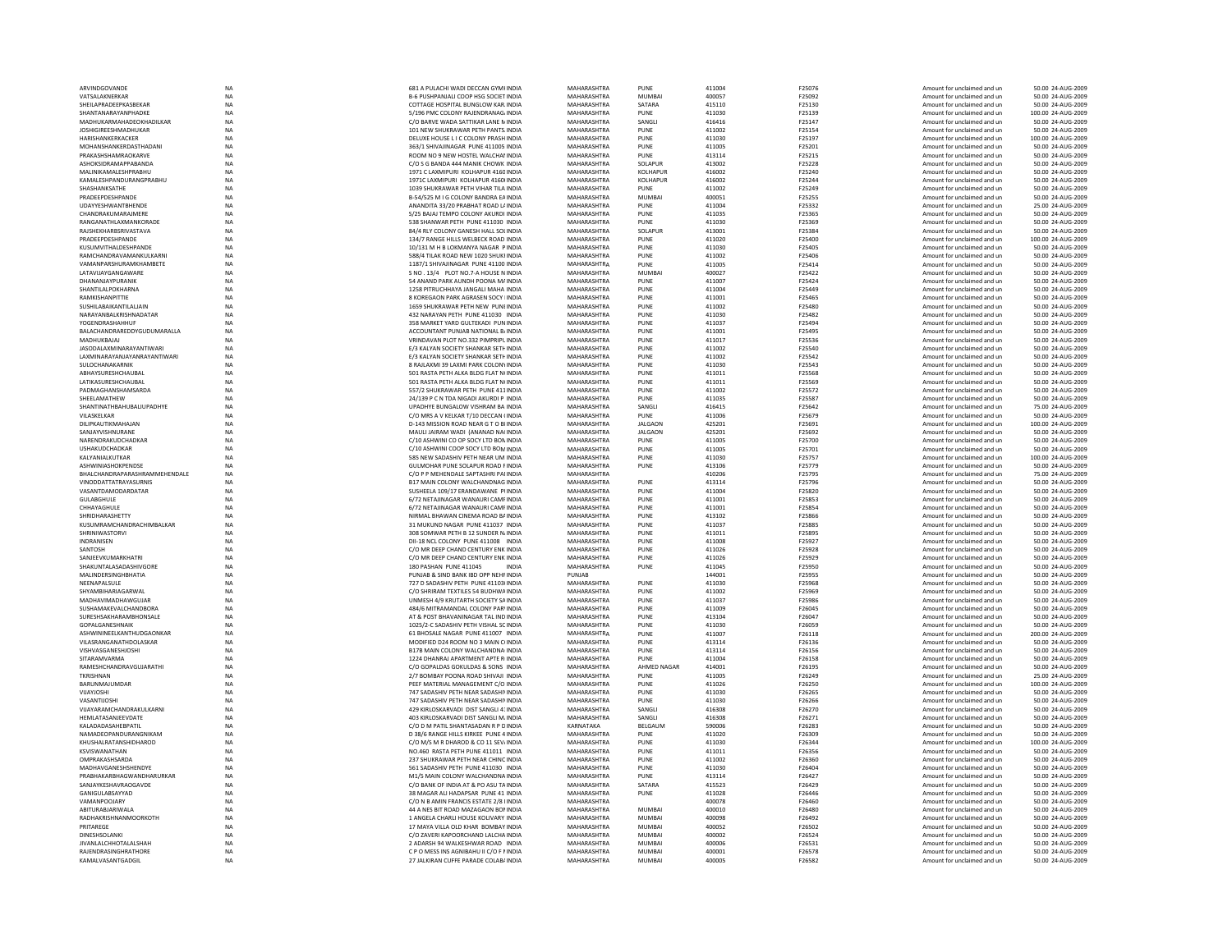|                                           | NA                     | 681 A PULACHI WADI DECCAN GYMHNDIA                                               | <b>MAHARASHTRA</b>                | PUNE                    | 411004           | F25076           | Amount for unclaimed and ur                                | 50.00 24-AUG-2009                      |
|-------------------------------------------|------------------------|----------------------------------------------------------------------------------|-----------------------------------|-------------------------|------------------|------------------|------------------------------------------------------------|----------------------------------------|
| ARVINDGOVANDI                             |                        |                                                                                  |                                   |                         |                  |                  |                                                            |                                        |
| VATSALAKNERKAR                            | NA                     | B-6 PUSHPANJALI COOP HSG SOCIET INDIA                                            | MAHARASHTRA                       | MUMBAI                  | 400057           | F25092           | Amount for unclaimed and un                                | 50.00 24-AUG-2009                      |
| SHEILAPRADEEPKASBEKAR                     | <b>NA</b>              | COTTAGE HOSPITAL BUNGLOW KAR INDIA                                               | MAHARASHTRA                       | SATARA                  | 415110           | F25130           | Amount for unclaimed and un                                | 50.00 24-AUG-2009                      |
| SHANTANARAYANPHADKE                       | <b>NA</b>              | 5/196 PMC COLONY RAIENDRANAG, INDIA                                              | MAHARASHTRA                       | PUNE                    | 411030           | F25139           | Amount for unclaimed and un                                | 100.00 24-AUG-2009                     |
| MADHUKARMAHADEOKHADILKAR                  | NA                     | C/O BARVE WADA SATTIKAR LANE N INDIA                                             | MAHARASHTRA                       | SANGLI                  | 416416           | F25147           | Amount for unclaimed and un                                | 50.00 24-AUG-2009                      |
| JOSHIGIREESHMADHUKAR                      | NA                     | 101 NEW SHUKRAWAR PETH PANTS INDIA                                               | <b>MAHARASHTRA</b>                | PUNE                    | 411002           | F25154           | Amount for unclaimed and un                                | 50.00 24-AUG-2009                      |
| HARISHANKERKACKER                         | <b>NA</b>              | DELUXE HOUSE L I C COLONY PRASH INDIA                                            | MAHARASHTRA                       | PUNE                    | 411030           | F25197           | Amount for unclaimed and un                                | 100.00 24-AUG-2009                     |
| MOHANSHANKERDASTHADANI                    | <b>NA</b>              | 363/1 SHIVAJINAGAR PUNE 411005 INDIA                                             | MAHARASHTRA                       | PUNE                    | 411005           | F25201           | Amount for unclaimed and un                                | 50.00 24-AUG-2009                      |
|                                           |                        |                                                                                  |                                   |                         |                  |                  |                                                            |                                        |
| PRAKASHSHAMRAOKARVE                       | <b>NA</b>              | ROOM NO 9 NEW HOSTEL WALCHAI INDIA                                               | MAHARASHTRA                       | PUNE                    | 413114           | F25215           | Amount for unclaimed and un                                | 50.00 24-AUG-2009                      |
| ASHOKSIDRAMAPPABANDA                      | NA                     | C/O S G BANDA 444 MANIK CHOWK INDIA                                              | MAHARASHTRA                       | SOLAPUR                 | 413002           | F25228           | Amount for unclaimed and un                                | 50.00 24-AUG-2009                      |
| MALINIKAMALESHPRABHL                      | <b>NA</b>              | 1971 C LAXMIPURI KOLHAPUR 4160 INDIA                                             | MAHARASHTRA                       | KOLHAPUR                | 416002           | F25240           | Amount for unclaimed and un                                | 50.00 24-AUG-2009                      |
| KAMALESHPANDURANGPRABHU                   | <b>NA</b>              | 1971C LAXMIPURI KOLHAPUR 4160 INDIA                                              | MAHARASHTRA                       | KOLHAPUR                | 416002           | F25244           | Amount for unclaimed and un                                | 50.00 24-AUG-2009                      |
| SHASHANKSATHE                             | <b>NA</b>              | 1039 SHUKRAWAR PETH VIHAR TILA INDIA                                             | MAHARASHTRA                       | PUNE                    | 411002           | F25249           | Amount for unclaimed and un                                | 50.00 24-AUG-2009                      |
|                                           |                        |                                                                                  |                                   |                         |                  |                  |                                                            |                                        |
| PRADEEPDESHPANDE                          | <b>NA</b>              | B-54/525 M I G COLONY BANDRA EA INDIA                                            | MAHARASHTRA                       | <b>MUMBAI</b>           | 400051           | F25255           | Amount for unclaimed and un                                | 50.00 24-AUG-2009                      |
| <b>UDAYYESHWANTBHENDE</b>                 | NA                     | ANANDITA 33/20 PRABHAT ROAD L/ INDIA                                             | <b>MAHARASHTRA</b>                | PUNE                    | 411004           | F25332           | Amount for unclaimed and un                                | 25.00 24-AUG-2009                      |
| CHANDRAKUMARAJMERI                        | NA                     | S/25 BAJAJ TEMPO COLONY AKURDI INDIA                                             | MAHARASHTRA                       | PUNE                    | 411035           | F25365           | Amount for unclaimed and un                                | 50.00 24-AUG-2009                      |
| RANGANATHLAXMANKORADE                     | <b>NA</b>              | 538 SHANWAR PETH PUNE 411030 INDIA                                               | MAHARASHTRA                       | PUNE                    | 411030           | F25369           | Amount for unclaimed and un                                | 50.00 24-AUG-2009                      |
| RAISHFKHARRSRIVASTAVA                     | <b>NA</b>              | 84/4 RLY COLONY GANESH HALL SOLINDIA                                             | MAHARASHTRA                       | SOLAPUR                 | 413001           | F25384           | Amount for unclaimed and un                                | 50.00 24-AUG-2009                      |
|                                           |                        |                                                                                  |                                   |                         |                  |                  |                                                            |                                        |
| PRADEEPDESHPANDE                          | NA                     | 134/7 RANGE HILLS WELBECK ROAD INDIA                                             | MAHARASHTRA                       | PUNE                    | 411020           | F25400           | Amount for unclaimed and un                                | 100.00 24-AUG-2009                     |
| KUSUMVITHALDESHPANDE                      | <b>NA</b>              | 10/131 M H B LOKMANYA NAGAR P INDIA                                              | MAHARASHTRA                       | PUNE                    | 411030           | F25405           | Amount for unclaimed and un                                | 50.00 24-AUG-2009                      |
| RAMCHANDRAVAMANKULKARN                    | NA                     | 588/4 TILAK ROAD NEW 1020 SHUKI INDIA                                            | MAHARASHTRA                       | PUNE                    | 411002           | F25406           | Amount for unclaimed and un                                | 50.00 24-AUG-2009                      |
| VAMANPARSHURAMKHAMRETE                    | <b>NA</b>              | 1187/1 SHIVAIINAGAR PUNE 41100 INDIA                                             | MAHARASHTRA                       | PUNE                    | 411005           | F25414           | Amount for unclaimed and un                                | 50.00 24-AUG-2009                      |
| LATAVIJAYGANGAWARE                        | <b>NA</b>              | S NO. 13/4 PLOT NO.7-A HOUSE N INDIA                                             | MAHARASHTRA                       | MUMRAI                  | 400027           | F25422           |                                                            | 50.00 24-AUG-2009                      |
|                                           |                        |                                                                                  |                                   |                         |                  |                  | Amount for unclaimed and un                                |                                        |
| DHANANJAYPURANIK                          | NA                     | 54 ANAND PARK AUNDH POONA M/ INDIA                                               | MAHARASHTRA                       | PUNE                    | 411007           | F25424           | Amount for unclaimed and un                                | 50.00 24-AUG-2009                      |
| SHANTILALPOKHARNA                         | NA                     | 1258 PITRUCHHAYA JANGALI MAHA INDIA                                              | MAHARASHTRA                       | PUNE                    | 411004           | F25449           | Amount for unclaimed and un                                | 50.00 24-AUG-2009                      |
| RAMKISHANPITTIF                           | <b>NA</b>              | 8 KOREGAON PARK AGRASEN SOCY IINDIA                                              | MAHARASHTRA                       | PUNE                    | 411001           | F25465           | Amount for unclaimed and un                                | 50.00 24-AUG-2009                      |
| SUSHILABAIKANTILALJAIN                    | <b>NA</b>              | 1659 SHUKRAWAR PETH NEW PUNEINDIA                                                | MAHARASHTRA                       | PUNE                    | 411002           | F25480           | Amount for unclaimed and un                                | 50.00 24-AUG-2009                      |
|                                           |                        |                                                                                  |                                   |                         |                  |                  |                                                            |                                        |
| NARAYANBALKRISHNADATAR                    | <b>NA</b>              | 432 NARAYAN PETH PUNE 411030 INDIA                                               | MAHARASHTRA                       | PUNE                    | 411030           | F25482           | Amount for unclaimed and un                                | 50.00 24-AUG-2009                      |
| YOGENDRASHAHHUF                           | NA                     | 358 MARKET YARD GULTEKADI PUN INDIA                                              | MAHARASHTRA                       | PUNE                    | 411037           | F25494           | Amount for unclaimed and un                                | 50.00 24-AUG-2009                      |
| BALACHANDRAREDDYGUDUMARALLA               | NA                     | ACCOUNTANT PUNJAB NATIONAL B/ INDIA                                              | MAHARASHTRA                       | PUNE                    | 411001           | F25495           | Amount for unclaimed and un                                | 50.00 24-AUG-2009                      |
| MADHUKBAJAJ                               | <b>NA</b>              | VRINDAVAN PLOT NO.332 PIMPRIPL INDIA                                             | MAHARASHTRA                       | PUNE                    | 411017           | F25536           | Amount for unclaimed and un                                | 50.00 24-AUG-2009                      |
|                                           |                        |                                                                                  |                                   |                         |                  |                  |                                                            |                                        |
| <b>JASODALAXMINARAYANTIWARI</b>           | NA                     | E/3 KALYAN SOCIETY SHANKAR SETHINDIA                                             | MAHARASHTRA                       | PUNE                    | 411002           | F25540           | Amount for unclaimed and un                                | 50.00 24-AUG-2009                      |
| LAXMINARAYANJAYANRAYANTIWARI              | <b>NA</b>              | E/3 KALYAN SOCIETY SHANKAR SETH INDIA                                            | MAHARASHTRA                       | PUNE                    | 411002           | F25542           | Amount for unclaimed and un                                | 50.00 24-AUG-2009                      |
| SULOCHANAKARNIK                           | NA                     | 8 RAJLAXMI 39 LAXMI PARK COLONY INDIA                                            | <b>MAHARASHTRA</b>                | PUNE                    | 411030           | F25543           | Amount for unclaimed and un                                | 50.00 24-AUG-2009                      |
| ABHAYSURESHCHAUBAL                        | <b>NA</b>              | 501 RASTA PETH ALKA BLDG FLAT N(INDIA                                            | MAHARASHTRA                       | PUNE                    | 411011           | F25568           | Amount for unclaimed and un                                | 50.00 24-AUG-2009                      |
| LATIKASURESHCHAUBAL                       | <b>NA</b>              | 501 RASTA PETH ALKA BLDG FLAT N(INDIA                                            | MAHARASHTRA                       | PUNE                    | 411011           | F25569           | Amount for unclaimed and un                                | 50.00 24-AUG-2009                      |
|                                           |                        |                                                                                  |                                   |                         |                  |                  |                                                            |                                        |
| PADMAGHANSHAMSARDA                        | NA                     | 557/2 SHUKRAWAR PETH PUNE 411 INDIA                                              | MAHARASHTRA                       | PUNE                    | 411002           | F25572           | Amount for unclaimed and un                                | 50.00 24-AUG-2009                      |
| SHEELAMATHEW                              | NA                     | 24/139 P C N TDA NIGADI AKURDI P INDIA                                           | MAHARASHTRA                       | PUNE                    | 411035           | F25587           | Amount for unclaimed and un                                | 50.00 24-AUG-2009                      |
| SHANTINATHBAHUBALIUPADHYE                 | NA                     | UPADHYE BUNGALOW VISHRAM BA INDIA                                                | MAHARASHTRA                       | SANGLI                  | 416415           | F25642           | Amount for unclaimed and un                                | 75.00 24-AUG-2009                      |
| VILASKELKAR                               | <b>NA</b>              | C/O MRS A V KELKAR T/10 DECCAN (INDIA                                            | MAHARASHTRA                       | PUNE                    | 411006           | F25679           | Amount for unclaimed and un                                | 50.00 24-AUG-2009                      |
| DILIPKAUTIKMAHAJAN                        | <b>NA</b>              | D-143 MISSION ROAD NEAR G T O BUNDIA                                             | MAHARASHTRA                       | <b>JALGAON</b>          | 425201           | F25691           | Amount for unclaimed and un                                | 100.00 24-AUG-2009                     |
|                                           |                        |                                                                                  |                                   |                         |                  |                  |                                                            |                                        |
| SANJAYVISHNURANE                          | NA                     | MAULI JAIRAM WADI (ANANAD NA(INDIA                                               | MAHARASHTRA                       | <b>JALGAON</b>          | 425201           | F25692           | Amount for unclaimed and un                                | 50.00 24-AUG-2009                      |
| NARENDRAKUDCHADKAR                        | NA                     | C/10 ASHWINI CO OP SOCY LTD BON INDIA                                            | <b>MAHARASHTRA</b>                | PUNE                    | 411005           | F25700           | Amount for unclaimed and un                                | 50.00 24-AUG-2009                      |
| <b>USHAKUDCHADKAR</b>                     | <b>NA</b>              | C/10 ASHWINI COOP SOCY LTD BOM INDIA                                             | MAHARASHTRA                       | PUNE                    | 411005           | F25701           | Amount for unclaimed and un                                | 50.00 24-AUG-2009                      |
| KALYANIALKUTKAR                           | <b>NA</b>              | 585 NEW SADASHIV PETH NEAR UM INDIA                                              | MAHARASHTRA                       | PUNE                    | 411030           | F25757           | Amount for unclaimed and un                                | 100.00 24-AUG-2009                     |
| ASHWINIASHOKPENDSI                        | <b>NA</b>              | GUI MOHAR PUNE SOLAPUR ROAD FINDIA                                               | MAHARASHTRA                       | PUNE                    | 413106           | F25779           | Amount for unclaimed and un                                | 50.00 24-AUG-2009                      |
|                                           |                        |                                                                                  |                                   |                         |                  |                  |                                                            |                                        |
| BHALCHANDRAPARASHRAMMEHENDALE             | NA                     | C/O P P MEHENDALE SAPTASHRI PALINDIA                                             | MAHARASHTRA                       |                         | 410206           | F25795           | Amount for unclaimed and un                                | 75.00 24-AUG-2009                      |
| VINODDATTATRAYASURNIS                     | <b>NA</b>              | <b>B17 MAIN COLONY WALCHANDNAG INDIA</b>                                         | MAHARASHTRA                       | PUNE                    | 413114           | F25796           | Amount for unclaimed and un                                | 50.00 24-AUG-2009                      |
| VASANTDAMODARDATAR                        | NA                     | SUSHEELA 109/17 ERANDAWANE PIINDIA                                               | MAHARASHTRA                       | PUNE                    | 411004           | F25820           | Amount for unclaimed and un                                | 50.00 24-AUG-2009                      |
| GUI ARGHUI F                              | NA                     | 6/72 NETAJINAGAR WANAURI CAMEINDIA                                               | MAHARASHTRA                       | PUNE                    | 411001           | F25853           | Amount for unclaimed and un                                | 50.00 24-AUG-2009                      |
|                                           |                        |                                                                                  |                                   |                         |                  | F25854           |                                                            |                                        |
|                                           |                        |                                                                                  |                                   |                         |                  |                  |                                                            |                                        |
| CHHAYAGHULE                               | <b>NA</b>              | 6/72 NETAIINAGAR WANAURI CAMEINDIA                                               | MAHARASHTRA                       | PUNE                    | 411001           |                  | Amount for unclaimed and un                                | 50.00 24-AUG-2009                      |
| SHRIDHARASHETTY                           | NA                     | NIRMAL BHAWAN CINEMA ROAD BAINDIA                                                | <b>MAHARASHTRA</b>                | PUNE                    | 413102           | F25866           | Amount for unclaimed and un                                | 50.00 24-AUG-2009                      |
| KUSUMRAMCHANDRACHIMBALKAR                 |                        | 31 MUKUND NAGAR PUNE 411037 INDIA                                                | MAHARASHTRA                       | PUNE                    | 411037           | F25885           | Amount for unclaimed and un                                | 50.00 24-AUG-2009                      |
|                                           | NA                     |                                                                                  |                                   |                         |                  |                  |                                                            |                                        |
| SHRINIWASTORVI                            | NA                     | 308 SOMWAR PETH B 12 SUNDER N/ INDIA                                             | MAHARASHTRA                       | PUNE                    | 411011           | F25895           | Amount for unclaimed and un                                | 50.00 24-AUG-2009                      |
| INDRANISEN                                | <b>NA</b>              | DII-18 NCLCOLONY PUNE 411008 INDIA                                               | MAHARASHTRA                       | PUNE                    | 411008           | F25927           | Amount for unclaimed and un                                | 50.00 24-AUG-2009                      |
| SANTOSH                                   | <b>NA</b>              | C/O MR DEEP CHAND CENTURY ENK INDIA                                              | MAHARASHTRA                       | PUNE                    | 411026           | F25928           | Amount for unclaimed and un                                | 50.00 24-AUG-2009                      |
| SANJEEVKUMARKHATR                         | <b>NA</b>              | C/O MR DEEP CHAND CENTURY ENK INDIA                                              | <b>MAHARASHTRA</b>                | PUNE                    | 411026           | F25929           | Amount for unclaimed and un                                | 50.00 24-AUG-2009                      |
|                                           |                        |                                                                                  |                                   |                         |                  |                  |                                                            |                                        |
| SHAKUNTALASADASHIVGORE                    | NA                     | 180 PASHAN PUNE 411045<br><b>INDIA</b>                                           | MAHARASHTRA                       | PUNE                    | 411045           | F25950           | Amount for unclaimed and un                                | 50.00 24-AUG-2009                      |
| MALINDERSINGHBHATIA                       | <b>NA</b>              | PUNJAB & SIND BANK IBD OPP NEHF INDIA                                            | PUNIAR                            |                         | 144001           | F25955           | Amount for unclaimed and un                                | 50.00 24-AUG-2009                      |
| NEENAPALSULE                              | NA                     | 727 D SADASHIV PETH PUNE 41103(INDIA                                             | MAHARASHTRA                       | PUNE                    | 411030           | F25968           | Amount for unclaimed and un                                | 50.00 24-AUG-2009                      |
| SHYAMBIHARIAGARWAI                        | <b>NA</b>              | C/O SHRIRAM TEXTILES 54 BUDHWA INDIA                                             | MAHARASHTRA                       | PUNE                    | 411002           | F25969           | Amount for unclaimed and un                                | 50.00 24-AUG-2009                      |
| MADHAVIMADHAWGUJAR                        | <b>NA</b>              | UNMESH 4/9 KRUTARTH SOCIETY SAINDIA                                              | <b>MAHARASHTRA</b>                | PUNE                    | 411037           | F25986           | Amount for unclaimed and un                                | 50.00 24-AUG-2009                      |
|                                           |                        |                                                                                  |                                   |                         |                  |                  |                                                            |                                        |
| SUSHAMAKEVALCHANDBORA                     | NA                     | 484/6 MITRAMANDAL COLONY PAR INDIA                                               | MAHARASHTRA                       | PUNE                    | 411009           | F26045           | Amount for unclaimed and un                                | 50.00 24-AUG-2009                      |
| SURESHSAKHARAMBHONSALE                    | <b>NA</b>              | AT & POST BHAVANINAGAR TAL IND INDIA                                             | MAHARASHTRA                       | PUNE                    | 413104           | F26047           | Amount for unclaimed and un                                | 50.00 24-AUG-2009                      |
| GOPALGANESHNAIK                           | NA                     | 1025/2-C SADASHIV PETH VISHAL SC INDIA                                           | MAHARASHTRA                       | PUNE                    | 411030           | F26059           | Amount for unclaimed and un                                | 50.00 24-AUG-2009                      |
| ASHWININEELKANTHUDGAONKAR                 | NA                     | 61 BHOSALE NAGAR PUNE 411007 INDIA                                               | MAHARASHTRA                       | PUNE                    | 411007           | F26118           | Amount for unclaimed and un                                | 200.00 24-AUG-2009                     |
|                                           |                        | MODIFIED D24 ROOM NO 3 MAIN CHNDIA                                               | MAHARASHTRA                       | PUNE                    | 413114           | F26136           | Amount for unclaimed and un                                | 50.00 24-AUG-2009                      |
| VILASRANGANATHDOLASKAR                    | NA                     |                                                                                  |                                   |                         |                  |                  |                                                            |                                        |
| VISHVASGANESHJOSHI                        | <b>NA</b>              | B17B MAIN COLONY WALCHANDNA INDIA                                                | MAHARASHTRA                       | PUNE                    | 413114           | F26156           | Amount for unclaimed and un                                | 50.00 24-AUG-2009                      |
| SITARAMVARMA                              | <b>NA</b>              | 1224 DHANRAJ APARTMENT APTE RINDIA                                               | MAHARASHTRA                       | PUNE                    | 411004           | F26158           | Amount for unclaimed and un                                | 50.00 24-AUG-2009                      |
| RAMESHCHANDRAVGUJARATHI                   | NA                     | C/O GOPALDAS GOKULDAS & SONS INDIA                                               | MAHARASHTRA                       | AHMED NAGAR             | 414001           | F26195           | Amount for unclaimed and un                                | 50.00 24-AUG-2009                      |
| TKRISHNAN                                 | NA                     | 2/7 BOMBAY POONA ROAD SHIVAJI INDIA                                              | <b>MAHARASHTRA</b>                | PUNE                    | 411005           | F26249           | Amount for unclaimed and un                                | 25.00 24-AUG-2009                      |
|                                           |                        | PEEE MATERIAL MANAGEMENT C/O INDIA                                               | MAHARASHTRA                       |                         |                  |                  |                                                            |                                        |
| BARUNMAJUMDAR                             | NA                     |                                                                                  |                                   | PUNE                    | 411026           | F26250           | Amount for unclaimed and un                                | 100.00 24-AUG-2009                     |
| VUAYJOSHI                                 | <b>NA</b>              | 747 SADASHIV PETH NEAR SADASHIVINDIA                                             | MAHARASHTRA                       | PUNE                    | 411030           | F26265           | Amount for unclaimed and un                                | 50.00 24-AUG-2009                      |
| VASANTIIOSHI                              | <b>NA</b>              | 747 SADASHIV PETH NEAR SADASHIVINDIA                                             | MAHARASHTRA                       | PUNF                    | 411030           | F26266           | Amount for unclaimed and un                                | 50.00 24-AUG-2009                      |
| VIJAYARAMCHANDRAKULKARNI                  | NA                     | 429 KIRLOSKARVADI DIST SANGLI 41INDIA                                            | MAHARASHTRA                       | SANGLI                  | 416308           | F26270           | Amount for unclaimed and un                                | 50.00 24-AUG-2009                      |
| HEMLATASANJEEVDATE                        | NA                     | 403 KIRLOSKARVADI DIST SANGLI M/ INDIA                                           | MAHARASHTRA                       | SANGLI                  | 416308           | F26271           | Amount for unclaimed and un                                | 50.00 24-AUG-2009                      |
|                                           |                        |                                                                                  |                                   |                         |                  |                  |                                                            |                                        |
| KALADADASAHEBPATIL                        | <b>NA</b>              | C/O D M PATIL SHANTASADAN R P D INDIA                                            | KARNATAKA                         | BELGAUM                 | 590006           | F26283           | Amount for unclaimed and un                                | 50.00 24-AUG-2009                      |
| NAMADEOPANDURANGNIKAM                     | <b>NA</b>              | D 38/6 RANGE HILLS KIRKEE PUNE 4 INDIA                                           | MAHARASHTRA                       | PUNE                    | 411020           | F26309           | Amount for unclaimed and un                                | 50.00 24-AUG-2009                      |
| KHUSHAI RATANSHIDHAROD                    | <b>NA</b>              | C/O M/S M R DHAROD & CO 11 SEV/INDIA                                             | MAHARASHTRA                       | PUNE                    | 411030           | F26344           | Amount for unclaimed and un                                | 100.00 24-AUG-2009                     |
| KSVISWANATHAN                             | NA                     | NO.460 RASTA PETH PUNE 411011 INDIA                                              | MAHARASHTRA                       | PUNE                    | 411011           | F26356           | Amount for unclaimed and un                                | 50.00 24-AUG-2009                      |
| OMPRAKASHSARDA                            | <b>NA</b>              | 237 SHUKRAWAR PETH NEAR CHINC INDIA                                              | MAHARASHTRA                       | PUNE                    | 411002           | F26360           | Amount for unclaimed and un                                | 50.00 24-AUG-2009                      |
|                                           |                        |                                                                                  |                                   |                         |                  |                  |                                                            |                                        |
| MADHAVGANESHSHENDYE                       | <b>NA</b>              | 561 SADASHIV PETH PUNE 411030 INDIA                                              | MAHARASHTRA                       | PUNE                    | 411030           | F26404           | Amount for unclaimed and un                                | 50.00 24-AUG-2009                      |
| PRARHAKARRHAGWANDHARURKAR                 | <b>NA</b>              | M1/5 MAIN COLONY WALCHANDNA INDIA                                                | MAHARASHTRA                       | PUNE                    | 413114           | F26427           | Amount for unclaimed and un                                | 50.00 24-AUG-2009                      |
| SANJAYKESHAVRAOGAVDE                      | <b>NA</b>              | C/O BANK OF INDIA AT & PO ASU TA INDIA                                           | MAHARASHTRA                       | SATARA                  | 415523           | F26429           | Amount for unclaimed and un                                | 50.00 24-AUG-2009                      |
| GANIGULABSAYYAD                           | NA                     | 38 MAGAR ALI HADAPSAR PUNE 41 INDIA                                              | <b>MAHARASHTRA</b>                | PUNE                    | 411028           | F26446           | Amount for unclaimed and un                                | 50.00 24-AUG-2009                      |
|                                           |                        |                                                                                  |                                   |                         |                  |                  |                                                            |                                        |
| VAMANPOOJARY                              | NA                     | C/O N B AMIN FRANCIS ESTATE 2/8 IINDIA                                           | MAHARASHTRA                       |                         | 400078           | F26460           | Amount for unclaimed and un                                | 50.00 24-AUG-2009                      |
| ABITURABJARIWALA                          | <b>NA</b>              | 44 A NES BIT ROAD MAZAGAON BOI INDIA                                             | MAHARASHTRA                       | <b>MUMBAI</b>           | 400010           | F26480           | Amount for unclaimed and un                                | 50.00 24-AUG-2009                      |
| RADHAKRISHNANMOORKOTH                     | <b>NA</b>              | 1 ANGELA CHARLI HOUSE KOLIVARY INDIA                                             | MAHARASHTRA                       | MUMBAI                  | 400098           | F26492           | Amount for unclaimed and un                                | 50.00 24-AUG-2009                      |
| PRITAREGE                                 | NΔ                     | 17 MAYA VILLA OLD KHAR BOMBAY INDIA                                              | MAHARASHTRA                       | <b>MUMBAI</b>           | 400052           | F26502           | Amount for unclaimed and un                                | 50.00 24-AUG-2009                      |
| DINESHSOLANK                              | <b>NA</b>              | C/O ZAVERI KAPOORCHAND LALCHA INDIA                                              | <b>MAHARASHTRA</b>                | <b>MUMBA</b>            | 400002           | F26524           | Amount for unclaimed and un                                | 50.00 24-AUG-2009                      |
|                                           |                        | 2 ADARSH 94 WALKESHWAR ROAD INDIA                                                |                                   | <b>MUMBAI</b>           | 400006           | F26531           |                                                            |                                        |
| <b>JIVANLALCHHOTALALSHAH</b>              | NA                     |                                                                                  | MAHARASHTRA                       |                         |                  |                  | Amount for unclaimed and un                                | 50.00 24-AUG-2009                      |
| RAIFNDRASINGHRATHORE<br>KAMALVASANTGADGIL | <b>NA</b><br><b>NA</b> | C P O MESS INS AGNIBAHU II C/O E NINDIA<br>27 JALKIRAN CUFFE PARADE COLAB/ INDIA | MAHARASHTRA<br><b>MAHARASHTRA</b> | MUMRAI<br><b>MUMBAI</b> | 400001<br>400005 | F26578<br>F26582 | Amount for unclaimed and un<br>Amount for unclaimed and un | 50.00 24-AUG-2009<br>50.00 24-AUG-2009 |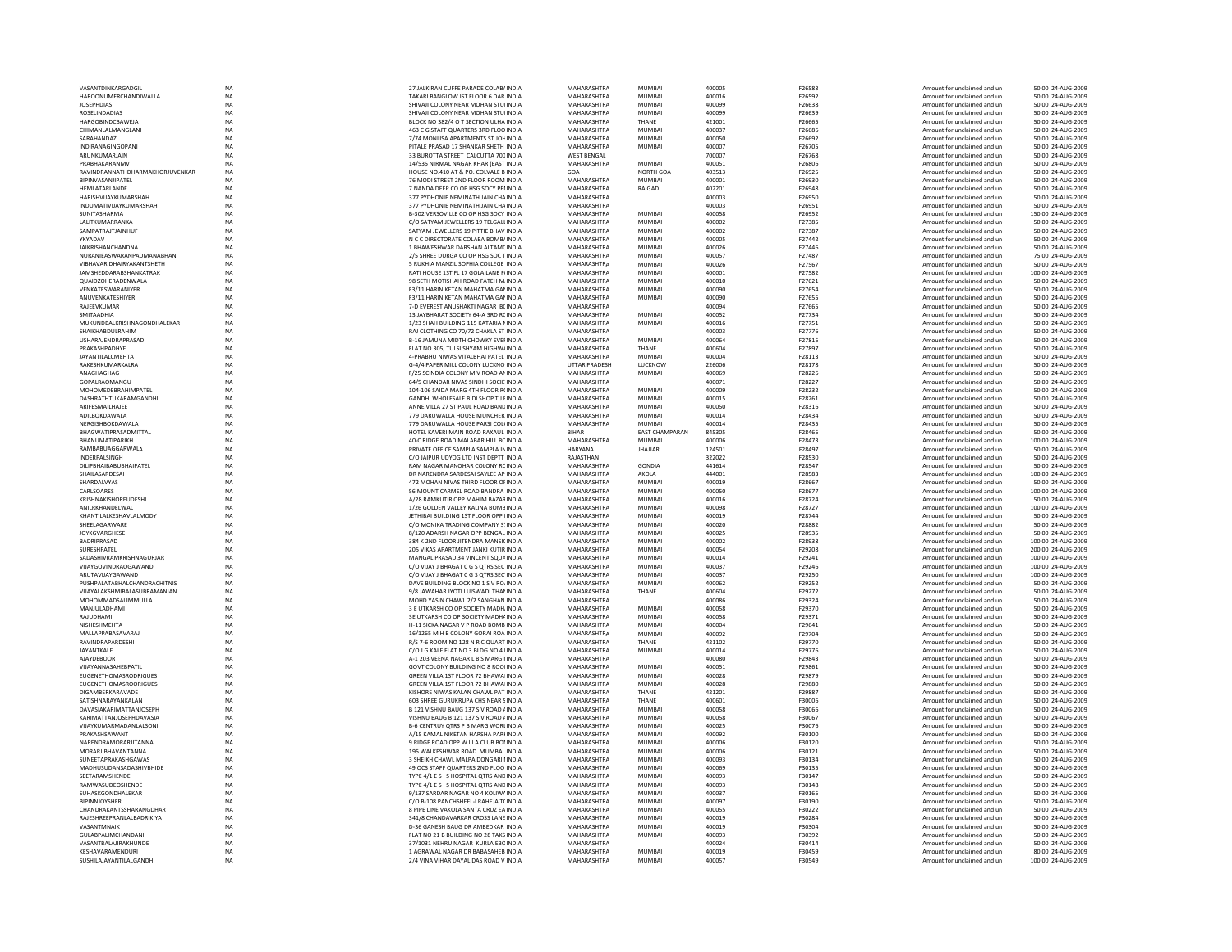| VASANTDINKARGADGI                           | NA                     | 27 JALKIRAN CUFFE PARADE COLAB/ INDIA                                       | MAHARASHTRA                | <b>MUMBA</b>          | 400005           | F26583                  | Amount for unclaimed and ur                                | 50.00 24-AUG-2009                       |
|---------------------------------------------|------------------------|-----------------------------------------------------------------------------|----------------------------|-----------------------|------------------|-------------------------|------------------------------------------------------------|-----------------------------------------|
|                                             |                        |                                                                             |                            |                       |                  |                         |                                                            |                                         |
| HAROONUMERCHANDIWALLA                       | <b>NA</b>              | TAKARI BANGLOW IST FLOOR 6 DAR INDIA                                        | MAHARASHTRA                | <b>MUMBAI</b>         | 400016           | F26592                  | Amount for unclaimed and un                                | 50.00 24-AUG-2009                       |
| <b>JOSEPHDIAS</b>                           | <b>NA</b>              | SHIVAJI COLONY NEAR MOHAN STUHNDIA                                          | MAHARASHTRA                | <b>MUMBAI</b>         | 400099           | F26638                  | Amount for unclaimed and un                                | 50.00 24-AUG-2009                       |
| <b>ROSELINDADIAS</b>                        | <b>NA</b>              | SHIVAILCOLONY NEAR MOHAN STULINDIA                                          | MAHARASHTRA                | MUMRAI                | 400099           | F26639                  | Amount for unclaimed and un                                | 50.00 24-AUG-2009                       |
| HARGOBINDCBAWEJA                            | <b>NA</b>              | BLOCK NO 382/4 O T SECTION ULHA INDIA                                       | MAHARASHTRA                | THANE                 | 421001           | F26665                  | Amount for unclaimed and ur                                | 50.00 24-AUG-2009                       |
| CHIMANLALMANGLANI                           | NA                     | 463 C G STAFF QUARTERS 3RD FLOO INDIA                                       | MAHARASHTRA                | <b>MUMBA</b>          | 400037           | F26686                  | Amount for unclaimed and ur                                | 50.00 24-AUG-2009                       |
|                                             |                        |                                                                             |                            |                       |                  |                         |                                                            |                                         |
| SARAHANDAZ                                  | <b>NA</b>              | 7/74 MONLISA APARTMENTS ST JOH INDIA                                        | MAHARASHTRA                | <b>MUMBAI</b>         | 400050           | F26692                  | Amount for unclaimed and un                                | 50.00 24-AUG-2009                       |
| INDIRANAGINGOPANI                           | <b>NA</b>              | PITALE PRASAD 17 SHANKAR SHETH INDIA                                        | MAHARASHTRA                | <b>MUMBAI</b>         | 400007           | F26705                  | Amount for unclaimed and un                                | 50.00 24-AUG-2009                       |
| ARUNKUMARIAIN                               | <b>NA</b>              | 33 BUROTTA STREET CALCUTTA 700 INDIA                                        | <b>WEST BENGAL</b>         |                       | 700007           | F26768                  | Amount for unclaimed and un                                | 50.00 24-AUG-2009                       |
| PRABHAKARANMV                               | NA                     | 14/535 NIRMAL NAGAR KHAR (EAST INDIA                                        | MAHARASHTRA                | MUMBAI                | 400051           | F26806                  | Amount for unclaimed and ur                                | 50.00 24-AUG-2009                       |
|                                             |                        |                                                                             |                            |                       |                  |                         |                                                            |                                         |
| RAVINDRANNATHDHARMAKHORJUVENKAR             | <b>NA</b>              | HOUSE NO.410 AT & PO. COLVALE B INDIA                                       | GOA                        | NORTH GOA             | 403513           | F26925                  | Amount for unclaimed and un                                | 50.00 24-AUG-2009                       |
| BIPINVASANJIPATEL                           | <b>NA</b>              | 76 MODI STREET 2ND FLOOR ROOM INDIA                                         | MAHARASHTRA                | <b>MUMBAI</b>         | 400001           | F26930                  | Amount for unclaimed and un                                | 50.00 24-AUG-2009                       |
| <b>HEMI ATARI ANDE</b>                      | <b>NA</b>              | 7 NANDA DEEP CO OP HSG SOCY PELINDIA                                        | <b>MAHARASHTRA</b>         | RAIGAD                | 402201           | F26948                  | Amount for unclaimed and un                                | 50.00 24-AUG-2009                       |
|                                             |                        |                                                                             |                            |                       |                  |                         |                                                            |                                         |
| HARISHVIJAYKUMARSHAH                        | <b>NA</b>              | 377 PYDHONIE NEMINATH JAIN CHAINDIA                                         | MAHARASHTRA                |                       | 400003           | F26950                  | Amount for unclaimed and ur                                | 50.00 24-AUG-2009                       |
| INDUMATIVIJAYKUMARSHAH                      | <b>NA</b>              | 377 PYDHONIE NEMINATH JAIN CHAINDIA                                         | MAHARASHTRA                |                       | 400003           | F26951                  | Amount for unclaimed and un                                | 50.00 24-AUG-2009                       |
| <b>SUNITASHARMA</b>                         | <b>NA</b>              | B-302 VERSOVILLE CO OP HSG SOCY INDIA                                       | MAHARASHTRA                | <b>MUMBAI</b>         | 400058           | F26952                  | Amount for unclaimed and un                                | 150.00 24-AUG-2009                      |
| <b>I ALITKUMARRANKA</b>                     | <b>NA</b>              | C/O SATYAM IFWELLERS 19 TELGALLINDIA                                        | MAHARASHTRA                | MUMBAL                | 400002           | F27385                  | Amount for unclaimed and un                                | 50.00 24-AUG-2009                       |
|                                             |                        |                                                                             |                            |                       |                  |                         |                                                            |                                         |
| SAMPATRAITIAINHUF                           | <b>NA</b>              | SATYAM IFWELLERS 19 PITTIF BHAV INDIA                                       | <b>MAHARASHTRA</b>         | MUMRAI                | 400002           | F27387                  | Amount for unclaimed and un                                | 50.00 24-AUG-2009                       |
| YKYADAV                                     | <b>NA</b>              | N C C DIRECTORATE COLABA BOMB/ INDIA                                        | MAHARASHTRA                | <b>MUMBAI</b>         | 400005           | F27442                  | Amount for unclaimed and ur                                | 50.00 24-AUG-2009                       |
| <b>JAIKRISHANCHANDNA</b>                    | <b>NA</b>              | 1 BHAWESHWAR DARSHAN ALTAMCINDIA                                            | MAHARASHTRA                | <b>MUMBAI</b>         | 400026           | F27446                  | Amount for unclaimed and un                                | 50.00 24-AUG-2009                       |
| NURANIEASWARANPADMANABHAN                   | NA                     | 2/5 SHREE DURGA CO OP HSG SOC TINDIA                                        | MAHARASHTRA                | MUMBAI                | 400057           | F27487                  | Amount for unclaimed and un                                | 75.00 24-AUG-2009                       |
|                                             |                        |                                                                             |                            |                       |                  |                         |                                                            |                                         |
| VIRHAVARIDHAIRYAKANTSHFTH                   | <b>NA</b>              | 5 RUKHIA MANZIL SOPHIA COLLEGE INDIA                                        | MAHARASHTRA                | MUMRAI                | 400026           | F27567                  | Amount for unclaimed and un                                | 50.00 24-AUG-2009                       |
| JAMSHEDDARABSHANKATRAK                      | <b>NA</b>              | RATI HOUSE 1ST FL 17 GOLA LANE F(INDIA                                      | MAHARASHTRA                | MUMBAL                | 400001           | F27582                  | Amount for unclaimed and un                                | 100.00 24-AUG-2009                      |
| QUAIDZOHERADENWALA                          | NA                     | 98 SETH MOTISHAH ROAD FATEH M. INDIA                                        | MAHARASHTRA                | MUMBAI                | 400010           | F27621                  | Amount for unclaimed and ur                                | 50.00 24-AUG-2009                       |
| VENKATESWARANIYER                           | <b>NA</b>              | F3/11 HARINIKETAN MAHATMA GANINDIA                                          | MAHARASHTRA                | <b>MUMBAI</b>         | 400090           | F27654                  | Amount for unclaimed and un                                | 50.00 24-AUG-2009                       |
|                                             |                        |                                                                             |                            |                       |                  |                         |                                                            |                                         |
| ANUVENKATESHIYER                            | <b>NA</b>              | F3/11 HARINIKETAN MAHATMA GANNDIA                                           | MAHARASHTRA                | <b>MUMBAI</b>         | 400090           | F27655                  | Amount for unclaimed and un                                | 50.00 24-AUG-2009                       |
| RAJEEVKUMAR                                 | <b>NA</b>              | 7-D EVEREST ANUSHAKTI NAGAR BCINDIA                                         | MAHARASHTRA                |                       | 400094           | F27665                  | Amount for unclaimed and un                                | 50.00 24-AUG-2009                       |
| <b>SMITAADHIA</b>                           | <b>NA</b>              | 13 JAYBHARAT SOCIETY 64-A 3RD RC INDIA                                      | MAHARASHTRA                | MUMBAL                | 400052           | F27734                  | Amount for unclaimed and ur                                | 50.00 24-AUG-2009                       |
| MUKUNDBALKRISHNAGONDHALEKAR                 | NA                     | 1/23 SHAH BUILDING 115 KATARIA NINDIA                                       | MAHARASHTRA                | MUMBAI                | 400016           | F27751                  | Amount for unclaimed and ur                                | 50.00 24-AUG-2009                       |
|                                             |                        |                                                                             |                            |                       |                  |                         |                                                            |                                         |
| SHAIKHABDULRAHIM                            | <b>NA</b>              | RAJ CLOTHING CO 70/72 CHAKLA ST INDIA                                       | MAHARASHTRA                |                       | 400003           | F27776                  | Amount for unclaimed and un                                | 50.00 24-AUG-2009                       |
| USHARAJENDRAPRASAD                          | <b>NA</b>              | B-16 JAMUNA MIDTH CHOWKY EVEHNDIA                                           | MAHARASHTRA                | <b>MUMBAI</b>         | 400064           | F27815                  | Amount for unclaimed and un                                | 50.00 24-AUG-2009                       |
| PRAKASHPADHYF                               | <b>NA</b>              | FLAT NO.305. TULSI SHYAM HIGHW/INDIA                                        | MAHARASHTRA                | THANF                 | 400604           | F27897                  | Amount for unclaimed and un                                | 50.00 24-AUG-2009                       |
|                                             |                        |                                                                             |                            |                       |                  |                         |                                                            |                                         |
| <b>JAYANTILALCMEHTA</b>                     | NA                     | 4-PRABHU NIWAS VITALBHAI PATEL INDIA                                        | MAHARASHTRA                | <b>MUMBAI</b>         | 400004           | F28113                  | Amount for unclaimed and ur                                | 50.00 24-AUG-2009                       |
| RAKESHKUMARKALRA                            | <b>NA</b>              | G-4/4 PAPER MILL COLONY LUCKNO INDIA                                        | <b>UTTAR PRADESH</b>       | LUCKNOW               | 226006           | F28178                  | Amount for unclaimed and ur                                | 50.00 24-AUG-2009                       |
| ANAGHAGHAG                                  | <b>NA</b>              | F/25 SCINDIA COLONY M V ROAD AN INDIA                                       | MAHARASHTRA                | <b>MUMBAI</b>         | 400069           | F28226                  | Amount for unclaimed and un                                | 50.00 24-AUG-2009                       |
| GOPALRAOMANGL                               | <b>NA</b>              | 64/5 CHANDAR NIVAS SINDHI SOCIE INDIA                                       | MAHARASHTRA                |                       | 400071           | F28227                  | Amount for unclaimed and un                                | 50.00 24-AUG-2009                       |
|                                             |                        |                                                                             |                            |                       |                  |                         |                                                            |                                         |
| MOHOMEDEBRAHIMPATEL                         | NA                     | 104-106 SAIDA MARG 4TH FLOOR R(INDIA                                        | MAHARASHTRA                | <b>MUMBAI</b>         | 400009           | F28232                  | Amount for unclaimed and ur                                | 50.00 24-AUG-2009                       |
| DASHRATHTUKARAMGANDHI                       | NA                     | GANDHI WHOLESALE BIDI SHOP T J FINDIA                                       | MAHARASHTRA                | MUMBAI                | 400015           | F28261                  | Amount for unclaimed and ur                                | 50.00 24-AUG-2009                       |
| ARIFESMAILHAJEE                             | <b>NA</b>              | ANNE VILLA 27 ST PAUL ROAD BAND INDIA                                       | MAHARASHTRA                | <b>MUMBA</b>          | 400050           | F28316                  | Amount for unclaimed and un                                | 50.00 24-AUG-2009                       |
|                                             |                        |                                                                             |                            |                       |                  |                         |                                                            |                                         |
| ADILBOKDAWALA                               | <b>NA</b>              | 779 DARUWALLA HOUSE MUNCHER INDIA                                           | MAHARASHTRA                | <b>MUMBAI</b>         | 400014           | F28434                  | Amount for unclaimed and un                                | 50.00 24-AUG-2009                       |
| NERGISHROKDAWAI A                           | <b>NA</b>              | 779 DARUWALLA HOUSE PARSLCOLUNDIA                                           | MAHARASHTRA                | MUMRAI                | 400014           | F28435                  | Amount for unclaimed and un                                | 50.00 24-AUG-2009                       |
| BHAGWATIPRASADMITTAL                        | NA                     | HOTEL KAVERI MAIN ROAD RAXAUL INDIA                                         | <b>BIHAR</b>               | <b>EAST CHAMPARAN</b> | 845305           | F28465                  | Amount for unclaimed and ur                                | 50.00 24-AUG-2009                       |
| <b>BHANUMATIPARIKH</b>                      | <b>NA</b>              | 40-C RIDGE ROAD MALABAR HILL BC INDIA                                       | MAHARASHTRA                | <b>MUMBA</b>          | 400006           | F28473                  | Amount for unclaimed and un                                | 100.00 24-AUG-2009                      |
|                                             | NA                     |                                                                             | <b>HARYANA</b>             |                       | 124501           |                         |                                                            |                                         |
| RAMBABUAGGARWALA                            |                        | PRIVATE OFFICE SAMPLA SAMPLA IN INDIA                                       |                            | <b>JHAJJAR</b>        |                  |                         |                                                            | 50.00 24-AUG-2009                       |
|                                             |                        |                                                                             |                            |                       |                  | F28497                  | Amount for unclaimed and un                                |                                         |
| <b>INDERPAI SINGH</b>                       | <b>NA</b>              | C/O JAIPUR UDYOG LTD INST DEPTT INDIA                                       | RAIASTHAN                  |                       | 322022           | F28530                  | Amount for unclaimed and un                                | 50.00 24-AUG-2009                       |
|                                             |                        |                                                                             |                            |                       |                  | F28547                  |                                                            |                                         |
| <b>DILIPBHAIBABUBHAIPATEL</b>               | <b>NA</b>              | RAM NAGAR MANOHAR COLONY RC INDIA                                           | MAHARASHTRA                | GONDIA                | 441614           |                         | Amount for unclaimed and un                                | 50.00 24-AUG-2009                       |
| SHAILASARDESA                               | <b>NA</b>              | DR NARENDRA SARDESAI SAYLEE AP INDIA                                        | MAHARASHTRA                | AKOLA                 | 444001           | F28583                  | Amount for unclaimed and ur                                | 100.00 24-AUG-2009                      |
| SHARDALVYAS                                 | <b>NA</b>              | 472 MOHAN NIVAS THIRD FLOOR OF INDIA                                        | MAHARASHTRA                | <b>MUMBA</b>          | 400019           | F28667                  | Amount for unclaimed and un                                | 50.00 24-AUG-2009                       |
| CARLSOARES                                  | <b>NA</b>              | 56 MOUNT CARMEL ROAD BANDRA INDIA                                           | MAHARASHTRA                | MUMRAI                | 400050           | F28677                  | Amount for unclaimed and un                                | 100.00 24-AUG-2009                      |
|                                             |                        |                                                                             |                            |                       |                  |                         |                                                            |                                         |
| KRISHNAKISHOREUDESHI                        | <b>NA</b>              | A/28 RAMKUTIR OPP MAHIM BAZARINDIA                                          | MAHARASHTRA                | <b>MUMBAI</b>         | 400016           | F28724                  | Amount for unclaimed and un                                | 50.00 24-AUG-2009                       |
| ANILRKHANDELWAI                             | NA                     | 1/26 GOLDEN VALLEY KALINA BOMB INDIA                                        | MAHARASHTRA                | MUMBAL                | 400098           | F28727                  | Amount for unclaimed and ur                                | 100.00 24-AUG-2009                      |
| KHANTILALKESHAVLALMODY                      | <b>NA</b>              | JETHIBAI BUILDING 1ST FLOOR OPP IINDIA                                      | MAHARASHTRA                | <b>MUMBA</b>          | 400019           | F28744                  | Amount for unclaimed and un                                | 50.00 24-AUG-2009                       |
|                                             |                        |                                                                             |                            |                       |                  | F28882                  |                                                            |                                         |
| SHEELAGARWARE                               | NA                     | C/O MONIKA TRADING COMPANY 3. INDIA                                         | MAHARASHTRA                | MUMBAI                | 400020           |                         | Amount for unclaimed and un                                | 50.00 24-AUG-2009                       |
| JOYKGVARGHESE                               | <b>NA</b>              | 8/120 ADARSH NAGAR OPP BENGAL INDIA                                         | MAHARASHTRA                | <b>MUMBAI</b>         | 400025           | F28935                  | Amount for unclaimed and un                                | 50.00 24-AUG-2009                       |
| BADRIPRASAD                                 | NA                     | 384 K 2ND FLOOR JITENDRA MANSICINDIA                                        | MAHARASHTRA                | <b>MUMBAI</b>         | 400002           | F28938                  | Amount for unclaimed and un                                | 100.00 24-AUG-2009                      |
| SURESHPATEL                                 | <b>NA</b>              | 205 VIKAS APARTMENT JANKI KUTIR INDIA                                       |                            | <b>MUMBAI</b>         | 400054           | F29208                  | Amount for unclaimed and ur                                | 200.00 24-AUG-2009                      |
|                                             |                        |                                                                             | MAHARASHTRA                |                       |                  |                         |                                                            |                                         |
| SADASHIVRAMKRISHNAGURJAR                    | NA                     | MANGAL PRASAD 34 VINCENT SOUA INDIA                                         | MAHARASHTRA                | <b>MUMBAI</b>         | 400014           | F29241                  | Amount for unclaimed and un                                | 100.00 24-AUG-2009                      |
| VIJAYGOVINDRAOGAWAND                        | <b>NA</b>              | C/O VIJAY J BHAGAT C G S OTRS SEC INDIA                                     | MAHARASHTRA                | <b>MUMBAI</b>         | 400037           | F29246                  | Amount for unclaimed and un                                | 100.00 24-AUG-2009                      |
| ARUTAVIJAYGAWAND                            | <b>NA</b>              | C/O VIJAY J BHAGAT C G S OTRS SEC INDIA                                     | MAHARASHTRA                | <b>MUMBAI</b>         | 400037           | F29250                  | Amount for unclaimed and un                                | 100.00 24-AUG-2009                      |
| PUSHPALATABHALCHANDRACHITNIS                |                        | DAVE BUILDING BLOCK NO 1 S V RO/ INDIA                                      |                            | <b>MUMBAI</b>         | 400062           | F29252                  | Amount for unclaimed and ur                                | 50.00 24-AUG-2009                       |
|                                             | NA                     |                                                                             | MAHARASHTRA                |                       |                  |                         |                                                            |                                         |
| VIJAYALAKSHMIBALASUBRAMANIAN                | NA                     | 9/8 JAWAHAR JYOTI LUISWADI THAI INDIA                                       | MAHARASHTRA                | THANE                 | 400604           | F29272                  | Amount for unclaimed and ur                                | 50.00 24-AUG-200                        |
| MOHOMMADSALIMMULLA                          | <b>NA</b>              | MOHD YASIN CHAWL 2/2 SANGHAN INDIA                                          | MAHARASHTRA                |                       | 400086           | F29324                  | Amount for unclaimed and un                                | 50.00 24-AUG-2009                       |
| MANJULADHAMI                                | <b>NA</b>              | 3 E UTKARSH CO OP SOCIETY MADH. INDIA                                       | MAHARASHTRA                | <b>MUMBAI</b>         | 400058           | F29370                  | Amount for unclaimed and un                                | 50.00 24-AUG-2009                       |
| RAIUDHAMI                                   | <b>NA</b>              | 3F UTKARSH CO OP SOCIETY MADHAINDIA                                         | MAHARASHTRA                | MUMBAL                | 400058           | F29371                  | Amount for unclaimed and un                                | 50.00 24-AUG-2009                       |
|                                             |                        |                                                                             |                            |                       | 400004           |                         |                                                            |                                         |
| NISHESHMEHTA                                | NA                     | H-11 SICKA NAGAR V P ROAD BOMB INDIA                                        | MAHARASHTRA                | MUMBAI                |                  | F29641                  | Amount for unclaimed and ur                                | 50.00 24-AUG-2009                       |
| MALLAPPABASAVARAJ                           | <b>NA</b>              | 16/1265 M H B COLONY GORAI ROA INDIA                                        | MAHARASHTRA                | <b>MUMBA</b>          | 400092           | F29704                  | Amount for unclaimed and ur                                | 50.00 24-AUG-2009                       |
| RAVINDRAPARDESHI                            | <b>NA</b>              | R/S 7-6 ROOM NO 128 N R C QUART INDIA                                       | MAHARASHTRA                | THANE                 | 421102           | F29770                  | Amount for unclaimed and un                                | 50.00 24-AUG-2009                       |
| JAYANTKALE                                  | <b>NA</b>              | C/O J G KALE FLAT NO 3 BLDG NO 4 I INDIA                                    | MAHARASHTRA                | <b>MUMBAI</b>         | 400014           | F29776                  | Amount for unclaimed and un                                | 50.00 24-AUG-2009                       |
| <b>AJAYDEBOOR</b>                           | <b>NA</b>              | A-1 203 VEENA NAGAR L B S MARG I INDIA                                      | MAHARASHTRA                |                       | 400080           | F29843                  | Amount for unclaimed and un                                | 50.00 24-AUG-2009                       |
|                                             |                        |                                                                             |                            |                       |                  |                         |                                                            |                                         |
| VUAYANNASAHEBPATIL                          | NA                     | GOVT COLONY BUILDING NO 8 ROOHNDIA                                          | MAHARASHTRA                | MUMBAI                | 400051           | F29861                  | Amount for unclaimed and ur                                | 50.00 24-AUG-2009                       |
| EUGENETHOMASRODRIGUES                       | <b>NA</b>              | GREEN VILLA 1ST FLOOR 72 BHAWAI INDIA                                       | MAHARASHTRA                | <b>MUMBA</b>          | 400028           | F29879                  | Amount for unclaimed and un                                | 50.00 24-AUG-2009                       |
| EUGENETHOMASROORIGUES                       | <b>NA</b>              | GREEN VILLA 1ST FLOOR 72 BHAWAI INDIA                                       | MAHARASHTRA                | <b>MUMBAI</b>         | 400028           | F29880                  | Amount for unclaimed and un                                | 50.00 24-AUG-2009                       |
|                                             |                        |                                                                             |                            |                       |                  |                         |                                                            |                                         |
| DIGAMRERKARAVADE                            | <b>NA</b>              | KISHORE NIWAS KALAN CHAWL PAT INDIA                                         | MAHARASHTRA                | THANF                 | 421201           | F29887                  | Amount for unclaimed and un                                | 50.00 24-AUG-2009                       |
| SATISHNARAYANKALAN                          | <b>NA</b>              | 603 SHREE GURUKRUPA CHS NEAR SINDIA                                         | MAHARASHTRA                | THANF                 | 400601           | F30006                  | Amount for unclaimed and un                                | 50.00 24-AUG-2009                       |
| DAVASIAKARIMATTANJOSEPH                     | <b>NA</b>              | B 121 VISHNU BAUG 137 S V ROAD / INDIA                                      | MAHARASHTRA                | <b>MUMBA</b>          | 400058           | F30066                  | Amount for unclaimed and ur                                | 50.00 24-AUG-2009                       |
| KARIMATTANJOSEPHDAVASIA                     | <b>NA</b>              | VISHNU BAUG B 121 137 S V ROAD / INDIA                                      | MAHARASHTRA                | <b>MUMBAI</b>         | 400058           | F30067                  | Amount for unclaimed and un                                | 50.00 24-AUG-2009                       |
|                                             |                        |                                                                             |                            |                       |                  |                         |                                                            |                                         |
| VIIAYKUMARMADANI AI SONI                    | <b>NA</b>              | B-6 CENTRUY OTRS P B MARG WORLINDIA                                         | MAHARASHTRA                | MUMRAI                | 400025           | F30076                  | Amount for unclaimed and un                                | 50.00 24-AUG-2009                       |
| PRAKASHSAWANT                               | <b>NA</b>              | A/15 KAMAL NIKETAN HARSHA PARHNDIA                                          | MAHARASHTRA                | <b>MUMBAI</b>         | 400092           | F30100                  | Amount for unclaimed and un                                | 50.00 24-AUG-2009                       |
| NARENDRAMORARJITANNA                        | <b>NA</b>              |                                                                             | MAHARASHTRA                | <b>MUMBAI</b>         | 400006           | F30120                  | Amount for unclaimed and ur                                | 50.00 24-AUG-2009                       |
|                                             |                        | 9 RIDGE ROAD OPP W I I A CLUB BOI INDIA                                     |                            |                       |                  |                         |                                                            |                                         |
| MORARJIBHAVANTANNA                          | <b>NA</b>              | 195 WALKESHWAR ROAD MUMBAI INDIA                                            | <b>MAHARASHTRA</b>         | <b>MUMBA</b>          | 400006           | F30121                  | Amount for unclaimed and un                                | 50.00 24-AUG-2009                       |
| SUNEETAPRAKASHGAWAS                         | NA                     | 3 SHEIKH CHAWL MALPA DONGARI I INDIA                                        | MAHARASHTRA                | MUMBAI                | 400093           | F30134                  | Amount for unclaimed and un                                | 50.00 24-AUG-2009                       |
| MADHUSUDANSADASHIVBHIDE                     | <b>NA</b>              | 49 OCS STAFF OUARTERS 2ND FLOO INDIA                                        | MAHARASHTRA                | MUMRAI                | 400069           | F30135                  | Amount for unclaimed and un                                | 50.00 24-AUG-2009                       |
| SEETARAMSHENDE                              | <b>NA</b>              | TYPE 4/1 E S I S HOSPITAL QTRS AND INDIA                                    | MAHARASHTRA                | <b>MUMBAI</b>         | 400093           | F30147                  | Amount for unclaimed and ur                                | 50.00 24-AUG-2009                       |
|                                             |                        |                                                                             |                            |                       |                  |                         |                                                            |                                         |
| RAMWASUDEOSHENDE                            | NA                     | TYPE 4/1 E S I S HOSPITAL QTRS AND INDIA                                    | MAHARASHTRA                | MUMBAI                | 400093           | F30148                  | Amount for unclaimed and ur                                | 50.00 24-AUG-2009                       |
| SUHASKGONDHALEKAR                           | <b>NA</b>              | 9/137 SARDAR NAGAR NO 4 KOLIW/ INDIA                                        | MAHARASHTRA                | <b>MUMBAI</b>         | 400037           | F30165                  | Amount for unclaimed and un                                | 50.00 24-AUG-2009                       |
| <b>BIPINNJOYSHER</b>                        | <b>NA</b>              | C/O B-108 PANCHSHEEL-I RAHEJA TCINDIA                                       | MAHARASHTRA                | <b>MUMBAI</b>         | 400097           | F30190                  | Amount for unclaimed and un                                | 50.00 24-AUG-2009                       |
| CHANDRAKANTSSHARANGDHAR                     | <b>NA</b>              | 8 PIPE LINE VAKOLA SANTA CRUZ EA INDIA                                      | MAHARASHTRA                | MUMBAI                | 400055           | F30222                  | Amount for unclaimed and un                                | 50.00 24-AUG-2009                       |
|                                             |                        |                                                                             |                            |                       |                  |                         |                                                            |                                         |
| RAJESHREEPRANLALBADRIKIYA                   | <b>NA</b>              | 341/8 CHANDAVARKAR CROSS LANE INDIA                                         | MAHARASHTRA                | <b>MUMBAI</b>         | 400019           | F30284                  | Amount for unclaimed and ur                                | 50.00 24-AUG-2009                       |
| VASANTMNAIR                                 | NA                     | D-36 GANESH BAUG DR AMBEDKAR INDIA                                          | MAHARASHTRA                | <b>MUMBA</b>          | 400019           | F30304                  | Amount for unclaimed and ur                                | 50.00 24-AUG-2009                       |
| <b>GULABPALIMCHANDAN</b>                    | <b>NA</b>              | FLAT NO 21 B BUILDING NO 28 TAKS INDIA                                      | MAHARASHTRA                | <b>MUMBAI</b>         | 400093           | F30392                  | Amount for unclaimed and un                                | 50.00 24-AUG-2009                       |
| VASANTBALAJIRAKHUNDE                        | <b>NA</b>              | 37/1031 NEHRU NAGAR KURLA EBC INDIA                                         | MAHARASHTRA                |                       | 400024           | F30414                  | Amount for unclaimed and un                                | 50.00 24-AUG-2009                       |
|                                             |                        |                                                                             |                            | <b>MUMRAL</b>         |                  |                         |                                                            |                                         |
| KESHAVARAMENDURI<br>SUSHILAJAYANTILALGANDHI | <b>NA</b><br><b>NA</b> | 1 AGRAWAI NAGAR DR BABASAHER INDIA<br>2/4 VINA VIHAR DAYAL DAS ROAD V INDIA | MAHARASHTRA<br>MAHARASHTRA | <b>MUMBAI</b>         | 400019<br>400057 | <b>F30459</b><br>F30549 | Amount for unclaimed and un<br>Amount for unclaimed and ur | 80.00 24-AUG-2009<br>100.00 24-AUG-2009 |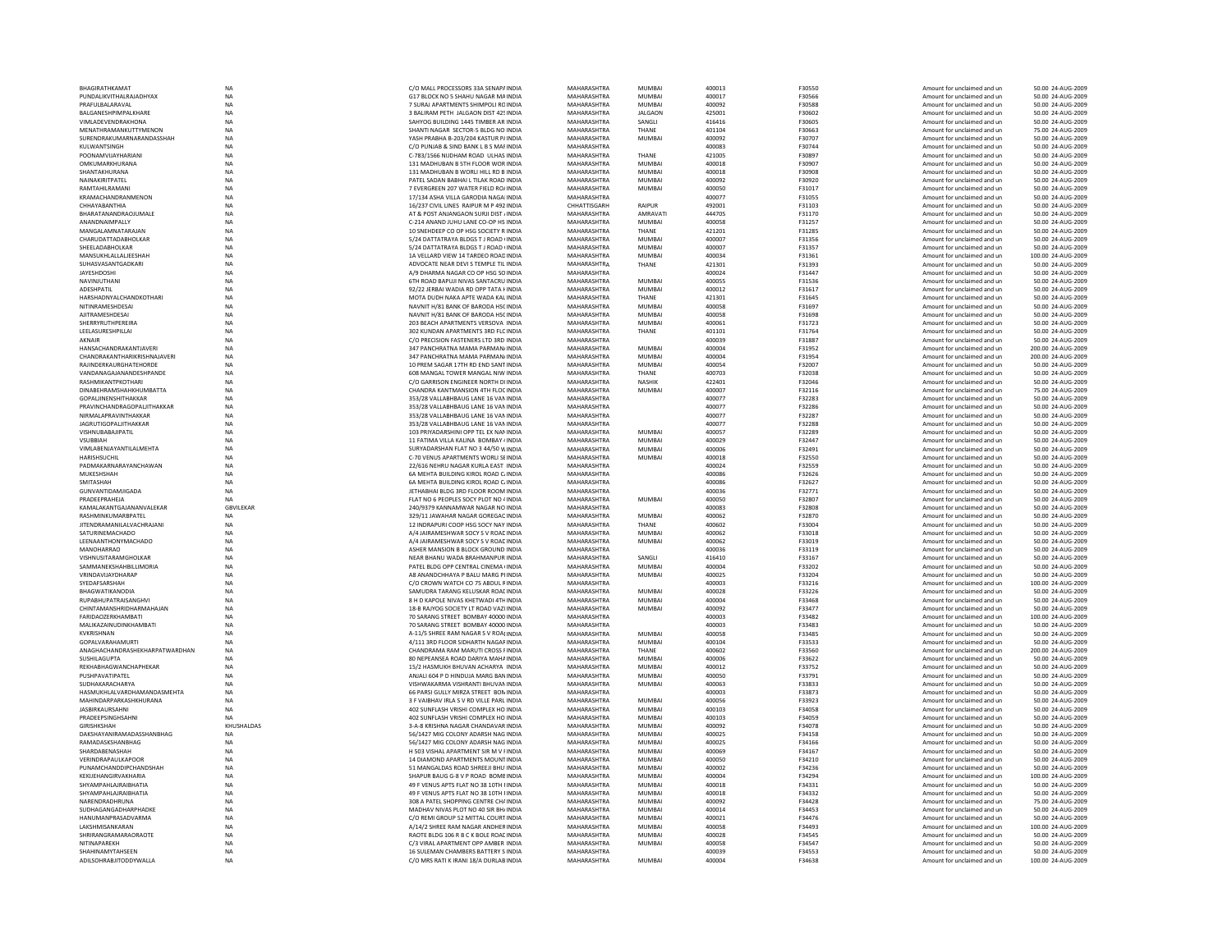| BHAGIRATHKAMAT                             | <b>NA</b>        | C/O MALL PROCESSORS 33A SENAPA INDIA                                          | MAHARASHTRA                | <b>MUMBAI</b>           | 400013           | F30550           | Amount for unclaimed and un                                | 50.00 24-AUG-2009                       |
|--------------------------------------------|------------------|-------------------------------------------------------------------------------|----------------------------|-------------------------|------------------|------------------|------------------------------------------------------------|-----------------------------------------|
| PUNDALIKVITHALRAIADHYAX                    | <b>NA</b>        | G17 BLOCK NO 5 SHAHU NAGAR MAINDIA                                            | MAHARASHTRA                | MUMRAI                  | 400017           | <b>F30566</b>    | Amount for unclaimed and un                                | 50.00 24-AUG-2009                       |
| PRAFUI BAI ARAVAI                          | <b>NA</b>        | 7 SURALAPARTMENTS SHIMPOLLROINDIA                                             | MAHARASHTRA                | MUMRAI                  | 400092           | <b>F30588</b>    | Amount for unclaimed and un                                | 50.00 24-AUG-2009                       |
| <b>BAI GANESHPIMPAI KHARE</b>              | NA               | 3 BALIRAM PETH JALGAON DIST 425 INDIA                                         | MAHARASHTRA                | <b>JALGAON</b>          | 425001           | F30602           | Amount for unclaimed and un                                | 50.00 24-AUG-2009                       |
| <b>VIMLADEVENDRAKHONA</b>                  | <b>NA</b>        | SAHYOG BUILDING 1445 TIMBER AR INDIA                                          | MAHARASHTRA                | SANGLI                  | 416416           | F30605           | Amount for unclaimed and un                                | 50.00 24-AUG-2009                       |
| MENATHRAMANKUTTYMENON                      | NA               | SHANTI NAGAR SECTOR-5 BLDG NO INDIA                                           | MAHARASHTRA                | THANE                   | 401104           | F30663           | Amount for unclaimed and un                                | 75.00 24-AUG-2009                       |
| SURFNDRAKUMARNARANDASSHAH                  | <b>NA</b>        | YASH PRARHA B-203/204 KASTUR P/INDIA                                          | MAHARASHTRA                | MUMRAI                  | 400092           | F30707           | Amount for unclaimed and un                                | 50.00 24-AUG-2009                       |
| KULWANTSINGH                               | <b>NA</b>        | C/O PUNJAB & SIND BANK L B S MAF INDIA                                        | MAHARASHTRA                |                         | 400083           | F30744           | Amount for unclaimed and un                                | 50.00 24-AUG-2009                       |
| POONAMVIJAYHARIANI                         | NA               | C-783/1566 NUDHAM ROAD ULHAS INDIA                                            | MAHARASHTRA                | THANF                   | 421005           | F30897           | Amount for unclaimed and un                                | 50.00 24-AUG-200                        |
| OMKUMARKHURANA                             | <b>NA</b>        | 131 MADHUBAN B 5TH FLOOR WOR INDIA                                            | MAHARASHTRA                | MUMBAI                  | 400018           | F30907           | Amount for unclaimed and un                                | 50.00 24-AUG-2009                       |
| SHANTAKHURANA                              | <b>NA</b>        | 131 MADHUBAN B WORLI HILL RD B INDIA                                          | MAHARASHTRA                | MUMBAL                  | 400018           | F30908           | Amount for unclaimed and un                                | 50.00 24-AUG-2009                       |
| NAINAKIRITPATFI                            | <b>NA</b>        | PATEL SADAN BARHALL TILAK ROAD INDIA                                          | MAHARASHTRA                | MUMRAI                  | 400092           | F30920           | Amount for unclaimed and un                                | 50.00 24-AUG-2009                       |
| <b>RAMTAHII RAMANI</b>                     | <b>NA</b>        | 7 EVERGREEN 207 WATER FIELD RO/ INDIA                                         | MAHARASHTRA                | <b>MUMBAI</b>           | 400050           | F31017           | Amount for unclaimed and un                                | 50.00 24-AUG-2009                       |
| KRAMACHANDRANMENON                         | NA               | 17/134 ASHA VILLA GARODIA NAGAI INDIA                                         | MAHARASHTRA                |                         | 400077           | F31055           | Amount for unclaimed and ur                                | 50.00 24-AUG-2009                       |
| CHHAYABANTHIA                              | <b>NA</b>        | 16/237 CIVIL LINES RAIPUR M P 492 INDIA                                       | CHHATTISGARH               | RAIPUR                  | 492001           | F31103           | Amount for unclaimed and un                                | 50.00 24-AUG-2009                       |
| BHARATANANDRAOJUMALE                       | <b>NA</b>        | AT & POST ANJANGAON SURJI DIST / INDIA                                        | MAHARASHTRA                | AMRAVATI                | 444705           | F31170           | Amount for unclaimed and un                                | 50.00 24-AUG-2009                       |
| ANANDNAIMPALLY                             |                  | C-214 ANAND IUHU LANE CO-OP HS INDIA                                          | MAHARASHTRA                | MUMRAI                  | 400058           |                  | Amount for unclaimed and un                                | 50.00 24-AUG-2009                       |
|                                            | NA               |                                                                               |                            |                         |                  | F31257           |                                                            |                                         |
| MANGALAMNATARAJAN                          | NA               | 10 SNEHDEEP CO OP HSG SOCIETY R INDIA                                         | MAHARASHTRA                | THANE                   | 421201           | F31285           | Amount for unclaimed and un                                | 50.00 24-AUG-200                        |
| CHARUDATTADABHOLKAR                        | NA               | 5/24 DATTATRAYA BLDGS T J ROAD (INDIA                                         | MAHARASHTRA                | MUMBAI                  | 400007           | F31356           | Amount for unclaimed and un                                | 50.00 24-AUG-200                        |
| SHEELADABHOLKAR                            | <b>NA</b>        | 5/24 DATTATRAYA BLDGS T J ROAD (INDIA                                         | MAHARASHTRA                | <b>MUMBAI</b>           | 400007           | F31357           | Amount for unclaimed and un                                | 50.00 24-AUG-2009                       |
| MANSUKHLALLALJEESHAH                       | <b>NA</b>        | 1A VELLARD VIEW 14 TARDEO ROAD INDIA                                          | MAHARASHTRA                | <b>MUMBAI</b>           | 400034           | F31361           | Amount for unclaimed and un                                | 100.00 24-AUG-2009                      |
| SUHASVASANTGADKARI                         | NA               | ADVOCATE NEAR DEVI S TEMPLE TIL INDIA                                         | MAHARASHTRA                | THANE                   | 421301           | F31393           | Amount for unclaimed and un                                | 50.00.24-AUG-200                        |
| <b>JAYESHDOSHI</b>                         | NA               | A/9 DHARMA NAGAR CO OP HSG SO INDIA                                           | MAHARASHTRA                |                         | 400024           | F31447           | Amount for unclaimed and un                                | 50.00 24-AUG-2009                       |
| NAVINJUTHAN                                | <b>NA</b>        | 6TH ROAD BAPUJI NIVAS SANTACRU INDIA                                          | MAHARASHTRA                | <b>MUMBAI</b>           | 400055           | F31536           | Amount for unclaimed and un                                | 50.00 24-AUG-2009                       |
| ADESHPATIL                                 | <b>NA</b>        | 92/22 JERBAI WADIA RD OPP TATA HNDIA                                          | MAHARASHTRA                | <b>MUMBAI</b>           | 400012           | F31617           | Amount for unclaimed and un                                | 50.00 24-AUG-2009                       |
| HARSHADNYALCHANDKOTHAR                     | <b>NA</b>        | MOTA DUDH NAKA APTF WADA KALINDIA                                             | MAHARASHTRA                | THANF                   | 421301           | F31645           | Amount for unclaimed and un                                | 50.00 24-AUG-2009                       |
| NITINRAMESHDESA                            | NA               | NAVNIT H/81 BANK OF BARODA HSCINDIA                                           | MAHARASHTRA                | <b>MUMBAI</b>           | 400058           | F31697           | Amount for unclaimed and un                                | 50.00 24-AUG-200                        |
| AJITRAMESHDESAI                            | <b>NA</b>        | NAVNIT H/81 BANK OF BARODA HSCINDIA                                           | MAHARASHTRA                | <b>MUMBAI</b>           | 400058           | F31698           | Amount for unclaimed and un                                | 50.00 24-AUG-2009                       |
| <b>SHERRYRUTHPEREIRA</b>                   | <b>NA</b>        | 203 BEACH APARTMENTS VERSOVA INDIA                                            | MAHARASHTRA                | <b>MUMBAI</b>           | 400061           | F31723           | Amount for unclaimed and un                                | 50.00 24-AUG-2009                       |
| <b>I FFI ASURESHPILLAL</b>                 | <b>NA</b>        | 302 KUNDAN APARTMENTS 3RD FLC INDIA                                           | MAHARASHTRA                | THANF                   | 401101           | F31764           | Amount for unclaimed and un                                | 50.00 24-AUG-2009                       |
| AKNAIR                                     | <b>NA</b>        | C/O PRECISION FASTENERS LTD 3RD INDIA                                         | MAHARASHTRA                |                         | 400039           | F31887           | Amount for unclaimed and un                                | 50.00 24-AUG-2009                       |
| HANSACHANDRAKANTJAVERI                     | NA               | 347 PANCHRATNA MAMA PARMAN/INDIA                                              | MAHARASHTRA                | MUMBAI                  | 400004           | F31952           | Amount for unclaimed and un                                | 200.00 24-AUG-200                       |
| CHANDRAKANTHARIKRISHNAJAVERI               | <b>NA</b>        | 347 PANCHRATNA MAMA PARMAN/INDIA                                              | MAHARASHTRA                | <b>MUMBAI</b>           | 400004           | F31954           | Amount for unclaimed and un                                | 200.00 24-AUG-2009                      |
|                                            |                  |                                                                               |                            |                         |                  |                  |                                                            |                                         |
| RAJINDERKAURGHATEHORDE                     | NA               | 10 PREM SAGAR 17TH RD END SANT INDIA                                          | MAHARASHTRA                | MUMBAI                  | 400054           | <b>F32007</b>    | Amount for unclaimed and un                                | 50.00 24-AUG-2009                       |
| VANDANAGAIANANDESHPANDE                    | <b>NA</b>        | 608 MANGAL TOWER MANGAL NIW INDIA                                             | MAHARASHTRA                | THANF                   | 400703           | <b>F32038</b>    | Amount for unclaimed and un                                | 50.00 24-AUG-2009                       |
| RASHMIKANTPKOTHARI                         | <b>NA</b>        | C/O GARRISON ENGINEER NORTH DIINDIA                                           | MAHARASHTRA                | <b>NASHIK</b>           | 422401           | F32046           | Amount for unclaimed and un                                | 50.00 24-AUG-2009                       |
| DINABEHRAMSHAHKHUMBATTA                    | <b>NA</b>        | CHANDRA KANTMANSION 4TH FLOC INDIA                                            | MAHARASHTRA                | <b>MUMBAI</b>           | 400007           | F32116           | Amount for unclaimed and un                                | 75.00 24-AUG-200                        |
| GOPALJINENSHITHAKKAR                       | <b>NA</b>        | 353/28 VALLABHBAUG LANE 16 VAN INDIA                                          | MAHARASHTRA                |                         | 400077           | F32283           | Amount for unclaimed and un                                | 50.00 24-AUG-2009                       |
| PRAVINCHANDRAGOPALJITHAKKAR                | <b>NA</b>        | 353/28 VALLABHBAUG LANE 16 VAN INDIA                                          | MAHARASHTRA                |                         | 400077           | F32286           | Amount for unclaimed and un                                | 50.00 24-AUG-2009                       |
| NIRMALAPRAVINTHAKKAR                       | <b>NA</b>        | 353/28 VALLABHBAUG LANE 16 VAN INDIA                                          | MAHARASHTRA                |                         | 400077           | F32287           | Amount for unclaimed and un                                | 50.00 24-AUG-2009                       |
| <b>JAGRUTIGOPALITHAKKAR</b>                | <b>NA</b>        | 353/28 VALLABHBAUG LANE 16 VAN INDIA                                          | MAHARASHTRA                |                         | 400077           | F32288           | Amount for unclaimed and un                                | 50.00 24-AUG-2009                       |
| VISHNUBABAJIPATIL                          | <b>NA</b>        | 103 PRIYADARSHINI OPP TEL EX NAN INDIA                                        | MAHARASHTRA                | <b>MUMBAI</b>           | 400057           | F32289           | Amount for unclaimed and un                                | 50.00 24-AUG-2009                       |
| VSUBBIAH                                   | <b>NA</b>        | 11 FATIMA VILLA KALINA BOMBAY 4 INDIA                                         | MAHARASHTRA                | <b>MUMBAI</b>           | 400029           | F32447           | Amount for unclaimed and un                                | 50.00 24-AUG-2009                       |
| VIMLABENJAYANTILALMEHTA                    | <b>NA</b>        | SURYADARSHAN FLAT NO 3 44/50 W INDIA                                          | MAHARASHTRA                | <b>MUMBAI</b>           | 400006           | F32491           | Amount for unclaimed and un                                | 50.00 24-AUG-2009                       |
| HARISHSUCHIL                               | <b>NA</b>        | C-70 VENUS APARTMENTS WORLI SEINDIA                                           | MAHARASHTRA                | MUMRAI                  | 400018           | F32550           | Amount for unclaimed and un                                | 50.00 24-AUG-2009                       |
| PADMAKARNARAYANCHAWAN                      | NA               | 22/616 NEHRU NAGAR KURLA EAST INDIA                                           | MAHARASHTRA                |                         | 400024           | F32559           | Amount for unclaimed and un                                | 50.00 24-AUG-2009                       |
| MUKESHSHAH                                 | NA               | 6A MEHTA BUILDING KIROL ROAD CJNDIA                                           | MAHARASHTRA                |                         | 400086           | F32626           | Amount for unclaimed and un                                | 50.00 24-AUG-2009                       |
| SMITASHAH                                  |                  | 6A MEHTA BUILDING KIROL ROAD C INDIA                                          | MAHARASHTRA                |                         | 400086           | F32627           |                                                            |                                         |
|                                            | <b>NA</b>        |                                                                               |                            |                         |                  |                  | Amount for unclaimed and un                                | 50.00 24-AUG-2009                       |
| GUNVANTIDAMIIGADA                          | <b>NA</b>        | <b>IFTHARHAI BLDG 3RD FLOOR ROOM INDIA</b>                                    | MAHARASHTRA                |                         | 400036           | F32771           | Amount for unclaimed and un                                | 50.00 24-AUG-2009                       |
| PRADEEPRAHEJA                              | NA               | FLAT NO 6 PEOPLES SOCY PLOT NO 4 INDIA                                        | MAHARASHTRA                | <b>MUMBAI</b>           | 400050           | F32807           | Amount for unclaimed and un                                | 50.00 24-AUG-2009                       |
| KAMALAKANTGAJANANVALEKAR                   | <b>GBVILEKAR</b> | 240/9379 KANNAMWAR NAGAR NO INDIA                                             | MAHARASHTRA                |                         | 400083           | F32808           | Amount for unclaimed and un                                | 50.00 24-AUG-200                        |
| RASHMINKUMARBPATEL                         | <b>NA</b>        | 329/11 JAWAHAR NAGAR GOREGAC INDIA                                            | MAHARASHTRA                | MUMRAI                  | 400062           | F32870           | Amount for unclaimed and un                                | 50.00 24-AUG-2009                       |
| JITENDRAMANILALVACHRAJANI                  | <b>NA</b>        | 12 INDRAPURI COOP HSG SOCY NAY INDIA                                          | MAHARASHTRA                | THANE                   | 400602           | F33004           | Amount for unclaimed and un                                | 50.00 24-AUG-2009                       |
| SATURINEMACHADO                            | <b>NA</b>        | A/4 IAIRAMESHWAR SOCY S V ROACINDIA                                           | MAHARASHTRA                | MUMRAI                  | 400062           | <b>F33018</b>    | Amount for unclaimed and un                                | 50.00 24-AUG-2009                       |
| LEENAANTHONYMACHADO                        | NA               | A/4 JAIRAMESHWAR SOCY S V ROAD INDIA                                          | MAHARASHTRA                | MUMBAI                  | 400062           | F33019           | Amount for unclaimed and ur                                | 50.00 24-AUG-200                        |
| MANOHARRAO                                 | <b>NA</b>        | ASHER MANSION B BLOCK GROUND INDIA                                            | MAHARASHTRA                |                         | 400036           | F33119           | Amount for unclaimed and un                                | 50.00 24-AUG-200                        |
| VISHNUSITARAMGHOLKAR                       | <b>NA</b>        | NEAR BHANU WADA BRAHMANPUR INDIA                                              | MAHARASHTRA                | SANGLI                  | 416410           | F33167           | Amount for unclaimed and un                                | 50.00 24-AUG-2009                       |
| SAMMANEKSHAHRII I IMORIA                   | <b>NA</b>        | PATEL BLDG OPP CENTRAL CINEMA UNDIA                                           | MAHARASHTRA                | MUMRAI                  | 400004           | F33202           | Amount for unclaimed and un                                | 50.00 24-AUG-2009                       |
| VRINDAVIJAYDHARAP                          | <b>NA</b>        | A8 ANANDCHHAYA P BALU MARG PHNDIA                                             | MAHARASHTRA                |                         |                  | F33204           |                                                            |                                         |
| SYEDAFSARSHAH                              | <b>NA</b>        | C/O CROWN WATCH CO 75 ABDUL FINDIA                                            |                            |                         |                  |                  |                                                            |                                         |
| BHAGWATIKANODIA                            |                  |                                                                               |                            | <b>MUMBAI</b>           | 400025           |                  | Amount for unclaimed and un                                | 50.00 24-AUG-2009                       |
|                                            |                  |                                                                               | MAHARASHTRA                |                         | 400003           | F33216           | Amount for unclaimed and un                                | 100.00 24-AUG-200                       |
| RUPARHUPATRAISANGHVI                       | <b>NA</b>        | SAMUDRA TARANG KELUSKAR ROAI INDIA                                            | MAHARASHTRA                | <b>MUMBAI</b>           | 400028           | F33226           | Amount for unclaimed and un                                | 50.00 24-AUG-2009                       |
| CHINTAMANSHRIDHARMAHAIAN                   | <b>NA</b>        | <b>8 H D KAPOLE NIVAS KHETWADI 4THINDIA</b>                                   | MAHARASHTRA                | MUMRAI                  | 400004           | <b>F33468</b>    | Amount for unclaimed and un                                | 50.00 24-AUG-2009                       |
|                                            | <b>NA</b>        | 18-B RAJYOG SOCIETY LT ROAD VAZI INDIA                                        | MAHARASHTRA                | <b>MUMBAI</b>           | 400092           | F33477           | Amount for unclaimed and un                                | 50.00 24-AUG-2009                       |
| <b>FARIDAOZERKHAMBATI</b>                  | <b>NA</b>        | 70 SARANG STREET BOMBAY 40000 INDIA                                           | MAHARASHTRA                |                         | 400003           | F33482           | Amount for unclaimed and un                                | 100.00 24-AUG-2009                      |
| MALIKAZAINUDINKHAMBATI                     | <b>NA</b>        | 70 SARANG STREET BOMBAY 40000 INDIA                                           | MAHARASHTRA                |                         | 400003           | F33483           | Amount for unclaimed and un                                | 50.00 24-AUG-2009                       |
| KVKRISHNAN                                 | NA               | A-11/5 SHREE RAM NAGAR S V ROAI INDIA                                         | MAHARASHTRA                | <b>MUMBAI</b>           | 400058           | F33485           | Amount for unclaimed and un                                | 50.00 24-AUG-2009                       |
| <b>GOPAI VARAHAMURTI</b>                   | <b>NA</b>        | 4/111 3RD FLOOR SIDHARTH NAGAEINDIA                                           | MAHARASHTRA                | MUMRAI                  | 400104           | F33533           | Amount for unclaimed and un                                | 50.00 24-AUG-2009                       |
| ANAGHACHANDRASHEKHARPATWARDHAN             | NA               | CHANDRAMA RAM MARUTI CROSS FINDIA                                             | MAHARASHTRA                | THANE                   | 400602           | F33560           | Amount for unclaimed and un                                | 200.00 24-AUG-200                       |
| SUSHILAGUPTA                               | <b>NA</b>        | 80 NEPEANSEA ROAD DARIYA MAHA INDIA                                           | MAHARASHTRA                | MUMBAI                  | 400006           | F33622           | Amount for unclaimed and un                                | 50.00 24-AUG-2009                       |
| REKHABHAGWANCHAPHEKAR                      | <b>NA</b>        | 15/2 HASMUKH BHUVAN ACHARYA INDIA                                             | MAHARASHTRA                | <b>MUMBAI</b>           | 400012           | F33752           | Amount for unclaimed and un                                | 50.00 24-AUG-2009                       |
| PUSHPAVATIPATEL                            | <b>NA</b>        | ANJALI 604 P D HINDUJA MARG BAN INDIA                                         | MAHARASHTRA                | <b>MUMBAI</b>           | 400050           | F33791           | Amount for unclaimed and un                                | 50.00 24-AUG-2009                       |
| SUDHAKARACHARYA                            | <b>NA</b>        | VISHWAKARMA VISHRANTI BHUVAN INDIA                                            | MAHARASHTRA                | <b>MUMBAI</b>           | 400063           | <b>F33833</b>    | Amount for unclaimed and un                                | 50.00 24-AUG-2009                       |
| HASMUKHLALVARDHAMANDASMEHTA                | <b>NA</b>        | 66 PARSI GULLY MIRZA STREET BON INDIA                                         | MAHARASHTRA                |                         | 400003           | F33873           | Amount for unclaimed and un                                | 50.00 24-AUG-200                        |
|                                            |                  |                                                                               |                            | <b>MUMBAI</b>           |                  |                  |                                                            |                                         |
| MAHINDARPARKASHKHURANA                     | NA               | 3 F VAIBHAV IRLA S V RD VILLE PARL INDIA                                      | MAHARASHTRA                |                         | 400056           | F33923           | Amount for unclaimed and un                                | 50.00 24-AUG-2009                       |
| <b>JASBIRKAURSAHN</b>                      | <b>NA</b>        | 402 SUNFLASH VRISHI COMPLEX HO INDIA                                          | MAHARASHTRA                | MUMBAL                  | 400103           | <b>F34058</b>    | Amount for unclaimed and un                                | 50.00 24-AUG-2009                       |
| PRADEEPSINGHSAHNI                          | <b>NA</b>        | 402 SUNFLASH VRISHI COMPLEX HO INDIA                                          | MAHARASHTRA<br>MAHARASHTRA | <b>MUMBAI</b><br>MUMBAL | 400103           | F34059           | Amount for unclaimed and un                                | 50.00 24-AUG-2009                       |
| <b>GIRISHKSHAH</b>                         | KHUSHALDAS       | 3-A-8 KRISHNA NAGAR CHANDAVAR INDIA                                           |                            |                         | 400092           | <b>F34078</b>    | Amount for unclaimed and un                                | 50.00 24-AUG-2009                       |
| DAKSHAYANIRAMADASSHANBHAG                  | NA               | 56/1427 MIG COLONY ADARSH NAG INDIA                                           | MAHARASHTRA                | <b>MUMBAI</b>           | 400025           | F34158           | Amount for unclaimed and un                                | 50.00 24-AUG-200                        |
| RAMADASKSHANBHAG                           | NA               | 56/1427 MIG COLONY ADARSH NAG INDIA                                           | MAHARASHTRA                | MUMBAI                  | 400025           | F34166           | Amount for unclaimed and un                                | 50.00 24-AUG-2009                       |
| SHARDABENASHAH                             | <b>NA</b>        | H 503 VISHAL APARTMENT SIR M V FINDIA                                         | MAHARASHTRA                | MUMBAI                  | 400069           | F34167           | Amount for unclaimed and un                                | 50.00 24-AUG-2009                       |
| VERINDRAPAULKAPOOR                         | <b>NA</b>        | 14 DIAMOND APARTMENTS MOUNT INDIA                                             | MAHARASHTRA                | <b>MUMBAI</b>           | 400050           | F34210           | Amount for unclaimed and un                                | 50.00 24-AUG-2009                       |
| PUNAMCHANDDIPCHANDSHAH                     | <b>NA</b>        | 51 MANGALDAS ROAD SHREEJI BHU'INDIA                                           | MAHARASHTRA                | MUMBAL                  | 400002           | F34236           | Amount for unclaimed and un                                | 50.00 24-AUG-2009                       |
| KEKUEHANGIRVAKHARIA                        | NA               | SHAPUR BAUG G-8 V P ROAD BOME INDIA                                           | MAHARASHTRA                | MUMBAI                  | 400004           | F34294           | Amount for unclaimed and un                                | 100.00 24-AUG-200                       |
| <b>SHYAMPAHLAJRAIBHATIA</b>                | <b>NA</b>        | 49 F VENUS APTS FLAT NO 38 10TH HNDIA                                         | MAHARASHTRA                | <b>MUMBAI</b>           | 400018           | F34331           | Amount for unclaimed and un                                | 50.00 24-AUG-2009                       |
| SHYAMPAHLAJRAIBHATIA                       | <b>NA</b>        | 49 F VENUS APTS FLAT NO 38 10TH HNDIA                                         | MAHARASHTRA                | <b>MUMBAI</b>           | 400018           | F34332           | Amount for unclaimed and un                                | 50.00 24-AUG-2009                       |
| NARENDRADHRUNA                             | <b>NA</b>        | 308 A PATEL SHOPPING CENTRE CHAINDIA                                          | MAHARASHTRA                | MUMRAI                  | 400092           | F34428           | Amount for unclaimed and un                                | 75.00.24-AUG-2009                       |
| SUDHAGANGADHARPHADKE                       | NA               | MADHAV NIVAS PLOT NO 40 SIR BH/ INDIA                                         | MAHARASHTRA                | <b>MUMBAI</b>           | 400014           | F34453           | Amount for unclaimed and un                                | 50.00 24-AUG-2009                       |
| HANUMANPRASADVARMA                         | <b>NA</b>        | C/O REMI GROUP 52 MITTAL COURT INDIA                                          | MAHARASHTRA                | <b>MUMBAI</b>           | 400021           | F34476           | Amount for unclaimed and un                                | 50.00 24-AUG-2009                       |
| LAKSHMISANKARAN                            | <b>NA</b>        | A/14/2 SHREE RAM NAGAR ANDHERINDIA                                            | MAHARASHTRA                | <b>MUMBAI</b>           | 400058           | F34493           | Amount for unclaimed and un                                | 100.00 24-AUG-2009                      |
| SHRIRANGRAMARAORAOTE                       | <b>NA</b>        | RAOTE BLDG 106 R B C K BOLE ROAF INDIA                                        | MAHARASHTRA                | MUMRAI                  | 400028           | F34545           | Amount for unclaimed and un                                | 50.00 24-AUG-2009                       |
| NITINAPARFKH                               | <b>NA</b>        | C/3 VIRAL APARTMENT OPP AMRER INDIA                                           | MAHARASHTRA                | <b>MUMBAI</b>           | 400058           | F34547           | Amount for unclaimed and un                                | 50.00 24-AUG-2009                       |
|                                            |                  |                                                                               |                            |                         |                  |                  |                                                            |                                         |
| SHAHINAMYTAHSEEN<br>ADILSOHRABJITODDYWALLA | NA<br><b>NA</b>  | 16 SULEMAN CHAMBERS BATTERY S INDIA<br>C/O MRS RATI K IRANI 18/A DURLAB INDIA | MAHARASHTRA<br>MAHARASHTRA | <b>MUMBAI</b>           | 400039<br>400004 | F34553<br>F34638 | Amount for unclaimed and un<br>Amount for unclaimed and un | 50.00 24-AUG-2009<br>100.00 24-AUG-2009 |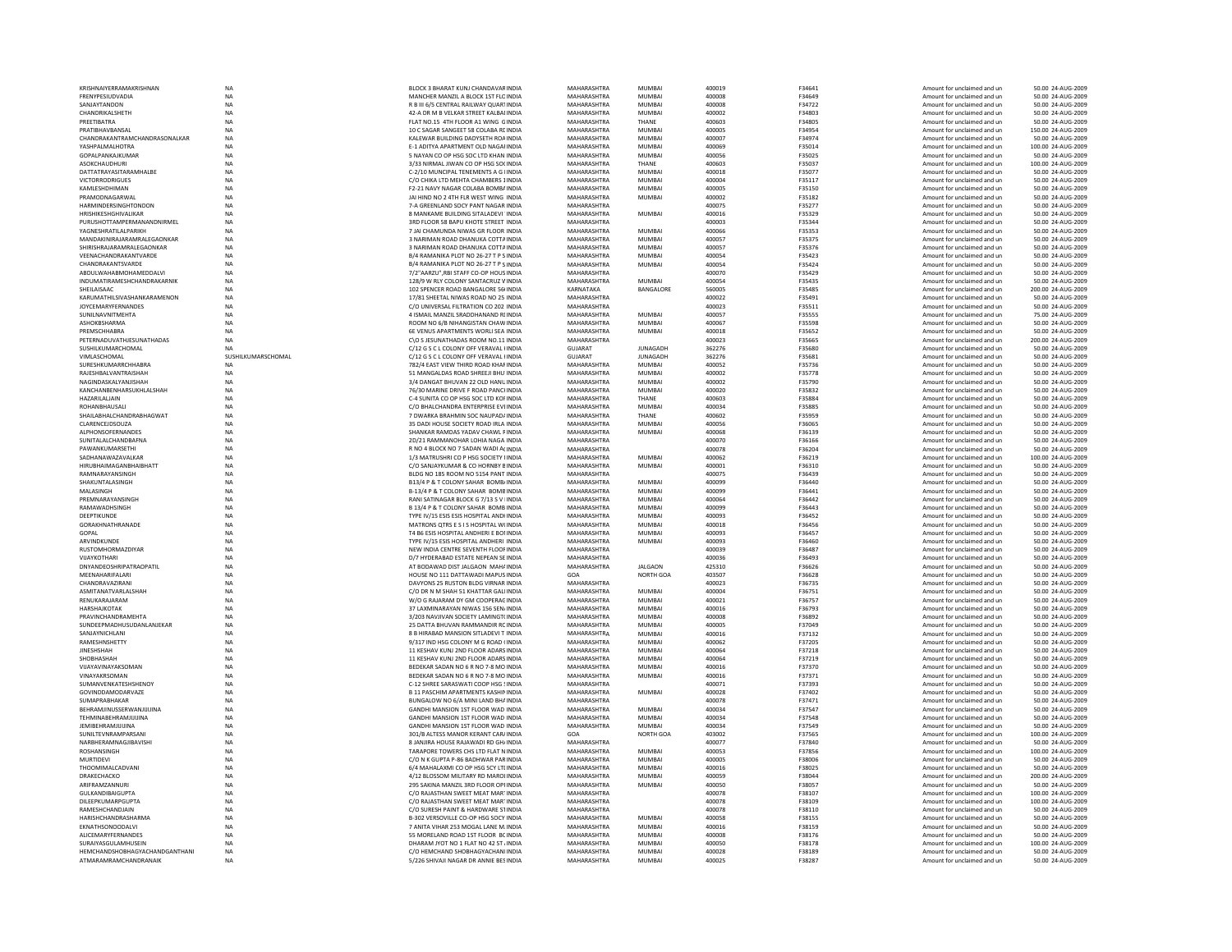| KRISHNAIYERRAMAKRISHNAN                     | <b>NA</b>          | BLOCK 3 BHARAT KUNJ CHANDAVAR INDIA                                          | MAHARASHTRA                | <b>MUMBAI</b>           | 400019           | F34641           | Amount for unclaimed and un                                | 50.00 24-AUG-2009                      |
|---------------------------------------------|--------------------|------------------------------------------------------------------------------|----------------------------|-------------------------|------------------|------------------|------------------------------------------------------------|----------------------------------------|
| <b>FRENYPESIUDVADIA</b>                     | <b>NA</b>          | MANCHER MANZIL A BLOCK 1ST ELCINDIA                                          | MAHARASHTRA                | MUMRAI                  | 400008           | F34649           | Amount for unclaimed and un                                | 50.00 24-AUG-2009                      |
| SANIAYTANDON                                | <b>NA</b>          | R B III 6/5 CENTRAL RAILWAY QUARTINDIA                                       | MAHARASHTRA                | MUMRAI                  | 400008           | F34722           | Amount for unclaimed and un                                | 50.00 24-AUG-2009                      |
| CHANDRIKALSHETH                             | NA                 | 42-A DR M B VELKAR STREET KALBAI INDIA                                       | MAHARASHTRA                | MUMBAI                  | 400002           | F34803           | Amount for unclaimed and un                                | 50.00 24-AUG-2009                      |
| PREETIBATRA                                 | <b>NA</b>          | FLAT NO.15 4TH FLOOR A1 WING GINDIA                                          | MAHARASHTRA                | THANE                   | 400603           | F34805           | Amount for unclaimed and un                                | 50.00 24-AUG-2009                      |
| PRATIBHAVBANSAL                             | NA                 | 10 C SAGAR SANGEET 58 COLABA REINDIA                                         | MAHARASHTRA                | MUMRAI                  | 400005           | F34954           | Amount for unclaimed and un                                | 150.00 24-AUG-2009                     |
| CHANDRAKANTRAMCHANDRASONALKAR               | <b>NA</b>          | KALEWAR BUILDING DADYSETH ROAINDIA                                           | MAHARASHTRA                | MUMRAI                  | 400007           | F34974           | Amount for unclaimed and un                                | 50.00 24-AUG-2009                      |
| YASHPALMALHOTRA                             | <b>NA</b>          | E-1 ADITYA APARTMENT OLD NAGAHNDIA                                           | MAHARASHTRA                | <b>MUMBAI</b>           | 400069           | F35014           | Amount for unclaimed and un                                | 100.00 24-AUG-2009                     |
| GOPALPANKAJKUMAR                            | NA                 | 5 NAYAN CO OP HSG SOC LTD KHAN INDIA                                         | MAHARASHTRA                | <b>MUMBAI</b>           | 400056           | F35025           | Amount for unclaimed and un                                | 50.00 24-AUG-2009                      |
| ASOKCHAUDHURI                               | NA                 | 3/33 NIRMAL JIWAN CO OP HSG SO( INDIA                                        | MAHARASHTRA                | THANE                   | 400603           | F35037           | Amount for unclaimed and un                                | 100.00 24-AUG-2009                     |
| DATTATRAYASITARAMHALBE                      | <b>NA</b>          | C-2/10 MUNCIPAL TENEMENTS A G IINDIA                                         | MAHARASHTRA                | <b>MUMBAI</b>           | 400018           | F35077           | Amount for unclaimed and un                                | 50.00 24-AUG-2009                      |
| <b>VICTORRODRIGUES</b>                      | <b>NA</b>          | C/O CHIKA LTD MEHTA CHAMBERS 1INDIA                                          | MAHARASHTRA                | <b>MUMBAI</b>           | 400004           | F35117           | Amount for unclaimed and un                                | 50.00 24-AUG-2009                      |
| KAMLESHDHIMAN                               | <b>NA</b>          | F2-21 NAVY NAGAR COLABA BOMBA INDIA                                          | MAHARASHTRA                | <b>MUMBAI</b>           | 400005           | F35150           | Amount for unclaimed and un                                | 50.00 24-AUG-2009                      |
| PRAMODNAGARWAL                              | NA                 | JAI HIND NO 2 4TH FLR WEST WING INDIA                                        | MAHARASHTRA                | MUMBAI                  | 400002           | F35182           | Amount for unclaimed and ur                                | 50.00 24-AUG-200                       |
| <b>HARMINDERSINGHTONDON</b>                 | <b>NA</b>          | 7-A GREENLAND SOCY PANT NAGAR INDIA                                          | MAHARASHTRA                |                         | 400075           | F35277           | Amount for unclaimed and un                                | 50.00 24-AUG-2009                      |
| HRISHIKESHGHIVALIKAR                        | <b>NA</b>          | 8 MANKAME BUILDING SITALADEVI INDIA                                          | MAHARASHTRA                | <b>MUMBAI</b>           | 400016           | F35329           | Amount for unclaimed and un                                | 50.00 24-AUG-2009                      |
| PURUSHOTTAMPERMANANDNIRMEL                  |                    | 3RD FLOOR 58 BAPU KHOTE STREET INDIA                                         | MAHARASHTRA                |                         | 400003           | F35344           | Amount for unclaimed and un                                | 50.00 24-AUG-2009                      |
| YAGNESHRATILALPARIKH                        | NA<br>NA           | 7 JAI CHAMUNDA NIWAS GR FLOOR INDIA                                          | MAHARASHTRA                | <b>MUMBAI</b>           | 400066           | F35353           | Amount for unclaimed and un                                | 50.00 24-AUG-2009                      |
| MANDAKINIRAJARAMRALEGAONKAR                 | <b>NA</b>          | 3 NARIMAN ROAD DHANUKA COTTAINDIA                                            | MAHARASHTRA                | <b>MUMBAI</b>           | 400057           | F35375           | Amount for unclaimed and un                                | 50.00 24-AUG-2009                      |
|                                             |                    |                                                                              |                            | <b>MUMBAI</b>           |                  |                  |                                                            |                                        |
| SHIRISHRAJARAMRALEGAONKAR                   | <b>NA</b>          | 3 NARIMAN ROAD DHANUKA COTTAINDIA                                            | MAHARASHTRA                |                         | 400057           | F35376           | Amount for unclaimed and un                                | 50.00 24-AUG-2009                      |
| VEENACHANDRAKANTVARDE                       | <b>NA</b>          | B/4 RAMANIKA PLOT NO 26-27 T P SINDIA                                        | MAHARASHTRA                | MUMRAI                  | 400054           | F35423           | Amount for unclaimed and un                                | 50.00 24-AUG-2009                      |
| CHANDRAKANTSVARDE                           | NA                 | B/4 RAMANIKA PLOT NO 26-27 T P S INDIA                                       | MAHARASHTRA                | MUMBAI                  | 400054           | F35424           | Amount for unclaimed and un                                | 50.00 24-AUG-2009                      |
| ABDULWAHABMOHAMEDDALVI                      | <b>NA</b>          | 7/2"AARZU", RBI STAFF CO-OP HOUS INDIA                                       | <b>MAHARASHTRA</b>         |                         | 400070           | F35429           | Amount for unclaimed and un                                | 50.00 24-AUG-2009                      |
| INDUMATIRAMESHCHANDRAKARNIK                 | NA                 | 128/9 W RLY COLONY SANTACRUZ V INDIA                                         | MAHARASHTRA                | <b>MUMBAI</b>           | 400054           | F35435           | Amount for unclaimed and un                                | 50.00 24-AUG-2009                      |
| SHEILAISAAC                                 | <b>NA</b>          | 102 SPENCER ROAD BANGALORE 56UNDIA                                           | KARNATAKA                  | <b>BANGALORE</b>        | 560005           | F35485           | Amount for unclaimed and un                                | 200.00 24-AUG-2009                     |
| KARUMATHILSIVASHANKARAMENON                 | <b>NA</b>          | 17/81 SHEETAL NIWAS ROAD NO 25 INDIA                                         | MAHARASHTRA                |                         | 400022           | F35491           | Amount for unclaimed and un                                | 50.00 24-AUG-2009                      |
| JOYCEMARYFERNANDES                          | NA                 | C/O UNIVERSAL FILTRATION CO 202 INDIA                                        | MAHARASHTRA                |                         | 400023           | F35511           | Amount for unclaimed and un                                | 50.00 24-AUG-2009                      |
| SUNILNAVNITMEHTA                            | <b>NA</b>          | 4 ISMAIL MANZIL SRADDHANAND RUNDIA                                           | MAHARASHTRA                | <b>MUMBAI</b>           | 400057           | F35555           | Amount for unclaimed and un                                | 75.00 24-AUG-2009                      |
| ASHOKBSHARMA                                | NA                 | ROOM NO 6/B NIHANGISTAN CHAW INDIA                                           | MAHARASHTRA                | <b>MUMBAI</b>           | 400067           | F35598           | Amount for unclaimed and un                                | 50.00 24-AUG-2009                      |
| PREMSCHHABRA                                | <b>NA</b>          | <b>6F VENUS APARTMENTS WORLLSFA INDIA</b>                                    | MAHARASHTRA                | <b>MUMBAI</b>           | 400018           | F35652           | Amount for unclaimed and un                                | 50.00 24-AUG-2009                      |
| PETERNADUVATHJESUNATHADAS                   | <b>NA</b>          | C\O S JESUNATHADAS ROOM NO.11 INDIA                                          | MAHARASHTRA                |                         | 400023           | F35665           | Amount for unclaimed and un                                | 200.00 24-AUG-2009                     |
| SUSHILKUMARCHOMAL                           | <b>NA</b>          | C/12 G S C L COLONY OFF VERAVAL HNDIA                                        | <b>GUJARAT</b>             | <b>JUNAGADH</b>         | 362276           | F35680           | Amount for unclaimed and un                                | 50.00 24-AUG-2009                      |
| VIMLASCHOMAL                                | SUSHILKUMARSCHOMAL | C/12 G S C L COLONY OFF VERAVAL HNDIA                                        | GUJARAT                    | <b>JUNAGADH</b>         | 362276           | F35681           | Amount for unclaimed and un                                | 50.00 24-AUG-2009                      |
| SURESHKUMARRCHHABRA                         | <b>NA</b>          | 782/4 EAST VIEW THIRD ROAD KHAF INDIA                                        | MAHARASHTRA                | MUMBAL                  | 400052           | F35736           | Amount for unclaimed and un                                | 50.00 24-AUG-2009                      |
| RAJESHBALVANTRAISHAH                        | NA                 | 51 MANGALDAS ROAD SHREEJI BHU'INDIA                                          | MAHARASHTRA                | <b>MUMBAI</b>           | 400002           | F35778           | Amount for unclaimed and un                                | 50.00 24-AUG-2009                      |
| NAGINDASKALYANJISHAH                        | <b>NA</b>          | 3/4 DANGAT BHUVAN 22 OLD HANU INDIA                                          | MAHARASHTRA                | <b>MUMBAI</b>           | 400002           | F35790           | Amount for unclaimed and un                                | 50.00 24-AUG-2009                      |
| KANCHANBENHARSUKHLALSHAH                    | NA                 | 76/30 MARINE DRIVE F ROAD PANCHNDIA                                          | MAHARASHTRA                | <b>MUMBAI</b>           | 400020           | F35832           | Amount for unclaimed and un                                | 50.00 24-AUG-2009                      |
| HAZARILALIAIN                               | <b>NA</b>          | C-4 SUNITA CO OP HSG SOC LTD KOF INDIA                                       | MAHARASHTRA                | THANE                   | 400603           | F35884           | Amount for unclaimed and un                                | 50.00 24-AUG-2009                      |
| ROHANBHAUSALI                               | <b>NA</b>          | C/O BHALCHANDRA ENTERPRISE EVEINDIA                                          | MAHARASHTRA                | <b>MUMBAI</b>           | 400034           | F35885           | Amount for unclaimed and un                                | 50.00 24-AUG-2009                      |
| SHAILABHALCHANDRABHAGWAT                    | <b>NA</b>          | 7 DWARKA BRAHMIN SOC NAUPAD/ INDIA                                           | MAHARASHTRA                | THANE                   | 400602           | F35959           | Amount for unclaimed and un                                | 50.00 24-AUG-2009                      |
| CLARENCEJDSOUZA                             | NA                 | 35 DADI HOUSE SOCIETY ROAD IRLA INDIA                                        | MAHARASHTRA                | <b>MUMBAI</b>           | 400056           | F36065           | Amount for unclaimed and un                                | 50.00 24-AUG-2009                      |
| ALPHONSOFFRNANDES                           | NA                 | SHANKAR RAMDAS YADAV CHAWL FINDIA                                            | MAHARASHTRA                | MUMBAI                  | 400068           | F36139           | Amount for unclaimed and un                                | 50.00 24-AUG-2009                      |
| SUNITALALCHANDBAFNA                         | <b>NA</b>          | 2D/21 RAMMANOHAR LOHIA NAGA INDIA                                            | MAHARASHTRA                |                         | 400070           | F36166           | Amount for unclaimed and un                                | 50.00 24-AUG-2009                      |
| PAWANKUMARSETHI                             | <b>NA</b>          | R NO 4 BLOCK NO 7 SADAN WADI ACINDIA                                         | MAHARASHTRA                |                         | 400078           | F36204           | Amount for unclaimed and un                                | 50.00 24-AUG-2009                      |
| SADHANAWAZAVALKAR                           | NA                 | 1/3 MATRUSHRI CO P HSG SOCIETY I INDIA                                       | MAHARASHTRA                | <b>MUMBAI</b>           | 400062           | F36219           | Amount for unclaimed and un                                | 100.00 24-AUG-2009                     |
| HIRUBHAIMAGANBHAIBHATT                      | <b>NA</b>          | C/O SANJAYKUMAR & CO HORNBY BINDIA                                           | MAHARASHTRA                | MUMBAI                  | 400001           | F36310           | Amount for unclaimed and un                                | 50.00 24-AUG-2009                      |
| RAMNARAYANSINGH                             | <b>NA</b>          | BLDG NO 185 ROOM NO 5154 PANT INDIA                                          | MAHARASHTRA                |                         | 400075           | F36439           | Amount for unclaimed and un                                | 50.00 24-AUG-2009                      |
| SHAKUNTALASINGH                             | <b>NA</b>          | B13/4 P & T COLONY SAHAR BOMB/ INDIA                                         | MAHARASHTRA                | <b>MUMBAI</b>           | 400099           | F36440           | Amount for unclaimed and un                                | 50.00 24-AUG-2009                      |
| <b>MAI ASINGH</b>                           | <b>NA</b>          | B-13/4 P & T COLONY SAHAR BOMBINDIA                                          | MAHARASHTRA                | MUMRAI                  | 400099           | F36441           | Amount for unclaimed and un                                | 50.00 24-AUG-2009                      |
| PREMNARAYANSINGH                            | NA                 | RANI SATINAGAR BLOCK G 7/13 S V IINDIA                                       | MAHARASHTRA                | MUMBAI                  | 400064           | F36442           | Amount for unclaimed and un                                | 50.00 24-AUG-2009                      |
| RAMAWADHSINGH                               | <b>NA</b>          | B 13/4 P & T COLONY SAHAR BOMB INDIA                                         | MAHARASHTRA                | <b>MUMBAI</b>           | 400099           | F36443           | Amount for unclaimed and un                                | 50.00 24-AUG-2009                      |
| DEEPTIKUNDE                                 | <b>NA</b>          | TYPE IV/15 ESIS ESIS HOSPITAL ANDHNDIA                                       | MAHARASHTRA                | <b>MUMBAI</b>           | 400093           | F36452           | Amount for unclaimed and un                                | 50.00 24-AUG-2009                      |
| GORAKHNATHRANADE                            | <b>NA</b>          | MATRONS OTRS E S I S HOSPITAL WUNDIA                                         | MAHARASHTRA                | MUMRAI                  | 400018           | F36456           | Amount for unclaimed and un                                | 50.00 24-AUG-2009                      |
| GOPAL                                       | <b>NA</b>          | T4 B6 ESIS HOSPITAL ANDHERI E BOI INDIA                                      | MAHARASHTRA                | MUMRAI                  | 400093           | F36457           | Amount for unclaimed and un                                | 50.00 24-AUG-2009                      |
| ARVINDKUNDE                                 | <b>NA</b>          | TYPE IV/15 ESIS HOSPITAL ANDHERI INDIA                                       | MAHARASHTRA                | <b>MUMBAI</b>           | 400093           | F36460           | Amount for unclaimed and un                                | 50.00 24-AUG-2009                      |
| RUSTOMHORMAZDIYAR                           | NA                 | NEW INDIA CENTRE SEVENTH FLOOF INDIA                                         | MAHARASHTRA                |                         | 400039           | F36487           | Amount for unclaimed and un                                | 50.00 24-AUG-2009                      |
| VIIAYKOTHARI                                | <b>NA</b>          | D/7 HYDERARAD ESTATE NEPEAN SEINDIA                                          | MAHARASHTRA                |                         | 400036           | F36493           | Amount for unclaimed and un                                | 50.00 24-AUG-2009                      |
| <b>DNYANDEOSHRIPATRAOPATIL</b>              | <b>NA</b>          | AT BODAWAD DIST JALGAON MAHAINDIA                                            | MAHARASHTRA                | <b>JALGAON</b>          | 425310           | F36626           | Amount for unclaimed and un                                | 50.00 24-AUG-2009                      |
| MEENAHARIFALARI                             | <b>NA</b>          | HOUSE NO 111 DATTAWADI MAPUS INDIA                                           | GOA                        | NORTH GOA               | 403507           | F36628           | Amount for unclaimed and un                                | 50.00 24-AUG-2009                      |
| CHANDRAVAZIRAN                              | <b>NA</b>          | DAVYONS 25 RUSTON BLDG VIRNAR INDIA                                          | MAHARASHTRA                |                         | 400023           | F36735           | Amount for unclaimed and un                                | 50.00 24-AUG-2009                      |
| ASMITANATVARLALSHAH                         | <b>NA</b>          | C/O DR N M SHAH 51 KHATTAR GALLINDIA                                         | MAHARASHTRA                | <b>MUMBAI</b>           | 400004           | F36751           | Amount for unclaimed and un                                | 50.00 24-AUG-2009                      |
| RENUKARAIARAM                               | <b>NA</b>          | W/O G RAIARAM DY GM COOPERAC INDIA                                           | MAHARASHTRA                | MUMRAI                  | 400021           | F36757           | Amount for unclaimed and un                                | 50.00 24-AUG-2009                      |
| <b>HARSHAJKOTAK</b>                         | <b>NA</b>          | 37 LAXMINARAYAN NIWAS 156 SEN/INDIA                                          | MAHARASHTRA                | <b>MUMBAI</b>           | 400016           | F36793           | Amount for unclaimed and un                                | 50.00 24-AUG-2009                      |
| PRAVINCHANDRAMEHTA                          | NA                 | 3/203 NAVJIVAN SOCIETY LAMINGT(INDIA                                         | MAHARASHTRA                | MUMBAI                  | 400008           | F36892           | Amount for unclaimed and un                                | 50.00 24-AUG-2009                      |
|                                             |                    |                                                                              | MAHARASHTRA                | MUMBAL                  | 400005           | F37049           |                                                            |                                        |
| SUNDEEPMADHUSUDANLANJEKAR<br>SANJAYNICHLANI | NA<br><b>NA</b>    | 25 DATTA BHUVAN RAMMANDIR RC INDIA<br>8 B HIRABAD MANSION SITLADEVIT INDIA   | MAHARASHTRA                | <b>MUMBAI</b>           | 400016           | F37132           | Amount for unclaimed and un<br>Amount for unclaimed and un | 50.00 24-AUG-2009<br>50.00 24-AUG-2009 |
|                                             |                    |                                                                              |                            |                         |                  |                  |                                                            |                                        |
| <b>RAMESHNSHETTY</b>                        | <b>NA</b>          | 9/317 IND HSG COLONY M G ROAD (INDIA                                         | MAHARASHTRA<br>MAHARASHTRA | MUMBAL<br><b>MUMBAI</b> | 400062           | F37205           | Amount for unclaimed and un                                | 50.00 24-AUG-2009<br>50.00 24-AUG-2009 |
| <b>JINESHSHAH</b><br>SHOBHASHAH             | NA<br>NA           | 11 KESHAV KUNJ 2ND FLOOR ADARS INDIA<br>11 KESHAV KUNJ 2ND FLOOR ADARS INDIA | MAHARASHTRA                | MUMBAI                  | 400064<br>400064 | F37218<br>F37219 | Amount for unclaimed and un<br>Amount for unclaimed and un | 50.00 24-AUG-2009                      |
|                                             |                    |                                                                              |                            |                         |                  |                  |                                                            |                                        |
| VIJAYAVINAYAKSOMAN                          | <b>NA</b>          | BEDEKAR SADAN NO 6 R NO 7-8 MO INDIA                                         | MAHARASHTRA                | <b>MUMBAI</b>           | 400016           | F37370           | Amount for unclaimed and un                                | 50.00 24-AUG-2009                      |
| VINAYAKRSOMAN                               | <b>NA</b>          | BEDEKAR SADAN NO 6 R NO 7-8 MO INDIA                                         | MAHARASHTRA                | <b>MUMBAI</b>           | 400016           | F37371           | Amount for unclaimed and un                                | 50.00 24-AUG-2009                      |
| SUMANVENKATESHSHENOY                        | <b>NA</b>          | C-12 SHREE SARASWATI COOP HSG SINDIA                                         | MAHARASHTRA                |                         | 400071           | F37393           | Amount for unclaimed and un                                | 50.00 24-AUG-2009                      |
| GOVINDDAMODARVAZE                           | NA                 | B 11 PASCHIM APARTMENTS KASHIMNDIA                                           | MAHARASHTRA                | MUMBAI                  | 400028           | F37402           | Amount for unclaimed and un                                | 50.00 24-AUG-200                       |
| SUMAPRABHAKAR                               | <b>NA</b>          | BUNGALOW NO 6/A MINI LAND BHAINDIA                                           | MAHARASHTRA                |                         | 400078           | F37471           | Amount for unclaimed and un                                | 50.00 24-AUG-2009                      |
| BEHRAMJINUSSERWANJIJIJINA                   | <b>NA</b>          | GANDHI MANSION 1ST FLOOR WAD INDIA                                           | MAHARASHTRA                | <b>MUMBAI</b>           | 400034           | F37547           | Amount for unclaimed and un                                | 50.00 24-AUG-2009                      |
| <b>TFHMINARFHRAMIIIIIINA</b>                | <b>NA</b>          | GANDHI MANSION 1ST FLOOR WAD INDIA                                           | MAHARASHTRA                | MUMRAI                  | 400034           | F37548           | Amount for unclaimed and un                                | 50.00 24-AUG-2009                      |
| <b>JEMIBEHRAMJUUINA</b>                     | NA                 | GANDHI MANSION 1ST FLOOR WAD INDIA                                           | MAHARASHTRA                | MUMBAI                  | 400034           | F37549           | Amount for unclaimed and un                                | 50.00 24-AUG-2009                      |
| SUNILTEVNRAMPARSAN                          | <b>NA</b>          | 301/B ALTESS MANOR KERANT CAR/ INDIA                                         | GOA                        | NORTH GOA               | 403002           | F37565           | Amount for unclaimed and un                                | 100.00 24-AUG-2009                     |
| NARBHERAMNAGJIBAVISHI                       | NA                 | 8 JANJIRA HOUSE RAJAWADI RD GHJ INDIA                                        | MAHARASHTRA                |                         | 400077           | F37840           | Amount for unclaimed and un                                | 50.00 24-AUG-2009                      |
| <b>ROSHANSINGH</b>                          | <b>NA</b>          | TARAPORE TOWERS CHS ITD ELAT N INDIA                                         | MAHARASHTRA                | MUMRAI                  | 400053           | F37856           | Amount for unclaimed and un                                | 100.00 24-AUG-2009                     |
| MURTIDEVI                                   | NA                 | C/O N K GUPTA P-86 BADHWAR PARINDIA                                          | MAHARASHTRA                | <b>MUMBAI</b>           | 400005           | F38006           | Amount for unclaimed and un                                | 50.00 24-AUG-2009                      |
| THOOMIMALCADVAN                             | <b>NA</b>          | 6/4 MAHALAXMI CO OP HSG SCY LTI INDIA                                        | MAHARASHTRA                | <b>MUMBAI</b>           | 400016           | F38025           | Amount for unclaimed and un                                | 50.00 24-AUG-2009                      |
| DRAKECHACKO                                 | <b>NA</b>          | 4/12 BLOSSOM MILITARY RD MAROLINDIA                                          | MAHARASHTRA                | <b>MUMBAI</b>           | 400059           | F38044           | Amount for unclaimed and un                                | 200.00 24-AUG-2009                     |
| ARIFRAMZANNURI                              | <b>NA</b>          | 295 SAKINA MANZIL 3RD FLOOR OPHNDIA                                          | MAHARASHTRA                | <b>MUMBAI</b>           | 400050           | F38057           | Amount for unclaimed and un                                | 50.00 24-AUG-2009                      |
| <b>GUI KANDIBAIGUPTA</b>                    | <b>NA</b>          | C/O RAIASTHAN SWEET MEAT MARTINDIA                                           | MAHARASHTRA                |                         | 400078           | F38107           | Amount for unclaimed and un                                | 100.00 24-AUG-2009                     |
| DILEEPKUMARPGUPTA                           | <b>NA</b>          | C/O RAJASTHAN SWEET MEAT MARTINDIA                                           | MAHARASHTRA                |                         | 400078           | F38109           | Amount for unclaimed and un                                | 100.00 24-AUG-2009                     |
| RAMESHCHANDJAIN                             | <b>NA</b>          | C/O SURESH PAINT & HARDWARE STINDIA                                          | MAHARASHTRA                |                         | 400078           | F38110           | Amount for unclaimed and un                                | 50.00 24-AUG-2009                      |
| HARISHCHANDRASHARMA                         | NA                 | B-302 VERSOVILLE CO-OP HSG SOCY INDIA                                        | MAHARASHTRA                | MUMRAI                  | 400058           | F38155           | Amount for unclaimed and un                                | 50.00 24-AUG-2009                      |
| <b>EKNATHSONOODALVI</b>                     | <b>NA</b>          | 7 ANITA VIHAR 253 MOGAL LANE M INDIA                                         | MAHARASHTRA                | <b>MUMBAI</b>           | 400016           | F38159           | Amount for unclaimed and un                                | 50.00 24-AUG-2009                      |
| ALICEMARYFERNANDES                          | <b>NA</b>          | 55 MORELAND ROAD 1ST FLOOR BC INDIA                                          | MAHARASHTRA                | <b>MUMBAI</b>           | 400008           | F38176           | Amount for unclaimed and un                                | 50.00 24-AUG-2009                      |
| SURAIYASGULAMHUSEIN                         | NA                 | DHARAM JYOT NO 1 FLAT NO 42 ST / INDIA                                       | MAHARASHTRA                | <b>MUMBAI</b>           | 400050           | F38178           | Amount for unclaimed and un                                | 100.00 24-AUG-2009                     |
| HEMCHANDSHOBHAGYACHANDGANTHANI              | <b>NA</b>          | C/O HEMCHAND SHOBHAGYACHANI INDIA                                            | MAHARASHTRA                | MUMBAI                  | 400028           | F38189           | Amount for unclaimed and un                                | 50.00 24-AUG-2009                      |
| ATMARAMRAMCHANDRANAIK                       | <b>NA</b>          | 5/226 SHIVAJI NAGAR DR ANNIE BESINDIA                                        | MAHARASHTRA                | <b>MUMBAI</b>           | 400025           | F38287           | Amount for unclaimed and un                                | 50.00 24-AUG-2009                      |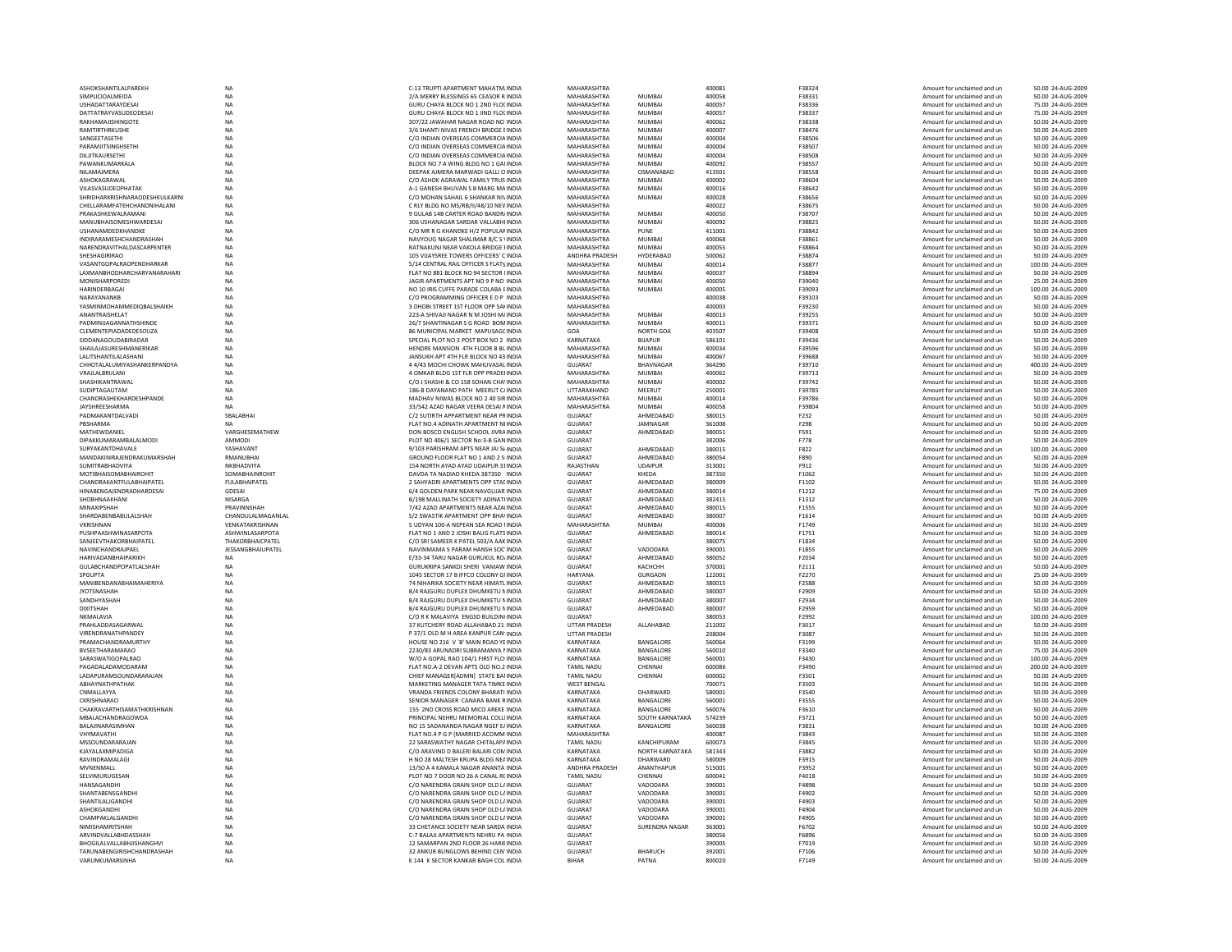| ASHOKSHANTILALPAREKH           | NA                | C-13 TRUPTI APARTMENT MAHATM INDIA        | MAHARASHTRA           |                  | 400081 | F38324        | Amount for unclaimed and un | 50.00 24-AUG-2009  |
|--------------------------------|-------------------|-------------------------------------------|-----------------------|------------------|--------|---------------|-----------------------------|--------------------|
| SIMPLICIOALMEIDA               | <b>NA</b>         | 2/A MERRY BLESSINGS 65 CEASOR R INDIA     | MAHARASHTRA           | MUMBAI           | 400058 | F38331        | Amount for unclaimed and un | 50.00 24-AUG-2009  |
| <b>USHADATTARAYDESAL</b>       | <b>NA</b>         | GURU CHAYA BLOCK NO 1 2ND FLOCINDIA       | MAHARASHTRA           | MUMBAI           | 400057 | F38336        | Amount for unclaimed and un | 75.00 24-AUG-2009  |
| <b>DATTATRAYVASUDEODESA</b>    | NA                | GURU CHAYA BLOCK NO 1 IIND FLOCINDIA      | MAHARASHTRA           | MUMBAI           | 400057 | F38337        | Amount for unclaimed and un | 75.00 24-AUG-2009  |
| RAKHAMAJISHINGOTE              | NA                | 307/22 JAWAHAR NAGAR ROAD NO INDIA        | MAHARASHTRA           | <b>MUMBAI</b>    | 400062 | F38338        | Amount for unclaimed and un | 50.00 24-AUG-2009  |
| RAMTIRTHRKUSHE                 |                   |                                           |                       |                  |        |               |                             |                    |
|                                | NA                | 3/6 SHANTI NIVAS FRENCH BRIDGE EINDIA     | MAHARASHTRA           | MUMBAI           | 400007 | F38476        | Amount for unclaimed and un | 50.00 24-AUG-2009  |
| SANGEFTASETHI                  | <b>NA</b>         | C/O INDIAN OVERSEAS COMMERCIA INDIA       | MAHARASHTRA           | MUMBAI           | 400004 | <b>F38506</b> | Amount for unclaimed and un | 50.00 24-AUG-2009  |
| PARAMJITSINGHSETHI             | NA                | C/O INDIAN OVERSEAS COMMERCIA INDIA       | MAHARASHTRA           | <b>MUMBAI</b>    | 400004 | <b>F38507</b> | Amount for unclaimed and un | 50.00 24-AUG-2009  |
| DILJITKAURSETHI                | NA                | C/O INDIAN OVERSEAS COMMERCIA INDIA       | MAHARASHTRA           | MUMBAI           | 400004 | F38508        | Amount for unclaimed and ur | 50.00 24-AUG-2009  |
| PAWANKUMARKALA                 | NA                | BLOCK NO 7 A WING BLDG NO 1 GAI INDIA     | MAHARASHTRA           | MUMBAI           | 400092 | F38557        | Amount for unclaimed and un | 50.00 24-AUG-2009  |
| NILAMAJMERA                    | <b>NA</b>         | DEEPAK AJMERA MARWADI GALLI O INDIA       | MAHARASHTRA           | OSMANABAD        | 413501 | F38558        | Amount for unclaimed and un | 50.00 24-AUG-2009  |
| ASHOKAGRAWAI                   | <b>NA</b>         | C/O ASHOK AGRAWAL FAMILY TRUS INDIA       | MAHARASHTRA           | <b>MUMBAI</b>    | 400002 | <b>F38604</b> | Amount for unclaimed and un | 50.00 24-AUG-2009  |
|                                |                   |                                           |                       |                  |        |               |                             |                    |
| VILASVASUDEOPHATAK             | NA                | A-1 GANESH BHUVAN S B MARG MAINDIA        | MAHARASHTRA           | <b>MUMBAI</b>    | 400016 | F38642        | Amount for unclaimed and un | 50.00 24-AUG-2009  |
| SHRIDHARKRISHNARAODESHKULKARNI | NA                | C/O MOHAN SAHAIL 6 SHANKAR NIVINDIA       | MAHARASHTRA           | <b>MUMBA</b>     | 400028 | F38656        | Amount for unclaimed and ur | 50.00 24-AUG-200   |
| CHELLARAMFATEHCHANDNIHALANI    | <b>NA</b>         | C RLY BLDG NO MS/RB/II/48/10 NEV INDIA    | MAHARASHTRA           |                  | 400022 | F38675        | Amount for unclaimed and un | 50.00 24-AUG-2009  |
| PRAKASHKEWALRAMANI             | <b>NA</b>         | 9 GULAB 14B CARTER ROAD BANDR/ INDIA      | MAHARASHTRA           | <b>MUMBAI</b>    | 400050 | F38707        | Amount for unclaimed and un | 50.00 24-AUG-2009  |
| MANUBHAISOMESHWARDESAI         | NA                | 306 USHANAGAR SARDAR VALLARHUNDIA         | MAHARASHTRA           | <b>MUMBAI</b>    | 400092 | F38825        | Amount for unclaimed and un | 50.00 24-AUG-2009  |
| USHANAMDEDKHANDKE              | NA                | C/O MR R G KHANDKE H/2 POPULAF INDIA      | MAHARASHTRA           | PUNE             | 411001 | F38842        | Amount for unclaimed and ur | 50.00 24-AUG-2009  |
| INDIRARAMESHCHANDRASHAH        | NA                | NAVYOUG NAGAR SHALIMAR 8/C S VINDIA       | MAHARASHTRA           | <b>MUMBA</b>     | 400068 | F38861        |                             | 50.00 24-AUG-2009  |
|                                |                   |                                           |                       |                  |        |               | Amount for unclaimed and ur |                    |
| NARENDRAVITHALDASCARPENTER     | <b>NA</b>         | RATNAKUNJ NEAR VAKOLA BRIDGE I INDIA      | MAHARASHTRA           | <b>MUMBAI</b>    | 400055 | F38864        | Amount for unclaimed and un | 50.00 24-AUG-2009  |
| SHESHAGIRIRAO                  | <b>NA</b>         | 105 VIIAYSREE TOWERS OFFICERS' C INDIA    | <b>ANDHRA PRADESH</b> | HYDERARAD        | 500062 | F38874        | Amount for unclaimed and un | 50.00 24-AUG-2009  |
| VASANTGOPALRAOPENDHARKAR       | NA                | 5/14 CENTRAL RAIL OFFICER S FLATS INDIA   | MAHARASHTRA           | <b>MUMBAI</b>    | 400014 | F38877        | Amount for unclaimed and un | 100.00 24-AUG-2009 |
| LAXMANBHODHARCHARYANARAHARI    | NA                | FLAT NO 881 BLOCK NO 94 SECTOR I INDIA    | MAHARASHTRA           | MUMBAI           | 400037 | F38894        | Amount for unclaimed and un | 50.00 24-AUG-2009  |
| MONISHARPOREDI                 | NA                | JAGIR APARTMENTS APT NO 9 P NO INDIA      | MAHARASHTRA           | <b>MUMBAI</b>    | 400050 | F39040        | Amount for unclaimed and un | 25.00 24-AUG-2009  |
| HARINDERBAGAL                  | <b>NA</b>         | NO 10 IRIS CUFFE PARADE COLARA FINDIA     | MAHARASHTRA           | MUMRAI           | 400005 | <b>F39093</b> | Amount for unclaimed and un | 100.00 24-AUG-2009 |
|                                |                   |                                           |                       |                  |        |               |                             |                    |
| NARAYANANKR                    | <b>NA</b>         | C/O PROGRAMMING OFFICER E D P INDIA       | MAHARASHTRA           |                  | 400038 | F39103        | Amount for unclaimed and un | 50.00 24-AUG-2009  |
| YASMINMOHAMMEDIQBALSHAIKH      | NA                | 3 DHOBI STREET 1ST FLOOR OPP SAN INDIA    | MAHARASHTRA           |                  | 400003 | F39230        | Amount for unclaimed and ur | 50.00 24-AUG-2009  |
| ANANTRAISHELAT                 | NA                | 223-A SHIVAJI NAGAR N M JOSHI M/ INDIA    | MAHARASHTRA           | <b>MUMBAI</b>    | 400013 | F39255        | Amount for unclaimed and un | 50.00 24-AUG-2009  |
| PADMINUAGANNATHSHINDE          | NA                | 26/7 SHANTINAGAR S G ROAD BOM INDIA       | MAHARASHTRA           | <b>MUMBAI</b>    | 400011 | F39371        | Amount for unclaimed and un | 50.00 24-AUG-2009  |
| CLEMENTEPIADADEDESOUZA         | <b>NA</b>         | 86 MUNICIPAL MARKET MAPUSAGE INDIA        | GOA                   | NORTH GOA        | 403507 | <b>F39408</b> | Amount for unclaimed and un | 50.00 24-AUG-2009  |
| SIDDANAGOUDABIRADAR            | <b>NA</b>         |                                           | KARNATAKA             | <b>BUAPUR</b>    | 586101 | F39436        | Amount for unclaimed and un | 50.00 24-AUG-2009  |
|                                |                   | SPECIAL PLOT NO 2 POST BOX NO 2 INDIA     |                       |                  |        |               |                             |                    |
| SHAILAJASURESHMANERIKAR        | <b>NA</b>         | HENDRE MANSION 4TH FLOOR B BL INDIA       | MAHARASHTRA           | <b>MUMBAI</b>    | 400034 | F39596        | Amount for unclaimed and un | 50.00 24-AUG-200   |
| LALITSHANTILALASHANI           | NA                | JANSUKH APT 4TH FLR BLOCK NO 43 INDIA     | MAHARASHTRA           | MUMBAI           | 400067 | F39688        | Amount for unclaimed and un | 50.00 24-AUG-2009  |
| CHHOTALALUMIYASHANKERPANDYA    | <b>NA</b>         | 4 4/43 MOCHI CHOWK MAHUVASAL INDIA        | <b>GUJARAT</b>        | BHAVNAGAR        | 364290 | F39710        | Amount for unclaimed and un | 400.00 24-AUG-2009 |
| VRAJLALBRIJLANI                | NA                | 4 OMKAR BLDG 1ST FLR OPP PRADEHNDIA       | MAHARASHTRA           | <b>MUMBAI</b>    | 400062 | F39713        | Amount for unclaimed and un | 50.00 24-AUG-2009  |
| SHASHIKANTRAWAL                | NA                | C/O J SHASHI & CO 158 SOHAN CHA' INDIA    | MAHARASHTRA           | <b>MUMBAI</b>    | 400002 | F39742        | Amount for unclaimed and un | 50.00 24-AUG-2009  |
|                                |                   |                                           |                       |                  |        |               |                             |                    |
| SUDIPTAGAUTAM                  | <b>NA</b>         | 186-B DAYANAND PATH MEERUT C/INDIA        | UTTARAKHAND           | MEERUT           | 250001 | F39785        | Amount for unclaimed and un | 50.00 24-AUG-2009  |
| CHANDRASHEKHARDESHPANDE        | <b>NA</b>         | MADHAV NIWAS BLOCK NO 2 40 SIR INDIA      | MAHARASHTRA           | <b>MUMBAI</b>    | 400014 | F39786        | Amount for unclaimed and un | 50.00 24-AUG-2009  |
| JAYSHREESHARMA                 | <b>NA</b>         | 33/542 AZAD NAGAR VEERA DESAI RINDIA      | MAHARASHTRA           | <b>MUMBAI</b>    | 400058 | F39804        | Amount for unclaimed and un | 50.00 24-AUG-2009  |
| PADMAKANTDAI VADI              | <b>SRAI ARHAI</b> | C/2 SUTIRTH APPARTMENT NEAR PRINDIA       | GUIARAT               | AHMEDABAD        | 380015 | F232          | Amount for unclaimed and un | 50.00 24-AUG-2009  |
| PBSHARMA                       | <b>NA</b>         | FLAT NO.4 ADINATH APARTMENT NHNDIA        | <b>GUJARAT</b>        | JAMNAGAR         | 361008 | F298          | Amount for unclaimed and ur | 50.00 24-AUG-2009  |
| MATHFWDANIFI                   | VARGHESEMATHEW    | DON BOSCO ENGLISH SCHOOL JIVRA INDIA      | GUIARAT               | AHMEDABAD        | 380051 | F591          | Amount for unclaimed and un | 50.00 24-AUG-2009  |
| DIPAKKUMARAMBALALMODI          | AMMODI            | PLOT NO 406/1 SECTOR No:3-B GAN INDIA     | <b>GUJARAT</b>        |                  | 382006 |               |                             |                    |
|                                |                   |                                           |                       |                  |        | F778          | Amount for unclaimed and un | 50.00 24-AUG-2009  |
| <b>SURYAKANTDHAVALE</b>        | YASHAVANT         | 9/103 PARISHRAM APTS NEAR IALSE INDIA     | GUIARAT               | AHMEDARAD        | 380015 | F822          | Amount for unclaimed and un | 100.00 24-AUG-2009 |
| MANDAKINIRAJENDRAKUMARSHAH     | <b>RMANUBHAI</b>  | GROUND FLOOR FLAT NO 1 AND 2 S INDIA      | <b>GUJARAT</b>        | AHMEDABAD        | 380054 | F890          | Amount for unclaimed and un | 50.00 24-AUG-2009  |
| SUMITRABHADVIYA                | NKBHADVIYA        | 154 NORTH AYAD AYAD UDAIPUR 31INDIA       | RAJASTHAN             | <b>UDAIPUR</b>   | 313001 | F912          | Amount for unclaimed and un | 50.00 24-AUG-2009  |
| <b>MOTIBHAISOMABHAIROHIT</b>   | SOMABHAINROHIT    | DAVDA TA NADIAD KHEDA 387350 INDIA        | <b>GUJARAT</b>        | KHEDA            | 387350 | F1062         | Amount for unclaimed and un | 50.00 24-AUG-2009  |
| CHANDRAKANTFULABHAIPATEL       | FULABHAIPATEL     | 2 SAHYADRI APARTMENTS OPP STALINDIA       | <b>GUJARAT</b>        | AHMEDABAD        | 380009 | F1102         | Amount for unclaimed and un | 50.00 24-AUG-2009  |
| HINABENGAJENDRADHARDESAI       | GDESAL            | 6/4 GOLDEN PARK NEAR NAVGUIAR INDIA       | GUIARAT               | AHMFDARAD        | 380014 | F1212         | Amount for unclaimed and un | 75.00.24-AUG-2009  |
|                                |                   |                                           |                       |                  |        |               |                             |                    |
| SHOBHNAAKHANI                  | NISARGA           | B/198 MALLINATH SOCIETY ADINATHNDIA       | GUJARAT               | AHMEDABAD        | 382415 | F1312         | Amount for unclaimed and ur | 50.00 24-AUG-2009  |
| MINAXIPSHAH                    | PRAVINNSHAH       | 7/42 AZAD APARTMENTS NEAR AZAI INDIA      | <b>GUJARAT</b>        | AHMEDABAD        | 380015 | F1555         | Amount for unclaimed and un | 50.00 24-AUG-2009  |
| SHARDABENBABULALSHAH           | CHANDULALMAGANLAL | S/2 SWASTIK APARTMENT OPP BHAVINDIA       | <b>GUJARAT</b>        | AHMEDABAD        | 380007 | F1614         | Amount for unclaimed and un | 50.00 24-AUG-2009  |
| VKRISHNAN                      | VENKATAKRISHNAN   | 5 UDYAN 100-A NEPEAN SEA ROAD UNDIA       | MAHARASHTRA           | MUMRAI           | 400006 | F1749         | Amount for unclaimed and un | 50.00 24-AUG-2009  |
| PUSHPAASHWINASARPOTA           | ASHWINLASARPOTA   | FLAT NO 1 AND 2 JOSHI BAUG FLATS INDIA    | <b>GUJARAT</b>        | AHMEDABAD        | 380014 | F1751         | Amount for unclaimed and un | 50.00 24-AUG-2009  |
|                                |                   |                                           |                       |                  |        |               |                             |                    |
| SANJEEVTHAKORBHAIPATEL         | THAKORBHAICPATEL  | C/O SRI SAMEER K PATEL 503/A AAK INDIA    | <b>GUJARAT</b>        |                  | 380075 | F1834         | Amount for unclaimed and un | 50.00 24-AUG-2009  |
| NAVINCHANDRAJPAEL              | JESSANGBHAIUPATEL | NAVINMAMA 5 PARAM HANSH SOC' INDIA        | <b>GUJARAT</b>        | VADODARA         | 390001 | F1855         | Amount for unclaimed and un | 50.00 24-AUG-2009  |
| HARIVADANRHAIPARIKH            | <b>NA</b>         | <b>F/33-34 TARU NAGAR GURUKUL ROJNDIA</b> | GUIARAT               | AHMFDARAD        | 380052 | F2034         | Amount for unclaimed and un | 50.00 24-AUG-2009  |
| GULABCHANDPOPATLALSHAH         | <b>NA</b>         | GURUKRIPA SANKDI SHERI VANIAW INDIA       | <b>GUJARAT</b>        | КАСНСНН          | 370001 | F2111         | Amount for unclaimed and un | 50.00 24-AUG-2009  |
| SPGUPTA                        | NA                | 1045 SECTOR 17 B IFFCO COLONY GUNDIA      | HARYANA               | <b>GURGAON</b>   | 122001 | F2270         | Amount for unclaimed and un | 25.00 24-AUG-2009  |
| MANIBENDANABHAIMAHERIYA        | NA                | 74 NIHARIKA SOCIETY NEAR HIMATL INDIA     | <b>GUJARAT</b>        | AHMEDABAD        | 380015 | F2588         | Amount for unclaimed and un | 50.00 24-AUG-2009  |
|                                | <b>NA</b>         |                                           | <b>GUJARAT</b>        | AHMEDABAD        | 380007 |               |                             |                    |
| <b>JYOTSNASHAH</b>             |                   | B/4 RAIGURU DUPLEX DHUMKETU MINDIA        |                       |                  |        | F2909         | Amount for unclaimed and un | 50.00 24-AUG-2009  |
| SANDHYASHAH                    | <b>NA</b>         | B/4 RAIGURU DUPLEX DHUMKETU MINDIA        | GUIARAT               | AHMFDARAD        | 380007 | F2934         | Amount for unclaimed and un | 50.00 24-AUG-2009  |
| <b>DIXITSHAH</b>               | <b>NA</b>         | B/4 RAJGURU DUPLEX DHUMKETU NINDIA        | GUIARAT               | AHMEDABAD        | 380007 | F2959         | Amount for unclaimed and un | 50.00 24-AUG-2009  |
| NKMALAVIA                      | NA                | C/O R K MALAVIYA ENGSD BUILDIN(INDIA      | GUJARAT               |                  | 380053 | F2992         | Amount for unclaimed and ur | 100.00 24-AUG-2009 |
| PRAHLADDASAGARWAL              | NA                | 37 KUTCHERY ROAD ALLAHABAD 21: INDIA      | UTTAR PRADESH         | ALLAHABAD        | 211002 | F3017         | Amount for unclaimed and un | 50.00 24-AUG-2009  |
| VIRENDRANATHPANDEY             | <b>NA</b>         | P 37/1 OLD M H AREA KANPUR CAN INDIA      | <b>UTTAR PRADESH</b>  |                  | 208004 | F3087         | Amount for unclaimed and un | 50.00 24-AUG-2009  |
| PRAMACHANDRAMURTHY             | <b>NA</b>         | HOUSE NO 216 V 'B' MAIN ROAD YEINDIA      | KARNATAKA             | <b>RANGALORE</b> | 560064 | F3199         | Amount for unclaimed and un | 50.00 24-AUG-2009  |
| BVSEETHARAMARAO                |                   |                                           |                       | BANGALORE        | 560010 | F3340         |                             | 75.00 24-AUG-2009  |
|                                | NA                | 2230/83 ARUNADRI SUBRAMANYA MNDIA         | KARNATAKA             |                  |        |               | Amount for unclaimed and ur |                    |
| SARASWATIGOPALRAO              | NA                | W/O A GOPAL RAO 104/1 FIRST FLO INDIA     | KARNATAKA             | BANGALORE        | 560001 | F3430         | Amount for unclaimed and un | 100.00 24-AUG-2009 |
| PAGADALADAMODARAM              | NA                | FLAT NO.A-2 DEVAN APTS OLD NO.2 INDIA     | <b>TAMIL NADU</b>     | CHENNAI          | 600086 | F3490         | Amount for unclaimed and un | 200.00 24-AUG-2009 |
| LADAPURAMSOUNDARARAJAN         | <b>NA</b>         | CHIEF MANAGERÍADMNI STATE BAI INDIA       | <b>TAMIL NADU</b>     | CHENNAI          | 600002 | F3501         | Amount for unclaimed and un | 50.00 24-AUG-2009  |
| ΑΒΗΑΥΝΑΤΗΡΑΤΗΑΚ                | <b>NA</b>         | MARKETING MANAGER TATA TIMKE INDIA        | <b>WEST BENGAL</b>    |                  | 700071 | F3503         | Amount for unclaimed and un | 50.00 24-AUG-2009  |
| CNMALLAYYA                     | NA                | VRANDA FRIENDS COLONY BHARATI INDIA       | KARNATAKA             | DHARWARD         | 580001 | F3540         | Amount for unclaimed and ur | 50.00 24-AUG-200   |
| CKRISHNARAO                    | NA                | SENIOR MANAGER CANARA BANK RINDIA         | KARNATAKA             | BANGALORE        | 560001 | F3555         | Amount for unclaimed and un | 50.00 24-AUG-2009  |
|                                |                   |                                           |                       |                  |        |               |                             |                    |
| CHAKRAVARTHISAMATHKRISHNAN     | <b>NA</b>         | 155 2ND CROSS ROAD MICO AREKE INDIA       | KARNATAKA             | BANGALORE        | 560076 | F3610         | Amount for unclaimed and un | 50.00 24-AUG-2009  |
| MBAI ACHANDRAGOWDA             | <b>NA</b>         | PRINCIPAL NEHRU MEMORIAL COLLUNDIA        | KARNATAKA             | SOUTH KARNATAKA  | 574239 | F3721         | Amount for unclaimed and un | 50.00 24-AUG-2009  |
| BALAJINARASIMHAN               | NA                | NO 15 SADANANDA NAGAR NGEF E/ INDIA       | KARNATAKA             | BANGALORE        | 560038 | F3831         | Amount for unclaimed and un | 50.00 24-AUG-2009  |
| VHYMAVATH                      | <b>NA</b>         | FLAT NO.4 P G P (MARRIED ACOMM INDIA      | MAHARASHTRA           |                  | 400087 | F3843         | Amount for unclaimed and un | 50.00 24-AUG-2009  |
| MSSOUNDARARAJAN                | NA                | 22 SARASWATHY NAGAR CHITALAPA INDIA       | TAMIL NADU            | KANCHIPURAM      | 600073 | F3845         | Amount for unclaimed and un | 50.00 24-AUG-2009  |
| KIAYAI AXMIPADIGA              | <b>NA</b>         | C/O ARAVIND D BALERI BALARI COM INDIA     | KARNATAKA             | NORTH KARNATAKA  | 581343 | F3882         | Amount for unclaimed and un | 50.00 24-AUG-2009  |
| RAVINDRAMALAGI                 |                   | H NO 28 MALTESH KRUPA BLDG NEA INDIA      | KARNATAKA             | DHARWARD         | 580009 |               |                             | 50.00 24-AUG-2009  |
|                                | NA                |                                           |                       |                  |        | F3915         | Amount for unclaimed and un |                    |
| MVNENMALI                      | NA                | 13/50 A 4 KAMALA NAGAR ANANTA INDIA       | ANDHRA PRADESH        | ANANTHAPUR       | 515001 | F3952         | Amount for unclaimed and un | 50.00 24-AUG-2009  |
| SELVIMURUGESAN                 | NA                | PLOT NO 7 DOOR NO 26 A CANAL RCINDIA      | <b>TAMIL NADU</b>     | CHENNAI          | 600041 | F4018         | Amount for unclaimed and un | 50.00 24-AUG-2009  |
| HANSAGANDHI                    | <b>NA</b>         | C/O NARENDRA GRAIN SHOP OLD L/ INDIA      | <b>GUJARAT</b>        | VADODARA         | 390001 | F4898         | Amount for unclaimed and un | 50.00 24-AUG-2009  |
| SHANTARENSGANDHI               | <b>NA</b>         | C/O NARENDRA GRAIN SHOP OLD L/ INDIA      | GUIARAT               | VADODARA         | 390001 | F4902         | Amount for unclaimed and un | 50.00 24-AUG-2009  |
| SHANTILALIGANDHI               | NA                | C/O NARENDRA GRAIN SHOP OLD L/ INDIA      | GUIARAT               | VADODARA         | 390001 | F4903         | Amount for unclaimed and un | 50.00 24-AUG-2009  |
| ASHOKGANDH                     | NA                | C/O NARENDRA GRAIN SHOP OLD L/ INDIA      | <b>GUJARAT</b>        | VADODARA         | 390001 | F4904         |                             | 50.00 24-AUG-2009  |
|                                |                   |                                           |                       |                  |        |               | Amount for unclaimed and un |                    |
| CHAMPAKLALGANDHI               | NA                | C/O NARENDRA GRAIN SHOP OLD L/ INDIA      | GUJARAT               | VADODARA         | 390001 | <b>F4905</b>  | Amount for unclaimed and un | 50.00 24-AUG-2009  |
| NIMISHAMRITSHAH                | <b>NA</b>         | 33 CHETANCE SOCIETY NEAR SARDA INDIA      | <b>GUJARAT</b>        | SURENDRA NAGAR   | 363001 | F6702         | Amount for unclaimed and un | 50.00 24-AUG-2009  |
| ARVINDVALLABHDASSHAH           | NA                | C-7 BALAJI APARTMENTS NEHRU PA INDIA      | <b>GUJARAT</b>        |                  | 380056 | FERRE         | Amount for unclaimed and un | 50.00 24-AUG-2009  |
| BHOGILALVALLABHJISHANGHVI      | NA                | 12 SAMARPAN 2ND FLOOR 26 HARIEINDIA       | <b>GUJARAT</b>        |                  | 390005 | F7019         | Amount for unclaimed and ur | 50.00 24-AUG-2009  |
| TARUNABENGIRISHCHANDRASHAH     | <b>NA</b>         | 32 ANKUR BUNGLOWS BEHIND CEN' INDIA       | <b>GUJARAT</b>        | <b>BHARUCH</b>   | 392001 | F7106         | Amount for unclaimed and un | 50.00 24-AUG-2009  |
| VARUNKUMARSINHA                | <b>NA</b>         | K 144 K SECTOR KANKAR BAGH COL INDIA      | <b>BIHAR</b>          | PATNA            | 800020 | F7149         | Amount for unclaimed and un | 50.00 24-AUG-2009  |
|                                |                   |                                           |                       |                  |        |               |                             |                    |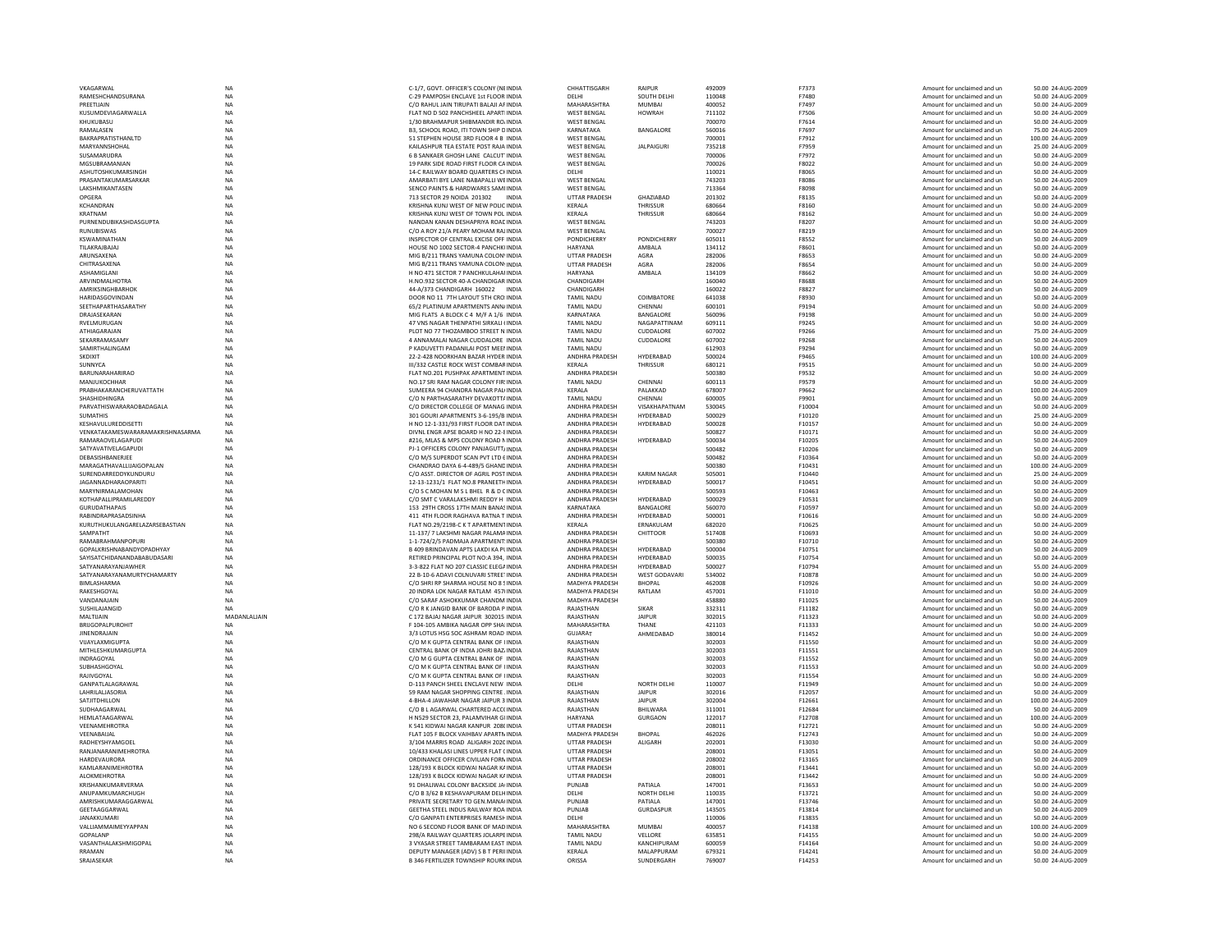| VKAGARWAL                        | NA           | C-1/7, GOVT. OFFICER'S COLONY (NEINDIA       | CHHATTISGARH          | RAIPUR             | 492009 | F7373        | Amount for unclaimed and ur | 50.00 24-AUG-2009  |
|----------------------------------|--------------|----------------------------------------------|-----------------------|--------------------|--------|--------------|-----------------------------|--------------------|
| RAMESHCHANDSURANA                | NA           | C-29 PAMPOSH ENCLAVE 1st FLOOR INDIA         | DELHI                 | SOUTH DELHI        | 110048 | F7480        | Amount for unclaimed and un | 50.00 24-AUG-2009  |
| PREETIJAIN                       | <b>NA</b>    | C/O RAHUL JAIN TIRUPATI BALAJI AF INDIA      | MAHARASHTRA           | <b>MUMBAI</b>      | 400052 | F7497        | Amount for unclaimed and un | 50.00 24-AUG-2009  |
| <b>KUSUMDEVIAGARWALLA</b>        | <b>NA</b>    | FLAT NO D 502 PANCHSHEEL APARTLINDIA         | WEST BENGAL           | <b>HOWRAH</b>      | 711102 | F7506        | Amount for unclaimed and un | 50.00 24-AUG-2009  |
| KHUKUBASU                        | NA           | 1/30 BRAHMAPUR SHIBMANDIR RO/INDIA           | <b>WEST BENGAL</b>    |                    | 700070 | F7614        | Amount for unclaimed and un | 50.00 24-AUG-2009  |
| RAMALASEN                        | NA           | B3, SCHOOL ROAD, ITI TOWN SHIP DINDIA        | KARNATAKA             | BANGALORE          | 560016 | F7697        | Amount for unclaimed and un | 75.00 24-AUG-2009  |
| BAKRAPRATISTHANLTD               | <b>NA</b>    | 51 STEPHEN HOUSE 3RD FLOOR 4 B INDIA         | <b>WEST BENGAL</b>    |                    | 700001 | F7912        | Amount for unclaimed and un | 100.00 24-AUG-2009 |
| MARYANNSHOHAL                    | <b>NA</b>    | KAILASHPUR TEA ESTATE POST RAJA INDIA        | <b>WEST BENGAL</b>    | <b>JALPAIGURI</b>  | 735218 | F7959        | Amount for unclaimed and un | 25.00 24-AUG-2009  |
| SUSAMARUDRA                      | <b>NA</b>    | 6 B SANKAER GHOSH LANE CALCUT INDIA          | <b>WEST RENGAL</b>    |                    | 700006 | F7972        | Amount for unclaimed and un | 50.00 24-AUG-2009  |
| MGSUBRAMANIAN                    | NA           | 19 PARK SIDE ROAD FIRST FLOOR CA INDIA       | <b>WEST BENGAL</b>    |                    | 700026 | F8022        | Amount for unclaimed and ur | 50.00 24-AUG-2009  |
| ASHUTOSHKUMARSING                | <b>NA</b>    | 14-C RAILWAY BOARD QUARTERS CHINDIA          | DELHI                 |                    | 110021 | F8065        | Amount for unclaimed and un | 50.00 24-AUG-2009  |
| PRASANTAKUMARSARKAR              | <b>NA</b>    | AMARBATI BYE LANE NABAPALLI WEINDIA          | <b>WEST BENGAL</b>    |                    | 743203 | F8086        | Amount for unclaimed and un | 50.00 24-AUG-2009  |
| <b>I AKSHMIKANTASEN</b>          | <b>NA</b>    | SENCO PAINTS & HARDWARES SAMI INDIA          | <b>WEST BENGAL</b>    |                    | 713364 | <b>F8098</b> | Amount for unclaimed and un | 50.00 24-AUG-2009  |
| OPGERA                           | <b>NA</b>    | 713 SECTOR 29 NOIDA 201302 INDIA             | <b>UTTAR PRADESH</b>  | GHA7IARAD          | 201302 | F8135        | Amount for unclaimed and un | 50.00 24-AUG-2009  |
| KCHANDRAN                        | NA           | KRISHNA KUNJ WEST OF NEW POLIC INDIA         | KERALA                | THRISSUR           | 680664 | F8160        | Amount for unclaimed and un | 50.00 24-AUG-2009  |
| KRATNAM                          | NA           | KRISHNA KUNJ WEST OF TOWN POL INDIA          | KERALA                | THRISSUR           | 680664 | F8162        | Amount for unclaimed and un | 50.00 24-AUG-2009  |
| PURNENDUBIKASHDASGUPTA           | <b>NA</b>    | NANDAN KANAN DESHAPRIYA ROAC INDIA           | <b>WEST BENGAL</b>    |                    | 743203 | F8207        | Amount for unclaimed and un | 50.00 24-AUG-2009  |
| RUNURISWAS                       | <b>NA</b>    | C/O A ROY 21/A PEARY MOHAM RAIINDIA          | <b>WEST RENGAL</b>    |                    | 700027 | F8219        | Amount for unclaimed and un | 50.00 24-AUG-2009  |
| <b>KSWAMINATHAM</b>              | NA           | INSPECTOR OF CENTRAL EXCISE OFF INDIA        | PONDICHERRY           | PONDICHERRY        | 605011 | F8552        | Amount for unclaimed and un | 50.00 24-AUG-2009  |
| TILAKRAJBAJAJ                    | NA           | HOUSE NO 1002 SECTOR-4 PANCHKUNDIA           | HARYANA               | AMBALA             | 134112 | F8601        | Amount for unclaimed and un | 50.00 24-AUG-2009  |
| ARUNSAXENA                       | NA           | MIG B/211 TRANS YAMUNA COLON' INDIA          | <b>UTTAR PRADESH</b>  | AGRA               | 282006 | F8653        | Amount for unclaimed and un | 50.00 24-AUG-2009  |
| CHITRASAXENA                     | <b>NA</b>    | MIG B/211 TRANS YAMUNA COLON INDIA           | <b>UTTAR PRADESH</b>  |                    |        |              |                             |                    |
|                                  |              |                                              |                       | AGRA               | 282006 | F8654        | Amount for unclaimed and un | 50.00 24-AUG-2009  |
| <b>ASHAMIGI ANI</b>              | <b>NA</b>    | H NO 471 SECTOR 7 PANCHKULAHAI INDIA         | HARYANA               | AMRAI A            | 134109 | F8662        | Amount for unclaimed and un | 50.00 24-AUG-2009  |
| ARVINDMALHOTRA                   | NA           | H.NO.932 SECTOR 40-A CHANDIGAR INDIA         | CHANDIGARH            |                    | 160040 | <b>F8688</b> | Amount for unclaimed and un | 50.00 24-AUG-2009  |
| AMRIKSINGHBARHOK                 | NA           | 44-A/373 CHANDIGARH 160022 INDIA             | CHANDIGARH            |                    | 160022 | F8827        | Amount for unclaimed and un | 50.00 24-AUG-2009  |
| HARIDASGOVINDAN                  | NA           | DOOR NO 11 7TH LAYOUT 5TH CRO: INDIA         | <b>TAMIL NADU</b>     | COIMBATORE         | 641038 | F8930        | Amount for unclaimed and un | 50.00 24-AUG-2009  |
| SEETHAPARTHASARATHY              | <b>NA</b>    | 65/2 PLATINUM APARTMENTS ANNUINDIA           | <b>TAMIL NADU</b>     | CHENNAL            | 600101 | F9194        | Amount for unclaimed and un | 50.00 24-AUG-2009  |
| DRAJASEKARAN                     | NA           | MIG FLATS A BLOCK C 4 M/F A 1/6 INDIA        | KARNATAKA             | BANGALORE          | 560096 | F9198        | Amount for unclaimed and un | 50.00 24-AUG-2009  |
| RVELMURUGAN                      | NA           | 47 VNS NAGAR THENPATHI SIRKALI (INDIA        | <b>TAMIL NADU</b>     | NAGAPATTINAM       | 609111 | F9245        | Amount for unclaimed and ur | 50.00 24-AUG-2009  |
| ATHIAGARAJAN                     | NA           | PLOT NO 77 THOZAMBOO STREET N INDIA          | TAMIL NADU            | CUDDALORE          | 607002 | F9266        | Amount for unclaimed and un | 75.00 24-AUG-2009  |
| SEKARRAMASAMY                    | NA           | 4 ANNAMALAI NAGAR CUDDALORE INDIA            | <b>TAMIL NADU</b>     | CUDDALORE          | 607002 | F9268        | Amount for unclaimed and un | 50.00 24-AUG-2009  |
| SAMIRTHALINGAM                   | <b>NA</b>    | P KADUVETTI PADANILAI POST MEELINDIA         | <b>TAMIL NADU</b>     |                    | 612903 | F9294        | Amount for unclaimed and un | 50.00 24-AUG-2009  |
| SKDIXIT                          | NA           | 22-2-428 NOORKHAN BAZAR HYDER INDIA          | ANDHRA PRADESH        | HYDERABAD          | 500024 | F9465        | Amount for unclaimed and un | 100.00 24-AUG-2009 |
| <b>SUNNYCA</b>                   | NA           | III/332 CASTLE ROCK WEST COMBAR INDIA        | KERALA                | THRISSUR           | 680121 | F9515        | Amount for unclaimed and ur | 50.00 24-AUG-2009  |
| BARUNARAHARIRAO                  | NA           | FLAT NO.201 PUSHPAK APARTMENT INDIA          | ANDHRA PRADESH        |                    | 500380 | F9532        | Amount for unclaimed and un | 50.00 24-AUG-2009  |
| MANJUKOCHHAR                     | <b>NA</b>    | NO.17 SRI RAM NAGAR COLONY FIR! INDIA        | <b>TAMIL NADU</b>     | CHENNAI            | 600113 | F9579        | Amount for unclaimed and un | 50.00 24-AUG-2009  |
| PRABHAKARANCHERUVATTATH          | NA           | SUMEERA 94 CHANDRA NAGAR PALINDIA            | KERALA                | <b>PAI AKKAD</b>   | 678007 | F9662        | Amount for unclaimed and un | 100.00 24-AUG-2009 |
| SHASHIDHINGRA                    | NA           | C/O N PARTHASARATHY DEVAKOTT/ INDIA          | <b>TAMIL NADU</b>     | CHENNAI            | 600005 | F9901        | Amount for unclaimed and un | 50.00 24-AUG-2009  |
| PARVATHISWARARAOBADAGALA         | NA           | C/O DIRECTOR COLLEGE OF MANAG INDIA          | ANDHRA PRADESH        | VISAKHAPATNAM      | 530045 | F10004       | Amount for unclaimed and ur | 50.00 24-AUG-2009  |
| <b>SUMATHIS</b>                  | <b>NA</b>    | 301 GOURI APARTMENTS 3-6-195/B INDIA         | ANDHRA PRADESH        | HYDERABAD          | 500029 | F10120       | Amount for unclaimed and un | 25.00 24-AUG-2009  |
| <b>KESHAVULUREDDISETTI</b>       | <b>NA</b>    | H NO 12-1-331/93 FIRST FLOOR DAT INDIA       | ANDHRA PRADESH        | HYDERABAD          | 500028 | F10157       | Amount for unclaimed and un | 50.00 24-AUG-2009  |
| VENKATAKAMESWARARAMAKRISHNASARMA | NA           | DIVNL ENGR APSE BOARD H NO 22-8 INDIA        | ANDHRA PRADESH        |                    | 500827 | F10171       | Amount for unclaimed and un | 50.00 24-AUG-2009  |
| RAMARAOVELAGAPUDI                | NA           | #216, MLAS & MPS COLONY ROAD N INDIA         | ANDHRA PRADESH        | HYDERABAD          | 500034 | F10205       | Amount for unclaimed and ur | 50.00 24-AUG-2009  |
| SATYAVATIVELAGAPUDI              | NA           | PJ-1 OFFICERS COLONY PANJAGUTT/ INDIA        | ANDHRA PRADESH        |                    | 500482 | F10206       | Amount for unclaimed and ur | 50.00 24-AUG-2009  |
| DEBASISHBANERJEE                 | <b>NA</b>    | C/O M/S SUPERDOT SCAN PVT LTD 6 INDIA        | ANDHRA PRADESH        |                    | 500482 | F10364       | Amount for unclaimed and un | 50.00 24-AUG-2009  |
| MARAGATHAVALLIJAIGOPALAN         | <b>NA</b>    | CHANDRAO DAYA 6-4-489/5 GHAND INDIA          | ANDHRA PRADESH        |                    | 500380 | F10431       | Amount for unclaimed and un | 100.00 24-AUG-2009 |
| SURENDARREDDYKUNDURU             | NA           | C/O ASST. DIRECTOR OF AGRIL POST INDIA       | ANDHRA PRADESH        | <b>KARIM NAGAR</b> | 505001 | F10440       | Amount for unclaimed and un | 25.00.24-AUG-2009  |
| <b>JAGANNADHARAOPARITI</b>       | NA           | 12-13-1231/1 FLAT NO.8 PRANEETH INDIA        | ANDHRA PRADESH        | HYDERABAD          | 500017 | F10451       | Amount for unclaimed and ur | 50.00 24-AUG-2009  |
| MARYNIRMALAMOHAN                 | NA           | C/O S C MOHAN M S L BHEL R & D C INDIA       | ANDHRA PRADESH        |                    | 500593 | F10463       | Amount for unclaimed and un | 50.00 24-AUG-2009  |
| KOTHAPALLIPRAMILAREDDY           | <b>NA</b>    | C/O SMT C VARALAKSHMI REDDY H INDIA          | ANDHRA PRADESH        | HYDERABAD          | 500029 | F10531       | Amount for unclaimed and un | 50.00 24-AUG-2009  |
| <b>GURUDATHAPAIS</b>             | <b>NA</b>    | 153 29TH CROSS 17TH MAIN BANASINDIA          | KARNATAKA             | <b>BANGALORE</b>   | 560070 | F10597       | Amount for unclaimed and un | 50.00 24-AUG-2009  |
|                                  |              |                                              |                       |                    |        |              |                             |                    |
| <b>RABINDRAPRASADSINHA</b>       | NA           | 411 4TH FLOOR RAGHAVA RATNA T INDIA          | ANDHRA PRADESH        | HYDERABAD          | 500001 | F10616       | Amount for unclaimed and un | 50.00 24-AUG-2009  |
| KURUTHUKULANGARELAZARSEBASTIAN   | NA           | FLAT NO.29/2198-C K T APARTMENT INDIA        | KERALA                | ERNAKULAM          | 682020 | F10625       | Amount for unclaimed and un | 50.00 24-AUG-2009  |
| SAMPATHT                         | NA           | 11-137/ 7 LAKSHMI NAGAR PALAMA INDIA         | ANDHRA PRADESH        | <b>CHITTOOR</b>    | 517408 | F10693       | Amount for unclaimed and un | 50.00 24-AUG-2009  |
| <b>RAMABRAHMANPOPURI</b>         | <b>NA</b>    | 1-1-724/2/5 PADMAJA APARTMENT. INDIA         | ANDHRA PRADESH        |                    |        | F10710       | Amount for unclaimed and un | 50.00 24-AUG-2009  |
| <b>GOPALKRISHNARANDYOPADHYAY</b> |              |                                              |                       |                    | 500380 |              |                             |                    |
| SAYISATCHIDANANDABABUDASARI      | <b>NA</b>    | B 409 BRINDAVAN APTS LAKDLKA PLINDIA         | <b>ANDHRA PRADESH</b> | HYDFRARAD          | 500004 | F10751       | Amount for unclaimed and un | 50.00 24-AUG-2009  |
|                                  | NA           | RETIRED PRINCIPAL PLOT NO:A 394. INDIA       | ANDHRA PRADESH        | HYDERABAD          | 500035 | F10754       | Amount for unclaimed and un | 50.00 24-AUG-2009  |
| SATYANARAYANJAWHER               | NA           | 3-3-822 FLAT NO 207 CLASSIC ELEGA INDIA      | ANDHRA PRADESH        | HYDERABAD          | 500027 | F10794       | Amount for unclaimed and un | 55.00 24-AUG-2009  |
| SATYANARAYANAMURTYCHAMARTY       | NA           | 22 B-10-6 ADAVI COLNUVARI STREETINDIA        | ANDHRA PRADESH        | WEST GODAVARI      | 534002 | F10878       | Amount for unclaimed and un | 50.00 24-AUG-2009  |
| <b>RIMI ASHARMA</b>              | <b>NA</b>    | C/O SHRLRP SHARMA HOUSE NO 8 SINDIA          | <b>MADHYA PRADESH</b> | <b>RHOPAL</b>      | 462008 | F10926       | Amount for unclaimed and un | 50.00 24-AUG-2009  |
| RAKESHGOYAL                      | <b>NA</b>    | 20 INDRA LOK NAGAR RATLAM 457(INDIA          | <b>MADHYA PRADESH</b> | RATLAM             | 457001 | F11010       | Amount for unclaimed and un | 50.00 24-AUG-2009  |
| VANDANAJAIN                      | NA           | C/O SARAF ASHOKKUMAR CHANDM INDIA            | MADHYA PRADESH        |                    | 458880 | F11025       | Amount for unclaimed and ur | 50.00 24-AUG-2009  |
| SUSHILAJANGID                    | NA           | C/O R K JANGID BANK OF BARODA P INDIA        | RAJASTHAN             | SIKAR              | 332311 | F11182       | Amount for unclaimed and un | 50.00 24-AUG-2009  |
| MALTIJAIN                        | MADANLALJAIN | C 172 BAJAJ NAGAR JAIPUR 302015 INDIA        | RAJASTHAN             | <b>JAIPUR</b>      | 302015 | F11323       | Amount for unclaimed and un | 50.00 24-AUG-2009  |
| <b>BRIIGOPALPUROHIT</b>          | <b>NA</b>    | F 104-105 AMBIKA NAGAR OPP SHAUNDIA          | MAHARASHTRA           | THANF              | 421103 | F11333       | Amount for unclaimed and un | 50.00 24-AUG-2009  |
| <b>JINENDRAJAIN</b>              | <b>NA</b>    | 3/3 LOTUS HSG SOC ASHRAM ROAD INDIA          | <b>GUJARAT</b>        | AHMEDABAD          | 380014 | F11452       | Amount for unclaimed and un | 50.00 24-AUG-2009  |
| <b>VUAYLAXMIGUPTA</b>            | <b>NA</b>    | C/O M K GUPTA CENTRAL BANK OF I INDIA        | RAJASTHAM             |                    | 302003 | F11550       | Amount for unclaimed and un | 50.00 24-AUG-2009  |
| MITHLESHKUMARGUPTA               | NA           | CENTRAL BANK OF INDIA JOHRI BAZ INDIA        | RAJASTHAN             |                    | 302003 | F11551       | Amount for unclaimed and un | 50.00 24-AUG-2009  |
| INDRAGOYAL                       | NA           | C/O M G GUPTA CENTRAL BANK OF INDIA          | RAJASTHAN             |                    | 302003 | F11552       | Amount for unclaimed and un | 50.00 24-AUG-2009  |
| SUBHASHGOYAL                     | <b>NA</b>    | C/O M K GUPTA CENTRAL BANK OF I INDIA        | RAJASTHAN             |                    | 302003 | F11553       | Amount for unclaimed and un | 50.00 24-AUG-2009  |
| RAJIVGOYAL                       | NA           | C/O M K GUPTA CENTRAL BANK OF LINDIA         | RAJASTHAN             |                    | 302003 | F11554       | Amount for unclaimed and un | 50.00 24-AUG-2009  |
| GANPATLALAGRAWAL                 | <b>NA</b>    | D-113 PANCH SHEEL ENCLAVE NEW INDIA          | DELHI                 | <b>NORTH DELHI</b> | 110007 | F11949       | Amount for unclaimed and un | 50.00 24-AUG-2009  |
| LAHRILALIASORIA                  | NA           | 59 RAM NAGAR SHOPPING CENTRE . INDIA         | RAJASTHAN             | <b>JAIPUR</b>      | 302016 | F12057       | Amount for unclaimed and un | 50.00 24-AUG-2009  |
| SATJITDHILLON                    | <b>NA</b>    | 4-BHA-4 JAWAHAR NAGAR JAIPUR 3 INDIA         | RAJASTHAN             | <b>JAIPUR</b>      | 302004 | F12661       | Amount for unclaimed and un | 100.00 24-AUG-2009 |
| SUDHAAGARWAL                     | NA           | C/O B L AGARWAL CHARTERED ACC( INDIA         | RAJASTHAN             | BHILWARA           | 311001 | F12684       | Amount for unclaimed and un | 50.00 24-AUG-2009  |
| HEMLATAAGARWAL                   | NA           | H N529 SECTOR 23, PALAMVIHAR GUNDIA          | HARYANA               | GURGAON            | 122017 | F12708       | Amount for unclaimed and un | 100.00 24-AUG-2009 |
| VEENAMEHROTRA                    | NA           | K 541 KIDWAI NAGAR KANPUR 208( INDIA         | <b>UTTAR PRADESH</b>  |                    | 208011 | F12721       | Amount for unclaimed and un | 50.00 24-AUG-2009  |
| VEENABAIJAL                      | <b>NA</b>    | FLAT 105 F BLOCK VAIHBAV APARTN INDIA        | MADHYA PRADESH        | <b>BHOPAL</b>      | 462026 | F12743       | Amount for unclaimed and un | 50.00 24-AUG-2009  |
| RADHEYSHYAMGOEL                  | <b>NA</b>    | 3/104 MARRIS ROAD ALIGARH 2020 INDIA         | <b>UTTAR PRADESH</b>  | ALIGARH            | 202001 | F13030       | Amount for unclaimed and un | 50.00 24-AUG-2009  |
| RANJANARANIMEHROTRA              | NA           | 10/433 KHALASI LINES UPPER FLAT (INDIA       | <b>UTTAR PRADESH</b>  |                    | 208001 | F13051       | Amount for unclaimed and un | 50.00 24-AUG-2009  |
| <b>HARDEVAURORA</b>              | NA           | ORDINANCE OFFICER CIVILIAN FORM INDIA        | UTTAR PRADESH         |                    | 208002 | F13165       | Amount for unclaimed and un | 50.00 24-AUG-2009  |
| KAMLARANIMEHROTRA                | NA           | 128/193 K BLOCK KIDWAI NAGAR KAINDIA         | <b>UTTAR PRADESH</b>  |                    | 208001 | F13441       | Amount for unclaimed and un | 50.00 24-AUG-2009  |
| ALOKMEHROTRA                     | <b>NA</b>    | 128/193 K BLOCK KIDWAI NAGAR KAINDIA         | <b>UTTAR PRADESH</b>  |                    | 208001 | F13442       | Amount for unclaimed and un | 50.00 24-AUG-2009  |
| KRISHANKUMARVERMA                | <b>NA</b>    | 91 DHALIWAL COLONY BACKSIDE JAHNDIA          | PUNJAB                | PATIALA            | 147001 | F13653       | Amount for unclaimed and un | 50.00 24-AUG-2009  |
| ANUPAMKUMARCHUGH                 | NA           | C/O B 3/62 B KESHAVAPURAM DELHINDIA          | DELHI                 | NORTH DELHI        | 110035 | F13721       | Amount for unclaimed and un | 50.00 24-AUG-2009  |
| AMRISHKUMARAGGARWAL              | NA           | PRIVATE SECRETARY TO GEN.MANA(INDIA          | PUNJAB                | PATIALA            | 147001 | F13746       | Amount for unclaimed and un | 50.00 24-AUG-2009  |
| GEETAAGGARWAL                    | NA           | GEETHA STEEL INDUS RAILWAY ROA INDIA         | PUNJAB                | GURDASPUR          | 143505 | F13814       | Amount for unclaimed and un | 50.00 24-AUG-2009  |
| JANAKKUMARI                      | <b>NA</b>    | C/O GANPATI ENTERPRISES RAMESHINDIA          | DELHI                 |                    | 110006 | F13835       | Amount for unclaimed and un | 50.00 24-AUG-2009  |
| VALLIAMMAIMEYYAPPAN              | <b>NA</b>    | NO 6 SECOND ELOOR BANK OF MAD INDIA          | MAHARASHTRA           | MUMBAL             | 400057 | F14138       | Amount for unclaimed and un | 100.00 24-AUG-2009 |
| GOPALANP                         | NA           | 298/A RAILWAY QUARTERS JOLARPE INDIA         | TAMIL NADU            | VELLORE            | 635851 | F14155       | Amount for unclaimed and ur | 50.00 24-AUG-2009  |
| VASANTHALAKSHMIGOPAL             | NA           | 3 VYASAR STREET TAMBARAM EAST INDIA          | <b>TAMIL NADU</b>     | KANCHIPURAM        | 600059 | F14164       | Amount for unclaimed and un | 50.00 24-AUG-2009  |
| RRAMAN                           | <b>NA</b>    | DEPUTY MANAGER (ADV) S B T PERIHNDIA         | KERALA                | MALAPPURAM         | 679321 | F14241       | Amount for unclaimed and un | 50.00 24-AUG-2009  |
| SRAJASEKAR                       | <b>NA</b>    | <b>B 346 FERTILIZER TOWNSHIP ROURK INDIA</b> | ORISSA                | SUNDERGARH         | 769007 | F14253       | Amount for unclaimed and un | 50.00 24-AUG-2009  |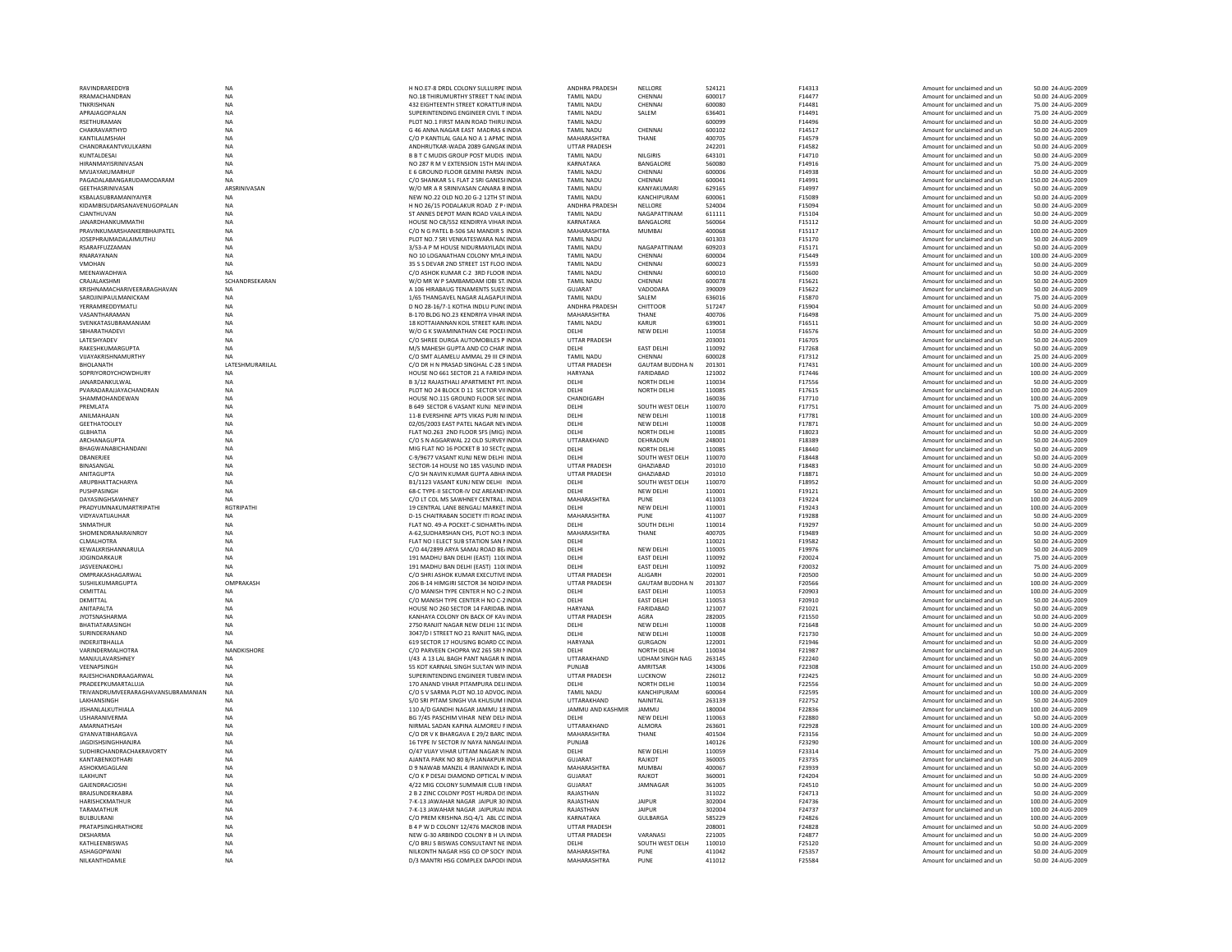| RAVINDRAREDDYB                                | <b>NA</b>              | H NO.E7-8 DRDL COLONY SULLURPE INDIA                                                  | ANDHRA PRADESH             | NELLORE                   | 524121           | F14313           | Amount for unclaimed and un                                | 50.00 24-AUG-2009                       |
|-----------------------------------------------|------------------------|---------------------------------------------------------------------------------------|----------------------------|---------------------------|------------------|------------------|------------------------------------------------------------|-----------------------------------------|
| RRAMACHANDRAN                                 | <b>NA</b>              | NO.18 THIRUMURTHY STREET T NACINDIA                                                   | <b>TAMIL NADU</b>          | CHENNAL                   | 600017           | F14477           | Amount for unclaimed and un                                | 50.00 24-AUG-2009                       |
| TNKRISHNAN                                    | <b>NA</b>              | 432 FIGHTEENTH STREET KORATTUR INDIA                                                  | <b>TAMIL NADU</b>          | CHENNAL                   | 600080           | F14481           | Amount for unclaimed and un                                | 75.00.24-AUG-2009                       |
| APRAJAGOPALAN                                 | <b>NA</b>              | SUPERINTENDING ENGINEER CIVIL T INDIA                                                 | <b>TAMIL NADU</b>          | SALEM                     | 636401           | F14491           | Amount for unclaimed and un                                | 75.00 24-AUG-2009                       |
| <b>RSETHURAMAN</b>                            | <b>NA</b>              | PLOT NO.1 FIRST MAIN ROAD THIRU INDIA                                                 | <b>TAMIL NADU</b>          |                           | 600099           | F14496           | Amount for unclaimed and un                                | 50.00 24-AUG-2009                       |
| CHAKRAVARTHYD                                 | <b>NA</b>              | G 46 ANNA NAGAR EAST MADRAS 6 INDIA                                                   | <b>TAMIL NADU</b>          | CHENNAI                   | 600102           | F14517           | Amount for unclaimed and un                                | 50.00 24-AUG-2009                       |
| KANTILAI MSHAH                                | <b>NA</b>              | C/O P KANTILAL GALA NO A 1 APMC INDIA                                                 | <b>MAHARASHTRA</b>         | THANE                     | 400705           | F14579           | Amount for unclaimed and un                                | 50.00 24-AUG-2009                       |
| CHANDRAKANTVKULKARNI                          | <b>NA</b>              | ANDHRUTKAR-WADA 2089 GANGAK INDIA                                                     | <b>UTTAR PRADESH</b>       |                           | 242201           | F14582           | Amount for unclaimed and un                                | 50.00 24-AUG-2009                       |
| KUNTALDESAI                                   | <b>NA</b>              | B B T C MUDIS GROUP POST MUDIS INDIA                                                  | <b>TAMIL NADU</b>          | <b>NILGIRIS</b>           | 643101           | F14710           | Amount for unclaimed and un                                | 50.00 24-AUG-2009                       |
| HIRANMAYISRINIVASAN                           | <b>NA</b>              | NO 287 R M V EXTENSION 15TH MAI INDIA                                                 | KARNATAKA                  | BANGALORE                 | 560080           | F14916           | Amount for unclaimed and un                                | 75.00 24-AUG-2009                       |
| MVIJAYAKUMARHUF                               | NA                     | E 6 GROUND FLOOR GEMINI PARSN INDIA                                                   | <b>TAMIL NADU</b>          | CHENNAI                   | 600006           | F14938           | Amount for unclaimed and un                                | 50.00 24-AUG-2009                       |
| PAGADAI ARANGARUDAMODARAM                     | <b>NA</b>              | C/O SHANKAR S L FLAT 2 SRI GANESHNDIA                                                 | <b>TAMIL NADU</b>          | CHENNAL                   | 600041           | F14991           | Amount for unclaimed and un                                | 150.00 24-AUG-2009                      |
| GEETHASRINIVASAN                              | ARSRINIVASAN           |                                                                                       |                            | KANYAKUMARI               |                  | F14997           |                                                            | 50.00 24-AUG-2009                       |
|                                               |                        | W/O MR A R SRINIVASAN CANARA BINDIA                                                   | <b>TAMIL NADU</b>          |                           | 629165           |                  | Amount for unclaimed and un                                |                                         |
| KSBALASUBRAMANIYAIYER                         | <b>NA</b>              | NEW NO.22 OLD NO.20 G-2 12TH ST INDIA                                                 | <b>TAMIL NADU</b>          | KANCHIPURAM               | 600061           | F15089           | Amount for unclaimed and un                                | 50.00 24-AUG-2009                       |
| KIDAMBISUDARSANAVENUGOPALAN                   | <b>NA</b>              | H NO 26/15 PODALAKUR ROAD Z P INDIA                                                   | ANDHRA PRADESH             | NELLORE                   | 524004           | F15094           | Amount for unclaimed and un                                | 50.00 24-AUG-2009                       |
| CJANTHUVAN                                    | <b>NA</b>              | ST ANNES DEPOT MAIN ROAD VAILA INDIA                                                  | <b>TAMIL NADU</b>          | NAGAPATTINAM              | 611111           | F15104           | Amount for unclaimed and un                                | 50.00 24-AUG-2009                       |
| <b>IANARDHANKUMMATHI</b>                      | <b>NA</b>              | HOUSE NO C8/552 KENDIRYA VIHAR INDIA                                                  | KARNATAKA                  | BANGALORE                 | 560064           | F15112           | Amount for unclaimed and un                                | 50.00 24-AUG-2009                       |
| PRAVINKUMARSHANKERBHAIPATEL                   | <b>NA</b>              | C/O N G PATEL B-506 SAI MANDIR S INDIA                                                | MAHARASHTRA                | <b>MUMBAI</b>             | 400068           | F15117           | Amount for unclaimed and un                                | 100.00 24-AUG-2009                      |
| <b>JOSEPHRAJMADALAIMUTHU</b>                  | NA                     | PLOT NO.7 SRI VENKATESWARA NACINDIA                                                   | TAMIL NADU                 |                           | 601303           | F15170           | Amount for unclaimed and un                                | 50.00 24-AUG-2009                       |
| RSARAFFUZZAMAN                                | <b>NA</b>              | 3/53-A P M HOUSE NIDURMAYILADUNDIA                                                    | TAMIL NADU                 | NAGAPATTINAM              | 609203           | F15171           | Amount for unclaimed and un                                | 50.00 24-AUG-2009                       |
| RNARAYANAN                                    | <b>NA</b>              | NO 10 LOGANATHAN COLONY MYLA INDIA                                                    | <b>TAMIL NADU</b>          | CHENNAI                   | 600004           | F15449           | Amount for unclaimed and un                                | 100.00 24-AUG-2009                      |
| <b>VMOHAN</b>                                 | NA                     | 35 S S DEVAR 2ND STREET 1ST FLOO INDIA                                                | <b>TAMIL NADU</b>          | CHENNAI                   | 600023           | F15593           | Amount for unclaimed and un                                | 50.00 24-AUG-2009                       |
| MEENAWADHWA                                   | <b>NA</b>              | C/O ASHOK KUMAR C-2 3RD FLOOR INDIA                                                   | <b>TAMIL NADU</b>          | CHENNAI                   | 600010           | F15600           | Amount for unclaimed and un                                | 50.00 24-AUG-2009                       |
| CRAJALAKSHM                                   | SCHANDRSEKARAN         | W/O MR W P SAMBAMDAM IDBI ST. INDIA                                                   | <b>TAMIL NADL</b>          | CHENNAI                   | 600078           | F15621           | Amount for unclaimed and un                                | 50.00 24-AUG-2009                       |
| KRISHNAMACHARIVEERARAGHAVAN                   | <b>NA</b>              | A 106 HIRABAUG TENAMENTS SUES: INDIA                                                  | <b>GUJARAT</b>             | VADODARA                  | 390009           | F15622           | Amount for unclaimed and un                                | 50.00 24-AUG-2009                       |
| SAROJINIPAULMANICKAM                          | <b>NA</b>              | 1/65 THANGAVEL NAGAR ALAGAPUI INDIA                                                   | <b>TAMIL NADL</b>          | SALEM                     | 636016           | F15870           | Amount for unclaimed and un                                | 75.00 24-AUG-2009                       |
| YERRAMREDDYMATLI                              | <b>NA</b>              | D NO 28-16/7-1 KOTHA INDLU PUNCINDIA                                                  | <b>ANDHRA PRADESH</b>      | CHITTOOR                  | 517247           | F15904           | Amount for unclaimed and un                                | 50.00 24-AUG-2009                       |
| VASANTHARAMAN                                 | NA                     | B-170 BLDG NO.23 KENDRIYA VIHAR INDIA                                                 | MAHARASHTRA                | THANE                     | 400706           | F16498           | Amount for unclaimed and un                                | 75.00 24-AUG-2009                       |
| SVENKATASUBRAMANIAM                           | <b>NA</b>              | 18 KOTTAIANNAN KOIL STREET KARLINDIA                                                  | <b>TAMIL NADU</b>          | <b>KARUR</b>              | 639001           | F16511           | Amount for unclaimed and un                                | 50.00 24-AUG-2009                       |
| SBHARATHADEVI                                 | <b>NA</b>              | W/O G K SWAMINATHAN C4E POCEHNDIA                                                     | DELHI                      | <b>NEW DELHI</b>          | 110058           | F16576           | Amount for unclaimed and un                                | 50.00 24-AUG-2009                       |
| <b>LATESHYADEV</b>                            | <b>NA</b>              | C/O SHREE DURGA AUTOMOBILES P INDIA                                                   | <b>UTTAR PRADESH</b>       |                           | 203001           | F16705           | Amount for unclaimed and un                                | 50.00 24-AUG-2009                       |
| RAKESHKUMARGUPTA                              | <b>NA</b>              | M/S MAHESH GUPTA AND CO CHAR INDIA                                                    | DELHI                      | <b>EAST DELHI</b>         | 110092           | F17268           | Amount for unclaimed and un                                | 50.00 24-AUG-2009                       |
| VUAYAKRISHNAMURTHY                            | NA                     | C/O SMT ALAMELU AMMAL 29 III CRINDIA                                                  | <b>TAMIL NADU</b>          | CHENNAI                   | 600028           | F17312           | Amount for unclaimed and un                                | 25.00 24-AUG-2009                       |
| <b>BHOLANATH</b>                              | LATESHMURARILAL        | C/O DR H N PRASAD SINGHAL C-28 SINDIA                                                 | UTTAR PRADESH              | <b>GAUTAM BUDDHA N</b>    | 201301           | F17431           | Amount for unclaimed and un                                | 100.00 24-AUG-2009                      |
|                                               |                        |                                                                                       |                            |                           |                  |                  |                                                            |                                         |
| SOPRIYOROYCHOWDHURY<br><b>IANARDANKUI WAI</b> | <b>NA</b><br><b>NA</b> | HOUSE NO 661 SECTOR 21 A FARIDA INDIA<br><b>B 3/12 RAIASTHALLAPARTMENT PIT. INDIA</b> | <b>HARYANA</b><br>DFI HI   | FARIDABAD<br>NORTH DELHI  | 121002<br>110034 | F17446<br>F17556 | Amount for unclaimed and un<br>Amount for unclaimed and un | 100.00 24-AUG-2009<br>50.00 24-AUG-2009 |
|                                               |                        |                                                                                       |                            |                           |                  |                  |                                                            |                                         |
| PVARADARAJJAYACHANDRAN                        | NA                     | PLOT NO 24 BLOCK D 11 SECTOR VII INDIA                                                | DELHI                      | NORTH DELHI               | 110085           | F17615           | Amount for unclaimed and un                                | 100.00 24-AUG-2009                      |
| SHAMMOHANDEWAN                                | <b>NA</b>              | HOUSE NO.115 GROUND FLOOR SECINDIA                                                    | CHANDIGARH                 |                           | 160036           | F17710           | Amount for unclaimed and un                                | 100.00 24-AUG-2009                      |
| PREMLATA                                      | <b>NA</b>              | B 649 SECTOR 6 VASANT KUNJ NEW INDIA                                                  | DELHI                      | SOUTH WEST DELH           | 110070           | F17751           | Amount for unclaimed and un                                | 75.00 24-AUG-2009                       |
| ANII MAHAIAN                                  | <b>NA</b>              | 11-R EVERSHINE APTS VIKAS PURLNUNDIA                                                  | <b>DELHI</b>               | NFW DFI HI                | 110018           | F17781           | Amount for unclaimed and un                                | 100.00 24-AUG-2009                      |
| <b>GEETHATOOLEY</b>                           | <b>NA</b>              | 02/05/2003 FAST PATEL NAGAR NEVINDIA                                                  | DFI HI                     | NEW DELHI                 | 110008           | F17871           | Amount for unclaimed and un                                | 50.00 24-AUG-2009                       |
| <b>GLBHATIA</b>                               | NA                     | FLAT NO.263 2ND FLOOR SFS (MIG) INDIA                                                 | DELHI                      | NORTH DELHI               | 110085           | F18023           | Amount for unclaimed and un                                | 50.00 24-AUG-2009                       |
| ARCHANAGUPTA                                  | <b>NA</b>              | C/O S N AGGARWAL 22 OLD SURVEY INDIA                                                  | UTTARAKHAND                | DEHRADUN                  | 248001           | F18389           | Amount for unclaimed and un                                | 50.00 24-AUG-2009                       |
| BHAGWANABICHANDANI                            | <b>NA</b>              | MIG FLAT NO 16 POCKET B 10 SECTC INDIA                                                | DELHI                      | <b>NORTH DELHI</b>        | 110085           | F18440           | Amount for unclaimed and un                                | 50.00 24-AUG-2009                       |
| DRANFRIFF                                     | <b>NA</b>              | C-9/9677 VASANT KUNI NEW DELHI INDIA                                                  | DELHI                      | SOUTH WEST DELH           | 110070           | F18448           | Amount for unclaimed and un                                | 50.00 24-AUG-2009                       |
| BINASANGAL                                    | <b>NA</b>              | SECTOR-14 HOUSE NO 185 VASUND INDIA                                                   | <b>UTTAR PRADESH</b>       | GHAZIABAD                 | 201010           | F18483           | Amount for unclaimed and un                                | 50.00 24-AUG-2009                       |
|                                               |                        |                                                                                       |                            |                           |                  |                  |                                                            |                                         |
| ANITAGUPTA                                    | <b>NA</b>              | C/O SH NAVIN KUMAR GUPTA ABHA INDIA                                                   | <b>UTTAR PRADESH</b>       | GHAZIABAD                 | 201010           | F18871           | Amount for unclaimed and un                                | 50.00 24-AUG-2009                       |
|                                               | <b>NA</b>              | B1/1123 VASANT KUNJ NEW DELHI INDIA                                                   | DELHI                      |                           | 110070           | F18952           |                                                            | 50.00 24-AUG-2009                       |
| ARUPBHATTACHARYA                              |                        |                                                                                       |                            | SOUTH WEST DELH           | 110001           |                  | Amount for unclaimed and un                                | 50.00 24-AUG-2009                       |
| PUSHPASINGH<br><b>DAYASINGHSAWHNEY</b>        | NA<br><b>NA</b>        | 68-C TYPE-II SECTOR-IV DIZ AREANE\ INDIA<br>C/O IT COL MS SAWHNEY CENTRAL JNDIA       | DELHI<br>MAHARASHTRA       | <b>NEW DELHI</b><br>PLINE | 411003           | F19121           | Amount for unclaimed and un<br>Amount for unclaimed and un | 100.00 24-AUG-2009                      |
|                                               |                        |                                                                                       |                            |                           |                  | F19224           |                                                            |                                         |
| PRADYUMNAKUMARTRIPATHI                        | <b>RGTRIPATHI</b>      | 19 CENTRAL LANE BENGALI MARKET INDIA                                                  | DELHI                      | NEW DELHI                 | 110001           | F19243           | Amount for unclaimed and un                                | 100.00 24-AUG-2009                      |
| VIDYAVATIJAUHAF                               | <b>NA</b>              | D-15 CHAITRABAN SOCIETY ITI ROAC INDIA                                                | MAHARASHTRA                | PUNE                      | 411007           | F19288           | Amount for unclaimed and un                                | 50.00 24-AUG-2009                       |
| SNMATHUR                                      | <b>NA</b>              | FLAT NO. 49-A POCKET-C SIDHARTH/ INDIA                                                | DELHI                      | SOUTH DELHI               | 110014           | F19297           | Amount for unclaimed and un                                | 50.00 24-AUG-2009                       |
| SHOMENDRANARAINROY                            | <b>NA</b>              | A-62.SUDHARSHAN CHS, PLOT NO:3 INDIA                                                  | MAHARASHTRA                | THANE                     | 400705           | F19489           | Amount for unclaimed and un                                | 50.00 24-AUG-2009                       |
| CLMALHOTRA                                    | <b>NA</b>              | FLAT NO I ELECT SUB STATION SAN MINDIA                                                | DELHI                      |                           | 110021           | F19582           | Amount for unclaimed and un                                | 50.00 24-AUG-2009                       |
| KEWALKRISHANNARULA                            | <b>NA</b>              | C/O 44/2899 ARYA SAMAJ ROAD BE/INDIA                                                  | <b>DELHI</b>               | <b>NEW DELHI</b>          | 110005           | F19976           | Amount for unclaimed and un                                | 50.00 24-AUG-2009                       |
| <b>JOGINDARKAUR</b>                           | <b>NA</b>              | 191 MADHU BAN DELHI (EAST) 110( INDIA                                                 | DELHI                      | <b>EAST DELHI</b>         | 110092           | F20024           | Amount for unclaimed and un                                | 75.00 24-AUG-2009                       |
| JASVEENAKOHLI                                 | NA                     | 191 MADHU BAN DELHI (EAST) 110( INDIA                                                 | DELHI                      | <b>EAST DELHI</b>         | 110092           | F20032           | Amount for unclaimed and un                                | 75.00.24-AUG-2009                       |
| OMPRAKASHAGARWAL                              | <b>NA</b>              | C/O SHRI ASHOK KUMAR EXECUTIVE INDIA                                                  | <b>UTTAR PRADESH</b>       | ALIGARH                   | 202001           | F20500           | Amount for unclaimed and un                                | 50.00 24-AUG-2009                       |
| SUSHILKUMARGUPTA                              | OMPRAKASH              | 206 B-14 HIMGIRI SECTOR 34 NOIDA INDIA                                                | <b>UTTAR PRADESH</b>       | <b>GAUTAM BUDDHA N</b>    | 201307           | F20566           | Amount for unclaimed and un                                | 100.00 24-AUG-2009                      |
| CKMITTAL                                      | NA                     | C/O MANISH TYPE CENTER H NO C-2 INDIA                                                 | DELHI                      | <b>EAST DELHI</b>         | 110053           | F20903           | Amount for unclaimed and un                                | 100.00 24-AUG-2009                      |
| <b>DKMITTAL</b>                               | <b>NA</b>              | C/O MANISH TYPE CENTER H NO C-2 INDIA                                                 | DELHI                      | <b>EAST DELHI</b>         | 110053           | F20910           | Amount for unclaimed and un                                | 50.00 24-AUG-2009                       |
| ANITAPALTA                                    | <b>NA</b>              | HOUSE NO 260 SECTOR 14 FARIDAB INDIA                                                  | <b>HARYANA</b>             | FARIDABAD                 | 121007           | F21021           | Amount for unclaimed and un                                | 50.00 24-AUG-2009                       |
| <b>JYOTSNASHARMA</b>                          | <b>NA</b>              | KANHAYA COLONY ON BACK OF KAV INDIA                                                   | <b>UTTAR PRADESH</b>       | AGRA                      | 282005           | F21550           | Amount for unclaimed and un                                | 50.00 24-AUG-2009                       |
| <b>BHATIATARASINGH</b>                        | <b>NA</b>              | 2750 RANJIT NAGAR NEW DELHI 11( INDIA                                                 | DELHI                      | <b>NEW DELHI</b>          | 110008           | F21648           | Amount for unclaimed and un                                | 50.00 24-AUG-2009                       |
| SURINDERANAND                                 | NA                     | 3047/D I STREET NO 21 RANJIT NAG INDIA                                                | DELHI                      | NEW DELHI                 | 110008           | F21730           | Amount for unclaimed and un                                | 50.00 24-AUG-2009                       |
| <b>INDERITRHALLA</b>                          | <b>NA</b>              | 619 SECTOR 17 HOUSING BOARD CC INDIA                                                  | HARYANA                    | GURGAON                   | 122001           | F21946           | Amount for unclaimed and un                                | 50.00 24-AUG-2009                       |
| <b>VARINDERMALHOTRA</b>                       | NANDKISHORE            | C/O PARVEEN CHOPRA WZ 265 SRI NINDIA                                                  | DELHI                      | <b>NORTH DELHI</b>        | 110034           | F21987           | Amount for unclaimed and un                                | 50.00 24-AUG-2009                       |
| MANIULAVARSHNEY                               | <b>NA</b>              | 1/43 A 131AL BAGH PANT NAGAR N INDIA                                                  | <b>UTTARAKHAND</b>         | <b>UDHAM SINGH NAG</b>    | 263145           | F22240           | Amount for unclaimed and un                                | 50.00 24-AUG-2009                       |
| VEENAPSINGH                                   | NA                     | 55 KOT KARNAIL SINGH SULTAN WININDIA                                                  | PUNJAB                     | AMRITSAR                  | 143006           | F22308           | Amount for unclaimed and un                                | 150.00 24-AUG-2009                      |
| RAJESHCHANDRAAGARWAL                          | NA                     | SUPERINTENDING ENGINEER TUBEN INDIA                                                   | UTTAR PRADESH              | LUCKNOW                   | 226012           | F22425           | Amount for unclaimed and un                                | 50.00 24-AUG-2009                       |
| PRADEEPKUMARTALUJA                            | <b>NA</b>              | 170 ANAND VIHAR PITAMPURA DELIINDIA                                                   | DELHI                      | <b>NORTH DELHI</b>        | 110034           | F22556           | Amount for unclaimed and un                                | 50.00 24-AUG-2009                       |
| TRIVANDRUMVEERARAGHAVANSUBRAMANIAN            | <b>NA</b>              | C/O S V SARMA PLOT NO.10 ADVOC INDIA                                                  | <b>TAMIL NADU</b>          | KANCHIPURAM               | 600064           | F22595           | Amount for unclaimed and un                                | 100.00 24-AUG-2009                      |
| <b>I AKHANSINGH</b>                           | <b>NA</b>              | S/O SRI PITAM SINGH VIA KHUSUM UNDIA                                                  | <b>UTTARAKHAND</b>         | NAINITAL                  | 263139           | F22752           | Amount for unclaimed and un                                | 50.00 24-AUG-2009                       |
| JISHANLALKUTHIALA                             | NA                     | 110 A/D GANDHI NAGAR JAMMU 18 INDIA                                                   | JAMMU AND KASHMIR          | JAMMU                     | 180004           | F22836           | Amount for unclaimed and un                                | 100.00 24-AUG-2009                      |
| USHARANIVERMA                                 | <b>NA</b>              | BG 7/45 PASCHIM VIHAR NEW DELI INDIA                                                  | DELHI                      | <b>NEW DELHI</b>          | 110063           | F22880           | Amount for unclaimed and un                                | 50.00 24-AUG-2009                       |
| AMARNATHSAH                                   | <b>NA</b>              | NIRMAL SADAN KAPINA ALMOREU FINDIA                                                    | UTTARAKHAND                | <b>ALMORA</b>             | 263601           | F22928           | Amount for unclaimed and un                                | 100.00 24-AUG-2009                      |
| GYANVATIRHARGAVA                              | <b>NA</b>              | C/O DR V K BHARGAVA E 29/2 BARC INDIA                                                 | MAHARASHTRA                | THANF                     | 401504           | F23156           | Amount for unclaimed and un                                | 50.00 24-AUG-2009                       |
| <b>IAGDISHSINGHHANIRA</b>                     | <b>NA</b>              | 16 TYPE IV SECTOR IV NAYA NANGALINDIA                                                 | PUNIAR                     |                           | 140126           | F23290           | Amount for unclaimed and un                                | 100.00 24-AUG-2009                      |
| SUDHIRCHANDRACHAKRAVORTY                      | NA                     | O/47 VIJAY VIHAR UTTAM NAGAR N INDIA                                                  | DELHI                      |                           | 110059           | F23314           | Amount for unclaimed and un                                | 75.00 24-AUG-2009                       |
| KANTABENKOTHARI                               | <b>NA</b>              | AJANTA PARK NO 80 B/H JANAKPUR INDIA                                                  | <b>GUJARAT</b>             | NEW DELHI<br>RAJKOT       | 360005           | F23735           | Amount for unclaimed and un                                | 50.00 24-AUG-2009                       |
|                                               |                        |                                                                                       |                            |                           |                  |                  |                                                            |                                         |
| ASHOKMGAGLANI                                 | <b>NA</b>              | D 9 NAWAB MANZIL 4 IRANIWADI K INDIA                                                  | MAHARASHTRA                | <b>MUMBAI</b>             | 400067           | F23939           | Amount for unclaimed and un                                | 50.00 24-AUG-2009                       |
| <b>II AKHUNT</b>                              | <b>NA</b>              | C/O K P DESAI DIAMOND OPTICAL M INDIA                                                 | GUIARAT                    | RAIKOT                    | 360001           | F24204           | Amount for unclaimed and un                                | 50.00 24-AUG-2009                       |
| GAJENDRACJOSHI                                | <b>NA</b>              | 4/22 MIG COLONY SUMMAIR CLUB FINDIA                                                   | <b>GUJARAT</b>             | JAMNAGAR                  | 361005           | F24510           | Amount for unclaimed and un                                | 50.00 24-AUG-2009                       |
| <b>BRAISUNDERKABRA</b>                        | <b>NA</b>              | 2 B 2 ZINC COLONY POST HURDA DISINDIA                                                 | RAJASTHAN                  |                           | 311022           | F24713           | Amount for unclaimed and un                                | 50.00 24-AUG-2009                       |
| <b>HARISHCKMATHUR</b>                         | <b>NA</b>              | 7-K-13 JAWAHAR NAGAR JAIPUR 30 INDIA                                                  | RAJASTHAN                  | <b>JAIPUR</b>             | 302004           | F24736           | Amount for unclaimed and un                                | 100.00 24-AUG-2009                      |
| TARAMATHUR                                    | <b>NA</b>              | 7-K-13 JAWAHAR NAGAR JAIPURIALINDIA                                                   | RAIASTHAN                  | <b>IAIPUR</b>             | 302004           | F24737           | Amount for unclaimed and un                                | 100.00 24-AUG-2009                      |
| <b>BUIRULRANI</b>                             | <b>NA</b>              | C/O PREM KRISHNA JSQ-4/1 ABL CC INDIA                                                 | KARNATAKA                  | GULBARGA                  | 585229           | F24826           | Amount for unclaimed and un                                | 100.00 24-AUG-2009                      |
| PRATAPSINGHRATHORE                            | <b>NA</b>              | B 4 P W D COLONY 12/476 MACROB INDIA                                                  | <b>UTTAR PRADESH</b>       |                           | 208001           | F24828           | Amount for unclaimed and un                                | 50.00 24-AUG-2009                       |
| <b>DKSHARMA</b>                               | <b>NA</b>              | NEW G-30 ARBINDO COLONY B H UVINDIA                                                   | UTTAR PRADESH              | VARANAS                   | 221005           | F24877           | Amount for unclaimed and un                                | 50.00 24-AUG-2009                       |
| KATHLEENBISWAS                                | <b>NA</b>              | C/O BRIJ S BISWAS CONSULTANT NE INDIA                                                 | DELHI                      | SOUTH WEST DELH           | 110010           | F25120           | Amount for unclaimed and un                                | 50.00 24-AUG-2009                       |
| ASHAGOPWANI<br>NILKANTHDAMLE                  | <b>NA</b><br><b>NA</b> | NILKONTH NAGAR HSG CO OP SOCY INDIA<br>D/3 MANTRI HSG COMPLEX DAPODI INDIA            | MAHARASHTRA<br>MAHARASHTRA | PUNF<br>PUNF              | 411042<br>411012 | F25357<br>F25584 | Amount for unclaimed and un<br>Amount for unclaimed and un | 50.00 24-AUG-2009<br>50.00 24-AUG-2009  |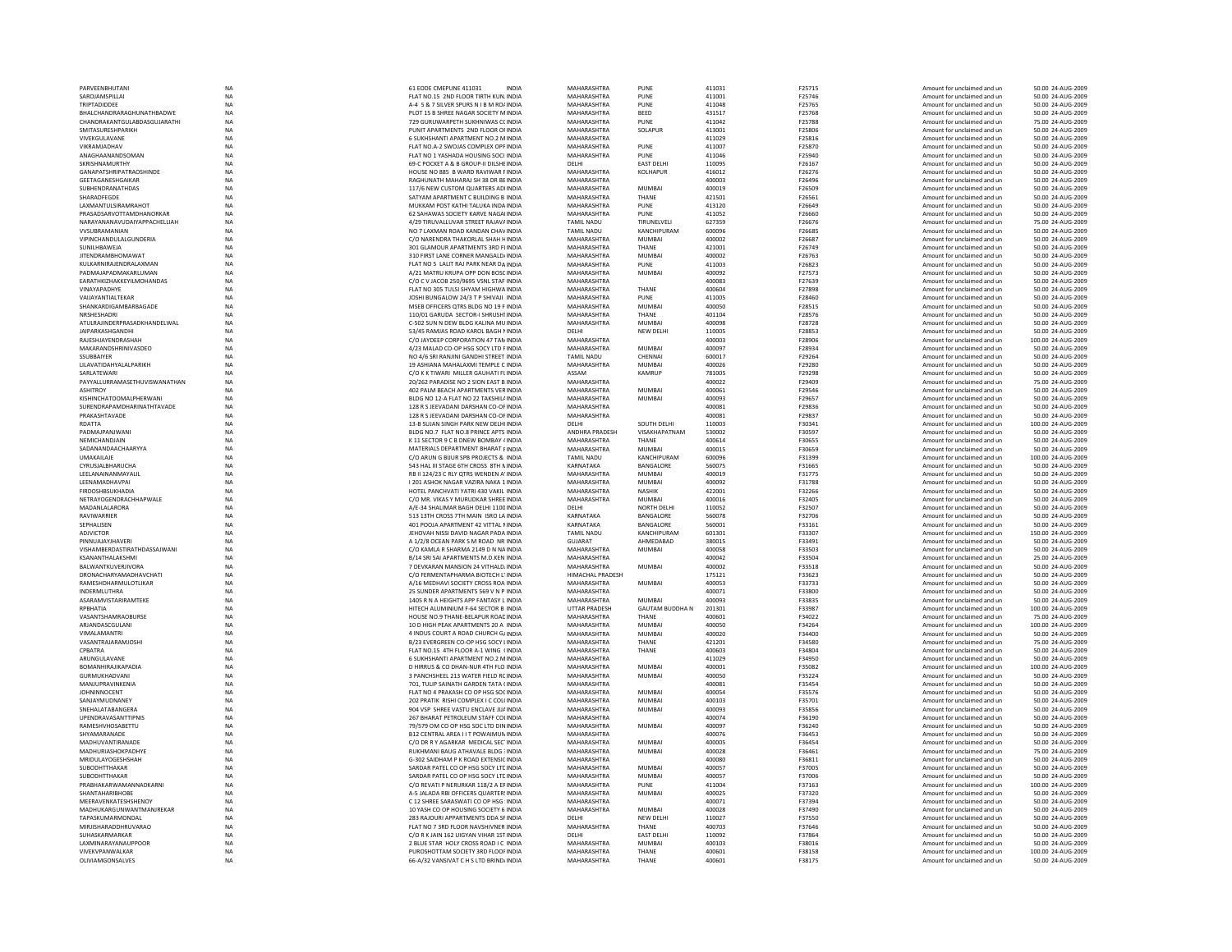| PARVEENBHUTANI                              | <b>NA</b>              | 61 EODE CMEPUNE 411031<br>INDIA                                                | MAHARASHTRA                | PUNE                   | 411031           | F25715                  | Amount for unclaimed and un                                | 50.00 24-AUG-2009                       |
|---------------------------------------------|------------------------|--------------------------------------------------------------------------------|----------------------------|------------------------|------------------|-------------------------|------------------------------------------------------------|-----------------------------------------|
| SAROJAMSPILLAI                              | <b>NA</b>              | FLAT NO.15 2ND FLOOR TIRTH KUN, INDIA                                          | MAHARASHTRA                | PUNE                   | 411001           | F25746                  | Amount for unclaimed and un                                | 50.00 24-AUG-2009                       |
| <b>TRIPTADIDDEF</b>                         | <b>NA</b>              | A-4 5 & 7 SILVER SPURS N LB M RO/ INDIA                                        | MAHARASHTRA                | PUNE                   | 411048           | F25765                  | Amount for unclaimed and un                                | 50.00 24-AUG-2009                       |
| BHALCHANDRARAGHUNATHBADWE                   | NA                     | PLOT 15 B SHREE NAGAR SOCIETY MINDIA                                           | MAHARASHTRA                | BEED                   | 431517           | F25768                  | Amount for unclaimed and un                                | 50.00 24-AUG-2009                       |
| CHANDRAKANTGULABDASGUJARATHI                | <b>NA</b>              | 729 GURUWARPETH SUKHNIWAS CCINDIA                                              | MAHARASHTRA                | PUNE                   | 411042           | F25788                  | Amount for unclaimed and un                                | 75.00 24-AUG-2009                       |
| SMITASURESHPARIKH                           | NA                     | PUNIT APARTMENTS 2ND FLOOR OF INDIA                                            | MAHARASHTRA                | SOLAPUR                | 413001           | F25806                  | Amount for unclaimed and un                                | 50.00 24-AUG-2009                       |
| <b>VIVEKGUI AVANE</b>                       | <b>NA</b>              | 6 SUKHSHANTI APARTMENT NO. 2 MINDIA                                            | MAHARASHTRA                |                        | 411029           | F25816                  | Amount for unclaimed and un                                | 50.00 24-AUG-2009                       |
| VIKRAMIADHAV                                | <b>NA</b>              | FLAT NO.A-2 SWOJAS COMPLEX OPF INDIA                                           | MAHARASHTRA                | PUNF                   | 411007           | F25870                  | Amount for unclaimed and un                                | 50.00 24-AUG-2009                       |
| ANAGHAANANDSOMAN                            | NA                     | FLAT NO 1 YASHADA HOUSING SOCI INDIA                                           | MAHARASHTRA                | PUNE                   | 411046           | F25940                  | Amount for unclaimed and un                                | 50.00 24-AUG-2009                       |
| SKRISHNAMURTHY                              | <b>NA</b>              | 69-C POCKET A & B GROUP-II DILSHEINDIA                                         | DELHI                      | <b>EAST DELHI</b>      | 110095           | F26167                  | Amount for unclaimed and un                                | 50.00 24-AUG-2009                       |
| <b>GANAPATSHRIPATRAOSHINDE</b>              | NA                     | HOUSE NO 885 B WARD RAVIWAR FINDIA                                             | MAHARASHTRA                | KOLHAPUR               | 416012           | F26276                  | Amount for unclaimed and un                                | 50.00 24-AUG-2009                       |
| GEETAGANESHGAIKAR                           | <b>NA</b>              | RAGHUNATH MAHARAI SH 38 DR BEINDIA                                             | MAHARASHTRA                |                        | 400003           | F26496                  | Amount for unclaimed and un                                | 50.00 24-AUG-2009                       |
| SUBHENDRANATHDAS                            | <b>NA</b>              | 117/6 NEW CUSTOM QUARTERS ADI INDIA                                            | MAHARASHTRA                | <b>MUMBAI</b>          | 400019           | F26509                  | Amount for unclaimed and un                                | 50.00 24-AUG-2009                       |
| SHARADFEGDE                                 | NA                     | SATYAM APARTMENT C BUILDING B INDIA                                            | MAHARASHTRA                | THANE                  | 421501           | F26561                  | Amount for unclaimed and ur                                | 50.00 24-AUG-2009                       |
| LAXMANTULSIRAMRAHOT                         | NA                     | MUKKAM POST KATHI TALUKA INDA INDIA                                            | MAHARASHTRA                | PUNE                   | 413120           | F26649                  | Amount for unclaimed and un                                | 50.00 24-AUG-2009                       |
| PRASADSARVOTTAMDHANORKAR                    | <b>NA</b>              | 62 SAHAWAS SOCIETY KARVE NAGALINDIA                                            | MAHARASHTRA                | PUNE                   | 411052           | F26660                  | Amount for unclaimed and un                                | 50.00 24-AUG-2009                       |
| NARAYANANAVUDAIYAPPACHELLIAH                | <b>NA</b>              | 4/29 TIRUVALLUVAR STREET RAJAV/ INDIA                                          | <b>TAMIL NADU</b>          | TIRUNELVELI            | 627359           | F26676                  | Amount for unclaimed and un                                | 75.00.24-AUG-2009                       |
| VVSUBRAMANIAN                               | <b>NA</b>              | NO 7 LAXMAN ROAD KANDAN CHAV INDIA                                             | <b>TAMIL NADU</b>          | KANCHIPURAM            | 600096           | F26685                  | Amount for unclaimed and un                                | 50.00 24-AUG-2009                       |
| VIPINCHANDULALGUNDERIA                      | NA                     | C/O NARENDRA THAKORLAL SHAH HINDIA                                             | MAHARASHTRA                | <b>MUMBA</b>           | 400002           | F26687                  | Amount for unclaimed and ur                                | 50.00 24-AUG-2009                       |
| SUNILHBAWEJA                                | <b>NA</b>              | 301 GLAMOUR APARTMENTS 3RD FLINDIA                                             | MAHARASHTRA                | THANE                  | 421001           | F26749                  | Amount for unclaimed and un                                | 50.00 24-AUG-2009                       |
| <b>JITENDRAMBHOMAWAT</b>                    | <b>NA</b>              | 310 FIRST LANE CORNER MANGALD/ INDIA                                           | MAHARASHTRA                | <b>MUMBA</b>           | 400002           | F26763                  | Amount for unclaimed and un                                | 50.00 24-AUG-2009                       |
| KULKARNIRAJENDRALAXMAN                      | NA                     | FLAT NO 5 LALIT RAJ PARK NEAR DA INDIA                                         | MAHARASHTRA                | PUNE                   | 411003           | F26823                  | Amount for unclaimed and un                                | 50.00 24-AUG-2009                       |
| PADMAJAPADMAKARLUMAN                        | <b>NA</b>              | A/21 MATRU KRUPA OPP DON BOSC INDIA                                            | MAHARASHTRA                | MUMBAI                 | 400092           | F27573                  | Amount for unclaimed and ur                                | 50.00 24-AUG-2009                       |
| EARATHKIZHAKKEYILMOHANDAS                   | NA                     | C/O C V JACOB 250/9695 VSNL STAF INDIA                                         | MAHARASHTRA                |                        | 400083           | F27639                  | Amount for unclaimed and ur                                | 50.00 24-AUG-2009                       |
| VINAYAPADHYE                                | <b>NA</b>              | FLAT NO 305 TULSI SHYAM HIGHWA INDIA                                           | MAHARASHTRA                | THANE                  | 400604           | F27898                  | Amount for unclaimed and un                                | 50.00 24-AUG-2009                       |
| VAUAYANTIALTEKAP                            | <b>NA</b>              | JOSHI BUNGALOW 24/3 T P SHIVAJI INDIA                                          | MAHARASHTRA                | PUNE                   | 411005           | F28460                  | Amount for unclaimed and un                                | 50.00 24-AUG-2009                       |
| SHANKARDIGAMBARBAGADE                       | NA                     | MSER OFFICERS OTRS BLDG NO 19 F INDIA                                          | MAHARASHTRA                | <b>MUMBA</b>           | 400050           | F28515                  | Amount for unclaimed and un                                | 50.00 24-AUG-2009                       |
| NRSHESHADRI                                 | NA                     | 110/01 GARUDA SECTOR-I SHRUSH1INDIA                                            | MAHARASHTRA                | THANE                  | 401104           | F28576                  | Amount for unclaimed and ur                                | 50.00 24-AUG-2009                       |
| ATULRAJINDERPRASADKHANDELWAL                | <b>NA</b>              | C-502 SUN N DEW BLDG KALINA MUINDIA                                            | MAHARASHTRA                | <b>MUMBA</b>           | 400098           | F28728                  | Amount for unclaimed and ur                                | 50.00 24-AUG-2009                       |
| <b>JAIPARKASHGANDHI</b>                     | <b>NA</b>              | 53/45 RAMJAS ROAD KAROL BAGH NINDIA                                            | DELHI                      | <b>NEW DELHI</b>       | 110005           | F28853                  | Amount for unclaimed and un                                | 50.00 24-AUG-2009                       |
| RAIFSHIAYFNDRASHAH                          | <b>NA</b>              | C/O IAYDEEP CORPORATION 47 TAN INDIA                                           | MAHARASHTRA                |                        | 400003           | F28906                  | Amount for unclaimed and un                                | 100.00 24-AUG-2009                      |
| MAKARANDSHRINIVASDEO                        | NA                     | 4/23 MALAD CO-OP HSG SOCY LTD FINDIA                                           | MAHARASHTRA                | <b>MUMBAI</b>          | 400097           | F28934                  | Amount for unclaimed and un                                | 50.00 24-AUG-2009                       |
| SSUBBAIYER                                  | NA                     | NO 4/6 SRI RANJINI GANDHI STREET INDIA                                         | TAMIL NADU                 | CHENNAI                | 600017           | F29264                  | Amount for unclaimed and ur                                | 50.00 24-AUG-2009                       |
| LILAVATIDAHYALALPARIKH                      | NA                     | 19 ASHIANA MAHALAXMI TEMPLE C INDIA                                            | MAHARASHTRA                | <b>MUMBA</b>           | 400026           | F29280                  | Amount for unclaimed and un                                | 50.00 24-AUG-2009                       |
| SARLATEWARI                                 | <b>NA</b>              | C/O K K TIWARI MILLER GAUHATI FLINDIA                                          | ASSAM                      | KAMRUP                 | 781005           | F29298                  | Amount for unclaimed and un                                | 50.00 24-AUG-2009                       |
| PAYYALLURRAMASETHUVISWANATHAN               | <b>NA</b>              | 20/262 PARADISE NO 2 SION FAST B INDIA                                         | MAHARASHTRA                |                        | 400022           | F29409                  | Amount for unclaimed and un                                | 75.00 24-AUG-2009                       |
| <b>ASHITROY</b>                             | NA                     | 402 PALM BEACH APARTMENTS VER INDIA                                            | MAHARASHTRA                | <b>MUMBAI</b>          | 400061           | F29546                  | Amount for unclaimed and ur                                | 50.00 24-AUG-2009                       |
| KISHINCHATOOMALPHERWANI                     | <b>NA</b>              | BLDG NO 12-A FLAT NO 22 TAKSHIL/ INDIA                                         | MAHARASHTRA                | <b>MUMBAI</b>          | 400093           | F29657                  | Amount for unclaimed and un                                | 50.00 24-AUG-2009                       |
| SURENDRAPAMDHARINATHTAVADE                  | NA                     | 128 R S JEEVADANI DARSHAN CO-OF INDIA                                          | MAHARASHTRA                |                        | 400081           | F29836                  | Amount for unclaimed and un                                | 50.00 24-AUG-2009                       |
| PRAKASHTAVADE                               | <b>NA</b>              | 128 R S IFFVADANI DARSHAN CO-OF INDIA                                          | MAHARASHTRA                |                        | 400081           | F29837                  | Amount for unclaimed and un                                | 50.00 24-AUG-2009                       |
| RDATTA                                      | <b>NA</b>              | 13-B SUIAN SINGH PARK NEW DELHUNDIA                                            | DELHI                      | SOUTH DELHI            | 110003           | F30341                  | Amount for unclaimed and un                                | 100.00 24-AUG-2009                      |
| PADMAJPANJWANI                              | NA                     | BLDG NO.7 FLAT NO.8 PRINCE APTS INDIA                                          | ANDHRA PRADESH             | VISAKHAPATNAM          | 530002           | F30597                  | Amount for unclaimed and ur                                | 50.00 24-AUG-2009                       |
| NEMICHANDIAIN                               | <b>NA</b>              | K 11 SECTOR 9 C B DNEW BOMBAY 4 INDIA                                          | MAHARASHTRA                | THANE                  | 400614           | F30655                  | Amount for unclaimed and un                                | 50.00 24-AUG-2009                       |
| SADANANDAACHAARYYA                          | NA                     | MATERIALS DEPARTMENT BHARAT FINDIA                                             | MAHARASHTRA                | <b>MUMBA</b>           | 400015           | F30659                  | Amount for unclaimed and un                                | 50.00 24-AUG-2009                       |
| <b>UMAKAILAIF</b>                           | <b>NA</b>              | C/O ARUN G BUUR SPR PROJECTS & INDIA                                           | <b>TAMIL NADU</b>          | KANCHIPURAM            | 600096           | F31399                  | Amount for unclaimed and un                                | 100.00 24-AUG-2009                      |
| CYRUSJALBHARUCHA                            | <b>NA</b>              | 543 HAL III STAGE 6TH CROSS 8TH N INDIA                                        | KARNATAKA                  | BANGALORE              | 560075           | F31665                  | Amount for unclaimed and un                                | 50.00 24-AUG-2009                       |
| LEELANAINANMAYALIL                          | NA                     | RB II 124/23 C RLY OTRS WENDEN A' INDIA                                        | <b>MAHARASHTRA</b>         | <b>MUMBA</b>           | 400019           | F31775                  | Amount for unclaimed and un                                | 50.00 24-AUG-2009                       |
| LEENAMADHAVPAI                              |                        |                                                                                | MAHARASHTRA                | <b>MUMBAI</b>          | 400092           | F31788                  | Amount for unclaimed and un                                | 50.00 24-AUG-2009                       |
| FIRDOSHBSUKHADIA                            | NA<br>NA               | I 201 ASHOK NAGAR VAZIRA NAKA 1 INDIA<br>HOTEL PANCHVATI YATRI 430 VAKIL INDIA | MAHARASHTRA                | <b>NASHIK</b>          | 422001           |                         |                                                            |                                         |
|                                             |                        | C/O MR. VIKAS Y MURUDKAR SHREE INDIA                                           |                            | MUMBAI                 | 400016           | F32266<br>F32405        | Amount for unclaimed and un<br>Amount for unclaimed and un | 50.00 24-AUG-2009<br>50.00 24-AUG-2009  |
| NETRAYOGENDRACHHAPWALE                      | <b>NA</b>              |                                                                                | MAHARASHTRA                |                        |                  |                         |                                                            |                                         |
| MADANLALARORA                               | <b>NA</b>              | A/E-34 SHALIMAR BAGH DELHI 1100 INDIA                                          | DELHI                      | NORTH DELHI            | 110052           | F32507                  | Amount for unclaimed and un                                | 50.00 24-AUG-2009                       |
| RAVIWARRIEF                                 | <b>NA</b>              | 513 13TH CROSS 7TH MAIN ISRO LA INDIA                                          | KARNATAKA                  | BANGALORE              | 560078           | F32706                  | Amount for unclaimed and un                                | 50.00 24-AUG-2009                       |
| SEPHALISEN                                  | NA                     | 401 POOJA APARTMENT 42 VITTAL NINDIA                                           | KARNATAKA                  | BANGALORE              | 560001           | F33161                  | Amount for unclaimed and un                                | 50.00 24-AUG-2009                       |
| <b>ADJVICTOR</b>                            | <b>NA</b>              | JEHOVAH NISSI DAVID NAGAR PADA INDIA                                           | <b>TAMIL NADU</b>          | KANCHIPURAM            | 601301           | F33307                  | Amount for unclaimed and un                                | 150.00 24-AUG-2009                      |
| PINNUAJAYJHAVERI                            | NA                     | A 1/2/8 OCEAN PARK S M ROAD NR INDIA                                           | <b>GUJARAT</b>             | AHMEDABAD              | 380015           | F33491                  | Amount for unclaimed and un                                | 50.00 24-AUG-2009                       |
| VISHAMBERDASTIRATHDASSAJWANI                | <b>NA</b>              | C/O KAMLA R SHARMA 2149 D N NA INDIA                                           | MAHARASHTRA                | <b>MUMBAI</b>          | 400058           | F33503                  | Amount for unclaimed and un                                | 50.00 24-AUG-2009                       |
| KSANANTHALAKSHM                             | NA                     | B/14 SRI SAI APARTMENTS M.D.KEN INDIA                                          | MAHARASHTRA                |                        | 400042           | F33504                  | Amount for unclaimed and un                                | 25.00 24-AUG-2009                       |
| BALWANTKUVERJIVORA                          | <b>NA</b>              | 7 DEVKARAN MANSION 24 VITHALD. INDIA                                           | MAHARASHTRA                | MUMBAI                 | 400002           | F33518                  | Amount for unclaimed and un                                | 50.00 24-AUG-2009                       |
| DRONACHARYAMADHAVCHATI                      | <b>NA</b>              | C/O FERMENTAPHARMA BIOTECH L'INDIA                                             | HIMACHAL PRADESH           |                        | 175121           | F33623                  | Amount for unclaimed and un                                | 50.00 24-AUG-2009                       |
| RAMESHDHARMULOTLIKAR                        | NA                     | A/16 MEDHAVI SOCIETY CROSS ROA INDIA                                           | MAHARASHTRA                | <b>MUMBAI</b>          | 400053           | F33733                  | Amount for unclaimed and un                                | 50.00 24-AUG-2009                       |
| INDERMLUTHRA                                | NA                     | 25 SUNDER APARTMENTS 569 V N P INDIA                                           | MAHARASHTRA                |                        | 400071           | F33800                  | Amount for unclaimed and un                                | 50.00 24-AUG-2009                       |
| ASARAMVISTARIRAMTEKE                        | NA                     | 1405 R N A HEIGHTS APP FANTASY L INDIA                                         | MAHARASHTRA                | <b>MUMBA</b>           | 400093           | F33835                  | Amount for unclaimed and un                                | 50.00 24-AUG-2009                       |
| RPBHATIA                                    | <b>NA</b>              | HITECH ALUMINIUM F-64 SECTOR B INDIA                                           | <b>UTTAR PRADESH</b>       | <b>GAUTAM BUDDHA N</b> | 201301           | F33987                  | Amount for unclaimed and un                                | 100.00 24-AUG-2009                      |
| VASANTSHAMRAOBURSE                          | <b>NA</b>              | HOUSE NO.9 THANE-BELAPUR ROAD INDIA                                            | MAHARASHTRA                | THANE                  | 400601           | F34022                  | Amount for unclaimed and un                                | 75.00 24-AUG-2009                       |
| ARJANDASCGULANI                             | <b>NA</b>              | 10 D HIGH PEAK APARTMENTS 20 A INDIA                                           | MAHARASHTRA                | <b>MUMBA</b>           | 400050           | F34264                  | Amount for unclaimed and un                                | 100.00 24-AUG-2009                      |
| VIMALAMANTRI                                | NA                     | 4 INDUS COURT A ROAD CHURCH G/ INDIA                                           | MAHARASHTRA                | <b>MUMBA</b>           | 400020           | F34400                  | Amount for unclaimed and ur                                | 50.00 24-AUG-2009                       |
| VASANTRAJARAMJOSHI                          | NA                     | B/23 EVERGREEN CO-OP HSG SOCY LINDIA                                           | MAHARASHTRA                | THANF                  | 421201           | <b>F34580</b>           | Amount for unclaimed and un                                | 75.00 24-AUG-2009                       |
| CPBATRA                                     | <b>NA</b>              | FLAT NO.15 4TH FLOOR A-1 WING (INDIA                                           | MAHARASHTRA                | THANE                  | 400603           | F34804                  | Amount for unclaimed and un                                | 50.00 24-AUG-2009                       |
| <b>ARUNGULAVANE</b>                         | <b>NA</b>              | 6 SUKHSHANTI APARTMENT NO. 2 MINDIA                                            | MAHARASHTRA                |                        | 411029           | F34950                  | Amount for unclaimed and un                                | 50.00 24-AUG-2009                       |
| BOMANHIRAJIKAPADIA                          | NA                     | D HIRRUS & CO DHAN-NUR 4TH FLO INDIA                                           | MAHARASHTRA                | <b>MUMBA</b>           | 400001           | F35082                  | Amount for unclaimed and un                                | 100.00 24-AUG-2009                      |
| GURMUKHADVANI                               | NA                     | 3 PANCHSHEEL 213 WATER FIELD RC INDIA                                          | MAHARASHTRA                | <b>MUMBA</b>           | 400050           | F35224                  | Amount for unclaimed and un                                | 50.00 24-AUG-2009                       |
| MANJUPRAVINKENIA                            | NA                     | 701. TULIP SAINATH GARDEN TATA (INDIA                                          | MAHARASHTRA                |                        | 400081           | F35454                  | Amount for unclaimed and un                                | 50.00 24-AUG-2009                       |
| <b>JOHNINNOCENT</b>                         | <b>NA</b>              | FLAT NO 4 PRAKASH CO OP HSG SOCINDIA                                           | MAHARASHTRA                | <b>MUMBAI</b>          | 400054           | F35576                  | Amount for unclaimed and un                                | 50.00 24-AUG-2009                       |
| SANIAYMUDNANEY                              | <b>NA</b>              | 202 PRATIK RISHI COMPLEX LC COLUNDIA                                           | MAHARASHTRA                | MUMBAI                 | 400103           | F35701                  | Amount for unclaimed and un                                | 50.00 24-AUG-2009                       |
| SNEHALATABANGERA                            | NA                     | 904 VSP SHREE VASTU ENCLAVE JIJ/ INDIA                                         | MAHARASHTRA                | MUMBAI                 | 400093           | F35856                  | Amount for unclaimed and ur                                | 50.00 24-AUG-2009                       |
| UPENDRAVASANTTIPNIS                         | <b>NA</b>              | 267 BHARAT PETROLEUM STAFF COLINDIA                                            | MAHARASHTRA                |                        | 400074           | F36190                  | Amount for unclaimed and un                                | 50.00 24-AUG-2009                       |
| RAMESHVHOSABETTU                            | <b>NA</b>              | 79/579 OM CO OP HSG SOC LTD DIN INDIA                                          | MAHARASHTRA                | <b>MUMBAI</b>          | 400097           | F36240                  | Amount for unclaimed and un                                | 50.00 24-AUG-2009                       |
| SHYAMARANADE                                | <b>NA</b>              | <b>B12 CENTRAL AREA LLT POWAIMUN INDIA</b>                                     | MAHARASHTRA                |                        | 400076           | F36453                  | Amount for unclaimed and un                                | 50.00 24-AUG-2009                       |
| MADHUVANTIRANADE                            | <b>NA</b>              | C/O DR R Y AGARKAR MEDICAL SEC' INDIA                                          | MAHARASHTRA                | MUMBAI                 | 400005           | F36454                  | Amount for unclaimed and un                                | 50.00 24-AUG-2009                       |
| MADHURIASHOKPADHYE                          | NA                     | RUKHMANI BAUG ATHAVALE BLDG : INDIA                                            | MAHARASHTRA                | <b>MUMBAI</b>          | 400028           | F36461                  | Amount for unclaimed and ur                                | 75.00 24-AUG-2009                       |
| MRIDULAYOGESHSHAH                           | <b>NA</b>              | G-302 SAIDHAM P K ROAD EXTENSIC INDIA                                          | MAHARASHTRA                |                        | 400080           | F36811                  | Amount for unclaimed and un                                | 50.00 24-AUG-2009                       |
| SUBODHTTHAKAR                               | <b>NA</b>              | SARDAR PATEL CO OP HSG SOCY LTC INDIA                                          | MAHARASHTRA                | <b>MUMBAI</b>          | 400057           | F37005                  | Amount for unclaimed and un                                | 50.00 24-AUG-2009                       |
| <b>SURODHTTHAKAR</b>                        | <b>NA</b>              | SARDAR PATEL CO OP HSG SOCY LTC INDIA                                          | MAHARASHTRA                | MUMBAI                 | 400057           | <b>F37006</b>           | Amount for unclaimed and un                                | 50.00 24-AUG-2009                       |
| PRARHAKARWAMANNADKARNI                      | <b>NA</b>              | C/O REVATI P NERURKAR 118/2 A EFINDIA                                          | MAHARASHTRA                | PUNE                   | 411004           | F37163                  | Amount for unclaimed and un                                | 100.00 24-AUG-2009                      |
| <b>SHANTAHARIBHOBE</b>                      | NA                     | A-5 JALADA RBI OFFICERS QUARTER! INDIA                                         | MAHARASHTRA                | <b>MUMBA</b>           | 400025           | F37320                  | Amount for unclaimed and un                                | 50.00 24-AUG-2009                       |
|                                             |                        | C 12 SHREE SARASWATI CO OP HSG : INDIA                                         | MAHARASHTRA                |                        | 400071           | F37394                  | Amount for unclaimed and un                                | 50.00 24-AUG-2009                       |
|                                             |                        |                                                                                |                            | MUMBAI                 | 400028           | F37490                  |                                                            | 50.00 24-AUG-2009                       |
| MEERAVENKATESHSHENOY                        | NA                     |                                                                                |                            |                        |                  |                         |                                                            |                                         |
| MADHUKARGUNWANTMANIREKAR                    | <b>NA</b>              | 10 YASH CO OP HOUSING SOCIETY 6 INDIA                                          | MAHARASHTRA                |                        |                  |                         | Amount for unclaimed and un                                |                                         |
| TAPASKUMARMONDAL                            | <b>NA</b>              | 283 RAIOURI APPARTMENTS DDA SEINDIA                                            | DELHI                      | NEW DELHI              | 110027           | F37550                  | Amount for unclaimed and un                                | 50.00 24-AUG-2009                       |
| MIRIISHARADDHRUVARAO                        | <b>NA</b>              | FLAT NO 7 3RD FLOOR NAVSHIVNER INDIA                                           | MAHARASHTRA                | THANF                  | 400703           | F37646                  | Amount for unclaimed and un                                | 50.00 24-AUG-2009                       |
| SUHASKARMARKAR                              | <b>NA</b>              | C/O R K JAIN 162 UIGYAN VIHAR 1ST INDIA                                        | DELHI                      | <b>EAST DELHI</b>      | 110092           | F37864                  | Amount for unclaimed and un                                | 50.00 24-AUG-2009                       |
| LAXMINARAYANAUPPOOR                         | <b>NA</b>              | 2 BLUE STAR HOLY CROSS ROAD I C INDIA                                          | MAHARASHTRA                | <b>MUMBAI</b>          | 400103           | F38016                  | Amount for unclaimed and un                                | 50.00 24-AUG-2009                       |
| <b>VIVEKVPANWAI KAR</b><br>OLIVIAMGONSALVES | <b>NA</b><br><b>NA</b> | PUROSHOTTAM SOCIETY 3RD FLOOFINDIA<br>66-A/32 VANSIVAT C H S LTD BRIND/INDIA   | MAHARASHTRA<br>MAHARASHTRA | THANF<br>THANF         | 400601<br>400601 | <b>F38158</b><br>F38175 | Amount for unclaimed and un<br>Amount for unclaimed and un | 100.00 24-AUG-2009<br>50.00 24-AUG-2009 |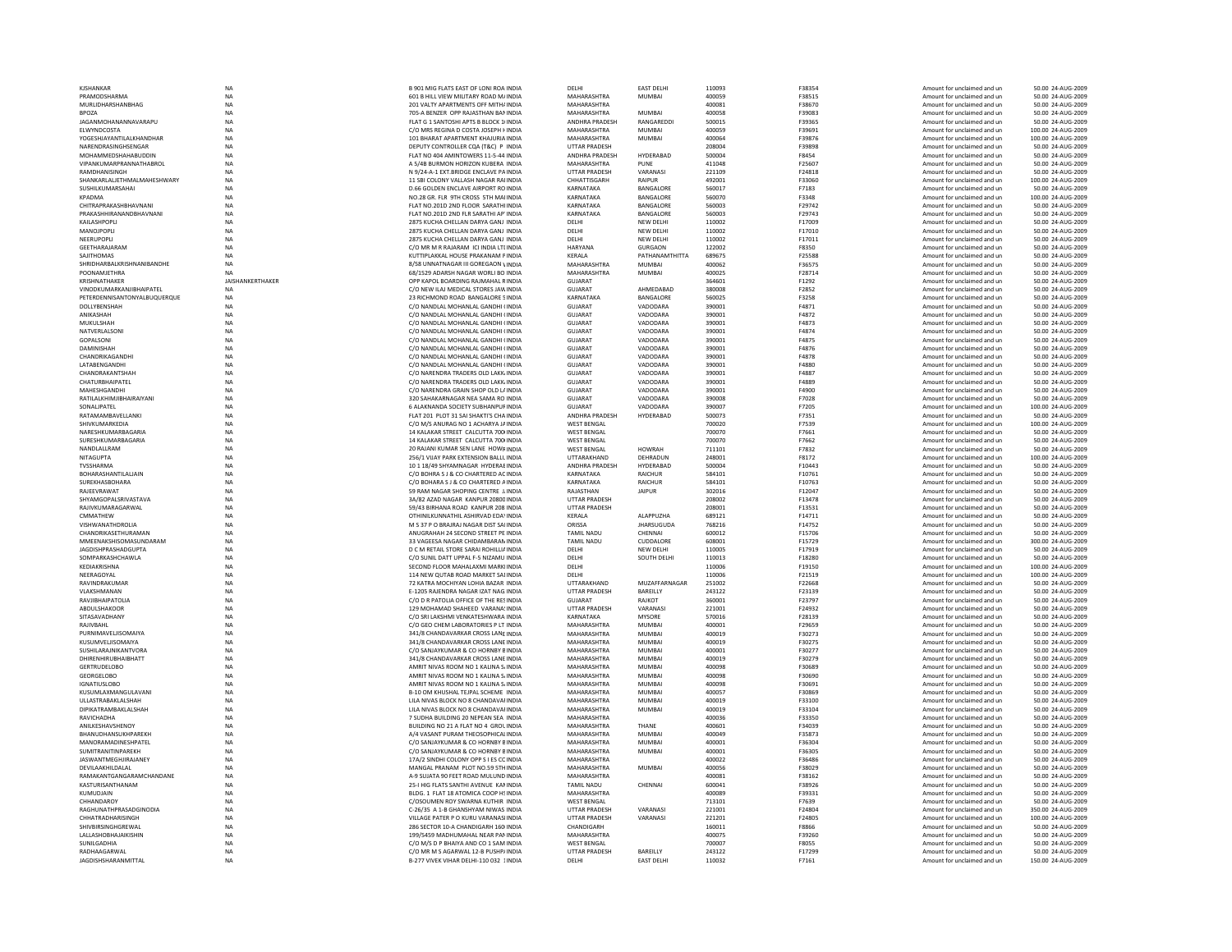| <b>KJSHANKAF</b>                                  | <b>NA</b>               | B 901 MIG FLATS EAST OF LONI ROA INDIA                                        | DELHI                                   | <b>EAST DELHI</b>           | 110093           | F38354           | Amount for unclaimed and un                                | 50.00 24-AUG-2009                        |
|---------------------------------------------------|-------------------------|-------------------------------------------------------------------------------|-----------------------------------------|-----------------------------|------------------|------------------|------------------------------------------------------------|------------------------------------------|
| PRAMODSHARMA                                      | NA                      | 601 B HILL VIEW MILITARY ROAD M/ INDIA                                        | MAHARASHTRA                             | <b>MUMBAI</b>               | 400059           | F38515           | Amount for unclaimed and un                                | 50.00 24-AUG-2009                        |
| MURLIDHARSHANBHAG                                 | NA                      | 201 VALTY APARTMENTS OFF MITH/INDIA                                           | MAHARASHTRA                             |                             | 400081           | F38670           | Amount for unclaimed and ur                                | 50.00 24-AUG-2009                        |
| <b>BPOZA</b>                                      | NA                      | 705-A BENZER OPP RAJASTHAN BAN INDIA                                          | MAHARASHTRA                             | MUMBAI                      | 400058           | F39083           | Amount for unclaimed and ur                                | 50.00 24-AUG-2009                        |
| JAGANMOHANANNAVARAPU<br>ELWYNDCOSTA               | <b>NA</b><br><b>NA</b>  | FLAT G 1 SANTOSHI APTS B BLOCK 1/INDIA                                        | ANDHRA PRADESH                          | RANGAREDDI<br><b>MUMBAI</b> | 500015<br>400059 | F39365           | Amount for unclaimed and un                                | 50.00 24-AUG-2009                        |
| YOGESHJAYANTILALKHANDHAR                          | ΝA                      | C/O MRS REGINA D COSTA JOSEPH FINDIA<br>101 BHARAT APARTMENT KHAILIRIA INDIA  | <b>MAHARASHTRA</b><br>MAHARASHTRA       | MUMBAI                      | 400064           | F39691<br>F39876 | Amount for unclaimed and un<br>Amount for unclaimed and un | 100.00 24-AUG-2009<br>100.00 24-AUG-2009 |
| NARENDRASINGHSENGAR                               | NA                      | DEPUTY CONTROLLER CQA (T&C) P INDIA                                           | UTTAR PRADESH                           |                             | 208004           | F39898           | Amount for unclaimed and ur                                | 50.00 24-AUG-2009                        |
| MOHAMMEDSHAHABUDDIN                               | NA                      | FLAT NO 404 AMINTOWERS 11-5-44 INDIA                                          | ANDHRA PRADESH                          | HYDERABAD                   | 500004           | F8454            | Amount for unclaimed and ur                                | 50.00 24-AUG-2009                        |
| VIPANKUMARPRANNATHABROL                           | <b>NA</b>               | A 5/4B BURMON HORIZON KUBERA INDIA                                            | MAHARASHTRA                             | PUNE                        | 411048           | F25607           | Amount for unclaimed and un                                | 50.00 24-AUG-2009                        |
| RAMDHANISINGH                                     | <b>NA</b>               | N 9/24-A-1 EXT.BRIDGE ENCLAVE PAINDIA                                         | <b>UTTAR PRADESH</b>                    | VARANASI                    | 221109           | F24818           | Amount for unclaimed and un                                | 50.00 24-AUG-2009                        |
| SHANKARLALJETHMALMAHESHWARY                       | NA                      | 11 SBI COLONY VALLASH NAGAR RAIINDIA                                          | CHHATTISGARH                            | RAIPUR                      | 492001           | F33060           | Amount for unclaimed and un                                | 100.00 24-AUG-2009                       |
| SUSHILKUMARSAHAI                                  | NA                      | D.66 GOLDEN ENCLAVE AIRPORT RO INDIA                                          | KARNATAKA                               | BANGALORE                   | 560017           | F7183            | Amount for unclaimed and ur                                | 50.00 24-AUG-2009                        |
| KPADMA                                            | NA                      | NO.28 GR. FLR 9TH CROSS 5TH MAIINDIA                                          | KARNATAKA                               | BANGALORE                   | 560070           | F3348            | Amount for unclaimed and un                                | 100.00 24-AUG-2009                       |
| CHITRAPRAKASHBHAVNANI                             | <b>NA</b>               | FLAT NO.201D 2ND FLOOR SARATHI INDIA                                          | KARNATAKA                               | BANGALORE                   | 560003           | F29742           | Amount for unclaimed and un                                | 50.00 24-AUG-2009                        |
| PRAKASHHIRANANDRHAVNANI                           | <b>NA</b>               | FLAT NO. 201D 2ND FLR SARATHLAP INDIA                                         | KARNATAKA                               | <b>BANGALORE</b>            | 560003           | F29743           | Amount for unclaimed and un                                | 50.00 24-AUG-2009                        |
| KAILASHPOPLI                                      | NA                      | 2875 KUCHA CHELLAN DARYA GANJ INDIA                                           | DELHI                                   | <b>NEW DELHI</b>            | 110002           | F17009           | Amount for unclaimed and un                                | 50.00 24-AUG-2009                        |
| MANOJPOPLI                                        | NA                      | 2875 KUCHA CHELLAN DARYA GANJ INDIA                                           | DELHI                                   | NEW DELHI                   | 110002           | F17010           | Amount for unclaimed and un                                | 50.00 24-AUG-2009                        |
| NEERUPOPLI                                        | <b>NA</b>               | 2875 KUCHA CHELLAN DARYA GANJ INDIA                                           | DELHI                                   | <b>NEW DELHI</b>            | 110002           | F17011           | Amount for unclaimed and un                                | 50.00 24-AUG-2009                        |
| GEETHARAJARAM                                     | <b>NA</b>               | C/O MR M R RAJARAM ICI INDIA LTI INDIA                                        | HARYANA                                 | <b>GURGAON</b>              | 122002           | F8350            | Amount for unclaimed and un                                | 50.00 24-AUG-2009                        |
| SAIITHOMAS                                        | <b>NA</b>               | KUTTIPI AKKAI HOUSE PRAKANAM PINDIA                                           | <b>KFRAIA</b>                           | PATHANAMTHITTA              | 689675           | F25588           | Amount for unclaimed and un                                | 50.00 24-AUG-2009                        |
| SHRIDHARBALKRISHNANIBANDHE<br><b>POONAMJETHRA</b> | NA<br>NA                | 8/58 UNNATNAGAR III GOREGAON VINDIA<br>68/1529 ADARSH NAGAR WORLI BO INDIA    | <b>MAHARASHTRA</b><br>MAHARASHTRA       | <b>MUMBAI</b><br>MUMBAI     | 400062<br>400025 | F36575<br>F28714 | Amount for unclaimed and ur<br>Amount for unclaimed and un | 50.00 24-AUG-2009<br>50.00 24-AUG-2009   |
| KRISHNATHAKER                                     | <b>JAISHANKERTHAKER</b> | OPP KAPOL BOARDING RAJMAHAL RINDIA                                            | <b>GUJARAT</b>                          |                             | 364601           | F1292            | Amount for unclaimed and un                                | 50.00 24-AUG-2009                        |
| VINODKUMARKANJIBHAIPATEL                          | <b>NA</b>               | C/O NEW ILAJ MEDICAL STORES JAW INDIA                                         | <b>GUJARAT</b>                          | AHMEDABAD                   | 380008           | F2852            | Amount for unclaimed and un                                | 50.00 24-AUG-2009                        |
| PETERDENNISANTONYALBUQUERQUE                      | <b>NA</b>               | 23 RICHMOND ROAD, BANGALORE 5 INDIA                                           | KARNATAKA                               | <b>BANGALORE</b>            | 560025           | F3258            | Amount for unclaimed and un                                | 50.00 24-AUG-2009                        |
| DOLLYBENSHAF                                      | NA                      | C/O NANDLAL MOHANLAL GANDHI (INDIA                                            | GUJARAT                                 | VADODARA                    | 390001           | F4871            | Amount for unclaimed and un                                | 50.00 24-AUG-2009                        |
| ANIKASHAH                                         | NA                      | C/O NANDLAL MOHANLAL GANDHI (INDIA                                            | <b>GUJARAT</b>                          | VADODARA                    | 390001           | F4872            | Amount for unclaimed and un                                | 50.00 24-AUG-2009                        |
| MUKULSHAH                                         | NA                      | C/O NANDLAL MOHANLAL GANDHI (INDIA                                            | <b>GUJARAT</b>                          | VADODARA                    | 390001           | F4873            | Amount for unclaimed and un                                | 50.00 24-AUG-2009                        |
| NATVERI AI SON                                    | <b>NA</b>               | C/O NANDI AI MOHANI AI GANDHI (INDIA                                          | GUIARAT                                 | VADODARA                    | 390001           | F4874            | Amount for unclaimed and un                                | 50.00 24-AUG-2009                        |
| <b>GOPALSONI</b>                                  | <b>NA</b>               | C/O NANDLAL MOHANLAL GANDHI (INDIA                                            | GUIARAT                                 | VADODARA                    | 390001           | F4875            | Amount for unclaimed and un                                | 50.00 24-AUG-2009                        |
| DAMINISHAH                                        | NA                      | C/O NANDLAL MOHANLAL GANDHI (INDIA                                            | GUJARAT                                 | VADODARA                    | 390001           | F4876            | Amount for unclaimed and un                                | 50.00 24-AUG-2009                        |
| CHANDRIKAGANDHI                                   | NA                      | C/O NANDLAL MOHANLAL GANDHI (INDIA                                            | <b>GUJARAT</b>                          | VADODARA                    | 390001           | F4878            | Amount for unclaimed and un                                | 50.00 24-AUG-2009                        |
| LATABENGANDHI                                     | NA                      | C/O NANDLAL MOHANLAL GANDHI (INDIA                                            | <b>GUJARAT</b>                          | VADODARA                    | 390001           | F4880            | Amount for unclaimed and un                                | 50.00 24-AUG-2009                        |
| CHANDRAKANTSHAH                                   | <b>NA</b>               | C/O NARENDRA TRADERS OLD LAKK INDIA                                           | GUIARAT                                 | VADODARA                    | 390001           | F4887            | Amount for unclaimed and un                                | 50.00 24-AUG-2009                        |
| CHATURBHAIPATEL                                   | <b>NA</b>               | C/O NARENDRA TRADERS OLD LAKK INDIA                                           | <b>GUJARAT</b>                          | VADODARA                    | 390001           | F4889            | Amount for unclaimed and un                                | 50.00 24-AUG-2009                        |
| MAHESHGANDH                                       | NA                      | C/O NARENDRA GRAIN SHOP OLD L/ INDIA                                          | <b>GUJARAT</b>                          | VADODARA                    | 390001           | F4900            | Amount for unclaimed and un                                | 50.00 24-AUG-2009                        |
| RATILALKHIMJIBHAIRAIYAN                           | NA                      | 320 SAHAKARNAGAR NEA SAMA RO INDIA                                            | <b>GUJARAT</b>                          | VADODARA                    | 390008           | F7028            | Amount for unclaimed and un                                | 50.00 24-AUG-2009                        |
| SONALIPATEL                                       | <b>NA</b>               | 6 ALAKNANDA SOCIETY SUBHANPUF INDIA                                           | GUJARAT                                 | VADODARA                    | 390007           | F7205            | Amount for unclaimed and un                                | 100.00 24-AUG-2009                       |
| <b>RATAMAMRAVELLANKI</b>                          | NA                      | FLAT 201 PLOT 31 SAI SHAKTI'S CHA INDIA                                       | ANDHRA PRADESH                          | HYDERABAD                   | 500073           | F7351            | Amount for unclaimed and un                                | 50.00 24-AUG-2009                        |
| SHIVKUMARKEDIA                                    | NA                      | C/O M/S ANURAG NO 1 ACHARYA JAINDIA                                           | <b>WEST BENGAL</b>                      |                             | 700020           | F7539            | Amount for unclaimed and un                                | 100.00 24-AUG-2009                       |
| NARESHKUMARBAGARIA                                | NA                      | 14 KALAKAR STREET CALCUTTA 700 INDIA                                          | <b>WEST BENGAL</b>                      |                             | 700070           | F7661            | Amount for unclaimed and un                                | 50.00 24-AUG-2009                        |
| SURESHKUMARBAGARIA                                | NA                      | 14 KALAKAR STREET CALCUTTA 700 INDIA                                          | <b>WEST BENGAL</b>                      |                             | 700070           | F7662            | Amount for unclaimed and un                                | 50.00 24-AUG-2009                        |
| NANDLALLRAM                                       | <b>NA</b>               | 20 RAJANI KUMAR SEN LANE HOWFINDIA                                            | <b>WEST BENGAL</b>                      | <b>HOWRAH</b>               | 711101           | F7832            | Amount for unclaimed and un                                | 50.00 24-AUG-2009                        |
| NITAGUPTA<br>TVSSHARMA                            | NA                      | 256/1 VIJAY PARK EXTENSION BALLL INDIA<br>10 1 18/49 SHYAMNAGAR HYDERAE INDIA | UTTARAKHAND<br>ANDHRA PRADESH           | DEHRADUN<br>HYDERABAD       | 248001<br>500004 | F8172<br>F10443  | Amount for unclaimed and un                                | 100.00 24-AUG-2009<br>50.00 24-AUG-2009  |
| BOHARASHANTILALJAIN                               | NA<br>NA                | C/O BOHRA S J & CO CHARTERED AC INDIA                                         | KARNATAKA                               | <b>RAICHUR</b>              | 584101           | F10761           | Amount for unclaimed and ur<br>Amount for unclaimed and un | 50.00 24-AUG-2009                        |
| SUREKHASBOHARA                                    | NA                      | C/O BOHARA S J & CO CHARTERED A INDIA                                         | KARNATAKA                               | RAICHUR                     | 584101           | F10763           | Amount for unclaimed and un                                | 50.00 24-AUG-2009                        |
| RAJEEVRAWAT                                       | <b>NA</b>               | 59 RAM NAGAR SHOPING CENTRE J, INDIA                                          | RAJASTHAN                               | <b>JAIPUR</b>               | 302016           | F12047           | Amount for unclaimed and un                                | 50.00 24-AUG-2009                        |
| SHYAMGOPALSRIVASTAVA                              | NA                      | 3A/82 AZAD NAGAR KANPUR 20800 INDIA                                           | <b>UTTAR PRADESH</b>                    |                             | 208002           | F13478           | Amount for unclaimed and un                                | 50.00 24-AUG-2009                        |
| RAJIVKUMARAGARWAL                                 | NA                      | 59/43 BIRHANA ROAD KANPUR 208 INDIA                                           | <b>UTTAR PRADESH</b>                    |                             | 208001           | F13531           | Amount for unclaimed and ur                                | 50.00 24-AUG-2009                        |
| CMMATHEW                                          | NA                      | OTHINILKUNNATHIL ASHIRVAD EDAYINDIA                                           | KERALA                                  | ALAPPUZHA                   | 689121           | F14711           | Amount for unclaimed and un                                | 50.00 24-AUG-2009                        |
| VISHWANATHDROLIA                                  | <b>NA</b>               | M S 37 P O BRAJRAJ NAGAR DIST SAHNDIA                                         | ORISSA                                  | <b>JHARSUGUDA</b>           | 768216           | F14752           | Amount for unclaimed and un                                | 50.00 24-AUG-2009                        |
| CHANDRIKASETHURAMAN                               | <b>NA</b>               | ANUGRAHAH 24 SECOND STREET PE INDIA                                           | <b>TAMIL NADU</b>                       | CHENNAI                     | 600012           | F15706           | Amount for unclaimed and un                                | 50.00 24-AUG-2009                        |
| MMEENAKSHISOMASUNDARAM                            | NA                      | 33 VAGEESA NAGAR CHIDAMBARAN INDIA                                            | <b>TAMIL NADU</b>                       | CUDDALORE                   | 608001           | F15729           | Amount for unclaimed and un                                | 300.00 24-AUG-2009                       |
| <b>JAGDISHPRASHADGUPTA</b>                        | NA                      | D C M RETAIL STORE SARAI ROHILLIA INDIA                                       | DELHI                                   | NEW DELHI                   | 110005           | F17919           | Amount for unclaimed and ur                                | 50.00 24-AUG-2009                        |
| SOMPARKASHCHAWLA                                  | ΝA                      | C/O SUNIL DATT UPPAL F-5 NIZAMU INDIA                                         | DELHI                                   | SOUTH DELHI                 | 110013           | F18280           | Amount for unclaimed and un                                | 50.00 24-AUG-2009                        |
| KEDIAKRISHNA                                      | <b>NA</b>               | SECOND FLOOR MAHALAXMI MARKHNDIA                                              | DELHI                                   |                             | 110006           | F19150           | Amount for unclaimed and un                                | 100.00 24-AUG-2009                       |
| NEERAGOYAL                                        | <b>NA</b>               | 114 NEW OUTAB ROAD MARKET SALINDIA                                            | DELHI                                   |                             | 110006           | F21519           | Amount for unclaimed and un                                | 100.00 24-AUG-2009                       |
| RAVINDRAKUMAR                                     | NA                      | 72 KATRA MOCHIYAN LOHIA BAZAR INDIA                                           | UTTARAKHAND                             | MUZAFFARNAGAR               | 251002           | F22668           | Amount for unclaimed and ur                                | 50.00 24-AUG-2009                        |
| VLAKSHMANAN                                       | NA                      | E-1205 RAJENDRA NAGAR IZAT NAG. INDIA                                         | UTTAR PRADESH                           | BAREILLY                    | 243122           | F23139           | Amount for unclaimed and ur                                | 50.00 24-AUG-2009                        |
| RAVJIBHAIPATOLIA                                  | ΝA                      | C/O D R PATOLIA OFFICE OF THE RESINDIA                                        | GUIARAT                                 | RAIKOT                      | 360001           | F23797           | Amount for unclaimed and un                                | 50.00 24-AUG-2009                        |
| ABDULSHAKOOR                                      | <b>NA</b>               | 129 MOHAMAD SHAHEED VARANA! INDIA                                             | <b>UTTAR PRADESH</b>                    | VARANASI                    | 221001           | F24932           | Amount for unclaimed and un                                | 50.00 24-AUG-2009                        |
| SITASAVADHANY<br>RAJIVBAHL                        | <b>NA</b>               | C/O SRI LAKSHMI VENKATESHWARA INDIA                                           | KARNATAKA                               | <b>MYSORE</b>               | 570016<br>400001 | F28139<br>F29659 | Amount for unclaimed and un                                | 50.00 24-AUG-2009                        |
| PURNIMAVELJISOMAIYA                               | NA<br>NA                | C/O GEO CHEM LABORATORIES P LT INDIA<br>341/8 CHANDAVARKAR CROSS LANE INDIA   | MAHARASHTRA<br>MAHARASHTRA              | MUMBAI<br><b>MUMBA</b>      | 400019           | F30273           | Amount for unclaimed and ur<br>Amount for unclaimed and un | 50.00 24-AUG-2009<br>50.00 24-AUG-2009   |
| KUSUMVELJISOMAIYA                                 | <b>NA</b>               | 341/8 CHANDAVARKAR CROSS LANE INDIA                                           | MAHARASHTRA                             | <b>MUMBA</b>                | 400019           | F30275           | Amount for unclaimed and un                                | 50.00 24-AUG-2009                        |
| SUSHILARAJNIKANTVORA                              | <b>NA</b>               | C/O SANJAYKUMAR & CO HORNBY BINDIA                                            | MAHARASHTRA                             | <b>MUMBAI</b>               | 400001           | F30277           | Amount for unclaimed and un                                | 50.00 24-AUG-2009                        |
| DHIRFNHIRURHAIRHATT                               | <b>NA</b>               | 341/8 CHANDAVARKAR CROSS LANE INDIA                                           | MAHARASHTRA                             | MUMBAI                      | 400019           | F30279           | Amount for unclaimed and un                                | 50.00 24-AUG-2009                        |
| <b>GERTRUDELOBO</b>                               | NA                      | AMRIT NIVAS ROOM NO 1 KALINA S/INDIA                                          | MAHARASHTRA                             | MUMBAI                      | 400098           | F30689           | Amount for unclaimed and ur                                | 50.00 24-AUG-2009                        |
| <b>GEORGELOBO</b>                                 | <b>NA</b>               | AMRIT NIVAS ROOM NO 1 KALINA S/INDIA                                          | MAHARASHTRA                             | <b>MUMBA</b>                | 400098           | F30690           | Amount for unclaimed and un                                | 50.00 24-AUG-2009                        |
| <b>IGNATIUSLOBO</b>                               | <b>NA</b>               | AMRIT NIVAS ROOM NO 1 KALINA S/ INDIA                                         | MAHARASHTRA                             | <b>MUMBA</b>                | 400098           | F30691           | Amount for unclaimed and un                                | 50.00 24-AUG-2009                        |
| KUSUMLAXMANGULAVANI                               | <b>NA</b>               | B-10 OM KHUSHAL TEJPAL SCHEME INDIA                                           | MAHARASHTRA                             | <b>MUMBAI</b>               | 400057           | F30869           | Amount for unclaimed and un                                | 50.00 24-AUG-2009                        |
| ULLASTRABAKI ALSHAH                               | <b>NA</b>               | LILA NIVAS BLOCK NO 8 CHANDAVAI INDIA                                         | MAHARASHTRA                             | MUMBAI                      | 400019           | <b>F33100</b>    | Amount for unclaimed and un                                | 50.00 24-AUG-2009                        |
| DIPIKATRAMBAKLALSHAH                              | NA                      | LILA NIVAS BLOCK NO 8 CHANDAVAI INDIA                                         | MAHARASHTRA                             | <b>MUMBA</b>                | 400019           | F33104           | Amount for unclaimed and ur                                | 50.00 24-AUG-2009                        |
| RAVICHADHA                                        | <b>NA</b>               | 7 SUDHA BUILDING 20 NEPEAN SEA INDIA                                          | MAHARASHTRA                             |                             | 400036           | F33350           | Amount for unclaimed and un                                | 50.00 24-AUG-2009                        |
| ANILKESHAVSHENOY                                  | <b>NA</b>               | BUILDING NO 21 A FLAT NO 4 GROL INDIA                                         | MAHARASHTRA                             | THANE                       | 400601           | F34039           | Amount for unclaimed and un                                | 50.00 24-AUG-2009                        |
| RHANUDHANSUKHPAREKH                               | <b>NA</b>               | A/4 VASANT PURAM THEOSOPHICALINDIA                                            | MAHARASHTRA                             | MUMBAI                      | 400049           | F35873           | Amount for unclaimed and un                                | 50.00 24-AUG-2009                        |
| MANORAMADINESHPATEL                               | <b>NA</b>               | C/O SANJAYKUMAR & CO HORNBY BINDIA                                            | MAHARASHTRA                             | MUMBAI                      | 400001           | F36304           | Amount for unclaimed and un                                | 50.00 24-AUG-2009                        |
| <b>SUMITRANITINPAREKH</b>                         | NA                      | C/O SANJAYKUMAR & CO HORNBY BINDIA                                            | MAHARASHTRA                             | <b>MUMBA</b>                | 400001           | F36305           | Amount for unclaimed and un                                | 50.00 24-AUG-2009                        |
| <b>JASWANTMEGHJIRAJANEY</b>                       | NA                      | 17A/2 SINDHI COLONY OPP S I ES COINDIA                                        | MAHARASHTRA                             |                             | 400022           | F36486           | Amount for unclaimed and un                                | 50.00 24-AUG-2009                        |
| DEVILAAKHILDALAL                                  | <b>NA</b>               | MANGAL PRANAM PLOT NO.59 5TH INDIA                                            | MAHARASHTRA                             | <b>MUMBAI</b>               | 400056           | F38029           | Amount for unclaimed and un                                | 50.00 24-AUG-2009                        |
| RAMAKANTGANGARAMCHANDANE                          | <b>NA</b><br><b>NA</b>  | A-9 SUJATA 90 FEET ROAD MULUND INDIA                                          | MAHARASHTRA                             | CHENNAI                     | 400081<br>600041 | F38162<br>F38926 | Amount for unclaimed and un                                | 50.00 24-AUG-2009                        |
| KASTURISANTHANAM<br>KUMUDJAIN                     |                         | 25-I HIG FLATS SANTHI AVENUE KAMINDIA<br>BLDG. 1 FLAT 18 ATOMICA COOP HSINDIA | <b>TAMIL NADU</b><br><b>MAHARASHTRA</b> |                             | 400089           | F39331           | Amount for unclaimed and un<br>Amount for unclaimed and un | 50.00 24-AUG-2009<br>50.00 24-AUG-2009   |
| CHHANDAROY                                        | NA<br>NA                | C/OSOUMEN ROY SWARNA KUTHIR INDIA                                             | <b>WEST BENGAL</b>                      |                             | 713101           | F7639            | Amount for unclaimed and un                                | 50.00 24-AUG-2009                        |
| RAGHUNATHPRASADGINODIA                            | <b>NA</b>               | C-26/35 A 1-B GHANSHYAM NIWAS INDIA                                           | <b>UTTAR PRADESH</b>                    | VARANASI                    | 221001           | F24804           | Amount for unclaimed and un                                | 350.00 24-AUG-2009                       |
| CHHATRADHARISINGH                                 | <b>NA</b>               | VILLAGE PATER P O KURU VARANASI INDIA                                         | <b>UTTAR PRADESH</b>                    | VARANASI                    | 221201           | <b>F24805</b>    | Amount for unclaimed and un                                | 100.00 24-AUG-2009                       |
| SHIVRIRSINGHGREWAI                                | NA                      | 286 SECTOR 10-A CHANDIGARH 160 INDIA                                          | CHANDIGARH                              |                             | 160011           | <b>FRR66</b>     | Amount for unclaimed and ur                                | 50.00 24-AUG-2009                        |
| LALLASHOBHAJAIKISHIN                              | NA                      | 199/5459 MADHUMAHAL NEAR PAN INDIA                                            | MAHARASHTRA                             |                             | 400075           | F39260           | Amount for unclaimed and un                                | 50.00 24-AUG-2009                        |
| SUNILGADHIA                                       | NA                      | C/O M/S D P BHAIYA AND CO 1 SAM INDIA                                         | <b>WEST BENGAL</b>                      |                             | 700007           | F8055            | Amount for unclaimed and un                                | 50.00 24-AUG-2009                        |
| RADHAAGARWAI                                      | <b>NA</b>               | C/O MR M S AGARWAI 12-R PUSHP/INDIA                                           | <b>UTTAR PRADESH</b>                    | <b>BARFILLY</b>             | 243122           | F17299           | Amount for unclaimed and un                                | 50.00 24-AUG-2009                        |
| <b>JAGDISHSHARANMITTAL</b>                        | <b>NA</b>               | B-277 VIVEK VIHAR DELHI-110 032 1INDIA                                        | <b>DELHI</b>                            | <b>EAST DELHI</b>           | 110032           | F7161            | Amount for unclaimed and un                                | 150.00 24-AUG-2009                       |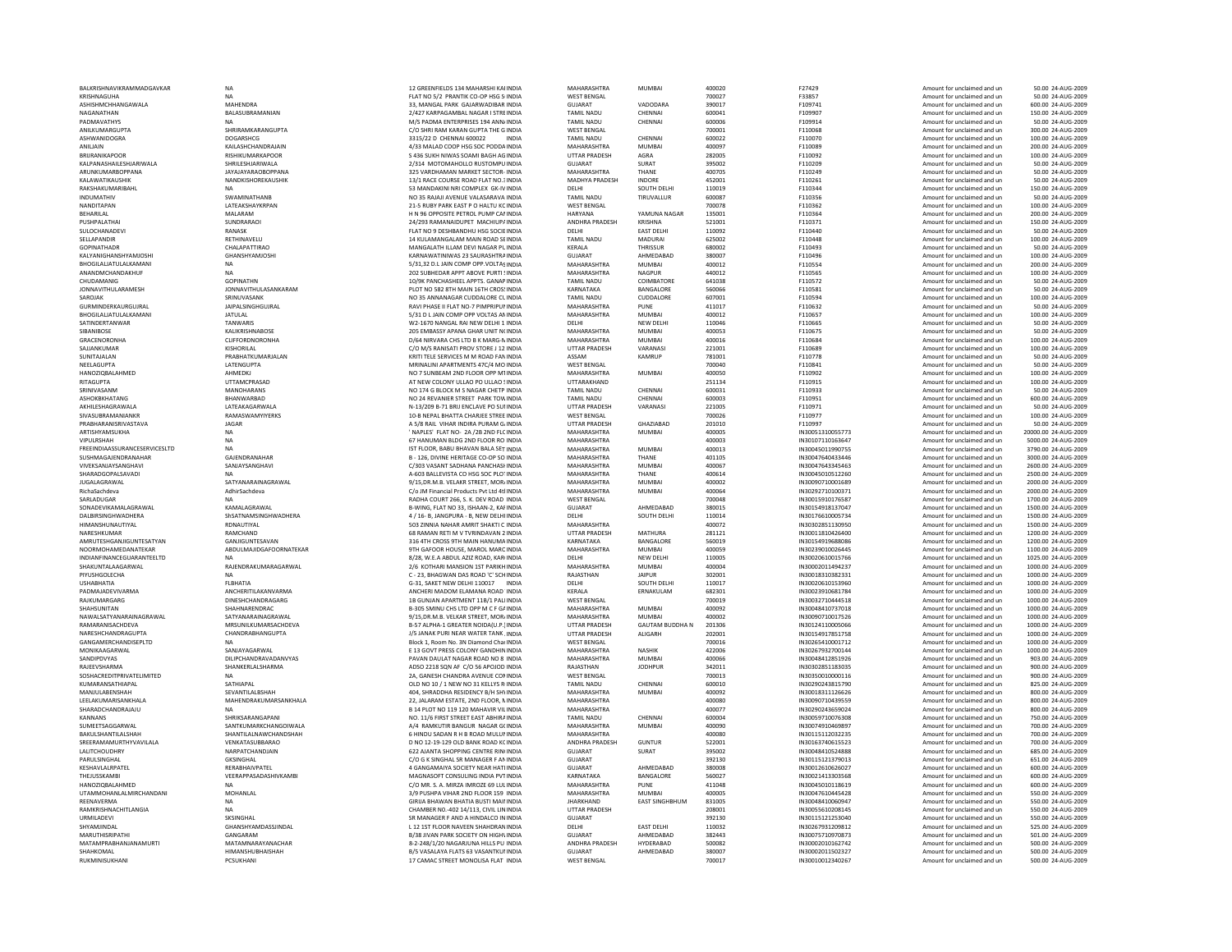| BALKRISHNAVIKRAMMADGAVKAR     | NA                        | 12 GREENFIELDS 134 MAHARSHI KAI INDIA       | MAHARASHTRA          | MUMBAI                 | 400020 | F27429           | Amount for unclaimed and un | 50.00 24-AUG-2009    |
|-------------------------------|---------------------------|---------------------------------------------|----------------------|------------------------|--------|------------------|-----------------------------|----------------------|
| KRISHNAGUHA                   | <b>NA</b>                 | FLAT NO 5/2 PRANTIK CO-OP HSG SHNDIA        | <b>WEST BENGAL</b>   |                        | 700027 | F33857           | Amount for unclaimed and un | 50.00 24-AUG-2009    |
| ASHISHMCHHANGAWALA            | MAHENDRA                  | 33. MANGAL PARK GAJARWADIBAR INDIA          | <b>GUJARAT</b>       | VADODARA               | 390017 | F109741          | Amount for unclaimed and un | 600.00 24-AUG-2009   |
| NAGANATHAN                    | BALASUBRAMANIAN           | 2/427 KARPAGAMBAL NAGAR I STREINDIA         | <b>TAMIL NADU</b>    | CHENNAI                | 600041 | F109907          | Amount for unclaimed and un | 150.00 24-AUG-2009   |
| PADMAVATHYS                   | <b>NA</b>                 | M/S PADMA ENTERPRISES 194 ANN/ INDIA        | <b>TAMIL NADU</b>    | CHENNAI                | 600006 | F109914          | Amount for unclaimed and un | 50.00 24-AUG-2009    |
| ANILKUMARGUPTA                | SHRIRAMKARANGUPTA         | C/O SHRI RAM KARAN GUPTA THE G INDIA        | <b>WEST BENGAL</b>   |                        | 700001 | F110068          | Amount for unclaimed and un | 300.00 24-AUG-2009   |
| ASHWANIDOGRA                  | DOGARSHCG                 | 3315/22 D CHENNAI 600022<br><b>INDIA</b>    | <b>TAMIL NADU</b>    | CHENNAI                | 600022 | F110070          | Amount for unclaimed and un | 100.00 24-AUG-2009   |
|                               |                           |                                             |                      |                        |        |                  |                             |                      |
| ANILJAIN                      | KAILASHCHANDRAJAIN        | 4/33 MALAD COOP HSG SOC PODDA INDIA         | MAHARASHTRA          | <b>MUMBA</b>           | 400097 | F110089          | Amount for unclaimed and un | 200.00 24-AUG-2009   |
| <b>BRURANIKAPOOF</b>          | RISHIKUMARKAPOOR          | S 436 SUKH NIWAS SOAMI BAGH AG INDIA        | <b>UTTAR PRADESH</b> | AGRA                   | 282005 | F110092          | Amount for unclaimed and un | 100.00 24-AUG-2009   |
| KALPANASHAILESHJARIWALA       | SHRILESHJARIWALA          | 2/314 MOTOMAHOLLO RUSTOMPU INDIA            | <b>GUJARAT</b>       | SURAT                  | 395002 | F110209          | Amount for unclaimed and un | 50.00 24-AUG-2009    |
| ARUNKUMARROPPANA              | <b>IAYAIAYARAOROPPANA</b> | 325 VARDHAMAN MARKET SECTOR-INDIA           | MAHARASHTRA          | THANF                  | 400705 | F110249          | Amount for unclaimed and un | 50.00 24-AUG-2009    |
| KALAWATIKAUSHII               | NANDKISHOREKAUSHIK        | 13/1 RACE COURSE ROAD FLAT NO.3 INDIA       | MADHYA PRADESH       | INDORE                 | 452001 | F110261          | Amount for unclaimed and un | 50.00 24-AUG-2009    |
| RAKSHAKUMARIBAHI              |                           | 53 MANDAKINI NRI COMPLEX GK-IV INDIA        | DELHI                | SOUTH DELHI            | 110019 | F110344          | Amount for unclaimed and un | 150.00 24-AUG-2009   |
|                               |                           |                                             |                      |                        | 600087 |                  |                             |                      |
| INDUMATHIV                    | SWAMINATHANB              | NO 35 RAJAJI AVENUE VALASARAVA INDIA        | TAMIL NADU           | TIRUVALLUR             |        | F110356          | Amount for unclaimed and un | 50.00 24-AUG-2009    |
| NANDITAPAN                    | LATEAKSHAYKRPAN           | 21-5 RUBY PARK FAST P O HALTU KC INDIA      | <b>WEST BENGAL</b>   |                        | 700078 | F110362          | Amount for unclaimed and un | 100.00 24-AUG-2009   |
| <b>BEHARILAL</b>              | MAI ARAM                  | H N 96 OPPOSITE PETROL PUMP CANNOIA         | HARYANA              | YAMUNA NAGAR           | 135001 | F110364          | Amount for unclaimed and un | 200.00 24-AUG-2009   |
| PUSHPALATHA                   | <b>SUNDRARAO</b>          | 24/293 RAMANAIDUPET MACHIUP/ INDIA          | ANDHRA PRADESH       | KRISHNA                | 521001 | F110371          | Amount for unclaimed and un | 150.00 24-AUG-2009   |
| SULOCHANADEVI                 | RANASK                    | FLAT NO 9 DESHBANDHU HSG SOCIE INDIA        | <b>DELHI</b>         | <b>EAST DELHI</b>      | 110092 | F110440          | Amount for unclaimed and un | 50.00 24-AUG-2009    |
| SELLAPANDIR                   | RETHINAVELU               | 14 KULAMANGALAM MAIN ROAD SEINDIA           | <b>TAMIL NADU</b>    | <b>MADURAI</b>         | 625002 | F110448          | Amount for unclaimed and un | 100.00 24-AUG-2009   |
| <b>GOPINATHADE</b>            | CHAI APATTIRAO            | MANGALATH II I AM DEVI NAGAR PUINDIA        | <b>KFRAIA</b>        | THRISSUR               | 680002 | F110493          | Amount for unclaimed and un | 50.00 24-AUG-2009    |
|                               |                           |                                             |                      |                        |        |                  |                             |                      |
| KALYANIGHANSHYAMJOSH          | GHANSHYAMJOSH             | KARNAWATINIWAS 23 SAURASHTRA INDIA          | GUJARAT              | AHMEDABAD              | 380007 | F110496          | Amount for unclaimed and un | 100.00 24-AUG-2009   |
| BHOGILALIATULALKAMANI         | <b>NA</b>                 | 5/31,32 D.L JAIN COMP OPP.VOLTAS INDIA      | MAHARASHTRA          | <b>MUMBAI</b>          | 400012 | F110554          | Amount for unclaimed and un | 200.00 24-AUG-2009   |
| ANANDMCHANDAKHUF              | <b>NA</b>                 | 202 SUBHEDAR APPT ABOVE PURTI ! INDIA       | MAHARASHTRA          | <b>NAGPUR</b>          | 440012 | F110565          | Amount for unclaimed and un | 100.00 24-AUG-2009   |
| CHUDAMANIG                    | <b>GOPINATHN</b>          | 10/9K PANCHASHEEL APPTS. GANAP INDIA        | <b>TAMIL NADU</b>    | COIMBATORE             | 641038 | F110572          | Amount for unclaimed and un | 50.00 24-AUG-2009    |
| <b>JONNAVITHULARAMESH</b>     | JONNAVITHULASANKARAM      | PLOT NO 582 8TH MAIN 16TH CROS! INDIA       | KARNATAKA            | BANGALORE              | 560066 | F110581          | Amount for unclaimed and un | 50.00 24-AUG-2009    |
| SAROJAK                       | SRINUVASANI               | NO 35 ANNANAGAR CUDDALORE CL INDIA          | <b>TAMIL NADU</b>    | CUDDALORE              | 607001 | F110594          | Amount for unclaimed and un | 100.00 24-AUG-2009   |
|                               |                           |                                             |                      |                        |        |                  |                             |                      |
| GURMINDERKAURGUJRAL           | <b>JAIPALSINGHGUJRAL</b>  | RAVI PHASE II FLAT NO-7 PIMPRIPUN INDIA     | MAHARASHTRA          | PUNE                   | 411017 | F110632          | Amount for unclaimed and un | 50.00 24-AUG-2009    |
| <b>BHOGILALIATULALKAMANI</b>  | <b>JATULAL</b>            | 5/31 D L JAIN COMP OPP VOLTAS ANINDIA       | MAHARASHTRA          | MUMBAI                 | 400012 | F110657          | Amount for unclaimed and un | 100.00 24-AUG-2009   |
| SATINDERTANWAR                | TANWARIS                  | W2-1670 NANGAL RAI NEW DELHI 1 INDIA        | DFI HI               | NEW DELHI              | 110046 | F110665          | Amount for unclaimed and un | 50.00 24-AUG-2009    |
| SIBANIBOSE                    | KALIKRISHNABOSE           | 205 EMBASSY APANA GHAR UNIT N(INDIA         | MAHARASHTRA          | <b>MUMBAI</b>          | 400053 | F110675          | Amount for unclaimed and un | 50.00 24-AUG-2009    |
| GRACENORONHA                  | CLIFFORDNORONHA           | D/64 NIRVARA CHS LTD B K MARG-N INDIA       | MAHARASHTRA          | <b>MUMBAI</b>          | 400016 | F110684          | Amount for unclaimed and un | 100.00 24-AUG-2009   |
| SAIIANKUMAR                   | KISHORILAL                | C/O M/S RANISATI PROV STORE L12 INDIA       | <b>UTTAR PRADESH</b> | VARANASI               | 221001 | F110689          | Amount for unclaimed and un | 100.00 24-AUG-2009   |
|                               |                           |                                             |                      |                        |        |                  |                             |                      |
| SUNITAJALAN                   | PRABHATKUMARJALAN         | KRITI TELE SERVICES M M ROAD FAN INDIA      | ASSAM                | KAMRUP                 | 781001 | F110778          | Amount for unclaimed and un | 50.00 24-AUG-2009    |
| NEELAGUPTA                    | LATENGUPTA                | MRINALINI APARTMENTS 47C/4 MO INDIA         | WEST BENGAL          |                        | 700040 | F110841          | Amount for unclaimed and ur | 50.00 24-AUG-2009    |
| <b>HANOZIOBALAHMED</b>        | AHMEDKJ                   | NO 7 SUNBEAM 2ND FLOOR OPP M1INDIA          | MAHARASHTRA          | <b>MUMBAI</b>          | 400050 | F110902          | Amount for unclaimed and un | 100.00 24-AUG-2009   |
| <b>RITAGUPTA</b>              | UTTAMCPRASAD              | AT NEW COLONY ULLAO PO ULLAO SINDIA         | UTTARAKHAND          |                        | 251134 | F110915          | Amount for unclaimed and un | 100.00 24-AUG-2009   |
| SRINIVASANM                   | <b>MANOHARANS</b>         | NO 174 G BLOCK M S NAGAR CHETP INDIA        | <b>TAMIL NADU</b>    | CHENNAI                | 600031 | F110933          | Amount for unclaimed and un | 50.00 24-AUG-2009    |
|                               |                           |                                             |                      |                        |        |                  |                             |                      |
| ASHOKBKHATANG                 | BHANWARBAD                | NO 24 REVANIER STREET PARK TOWINDIA         | TAMIL NADU           | CHENNAI                | 600003 | F110951          | Amount for unclaimed and un | 600.00 24-AUG-2009   |
| AKHILESHAGRAWALA              | LATEAKAGARWALA            | N-13/209 B-71 BRIJ ENCLAVE PO SUHNDIA       | <b>UTTAR PRADESH</b> | VARANASI               | 221005 | F110971          | Amount for unclaimed and un | 50.00 24-AUG-2009    |
| SIVASUBRAMANIANKR             | RAMASWAMYIYERKS           | 10-B NEPAL BHATTA CHARJEE STREE INDIA       | <b>WEST BENGAL</b>   |                        | 700026 | F110977          | Amount for unclaimed and un | 100.00 24-AUG-2009   |
| PRARHARANISRIVASTAVA          | <b>IAGAR</b>              | A 5/8 RAIL VIHAR INDIRA PURAM GJINDIA       | <b>UTTAR PRADESH</b> | GHA7IARAD              | 201010 | F110997          | Amount for unclaimed and un | 50.00 24-AUG-2009    |
| <b>ARTISHYAMSUKHA</b>         | NA                        | 'NAPLES' FLAT NO- 2A /2B 2ND FLC INDIA      | MAHARASHTRA          | <b>MUMBAI</b>          | 400005 | IN30051310055773 | Amount for unclaimed and un | 20000.00 24-AUG-2009 |
| VIPULRSHAH                    | <b>NA</b>                 | 67 HANUMAN BLDG 2ND FLOOR RO INDIA          | MAHARASHTRA          |                        | 400003 | IN30107110163647 | Amount for unclaimed and un | 5000.00 24-AUG-2009  |
|                               | <b>NA</b>                 |                                             | MAHARASHTRA          |                        |        |                  |                             | 3790.00 24-AUG-2009  |
| FREEINDIAASSURANCESERVICESLTD |                           | IST FLOOR, BABU BHAVAN BALA SET INDIA       |                      | MUMBAI                 | 400013 | IN30045011990755 | Amount for unclaimed and un |                      |
| SUSHMAGAJENDRANAHAR           | GAJENDRANAHAR             | B - 126. DIVINE HERITAGE CO-OP SO INDIA     | MAHARASHTRA          | THANF                  | 401105 | IN30047640433446 | Amount for unclaimed and un | 3000.00 24-AUG-2009  |
| VIVEKSANJAYSANGHAVI           | SANJAYSANGHAVI            | C/303 VASANT SADHANA PANCHASHINDIA          | MAHARASHTRA          | <b>MUMBAI</b>          | 400067 | IN30047643345463 | Amount for unclaimed and un | 2600.00 24-AUG-2009  |
| SHARADGOPALSAVADI             | <b>NA</b>                 | A-603 BALLEVISTA CO HSG SOC PLOTINDIA       | MAHARASHTRA          | THANE                  | 400614 | IN30045010512260 | Amount for unclaimed and un | 2500.00 24-AUG-2009  |
| <b>JUGALAGRAWAL</b>           | SATYANARAINAGRAWAL        | 9/15.DR.M.B. VELAKR STREET. MOR/INDIA       | MAHARASHTRA          | <b>MUMBAI</b>          | 400002 | IN30090710001689 | Amount for unclaimed and un | 2000.00 24-AUG-2009  |
| RichaSachdeva                 | AdhirSachdeva             | C/o JM Financial Products Pvt Ltd 4tl INDIA | MAHARASHTRA          | <b>MUMBAI</b>          | 400064 | IN30292710100371 | Amount for unclaimed and un | 2000.00 24-AUG-2009  |
|                               |                           |                                             |                      |                        |        |                  |                             |                      |
| SARLADUGAR                    | <b>NA</b>                 | RADHA COURT 266, S. K. DEV ROAD INDIA       | <b>WEST BENGAL</b>   |                        | 700048 | IN30015910176587 | Amount for unclaimed and un | 1700.00 24-AUG-2009  |
| SONADEVIKAMALAGRAWAL          | KAMALAGRAWAL              | B-WING, FLAT NO 33, ISHAAN-2, KAI INDIA     | <b>GUJARAT</b>       | AHMEDABAD              | 380015 | IN30154918137047 | Amount for unclaimed and un | 1500.00 24-AUG-2009  |
| <b>DALBIRSINGHWADHERA</b>     | ShSATNAMSINGHWADHERA      | 4 / 16- B. JANGPURA - B. NEW DELHI INDIA    | DELHI                | SOUTH DELHI            | 110014 | IN30176610005734 | Amount for unclaimed and un | 1500.00 24-AUG-2009  |
| HIMANSHUNAUTIYAL              | RDNAUTIYAL                | 503 ZINNIA NAHAR AMRIT SHAKTI C INDIA       | MAHARASHTRA          |                        | 400072 | IN30302851130950 | Amount for unclaimed and un | 1500.00 24-AUG-2009  |
| NARFSHKUMAR                   | RAMCHAND                  | 68 RAMAN RETI M V TVRINDAVAN 2 INDIA        | <b>UTTAR PRADESH</b> | MATHURA                | 281121 | IN30011810426400 | Amount for unclaimed and un | 1200.00 24-AUG-2009  |
| AMRUTESHGANJIGUNTESATYAN      | GANJIGUNTESAVAN           | 316 4TH CROSS 9TH MAIN HANUMA INDIA         | KARNATAKA            | BANGALORE              | 560019 | IN30154919688086 | Amount for unclaimed and un | 1200.00 24-AUG-2009  |
| NOORMOHAMEDANATEKAR           | ABDULMAJIDGAFOORNATEKAR   |                                             | MAHARASHTRA          | <b>MUMBAI</b>          | 400059 | IN30239010026445 | Amount for unclaimed and un | 1100.00 24-AUG-2009  |
|                               |                           | 9TH GAFOOR HOUSE, MAROL MARC INDIA          |                      |                        |        |                  |                             |                      |
| INDIANFINANCEGUARANTEELTD     | NΔ                        | 8/28, W.E.A ABDUL AZIZ ROAD, KARLINDIA      | DELHI                | NEW DELHI              | 110005 | IN30020610015766 | Amount for unclaimed and un | 1025.00 24-AUG-2009  |
| SHAKUNTALAAGARWAL             | RAJENDRAKUMARAGARWAL      | 2/6 KOTHARI MANSION 1ST PARIKH INDIA        | MAHARASHTRA          | MUMBAI                 | 400004 | IN30002011494237 | Amount for unclaimed and un | 1000.00 24-AUG-2009  |
| PIYUSHGOLECHA                 | <b>NA</b>                 | C - 23, BHAGWAN DAS ROAD 'C' SCHINDIA       | RAJASTHAN            | <b>IAIPUR</b>          | 302001 | IN30018310382331 | Amount for unclaimed and un | 1000.00 24-AUG-2009  |
| <b>USHABHATIA</b>             | <b>FLBHATIA</b>           | G-31, SAKET NEW DELHI 110017 INDIA          | DELHI                | SOUTH DELHI            | 110017 | IN30020610153960 | Amount for unclaimed and un | 1000.00 24-AUG-2009  |
| PADMAJADEVIVARMA              | ANCHERITILAKANVARMA       | ANCHERI MADOM ELAMANA ROAD 'INDIA           | KERALA               | ERNAKULAM              | 682301 | IN30023910681784 | Amount for unclaimed and un | 1000.00 24-AUG-2009  |
|                               |                           |                                             |                      |                        |        |                  |                             |                      |
| RAIKUMARGARG                  | <b>DINESHCHANDRAGARG</b>  | 1B GUNJAN APARTMENT 11B/1 PALIINDIA         | <b>WEST RENGAL</b>   |                        | 700019 | IN30032710444518 | Amount for unclaimed and un | 1000.00 24-AUG-2009  |
| SHAHSUNITAN                   | SHAHNARENDRAC             | B-305 SMINU CHS LTD OPP M C F GAINDIA       | MAHARASHTRA          | MUMRAI                 | 400092 | IN30048410737018 | Amount for unclaimed and un | 1000.00 24-AUG-2009  |
| NAWALSATYANARAINAGRAWAL       | SATYANARAINAGRAWAL        | 9/15, DR.M.B. VELKAR STREET, MOR/INDIA      | MAHARASHTRA          | <b>MUMBAI</b>          | 400002 | IN30090710017526 | Amount for unclaimed and un | 1000.00 24-AUG-2009  |
| RAMARANISACHDEVA              | MRSUNILKUMARSACHDEVA      | B-57 ALPHA-1 GREATER NOIDA(U.P.) INDIA      | UTTAR PRADESH        | <b>GAUTAM BUDDHA N</b> | 201306 | IN30124110005066 | Amount for unclaimed and un | 1000.00 24-AUG-2009  |
| NARESHCHANDRAGUPTA            | CHANDRABHANGUPTA          | J/5 JANAK PURI NEAR WATER TANK, INDIA       | <b>UTTAR PRADESH</b> | ALIGARH                | 202001 | IN30154917851758 | Amount for unclaimed and un | 1000.00 24-AUG-2009  |
| GANGAMERCHANDISEPLTD          | <b>NA</b>                 | Block 1, Room No. 3N Diamond CharlNDIA      | <b>WEST BENGAL</b>   |                        | 700016 | IN30265410001712 | Amount for unclaimed and un | 1000.00 24-AUG-2009  |
| MONIKAAGARWAL                 | SANJAYAGARWAL             | E 13 GOVT PRESS COLONY GANDHIN INDIA        | MAHARASHTRA          | NASHIK                 | 422006 | IN30267932700144 | Amount for unclaimed and un | 1000.00 24-AUG-2009  |
|                               |                           |                                             |                      |                        |        |                  |                             |                      |
| SANDIPDVYAS                   | DILIPCHANDRAVADANVYAS     | PAVAN DAULAT NAGAR ROAD NO 8 INDIA          | MAHARASHTRA          | <b>MUMBAI</b>          | 400066 | IN30048412851926 | Amount for unclaimed and un | 903.00 24-AUG-2009   |
| RAJEEVSHARMA                  | SHANKERLALSHARMA          | ADSO 2218 SON AF C/O 56 APOJOD INDIA        | RAJASTHAN            | <b>JODHPUR</b>         | 342011 | IN30302851183035 | Amount for unclaimed and un | 900.00 24-AUG-2009   |
| SOSHACREDITPRIVATELIMITED     | <b>NA</b>                 | 2A. GANESH CHANDRA AVENUE COMNDIA           | <b>WEST BENGAL</b>   |                        | 700013 | IN30350010000116 | Amount for unclaimed and un | 900.00 24-AUG-2009   |
| KUMARANSATHIAPAL              | SATHIAPAL                 | OLD NO 10 / 1 NEW NO 31 KELLYS R INDIA      | <b>TAMIL NADU</b>    | CHENNAI                | 600010 | IN30290243815790 | Amount for unclaimed and un | 825.00 24-AUG-2009   |
| MANJULABENSHAH                | SEVANTILALBSHAH           | 404. SHRADDHA RESIDENCY B/H SHYINDIA        | <b>MAHARASHTRA</b>   | <b>MUMBAI</b>          | 400092 | IN30018311126626 | Amount for unclaimed and un | 800.00 24-AUG-2009   |
| LEELAKUMARISANKHALA           | MAHENDRAKUMARSANKHALA     | 22, JALARAM ESTATE, 2ND FLOOR, NINDIA       | MAHARASHTRA          |                        | 400080 | IN30090710439559 |                             | 800.00 24-AUG-2009   |
|                               |                           |                                             |                      |                        |        |                  | Amount for unclaimed and un |                      |
| SHARADCHANDRAIAIU             | <b>NA</b>                 | B 14 PLOT NO 119 120 MAHAVIR VILINDIA       | MAHARASHTRA          |                        | 400077 | IN30290243659024 | Amount for unclaimed and un | 800.00 24-AUG-2009   |
| <b>KANNANS</b>                | SHRIKSARANGAPANI          | NO. 11/6 FIRST STREET EAST ABHIRA INDIA     | <b>TAMIL NADU</b>    | CHENNAI                | 600004 | IN30059710076308 | Amount for unclaimed and un | 750.00 24-AUG-2009   |
| SUMEETSAGGARWAL               | SANTKUMARKCHANGOIWALA     | A/4 RAMKUTIR BANGUR NAGAR G(INDIA           | MAHARASHTRA          | MUMBAI                 | 400090 | IN30074910469897 | Amount for unclaimed and un | 700.00 24-AUG-2009   |
| BAKULSHANTILALSHAH            | SHANTILALNAWCHANDSHAH     | 6 HINDU SADAN R H B ROAD MULUI INDIA        | MAHARASHTRA          |                        | 400080 | IN30115112032235 | Amount for unclaimed and un | 700.00 24-AUG-2009   |
| SREERAMAMURTHYVAVILALA        | VENKATASUBBARAO           | D NO 12-19-129 OLD BANK ROAD KCINDIA        | ANDHRA PRADESH       | <b>GUNTUR</b>          | 522001 | IN30163740615523 | Amount for unclaimed and un | 700.00 24-AUG-2009   |
| LALITCHOUDHRY                 | NARPATCHANDJAIN           | 622 AJANTA SHOPPING CENTRE RIN(INDIA        | <b>GUJARAT</b>       | SURAT                  | 395002 | IN30048410524888 | Amount for unclaimed and un | 685.00 24-AUG-2009   |
|                               |                           |                                             |                      |                        |        |                  |                             |                      |
| PARULSINGHAI                  | <b>GKSINGHAL</b>          | C/O G K SINGHAL SR MANAGER F AN INDIA       | <b>GUJARAT</b>       |                        | 392130 | IN30115121379013 | Amount for unclaimed and un | 651.00 24-AUG-2009   |
| KESHAVLALRPATEL               | RERABHAIVPATEL            | 4 GANGAMAIYA SOCIETY NEAR HATLINDIA         | <b>GUJARAT</b>       | AHMEDABAD              | 380008 | IN30012610626027 | Amount for unclaimed and un | 600.00 24-AUG-2009   |
| THEJUSSKAMBI                  | VEERAPPASADASHIVKAMBI     | MAGNASOFT CONSULING INDIA PVT INDIA         | KARNATAKA            | BANGALORE              | 560027 | IN30021413303568 | Amount for unclaimed and un | 600.00 24-AUG-2009   |
| <b>HANOZIOBALAHMED</b>        | <b>NA</b>                 | C/O MR. S. A. MIRZA IMROZE 69 I UI INDIA    | MAHARASHTRA          | PUNF                   | 411048 | IN30045010118619 | Amount for unclaimed and un | 600.00 24-AUG-2009   |
| UTAMMOHANLALMIRCHANDANI       | <b>MOHANLAL</b>           | 3/9 PUSHPA VIHAR 2ND FLOOR 159 INDIA        | MAHARASHTRA          | <b>MUMBAI</b>          | 400005 | IN30047610445428 | Amount for unclaimed and un | 550.00 24-AUG-2009   |
| REENAVERMA                    | <b>NA</b>                 | GIRUA BHAWAN BHATIA BUSTI MAII INDIA        | <b>JHARKHAND</b>     | <b>EAST SINGHBHUM</b>  | 831005 | IN30048410060947 | Amount for unclaimed and un | 550.00 24-AUG-2009   |
|                               |                           |                                             |                      |                        |        |                  |                             |                      |
| RAMKRISHNACHITLANGIA          | <b>NA</b>                 | CHAMBER NO.-402 14/113. CIVIL LIN INDIA     | <b>UTTAR PRADESH</b> |                        | 208001 | IN30055610208145 | Amount for unclaimed and un | 550.00 24-AUG-2009   |
| <b>URMILADEVI</b>             | <b>SKSINGHAI</b>          | SR MANAGER E AND A HINDALCO IN INDIA        | GUJARAT              |                        | 392130 | IN30115121253040 | Amount for unclaimed and un | 550.00 24-AUG-2009   |
| SHYAMJINDA                    | GHANSHYAMDASSJINDAL       | L 12 1ST FLOOR NAVEEN SHAHDRAN INDIA        | <b>DELHI</b>         | <b>EAST DELHI</b>      | 110032 | IN30267931209812 | Amount for unclaimed and un | 525.00 24-AUG-2009   |
| MARUTHISRIPATHI               | GANGARAM                  | B/38 JIVAN PARK SOCIETY ON HIGHVINDIA       | GUJARAT              | AHMEDABAD              | 382443 | IN30075710970873 | Amount for unclaimed and un | 501.00 24-AUG-2009   |
| MATAMPRABHANJANAMURTI         | MATAMNARAYANACHAR         | 8-2-248/1/20 NAGARJUNA HILLS PU INDIA       | ANDHRA PRADESH       | HYDERABAD              | 500082 | IN30002010162742 | Amount for unclaimed and un | 500.00 24-AUG-2009   |
| SHAHKOMAL                     | HIMANSHURHAISHAH          | B/5 VASALAYA FLATS 63 VASANTKUI INDIA       | GUJARAT              | AHMEDABAD              | 380007 | IN30002011502327 | Amount for unclaimed and un | 500.00 24-AUG-2009   |
|                               |                           |                                             |                      |                        |        |                  |                             |                      |
| RUKMINISUKHANI                | PCSUKHANI                 | 17 CAMAC STREET MONOLISA FLAT INDIA         | <b>WEST BENGAL</b>   |                        | 700017 | IN30010012340267 | Amount for unclaimed and un | 500.00 24-AUG-2009   |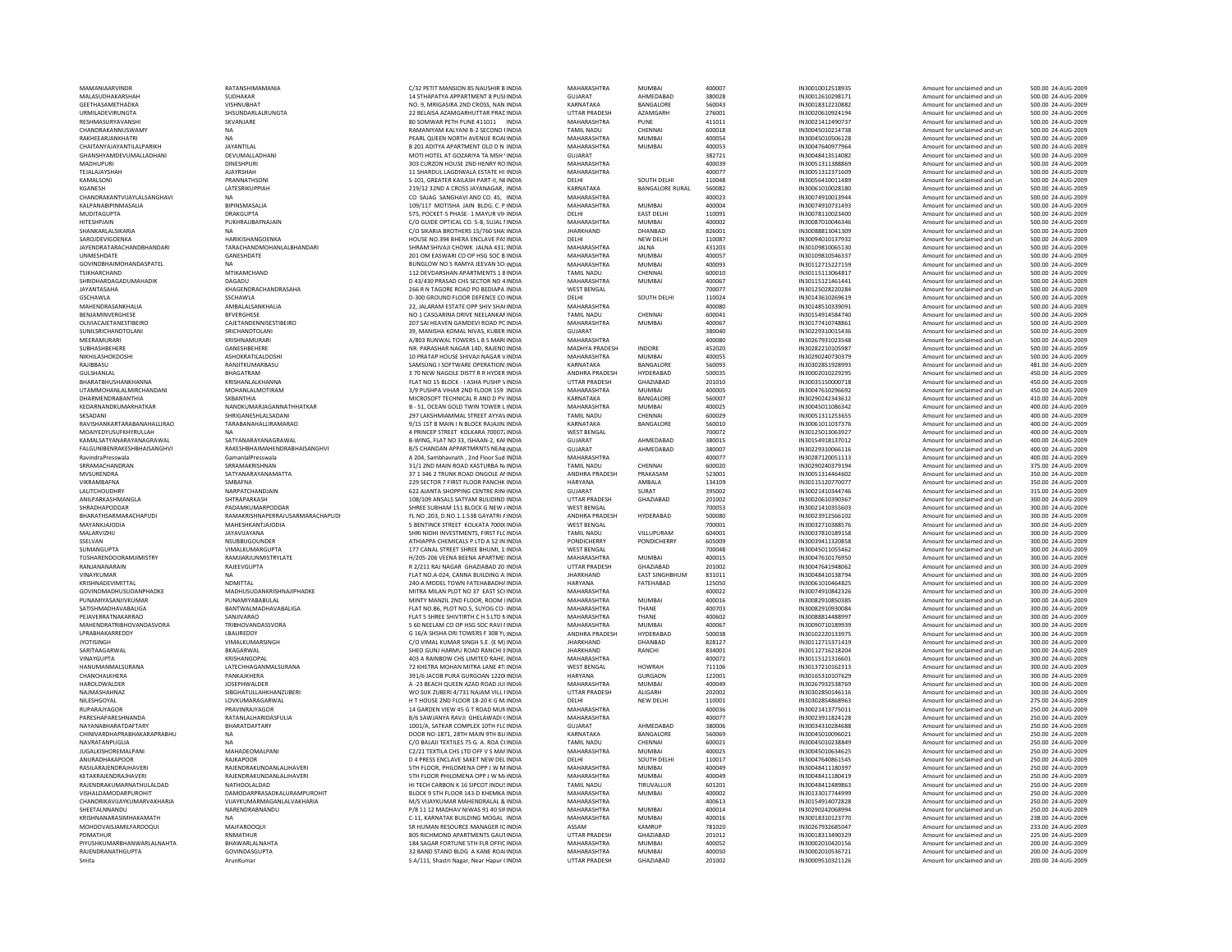| MAMANIAARVINDR                                   | RATANSHIMAMANIA                                           |
|--------------------------------------------------|-----------------------------------------------------------|
| MALASUDHAKARSHAH                                 | SUDHAKAR                                                  |
| GEETHASAMETHADKA                                 | VISHNUBHAT                                                |
| URMILADEVIRUNGTA                                 | SHSUNDARLALRUNGTA                                         |
| RESHMASURYAVANSHI                                | SKVANJARE                                                 |
| CHANDRAKANNUSWAMY                                | <b>NA</b>                                                 |
| RAKHEEARJANKHATRI                                | <b>NA</b>                                                 |
| CHAITANYAJAYANTILALPARIKH                        | <b>JAYANTILAL</b>                                         |
| GHANSHYAMDEVUMALLADHANI                          | DEVUMALLADHANI                                            |
| MADHUPURI                                        | <b>DINESHPURI</b>                                         |
| TEJALAJAYSHAH                                    | <b>AJAYRSHAH</b>                                          |
| KAMALSONI                                        | PRANNATHSONI                                              |
| <b>KGANESH</b>                                   | LATESRIKUPPIAH                                            |
| CHANDRAKANTVUAYLALSANGHAVI                       | <b>NA</b>                                                 |
| KALPANABIPINMASALIA                              | BIPINSMASALIA                                             |
| MUDITAGUPTA                                      | <b>DRAKGUPTA</b>                                          |
| <b>HITESHPJAIN</b>                               | PUKHRAJJBAFNAJAIN                                         |
| SHANKARI AI SIKARIA                              | <b>NA</b>                                                 |
| SAROJDEVIGOENKA                                  | HARIKISHANGOENKA                                          |
| <b>JAYENDRATARACHANDBHANDARI</b>                 | TARACHANDMOHANLALBHANDARI                                 |
| UNMESHDATE                                       | GANESHDATE                                                |
| <b>GOVINDBHAIMOHANDASPATEL</b>                   | <b>NA</b>                                                 |
| TSIKHARCHAND                                     | MTIKAMCHAND                                               |
| SHRIDHARDAGADUMAHADIK                            | DAGADU                                                    |
| JAYANTASAHA                                      | KHAGENDRACHANDRASAHA                                      |
| <b>GSCHAWLA</b>                                  | SSCHAWLA                                                  |
| MAHENDRASANKHALIA                                | AMBALALSANKHALIA                                          |
| BENJAMINVERGHESE                                 | <b>BFVERGHESE</b>                                         |
| OLIVIACAJETANESTIBEIRO                           | CAJETANDENNISESTIBEIRO                                    |
| SUNILSRICHANDTOLANI                              | SRICHANDTOLANI                                            |
| MFFRAMURARI                                      | KRISHNAMURARI                                             |
| SUBHASHBEHERE                                    | GANESHBEHERE                                              |
| NIKHILASHOKDOSHI                                 | ASHOKRATILALDOSHI                                         |
| RAJIBBASU                                        | RANJITKUMARBASU                                           |
| <b>GULSHANLAL</b>                                | <b>BHAGATRAM</b>                                          |
| BHARATBHUSHANKHANNA                              | <b>KRISHANI AI KHANNA</b>                                 |
| UTAMMOHANLALMIRCHANDANI                          | MOHANLALMOTIRAM                                           |
| DHARMENDRABANTHIA                                | SKBANTHIA                                                 |
| KEDARNANDKUMARHATKAR                             | NANDKUMARJAGANNATHHATKAR                                  |
| SKSADANI                                         | SHRIGANESHI AI SADANI                                     |
| RAVISHANKARTARABANAHALLIRAO                      | <b>TARARANAHAI LIRAMARAO</b>                              |
| MOAIYEDYUSUFKHYRULLAH                            | NA                                                        |
| KAMALSATYANARAYANAGRAWAL                         | SATYANARAYANAGRAWAL                                       |
| FALGUNIBENRAKESHBHAISANGHVI                      | RAKESHBHAIMAHENDRABHAISANGHV                              |
| <b>RavindraPresswala</b>                         | GamanlalPresswala                                         |
| SRRAMACHANDRAN                                   | SRRAMAKRISHNAN                                            |
| MVSURENDRA                                       | SATYANARAYANAMATTA                                        |
| VIKRAMBAFNA                                      | SMBAFNA                                                   |
| <b>LALITCHOUDHRY</b>                             | NARPATCHANDIAIN                                           |
| ANILPARKASHMANGLA                                | SHTRAPARKASH                                              |
| SHRADHAPODDAR                                    | PADAMKUMARPODDAR                                          |
| BHARATHSARMARACHAPUDI<br><b>MAYANKIAIODIA</b>    | RAMAKRISHNAPERRAJUSARMARACHA<br>MAHESHKANTIAIODIA         |
| MALARVIZHU                                       | JAYAVIJAYANA                                              |
| SSELVAN                                          | NSUBBUGOUNDER                                             |
| SUMANGUPTA                                       | VIMALKUMARGUPTA                                           |
| <b>TUSHARENDOORAM IIMISTRY</b>                   | RAMIJAR JUNMISTRYJ ATF                                    |
| RANJANANARAIN                                    | RAJEEVGUPTA                                               |
| VINAYKUMAR                                       | <b>NA</b>                                                 |
| KRISHNADEVIMITTAL                                | NDMITTAL                                                  |
| GOVINDMADHUSUDANPHADKE                           | MADHUSUDANKRISHNAJIPHADKE                                 |
| PUNAMIYASAN IIVKUMAR                             | PUNAMIYARARULAL                                           |
| SATISHMADHAVABALIGA                              | BANTWALMADHAVABALIGA                                      |
| PEJAVERRATNAKARRAO                               | SANJIVARAO                                                |
| MAHENDRATRIBHOVANDASVORA                         | TRIBHOVANDASSVORA                                         |
| LPRABHAKARREDDY                                  | LBALIREDDY                                                |
| <b>JYOTISINGH</b>                                | VIMALKUMARSINGH                                           |
| SARITAAGARWAL                                    | BKAGARWAL                                                 |
| VINAYGUPTA                                       | KRISHANGOPAL                                              |
| HANUMANMALSURANA                                 | LATECHHAGANMALSURANA                                      |
| <b>CHANCHALKHERA</b>                             | PANKAIKHFRA                                               |
| HAROLDWALDER                                     | JOSEPHWALDER                                              |
| NAJMASHAHNAZ                                     | <b>SIBGHATULLAHKHANZUBERI</b>                             |
| NILESHGOYAL                                      | LOVKUMARAGARWAL                                           |
| <b>RUPARAIYAGOR</b>                              | PRAVINRAIYAGOR                                            |
| PARESHAPARESHNANDA                               | RATANLALHARIDASFULIA                                      |
| NAYANABHARATDAFTARY                              | BHARATDAFTARY                                             |
| CHINIVARDHAPRABHAKARAPRABHU                      | <b>NA</b>                                                 |
| NAVRATANPUGLIA                                   | <b>NA</b>                                                 |
| <b>JUGALKISHOREMALPANI</b>                       | MAHADEOMALPANI                                            |
| ANURADHAKAPOOR                                   | <b>RAJKAPOOR</b>                                          |
| RASILARAJENDRAJHAVERI                            | RAJENDRAKUNDANLALJHAVERI                                  |
| KETAKRAJENDRAJHAVERI<br>RAJENDRAKUMARNATHULALDAD | RAJENDRAKUNDANLALJHAVERI<br>NATHOOLALDAD                  |
| VISHALDAMODARPUROHIT                             |                                                           |
| CHANDRIKAVIJAYKUMARVAKHARIA                      | DAMODARPRASADKALURAMPUROHIT<br>VIJAYKUMARMAGANLALVAKHARIA |
| SHEETALNNANDU                                    | NARENDRABNANDU                                            |
| KRISHNANARASIMHAKAMATH                           | <b>NA</b>                                                 |
| MOHDOVAISJAMILFAROOQUI                           | <b>MAJFAROOQUI</b>                                        |
| PDMATHUR                                         | RNMATHUR                                                  |
| PIYUSHKUMARBHANWARLALNAHTA                       |                                                           |
|                                                  | BHAWARLALNAHTA                                            |
| RAJENDRANATHGUPTA                                | GOVINDASGUPTA                                             |
| Smita                                            | ArunKumar                                                 |

| MAMANIAARVINDR                   | RATANSHIMAMANIA                    | C/32 PETIT MANSION 85 NAUSHIR B INDIA      | MAHARASHTRA           | <b>MUMBAI</b>          | 400007 | IN30010012518935 | Amount for unclaimed and un | 500.00 24-AUG-2009 |
|----------------------------------|------------------------------------|--------------------------------------------|-----------------------|------------------------|--------|------------------|-----------------------------|--------------------|
|                                  |                                    |                                            |                       |                        |        |                  |                             |                    |
| MALASUDHAKARSHAH                 | <b>SUDHAKAR</b>                    | 14 STHAPATYA APPARTMENT 8 PUSHNDIA         | GUIARAT               | AHMEDARAD              | 380028 | IN30012610298171 | Amount for unclaimed and un | 500.00 24-AUG-2009 |
| GEETHASAMETHADKA                 | VISHNUBHAT                         | NO. 9, MRIGASIRA 2ND CROSS, NAN INDIA      | KARNATAKA             | BANGALORE              | 560043 | IN30018312210882 | Amount for unclaimed and un | 500.00 24-AUG-2009 |
| URMILADEVIRUNGTA                 | SHSUNDARLALRUNGTA                  | 22 BELAISA AZAMGARHUTTAR PRAD INDIA        | <b>UTTAR PRADESH</b>  | AZAMGARH               | 276001 | IN30020610924194 | Amount for unclaimed and un | 500.00 24-AUG-2009 |
|                                  |                                    |                                            |                       |                        |        |                  |                             |                    |
| RESHMASURYAVANSHI                | SKVANJARE                          | 80 SOMWAR PETH PUNE 411011 INDIA           | MAHARASHTRA           | PUNE                   | 411011 | IN30021412490737 | Amount for unclaimed and un | 500.00 24-AUG-2009 |
| CHANDRAKANNUSWAMY                | <b>NA</b>                          | RAMANIYAM KALYANI R-2 SECOND HNDIA         | <b>TAMIL NADU</b>     | CHENNAL                | 600018 | IN30045010214738 | Amount for unclaimed and un | 500.00 24-AUG-2009 |
| RAKHEEARJANKHATRI                |                                    | PEARL QUEEN NORTH AVENUE ROALINDIA         | MAHARASHTRA           | <b>MUMBAI</b>          |        | IN30045010506128 |                             |                    |
|                                  | <b>NA</b>                          |                                            |                       |                        | 400054 |                  | Amount for unclaimed and un | 500.00 24-AUG-2009 |
| CHAITANYAJAYANTILALPARIKH        | JAYANTILAL                         | B 201 ADITYA APARTMENT OLD D N INDIA       | MAHARASHTRA           | MUMBAI                 | 400053 | IN30047640977964 | Amount for unclaimed and un | 500.00 24-AUG-2009 |
| GHANSHYAMDEVUMALLADHANI          | DEVUMALLADHANI                     | MOTI HOTEL AT GOZARIYA TA MSH 'INDIA       | <b>GUJARAT</b>        |                        | 382721 | IN30048413514082 | Amount for unclaimed and un | 500.00 24-AUG-2009 |
|                                  |                                    |                                            |                       |                        |        |                  |                             |                    |
| MADHUPURI                        | <b>DINESHPURI</b>                  | 303 CURZON HOUSE 2ND HENRY ROINDIA         | MAHARASHTRA           |                        | 400039 | IN30051311388869 | Amount for unclaimed and un | 500.00 24-AUG-2009 |
| TEJALAJAYSHAH                    | <b>AIAYRSHAH</b>                   | 11 SHARDUL LAGDIWALA ESTATE HI INDIA       | MAHARASHTRA           |                        | 400077 | IN30051312371609 | Amount for unclaimed and un | 500.00 24-AUG-2009 |
| KAMALSONI                        | PRANNATHSONI                       | S-101, GREATER KAILASH PART-II, NEINDIA    | DELHI                 | SOUTH DELHI            | 110048 | IN30056410011489 | Amount for unclaimed and un | 500.00 24-AUG-2009 |
|                                  |                                    |                                            |                       |                        |        |                  |                             |                    |
| KGANESH                          | LATESRIKUPPIAH                     | 219/12 32ND A CROSS JAYANAGAR. INDIA       | KARNATAKA             | <b>BANGALORE RURAL</b> | 560082 | IN30061010028180 | Amount for unclaimed and un | 500.00 24-AUG-2009 |
| CHANDRAKANTVIJAYLALSANGHAVI      | <b>NA</b>                          | CO SAJAG SANGHAVI AND CO. 45, INDIA        | MAHARASHTRA           |                        | 400023 | IN30074910013944 | Amount for unclaimed and un | 500.00 24-AUG-2009 |
| KAI PANARIPINMASAI IA            | <b>RIPINSMASALIA</b>               | 109/117 MOTISHA JAIN BLDG C PINDIA         | MAHARASHTRA           | MUMBAL                 | 400004 | IN30074910731493 | Amount for unclaimed and un | 500.00 24-AUG-2009 |
|                                  |                                    |                                            |                       |                        |        |                  |                             |                    |
| MUDITAGUPTA                      | <b>DRAKGUPTA</b>                   | 575, POCKET-5 PHASE- 1 MAYUR VII- INDIA    | DELHI                 | <b>EAST DELHI</b>      | 110091 | IN30078110023400 | Amount for unclaimed and un | 500.00 24-AUG-2009 |
| HITESHPJAIN                      | PUKHRAJJBAFNAJAIN                  | C/O GUIDE OPTICAL CO. 5-B. SUJAL I INDIA   | MAHARASHTRA           | <b>MUMBAI</b>          | 400002 | IN30087010046346 | Amount for unclaimed and un | 500.00 24-AUG-2009 |
| SHANKARLALSIKARIA                |                                    | C/O SIKARIA BROTHERS 15/760 SHA'INDIA      | <b>JHARKHAND</b>      | DHANBAD                | 826001 | IN30088813041309 | Amount for unclaimed and un | 500.00 24-AUG-2009 |
|                                  |                                    |                                            |                       |                        |        |                  |                             |                    |
| SAROJDEVIGOENKA                  | HARIKISHANGOENKA                   | HOUSE NO.394 BHERA ENCLAVE PASINDIA        | DELHI                 | NEW DELHI              | 110087 | IN30094010137932 | Amount for unclaimed and un | 500.00 24-AUG-2009 |
| <b>JAYENDRATARACHANDBHANDARI</b> | TARACHANDMOHANLALBHANDARI          | SHRAM SHIVAILCHOWK JALNA 431, INDIA        | MAHARASHTRA           | <b>JAINA</b>           | 431203 | IN30109810065130 | Amount for unclaimed and un | 500.00 24-AUG-2009 |
|                                  |                                    |                                            | MAHARASHTRA           | MUMRAI                 |        |                  |                             |                    |
| UNMESHDATE                       | GANESHDATE                         | 201 OM EASWARI CO OP HSG SOC B INDIA       |                       |                        | 400057 | IN30109810546337 | Amount for unclaimed and un | 500.00 24-AUG-2009 |
| <b>GOVINDBHAIMOHANDASPATEL</b>   | <b>NA</b>                          | BUNGLOW NO 5 RAMYA JEEVAN SO INDIA         | MAHARASHTRA           | <b>MUMBAI</b>          | 400093 | IN30112715227159 | Amount for unclaimed and un | 500.00 24-AUG-2009 |
| TSIKHARCHAND                     | MTIKAMCHAND                        | 112 DEVDARSHAN APARTMENTS 1 BINDIA         | <b>TAMIL NADU</b>     | CHENNAI                | 600010 | IN30115113064817 | Amount for unclaimed and un | 500.00 24-AUG-2009 |
|                                  |                                    |                                            |                       |                        |        |                  |                             |                    |
| SHRIDHARDAGADUMAHADIK            | DAGADU                             | D 43/430 PRASAD CHS SECTOR NO 4 INDIA      | MAHARASHTRA           | <b>MUMBAI</b>          | 400067 | IN30115121461441 | Amount for unclaimed and un | 500.00 24-AUG-2009 |
| JAYANTASAHA                      | KHAGENDRACHANDRASAHA               | 266 R N TAGORE ROAD PO BEDIAPA INDIA       | <b>WEST BENGAL</b>    |                        | 700077 | IN30125028220284 | Amount for unclaimed and un | 500.00 24-AUG-2009 |
| <b>GSCHAWLA</b>                  | SSCHAWLA                           | D-300 GROUND FLOOR DEFENCE CO INDIA        | DELHI                 | SOUTH DELHI            | 110024 | IN30143610269619 | Amount for unclaimed and un | 500.00 24-AUG-2009 |
|                                  |                                    |                                            |                       |                        |        |                  |                             |                    |
| MAHENDRASANKHALIA                | AMBALALSANKHALIA                   | 22, JALARAM ESTATE OPP SHIV SHAHNDIA       | MAHARASHTRA           |                        | 400080 | IN30148510339091 | Amount for unclaimed and un | 500.00 24-AUG-2009 |
| BENJAMINVERGHESE                 | <b>BFVERGHESE</b>                  | NO 1 CASGARINA DRIVE NEELANKAFINDIA        | <b>TAMIL NADU</b>     | CHENNAL                | 600041 | IN30154914584740 | Amount for unclaimed and un | 500.00 24-AUG-2009 |
|                                  |                                    |                                            |                       |                        |        |                  |                             |                    |
| OLIVIACAJETANESTIBEIRO           | CAJETANDENNISESTIBEIRO             | 207 SAI HEAVEN GAMDEVI ROAD PC INDIA       | MAHARASHTRA           | <b>MUMBAI</b>          | 400067 | IN30177410748861 | Amount for unclaimed and un | 500.00 24-AUG-2009 |
| SUNILSRICHANDTOLANI              | SRICHANDTOLANI                     | 39. MANISHA KOMAL NIVAS, KUBER INDIA       | GUIARAT               |                        | 380040 | IN30229310015436 | Amount for unclaimed and un | 500.00 24-AUG-2009 |
| MEERAMURARI                      | KRISHNAMURARI                      | A/803 RUNWAL TOWERS L B S MAR(INDIA        | MAHARASHTRA           |                        | 400080 | IN30267931023548 | Amount for unclaimed and un | 500.00 24-AUG-2009 |
|                                  |                                    |                                            |                       |                        |        |                  |                             |                    |
| SUBHASHBEHERE                    | GANESHBEHERE                       | NR. PARASHAR NAGAR 14D, RAJEND INDIA       | MADHYA PRADESH        | INDORE                 | 452020 | IN30282210105987 | Amount for unclaimed and un | 500.00 24-AUG-2009 |
| NIKHILASHOKDOSHI                 | ASHOKRATILALDOSHI                  | 10 PRATAP HOUSE SHIVAJI NAGAR V INDIA      | MAHARASHTRA           | <b>MUMBAI</b>          | 400055 | IN30290240730379 | Amount for unclaimed and un | 500.00 24-AUG-2009 |
|                                  |                                    |                                            |                       |                        |        |                  |                             |                    |
| RAIIRRASU                        | RANIITKUMARRASU                    | SAMSUNG I SOFTWARE OPERATION INDIA         | KARNATAKA             | <b>BANGALORE</b>       | 560093 | IN30302851928993 | Amount for unclaimed and un | 481.00 24-AUG-2009 |
| GULSHANLAL                       | <b>BHAGATRAM</b>                   | 3 70 NEW NAGOLE DISTT R R HYDER INDIA      | ANDHRA PRADESH        | HYDERABAD              | 500035 | IN30002010229295 | Amount for unclaimed and un | 450.00 24-AUG-2009 |
| BHARATBHUSHANKHANNA              | KRISHANLALKHANNA                   | FLAT NO 15 BLOCK - I ASHA PUSHP VINDIA     | UTTAR PRADESH         | GHAZIABAD              | 201010 | IN30035150000718 | Amount for unclaimed and un | 450.00 24-AUG-2009 |
|                                  |                                    |                                            |                       |                        |        |                  |                             |                    |
| <b>UTAMMOHANLALMIRCHANDANI</b>   | MOHANLALMOTIRAM                    | 3/9 PUSHPA VIHAR 2ND FLOOR 159 INDIA       | MAHARASHTRA           | <b>MUMBAI</b>          | 400005 | IN30047610296692 | Amount for unclaimed and un | 450.00 24-AUG-2009 |
| DHARMENDRABANTHIA                | SKBANTHIA                          | MICROSOFT TECHNICAL R AND D PV INDIA       | KARNATAKA             | BANGALORE              | 560007 | IN30290242343612 | Amount for unclaimed and un | 410.00 24-AUG-2009 |
| KEDARNANDKUMARHATKAR             | NANDKUMARIAGANNATHHATKAR           |                                            | MAHARASHTRA           | MUMRAI                 | 400025 | IN30045011086342 | Amount for unclaimed and un | 400.00 24-AUG-2009 |
|                                  |                                    | B - 51, OCEAN GOLD TWIN TOWER L INDIA      |                       |                        |        |                  |                             |                    |
| SKSADANI                         | SHRIGANESHLALSADANI                | 297 LAKSHMIAMMAL STREET AYYAV INDIA        | TAMIL NADU            | CHENNAI                | 600029 | IN30051311253655 | Amount for unclaimed and un | 400.00 24-AUG-2009 |
| RAVISHANKARTARABANAHALLIRAO      | TARABANAHALLIRAMARAO               | 9/15 1ST B MAIN I N BLOCK RAJAJIN INDIA    | KARNATAKA             | BANGALORE              | 560010 | IN30061011037376 | Amount for unclaimed and un | 400.00 24-AUG-2009 |
|                                  |                                    |                                            |                       |                        |        |                  |                             |                    |
| MOAIYEDYUSUFKHYRULLAH            | <b>NA</b>                          | 4 PRINCEP STREET KOLKARA 700072 INDIA      | <b>WEST BENGAL</b>    |                        | 700072 | IN30125013063927 | Amount for unclaimed and un | 400.00 24-AUG-2009 |
| KAMAI SATYANARAYANAGRAWAI        | SATYANARAYANAGRAWAL                | B-WING, FLAT NO 33, ISHAAN-2, KAFINDIA     | GUIARAT               | AHMEDARAD              | 380015 | IN30154918137012 | Amount for unclaimed and un | 400.00 24-AUG-2009 |
| FALGUNIBENRAKESHBHAISANGHVI      | RAKESHRHAIMAHENDRARHAISANGHVI      | B/5 CHANDAN APPARTMRNTS NEAR INDIA         | GUIARAT               | AHMFDARAD              | 380007 | IN30229310066116 | Amount for unclaimed and un | 400.00 24-AUG-2009 |
|                                  |                                    |                                            |                       |                        |        |                  |                             |                    |
| RavindraPresswala                | GamanlalPresswala                  | A 204, Sambhavnath, 2nd Floor Sud INDIA    | MAHARASHTRA           |                        | 400077 | IN30287120051113 | Amount for unclaimed and un | 400.00 24-AUG-2009 |
| SRRAMACHANDRAN                   | SRRAMAKRISHNAN                     | 31/1 2ND MAIN ROAD KASTURBA N/INDIA        | <b>TAMIL NADU</b>     | CHENNAI                | 600020 | IN30290240379194 | Amount for unclaimed and un | 375.00 24-AUG-2009 |
|                                  | SATYANARAYANAMATTA                 |                                            | ANDHRA PRADESH        | PRAKASAM               | 523001 | IN30051314464602 |                             | 350.00 24-AUG-2009 |
| MVSURENDRA                       |                                    | 37 1 346 2 TRUNK ROAD ONGOLE ANNDIA        |                       |                        |        |                  | Amount for unclaimed and un |                    |
|                                  |                                    |                                            |                       |                        |        |                  |                             |                    |
| VIKRAMRAFNA                      | SMRAFNA                            | 229 SECTOR 7 FIRST FLOOR PANCHK INDIA      | HARYANA               | AMBALA                 | 134109 | IN30115120770077 | Amount for unclaimed and un | 350.00 24-AUG-2009 |
|                                  |                                    |                                            |                       |                        |        |                  |                             |                    |
| LALITCHOUDHRY                    | NARPATCHANDJAIN                    | 622 AJANTA SHOPPING CENTRE RIN(INDIA       | GUJARAT               | SURAT                  | 395002 | IN30021410344746 | Amount for unclaimed and un | 315.00 24-AUG-2009 |
| ANILPARKASHMANGLA                | SHTRAPARKASH                       | 108/109 ANSALS SATYAM BULIDIND INDIA       | UTTAR PRADESH         | GHAZIABAD              | 201002 | IN30020610390367 | Amount for unclaimed and un | 300.00 24-AUG-2009 |
| SHRADHAPODDAF                    | PADAMKUMARPODDAR                   |                                            | <b>WEST BENGAL</b>    |                        | 700053 | IN30021410355603 | Amount for unclaimed and un | 300.00 24-AUG-2009 |
|                                  |                                    | SHREE SUBHAM 151 BLOCK G NEW / INDIA       |                       |                        |        |                  |                             |                    |
| <b>BHARATHSARMARACHAPUDI</b>     | RAMAKRISHNAPFRRAJLISARMARACHAPLIDI | FL NO. 203, D.NO. 1.1.538 GAYATRI / INDIA  | <b>ANDHRA PRADESH</b> | HYDERABAD              | 500080 | IN30023912566102 | Amount for unclaimed and un | 300.00 24-AUG-2009 |
| MAYANKJAJODIA                    | MAHESHKANTJAJODIA                  | 5 BENTINCK STREET KOLKATA 7000(INDIA       | <b>WEST BENGAL</b>    |                        | 700001 | IN30032710388576 | Amount for unclaimed and un | 300.00 24-AUG-2009 |
| MALARVIZHIJ                      | <b>JAYAVIJAYANA</b>                | SHRI NIDHI INVESTMENTS, FIRST FLC INDIA    | <b>TAMIL NADU</b>     | VILLUPURAM             | 604001 | IN30037810189158 | Amount for unclaimed and un | 300.00 24-AUG-2009 |
|                                  |                                    |                                            |                       |                        |        |                  |                             |                    |
| SSELVAN                          | NSUBBUGOUNDER                      | ATHIAPPA CHEMICALS P LTD A 52 IN INDIA     | PONDICHERRY           | PONDICHERRY            | 605009 | IN30039411320858 | Amount for unclaimed and un | 300.00 24-AUG-2009 |
| SUMANGUPTA                       | VIMALKUMARGUPTA                    | 177 CANAL STREET SHREE BHUMI, 1: INDIA     | <b>WEST BENGAL</b>    |                        | 700048 | IN30045011055462 | Amount for unclaimed and un | 300.00 24-AUG-2009 |
|                                  |                                    |                                            |                       |                        |        |                  |                             |                    |
| TUSHARENDOORAMJIMISTRY           | RAMJIARJUNMISTRYLATE               | H/205-206 VEENA REENA APARTMEUNDIA         | MAHARASHTRA           | MUMBAL                 | 400015 | IN30047610176950 | Amount for unclaimed and un | 300.00 24-AUG-2009 |
| RANJANANARAIN                    | RAJEEVGUPTA                        | R 2/211 RAJ NAGAR GHAZIABAD 20 INDIA       | <b>UTTAR PRADESH</b>  | GHAZIABAD              | 201002 | IN30047641948062 | Amount for unclaimed and un | 300.00 24-AUG-2009 |
| VINAYKUMAR                       |                                    | FLAT NO.A-024, CANNA BUILDING A INDIA      | <b>JHARKHAND</b>      | <b>EAST SINGHBHUM</b>  | 831011 | IN30048410138794 | Amount for unclaimed and un | 300.00 24-AUG-2009 |
|                                  |                                    |                                            |                       |                        |        |                  |                             |                    |
| KRISHNADEVIMITTAL                | NDMITTAL                           | 240-A MODEL TOWN FATEHABADHA INDIA         | HARYANA               | FATEHABAD              | 125050 | IN30061010464825 | Amount for unclaimed and un | 300.00 24-AUG-2009 |
| GOVINDMADHUSUDANPHADKE           | MADHUSUDANKRISHNAJIPHADKE          | MITRA MILAN PLOT NO 37 EAST SCHNDIA        | MAHARASHTRA           |                        | 400022 | IN30074910842326 | Amount for unclaimed and un | 300.00 24-AUG-2009 |
|                                  |                                    |                                            |                       |                        |        |                  |                             |                    |
| PUNAMIYASANJIVKUMAR              | PUNAMIYABABULAL                    | MINTY MANZIL 2ND FLOOR, ROOM HNDIA         | MAHARASHTRA           | <b>MUMBAI</b>          | 400016 | IN30082910850385 | Amount for unclaimed and un | 300.00 24-AUG-2009 |
| SATISHMADHAVABALIGA              | BANTWALMADHAVABALIGA               | FLAT NO.B6, PLOT NO.5, SUYOG CO- INDIA     | MAHARASHTRA           | THANE                  | 400703 | IN30082910930084 | Amount for unclaimed and un | 300.00 24-AUG-2009 |
| PEJAVERRATNAKARRAO               | SANJIVARAO                         | FLAT 5 SHREE SHIVTIRTH C H S LTD N INDIA   | MAHARASHTRA           | THANE                  | 400602 | IN30088814488997 | Amount for unclaimed and un | 300.00 24-AUG-2009 |
| <b>MAHENDRATRIBHOVANDASVORA</b>  |                                    |                                            | MAHARASHTRA           | <b>MUMBAI</b>          | 400067 | IN30090710189939 | Amount for unclaimed and un | 300.00 24-AUG-2009 |
|                                  | TRIBHOVANDASSVORA                  | 5 60 NEELAM CO OP HSG SOC RAVI I INDIA     |                       |                        |        |                  |                             |                    |
| LPRABHAKARREDDY                  | LBALIREDDY                         | G 16/A SHSHA DRI TOWERS F 308 YUNDIA       | ANDHRA PRADESH        | HYDERABAD              | 500038 | IN30102220133975 | Amount for unclaimed and un | 300.00 24-AUG-2009 |
| <b>JYOTISINGH</b>                | <b>VIMALKUMARSINGH</b>             | C/O VIMAL KUMAR SINGH S.E. (E M) INDIA     | <b>IHARKHAND</b>      | DHANRAD                | 828127 | IN30112715371419 | Amount for unclaimed and un | 300.00 24-AUG-2009 |
|                                  |                                    |                                            |                       |                        |        |                  |                             |                    |
| SARITAAGARWAL                    | BKAGARWAL                          | SHEO GUNJ HARMU ROAD RANCHI EINDIA         | <b>JHARKHAND</b>      | RANCHI                 | 834001 | IN30112716218204 | Amount for unclaimed and un | 300.00 24-AUG-2009 |
| VINAYGUPTA                       | KRISHANGOPAL                       | 403 A RAINBOW CHS LIMITED RAHEJ INDIA      | MAHARASHTRA           |                        | 400072 | IN30115121316601 | Amount for unclaimed and un | 300.00 24-AUG-2009 |
| HANUMANMALSURANA                 | LATECHHAGANMALSURANA               | 72 KHETRA MOHAN MITRA LANE 4TI INDIA       | <b>WEST BENGAL</b>    | HOWRAH                 | 711106 | IN30137210162313 | Amount for unclaimed and un | 300.00 24-AUG-2009 |
|                                  |                                    |                                            |                       |                        |        |                  |                             |                    |
| CHANCHALKHERA                    | PANKAJKHERA                        | 391/6 JACOB PURA GURGOAN 1220HNDIA         | HARYANA               | <b>GURGAON</b>         | 122001 | IN30165310107629 | Amount for unclaimed and un | 300.00 24-AUG-2009 |
| HAROLDWALDER                     | <b>JOSEPHWALDER</b>                | A -23 BEACH QUEEN AZAD ROAD JUI INDIA      | MAHARASHTRA           | <b>MUMBAI</b>          | 400049 | IN30267932538769 | Amount for unclaimed and un | 300.00 24-AUG-2009 |
|                                  |                                    |                                            |                       |                        |        |                  |                             |                    |
| NAJMASHAHNAZ                     | SIBGHATULLAHKHANZUBERI             | WO SUK ZUBERI 4/731 NAJAM VILL I INDIA     | <b>UTTAR PRADESH</b>  | ALIGARH                | 202002 | IN30302850146116 | Amount for unclaimed and un | 300.00 24-AUG-2009 |
| NILESHGOYAL                      | LOVKUMARAGARWAL                    | H T HOUSE 2ND FLOOR 18-20 K G M. INDIA     | DELHI                 | <b>NEW DELHI</b>       | 110001 | IN30302854868963 | Amount for unclaimed and un | 275.00 24-AUG-2009 |
| RUPARAJYAGOR                     | PRAVINRAJYAGOR                     | 14 GARDEN VIEW 45 G T ROAD MUNINDIA        | MAHARASHTRA           |                        | 400036 | IN30021413775011 | Amount for unclaimed and un | 250.00 24-AUG-2009 |
| PARFSHAPARFSHNANDA               | <b>RATANI AI HARIDASFULIA</b>      | <b>B/6 SAWIANYA RAVIL GHELAWADI (INDIA</b> | MAHARASHTRA           |                        | 400077 | IN30023911824128 | Amount for unclaimed and un | 250.00 24-AUG-2009 |
|                                  |                                    |                                            |                       |                        |        |                  |                             |                    |
| NAYANABHARATDAFTARY              | BHARATDAFTARY                      | 1001/A. SATKAR COMPLEX 10TH FLC INDIA      | <b>GUJARAT</b>        | AHMEDABAD              | 380006 | IN30034310284688 | Amount for unclaimed and un | 250.00 24-AUG-2009 |
| CHINIVARDHAPRABHAKARAPRABHU      | NA                                 | DOOR NO-1871, 28TH MAIN 9TH BL(INDIA       | <b>KARNATAKA</b>      | BANGALORE              | 560069 | IN30045010096021 | Amount for unclaimed and un | 250.00 24-AUG-2009 |
|                                  |                                    |                                            |                       |                        |        |                  |                             |                    |
| NAVRATANPUGLIA                   | <b>NA</b>                          | C/O BALAJI TEXTILES 75 G. A. ROA CHNDIA    | <b>TAMIL NADU</b>     | CHENNAI                | 600021 | IN30045010238849 | Amount for unclaimed and un | 250.00 24-AUG-2009 |
| <b>JUGALKISHOREMALPANI</b>       | MAHADEOMALPANI                     | C2/21 TEXTILA CHS LTD OFF V S MAFINDIA     | MAHARASHTRA           | <b>MUMBAI</b>          | 400025 | IN30045010634625 | Amount for unclaimed and un | 250.00 24-AUG-2009 |
| ANURADHAKAPOOR                   | RAIKAPOOR                          | D 4 PRESS ENCLAVE SAKET NEW DEL INDIA      | DELHI                 | SOUTH DELHI            | 110017 | IN30047640861545 | Amount for unclaimed and un | 250.00 24-AUG-2009 |
|                                  |                                    |                                            |                       |                        |        |                  |                             |                    |
| RASILARAJENDRAJHAVER             | RAJENDRAKUNDANLALJHAVERI           | 5TH FLOOR, PHILOMENA OPP J W M INDIA       | MAHARASHTRA           | <b>MUMBAI</b>          | 400049 | IN30048411180397 | Amount for unclaimed and un | 250.00 24-AUG-2009 |
| KETAKRAJENDRAJHAVERI             | RAJENDRAKUNDANLALJHAVERI           | 5TH FLOOR PHILOMENA OPP J W M/ INDIA       | MAHARASHTRA           | <b>MUMBAI</b>          | 400049 | IN30048411180419 | Amount for unclaimed and un | 250.00 24-AUG-2009 |
|                                  |                                    |                                            |                       |                        |        |                  |                             |                    |
| RAJENDRAKUMARNATHULALDAD         | NATHOOLALDAD                       | HI TECH CARBON K 16 SIPCOT INDUSINDIA      | <b>TAMIL NADU</b>     | TIRUVALLUR             | 601201 | IN30048412489863 | Amount for unclaimed and un | 250.00 24-AUG-2009 |
| <b>VISHAI DAMODARPUROHIT</b>     | <b>DAMODARPRASADKALURAMPUROHIT</b> | BLOCK 9 STH FLOOR 143-D KHEMKA INDIA       | MAHARASHTRA           | MUMRAI                 | 400002 | IN30133017744999 | Amount for unclaimed and un | 250.00 24-AUG-2009 |
| CHANDRIKAVIJAYKUMARVAKHARIA      | VIJAYKUMARMAGANLALVAKHARIA         | M/S VIJAYKUMAR MAHENDRALAL & INDIA         | MAHARASHTRA           |                        | 400613 | IN30154914072828 | Amount for unclaimed and un | 250.00 24-AUG-2009 |
|                                  |                                    |                                            |                       |                        |        |                  |                             |                    |
| SHEETALNNANDU                    | NARENDRABNANDU                     | P/8 11 12 MADHAV NIWAS 91 40 SIFINDIA      | MAHARASHTRA           | MUMBAI                 | 400014 | IN30290242068994 | Amount for unclaimed and un | 250.00 24-AUG-2009 |
| KRISHNANARASIMHAKAMATH           | <b>NA</b>                          | C-11, KARNATAK BUILDING MOGAL INDIA        | MAHARASHTRA           | <b>MUMBAI</b>          | 400016 | IN30018310123770 | Amount for unclaimed and un | 238.00 24-AUG-2009 |
| <b>MOHDOVAISJAMILFAROOQUI</b>    | <b>MAJFAROOQUI</b>                 | SR HUMAN RESOURCE MANAGER IO INDIA         | ASSAM                 | KAMRUP                 | 781020 | IN30267932685047 | Amount for unclaimed and un | 233.00 24-AUG-2009 |
|                                  |                                    |                                            |                       |                        |        |                  |                             |                    |
| PDMATHUR                         | RNMATHUR                           | 805 RICHMOND APARTMENTS GAUTINDIA          | UTTAR PRADESH         | GHAZIABAD              | 201012 | IN30018313490329 | Amount for unclaimed and un | 225.00 24-AUG-2009 |
| PIYUSHKUMARBHANWARLALNAHTA       | <b>RHAWARI AI NAHTA</b>            | 184 SAGAR FORTUNE 5TH FLR OFFIC INDIA      | MAHARASHTRA           | MUMBAL                 | 400052 | IN30002010420156 | Amount for unclaimed and un | 200.00 24-AUG-2009 |
|                                  |                                    |                                            |                       |                        |        |                  |                             |                    |
| RAJENDRANATHGUPTA                | GOVINDASGUPTA                      | 32 BAND STAND BLDG A KANE ROALINDIA        | MAHARASHTRA           | <b>MUMBAI</b>          | 400050 | IN30002010536721 | Amount for unclaimed and un | 200.00 24-AUG-2009 |
| Smita                            | ArunKumar                          | S A/111, Shastri Nagar, Near Hapur (INDIA  | <b>UTTAR PRADESH</b>  | GHAZIABAD              | 201002 | IN30009510321126 | Amount for unclaimed and un | 200.00 24-AUG-2009 |

| 32 PETIT MANSION 85 NAUSHIR B INDIA        | MAHARASHTRA           | MUMRAI                 | 400007 | IN30010012518935 | Amount for unclaimed |
|--------------------------------------------|-----------------------|------------------------|--------|------------------|----------------------|
| STHAPATYA APPARTMENT 8 PUSHNDIA            | GUJARAT               | AHMEDABAD              | 380028 | IN30012610298171 | Amount for unclaimed |
| 0.9, MRIGASIRA 2ND CROSS, NAN INDIA        | KARNATAKA             | BANGALORE              | 560043 | IN30018312210882 | Amount for unclaimed |
| BELAISA AZAMGARHUTTAR PRAD INDIA           | <b>UTTAR PRADESH</b>  | AZAMGARH               | 276001 | IN30020610924194 | Amount for unclaimed |
| SOMWAR PETH PUNE 411011<br>INDIA           | MAHARASHTRA           | PUNE                   | 411011 | IN30021412490737 | Amount for unclaimed |
| MANIYAM KALYANI B-2 SECOND HNDIA           | <b>TAMIL NADU</b>     | CHENNAI                | 600018 | IN30045010214738 | Amount for unclaimed |
| ARL QUEEN NORTH AVENUE ROAI INDIA          | MAHARASHTRA           | MUMBAI                 | 400054 | IN30045010506128 | Amount for unclaimed |
| 201 ADITYA APARTMENT OLD D N INDIA         | MAHARASHTRA           | <b>MUMBAI</b>          | 400053 | IN30047640977964 | Amount for unclaimed |
| OTI HOTEL AT GOZARIYA TA MSH 'INDIA        | GUJARAT               |                        | 382721 | IN30048413514082 | Amount for unclaimed |
| 3 CURZON HOUSE 2ND HENRY ROINDIA           | MAHARASHTRA           |                        | 400039 | IN30051311388869 | Amount for unclaimed |
| SHARDUL LAGDIWALA ESTATE HI INDIA          | MAHARASHTRA           |                        | 400077 | IN30051312371609 | Amount for unclaimed |
| 101. GREATER KAILASH PART-II. NEINDIA      | DELHI                 | SOUTH DELHI            | 110048 | IN30056410011489 | Amount for unclaimed |
| 9/12 32ND A CROSS JAYANAGAR, INDIA         | KARNATAKA             | <b>BANGALORE RURAL</b> | 560082 | IN30061010028180 | Amount for unclaimed |
| SAJAG SANGHAVI AND CO. 45. INDIA           | MAHARASHTRA           |                        | 400023 | IN30074910013944 | Amount for unclaimed |
| 9/117 MOTISHA JAIN BLDG. C. P INDIA        | MAHARASHTRA           | MUMBAI                 | 400004 | IN30074910731493 | Amount for unclaimed |
| 5, POCKET-5 PHASE- 1 MAYUR VII- INDIA      | DELHI                 | <b>EAST DELHI</b>      | 110091 | IN30078110023400 | Amount for unclaimed |
| O GUIDE OPTICAL CO. 5-B, SUJAL I INDIA     | MAHARASHTRA           | MUMBAI                 | 400002 | IN30087010046346 | Amount for unclaimed |
| O SIKARIA BROTHERS 15/760 SHA'INDIA        | <b>JHARKHAND</b>      | DHANBAD                | 826001 | IN30088813041309 | Amount for unclaimed |
| <b>JUSE NO.394 BHERA ENCLAVE PAS INDIA</b> | DELHI                 | <b>NEW DELHI</b>       | 110087 | IN30094010137932 | Amount for unclaimed |
| RAM SHIVAJI CHOWK JALNA 431, INDIA         | MAHARASHTRA           | JALNA                  | 431203 | IN30109810065130 | Amount for unclaimed |
| 1 OM EASWARI CO OP HSG SOC B INDIA         | MAHARASHTRA           | MUMBAI                 | 400057 | IN30109810546337 | Amount for unclaimed |
| INGLOW NO 5 RAMYA JEEVAN SO INDIA          | MAHARASHTRA           | <b>MUMBAI</b>          | 400093 | IN30112715227159 | Amount for unclaimed |
| 2 DEVDARSHAN APARTMENTS 1 BINDIA           | <b>TAMIL NADU</b>     | CHENNAI                | 600010 | IN30115113064817 | Amount for unclaimed |
| 43/430 PRASAD CHS SECTOR NO 4 INDIA        | MAHARASHTRA           | MUMRAI                 | 400067 | IN30115121461441 | Amount for unclaimed |
| 6 R N TAGORE ROAD PO BEDIAPA INDIA         | <b>WEST BENGAL</b>    |                        | 700077 | IN30125028220284 | Amount for unclaimed |
| 300 GROUND FLOOR DEFENCE CO INDIA          | DELHI                 | SOUTH DELHI            | 110024 | IN30143610269619 | Amount for unclaimed |
| . JALARAM ESTATE OPP SHIV SHAHNDIA         | MAHARASHTRA           |                        | 400080 | IN30148510339091 | Amount for unclaimed |
| 1 CASGARINA DRIVE NEELANKAEINDIA           | <b>TAMIL NADLI</b>    | CHENNAL                | 600041 | IN30154914584740 | Amount for unclaimer |
| 7 SAI HEAVEN GAMDEVI ROAD PC INDIA         | MAHARASHTRA           | <b>MUMBAI</b>          | 400067 | IN30177410748861 | Amount for unclaimed |
| , MANISHA KOMAL NIVAS, KUBER INDIA         | <b>GUJARAT</b>        |                        | 380040 | IN30229310015436 | Amount for unclaimed |
| 803 RUNWAL TOWERS L B S MAR(INDIA          | MAHARASHTRA           |                        | 400080 | IN30267931023548 | Amount for unclaimed |
| L PARASHAR NAGAR 14D. RAIENDINDIA          | <b>MADHYA PRADESH</b> | <b>INDORF</b>          | 452020 | IN30282210105987 | Amount for unclaimer |
| PRATAP HOUSE SHIVAJI NAGAR VINDIA          | MAHARASHTRA           | <b>MUMBAI</b>          | 400055 | IN30290240730379 | Amount for unclaimed |
| MSUNG I SOFTWARE OPERATION: INDIA          | KARNATAKA             | BANGALORE              | 560093 | IN30302851928993 | Amount for unclaimed |
| O NEW NAGOLE DISTT R R HYDER INDIA         | ANDHRA PRADESH        | HYDERABAD              | 500035 | IN30002010229295 | Amount for unclaimed |
| AT NO 15 BLOCK - I ASHA PUSHP V INDIA      | <b>UTTAR PRADESH</b>  | GHAZIABAD              | 201010 | IN30035150000718 | Amount for unclaimed |
| 9 PUSHPA VIHAR 2ND FLOOR 159 INDIA         | MAHARASHTRA           | <b>MUMBAI</b>          | 400005 | IN30047610296692 | Amount for unclaimed |
| CROSOFT TECHNICAL R AND D PV INDIA         | KARNATAKA             | BANGALORE              | 560007 | IN30290242343612 | Amount for unclaimed |
| 51, OCEAN GOLD TWIN TOWER L INDIA          | MAHARASHTRA           | MUMBAI                 | 400025 | IN30045011086342 | Amount for unclaimed |
| 7 LAKSHMIAMMAL STREET AYYAV INDIA          | <b>TAMIL NADU</b>     | CHENNAI                | 600029 | IN30051311253655 | Amount for unclaimed |
| 15 1ST B MAIN I N BLOCK RAJAJIN INDIA      | KARNATAKA             | BANGALORE              | 560010 | IN30061011037376 | Amount for unclaimed |
| RINCEP STREET KOLKARA 700072 INDIA         | <b>WEST BENGAL</b>    |                        | 700072 | IN30125013063927 | Amount for unclaimed |
| WING, FLAT NO 33, ISHAAN-2, KAFINDIA       | GUJARAT               | AHMEDABAD              | 380015 | IN30154918137012 | Amount for unclaimed |
| 5 CHANDAN APPARTMRNTS NEAR INDIA           | GUJARAT               | AHMEDABAD              | 380007 | IN30229310066116 | Amount for unclaimed |
| 204. Sambhaynath . 2nd Floor Sud INDIA     | MAHARASHTRA           |                        | 400077 | IN30287120051113 | Amount for unclaimed |
| /1 2ND MAIN ROAD KASTURBA N/ INDIA         | <b>TAMIL NADU</b>     | CHENNAI                | 600020 | IN30290240379194 | Amount for unclaimed |
| 1 346 2 TRUNK ROAD ONGOLE AI INDIA         | ANDHRA PRADESH        | PRAKASAM               | 523001 | IN30051314464602 | Amount for unclaimed |
| 9 SECTOR 7 FIRST FLOOR PANCHK INDIA        | HARYANA               | AMBALA                 | 134109 | IN30115120770077 | Amount for unclaimed |
| 2 AJANTA SHOPPING CENTRE RIN(INDIA         | GUJARAT               | SURAT                  | 395002 | IN30021410344746 | Amount for unclaimed |
| 8/109 ANSALS SATYAM BULIDIND INDIA         | <b>UTTAR PRADESH</b>  | GHAZIABAD              | 201002 | IN30020610390367 | Amount for unclaimed |
| REE SUBHAM 151 BLOCK G NEW / INDIA         | <b>WEST BENGAL</b>    |                        | 700053 | IN30021410355603 | Amount for unclaimed |
| NO .203, D.NO.1.1.538 GAYATRI / INDIA      | ANDHRA PRADESH        | HYDERABAD              | 500080 | IN30023912566102 | Amount for unclaimed |
| BENTINCK STREET KOLKATA 7000(INDIA         | <b>WEST BENGAL</b>    |                        | 700001 | IN30032710388576 | Amount for unclaimed |
| RI NIDHI INVESTMENTS, FIRST FLC INDIA      | <b>TAMIL NADU</b>     | VILLUPURAM             | 604001 | IN30037810189158 | Amount for unclaimed |
| HIAPPA CHEMICALS P LTD A 52 IN INDIA       | <b>PONDICHERRY</b>    | <b>PONDICHERRY</b>     | 605009 | IN30039411320858 | Amount for unclaimed |
| 7 CANAL STREET SHREE BHUMI, 1: INDIA       | <b>WEST BENGAL</b>    |                        | 700048 | IN30045011055462 | Amount for unclaimed |
| 205-206 VEENA BEENA APARTMEHNDIA           | MAHARASHTRA           | <b>MUMBAI</b>          | 400015 | IN30047610176950 | Amount for unclaimed |
| 2/211 RAJ NAGAR GHAZIABAD 20 INDIA         | <b>UTTAR PRADESH</b>  | GHAZIABAD              | 201002 | IN30047641948062 | Amount for unclaimed |
| AT NO.A-024, CANNA BUILDING A' INDIA       | <b>JHARKHAND</b>      | <b>EAST SINGHBHUM</b>  | 831011 | IN30048410138794 | Amount for unclaimed |
| 0-A MODEL TOWN FATEHABADH/ INDIA           | <b>HARYANA</b>        | <b>FATEHABAD</b>       | 125050 | IN30061010464825 | Amount for unclaimed |
| TRA MILAN PLOT NO 37 EAST SCHNDIA          | MAHARASHTRA           |                        | 400022 | IN30074910842326 | Amount for unclaimed |
| INTY MANZIL 2ND FLOOR, ROOM I INDIA        | MAHARASHTRA           | MUMBAI                 | 400016 | IN30082910850385 | Amount for unclaimed |
| AT NO.B6, PLOT NO.5, SUYOG CO- INDIA       | MAHARASHTRA           | THANE                  | 400703 | IN30082910930084 | Amount for unclaimed |
| AT 5 SHREE SHIVTIRTH C H S LTD N INDIA     | MAHARASHTRA           | THANE                  | 400602 | IN30088814488997 | Amount for unclaimed |
| 60 NEELAM CO OP HSG SOC RAVI I INDIA       | MAHARASHTRA           | MUMBAI                 | 400067 | IN30090710189939 | Amount for unclaimed |
| 16/A SHSHA DRI TOWERS F 308 YUNDIA         | ANDHRA PRADESH        | HYDERABAD              | 500038 | IN30102220133975 | Amount for unclaimed |
| O VIMAL KUMAR SINGH S.E. (E M) INDIA       | <b>JHARKHAND</b>      | DHANBAD                | 828127 | IN30112715371419 | Amount for unclaimed |
| EO GUNJ HARMU ROAD RANCHI EINDIA           | <b>JHARKHAND</b>      | RANCHI                 | 834001 | IN30112716218204 | Amount for unclaimed |
| 3 A RAINBOW CHS LIMITED RAHE INDIA         | MAHARASHTRA           |                        | 400072 | IN30115121316601 | Amount for unclaimer |
| KHETRA MOHAN MITRA LANE 4TIINDIA           | <b>WEST BENGAL</b>    | HOWRAH                 | 711106 | IN30137210162313 | Amount for unclaimed |
| 1/6 JACOB PURA GURGOAN 1220I INDIA         | <b>HARYANA</b>        | <b>GURGAON</b>         | 122001 | IN30165310107629 | Amount for unclaimed |
| 23 BEACH QUEEN AZAD ROAD JUHNDIA           | MAHARASHTRA           | <b>MUMBAI</b>          | 400049 | IN30267932538769 | Amount for unclaimed |
|                                            | <b>UTTAR PRADESH</b>  |                        | 202002 | IN30302850146116 | Amount for unclaimed |
| O SUK ZUBERI 4/731 NAJAM VILL HNDIA        | DELHI                 | ALIGARH                | 110001 | IN30302854868963 | Amount for unclaimed |
| THOUSE 2ND FLOOR 18-20 K G M. INDIA        |                       | NEW DELHI              |        |                  |                      |
| GARDEN VIEW 45 G T ROAD MUNINDIA           | MAHARASHTRA           |                        | 400036 | IN30021413775011 | Amount for unclaimed |
| 6 SAWJANYA RAVJI GHELAWADI (INDIA          | MAHARASHTRA           |                        | 400077 | IN30023911824128 | Amount for unclaimed |
| 01/A. SATKAR COMPLEX 10TH FLC INDIA        | <b>GUJARAT</b>        | AHMEDABAD              | 380006 | IN30034310284688 | Amount for unclaimed |
| OR NO-1871, 28TH MAIN 9TH BL(INDIA         | KARNATAKA             | BANGALORE              | 560069 | IN30045010096021 | Amount for unclaimed |
| O BALAJI TEXTILES 75 G. A. ROA CHNDIA      | <b>TAMIL NADU</b>     | CHENNAI                | 600021 | IN30045010238849 | Amount for unclaimed |
| /21 TEXTILA CHS LTD OFF V S MAFINDIA       | MAHARASHTRA           | <b>MUMBAI</b>          | 400025 | IN30045010634625 | Amount for unclaimed |
| <b>4 PRESS ENCLAVE SAKET NEW DEL INDIA</b> | DELHI                 | SOUTH DELHI            | 110017 | IN30047640861545 | Amount for unclaimed |
| H FLOOR, PHILOMENA OPP I W M INDIA         | MAHARASHTRA           | MUMRAI                 | 400049 | IN30048411180397 | Amount for unclaimed |
| H FLOOR PHILOMENA OPP J W M/ INDIA         | MAHARASHTRA           | <b>MUMBAI</b>          | 400049 | IN30048411180419 | Amount for unclaimed |
| TECH CARBON K 16 SIPCOT INDUSINDIA         | <b>TAMIL NADU</b>     | TIRUVALLUR             | 601201 | IN30048412489863 | Amount for unclaimed |
| OCK 9 5TH FLOOR 143-D KHEMKA INDIA         | MAHARASHTRA           | MUMBAI                 | 400002 | IN30133017744999 | Amount for unclaimed |
| S VIJAYKUMAR MAHENDRALAL & INDIA           | MAHARASHTRA           |                        | 400613 | IN30154914072828 | Amount for unclaimed |
| 8 11 12 MADHAV NIWAS 91 40 SIFINDIA        | MAHARASHTRA           | <b>MUMBAI</b>          | 400014 | IN30290242068994 | Amount for unclaimed |
| 11, KARNATAK BUILDING MOGAL INDIA          | MAHARASHTRA           | MUMBAI                 | 400016 | IN30018310123770 | Amount for unclaimed |
| HUMAN RESOURCE MANAGER IO INDIA            | ASSAM                 | KAMRUP                 | 781020 | IN30267932685047 | Amount for unclaimed |
| 5 RICHMOND APARTMENTS GAUTINDIA            | <b>UTTAR PRADESH</b>  | GHAZIABAD              | 201012 | IN30018313490329 | Amount for unclaimed |
| 4 SAGAR FORTUNE 5TH FLR OFFIC INDIA        | MAHARASHTRA           | <b>MUMBAI</b>          | 400052 | IN30002010420156 | Amount for unclaimed |
| BAND STAND BLDG A KANE ROAHNDIA            | MAHARASHTRA           | MUMBAI                 | 400050 | IN30002010536721 | Amount for unclaimed |
|                                            |                       |                        |        |                  |                      |

|                | C/32 PETIT MANSION 85 NAUSHIR B INDIA                                           | MAHARASHTRA                         | MUMBAI                 | 400007           | IN30010012518935                     | Amount for unclaimed and un                                | 500.00 24-AUG-2009                       |
|----------------|---------------------------------------------------------------------------------|-------------------------------------|------------------------|------------------|--------------------------------------|------------------------------------------------------------|------------------------------------------|
|                | 14 STHAPATYA APPARTMENT 8 PUSHNDIA                                              | GUJARAT                             | AHMEDABAD              | 380028           | IN30012610298171                     | Amount for unclaimed and un                                | 500.00 24-AUG-2009                       |
|                | NO. 9, MRIGASIRA 2ND CROSS, NAN INDIA                                           | KARNATAKA                           | BANGALORE              | 560043           | IN30018312210882                     | Amount for unclaimed and un                                | 500.00 24-AUG-2009                       |
|                | 22 BELAISA AZAMGARHUTTAR PRAD INDIA                                             | <b>UTTAR PRADESH</b>                | AZAMGARH               | 276001           | IN30020610924194                     | Amount for unclaimed and un                                | 500.00 24-AUG-2009                       |
|                | 80 SOMWAR PETH PUNE 411011 INDIA                                                | MAHARASHTRA                         | PUNE                   | 411011           | IN30021412490737                     | Amount for unclaimed and un                                | 500.00 24-AUG-2009                       |
|                |                                                                                 |                                     |                        |                  |                                      |                                                            |                                          |
|                | RAMANIYAM KALYANI B-2 SECOND HNDIA                                              | <b>TAMIL NADU</b>                   | CHENNAI                | 600018           | IN30045010214738                     | Amount for unclaimed and un                                | 500.00 24-AUG-2009                       |
|                | PEARL QUEEN NORTH AVENUE ROAI INDIA                                             | <b>MAHARASHTRA</b>                  | MUMBAI                 | 400054           | IN30045010506128                     | Amount for unclaimed and un                                | 500.00 24-AUG-2009                       |
|                | B 201 ADITYA APARTMENT OLD D N INDIA                                            | MAHARASHTRA                         | <b>MUMBAI</b>          | 400053           | IN30047640977964                     | Amount for unclaimed and un                                | 500.00 24-AUG-2009                       |
|                | MOTI HOTEL AT GOZARIYA TA MSH ' INDIA                                           | GUJARAT                             |                        | 382721           | IN30048413514082                     | Amount for unclaimed and un                                | 500.00 24-AUG-2009                       |
|                |                                                                                 |                                     |                        |                  |                                      |                                                            |                                          |
|                | 303 CURZON HOUSE 2ND HENRY ROINDIA                                              | MAHARASHTRA                         |                        | 400039           | IN30051311388869                     | Amount for unclaimed and un                                | 500.00 24-AUG-2009                       |
|                | 11 SHARDUL LAGDIWALA ESTATE HI INDIA                                            | MAHARASHTRA                         |                        | 400077           | IN30051312371609                     | Amount for unclaimed and un                                | 500.00 24-AUG-2009                       |
|                | S-101. GREATER KAILASH PART-II. NEINDIA                                         | DELHI                               | SOUTH DELHI            | 110048           | IN30056410011489                     | Amount for unclaimed and un                                | 500.00 24-AUG-2009                       |
|                | 219/12 32ND A CROSS JAYANAGAR, INDIA                                            | KARNATAKA                           | <b>BANGALORE RURAL</b> | 560082           | IN30061010028180                     | Amount for unclaimed and un                                | 500.00 24-AUG-2009                       |
|                | CO SAJAG SANGHAVI AND CO. 45. INDIA                                             | MAHARASHTRA                         |                        | 400023           | IN30074910013944                     | Amount for unclaimed and un                                | 500.00 24-AUG-2009                       |
|                |                                                                                 |                                     |                        |                  |                                      |                                                            |                                          |
|                | 109/117 MOTISHA JAIN BLDG. C. P INDIA                                           | MAHARASHTRA                         | <b>MUMBAI</b>          | 400004           | IN30074910731493                     | Amount for unclaimed and un                                | 500.00 24-AUG-2009                       |
|                | 575, POCKET-5 PHASE- 1 MAYUR VII- INDIA                                         | <b>DELHI</b>                        | <b>EAST DELHI</b>      | 110091           | IN30078110023400                     | Amount for unclaimed and un                                | 500.00 24-AUG-2009                       |
|                | C/O GUIDE OPTICAL CO. 5-B. SUJAL I INDIA                                        | MAHARASHTRA                         | <b>MUMBAI</b>          | 400002           | IN30087010046346                     | Amount for unclaimed and un                                | 500.00 24-AUG-2009                       |
|                | C/O SIKARIA BROTHERS 15/760 SHA! INDIA                                          | <b>JHARKHAND</b>                    | DHANBAD                | 826001           | IN30088813041309                     | Amount for unclaimed and un                                | 500.00 24-AUG-2009                       |
|                | HOUSE NO.394 BHERA ENCLAVE PASINDIA                                             | DELHI                               | <b>NEW DELHI</b>       | 110087           | IN30094010137932                     | Amount for unclaimed and un                                | 500.00 24-AUG-2009                       |
|                |                                                                                 |                                     |                        |                  |                                      |                                                            |                                          |
|                | SHRAM SHIVAJI CHOWK JALNA 431, INDIA                                            | MAHARASHTRA                         | JALNA                  | 431203           | IN30109810065130                     | Amount for unclaimed and un                                | 500.00 24-AUG-2009                       |
|                | 201 OM EASWARI CO OP HSG SOC B INDIA                                            | MAHARASHTRA                         | MUMBAI                 | 400057           | IN30109810546337                     | Amount for unclaimed and un                                | 500.00 24-AUG-2009                       |
|                | BUNGLOW NO 5 RAMYA JEEVAN SO INDIA                                              | MAHARASHTRA                         | <b>MUMBAI</b>          | 400093           | IN30112715227159                     | Amount for unclaimed and un                                | 500.00 24-AUG-2009                       |
|                | 112 DEVDARSHAN APARTMENTS 1 BINDIA                                              | <b>TAMIL NADU</b>                   | CHENNAI                | 600010           | IN30115113064817                     | Amount for unclaimed and un                                | 500.00 24-AUG-2009                       |
|                |                                                                                 |                                     |                        |                  |                                      |                                                            |                                          |
|                | D 43/430 PRASAD CHS SECTOR NO 4 INDIA                                           | MAHARASHTRA                         | <b>MUMBAI</b>          | 400067           | IN30115121461441                     | Amount for unclaimed and un                                | 500.00 24-AUG-2009                       |
|                | 266 R N TAGORE ROAD PO BEDIAPA INDIA                                            | <b>WEST BENGAL</b>                  |                        | 700077           | IN30125028220284                     | Amount for unclaimed and un                                | 500.00 24-AUG-2009                       |
|                | D-300 GROUND FLOOR DEFENCE CO INDIA                                             | DELHI                               | SOUTH DELHI            | 110024           | IN30143610269619                     | Amount for unclaimed and un                                | 500.00 24-AUG-2009                       |
|                | 22, JALARAM ESTATE OPP SHIV SHAHNDIA                                            | MAHARASHTRA                         |                        | 400080           | IN30148510339091                     | Amount for unclaimed and un                                | 500.00 24-AUG-2009                       |
|                | NO 1 CASGARINA DRIVE NEELANKAFINDIA                                             | <b>TAMIL NADU</b>                   | CHENNAI                | 600041           | IN30154914584740                     | Amount for unclaimed and un                                | 500.00 24-AUG-2009                       |
|                |                                                                                 |                                     |                        |                  |                                      |                                                            |                                          |
|                | 207 SAI HEAVEN GAMDEVI ROAD PC INDIA                                            | MAHARASHTRA                         | <b>MUMBAI</b>          | 400067           | IN30177410748861                     | Amount for unclaimed and un                                | 500.00 24-AUG-2009                       |
|                | 39, MANISHA KOMAL NIVAS, KUBER INDIA                                            | GUJARAT                             |                        | 380040           | IN30229310015436                     | Amount for unclaimed and un                                | 500.00 24-AUG-2009                       |
|                | A/803 RUNWAL TOWERS L B S MAR(INDIA                                             | MAHARASHTRA                         |                        | 400080           | IN30267931023548                     | Amount for unclaimed and un                                | 500.00 24-AUG-2009                       |
|                | NR. PARASHAR NAGAR 14D. RAJEND INDIA                                            |                                     | <b>INDORE</b>          | 452020           | IN30282210105987                     |                                                            | 500.00 24-AUG-2009                       |
|                |                                                                                 | MADHYA PRADESH                      |                        |                  |                                      | Amount for unclaimed and un                                |                                          |
|                | 10 PRATAP HOUSE SHIVAJI NAGAR VINDIA                                            | MAHARASHTRA                         | <b>MUMBAI</b>          | 400055           | IN30290240730379                     | Amount for unclaimed and un                                | 500.00 24-AUG-2009                       |
|                | SAMSUNG I SOFTWARE OPERATION: INDIA                                             | KARNATAKA                           | <b>BANGALORE</b>       | 560093           | IN30302851928993                     | Amount for unclaimed and un                                | 481.00 24-AUG-2009                       |
|                | 3 70 NEW NAGOLE DISTT R R HYDER INDIA                                           | ANDHRA PRADESH                      | HYDERABAD              | 500035           | IN30002010229295                     | Amount for unclaimed and un                                | 450.00 24-AUG-2009                       |
|                | FLAT NO 15 BLOCK - I ASHA PUSHP VINDIA                                          | <b>UTTAR PRADESH</b>                | GHAZIABAD              | 201010           | IN30035150000718                     | Amount for unclaimed and un                                | 450.00 24-AUG-2009                       |
|                |                                                                                 |                                     |                        |                  |                                      |                                                            |                                          |
|                | 3/9 PUSHPA VIHAR 2ND FLOOR 159 INDIA                                            | MAHARASHTRA                         | <b>MUMBAI</b>          | 400005           | IN30047610296692                     | Amount for unclaimed and un                                | 450.00 24-AUG-2009                       |
|                | MICROSOFT TECHNICAL R AND D PV INDIA                                            | <b>KARNATAKA</b>                    | BANGALORE              | 560007           | IN30290242343612                     | Amount for unclaimed and un                                | 410.00 24-AUG-2009                       |
|                | B - 51, OCEAN GOLD TWIN TOWER L INDIA                                           | MAHARASHTRA                         | MUMBAI                 | 400025           | IN30045011086342                     | Amount for unclaimed and un                                | 400.00 24-AUG-2009                       |
|                | 297 LAKSHMIAMMAL STREET AYYAV INDIA                                             | <b>TAMIL NADU</b>                   | CHENNAI                | 600029           | IN30051311253655                     | Amount for unclaimed and un                                | 400.00 24-AUG-2009                       |
|                |                                                                                 |                                     |                        |                  |                                      |                                                            |                                          |
|                | 9/15 1ST B MAIN I N BLOCK RAJAJIN INDIA                                         | KARNATAKA                           | BANGALORE              | 560010           | IN30061011037376                     | Amount for unclaimed and un                                | 400.00 24-AUG-2009                       |
|                | 4 PRINCEP STREET KOLKARA 700072 INDIA                                           | <b>WEST BENGAL</b>                  |                        | 700072           | IN30125013063927                     | Amount for unclaimed and un                                | 400.00 24-AUG-2009                       |
|                | B-WING, FLAT NO 33, ISHAAN-2, KAFINDIA                                          | GUIARAT                             | AHMFDARAD              | 380015           | IN30154918137012                     | Amount for unclaimed and un                                | 400.00 24-AUG-2009                       |
| <b>GHVI</b>    | B/5 CHANDAN APPARTMRNTS NEAR INDIA                                              | GUJARAT                             | AHMEDABAD              | 380007           | IN30229310066116                     | Amount for unclaimed and un                                | 400.00 24-AUG-2009                       |
|                |                                                                                 |                                     |                        |                  |                                      |                                                            |                                          |
|                | A 204, Sambhavnath, 2nd Floor Sud INDIA                                         | MAHARASHTRA                         |                        | 400077           | IN30287120051113                     | Amount for unclaimed and un                                | 400.00 24-AUG-2009                       |
|                | 31/1 2ND MAIN ROAD KASTURBA N/INDIA                                             | <b>TAMIL NADU</b>                   | CHENNAI                | 600020           | IN30290240379194                     | Amount for unclaimed and un                                | 375.00 24-AUG-2009                       |
|                | 37 1 346 2 TRUNK ROAD ONGOLE ANN DIA                                            | ANDHRA PRADESH                      | PRAKASAM               | 523001           | IN30051314464602                     | Amount for unclaimed and un                                | 350.00 24-AUG-2009                       |
|                | 229 SECTOR 7 FIRST FLOOR PANCHK INDIA                                           | <b>HARYANA</b>                      | AMBALA                 | 134109           | IN30115120770077                     | Amount for unclaimed and un                                | 350.00 24-AUG-2009                       |
|                |                                                                                 |                                     |                        |                  |                                      |                                                            |                                          |
|                | 622 AJANTA SHOPPING CENTRE RIN(INDIA                                            | GUJARAT                             | SURAT                  | 395002           | IN30021410344746                     | Amount for unclaimed and un                                | 315.00 24-AUG-2009                       |
|                | 108/109 ANSALS SATYAM BULIDIND INDIA                                            | <b>UTTAR PRADESH</b>                | GHAZIABAD              | 201002           | IN30020610390367                     | Amount for unclaimed and un                                | 300.00 24-AUG-2009                       |
|                | SHREE SUBHAM 151 BLOCK G NEW / INDIA                                            | <b>WEST BENGAL</b>                  |                        | 700053           | IN30021410355603                     | Amount for unclaimed and un                                | 300.00 24-AUG-2009                       |
|                |                                                                                 |                                     |                        |                  |                                      |                                                            |                                          |
|                |                                                                                 |                                     |                        |                  |                                      |                                                            |                                          |
| <b>CHAPUDI</b> | FLNO 203 D.NO.1.1.538 GAYATRI / INDIA                                           | <b>ANDHRA PRADESH</b>               | HYDFRARAD              | 500080           | IN30023912566102                     | Amount for unclaimed and un                                | 300.00 24-AUG-2009                       |
|                | 5 BENTINCK STREET KOLKATA 7000(INDIA                                            | <b>WEST BENGAL</b>                  |                        | 700001           | IN30032710388576                     | Amount for unclaimed and un                                | 300.00 24-AUG-2009                       |
|                | SHRI NIDHI INVESTMENTS, FIRST FLC INDIA                                         | TAMIL NADU                          | VILLUPURAM             | 604001           | IN30037810189158                     | Amount for unclaimed and un                                | 300.00 24-AUG-2009                       |
|                | ATHIAPPA CHEMICALS P LTD A 52 IN INDIA                                          | PONDICHERRY                         | PONDICHERRY            | 605009           | IN30039411320858                     | Amount for unclaimed and un                                | 300.00 24-AUG-2009                       |
|                |                                                                                 |                                     |                        |                  |                                      |                                                            |                                          |
|                | 177 CANAL STREET SHREE BHUMI, 1: INDIA                                          | <b>WEST BENGAL</b>                  |                        | 700048           | IN30045011055462                     | Amount for unclaimed and un                                | 300.00 24-AUG-2009                       |
|                | H/205-206 VEENA BEENA APARTMEHNDIA                                              | MAHARASHTRA                         | MUMRAI                 | 400015           | IN30047610176950                     | Amount for unclaimed and un                                | 300.00 24-AUG-2009                       |
|                | R 2/211 RAJ NAGAR GHAZIABAD 20 INDIA                                            | <b>UTTAR PRADESH</b>                | GHAZIABAD              | 201002           | IN30047641948062                     | Amount for unclaimed and un                                | 300.00 24-AUG-2009                       |
|                | FLAT NO.A-024, CANNA BUILDING A INDIA                                           | <b>JHARKHAND</b>                    | <b>EAST SINGHBHUM</b>  | 831011           | IN30048410138794                     | Amount for unclaimed and un                                | 300.00 24-AUG-2009                       |
|                |                                                                                 |                                     | FATEHABAD              | 125050           | IN30061010464825                     | Amount for unclaimed and un                                | 300.00 24-AUG-2009                       |
|                | 240-A MODEL TOWN FATEHABADH/ INDIA                                              | HARYANA                             |                        |                  |                                      |                                                            |                                          |
|                | MITRA MILAN PLOT NO 37 EAST SCHINDIA                                            | MAHARASHTRA                         |                        | 400022           | IN30074910842326                     | Amount for unclaimed and un                                | 300.00 24-AUG-2009                       |
|                | MINTY MANZIL 2ND FLOOR, ROOM I INDIA                                            | MAHARASHTRA                         | <b>MUMBAI</b>          | 400016           | IN30082910850385                     | Amount for unclaimed and un                                | 300.00 24-AUG-2009                       |
|                | FLAT NO.B6, PLOT NO.5, SUYOG CO- INDIA                                          | MAHARASHTRA                         | THANE                  | 400703           | IN30082910930084                     | Amount for unclaimed and un                                | 300.00 24-AUG-2009                       |
|                | FLAT 5 SHREE SHIVTIRTH C H S LTD N INDIA                                        | MAHARASHTRA                         | THANE                  | 400602           | IN30088814488997                     | Amount for unclaimed and un                                | 300.00 24-AUG-2009                       |
|                |                                                                                 |                                     |                        |                  |                                      |                                                            |                                          |
|                | 5 60 NEELAM CO OP HSG SOC RAVI I INDIA                                          | MAHARASHTRA                         | <b>MUMBAI</b>          | 400067           | IN30090710189939                     | Amount for unclaimed and un                                | 300.00 24-AUG-2009                       |
|                | G 16/A SHSHA DRI TOWERS F 308 YL INDIA                                          | ANDHRA PRADESH                      | HYDERABAD              | 500038           | IN30102220133975                     | Amount for unclaimed and un                                | 300.00 24-AUG-2009                       |
|                | C/O VIMAL KUMAR SINGH S.E. (E M) INDIA                                          | <b>JHARKHAND</b>                    | DHANBAD                | 828127           | IN30112715371419                     | Amount for unclaimed and un                                | 300.00 24-AUG-2009                       |
|                | SHEO GUNJ HARMU ROAD RANCHI EINDIA                                              | <b>JHARKHAND</b>                    | RANCHI                 | 834001           | IN30112716218204                     | Amount for unclaimed and ur                                | 300.00 24-AUG-2009                       |
|                |                                                                                 |                                     |                        |                  |                                      |                                                            |                                          |
|                | 403 A RAINBOW CHS LIMITED RAHE INDIA                                            | MAHARASHTRA                         |                        | 400072           | IN30115121316601                     | Amount for unclaimed and un                                | 300.00 24-AUG-2009                       |
|                | 72 KHETRA MOHAN MITRA LANE 4TI INDIA                                            | <b>WEST BENGAL</b>                  | <b>HOWRAH</b>          | 711106           | IN30137210162313                     | Amount for unclaimed and un                                | 300.00 24-AUG-2009                       |
|                | 391/6 JACOB PURA GURGOAN 1220 INDIA                                             | <b>HARYANA</b>                      | <b>GURGAON</b>         | 122001           | IN30165310107629                     | Amount for unclaimed and un                                | 300.00 24-AUG-2009                       |
|                | A -23 BEACH QUEEN AZAD ROAD JUIINDIA                                            | MAHARASHTRA                         | MUMBAL                 | 400049           | IN30267932538769                     |                                                            | 300.00 24-AUG-2009                       |
|                |                                                                                 |                                     |                        |                  |                                      | Amount for unclaimed and un                                |                                          |
|                | WO SUK ZUBERI 4/731 NAJAM VILL FINDIA                                           | <b>UTTAR PRADESH</b>                | ALIGARH                | 202002           | IN30302850146116                     | Amount for unclaimed and un                                | 300.00 24-AUG-2009                       |
|                | H T HOUSE 2ND FLOOR 18-20 K G M. INDIA                                          | DELHI                               | NEW DELHI              | 110001           | IN30302854868963                     | Amount for unclaimed and un                                | 275.00 24-AUG-2009                       |
|                | 14 GARDEN VIEW 45 G T ROAD MUNINDIA                                             | MAHARASHTRA                         |                        | 400036           | IN30021413775011                     | Amount for unclaimed and un                                | 250.00 24-AUG-2009                       |
|                | B/6 SAWJANYA RAVJI GHELAWADI (INDIA                                             | MAHARASHTRA                         |                        | 400077           | IN30023911824128                     | Amount for unclaimed and un                                | 250.00 24-AUG-2009                       |
|                |                                                                                 |                                     |                        |                  |                                      |                                                            |                                          |
|                | 1001/A, SATKAR COMPLEX 10TH FLC INDIA                                           | GUJARAT                             | AHMEDABAD              | 380006           | IN30034310284688                     | Amount for unclaimed and un                                | 250.00 24-AUG-2009                       |
|                | DOOR NO-1871, 28TH MAIN 9TH BL(INDIA                                            | KARNATAKA                           | BANGALORE              | 560069           | IN30045010096021                     | Amount for unclaimed and un                                | 250.00 24-AUG-2009                       |
|                | C/O BALAJI TEXTILES 75 G. A. ROA CHNDIA                                         | <b>TAMIL NADU</b>                   | CHENNAI                | 600021           | IN30045010238849                     | Amount for unclaimed and un                                | 250.00 24-AUG-2009                       |
|                | C2/21 TEXTILA CHS LTD OFF V S MAFINDIA                                          | MAHARASHTRA                         | <b>MUMBAI</b>          | 400025           | IN30045010634625                     | Amount for unclaimed and un                                | 250.00 24-AUG-2009                       |
|                | D 4 PRESS ENCLAVE SAKET NEW DEL INDIA                                           | DELHI                               | SOUTH DELHI            | 110017           | IN30047640861545                     | Amount for unclaimed and un                                | 250.00 24-AUG-2009                       |
|                |                                                                                 |                                     |                        |                  |                                      |                                                            |                                          |
|                | 5TH FLOOR, PHILOMENA OPP J W M INDIA                                            | MAHARASHTRA                         | <b>MUMBAI</b>          | 400049           | IN30048411180397                     | Amount for unclaimed and un                                | 250.00 24-AUG-2009                       |
|                | 5TH FLOOR PHILOMENA OPP J W M/ INDIA                                            | MAHARASHTRA                         | MUMBAI                 | 400049           | IN30048411180419                     | Amount for unclaimed and un                                | 250.00 24-AUG-2009                       |
|                | HI TECH CARBON K 16 SIPCOT INDUSINDIA                                           | TAMIL NADU                          | TIRUVALLUR             | 601201           | IN30048412489863                     | Amount for unclaimed and un                                | 250.00 24-AUG-2009                       |
| онп            | BLOCK 9 5TH FLOOR 143-D KHEMKA INDIA                                            | MAHARASHTRA                         | <b>MUMBAI</b>          | 400002           | IN30133017744999                     | Amount for unclaimed and un                                | 250.00 24-AUG-2009                       |
|                | M/S VIJAYKUMAR MAHENDRALAL & INDIA                                              | MAHARASHTRA                         |                        | 400613           | IN30154914072828                     |                                                            | 250.00 24-AUG-2009                       |
|                |                                                                                 |                                     |                        |                  |                                      | Amount for unclaimed and un                                |                                          |
|                | P/8 11 12 MADHAV NIWAS 91 40 SIFINDIA                                           | MAHARASHTRA                         | <b>MUMBAI</b>          | 400014           | IN30290242068994                     | Amount for unclaimed and un                                | 250.00 24-AUG-2009                       |
|                | C-11, KARNATAK BUILDING MOGAL INDIA                                             | MAHARASHTRA                         | <b>MUMBAI</b>          | 400016           | IN30018310123770                     | Amount for unclaimed and un                                | 238.00 24-AUG-2009                       |
|                | SR HUMAN RESOURCE MANAGER IO INDIA                                              | ASSAM                               | KAMRUP                 | 781020           | IN30267932685047                     | Amount for unclaimed and un                                | 233.00 24-AUG-2009                       |
|                | 805 RICHMOND APARTMENTS GAUTINDIA                                               | <b>UTTAR PRADESH</b>                | GHA7IARAD              | 201012           | IN30018313490329                     | Amount for unclaimed and un                                | 225.00.24-AUG-2009                       |
|                |                                                                                 |                                     |                        |                  |                                      |                                                            |                                          |
|                | 184 SAGAR FORTUNE 5TH FLR OFFIC INDIA                                           | MAHARASHTRA                         | <b>MUMBAI</b>          | 400052           | IN30002010420156                     | Amount for unclaimed and un                                | 200.00 24-AUG-2009                       |
|                | 32 BAND STAND BLDG A KANE ROAHNDIA<br>S A/111, Shastri Nagar, Near Hapur (INDIA | MAHARASHTRA<br><b>UTTAR PRADESH</b> | MUMBAI<br>GHAZIABAD    | 400050<br>201002 | IN30002010536721<br>IN30009510321126 | Amount for unclaimed and un<br>Amount for unclaimed and un | 200.00 24-AUG-2009<br>200.00 24-AUG-2009 |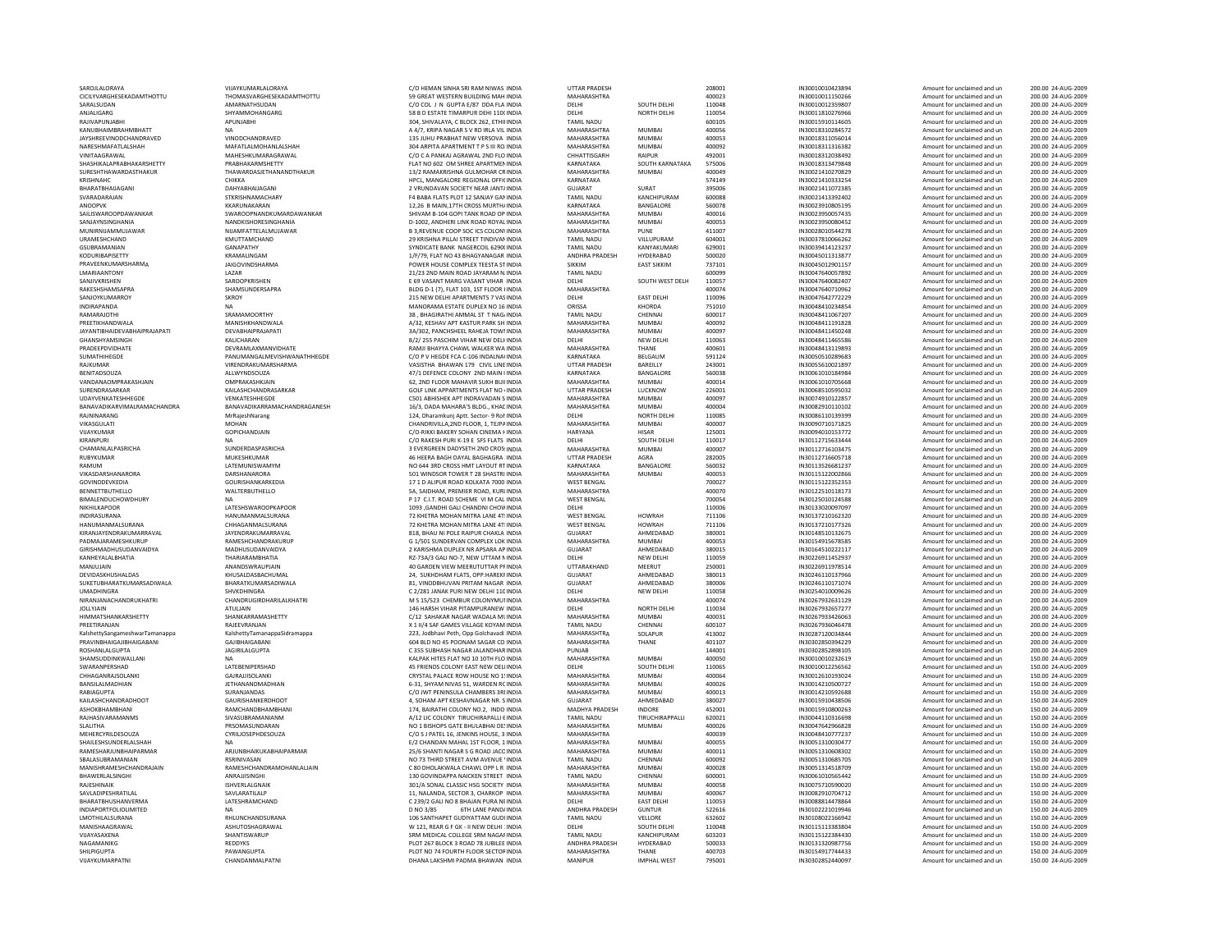| SAROJLALORAYA                       | VIJAYKUMARLALORAYA           | C/O HEMAN SINHA SRI RAM NIWAS INDIA         | UTTAR PRADESH        |                        | 208001      | IN30010010423894 | Amount for unclaimed and un | 200.00 24-AUG-2009 |
|-------------------------------------|------------------------------|---------------------------------------------|----------------------|------------------------|-------------|------------------|-----------------------------|--------------------|
| CICILYVARGHESEKADAMTHOTTU           | THOMASVARGHESEKADAMTHOTTU    | 59 GREAT WESTERN BUILDING MAH INDIA         | MAHARASHTRA          |                        | 400023      | IN30010011150266 | Amount for unclaimed and un | 200.00 24-AUG-2009 |
| SARALSUDAN                          | AMARNATHSUDAN                | C/O COL J N GUPTA E/87 DDA FLA INDIA        | DELHI                | SOUTH DELHI            | 110048      | IN30010012359807 | Amount for unclaimed and un | 200.00 24-AUG-2009 |
| ANJALIGARG                          | SHYAMMOHANGARG               | 58 B D ESTATE TIMARPUR DEHI 110( INDIA      | DELHI                | <b>NORTH DELHI</b>     | 110054      | IN30011810276966 | Amount for unclaimed and un | 200.00 24-AUG-2009 |
|                                     |                              |                                             |                      |                        |             |                  |                             | 200.00 24-AUG-2009 |
| RAJIVAPUNJABH                       | APUNJABHI                    | 304, SHIVALAYA, C BLOCK 262, ETHIHNDIA      | TAMIL NADU           |                        | 600105      | IN30015910114605 | Amount for unclaimed and un |                    |
| KANUBHAIMBRAHMBHATT                 | <b>NA</b>                    | A 4/7, KRIPA NAGAR S V RD IRLA VIL INDIA    | MAHARASHTRA          | <b>MUMBAI</b>          | 400056      | IN30018310284572 | Amount for unclaimed and un | 200.00 24-AUG-2009 |
| <b>JAYSHREEVINODCHANDRAVED</b>      | VINODCHANDRAVED              | 135 JUHU PRABHAT NEW VERSOVA INDIA          | MAHARASHTRA          | MUMBAL                 | 400053      | IN30018311056014 | Amount for unclaimed and un | 200.00 24-AUG-2009 |
| NARESHMAFATLALSHAH                  | MAFATLALMOHANLALSHAH         | 304 ARPITA APARTMENT T P S III RO. INDIA    | MAHARASHTRA          | <b>MUMBAI</b>          | 400092      | IN30018311316382 | Amount for unclaimed and un | 200.00 24-AUG-2009 |
| VINITAAGRAWAL                       | MAHESHKUMARAGRAWAL           | C/O C A PANKAJ AGRAWAL 2ND FLO INDIA        | CHHATTISGARH         | RAIPUR                 | 492001      | IN30018312038492 | Amount for unclaimed and un | 200.00 24-AUG-2009 |
| SHASHIKALAPRABHAKARSHETTY           | PRABHAKARMSHETTY             | FLAT NO 602 OM SHREE APARTMEN INDIA         | KARNATAKA            | SOUTH KARNATAKA        | 575006      | IN30018313479848 | Amount for unclaimed and un | 200.00 24-AUG-2009 |
|                                     |                              |                                             |                      |                        |             |                  |                             |                    |
| SURESHTHAWARDASTHAKUR               | THAWARDASJETHANANDTHAKUR     | 13/2 RAMAKRISHNA GULMOHAR CRINDIA           | MAHARASHTRA          | <b>MUMBAI</b>          | 400049      | IN30021410270829 | Amount for unclaimed and un | 200.00 24-AUG-2009 |
| KRISHNAHC                           | СНІККА                       | HPCL, MANGALORE REGIONAL OFFICINDIA         | KARNATAKA            |                        | 574149      | IN30021410333254 | Amount for unclaimed and un | 200.00 24-AUG-2009 |
| BHARATBHAIJAGANI                    | DAHYABHAUAGANI               | 2 VRUNDAVAN SOCIETY NEAR JANT/ INDIA        | GUJARAT              | SURAT                  | 395006      | IN30021411072385 | Amount for unclaimed and un | 200.00 24-AUG-2009 |
| SVARADARAJAN                        | <b>STKRISHNAMACHARY</b>      | F4 BABA FLATS PLOT 12 SANJAY GAMINDIA       | <b>TAMIL NADU</b>    | KANCHIPURAM            | 600088      | IN30021413392402 | Amount for unclaimed and un | 200.00 24-AUG-2009 |
|                                     | KKARUNAKARAN                 | 12.26 B MAIN.17TH CROSS MURTH/ INDIA        | KARNATAKA            | BANGALORE              | 560078      | IN30023910805195 |                             |                    |
| ANOOPVK                             |                              |                                             |                      |                        |             |                  | Amount for unclaimed and un | 200.00 24-AUG-2009 |
| SAILISWAROOPDAWANKAR                | SWAROOPNANDKUMARDAWANKAR     | SHIVAM B-104 GOPI TANK ROAD OP INDIA        | MAHARASHTRA          | MUMRAI                 | 400016      | IN30023950057435 | Amount for unclaimed and un | 200.00 24-AUG-2009 |
| SANJAYNSINGHANIA                    | NANDKISHORESINGHANIA         | D-1002, ANDHERI LINK ROAD ROYAL INDIA       | MAHARASHTRA          | MUMBAI                 | 400053      | IN30023950080452 | Amount for unclaimed and un | 200.00 24-AUG-2009 |
| MUNIRNIJAMMUJAWAR                   | NIJAMFATTELALMUJAWAR         | B 3.REVENUE COOP SOC ICS COLON\ INDIA       | MAHARASHTRA          | PUNE                   | 411007      | IN30028010544278 | Amount for unclaimed and un | 200.00 24-AUG-2009 |
| URAMESHCHAND                        | KMUTTAMCHAND                 | 29 KRISHNA PILLAI STREET TINDIVAN INDIA     | TAMIL NADU           | VILLUPURAM             | 604001      | IN30037810066262 | Amount for unclaimed and un | 200.00 24-AUG-2009 |
| GSURRAMANIAN                        | <b>GANAPATHY</b>             | SYNDICATE BANK NAGERCOIL 6290(INDIA         | <b>TAMIL NADU</b>    | KANYAKUMARI            | 629001      | IN30039414123237 | Amount for unclaimed and un | 200.00 24-AUG-2009 |
|                                     |                              |                                             |                      |                        |             |                  |                             |                    |
| KODURIBAPISETTY                     | KRAMALINGAM                  | 1/F/79, FLAT NO 43 BHAGYANAGAR INDIA        | ANDHRA PRADESH       | HYDERABAD              | 500020      | IN30045011313877 | Amount for unclaimed and un | 200.00 24-AUG-2009 |
| PRAVEENKUMARSHARMA                  | <b>JAIGOVINDSHARMA</b>       | POWER HOUSE COMPLEX TEESTA STINDIA          | SIKKIM               | <b>EAST SIKKIM</b>     | 737101      | IN30045012901157 | Amount for unclaimed and un | 200.00 24-AUG-2009 |
| LMARIAANTONY                        | LAZAR                        | 21/23 2ND MAIN ROAD JAYARAM NJNDIA          | <b>TAMIL NADU</b>    |                        | 600099      | IN30047640057892 | Amount for unclaimed and un | 200.00 24-AUG-2009 |
| SANJIVKRISHEN                       | SAROOPKRISHEN                | E 69 VASANT MARG VASANT VIHAR INDIA         | DELHI                | SOUTH WEST DELH        | 110057      | IN30047640082407 | Amount for unclaimed and un | 200.00 24-AUG-2009 |
| RAKESHSHAMSAPRA                     | SHAMSUNDERSAPRA              | BLDG D-1 (7), FLAT 103, 1ST FLOOR HNDIA     | MAHARASHTRA          |                        | 400074      | IN30047640710962 | Amount for unclaimed and un | 200.00 24-AUG-2009 |
|                                     |                              |                                             |                      |                        |             |                  |                             |                    |
| SANJOYKUMARROY                      | <b>SKROY</b>                 | 215 NEW DELHI APARTMENTS 7 VASINDIA         | DELHI                | <b>EAST DELHI</b>      | 110096      | IN30047642772229 | Amount for unclaimed and un | 200.00 24-AUG-2009 |
| <b>INDIRAPANDA</b>                  | <b>NA</b>                    | MANORAMA ESTATE DUPLEX NO 16 INDIA          | ORISSA               | KHORDA                 | 751010      | IN30048410234854 | Amount for unclaimed and un | 200.00 24-AUG-2009 |
| RAMARAIOTHI                         | SRAMAMOORTHY                 | 38 . BHAGIRATHI AMMAL ST T NAG/INDIA        | TAMIL NADU           | CHENNAI                | 600017      | IN30048411067207 | Amount for unclaimed and un | 200.00 24-AUG-2009 |
| PREETIKHANDWALA                     | MANISHKHANDWALA              | A/32. KESHAV APT KASTUR PARK SH INDIA       | MAHARASHTRA          | <b>MUMBAI</b>          | 400092      | IN30048411191828 | Amount for unclaimed and un | 200.00 24-AUG-2009 |
| <b>JAYANTIBHAIDEVABHAIPRAJAPATI</b> | DEVARHAIPRAIAPATI            |                                             | MAHARASHTRA          | MUMBAL                 |             |                  |                             |                    |
|                                     |                              | 3A/302, PANCHSHEEL RAHEJA TOWI INDIA        |                      |                        | 400097      | IN30048411450248 | Amount for unclaimed and un | 200.00 24-AUG-2009 |
| GHANSHYAMSINGH                      | KALICHARAN                   | B/2/255 PASCHIM VIHAR NEW DELHNDIA          | DELHI                | NEW DELHI              | 110063      | IN30048411465586 | Amount for unclaimed and un | 200.00 24-AUG-2009 |
| PRADEEPDVIDHATE                     | DEVRAMLAXMANVIDHATE          | RAMJI BHAYYA CHAWL WALKER WA INDIA          | MAHARASHTRA          | THANE                  | 400601      | IN30048413119893 | Amount for unclaimed and un | 200.00 24-AUG-2009 |
| SUMATHIHEGDE                        | PANUMANGALMEVISHWANATHHEGDE  | C/O P V HEGDE FCA C-106 INDALNA( INDIA      | KARNATAKA            | BELGAUM                | 591124      | IN30050510289683 | Amount for unclaimed and un | 200.00 24-AUG-2009 |
| RAIKUMAR                            | VIRENDRAKUMARSHARMA          | VASISTHA BHAWAN 179 CIVIL LINE INDIA        | <b>UTTAR PRADESH</b> | <b>BARFILLY</b>        | 243001      | IN30055610021897 | Amount for unclaimed and un | 200.00 24-AUG-2009 |
|                                     |                              |                                             |                      |                        |             |                  |                             |                    |
| BENITADSOUZA                        | ALLWYNDSOUZA                 | 47/1 DEFENCE COLONY 2ND MAIN I INDIA        | KARNATAKA            | BANGALORE              | 560038      | IN30061010184984 | Amount for unclaimed and un | 200.00 24-AUG-2009 |
| VANDANAOMPRAKASHJAIN                | OMPRAKASHKJAIN               | 62. 2ND FLOOR MAHAVIR SUKH BUILINDIA        | MAHARASHTRA          | <b>MUMBAI</b>          | 400014      | IN30061010705668 | Amount for unclaimed and un | 200.00 24-AUG-2009 |
| SURENDRASARKAR                      | KAILASHCHANDRASARKAR         | <b>GOLF LINK APPARTMENTS FLAT NO «INDIA</b> | <b>UTTAR PRADESH</b> | LUCKNOW                | 226001      | IN30068510595032 | Amount for unclaimed and un | 200.00 24-AUG-2009 |
| <b>UDAYVENKATESHHEGDE</b>           | VENKATESHHEGDE               | C501 ABHISHEK APT INDRAVADAN S INDIA        | MAHARASHTRA          | MUMRAI                 | 400097      | IN30074910122857 | Amount for unclaimed and un | 200.00 24-AUG-2009 |
| BANAVADIKARVIMALRAMACHANDRA         | BANAVADIKARRAMACHANDRAGANESH | 16/3, DADA MAHARA'S BLDG., KHAC INDIA       | MAHARASHTRA          | MUMRAI                 | 400004      | IN30082910110102 | Amount for unclaimed and un | 200.00 24-AUG-2009 |
|                                     |                              |                                             |                      |                        |             |                  |                             |                    |
| RAJNINARANG                         | MrRajeshNarang               | 124, Dharamkunj Aptt. Sector- 9 Rol INDIA   | DELHI                | <b>NORTH DELHI</b>     | 110085      | IN30086110139399 | Amount for unclaimed and un | 200.00 24-AUG-2009 |
| VIKASGULATI                         | <b>MOHAN</b>                 | CHANDRIVILLA.2ND FLOOR, 1, TEJPA INDIA      | MAHARASHTRA          | <b>MUMBAI</b>          | 400007      | IN30090710171825 | Amount for unclaimed and un | 200.00 24-AUG-2009 |
| VUAYKUMAR                           | GOPICHANDJAIN                | C/O-RIKKI BAKERY SOHAN CINEMA FINDIA        | HARYANA              | HISAR                  | 125001      | IN30094010153772 | Amount for unclaimed and un | 200.00 24-AUG-2009 |
| KIRANPURI                           | <b>NA</b>                    | C/O RAKESH PURLK-19 E. SES FLATS, INDIA     | DELHI                | SOUTH DELHI            | 110017      | IN30112715633444 | Amount for unclaimed and un | 200.00 24-AUG-2009 |
|                                     |                              |                                             |                      |                        |             |                  |                             |                    |
| CHAMANLALPASRICHA                   | SUNDERDASPASRICHA            | 3 EVERGREEN DADYSETH 2ND CROS: INDIA        | MAHARASHTRA          | MUMBAI                 | 400007      | IN30112716103475 | Amount for unclaimed and un | 200.00 24-AUG-2009 |
| RUBYKUMAR                           | MUKESHKUMAR                  | 46 HEERA BAGH DAYAL BAGHAGRA : INDIA        | <b>UTTAR PRADESH</b> | AGRA                   | 282005      | IN30112716605718 | Amount for unclaimed and un | 200.00 24-AUG-2009 |
| RAMUM                               | LATEMUNISWAMYM               | NO 644 3RD CROSS HMT LAYOUT RT INDIA        | KARNATAKA            | BANGALORE              | 560032      | IN30113526681237 | Amount for unclaimed and un | 200.00 24-AUG-2009 |
| <b>VIKASDARSHANARORA</b>            | DARSHANARORA                 | 501 WINDSOR TOWER T 28 SHASTRI INDIA        | MAHARASHTRA          | MUMRAI                 | 400053      | IN30115122002866 | Amount for unclaimed and un | 200.00 24-AUG-2009 |
| GOVINDDEVKEDIA                      | <b>GOURISHANKARKEDIA</b>     | 17 1 D ALIPUR ROAD KOLKATA 7000 INDIA       | <b>WEST BENGAL</b>   |                        | 700027      | IN30115122352353 | Amount for unclaimed and un | 200.00 24-AUG-2009 |
|                                     |                              |                                             |                      |                        |             |                  |                             |                    |
| BENNETTBUTHELLO                     | WALTERBUTHELLO               | 5A, SAIDHAM, PREMIER ROAD, KURLINDIA        | MAHARASHTRA          |                        | 400070      | IN30122510118173 | Amount for unclaimed and un | 200.00 24-AUG-2009 |
| BIMALENDUCHOWDHURY                  | <b>NA</b>                    | P 17 C.I.T. ROAD SCHEME VI M CAL INDIA      | WEST BENGAL          |                        | 700054      | IN30125010124588 | Amount for unclaimed and un | 200.00 24-AUG-2009 |
| NIKHILKAPOOR                        | <b>LATESHSWAROOPKAPOOR</b>   | 1093 .GANDHI GALI CHANDNI CHOW INDIA        | DELHI                |                        | 110006      | IN30133020097097 | Amount for unclaimed and un | 200.00 24-AUG-2009 |
| INDIRASURANA                        | HANUMANMALSURANA             | 72 KHETRA MOHAN MITRA LANE 4TI INDIA        | <b>WEST BENGAL</b>   | <b>HOWRAH</b>          | 711106      | IN30137210162320 | Amount for unclaimed and un | 200.00 24-AUG-2009 |
|                                     | CHHAGANMALSURANA             | 72 KHETRA MOHAN MITRA LANE 4TI INDIA        | <b>WEST BENGAL</b>   | <b>HOWRAH</b>          |             | IN30137210177326 |                             | 200.00 24-AUG-2009 |
| HANUMANMALSURANA                    |                              |                                             |                      |                        | 711106      |                  | Amount for unclaimed and un |                    |
| KIRANJAYENDRAKUMARRAVAL             | JAYENDRAKUMARRAVAL           | 818, BHAU NI POLE RAIPUR CHAKLA INDIA       | <b>GUJARAT</b>       | AHMEDABAD              | 380001      | IN30148510132675 | Amount for unclaimed and un | 200.00 24-AUG-2009 |
| PADMAJARAMESHKURUP                  | RAMESHCHANDRAKURUP           | G 1/501 SUNDERVAN COMPLEX LOK INDIA         | MAHARASHTRA          | <b>MUMBAI</b>          | 400053      | IN30154915678585 | Amount for unclaimed and un | 200.00 24-AUG-2009 |
| GIRISHMADHUSUDANVAIDYA              | MADHUSUDANVAIDYA             | 2 KARISHMA DUPLEX NR APSARA AP INDIA        | GUJARAT              | AHMEDABAD              | 380015      | IN30164510222117 | Amount for unclaimed and un | 200.00 24-AUG-2009 |
| KANHEYALALBHATIA                    | THARIARAMBHATIA              | RZ-73A/3 GALI NO-7, NEW UTTAM NINDIA        | DELHI                | NEW DELHI              | 110059      | IN30226911452937 | Amount for unclaimed and un | 200.00 24-AUG-2009 |
|                                     |                              |                                             |                      |                        |             |                  |                             |                    |
| MANJUJAIN                           | ANANDSWRAUPJAIN              | 40 GARDEN VIEW MEERUTUTTAR PFINDIA          | UTTARAKHAND          | MEERUT                 | 250001      | IN30226911978514 | Amount for unclaimed and un | 200.00 24-AUG-2009 |
| DEVIDASKHUSHALDAS                   | KHUSALDASBACHUMAL            | 24. SUKHDHAM FLATS, OPP, HAREKFINDIA        | <b>GUJARAT</b>       | AHMEDABAD              | 380013      | IN30246110137966 | Amount for unclaimed and un | 200.00 24-AUG-2009 |
| SUKETUBHARATKUMARSADIWALA           | BHARATKUMARSADIWALA          | 81. VINODBHUVAN PRITAM NAGAR INDIA          | <b>GUJARAT</b>       | AHMEDABAD              | 380006      | IN30246110171074 | Amount for unclaimed and un | 200.00 24-AUG-2009 |
| UMADHINGRA                          | SHVKDHINGRA                  | C 2/281 JANAK PURLNEW DELHI 110 INDIA       | DELHI                | <b>NEW DELHI</b>       | 110058      | IN30254010009626 | Amount for unclaimed and un | 200.00 24-AUG-2009 |
|                                     |                              |                                             |                      |                        |             |                  |                             |                    |
| NIRANJANACHANDRUKHATRI              | CHANDRUGIRDHARILALKHATRI     | M S 15/523 CHEMBUR COLONYMUI INDIA          | MAHARASHTRA          |                        | 400074      | IN30267932631129 | Amount for unclaimed and un | 200.00 24-AUG-2009 |
| <b>JOLLYJAIN</b>                    | <b>ATULIAIN</b>              | 146 HARSH VIHAR PITAMPURANEW INDIA          | DELHI                | <b>NORTH DELHI</b>     | 110034      | IN30267932657277 | Amount for unclaimed and un | 200.00 24-AUG-2009 |
| HIMMATSHANKARSHETTY                 | SHANKARRAMASHETTY            | C/12 SAHAKAR NAGAR WADALA MUNDIA            | MAHARASHTRA          | <b>MUMBAI</b>          | 400031      | IN30267933426063 | Amount for unclaimed and un | 200.00 24-AUG-2009 |
| PREETIRANIAN                        | RAIFFVRANIAN                 | X 1 II/4 SAF GAMES VILLAGE KOYAM INDIA      | TAMII NADU           | CHENNAL                | 600107      | IN30267936046478 | Amount for unclaimed and un | 200.00 24-AUG-2009 |
| KalshettySangameshwarTamanappa      | KalshettyTamanappaSidramappa | 223, Jodbhavi Peth, Opp Golchavadi INDIA    | MAHARASHTRA          | SOLAPUR                | 413002      | IN30287120034844 | Amount for unclaimed and un | 200.00 24-AUG-2009 |
| PRAVINBHAIGAJIBHAIGABANI            | <b>GAJIBHAIGABAN</b>         | 604 BLD NO 45 POONAM SAGAR CO INDIA         | MAHARASHTRA          | THANE                  | 401107      | IN30302850394229 | Amount for unclaimed and un | 200.00 24-AUG-2009 |
|                                     |                              |                                             | PUNJAB               |                        | 144001      |                  |                             | 200.00 24-AUG-2009 |
| ROSHANLALGUPTA                      | <b>JAGIRILALGUPTA</b>        | C 355 SUBHASH NAGAR JALANDHAR INDIA         |                      |                        |             | IN30302852898105 | Amount for unclaimed and un |                    |
| SHAMSUDDINKWALLANI                  | <b>NA</b>                    | KALPAK HITES FLAT NO 10 10TH FLO INDIA      | MAHARASHTRA          | MUMRAI                 | 400050      | IN30010010232619 | Amount for unclaimed and un | 150.00 24-AUG-2009 |
| SWARANPERSHAD                       | LATEBENIPERSHAD              | 45 FRIENDS COLONY EAST NEW DELIINDIA        | DELHI                | SOUTH DELHI            | 110065      | IN30010012256562 | Amount for unclaimed and un | 150.00 24-AUG-2009 |
| CHHAGANRAJSOLANKI                   | <b>GAJRAJJISOLANKI</b>       | CRYSTAL PALACE ROW HOUSE NO 1! INDIA        | MAHARASHTRA          | MUMBAL                 | 400064      | IN30012610193024 | Amount for unclaimed and un | 150.00 24-AUG-2009 |
| BANSILALMADHIAN                     | <b>JETHANANDMADHIAN</b>      | 6-31, SHYAM NIVAS 51, WARDEN RC INDIA       | MAHARASHTRA          | <b>MUMBAI</b>          | 400026      | IN30014210500727 | Amount for unclaimed and un | 150.00 24-AUG-2009 |
|                                     |                              |                                             |                      |                        |             |                  |                             |                    |
| RABIAGUPTA                          | SURANJANDAS                  | C/O JWT PENINSULA CHAMBERS 3RI INDIA        | MAHARASHTRA          | MUMBAI                 | 400013      | IN30014210592688 | Amount for unclaimed and un | 150.00 24-AUG-2009 |
| KAILASHCHANDRADHOOT                 | GAURISHANKERDHOOT            | 4. SOHAM APT KESHAVNAGAR NR. S INDIA        | <b>GUJARAT</b>       | AHMEDABAD              | 380027      | IN30015910438506 | Amount for unclaimed and un | 150.00 24-AUG-2009 |
| ASHOKBHAMBHANI                      | RAMCHANDBHAMBHANI            | 174, BAIRATHI COLONY NO.2, INDO INDIA       | MADHYA PRADESH       | <b>INDORF</b>          | 452001      | IN30015910800263 | Amount for unclaimed and un | 150.00 24-AUG-2009 |
| RAJHASIVARAMANMS                    | SIVASUBRAMANIANM             | A/12 LIC COLONY TIRUCHIRAPALLI EINDIA       | TAMIL NADU           | TIRUCHIRAPPALLI        | 620021      | IN30044110316698 | Amount for unclaimed and un | 150.00 24-AUG-2009 |
|                                     |                              |                                             | MAHARASHTRA          |                        | 400026      |                  |                             |                    |
| SLALITHA                            | PRSOMASUNDARAN               | NO 1 BISHOPS GATE BHULABHAI DE! INDIA       |                      | <b>MUMBAI</b>          |             | IN30047642966828 | Amount for unclaimed and un | 150.00 24-AUG-2009 |
| MEHERCYRILDESOUZA                   | CYRILIOSEPHDESOUZA           | C/O S J PATEL 16. JENKINS HOUSE, 3 INDIA    | MAHARASHTRA          |                        | 400039      | IN30048410777237 | Amount for unclaimed and un | 150.00 24-AUG-2009 |
| SHAILESHSUNDERLAI SHAH              | NΔ                           | F/2 CHANDAN MAHAI 1ST FLOOR 1 INDIA         | MAHARASHTRA          | MUMBAI                 | 400055      | IN30051310030477 | Amount for unclaimed and un | 150.00 24-AUG-2009 |
| RAMESHARJUNBHAIPARMAR               | ARJUNBHAIKUKABHAIPARMAR      | 25/6 SHANTI NAGAR S G ROAD JACC INDIA       | MAHARASHTRA          | <b>MUMBAI</b>          | 400011      | IN30051310608302 | Amount for unclaimed and un | 150.00 24-AUG-2009 |
| SBALASUBRAMANIAN                    | RSRINIVASAN                  | NO 73 THIRD STREET AVM AVENUE 'INDIA        | <b>TAMIL NADU</b>    | CHENNAI                | 600092      | IN30051310685705 | Amount for unclaimed and un | 150.00 24-AUG-2009 |
|                                     |                              |                                             |                      |                        |             |                  |                             |                    |
| MANISHRAMESHCHANDRAJAIN             | RAMESHCHANDRAMOHANLALJAIN    | C 80 DHOLAKWALA CHAWL OPP L R INDIA         | MAHARASHTRA          | <b>MUMBAI</b>          | 400028      | IN30051314518709 | Amount for unclaimed and un | 150.00 24-AUG-2009 |
| BHAWERLALSINGHI                     | ANRAJJISINGHI                | 130 GOVINDAPPA NAICKEN STREET INDIA         | <b>TAMIL NADU</b>    | CHENNAI                | 600001      | IN30061010565442 | Amount for unclaimed and un | 150.00 24-AUG-2009 |
| RAIFSHINAIK                         | <b>ISHVERLALGNAIK</b>        | 301/A SONAL CLASSIC HSG SOCIETY INDIA       | MAHARASHTRA          | MUMBAI                 | 400058      | IN30075710590020 | Amount for unclaimed and un | 150.00 24-AUG-2009 |
| SAVLADIPESHRATILAL                  | SAVLARATILALP                | 11, NALANDA, SECTOR 3, CHARKOP INDIA        | MAHARASHTRA          | MUMBAI                 | 400067      | IN30082910704712 | Amount for unclaimed and un | 150.00 24-AUG-2009 |
| BHARATBHUSHANVERMA                  | LATESHRAMCHAND               | C 239/2 GALI NO 8 BHAJAN PURA NEINDIA       | DELHI                | <b>EAST DELHI</b>      | 110053      | IN30088814478864 | Amount for unclaimed and un | 150.00 24-AUG-2009 |
|                                     |                              |                                             |                      |                        |             |                  |                             |                    |
| <b>INDIAPORTFOLIOLIMITED</b>        | <b>NA</b>                    | D NO 3/85<br>6TH LANE PAND/INDIA            | ANDHRA PRADESH       | <b>GUNTUR</b>          | 522616      | IN30102221019946 | Amount for unclaimed and un | 150.00 24-AUG-2009 |
| I MOTHILAI SURANA                   | <b>RHI UNCHANDSURANA</b>     | 106 SANTHAPET GUDIYATTAM GUDUNDIA           | <b>TAMIL NADU</b>    | VELLORE                | 632602      | IN30108022166942 | Amount for unclaimed and un | 150.00 24-AUG-2009 |
| MANISHAAGRAWAL                      | ASHUTOSHAGRAWAL              | W 121, REAR G F GK - II NEW DELHI : INDIA   | DELHI                | SOUTH DELHI            | 110048      | IN30115113383804 | Amount for unclaimed and un | 150.00 24-AUG-2009 |
| VUAYASAXENA                         | SHANTISWARUP                 | SRM MEDICAL COLLEGE SRM NAGAF INDIA         | <b>TAMIL NADU</b>    | KANCHIPURAM            | 603203      | IN30115122384430 | Amount for unclaimed and un | 150.00 24-AUG-2009 |
|                                     |                              |                                             |                      |                        |             |                  |                             |                    |
| NAGAMANIKG                          | <b>REDDYKS</b>               | PLOT 267 BLOCK 3 ROAD 78 JUBILEE INDIA      | ANDHRA PRADESH       | HYDERABAD              | 500033      | IN30131320987756 | Amount for unclaimed and un | 150.00 24-AUG-2009 |
| SHII PIGUPTA                        | PAWANGUPTA                   | PLOT NO 74 FOURTH FLOOR SECTOR INDIA        | MAHARASHTRA          | THANF                  | 400703      | IN30154917744433 | Amount for unclaimed and un | 150.00 24-AUG-2009 |
| <b>ILAMMIIS 4 A DD 4</b>            | CUANDANAALDATM               | CUASI DADASA                                |                      | <b>IN ADILIA L. 11</b> | <b>DEOD</b> | 1202020524       |                             |                    |

| <b>S INDIA</b>            | <b>UTTAR PRADESH</b>        |                             | 208001           | IN30010010423894                     | Amount for unclaimed and un                                | 200.00 24-AUG-2009                       |
|---------------------------|-----------------------------|-----------------------------|------------------|--------------------------------------|------------------------------------------------------------|------------------------------------------|
| <b>H INDIA</b>            |                             |                             | 400023           | IN30010011150266                     | Amount for unclaimed and un                                | 200.00 24-AUG-2009                       |
|                           | MAHARASHTRA<br><b>DELHI</b> | SOUTH DELHI                 |                  |                                      |                                                            |                                          |
| A' INDIA                  |                             |                             | 110048           | IN30010012359807                     | Amount for unclaimed and un                                | 200.00 24-AUG-2009                       |
| OC INDIA                  | <b>DELHI</b>                | NORTH DELHI                 | 110054           | IN30011810276966                     | Amount for unclaimed and un                                | 200.00 24-AUG-2009                       |
| <b>HIINDIA</b>            | <b>TAMIL NADU</b>           |                             | 600105           | IN30015910114605                     | Amount for unclaimed and un                                | 200.00 24-AUG-2009                       |
| 'IL INDIA                 | MAHARASHTRA                 | MUMBAI                      | 400056           | IN30018310284572                     | Amount for unclaimed and un                                | 200.00 24-AUG-2009                       |
| A INDIA                   | MAHARASHTRA                 | <b>MUMBAI</b>               | 400053           | IN30018311056014                     | Amount for unclaimed and un                                | 200.00 24-AUG-2009                       |
|                           |                             |                             |                  |                                      |                                                            |                                          |
| O. INDIA                  | MAHARASHTRA                 | <b>MUMBAI</b>               | 400092           | IN30018311316382                     | Amount for unclaimed and un                                | 200.00 24-AUG-2009                       |
| O INDIA                   | CHHATTISGARH                | RAIPUR                      | 492001           | IN30018312038492                     | Amount for unclaimed and un                                | 200.00 24-AUG-2009                       |
| EN INDIA                  | KARNATAKA                   | SOUTH KARNATAKA             | 575006           | IN30018313479848                     | Amount for unclaimed and un                                | 200.00 24-AUG-2009                       |
| CR INDIA                  | MAHARASHTRA                 | <b>MUMBAI</b>               | 400049           | IN30021410270829                     | Amount for unclaimed and un                                | 200.00 24-AUG-2009                       |
|                           | KARNATAKA                   |                             | 574149           | IN30021410333254                     | Amount for unclaimed and un                                | 200.00 24-AUG-2009                       |
| FI(INDIA                  |                             |                             |                  |                                      |                                                            |                                          |
| <b>T/INDIA</b>            | <b>GUJARAT</b>              | SURAT                       | 395006           | IN30021411072385                     | Amount for unclaimed and un                                | 200.00 24-AUG-2009                       |
| AN INDIA                  | <b>TAMIL NADU</b>           | KANCHIPURAM                 | 600088           | IN30021413392402                     | Amount for unclaimed and un                                | 200.00 24-AUG-2009                       |
| <b>H/INDIA</b>            | KARNATAKA                   | BANGALORE                   | 560078           | IN30023910805195                     | Amount for unclaimed and un                                | 200.00 24-AUG-2009                       |
| <b>PINDIA</b>             | MAHARASHTRA                 | <b>MUMBAI</b>               | 400016           | IN30023950057435                     | Amount for unclaimed and un                                | 200.00 24-AUG-2009                       |
|                           | MAHARASHTRA                 | <b>MUMBAI</b>               | 400053           | IN30023950080452                     |                                                            | 200.00 24-AUG-2009                       |
| AL INDIA                  |                             |                             |                  |                                      | Amount for unclaimed and un                                |                                          |
| N'INDIA                   | MAHARASHTRA                 | PUNE                        | 411007           | IN30028010544278                     | Amount for unclaimed and un                                | 200.00 24-AUG-2009                       |
| AN INDIA                  | <b>TAMIL NADU</b>           | VILLUPURAM                  | 604001           | IN30037810066262                     | Amount for unclaimed and un                                | 200.00 24-AUG-2009                       |
| O(INDIA                   | <b>TAMIL NADU</b>           | KANYAKUMARI                 | 629001           | IN30039414123237                     | Amount for unclaimed and un                                | 200.00 24-AUG-2009                       |
| <b>R INDIA</b>            | ANDHRA PRADESH              | HYDERABAD                   | 500020           | IN30045011313877                     | Amount for unclaimed and un                                | 200.00 24-AUG-2009                       |
|                           |                             |                             |                  |                                      |                                                            |                                          |
| ST INDIA                  | SIKKIM                      | <b>EAST SIKKIM</b>          | 737101           | IN30045012901157                     | Amount for unclaimed and un                                | 200.00 24-AUG-2009                       |
| N. INDIA                  | <b>TAMIL NADU</b>           |                             | 600099           | IN30047640057892                     | Amount for unclaimed and un                                | 200.00 24-AUG-2009                       |
| R INDIA                   | DELHI                       | SOUTH WEST DELH             | 110057           | IN30047640082407                     | Amount for unclaimed and un                                | 200.00 24-AUG-2009                       |
| RHINDIA                   | MAHARASHTRA                 |                             | 400074           | IN30047640710962                     | Amount for unclaimed and un                                | 200.00 24-AUG-2009                       |
| AS INDIA                  | DELHI                       | <b>EAST DELHI</b>           | 110096           | IN30047642772229                     | Amount for unclaimed and un                                | 200.00 24-AUG-2009                       |
|                           |                             |                             |                  |                                      |                                                            |                                          |
| 16 INDIA                  | ORISSA                      | KHORDA                      | 751010           | IN30048410234854                     | Amount for unclaimed and un                                | 200.00 24-AUG-2009                       |
| G/INDIA                   | <b>TAMIL NADU</b>           | CHENNAI                     | 600017           | IN30048411067207                     | Amount for unclaimed and un                                | 200.00 24-AUG-2009                       |
| SH INDIA                  | MAHARASHTRA                 | <b>MUMBAI</b>               | 400092           | IN30048411191828                     | Amount for unclaimed and un                                | 200.00 24-AUG-2009                       |
| <b>NI INDIA</b>           | MAHARASHTRA                 | <b>MUMBAI</b>               | 400097           | IN30048411450248                     | Amount for unclaimed and un                                | 200.00 24-AUG-2009                       |
|                           | DELHI                       |                             | 110063           | IN30048411465586                     |                                                            |                                          |
| LI INDIA                  |                             | NEW DELHI                   |                  |                                      | Amount for unclaimed and un                                | 200.00 24-AUG-2009                       |
| A INDIA                   | MAHARASHTRA                 | THANE                       | 400601           | IN30048413119893                     | Amount for unclaimed and un                                | 200.00 24-AUG-2009                       |
| <b>AUNDIA</b>             | KARNATAKA                   | BELGAUM                     | 591124           | IN30050510289683                     | Amount for unclaimed and un                                | 200.00 24-AUG-2009                       |
| NE INDIA                  | <b>UTTAR PRADESH</b>        | BAREILLY                    | 243001           | IN30055610021897                     | Amount for unclaimed and un                                | 200.00 24-AUG-2009                       |
| <b>VINDIA</b>             | KARNATAKA                   | BANGALORE                   | 560038           | IN30061010184984                     | Amount for unclaimed and un                                | 200.00 24-AUG-2009                       |
|                           |                             |                             |                  |                                      |                                                            |                                          |
| <b>JII INDIA</b>          | MAHARASHTRA                 | MUMBAI                      | 400014           | IN30061010705668                     | Amount for unclaimed and un                                | 200.00 24-AUG-2009                       |
| <b>J</b> INDIA            | UTTAR PRADESH               | LUCKNOW                     | 226001           | IN30068510595032                     | Amount for unclaimed and un                                | 200.00 24-AUG-2009                       |
| <b>SINDIA</b>             | MAHARASHTRA                 | <b>MUMBAI</b>               | 400097           | IN30074910122857                     | Amount for unclaimed and un                                | 200.00 24-AUG-2009                       |
| AE INDIA                  | MAHARASHTRA                 | MUMBAI                      | 400004           | IN30082910110102                     | Amount for unclaimed and un                                | 200.00 24-AUG-2009                       |
|                           | DELHI                       |                             |                  |                                      |                                                            |                                          |
| or INDIA                  |                             | NORTH DELHI                 | 110085           | IN30086110139399                     | Amount for unclaimed and un                                | 200.00 24-AUG-2009                       |
| PAINDIA                   | MAHARASHTRA                 | MUMBAI                      | 400007           | IN30090710171825                     | Amount for unclaimed and un                                | 200.00 24-AUG-2009                       |
| <b>I FINDIA</b>           | <b>HARYANA</b>              | HISAR                       | 125001           | IN30094010153772                     | Amount for unclaimed and un                                | 200.00 24-AUG-2009                       |
| S INDIA                   | <b>DELHI</b>                | SOUTH DELHI                 | 110017           | IN30112715633444                     | Amount for unclaimed and un                                | 200.00 24-AUG-2009                       |
| <b>JS: INDIA</b>          | MAHARASHTRA                 | <b>MUMBAI</b>               | 400007           | IN30112716103475                     | Amount for unclaimed and un                                | 200.00 24-AUG-2009                       |
|                           |                             |                             |                  |                                      |                                                            |                                          |
| A : INDIA                 | <b>UTTAR PRADESH</b>        | AGRA                        | 282005           | IN30112716605718                     | Amount for unclaimed and un                                | 200.00 24-AUG-2009                       |
| RT INDIA                  | KARNATAKA                   | BANGALORE                   | 560032           | IN30113526681237                     | Amount for unclaimed and un                                | 200.00 24-AUG-2009                       |
| <b>RI INDIA</b>           | MAHARASHTRA                 | <b>MUMBAI</b>               | 400053           | IN30115122002866                     | Amount for unclaimed and un                                | 200.00 24-AUG-2009                       |
| 00 INDIA                  | <b>WEST BENGAL</b>          |                             | 700027           | IN30115122352353                     | Amount for unclaimed and un                                | 200.00 24-AUG-2009                       |
|                           |                             |                             |                  |                                      |                                                            |                                          |
| <b>RUNDIA</b>             | MAHARASHTRA                 |                             | 400070           | IN30122510118173                     | Amount for unclaimed and un                                | 200.00 24-AUG-2009                       |
| AL INDIA                  | <b>WEST BENGAL</b>          |                             | 700054           | IN30125010124588                     | Amount for unclaimed and un                                | 200.00 24-AUG-2009                       |
| WINDIA                    | DELHI                       |                             | 110006           | IN30133020097097                     | Amount for unclaimed and un                                | 200.00 24-AUG-2009                       |
| <b>ITIINDIA</b>           | <b>WEST RENGAL</b>          | <b>HOWRAH</b>               | 711106           | IN30137210162320                     | Amount for unclaimed and un                                | 200.00 24-AUG-2009                       |
| <b>ITIINDIA</b>           | <b>WEST BENGAL</b>          | <b>HOWRAH</b>               | 711106           | IN30137210177326                     | Amount for unclaimed and un                                | 200.00 24-AUG-2009                       |
|                           |                             |                             |                  |                                      |                                                            |                                          |
| A INDIA                   | GUJARAT                     | AHMEDABAD                   | 380001           | IN30148510132675                     | Amount for unclaimed and un                                | 200.00 24-AUG-2009                       |
| <b>INDIA</b>              | MAHARASHTRA                 |                             | 400053           | IN30154915678585                     | Amount for unclaimed and un                                |                                          |
| AP INDIA                  |                             | MUMBAI                      |                  |                                      |                                                            |                                          |
|                           | GUJARAT                     | AHMEDABAD                   | 380015           | IN30164510222117                     | Amount for unclaimed and un                                | 200.00 24-AUG-2009<br>200.00 24-AUG-2009 |
|                           |                             |                             |                  |                                      |                                                            |                                          |
| I NINDIA                  | DELHI                       | <b>NEW DELHI</b>            | 110059           | IN30226911452937                     | Amount for unclaimed and un                                | 200.00 24-AUG-2009                       |
| PF INDIA                  | UTTARAKHAND                 | MEERUT                      | 250001           | IN30226911978514                     | Amount for unclaimed and un                                | 200.00 24-AUG-2009                       |
| <b>KFINDIA</b>            | GUJARAT                     | AHMEDABAD                   | 380013           | IN30246110137966                     | Amount for unclaimed and un                                | 200.00 24-AUG-2009                       |
| R INDIA                   | GUJARAT                     | AHMEDABAD                   | 380006           | IN30246110171074                     | Amount for unclaimed and un                                | 200.00 24-AUG-2009                       |
|                           |                             |                             |                  |                                      |                                                            |                                          |
| 10 INDIA                  | DELHI                       | <b>NEW DELHI</b>            | 110058           | IN30254010009626                     | Amount for unclaimed and un                                | 200.00 24-AUG-2009                       |
| <b>UI INDIA</b>           | MAHARASHTRA                 |                             | 400074           | IN30267932631129                     | Amount for unclaimed and un                                | 200.00 24-AUG-2009                       |
| W INDIA                   | DELHI                       | NORTH DELHI                 | 110034           | IN30267932657277                     | Amount for unclaimed and un                                | 200.00 24-AUG-2009                       |
| <b>ALINDIA</b>            | MAHARASHTRA                 | <b>MUMBAI</b>               | 400031           | IN30267933426063                     | Amount for unclaimed and un                                | 200.00 24-AUG-2009                       |
| M INDIA                   | <b>TAMIL NADU</b>           | CHENNAL                     | 600107           | IN30267936046478                     | Amount for unclaimed and un                                | 200.00 24-AUG-2009                       |
| di INDIA                  | MAHARASHTRA                 | SOLAPUR                     | 413002           | IN30287120034844                     | Amount for unclaimed and un                                | 200.00 24-AUG-2009                       |
|                           |                             |                             |                  |                                      |                                                            |                                          |
| O INDIA                   | MAHARASHTRA                 | THANE                       | 401107           | IN30302850394229                     | Amount for unclaimed and un                                | 200.00 24-AUG-2009                       |
| AR INDIA                  | PUNJAB                      |                             | 144001           | IN30302852898105                     | Amount for unclaimed and un                                | 200.00 24-AUG-2009                       |
| O INDIA                   | MAHARASHTRA                 | MUMBAI                      | 400050           | IN30010010232619                     | Amount for unclaimed and un                                | 150.00 24-AUG-2009                       |
| FIIINDIA                  | <b>DELHI</b>                | SOUTH DELHI                 | 110065           | IN30010012256562                     | Amount for unclaimed and un                                | 150.00 24-AUG-2009                       |
|                           |                             |                             |                  |                                      |                                                            |                                          |
| 1! INDIA                  | MAHARASHTRA                 | <b>MUMBAI</b>               | 400064           | IN30012610193024                     | Amount for unclaimed and un                                | 150.00 24-AUG-2009                       |
| <b>RCINDIA</b>            | MAHARASHTRA                 | MUMBAI                      | 400026           | IN30014210500727                     | Amount for unclaimed and un                                | 150.00 24-AUG-2009                       |
| <b>RI INDIA</b>           | MAHARASHTRA                 | <b>MUMBAI</b>               | 400013           | IN30014210592688                     | Amount for unclaimed and un                                | 150.00 24-AUG-2009                       |
| . S INDIA                 | <b>GUJARAT</b>              | AHMEDABAD                   | 380027           | IN30015910438506                     | Amount for unclaimed and un                                | 150.00 24-AUG-2009                       |
| O INDIA                   | <b>MADHYA PRADESH</b>       | <b>INDORF</b>               | 452001           | IN30015910800263                     | Amount for unclaimed and un                                | 150.00 24-AUG-2009                       |
|                           |                             |                             |                  |                                      |                                                            |                                          |
| I EINDIA                  | TAMIL NADU                  | TIRUCHIRAPPALLI             | 620021           | IN30044110316698                     | Amount for unclaimed and un                                | 150.00 24-AUG-2009                       |
| E! INDIA                  | MAHARASHTRA                 | <b>MUMBAI</b>               | 400026           | IN30047642966828                     | Amount for unclaimed and un                                | 150.00 24-AUG-2009                       |
| 3 INDIA                   | MAHARASHTRA                 |                             | 400039           | IN30048410777237                     | Amount for unclaimed and un                                | 150.00 24-AUG-2009                       |
| 1 INDIA                   | MAHARASHTRA                 | <b>MUMBAI</b>               | 400055           | IN30051310030477                     | Amount for unclaimed and un                                | 150.00 24-AUG-2009                       |
|                           |                             | <b>MUMBAI</b>               |                  |                                      |                                                            |                                          |
| CCINDIA                   | MAHARASHTRA                 |                             | 400011           | IN30051310608302                     | Amount for unclaimed and un                                | 150.00 24-AUG-2009                       |
| E 'INDIA                  | <b>TAMIL NADU</b>           | CHENNAI                     | 600092           | IN30051310685705                     | Amount for unclaimed and un                                | 150.00 24-AUG-2009                       |
| R INDIA                   | MAHARASHTRA                 | MUMBAI                      | 400028           | IN30051314518709                     | Amount for unclaimed and un                                | 150.00 24-AUG-2009                       |
| T INDIA                   | <b>TAMIL NADU</b>           | CHENNAL                     | 600001           | IN30061010565442                     | Amount for unclaimed and un                                | 150.00 24-AUG-2009                       |
| Y INDIA                   | MAHARASHTRA                 | <b>MUMBAI</b>               | 400058           | IN30075710590020                     | Amount for unclaimed and un                                | 150.00 24-AUG-2009                       |
|                           |                             |                             |                  |                                      |                                                            |                                          |
| P INDIA                   | MAHARASHTRA                 | MUMBAI                      | 400067           | IN30082910704712                     | Amount for unclaimed and un                                | 150.00 24-AUG-2009                       |
| NE INDIA                  | DELHI                       | <b>EAST DELHI</b>           | 110053           | IN30088814478864                     | Amount for unclaimed and un                                | 150.00 24-AUG-2009                       |
| <b>D/INDIA</b>            | ANDHRA PRADESH              | <b>GUNTUR</b>               | 522616           | IN30102221019946                     | Amount for unclaimed and un                                | 150.00 24-AUG-2009                       |
| DIINDIA                   | <b>TAMIL NADU</b>           | VELLORE                     | 632602           | IN30108022166942                     | Amount for unclaimed and un                                | 150.00 24-AUG-2009                       |
| II:INDIA                  | <b>DELHI</b>                | SOUTH DELHI                 | 110048           | IN30115113383804                     | Amount for unclaimed and un                                | 150.00 24-AUG-2009                       |
|                           |                             |                             |                  |                                      |                                                            |                                          |
| AF INDIA                  | <b>TAMIL NADU</b>           | KANCHIPURAM                 | 603203           | IN30115122384430                     | Amount for unclaimed and un                                | 150.00 24-AUG-2009                       |
| EE INDIA                  | ANDHRA PRADESH              | <b>HYDERABAD</b>            | 500033           | IN30131320987756                     | Amount for unclaimed and un                                | 150.00 24-AUG-2009                       |
| <b>ORINDIA</b><br>N INDIA | MAHARASHTRA<br>MANIPUR      | THANE<br><b>IMPHAL WEST</b> | 400703<br>795001 | IN30154917744433<br>IN30302852440097 | Amount for unclaimed and un<br>Amount for unclaimed and un | 150.00 24-AUG-2009<br>150.00 24-AUG-2009 |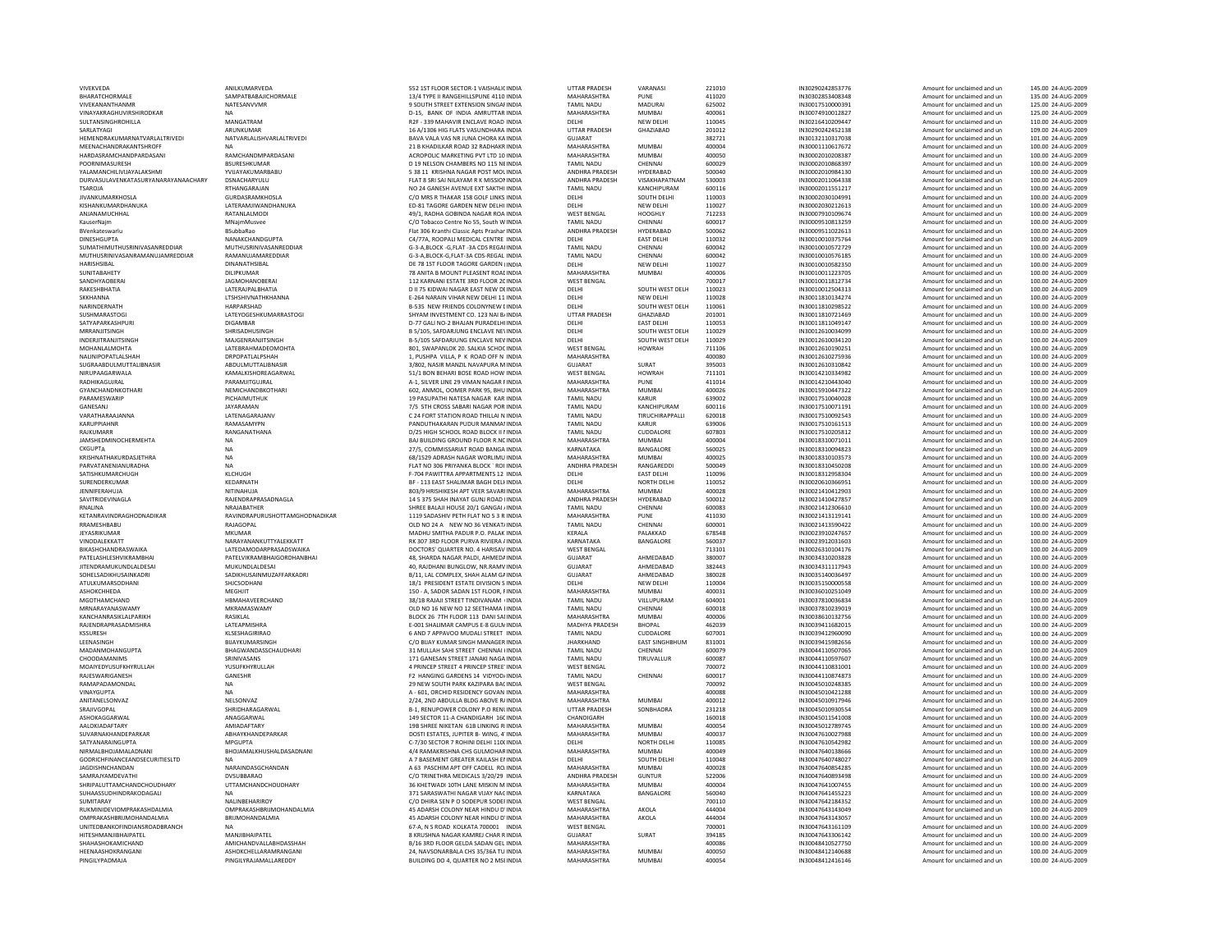| VIVEKVEDA<br>BHARATCHORMALE         | ANILKUMARVEDA                   | 552 1ST FLOOR SECTOR-1 VAISHALIC INDIA      | <b>UTTAR PRADESH</b>  | VARANASI              | 221010 | IN30290242853776 | Amount for unclaimed and un | 145.00 24-AUG-2009 |
|-------------------------------------|---------------------------------|---------------------------------------------|-----------------------|-----------------------|--------|------------------|-----------------------------|--------------------|
|                                     | SAMPATBABAJICHORMALE            | 13/4 TYPE II RANGEHILLSPUNE 4110 INDIA      | MAHARASHTRA           | PUNE                  | 411020 | IN30302853408348 | Amount for unclaimed and un | 135.00 24-AUG-2009 |
| VIVEKANANTHANMR                     | NATESANVVMR                     | 9 SOUTH STREET EXTENSION SINGAF INDIA       | <b>TAMIL NADU</b>     | MADURAI               | 625002 | IN30017510000391 | Amount for unclaimed and un | 125.00 24-AUG-2009 |
|                                     |                                 |                                             |                       |                       |        |                  |                             |                    |
| VINAYAKRAGHUVIRSHIRODKAR            | <b>NA</b>                       | D-15. BANK OF INDIA AMRUTTAR INDIA          | MAHARASHTRA           | <b>MUMBAI</b>         | 400061 | IN30074910012827 | Amount for unclaimed and un | 125.00 24-AUG-2009 |
| SULTANSINGHROHILLA                  | MANGATRAM                       | R2E - 339 MAHAVIR ENCLAVE ROAD INDIA        | DELHI                 | NFW DFI HI            | 110045 | IN30216410209447 | Amount for unclaimed and un | 110.00 24-AUG-2009 |
| SARI ATYAGI                         | ARUNKUMAR                       | 16 A/1306 HIG FLATS VASUNDHARA INDIA        | <b>UTTAR PRADESH</b>  | GHAZIABAD             | 201012 | IN30290242452138 | Amount for unclaimed and un | 109.00 24-AUG-2009 |
| HEMENDRAKUMARNATVARLALTRIVEDI       | NATVARLALISHVARLALTRIVEDI       | BAVA VALA VAS NR JUNA CHORA KA INDIA        | <b>GUJARAT</b>        |                       | 382721 | IN30132110317038 | Amount for unclaimed and un | 101.00 24-AUG-2009 |
| MEENACHANDRAKANTSHROFF              |                                 | 21 B KHADILKAR ROAD 32 RADHAKR INDIA        | MAHARASHTRA           | MUMRAI                | 400004 | IN30001110617672 | Amount for unclaimed and un | 100.00 24-AUG-2009 |
|                                     | RAMCHANDMPARDASANI              |                                             |                       |                       |        |                  |                             |                    |
| HARDASRAMCHANDPARDASANI             |                                 | ACROPOLIC MARKETING PVT LTD 10 INDIA        | MAHARASHTRA           | <b>MUMBAI</b>         | 400050 | IN30002010208387 | Amount for unclaimed and un | 100.00 24-AUG-2009 |
| <b>POORNIMASURESH</b>               | BSURESHKUMAR                    | D 19 NELSON CHAMBERS NO 115 NEINDIA         | <b>TAMIL NADU</b>     | CHENNAI               | 600029 | IN30002010868397 | Amount for unclaimed and un | 100.00 24-AUG-2009 |
| YALAMANCHILIVIJAYALAKSHMI           | YVIJAYAKUMARBABU                | 5 38 11 KRISHNA NAGAR POST MOL INDIA        | ANDHRA PRADESH        | HYDERABAD             | 500040 | IN30002010984130 | Amount for unclaimed and un | 100.00 24-AUG-2009 |
| DURVASULAVENKATASURYANARAYANAACHARY | DSNACHARYULU                    | FLAT 8 SRI SAI NILAYAM R K MISSION INDIA    | ANDHRA PRADESH        | VISAKHAPATNAM         | 530003 | IN30002011064338 | Amount for unclaimed and un | 100.00 24-AUG-2009 |
| TSAROIA                             | RTHANGARAJAN                    | NO 24 GANESH AVENUE EXT SAKTHI INDIA        | <b>TAMIL NADU</b>     | KANCHIPURAM           | 600116 | IN30002011551217 | Amount for unclaimed and un | 100.00 24-AUG-2009 |
|                                     |                                 |                                             |                       |                       |        |                  |                             |                    |
| <b>JIVANKUMARKHOSLA</b>             | GURDASRAMKHOSLA                 | C/O MRS R THAKAR 158 GOLF LINKS INDIA       | DELHI                 | SOUTH DELHI           | 110003 | IN30002030104991 | Amount for unclaimed and un | 100.00 24-AUG-2009 |
| KISHANKUMARDHANUKA                  | LATERAMJIWANDHANUKA             | ED-81 TAGORE GARDEN NEW DELHI INDIA         | <b>DELHI</b>          | <b>NEW DELHI</b>      | 110027 | IN30002030212613 | Amount for unclaimed and un | 100.00 24-AUG-2009 |
| ANJANAMUCHHAL                       | RATANLALMOD                     | 49/1, RADHA GOBINDA NAGAR ROA INDIA         | <b>WEST BENGAL</b>    | <b>HOOGHLY</b>        | 712233 | IN30007910109674 | Amount for unclaimed and un | 100.00 24-AUG-2009 |
| KauserNaim                          | MNaimMusvee                     | C/O Tobacco Centre No 55, South W INDIA     | <b>TAMIL NADU</b>     | CHENNAI               | 600017 | IN30009510813259 | Amount for unclaimed and un | 100.00 24-AUG-2009 |
|                                     |                                 |                                             | ANDHRA PRADESH        | HYDERABAD             | 500062 | IN30009511022613 |                             | 100.00 24-AUG-2009 |
| BVenkateswarlu                      | BSubbaRao                       | Flat 306 Kranthi Classic Apts Prashar INDIA |                       |                       |        |                  | Amount for unclaimed and un |                    |
| <b>DINESHGUPTA</b>                  | NANAKCHANDGUPTA                 | C4/77A ROOPALLMEDICAL CENTRE INDIA          | DELHI                 | <b>FAST DELHI</b>     | 110032 | IN30010010375764 | Amount for unclaimed and un | 100.00 24-AUG-2009 |
| SUMATHIMUTHUSRINIVASANREDDIAR       | MUTHUSRINIVASANREDDIAR          | G-3-A, BLOCK -G, FLAT -3A CDS REGALINDIA    | <b>TAMIL NADU</b>     | CHENNAI               | 600042 | IN30010010572729 | Amount for unclaimed and un | 100.00 24-AUG-2009 |
| MUTHUSRINIVASANRAMANUJAMREDDIAR     | RAMANUJAMAREDDIAR               | G-3-A.BLOCK-G.FLAT-3A CDS-REGAL INDIA       | <b>TAMIL NADL</b>     | CHENNAI               | 600042 | IN30010010576185 | Amount for unclaimed and un | 100.00 24-AUG-2009 |
| HARISHSIBAL                         | DINANATHSIBAL                   | DE 78 1ST FLOOR TAGORE GARDEN IINDIA        | DELHI                 | <b>NEW DELHI</b>      | 110027 | IN30010010582350 | Amount for unclaimed and un | 100.00 24-AUG-2009 |
| SUNITARAHETY                        | DILIPKUMAR                      | 78 ANITA B MOUNT PLEASENT ROAF INDIA        | MAHARASHTRA           | MUMRAI                | 400006 | IN30010011223705 | Amount for unclaimed and un | 100.00 24-AUG-2009 |
|                                     |                                 |                                             |                       |                       |        |                  |                             |                    |
| SANDHYAOBERAI                       | <b>JAGMOHANOBERAI</b>           | 112 KARNANI ESTATE 3RD FLOOR 20 INDIA       | <b>WEST BENGAL</b>    |                       | 700017 | IN30010011812734 | Amount for unclaimed and un | 100.00 24-AUG-2009 |
| RAKESHBHATIA                        | LATERAJPALBHATIA                | D II 75 KIDWAI NAGAR EAST NEW DEINDIA       | DELHI                 | SOUTH WEST DELH       | 110023 | IN30010012504313 | Amount for unclaimed and un | 100.00 24-AUG-2009 |
| <b>SKKHANNA</b>                     | LTSHSHIVNATHKHANNA              | E-264 NARAIN VIHAR NEW DELHI 11 INDIA       | DELHI                 | NEW DELHI             | 110028 | IN30011810134274 | Amount for unclaimed and un | 100.00 24-AUG-2009 |
| NARINDERNATH                        | HARPARSHAD                      | <b>B-535 NEW FRIENDS COLONYNEW LINDIA</b>   | DELHI                 | SOUTH WEST DELH       | 110061 | IN30011810298522 | Amount for unclaimed and un | 100.00 24-AUG-2009 |
| SUSHMARASTOGI                       | <b>LATEYOGESHKUMARRASTOGI</b>   | SHYAM INVESTMENT CO. 123 NAI B/INDIA        | <b>UTTAR PRADESH</b>  | GHA7IARAD             | 201001 | IN30011810721469 | Amount for unclaimed and un | 100.00 24-AUG-2009 |
|                                     |                                 |                                             |                       |                       |        |                  |                             |                    |
| SATYAPARKASHPUR                     | <b>DIGAMBAR</b>                 | D-77 GALI NO-2 BHAJAN PURADELHI INDIA       | DELHI                 | <b>EAST DELHI</b>     | 110053 | IN30011811049147 | Amount for unclaimed and un | 100.00 24-AUG-2009 |
| MRRANJITSINGH                       | SHRISADHUSINGH                  | B 5/105, SAFDARJUNG ENCLAVE NEVINDIA        | DELHI                 | SOUTH WEST DELH       | 110029 | IN30012610034099 | Amount for unclaimed and un | 100.00 24-AUG-2009 |
| INDERJITRANJITSINGH                 | MAJGENRANJITSINGH               | B-5/105 SAFDARJUNG ENCLAVE NEV INDIA        | DELHI                 | SOUTH WEST DELH       | 110029 | IN30012610034120 | Amount for unclaimed and un | 100.00 24-AUG-2009 |
| MOHANI AI MOHTA                     | <b>I ATFRRAHMADEOMOHTA</b>      | 801. SWAPANI OK 20. SALKIA SCHOC INDIA      | <b>WEST RENGAL</b>    | <b>HOWRAH</b>         | 711106 | IN30012610190251 | Amount for unclaimed and un | 100.00 24-AUG-2009 |
|                                     |                                 |                                             |                       |                       |        |                  |                             |                    |
| NALINIPOPATLALSHAH                  | <b>DRPOPATLALPSHAH</b>          | 1. PUSHPA VILLA, P K ROAD OFF N INDIA       | MAHARASHTRA           |                       | 400080 | IN30012610275936 | Amount for unclaimed and un | 100.00 24-AUG-2009 |
| SUGRAABDULMUTTALIBNASIR             | ABDULMUTTALIBNASIR              | 3/802. NASIR MANZIL NAVAPURA M INDIA        | GUIARAT               | SURAT                 | 395003 | IN30012610310842 | Amount for unclaimed and un | 100.00 24-AUG-2009 |
| NIRUPAAGARWALA                      | KAMALKISHOREAGARWAL             | 51/1 BON BEHARI BOSE ROAD HOW INDIA         | <b>WEST BENGAL</b>    | HOWRAH                | 711101 | IN30014210334982 | Amount for unclaimed and un | 100.00 24-AUG-2009 |
| RADHIKAGUJRAL                       | PARAMJITGUJRAL                  | A-1. SILVER LINE 29 VIMAN NAGAR FINDIA      | <b>MAHARASHTRA</b>    | PUNE                  | 411014 | IN30014210443040 | Amount for unclaimed and un | 100.00 24-AUG-2009 |
|                                     | NEMICHANDRKOTHARI               |                                             | MAHARASHTRA           | MUMRAI                | 400026 |                  | Amount for unclaimed and un | 100.00 24-AUG-2009 |
| GYANCHANDNKOTHARI                   |                                 | 602. ANMOL. OOMER PARK 95, BHU INDIA        |                       |                       |        | IN30015910447322 |                             |                    |
| PARAMESWARIP                        | PICHAIMUTHUK                    | 19 PASUPATHI NATESA NAGAR KAR INDIA         | <b>TAMIL NADU</b>     | KARUR                 | 639002 | IN30017510040028 | Amount for unclaimed and un | 100.00 24-AUG-2009 |
| GANESANJ                            | <b>JAYARAMAN</b>                | 7/5 5TH CROSS SABARI NAGAR POR INDIA        | <b>TAMIL NADU</b>     | KANCHIPURAM           | 600116 | IN30017510071191 | Amount for unclaimed and un | 100.00 24-AUG-2009 |
| VARATHARAAJANNA                     | LATENAGARAJANV                  | C 24 FORT STATION ROAD THILLAI N INDIA      | <b>TAMIL NADU</b>     | TIRUCHIRAPPALLI       | 620018 | IN30017510092543 | Amount for unclaimed and un | 100.00 24-AUG-2009 |
| <b>KARUPPIAHNR</b>                  | RAMASAMYPN                      | PANDUTHAKARAN PUDUR MANMAI INDIA            | <b>TAMIL NADU</b>     | <b>KARUR</b>          | 639006 | IN30017510161513 | Amount for unclaimed and un | 100.00 24-AUG-2009 |
|                                     |                                 |                                             |                       |                       |        |                  |                             |                    |
| RAJKUMARR                           | RANGANATHANA                    | D/25 HIGH SCHOOL ROAD BLOCK II I INDIA      | <b>TAMIL NADU</b>     | CUDDALORE             | 607803 | IN30017510205812 | Amount for unclaimed and un | 100.00 24-AUG-2009 |
| JAMSHEDMINOCHERMEHTA                | NA                              | BAJ BUILDING GROUND FLOOR R.NC INDIA        | MAHARASHTRA           | <b>MUMBAI</b>         | 400004 | IN30018310071011 | Amount for unclaimed and un | 100.00 24-AUG-2009 |
| <b>CKGUPTA</b>                      | NA                              | 27/5, COMMISSARIAT ROAD BANGA INDIA         | KARNATAKA             | BANGALORE             | 560025 | IN30018310094823 | Amount for unclaimed and un | 100.00 24-AUG-2009 |
| KRISHNATHAKURDASJETHRA              | <b>NA</b>                       | 68/1529 ADRASH NAGAR WORLIMU INDIA          | MAHARASHTRA           | <b>MUMBAI</b>         | 400025 | IN30018310103573 | Amount for unclaimed and un | 100.00 24-AUG-2009 |
| PARVATANENIANURADHA                 | <b>NA</b>                       | FLAT NO 306 PRIYANKA BLOCK ` ROI INDIA      | ANDHRA PRADESH        | RANGAREDDI            | 500049 | IN30018310450208 | Amount for unclaimed and un | 100.00 24-AUG-2009 |
|                                     |                                 |                                             |                       |                       |        |                  |                             |                    |
| SATISHKUMARCHUGH                    | KLCHUGH                         | F-704 PAWITTRA APPARTMENTS 12 INDIA         | DELHI                 | <b>EAST DELHI</b>     | 110096 | IN30018312958304 | Amount for unclaimed and un | 100.00 24-AUG-2009 |
| SURENDERKUMAR                       | KEDARNATH                       | BF - 113 EAST SHALIMAR BAGH DELI INDIA      | DELHI                 | NORTH DELHI           | 110052 | IN30020610366951 | Amount for unclaimed and un | 100.00 24-AUG-2009 |
| <b>JENNIFERAHUJA</b>                | NITINAHUJA                      | 803/9 HRISHIKESH APT VEER SAVARIINDIA       | MAHARASHTRA           |                       |        | IN30021410412903 | Amount for unclaimed and un | 100.00 24-AUG-2009 |
|                                     |                                 |                                             |                       |                       |        |                  |                             |                    |
|                                     |                                 |                                             |                       | <b>MUMBAI</b>         | 400028 |                  |                             |                    |
| SAVITRIDEVINAGLA                    | RAJENDRAPRASADNAGLA             | 14 5 375 SHAH INAYAT GUNJ ROAD IINDIA       | ANDHRA PRADESH        | HYDERABAD             | 500012 | IN30021410427857 | Amount for unclaimed and un | 100.00 24-AUG-2009 |
| <b>RNAI INA</b>                     | NRAIARATHER                     | SHREE BALAILHOUSE 20/1 GANGAL/INDIA         | <b>TAMIL NADU</b>     | CHENNAL               | 600083 | IN30021412306610 | Amount for unclaimed and un | 100.00 24-AUG-2009 |
| KETANRAVINDRAGHODNADIKAR            | RAVINDRAPURUSHOTTAMGHODNADIKAR  | 1119 SADASHIV PETH FLAT NO 5 3 R INDIA      | <b>MAHARASHTRA</b>    | PUNE                  | 411030 | IN30021413119141 | Amount for unclaimed and un | 100.00 24-AUG-2009 |
|                                     |                                 |                                             |                       |                       |        |                  |                             |                    |
| RRAMESHBABL                         | RAJAGOPAL                       | OLD NO 24 A NEW NO 36 VENKAT/ INDIA         | <b>TAMIL NADU</b>     | CHENNAI               | 600001 | IN30021413590422 | Amount for unclaimed and un | 100.00 24-AUG-2009 |
| JEYASRIKUMAR                        | <b>MKUMAR</b>                   | MADHU SMITHA PADUR P.O. PALAK INDIA         | KERALA                | PALAKKAD              | 678548 | IN30023910247657 | Amount for unclaimed and un | 100.00 24-AUG-2009 |
| VINODALEKKATT                       | NARAYANANKUTTYALEKKATT          | RK 307 3RD FLOOR PURVA RIVIERA / INDIA      | KARNATAKA             | BANGALORE             | 560037 | IN30023912031603 | Amount for unclaimed and un | 100.00 24-AUG-2009 |
| <b>RIKASHCHANDRASWAIKA</b>          | <b>I ATFDAMODARPRASADSWAIKA</b> | DOCTORS' OUARTER NO. 4 HARISAV INDIA        | <b>WEST RENGAL</b>    |                       | 713101 | IN30026310104176 | Amount for unclaimed and un | 100.00 24-AUG-2009 |
|                                     | PATELVIKRAMBHAIGORDHANBHAI      |                                             | GUJARAT               |                       | 380007 |                  | Amount for unclaimed and un | 100.00 24-AUG-2009 |
| PATELASHLESHVIKRAMBHAI              |                                 | 48, SHARDA NAGAR PALDI, AHMEDA INDIA        |                       | AHMEDABAD             |        | IN30034310203828 |                             |                    |
| JITENDRAMUKUNDLALDESAI              | MUKUNDLALDESAI                  | 40, RAJDHANI BUNGLOW, NR.RAMV INDIA         | <b>GUJARAT</b>        | AHMEDABAD             | 382443 | IN30034311117943 | Amount for unclaimed and un | 100.00 24-AUG-2009 |
| SOHELSADIKHUSAINKADRI               | SADIKHUSAINMUZAFFARKADRI        | B/11, LAL COMPLEX, SHAH ALAM GAINDIA        | <b>GUJARAT</b>        | AHMEDABAD             | 380028 | IN30035140036497 | Amount for unclaimed and un | 100.00 24-AUG-2009 |
| ATULKUMARSODHANI                    | SHICSODHANI                     | 18/1 PRESIDENT ESTATE DIVISION S INDIA      | DELHI                 | <b>NEW DELHI</b>      | 110004 | IN30035150000558 | Amount for unclaimed and un | 100.00 24-AUG-2009 |
| <b>АЅНОКСННЕDA</b>                  | MEGHJIT                         | 150 - A, SADOR SADAN 1ST FLOOR, FINDIA      | MAHARASHTRA           | <b>MUMBAI</b>         | 400031 | IN30036010251049 | Amount for unclaimed and un | 100.00 24-AUG-2009 |
| MGOTHAMCHAND                        | HBMAHAVEERCHAND                 | 38/1B RAJAJI STREET TINDIVANAM (INDIA       | <b>TAMIL NADU</b>     | VILLUPURAM            | 604001 | IN30037810036834 | Amount for unclaimed and un | 100.00 24-AUG-2009 |
|                                     |                                 |                                             |                       |                       |        |                  |                             |                    |
| MRNARAYANASWAMY                     | MKRAMASWAMY                     | OLD NO 16 NEW NO 12 SEETHAMA I INDIA        | <b>TAMIL NADU</b>     | CHENNAI               | 600018 | IN30037810239019 | Amount for unclaimed and un | 100.00 24-AUG-2009 |
| KANCHANRASIKLALPARIKH               | RASIKLAL                        | BLOCK 26 7TH FLOOR 113 DANI SAI INDIA       | MAHARASHTRA           | <b>MUMBAI</b>         | 400006 | IN30038610132756 | Amount for unclaimed and un | 100.00 24-AUG-2009 |
| RAIFNDRAPRASADMISHRA                | LATEAPMISHRA                    | E-001 SHALIMAR CAMPUS E-8 GULN INDIA        | MADHYA PRADESH        | <b>BHOPAL</b>         | 462039 | IN30039411682015 | Amount for unclaimed and un | 100.00 24-AUG-2009 |
| KSSURESH                            | KLSESHAGIRIRAO                  | 6 AND 7 APPAVOO MUDALI STREET INDIA         | <b>TAMIL NADU</b>     | CUDDALORE             | 607001 | IN30039412960090 | Amount for unclaimed and un | 100.00 24-AUG-2009 |
| LEENASINGH                          | <b>BUAYKUMARSINGH</b>           | C/O BIJAY KUMAR SINGH MANAGER INDIA         | <b>JHARKHAND</b>      | <b>EAST SINGHBHUM</b> | 831001 | IN30039415982656 | Amount for unclaimed and un | 100.00 24-AUG-2009 |
|                                     |                                 |                                             |                       | CHENNAL               |        |                  |                             | 100.00 24-AUG-2009 |
| MADANMOHANGUPTA                     | BHAGWANDASSCHAUDHARI            | 31 MULLAH SAHI STREET CHENNAI (INDIA        | <b>TAMIL NADU</b>     |                       | 600079 | IN30044110507065 | Amount for unclaimed and un |                    |
| CHOODAMANIMS                        | SRINIVASANS                     | 171 GANESAN STREET JANAKI NAGA INDIA        | <b>TAMIL NADU</b>     | TIRUVALLUR            | 600087 | IN30044110597607 | Amount for unclaimed and un | 100.00 24-AUG-2009 |
| MOAIYEDYUSUFKHYRULLAH               | YUSUFKHYRULLAH                  | 4 PRINCEP STREET 4 PRINCEP STREE' INDIA     | <b>WEST BENGAL</b>    |                       | 700072 | IN30044110831001 | Amount for unclaimed and un | 100.00 24-AUG-2009 |
| RAJESWARIGANESH                     | GANESHR                         | F2 HANGING GARDENS 14 VIDYOD/INDIA          | <b>TAMIL NADU</b>     | CHENNAI               | 600017 | IN30044110874873 | Amount for unclaimed and un | 100.00 24-AUG-2009 |
| RAMAPADAMONDAL                      | <b>NA</b>                       | 29 NEW SOUTH PARK KAZIPARA BACINDIA         | <b>WEST BENGAL</b>    |                       | 700092 | IN30045010248385 | Amount for unclaimed and un | 100.00 24-AUG-2009 |
|                                     |                                 |                                             |                       |                       |        |                  |                             |                    |
| VINAYGUPTA                          | <b>NA</b>                       | A - 601. ORCHID RESIDENCY GOVAN INDIA       | MAHARASHTRA           |                       | 400088 | IN30045010421288 | Amount for unclaimed and un | 100.00 24-AUG-2009 |
| ANITANELSONVAZ                      | NELSONVAZ                       | 2/24, 2ND ABDULLA BLDG ABOVE R/INDIA        | MAHARASHTRA           | <b>MUMBAI</b>         | 400012 | IN30045010917946 | Amount for unclaimed and un | 100.00 24-AUG-2009 |
| SRAJIVGOPAL                         | SHRIDHARAGARWAL                 | B-1, RENUPOWER COLONY P.O RENUNDIA          | <b>UTTAR PRADESH</b>  | SONBHADRA             | 231218 | IN30045010930554 | Amount for unclaimed and un | 100.00 24-AUG-2009 |
| ASHOKAGGARWAL                       | ANAGGARWAL                      | 149 SECTOR 11-A CHANDIGARH 16C INDIA        | CHANDIGARH            |                       | 160018 | IN30045011541008 | Amount for unclaimed and un | 100.00 24-AUG-2009 |
| AALOKIADAFTARY                      | AMIADAFTARY                     | 19B SHREE NIKETAN 61B LINKING RIINDIA       | MAHARASHTRA           | MUMBAL                | 400054 | IN30045012789745 | Amount for unclaimed and un | 100.00 24-AUG-2009 |
|                                     |                                 |                                             |                       |                       |        |                  |                             |                    |
| SUVARNAKHANDEPARKAR                 | ABHAYKHANDEPARKAR               | DOSTI ESTATES, JUPITER B- WING, 4' INDIA    | MAHARASHTRA           | <b>MUMBAI</b>         | 400037 | IN30047610027988 | Amount for unclaimed and un | 100.00 24-AUG-2009 |
| SATYANARAINGUPTA                    | MPGUPTA                         | C-7/30 SECTOR 7 ROHINI DELHI 110( INDIA     | DELHI                 | NORTH DELHI           | 110085 | IN30047610542982 | Amount for unclaimed and un | 100.00 24-AUG-2009 |
| NIRMALBHOJAMALADNANI                | BHOJAMALKHUSHALDASADNANI        | 4/4 RAMAKRISHNA CHS GULMOHAR INDIA          | MAHARASHTRA           | <b>MUMBAI</b>         | 400049 | IN30047640138666 | Amount for unclaimed and un | 100.00 24-AUG-2009 |
| GODRICHFINANCEANDSECURITIESLTD      |                                 | A 7 BASEMENT GREATER KAILASH EI INDIA       | DELHI                 | SOUTH DELHI           | 110048 | IN30047640748027 | Amount for unclaimed and un | 100.00 24-AUG-2009 |
| JAGDISHNCHANDAN                     | NARAINDASGCHANDAN               | A 63 PASCHIM APT OFF CADELL RO. INDIA       | MAHARASHTRA           | <b>MUMBAI</b>         | 400028 | IN30047640854285 | Amount for unclaimed and un | 100.00 24-AUG-2009 |
| <b>SAMRAIYAMDEVATHI</b>             | DVSURBARAO                      | C/O TRINETHRA MEDICALS 3/20/29 INDIA        | <b>ANDHRA PRADESH</b> | GUNTUR                | 522006 | IN30047640893498 | Amount for unclaimed and un | 100.00 24-AUG-2009 |
|                                     |                                 |                                             |                       |                       |        |                  |                             |                    |
| SHRIPALUTTAMCHANDCHOUDHARY          | <b>UTTAMCHANDCHOUDHARY</b>      | 36 KHETWADI 10TH LANE MISKIN M INDIA        | MAHARASHTRA           | MUMBAI                | 400004 | IN30047641007455 | Amount for unclaimed and un | 100.00 24-AUG-2009 |
| SUHAASSUDHINDRAKODAGALI             |                                 | 371 SARASWATHI NAGAR VIJAY NACINDIA         | KARNATAKA             | BANGALORE             | 560040 | IN30047641455223 | Amount for unclaimed and un | 100.00 24-AUG-2009 |
| SUMITARAY                           | NALINBEHARIROY                  | C/O DHIRA SEN P O SODEPUR SODEFINDIA        | <b>WEST BENGAL</b>    |                       | 700110 | IN30047642184352 | Amount for unclaimed and un | 100.00 24-AUG-2009 |
| RUKMINIDEVIOMPRAKASHDALMIA          | OMPRAKASHBRIJMOHANDALMIA        | 45 ADARSH COLONY NEAR HINDU D'INDIA         | MAHARASHTRA           | AKOLA                 | 444004 | IN30047643143049 | Amount for unclaimed and un | 100.00 24-AUG-2009 |
|                                     |                                 |                                             |                       |                       |        |                  |                             |                    |
| OMPRAKASHRRIIMOHANDAI MIA           | BRUMOHANDALMIA                  | 45 ADARSH COLONY NEAR HINDU D'INDIA         | MAHARASHTRA           | AKOLA                 | 444004 | IN30047643143057 | Amount for unclaimed and un | 100.00 24-AUG-2009 |
| UNITEDBANKOFINDIANSROADBRANCH       | NΔ                              | 67-A, N S ROAD KOLKATA 700001 INDIA         | <b>WEST BENGAL</b>    |                       | 700001 | IN30047643161109 | Amount for unclaimed and un | 100.00 24-AUG-2009 |
| <b>HITESHMANJIBHAIPATEL</b>         | MANJIBHAIPATEL                  | 8 KRUSHNA NAGAR KAMREJ CHAR R INDIA         | <b>GUJARAT</b>        | SURAT                 | 394185 | IN30047643306142 | Amount for unclaimed and un | 100.00 24-AUG-2009 |
| SHAHASHOKAMICHAND                   | AMICHANDVALLABHDASSHAH          | B/16 3RD FLOOR GELDA SADAN GEL INDIA        | MAHARASHTRA           |                       | 400086 | IN30048410527750 | Amount for unclaimed and un | 100.00 24-AUG-2009 |
| HEENAASHOKRANGANI                   | <b>ASHOKCHELLARAMRANGANI</b>    | 24. NAVSONARRALA CHS 35/36A TU INDIA        | MAHARASHTRA           | MUMBAL                | 400050 | IN30048412140688 | Amount for unclaimed and un | 100.00 24-AUG-2009 |
| PINGILYPADMAJA                      | PINGILYRAJAMALLAREDDY           | BUILDING DO 4, QUARTER NO 2 MSEINDIA        | MAHARASHTRA           | MUMBAI                | 400054 | IN30048412416146 | Amount for unclaimed and un | 100.00 24-AUG-2009 |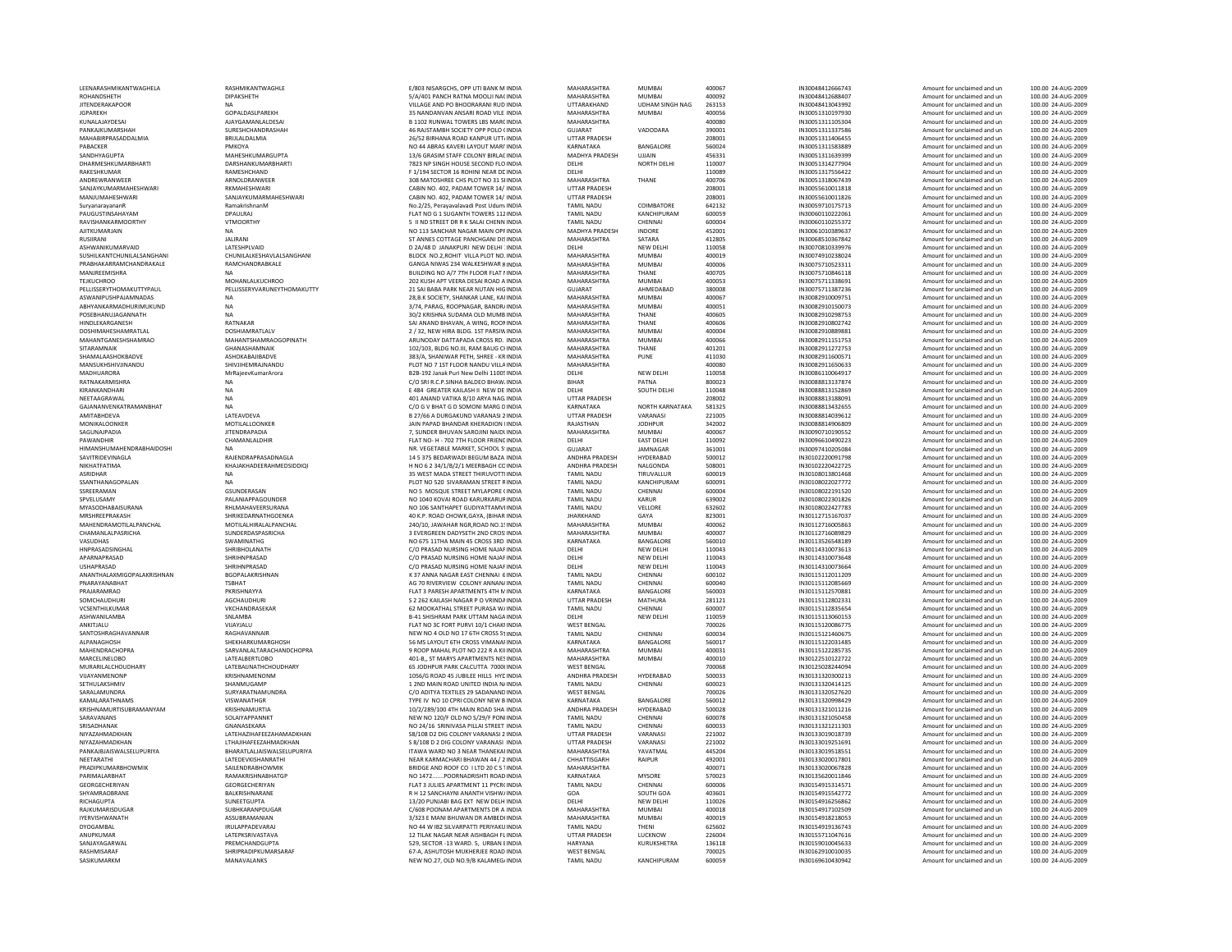| LEENARASHMIKANTWAGHELA                   | RASHMIKANTWAGHLE                         |
|------------------------------------------|------------------------------------------|
| ROHANDSHETH                              | DIPAKSHETH                               |
| <b>JITENDERAKAPOOR</b>                   | <b>NA</b>                                |
| <b>JGPAREKH</b>                          | GOPALDASLPAREKH                          |
| KUNALAJAYDESAI                           | <b>AJAYGAMANLALDESAI</b>                 |
| PANKAJKUMARSHAH                          | SURESHCHANDRASHAH                        |
| MAHABIRPRASADDALMIA                      | BRULALDALMIA                             |
| PARACKER                                 | PMKOYA                                   |
| SANDHYAGUPTA                             | MAHESHKUMARGUPTA                         |
| DHARMESHKUMARBHARTI                      | DARSHANKUMARBHAR                         |
| RAKESHKUMAR                              | RAMESHCHAND                              |
| ANDREWRANWEER                            | ARNOI DRANWEER                           |
| SANJAYKUMARMAHESHWARI                    | RKMAHESHWARI                             |
| MANJUMAHESHWARI                          | SANJAYKUMARMAHESH                        |
| SuryanarayananR                          | RamakrishnanM                            |
| PAUGUSTINSAHAYAM                         | DPAULRAJ                                 |
| RAVISHANKARMOORTHY                       | VTMOORTHY                                |
| AJITKUMARJAIN                            | <b>NA</b>                                |
| RUSIIRANI                                | <b>JALIRANI</b>                          |
| ASHWANIKUMARVAID                         | LATESHPLVAID                             |
| SUSHILKANTCHUNILALSANGHANI               | <b>CHUNILALKESHAVLALSA</b>               |
| PRABHAKARRAMCHANDRAKALE                  | RAMCHANDRABKALE                          |
| MANJREEMISHRA                            | NA                                       |
| <b>TEJKUCHROO</b>                        | <b>MOHANLALKUCHROO</b>                   |
| PELLISSERYTHOMAKUTTYPAUL                 | PELLISSERYVARUNEYTH                      |
| ASWANIPUSHPAJAMNADAS                     | <b>NA</b>                                |
| ABHYANKARMADHURIMUKUND                   | <b>NA</b>                                |
| POSEBHANUJAGANNATH                       | <b>NA</b>                                |
| HINDLEKARGANESH                          | RATNAKAR                                 |
| DOSHIMAHESHAMRATLAL                      | DOSHIAMRATLALV                           |
| MAHANTGANESHSHAMRAO                      | MAHANTSHAMRAOGOI                         |
| SITARAMNAIK                              | GHANASHAMNAIK                            |
| SHAMALAASHOKBADVE                        | ASHOKABAJIBADVE                          |
| MANSUKHSHIVJINANDU                       | SHIVJIHEMRAJNANDU                        |
| MADHUARORA                               | MrRajeevKumarArora                       |
| RATNAKARMISHRA                           | NA                                       |
| KIRANKANDHARI                            | <b>NA</b>                                |
| NEFTAAGRAWAI                             | <b>NA</b>                                |
| GAJANANVENKATRAMANBHAT                   | <b>NA</b>                                |
| AMITABHDEVA                              | LATEAVDEVA                               |
| MONIKALOONKER<br>SAGUNAIPADIA            | MOTILALLOONKER<br><b>IITENDRAPADIA</b>   |
| PAWANDHIR                                | CHAMANLALDHIR                            |
| HIMANSHUMAHENDRABHAIDOSHI                | <b>NA</b>                                |
| SAVITRIDEVINAGLA                         | RAJENDRAPRASADNAG                        |
| NIKHATFATIMA                             | KHAJAKHADEERAHMED                        |
| <b>ASRIDHAR</b>                          | <b>NA</b>                                |
|                                          |                                          |
|                                          | N <sub>A</sub>                           |
| SSANTHANAGOPALAN                         |                                          |
| SSREERAMAN<br>SPVELUSAMY                 | GSUNDERASAN                              |
| MYASODHABAISURANA                        | PALANIAPPAGOUNDER<br>RHLMAHAVEERSURANA   |
|                                          |                                          |
| MRSHREEPRAKASH<br>MAHENDRAMOTILALPANCHAL | SHRIKEDARNATHGOEN<br>MOTILALHIRALALPANCI |
| CHAMANLALPASRICHA                        | SUNDERDASPASRICHA                        |
| VASUDHAS                                 | <b>SWAMINATHG</b>                        |
| HNPRASADSINGHAL                          | SHRIBHOLANATH                            |
| APARNAPRASAD                             | SHRIHNPRASAD                             |
| <b>USHAPRASAD</b>                        | SHRIHNPRASAD                             |
| ANANTHALAXMIGOPALAKRISHNAN               | <b>BGOPALAKRISHNAN</b>                   |
| PNARAYANABHAT                            | <b>TSBHAT</b>                            |
| PRAJARAMRAO                              | PKRISHNAYYA                              |
| SOMCHAUDHURI                             | AGCHAUDHURI                              |
| VCSENTHILKUMAR                           | VKCHANDRASEKAR                           |
| ASHWANILAMBA                             | SNLAMBA                                  |
| ANKITJALU                                | VIJAYJALU                                |
| SANTOSHRAGHAVANNAIR                      | RAGHAVANNAIR                             |
| ALPANAGHOSH                              | SHEKHARKUMARGHOSI                        |
| MAHENDRACHOPRA                           | SARVANLALTARACHANI                       |
| MARCELINELOBO                            | LATEALBERTLOBO                           |
| MURARILALCHOUDHARY                       | <b>LATEBAIJNATHCHOUDH</b>                |
| VUAYANMENONP                             | KRISHNAMENONM                            |
| <b>SETHULAKSHMIV</b>                     | SHANMUGAMP                               |
| SARALAMUNDRA                             | SURYARATNAMUNDRA                         |
| KAMALARATHNAMS                           | VISWANATHGR                              |
| KRISHNAMURTISUBRAMANYAM                  | <b>KRISHNAMURTI</b>                      |
| SARAVANANS<br>SRISADHANAK                | SOLAIYAPPANNKT<br>GNANASEKARA            |
|                                          |                                          |
| NIYAZAHMADKHAN<br>NIYAZAHMADKHAN         | LATEHAZIHAFEEZAHAM<br>LTHAJIHAFEEZAHMADK |
| PANKAJBJAISWALSELUPURIYA                 | BHARATLALIAISWALSEL                      |
| NFFTARATHI                               | <b>I ATFDFVKISHANRATHI</b>               |
| PRADIPKUMARBHOWMIK                       | SAILENDRABHOWMIK                         |
| PARIMALARBHAT                            | RAMAKRISHNABHATGP                        |
| GEORGECHERIYAN                           | GEORGECHERIYAN                           |
| SHYAMRAORRANE                            | <b>BAI KRISHNARANE</b>                   |
| RICHAGUPTA                               | SUNEETGUPTA                              |
| RAJKUMARISDUGAR                          | SUBHKARANPDUGAR                          |
| <b>IYERVISHWANATH</b>                    | ASSUBRAMANIAN                            |
| DYOGAMBAL                                | <b>IRULAPPADEVARAJ</b>                   |
| ANUPKUMAR                                | LATEPKSRIVASTAVA                         |
| SANJAYAGARWAL                            | PREMCHANDGUPTA                           |
| RASHMISARAF<br>SASIKUMARKM               | SHRIPRADIPKUMARSAR<br>MANAVALANKS        |

| LEENARASHMIKANTWAGHELA                       | RASHMIKANTWAGHLE                       | E/803 NISARGCHS, OPP UTI BA                                   |
|----------------------------------------------|----------------------------------------|---------------------------------------------------------------|
| ROHANDSHETH                                  | <b>DIPAKSHETH</b>                      | 5/A/401 PANCH RATNA MOOL                                      |
| <b>JITENDERAKAPOOR</b>                       | <b>NA</b>                              | VILLAGE AND PO BHOORARAN                                      |
| <b>JGPAREKH</b>                              | GOPALDASLPAREKH                        | 35 NANDANVAN ANSARI ROAI                                      |
| KUNALAJAYDESAI<br>PANKAJKUMARSHAH            | AJAYGAMANLALDESAI<br>SURESHCHANDRASHAH | <b>B 1102 RUNWAL TOWERS LBS</b><br>46 RAJSTAMBH SOCIETY OPP F |
| MAHABIRPRASADDALMIA                          | BRIJLALDALMIA                          | 26/52 BIRHANA ROAD KANPU                                      |
| PABACKER                                     | PMKOYA                                 | NO 44 ARRAS KAVERI LAYOUT                                     |
| SANDHYAGUPTA                                 | MAHESHKUMARGUPTA                       | 13/6 GRASIM STAFF COLONY I                                    |
| DHARMESHKUMARBHARTI                          | DARSHANKUMARBHARTI                     | 7823 NP SINGH HOUSE SECON                                     |
| RAKESHKUMAR                                  | RAMESHCHAND                            | F 1/194 SECTOR 16 ROHINI NE                                   |
| ANDREWRANWEER                                | ARNOLDRANWEER                          | 308 MATOSHREE CHS PLOT NO                                     |
| SANJAYKUMARMAHESHWARI                        | RKMAHFSHWARI                           | CABIN NO. 402, PADAM TOWE                                     |
| MANJUMAHESHWARI                              | SANJAYKUMARMAHESHWARI                  | CABIN NO. 402, PADAM TOWE                                     |
| SuryanarayananR<br>PAUGUSTINSAHAYAM          | RamakrishnanM<br>DPAULRAJ              | No.2/25, Perayavalavadi Post<br>FLAT NO G 1 SUGANTH TOWE      |
| RAVISHANKARMOORTHY                           | <b>VTMOORTHY</b>                       | 5 II ND STREET DR R K SALAI C                                 |
| AJITKUMARJAIN                                | <b>NA</b>                              | NO 113 SANCHAR NAGAR MAI                                      |
| RUSIIRANI                                    | <b>JALIRANI</b>                        | ST ANNES COTTAGE PANCHGA                                      |
| ASHWANIKUMARVAID                             | LATESHPLVAID                           | D 2A/48 D JANAKPURI NEW D                                     |
| SUSHILKANTCHUNILALSANGHANI                   | CHUNILALKESHAVLALSANGHANI              | BLOCK NO.2, ROHIT VILLA PLO                                   |
| PRABHAKARRAMCHANDRAKALE                      | RAMCHANDRABKALE                        | GANGA NIWAS 234 WALKESHY                                      |
| MANJREEMISHRA                                | <b>NA</b>                              | BUILDING NO A/7 7TH FLOOR                                     |
| <b>TEJKUCHROO</b>                            | <b>MOHANLALKUCHROO</b>                 | 202 KUSH APT VEERA DESAI RI                                   |
| PELLISSERYTHOMAKUTTYPAUL                     | PELLISSERYVARUNEYTHOMAKUTTY            | 21 SAI BABA PARK NEAR NUTA                                    |
| ASWANIPUSHPAJAMNADAS                         | <b>NA</b>                              | 28, B.K SOCIETY, SHANKAR LAN                                  |
| ABHYANKARMADHURIMUKUND<br>POSEBHANUIAGANNATH | <b>NA</b><br><b>NA</b>                 | 3/74, PARAG, ROOPNAGAR, B<br>30/2 KRISHNA SUDAMA OLD N        |
| HINDLEKARGANESH                              | RATNAKAR                               | SAI ANAND BHAVAN, A WING,                                     |
| DOSHIMAHESHAMRATLAL                          | DOSHIAMRATLALV                         | 2 / 32, NEW HIRA BLDG. 1ST P.                                 |
| MAHANTGANESHSHAMRAO                          | <b>MAHANTSHAMRAOGOPINATH</b>           | ARUNODAY DATTAPADA CROS                                       |
| SITARAMNAIK                                  | <b>GHANASHAMNAIK</b>                   | 102/103, BLDG NO.III, RAM BA                                  |
| <b>SHAMAI AASHOKRADVE</b>                    | ASHOKARAIIRADVE                        | 383/A, SHANIWAR PETH, SHRE                                    |
| MANSUKHSHIVJINANDU                           | SHIVJIHEMRAJNANDU                      | PLOT NO 7 1ST FLOOR NANDU                                     |
| MADHUARORA                                   | MrRajeevKumarArora                     | B2B-192 Janak Puri New Delhi                                  |
| RATNAKARMISHRA                               | <b>NA</b>                              | C/O SRI R.C.P.SINHA BALDEO E                                  |
| KIRANKANDHARI                                | <b>NA</b>                              | E 484 GREATER KAILASH II NE                                   |
| NEETAAGRAWAL                                 | <b>NA</b><br><b>NA</b>                 | 401 ANAND VATIKA 8/10 ARY/<br>C/O G V BHAT G D SOMONI M       |
| GAJANANVENKATRAMANBHAT<br>AMITABHDEVA        | LATEAVDEVA                             | B 27/66 A DURGAKUND VARA                                      |
| MONIKALOONKER                                | MOTILALLOONKER                         | JAIN PAPAD BHANDAR KHERA                                      |
| SAGUNAJPADIA                                 | <b>JITENDRAPADIA</b>                   | 7. SUNDER BHUVAN SAROJINI                                     |
| PAWANDHIR                                    | CHAMANLALDHIR                          | FLAT NO- H - 702 7TH FLOOR F                                  |
| HIMANSHUMAHENDRABHAIDOSHI                    | <b>NA</b>                              | NR. VEGETABLE MARKET, SCH                                     |
| SAVITRIDEVINAGLA                             | RAJENDRAPRASADNAGLA                    | 14 5 375 BEDARWADI BEGUM                                      |
| NIKHATFATIMA                                 | KHAJAKHADEERAHMEDSIDDIQI               | H NO 6 2 34/1/B/2/1 MEERBA                                    |
| ASRIDHAR                                     | <b>NA</b>                              | 35 WEST MADA STREET THIRU                                     |
| SSANTHANAGOPALAN                             | <b>NA</b>                              | PLOT NO 520 SIVARAMAN STI                                     |
| SSRFFRAMAN                                   | GSUNDERASAN                            | NO 5 MOSQUE STREET MYLAR                                      |
| SPVELUSAMY<br>MYASODHABAISURANA              | PALANIAPPAGOUNDER<br>RHLMAHAVEERSURANA | NO 1040 KOVAI ROAD KARURI<br>NO 106 SANTHAPET GUDIYAT         |
| MRSHREEPRAKASH                               | SHRIKEDARNATHGOENKA                    | 40 K.P. ROAD CHOWK.GAYA. (                                    |
| MAHENDRAMOTILALPANCHAL                       | MOTILALHIRALALPANCHAL                  | 240/10, JAWAHAR NGR, ROAD                                     |
| CHAMANLALPASRICHA                            | SUNDERDASPASRICHA                      | 3 EVERGREEN DADYSETH 2ND                                      |
| VASUDHAS                                     | SWAMINATHG                             | NO 675 11THA MAIN 45 CROS                                     |
| HNPRASADSINGHAL                              | SHRIBHOLANATH                          | C/O PRASAD NURSING HOME                                       |
| APARNAPRASAD                                 | SHRIHNPRASAD                           | C/O PRASAD NURSING HOME                                       |
| <b>USHAPRASAD</b>                            | SHRIHNPRASAD                           | C/O PRASAD NURSING HOME                                       |
| ANANTHALAXMIGOPALAKRISHNAN                   | <b>BGOPALAKRISHNAN</b>                 | K 37 ANNA NAGAR EAST CHEN                                     |
| PNARAYANABHAT                                | <b>TSBHAT</b>                          | AG 70 RIVERVIEW COLONY AN                                     |
| PRAJARAMRAO<br>SOMCHAUDHURI                  | PKRISHNAYYA<br><b>AGCHAUDHURI</b>      | FLAT 3 PARESH APARTMENTS<br>S 2 262 KAILASH NAGAR PO V        |
| VCSENTHILKUMAR                               | VKCHANDRASEKAR                         | 62 MOOKATHAL STREET PURA                                      |
| ASHWANILAMBA                                 | <b>SNI AMRA</b>                        | <b>B-41 SHISHRAM PARK UTTAM</b>                               |
| ANKITJALU                                    | VIJAYJALU                              | FLAT NO 3C FORT PURVI 10/1                                    |
| SANTOSHRAGHAVANNAIR                          | RAGHAVANNAIR                           | NEW NO 4 OLD NO 17 6TH CR                                     |
| ALPANAGHOSH                                  | SHEKHARKUMARGHOSH                      | 56 MS LAYOUT 6TH CROSS VIN                                    |
| MAHENDRACHOPRA                               | SARVANLALTARACHANDCHOPRA               | 9 ROOP MAHAL PLOT NO 222                                      |
| MARCELINELOBO                                | <b>LATEALBERTLOBO</b>                  | 401-B,, ST MARYS APARTMENT                                    |
| MURARILALCHOUDHARY                           | LATEBAIJNATHCHOUDHARY                  | 65 JODHPUR PARK CALCUTTA                                      |
| VUAYANMENONP                                 | KRISHNAMENONM                          | 1056/G ROAD 45 JUBILEE HILL                                   |
| SETHULAKSHMIV<br>SARALAMUNDRA                | SHANMUGAMP<br>SURYARATNAMUNDRA         | 1 2ND MAIN ROAD UNITED IN<br>C/O ADITYA TEXTILES 29 SADA      |
| KAMALARATHNAMS                               | VISWANATHGR                            | TYPE IV NO 10 CPRI COLONY I                                   |
| KRISHNAMURTISUBRAMANYAM                      | KRISHNAMURTIA                          | 10/2/289/100 4TH MAIN ROA                                     |
| SARAVANANS                                   | SOLAIYAPPANNKT                         | NEW NO 120/F OLD NO S/29/                                     |
| SRISADHANAK                                  | GNANASEKARA                            | NO 24/16 SRINIVASA PILLAI S'                                  |
| NIYAZAHMADKHAN                               | LATEHAZIHAFEEZAHAMADKHAN               | S8/108 D2 DIG COLONY VARAI                                    |
| NIYAZAHMADKHAN                               | <b>ITHAIIHAFFFZAHMADKHAN</b>           | S 8/108 D 2 DIG COLONY VARA                                   |
| PANKAJBJAISWALSELUPURIYA                     | BHARATLALIAISWALSELUPURIYA             | ITAWA WARD NO 3 NEAR THA                                      |
| NEETARATHI                                   | LATEDEVKISHANRATHI                     | NEAR KARMACHARI BHAWAN                                        |
| PRADIPKUMARBHOWMIK                           | SAILENDRABHOWMIK                       | BRIDGE AND ROOF CO I LTD 2                                    |
| PARIMALARBHAT                                | RAMAKRISHNABHATGP                      | NO 1472POORNADRISHTI                                          |
| GEORGECHERIYAN                               | GEORGECHERIYAN                         | FLAT 3 JULIES APARTMENT 11                                    |
| SHYAMRAOBRANE<br>RICHAGUPTA                  | BALKRISHNARANE<br>SUNEETGUPTA          | R H 12 SANCHAYNI ANANTH V<br>13/20 PUNJABI BAG EXT NEW        |
| RAJKUMARISDUGAR                              | SUBHKARANPDUGAR                        | C/608 POONAM APARTMENTS                                       |
| <b>IYERVISHWANATH</b>                        | ASSUBRAMANIAN                          | 3/323 E MANI BHUWAN DR AI                                     |
| DYOGAMBAL                                    | <b>IRULAPPADEVARAJ</b>                 | NO 44 W IB2 SILVARPATTI PER                                   |
| ANUPKUMAR                                    | LATEPKSRIVASTAVA                       | 12 TILAK NAGAR NEAR AISHBA                                    |
| SANJAYAGARWAL                                | PREMCHANDGUPTA                         | 529, SECTOR -13 WARD. 5, UF                                   |
| RASHMISARAF                                  | SHRIPRADIPKUMARSARAF                   | 67-A, ASHUTOSH MUKHERJEE                                      |
| SASIKUMARKM                                  | MANAVALANKS                            | NEW NO.27, OLD NO.9/B KALA                                    |

| LEENARASHMIKANTWAGHELA     |                                     |                                                                            |                                  |                        |                  |                                      |                                                            |                                          |
|----------------------------|-------------------------------------|----------------------------------------------------------------------------|----------------------------------|------------------------|------------------|--------------------------------------|------------------------------------------------------------|------------------------------------------|
|                            | RASHMIKANTWAGHLE                    | E/803 NISARGCHS, OPP UTI BANK M INDIA                                      | MAHARASHTRA                      | <b>MUMBAI</b>          | 400067           | IN30048412666743                     | Amount for unclaimed and un                                | 100.00 24-AUG-2009                       |
| ROHANDSHETH                | <b>DIPAKSHETH</b>                   | 5/A/401 PANCH RATNA MOOLJI NACINDIA                                        | MAHARASHTRA                      | MUMRAI                 | 400092           | IN30048412688407                     | Amount for unclaimed and un                                | 100.00 24-AUG-2009                       |
| <b>JITENDERAKAPOOR</b>     | <b>NA</b>                           | VILLAGE AND PO BHOORARANI RUD INDIA                                        | UTTARAKHAND                      | <b>UDHAM SINGH NAG</b> | 263153           | IN30048413043992                     | Amount for unclaimed and un                                | 100.00 24-AUG-2009                       |
| <b>IGPARFKH</b>            | <b>GOPALDASI PAREKH</b>             | 35 NANDANVAN ANSARI ROAD VILE INDIA                                        | MAHARASHTRA                      | MUMRAI                 | 400056           | IN30051310197930                     | Amount for unclaimed and un                                | 100.00 24-AUG-2009                       |
|                            |                                     |                                                                            |                                  |                        |                  |                                      |                                                            |                                          |
| KUNALAJAYDESAI             | AJAYGAMANLALDESAI                   | B 1102 RUNWAL TOWERS LBS MARCINDIA                                         | MAHARASHTRA                      |                        | 400080           | IN30051311105304                     | Amount for unclaimed and un                                | 100.00 24-AUG-2009                       |
| PANKAJKUMARSHAH            | SURESHCHANDRASHAH                   | 46 RAJSTAMBH SOCIETY OPP POLO (INDIA                                       | <b>GUJARAT</b>                   | VADODARA               | 390001           | IN30051311337586                     | Amount for unclaimed and un                                | 100.00 24-AUG-2009                       |
| MAHABIRPRASADDALMIA        | BRIJLALDALMIA                       | 26/52 BIRHANA ROAD KANPUR UTT/INDIA                                        | <b>UTTAR PRADESH</b>             |                        | 208001           | IN30051311406455                     | Amount for unclaimed and un                                | 100.00 24-AUG-2009                       |
| PARACKER                   | PMKOYA                              | NO 44 ARRAS KAVERI LAYOUT MARI'INDIA                                       | KARNATAKA                        | <b>BANGALORE</b>       | 560024           | IN30051311583889                     | Amount for unclaimed and un                                | 100.00 24-AUG-2009                       |
| SANDHYAGUPTA               | MAHESHKUMARGUPTA                    | 13/6 GRASIM STAFF COLONY BIRLAC INDIA                                      | MADHYA PRADESH                   | UIJAIN                 | 456331           | IN30051311639399                     | Amount for unclaimed and un                                | 100.00 24-AUG-2009                       |
|                            |                                     |                                                                            |                                  |                        |                  |                                      |                                                            |                                          |
| DHARMESHKUMARBHARTI        | DARSHANKUMARBHARTI                  | 7823 NP SINGH HOUSE SECOND FLO INDIA                                       | DELHI                            | NORTH DELHI            | 110007           | IN30051314277904                     | Amount for unclaimed and un                                | 100.00 24-AUG-2009                       |
| RAKESHKUMAR                | RAMESHCHAND                         | F 1/194 SECTOR 16 ROHINI NEAR DE INDIA                                     | DELHI                            |                        | 110089           | IN30051317556422                     | Amount for unclaimed and un                                | 100.00 24-AUG-2009                       |
| ANDREWRANWEEF              | ARNOLDRANWEEF                       | 308 MATOSHREE CHS PLOT NO 31 SHNDIA                                        | MAHARASHTRA                      | THANE                  | 400706           | IN30051318067439                     | Amount for unclaimed and un                                | 100.00 24-AUG-2009                       |
| SANJAYKUMARMAHESHWARI      | RKMAHFSHWARI                        | CARIN NO. 402. PADAM TOWER 14/ INDIA                                       | <b>UTTAR PRADESH</b>             |                        | 208001           | IN30055610011818                     | Amount for unclaimed and un                                | 100.00 24-AUG-2009                       |
|                            |                                     |                                                                            |                                  |                        |                  |                                      |                                                            |                                          |
| MANJUMAHESHWARI            | SANJAYKUMARMAHESHWARI               | CABIN NO. 402, PADAM TOWER 14/ INDIA                                       | <b>UTTAR PRADESH</b>             |                        | 208001           | IN30055610011826                     | Amount for unclaimed and un                                | 100.00 24-AUG-2009                       |
| SuryanarayananF            | RamakrishnanM                       | No.2/25, Perayavalavadi Post Udum INDIA                                    | <b>TAMIL NADU</b>                | COIMBATORE             | 642132           | IN30059710175713                     | Amount for unclaimed and un                                | 100.00 24-AUG-2009                       |
| PAUGUSTINSAHAYAM           | DPAULRAJ                            | FLAT NO G 1 SUGANTH TOWERS 112 INDIA                                       | <b>TAMIL NADU</b>                | KANCHIPURAM            | 600059           | IN30060110222061                     | Amount for unclaimed and un                                | 100.00 24-AUG-2009                       |
| RAVISHANKARMOORTHY         | <b>VTMOORTHY</b>                    | 5 II ND STREET DR R K SALAI CHENN INDIA                                    | <b>TAMIL NADU</b>                | CHENNAI                | 600004           | IN30060110255372                     | Amount for unclaimed and un                                | 100.00 24-AUG-2009                       |
| AIITKUMARIAIN              | <b>NA</b>                           | NO 113 SANCHAR NAGAR MAIN OPEINDIA                                         | MADHYA PRADESH                   | <b>INDORF</b>          | 452001           | IN30061010389637                     | Amount for unclaimed and un                                | 100.00 24-AUG-2009                       |
|                            |                                     |                                                                            |                                  |                        |                  |                                      |                                                            |                                          |
| RUSIIRANI                  | <b>JALIRANI</b>                     | ST ANNES COTTAGE PANCHGANI DISINDIA                                        | MAHARASHTRA                      | SATARA                 | 412805           | IN30068510367842                     | Amount for unclaimed and un                                | 100.00 24-AUG-2009                       |
| ASHWANIKUMARVAID           | LATESHPLVAID                        | D 2A/48 D JANAKPURI NEW DELHI : INDIA                                      | DELHI                            | <b>NEW DELHI</b>       | 110058           | IN30070810339976                     | Amount for unclaimed and un                                | 100.00 24-AUG-2009                       |
| SUSHILKANTCHUNILALSANGHANI | CHUNILALKESHAVLALSANGHANI           | BLOCK NO.2, ROHIT VILLA PLOT NO. INDIA                                     | MAHARASHTRA                      | <b>MUMBAI</b>          | 400019           | IN30074910238024                     | Amount for unclaimed and un                                | 100.00 24-AUG-2009                       |
| PRABHAKARRAMCHANDRAKALE    | <b>RAMCHANDRARKALE</b>              | GANGA NIWAS 234 WAI KESHWAR RINDIA                                         | MAHARASHTRA                      | MUMBAI                 | 400006           | IN30075710523311                     | Amount for unclaimed and un                                | 100.00 24-AUG-2009                       |
| MANJREEMISHRA              |                                     | BUILDING NO A/7 7TH FLOOR FLAT I INDIA                                     | MAHARASHTRA                      | THANF                  | 400705           | IN30075710846118                     | Amount for unclaimed and un                                | 100.00 24-AUG-2009                       |
|                            |                                     |                                                                            |                                  |                        |                  |                                      |                                                            |                                          |
| <b>TEJKUCHROO</b>          | MOHANLALKUCHROO                     | 202 KUSH APT VEERA DESAI ROAD A INDIA                                      | MAHARASHTRA                      | MUMRAI                 | 400053           | IN30075711338691                     | Amount for unclaimed and un                                | 100.00 24-AUG-2009                       |
| PELLISSERYTHOMAKUTTYPAUL   | PELLISSERYVARUNEYTHOMAKUTTY         | 21 SAI BABA PARK NEAR NUTAN HIG INDIA                                      | GUJARAT                          | AHMEDABAD              | 380008           | IN30075711387236                     | Amount for unclaimed and un                                | 100.00 24-AUG-2009                       |
| ASWANIPUSHPAJAMNADAS       | <b>NA</b>                           | 28, B.K SOCIETY, SHANKAR LANE, KAI INDIA                                   | MAHARASHTRA                      | MUMBAI                 | 400067           | IN30082910009751                     | Amount for unclaimed and un                                | 100.00 24-AUG-2009                       |
| ARHYANKARMADHURIMUKUND     | <b>NA</b>                           | 3/74 PARAG ROOPNAGAR BANDRI INDIA                                          | MAHARASHTRA                      | MUMBAI                 | 400051           | IN30082910150073                     | Amount for unclaimed and un                                | 100.00 24-AUG-2009                       |
|                            |                                     |                                                                            |                                  |                        |                  |                                      |                                                            |                                          |
| POSEBHANUJAGANNATH         | <b>NA</b>                           | 30/2 KRISHNA SUDAMA OLD MUMB INDIA                                         | MAHARASHTRA                      | THANE                  | 400605           | IN30082910298753                     | Amount for unclaimed and un                                | 100.00 24-AUG-2009                       |
| <b>HINDI FKARGANESH</b>    | RATNAKAR                            | SAI ANAND BHAVAN, A WING, ROOMNDIA                                         | MAHARASHTRA                      | THANF                  | 400606           | IN30082910802742                     | Amount for unclaimed and un                                | 100.00 24-AUG-2009                       |
| DOSHIMAHESHAMRATLAL        | DOSHIAMRATLALV                      | 2 / 32. NEW HIRA BLDG. 1ST PARSIW INDIA                                    | MAHARASHTRA                      | <b>MUMBA</b>           | 400004           | IN30082910889881                     | Amount for unclaimed and un                                | 100.00 24-AUG-2009                       |
| MAHANTGANESHSHAMRAO        | <b>MAHANTSHAMRAOGOPINATH</b>        | ARUNODAY DATTAPADA CROSS RD. INDIA                                         | MAHARASHTRA                      | MUMBAI                 | 400066           | IN30082911151753                     | Amount for unclaimed and un                                | 100.00 24-AUG-2009                       |
| SITARAMNAIK                | <b>GHANASHAMNAIK</b>                | 102/103. BLDG NO.III. RAM BAUG CHNDIA                                      | MAHARASHTRA                      | THANF                  | 401201           | IN30082911272753                     | Amount for unclaimed and un                                | 100.00 24-AUG-2009                       |
|                            |                                     |                                                                            |                                  |                        |                  |                                      |                                                            |                                          |
| SHAMALAASHOKBADVE          | ASHOKABAJIBADVE                     | 383/A, SHANIWAR PETH, SHREE - KR INDIA                                     | MAHARASHTRA                      | PUNE                   | 411030           | IN30082911600571                     | Amount for unclaimed and un                                | 100.00 24-AUG-2009                       |
| MANSUKHSHIVJINANDU         | SHIVJIHEMRAJNANDU                   | PLOT NO 7 1ST FLOOR NANDU VILLA INDIA                                      | MAHARASHTRA                      |                        | 400080           | IN30082911650633                     | Amount for unclaimed and un                                | 100.00 24-AUG-2009                       |
| <b>MADHUARORA</b>          | MrRajeevKumarArora                  | B2B-192 Janak Puri New Delhi 11005 INDIA                                   | DELHI                            | NEW DELHI              | 110058           | IN30086110064917                     | Amount for unclaimed and un                                | 100.00 24-AUG-2009                       |
| RATNAKARMISHRA             | <b>NA</b>                           | C/O SRI R.C.P.SINHA BALDEO BHAW INDIA                                      | <b>BIHAR</b>                     | PATNA                  | 800023           | IN30088813137874                     | Amount for unclaimed and un                                | 100.00 24-AUG-2009                       |
|                            |                                     |                                                                            |                                  |                        |                  |                                      |                                                            |                                          |
| KIRANKANDHARI              | <b>NA</b>                           | F 484 GREATER KAILASH IL NEW DE INDIA                                      | <b>DELHI</b>                     | SOUTH DELHI            | 110048           | IN30088813152869                     | Amount for unclaimed and un                                | 100.00 24-AUG-2009                       |
| NEETAAGRAWAI               | NA                                  | 401 ANAND VATIKA 8/10 ARYA NAG. INDIA                                      | <b>UTTAR PRADESH</b>             |                        | 208002           | IN30088813188091                     | Amount for unclaimed and un                                | 100.00 24-AUG-2009                       |
| GAJANANVENKATRAMANBHAT     | <b>NA</b>                           | C/O G V BHAT G D SOMONI MARG DINDIA                                        | KARNATAKA                        | NORTH KARNATAKA        | 581325           | IN30088813432655                     | Amount for unclaimed and un                                | 100.00 24-AUG-2009                       |
| AMITABHDEVA                | LATEAVDEVA                          | B 27/66 A DURGAKUND VARANASI 2 INDIA                                       | <b>UTTAR PRADESH</b>             | VARANASI               | 221005           | IN30088814039612                     | Amount for unclaimed and un                                | 100.00 24-AUG-2009                       |
| MONIKALOONKER              | MOTILALLOONKER                      | JAIN PAPAD BHANDAR KHERADION IINDIA                                        | RAJASTHAN                        | <b>JODHPUR</b>         | 342002           | IN30088814906809                     | Amount for unclaimed and un                                | 100.00 24-AUG-2009                       |
|                            |                                     |                                                                            |                                  |                        |                  |                                      |                                                            |                                          |
| SAGUNAIPADIA               | <b>IITENDRAPADIA</b>                | 7. SUNDER BHUVAN SAROJINI NAIDLINDIA                                       | MAHARASHTRA                      | MUMRAI                 | 400067           | IN30090710190552                     | Amount for unclaimed and un                                | 100.00 24-AUG-2009                       |
| PAWANDHIR                  | CHAMANLALDHIR                       | FLAT NO- H - 702 7TH FLOOR FRIENE INDIA                                    | DELHI                            | <b>EAST DELHI</b>      | 110092           | IN30096610490223                     | Amount for unclaimed and un                                | 100.00 24-AUG-2009                       |
| HIMANSHUMAHENDRABHAIDOSHI  |                                     | NR. VEGETABLE MARKET, SCHOOL S'INDIA                                       | GUJARAT                          | JAMNAGAR               | 361001           | IN30097410205084                     | Amount for unclaimed and un                                | 100.00 24-AUG-2009                       |
| SAVITRIDEVINAGLA           | RAJENDRAPRASADNAGLA                 | 14 5 375 BEDARWADI BEGUM BAZA INDIA                                        | ANDHRA PRADESH                   | HYDERABAD              | 500012           | IN30102220091798                     | Amount for unclaimed and un                                | 100.00 24-AUG-2009                       |
| NIKHATFATIMA               | KHAJAKHADEERAHMEDSIDDIQI            | H NO 6 2 34/1/B/2/1 MEERBAGH CC INDIA                                      | ANDHRA PRADESH                   | NALGONDA               | 508001           | IN30102220422725                     |                                                            | 100.00 24-AUG-2009                       |
|                            |                                     |                                                                            |                                  |                        |                  |                                      | Amount for unclaimed and un                                |                                          |
| ASRIDHAR                   | <b>NA</b>                           | 35 WEST MADA STREET THIRUVOTTIINDIA                                        | <b>TAMIL NADU</b>                | TIRUVALLUR             | 600019           | IN30108013801468                     | Amount for unclaimed and un                                | 100.00 24-AUG-2009                       |
| SSANTHANAGOPALAN           | <b>NA</b>                           | PLOT NO 520 SIVARAMAN STREET RINDIA                                        | TAMIL NADU                       | KANCHIPURAM            | 600091           | IN30108022027772                     | Amount for unclaimed and un                                | 100.00 24-AUG-2009                       |
| SSREERAMAN                 | GSUNDERASAN                         | NO 5 MOSQUE STREET MYLAPORE (INDIA                                         | TAMIL NADU                       | CHENNAI                | 600004           | IN30108022191520                     | Amount for unclaimed and un                                | 100.00 24-AUG-2009                       |
| SPVELUSAMY                 | PALANIAPPAGOUNDER                   | NO 1040 KOVAI ROAD KARURKARUR INDIA                                        | TAMIL NADU                       | KARUR                  | 639002           | IN30108022301826                     | Amount for unclaimed and un                                | 100.00 24-AUG-2009                       |
| MYASODHABAISURANA          | RHLMAHAVEERSURANA                   | NO 106 SANTHAPET GUDIYATTAMVI INDIA                                        | <b>TAMIL NADU</b>                | VELLORE                | 632602           | IN30108022427783                     | Amount for unclaimed and un                                | 100.00 24-AUG-2009                       |
|                            |                                     |                                                                            |                                  |                        |                  |                                      |                                                            |                                          |
| MRSHRFFPRAKASH             | SHRIKEDARNATHGOENKA                 | 40 K.P. ROAD CHOWK, GAYA, (BIHAR INDIA                                     | <b>IHARKHAND</b>                 | GAYA                   | 823001           | IN30112715167037                     | Amount for unclaimed and un                                | 100.00 24-AUG-2009                       |
| MAHENDRAMOTILALPANCHAL     | MOTILALHIRALALPANCHAL               | 240/10, JAWAHAR NGR, ROAD NO.1! INDIA                                      | <b>MAHARASHTRA</b>               | <b>MUMBAI</b>          | 400062           | IN30112716005863                     | Amount for unclaimed and un                                | 100.00 24-AUG-2009                       |
| CHAMANLALPASRICHA          | <b>SUNDERDASPASRICHA</b>            | 3 EVERGREEN DADYSETH 2ND CROS: INDIA                                       | MAHARASHTRA                      | MUMBAI                 | 400007           | IN30112716089829                     | Amount for unclaimed and un                                | 100.00 24-AUG-2009                       |
| VASUDHAS                   | SWAMINATHG                          | NO 675 11THA MAIN 45 CROSS 3RD INDIA                                       | KARNATAKA                        | BANGALORE              | 560010           | IN30113526548189                     | Amount for unclaimed and un                                | 100.00 24-AUG-2009                       |
|                            |                                     |                                                                            |                                  |                        |                  |                                      |                                                            |                                          |
|                            |                                     | C/O PRASAD NURSING HOME NAJAF INDIA                                        | DELHI                            | NEW DELHI              | 110043           | IN30114310073613                     | Amount for unclaimed and un                                | 100.00 24-AUG-2009                       |
| HNPRASADSINGHAL            | SHRIBHOLANATH                       |                                                                            |                                  |                        | 110043           | IN30114310073648                     | Amount for unclaimed and un                                | 100.00 24-AUG-2009                       |
| APARNAPRASAD               | SHRIHNPRASAD                        | C/O PRASAD NURSING HOME NAIAF INDIA                                        | <b>DELHI</b>                     | NEW DELHI              |                  |                                      |                                                            |                                          |
|                            |                                     |                                                                            |                                  |                        | 110043           | IN30114310073664                     |                                                            | 100.00 24-AUG-2009                       |
| <b>USHAPRASAD</b>          | SHRIHNPRASAD                        | C/O PRASAD NURSING HOME NAJAF INDIA                                        | DELHI                            | <b>NEW DELHI</b>       |                  |                                      | Amount for unclaimed and un                                |                                          |
| ANANTHALAXMIGOPALAKRISHNAN | <b>BGOPALAKRISHNAN</b>              | K 37 ANNA NAGAR EAST CHENNAI 6 INDIA                                       | <b>TAMIL NADU</b>                | CHENNAI                | 600102           | IN30115112011209                     | Amount for unclaimed and un                                | 100.00 24-AUG-2009                       |
| PNARAYANABHAT              | <b>TSBHAT</b>                       | AG 70 RIVERVIEW COLONY ANNAN/ INDIA                                        | <b>TAMIL NADU</b>                | CHENNAI                | 600040           | IN30115112085669                     | Amount for unclaimed and un                                | 100.00 24-AUG-2009                       |
| PRAJARAMRAO                | PKRISHNAYYA                         | FLAT 3 PARESH APARTMENTS 4TH M INDIA                                       | KARNATAKA                        | BANGALORE              | 560003           | IN30115112570881                     | Amount for unclaimed and un                                | 100.00 24-AUG-2009                       |
| SOMCHAUDHURI               | <b>AGCHAUDHURI</b>                  | S 2 262 KAILASH NAGAR P O VRINDAINDIA                                      | <b>UTTAR PRADESH</b>             | <b>MATHURA</b>         | 281121           | IN30115112802331                     | Amount for unclaimed and un                                | 100.00 24-AUG-2009                       |
|                            |                                     |                                                                            |                                  |                        | 600007           |                                      |                                                            | 100.00 24-AUG-2009                       |
| VCSENTHILKUMAI             | VKCHANDRASEKAR                      | 62 MOOKATHAL STREET PURASA W/INDIA                                         | TAMIL NADU                       | CHENNAI                |                  | IN30115112835654                     | Amount for unclaimed and un                                |                                          |
| ASHWANILAMBA               | SNLAMBA                             | B-41 SHISHRAM PARK UTTAM NAGA INDIA                                        | DELHI                            | NEW DELHI              | 110059           | IN30115113060153                     | Amount for unclaimed and un                                | 100.00 24-AUG-2009                       |
| ANKITJALU                  | VIJAYJALU                           | FLAT NO 3C FORT PURVI 10/1 CHAKI INDIA                                     | <b>WEST BENGAL</b>               |                        | 700026           | IN30115120086775                     | Amount for unclaimed and un                                | 100.00 24-AUG-2009                       |
| SANTOSHRAGHAVANNAIR        | RAGHAVANNAIR                        | NEW NO 4 OLD NO 17 6TH CROSS STINDIA                                       | <b>TAMIL NADU</b>                | CHENNAI                | 600034           | IN30115121460675                     | Amount for unclaimed and un                                | 100.00 24-AUG-2009                       |
| ALPANAGHOSH                | SHEKHARKUMARGHOSH                   | 56 MS LAYOUT 6TH CROSS VIMANAI INDIA                                       | KARNATAKA                        | BANGALORE              | 560017           | IN30115122031485                     | Amount for unclaimed and un                                | 100.00 24-AUG-2009                       |
|                            |                                     |                                                                            |                                  |                        |                  |                                      |                                                            |                                          |
| <b>MAHENDRACHOPRA</b>      | SARVANLALTARACHANDCHOPRA            | 9 ROOP MAHAL PLOT NO 222 R A KII INDIA                                     | MAHARASHTRA                      | <b>MUMBAI</b>          | 400031           | IN30115122285735                     | Amount for unclaimed and un                                | 100.00 24-AUG-2009                       |
| MARCELINELOBO              | <b>LATEALBERTLOBO</b>               | 401-B., ST MARYS APARTMENTS NESINDIA                                       | MAHARASHTRA                      | <b>MUMBAI</b>          | 400010           | IN30122510122722                     | Amount for unclaimed and un                                | 100.00 24-AUG-2009                       |
| MURARILALCHOUDHARY         | LATEBAIJNATHCHOUDHARY               | 65 JODHPUR PARK CALCUTTA 7000(INDIA                                        | <b>WEST BENGAL</b>               |                        | 700068           | IN30125028244094                     | Amount for unclaimed and un                                | 100.00 24-AUG-2009                       |
| VIIAYANMENONP              | KRISHNAMFNONM                       | 1056/G ROAD 45 JURILEE HILLS HYDINDIA                                      | <b>ANDHRA PRADESH</b>            | HYDERARAD              | 500033           | IN30131320300213                     | Amount for unclaimed and un                                | 100.00 24-AUG-2009                       |
|                            |                                     |                                                                            |                                  |                        |                  |                                      |                                                            |                                          |
| SETHULAKSHMIV              | SHANMUGAMP                          | 1 2ND MAIN ROAD UNITED INDIA N/ INDIA                                      | <b>TAMIL NADU</b>                | CHENNAI                | 600023           | IN30131320414125                     | Amount for unclaimed and un                                | 100.00 24-AUG-2009                       |
| SARALAMUNDRA               | SURYARATNAMUNDRA                    | C/O ADITYA TEXTILES 29 SADANAND INDIA                                      | <b>WEST BENGAL</b>               |                        | 700026           | IN30131320527620                     | Amount for unclaimed and un                                | 100.00 24-AUG-2009                       |
| KAMALARATHNAMS             | VISWANATHGR                         | TYPE IV NO 10 CPRI COLONY NEW B INDIA                                      | KARNATAKA                        | BANGALORE              | 560012           | IN30131320998429                     | Amount for unclaimed and un                                | 100.00 24-AUG-2009                       |
| KRISHNAMURTISUBRAMANYAM    | KRISHNAMURTIA                       | 10/2/289/100 4TH MAIN ROAD SHA INDIA                                       | ANDHRA PRADESH                   | HYDERABAD              | 500028           | IN30131321011216                     | Amount for unclaimed and un                                | 100.00 24-AUG-2009                       |
| SARAVANANS                 | SOI AIYAPPANNKT                     | NEW NO 120/F OLD NO S/29/F PONHNDIA                                        | TAMII NADU                       | CHENNAL                | 600078           | IN30131321050458                     | Amount for unclaimed and un                                | 100.00 24-AUG-2009                       |
| SRISADHANAK                |                                     |                                                                            |                                  |                        | 600033           |                                      |                                                            | 100.00 24-AUG-2009                       |
|                            | GNANASEKARA                         | NO 24/16 SRINIVASA PILLAI STREET INDIA                                     | TAMIL NADU                       | CHENNAI                |                  | IN30131321211303                     | Amount for unclaimed and un                                |                                          |
| NIYAZAHMADKHAI             | LATEHAZIHAFEEZAHAMADKHAN            | S8/108 D2 DIG COLONY VARANASI 2 INDIA                                      | UTTAR PRADESH                    | VARANASI               | 221002           | IN30133019018739                     | Amount for unclaimed and un                                | 100.00 24-AUG-2009                       |
| NIYAZAHMADKHAN             | LTHAJIHAFEEZAHMADKHAN               | S 8/108 D 2 DIG COLONY VARANASI INDIA                                      | <b>UTTAR PRADESH</b>             | VARANASI               | 221002           | IN30133019251691                     | Amount for unclaimed and un                                | 100.00 24-AUG-2009                       |
| PANKAJBJAISWALSELUPURIYA   | BHARATLALIAISWALSELUPURIYA          | ITAWA WARD NO 3 NEAR THANEKAI INDIA                                        | MAHARASHTRA                      | YAVATMAL               | 445204           | IN30133019518551                     | Amount for unclaimed and un                                | 100.00 24-AUG-2009                       |
| NFFTARATHI                 | LATEDEVKISHANRATHI                  | NFAR KARMACHARI BHAWAN 44 / 2 INDIA                                        | CHHATTISGARH                     | RAIPUR                 | 492001           | IN30133020017801                     | Amount for unclaimed and un                                | 100.00 24-AUG-2009                       |
|                            |                                     |                                                                            |                                  |                        |                  |                                      |                                                            |                                          |
| PRADIPKUMARBHOWMIK         | SAILENDRABHOWMIK                    | BRIDGE AND ROOF CO I LTD 20 C S TINDIA                                     | MAHARASHTRA                      |                        | 400071           | IN30133020067828                     | Amount for unclaimed and un                                | 100.00 24-AUG-2009                       |
| PARIMALARBHAT              | RAMAKRISHNABHATGP                   | NO 1472POORNADRISHTI ROAD INDIA                                            | KARNATAKA                        | <b>MYSORE</b>          | 570023           | IN30135620011846                     | Amount for unclaimed and un                                | 100.00 24-AUG-2009                       |
| GEORGECHERIYAN             | GEORGECHERIYAN                      | FLAT 3 JULIES APARTMENT 11 PYCR(INDIA                                      | TAMIL NADU                       | CHENNAI                | 600006           | IN30154915314571                     | Amount for unclaimed and un                                | 100.00 24-AUG-2009                       |
| SHYAMRAORRANE              | <b>BALKRISHNARANE</b>               | R H 12 SANCHAYNI ANANTH VISHW/INDIA                                        | GOA                              | SOUTH GOA              | 403601           | IN30154915542772                     | Amount for unclaimed and un                                | 100.00 24-AUG-2009                       |
| RICHAGUPTA                 | SUNEETGUPTA                         | 13/20 PUNJABI BAG EXT NEW DELH INDIA                                       | <b>DELHI</b>                     | <b>NEW DELHI</b>       | 110026           | IN30154916256862                     | Amount for unclaimed and un                                | 100.00 24-AUG-2009                       |
|                            |                                     |                                                                            |                                  |                        |                  |                                      |                                                            |                                          |
| RAJKUMARISDUGAF            | SUBHKARANPDUGAR                     | C/608 POONAM APARTMENTS DR A INDIA                                         | MAHARASHTRA                      | MUMBAI                 | 400018           | IN30154917102509                     | Amount for unclaimed and un                                | 100.00 24-AUG-2009                       |
| <b>YERVISHWANATH</b>       | ASSUBRAMANIAN                       | 3/323 E MANI BHUWAN DR AMBEDHNDIA                                          | MAHARASHTRA                      | <b>MUMBAI</b>          | 400019           | IN30154918218053                     | Amount for unclaimed and un                                | 100.00 24-AUG-2009                       |
| DYOGAMBAI                  | IRULAPPADEVARAJ                     | NO 44 W IB2 SILVARPATTI PERIYAKU INDIA                                     | TAMIL NADU                       | THENI                  | 625602           | IN30154919136743                     | Amount for unclaimed and un                                | 100.00 24-AUG-2009                       |
| ANUPKUMAR                  | <b>I ATFPKSRIVASTAVA</b>            | 12 TILAK NAGAR NEAR AISHRAGH FLINDIA                                       | <b>UTTAR PRADESH</b>             | <b>IUCKNOW</b>         | 226004           | IN30155711047616                     | Amount for unclaimed and un                                | 100.00 24-AUG-2009                       |
| SANJAYAGARWAL              | PREMCHANDGUPTA                      | 529. SECTOR -13 WARD, 5. URBAN EINDIA                                      | HARYANA                          | KURUKSHETRA            | 136118           | IN30159010045633                     | Amount for unclaimed and un                                | 100.00 24-AUG-2009                       |
|                            |                                     |                                                                            |                                  |                        |                  |                                      |                                                            |                                          |
| RASHMISARAF<br>SASIKUMARKM | SHRIPRADIPKUMARSARAF<br>MANAVALANKS | 67-A, ASHUTOSH MUKHERJEE ROAD INDIA<br>NEW NO.27, OLD NO.9/B KALAMEG/INDIA | <b>WEST BENGAL</b><br>TAMIL NADU | KANCHIPURAM            | 700025<br>600059 | IN30162910010035<br>IN30169610430942 | Amount for unclaimed and un<br>Amount for unclaimed and un | 100.00 24-AUG-2009<br>100.00 24-AUG-2009 |

| M INDIA          | MAHARASHTRA           | <b>MUMBAI</b>          | 400067 | IN30048412666743 | Amount for unclaimed and un | 100.00 24-AUG-2009 |
|------------------|-----------------------|------------------------|--------|------------------|-----------------------------|--------------------|
| AC INDIA         | MAHARASHTRA           | MUMBAI                 | 400092 | IN30048412688407 | Amount for unclaimed and un | 100.00 24-AUG-2009 |
|                  |                       |                        |        |                  |                             |                    |
| <b>JD INDIA</b>  | UTTARAKHAND           | <b>UDHAM SINGH NAG</b> | 263153 | IN30048413043992 | Amount for unclaimed and un | 100.00 24-AUG-2009 |
| LE INDIA         | MAHARASHTRA           | MUMBAI                 | 400056 | IN30051310197930 | Amount for unclaimed and un | 100.00 24-AUG-2009 |
| RC INDIA         | MAHARASHTRA           |                        | 400080 | IN30051311105304 | Amount for unclaimed and un | 100.00 24-AUG-2009 |
|                  |                       |                        |        |                  |                             |                    |
| CINDIA           | GUJARAT               | VADODARA               | 390001 | IN30051311337586 | Amount for unclaimed and un | 100.00 24-AUG-2009 |
| <b>THNDIA</b>    | <b>UTTAR PRADESH</b>  |                        | 208001 | IN30051311406455 | Amount for unclaimed and un | 100.00 24-AUG-2009 |
| RI'INDIA         | KARNATAKA             | BANGALORE              | 560024 | IN30051311583889 | Amount for unclaimed and un | 100.00 24-AUG-2009 |
|                  |                       |                        |        |                  |                             |                    |
| AC INDIA         | MADHYA PRADESH        | <b>UJJAIN</b>          | 456331 | IN30051311639399 | Amount for unclaimed and un | 100.00 24-AUG-2009 |
| O INDIA          | DFI HI                | NORTH DELHI            | 110007 | IN30051314277904 | Amount for unclaimed and un | 100.00 24-AUG-2009 |
|                  |                       |                        |        |                  |                             |                    |
| <b>DE INDIA</b>  | DELHI                 |                        | 110089 | IN30051317556422 | Amount for unclaimed and un | 100.00 24-AUG-2009 |
| SIINDIA          | MAHARASHTRA           | THANE                  | 400706 | IN30051318067439 | Amount for unclaimed and un | 100.00 24-AUG-2009 |
| 4/INDIA          | <b>UTTAR PRADESH</b>  |                        | 208001 | IN30055610011818 | Amount for unclaimed and un | 100.00 24-AUG-2009 |
|                  |                       |                        |        |                  |                             |                    |
| 4/ INDIA         | <b>UTTAR PRADESH</b>  |                        | 208001 | IN30055610011826 | Amount for unclaimed and un | 100.00 24-AUG-2009 |
| m: INDIA         | <b>TAMIL NADU</b>     | COIMBATORE             | 642132 | IN30059710175713 | Amount for unclaimed and un | 100.00 24-AUG-2009 |
| 12 INDIA         | <b>TAMIL NADU</b>     | KANCHIPURAM            | 600059 | IN30060110222061 | Amount for unclaimed and un | 100.00 24-AUG-2009 |
|                  |                       |                        |        |                  |                             |                    |
| IN INDIA         | <b>TAMIL NADU</b>     | CHENNAI                | 600004 | IN30060110255372 | Amount for unclaimed and un | 100.00 24-AUG-2009 |
| PF INDIA         | MADHYA PRADESH        | <b>INDORE</b>          | 452001 | IN30061010389637 | Amount for unclaimed and un | 100.00 24-AUG-2009 |
|                  | MAHARASHTRA           | SATARA                 | 412805 | IN30068510367842 | Amount for unclaimed and un | 100.00 24-AUG-2009 |
| <b>DISINDIA</b>  |                       |                        |        |                  |                             |                    |
| II 'INDIA        | DFI HI                | <b>NEW DELHI</b>       | 110058 | IN30070810339976 | Amount for unclaimed and un | 100.00 24-AUG-2009 |
| O. INDIA         | MAHARASHTRA           | <b>MUMBAI</b>          | 400019 | IN30074910238024 | Amount for unclaimed and un | 100.00 24-AUG-2009 |
|                  |                       |                        |        |                  |                             |                    |
| RINDIA           | MAHARASHTRA           | MUMBAI                 | 400006 | IN30075710523311 | Amount for unclaimed and un | 100.00 24-AUG-2009 |
| <b>TINDIA</b>    | MAHARASHTRA           | THANE                  | 400705 | IN30075710846118 | Amount for unclaimed and un | 100.00 24-AUG-2009 |
| <b>AINDIA</b>    | MAHARASHTRA           | MUMBAI                 | 400053 | IN30075711338691 | Amount for unclaimed and un | 100.00 24-AUG-2009 |
|                  |                       |                        |        |                  |                             |                    |
| <b>IGINDIA</b>   | GUIARAT               | AHMFDARAD              | 380008 | IN30075711387236 | Amount for unclaimed and un | 100.00 24-AUG-2009 |
| AI INDIA         | MAHARASHTRA           | <b>MUMBAI</b>          | 400067 | IN30082910009751 | Amount for unclaimed and un | 100.00 24-AUG-2009 |
| <b>R/INDIA</b>   | MAHARASHTRA           | MUMBAI                 | 400051 | IN30082910150073 | Amount for unclaimed and un | 100.00 24-AUG-2009 |
|                  |                       |                        |        |                  |                             |                    |
| <b>BINDIA</b>    | MAHARASHTRA           | THANE                  | 400605 | IN30082910298753 | Amount for unclaimed and un | 100.00 24-AUG-2009 |
| <b>DNINDIA</b>   | MAHARASHTRA           | THANE                  | 400606 | IN30082910802742 | Amount for unclaimed and un | 100.00 24-AUG-2009 |
|                  | MAHARASHTRA           | MUMBAI                 | 400004 | IN30082910889881 |                             |                    |
| IW INDIA         |                       |                        |        |                  | Amount for unclaimed and un | 100.00 24-AUG-2009 |
| ). INDIA         | MAHARASHTRA           | <b>MUMBAI</b>          | 400066 | IN30082911151753 | Amount for unclaimed and un | 100.00 24-AUG-2009 |
| <b>CHNDIA</b>    | MAHARASHTRA           | THANE                  | 401201 | IN30082911272753 | Amount for unclaimed and un | 100.00 24-AUG-2009 |
|                  |                       |                        |        |                  |                             |                    |
| KR INDIA         | MAHARASHTRA           | PUNE                   | 411030 | IN30082911600571 | Amount for unclaimed and un | 100.00 24-AUG-2009 |
| LA INDIA         | MAHARASHTRA           |                        | 400080 | IN30082911650633 | Amount for unclaimed and un | 100.00 24-AUG-2009 |
|                  |                       |                        |        |                  |                             |                    |
| <b>OF INDIA</b>  | DFI HI                | <b>NEW DELHI</b>       | 110058 | IN30086110064917 | Amount for unclaimed and un | 100.00 24-AUG-2009 |
| W. INDIA         | <b>BIHAR</b>          | PATNA                  | 800023 | IN30088813137874 | Amount for unclaimed and un | 100.00 24-AUG-2009 |
|                  |                       |                        |        |                  |                             |                    |
| E INDIA          | DELHI                 | SOUTH DELHI            | 110048 | IN30088813152869 | Amount for unclaimed and un | 100.00 24-AUG-2009 |
| G. INDIA         | UTTAR PRADESH         |                        | 208002 | IN30088813188091 | Amount for unclaimed and un | 100.00 24-AUG-2009 |
| <b>DINDIA</b>    | KARNATAKA             | NORTH KARNATAKA        | 581325 | IN30088813432655 | Amount for unclaimed and un | 100.00 24-AUG-2009 |
|                  |                       |                        |        |                  |                             |                    |
| 2 INDIA          | <b>UTTAR PRADESH</b>  | VARANASI               | 221005 | IN30088814039612 | Amount for unclaimed and un | 100.00 24-AUG-2009 |
| N I INDIA        | RAJASTHAN             | <b>JODHPUR</b>         | 342002 | IN30088814906809 | Amount for unclaimed and un | 100.00 24-AUG-2009 |
| DUNDIA           | MAHARASHTRA           | <b>MUMBAI</b>          | 400067 | IN30090710190552 | Amount for unclaimed and un | 100.00 24-AUG-2009 |
|                  |                       |                        |        |                  |                             |                    |
| NE INDIA         | DELHI                 | <b>EAST DELHI</b>      | 110092 | IN30096610490223 | Amount for unclaimed and un | 100.00 24-AUG-2009 |
| S'INDIA          | GUJARAT               | JAMNAGAR               | 361001 | IN30097410205084 | Amount for unclaimed and un | 100.00 24-AUG-2009 |
|                  | <b>ANDHRA PRADESH</b> | HYDFRARAD              | 500012 | IN30102220091798 |                             |                    |
| A INDIA          |                       |                        |        |                  | Amount for unclaimed and un | 100.00 24-AUG-2009 |
| COINDIA          | ANDHRA PRADESH        | NALGONDA               | 508001 | IN30102220422725 | Amount for unclaimed and un | 100.00 24-AUG-2009 |
| <b>TTINDIA</b>   | <b>TAMIL NADU</b>     | TIRUVALLUR             | 600019 | IN30108013801468 | Amount for unclaimed and un | 100.00 24-AUG-2009 |
|                  |                       |                        |        |                  |                             |                    |
| <b>RINDIA</b>    | <b>TAMIL NADU</b>     | KANCHIPURAM            | 600091 | IN30108022027772 | Amount for unclaimed and un | 100.00 24-AUG-2009 |
| E (INDIA         | <b>TAMIL NADU</b>     | CHENNAI                | 600004 | IN30108022191520 | Amount for unclaimed and un | 100.00 24-AUG-2009 |
| <b>JRINDIA</b>   | <b>TAMIL NADU</b>     | KARUR                  | 639002 | IN30108022301826 | Amount for unclaimed and un | 100.00 24-AUG-2009 |
|                  |                       |                        |        |                  |                             |                    |
| <b>VIINDIA</b>   | <b>TAMIL NADU</b>     | VELLORE                | 632602 | IN30108022427783 | Amount for unclaimed and un | 100.00 24-AUG-2009 |
| AR INDIA         | <b>JHARKHAND</b>      | GAYA                   | 823001 | IN30112715167037 | Amount for unclaimed and un | 100.00 24-AUG-2009 |
|                  |                       |                        |        |                  |                             |                    |
| 15 INDIA         | MAHARASHTRA           | <b>MUMBAI</b>          | 400062 | IN30112716005863 | Amount for unclaimed and un | 100.00 24-AUG-2009 |
| <b>JS: INDIA</b> | MAHARASHTRA           | MUMBAI                 | 400007 | IN30112716089829 | Amount for unclaimed and un | 100.00 24-AUG-2009 |
| D INDIA          | KARNATAKA             | <b>BANGALORE</b>       | 560010 | IN30113526548189 | Amount for unclaimed and un | 100.00 24-AUG-2009 |
|                  |                       |                        |        |                  |                             |                    |
| AF INDIA         | DELHI                 | NEW DELHI              | 110043 | IN30114310073613 | Amount for unclaimed and un | 100.00 24-AUG-2009 |
| AF INDIA         | DELHI                 | NEW DELHI              | 110043 | IN30114310073648 | Amount for unclaimed and un | 100.00 24-AUG-2009 |
|                  |                       |                        |        |                  |                             |                    |
| AF INDIA         | DELHI                 | NEW DELHI              | 110043 | IN30114310073664 | Amount for unclaimed and un | 100.00 24-AUG-2009 |
| 6 INDIA          | TAMIL NADU            | CHENNAI                | 600102 | IN30115112011209 | Amount for unclaimed and un | 100.00 24-AUG-2009 |
| <b>N/INDIA</b>   | <b>TAMIL NADU</b>     | CHENNAI                | 600040 | IN30115112085669 | Amount for unclaimed and un | 100.00 24-AUG-2009 |
|                  |                       |                        |        |                  |                             |                    |
| <b>N INDIA</b>   | KARNATAKA             | BANGALORE              | 560003 | IN30115112570881 | Amount for unclaimed and un | 100.00 24-AUG-2009 |
| <b>DAINDIA</b>   | <b>UTTAR PRADESH</b>  | MATHURA                | 281121 | IN30115112802331 | Amount for unclaimed and un | 100.00 24-AUG-2009 |
| <b>N/INDIA</b>   |                       | CHENNAI                | 600007 | IN30115112835654 |                             | 100.00 24-AUG-2009 |
|                  | <b>TAMIL NADU</b>     |                        |        |                  | Amount for unclaimed and un |                    |
| <b>GAINDIA</b>   | DELHI                 | NEW DELHI              | 110059 | IN30115113060153 | Amount for unclaimed and un | 100.00 24-AUG-2009 |
| KHNDIA           | <b>WEST BENGAL</b>    |                        | 700026 | IN30115120086775 | Amount for unclaimed and un | 100.00 24-AUG-2009 |
|                  |                       |                        |        |                  |                             |                    |
| S1 INDIA         | <b>TAMIL NADU</b>     | CHENNAI                | 600034 | IN30115121460675 | Amount for unclaimed and un | 100.00 24-AUG-2009 |
| <b>AI INDIA</b>  | KARNATAKA             | BANGALORE              | 560017 | IN30115122031485 | Amount for unclaimed and un | 100.00 24-AUG-2009 |
| KIIINDIA         | MAHARASHTRA           | <b>MUMBAI</b>          | 400031 | IN30115122285735 | Amount for unclaimed and un | 100.00 24-AUG-2009 |
|                  |                       |                        |        |                  |                             |                    |
| <b>ESINDIA</b>   | MAHARASHTRA           | <b>MUMBAI</b>          | 400010 | IN30122510122722 | Amount for unclaimed and un | 100.00 24-AUG-2009 |
| <b>OFINDIA</b>   | <b>WEST BENGAL</b>    |                        | 700068 | IN30125028244094 | Amount for unclaimed and un | 100.00 24-AUG-2009 |
| YE INDIA         | ANDHRA PRADESH        | HYDERABAD              | 500033 | IN30131320300213 | Amount for unclaimed and un | 100.00 24-AUG-2009 |
|                  |                       |                        |        |                  |                             |                    |
| <b>N/INDIA</b>   | <b>TAMIL NADU</b>     | CHENNAI                | 600023 | IN30131320414125 | Amount for unclaimed and un | 100.00 24-AUG-2009 |
| <b>IDINDIA</b>   | <b>WEST BENGAL</b>    |                        | 700026 | IN30131320527620 | Amount for unclaimed and un | 100.00 24-AUG-2009 |
|                  |                       |                        |        |                  |                             |                    |
| <b>BINDIA</b>    | KARNATAKA             | BANGALORE              | 560012 | IN30131320998429 | Amount for unclaimed and un | 100.00 24-AUG-2009 |
| <b>A INDIA</b>   | <b>ANDHRA PRADESH</b> | HYDERABAD              | 500028 | IN30131321011216 | Amount for unclaimed and un | 100.00 24-AUG-2009 |
|                  |                       |                        |        |                  |                             |                    |
| NIINDIA          | <b>TAMIL NADU</b>     | CHENNAI                | 600078 | IN30131321050458 | Amount for unclaimed and un | 100.00 24-AUG-2009 |
| T INDIA          | <b>TAMIL NADU</b>     | CHENNAI                | 600033 | IN30131321211303 | Amount for unclaimed and un | 100.00 24-AUG-2009 |
| 2 INDIA          | <b>UTTAR PRADESH</b>  | VARANASI               | 221002 | IN30133019018739 | Amount for unclaimed and un | 100.00 24-AUG-2009 |
|                  |                       |                        |        |                  |                             |                    |
| SI INDIA         | <b>UTTAR PRADESH</b>  | VARANASI               | 221002 | IN30133019251691 | Amount for unclaimed and un | 100.00 24-AUG-2009 |
| AI INDIA         | MAHARASHTRA           | YAVATMAL               | 445204 | IN30133019518551 | Amount for unclaimed and un | 100.00 24-AUG-2009 |
|                  |                       |                        |        |                  |                             |                    |
| 2 INDIA          | CHHATTISGARH          | RAIPUR                 | 492001 | IN30133020017801 | Amount for unclaimed and un | 100.00 24-AUG-2009 |
| S TINDIA         | MAHARASHTRA           |                        | 400071 | IN30133020067828 | Amount for unclaimed and un | 100.00 24-AUG-2009 |
| AD INDIA         | KARNATAKA             | MYSORE                 | 570023 | IN30135620011846 | Amount for unclaimed and un | 100.00 24-AUG-2009 |
|                  |                       |                        |        |                  |                             |                    |
| R(INDIA          | <b>TAMIL NADU</b>     | CHENNAI                | 600006 | IN30154915314571 | Amount for unclaimed and un | 100.00 24-AUG-2009 |
| <b>N/INDIA</b>   | GOA                   | SOUTH GOA              | 403601 | IN30154915542772 | Amount for unclaimed and un | 100.00 24-AUG-2009 |
| H INDIA.         | DELHI                 | NEW DELHI              | 110026 | IN30154916256862 | Amount for unclaimed and un | 100.00 24-AUG-2009 |
|                  |                       |                        |        |                  |                             |                    |
| A INDIA          | MAHARASHTRA           | <b>MUMBAI</b>          | 400018 | IN30154917102509 | Amount for unclaimed and un | 100.00 24-AUG-2009 |
| DHNDIA           | MAHARASHTRA           | <b>MUMBAI</b>          | 400019 | IN30154918218053 | Amount for unclaimed and un | 100.00 24-AUG-2009 |
|                  | <b>TAMIL NADU</b>     | THENI                  | 625602 | IN30154919136743 |                             | 100.00 24-AUG-2009 |
| <b>CUINDIA</b>   |                       |                        |        |                  | Amount for unclaimed and un |                    |
| <b>FLINDIA</b>   | <b>UTTAR PRADESH</b>  | <b>IUCKNOW</b>         | 226004 | IN30155711047616 | Amount for unclaimed and un | 100.00 24-AUG-2009 |
| <b>VEINDIA</b>   | <b>HARYANA</b>        | KURUKSHETRA            | 136118 | IN30159010045633 | Amount for unclaimed and un | 100.00 24-AUG-2009 |
|                  |                       |                        |        |                  |                             |                    |
| <b>DINDIA</b>    | <b>WEST BENGAL</b>    |                        | 700025 | IN30162910010035 | Amount for unclaimed and un | 100.00 24-AUG-2009 |
| <b>G/INDIA</b>   | TAMIL NADU            | KANCHIPURAM            | 600059 | IN30169610430942 | Amount for unclaimed and un | 100.00 24-AUG-2009 |
|                  |                       |                        |        |                  |                             |                    |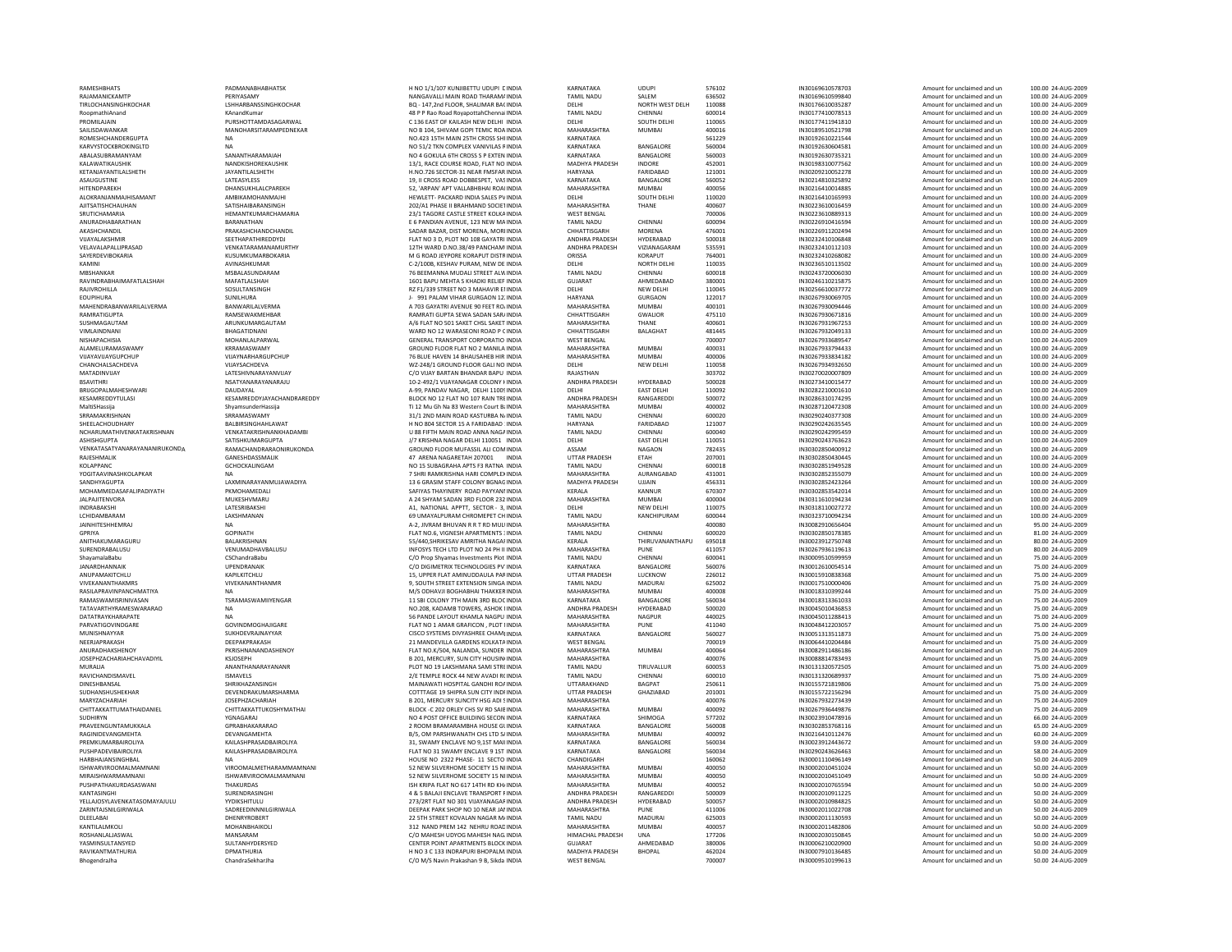RAMESHBHATS PADMANABHABHATSK RAJAMANICKAMTP PERIYASAMY PROMILAJAIN PURSHOTTAMDASAGARWALSAILISDAWANKAR MANOHARSITARAMPEDNEKAR ROMESHCHANDERGUPTA KARVYSTOCKBROKINGLTD<br>KARVYSTOCKBROKINGLTD<br>ARAI ASI IRRAMANYAM ABALASUBRAMANYAM KALAWATIKAUSHIKKETANJAYANTILALSHETH ALOKRANJANMAJHISAMANTANURADHABARATHAN BARANATHAN EAKASHCHANDIL PRAKASHCHANDCHANDIL VIJAYALAKSHMIR<br>VEI AVALAPALI IPRASAD SEETHAPATHIREDDYDJ SEETHAPATHIREDDYDJ VELAVALAPALLIPRASAD SAYERDEVIBOKARIA KUSUMKUMARBOKARIA RAVINDRABHAIMAFATLALSHAH MAFATLALSHAH MAFATLALSHAH 1601 MAFATLALSHAH 1601 MAFATLALSHAH 1602 MAFATLALSHAH 1602 M EOUPIHURAMAHENDRABANWARILALVERMA RAMRATIGUPTAVIMI AINDNANI BHAGATIDNANI NISHAPACHISIA MOHANLALPARWAL GENERAL GENERAL GENERAL MOHANLALPARWAL ALAMELURAMASWAMYVIJAYAVIJAYGUPCHUP VIJAYNARHARGUPCHUF<br>CHANCHALSACHDEVA VIJAYSACHDEVA VIJAYSACHDEVA SRRAMAKRISHNAN SRRAMASWAMY SHEELACHOUDHARY BALBIRSINGHAHLAWAT NCHARUMATHIVENKATAKRISHNAN VENKATAKRISHNANKHADAMB<br>ASHISHGUPTA USATISHKUMARGUPTA **ASHISHGUPTA** VENKATASATYANARAYANANIRUKONDAKOLAPPANC GCHOCKALINGAM YOGITAAVINASHKOLAPKAR SANDHYAGUPTA LAXMINARAYANMUJAWADIYA<br>MOHAMMEDASAFALIPADIYATH PEMOHAMEDALI MOHAMMEDASAFALIPADIYATH JALPAJITENVORA MUKESHVMARU ATASHIRANG MUKESHVMARU ATASHIRANG MUKESHVMARU ATASHIRANG MUKESHVMARU ATASHIRANG MUK<br>MUKESHIRANG MUKESHIRANG MUKESHIRANG MUKESHIRANG MUKESHIRANG MUKESHIRANG MUKESHIRANG MUKESHIRANG MUKESHIRANG MU LCHIDAMRARAM JAINHITESHHEMRAJ NA NA A<br>1999-Yangi dhe mashmud na Afrika Marejeshi na Afrika Marejeshi na Afrika Marejeshi na Afrika Marejeshi na Afri SURENDRABALUSU VENUMADHAVBALUSU VIVEKANANTHAKMRS VIVEKANANTHANMR 9, SOUTHRAMASWAMISRINIVASAN TATAVARTHYRAMESWARARAODATATRAYKHARAPATE NA 560 NA 560 NA 560 NA 560 NA 560 NA 560 NA 560 NA 560 NA 560 NA 560 NA 560 NA 560 NA 560 NA PARVATIGOVINDGARE GOVINDMOGHAJIGARE GOVINDMOGHAJIGARE GOVINDMOGHAJIGARE FLATTEN SUKHDEVRAJNAYYAR NEERIAPRAKASH DEEPAKPRAKASH ANURADHAKSHENOY PKRISHNANANDASHENO' PKRISHNANANDASHENO' JOSEPHZACHARIAHCHAVADIYIL MURALIA ANANTHANARAYANANR ANANTHANARAYANANR RAYICHANDISMAYEL **ANANTHANARAYANANR**<br>RAYICHANDISMAVEL **ANANTHANARAYANANR**  $\begin{array}{lll} \text{DINESHBANSAL} & \text{SHRIKHAZANSINGH} \\ \text{SUBHANSHUSHERHAR} & \text{DEVENDRAKUMARS} \end{array}$ SUDHANSHUSHEKHAR DEVENDRAKUMARSHARMA DEVENDRAKUMARSHARMA DEVENDRAKUMARSHARMA CHITTAKKATTUMATHAIDANIEL CHITTAKKATTUKOSHYMATHAI SUDHIRYN YGNAGARAJ PRAVEENGUNTAMUKKALARAGINIDEVANGMEHTA DEVANGAMEHTA DEVANGAMEHTA DEVANGAMEHTA DEVANGAMEHTA DEVANGAMEHTA PREMKUMARBAIROLIYAHARBHAJANSINGHBAL NA HOUSE NA HOUSE NA HOUSE NA HOUSE NA HOUSE NA HOUSE NA HOUSE NA HOUSE NA HOUSE NA HOUSE NA<br>NA HOUSE NA HOUSE NA HOUSE NA HOUSE NA HOUSE NA HOUSE NA HOUSE NA HOUSE NA HOUSE NA HOUSE NA HOUSE NA HOUSE NA ISHWARVIROOMALMAMNANI MIRAISHWARMAMNANI ISHWARVIROOMALMAMNANI PUSHPATHAKURDASASWANI THAKURDAS<br>KANTASINGHI SIJRENDRASIN ZARINTAJSNILGIRIWALA SADREEDINNNILGIRIWALA **DLEELABAI DHENRYROBERT**<br> **EXANTILALMENTI** ROSHANLALJASWAL MANASARAM MANASARAM MANASARAM MANASARAM MANASARAM MANASARAM MANASARAM MANASARAM MANASARAM MANASARAM MANASARAM MANASARAM MANASARAM MANASARAM MANASARAM MANASARAM MANASARAM MANASARAM MANASARAM MANASARAM MANASA YASMINSULTANSYED RAVIKANTMATHURIA DI DEMATHURIA

NANGAVALLI MAIN ROAD THARAMA INDIA<br>1999 - LEHARBANSSINGHKOCHAR NANGAN ANG ANG ANG ASA NG ASA NA BAGA INDIA ASA ANG ASA ANG ASA ANG ANG ANG ANG A  $\blacksquare$ NANDKISHOREKAUSHIK 13/1, RACE COURSE ROAD, FLAT NO INDIA<br>1999 - JAYANTILALSHETH 14YANTILALSHETH ASAUGUSTINE AND A CONSUMING THE CONSUMING CONSUMING THE CONSUMING CONSUMING THE CONSUMING CONSUMING THE CONSUMING CONSUMING THE CONSUMING CONSUMING THE CONSUMING CONSUMING THE CONSUMING CONSUMING THE CONSUMING CONSUMING CO AMBIKAMOHANMAJHI AJITSATISHCHAUHAN SATISHAIBARANSINGH 202/A1 PHASE II BRAHMAND SOCIETINDIA<br>1997-1997 SRIJTICHAMARIA SRIJTICHAMARIA SRIJTICHAMARIA 23/1 TAGORE CASTIF STREET KOLKAINDIA MKAMINI AVINASHKUMAR C‐2/100B, KESHAV PURAM, NEWMSBALASUNDARAM **SOSULTANSINGH** SUNILHURA<br>
SUNILHURA JOS ANNO 12: INDIA<br>
A 703 GAYATRI AVENI IF SO EFFT ROJINDIA RAMSEWAKMEHBAR<br>ARUNKUMARGAUTAM RAKUNG PERDANG ARUNG ARUNG ARUNG ARUNG ARUNG ARUNG ARUNG ARUNG ARUNG ARUNG ARUNG ARUNG ARUNG A<br>A/6 FLAT NO 501 SAKET CHSL SAKET INDIA ARUNKUMARGAUTAM KRRAMASWAMY MATADINVIJAY LATESHIVNARAYANVIJAY CONJAVENIZATION CONJAVENEDADI INDIA BSAVITHRI NSATYANARAYANARAJU 10‐2‐492/1 VIJAYANAGAR COLONY HINDIA ANDHRA PRADESH<br>1999 BRUGOPALMAHESHWARI DALIDAYAL DALIDAYAL DALIDAYAL DALIDAYAL A-99, PANDAV NAGAR, DELHI 1100SINDIA DELHI DAL KESAMREDDYJAYACHANDRAREDDY 31/1 2ND MAINRAMACHANDRARAONIRUKONDA **GROUND FLOOR MUEASSILALL COMUNDIA** GANESHDASSMALIK GPRIYA GOPINATH FLATJANARDHANNAIK UPENDRANAIK C/ORASILAPRAVINDANG MATIYA NA MAHARASHTRA NA MAHARASHTRA<br>RASILAPRANCHATIYA NA MAHARASHTRA NA MAHARASHTRA NA MAHARASHTRA<br>RASILAPRANCHATIYA MAHARASHTRA MAHARASHTRA NA MAHARASHTRA NA MAHARASHTRA MAHARASHTRA MAHARASHTRA MAHARASHT SUKHDEVRAJNAYYAR RAVICHANDISMAVEL<br>
RAVICHANDISMAVEL<br>
ISMAVELS 2/E TEMPLE ROCK 44 NEW AVADI R(INDIA<br>
SHRIKHAZAMSIMCH CHIRIKHAZAMSIMCH MAINAWATI HOSPITAL GANDHI ROALINDIA JOSEPHZACHARIAH **GPRABHAKARARAO** 2 ROOM BRAMARAMBHA HOUSE GLINDIA<br>2 ROOM BRAMARAMBHA 2 ROOM BASHWANATH CH'S LTD SLINDIA PUSHPADEVIBAIROLIYA KAILASHPRASADBAIROLIYA FLATKANTASINGHI SURENDRASINGHI 4YELLAJOSYLAVENKATASOMAYAJULU YYDIKSHITULU YWORSHITULU 273/2RT FLAT NO 301 VIJAYANAGAF INDIA KANTILALMKOLI MOHANBHAIKOLI 312

 NO 1/1/107 KUNJIBETTU UDUPI DINDIA KARNATAKA UDUPI 576102 IN30169610578703 Amount for unclaimed and un 100.00 24‐AUG‐2009 TIRLOCHANSINGHKOCHAR LSHHARBANSSINGHKOCHAR BQ ‐ 147,2nd FLOOR, SHALIMAR BAGINDIA DELHI NORTHRoopmathiAnand KAnandKumar KAnandKumar 48 P Rao Road RoyapottahChennaiINDIA TAMIL NADU CHENNAI 600014 IN30177410078513 Amount for unclaimed and un 100.00 24‐AUG‐2009 136 EAST OF KAILASH NEWNO B 104, SHIVAM GOPI TEMIC ROA INDIA 15TH MAIN561/2 TKN COMPLEX VANIVILAS RINDIA KARNATAKA BANGALORE 560004 IN30192630604581 Amount for unclaimed and un 100.00 24 -AUG‐2009<br>NO 4 GOKULA 6TH CROSS SPEXTEN INDIA KARNATAKA BANGALORE 560003 IN30192630735321 Amount for unc + Minuted Department of Consumer Consumer Consumer Consumer Consumer Consumer Consumer Consumer Consumer Consumer Consumer Consumer Consumer Consumer Consumer Consumer Consumer Consumer Consumer Consumer Consumer Consumer SECTOR‐31 NEAR FMSFARHITENDPAREKH DHANSUKHLALCPAREKH 52, 'ARPAN' APT VALLABHBHAI ROADINDIA MAHARASHTRA MUMBAI 400056 IN30216410014885 Amount for unclaimed and un 100.00 24‐AUG‐2009 **INDIA SALES PUINDIA SALES PUINDIA CONTRACT SOUTH DELHI**<br> **INDIA SALES AND SALES PUINDIA DELHI DELHI SOUTH DELHI** SOUTH DELHI SALARA SALES AND SALES AND THANE SRUTICHAMARIA HEMANTKUMARCHAMARIA 23/1 TAGORE CASTLE STREET KOLKAINDIA WEST BENGAL 700006 IN30223610889313 Amount for unclaimed and un 100.00 24‐AUG‐2009 6 PANDIAN AVENUE, 123 NEW BAZAR, DIST MORENA, MOREINDIA CHHATTISGARH MORENA 476001 IN30226911202494 Amount for unclaimed and un 100.00 24‐AUG‐2009 NO 3 D, PLOT NO 108 GAYATRI INDIA ANDHRA PRADESH HYDERABAD 500018 IN30232410106848 Amount for unclaimed and un 100.00 24‐AUG‐2009 12TH WARD D.NO.38/49 PANCHAMUINDIA ANDHRA PRADESH VIZIANAGARAM 535591 IN30232410112103 Amount for unclaimed and un 100.00 24‐AUG‐2009 G ROAD JEYPORE KORAPUT DISTRINDIA (NEW AND THE SAND DISTRINGIAL SAND AMOUNT DISTRINGIAL AND A SAND DISTRING AN<br>G AND DISTRING AND DISTRINDIA DISTRINDIA DISTRINDIAL CONSTRUCT ON DISTRINGIAL CONSTRUCT AMOUNT ON UNCLAINED AN<br> BEEMANNA MUDALI STREET ALWINDIA TAMIL NADU CHENNAI 600018 IN30243720006030 Amount for unclaimed and un 100.00 24‐AUG‐2009 1601 BAPU MEHTA S KHADKI RELIEF INDIA U MEHTA S KHADKI RELIEF INDIA GUJARAT AHMEDABAD 380001 IN30246110215875 Amount for unclaimed and un 100.00 24‐AUG‐2009 F1/339 STREET NO 3 MAHAVIR ENINDIA DELHI NEWA 703 GAYATRI AVENUE 90 FEET ROAINDIA MAHARASHTRA<br>RAMRATI GUPTA SEWA SADAN SARI INDIA CHHATTISGARH 501 SAKET CHSL SAKET INDIA MAHARASHTRA THANE 400601 IN30267931967253 Amount for unclaimed and un 100.00 24‐AUG‐2009 WARD NO 12 WARASEONI ROAD P CINDIA 12 WARASEONI ROAD P OINDIA CHHATTISGARH BALAGHAT 481445 IN30267932049133 Amount for unclaimed and un 100.00 24‐AUG‐2009 L TRANSPORT CORPORATIO GROUND FLOOR FLAT NO 2 MANILA INDIA 76 BLUE HAVEN 14 BHAUSAHEB HIR INDIA CHANCHALSACHDEVA VIJAYSACHDEVA WZ‐248/1 GROUND FLOOR GALI NO INDIA DELHI NEW VIJAY BARTAN BHANDAR BAPU INDIA RAJASTHAN 303702 IN30270020007809 Amount for unclaimed and un 100.00 24‐AUG‐2009 BRIJGOPAL DAUDAYAL DAUDAYAL DAUDAYAL AS DANDAYAL AG DAUDAYAL DAN DELHI DAN DELHI DAUDAYAL DAUDAYAL DAUDAYAL DA<br>BRIJGOPAL DAUDAYAL DAUDAYAL DAUDAYAL DANDAYAL DANDAYAL DANDAYAL DANDAYAL DANDAYAL DANDAYAL DAN DANGAREDDY BOOS NO 12 FLAT NO 107 RAIN TREINDIA ANDHRA PRADESH RANGAREDDI 500072 IN30286310174295 Amount for unclaimed and un 100.00 24‐AUG‐2009 MaltiSHassija ShyamsunderHassija ShumsunderHassija ShumsunderHassija Shumsunder Hassim Ti 12 Mu Gh Na 83 Western Court Bai NDIA MAHARASHTRA MUMBAI 400002 IN30287120472308 Amount for unclaimed and un 100.00 24‐AUG‐2009 NO 804 SECTOR 15 A FARIDABAD 1INDIA HARYANA FARIDABAD 121007 IN30290242635545 Amount for unclaimed and un 100.00 24‐AUG‐2009 U 88 FIFTH MAIN ROAD ANNA NAGAINDIA J/7 KRISHNA NAGAR DELHI 110051 INDIA FLOOR MUFASSIL ALI COMINDIA ASSAM NAGAON 782435 IN30302850400912 Amount for unclaimed and un 100.00 24‐AUG‐2009 7 ARENA NAGARETAH 207001 INDIA UTTAR PRADESH ETAH 207001 IN30302850430445 Amount for unclaimed and un 100.00 24‐AUG‐2009 16 SUBAGRAHA APTS F3 RATNA INDIA TAMINADU CHENNAI 600018 IN30302851949528<br>15 PER PERSENGERAHA ALIBANAI SERAGRAHA ANG PERSENGERAHAN INSISTENT PERSENGERAHA Amount for unclaimed and un 100.00 24‐AUG‐2009<br>15 PERSENGERAHA ANG SHRI RAMKRISHNA HARI COMPLEXINDIA MAHARASHTRA13 6 GRASIM STAFF COLONY BGNAG INDIA STAFF COLONY BGNAGINDIA MADHYA PRADESH UJJAIN 456331 IN30302852423264 Amount for unclaimed and un 100.00 24‐AUG‐2009 S THAYINERY ROAD PAYYANNINDIA KERALA KANNUR 670307 IN30302853542014 Amount for unclaimed and un 100.00 24‐AUG‐2009 A 24 SHYAM SADAN 3RD FLOOR 232 INDIA SADAN 3RD FLOOR 232 INDIA MAHARASHTRA MUMBAI 400004 IN30311610194234 Amount for unclaimed and un 100.00 24‐AUG‐2009 INDRABAKSHI LATESRIBAKSHI A1, NATIONAL APPTT, SECTOR ‐ 3, INDIA DELHI NEW UMAYALPURAM CHROMEPET CH INDIA TAMIL NADU KANCHIPURAM 600044 IN30323710094234 Amount for unclaimed and un 100.00 24‐AUG‐2009 BHUVAN RHUVAN RET ROOSO INSULANDIA AN ANGHARASHTRA 400080 IN3008210056404 AMOUNT MONOR UNCLAINDIA AMOUNT ANNO<br>BHUVAN RHUVAN DIA TAMIL NADU CHENNAI 600020 IN30302850178385 Amount for unclaimed and un 81.00 24 AUG‐2009 FLAT NO.6, VIGNESH APARTMENTS : INDIA APARTMENTS 3INDIA TAMIL NADU CHENNAI 600020 IN30302850178385 Amount for unclaimed and un 81.00 24‐AUG‐2009 ANITHAKUMARAGURU BALAKRISHNAN 55/440,SHRIKESAV AMRITHA NAGARINDIA KERALA THIRUVANANTHAPU 695018 IN30023912750748 Amount for unclaimed and un 80.00 24‐AUG‐2009 S TECH LTD PLOT NO ShayamalaBabu CSChandraBabu Computation Computation Computation Computation Computation Computation Computation Computation Description in the plot in the plane of the computation of the computation of the computation of DIGIMETRIX TECHNOLOGIES PVTINDIA KARNATAKA BANGALORE 560076 IN30012610054514 Amount for unclaimed and un 75.00 24‐AUG‐2009 ANUPAMAKITCHLU KAPILKITCHLU 15, UPPER FLAT AMINUDDAULA PARINDIA UTTAR PRADESH LUCKNOW 226012 IN30015910838368 Amount for unclaimed and un 75.00 24‐AUG‐2009 9. SOUTH STREET EXTENSION SINGA INDIA 1 SBI COLONY 7TH MAIN NO.208, KADAMB TOWERS, ASHOK IINDIA PANDE LAYOUT KHAMLA NAGPU NO 1 AMAR GRAFICON , PLOT NINDIA MAHARASHTRA PUNE 411040 IN30048412203057 Amount for unclaimed and un 75.00 24‐AUG‐2009 SYSTEMS DIVYASHREE CHAMBINDIA INSURATAKA BANGALORE 560027 IN30051313511873 Amount for unclaimed and un 75.00 24 AUG‐2009<br>CISCO SYSTEMS DIVYASHREE CHAMBINDIA KARNATAKA BANGALORE 560027 21 MANDEVILLA GARDENS KOLKATA INDIA GARDENS KOLKATAINDIA WEST BENGAL 700019 IN30064410204484 Amount for unclaimed and un 75.00 24‐AUG‐2009 NO.KOM, NALANDA, SUNDER INDIA MAHARASHTRA MUMBAI 400064 IN30082911486186 AMOUNT POLICE AMOUNT POLICE AND TRANSIS<br>R.201 MFBCIBY SUNDER INITIA DIA MAHARASSHTRA MUMBAI 400075 AMOUNT IN30088814783493 **B.201, MERCURY, SUN CITY HOUSINUNDIA**  CITY HOUSINGINDIA MAHARASHTRA 400076 IN30088814783493 Amount for unclaimed and un 75.00 24‐AUG‐2009 NO 19 LAKSHMANA SAMI STREINDIA TAMIL NADU TIRUVALLUR 600053 IN30131320572505 Amount for unclaimed and un 75.00 24‐AUG‐2009 HOSPITAL GANDHI ROAINDIA UTTARAKHAND BAGPAT 19 SHIPRA SUNB 201, MERCURY SUNCITY HSG ADI SINDIA 202 ORLEY CHS SV RD4 POST OFFICE BUILDING SECON INDIA NATIONAL SECON UNIVERSIAL SECON INDICIDENT INDICIDENT AMOUNT OF INDIA SECON<br>2 ROOM BRAMARAMBHA HOUSE GINDIA KARNATAKA BANGALORE 560008 IN30302553768116 Amount for unclaimed and un 65.00 2 BRAMARAMBHA HOUSE GUINDIA KARNATAKA BANGALORE 560008 IN30302853768116 Amount for unclaimed and unclaimed and u<br>BK OM DASSINDANTAKA INICIO DA UNCLAIMED ANNATA ANNATALORE ANONO? IN30316410113476 Amount for unclaimed and un 6 PARSHWANATH CHS LTD SAINDIA MAHARASHTRA MUMBAI 400092 IN30216410112476 Amount for unclaimed and un 60.00 24‐AUG‐2009 **BAILASH AND SHARPS SHARPS**  NO 31 SWAMY ENCLAVE 9 1ST INDIA KARNATAKA BANGALORE 560034 IN30290243626463 Amount for unclaimed and un 58.00 24‐AUG‐2009 HOUSE NO. 2322 PHASE- 11, SECTO INDIA 2322 PHASE‐ 11 SECTO INDIA CHANDIGARH 160062 IN30001110496149 Amount for unclaimed and un 50.00 24‐AUG‐2009 NEW SILVERHOME SOCIETY 15 NEINDIA MAHARASHTRA MUMBAI 400050 IN30002010451024 Amount for unclaimed and un 50.00 24‐AUG‐2009 NEW SILVERHOME SOCIETY 15 NEINDIA MAHARASHTRA MUMBAI 400050 IN30002010451049 Amount for unclaimed and un 50.00 24‐AUG‐2009 ISH KRIPA FLAT NO 617 14TH RD KH/ INDIA 617 14TH RD KHAINDIA MAHARASHTRA MUMBAI 400052 IN30002010765594 Amount for unclaimed and un 50.00 24‐AUG‐2009 & 5 BALAJI ENCLAVE TRANSPORT RINDIA ANDHRA PRADESH RANGAREDDI 500009 IN30002010911225 Amount for unclaimed and un 50.00 24‐AUG‐2009 DEEPAK PARK SHOP NO 10 NEAR JAN INDIA 5TH STREET KOVALAN 142 NEHRU ROADINDIA MAHARASHTRA MUMBAI 400057 IN30002011482806 Amount for unclaimed and un 50.00 24‐AUG‐2009 MAHESH UNA MAHESH UNA HIMACHAL PRADESH UNA 177206 IN30002030150845 Amount for unclaimed and unit unclaimed and un<br>COMMESH UNA INSTALLER UNA INSTALLER UNA 177206 IN30002030150845 Amount for unclaimed and un 50.00 24 AUG‐200 **CENTER POINT APARTMENTS BLOCK INDIA 480006 GUJARAT AND 380006 IN3000**<br>HINO 3.0.133 INDRAPLIRI RHOPALM INDIA 400 24 MADHYA PRADESH H NO 3 C 133 INDRAPLIRI RHOPALM INDIA BhogendraJha ChandraSekharJha ChandraSekharJha Chandra Chandra Chandra Chandra Chandra MEST BENGAL 700007 IN30009510199613 Amount for unclaimed and un 50.00 24‐AUG‐2009

NAND PREM

25Th CROSS SHARINGIA SHARPATAKA 561221544 Amount for unclaimed and un 100.000 2512<br>25 Amount for unclaimed and un 100.00 24 26155721819806 Amount for unclaimed and urnold 157721819806 Amount for unclaimed and urnold 1570101

ROAL MADU SALEM 636502 IN30169610599840 Amount for unclaimed and un 100.00 24‐AUG‐2009<br>DELHI NORTH WEST DELH 110088 IN30176610035287 Amount for unclaimed and un 100.00 24‐AUG‐2009 110088 IN30176610035287 Amount for unclaimed and un 100.00 24‐AUG‐2009<br>FORM14 IN30177410078513 Amount for unclaimed and un 100.00 24‐AUG‐2009 DELHI INDIA DELHI SOUTH DELHI 110065 IN30177411941810 Amount for unclaimed and un 100.00 24‐AUG‐2009 MAHARASHTRA MUMBAI 400016 1612/1798 Amount for unclaimed and un 100.00 24 -AUG -2009<br>IN30192610221544 Amount for unclaimed and un 100.00 24 -AUG -2009 INDIA MADHYA PRADESH INDORE 452001 IN30198310077562 Amount for unclaimed and un 100.00 24‐AUG‐2009 IARYANA FARIDABAD 121001 IN30209210052278 Amount for unclaimed and un 100.00 24‐AUG‐2009<br>IN30214310325892 AMOALORE 560052 IN30214810325892 Amount for unclaimed and un 100.00 24‐AUG‐2009 **Amount for unclaimed and un**  DELHI 110020 IN30216410165993 Amount for unclaimed and un 100.00 24‐AUG‐2009 SOCIETINDIA MAHARASHTRA THANE 400607 IN30223610016459 Amount for unclaimed and un 100.00 24‐AUG‐2009 MAIL NADU CHENNAI 600094 IN30226910416594 Amount for unclaimed and un 100.00 24 AUG -2009<br>CHHATTICGARH MORENA 476001 100 24 AUG -2009 DE INDIA DELHI NORTH DELHI 110035 IN30236510113502 Amount for unclaimed and un 100.00 24‐AUG‐2009 DELHI 110045 IN30256610037772 Amount for unclaimed and un 100.00 24‐AUG‐2009 VIAR VARIANA GURGAON 122017 IN30267930069705 Amount for unclaimed and un 100.00 24‐AUG‐2009<br>MANABASETTRA MUMBAL AMOUNT AMOUNT INSOFTRANGALAS Amount for unclaimed and un 100.00 24‐AUG‐2009 MUMBAI 400101 IN30267930094446 Amount for unclaimed and un 100.00 24-AUG-2009<br>475110 100.00 24-AUG-2009 113106 10000 113106 Amount for unclaimed and un 100.00 24-AUG-2009 SARATTISGARH GWALIOR 475110 AMOUNT AND AMOUNT AMOUNT AMOUNT AMOUNT AMOUNT AMOUNT AND AMOUNT AND ANGLES AND ANG<br>SARATTINA THANE ADOGO1 AMOUNT ANGLES ANGLES ANGLES AMOUNT AMOUNT AMOUNT AMOUNT AMOUNT ANGLES ANGLES ANGLES ANG INDIA WEST BENGAL 700007 IN30267933689547 Amount for unclaimed and un 100.00 24‐AUG‐2009 .<br>Amount for unclaimed and un 14 MAHARASHTRA MUMBAI 400006 IN30267933834182 Amount for unclaimed and un 100.00 24 AUG -2009<br>14 DELHI NEW DELHI 110058 IN30267934932650 Amount for unclaimed and un 100.00 24 -AUG -2009 DELHI 110058 IN30267934932650 Amount for unclaimed and un 100.00 24‐AUG‐2009 PERABAD 500028 IN30273410015477 Amount for unclaimed and un 100.00 24‐AUG‐2009 Amount for unclaimed and un 100.00 24‐AUG‐2009 AMOUNT AMOUNT AMOUNT AMOUNT AMOUNT AMOUNT AMOUNT AMOUNT AMOUNT AMOUNT AMOUNT AMOUNT AMOUNT AMOUN ROAD KASTURBA NAINDIA TAMIL NADU CHENNAI 600020 IN30290240377308 Amount for unclaimed and un 100.00 24‐AUG‐2009 ROALL NADU CHENNAI 600040 600040 IN30290242995459 Amount for unclaimed and un 100.00 24 AUG -2009<br>DELHI EAST DELHI 110051 IN30290243763623 Amount for unclaimed and un 100.00 24 -AUG -2009 MAHARASHTRA AURANGABAD 431001 IN30302852355079 Amount for unclaimed and un 100.00 24 AUG -2005<br>MADHYA PRADESH UJJAIN 456331 IN30302852423264 Amount for unclaimed and un 100.00 24 AUG -2005 -CHI 110075 IN30318110027272 Amount for unclaimed and un 100.00 24 -AUG⋅2009<br>110075 IN30318110027272 Amount for unclaimed and un 100.00 24 -AUG⋅2009<br>1200044 IN30323710094234 Amount for unclaimed and un 100.00 24 -AUG⋅2009 24 PH II INDIA MAHARASHTRA PUNE 411057 IN30267936119613 Amount for unclaimed and un 80.00 24‐AUG‐2009 N SINGA INDIA TAMIL NADU MADURAI 625002 IN30017510000406 Amount for unclaimed and un 75.00 24‐AUG‐2009 MUMBAI 400008 IN30018310399244 Amount for unclaimed and un 75.00 24‐AUG‐2009 3RD BANGALORE 560034 IN30018313361033 Amount for unclaimed and un and amount for unclaimed and un and the US-A<br>1980-ANDHRA PRADESH HYDERABAD SOOD20 IN30045010436853 Amount for unclaimed and un and amount of unclaimed and MAHARASHTRA NAGPUR 440025 440025 IN30045011288413 Amount for unclaimed and un 75.00 24‐AUG‐2009<br>MAHARASHTRA PIJNF 411040 110040 IN30048412203057 Amount for unclaimed and un 75٬00 24‐AUG‐2009 AVADI ROINDIA TAMIL NADU CHENNAI 600010 IN30131320689937 Amount for unclaimed and un 75.00 24‐AUG‐2009 **25.00 24-AUG-2009**  CITY INDRINDIA UTTAR PRADESH GHAZIABAD 201001 IN30155722156294 Amount for unclaimed and un 75.00 24‐AUG‐2009 MAHARASHTRA 100076 1N30267932273439 Amount for unclaimed and un 75.00 24 AUG⋅2009<br>ADI ANIMARAL 100002<br>Amount for unclaimed and un 75 00 24 AUG 2009 SAIBINDIA MAHARASHTRA MUMBAI 400092 IN30267936449876 Amount for unclaimed and un 75.00 24‐AUG‐2009 9,1ST MAININDIA KARNATAKA BANGALORE 560034 IN30023912443672 Amount for unclaimed and un 59.00 24‐AUG‐2009 301 VIJAYANAGARINDIA ANDHRA PRADESH HYDERABAD 500057 IN30002010984825 Amount for unclaimed and un 50.00 24‐AUG‐2009 10 MAHARASHTRA PUNE 411006 Amount for unclaimed and un 50.00 24 AUG‐2009<br>11300 TAMIL NADU MADURAI 625003 IN30002011130593 Amount for unclaimed and un 50.00 24 AUG‐2009 NAGAR MADURAI 625003 IN30002011130593 Amount for unclaimed and un 50.00 24 -AUG⋅2009<br>MAHABASHTRA MIIMRAI 400057 AMORΣ IN30002011482806 Amount for unclaimed and un 50.00 24 -AUG⋅2009 3 C 133 INDRAPURI BHOPALMAINDIA MADHYA PRADESH BHOPAL 462024 IN30007910136485 Amount for unclaimed and un 50.00 24‐AUG‐2009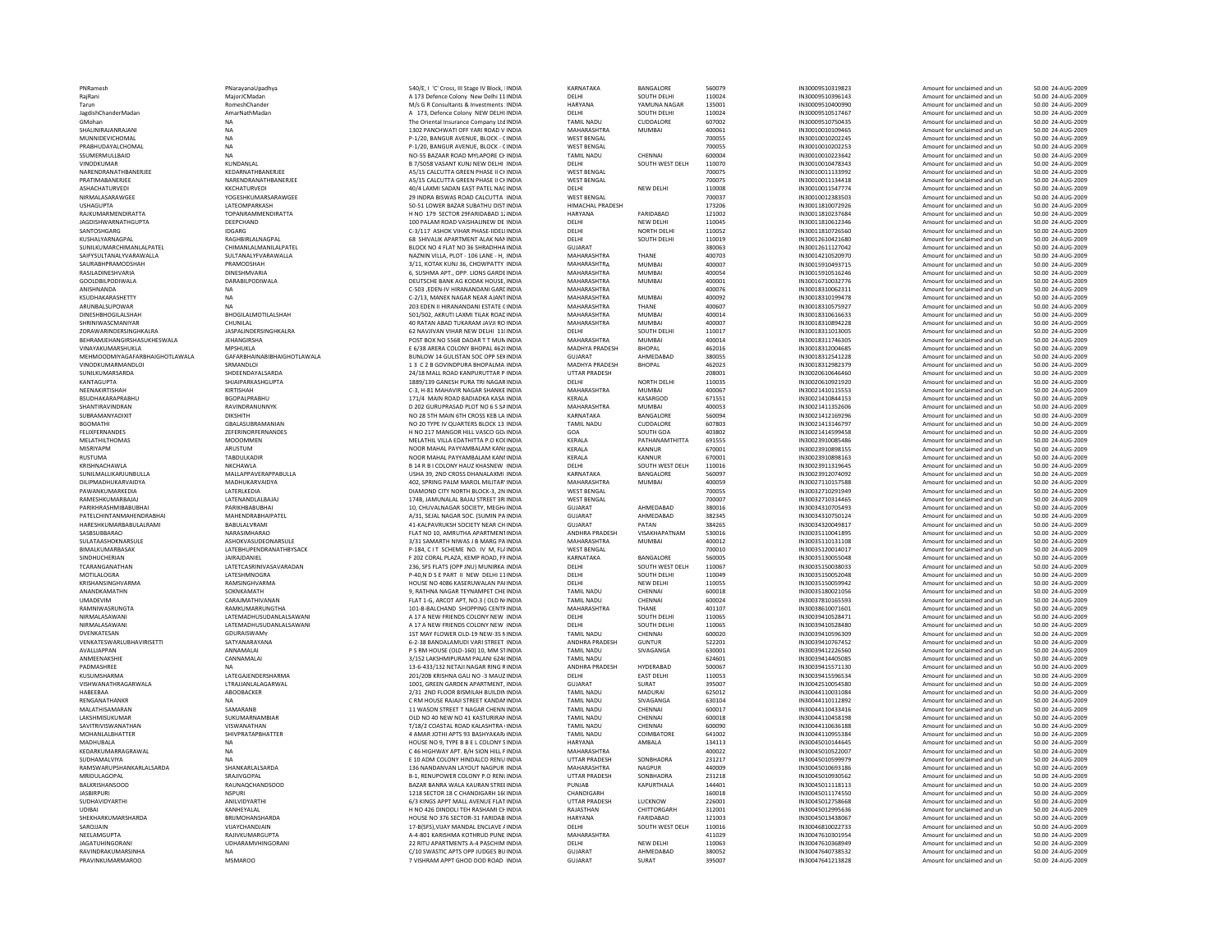| PNRamesh                             | PNarayanaUpadhya                | 540/E, I 'C' Cross, III Stage IV                       |
|--------------------------------------|---------------------------------|--------------------------------------------------------|
| RaiRani                              | MaiorJCMadan                    | A 173 Defence Colony New D                             |
| Tarun                                | RomeshChander                   | M/s G R Consultants & Invest                           |
| JagdishChanderMadan                  | AmarNathMadan                   | A 173. Defence Colony NEW                              |
| GMohan                               | <b>NA</b>                       | The Oriental Insurance Compa                           |
| SHALINIRAJANRAJANI                   | <b>NA</b>                       | 1302 PANCHWATI OFF YARI R                              |
|                                      | <b>NA</b>                       |                                                        |
| MUNNIDEVICHOMAL<br>PRABHUDAYALCHOMAL |                                 | P-1/20, BANGUR AVENUE, BL<br>P-1/20, BANGUR AVENUE, BL |
|                                      | <b>NA</b>                       |                                                        |
| SSUMERMULLBAID                       | <b>NA</b>                       | NO-55 BAZAAR ROAD MYLAP                                |
| VINODKUMAR                           | KUNDANLAL                       | B 7/5058 VASANT KUNJ NEW                               |
| NARENDRANATHBANERJEE                 | KEDARNATHBANERJEE               | A5/15 CALCUTTA GREEN PHA                               |
| PRATIMABANERJEE                      | NARENDRANATHBANERJEE            | A5/15 CALCUTTA GREEN PHA                               |
| ASHACHATURVEDI                       | KKCHATURVEDI                    | 40/4 LAXMI SADAN EAST PAT                              |
| NIRMALASARAWGEE                      | YOGESHKUMARSARAWGEE             | 29 INDRA BISWAS ROAD CALO                              |
| <b>USHAGUPTA</b>                     | LATEOMPARKASH                   | 50-51 LOWER BAZAR SUBATH                               |
| RAJKUMARMENDIRATTA                   | <b>TOPANRAMMENDIRATTA</b>       | H NO 179 SECTOR 29FARIDA                               |
| <b>JAGDISHWARNATHGUPTA</b>           | DEEPCHAND                       | 100 PALAM ROAD VAISHALIN                               |
| SANTOSHGARG                          | <b>IDGARG</b>                   |                                                        |
|                                      |                                 | C-3/117 ASHOK VIHAR PHASE                              |
| KUSHALYARNAGPAL                      | RAGHBIRLALNAGPAL                | 68 SHIVALIK APARTMENT ALJ                              |
| SUNILKUMARCHIMANLALPATEL             | CHIMANLALMANILALPATEL           | BLOCK NO 4 FLAT NO 36 SHR/                             |
| SAIFYSULTANALYVARAWALLA              | SULTANALYFVARAWALLA             | NAZNIN VILLA, PLOT - 106 LAI                           |
| SAURABHPRAMODSHAH                    | PRAMODSHAH                      | 3/11, KOTAK KUNJ 36, CHOW                              |
| RASILADINESHVARIA                    | DINESHMVARIA                    | 6, SUSHMA APT., OPP. LIONS                             |
| GOOLDBILPODIWALA                     | DARABILPODIWALA                 | DEUTSCHE BANK AG KODAK H                               |
| ANISHNANDA                           | <b>NA</b>                       | C-503 ,EDEN-IV HIRANANDAN                              |
| KSUDHAKARASHETTY                     | <b>NA</b>                       | C-2/13. MANEK NAGAR NEAR                               |
|                                      | <b>NA</b>                       | 203 EDEN II HIRANANDANI ES                             |
| ARUNBALSUPOWAR                       |                                 |                                                        |
| <b>DINESHBHOGILALSHAH</b>            | BHOGILALMOTILALSHAH             | 501/502, AKRUTI LAXMI TILAI                            |
| SHRINIWASCMANIYAR                    | CHUNILAL                        | 40 RATAN ABAD TUKARAM JA                               |
| ZORAWARINDERSINGHKALRA               | JASPALINDERSINGHKALRA           | 62 NAVJIVAN VIHAR NEW DEI                              |
| BEHRAMJEHANGIRSHASUKHESWALA          | <b>JEHANGIRSHA</b>              | POST BOX NO 5568 DADAR T                               |
| VINAYAKUMARSHUKLA                    | <b>MPSHUKLA</b>                 | E 6/38 ARERA COLONY BHOP/                              |
| MEHMOODMIYAGAFARBHAIGHOTLAWALA       | GAFARBHAINABIBHAIGHOTLAWALA     | BUNLOW 14 GULISTAN SOC C                               |
| <b>VINODKUMARMANDLOI</b>             | SRMANDLOI                       | 13 C 2 B GOVINDPURA BHOF                               |
| SUNILKUMARSARDA                      | SHDEENDAYALSARDA                | 24/18 MALL ROAD KANPURU'                               |
|                                      |                                 |                                                        |
| KANTAGUPTA                           | SHJAIPARKASHGUPTA               | 1889/139 GANESH PURA TRI I                             |
| NEENAKIRTISHAH                       | KIRTISHAH                       | C-3, H-81 MAHAVIR NAGAR S                              |
| BSUDHAKARAPRABHU                     | <b>BGOPALPRABHU</b>             | 171/4 MAIN ROAD BADIADK/                               |
| SHANTIRAVINDRAN                      | RAVINDRANUNNYK                  | D 202 GURUPRASAD PLOT NO                               |
| SURRAMANYADIXIT                      | <b>DIKSHITH</b>                 | NO 28 5TH MAIN 6TH CROSS                               |
| <b>BGOMATHI</b>                      | GBALASUBRAMANIAN                | NO 20 TYPE IV QUARTERS BLO                             |
| FELIXFERNANDES                       | ZEFERINORFERNANDES              | H NO 217 MANGOR HILL VAS                               |
| MELATHILTHOMAS                       | <b>MOOOMMEN</b>                 | MELATHIL VILLA EDATHITTA F                             |
| MISRIYAPM                            | ARUSTUM                         | NOOR MAHAL PAYYAMBALAM                                 |
|                                      |                                 |                                                        |
| <b>RUSTUMA</b>                       | TABDULKADIR                     | NOOR MAHAL PAYYAMBALAM                                 |
| KRISHNACHAWLA                        | NKCHAWLA                        | <b>B 14 R B I COLONY HAUZ KHA</b>                      |
| SUNILMALLIKARJUNBULLA                | MALLAPPAVERAPPABULLA            | USHA 39, 2ND CROSS DHANA                               |
| DILIPMADHUKARVAIDYA                  | MADHUKARVAIDYA                  | 402, SPRING PALM MAROL M                               |
| PAWANKUMARKEDIA                      | LATERLKEDIA                     | DIAMOND CITY NORTH BLOCK                               |
| RAMESHKUMARBAJAJ                     | LATENANDLALBAJAJ                | 174B, JAMUNALAL BAJAJ STRI                             |
| PARIKHRASHMIBABUBHAI                 | PARIKHBABUBHAI                  | 10, CHUVALNAGAR SOCIETY,                               |
|                                      |                                 |                                                        |
| PATELCHINTANMAHENDRABHAI             | MAHENDRABHAIPATEL               | A/31, SEJAL NAGAR SOC. (SUI                            |
| HARESHKUMARBABULALRAMI               | BABULALVRAMI                    | 41-KALPAVRUKSH SOCIETY NI                              |
| SASBSUBBARAO                         | NARASIMHARAO                    | FLAT NO 10. AMRUTHA APAR                               |
| SULATAASHOKNARSULE                   | ASHOKVASUDEONARSULE             | 3/31 SAMARTH NIWAS J B M/                              |
| BIMALKUMARBASAK                      | LATEBHUPENDRANATHBYSACK         | P-184, CIT SCHEME NO. IV                               |
| SINDHUCHERIAN                        | JAIRAJDANIEL                    | F 202 CORAL PLAZA, KEMP RC                             |
| TCARANGANATHAN                       | <b>I ATFTCASRINIVASAVARADAN</b> | 236, SFS FLATS (OPP JNU) MU                            |
| MOTILALOGRA                          | LATESHMNOGRA                    | P-40,N D S E PART II NEW DI                            |
| KRISHANSINGHVARMA                    | RAMSINGHVARMA                   | HOUSE NO 4086 KASERUWAL                                |
| ANANDKAMATHN                         | SOKNKAMATH                      |                                                        |
|                                      |                                 | 9, RATHNA NAGAR TEYNAMP                                |
| <b>UMADEVIM</b>                      | CARAIMATHIVANAN                 | FLAT 1-G. ARCOT APT. NO.3 (                            |
| RAMNIWASRUNGTA                       | RAMKUMARRUNGTHA                 | 101-B-BALCHAND SHOPPING                                |
| NIRMALASAWANI                        | LATEMADHUSUDANLALSAWANI         | A 17 A NEW FRIENDS COLONY                              |
| NIRMALASAWANI                        | LATEMADHUSUDANLALSAWANI         | A 17 A NEW FRIENDS COLONY                              |
| DVENKATESAN                          | GDURAISWAMY                     | 1ST MAY FLOWER OLD-19 NE                               |
| VENKATESWARLUBHAVIRISETTI            | SATYANARAYANA                   | 6-2-38 BANDALAMUDI VARI S                              |
| AVALLIAPPAN                          | ANNAMAI AI                      | P S RM HOUSE (OLD-160) 10,                             |
| ANMEENAKSHIE                         | CANNAMALAI                      | 3/152 LAKSHMIPURAM PALAI                               |
| PADMASHREE                           | <b>NA</b>                       | 13-6-433/132 NETAJI NAGAR                              |
| KUSUMSHARMA                          | LATEGAJENDERSHARMA              | 201/20B KRISHNA GALI NO -3                             |
|                                      |                                 |                                                        |
| VISHWANATHRAGARWALA                  | LTRAJJANLALAGARWAL              | 1001, GREEN GARDEN APART                               |
| HABEEBAA                             | ABOOBACKER                      | 2/31 2ND FLOOR BISMILAH B                              |
| RENGANATHANKR                        | <b>NA</b>                       | C RM HOUSE RAJAJI STREET K                             |
| MALATHISAMARAN                       | SAMARANB                        | 11 WASON STREET T NAGAR                                |
| <b>LAKSHMISUKUMAR</b>                | SUKUMARNAMBIAR                  | OLD NO 40 NEW NO 41 KASTI                              |
| SAVITRIVISWANATHAN                   | VISWANATHAN                     | T/18/2 COASTAL ROAD KALAS                              |
| MOHANLALBHATTER                      | SHIVPRATAPBHATTER               | 4 AMAR JOTHI APTS 93 BASH'                             |
| MADHUBALA                            | <b>NA</b>                       | HOUSE NO 9, TYPE B B E L CO                            |
|                                      |                                 |                                                        |
| KEDARKUMARRAGRAWAL                   | <b>NA</b>                       | C 46 HIGHWAY APT, B/H SION                             |
| SUDHAMALVIYA                         | <b>NA</b>                       | E 10 ADM COLONY HINDALCO                               |
| RAMSWARUPSHANKARLALSARDA             | SHANKARLALSARDA                 | 136 NANDANVAN LAYOUT NA                                |
| MRIDULAGOPAL                         | SRAJIVGOPAL                     | B-1, RENUPOWER COLONY P.                               |
| BALKRISHANSOOD                       | RAUNAQCHANDSOOD                 | BAZAR BANRA WALA KAURAN                                |
| <b>IASBIRPURI</b>                    | <b>NSPURI</b>                   | 1218 SECTOR 18 C CHANDIGA                              |
| SUDHAVIDYARTHI                       | ANILVIDYARTHI                   | 6/3 KINGS APPT MALL AVENU                              |
| UDIBAI                               | KANHEYALAL                      | H NO 426 DINDOLI TEH RASH                              |
|                                      |                                 |                                                        |
| SHEKHARKUMARSHARDA                   | BRIJMOHANSHARDA                 | HOUSE NO 376 SECTOR-31 FA                              |
| SAROJJAIN                            | VIJAYCHANDJAIN                  | 17-B(SFS), VIJAY MANDAL ENC                            |
| NEELAMGUPTA                          | RAJIVKUMARGUPTA                 | A-4-801 KARISHMA KOTHRUD                               |
| <b>JAGATUHINGORANI</b>               | UDHARAMVHINGORANI               | 22 RITU APARTMENTS A-4 PA                              |
| RAVINDRAKUMARSINHA                   | <b>NA</b>                       | C/10 SWASTIC APTS OPP JUD                              |
| <b>PRAVINKUMARMAROO</b>              | <b>MSMAROO</b>                  | 7 VISHRAM APPT GHOD DOD                                |

| PNRamesh                              | PNarayanaUpadhya                        | 540/E, I 'C' Cross, III Stage IV Block                           |
|---------------------------------------|-----------------------------------------|------------------------------------------------------------------|
| RaiRani                               | MaiorJCMadan                            | A 173 Defence Colony New Delhi :                                 |
| Tarun                                 | RomeshChander                           | M/s G R Consultants & Investment                                 |
| JagdishChanderMadan                   | AmarNathMadan                           | A 173, Defence Colony NEW DEL                                    |
| GMohan                                | <b>NA</b>                               | The Oriental Insurance Company L                                 |
| SHALINIRAJANRAJANI<br>MUNNIDEVICHOMAL | <b>NA</b><br><b>NA</b>                  | 1302 PANCHWATI OFF YARI ROAD                                     |
| PRABHUDAYALCHOMAL                     | <b>NA</b>                               | P-1/20, BANGUR AVENUE, BLOCK -<br>P-1/20, BANGUR AVENUE, BLOCK - |
| SSUMERMULLBAID                        | <b>NA</b>                               | NO-55 BAZAAR ROAD MYLAPORE                                       |
| VINODKUMAR                            | KUNDANLAL                               | B 7/5058 VASANT KUNJ NEW DELH                                    |
| NARENDRANATHBANERJEE                  | KEDARNATHBANERJEE                       | A5/15 CALCUTTA GREEN PHASE II                                    |
| PRATIMABANERJEE                       | NARENDRANATHBANERJEE                    | A5/15 CALCUTTA GREEN PHASE II                                    |
| ASHACHATURVEDI                        | KKCHATURVEDI                            | 40/4 LAXMI SADAN EAST PATEL N/                                   |
| NIRMALASARAWGEE                       | YOGESHKUMARSARAWGEE                     | 29 INDRA BISWAS ROAD CALCUTT.                                    |
| <b>USHAGUPTA</b>                      | LATEOMPARKASH                           | 50-51 LOWER BAZAR SUBATHU DI!                                    |
| RAJKUMARMENDIRATTA                    | TOPANRAMMENDIRATTA                      | H NO 179 SECTOR 29FARIDABAD                                      |
| <b>JAGDISHWARNATHGUPTA</b>            | DEEPCHAND                               | 100 PALAM ROAD VAISHALINEW D                                     |
| SANTOSHGARG                           | IDGARG                                  | C-3/117 ASHOK VIHAR PHASE-IIDE                                   |
| KUSHALYARNAGPAL                       | RAGHBIRLALNAGPAL                        | 68 SHIVALIK APARTMENT ALAK NA                                    |
| SUNILKUMARCHIMANLALPATEL              | CHIMANLALMANILALPATEL                   | BLOCK NO 4 FLAT NO 36 SHRADHH                                    |
| SAIFYSULTANALYVARAWALLA               | SULTANALYFVARAWALLA                     | NAZNIN VILLA, PLOT - 106 LANE - I                                |
| SAURABHPRAMODSHAH                     | PRAMODSHAH<br>DINESHMVARIA              | 3/11, KOTAK KUNJ 36, CHOWPATT                                    |
| RASILADINESHVARIA<br>GOOLDBILPODIWALA | DARABILPODIWALA                         | 6, SUSHMA APT., OPP. LIONS GARI<br>DEUTSCHE BANK AG KODAK HOUS   |
| ANISHNANDA                            | <b>NA</b>                               | C-503 .EDEN-IV HIRANANDANI GA                                    |
| KSUDHAKARASHETTY                      | NA                                      | C-2/13, MANEK NAGAR NEAR AJAI                                    |
| ARUNBALSUPOWAR                        | <b>NA</b>                               | 203 EDEN II HIRANANDANI ESTATE                                   |
| DINESHBHOGILALSHAH                    | BHOGILALMOTILALSHAH                     | 501/502, AKRUTI LAXMI TILAK ROA                                  |
| SHRINIWASCMANIYAR                     | CHUNILAL                                | 40 RATAN ABAD TUKARAM JAVJI R                                    |
| ZORAWARINDERSINGHKALRA                | JASPALINDERSINGHKALRA                   | 62 NAVJIVAN VIHAR NEW DELHI 1                                    |
| BEHRAMJEHANGIRSHASUKHESWALA           | <b>JEHANGIRSHA</b>                      | POST BOX NO 5568 DADAR T T ML                                    |
| VINAYAKUMARSHUKLA                     | MPSHUKLA                                | E 6/38 ARERA COLONY BHOPAL 46                                    |
| MEHMOODMIYAGAFARBHAIGHOTLAWALA        | GAFARBHAINABIBHAIGHOTLAWALA             | BUNLOW 14 GULISTAN SOC OPP S                                     |
| VINODKUMARMANDLOI                     | SRMANDLOI                               | 13 C 2 B GOVINDPURA BHOPALM                                      |
| SUNILKUMARSARDA                       | SHDEENDAYALSARDA                        | 24/18 MALL ROAD KANPURUTTAR                                      |
| KANTAGUPTA                            | SHJAIPARKASHGUPTA                       | 1889/139 GANESH PURA TRI NAG/                                    |
| NEENAKIRTISHAH                        | KIRTISHAH                               | C-3, H-81 MAHAVIR NAGAR SHANI                                    |
| BSUDHAKARAPRABHU                      | BGOPALPRABHU                            | 171/4 MAIN ROAD BADIADKA KAS                                     |
| SHANTIRAVINDRAN                       | RAVINDRANUNNYK                          | D 202 GURUPRASAD PLOT NO 6 S :                                   |
| SURRAMANYADIXIT                       | DIKSHITH                                | NO 28 5TH MAIN 6TH CROSS KEB L                                   |
| <b>BGOMATHI</b><br>FELIXFERNANDES     | GBALASUBRAMANIAN<br>ZEFERINORFERNANDES  | NO 20 TYPE IV QUARTERS BLOCK 1<br>H NO 217 MANGOR HILL VASCO G   |
| MELATHILTHOMAS                        | <b>MOOOMMEN</b>                         | MELATHIL VILLA EDATHITTA P.O K                                   |
| MISRIYAPM                             | ARUSTUM                                 | NOOR MAHAL PAYYAMBALAM KA                                        |
| RUSTUMA                               | <b>TARDULKADIR</b>                      | NOOR MAHAL PAYYAMBALAM KA                                        |
| KRISHNACHAWLA                         | NKCHAWLA                                | B 14 R B I COLONY HAUZ KHASNEV                                   |
| SUNILMALLIKARJUNBULLA                 | MALLAPPAVERAPPABULLA                    | USHA 39, 2ND CROSS DHANALAXN                                     |
| DILIPMADHUKARVAIDYA                   | MADHUKARVAIDYA                          | 402, SPRING PALM MAROL MILITA                                    |
| PAWANKUMARKEDIA                       | LATERLKEDIA                             | DIAMOND CITY NORTH BLOCK-3, 2                                    |
| RAMESHKUMARRAJAJ                      | <b>LATENANDI ALBAJAJ</b>                | 174B, JAMUNALAL BAJAJ STREET 3                                   |
| PARIKHRASHMIBABUBHAI                  | PARIKHBABUBHAI                          | 10, CHUVALNAGAR SOCIETY, MEG                                     |
| PATELCHINTANMAHENDRABHAI              | MAHENDRABHAIPATEL                       | A/31, SEJAL NAGAR SOC. (SUMIN F                                  |
| HARESHKUMARBABULALRAMI                | BABULALVRAMI                            | 41-KALPAVRUKSH SOCIETY NEAR O                                    |
| SASBSUBBARAO                          | NARASIMHARAO                            | FLAT NO 10, AMRUTHA APARTMEI                                     |
| <b>SUI ATAASHOKNARSULF</b>            | <b>ASHOKVASUDEONARSULE</b>              | 3/31 SAMARTH NIWAS J B MARG I                                    |
| BIMALKUMARBASAK                       | LATEBHUPENDRANATHBYSACK                 | P-184, CIT SCHEME NO. IV M, F                                    |
| SINDHUCHERIAN                         | JAIRAJDANIEL                            | F 202 CORAL PLAZA, KEMP ROAD,                                    |
| TCARANGANATHAN                        | LATETCASRINIVASAVARADAN                 | 236, SFS FLATS (OPP JNU) MUNIRK                                  |
| MOTILALOGRA<br>KRISHANSINGHVARMA      | LATESHMNOGRA<br>RAMSINGHVARMA           | P-40,N D S E PART II NEW DELHI<br>HOUSE NO 4086 KASERUWALAN P    |
| ANANDKAMATHN                          | SOKNKAMATH                              | 9, RATHNA NAGAR TEYNAMPET CH                                     |
| UMADEVIM                              | CARAJMATHIVANAN                         | FLAT 1-G, ARCOT APT, NO.3 (OLD                                   |
| RAMNIWASRUNGTA                        | RAMKUMARRUNGTHA                         | 101-B-BALCHAND SHOPPING CEN                                      |
| NIRMALASAWANI                         | LATEMADHUSUDANLALSAWANI                 | A 17 A NEW FRIENDS COLONY NEV                                    |
| NIRMAI ASAWANI                        | LATEMADHUSUDANLALSAWANI                 | A 17 A NEW ERIENDS COLONY NEV                                    |
| DVENKATESAN                           | GDURAISWAMY                             | 1ST MAY FLOWER OLD-19 NEW-35                                     |
| VENKATESWARLUBHAVIRISETTI             | SATYANARAYANA                           | 6-2-38 BANDALAMUDI VARI STREE                                    |
| AVALLIAPPAN                           | ANNAMALAI                               | P S RM HOUSE (OLD-160) 10, MM                                    |
| ANMEENAKSHIE                          | CANNAMALAI                              | 3/152 LAKSHMIPURAM PALANI 62                                     |
| PADMASHRFF                            | <b>NA</b>                               | 13-6-433/132 NFTAILNAGAR RING                                    |
| KUSUMSHARMA                           | LATEGAJENDERSHARMA                      | 201/20B KRISHNA GALI NO -3 MAI                                   |
| VISHWANATHRAGARWALA                   | LTRAJJANLALAGARWAL                      | 1001, GREEN GARDEN APARTMEN                                      |
| HABEEBAA                              | ABOOBACKER                              | 2/31 2ND FLOOR BISMILAH BUILD                                    |
| RENGANATHANKR                         | <b>NA</b>                               | C RM HOUSE RAJAJI STREET KAND.                                   |
| MAI ATHISAMARAN                       | SAMARANR                                | 11 WASON STREET T NAGAR CHEN                                     |
| LAKSHMISUKUMAR                        | SUKUMARNAMBIAR                          | OLD NO 40 NEW NO 41 KASTURIR/                                    |
| SAVITRIVISWANATHAN<br>MOHANLALBHATTER | VISWANATHAN<br><b>SHIVPRATAPBHATTER</b> | T/18/2 COASTAL ROAD KALASHTR                                     |
| MADHUBALA                             | <b>NA</b>                               | 4 AMAR JOTHI APTS 93 BASHYAKA<br>HOUSE NO 9, TYPE B B E L COLONY |
| KEDARKUMARRAGRAWAI                    | <b>NA</b>                               | C 46 HIGHWAY APT. B/H SION HILL                                  |
| SUDHAMALVIYA                          | <b>NA</b>                               | E 10 ADM COLONY HINDALCO REN                                     |
| RAMSWARUPSHANKARLALSARDA              | SHANKARLALSARDA                         | 136 NANDANVAN LAYOUT NAGPU                                       |
| MRIDULAGOPAL                          | SRAJIVGOPAL                             | B-1, RENUPOWER COLONY P.O RE                                     |
| BALKRISHANSOOD                        | RAUNAQCHANDSOOD                         | BAZAR BANRA WALA KAURAN STR                                      |
| <b>JASBIRPURI</b>                     | <b>NSPURI</b>                           | 1218 SECTOR 18 C CHANDIGARH 1                                    |
| <b>SUDHAVIDYARTHI</b>                 | ANILVIDYARTHI                           | 6/3 KINGS APPT MALL AVENUE FL/                                   |
| UDIBAI                                | KANHEYALAL                              | H NO 426 DINDOLI TEH RASHAMI (                                   |
| SHEKHARKUMARSHARDA                    | BRUMOHANSHARDA                          | HOUSE NO 376 SECTOR-31 FARIDA                                    |
| SAROJJAIN                             | VIJAYCHANDJAIN                          | 17-B(SFS), VIJAY MANDAL ENCLAVE                                  |
| NEELAMGUPTA                           | RAJIVKUMARGUPTA                         | A-4-801 KARISHMA KOTHRUD PUM                                     |
| <b>IAGATUHINGORANI</b>                | UDHARAMVHINGORANI                       | 22 RITU APARTMENTS A-4 PASCHI                                    |
| RAVINDRAKUMARSINHA                    | NA                                      | C/10 SWASTIC APTS OPP JUDGES E                                   |
| PRAVINKLIMARMAROO                     | MSMAROO                                 | 7 VISHRAM APPT GHOD DOD ROAL                                     |

| PNRamesh                       |                             |                                                | KARNATAKA             | BANGALORE          | 560079 | IN30009510319823 |                             | 50.00 24-AUG-2009 |
|--------------------------------|-----------------------------|------------------------------------------------|-----------------------|--------------------|--------|------------------|-----------------------------|-------------------|
|                                | PNarayanaUpadhya            | 540/E, I 'C' Cross, III Stage IV Block, IINDIA |                       |                    |        |                  | Amount for unclaimed and un |                   |
| RaiRani                        | MaiorJCMadan                | A 173 Defence Colony New Delhi 11 INDIA        | DELHI                 | SOUTH DELHI        | 110024 | IN30009510396143 | Amount for unclaimed and un | 50.00 24-AUG-2009 |
| Tarun                          | RomeshChander               | M/s G R Consultants & Investments : INDIA      | HARYANA               | YAMUNA NAGAR       | 135001 | IN30009510400990 | Amount for unclaimed and un | 50.00 24-AUG-2009 |
| JagdishChanderMadan            | AmarNathMadan               | A 173. Defence Colony NEW DELHI INDIA          | DELHI                 | SOUTH DELHI        | 110024 | IN30009510517467 | Amount for unclaimed and un | 50.00 24-AUG-2009 |
| GMohan                         | <b>NA</b>                   | The Oriental Insurance Company Ltd INDIA       | <b>TAMIL NADU</b>     | CUDDALORE          | 607002 | IN30009510750435 | Amount for unclaimed and un | 50.00 24-AUG-2009 |
| SHALINIRAJANRAJANI             | <b>NA</b>                   | 1302 PANCHWATI OFF YARI ROAD V INDIA           | MAHARASHTRA           | <b>MUMBAI</b>      | 400061 | IN30010010109465 | Amount for unclaimed and un | 50.00 24-AUG-2009 |
|                                |                             |                                                |                       |                    |        |                  |                             |                   |
| MUNNIDEVICHOMAL                | <b>NA</b>                   | P-1/20, BANGUR AVENUE, BLOCK - CINDIA          | <b>WEST BENGAL</b>    |                    | 700055 | IN30010010202245 | Amount for unclaimed and un | 50.00 24-AUG-2009 |
| PRABHUDAYALCHOMAL              | <b>NA</b>                   | P-1/20, BANGUR AVENUE, BLOCK - CINDIA          | <b>WEST BENGAL</b>    |                    | 700055 | IN30010010202253 | Amount for unclaimed and un | 50.00 24-AUG-2009 |
| SSUMERMULLBAID                 | <b>NA</b>                   | NO-55 BAZAAR ROAD MYLAPORE CHINDIA             | <b>TAMIL NADU</b>     | CHENNAI            | 600004 | IN30010010223642 | Amount for unclaimed and un | 50.00 24-AUG-2009 |
| <b>VINODKUMAR</b>              | KUNDANLAL                   | B 7/5058 VASANT KUNJ NEW DELHI INDIA           | <b>DELHI</b>          | SOUTH WEST DELH    | 110070 | IN30010010478343 | Amount for unclaimed and un | 50.00 24-AUG-2009 |
| NARENDRANATHBANERJEE           | KEDARNATHRANERIER           | A5/15 CALCUTTA GREEN PHASE II CHINDIA          | <b>WEST BENGAL</b>    |                    | 700075 | IN30010011133992 | Amount for unclaimed and un | 50.00 24-AUG-2009 |
|                                |                             |                                                |                       |                    |        |                  |                             |                   |
| PRATIMABANERJEE                | NARENDRANATHBANERJEE        | A5/15 CALCUTTA GREEN PHASE II CHNDIA           | <b>WEST BENGAL</b>    |                    | 700075 | IN30010011134418 | Amount for unclaimed and un | 50.00 24-AUG-2009 |
| ASHACHATURVEDI                 | KKCHATURVEDI                | 40/4 LAXMI SADAN EAST PATEL NACINDIA           | DELHI                 | NEW DELHI          | 110008 | IN30010011547774 | Amount for unclaimed and un | 50.00 24-AUG-2009 |
| NIRMAI ASARAWGEE               | YOGESHKUMARSARAWGEE         | 29 INDRA BISWAS ROAD CALCUTTA 'INDIA           | <b>WEST BENGAL</b>    |                    | 700037 | IN30010012383503 | Amount for unclaimed and un | 50.00 24-AUG-2009 |
| <b>USHAGUPTA</b>               | LATEOMPARKASH               | 50-51 LOWER BAZAR SUBATHU DIST INDIA           | HIMACHAL PRADESH      |                    | 173206 | IN30011810072926 | Amount for unclaimed and un | 50.00 24-AUG-2009 |
| RAJKUMARMENDIRATTA             | TOPANRAMMENDIRATTA          | H NO 179 SECTOR 29FARIDABAD 1, INDIA           | HARYANA               | FARIDARAD          | 121002 | IN30011810237684 |                             | 50.00 24-AUG-2009 |
|                                |                             |                                                |                       |                    |        |                  | Amount for unclaimed and un |                   |
| <b>JAGDISHWARNATHGUPTA</b>     | DEEPCHAND                   | 100 PALAM ROAD VAISHALINEW DE INDIA            | DELHI                 | NEW DELHI          | 110045 | IN30011810612346 | Amount for unclaimed and un | 50.00 24-AUG-2009 |
| SANTOSHGARG                    | <b>IDGARG</b>               | C-3/117 ASHOK VIHAR PHASE-IIDELIINDIA          | DELHI                 | <b>NORTH DELHI</b> | 110052 | IN30011810726560 | Amount for unclaimed and un | 50.00 24-AUG-2009 |
| KUSHALYARNAGPAL                | RAGHBIRLALNAGPAL            | 68 SHIVALIK APARTMENT ALAK NAMINDIA            | DELHI                 | SOUTH DELHI        | 110019 | IN30012610421680 | Amount for unclaimed and un | 50.00 24-AUG-2009 |
| SUNILKUMARCHIMANLALPATEL       | CHIMANLALMANILALPATEL       | BLOCK NO 4 FLAT NO 36 SHRADHHA INDIA           | GUIARAT               |                    | 380063 | IN30012611127042 | Amount for unclaimed and un | 50.00 24-AUG-2009 |
|                                |                             |                                                | MAHARASHTRA           | THANF              | 400703 |                  |                             | 50.00 24-AUG-2009 |
| SAIFYSULTANALYVARAWALLA        | SULTANALYFVARAWALLA         | NAZNIN VILLA, PLOT - 106 LANE - H, INDIA       |                       |                    |        | IN30014210520970 | Amount for unclaimed and un |                   |
| SAURABHPRAMODSHAH              | PRAMODSHAF                  | 3/11. KOTAK KUNJ 36. CHOWPATTY INDIA           | MAHARASHTRA           | <b>MUMBA</b>       | 400007 | IN30015910493715 | Amount for unclaimed and un | 50.00 24-AUG-2009 |
| RASILADINESHVARIA              | DINESHMVARIA                | 6, SUSHMA APT., OPP. LIONS GARDE INDIA         | MAHARASHTRA           | <b>MUMBAI</b>      | 400054 | IN30015910516246 | Amount for unclaimed and un | 50.00 24-AUG-2009 |
| GOOLDBILPODIWALA               | DARABILPODIWALA             | DEUTSCHE BANK AG KODAK HOUSE. INDIA            | MAHARASHTRA           | <b>MUMBAI</b>      | 400001 | IN30016710032776 | Amount for unclaimed and un | 50.00 24-AUG-2009 |
| ANISHNANDA                     | <b>NA</b>                   | C-503 .EDEN-IV HIRANANDANI GARE INDIA          | MAHARASHTRA           |                    | 400076 | IN30018310062311 | Amount for unclaimed and un | 50.00 24-AUG-2009 |
|                                |                             |                                                |                       |                    |        |                  |                             |                   |
| KSUDHAKARASHETTY               | <b>NA</b>                   | C-2/13. MANEK NAGAR NEAR AJANT INDIA           | MAHARASHTRA           | <b>MUMBAI</b>      | 400092 | IN30018310199478 | Amount for unclaimed and un | 50.00 24-AUG-2009 |
| ARUNBALSUPOWAR                 | <b>NA</b>                   | 203 EDEN II HIRANANDANI ESTATE CINDIA          | MAHARASHTRA           | THANE              | 400607 | IN30018310575927 | Amount for unclaimed and un | 50.00 24-AUG-2009 |
| DINESHBHOGILALSHAH             | BHOGILALMOTILALSHAH         | 501/502, AKRUTI LAXMI TILAK ROAC INDIA         | MAHARASHTRA           | <b>MUMBAI</b>      | 400014 | IN30018310616633 | Amount for unclaimed and un | 50.00 24-AUG-2009 |
| SHRINIWASCMANIYAR              | CHUNILAL                    | 40 RATAN ABAD TUKARAM JAVJI RO INDIA           | MAHARASHTRA           | MUMRAI             | 400007 | IN30018310894228 | Amount for unclaimed and un | 50.00 24-AUG-2009 |
|                                |                             |                                                |                       |                    |        |                  |                             |                   |
| ZORAWARINDERSINGHKAI RA        | JASPALINDERSINGHKALRA       | 62 NAVJIVAN VIHAR NEW DELHI 11(INDIA           | <b>DELHI</b>          | SOUTH DELHI        | 110017 | IN30018311013005 | Amount for unclaimed and un | 50.00 24-AUG-2009 |
| BEHRAMJEHANGIRSHASUKHESWALA    | JEHANGIRSHA                 | POST BOX NO 5568 DADAR T T MUN INDIA           | MAHARASHTRA           | <b>MUMBAI</b>      | 400014 | IN30018311746305 | Amount for unclaimed and un | 50.00 24-AUG-2009 |
| VINAYAKUMARSHUKLA              | MPSHUKLA                    | E 6/38 ARERA COLONY BHOPAL 462(INDIA           | MADHYA PRADESH        | <b>BHOPAL</b>      | 462016 | IN30018312004685 | Amount for unclaimed and un | 50.00 24-AUG-2009 |
| MEHMOODMIYAGAFARBHAIGHOTLAWALA | GAFARBHAINABIBHAIGHOTLAWALA | BUNLOW 14 GULISTAN SOC OPP SEKINDIA            | <b>GUJARAT</b>        | AHMEDABAD          | 380055 | IN30018312541228 | Amount for unclaimed and un | 50.00 24-AUG-2009 |
| <b>VINODKUMARMANDLOI</b>       | SRMANDI OI                  | 13 C 2 B GOVINDPURA BHOPALMA INDIA             |                       |                    | 462023 | IN30018312982379 |                             | 50.00 24-AUG-2009 |
|                                |                             |                                                | MADHYA PRADESH        | <b>BHOPAL</b>      |        |                  | Amount for unclaimed and un |                   |
| SUNILKUMARSARDA                | SHDEENDAYALSARDA            | 24/18 MAIL ROAD KANPURUTTAR P INDIA            | UTTAR PRADESH         |                    | 208001 | IN30020610646460 | Amount for unclaimed and un | 50.00 24-AUG-2009 |
| KANTAGUPTA                     | SHJAIPARKASHGUPTA           | 1889/139 GANESH PURA TRI NAGAR INDIA           | DELHI                 | NORTH DELHI        | 110035 | IN30020610921920 | Amount for unclaimed and un | 50.00 24-AUG-2009 |
| NEENAKIRTISHAH                 | KIRTISHAH                   | C-3. H-81 MAHAVIR NAGAR SHANKE INDIA           | MAHARASHTRA           | <b>MUMBAI</b>      | 400067 | IN30021410115553 | Amount for unclaimed and un | 50.00 24-AUG-2009 |
| BSUDHAKARAPRABHU               | BGOPALPRABHU                | 171/4 MAIN ROAD BADIADKA KASA INDIA            | KERALA                | KASARGOD           | 671551 | IN30021410844153 | Amount for unclaimed and un | 50.00 24-AUG-2009 |
|                                |                             |                                                | MAHARASHTRA           |                    |        |                  |                             |                   |
| SHANTIRAVINDRAN                | RAVINDRANUNNYK              | D 202 GURUPRASAD PLOT NO 6 S SAINDIA           |                       | MUMRAI             | 400053 | IN30021411352606 | Amount for unclaimed and un | 50.00 24-AUG-2009 |
| SURRAMANYADIXIT                | DIKSHITH                    | NO 28 5TH MAIN 6TH CROSS KER LA INDIA          | KARNATAKA             | BANGALORE          | 560094 | IN30021412169296 | Amount for unclaimed and un | 50.00 24-AUG-2009 |
| <b>BGOMATHI</b>                | GBALASUBRAMANIAN            | NO 20 TYPE IV QUARTERS BLOCK 13 INDIA          | <b>TAMIL NADU</b>     | CUDDALORE          | 607803 | IN30021413146797 | Amount for unclaimed and un | 50.00 24-AUG-2009 |
| FELIXFERNANDES                 | ZEFERINORFERNANDES          | H NO 217 MANGOR HILL VASCO GO/ INDIA           | GOA                   | SOUTH GOA          | 403802 | IN30021414599458 | Amount for unclaimed and un | 50.00 24-AUG-2009 |
| MELATHILTHOMAS                 | <b>MOOOMMEN</b>             |                                                | KERALA                | PATHANAMTHITTA     | 691555 |                  |                             | 50.00 24-AUG-2009 |
|                                |                             | MELATHIL VILLA EDATHITTA P.O KOI INDIA         |                       |                    |        | IN30023910085486 | Amount for unclaimed and un |                   |
| MISRIYAPM                      | ARUSTUM                     | NOOR MAHAL PAYYAMBALAM KANI INDIA              | <b>KFRALA</b>         | KANNUR             | 670001 | IN30023910898155 | Amount for unclaimed and un | 50.00 24-AUG-2009 |
| RUSTUMA                        | <b>TARDUI KADIR</b>         | NOOR MAHAL PAYYAMBALAM KANLINDIA               | <b>KFRAIA</b>         | KANNUR             | 670001 | IN30023910898163 | Amount for unclaimed and un | 50.00 24-AUG-2009 |
| KRISHNACHAWLA                  | NKCHAWLA                    | B 14 R B I COLONY HAUZ KHASNEW INDIA           | DELHI                 | SOUTH WEST DELH    | 110016 | IN30023911319645 | Amount for unclaimed and un | 50.00 24-AUG-2009 |
| SUNILMALLIKARJUNBULLA          | MALLAPPAVERAPPABULLA        | USHA 39, 2ND CROSS DHANALAXMI INDIA            | KARNATAKA             | BANGALORE          | 560097 | IN30023912074092 | Amount for unclaimed and un | 50.00 24-AUG-2009 |
|                                |                             |                                                |                       |                    |        |                  |                             |                   |
| DILIPMADHUKARVAIDYA            | MADHUKARVAIDYA              | 402, SPRING PALM MAROL MILITAR INDIA           | MAHARASHTRA           | <b>MUMBAI</b>      | 400059 | IN30027110157588 | Amount for unclaimed and un | 50.00 24-AUG-2009 |
| PAWANKUMARKEDIA                | LATERLKEDIA                 | DIAMOND CITY NORTH BLOCK-3, 2N INDIA           | <b>WEST BENGAL</b>    |                    | 700055 | IN30032710291949 | Amount for unclaimed and un | 50.00 24-AUG-2009 |
| RAMESHKUMARRAIAI               | <b>I ATFNANDI AI BAIAI</b>  | 174R. JAMUNALAI RAJAI STREET 3RUNDIA           | <b>WEST BENGAL</b>    |                    | 700007 | IN30032710314465 | Amount for unclaimed and un | 50.00 24-AUG-2009 |
| PARIKHRASHMIBABUBHAI           | PARIKHBABUBHAI              | 10. CHUVALNAGAR SOCIETY, MEGH/INDIA            | GUJARAT               | AHMFDARAD          | 380016 | IN30034310705493 | Amount for unclaimed and un | 50.00 24-AUG-2009 |
|                                |                             |                                                |                       | AHMFDARAD          |        |                  |                             |                   |
| PATELCHINTANMAHENDRABHAI       | MAHENDRABHAIPATEL           | A/31, SEJAL NAGAR SOC. (SUMIN PA INDIA         | GUJARAT               |                    | 382345 | IN30034310750124 | Amount for unclaimed and un | 50.00 24-AUG-2009 |
| HARESHKUMARBABULALRAMI         | BABULALVRAMI                | 41-KALPAVRUKSH SOCIETY NEAR CH INDIA           | <b>GUJARAT</b>        | PATAN              | 384265 | IN30034320049817 | Amount for unclaimed and un | 50.00 24-AUG-2009 |
| SASBSUBBARAO                   | NARASIMHARAO                | FLAT NO 10, AMRUTHA APARTMENTINDIA             | ANDHRA PRADESH        | VISAKHAPATNAM      | 530016 | IN30035110041895 | Amount for unclaimed and un | 50.00 24-AUG-2009 |
| <b>SUI ATAASHOKNARSULF</b>     | <b>ASHOKVASUDEONARSULE</b>  | 3/31 SAMARTH NIWAS I B MARG PAINDIA            | MAHARASHTRA           | <b>MUMBAI</b>      | 400012 | IN30035110131108 | Amount for unclaimed and un | 50.00 24-AUG-2009 |
| BIMALKUMARBASAK                | LATEBHUPENDRANATHBYSACK     | P-184, C I T SCHEME NO. IV M, FL/ INDIA        | <b>WEST BENGAL</b>    |                    | 700010 | IN30035120014017 | Amount for unclaimed and un | 50.00 24-AUG-2009 |
|                                |                             |                                                |                       |                    |        |                  |                             |                   |
| SINDHUCHERIAN                  | JAIRAJDANIEL                | F 202 CORAL PLAZA, KEMP ROAD, FFINDIA          | KARNATAKA             | BANGALORE          | 560005 | IN30035130055048 | Amount for unclaimed and un | 50.00 24-AUG-2009 |
| TCARANGANATHAN                 | LATETCASRINIVASAVARADAN     | 236, SFS FLATS (OPP JNU) MUNIRKA INDIA         | DELHI                 | SOUTH WEST DELH    | 110067 | IN30035150038033 | Amount for unclaimed and un | 50.00 24-AUG-2009 |
| MOTILALOGRA                    | LATESHMNOGRA                | P-40,N D S E PART II NEW DELHI 11 INDIA        | DELHI                 | SOUTH DELHI        | 110049 | IN30035150052048 | Amount for unclaimed and un | 50.00 24-AUG-2009 |
| KRISHANSINGHVARMA              | RAMSINGHVARMA               | HOUSE NO 4086 KASERUWALAN PAUNDIA              | <b>DELHI</b>          | NFW DFI HI         | 110055 | IN30035150059942 | Amount for unclaimed and un | 50.00 24-AUG-2009 |
|                                |                             |                                                |                       |                    |        |                  |                             |                   |
| ANANDKAMATHN                   | SOKNKAMATH                  | 9. RATHNA NAGAR TEYNAMPET CHE INDIA            | <b>TAMIL NADU</b>     | CHENNAL            | 600018 | IN30035180021056 | Amount for unclaimed and un | 50.00 24-AUG-2009 |
| <b>UMADEVIM</b>                | CARAJMATHIVANAN             | FLAT 1-G, ARCOT APT, NO.3 ( OLD N(INDIA        | TAMIL NADU            | CHENNAI            | 600024 | IN30037810165593 | Amount for unclaimed and un | 50.00 24-AUG-2009 |
| RAMNIWASRUNGTA                 | RAMKUMARRUNGTHA             | 101-B-BALCHAND SHOPPING CENTFINDIA             | MAHARASHTRA           | THANE              | 401107 | IN30038610071601 | Amount for unclaimed and un | 50.00 24-AUG-2009 |
| NIRMALASAWANI                  | LATEMADHUSUDANLALSAWANI     | A 17 A NEW FRIENDS COLONY NEW INDIA            | DELHI                 | SOUTH DELHI        | 110065 | IN30039410528471 | Amount for unclaimed and un | 50.00 24-AUG-2009 |
| NIRMAI ASAWANI                 | LATEMADHUSUDANI AI SAWANI   | A 17 A NEW FRIENDS COLONY NEW INDIA            | <b>DELHI</b>          | SOUTH DELHI        | 110065 | IN30039410528480 | Amount for unclaimed and un | 50.00 24-AUG-2009 |
|                                |                             |                                                |                       |                    |        |                  |                             |                   |
| DVENKATESAN                    | GDURAISWAMY                 | 1ST MAY FLOWER OLD-19 NEW-35 NINDIA            | <b>TAMIL NADU</b>     | CHENNAL            | 600020 | IN30039410596309 | Amount for unclaimed and un | 50.00 24-AUG-2009 |
| VENKATESWARLUBHAVIRISETTI      | SATYANARAYANA               | 6-2-38 BANDALAMUDI VARI STREET INDIA           | ANDHRA PRADESH        | <b>GUNTUR</b>      | 522201 | IN30039410767452 | Amount for unclaimed and un | 50.00 24-AUG-2009 |
| AVALLIAPPAN                    | ANNAMALAI                   | P S RM HOUSE (OLD-160) 10, MM STINDIA          | <b>TAMIL NADU</b>     | SIVAGANGA          | 630001 | IN30039412226560 | Amount for unclaimed and un | 50.00 24-AUG-2009 |
| ANMEENAKSHII                   | CANNAMALAI                  | 3/152 LAKSHMIPURAM PALANI 6246 INDIA           | <b>TAMIL NADU</b>     |                    | 624601 | IN30039414405085 | Amount for unclaimed and un | 50.00 24-AUG-2009 |
|                                | NΔ                          | 13-6-433/132 NFTAILNAGAR RING RINDIA           | <b>ANDHRA PRADESH</b> | HYDERARAD          | 500067 | IN30039415571130 |                             |                   |
| PADMASHRFF                     |                             |                                                |                       |                    |        |                  | Amount for unclaimed and un | 50.00 24-AUG-2009 |
| <b>KUSUMSHARMA</b>             | LATEGAJENDERSHARMA          | 201/20B KRISHNA GALLNO-3 MAUZ INDIA            | <b>DELHI</b>          | <b>EAST DELHI</b>  | 110053 | IN30039415596534 | Amount for unclaimed and un | 50.00 24-AUG-2009 |
| VISHWANATHRAGARWALA            | LTRAJJANLALAGARWAL          | 1001, GREEN GARDEN APARTMENT, INDIA            | GUJARAT               | SURAT              | 395007 | IN30042510054580 | Amount for unclaimed and un | 50.00 24-AUG-2009 |
| HABEEBAA                       | ABOOBACKER                  | 2/31 2ND FLOOR BISMILAH BUILDIN INDIA          | <b>TAMIL NADU</b>     | <b>MADURAI</b>     | 625012 | IN30044110031084 | Amount for unclaimed and un | 50.00 24-AUG-2009 |
| RENGANATHANKE                  |                             | C RM HOUSE RAJAJI STREET KANDAMINDIA           | <b>TAMIL NADU</b>     | SIVAGANGA          | 630104 | IN30044110112892 | Amount for unclaimed and un | 50.00 24-AUG-2009 |
|                                |                             |                                                |                       |                    |        |                  |                             |                   |
| <b>MAI ATHISAMARAN</b>         | SAMARANR                    | 11 WASON STREET T NAGAR CHENN INDIA            | <b>TAMIL NADU</b>     | CHENNAL            | 600017 | IN30044110433416 | Amount for unclaimed and un | 50.00 24-AUG-2009 |
| <b>LAKSHMISUKUMAR</b>          | SUKUMARNAMBIAR              | OLD NO 40 NEW NO 41 KASTURIRAN INDIA           | <b>TAMIL NADU</b>     | CHENNAL            | 600018 | IN30044110458198 | Amount for unclaimed and un | 50.00 24-AUG-2009 |
| SAVITRIVISWANATHAN             | VISWANATHAN                 | T/18/2 COASTAL ROAD KALASHTRA (INDIA           | TAMIL NADU            | CHENNAI            | 600090 | IN30044110636188 | Amount for unclaimed and un | 50.00 24-AUG-2009 |
| MOHANLALBHATTER                | <b>SHIVPRATAPBHATTER</b>    | 4 AMAR JOTHI APTS 93 BASHYAKAR/ INDIA          | <b>TAMIL NADU</b>     | <b>COIMBATORE</b>  | 641002 | IN30044110955384 | Amount for unclaimed and un | 50.00 24-AUG-2009 |
|                                |                             |                                                |                       |                    |        |                  |                             |                   |
| MADHUBALA                      | <b>NA</b>                   | HOUSE NO 9, TYPE B B E L COLONY SINDIA         | <b>HARYANA</b>        | AMBALA             | 134113 | IN30045010144645 | Amount for unclaimed and un | 50.00 24-AUG-2009 |
| KEDARKUMARRAGRAWAI             | <b>NA</b>                   | C 46 HIGHWAY APT. R/H SION HILL FINDIA         | MAHARASHTRA           |                    | 400022 | IN30045010522007 | Amount for unclaimed and un | 50.00 24-AUG-2009 |
| SUDHAMAI VIYA                  | <b>NA</b>                   | E 10 ADM COLONY HINDALCO RENU INDIA            | <b>UTTAR PRADESH</b>  | SONRHADRA          | 231217 | IN30045010599979 | Amount for unclaimed and un | 50.00 24-AUG-2009 |
| RAMSWARUPSHANKARLALSARDA       | SHANKARLALSARDA             | 136 NANDANVAN LAYOUT NAGPUR INDIA              | MAHARASHTRA           | <b>NAGPUR</b>      | 440009 | IN30045010693186 | Amount for unclaimed and un | 50.00 24-AUG-2009 |
| MRIDULAGOPAI                   | SRAJIVGOPAL                 | B-1. RENUPOWER COLONY P.O RENUNDIA             | <b>UTTAR PRADESH</b>  | SONBHADRA          | 231218 | IN30045010930562 | Amount for unclaimed and un | 50.00 24-AUG-2009 |
|                                |                             |                                                |                       |                    |        |                  |                             |                   |
| <b>BALKRISHANSOOD</b>          | <b>RAUNAQCHANDSOOD</b>      | BAZAR BANRA WALA KAURAN STREEINDIA             | PUNJAB                | KAPURTHALA         | 144401 | IN30045011118113 | Amount for unclaimed and un | 50.00 24-AUG-2009 |
| <b>JASBIRPURI</b>              | <b>NSPURI</b>               | 1218 SECTOR 18 C CHANDIGARH 16(INDIA           | CHANDIGARH            |                    | 160018 | IN30045011174550 | Amount for unclaimed and un | 50.00 24-AUG-2009 |
| <b>SUDHAVIDYARTHI</b>          | <b>ANII VIDYARTHI</b>       | 6/3 KINGS APPT MALL AVENUE FLAT INDIA          | <b>UTTAR PRADESH</b>  | <b>IUCKNOW</b>     | 226001 | IN30045012758668 | Amount for unclaimed and un | 50.00 24-AUG-2009 |
|                                |                             |                                                |                       | CHITTORGARH        |        |                  |                             |                   |
| UDIBAI                         | KANHEYALAL                  | H NO 426 DINDOLI TEH RASHAMI CHINDIA           | RAJASTHAN             |                    | 312001 | IN30045012995636 | Amount for unclaimed and un | 50.00 24-AUG-2009 |
| SHEKHARKUMARSHARDA             | BRUMOHANSHARDA              | HOUSE NO 376 SECTOR-31 FARIDAB INDIA           | <b>HARYANA</b>        | FARIDABAD          | 121003 | IN30045013438067 | Amount for unclaimed and un | 50.00 24-AUG-2009 |
| SAROJJAIN                      | VIJAYCHANDJAIN              | 17-B(SFS). VIJAY MANDAL ENCLAVE / INDIA        | DELHI                 | SOUTH WEST DELH    | 110016 | IN30046810022733 | Amount for unclaimed and un | 50.00 24-AUG-2009 |
| NEELAMGUPTA                    | RAJIVKUMARGUPTA             | A-4-801 KARISHMA KOTHRUD PUNE INDIA            | MAHARASHTRA           |                    | 411029 | IN30047610301954 | Amount for unclaimed and un | 50.00 24-AUG-2009 |
| <b>JAGATUHINGORANI</b>         | <b>UDHARAMVHINGORANI</b>    | 22 RITLI APARTMENTS A-4 PASCHIM INDIA          | DELHI                 | NFW DFI HI         | 110063 | IN30047610368949 | Amount for unclaimed and un | 50.00 24-AUG-2009 |
|                                |                             |                                                |                       |                    |        |                  |                             |                   |
| RAVINDRAKUMARSINHA             | <b>NA</b>                   | C/10 SWASTIC APTS OPP JUDGES BUINDIA           | GUJARAT               | AHMEDABAD          | 380052 | IN30047640738532 | Amount for unclaimed and un | 50.00 24-AUG-2009 |
| PRAVINKUMARMAROO               | <b>MSMAROO</b>              | 7 VISHRAM APPT GHOD DOD ROAD INDIA             | <b>GUJARAT</b>        | SURAT              | 395007 | IN30047641213828 | Amount for unclaimed and un | 50.00 24-AUG-2009 |
|                                |                             |                                                |                       |                    |        |                  |                             |                   |

| lock, IINDIA         | KARNATAKA             | BANGALORE         | 560079 | IN30009510319823 | Amount for unclaimed and un | 50.00 24-AUG-2009 |
|----------------------|-----------------------|-------------------|--------|------------------|-----------------------------|-------------------|
| lhi 11 INDIA         | DELHI                 | SOUTH DELHI       | 110024 | IN30009510396143 | Amount for unclaimed and un | 50.00 24-AUG-2009 |
| ents: INDIA          | <b>HARYANA</b>        | YAMUNA NAGAR      | 135001 | IN30009510400990 | Amount for unclaimed and un | 50.00 24-AUG-2009 |
| DELHI INDIA          | DELHI                 | SOUTH DELHI       | 110024 | IN30009510517467 | Amount for unclaimed and un | 50.00 24-AUG-2009 |
| ny Ltd INDIA         | TAMIL NADU            | CUDDALORE         | 607002 | IN30009510750435 | Amount for unclaimed and un | 50.00 24-AUG-2009 |
| AD V INDIA           | MAHARASHTRA           | MUMBAI            | 400061 | IN30010010109465 | Amount for unclaimed and un | 50.00 24-AUG-2009 |
|                      |                       |                   |        |                  |                             |                   |
| CK - CINDIA          | WEST BENGAL           |                   | 700055 | IN30010010202245 | Amount for unclaimed and un | 50.00 24-AUG-2009 |
| CK - CINDIA          | <b>WEST BENGAL</b>    |                   | 700055 | IN30010010202253 | Amount for unclaimed and un | 50.00 24-AUG-2009 |
| RE CHINDIA           | <b>TAMIL NADU</b>     | CHENNAL           | 600004 | IN30010010223642 | Amount for unclaimed and un | 50.00 24-AUG-2009 |
| ELHI INDIA           | DELHI                 | SOUTH WEST DELH   | 110070 | IN30010010478343 | Amount for unclaimed and un | 50.00 24-AUG-2009 |
|                      |                       |                   |        |                  |                             |                   |
| E II CHINDIA         | <b>WEST BENGAL</b>    |                   | 700075 | IN30010011133992 | Amount for unclaimed and un | 50.00 24-AUG-2009 |
| E II CHINDIA         | <b>WEST BENGAL</b>    |                   | 700075 | IN30010011134418 | Amount for unclaimed and un | 50.00 24-AUG-2009 |
| L NAGINDIA           | DELHI                 | NEW DELHI         | 110008 | IN30010011547774 | Amount for unclaimed and un | 50.00 24-AUG-2009 |
| JTTA INDIA           | <b>WEST BENGAL</b>    |                   | 700037 | IN30010012383503 | Amount for unclaimed and un | 50.00 24-AUG-2009 |
| J DIST INDIA         | HIMACHAL PRADESH      |                   | 173206 | IN30011810072926 | Amount for unclaimed and un | 50.00 24-AUG-2009 |
|                      |                       |                   |        |                  |                             |                   |
| AD 1. INDIA          | <b>HARYANA</b>        | FARIDABAD         | 121002 | IN30011810237684 | Amount for unclaimed and un | 50.00 24-AUG-2009 |
| W DE INDIA           | DELHI                 | NEW DELHI         | 110045 | IN30011810612346 | Amount for unclaimed and un | 50.00 24-AUG-2009 |
| <b>IIDELIINDIA</b>   | DELHI                 | NORTH DELHI       | 110052 | IN30011810726560 | Amount for unclaimed and un | 50.00 24-AUG-2009 |
| K NAMINDIA           | DELHI                 | SOUTH DELHI       | 110019 | IN30012610421680 | Amount for unclaimed and un | 50.00 24-AUG-2009 |
|                      |                       |                   |        |                  |                             |                   |
| DHHA INDIA           | GUJARAT               |                   | 380063 | IN30012611127042 | Amount for unclaimed and un | 50.00 24-AUG-2009 |
| E - H. INDIA         | MAHARASHTRA           | THANE             | 400703 | IN30014210520970 | Amount for unclaimed and un | 50.00 24-AUG-2009 |
| ATTY INDIA           | MAHARASHTRA           | <b>MUMBAI</b>     | 400007 | IN30015910493715 | Amount for unclaimed and un | 50.00 24-AUG-2009 |
| <b>ARDE INDIA</b>    | MAHARASHTRA           | MUMRAI            | 400054 | IN30015910516246 | Amount for unclaimed and un | 50.00 24-AUG-2009 |
| <b>DUSE, INDIA</b>   | MAHARASHTRA           | <b>MUMBAI</b>     | 400001 | IN30016710032776 | Amount for unclaimed and un | 50.00 24-AUG-2009 |
|                      |                       |                   |        |                  |                             |                   |
| <b>GARE INDIA</b>    | MAHARASHTRA           |                   | 400076 | IN30018310062311 | Amount for unclaimed and un | 50.00 24-AUG-2009 |
| <b>JANTINDIA</b>     | MAHARASHTRA           | <b>MUMBAI</b>     | 400092 | IN30018310199478 | Amount for unclaimed and un | 50.00 24-AUG-2009 |
| ATE CINDIA           | MAHARASHTRA           | THANE             | 400607 | IN30018310575927 | Amount for unclaimed and un | 50.00 24-AUG-2009 |
| ROAD INDIA           | MAHARASHTRA           | MUMBAI            | 400014 | IN30018310616633 | Amount for unclaimed and un | 50.00 24-AUG-2009 |
| JI RO INDIA          | MAHARASHTRA           | <b>MUMBAI</b>     | 400007 | IN30018310894228 | Amount for unclaimed and un | 50.00 24-AUG-2009 |
|                      |                       |                   |        |                  |                             |                   |
| II 11(INDIA          | DELHI                 | SOUTH DELHI       | 110017 | IN30018311013005 | Amount for unclaimed and un | 50.00 24-AUG-2009 |
| <b>MUNINDIA</b>      | MAHARASHTRA           | <b>MUMBAI</b>     | 400014 | IN30018311746305 | Amount for unclaimed and un | 50.00 24-AUG-2009 |
| L 462(INDIA          | <b>MADHYA PRADESH</b> | <b>BHOPAL</b>     | 462016 | IN30018312004685 | Amount for unclaimed and un | 50.00 24-AUG-2009 |
| P SEKINDIA           | GUIARAT               | AHMFDARAD         | 380055 | IN30018312541228 | Amount for unclaimed and un | 50.00 24-AUG-2009 |
|                      |                       |                   |        |                  |                             |                   |
| <b>LMA INDIA</b>     | MADHYA PRADESH        | <b>BHOPAL</b>     | 462023 | IN30018312982379 | Amount for unclaimed and un | 50.00 24-AUG-2009 |
| TAR P INDIA          | <b>UTTAR PRADESH</b>  |                   | 208001 | IN30020610646460 | Amount for unclaimed and un | 50.00 24-AUG-2009 |
| <b>AGAR INDIA</b>    | DELHI                 | NORTH DELHI       | 110035 | IN30020610921920 | Amount for unclaimed and un | 50.00 24-AUG-2009 |
| <b>ANKE INDIA</b>    | MAHARASHTRA           | MUMRAI            | 400067 | IN30021410115553 | Amount for unclaimed and un | 50.00 24-AUG-2009 |
|                      |                       |                   |        |                  |                             |                   |
| <b>KASA INDIA</b>    | KERALA                | KASARGOD          | 671551 | IN30021410844153 | Amount for unclaimed and un | 50.00 24-AUG-2009 |
| 6 S SA INDIA         | MAHARASHTRA           | MUMBAI            | 400053 | IN30021411352606 | Amount for unclaimed and un | 50.00 24-AUG-2009 |
| EB LA INDIA          | KARNATAKA             | BANGALORE         | 560094 | IN30021412169296 | Amount for unclaimed and un | 50.00 24-AUG-2009 |
| CK 13 INDIA          | <b>TAMIL NADU</b>     | CUDDALORE         | 607803 | IN30021413146797 | Amount for unclaimed and un | 50.00 24-AUG-2009 |
|                      |                       |                   |        |                  |                             |                   |
| O GO/ INDIA          | GOA                   | SOUTH GOA         | 403802 | IN30021414599458 | Amount for unclaimed and un | 50.00 24-AUG-2009 |
| O KOI INDIA          | KERALA                | PATHANAMTHITTA    | 691555 | IN30023910085486 | Amount for unclaimed and un | 50.00 24-AUG-2009 |
| <b>KAN! INDIA</b>    | KERALA                | KANNUR            | 670001 | IN30023910898155 | Amount for unclaimed and un | 50.00 24-AUG-2009 |
| KAN! INDIA           | KERALA                | KANNUR            | 670001 | IN30023910898163 | Amount for unclaimed and un | 50.00 24-AUG-2009 |
| NEW INDIA            | DELHI                 | SOUTH WEST DELH   | 110016 | IN30023911319645 | Amount for unclaimed and un | 50.00 24-AUG-2009 |
| AXMI INDIA           | KARNATAKA             | <b>BANGALORE</b>  | 560097 | IN30023912074092 | Amount for unclaimed and un | 50.00 24-AUG-2009 |
|                      |                       |                   |        |                  |                             |                   |
|                      |                       |                   |        |                  |                             |                   |
| <b>LITARY IN DIA</b> | MAHARASHTRA           | <b>MUMBAI</b>     | 400059 | IN30027110157588 | Amount for unclaimed and un | 50.00 24-AUG-2009 |
| 3, 2N INDIA          | <b>WEST BENGAL</b>    |                   | 700055 | IN30032710291949 | Amount for unclaimed and un | 50.00 24-AUG-2009 |
|                      |                       |                   |        |                  |                             |                   |
| ET 3RI INDIA         | <b>WEST BENGAL</b>    |                   | 700007 | IN30032710314465 | Amount for unclaimed and un | 50.00 24-AUG-2009 |
| <b>IEGH/INDIA</b>    | GUJARAT               | AHMEDABAD         | 380016 | IN30034310705493 | Amount for unclaimed and un | 50.00 24-AUG-2009 |
| <b>IN PAINDIA</b>    | GUIARAT               | AHMEDABAD         | 382345 | IN30034310750124 | Amount for unclaimed and un | 50.00 24-AUG-2009 |
| AR CH INDIA          | GUJARAT               | PATAN             | 384265 | IN30034320049817 | Amount for unclaimed and un | 50.00 24-AUG-2009 |
| <b>MENTINDIA</b>     | ANDHRA PRADESH        | VISAKHAPATNAM     | 530016 | IN30035110041895 | Amount for unclaimed and un | 50.00 24-AUG-2009 |
|                      |                       |                   |        |                  |                             |                   |
| RG PA INDIA          | MAHARASHTRA           | MUMBAI            | 400012 | IN30035110131108 | Amount for unclaimed and un | 50.00 24-AUG-2009 |
| VI, FLAINDIA         | <b>WEST BENGAL</b>    |                   | 700010 | IN30035120014017 | Amount for unclaimed and un | 50.00 24-AUG-2009 |
| AD, FFINDIA          | KARNATAKA             | BANGALORE         | 560005 | IN30035130055048 | Amount for unclaimed and un | 50.00 24-AUG-2009 |
|                      | <b>DELHI</b>          | SOUTH WEST DELH   | 110067 | IN30035150038033 | Amount for unclaimed and un |                   |
| IRKA INDIA           |                       |                   |        |                  |                             | 50.00 24-AUG-2009 |
| LHI 11 INDIA         | DELHI                 | SOUTH DELHI       | 110049 | IN30035150052048 | Amount for unclaimed and un | 50.00 24-AUG-2009 |
| N PAHNDIA            | DELHI                 | NEW DELHI         | 110055 | IN30035150059942 | Amount for unclaimed and un | 50.00 24-AUG-2009 |
| T CHE INDIA          | <b>TAMIL NADU</b>     | CHENNAI           | 600018 | IN30035180021056 | Amount for unclaimed and un | 50.00 24-AUG-2009 |
| <b>ILD NIINDIA</b>   | <b>TAMIL NADU</b>     | CHENNAL           | 600024 | IN30037810165593 | Amount for unclaimed and un | 50.00 24-AUG-2009 |
| <b>CENTRINDIA</b>    | MAHARASHTRA           | THANE             | 401107 | IN30038610071601 | Amount for unclaimed and un | 50.00 24-AUG-2009 |
| NEW INDIA            | DELHI                 |                   | 110065 |                  | Amount for unclaimed and un |                   |
|                      |                       | SOUTH DELHI       |        | IN30039410528471 |                             | 50.00 24-AUG-2009 |
| NEW INDIA            | DELHI                 | SOUTH DELHI       | 110065 | IN30039410528480 | Amount for unclaimed and un | 50.00 24-AUG-2009 |
| /-35 NINDIA          | <b>TAMIL NADU</b>     | CHENNAI           | 600020 | IN30039410596309 | Amount for unclaimed and un | 50.00 24-AUG-2009 |
| <b>REET INDIA</b>    | ANDHRA PRADESH        | <b>GUNTUR</b>     | 522201 | IN30039410767452 | Amount for unclaimed and un | 50.00 24-AUG-2009 |
| <b>MM STINDIA</b>    | TAMIL NADU            | SIVAGANGA         | 630001 | IN30039412226560 | Amount for unclaimed and un | 50.00 24-AUG-2009 |
|                      |                       |                   |        |                  |                             |                   |
| I 6246 INDIA         | <b>TAMIL NADU</b>     |                   | 624601 | IN30039414405085 | Amount for unclaimed and un | 50.00 24-AUG-2009 |
| <b>ING RINDIA</b>    | ANDHRA PRADESH        | HYDERABAD         | 500067 | IN30039415571130 | Amount for unclaimed and un | 50.00 24-AUG-2009 |
| <b>MAUZ INDIA</b>    | DELHI                 | <b>EAST DELHI</b> | 110053 | IN30039415596534 | Amount for unclaimed and un | 50.00 24-AUG-2009 |
| <b>JENT, INDIA</b>   | GUIARAT               | SURAT             | 395007 | IN30042510054580 | Amount for unclaimed and un | 50.00 24-AUG-2009 |
|                      |                       |                   |        |                  |                             |                   |
| JILDIN INDIA         | <b>TAMIL NADU</b>     | MADURAI           | 625012 | IN30044110031084 | Amount for unclaimed and un | 50.00 24-AUG-2009 |
| NDANNDIA             | <b>TAMIL NADU</b>     | SIVAGANGA         | 630104 | IN30044110112892 | Amount for unclaimed and un | 50.00 24-AUG-2009 |
| <b>HENN INDIA</b>    | <b>TAMIL NADU</b>     | CHENNAI           | 600017 | IN30044110433416 | Amount for unclaimed and un | 50.00 24-AUG-2009 |
| RIRAN INDIA          | <b>TAMIL NADU</b>     | CHENNAI           | 600018 | IN30044110458198 | Amount for unclaimed and un | 50.00 24-AUG-2009 |
|                      |                       | CHENNAL           |        | IN30044110636188 |                             |                   |
| <b>ITRA INDIA</b>    | <b>TAMIL NADU</b>     |                   | 600090 |                  | Amount for unclaimed and un | 50.00 24-AUG-2009 |
| AKAR/ INDIA          | <b>TAMIL NADU</b>     | COIMBATORE        | 641002 | IN30044110955384 | Amount for unclaimed and un | 50.00 24-AUG-2009 |
| ONY SINDIA           | HARYANA               | AMBALA            | 134113 | IN30045010144645 | Amount for unclaimed and un | 50.00 24-AUG-2009 |
| HILL FINDIA          | MAHARASHTRA           |                   | 400022 | IN30045010522007 | Amount for unclaimed and un | 50.00 24-AUG-2009 |
| RENU INDIA           | <b>UTTAR PRADESH</b>  | SONBHADRA         | 231217 | IN30045010599979 | Amount for unclaimed and un | 50.00 24-AUG-2009 |
|                      |                       |                   |        |                  |                             |                   |
| <b>SPUR INDIA</b>    | MAHARASHTRA           | <b>NAGPUR</b>     | 440009 | IN30045010693186 | Amount for unclaimed and un | 50.00 24-AUG-2009 |
| <b>RENUNDIA</b>      | <b>UTTAR PRADESH</b>  | SONBHADRA         | 231218 | IN30045010930562 | Amount for unclaimed and un | 50.00 24-AUG-2009 |
| <b>STREEINDIA</b>    | PUNJAB                | KAPURTHALA        | 144401 | IN30045011118113 | Amount for unclaimed and un | 50.00 24-AUG-2009 |
| H 16(INDIA           | CHANDIGARH            |                   | 160018 | IN30045011174550 | Amount for unclaimed and un | 50.00 24-AUG-2009 |
| <b>FIATINDIA</b>     | <b>UTTAR PRADESH</b>  | <b>IUCKNOW</b>    | 226001 | IN30045012758668 | Amount for unclaimed and un | 50.00 24-AUG-2009 |
|                      |                       |                   |        |                  |                             |                   |
| MI CHINDIA           | RAJASTHAN             | CHITTORGARH       | 312001 | IN30045012995636 | Amount for unclaimed and un | 50.00 24-AUG-2009 |
| <b>IDAB</b> INDIA    | HARYANA               | FARIDABAD         | 121003 | IN30045013438067 | Amount for unclaimed and un | 50.00 24-AUG-2009 |
| AVE / INDIA          | DELHI                 | SOUTH WEST DELH   | 110016 | IN30046810022733 | Amount for unclaimed and un | 50.00 24-AUG-2009 |
| PUNE INDIA           | MAHARASHTRA           |                   | 411029 | IN30047610301954 | Amount for unclaimed and un | 50.00 24-AUG-2009 |
| CHIM INDIA           | <b>DELHI</b>          | NFW DFI HI        | 110063 | IN30047610368949 | Amount for unclaimed and un | 50.00 24-AUG-2009 |
|                      |                       |                   |        |                  |                             |                   |
| ES BUINDIA           | GUJARAT               | AHMEDABAD         | 380052 | IN30047640738532 | Amount for unclaimed and un | 50.00 24-AUG-2009 |
| OAD INDIA            | <b>GUJARAT</b>        | SURAT             | 395007 | IN30047641213828 | Amount for unclaimed and un | 50.00 24-AUG-2009 |

| or unclaimed and un                        |  | 50.00 24-AUG-20                                       |
|--------------------------------------------|--|-------------------------------------------------------|
| or unclaimed and un                        |  | 50.00 24-AUG-20                                       |
|                                            |  |                                                       |
| or unclaimed and un                        |  | 50.00 24-AUG-20                                       |
| or unclaimed and un                        |  | 50.00 24-AUG-20                                       |
| or unclaimed and un                        |  | 50.00 24-AUG-20                                       |
| or unclaimed and un                        |  | 50.00 24-AUG-20<br>50.00 24-AUG-20<br>50.00 24-AUG-20 |
| or unclaimed and un                        |  |                                                       |
| or unclaimed and un                        |  |                                                       |
| or unclaimed and un                        |  | 50.00 24-AUG-20                                       |
| or unclaimed and un                        |  | 50.00 24-AUG-20                                       |
| for unclaimed and un                       |  | 50.00 24-AUG-20                                       |
|                                            |  |                                                       |
| or unclaimed and un                        |  | 50.00 24-AUG-20                                       |
| or unclaimed and un                        |  | 50.00 24-AUG-20<br>50.00 24-AUG-20                    |
| or unclaimed and un                        |  |                                                       |
| or unclaimed and un                        |  |                                                       |
| or unclaimed and un                        |  | 50.00 24-AUG-20<br>50.00 24-AUG-20                    |
| or unclaimed and un                        |  | 50.00 24-AUG-20                                       |
|                                            |  |                                                       |
| or unclaimed and un                        |  | 50.00 24-AUG-20<br>50.00 24-AUG-20                    |
| or unclaimed and un                        |  |                                                       |
| or unclaimed and un                        |  | 50.00 24-AUG-20                                       |
| or unclaimed and un                        |  |                                                       |
| or unclaimed and un                        |  | 50.00 24-AUG-20<br>50.00 24-AUG-20                    |
| or unclaimed and un                        |  | 50.00 24-AUG-20                                       |
| or unclaimed and un                        |  | 50.00 24-AUG-20                                       |
|                                            |  | 50.00 24-AUG-20                                       |
| or unclaimed and un                        |  |                                                       |
| for unclaimed and un                       |  | 50.00 24-AUG-20<br>50.00 24-AUG-20                    |
| or unclaimed and un                        |  |                                                       |
| or unclaimed and un                        |  |                                                       |
| or unclaimed and un                        |  | 50.00 24-AUG-20<br>50.00 24-AUG-20                    |
| or unclaimed and un                        |  | 50.00 24-AUG-20                                       |
| or unclaimed and un                        |  |                                                       |
| or unclaimed and un                        |  | 50.00 24-AUG-20<br>50.00 24-AUG-20                    |
|                                            |  |                                                       |
| for unclaimed and un                       |  | 50.00 24-AUG-20<br>50.00 24-AUG-20                    |
| or unclaimed and un                        |  |                                                       |
| or unclaimed and un                        |  | 50.00 24-AUG-20                                       |
| or unclaimed and un                        |  |                                                       |
| or unclaimed and un                        |  | 50.00 24-AUG-20<br>50.00 24-AUG-20                    |
| or unclaimed and un                        |  | 50.00 24-AUG-20                                       |
| or unclaimed and un                        |  |                                                       |
|                                            |  | 50.00 24-AUG-20<br>50.00 24-AUG-20                    |
| or unclaimed and un                        |  |                                                       |
| for unclaimed and un                       |  | 50.00 24-AUG-20                                       |
| or unclaimed and un                        |  | 50.00 24-AUG-20                                       |
| or unclaimed and un                        |  | 50.00 24-AUG-20<br>50.00 24-AUG-20                    |
| or unclaimed and un                        |  |                                                       |
| or unclaimed and un                        |  |                                                       |
|                                            |  | 50.00 24-AUG-20<br>50.00 24-AUG-20                    |
| or unclaimed and un                        |  |                                                       |
| or unclaimed and un                        |  | 50.00 24-AUG-20                                       |
| for unclaimed and un                       |  | 50.00 24-AUG-20<br>50.00 24-AUG-20                    |
| or unclaimed and un                        |  |                                                       |
| or unclaimed and un                        |  | 50.00 24-AUG-20                                       |
| or unclaimed and un                        |  |                                                       |
| or unclaimed and un                        |  | 50.00 24-AUG-20<br>50.00 24-AUG-20                    |
|                                            |  |                                                       |
| or unclaimed and un                        |  | 50.00 24-AUG-20<br>50.00 24-AUG-20                    |
| or unclaimed and un                        |  |                                                       |
| or unclaimed and un                        |  | 50.00 24-AUG-20                                       |
| or unclaimed and un                        |  | 50.00 24-AUG-20<br>50.00 24-AUG-20                    |
| or unclaimed and un                        |  |                                                       |
| or unclaimed and un                        |  | 50.00 24-AUG-20<br>50.00 24-AUG-20                    |
| or unclaimed and un                        |  |                                                       |
|                                            |  |                                                       |
| or unclaimed and un                        |  | 50.00 24-AUG-20<br>50.00 24-AUG-20                    |
| or unclaimed and un                        |  |                                                       |
| or unclaimed and un                        |  | 50.00 24-AUG-20                                       |
| or unclaimed and un                        |  |                                                       |
| for unclaimed and un                       |  | 50.00 24-AUG-20<br>50.00 24-AUG-20                    |
| or unclaimed and un                        |  | 50.00 24-AUG-20                                       |
| or unclaimed and un                        |  |                                                       |
| or unclaimed and un                        |  | 50.00 24-AUG-20<br>50.00 24-AUG-20                    |
|                                            |  |                                                       |
| or unclaimed and un                        |  | 50.00 24-AUG-20                                       |
| or unclaimed and un                        |  | 50.00 24-AUG-20                                       |
| or unclaimed and un                        |  | 50.00 24-AUG-20                                       |
| for unclaimed and un                       |  | 50.00 24-AUG-20                                       |
| or unclaimed and un                        |  | 50.00 24-AUG-20                                       |
| or unclaimed and un                        |  | 50.00 24-AUG-20                                       |
| or unclaimed and un                        |  | 50.00 24-AUG-20                                       |
| or unclaimed and un                        |  |                                                       |
|                                            |  | 50.00 24-AUG-20<br>50.00 24-AUG-20                    |
| or unclaimed and un                        |  |                                                       |
| or unclaimed and un                        |  | 50.00 24-AUG-20                                       |
| or unclaimed and un                        |  | 50.00 24-AUG-20<br>50.00 24-AUG-20                    |
|                                            |  |                                                       |
|                                            |  |                                                       |
| for unclaimed and un                       |  |                                                       |
| or unclaimed and un                        |  | 50.00 24-AUG-20                                       |
| or unclaimed and un                        |  |                                                       |
| or unclaimed and un                        |  | 50.00 24-AUG-20<br>50.00 24-AUG-20                    |
| or unclaimed and un                        |  |                                                       |
| or unclaimed and un                        |  | 50.00 24-AUG-20<br>50.00 24-AUG-20                    |
| or unclaimed and un                        |  | 50.00 24-AUG-20                                       |
|                                            |  |                                                       |
| or unclaimed and un<br>or unclaimed and un |  | 50.00 24-AUG-20<br>50.00 24-AUG-20                    |
|                                            |  |                                                       |
| or unclaimed and un                        |  | 50.00 24-AUG-20                                       |
| for unclaimed and un                       |  |                                                       |
| or unclaimed and un                        |  |                                                       |
| or unclaimed and un                        |  | 50.00 24-AUG-20<br>50.00 24-AUG-20<br>50.00 24-AUG-20 |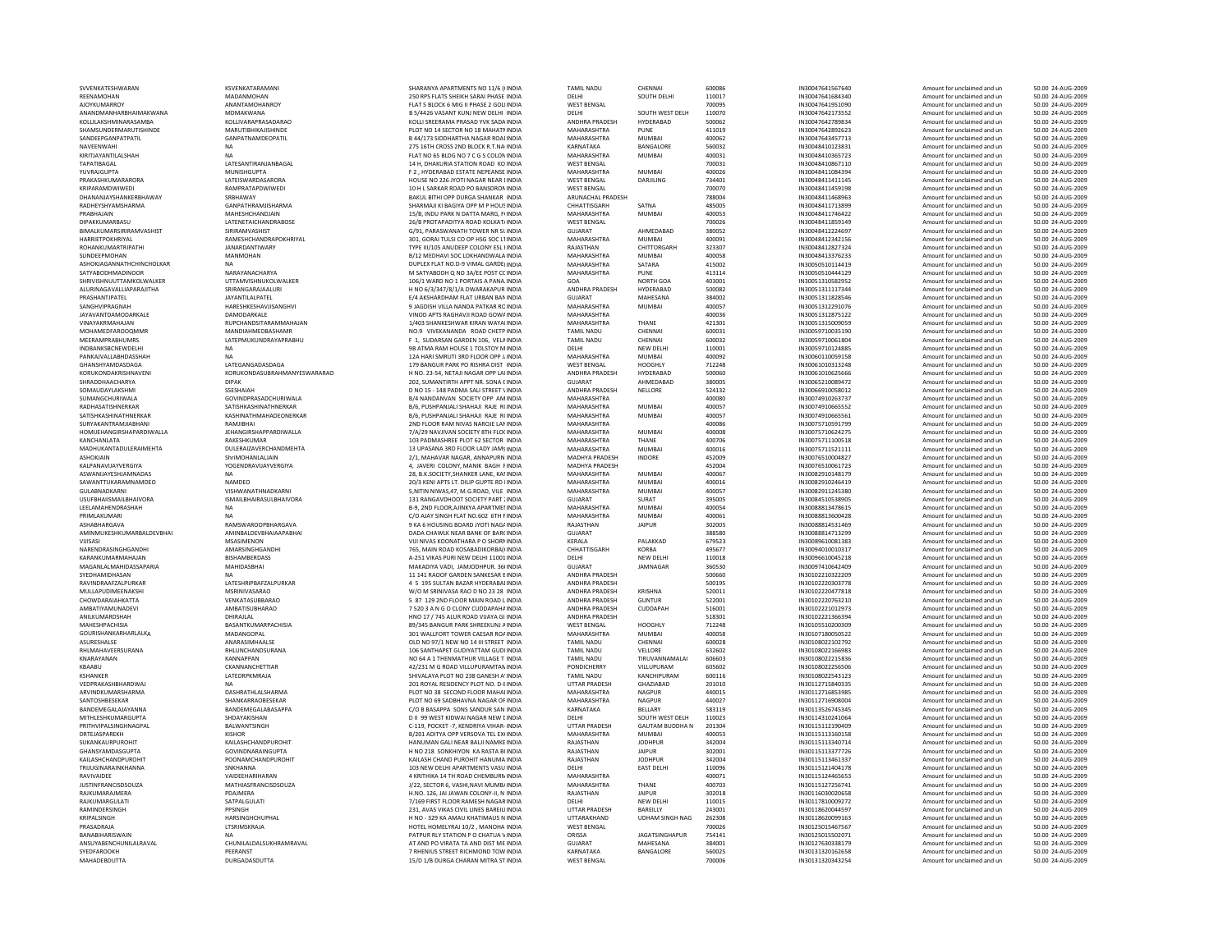| SVVENKATESHWARAN              | KSVFNKATARAMANI                | SHARANYA APARTMENTS NO 11/6 (INDIA         | <b>TAMIL NADU</b>     | CHENNAL                | 600086 | IN30047641567640 | Amount for unclaimed and un | 50.00 24-AUG-2009 |
|-------------------------------|--------------------------------|--------------------------------------------|-----------------------|------------------------|--------|------------------|-----------------------------|-------------------|
| REENAMOHAN                    | MADANMOHAN                     | 250 RPS FLATS SHEIKH SARAI PHASE INDIA     | DELHI                 | SOUTH DELHI            | 110017 | IN30047641684340 | Amount for unclaimed and un | 50.00 24-AUG-2009 |
| AJOYKUMARROY                  | ANANTAMOHANROY                 | FLAT 5 BLOCK 6 MIG II PHASE 2 GOLIINDIA    | <b>WEST BENGAL</b>    |                        | 700095 | IN30047641951090 | Amount for unclaimed and un | 50.00 24-AUG-2009 |
| ANANDMANHARBHAIMAKWANA        | MDMAKWANA                      | B 5/4426 VASANT KUNJ NEW DELHI INDIA       | DELHI                 | SOUTH WEST DELH        | 110070 | IN30047642173552 | Amount for unclaimed and un | 50.00 24-AUG-2009 |
| KOLLII AKSHMINARASAMBA        | KOLLIVARAPRASADARAO            | KOLLI SREERAMA PRASAD YVK SADA INDIA       | <b>ANDHRA PRADESH</b> | HYDERABAD              | 500062 | IN30047642789834 | Amount for unclaimed and un | 50.00 24-AUG-2009 |
| SHAMSUNDERMARUTISHINDE        | <b>MARUTIRHIKA IISHINDE</b>    | PLOT NO 14 SECTOR NO 18 MAHATMINDIA        | MAHARASHTRA           | PUNE                   | 411019 | IN30047642892623 | Amount for unclaimed and un | 50.00 24-AUG-2009 |
| SANDEEPGANPATPATIL            | GANPATNAMDEOPATIL              | <b>B 44/173 SIDDHARTHA NAGAR ROALINDIA</b> | MAHARASHTRA           | <b>MUMBAI</b>          | 400062 | IN30047643457713 | Amount for unclaimed and un | 50.00 24-AUG-2009 |
|                               |                                |                                            | KARNATAKA             | BANGALORE              | 560032 | IN30048410123831 |                             | 50.00 24-AUG-2009 |
| NAVEENWAHI                    | <b>NA</b>                      | 275 16TH CROSS 2ND BLOCK R.T.NA INDIA      |                       |                        |        |                  | Amount for unclaimed and un |                   |
| KIRITJAYANTILALSHAH           | <b>NA</b>                      | FLAT NO 65 BLDG NO 7 C G S COLON INDIA     | MAHARASHTRA           | <b>MUMBAI</b>          | 400031 | IN30048410365723 | Amount for unclaimed and un | 50.00 24-AUG-2009 |
| TAPATIRAGAI                   | LATESANTIRANJANBAGAL           | 14 H. DHAKURIA STATION ROAD KO INDIA       | <b>WEST BENGAL</b>    |                        | 700031 | IN30048410867110 | Amount for unclaimed and un | 50.00 24-AUG-2009 |
| YUVRAJGUPTA                   | MUNISHGUPTA                    | F 2. HYDERABAD ESTATE NEPEANSE INDIA       | MAHARASHTRA           | MUMBAL                 | 400026 | IN30048411084394 | Amount for unclaimed and un | 50.00 24-AUG-2009 |
| PRAKASHKUMARARORA             | LATEISWARDASARORA              | HOUSE NO 226 JYOTI NAGAR NEAR LINDIA       | <b>WEST BENGAL</b>    | DARJILING              | 734401 | IN30048411411145 | Amount for unclaimed and un | 50.00 24-AUG-2009 |
| KRIPARAMDWIWEDI               | RAMPRATAPDWIWEDI               | 10 H L SARKAR ROAD PO BANSDRON INDIA       | <b>WEST BENGAL</b>    |                        | 700070 | IN30048411459198 | Amount for unclaimed and un | 50.00 24-AUG-2009 |
| DHANANJAYSHANKERBHAWAY        | SRBHAWAY                       | BAKUL BITHI OPP DURGA SHANKAR INDIA        | ARUNACHAL PRADESH     |                        | 788004 | IN30048411468963 | Amount for unclaimed and un | 50.00 24-AUG-2009 |
| RADHEYSHYAMSHARMA             | <b>GANPATHRAMIISHARMA</b>      | SHARMAJI KI BAGIYA OPP M P HOUS INDIA      | CHHATTISGARH          | SATNA                  | 485005 | IN30048411713899 | Amount for unclaimed and un | 50.00 24-AUG-2009 |
| PRABHAJAIN                    | MAHESHCHANDJAIN                | 15/B, INDU PARK N DATTA MARG, FIINDIA      | MAHARASHTRA           | <b>MUMBAI</b>          | 400053 | IN30048411746422 | Amount for unclaimed and un | 50.00 24-AUG-2009 |
| DIPAKKUMARBASU                | LATENETAICHANDRABOSE           | 26/B PROTAPADITYA ROAD KOLKAT/ INDIA       | WEST BENGAL           |                        | 700026 | IN30048411859149 | Amount for unclaimed and un | 50.00 24-AUG-2009 |
| BIMALKUMARSIRIRAMVASHIST      | SIRIRAMVASHIST                 | G/91, PARASWANATH TOWER NR SLINDIA         | GUJARAT               | AHMEDABAD              | 380052 | IN30048412224697 | Amount for unclaimed and un | 50.00 24-AUG-2009 |
|                               | RAMESHCHANDRAPOKHRIYAL         | 301, GORAI TULSI CO OP HSG SOC L'INDIA     | MAHARASHTRA           | <b>MUMBAI</b>          |        | IN30048412342156 |                             |                   |
| HARRIETPOKHRIYAL              |                                |                                            |                       |                        | 400091 |                  | Amount for unclaimed and un | 50.00 24-AUG-2009 |
| ROHANKUMARTRIPATHI            | <b>JANARDANTIWARY</b>          | TYPE III/105 ANUDEEP COLONY ESL I INDIA    | RAJASTHAN             | CHITTORGARH            | 323307 | IN30048412827324 | Amount for unclaimed and un | 50.00 24-AUG-2009 |
| SUNDEEPMOHAN                  | MANMOHAN                       | B/12 MEDHAVI SOC LOKHANDWALA INDIA         | MAHARASHTRA           | <b>MUMBAI</b>          | 400058 | IN30048413376233 | Amount for unclaimed and un | 50.00 24-AUG-2009 |
| ASHOKJAGANNATHCHINCHOLKAR     | <b>NA</b>                      | DUPLEX FLAT NO.D-9 VIMAL GARDEHNDIA        | MAHARASHTRA           | SATARA                 | 415002 | IN30050510114419 | Amount for unclaimed and un | 50.00 24-AUG-2009 |
| <b>SATYABODHMADINOOR</b>      | NARAYANACHARYA                 | M SATYABODH O NO 3A/EE POST CC INDIA       | MAHARASHTRA           | PUNE                   | 413114 | IN30050510444129 | Amount for unclaimed and un | 50.00 24-AUG-2009 |
| SHRIVISHNULITTAMKOI WAI KER   | <b>UTTAMVISHNUKOLWALKER</b>    | 106/1 WARD NO 1 PORTAIS A PANA INDIA       | GOA                   | NORTH GOA              | 403001 | IN30051310582952 | Amount for unclaimed and un | 50.00 24-AUG-2009 |
| ALURINAGAVALLIAPARAJITHA      | SRIRANGARAJAALURI              | H NO 6/3/347/8/1/A DWARAKAPUR INDIA        | ANDHRA PRADESH        | HYDERABAD              | 500082 | IN30051311117344 | Amount for unclaimed and un | 50.00 24-AUG-2009 |
| PRASHANTJPATEL                | JAYANTILALPATEL                | E/4 AKSHARDHAM FLAT URBAN BAN INDIA        | GUJARAT               | MAHESANA               | 384002 | IN30051311828546 | Amount for unclaimed and un | 50.00 24-AUG-2009 |
| SANGHVIPRAGNAH                | HARESHKESHAVJISANGHVI          | 9 JAGDISH VILLA NANDA PATKAR ROINDIA       | MAHARASHTRA           | <b>MUMBAI</b>          | 400057 | IN30051312291076 | Amount for unclaimed and un | 50.00 24-AUG-2009 |
| <b>JAYAVANTDAMODARKALE</b>    | DAMODARKALE                    | VINOD APTS RAGHAVJI ROAD GOWA INDIA        | MAHARASHTRA           |                        | 400036 | IN30051312875122 | Amount for unclaimed and un | 50.00 24-AUG-2009 |
| VINAYAKRMAHAJAN               | RUPCHANDSITARAMMAHAJAN         | 1/403 SHANKESHWAR KIRAN WAYALINDIA         | MAHARASHTRA           | THANF                  | 421301 | IN30051315009059 | Amount for unclaimed and un | 50.00 24-AUG-2009 |
|                               |                                |                                            |                       |                        |        |                  |                             |                   |
| <b>MOHAMEDFAROOQMMF</b>       | MANDIAHMEDBASHAMR              | NO.9 VIVEKANANDA ROAD CHETP INDIA          | <b>TAMIL NADU</b>     | CHENNAI                | 600031 | IN30059710035190 | Amount for unclaimed and un | 50.00 24-AUG-2009 |
| MEERAMPRABHUMRS               | LATEPMUKUNDRAYAPRABHU          | F 1. SUDARSAN GARDEN 106. VELAINDIA        | TAMIL NADU            | CHENNAI                | 600032 | IN30059710061804 | Amount for unclaimed and un | 50.00 24-AUG-2009 |
| INDBANKSBCNEWDELHI            | <b>NA</b>                      | 9B ATMA RAM HOUSE 1 TOLSTOY M INDIA        | DELHI                 | NEW DELHI              | 110001 | IN30059710124885 | Amount for unclaimed and un | 50.00 24-AUG-2009 |
| <b>PANKAIVALLABHDASSHAH</b>   | <b>NA</b>                      | 12A HARI SMRUTI 3RD FLOOR OPP LINDIA       | MAHARASHTRA           | MUMRAI                 | 400092 | IN30060110059158 | Amount for unclaimed and un | 50.00 24-AUG-2009 |
| GHANSHYAMDASDAGA              | <b>I ATFGANGADASDAGA</b>       | 179 BANGUR PARK PO RISHRA DIST INDIA       | <b>WEST BENGAL</b>    | HOOGHLY                | 712248 | IN30061010313248 | Amount for unclaimed and un | 50.00 24-AUG-2009 |
| KORUKONDAKRISHNAVENI          | KORUKONDASUBRAHMANYESWARARAO   | H NO. 23-54, NETAJI NAGAR OPP LAIINDIA     | ANDHRA PRADESH        | HYDERABAD              | 500060 | IN30061010625666 | Amount for unclaimed and un | 50.00 24-AUG-2009 |
| SHRADDHAACHARYA               | <b>DIPAK</b>                   | 202. SUMANTIRTH APPT NR. SONA CINDIA       | <b>GUJARAT</b>        | AHMEDABAD              | 380005 | IN30065210089472 | Amount for unclaimed and un | 50.00 24-AUG-2009 |
| SOMAUDAYLAKSHMI               | SSESHAIAH                      | D NO 15 - 148 PADMA SALI STREET \ INDIA    | ANDHRA PRADESH        | NELLORE                | 524132 | IN30066910058012 | Amount for unclaimed and un | 50.00 24-AUG-2009 |
| <b>SUMANGCHURIWALA</b>        | <b>GOVINDPRASADCHURIWALA</b>   | <b>B/4 NANDANVAN SOCIETY OPP AM INDIA</b>  | MAHARASHTRA           |                        | 400080 | IN30074910263737 | Amount for unclaimed and un | 50.00 24-AUG-2009 |
| RADHASATISHNERKAR             | SATISHKASHINATHNERKAR          | B/6, PUSHPANJALI SHAHAJI RAJE R(INDIA      | MAHARASHTRA           | MUMRAI                 | 400057 | IN30074910665552 | Amount for unclaimed and un | 50.00 24-AUG-2009 |
| SATISHKASHINATHNERKAR         | KASHINATHMAHADEONERKAR         | B/6, PUSHPANJALI SHAHAJI RAJE R(INDIA      | MAHARASHTRA           | <b>MUMBAI</b>          | 400057 | IN30074910665561 | Amount for unclaimed and un | 50.00 24-AUG-2009 |
| SURYAKANTRAMJIABHANI          | RAMJIBHAI                      | 2ND FLOOR RAM NIVAS NAROJE LAN INDIA       | MAHARASHTRA           |                        | 400086 | IN30075710591799 |                             |                   |
|                               |                                |                                            |                       |                        |        |                  | Amount for unclaimed and un | 50.00 24-AUG-2009 |
| HOMI IFHANGIRSHAPARDIWAI I A  | <b>IFHANGIRSHAPPARDIWALLA</b>  | 7/A/29 NAVIIVAN SOCIETY 8TH FLOUNDIA       | MAHARASHTRA           | MUMRAI                 | 400008 | IN30075710624275 | Amount for unclaimed and un | 50.00 24-AUG-2009 |
| KANCHANLATA                   | RAKESHKUMAR                    | 103 PADMASHREE PLOT 62 SECTOR INDIA        | MAHARASHTRA           | THANF                  | 400706 | IN30075711100518 | Amount for unclaimed and un | 50.00 24-AUG-2009 |
| MADHUKANTADULERAIMEHTA        | DUI FRAIZAVERCHANDMEHTA        | 13 UPASANA 3RD FLOOR LADY JAMS INDIA       | MAHARASHTRA           | <b>MUMBAI</b>          | 400016 | IN30075711521111 | Amount for unclaimed and un | 50.00 24-AUG-2009 |
| ASHOKJAIN                     | ShriMOHANLALJAIN               | 2/1, MAHAVAR NAGAR, ANNAPURN INDIA         | MADHYA PRADESH        | <b>INDORE</b>          | 452009 | IN30076510004827 | Amount for unclaimed and un | 50.00 24-AUG-2009 |
| KALPANAVIJAYVERGIYA           | YOGENDRAVIJAYVERGIYA           | 4, JAVERI COLONY, MANIK BAGH FINDIA        | <b>MADHYA PRADESH</b> |                        | 452004 | IN30076510061723 | Amount for unclaimed and un | 50.00 24-AUG-2009 |
| ASWANIJAYESHJAMNADAS          | <b>NA</b>                      | 28. B.K. SOCIETY. SHANKER LANE, KALINDIA   | MAHARASHTRA           | MUMRAI                 | 400067 | IN30082910148179 | Amount for unclaimed and un | 50.00 24-AUG-2009 |
| SAWANTTUKARAMNAMDEO           | <b>NAMDEO</b>                  | 20/3 KENI APTS LT. DILIP GUPTE RD I INDIA  | MAHARASHTRA           | MUMBAI                 | 400016 | IN30082910246419 | Amount for unclaimed and un | 50.00 24-AUG-2009 |
| GULABNADKARNI                 | VISHWANATHNADKARNI             | 5.NITIN NIWAS.47, M.G.ROAD, VILE INDIA     | MAHARASHTRA           | <b>MUMBAI</b>          | 400057 | IN30082911245380 | Amount for unclaimed and un | 50.00 24-AUG-2009 |
|                               | <b>ISMAILBHAIRASULBHAIVORA</b> |                                            | <b>GUJARAT</b>        | SURAT                  | 395005 | IN30084510538905 |                             | 50.00 24-AUG-2009 |
| <b>USUFBHAIISMAILBHAIVORA</b> |                                | 131 RANGAVDHOOT SOCIETY PART : INDIA       |                       | MUMRAI                 |        |                  | Amount for unclaimed and un | 50.00 24-AUG-2009 |
| LEELAMAHENDRASHAH             | <b>NA</b>                      | B-9, 2ND FLOOR AJINKYA APARTMEI INDIA      | MAHARASHTRA           |                        | 400054 | IN30088813478615 | Amount for unclaimed and un |                   |
| PRIMLAKUMARI                  | <b>NA</b>                      | C/O AIAY SINGH FLAT NO 602 6TH FINDIA      | MAHARASHTRA           | MUMBAI                 | 400061 | IN30088813600428 | Amount for unclaimed and un | 50.00 24-AUG-2009 |
| <b>ASHABHARGAVA</b>           | RAMSWAROOPBHARGAVA             | 9 KA 6 HOUSING BOARD IYOTI NAGAINDIA       | RAJASTHAN             | <b>JAIPUR</b>          | 302005 | IN30088814531469 | Amount for unclaimed and un | 50.00 24-AUG-2009 |
| AMINMUKESHKUMARBALDEVBHAI     | AMINBALDEVBHAIAAPABHAI         | DADA CHAWLK NEAR BANK OF BARCINDIA         | <b>GUJARAT</b>        |                        | 388580 | IN30088814713299 | Amount for unclaimed and un | 50.00 24-AUG-2009 |
| VIJISASI                      | MSASIMENON                     | VIJI NIVAS KOONATHARA P O SHORMINDIA       | KERALA                | PALAKKAD               | 679523 | IN30089610081383 | Amount for unclaimed and un | 50.00 24-AUG-2009 |
| NARENDRASINGHGANDHI           | AMARSINGHGANDHI                | 765. MAIN ROAD KOSABADIKORBA((INDIA        | CHHATTISGARH          | KORBA                  | 495677 | IN30094010010317 | Amount for unclaimed and un | 50.00 24-AUG-2009 |
| KARANKUMARMAHAJAN             | BISHAMBERDASS                  | A-251 VIKAS PURI NEW DELHI 11001 INDIA     | DELHI                 | <b>NEW DELHI</b>       | 110018 | IN30096610045218 | Amount for unclaimed and un | 50.00 24-AUG-2009 |
| MAGANLALMAHIDASSAPARIA        | MAHIDASBHAI                    | MAKADIYA VADI. JAMJODHPUR, 36(INDIA        | GUJARAT               | JAMNAGAR               | 360530 | IN30097410642409 | Amount for unclaimed and un | 50.00 24-AUG-2009 |
| SYEDHAMIDHASAN                | <b>NA</b>                      | 11 141 RAOOF GARDEN SANKESAR EINDIA        | ANDHRA PRADESH        |                        | 500660 | IN30102210322209 | Amount for unclaimed and un | 50.00 24-AUG-2009 |
| RAVINDRAAFZALPURKAR           | LATESHRIPBAFZALPURKAR          | 4 5 195 SULTAN BAZAR HYDERABAI INDIA       | ANDHRA PRADESH        |                        | 500195 | IN30102220303778 | Amount for unclaimed and un | 50.00 24-AUG-2009 |
| MULLAPUDIMEENAKSHI            | MSRINIVASARAO                  | W/O M SRINIVASA RAO D NO 23 28 INDIA       | ANDHRA PRADESH        | KRISHNA                | 520011 | IN30102220477818 |                             | 50.00 24-AUG-2009 |
|                               |                                |                                            |                       |                        |        |                  | Amount for unclaimed and un |                   |
| CHOWDARAIAHKATTA              | VENKATASURBARAO                | 5 87 129 2ND FLOOR MAIN ROAD LINDIA        | ANDHRA PRADESH        | <b>GUNTUR</b>          | 522001 | IN30102220763210 | Amount for unclaimed and un | 50.00 24-AUG-2009 |
| AMBATIYAMUNADEVI              | AMBATISUBHARAO                 | 7 520 3 A N G O CLONY CUDDAPAHA INDIA      | ANDHRA PRADESH        | CUDDAPAH               | 516001 | IN30102221012973 | Amount for unclaimed and un | 50.00 24-AUG-2009 |
| ANILKUMARDSHAH                | DHIRAJLAL                      | HNO 17 / 745 ALUR ROAD VIJAYA GI INDIA     | ANDHRA PRADESH        |                        | 518301 | IN30102221366394 | Amount for unclaimed and un | 50.00 24-AUG-2009 |
| MAHESHPACHISIA                | BASANTKUMARPACHISIA            | 89/345 BANGUR PARK SHREEKUNJ AINDIA        | <b>WEST BENGAL</b>    | <b>HOOGHLY</b>         | 712248 | IN30105510200309 | Amount for unclaimed and un | 50.00 24-AUG-2009 |
| GOURISHANKARHARLALKA          | MADANGOPAL                     | 301 WALLFORT TOWER CAESAR ROAINDIA         | MAHARASHTRA           | <b>MUMBAI</b>          | 400058 | IN30107180050522 | Amount for unclaimed and un | 50.00 24-AUG-2009 |
| ASURESHALSE                   | ANARASIMHAALSE                 | OLD NO 97/1 NEW NO 14 III STREET INDIA     | <b>TAMIL NADU</b>     | CHENNAI                | 600028 | IN30108022102792 | Amount for unclaimed and un | 50.00 24-AUG-2009 |
| RHLMAHAVEERSURANA             | RHLUNCHANDSURANA               | 106 SANTHAPET GUDIYATTAM GUDI INDIA        | <b>TAMIL NADU</b>     | VELLORE                | 632602 | IN30108022166983 | Amount for unclaimed and un | 50.00 24-AUG-2009 |
| KNARAYANAN                    | <b>KANNAPPAN</b>               | NO 64 A 1 THENMATHUR VILLAGE T INDIA       | TAMIL NADU            | TIRUVANNAMALAI         | 606603 | IN30108022215836 | Amount for unclaimed and un | 50.00 24-AUG-2009 |
| KBAABU                        | CKANNANCHETTIAR                | 42/231 M G ROAD VILLUPURAMTAN INDIA        | PONDICHERRY           | VILLUPURAM             | 605602 | IN30108022256506 | Amount for unclaimed and un | 50.00 24-AUG-2009 |
| KSHANKER                      | <b>I ATFORPKMRAIA</b>          | SHIVALAYA PLOT NO 238 GANESH A' INDIA      | TAMII NADU            | KANCHIPURAM            | 600116 | IN30108022543123 | Amount for unclaimed and un | 50.00 24-AUG-2009 |
|                               |                                |                                            |                       |                        |        |                  |                             |                   |
| VEDPRAKASHBHARDWAJ            |                                | 201 ROYAL RESIDENCY PLOT NO. D-8 INDIA     | UTTAR PRADESH         | GHAZIABAD              | 201010 | IN30112715840335 | Amount for unclaimed and un | 50.00 24-AUG-2009 |
| ARVINDKUMARSHARMA             | DASHRATHLALSHARMA              | PLOT NO 38 SECOND FLOOR MAHAI INDIA        | MAHARASHTRA           | NAGPUR                 | 440015 | IN30112716853985 | Amount for unclaimed and un | 50.00 24-AUG-2009 |
| SANTOSHBESEKAF                | SHANKARRAOBESEKAR              | PLOT NO 69 SADBHAVNA NAGAR OF INDIA        | MAHARASHTRA           | <b>NAGPUR</b>          | 440027 | IN30112716908004 | Amount for unclaimed and un | 50.00 24-AUG-2009 |
| BANDEMEGALAJAYANNA            | BANDEMEGALABASAPPA             | C/O B BASAPPA SONS SANDUR SAN INDIA        | KARNATAKA             | BELLARY                | 583119 | IN30113526745345 | Amount for unclaimed and un | 50.00 24-AUG-2009 |
| MITHI FSHKUMARGUPTA           | SHDAYAKISHAN                   | D II 99 WEST KIDWAI NAGAR NEW LINDIA       | DELHI                 | SOUTH WEST DELH        | 110023 | IN30114310241064 | Amount for unclaimed and un | 50.00 24-AUG-2009 |
| PRITHVIPALSINGHNAGPAL         | BALWANTSINGH                   | C-119, POCKET - 7, KENDRIYA VIHAR- INDIA   | UTTAR PRADESH         | <b>GAUTAM BUDDHA N</b> | 201304 | IN30115112190409 | Amount for unclaimed and un | 50.00 24-AUG-2009 |
| DRTEJASPAREKH                 | <b>KISHOR</b>                  | B/201 ADITYA OPP VERSOVA TEL EXUNDIA       | MAHARASHTRA           | <b>MUMBA</b>           | 400053 | IN30115113160158 | Amount for unclaimed and un | 50.00 24-AUG-2009 |
| SUKANKAURPUROHIT              | KAILASHCHANDPUROHIT            | HANUMAN GALI NEAR BALJI NAMKE INDIA        | RAJASTHAN             | <b>JODHPUR</b>         | 342004 | IN30115113340714 | Amount for unclaimed and un | 50.00 24-AUG-2009 |
| GHANSYAMDASGUPTA              | <b>GOVINDNARAINGUPTA</b>       | H NO 218 SONKHIYON KA RASTA BLINDIA        | RAIASTHAN             | <b>IAIPUR</b>          | 302001 | IN30115113377726 | Amount for unclaimed and un | 50.00 24-AUG-2009 |
|                               |                                |                                            |                       | <b>IODHPUR</b>         | 342004 |                  |                             |                   |
| KAILASHCHANDPUROHIT           | POONAMCHANDPUROHIT             | KAILASH CHAND PUROHIT HANUMA INDIA         | RAJASTHAN             |                        |        | IN30115113461337 | Amount for unclaimed and un | 50.00 24-AUG-2009 |
| TRIJUGINARAINKHANNA           | SNKHANNA                       | 103 NEW DELHI APARTMENTS VASU INDIA        | DELHI                 | <b>EAST DELHI</b>      | 110096 | IN30115121404178 | Amount for unclaimed and un | 50.00 24-AUG-2009 |
| RAVIVAIDEE                    | VAIDEEHARIHARAN                | 4 KRITHIKA 14 TH ROAD CHEMBURN INDIA       | MAHARASHTRA           |                        | 400071 | IN30115124465653 | Amount for unclaimed and un | 50.00 24-AUG-2009 |
| <b>JUSTINFRANCISDSOUZA</b>    | MATHIASFRANCISDSOUZA           | J/22, SECTOR 6, VASHI, NAVI MUMB/ INDIA    | MAHARASHTRA           | THANF                  | 400703 | IN30115127256741 | Amount for unclaimed and un | 50.00 24-AUG-2009 |
| RAIKUMARAIMERA                | PDAIMFRA                       | H.NO. 126. IAI IAWAN COLONY-II. N INDIA    | RAJASTHAN             | <b>JAIPUR</b>          | 302018 | IN30116030020658 | Amount for unclaimed and un | 50.00 24-AUG-2009 |
| RAJKUMARGULATI                | SATPALGULATI                   | 7/169 FIRST FLOOR RAMESH NAGAR INDIA       | DELHI                 | <b>NEW DELHI</b>       | 110015 | IN30117810009272 | Amount for unclaimed and un | 50.00 24-AUG-2009 |
| RAMINDERSINGH                 | PPSINGH                        | 231. AVAS VIKAS CIVIL LINES BAREILIINDIA   | <b>UTTAR PRADESH</b>  | BAREILLY               | 243001 | IN30118620044597 | Amount for unclaimed and un | 50.00 24-AUG-2009 |
| KRIPALSINGH                   | HARSINGHCHUPHAL                | H NO - 329 KA AMAU KHATIMAUS N INDIA       | UTTARAKHAND           | <b>UDHAM SINGH NAG</b> | 262308 | IN30118620099163 | Amount for unclaimed and un | 50.00 24-AUG-2009 |
| PRASADRAIA                    | LTSRIMSKRAJA                   | HOTEL HOMELYRAJ 10/2 . MANOHA INDIA        | <b>WEST BENGAL</b>    |                        |        | IN30125015467567 |                             |                   |
|                               |                                |                                            |                       |                        | 700026 |                  | Amount for unclaimed and un | 50.00 24-AUG-2009 |
| RANARIHARISWAIN               | <b>NA</b>                      | PATPUR RLY STATION P O CHATUA VINDIA       | ORISSA                | <b>JAGATSINGHAPUR</b>  | 754141 | IN30125015502071 | Amount for unclaimed and un | 50.00 24-AUG-2009 |
| ANSUYABENCHUNILALRAVAL        | CHUNILALDALSUKHRAMRAVAL        | AT AND PO VIRATA TA AND DIST ME INDIA      | GUIARAT               | MAHFSANA               | 384001 | IN30127630338179 | Amount for unclaimed and un | 50.00 24-AUG-2009 |
| SYEDFAROOKH                   | PEERANST                       | 7 RHENIUS STREET RICHMOND TOW INDIA        | <b>KARNATAKA</b>      | BANGALORE              | 560025 | IN30131320162658 | Amount for unclaimed and un | 50.00 24-AUG-2009 |
| <b>MAHADERDUTTA</b>           | DURGADASDUTTA                  | 15/D 1/R DURGA CHARAN MITRA STINDIA        | <b>WEST RENGA</b>     |                        | 700006 | IN30131320343254 | Amount for unclaimed and un | 50.00.24-AUG-2009 |

| S NO 11/6 (INDIA         | <b>TAMIL NADU</b>     | CHENNAI                | 600086 | IN30047641567640 | Amount for unclaimed and un | 50.00 24-AUG-2009 |
|--------------------------|-----------------------|------------------------|--------|------------------|-----------------------------|-------------------|
| ARAI PHASE INDIA         | DELHI                 | SOUTH DELHI            | 110017 | IN30047641684340 | Amount for unclaimed and un | 50.00 24-AUG-2009 |
| <b>HASE 2 GOLLINDIA</b>  | <b>WEST BENGAL</b>    |                        | 700095 | IN30047641951090 | Amount for unclaimed and un | 50.00 24-AUG-2009 |
| <b>NEW DELHI INDIA</b>   | DELHI                 | SOUTH WEST DELH        | 110070 | IN30047642173552 | Amount for unclaimed and un | 50.00 24-AUG-2009 |
|                          |                       |                        |        |                  |                             |                   |
| D YVK SADA INDIA         | ANDHRA PRADESH        | HYDERABAD              | 500062 | IN30047642789834 | Amount for unclaimed and un | 50.00 24-AUG-2009 |
| 18 MAHATMINDIA           | MAHARASHTRA           | PUNE                   | 411019 | IN30047642892623 | Amount for unclaimed and un | 50.00 24-AUG-2009 |
| AGAR ROAI INDIA          | MAHARASHTRA           | <b>MUMBAI</b>          | 400062 | IN30047643457713 | Amount for unclaimed and un | 50.00 24-AUG-2009 |
| OCK R.T.NA INDIA         | KARNATAKA             | <b>BANGALORE</b>       | 560032 | IN30048410123831 | Amount for unclaimed and un | 50.00 24-AUG-2009 |
| G S COLON INDIA          | MAHARASHTRA           | <b>MUMBAI</b>          | 400031 | IN30048410365723 | Amount for unclaimed and un | 50.00 24-AUG-2009 |
| N ROAD KO INDIA          | <b>WEST BENGAL</b>    |                        | 700031 | IN30048410867110 | Amount for unclaimed and un | 50.00 24-AUG-2009 |
| NEPEANSE INDIA           | MAHARASHTRA           | <b>MUMBAI</b>          | 400026 | IN30048411084394 | Amount for unclaimed and un | 50.00 24-AUG-2009 |
| <b>GAR NEAR LINDIA</b>   | WEST BENGAL           | <b>DARIILING</b>       | 734401 | IN30048411411145 | Amount for unclaimed and un | 50.00 24-AUG-2009 |
| <b>BANSDRON INDIA</b>    | <b>WEST BENGAL</b>    |                        | 700070 | IN30048411459198 | Amount for unclaimed and un | 50.00 24-AUG-2009 |
|                          |                       |                        |        |                  |                             |                   |
| SHANKAR INDIA            | ARUNACHAL PRADESH     |                        | 788004 | IN30048411468963 | Amount for unclaimed and un | 50.00 24-AUG-2009 |
| P M P HOUS INDIA         | CHHATTISGARH          | SATNA                  | 485005 | IN30048411713899 | Amount for unclaimed and un | 50.00 24-AUG-2009 |
| A MARG, FUNDIA           | MAHARASHTRA           | MUMBAI                 | 400053 | IN30048411746422 | Amount for unclaimed and un | 50.00 24-AUG-2009 |
| AD KOLKAT/INDIA          | <b>WEST BENGAL</b>    |                        | 700026 | IN30048411859149 | Amount for unclaimed and un | 50.00 24-AUG-2009 |
| OWER NR SLINDIA          | GUJARAT               | AHMEDABAD              | 380052 | IN30048412224697 | Amount for unclaimed and un | 50.00 24-AUG-2009 |
| HSG SOC LTINDIA          | MAHARASHTRA           | MUMBAI                 | 400091 | IN30048412342156 | Amount for unclaimed and un | 50.00 24-AUG-2009 |
| <b>DLONY ESL FINDIA</b>  | RAJASTHAN             | CHITTORGARH            | 323307 | IN30048412827324 | Amount for unclaimed and un | 50.00 24-AUG-2009 |
|                          |                       |                        |        |                  |                             |                   |
| HANDWALA INDIA           | MAHARASHTRA           | <b>MUMBAI</b>          | 400058 | IN30048413376233 | Amount for unclaimed and un | 50.00 24-AUG-2009 |
| AAL GARDEI INDIA         | MAHARASHTRA           | SATARA                 | 415002 | IN30050510114419 | Amount for unclaimed and un | 50.00 24-AUG-2009 |
| EE POST CC INDIA         | MAHARASHTRA           | PUNE                   | 413114 | IN30050510444129 | Amount for unclaimed and un | 50.00 24-AUG-2009 |
| AIS A PANA, INDIA        | GOA                   | NORTH GOA              | 403001 | IN30051310582952 | Amount for unclaimed and un | 50.00 24-AUG-2009 |
| ARAKAPUR INDIA           | ANDHRA PRADESH        | HYDERABAD              | 500082 | IN30051311117344 | Amount for unclaimed and un | 50.00 24-AUG-2009 |
| URBAN BAN INDIA          | <b>GUJARAT</b>        | MAHESANA               | 384002 | IN30051311828546 | Amount for unclaimed and un | 50.00 24-AUG-2009 |
| PATKAR ROINDIA           | MAHARASHTRA           | MUMBAI                 | 400057 | IN30051312291076 | Amount for unclaimed and un | 50.00 24-AUG-2009 |
|                          |                       |                        |        |                  |                             |                   |
| OAD GOWA INDIA           | MAHARASHTRA           |                        | 400036 | IN30051312875122 | Amount for unclaimed and un | 50.00 24-AUG-2009 |
| RAN WAYAHNDIA            | MAHARASHTRA           | THANE                  | 421301 | IN30051315009059 | Amount for unclaimed and un | 50.00 24-AUG-2009 |
| OAD CHETP INDIA          | <b>TAMIL NADU</b>     | CHENNAI                | 600031 | IN30059710035190 | Amount for unclaimed and un | 50.00 24-AUG-2009 |
| I 106, VELAINDIA         | <b>TAMIL NADU</b>     | CHENNAI                | 600032 | IN30059710061804 | Amount for unclaimed and un | 50.00 24-AUG-2009 |
| <b>TOLSTOY MINDIA</b>    | DELHI                 | NEW DELHI              | 110001 | IN30059710124885 | Amount for unclaimed and un | 50.00 24-AUG-2009 |
| LOOR OPP J. INDIA        | MAHARASHTRA           | <b>MUMBAI</b>          | 400092 | IN30060110059158 | Amount for unclaimed and un | 50.00 24-AUG-2009 |
| SHRA DIST INDIA          | <b>WEST BENGAL</b>    | <b>HOOGHLY</b>         | 712248 | IN30061010313248 | Amount for unclaimed and un | 50.00 24-AUG-2009 |
|                          | <b>ANDHRA PRADESH</b> | HYDFRARAD              | 500060 | IN30061010625666 |                             | 50.00 24-AUG-2009 |
| <b>GAR OPP LAI INDIA</b> |                       |                        |        |                  | Amount for unclaimed and un |                   |
| NR. SONA CINDIA          | GUJARAT               | AHMEDABAD              | 380005 | IN30065210089472 | Amount for unclaimed and un | 50.00 24-AUG-2009 |
| LI STREET VINDIA         | ANDHRA PRADESH        | NELLORE                | 524132 | IN30066910058012 | Amount for unclaimed and un | 50.00 24-AUG-2009 |
| TY OPP AM INDIA          | MAHARASHTRA           |                        | 400080 | IN30074910263737 | Amount for unclaimed and un | 50.00 24-AUG-2009 |
| AJI RAJE R(INDIA         | MAHARASHTRA           | <b>MUMBAI</b>          | 400057 | IN30074910665552 | Amount for unclaimed and un | 50.00 24-AUG-2009 |
| AJI RAJE R(INDIA         | MAHARASHTRA           | <b>MUMBAI</b>          | 400057 | IN30074910665561 | Amount for unclaimed and un | 50.00 24-AUG-2009 |
| NAROJE LANINDIA          | MAHARASHTRA           |                        | 400086 | IN30075710591799 | Amount for unclaimed and un | 50.00 24-AUG-2009 |
| TY 8TH FLO(INDIA         | MAHARASHTRA           | <b>MUMBAI</b>          | 400008 | IN30075710624275 |                             | 50.00 24-AUG-2009 |
|                          |                       |                        |        |                  | Amount for unclaimed and un |                   |
| <b>62 SECTOR INDIA</b>   | MAHARASHTRA           | THANE                  | 400706 | IN30075711100518 | Amount for unclaimed and un | 50.00 24-AUG-2009 |
| LADY JAMS INDIA          | MAHARASHTRA           | <b>MUMBAI</b>          | 400016 | IN30075711521111 | Amount for unclaimed and un | 50.00 24-AUG-2009 |
| ANNAPURN INDIA           | MADHYA PRADESH        | INDORE                 | 452009 | IN30076510004827 | Amount for unclaimed and un | 50.00 24-AUG-2009 |
| <b>VIK BAGH FINDIA</b>   | MADHYA PRADESH        |                        | 452004 | IN30076510061723 | Amount for unclaimed and un | 50.00 24-AUG-2009 |
| R LANE, KAI INDIA        | MAHARASHTRA           | MUMBAI                 | 400067 | IN30082910148179 | Amount for unclaimed and un | 50.00 24-AUG-2009 |
| <b>GUPTE RD IINDIA</b>   | MAHARASHTRA           | <b>MUMBAI</b>          | 400016 | IN30082910246419 | Amount for unclaimed and un | 50.00 24-AUG-2009 |
|                          |                       |                        |        |                  |                             |                   |
| ROAD, VILE INDIA         | MAHARASHTRA           | MUMRAI                 | 400057 | IN30082911245380 | Amount for unclaimed and un | 50.00 24-AUG-2009 |
| <b>IETY PART INDIA</b>   | GUJARAT               | SURAT                  | 395005 | IN30084510538905 | Amount for unclaimed and un | 50.00 24-AUG-2009 |
| APARTMEI INDIA           | MAHARASHTRA           | MUMBAI                 | 400054 | IN30088813478615 | Amount for unclaimed and un | 50.00 24-AUG-2009 |
| 0.602 6TH FINDIA         | MAHARASHTRA           | <b>MUMBAI</b>          | 400061 | IN30088813600428 | Amount for unclaimed and un | 50.00 24-AUG-2009 |
| JYOTI NAGA INDIA         | RAJASTHAN             | <b>JAIPUR</b>          | 302005 | IN30088814531469 | Amount for unclaimed and un | 50.00 24-AUG-2009 |
| NK OF BARCINDIA          | GUJARAT               |                        | 388580 | IN30088814713299 | Amount for unclaimed and un | 50.00 24-AUG-2009 |
| PO SHORMINDIA            | KERALA                | PALAKKAD               | 679523 | IN30089610081383 | Amount for unclaimed and un | 50.00 24-AUG-2009 |
|                          |                       |                        |        |                  |                             |                   |
| ADIKORBA((INDIA          | CHHATTISGARH          | KORBA                  | 495677 | IN30094010010317 | Amount for unclaimed and un | 50.00 24-AUG-2009 |
| ELHI 11001 INDIA         | DELHI                 | <b>NEW DELHI</b>       | 110018 | IN30096610045218 | Amount for unclaimed and un | 50.00 24-AUG-2009 |
| DHPUR, 36(INDIA          | GUJARAT               | JAMNAGAR               | 360530 | IN30097410642409 | Amount for unclaimed and un | 50.00 24-AUG-2009 |
| SANKESAR EINDIA          | ANDHRA PRADESH        |                        | 500660 | IN30102210322209 | Amount for unclaimed and un | 50.00 24-AUG-2009 |
| <b>HYDERABALINDIA</b>    | ANDHRA PRADESH        |                        | 500195 | IN30102220303778 | Amount for unclaimed and un | 50.00 24-AUG-2009 |
| <b>NO 23 28 INDIA</b>    | ANDHRA PRADESH        | KRISHNA                | 520011 | IN30102220477818 | Amount for unclaimed and un | 50.00 24-AUG-2009 |
| AIN ROAD LINDIA          | <b>ANDHRA PRADESH</b> | GUNTUR                 | 522001 | IN30102220763210 | Amount for unclaimed and un | 50.00 24-AUG-2009 |
|                          |                       |                        |        |                  |                             |                   |
| UDDAPAHA INDIA           | ANDHRA PRADESH        | CUDDAPAH               | 516001 | IN30102221012973 | Amount for unclaimed and un | 50.00 24-AUG-2009 |
| D VIJAYA GI INDIA        | ANDHRA PRADESH        |                        | 518301 | IN30102221366394 | Amount for unclaimed and un | 50.00 24-AUG-2009 |
| <b>IREEKUNJ AINDIA</b>   | WEST BENGAL           | <b>HOOGHLY</b>         | 712248 | IN30105510200309 | Amount for unclaimed and un | 50.00 24-AUG-2009 |
| AESAR ROAINDIA           | MAHARASHTRA           | <b>MUMBAI</b>          | 400058 | IN30107180050522 | Amount for unclaimed and un | 50.00 24-AUG-2009 |
| 4 III STREET INDIA       | <b>TAMIL NADU</b>     | CHENNAI                | 600028 | IN30108022102792 | Amount for unclaimed and un | 50.00 24-AUG-2009 |
| <b>TTAM GUDI INDIA</b>   | <b>TAMIL NADU</b>     | VELLORE                | 632602 | IN30108022166983 | Amount for unclaimed and un | 50.00 24-AUG-2009 |
| <b>NILLAGE T INDIA</b>   | <b>TAMIL NADU</b>     | TIRUVANNAMALAI         | 606603 | IN30108022215836 | Amount for unclaimed and un | 50.00 24-AUG-2009 |
| PURAMTAN INDIA           | PONDICHERRY           | VILLUPURAM             | 605602 | IN30108022256506 | Amount for unclaimed and un | 50.00 24-AUG-2009 |
| <b>GANESH A' INDIA</b>   | <b>TAMIL NADU</b>     | KANCHIPURAM            | 600116 | IN30108022543123 | Amount for unclaimed and un | 50.00 24-AUG-2009 |
|                          |                       |                        |        |                  |                             |                   |
| LOT NO. D-8 INDIA        | <b>UTTAR PRADESH</b>  | GHAZIABAD              | 201010 | IN30112715840335 | Amount for unclaimed and un | 50.00 24-AUG-2009 |
| OOR MAHAI INDIA          | MAHARASHTRA           | NAGPUR                 | 440015 | IN30112716853985 | Amount for unclaimed and un | 50.00 24-AUG-2009 |
| <b>NAGAR OF INDIA</b>    | MAHARASHTRA           | <b>NAGPUR</b>          | 440027 | IN30112716908004 | Amount for unclaimed and un | 50.00 24-AUG-2009 |
| <b>INDUR SAN INDIA</b>   | KARNATAKA             | BELLARY                | 583119 | IN30113526745345 | Amount for unclaimed and un | 50.00 24-AUG-2009 |
| <b>GAR NEW EINDIA</b>    | DELHI                 | SOUTH WEST DELH        | 110023 | IN30114310241064 | Amount for unclaimed and un | 50.00 24-AUG-2009 |
| <b>RIYA VIHAR-INDIA</b>  | UTTAR PRADESH         | <b>GAUTAM BUDDHA N</b> | 201304 | IN30115112190409 | Amount for unclaimed and un | 50.00 24-AUG-2009 |
| <b>OVA TEL EXIINDIA</b>  | MAHARASHTRA           | <b>MUMBAI</b>          | 400053 | IN30115113160158 | Amount for unclaimed and un | 50.00 24-AUG-2009 |
| ALJI NAMKE INDIA         | RAJASTHAN             | <b>JODHPUR</b>         | 342004 | IN30115113340714 | Amount for unclaimed and un | 50.00 24-AUG-2009 |
|                          |                       |                        |        |                  |                             |                   |
| (A RASTA BLINDIA         | RAIASTHAN             | <b>IAIPUR</b>          | 302001 | IN30115113377726 | Amount for unclaimed and un | 50.00 24-AUG-2009 |
| T HANUMA INDIA           | RAJASTHAN             | <b>JODHPUR</b>         | 342004 | IN30115113461337 | Amount for unclaimed and un | 50.00 24-AUG-2009 |
| <b>IENTS VASU INDIA</b>  | DELHI                 | <b>EAST DELHI</b>      | 110096 | IN30115121404178 | Amount for unclaimed and un | 50.00 24-AUG-2009 |
| CHEMBURN INDIA           | MAHARASHTRA           |                        | 400071 | IN30115124465653 | Amount for unclaimed and un | 50.00 24-AUG-2009 |
| AVI MUMB/ INDIA          | MAHARASHTRA           | THANE                  | 400703 | IN30115127256741 | Amount for unclaimed and un | 50.00 24-AUG-2009 |
| <b>JLONY-II, N INDIA</b> | RAJASTHAN             | <b>JAIPUR</b>          | 302018 | IN30116030020658 | Amount for unclaimed and un | 50.00 24-AUG-2009 |
| ESH NAGAR INDIA          | DELHI                 | NEW DELHI              | 110015 | IN30117810009272 | Amount for unclaimed and un | 50.00 24-AUG-2009 |
|                          | <b>UTTAR PRADESH</b>  | BAREILLY               |        | IN30118620044597 |                             | 50.00 24-AUG-2009 |
| NES BAREILINDIA          |                       |                        | 243001 |                  | Amount for unclaimed and un |                   |
| ATIMAUS N INDIA          | UTTARAKHAND           | <b>UDHAM SINGH NAG</b> | 262308 | IN30118620099163 | Amount for unclaimed and un | 50.00 24-AUG-2009 |
| . MANOHA INDIA           | <b>WEST BENGAL</b>    |                        | 700026 | IN30125015467567 | Amount for unclaimed and un | 50.00 24-AUG-2009 |
| CHATUA VINDIA            | ORISSA                | <b>JAGATSINGHAPUR</b>  | 754141 | IN30125015502071 | Amount for unclaimed and un | 50.00 24-AUG-2009 |
| ND DIST ME INDIA         | GUJARAT               | MAHESANA               | 384001 | IN30127630338179 | Amount for unclaimed and un | 50.00 24-AUG-2009 |
| <b>MOND TOW INDIA</b>    | KARNATAKA             | BANGALORE              | 560025 | IN30131320162658 | Amount for unclaimed and un | 50.00 24-AUG-2009 |
| N MITRA ST INDIA         | <b>WEST BENGAL</b>    |                        | 700006 | IN30131320343254 | Amount for unclaimed and un | 50.00 24-AUG-2009 |
|                          |                       |                        |        |                  |                             |                   |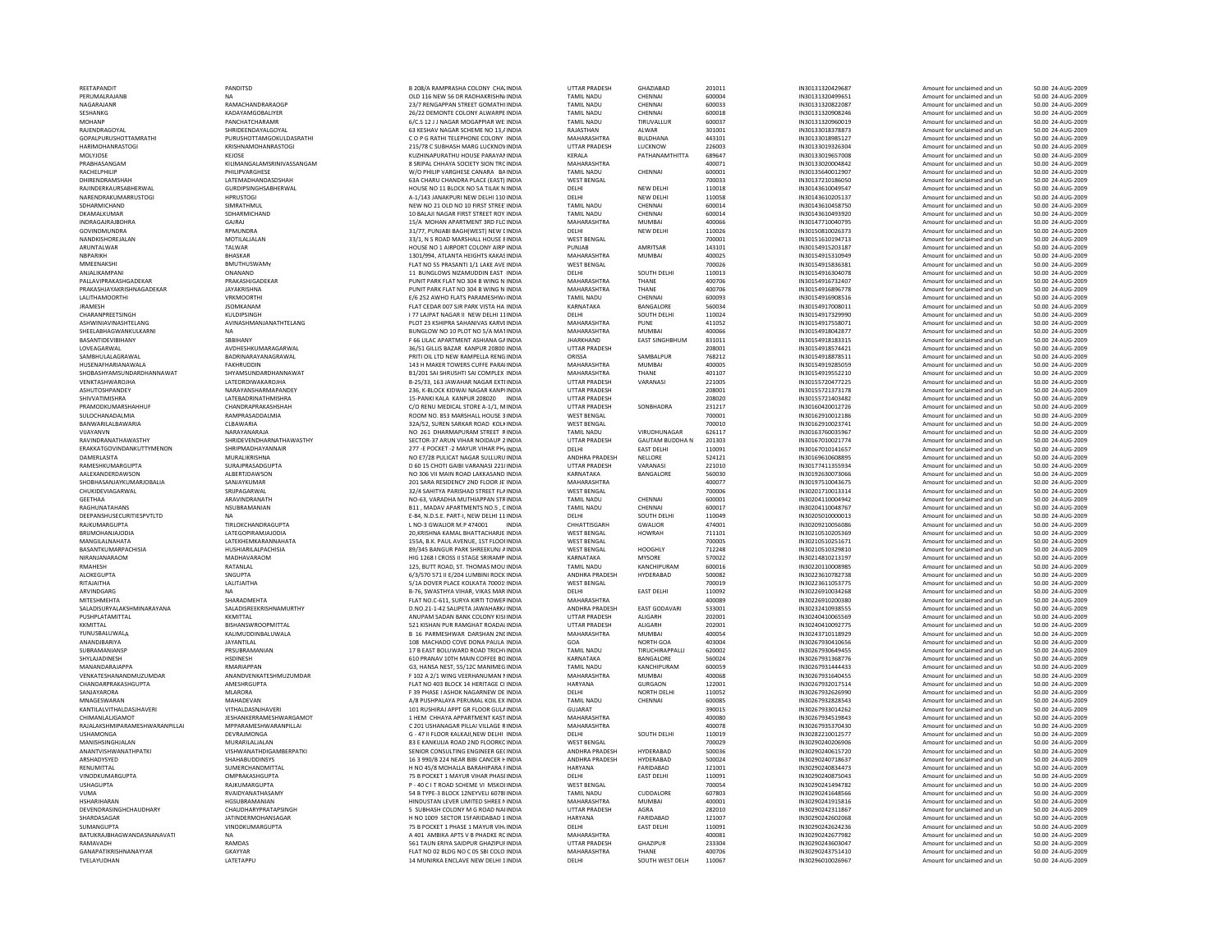REETAPANDIT PANDITSD PERUMALRAJANB GOPALPURUSHOTTAMRATHI PURUSHOTTAMGOKULDASRATHI CHARIMOHANRASTOGI KRISHNAMOHANRASTOGI KRISHNAMOHANRASTOGI KRISHNAMOHANRASTOGI PRABHASANGAM **KILIMANGALAMSRINIVASSANGAM** RACHELPHILIP PHILIPVARGHESE W/ORAJINDERKAURSABHERWALNARENDRAKUMARRUSTOGI HPRUSTOGI HPRUSTOGI HA DKAMALKUMAR SDHARMICHAND INDRAGAJRAJBOHRA GAJRAJ GAJRAJ GAJRAJ ANARAJ GAJRAJ GAJRAJ GAJRAJ ANARAJ GAJRAJ ANARAJ GAJRAJ ANARAJ GAJRAJ ANARAJ GAJRAJ ANARAJ ANARAJ GAJRAJ ANARAJ GAJRAJ ANARAJ GAJRAJ ANARAJ ANARAJ GAJRAJ ANARAJ ANARAJ GAJRAJ ANARAJ AN NANDKISHOREJALAN MOTILALJALAN MOTILALJALAN<br>ARIJNTAI WAR MMEENAKSHI BMUTHUSWAMY ANJALIKAMPANI ONANAND 11PALLAVIPRAKASHGADEKAR PRAKASHJGADEKAR PRAKASHJGADEKAR PRAKASHJGADEKAR PRAKASHJGADEKAR PRAKASHJGADEKAR PRAKASHJGADEKAR PRAKASHJGADEKAR PRAKASHJGADEKAR PRAKASHJGADEKAR PRAKASHJGADEKAR PRAKASHJGADEKAR PRAKASHJGADEKAR PRAKASHJ PRAKASHJAYAKRISHNAGADEKARLALITHAMOORTHI VRKMOORTHI VANATIONALITHAMOORTHI SOUTHOM THE SET OF THE SALE OF THE SALE OF THE SALE OF THE SALE OF THE SALE OF THE SALE OF THE SALE OF THE SALE OF THE SALE OF THE SALE OF THE SALE OF THE SALE OF THE SALE OF THE SALE OF THE SALE OF THE SALE OF THE SALE OF SHEELABHAGWANKULKARNI NA BUNGLOW BASANTIDEVIBIHANY SBBIHANY LOVEAGARWALSAMBHULALAGRAWALHUSENAFHARIANAWALAVENKTASHWAROJHA**PRAMODKUMARSHAHHUF CHANDRAPRAKASHSHAH CHANDRAPRAKASHSHAH** SULOCHANADALMIA BANWARILALBAWARIA 22A/52, SUREN 2022 VIJAYANVN NARAYANARAJAERAKKATGOVINDANKUTTYMENON SHRIPMADHAYANNAIR<br>27 banjari kata shinda shekara ta murajikrishna RAMESHKUMARGUPTAAALEXANDERDAWSON SHOBHASANJAYKUMARJOBALIACHUKIDEVIAGARWAL GEETHAARAGHUNATAHANS RAJKUMARGUPTAMANGILALNAHATA LATEKHEMKARANNAHATABASANTKUMARPACHISIANIRANJANARAOM MADHAVARAOM ALOKEGUPTA MITESHMEHTA SHARADMEHTA SALADISURYALAKSHMINARAYANA SALADISREEKRISHNAMURTHY PUSHPLATAMITTALYUNUSBALUWALASUBRAMANIANSP PRSUBRAMANIANSP<br>SHYLAJADINESH PRSUBRAMANIAN HSDINESH VENKATESHANANDMUZUMDAR ANANDVENKATESHMUZUMDAR FCHANDARPRAKASHGUPTASANJAYARORA<br>MNAGESWARAM KANTILALVITHALDASIHAVERI 1999-1999 VITHALDASNIHAVERI CHIMANLALJGAMOT JESHANKERRAMESHWARGAMOTRAJALAKSHMIPARAMESHWARANPILLAI MPPARAMESHWARANPILLAI USHAMONGAMANISHSINGHJALAN<br>ANANTUSHWANATHRATKI ARSHADYSYED SHAHABUDDINSYS RENUMITTAL SUMERCHANDMITTAL VINODKUMARGUPTAUSHAGUPTAHSHARIHARAN HGSUBRAMANIAN DEVENDRASINGHCHAUDHARY CHAUDHARYPRATAPSINGH 5SUMANGUPTABATUKRAJBHAGWANDASNANAVATI NA AGANAPATIKRISHNANAYYAR GKAYYAR GKAYYAR TVELAYUDHAN LATETAPPU

NAGARAJANR MAGALIAN DI SANGHANDRARAOGP POLITICAL SERIES AND DESCRIPTION OF THE COMMUNICATION OF THE RAMACHANDRARAOGP<br>PAGARAJANR POLITICAL SANGHANDRARAOGRAFINING POLITICAL SERIES AND DESCRIPTION OF THE COMMUNICATION OF THE SHRIDEENDAYALGOYAL LATEMADHANDASDSHAH GURDIPSINGHSABHERWAL SDHARMICHAND SIMRATHMUL NEWARUNTALWAR TALWAR HOUSE JAYAKRISHNA PUNIT PARK FLAT NOJRAMESH JSOMKANAM FLATASHWINIAVINASHTELANG ARAWATHTELANG ANG ANG ANG ANG ANG ANG PLOT 23 KSHIPRA SAHANIVAS KARVEINDIA<br>Ahrei Arhagwanki II karni AVDHESHKUMARAGARWAL 20800 INDIA UTTAR PRADESH 20800 INDIA UTTAR PRADESH 20800 INDIA BADRINARAYANAGRAWAL FAKHRUDDIN<br>SHYAMSLINDARDHANNAMAT **LATERADRINATHMISHRA** VUAYANVN NO 261 D<br>RAVINDRANATHAWASTHY SHRIDEVENDHARNATHAWASTHY SECTOR‐37 SECTOR‐37 .<br>MURALIKRISHNA SURAJPRASADGUPTA<br>ALBERTIDAWSON SANJAYKUMAR<br>SRIIPAGARWAI SANJA SANJA 201 SARA RESIDENCY 2ND FLOOR JE INDIA 32/4 SAHITYA PARISHADARAVINDRANATH NO‐63, VARADHA MUTHIAPPAN STRINDIA<br>NSI IRRAMANIAN NOS EINDIA NA DA NA DA NA DA NA DA NA DA NA DA NA DA NA DA NA DA NA DA NA DA NA DA NA DA NA DA DEEPANSHUSECURITIESPVTLTD NA E‐84, N.D.S.E. PART‐I, NEWBRIJMOHANJAJODIA LATEGOPIRAMJAJODIARMAHESH RATANLAL RATANLAL 125, BUTT ROAD, ST. THOMAS MOUNDIA RITAJAITHA LALITJAITHA 5/1A KKMITTAL ANUPAMKKMITTAL<br>BISHANSWROOPMITTAL KALIMUDDINBALUWALA B 16 PARMESHWAR DARSHAN 2NI INDIA ANANDJBARIYA JAYANTILAL 108SHYLAJADINESH HSDINESH 610**AMESHRGUPTA** MLARORA F 39 PHASE I ASHOK NAGARNEW DE INDIA<br>MAHADEVAN F 1999 DISHIPALAYA PERUMAL KOIL EX INDIA 1 DEVRAJMONGA G ‐ 47 II FLOOR KALKAJI,NEWANANTVISHWANATHPATKI VISHWANATHDIGAMBERPATKI SENIORRAJKUMARGUPTA P – 40 C I T ROAD SCHEME VI MSKOI INDIA RVAIDYANATHASAMY SHARDASAGAR JATINDERMOHANSAGAR JATINDERMOHANSAGAR HOO SECTOR 15FARIDABAD 1 INDIA<br>SI MANGI IPTA JATINDER SHARTI VAN ANGI IMARGI IPTA JATINDER SHARTI TA TA POOCKET 1 PHASE 1 MAYI IR VIHI INDIA RAMAVADH RAMDAS 561

 116 NEW 56 DR RADHAKRISHNAINDIA TAMIL NADU CHENNAI 600004 IN30131320499651 Amount for unclaimed and un 50.00 24‐AUG‐2009 SESHANKG KADAYAMGOBALIYER 26/22 DEMONTE COLONY ALWARPE INDIA TAMIL NADU CHENNAI 600018 IN30131320908246 Amount for unclaimed and un 50.00 24‐AUG‐2009 MOHANP PANCHATCHARAMR – PANCHATCHARAMR – PANCHATCHARAMR – PANCHATCHARAM – PANCHATCHARAM – PANCHATCHARAMR – PANCHATCHARAMR – PANCHATCHARAMR – PANCHATCHARAMR – PANCHATCHARAMR – PANCHATCHARAMR – PANCHATCHARAMR – PANCHATCHARAM 3 KESHAV NAGAR SCHEME NO O P G RATHI TELEPHONE COLONY INDIA MAHARASHTRA BULDHANA 443101 IN30133018985127 Amount for unclaimed and un 50.00 24‐AUG‐2009 215/78 C SUBHASH MARG LUCKNOV INDIA KUZHINAPURATHU HOUSE PARAYAN INDIA SRIPAL CHHAYA SOCIETY SIONNTRCINDIA MAHARASHTRA 100071 400071 IN30133020004842 Amount for unclaimed and un 50.00 24‐AUG‐2009 VAO PHILIP VARGHES CANARA BAINDIA DA NADU CHENNAI 600001 IN30135640012907 Amount for unclaimed and un 50.00 24 AUG‐2009<br>PAINDIA SANG ANG ISANG ANG ISANG INSTERNGAL DA UNIT DA 20093 IN30137210186050 Amount for unclaimed an CHARU CHANDRA PLACE (EAST) INDIA WEST BENGAL 700033 IN30137210186050 Amount for unclaimed and un 50.00 24‐AUG‐2009 E NO 11 BLOCK NO 5A TILAK NINDIA DELHI NEW DELHI NEW NEW NEW REW NEW REW NEW REW NEW REW REW REW REW REW REW R A-1/143 JANAKPURI NEW DELHI 110 INDIA DELHI DELHI NEW DELHI NEW DELHI NEW DELHI DELHI DELHI DELHI DELHI DELHI D<br>TAMIL NADIL CHENNAL DELEKT STRECCHINDIA TAMIL NADIL CHENNAL NEW 2002 OLD NO 2002 NO 2002 AND THE CHENNAI AND CHENNAI SOLO 2001 AMOUNT AND 2002 AMOUNT ON 2002 AND 2002 AUG⊕<br>IN3014 IN4014 DE LA DE LA DE LA DE LA DE LA DE LA DE LA DE LA DE LA DE LA DE LA DE LA DE LA DE LA DE LA DE LA 10 BALAJI NAGAR FIRST STREET ROY INDIA FIRST STREET ROYAINDIA TAMIL NADU CHENNAI 600014 IN30143610493920 Amount for unclaimed and un 50.00 24‐AUG‐2009 MOHAN APARTMENT 3RD FLOINDIA MAHARASHTRA MUMBAI 400066 IN30147710040795 Amount for unclaimed and un 50.00 24‐AUG‐2009 **31/77, PUNJABI BAGH(WEST) NEW LINDIA** WEINDIA DELHI NEW S ROAD MARSHALL HOUSE 8INDIA WEST BENGAL 700001 IN30151610194713 Amount for unclaimed and un 50.00 24‐AUG‐2009 NO 1 AIRPORT COLONY AIRP INDIA PUNJAB AMRITSAR 143101 IN30154915203187 Amount for unclaimed and un 50.00 24‐AUG‐2009 опольные совменили последников совменили совменили совменили совменили совменили совменно на последников совменно на последников на последников совменно на последников совменно на последников совменно на последников совм FLAT NO 55 PRASANTI 1/1 LAKE AVE INDIA WEST BENGAL 700026 IN30154915836381 Amount for unclaimed and un 50.00 24‐AUG‐2009 11 BUNGLOWS NIZAMUDDIN EAST INDIA PARK FLAT NO 304 B WING N INDIA MAHARASHTRA THANE 400706 IN30154916732407 Amount for unclaimed and un 50.00 24‐AUG‐2009 304 B WING N INDIA MAHARASHTRA THANE 400706 IN30154916896778 Amount for unclaimed and un 50.00 24‐AUG‐2009 CEDAR 007 SJR PARK VISTAKARNATAKA 77 LAJPAT NAGAR II NEW 23 KSHIPRA SAHANIVAS KARVEINDIA MAHARASHTRA NO <sup>10</sup> PLOT NO 5/A MATINDIA MAHARASHTRA MUMBAI <sup>400066</sup> IN30154918042877 Amount for unclaimed and un 50.00 <sup>24</sup>‐AUG‐<sup>2009</sup> 66 LILAC APARTMENT ASHIANAPRITI OIL LTD NEW RAMPELLA RENG INDIA RAMPELLA RENGINDIA ORISSA SAMBALPUR 768212 IN30154918878511 Amount for unclaimed and un 50.00 24‐AUG‐2009 MAKER TOWERS CUFFE PARA DINDIA MAHARASHTRA MUMBAI 400005 IN30154919285059 Amount for unclaimed and un 50.00 24 AUG‐2009<br>14 MAKER TOWERS CUFFE PARA INDIA MAHARASHTRA MUMBAI 400005<br>14 MAKER TOWERS AN AN AN AN AN AN AN AN AN B1/201 SAI SHRUSHTI SAI COMPLEX INDIA LATEDRDIWAKAROJHA B‐25/33, 163 JAWAHAR NAGAR EXTEINDIA UTTAR PRADESH VARANASI 221005 IN30155720477225 Amount for unclaimed and un 50.00 24‐AUG‐2009 ASHUTOSHPANDEY NARAYANSHARMAPANDEY 236, K‐BLOCK KIDWAI NAGAR KANPUINDIA UTTAR PRADESH 208001 IN30155721373178 Amount for unclaimed and un 50.00 24‐AUG‐2009 15-PANKI KALA KANPUR 208020 INDIA A KANPUR 208020 INDIA UTTAR PRADESH 208020 208020 IN30155721403482 Amount for unclaimed and un 50.00 24‐AUG‐2009 RENU MEDICAL STORE A‐1/1, MINDIA UTTAR PRADESH SONBHADRA 231217 IN30160420012726 Amount for unclaimed and un 50.00 24‐AUG‐2009 NO. 853 MARSHALL HOUSE 3INDIA WEST BENGAL 700001 IN30162910012138 AMOUNT DESCRIPTION AMOUNT FOR UNCLAIMED AND A<br>NORTH SAN SERVICE SERVICE AND UNCLAIMED AND UNCLAIMED AND AND AMOUNT AMOUNT AMOUNT AMOUNT MUNICIPION AND UNLA<br> SARKAR ROAD KOLKINDIA WEST BENGAL 700010 IN30162910023741 Amount for unclaimed and un 50.00 24‐AUG‐2009 NO 261 DHARMAPURAM STREET RINDIA ARUN VIHAR NOIDAUP 2INDIA UTTAR PRADESH GAUTAM POCKET ‐2 MAYURR VIHAR PH/INDIA DELHI EAST DELHI 110091 IN30167010141657 Amount for unclaimed and un 50.00 24‐AUG‐2009 E7/28 PULICAT MAGAR SULLURUINDIA DEL DEN ENGLISHE NELLORE SAA121 IN30169610608895 Amount for unclaimed and un<br>IN30169610608895 Amount for unclaimed and unclaimed and unclaimed and unclaimed and unclaimed and unclaimed an<br> 60 15 CHOTI GAIBI VARANASI 2210INDIA UTTAR PRADESH VARANASI 221010 IN30177411355934 Amount for unclaimed and un 50.00 24‐AUG‐2009 306 VIIAN ROAD LAKKASAND INDIA KARNATAKA BANGALORE 560030 IN30192530073066 Amount for unclaimed and un 50.00 24‐AUG‐2009<br>201 SARA RESIDENCY 2ND ROAD RANATAKASHTRA NAMATASHTRA 400077 IN30197510043675 Amount for unclaimed an STREET FLAINDIA WEST BENGAL 700006 IN30201710013314 Amount for unclaimed and un 50.00 24‐AUG‐2009 , MADAV APARTMENTS NO.5 , EINDIA 1999 TAMIL NADU CHENNAI 600017 IN30204110048767 Amount for unclaimed and un 50.00 24‐AUG‐2009<br>
E-84 N.D.S.E. PART-I. NEW DELH SOUTH DELHI SOUTH DELHI 110049 IN30205010000013 Amount for uncl A LNO‐3 GWALIOR M.P 474001 INDIA CHHATTISGARH GWALIOR 474001 IN30209210056086 Amount for unclaimed and un 50.00 24‐AUG‐2009 20,KRISHNA KAMAL BHATTACHARJE INDIA WEST BENGAL HOWRAH 711101 IN30210510205369 Amount for unclaimed and un 50.00 24‐AUG‐2009 155A, B.K. PAUL AVENUE, 1ST FLOORINDIA WEST BENGAL 700005 IN30210510251671 Amount for unclaimed and un 50.00 24‐AUG‐2009 HUSHIARILALPACHISIA 89/345 BANGUR PARK SHREEKUNJ AINDIA WEST BENGAL HOOGHLY 712248 IN30210510329810 Amount for unclaimed and un 50.00 24‐AUG‐2009 1268 I CROSS II STAGE SRIRAMP INDIA KARNATAKA MYSORE 570022 IN30214810213197 Amount for unclaimed and un 50.00 24‐AUG‐2009 SNGUPTA 6/3/570 571 II E/204 LUMBINI ROCK INDIA ANDHRA PRADESH HYDERABAD 500082 IN30223610782738 Amount for unclaimed and un 50.00 24‐AUG‐2009 DOVER PLACE KOLKATA 700019INDIA WEST BENGAL 700019 IN30223611053775 Amount for unclaimed and un 50.00 24‐AUG‐2009 ARVINDGARG NA BԲREAR IN DELHI NA B⊢76, SWASTHYA VIHAR, VIKAS MAR INDIA DELHI DELHI NA B<br>AMOUNT FOR UNCLAIMED AND DELAN SHARADMEHTA SHARADMEHTA NA UNCLAIMED AND UNCLAIMED AND UNCLAIMED AND UNCLAIMED M NO.CS11, SURYA KIRTI TOWERINDIA MAHARASHTRA 400089 INSOLANDIA AMOUNT ANG AMOUNT AMOUNT AMOUNT AND SURYA AMOUNT<br>2002-2009 DANDHARA ANDHRA PRADESH EAST GODAVARI S33001 IN30232410938555 Amount for unclaimed and un 50.00 24‐A 2 SALIPETA JAWAHARK/ INDIA ANDHRA ANUPAM BANK COLONY KISINDIA UTTAR PRADESH ALIGARH 202001 IN30240410065569 AMOUNT ANG UNCLAIMED AND SOLO 24-AUG‐2009<br>S71 KISHAN PUR RAMGHAT ROADHA UTTAR PRADESH AI∣GARH 2012/011 IN30240410005775 Amount for unclaimed and un 521 KISHAN PUR RAMGHAT ROADALINDIA PUR RAMGHAT ROADALINDIA UTTAR PRADESH ALIGARH 202001 IN30240410092775 Amount for unclaimed and un 50.00 24‐AUG‐2009 108 MACHADO COVE DONA PAULA INDIA COVE DONA PAULA INDIA GOA NORTH GOA 403004 IN30267930410656 Amount for unclaimed and un 50.00 24‐AUG‐2009 7 B EAST BOLUWARD PRANAV 10TH MAIN COFFEE BOINDIA KARNATAKA BANGALORE 560024 IN30267931368776 Amount for unclaimed and un 50.00 24‐AUG‐2009 MANANDARAJAPPA RMARIAPPAN G3, HANSA NEST, 55/12C MANIMEGINDIA TAMIL NADU KANCHIPURAM 600059 IN30267931444433 Amount for unclaimed and un 50.00 24‐AUG‐2009 102 A 2/1 WING VEERHANUMAN NINDIA MAHARASHTRA MUMBAI 400068 IN30267931640455 Amount for unclaimed and un 50.00 24‐AUG‐2009 403 BLOCK 14 HERITAGE CI INDIA HARYANA GURGAON 122001 IN30267932017514 Amount for unclaimed and un 50.00 24‐AUG‐2009 MNAGESWARAN MAHADEVAN A/8 PUSHPALAYA PERUMAL KOIL EX INDIA TAMIL NADU CHENNAI 600085 IN30267932828543 Amount for unclaimed and un 50.00 24‐AUG‐2009 101 RUSHIRAJ ARRT GR ELOOR GULAINDIA FLOOR GULAINDIA GUJARAT 390015 IN30267933014262 Amount for unclaimed and un 50.00 24‐AUG‐2009 HEM CHHAYA APPARTMENT KAST INDIA MAHARASHTRA 400080 IN30267934519843 Amount for unclaimed and un 50.00 24‐AUG‐2009 201 USHANAGAR PILLAI VILLAGE RINDIA MAHARASHTRA DELHI INDIA DELHI SOUTH DELHI 110019 IN30282210012577 Amount for unclaimed and un 50.00 24‐AUG‐2009 3 E KANKULIA ROAD SENIOR CONSULTING ENGINEER GECINDIA ENGINEER GECINDIA ANDHRA PRADESH HYDERABAD 500036 IN30290240615720 Amount for unclaimed and un 50.00 24‐AUG‐2009 16 3 990/B 224 NEAR BIBI CANCER HINDIA ANDHRA PRADESH NO 45/8 MOHALLA BARAHIPARA FINDIA HARYANA FARIDABAD 121001 IN30290240834473 Amount for unclaimed and un 50.00 24‐AUG‐2009 OMPRAKASHGUPTA 75 B POCKET 1 MAYUR VIHAR PHASEINDIA DELHI EAST DELHI 110091 IN30290240875043 Amount for unclaimed and un 50.00 24‐AUG‐2009 SCHEME VI MSKOLINDIA WEST BENGAL 700054 IN30290241494782 Amount for unclaimed and un 50.00 24‐AUG‐2009 B TYPE‐3 BLOCK 12NEYVELI 60780INDIA TAMIL NADU CUDDALORE 607803 IN30290241648566 Amount for unclaimed and un 50.00 24‐AUG‐2009 LEVER LIMITED SHREE NINDIA MAHARASHTRA MUMBAI 400001 IN30290241915816 Amount for unclaimed and un 50.00 24‐AUG‐2009 SUBHASH COLONY M NO 1009 SECTOR 15FARIDABAD 1 INDIA HARYANA FARIDABAD 121007 IN30290242602068 Amount for unclaimed and un 50.00 24‐AUG‐2009 A 75 B POCKET 1 PHASE 1 MAYUR VIHAINDIA DELHI EAST DELHI 110091 IN30290242624256 Amount for unclaimed and un 50.00 24‐AUG‐2009 401 AMBIKA APTS V B PHADKE ROINDIA MAHARASHTRA 400081 IN30290242677982 Amount for unclaimed and un 50.00 24‐AUG‐2009 TAUN ERIYA SAIDPUR GHAZIPURINDIA UTTAR PRADESH GHAZIPUR 233304 IN30290243603047 Amount for unclaimed and un 50.00 24‐AUG‐2009 ELAT NO 02 BLDG NO C 05 SBLCOLO INDIA MUNIRKA ENCLAVE NEWDELHI 1INDIA DELHI SOUTH WEST DELH 110067 IN30296010026967 Amount for unclaimed and un 50.00 24‐AUG‐2009

THE SOUTH DELHI 110049 IN30205010000013 Amount for unclaimed and unitable model of the 110049<br>CHHATTISGARH GWALIOR 474001 IN30209210056086 Amount for unclaimed and ur

 208/A RAMPRASHA COLONY CHAZINDIA UTTAR PRADESH GHAZIABAD 201011 IN30131320429687 Amount for unclaimed and un 50.00 24‐AUG‐2009 المستحدد المستحدد المستحدد المستحدد المستحدد المستحدد المستحدد المستحدد المستحدث المستحدث المستحدث المستحدث المستحدث المستحدث المستحدث المستحدث المستحدث المستحدث المستحدث المستحدث المستحدث المستحدث المستحدث المستحدث المس 13,13,13,21,AINDIA ALWAR 301001 12,AINDIA RAJASTHAN AMOUNT FOR ANG AMOUNT AMOUNT ANG ANG AST ANG AMOUNT ANG AS<br>13, AMAARASHTRA BULDHANA 443101 12, ANG ANG ANG ANG AMOUNT AMOUNT AMOUNT AMOUNT AMOUNT AMOUNT ANG ANG ANG ANG LUTTAR PRADESH LUCKNOW 226003 IN30133019326304 Amount for unclaimed and un 50.00 24‐AUG‐2009<br>IN30133019637008 Amount for unclaimed and un 50.00 24‐AUG‐2009 HERALA PATHANAMTHITTA 689647 IN30133019657008 Amount for unclaimed and un 50.00 24‐AUG‐2009<br>MAHARASHTRA amount for unclaimed and un 50.00 24‐AUG‐2009 DELHI 110018 IN30143610049547 Amount for unclaimed and un 50.00 24‐AUG‐2009 DELHI 110058 IN30143610205137 Amount for unclaimed and un 50.00 24‐AUG‐2009 DELHI 110026 IN30150810026373 Amount for unclaimed and un<br>700001 IN30151610194713 Amount for unclaimed and un 50.00 24 AUG -2009 EAST INDIA DELHI SOUTH DELHI 110013 IN30154916304078 Amount for unclaimed and un 50.00 24‐AUG‐2009 FLATS PARAMESHWAINDIA TAMIL NADU CHENNAI 600093 IN30154916908516 Amount for unclaimed and un 50.00 24‐AUG‐2009 BANGALORE 560034 IN30154917008011 Amount for unclaimed and un 50.00 24‐AUG‐2009 DELHI 11INDIA DELHI SOUTH DELHI 110024 IN30154917329990 Amount for unclaimed and un 50.00 24‐AUG‐2009 Amount for unclaimed and un GAINDIA MANUS CHAINDIA SEADER SEADER MANUS CHAINDIA MANUS CHAINDIA SEADER SEADER SEADER SEADER SEADER SEADER S<br>2000 JEAN-ADD EAST SINGHBHUM 831011 IN30154918183315 Amount for unclaimed and un 50.00 24 -AUG‐2009<br>4 UTTAR PRA THANE 401107 IN30154919552210 Amount for unclaimed and un 50.00 24‐AUG‐2009 STREET RINDIA TAMIL NADU VIRUDHUNAGAR 626117 IN30163760035967 Amount for unclaimed and un 50.00 24‐AUG‐2009<br>IN301670162009 UTTAR PRADESH GAUTAM BUDDHA N 201303 IN30167010021774 Amount for unclaimed and un 50.00 24‐AUG‐2009 CAUTAM BUDDHA N 201303<br>
BASIC 110091 BASIC IN30167010141657 Amount for unclaimed and un 50.00 24‐AUG‐2009<br>
BASIC IN30167010141657 Amount for unclaimed and un 50.00 24‐AUG‐2009 FLOOR JETTING ANARASHTRA JETINDIA MAHARASHTRA 400077 IN301975100436755 AMOUNT AMOUNT AMAHARASHTRA 40.000 24․AUG‐2009<br>HTT ARASHTRA 40007 AMOUNT AMOUNT AND UNCLOSED AMOUNT AMOUNT AMOUNT AMOUNT AMOUNT AMOUNT AND ALAIG‐2009 STRINDIA TAMIL NADU CHENNAI 600001 IN30204110004942 Amount for unclaimed and un 50.00 24‐AUG‐2009 INDIA TAMIL NADU KANCHIPURAM 600016 IN30220110008985 Amount for unclaimed and un 50.00 24‐AUG‐2009 **Amount for unclaimed and un**  2NDINDIA MAHARASHTRA MUMBAI 400054 IN30243710118929 Amount for unclaimed and un 50.00 24‐AUG‐2009  $\begin{array}{cccc}\n\text{TAMIL NADU} & \text{TRUCHRAPPALLI} & 620002 & 1 & 1830267930649455 & \text{Amount for undaimed and un} & 50.00 24 AUG-2009\n\end{array}$ DELHI NORTH DELHI 110052 IN30267932626990 Amount for unclaimed and un 50.00 24 -AUG -2009<br>TAMIL NADU CHENNAI 600085 IN30267932828543 Amount for unclaimed and un 50.00 24 -AUG -2009 400078 1N30267935370430 Amount for unclaimed and un 50.00 24 AUG -2009<br>Amount for unclaimed and un scotter parallel contract and un scotter and amount for unclaimed and un scotter a 2ND FLOOR FLOOR FLOORED 100029 2008/02012006906 Amount for unclaimed and un 30.00 24‐AUG‐2009<br>2ND FLOOR AND AND FOR AND SOME SOME SOME AMONG AND A SOME Amount for unclaimed and un 50.00 24‐AUG‐2009 PERABAD 500024 IN30290240718637 Amount for unclaimed and un 50.00 24‐AUG‐2009<br>FARIDABAD 121001 IN30290240834473 Amount for unclaimed and un 50.00 24‐AUG‐2009 ERRAD AGRA AGRA NAIL AG ROAD 2009 220110 IN30290242311867 Amount for unclaimed and un and the SO.00 24‐AUG‐2009<br>HARYANA FARIDABAD 121007 IN30290242602068 Amount for unclaimed and un 50.00 24‐AUG‐2009 02 BLDG NO COLORATION INDIA MAHARASHTRA THANE 400706 IN30290243751410 Amount for unclaimed and un 50.00 24‐AUG‐2009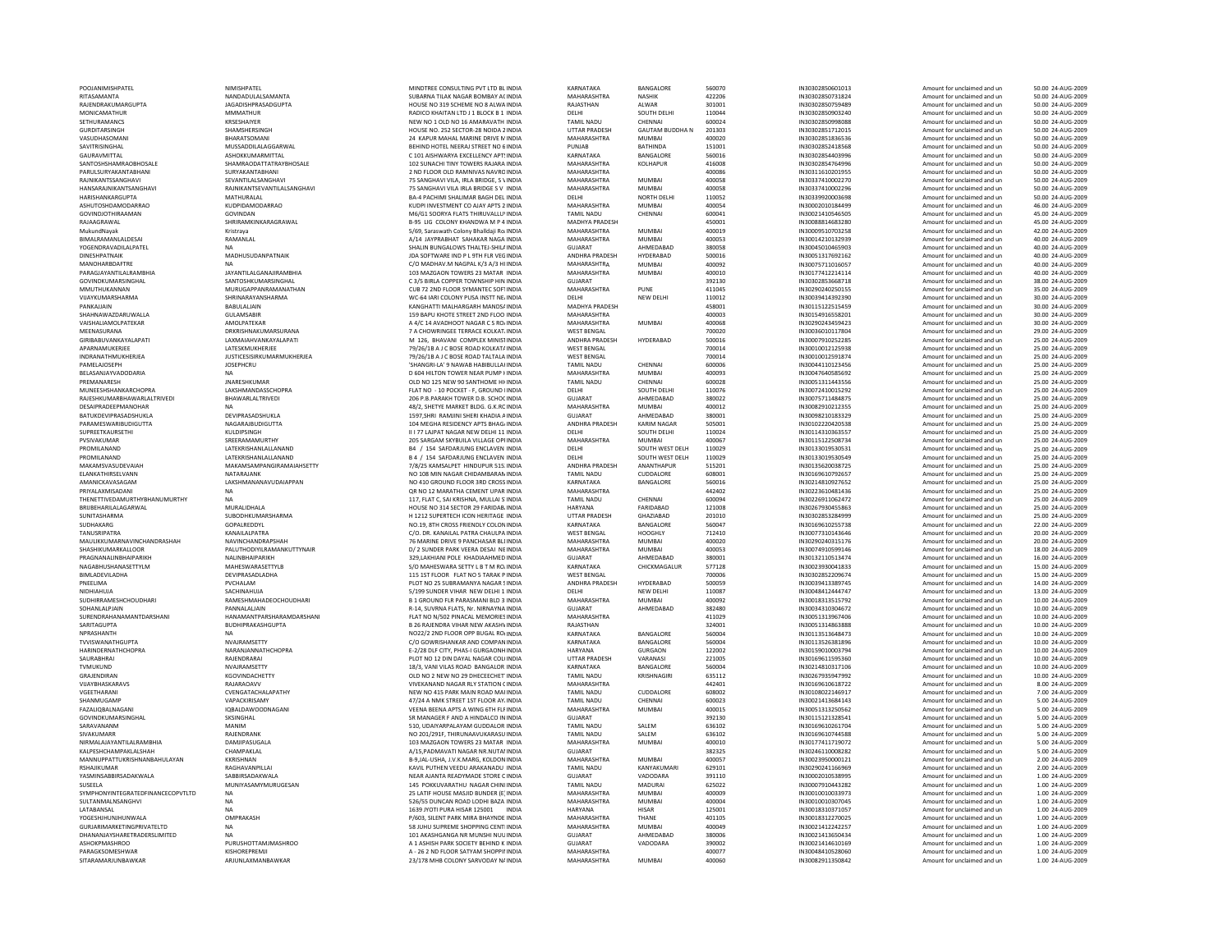RITASAMANTA NANDADULALSAMANTA RAJENDRAKUMARGUPTA SETHURAMANCS KRSESHAIYER GURDITARSINGH SHAMSHERSINGH VASUDHASOMANI BHARATSOMANI SAVITRISINGHAL MUSSADDILALAGGARWAL GAURAVMITTALPARULSURYAKANTABHANI 2000 SURYAKANTABHANI RAJNIKANTSSANGHAVI SEVANTILALSANGHAVI HARISHANKARGUPTAASHUTOSHDAMODARRAO RAJAAGRAWALYOGENDRAVADILALPATEL<br>DINESHPATNAIK MANOHARBDAFTRE NA PARAGJAYANTILALRAMBHIAGOVINDKUMARSINGHAL SANTOSHKUMARSINGHAL SANTOSHKUMARSINGHAL SANTOSHKUMARSINGHAL CHERA VIJAYKUMARSHARMASHAHNAWAZDARUWALLAVAISHALIAMOLPATEKAR MEENASURANA DRKRISHNAKUMARSURANAGIRIBABUVANKAYALAPATI LAXMAIAHVANKAYALAPATI APARNAMUKERJEE LATESKMUKHERJEE PAMELAJOSEPH BELASANJAYVADODARIA NA NA PREMANARESH JNARESHKUMAR MUNEESHSHANKARCHOPRA LAKSHMANDASSCHOPRA RAJESHKUMARBHAWARLALTRIVEDI BHAWARLALTRIVEDI 206BATUKDEVIPRASADSHUKLAPARAMESWARIBUDIGUTTASUPREETKAURSETHI KULDIPSINGH PVSIVAKUMAR SREERAMAMURTHY PROMILANAND LATEKRISHANLALLANAND<br>PROMILANAND LATEKRISHANLALLANAND PROMILANAND LATEKRISHANLALLANAND BELANKATHIRSELVANN NATARAJANK BRIJBEHARILALAGARWALSUNITASHARMA SUBODHKUMARSHARMATANUSRIPATRAMAULIKKUMARNAVINCHANDRASHAH NAVINCHANDRAPSHAH 76NAGABHUSHANASETTYLM<br>BIMLADEVILADHA BIMLADEVILADHA DEVIPRASADLADHA DEVIPRASADLADHA PNEFI IMA **SARITAGUPTA** NPRASHANTH TVVISWANATHGUPTA TVVISWANATHGUPTA<br>
HARINDERNATHCHOPRA<br>
NARANJANNATHCHOPRA VIJAYBHASKARAVS RAJARAOAVVVGEETHARANI CVENGATACHALAPATHY<br>SHANMUGAMP CHERAPATHY VAPACKIRISAMY SHANMUGAMP GOVINDKUMARSINGHAL SKSINGHAL NIRMALAJAYANTILALRAMBHIA DAMJIPASUGALA<br>KAI PESHCHAMPAKI AI SHAH DAMJI DAMJIPASI AI CHAMPAKI AI RSHAJIKUMAR RAGHAVANPILLAI KAGHAVANPILLAI KASANINSARRASADAKWALA YASMINSABBIRSADAKWALASUSEELASYMPHONYINTEGRATEDFINANCECOPVTLTD SULTANMALNSANGHVI NA LATABANSAL NA 1639 NA 1639 NA 1639 NA 1639 NA 1639 NA 1639 NA 1639 NA 1639 NA 1639 NA 1639 NA 1639 NA 1639 NA YOGESHJHUNJHUNWALA GURIARIMARKETINGPRIVATELTD NA DHANANJAYSHARETRADERSI IMITED NA ASHOKPMASHROO PURUSHOTTAMJMASHROOPARAGKSOMESHWARSITARAMARJUNBAWKAR

POOJANIMISHPATEL NIMISHPATEL JAGADISHPRASADGUPTA<br>
JAGADISHPRASADGUPTA<br>
MAMAATHIIR<br>
MAMAATHIIR<br>
MAMAATHIIR MONICAMATHUR MMMATHUR RADICO**ASHOKKUMARMITTAL** SANTOSHSHAMRAOBHOSALE SHAMRAODATTATRAYBHOSALE HANSARAJNIKANTSANGHAVI RAJNIKANTSEVANTILALSANGHAVI RAJNIKANTSEVANTILALSANGHAVI PARAJALAL MATHURALAL BA‐4 PACHIMI SHALIMAR BAGH DEL INDIA<br>KUDBIDAMODARRAO GOVINDJOTHIRAAMAN GOVINDAN GOVINDAN GOVINDAN M6/G1 SOORYA FI ATS THIRI IVALI IJI INDIA SHRIRAMKINKARAGRAWAL BAMANLAL BIMANLAL RAMANLAL RAMANLAL RAMANLAL MADHUSUDANPATNAIK JAYANTILALGANAJIRAMBHIA MURUGAPPANRAMANATHAN PANKAJJAIN BABULALJAIN KANGHATTIGULAMSABIR<br>AMOLPATEKAR INDRANATHMUKHERJEA JUSTICESISIRKUMARMUKHERJEA 205MAKAMSAMPANGIRAMAIAH SETTY AMANICKAVASAGAM LAKSHMANANAVUDAIAPPAN PRIYALAYANGADANI PRIYALAXMISADANI NA QRMURALIDHALA A H SUDHAKARG GOPALREDDYL NO.19, 8THKANAILALPATRA C/O. DR. KANAILAL PATRA CHAULPA INDIA WEST BENGAL HOOGHLY 712410 IN30077410143644 AMOUNT FOR UNCL SHASHIKUMARKALLOOR PALUTHODIYILRAMANKUTTYNAIR PRAGNANAINBHAIPARIKH **PRAGNANALINBHAIPARIKH NALINBHAIPARIKH NALINBHAIPARIKH NALINBHAIPARIKH NALINBHAIPARIKH 2018**<br>Pari ama serta serta tanggal serta di sertai di sertama di serta di serta di serta di serta di serta di serta d<br>Pari ama serta di PNEELIMA PVCHALAM PVCHALAM PVCHALAM PVCHALAM PROT NIDHIAHUJA SACHINAHUJA SACHINAHUJA SALINDER VIHAR NEW DELHI 1 INDIA SUDHIRRAMESHCHOUDHARI RAMESHMAHADEOCHOUDHARI HANAMANTPARSHARAMDARSHANI<br>BUDHIPRAKASHGUPTA SAURABHRAI RAJENDRARAI PLOTTVMUKUND 18/3, VANI VILAS ROAD BANGALOR INDIA NON-RAMSETTY<br>19/3, VANI VILAS ROAD BANGALOR INDIA NO MARKA NO MARKA NO MARKA NO MARKA NO MARKA NO MARKA NO MARKA NO MARKA N<br>19/4 OLD NO 2 NEW NO 2 DHECEECHET INDIA NO MARKA NO KGOVINDACHETTY VIVEKANAND NAGAR RLY STATIONFAZALIQBALNAGANI IQBALDAWOODNAGANI VEENASARAVANANM MANIM MANIM MANIM SID, UDAIYARPALAYAM GUDDALOR INDIA<br>Salexi maara qaaramada qaaramka qaaramka qaaramka maalay maarada maarada maarada qaarada qaarada qaarada qaar<br>Maariimaarka qaarada qaarada qaaramka qaaramka q SIVAKUMARR RAJENDRANK NOMUNIYASAMYMURUGESAN 145 POKKUVARATHU NAGAR CHINIINDIA KISHOREPREMJI A ‐ 26 2 ND

MINDTREE CONSULTING PVT LTD BL INDIA PVT LTD BL INDIA KARNATAKA BANGALORE 560070 IN30302850601013 Amount for unclaimed and un 50.00 24‐AUG‐2009 SUBARNA TILAK NAGAR BOMBAY ACINDIA MAHARASHTRA<br>HOUSE NO 319 SCHEME NO 8 ALWA INDIA RAJASTHAN 3<br>319 SCHEME NO 8 AND AND RAJASTHAN ALWAR 301001 IN30302850759489 Amount for unclaimed and unclaimed and un 50.00 24‐AUG‐2009<br>30 SAN SAN DEL AND SAN SANTHIN SANTHIN 110044 KHAITAN LTD J 1 BLOCK B 1 INDIA DELHI SOUTH DELHI 110044 IN30302850903240 Amount for unclaimed and un 50.00 24‐AUG‐2009 NO 100 16 AMARAVATH INDIA UNIX UNIX UNIX UNCLAIRED UNIX UNIX UNIX UNIX UNIX UNIX UNCLAIRED UNCLAIRED UNIX UNCL<br>NO 16 AMARAVATH INDIA TAMIL NADU CHENNAI 600024<br>HOUSE NO. 252 SECTOR-28 NOIDA 2010 UNIX UNCLAIRED UNIX UNIX UNI NO. 252 SECTOR‐28 NOIDAUTTAR PRADESH GAUTAM<br>MAHARASHTRA MUMBAI 4 KAPUR MAHAL MARINE DRIVE M INDIA MAHARASHTRA BEHIND HOTEL NEERAJ STREET NO 6 INDIA 6INDIA PUNJAB BATHINDA 151001 IN30302852418568 Amount for unclaimed and un 50.00 24‐AUG‐2009 101 AISHWARYA EXCELLENCY APTSINDIA KARNATAKA BANGALORE 560016 IN30302854403996 Amount for unclaimed and un 50.00 24‐AUG‐2009 102 SUNACHI TINY TOWERS RAJARA INDIA MAHARASHTRA<br>MAHARASHTRA ND FLOOR OLD RAMNIVAS NAVROINDIA MAHARASHTRA 400086 IN30311610201955 Amount for unclaimed and un 50.00 24‐AUG‐2009 SANGHAVI VILA, IRLA BRIDGE, S VINDIA MAHARASHTRA MUMBAI 400058 IN30337410002270 Amount for unclaimed and un 50.00 24‐AUG‐2009 5 SANGHAVI VILA IRLA BRIDGE S V INDIA MAHARASHTRA DEL INDIA DELHI NORTH DELHI 110052 IN30339920003698 Amount for unclaimed and un 50.00 24‐AUG‐2009 INVESTMENT CO AJAY APTS 2 INDIA MAHARASHTRA MUMBAI 400054 IN30002010184499 Amount for unclaimed and un 46.00 24‐AUG‐2009 FLATS THIRUVALLUVINDIA TAMIL NADU CHENNAI 600041 IN30021410546505 Amount for unclaimed and un 45.00 24‐AUG‐2009 LIG COLONY KHANDWA M P 4 INDIA MADHYA PRADESH 450001 IN30088814683280 Amount for unclaimed and un 45.00 24‐AUG‐2009 MukundNayak Kristraya 5/69, Saraswath Colony Bhalldaji RoaINDIA MAHARASHTRA MUMBAI 400019 IN30009510703258 Amount for unclaimed and un 42.00 24‐AUG‐2009 MAHARASHTRA<br>GUJARAT BUNGALOWS THALTEJ‐SHILAINDIA GUJARAT AHMEDABAD 380058 IN30045010465903 Amount for unclaimed and un 40.00 24‐AUG‐2009 A SOFTWARE IND P L 9TH FLR VEGINDIA ANDHRA PRADESH HYDERABAD 500016 IN30051317692162 Amount for unclaimed and un 40.00 24‐AUG‐2009 C/O MADHAV.M NAGPAL K/3 A/3 HIINDIA NAGPAL K/3 A/3 HI INDIA MAHARASHTRA MUMBAI 400092 IN30075711016057 Amount for unclaimed and un 40.00 <sup>24</sup>‐AUG‐2009 <sub>TO</sub> MATAR INDIA MUNOSITION NEWSTRA MUMBAI 400010 IN30177412214114 Amount Amount Mumbaind 40.00 24 AUG‐2009<br>IN3D77412214114 Amount Mumbaind Amount Mumbaind and unclaimed and unclear and unclear and un 40.00 24 AUG‐2009 3/5 BIRLA COPPER TOWNSHIP HIN 72 2ND FLOOR SYMANTEC SOFTINDIA MAHARASHTRA PUNE 411045 IN30290240250155 Amount for unclaimed and un 35.00 24‐AUG‐2009 SHRINARAYANSHARMA NG SHARI COLONY PUSA INSTT NEINDIA DELHI NEW DELHI NEW DELHI NEW DELHI NEW DELHI NEW DELHI NA<br>KANGHATTI MAI HARI NEW DINA NG SANGHATTI MAI HARGARH MANINSAINDIA MADIHYA PRADFSH KANGHATTI MALHARGARH MANDSAINDIA MANDSAINDIA MADHYA PRADESH 458001 IN30115122515459 Amount for unclaimed and un 30.00 24‐AUG‐2009 159 BAPU KHOTE STREET 2ND FLOO INDIA A 4/C 14 AVADHOOT NAGAR C S ROI INDIA MAHARASHTRA 7 A CHOWRINGEE TERRACE TERRACE TERRACE TERRACE TERRACE TERRACE TERRACE TERRACE TERRACE TERRACE TERRACE TERRACE TE<br>20079117800117804 AMOUNT AND AND UNCLAINDIA AND UNCLAINDIA AMOUNT CONSULTANT CONTRACT TERRACE TERRACE TERRA 126, BHAVANI COMPLEX MINISTINDIA ANDHRA PRADESH HYDERABAD 500016 IN30007910252285 Amount for unclaimed and un 25.00 24‐AUG‐2009<br>19/26/18 A J C BOE ROAD KOLKAT ANDHRA PRESIGAL 700014 100000012125938 Amount for unclaimed an 79/26/1B A J C BOSE ROAD KOLKAT/ INDIA KOLKATAINDIA WEST BENGAL 700014 IN30010012125938 Amount for unclaimed and un 25.00 24‐AUG‐2009 79/26/1B A J C BOSE ROAD TALTALA INDIA WEST BENGAL 700014 IN30010012591874 Amount for unclaimed and un 25.00 24‐AUG‐2009 9 NAWAB HABIBULLAHINDIA TAMIL NADU CHENNAI 600006 IN30044110123456 Amount for unclaimed and un 25.00 24‐AUG‐2009 **D 604 HILTON TOWER NEAR RUMB LINDIA**  TOWER NEAR PUMP HINDIA MAHARASHTRA MUMBAI 400093 IN30047640585692 Amount for unclaimed and un 25.00 24‐AUG‐2009 NO 125 NEWW 90 SANTHOME HIINDIA TAMIL NADU CHENNAI 600028 IN30051311443556 Amount for unclaimed and un 25.00 24‐AUG‐2009 NO ‐ 10 POCKET ‐ F, GROUND FINDIA DELHI SOUTH206 P.B.PARAKH TOWER D.B. SCHOC INDIA TOWER D.B. SCHOOINDIA GUJARAT AHMEDABAD 380022 IN30075711484875 Amount for unclaimed and un 25.00 24‐AUG‐2009 DESAIPRADEEPMANOHAR NA 48/2, SHETYE MARKET BLDG. G.K.ROINDIA MAHARASHTRA MUMBAI 400012 IN30082910212355 Amount for unclaimed and un 25.00 24‐AUG‐2009 DEVIPRASADSHUKLA 1597,SHRI RAMJINI SHERI AHMEDABAD 1997,SHRI RAMJINI SHERI AHMEDABAD 380001 IN3009821018329 AMOUNT AHMEDABAD IN30098210183329 AMOUNT AHMEDABAD IN30098210183329 AMOUNT AHMEDABAD IN3009821018329 AMOUNT AHMED 104 MEGHA RESIDENCY APTS BHAGAINDIA I 77 LAJPAT NAGAR NEW DELHI 11 INDIA DELHI SOUTH DELHI 110024 IN30114310363557 Amount for unclaimed and un 25.00 24‐AUG‐2009 SARGAM SKYBUILA VILLAGE OPPINDIA MAHARASHTRA MUMBAI 400067 IN30115122508734 Amount for unclaimed and un 25.00 24‐AUG‐2009 4 / 154 SAFDARJUNG ENCLAVEN 4 / 154 SAFDARJUNG ENCLAVEN7/8/25 KAMSALPET HINDUPUR 515. INDIA AND ANDHRA PRADESH<br>NO 108 MIN NAGAR CHIDAMRARAN INDIA TAMIL NADI I 108 MIN NAGAR CHIDAMBARAMINDIA TAMIL NADU CUDDALORE 608001 IN30169610792657 Amount for unclaimed and un 25.00 24‐AUG‐2009 410 GROUND FLOOR 3RD CROSS INDIA KARNATAKA BANGALORE 560016 IN30214810927652 Amount for unclaimed and un 25.00 24‐AUG‐2009<br>412402 QR NO 12 AMOUNT UPAR NOILA MAHARASHTRA 442402 AMOUNT AND 223610481436 Amount for unclaimed OR NO 12 MARATHA CEMENT UPAR INDIA 12 MARATHA CEMENT UPAR INDIA MAHARASHTRA 442402 IN30223610481436 Amount for unclaimed and un 25.00 24‐AUG‐2009 THENETTIVEDAMURTHYBHANUMURTHY NA 117, FLAT C, SAI KRISHNA, MULLAI STINDIA TAMIL NADU CHENNAI 600094 IN30226911062472 Amount for unclaimed and un 25.00 24‐AUG‐2009 NO 314 SECTOR 29 FARIDABAINDIA HARYANA FARIDABAD 121008 IN30267930455863 Amount for unclaimed and un 25.00 24‐AUG‐2009 H 1212 SUPERTECH ICON HERITAGE INDIA HERITAGE INDIA UTTAR PRADESH GHAZIABAD 201010 IN30302853284999 Amount for unclaimed and un 25.00 24‐AUG‐2009 CROSS FRIENDLY COLONINDIA KARNATAKA BANGALORE 560047 IN30169610255738 Amount for unclaimed and un 22.00 24‐AUG‐2009<br>C/O. DR. KANAILAL PATRA CHALUPA INDIA WEST BENGAL HOOGHLY 712410 IN30077310143646 Amount for unclaimed and **76 MARINE DRIVE 9 RANCHASAR RITINDIA** BAAHARASHTRA DESAI NEINDIA MAHARASHTRAS/O MAHESWARA SETTY L B T M RO INDIA ROAINDIA KARNATAKA CHICKMAGALUR 577128 IN30023930041833 Amount for unclaimed and un 15.00 24‐AUG‐2009 5 1ST FLOOR FLAT NO 5 TARAK P INDIA WEST BENGAL 700006 IN30302852209674 Amount for unclaimed and un 15.00 24‐AUG‐2009 NO 25 SUBRAMANYA NAGAR SINDIA ANDHRA PRADESH HYDERABAD 500059 IN30039413389745 Amount for unclaimed and un 14.00 24‐AUG‐2009 DELHI 1 INDIA DELHI NEW DELHI 110087 IN30048412444747 Amount for unclaimed and un 13.00 24‐AUG‐2009 1 GROUND FLR PARASMANI BLD 3 INDIA MAHARASHTRA MUMBAI 400092 IN30018313515792 Amount for unclaimed and un 10.00 24‐AUG‐2009 SOHANLALPJAIN PANNALALJAIN R‐14, SUVRNA FLATS, Nr. NIRNAYNA INDIA GUJARAT AHMEDABAD 382480 IN30034310304672 Amount for unclaimed and un 10.00 24‐AUG‐2009 NO N/502 PINACAL MEMORIESINDIA MAHARASHTRA 411029 IN30051313967406 Amount for unclaimed and un 10.00 24‐AUG‐2009 B 26 RAJENDRA VIHAR NEW AKASHVINDIA AKASHWINDIA RAJASTHAN 324001 IN30051314863888 Amount for unclaimed and un 10.00 24‐AUG‐2009 FLOOR OPP BUGAL ROCINDIA KARNATAKA BANGALORE 560004 IN30113513648473 Amount for unclaimed and un 10.00 24‐AUG‐2009 COOWRISHANKARANDOOMPANINDIA KARNATAKA BANGALORE 560004 IN30113526331896 Amount Amount for unclaimed and un 10.00 24‐AUG‐2009<br>E-2/28 DE CITY PHAS INSOCION HARYANA GURGAON 122002 НАRINDERNATHCHOPRA NARANJANNATHCHOPRA E PARANJANATHCHOPRA EAST DURGAONHINDIA HARYANA HARYANATHCHOPRA SALINDERN<br>PLOT DE SALINDERNATHCHOPRA POLITY DURGAON DURGAON DURGAONHINDIA DE VARANASI 222005 IN301696111595360 Amount T NO 12 DIN DAYAL NAGAR COLUNDIA UTTAR PRADESH VARANASI 221005 IN30169611595360 Amount for unclaimed and un 10.00 24‐AUG‐2009 BANGALOR INDIA KARNATAKA BANGALORE 560004 IN30214810317106 Amount for unclaimed and un 10.00 24‐AUG‐2009 NO 2 NEW NO 29 DHECEECHETTINDIA TAMIL NADU KRISHNAGIRI 635112 IN30267935947992 Amount for unclaimed and un 10.00 24‐AUG‐2009 CINDIA MAHARASHTRA 442401 IN30169610618722 Amount for unclaimed and un 8.00 24‐AUG‐2009 NEW NO 415 PARK MAIN ROAD MAINDIA TAMIL NADU CUDDALORE 608002 IN30108022146917 Amount for unclaimed and un 7.00 24‐AUG‐2009<br>And the state of the TAMIL NADU CHENNAI 600023 IN30021413684143 Amount for unclaimed and un 5.00 2 AMA ANMESTREET 1ST FLOOR AYAINDIA VEENA REENA APTS A WING STH ELEINDIA 6TH FLRINDIA MAHARASHTRA MUMBAI 400015 IN30051313250562 Amount for unclaimed and un 5.00 24‐AUG‐2009 MANAGER F AND A HINDALCO ININDIA GUJARAT 392130 IN30115121328541 Amount for unclaimed and un 5.00 24‐AUG‐2009 GUDDALOR INDIA TAMIL NADU SALEM 636102 IN30169610261704 Amount for unclaimed and un 5.00 24‐AUG‐2009 201/291F, THIRUNAAVUKARASUINDIA TAMIL NADU SALEM 636102 IN30169610744588 Amount for unclaimed and un 5.00 24‐AUG‐2009 103 MAZGAON TOWERS 23 MATAR INDIA<br>A/15 PADMAVATI NAGAR NR NUTALINDIA N TOWERS 23 MATAR INDIA MAHARASHTRA MUMBAI 400010 IN30177411719072 Amount for unclaimed and un 5.00 24‐AUG‐2009 KALPESHCHAMPAKLALSHAH CHAMPAKLAL A/15,PADMAVATI NAGAR NR.NUTANINDIA GUJARAT 382325 IN30246110008282 Amount for unclaimed and un 5.00 24‐AUG‐2009 MANUPATTUKRISHNANBAHULAYAN KKRISHNAN BASHA, JALAHARA SA SALUSHA, V.K.MARG, KOLDONINDIA MAHARASHTRA MUMBAI 400057 IN3002395000121 Amount for unclaimed and unclaimed and unclaid and unclaid and unclaid and unclaid and unclai PUTHEN VEEDU ARAKANADU INDIA TAMIL NADU KANYAKUMARI 629101 IN30290241166969 Amount for unclaimed and un 2.00 24‐AUG‐2009 NEAR AJANTA READYMADE STORE CINDIA GUJARAT VADODARA 391110 IN30002010538995 Amount for unclaimed and un 1.00 24‐AUG‐2009 NAGAR CHINNINDIA TAMIL NADU MADURAI 625022 IN30007910443282 Amount for unclaimed and un 1.00 24‐AUG‐2009 25 LATIF HOUSE MASJID BUNDER (FUNDIA BUNDER (E)INDIA MAHARASHTRA MUMBAI 400009 IN30010010033973 Amount for unclaimed and un 1.00 24‐AUG‐2009 ROAD LODHI BAZA INDIA MAHARASHTRA MUMBAI 400004 IN30010010307045 Amount for unclaimed and un 1.00 24‐AUG‐2009 1639 JYOTI PURA HISAR 125001 INDIA HISAR 125001 INDIA HARYANA HISAR 125001 IN30018310371057 Amount for unclaimed and un 1.00 24‐AUG‐2009 OMPRAKASH P/603, SILENT PARK MIRA MAHARASHTRA THANE ANIARASHTRA THANE ANIARASHTRA THANE ANIARASHTRA THANE ANIARASHTRA THANE ANIARASHTRA THANE ANIARASHTRA THANE ANIARASHTRA THANE ANIARASHTRA THANE ANIARASHTRA ANIARASHTRA TH **SRIIHULSUPREME SHOPPING CENTUNDIA** U SUPREME SHOPPING CENTIINDIA MAHARASHTRA MUMBAI 400049 IN30021412242257 Amount for unclaimed and un 1.00 24‐AUG‐2009 AKASHGANGA NR MUNSHI NUUINDIA GUJARAT AHMEDABAD 380006 IN30021413650434 Amount for unclaimed and un 1.00 24‐AUG‐2009 A 1 ASHISH PARK SOCIETY BEHIND AND A 1 ANNO 2000 ANNO 20002 INSOLANA AND A 2002 AMOUNT OF UNCLAINED AND A 200<br>A 25 2 ND ELOR SAN SAN DIA DIA ANNARASHTRA NA 2009 ANNO 2009 AMOUNT AMOUNT AMOUNT AMOUNT OF UN 1.00 24‐AUG‐2009 A - 26.2 ND ELOOR SATYAM SHOPPILINDIA SHOPPININDIA MAHARASHTRA 400077 IN30048410528060 Amount for unclaimed and un 1.00 24‐AUG‐2009 ARJUNLAXMANBAWKAR 23/178 MHB COLONY SARVODAY NAINDIA MAHARASHTRA

| <b>BLINDIA</b>       | KARNATAKA             | BANGALORE              | 560070 | IN30302850601013 | Amount for unclaimed and un | 50.00 24-AUG-2009 |
|----------------------|-----------------------|------------------------|--------|------------------|-----------------------------|-------------------|
| AC INDIA             | MAHARASHTRA           | NASHIK                 | 422206 | IN30302850731824 | Amount for unclaimed and un | 50.00 24-AUG-2009 |
|                      |                       |                        |        |                  |                             |                   |
| A INDIA              | RAJASTHAN             | ALWAR                  | 301001 | IN30302850759489 | Amount for unclaimed and un | 50.00 24-AUG-2009 |
| 1 INDIA              | DELHI                 | SOUTH DELHI            | 110044 | IN30302850903240 | Amount for unclaimed and un | 50.00 24-AUG-2009 |
| H INDIA              | <b>TAMIL NADU</b>     | CHENNAL                | 600024 | IN30302850998088 | Amount for unclaimed and un | 50.00 24-AUG-2009 |
|                      |                       |                        |        |                  |                             |                   |
| 2 INDIA              | <b>UTTAR PRADESH</b>  | <b>GAUTAM BUDDHA N</b> | 201303 | IN30302851712015 | Amount for unclaimed and un | 50.00 24-AUG-2009 |
| <b>MINDIA</b>        | MAHARASHTRA           | MUMBAI                 | 400020 | IN30302851836536 | Amount for unclaimed and un | 50.00 24-AUG-2009 |
| 6 INDIA              | PUNJAB                | <b>BATHINDA</b>        | 151001 | IN30302852418568 | Amount for unclaimed and un | 50.00 24-AUG-2009 |
|                      |                       |                        |        |                  |                             |                   |
| T! INDIA             | KARNATAKA             | BANGALORE              | 560016 | IN30302854403996 | Amount for unclaimed and un | 50.00 24-AUG-2009 |
| A INDIA              | MAHARASHTRA           | KOLHAPUR               | 416008 | IN30302854764996 | Amount for unclaimed and un | 50.00 24-AUG-2009 |
|                      |                       |                        |        |                  |                             |                   |
| <b>CINDIA</b>        | MAHARASHTRA           |                        | 400086 | IN30311610201955 | Amount for unclaimed and un | 50.00 24-AUG-2009 |
| i VINDIA             | MAHARASHTRA           | MUMBAI                 | 400058 | IN30337410002270 | Amount for unclaimed and un | 50.00 24-AUG-2009 |
| V INDIA              | MAHARASHTRA           | <b>MUMBAI</b>          | 400058 | IN30337410002296 | Amount for unclaimed and un | 50.00 24-AUG-2009 |
|                      |                       |                        |        |                  |                             |                   |
| EL INDIA             | DELHI                 | NORTH DELHI            | 110052 | IN30339920003698 | Amount for unclaimed and un | 50.00 24-AUG-2009 |
| 2 INDIA              | MAHARASHTRA           | <b>MUMBAI</b>          | 400054 | IN30002010184499 | Amount for unclaimed and un | 46.00 24-AUG-2009 |
| U <sub>INDIA</sub>   | <b>TAMIL NADU</b>     | CHENNAI                | 600041 | IN30021410546505 | Amount for unclaimed and un | 45.00 24-AUG-2009 |
|                      |                       |                        |        |                  |                             |                   |
| 4 INDIA              | MADHYA PRADESH        |                        | 450001 | IN30088814683280 | Amount for unclaimed and un | 45.00 24-AUG-2009 |
| to: INDIA            | MAHARASHTRA           | MUMBAI                 | 400019 | IN30009510703258 | Amount for unclaimed and un | 42.00 24-AUG-2009 |
| A INDIA              | MAHARASHTRA           | MUMBAI                 | 400053 | IN30014210132939 | Amount for unclaimed and un | 40.00 24-AUG-2009 |
|                      |                       |                        |        |                  |                             |                   |
| LA INDIA             | GUJARAT               | AHMEDABAD              | 380058 | IN30045010465903 | Amount for unclaimed and un | 40.00 24-AUG-2009 |
| <b>GINDIA</b>        | <b>ANDHRA PRADESH</b> | HYDFRARAD              | 500016 | IN30051317692162 | Amount for unclaimed and un | 40.00 24-AUG-2009 |
|                      |                       | <b>MUMBAI</b>          |        | IN30075711016057 |                             |                   |
| <b>HI INDIA</b>      | MAHARASHTRA           |                        | 400092 |                  | Amount for unclaimed and un | 40.00 24-AUG-2009 |
| R INDIA              | MAHARASHTRA           | MUMBAI                 | 400010 | IN30177412214114 | Amount for unclaimed and un | 40.00 24-AUG-2009 |
| IN INDIA             | <b>GUJARAT</b>        |                        | 392130 | IN30302853668718 | Amount for unclaimed and un | 38.00 24-AUG-2009 |
|                      | MAHARASHTRA           | PUNE                   | 411045 | IN30290240250155 | Amount for unclaimed and un | 35.00 24-AUG-2009 |
| <b>F1INDIA</b>       |                       |                        |        |                  |                             |                   |
| <b>FJINDIA</b>       | DFI HI                | NFW DFI HI             | 110012 | IN30039414392390 | Amount for unclaimed and un | 30.00 24-AUG-2009 |
| SA INDIA             | MADHYA PRADESH        |                        | 458001 | IN30115122515459 | Amount for unclaimed and un | 30.00 24-AUG-2009 |
|                      |                       |                        |        |                  |                             |                   |
| O INDIA              | MAHARASHTRA           |                        | 400003 | IN30154916558201 | Amount for unclaimed and un | 30.00 24-AUG-2009 |
| O <sub>/</sub> INDIA | MAHARASHTRA           | <b>MUMBAI</b>          | 400068 | IN30290243459423 | Amount for unclaimed and un | 30.00 24-AUG-2009 |
| <b>T. INDIA</b>      | <b>WEST BENGAL</b>    |                        | 700020 | IN30036010117804 | Amount for unclaimed and un | 29.00 24-AUG-2009 |
|                      |                       |                        |        |                  |                             |                   |
| S1 INDIA             | ANDHRA PRADESH        | <b>HYDERABAD</b>       | 500016 | IN30007910252285 | Amount for unclaimed and un | 25.00 24-AUG-2009 |
| T/INDIA              | <b>WEST BENGAL</b>    |                        | 700014 | IN30010012125938 | Amount for unclaimed and un | 25.00 24-AUG-2009 |
| A INDIA              | <b>WEST BENGAL</b>    |                        | 700014 | IN30010012591874 | Amount for unclaimed and un | 25.00 24-AUG-2009 |
|                      |                       |                        |        |                  |                             |                   |
| <b>AI INDIA</b>      | <b>TAMIL NADU</b>     | CHENNAI                | 600006 | IN30044110123456 | Amount for unclaimed and un | 25.00 24-AUG-2009 |
| HNDIA                | MAHARASHTRA           | <b>MUMBAI</b>          | 400093 | IN30047640585692 | Amount for unclaimed and un | 25.00 24-AUG-2009 |
|                      | <b>TAMIL NADU</b>     | CHENNAI                | 600028 |                  |                             |                   |
| <b>HUNDIA</b>        |                       |                        |        | IN30051311443556 | Amount for unclaimed and un | 25.00 24-AUG-2009 |
| IINDIA               | <b>DELHI</b>          | SOUTH DELHI            | 110076 | IN30072410015292 | Amount for unclaimed and un | 25.00 24-AUG-2009 |
| CINDIA               | GUJARAT               | AHMEDABAD              | 380022 | IN30075711484875 | Amount for unclaimed and un | 25.00 24-AUG-2009 |
|                      |                       |                        |        |                  |                             |                   |
| <b>CINDIA</b>        | MAHARASHTRA           | <b>MUMBAI</b>          | 400012 | IN30082910212355 | Amount for unclaimed and un | 25.00 24-AUG-2009 |
| AINDIA               | <b>GUJARAT</b>        | AHMEDABAD              | 380001 | IN30098210183329 | Amount for unclaimed and un | 25.00 24-AUG-2009 |
| <b>G/INDIA</b>       | ANDHRA PRADESH        | <b>KARIM NAGAR</b>     | 505001 | IN30102220420538 | Amount for unclaimed and un | 25.00 24-AUG-2009 |
|                      |                       |                        |        |                  |                             |                   |
| 1 INDIA              | DELHI                 | SOUTH DELHI            | 110024 | IN30114310363557 | Amount for unclaimed and un | 25.00 24-AUG-2009 |
| PIINDIA              | MAHARASHTRA           | <b>MUMBAI</b>          | 400067 | IN30115122508734 | Amount for unclaimed and un | 25.00 24-AUG-2009 |
| N INDIA              | DELHI                 | SOUTH WEST DELH        | 110029 | IN30133019530531 | Amount for unclaimed and un | 25.00 24-AUG-2009 |
|                      |                       |                        |        |                  |                             |                   |
| N INDIA              | <b>DELHI</b>          | SOUTH WEST DELH        | 110029 | IN30133019530549 | Amount for unclaimed and un | 25.00 24-AUG-2009 |
| 5. INDIA             | ANDHRA PRADESH        | ANANTHAPUR             | 515201 | IN30135620038725 | Amount for unclaimed and un | 25.00 24-AUG-2009 |
| <b>N INDIA</b>       | <b>TAMIL NADU</b>     | CUDDALORE              | 608001 | IN30169610792657 | Amount for unclaimed and un | 25.00 24-AUG-2009 |
|                      |                       |                        |        |                  |                             |                   |
| SS INDIA             | KARNATAKA             | BANGALORE              | 560016 | IN30214810927652 | Amount for unclaimed and un | 25.00 24-AUG-2009 |
| <b>RINDIA</b>        | MAHARASHTRA           |                        | 442402 | IN30223610481436 | Amount for unclaimed and un | 25.00 24-AUG-2009 |
|                      |                       |                        |        |                  |                             |                   |
| S' INDIA             | TAMIL NADU            | CHENNAI                | 600094 | IN30226911062472 | Amount for unclaimed and un | 25.00 24-AUG-2009 |
| <b>B. INDIA</b>      | <b>HARYANA</b>        | FARIDABAD              | 121008 | IN30267930455863 | Amount for unclaimed and un | 25.00 24-AUG-2009 |
| E INDIA              | <b>UTTAR PRADESH</b>  | GHAZIABAD              | 201010 | IN30302853284999 | Amount for unclaimed and un | 25.00 24-AUG-2009 |
|                      |                       |                        |        |                  |                             |                   |
| N INDIA              | KARNATAKA             | BANGALORE              | 560047 | IN30169610255738 | Amount for unclaimed and un | 22.00 24-AUG-2009 |
| A INDIA              | <b>WEST BENGAL</b>    | <b>HOOGHLY</b>         | 712410 | IN30077310143646 | Amount for unclaimed and un | 20.00 24-AUG-2009 |
| <b>LI INDIA</b>      | MAHARASHTRA           | <b>MUMBAI</b>          | 400020 | IN30290240315176 | Amount for unclaimed and un | 20.00 24-AUG-2009 |
|                      |                       |                        |        |                  |                             |                   |
| <b>VEINDIA</b>       | MAHARASHTRA           | <b>MUMBAI</b>          | 400053 | IN30074910599146 | Amount for unclaimed and un | 18.00 24-AUG-2009 |
| <b>DINDIA</b>        | GUJARAT               | AHMEDABAD              | 380001 | IN30132110513474 | Amount for unclaimed and un | 16.00 24-AUG-2009 |
|                      |                       |                        |        |                  |                             |                   |
| O. INDIA             | KARNATAKA             | CHICKMAGALUR           | 577128 | IN30023930041833 | Amount for unclaimed and un | 15.00 24-AUG-2009 |
| PINDIA               | <b>WEST BENGAL</b>    |                        | 700006 | IN30302852209674 | Amount for unclaimed and un | 15.00 24-AUG-2009 |
| SINDIA               | ANDHRA PRADESH        | HYDERABAD              | 500059 | IN30039413389745 | Amount for unclaimed and un | 14.00 24-AUG-2009 |
|                      |                       |                        |        |                  |                             |                   |
| 1 INDIA              | DELHI                 | NEW DELHI              | 110087 | IN30048412444747 | Amount for unclaimed and un | 13.00 24-AUG-2009 |
| 3 INDIA              | MAHARASHTRA           | <b>MUMBAI</b>          | 400092 | IN30018313515792 | Amount for unclaimed and un | 10.00 24-AUG-2009 |
|                      | <b>GUJARAT</b>        | AHMEDABAD              | 382480 | IN30034310304672 | Amount for unclaimed and un | 10.00 24-AUG-2009 |
| IA INDIA             |                       |                        |        |                  |                             |                   |
| <b>ESINDIA</b>       | MAHARASHTRA           |                        | 411029 | IN30051313967406 | Amount for unclaimed and un | 10.00 24-AUG-2009 |
| <b>IVINDIA</b>       | RAJASTHAN             |                        | 324001 | IN30051314863888 | Amount for unclaimed and un | 10.00 24-AUG-2009 |
| OIINDIA              | KARNATAKA             | BANGALORE              | 560004 | IN30113513648473 | Amount for unclaimed and un | 10.00 24-AUG-2009 |
|                      |                       |                        |        |                  |                             |                   |
| <b>IN INDIA</b>      | KARNATAKA             | <b>BANGALORE</b>       | 560004 | IN30113526381896 | Amount for unclaimed and un | 10.00 24-AUG-2009 |
| <b>IHINDIA</b>       | <b>HARYANA</b>        | <b>GURGAON</b>         | 122002 | IN30159010003794 | Amount for unclaimed and un | 10.00 24-AUG-2009 |
| LINDIA               | <b>UTTAR PRADESH</b>  | VARANASI               | 221005 | IN30169611595360 | Amount for unclaimed and un | 10.00 24-AUG-2009 |
|                      |                       |                        |        |                  |                             |                   |
| R INDIA              |                       |                        |        |                  |                             |                   |
|                      | KARNATAKA             | BANGALORE              | 560004 | IN30214810317106 | Amount for unclaimed and un | 10.00 24-AUG-2009 |
|                      |                       |                        |        |                  |                             |                   |
| T INDIA              | <b>TAMIL NADU</b>     | KRISHNAGIRI            | 635112 | IN30267935947992 | Amount for unclaimed and un | 10.00 24-AUG-2009 |
| I CINDIA             | MAHARASHTRA           |                        | 442401 | IN30169610618722 | Amount for unclaimed and un | 8.00 24-AUG-2009  |
| <b>AI INDIA</b>      | <b>TAMIL NADU</b>     | CUDDALORE              | 608002 | IN30108022146917 | Amount for unclaimed and un | 7.00 24-AUG-2009  |
|                      |                       |                        |        |                  |                             |                   |
| Y. INDIA             | <b>TAMIL NADU</b>     | CHENNAI                | 600023 | IN30021413684143 | Amount for unclaimed and un | 5.00 24-AUG-2009  |
| <b>LF INDIA</b>      | MAHARASHTRA           | <b>MUMBAI</b>          | 400015 | IN30051313250562 | Amount for unclaimed and un | 5.00 24-AUG-2009  |
| IN INDIA             | GUJARAT               |                        | 392130 | IN30115121328541 | Amount for unclaimed and un |                   |
|                      |                       |                        |        |                  |                             | 5.00 24-AUG-2009  |
| R INDIA              | <b>TAMIL NADU</b>     | SALEM                  | 636102 | IN30169610261704 | Amount for unclaimed and un | 5.00 24-AUG-2009  |
| U INDIA              | <b>TAMIL NADU</b>     | <b>SAI FM</b>          | 636102 | IN30169610744588 | Amount for unclaimed and un | 5.00 24-AUG-2009  |
| R INDIA              | MAHARASHTRA           | <b>MUMBAI</b>          | 400010 | IN30177411719072 | Amount for unclaimed and un | 5.00 24-AUG-2009  |
|                      |                       |                        |        |                  |                             |                   |
| AI INDIA             | GUJARAT               |                        | 382325 | IN30246110008282 | Amount for unclaimed and un | 5.00 24-AUG-2009  |
| <b>NINDIA</b>        | MAHARASHTRA           | MUMBAI                 | 400057 | IN30023950000121 | Amount for unclaimed and un | 2.00 24-AUG-2009  |
|                      |                       |                        |        |                  |                             |                   |
| U INDIA              | <b>TAMIL NADU</b>     | KANYAKUMARI            | 629101 | IN30290241166969 | Amount for unclaimed and un | 2.00 24-AUG-2009  |
| CINDIA               | GUIARAT               | VADODARA               | 391110 | IN30002010538995 | Amount for unclaimed and un | 1.00 24-AUG-2009  |
| NIINDIA              | <b>TAMIL NADU</b>     | <b>MADURAI</b>         | 625022 | IN30007910443282 | Amount for unclaimed and un | 1.00 24-AUG-2009  |
|                      |                       |                        |        |                  |                             |                   |
| E INDIA              | MAHARASHTRA           | MUMBAI                 | 400009 | IN30010010033973 | Amount for unclaimed and un | 1.00 24-AUG-2009  |
| A INDIA              | MAHARASHTRA           | MUMBAI                 | 400004 | IN30010010307045 | Amount for unclaimed and un | 1.00 24-AUG-2009  |
| <b>INDIA</b>         | <b>HARYANA</b>        | HISAR                  | 125001 | IN30018310371057 | Amount for unclaimed and un | 1.00 24-AUG-2009  |
|                      |                       |                        |        |                  |                             |                   |
| E INDIA              | MAHARASHTRA           | THANF                  | 401105 | IN30018312270025 | Amount for unclaimed and un | 1.00 24-AUG-2009  |
| <b>TIINDIA</b>       | MAHARASHTRA           | <b>MUMBAI</b>          | 400049 | IN30021412242257 | Amount for unclaimed and un | 1.00 24-AUG-2009  |
|                      |                       |                        |        |                  |                             |                   |
| <b>JUINDIA</b>       | GUJARAT               | AHMEDABAD              | 380006 | IN30021413650434 | Amount for unclaimed and un | 1.00 24-AUG-2009  |
| <b>KINDIA</b>        | <b>GUJARAT</b>        | VADODARA               | 390002 | IN30021414610169 | Amount for unclaimed and un | 1.00 24-AUG-2009  |
| <b>INDIA</b>         | MAHARASHTRA           |                        | 400077 | IN30048410528060 | Amount for unclaimed and un | 1.00 24-AUG-2009  |
| <b>NAINDIA</b>       | MAHARASHTRA           | <b>MUMBAI</b>          | 400060 | IN30082911350842 | Amount for unclaimed and un | 1.00 24-AUG-2009  |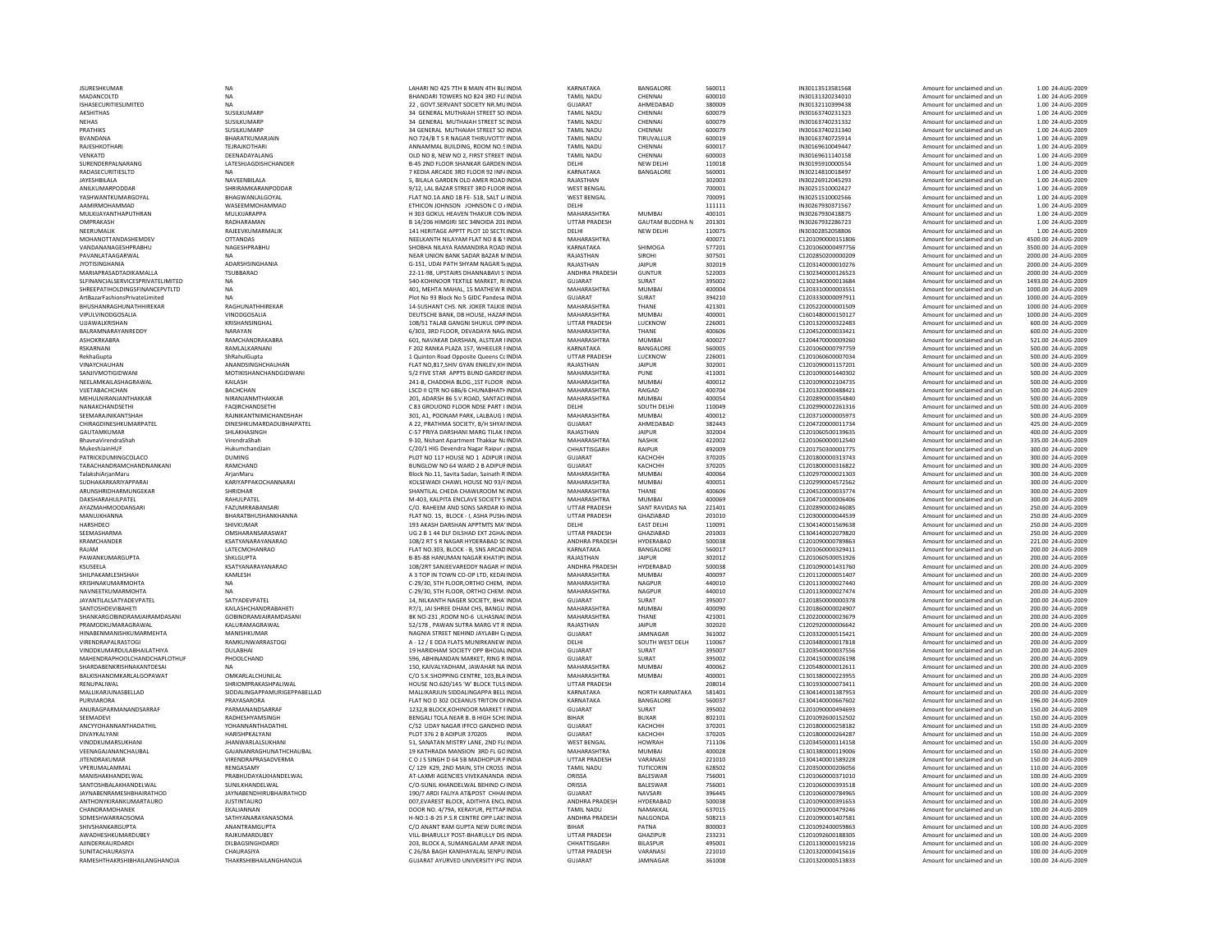| JSURES<br>HKUMAR                                            |
|-------------------------------------------------------------|
| MADANCOLTD                                                  |
| ISHASECURITIESLIMITED                                       |
| <b>AKSHITHAS</b>                                            |
| <b>NEHAS</b>                                                |
| <b>PRATHIKS</b>                                             |
| <b>BVANDANA</b>                                             |
| RAJESHKOTHARI                                               |
| VENKATD                                                     |
|                                                             |
| SURENDERPALNARANG                                           |
| RADASECURITIESLTD                                           |
| <b>JAYESHBILALA</b>                                         |
| ANILKUMARPODDAR                                             |
| YASHWANTKUMARGOYAL                                          |
| AAMIRMOHAMMAD                                               |
| MULKIJAYANTHAPUTHRAN                                        |
| OMPRAKASH                                                   |
| NEERUMALIK                                                  |
| MOHANOTTANDASHEMDE\                                         |
| VANDANANAGESHPRABHU                                         |
| PAVANLATAAGARWAL                                            |
|                                                             |
| <b>JYOTISINGHANIA</b>                                       |
| MARIAPRASADTADIKAMALLA                                      |
| SLFINANCIALSERVICESPRIVATELIMITED                           |
| SHREEPATIHOLDINGSFINANCEPVTLTD                              |
| ArtBazarFashionsPrivateLimited                              |
| BHUSHANRAGHUNATHHIREKAR                                     |
| <b>VIPULVINODGOSALIA</b>                                    |
| UJJAWALKRISHAN                                              |
| BALRAMNARAYANREDDY                                          |
| ASHOKRKABRA                                                 |
|                                                             |
| RSKARNANI                                                   |
| RekhaGupta                                                  |
| VINAYCHAUHAN                                                |
| SANJIVMOTIGIDWANI                                           |
| NEELAMKAILASHAGRAWAL                                        |
| VUETABACHCHAN                                               |
| MEHULNIRANJANTHAKKAR                                        |
| NANAKCHANDSETHI                                             |
| SEEMARAJNIKANTSHAH                                          |
| CHIRAGDINESHKUMARPATEL                                      |
|                                                             |
| GAUTAMKUMAR                                                 |
| BhavnaVirendraShah                                          |
| MukeshJainHUF                                               |
| PATRICKDUMINGCOLACO                                         |
| TARACHANDRAMCHANDNANKANI                                    |
| TalakshiArjanMaru                                           |
|                                                             |
|                                                             |
| SUDHAKARKARIYAPPARAI                                        |
| ARUNSHRIDHARMUNGEKAR                                        |
| DAKSHARAHULPATEL                                            |
| AYAZMAHMOODANSARI                                           |
| MANUJKHANNA                                                 |
| <b>HARSHDEO</b>                                             |
| SEEMASHARMA                                                 |
| KRAMCHANDER                                                 |
| RAJAM                                                       |
| PAWANKUMARGUPTA                                             |
| KSUSEELA                                                    |
|                                                             |
| SHILPAKAMLESHSHAH                                           |
| KRISHNAKUMARMOHTA                                           |
| NAVNEETKUMARMOHTA                                           |
| <b>JAYANTILALSATYADEVPATEL</b>                              |
| SANTOSHDEVIBAHETI                                           |
| SHANKARGOBINDRAMJAIRAMDASANI                                |
| PRAMODKUMARAGRAWAL                                          |
| HINABENMANISHKUMARMEHTA                                     |
| VIRENDRAPALRASTOGI                                          |
|                                                             |
| VINODKUMARDULABHAILATHIYA                                   |
| MAHENDRAPHOOLCHANDCHAPLOTHUF                                |
| SHARDABENKRISHNAKANTDESAI                                   |
| BALKISHANOMKARLALGOPAWAT                                    |
| RENUPALIWAL                                                 |
| MALLIKARJUNASBELLAD                                         |
| PURVIARORA                                                  |
| ANURAGPARMANANDSARRAF                                       |
| SEEMADEVI                                                   |
| ANCYYOHANNANTHADATHIL                                       |
| DIVAYKALYANI                                                |
| VINODKUMARSUKHANI                                           |
|                                                             |
| VEENAGAJANANCHAUBAL                                         |
| <b>JITENDRAKUMAR</b>                                        |
| VPERUMALAMMAL                                               |
| MANISHAKHANDELWAL                                           |
| SANTOSHBALAKHANDELWAL                                       |
| <b>JAYNABENRAMESHBHAIRATHOD</b>                             |
| ANTHONYKIRANKUMARTAURO<br>ı                                 |
|                                                             |
| CHANDRAMOHANEK                                              |
| OMESHWARRAOSOMA                                             |
| SHIVSHANKARGUPTA                                            |
| AWADHESHKUMARDUBEY                                          |
| AJINDERKAURDARDI                                            |
| SUNITACHAURASIYA<br>RAMFSHTHAKRSHIRHAII<br><b>ANGHANOIA</b> |

| <b>ISURESHKUMAR</b>                           | <b>NA</b>                                      | LAHARI NO 425 7TH B MAIN 4TH BL(INDIA                                           |
|-----------------------------------------------|------------------------------------------------|---------------------------------------------------------------------------------|
| MADANCOLTD                                    | <b>NA</b>                                      | BHANDARI TOWERS NO 824 3RD FL(INDIA                                             |
| <b>SHASECURITIESLIMITED</b>                   | <b>NA</b>                                      | 22, GOVT.SERVANT SOCIETY NR.MUINDIA                                             |
| AKSHITHAS                                     | SUSILKUMARP                                    | 34 GENERAL MUTHAIAH STREET SO' INDIA                                            |
| NEHAS                                         | SUSILKUMARP                                    | 34 GENERAL MUTHAIAH STREET SCINDIA                                              |
| PRATHIKS<br>RVANDANA                          | SUSILKUMARP<br><b>BHARATKUMARIAIN</b>          | 34 GENERAL MUTHAIAH STREET SO'INDIA<br>NO 724/B T S R NAGAR THIRUVOTTI' INDIA   |
| RAJESHKOTHARI                                 | <b>TFIRAIKOTHARI</b>                           | ANNAMMAL BUILDING, ROOM NO.S INDIA                                              |
| VENKATD                                       | DEENADAYALANG                                  | OLD NO 8, NEW NO 2, FIRST STREET INDIA                                          |
| SURENDERPALNARANG                             | LATESHJAGDISHCHANDER                           | B-45 2ND FLOOR SHANKAR GARDEN INDIA                                             |
| RADASECURITIESLTD                             | <b>NA</b>                                      | 7 KEDIA ARCADE 3RD FLOOR 92 INF/ INDIA                                          |
| <b>JAYESHRII AI A</b>                         | NAVEFNRII AI A                                 | 5. BILALA GARDEN OLD AMER ROAD INDIA                                            |
| ANILKUMARPODDAR                               | SHRIRAMKARANPODDAR                             | 9/12, LAL BAZAR STREET 3RD FLOOR INDIA                                          |
| YASHWANTKUMARGOYAL                            | BHAGWANLALGOYAL                                | FLAT NO.1A AND 1B FE-518, SALT L/INDIA                                          |
| AAMIRMOHAMMAD                                 | WASEEMMOHAMMAD                                 | ETHICON JOHNSON JOHNSON C O / INDIA                                             |
| MULKIJAYANTHAPUTHRAN                          | MULKIJARAPPA                                   | H 303 GOKUL HEAVEN THAKUR CON INDIA                                             |
| OMPRAKASH                                     | RADHARAMAN                                     | B 14/206 HIMGIRI SEC 34NOIDA 201 INDIA                                          |
| NEERUMALIK                                    | RAJEEVKUMARMALIK                               | 141 HERITAGE APPTT PLOT 10 SECT( INDIA                                          |
| MOHANOTTANDASHEMDEV                           | <b>OTTANDAS</b>                                | NEELKANTH NILAYAM FLAT NO 8 & ! INDIA                                           |
| VANDANANAGESHPRABHU                           | NAGESHPRABHU                                   | SHOBHA NILAYA RAMANDIRA ROAD INDIA                                              |
| PAVANLATAAGARWAL<br><b>IYOTISINGHANIA</b>     | NA<br><b>ADARSHSINGHANIA</b>                   | NEAR UNION BANK SADAR BAZAR MINDIA<br>G-151. UDAI PATH SHYAM NAGAR SUNDIA       |
| MARIAPRASADTADIKAMALLA                        | <b>TSUBBARAO</b>                               | 22-11-98, UPSTAIRS DHANNABAVI S'INDIA                                           |
| SLFINANCIALSERVICESPRIVATELIMITED             | <b>NA</b>                                      | 540-KOHINOOR TEXTILE MARKET, RI INDIA                                           |
| SHREEPATIHOLDINGSFINANCEPVTLTD                | NA                                             | 401, MEHTA MAHAL, 15 MATHEW R INDIA                                             |
| ArtBazarFashionsPrivateLimited                | NA                                             | Plot No 93 Block No 5 GIDC Pandesa INDIA                                        |
| BHUSHANRAGHUNATHHIREKAR                       | RAGHUNATHHIRFKAR                               | 14-SUSHANT CHS. NR. JOKER TALKIE INDIA                                          |
| VIPULVINODGOSALIA                             | VINODGOSALIA                                   | DEUTSCHE BANK, DB HOUSE, HAZAR INDIA                                            |
| UJJAWALKRISHAN                                | KRISHANSINGHAL                                 | 108/51 TALAB GANGNI SHUKUL OPP INDIA                                            |
| BALRAMNARAYANREDDY                            | NARAYAN                                        | 6/303, 3RD FLOOR, DEVADAYA NAG/INDIA                                            |
| ASHOKRKARRA                                   | RAMCHANDRAKABRA                                | 601. NAVAKAR DARSHAN, ALSTEAR HNDIA                                             |
| RSKARNANI                                     | RAMI AI KARNANI                                | F 202 RANKA PLAZA 157, WHEELER FINDIA                                           |
| RekhaGupta                                    | ShRahulGupta                                   | 1 Quinton Road Opposite Queens Cc INDIA                                         |
| VINAYCHAUHAN                                  | ANANDSINGHCHAUHAN                              | FLAT NO,817, SHIV GYAN ENKLEV, KH INDIA                                         |
| SANJIVMOTIGIDWANI                             | MOTIKISHANCHANDGIDWANI                         | 5/2 FIVE STAR APPTS BUND GARDEI INDIA                                           |
| NEELAMKAILASHAGRAWAL                          | KAILASH<br><b>BACHCHAN</b>                     | 241-B, CHADDHA BLDG., 1ST FLOOR INDIA                                           |
| VUETABACHCHAN<br>MEHULNIRANJANTHAKKAR         | NIRANJANMTHAKKAR                               | LSCD II OTR NO 686/6 CHUNABHATI INDIA                                           |
| NANAKCHANDSETHI                               | <b>FAQIRCHANDSETHI</b>                         | 201, ADARSH 86 S.V.ROAD, SANTACHNDIA<br>C 83 GROUOND FLOOR NDSE PART I INDIA    |
| SEEMARAJNIKANTSHAH                            | RAJNIKANTNIMICHANDSHAH                         | 301, A1, POONAM PARK, LALBAUG I INDIA                                           |
| CHIRAGDINESHKUMARPATEL                        | DINESHKUMARDADUBHAIPATEL                       | A 22. PRATHMA SOCIETY, B/H SHYAI INDIA                                          |
| GAUTAMKUMAR                                   | SHLAKHASINGH                                   | C-57 PRIYA DARSHANI MARG TILAK I INDIA                                          |
| BhavnaVirendraShah                            | VirendraShah                                   | 9-10, Nishant Apartment Thakkar Na INDIA                                        |
| MukeshJainHUF                                 | HukumchandJain                                 | C/20/1 HIG Devendra Nagar Raipur 4 INDIA                                        |
| PATRICKDUMINGCOLACO                           | <b>DUMING</b>                                  | PLOT NO 117 HOUSE NO 1 ADIPUR HNDIA                                             |
| TARACHANDRAMCHANDNANKANI                      | RAMCHAND                                       | BUNGLOW NO 64 WARD 2 B ADIPUF INDIA                                             |
| TalakshiArjanMaru                             | ArjanMaru                                      | Block No.11, Savita Sadan, Sainath R INDIA                                      |
| SUDHAKARKARIYAPPARAI                          | KARIYAPPAKOCHANNARAI                           | KOLSEWADI CHAWL HOUSE NO 93/4 INDIA                                             |
| ARUNSHRIDHARMUNGEKAR                          | SHRIDHAR                                       | SHANTILAL CHEDA CHAWLROOM N(INDIA                                               |
| DAKSHARAHULPATEL                              | RAHULPATEL                                     | M-403, KALPITA ENCLAVE SOCIETY S INDIA                                          |
| AYAZMAHMOODANSARI                             | FAZUMRRABANSARI                                | C/O. RAHEEM AND SONS SARDAR KHINDIA                                             |
| MANUJKHANNA<br>HARSHDEO                       | BHARATBHUSHANKHANNA<br>SHIVKUMAR               | FLAT NO. 15, BLOCK - I, ASHA PUSH/ INDIA<br>193 AKASH DARSHAN APPTMTS MA' INDIA |
| SEEMASHARMA                                   | OMSHARANSARASWAT                               | UG 2 B 1 44 DLF DILSHAD EXT 2GHA; INDIA                                         |
| KRAMCHANDER                                   | KSATYANARAYANARAO                              | 108/2 RT S R NAGAR HYDERABAD 50 INDIA                                           |
| RAJAM                                         | LATECMOHANRAO                                  | FLAT NO.303, BLOCK - B. SNS ARCAD INDIA                                         |
| PAWANKUMARGUPTA                               | ShKLGUPTA                                      | B-85-88 HANUMAN NAGAR KHATIPLINDIA                                              |
| KSUSEELA                                      | KSATYANARAYANARAO                              | 108/2RT SANJEEVAREDDY NAGAR H' INDIA                                            |
| SHILPAKAMLESHSHAH                             | KAMLESH                                        | A 3 TOP IN TOWN CO-OP LTD, KEDAHNDIA                                            |
| KRISHNAKUMARMOHTA                             | <b>NA</b>                                      | C-29/30, 5TH FLOOR, ORTHO CHEM, INDIA                                           |
| NAVNEETKUMARMOHTA                             | <b>NA</b>                                      | C-29/30, 5TH FLOOR, ORTHO CHEM, INDIA                                           |
| <b>JAYANTILALSATYADEVPATEL</b>                | SATYADEVPATEL                                  | 14, NILKANTH NAGER SOCIETY, BHA' INDIA                                          |
| SANTOSHDEVIBAHETI                             | KAILASHCHANDRABAHETI                           | R7/1, JAI SHREE DHAM CHS, BANGU INDIA                                           |
| SHANKARGOBINDRAMJAIRAMDASANI                  | GOBINDRAMJAIRAMDASANI                          | BK NO-231 ,ROOM NO-6 ULHASNA( INDIA                                             |
| PRAMODKUMARAGRAWAL<br>HINABENMANISHKUMARMEHTA | KALURAMAGRAWAL<br>MANISHKUMAR                  | 52/178 . PAWAN SUTRA MARG VT R INDIA<br>NAGNIA STREET NEHIND JAYLABH C(INDIA    |
| <b>VIRENDRAPALRASTOGI</b>                     | RAMKUNWARRASTOGI                               |                                                                                 |
| VINODKUMARDULABHAILATHIYA                     | DULABHAI                                       | A - 12 / E DDA FLATS MUNIRKANEW INDIA<br>19 HARIDHAM SOCIETY OPP BHOJAL INDIA   |
| MAHENDRAPHOOLCHANDCHAPLOTHUF                  | PHOOLCHAND                                     | 596, ABHINANDAN MARKET, RING R INDIA                                            |
| SHARDABENKRISHNAKANTDESAI                     | <b>NA</b>                                      | 150. KAIVALYADHAM, JAWAHAR NA INDIA                                             |
| BALKISHANOMKARLALGOPAWAT                      | OMKARLALCHUNILAL                               | C/O S.K.SHOPPING CENTRE, 103, BLA INDIA                                         |
| RENUPALIWAL                                   | SHRIOMPRAKASHPALIWAL                           | HOUSE NO.620/145 'W' BLOCK TULS INDIA                                           |
| MALLIKARJUNASBELLAD                           | SIDDALINGAPPAMURIGEPPABELLAD                   | MALLIKARJUN SIDDALINGAPPA BELL INDIA                                            |
| PURVIARORA                                    | PRAYASARORA                                    | FLAT NO D 302 OCEANUS TRITON OF INDIA                                           |
| ANURAGPARMANANDSARRAF                         | PARMANANDSARRAF                                | 1232, B BLOCK, KOHINOOR MARKET FINDIA                                           |
| SEEMADEVI                                     | RADHESHYAMSINGH                                | BENGALLTOLA NEAR B. B HIGH SCHOLNDIA                                            |
| ANCYYOHANNANTHADATHIL                         | <b>YOHANNANTHADATHIL</b>                       | C/52 UDAY NAGAR IFFCO GANDHID INDIA                                             |
| DIVAYKALYANI                                  | HARISHPKALYANI                                 | PLOT 376 2 B ADIPUR 370205<br>INDIA                                             |
| VINODKUMARSUKHANI                             | <b>JHANWARLALSUKHANI</b>                       | 51. SANATAN MISTRY LANE, 2ND FL(INDIA                                           |
| VEENAGAJANANCHAUBAL<br><b>IITENDRAKUMAR</b>   | GAJANANRAGHUNATHCHAUBAL<br>VIRENDRAPRASADVERMA | 19 KATHRADA MANSION 3RD FL GOINDIA<br>C.O. I.S. SINGH D.64 SB MADHOPUR PINDIA   |
|                                               |                                                |                                                                                 |
| VPERUMALAMMAL<br>MANISHAKHANDELWAL            | RENGASAMY<br>PRABHUDAYALKHANDELWAL             | C/ 129 K29, 2ND MAIN, 5TH CROSS INDIA<br>AT-LAXMI AGENCIES VIVEKANANDA INDIA    |
| SANTOSHBALAKHANDELWAL                         | SUNILKHANDELWAL                                | C/O-SUNIL KHANDELWAL BEHIND C/ INDIA                                            |
| <b>JAYNABENRAMESHBHAIRATHOD</b>               | <b>JAYNABENDHIRUBHAIRATHOD</b>                 | 190/7 ARDI FALIYA AT&POST CHHAI INDIA                                           |
| ANTHONYKIRANKUMARTAURO                        | <b>ILISTINTALIRO</b>                           | 007.EVAREST BLOCK, ADITHYA ENCL INDIA                                           |
| CHANDRAMOHANEK                                | EKALIANNAN                                     | DOOR NO. 4/79A, KERAYUR, PETTAP INDIA                                           |
| SOMESHWARRAOSOMA                              | SATHYANARAYANASOMA                             | H-NO:1-8-25 P.S.R CENTRE OPP.LAK! INDIA                                         |
| SHIVSHANKARGUPTA                              | ANANTRAMGUPTA                                  | C/O ANANT RAM GUPTA NEW DURCINDIA                                               |
| AWADHESHKUMARDUBEY                            | RAJKUMARDUBEY                                  | VILL-BHARULLY POST-BHARULLY DIS INDIA                                           |
| AIINDERKAURDARDI                              | DILBAGSINGHDARDI                               | 203. BLOCK A. SUMANGALAM APAR INDIA                                             |
| SUNITACHAURASIYA                              | CHAURASIYA                                     | C 26/8A BAGH KANIHAYALAL SENPU INDIA                                            |
| RAMESHTHAKRSHIRHAII ANGHANOIA                 | THAKRSHIRHAII ANGHANOIA                        | GUIARAT AYURVED UNIVERSITY IPG INDIA                                            |

| LAHARI NO 425 7TH B MAIN 4TH BL(INDIA      | KARNATAKA          | BANGALORE            |
|--------------------------------------------|--------------------|----------------------|
|                                            | TAMIL NADU         | CHENNAI              |
| BHANDARI TOWERS NO 824 3RD FL(INDIA        |                    |                      |
| 22, GOVT.SERVANT SOCIETY NR.MU INDIA       | GUJARAT            | AHMEDABAD            |
| 34 GENERAL MUTHAIAH STREET SO'INDIA        | TAMIL NADU         | CHENNAI              |
| 34 GENERAL MUTHAIAH STREET SCINDIA         | <b>TAMIL NADU</b>  | CHENNAI              |
| 34 GENERAL MUTHAIAH STREET SO'INDIA        | <b>TAMIL NADU</b>  | CHENNAI              |
| NO 724/B T S R NAGAR THIRUVOTTI' INDIA     | <b>TAMIL NADU</b>  | TIRUVALLUR           |
| ANNAMMAL BUILDING, ROOM NO.SINDIA          | <b>TAMIL NADU</b>  | CHENNAI              |
| OLD NO 8. NEW NO 2. FIRST STREET INDIA     | <b>TAMIL NADU</b>  | CHENNAI              |
| B-45 2ND FLOOR SHANKAR GARDEN INDIA        | DELHI              | NEW DELHI            |
| 7 KEDIA ARCADE 3RD FLOOR 92 INF/INDIA      | KARNATAKA          | BANGALORE            |
|                                            |                    |                      |
| 5, BILALA GARDEN OLD AMER ROAD INDIA       | RAJASTHAN          |                      |
| 9/12, LAL BAZAR STREET 3RD FLOOR INDIA     | <b>WEST BENGAL</b> |                      |
| FLAT NO.1A AND 1B FE- 518, SALT L/ INDIA   | <b>WEST BENGAL</b> |                      |
| ETHICON JOHNSON JOHNSON CO / INDIA         | DELHI              |                      |
| H 303 GOKUL HEAVEN THAKUR CON INDIA        | MAHARASHTRA        | MUMBAI               |
| B 14/206 HIMGIRI SEC 34NOIDA 201 INDIA     | UTTAR PRADESH      | <b>GAUTAM BUDDHA</b> |
| 141 HERITAGE APPTT PLOT 10 SECT(INDIA      | DELHI              | NEW DELHI            |
| NEELKANTH NILAYAM FLAT NO 8 & SINDIA       | MAHARASHTRA        |                      |
| SHOBHA NILAYA RAMANDIRA ROAD INDIA         | KARNATAKA          | SHIMOGA              |
| NEAR UNION BANK SADAR BAZAR MINDIA         | RAJASTHAN          | <b>SIROHI</b>        |
| G-151, UDAI PATH SHYAM NAGAR SIINDIA       | RAJASTHAN          | <b>JAIPUR</b>        |
| 22-11-98, UPSTAIRS DHANNABAVI S'INDIA      | ANDHRA PRADESH     | <b>GUNTUR</b>        |
| 540-KOHINOOR TEXTILE MARKET, RI INDIA      | <b>GUJARAT</b>     | SURAT                |
|                                            | MAHARASHTRA        | <b>MUMBAI</b>        |
| 401, MEHTA MAHAL, 15 MATHEW R INDIA        | <b>GUJARAT</b>     |                      |
| Plot No 93 Block No 5 GIDC Pandesa INDIA   |                    | SURAT                |
| 14-SUSHANT CHS. NR. JOKER TALKIE INDIA     | MAHARASHTRA        | THANE                |
| DEUTSCHE BANK, DB HOUSE, HAZARINDIA        | MAHARASHTRA        | MUMBAI               |
| 108/51 TALAB GANGNI SHUKUL OPP INDIA       | UTTAR PRADESH      | LUCKNOW              |
| 6/303, 3RD FLOOR, DEVADAYA NAG INDIA       | MAHARASHTRA        | THANE                |
| 601, NAVAKAR DARSHAN, ALSTEAR HNDIA        | MAHARASHTRA        | <b>MUMBAI</b>        |
| F 202 RANKA PLAZA 157, WHEELER FINDIA      | KARNATAKA          | BANGALORE            |
| 1 Quinton Road Opposite Queens Cc INDIA    | UTTAR PRADESH      | LUCKNOW              |
| FLAT NO.817.SHIV GYAN ENKLEV.KH INDIA      | RAJASTHAN          | <b>JAIPUR</b>        |
| 5/2 FIVE STAR APPTS BUND GARDEI INDIA      | MAHARASHTRA        | PUNE                 |
| 241-B, CHADDHA BLDG., 1ST FLOOR INDIA      | MAHARASHTRA        | <b>MUMBAI</b>        |
| LSCD II QTR NO 686/6 CHUNABHATI INDIA      | MAHARASHTRA        | RAIGAD               |
| 201, ADARSH 86 S.V.ROAD, SANTACHNDIA       | MAHARASHTRA        | MUMBAI               |
| C 83 GROUOND FLOOR NDSE PART I INDIA       | DELHI              | SOUTH DELHI          |
| 301, A1, POONAM PARK, LALBAUG I INDIA      | MAHARASHTRA        | MUMBAI               |
| A 22, PRATHMA SOCIETY, B/H SHYAI INDIA     | GUJARAT            | AHMEDABAD            |
| C-57 PRIYA DARSHANI MARG TILAK I INDIA     | RAJASTHAN          | <b>JAIPUR</b>        |
| 9-10, Nishant Apartment Thakkar Na INDIA   | MAHARASHTRA        | <b>NASHIK</b>        |
| C/20/1 HIG Devendra Nagar Raipur < INDIA   | CHHATTISGARH       | <b>RAIPUR</b>        |
|                                            |                    |                      |
| PLOT NO 117 HOUSE NO 1 ADIPUR HNDIA        | GUJARAT            | КАСНСНН              |
| BUNGLOW NO 64 WARD 2 B ADIPUF INDIA        | <b>GUJARAT</b>     | КАСНСНН              |
| Block No.11, Savita Sadan, Sainath R INDIA | MAHARASHTRA        | <b>MUMBAI</b>        |
| KOLSEWADI CHAWL HOUSE NO 93/4 INDIA        | MAHARASHTRA        | MUMBAI               |
| SHANTILAL CHEDA CHAWLROOM NCINDIA          | MAHARASHTRA        | THANE                |
| M-403, KALPITA ENCLAVE SOCIETY S INDIA     | MAHARASHTRA        | MUMBAI               |
| C/O. RAHEEM AND SONS SARDAR KHNDIA         | UTTAR PRADESH      | SANT RAVIDAS NA      |
| FLAT NO. 15, BLOCK - I, ASHA PUSH/INDIA    | UTTAR PRADESH      | GHAZIABAD            |
| 193 AKASH DARSHAN APPTMTS MA' INDIA        | <b>DELHI</b>       | <b>EAST DELHI</b>    |
| UG 2 B 1 44 DLF DILSHAD EXT 2GHA; INDIA    | UTTAR PRADESH      | GHAZIABAD            |
| 108/2 RT S R NAGAR HYDERABAD 50 INDIA      | ANDHRA PRADESH     | HYDERABAD            |
| FLAT NO.303, BLOCK - B, SNS ARCAD INDIA    | KARNATAKA          | BANGALORE            |
| B-85-88 HANUMAN NAGAR KHATIPL INDIA        | RAJASTHAN          | <b>JAIPUR</b>        |
| 108/2RT SANJEEVAREDDY NAGAR H' INDIA       | ANDHRA PRADESH     | HYDERABAD            |
| A 3 TOP IN TOWN CO-OP LTD. KEDAHNDIA       | MAHARASHTRA        | <b>MUMBAI</b>        |
| C-29/30, 5TH FLOOR, ORTHO CHEM, INDIA      | MAHARASHTRA        | <b>NAGPUR</b>        |
| C-29/30, 5TH FLOOR, ORTHO CHEM. INDIA      | MAHARASHTRA        | NAGPUR               |
| 14, NILKANTH NAGER SOCIETY, BHA' INDIA     | GUJARAT            | SURAT                |
| R7/1, JAI SHREE DHAM CHS, BANGU INDIA      | MAHARASHTRA        | MUMBAI               |
| BK NO-231 .ROOM NO-6 ULHASNACINDIA         | MAHARASHTRA        | THANE                |
|                                            | RAJASTHAN          | <b>JAIPUR</b>        |
| 52/178, PAWAN SUTRA MARG VT R INDIA        | GUJARAT            |                      |
| NAGNIA STREET NEHIND JAYLABH C(INDIA       |                    | JAMNAGAR             |
| A - 12 / E DDA FLATS MUNIRKANEW INDIA      | DELHI              | SOUTH WEST DELH      |
| 19 HARIDHAM SOCIETY OPP BHOJAL INDIA       | GUJARAT            | SURAT                |
| 596, ABHINANDAN MARKET, RING R INDIA       | GUJARAT            | SURAT                |
| 150, KAIVALYADHAM, JAWAHAR NA INDIA        | MAHARASHTRA        | MUMBAI               |
| C/O S.K.SHOPPING CENTRE, 103,BLA INDIA     | MAHARASHTRA        | <b>MUMBAI</b>        |
| HOUSE NO.620/145 'W' BLOCK TULS INDIA      | UTTAR PRADESH      |                      |
| MALLIKARJUN SIDDALINGAPPA BELL INDIA       | KARNATAKA          | NORTH KARNATAKA      |
| FLAT NO D 302 OCEANUS TRITON OF INDIA      | KARNATAKA          | BANGALORE            |
| 1232, B BLOCK, KOHINOOR MARKET FINDIA      | GUJARAT            | SURAT                |
| BENGALI TOLA NEAR B. B HIGH SCH(INDIA      | <b>BIHAR</b>       | <b>BUXAR</b>         |
| C/52 UDAY NAGAR IFFCO GANDHID INDIA        | <b>GUJARAT</b>     | КАСНСНН              |
| PLOT 376 2 B ADIPUR 370205<br><b>INDIA</b> | GUJARAT            | КАСНСНН              |
| 51, SANATAN MISTRY LANE, 2ND FL(INDIA      | <b>WEST BENGAL</b> | <b>HOWRAH</b>        |
| 19 KATHRADA MANSION 3RD FL GOINDIA         | MAHARASHTRA        | MUMBAI               |
| COJS SINGH D 64 5B MADHOPUR PINDIA         | UTTAR PRADESH      | VARANASI             |
| C/ 129 K29, 2ND MAIN, 5TH CROSS INDIA      | TAMIL NADU         | TUTICORIN            |
| AT-LAXMI AGENCIES VIVEKANANDA INDIA        | ORISSA             | BALESWAR             |
| C/O-SUNIL KHANDELWAL BEHIND C/ INDIA       | ORISSA             | BALESWAR             |
|                                            | GUJARAT            |                      |
| 190/7 ARDI FALIYA AT&POST CHHAI INDIA      |                    | NAVSARI<br>HYDERABAD |
| 007, EVAREST BLOCK, ADITHYA ENCL INDIA     | ANDHRA PRADESH     |                      |
| DOOR NO. 4/79A, KERAYUR, PETTAP INDIA      | <b>TAMIL NADU</b>  | NAMAKKAL             |
| H-NO:1-8-25 P.S.R CENTRE OPP.LAKSINDIA     | ANDHRA PRADESH     | NALGONDA             |
| C/O ANANT RAM GUPTA NEW DURC INDIA         | <b>BIHAR</b>       | PATNA                |
| VILL-BHARULLY POST-BHARULLY DIS INDIA      | UTTAR PRADESH      | <b>GHAZIPUR</b>      |
| 203, BLOCK A, SUMANGALAM APAR INDIA        | CHHATTISGARH       | <b>BILASPUR</b>      |
| C 26/8A BAGH KANIHAYALAL SENPU INDIA       | UTTAR PRADESH      | VARANASI             |
| GUJARAT AYURVED UNIVERSITY IPG' INDIA      | GUJARAT            | JAMNAGAR             |
|                                            |                    |                      |

| <b>JSURESHKUMAR</b>               | <b>NA</b>                      | LAHARI NO 425 7TH B MAIN 4TH BL(INDIA      | KARNATAKA             | BANGALORE              | 560011 | IN30113513581568  | Amount for unclaimed and un | 1.00 24-AUG-2009    |
|-----------------------------------|--------------------------------|--------------------------------------------|-----------------------|------------------------|--------|-------------------|-----------------------------|---------------------|
| MADANCOLTD                        | <b>NA</b>                      | BHANDARI TOWERS NO 824 3RD FL(INDIA        | <b>TAMIL NADU</b>     | CHENNAI                | 600010 | IN30131320234010  | Amount for unclaimed and un | 1.00 24-AUG-2009    |
| ISHASECURITIESLIMITED             | <b>NA</b>                      | 22 . GOVT.SERVANT SOCIETY NR.MU INDIA      | <b>GUJARAT</b>        | AHMEDABAD              | 380009 | IN30132110399438  | Amount for unclaimed and un | 1.00 24-AUG-2009    |
| AKSHITHAS                         | SUSILKUMARP                    | 34 GENERAL MUTHAIAH STREET SO' INDIA       | TAMIL NADU            | CHENNAI                | 600079 | IN30163740231323  | Amount for unclaimed and un | 1.00 24-AUG-2009    |
|                                   |                                |                                            |                       |                        | 600079 |                   |                             |                     |
| NEHAS                             | SUSILKUMARP                    | 34 GENERAL MUTHAIAH STREET SCINDIA         | TAMIL NADU            | CHENNAI                |        | IN30163740231332  | Amount for unclaimed and un | 1.00 24-AUG-2009    |
| PRATHIKS                          | SUSILKUMARF                    | 34 GENERAL MUTHAIAH STREET SO' INDIA       | <b>TAMIL NADU</b>     | CHENNAI                | 600079 | IN30163740231340  | Amount for unclaimed and un | 1.00 24-AUG-2009    |
| BVANDANA                          | BHARATKUMARJAIN                | NO 724/B T S R NAGAR THIRUVOTTI' INDIA     | <b>TAMIL NADU</b>     | TIRUVALLUR             | 600019 | IN30163740725914  | Amount for unclaimed and un | 1.00 24-AUG-2009    |
| RAJESHKOTHARI                     | <b>TEJRAJKOTHARI</b>           | ANNAMMAL BUILDING, ROOM NO.SINDIA          | <b>TAMIL NADU</b>     | CHENNAI                | 600017 | IN30169610049447  | Amount for unclaimed and un | 1.00 24-AUG-2009    |
| VENKATD                           | DEENADAYALANG                  | OLD NO 8, NEW NO 2, FIRST STREET INDIA     | <b>TAMIL NADU</b>     | CHENNAI                | 600003 | IN30169611140158  | Amount for unclaimed and un | 1.00 24-AUG-2009    |
| SURENDERPALNARANG                 | LATESHJAGDISHCHANDER           | <b>B-45 2ND FLOOR SHANKAR GARDEN INDIA</b> | DELHI                 | NEW DELHI              | 110018 | IN30195910000554  | Amount for unclaimed and un | 1.00 24-AUG-2009    |
| RADASECURITIESLTD                 | <b>NA</b>                      | 7 KEDIA ARCADE 3RD FLOOR 92 INF/ INDIA     | KARNATAKA             | BANGALORE              | 560001 | IN30214810018497  | Amount for unclaimed and un | 1.00 24-AUG-2009    |
| JAYESHBILALA                      | NAVEENBILALA                   | 5. BILALA GARDEN OLD AMER ROAD INDIA       | RAIASTHAN             |                        | 302003 | IN30226912045293  | Amount for unclaimed and un | 1.00 24-AUG-2009    |
|                                   |                                |                                            |                       |                        |        |                   |                             |                     |
| ANILKUMARPODDAR                   | SHRIRAMKARANPODDAR             | 9/12, LAL BAZAR STREET 3RD FLOOR INDIA     | <b>WEST BENGAL</b>    |                        | 700001 | IN30251510002427  | Amount for unclaimed and un | 1.00 24-AUG-2009    |
| YASHWANTKUMARGOYAL                | BHAGWANLALGOYAL                | FLAT NO.1A AND 1B FE- 518, SALT L/INDIA    | <b>WEST BENGAL</b>    |                        | 700091 | IN30251510002566  | Amount for unclaimed and un | 1.00 24-AUG-2009    |
| AAMIRMOHAMMAD                     | WASEEMMOHAMMAD                 | ETHICON JOHNSON JOHNSON CO / INDIA         | DELHI                 |                        | 111111 | IN30267930371567  | Amount for unclaimed and un | 1.00 24-AUG-2009    |
| MULKIJAYANTHAPUTHRAN              | MULKIJARAPPA                   | H 303 GOKUL HEAVEN THAKUR CON INDIA        | MAHARASHTRA           | <b>MUMBAI</b>          | 400101 | IN30267930418875  | Amount for unclaimed and un | 1.00 24-AUG-2009    |
| OMPRAKASH                         | RADHARAMAN                     | B 14/206 HIMGIRI SEC 34NOIDA 201 INDIA     | <b>UTTAR PRADESH</b>  | <b>GAUTAM BUDDHA N</b> | 201301 | IN30267932286723  | Amount for unclaimed and un | 1.00 24-AUG-2009    |
| NEERUMALIK                        | RAJEEVKUMARMALIK               | 141 HERITAGE APPTT PLOT 10 SECT( INDIA     | DELHI                 | NEW DELHI              | 110075 | IN30302852058806  | Amount for unclaimed and un | 1.00 24-AUG-2009    |
|                                   |                                |                                            |                       |                        |        |                   |                             |                     |
| MOHANOTTANDASHEMDEV               | <b>OTTANDAS</b>                | NEELKANTH NILAYAM FLAT NO 8 & ! INDIA      | MAHARASHTRA           |                        | 400071 | C1201090000151806 | Amount for unclaimed and un | 4500.00 24-AUG-2009 |
| VANDANANAGESHPRABHU               | NAGESHPRABHU                   | SHOBHA NILAYA RAMANDIRA ROAD INDIA         | KARNATAKA             | SHIMOGA                | 577201 | C1201060000497756 | Amount for unclaimed and un | 3500.00 24-AUG-2009 |
| PAVANLATAAGARWAL                  | <b>NA</b>                      | NEAR UNION BANK SADAR BAZAR MINDIA         | RAJASTHAN             | <b>SIROHI</b>          | 307501 | C1202850200000209 | Amount for unclaimed and un | 2000.00 24-AUG-2009 |
| <b>JYOTISINGHANIA</b>             | ADARSHSINGHANIA                | G-151. UDAI PATH SHYAM NAGAR SUNDIA        | RAJASTHAN             | <b>JAIPUR</b>          | 302019 | C1203140000010276 | Amount for unclaimed and un | 2000.00 24-AUG-2009 |
| MARIAPRASADTADIKAMALLA            | TSUBBARAO                      | 22-11-98, UPSTAIRS DHANNABAVI S'INDIA      | ANDHRA PRADESH        | <b>GUNTUR</b>          | 522003 | C1302340000126523 | Amount for unclaimed and un | 2000.00 24-AUG-2009 |
| SLFINANCIALSERVICESPRIVATELIMITED | <b>NA</b>                      | 540-KOHINOOR TEXTILE MARKET. RI INDIA      | <b>GUJARAT</b>        | SURAT                  | 395002 | C1302340000013684 | Amount for unclaimed and un | 1493.00 24-AUG-2009 |
|                                   |                                |                                            |                       |                        |        |                   |                             |                     |
| SHREEPATIHOLDINGSFINANCEPVTLTD    | <b>NA</b>                      | 401. MEHTA MAHAL, 15 MATHEW R INDIA        | MAHARASHTRA           | <b>MUMBAI</b>          | 400004 | C1203310000003551 | Amount for unclaimed and un | 1000.00 24-AUG-2009 |
| ArtBazarFashionsPrivateLimited    | <b>NA</b>                      | Plot No 93 Block No 5 GIDC Pandesa INDIA   | <b>GUJARAT</b>        | SURAT                  | 394210 | C1203330000097911 | Amount for unclaimed and un | 1000.00 24-AUG-2009 |
| BHUSHANRAGHUNATHHIREKAR           | RAGHUNATHHIREKAR               | 14-SUSHANT CHS. NR. JOKER TALKIE INDIA     | MAHARASHTRA           | THANE                  | 421301 | C1205220000001509 | Amount for unclaimed and un | 1000.00 24-AUG-2009 |
| <b>VIPULVINODGOSALIA</b>          | VINODGOSALIA                   | DEUTSCHE BANK, DB HOUSE, HAZAR INDIA       | MAHARASHTRA           | MUMBAI                 | 400001 | C1601480000150127 | Amount for unclaimed and un | 1000.00 24-AUG-2009 |
| <b>UJJAWALKRISHAN</b>             | KRISHANSINGHAL                 | 108/51 TALAB GANGNI SHUKUL OPP INDIA       | <b>UTTAR PRADESH</b>  | LUCKNOW                | 226001 | C1201320000322483 | Amount for unclaimed and un | 600.00 24-AUG-2009  |
| BALRAMNARAYANREDDY                | NARAYAN                        | 6/303, 3RD FLOOR, DEVADAYA NAG/INDIA       | MAHARASHTRA           |                        | 400606 | C1204520000033421 |                             | 600.00 24-AUG-2009  |
|                                   |                                |                                            |                       | THANE                  |        |                   | Amount for unclaimed and un |                     |
| ASHOKRKARRA                       | RAMCHANDRAKARRA                | 601. NAVAKAR DARSHAN. AI STEAR HNDIA       | MAHARASHTRA           | MUMRAI                 | 400027 | C1204470000009260 | Amount for unclaimed and un | 521.00 24-AUG-2009  |
| RSKARNANI                         | RAMLALKARNANI                  | F 202 RANKA PLAZA 157, WHEELER FINDIA      | KARNATAKA             | BANGALORE              | 560005 | C1201060000797759 | Amount for unclaimed and un | 500.00 24-AUG-2009  |
| RekhaGupta                        | ShRahulGupta                   | 1 Quinton Road Opposite Queens Cc INDIA    | UTTAR PRADESH         | LUCKNOW                | 226001 | C1201060600007034 | Amount for unclaimed and un | 500.00 24-AUG-2009  |
| VINAYCHAUHAM                      | ANANDSINGHCHAUHAN              | FLAT NO.817.SHIV GYAN ENKLEV.KH INDIA      | RAJASTHAN             | <b>JAIPUR</b>          | 302001 | C1201090001157201 | Amount for unclaimed and un | 500.00 24-AUG-2009  |
| SANJIVMOTIGIDWANI                 | MOTIKISHANCHANDGIDWANI         | 5/2 FIVE STAR APPTS BUND GARDEN INDIA      | MAHARASHTRA           |                        | 411001 | C1201090001440302 |                             | 500.00 24-AUG-2009  |
|                                   |                                |                                            |                       | PUNE                   |        |                   | Amount for unclaimed and un |                     |
| NEELAMKAILASHAGRAWAL              | <b>KAILASH</b>                 | 241-B. CHADDHA BLDG  1ST FLOOR INDIA       | MAHARASHTRA           | MUMBAI                 | 400012 | C1201090002104735 | Amount for unclaimed and un | 500.00 24-AUG-2009  |
| VUETABACHCHAN                     | <b>BACHCHAN</b>                | LSCD II QTR NO 686/6 CHUNABHATI INDIA      | MAHARASHTRA           | RAIGAD                 | 400704 | C1201320000488421 | Amount for unclaimed and un | 500.00 24-AUG-2009  |
| MEHULNIRANJANTHAKKAR              | NIRANJANMTHAKKAR               | 201, ADARSH 86 S.V.ROAD, SANTACHNDIA       | MAHARASHTRA           | MUMBAI                 | 400054 | C1202890000354840 | Amount for unclaimed and un | 500.00 24-AUG-2009  |
| NANAKCHANDSETHI                   | <b>FAQIRCHANDSETH</b>          | C 83 GROUOND FLOOR NDSE PART I INDIA       | DELHI                 | SOUTH DELHI            | 110049 | C1202990002261316 | Amount for unclaimed and un | 500.00 24-AUG-2009  |
| SEEMARAJNIKANTSHAH                | RAJNIKANTNIMICHANDSHAH         | 301. A1. POONAM PARK, LALBAUG I INDIA      | MAHARASHTRA           | <b>MUMBAI</b>          | 400012 | C1203710000005973 | Amount for unclaimed and un | 500.00 24-AUG-2009  |
| CHIRAGDINFSHKUMARPATEL            |                                | A 22. PRATHMA SOCIETY. B/H SHYALINDIA      | GUIARAT               | AHMFDARAD              | 382443 | C1204720000011734 | Amount for unclaimed and un | 425.00.24-AUG-2009  |
|                                   | DINESHKUMARDADUBHAIPATEL       |                                            |                       |                        |        |                   |                             |                     |
| GAUTAMKUMAR                       | SHLAKHASINGH                   | C-57 PRIYA DARSHANI MARG TILAK HNDIA       | RAJASTHAN             | <b>JAIPUR</b>          | 302004 | C1201060500139635 | Amount for unclaimed and un | 400.00 24-AUG-2009  |
| BhavnaVirendraShah                | VirendraShah                   | 9-10, Nishant Apartment Thakkar Na INDIA   | MAHARASHTRA           | NASHIK                 | 422002 | C1201060000012540 | Amount for unclaimed and un | 335.00 24-AUG-2009  |
| MukeshJainHUF                     | HukumchandJain                 | C/20/1 HIG Devendra Nagar Raipur / INDIA   | CHHATTISGARH          | RAIPUR                 | 492009 | C1201750300001775 | Amount for unclaimed and un | 300.00 24-AUG-2009  |
| PATRICKDUMINGCOLACO               | <b>DUMING</b>                  | PLOT NO 117 HOUSE NO 1 ADIPUR HNDIA        | GUJARAT               | КАСНСНН                | 370205 | C1201800000313743 | Amount for unclaimed and un | 300.00 24-AUG-2009  |
| TARACHANDRAMCHANDNANKANI          | RAMCHAND                       | BUNGLOW NO 64 WARD 2 B ADIPUF INDIA        | GUIARAT               | КАСНСНН                | 370205 | C1201800000316822 | Amount for unclaimed and un | 300.00 24-AUG-2009  |
|                                   |                                |                                            |                       |                        |        |                   |                             |                     |
| TalakshiArjanMaru                 | ArjanMaru                      | Block No.11, Savita Sadan, Sainath R INDIA | MAHARASHTRA           | MUMBAI                 | 400064 | C1202970000021303 | Amount for unclaimed and un | 300.00 24-AUG-2009  |
| SUDHAKARKARIYAPPARA               | KARIYAPPAKOCHANNARAI           | KOLSEWADI CHAWL HOUSE NO 93/4 INDIA        | MAHARASHTRA           | <b>MUMBAI</b>          | 400051 | C1202990004572562 | Amount for unclaimed and un | 300.00 24-AUG-2009  |
| ARUNSHRIDHARMUNGEKAR              | SHRIDHAR                       | SHANTILAL CHEDA CHAWLROOM NCINDIA          | MAHARASHTRA           | THANE                  | 400606 | C1204520000033774 | Amount for unclaimed and un | 300.00 24-AUG-2009  |
| DAKSHARAHULPATEL                  | RAHULPATEL                     | M-403. KALPITA ENCLAVE SOCIETY S INDIA     | MAHARASHTRA           | <b>MUMBAI</b>          | 400069 | C1204710000006406 | Amount for unclaimed and un | 300.00 24-AUG-2009  |
| AYAZMAHMOODANSARI                 | <b>FAZUMRRARANSARI</b>         | C/O. RAHFFM AND SONS SARDAR KHNDIA         | <b>UTTAR PRADESH</b>  | SANT RAVIDAS NA        | 221401 | C1202890000246085 | Amount for unclaimed and un | 250.00 24-AUG-2009  |
|                                   |                                |                                            |                       |                        |        |                   |                             |                     |
| MANUJKHANNA                       | BHARATBHUSHANKHANNA            | FLAT NO. 15, BLOCK - I, ASHA PUSH/ INDIA   | UTTAR PRADESH         | GHAZIABAD              | 201010 | C1203000000044539 | Amount for unclaimed and un | 250.00 24-AUG-2009  |
| HARSHDEO                          | SHIVKUMAR                      | 193 AKASH DARSHAN APPTMTS MA' INDIA        | DELHI                 | <b>EAST DELHI</b>      | 110091 | C1304140001569638 | Amount for unclaimed and un | 250.00 24-AUG-2009  |
| <b>SEEMASHARMA</b>                | OMSHARANSARASWAT               | UG 2 B 1 44 DLF DILSHAD EXT 2GHAI INDIA    | UTTAR PRADESH         | GHAZIABAD              | 201003 | C1304140002079820 | Amount for unclaimed and un | 250.00 24-AUG-2009  |
| KRAMCHANDER                       | KSATYANARAYANARAO              | 108/2 RT S R NAGAR HYDERARAD 50 INDIA      | <b>ANDHRA PRADESH</b> | HYDERARAD              | 500038 | C1201090000789863 | Amount for unclaimed and un | 221.00.24-AUG-2009  |
| RAIAM                             | <b>I ATFCMOHANRAO</b>          | FLAT NO.303, BLOCK - B. SNS ARCAD INDIA    | KARNATAKA             | <b>BANGALORE</b>       | 560017 | C1201060000329411 | Amount for unclaimed and un | 200.00 24-AUG-2009  |
| PAWANKUMARGUPTA                   | ShKLGUPTA                      | B-85-88 HANUMAN NAGAR KHATIPLINDIA         | RAJASTHAN             | <b>JAIPUR</b>          | 302012 | C1201060500051926 | Amount for unclaimed and un | 200.00 24-AUG-2009  |
|                                   |                                |                                            |                       |                        |        |                   |                             |                     |
| KSUSEELA                          | KSATYANARAYANARAO              | 108/2RT SANJEEVAREDDY NAGAR H' INDIA       | ANDHRA PRADESH        | HYDERABAD              | 500038 | C1201090001431760 | Amount for unclaimed and un | 200.00 24-AUG-2009  |
| SHILPAKAMLESHSHAH                 | KAMLESH                        | A 3 TOP IN TOWN CO-OP LTD, KEDAHNDIA       | MAHARASHTRA           | <b>MUMBAI</b>          | 400097 | C1201120000051407 | Amount for unclaimed and un | 200.00 24-AUG-2009  |
| KRISHNAKLIMARMOHTA                | <b>NA</b>                      | C-29/30, 5TH ELOOR ORTHO CHEM. INDIA       | MAHARASHTRA           | NAGPUR                 | 440010 | C1201130000027440 | Amount for unclaimed and un | 200.00 24-AUG-2009  |
| NAVNEETKUMARMOHTA                 | <b>NA</b>                      | C-29/30, 5TH FLOOR, ORTHO CHEM, INDIA      | MAHARASHTRA           | NAGPUR                 | 440010 | C1201130000027474 | Amount for unclaimed and un | 200.00 24-AUG-2009  |
| <b>JAYANTILALSATYADEVPATEL</b>    | SATYADEVPATEL                  | 14, NILKANTH NAGER SOCIETY, BHA INDIA      | GUJARAT               | SURAT                  | 395007 | C1201850000000378 | Amount for unclaimed and un | 200.00 24-AUG-2009  |
| <b>SANTOSHDEVIBAHETI</b>          | KAILASHCHANDRABAHETI           | R7/1, JAI SHREE DHAM CHS, BANGU INDIA      | MAHARASHTRA           | <b>MUMBA</b>           | 400090 | C1201860000024907 | Amount for unclaimed and un | 200.00 24-AUG-2009  |
| SHANKARGOBINDRAMJAIRAMDASANI      | GOBINDRAMJAIRAMDASANI          |                                            | MAHARASHTRA           | THANE                  | 421001 | C1202200000023679 |                             | 200.00 24-AUG-2009  |
|                                   |                                | BK NO-231 ,ROOM NO-6 ULHASNA( INDIA        |                       |                        |        |                   | Amount for unclaimed and un |                     |
| PRAMODKUMARAGRAWAI                | KALURAMAGRAWAL                 | 52/178 PAWAN SUTRA MARG VT R INDIA         | RAIASTHAN             | <b>IAIPUR</b>          | 302020 | C1202920000006642 | Amount for unclaimed and un | 200.00 24-AUG-2009  |
| HINABENMANISHKUMARMEHTA           | MANISHKUMAR                    | NAGNIA STREET NEHIND JAYLABH C(INDIA       | GUJARAT               | <b>IAMNAGAR</b>        | 361002 | C1203320000515421 | Amount for unclaimed and un | 200.00 24-AUG-2009  |
| VIRENDRAPALRASTOGI                | RAMKUNWARRASTOGI               | A - 12 / E DDA FLATS MUNIRKANEW INDIA      | DELHI                 | SOUTH WEST DELH        | 110067 | C1203480000017818 | Amount for unclaimed and un | 200.00 24-AUG-2009  |
| VINODKUMARDULABHAILATHIYA         | DULABHAI                       | 19 HARIDHAM SOCIETY OPP BHOJAL INDIA       | <b>GUJARAT</b>        | SURAT                  | 395007 | C1203540000037556 | Amount for unclaimed and un | 200.00 24-AUG-2009  |
| MAHENDRAPHOOLCHANDCHAPLOTHUF      | PHOOLCHAND                     | 596, ABHINANDAN MARKET, RING R INDIA       | <b>GUJARAT</b>        | SURAT                  | 395002 | C1204150000026198 | Amount for unclaimed and un | 200.00 24-AUG-2009  |
| SHARDARENKRISHNAKANTDESAI         | NΔ                             | 150. KAIVAI YADHAM. IAWAHAR NA INDIA       | MAHARASHTRA           | MUMBAI                 | 400062 | C1205480000012611 | Amount for unclaimed and un | 200.00 24-AUG-2009  |
|                                   |                                |                                            | MAHARASHTRA           |                        | 400001 |                   |                             |                     |
| BALKISHANOMKARLALGOPAWAT          | OMKARLALCHUNILAL               | C/O S.K.SHOPPING CENTRE, 103, BLA INDIA    |                       | <b>MUMBAI</b>          |        | C1301380000223955 | Amount for unclaimed and un | 200.00 24-AUG-2009  |
| RENUPALIWAL                       | SHRIOMPRAKASHPALIWAL           | HOUSE NO.620/145 'W' BLOCK TULS INDIA      | UTTAR PRADESH         |                        | 208014 | C1301930000073411 | Amount for unclaimed and un | 200.00 24-AUG-2009  |
| MALLIKARJUNASBELLAD               | SIDDALINGAPPAMURIGEPPABELLAD   | MALLIKARJUN SIDDALINGAPPA BELL INDIA       | KARNATAKA             | NORTH KARNATAKA        | 581401 | C1304140001387953 | Amount for unclaimed and un | 200.00 24-AUG-2009  |
| PURVIARORA                        | PRAYASARORA                    | FLAT NO D 302 OCEANUS TRITON OF INDIA      | KARNATAKA             | BANGALORE              | 560037 | C1304140000667602 | Amount for unclaimed and un | 196.00 24-AUG-2009  |
| ANURAGPARMANANDSARRAF             | PARMANANDSARRAF                | 1232 B BLOCK KOHINOOR MARKET FINDIA        | GUJARAT               | SURAT                  | 395002 | C1201090000494693 | Amount for unclaimed and un | 150.00 24-AUG-2009  |
| SEEMADEVI                         | RADHESHYAMSINGH                | BENGALI TOLA NEAR B. B HIGH SCH( INDIA     | <b>BIHAR</b>          | <b>BUXAR</b>           | 802101 | C1201092600152502 | Amount for unclaimed and un | 150.00 24-AUG-2009  |
|                                   |                                |                                            |                       |                        |        |                   |                             |                     |
| ANCYYOHANNANTHADATHIL             | YOHANNANTHADATHIL              | C/52 UDAY NAGAR IFFCO GANDHID INDIA        | GUJARAT               | КАСНСНН                | 370201 | C1201800000258182 | Amount for unclaimed and un | 150.00 24-AUG-2009  |
| DIVAYKALYANI                      | HARISHPKALYANI                 | PLOT 376 2 B ADIPUR 370205<br><b>INDIA</b> | <b>GUJARAT</b>        | <b>КАСНСНН</b>         | 370205 | C1201800000264287 | Amount for unclaimed and un | 150.00 24-AUG-2009  |
| VINODKUMARSUKHANI                 | <b>JHANWARLALSUKHANI</b>       | 51, SANATAN MISTRY LANE, 2ND FL(INDIA      | <b>WEST BENGAL</b>    | <b>HOWRAH</b>          | 711106 | C1203450000114158 | Amount for unclaimed and un | 150.00 24-AUG-2009  |
| VEENAGAIANANCHAURAL               | GAJANANRAGHUNATHCHAUBAL        | 19 KATHRADA MANSION 3RD FL GOINDIA         | MAHARASHTRA           | MUMBAI                 | 400028 | C1301380000119006 | Amount for unclaimed and un | 150.00 24-AUG-2009  |
| <b>JITENDRAKUMAR</b>              | VIRENDRAPRASADVERMA            | COJS SINGH D 64 5B MADHOPUR PINDIA         | <b>UTTAR PRADESH</b>  | VARANASI               | 221010 | C1304140001589228 | Amount for unclaimed and un | 150.00 24-AUG-2009  |
| VPERUMALAMMA                      | RENGASAMY                      | C/ 129 K29, 2ND MAIN, 5TH CROSS INDIA      | <b>TAMIL NADU</b>     | TUTICORIN              | 628502 | C1203500000206056 | Amount for unclaimed and un | 110.00 24-AUG-2009  |
|                                   |                                |                                            |                       |                        |        |                   |                             |                     |
| MANISHAKHANDELWAL                 | PRABHUDAYALKHANDELWAL          | AT-LAXMI AGENCIES VIVEKANANDA INDIA        | ORISSA                | BALESWAR               | 756001 | C1201060000371010 | Amount for unclaimed and un | 100.00 24-AUG-2009  |
| SANTOSHBALAKHANDELWAL             | SUNILKHANDELWAL                | C/O-SUNIL KHANDELWAL BEHIND C/ INDIA       | ORISSA                | BALESWAR               | 756001 | C1201060000393518 | Amount for unclaimed and un | 100.00 24-AUG-2009  |
| <b>IAYNARENRAMESHRHAIRATHOD</b>   | <b>IAYNARENDHIRURHAIRATHOD</b> | 190/7 ARDI FALIYA AT&POST CHHAI INDIA      | GUIARAT               | NAVSARI                | 396445 | C1201060000784965 | Amount for unclaimed and un | 100.00 24-AUG-2009  |
| ANTHONYKIRANKUMARTAURO            | <b>JUSTINTAURO</b>             | 007, EVAREST BLOCK, ADITHYA ENCL INDIA     | ANDHRA PRADESH        | HYDERABAD              | 500038 | C1201090000391653 | Amount for unclaimed and un | 100.00 24-AUG-2009  |
| CHANDRAMOHANEK                    | EKALIANNAN                     | DOOR NO. 4/79A, KERAYUR, PETTAP INDIA      | <b>TAMIL NADL</b>     | NAMAKKAL               | 637015 | C1201090000479246 | Amount for unclaimed and un | 100.00 24-AUG-2009  |
|                                   |                                |                                            |                       |                        |        |                   |                             | 100.00 24-AUG-2009  |
| SOMESHWARRAOSOMA                  | SATHYANARAYANASOMA             | H-NO:1-8-25 P.S.R CENTRE OPP.LAK! INDIA    | ANDHRA PRADESH        | NALGONDA               | 508213 | C1201090001407581 | Amount for unclaimed and un |                     |
| SHIVSHANKARGUPTA                  | ANANTRAMGUPTA                  | C/O ANANT RAM GUPTA NEW DURCINDIA          | <b>BIHAR</b>          | PATNA                  | 800003 | C1201092400059863 | Amount for unclaimed and un | 100.00 24-AUG-2009  |
| AWADHESHKUMARDUBEY                | RAIKUMARDUREY                  | VILL-BHARULLY POST-BHARULLY DIS INDIA      | <b>UTTAR PRADESH</b>  | <b>GHAZIPUR</b>        | 233231 | C1201092600188305 | Amount for unclaimed and un | 100.00 24-AUG-2009  |
| AJINDERKAURDARDI                  | DILBAGSINGHDARDI               | 203, BLOCK A, SUMANGALAM APAR INDIA        | CHHATTISGARH          | <b>BILASPUR</b>        | 495001 | C1201130000159216 | Amount for unclaimed and un | 100.00 24-AUG-2009  |
| SUNITACHAURASIYA                  | CHAURASIYA                     | C 26/8A BAGH KANIHAYALAL SENPU INDIA       | <b>UTTAR PRADESH</b>  | VARANASI               | 221010 | C1201320000415616 | Amount for unclaimed and un | 100.00 24-AUG-2009  |
| RAMESHTHAKRSHIBHAILANGHANOJA      | THAKRSHIBHAILANGHANOJA         | GUJARAT AYURVED UNIVERSITY IPG INDIA       | <b>GUJARAT</b>        | JAMNAGAR               | 361008 | C1201320000513833 | Amount for unclaimed and un | 100.00 24-AUG-2009  |
|                                   |                                |                                            |                       |                        |        |                   |                             |                     |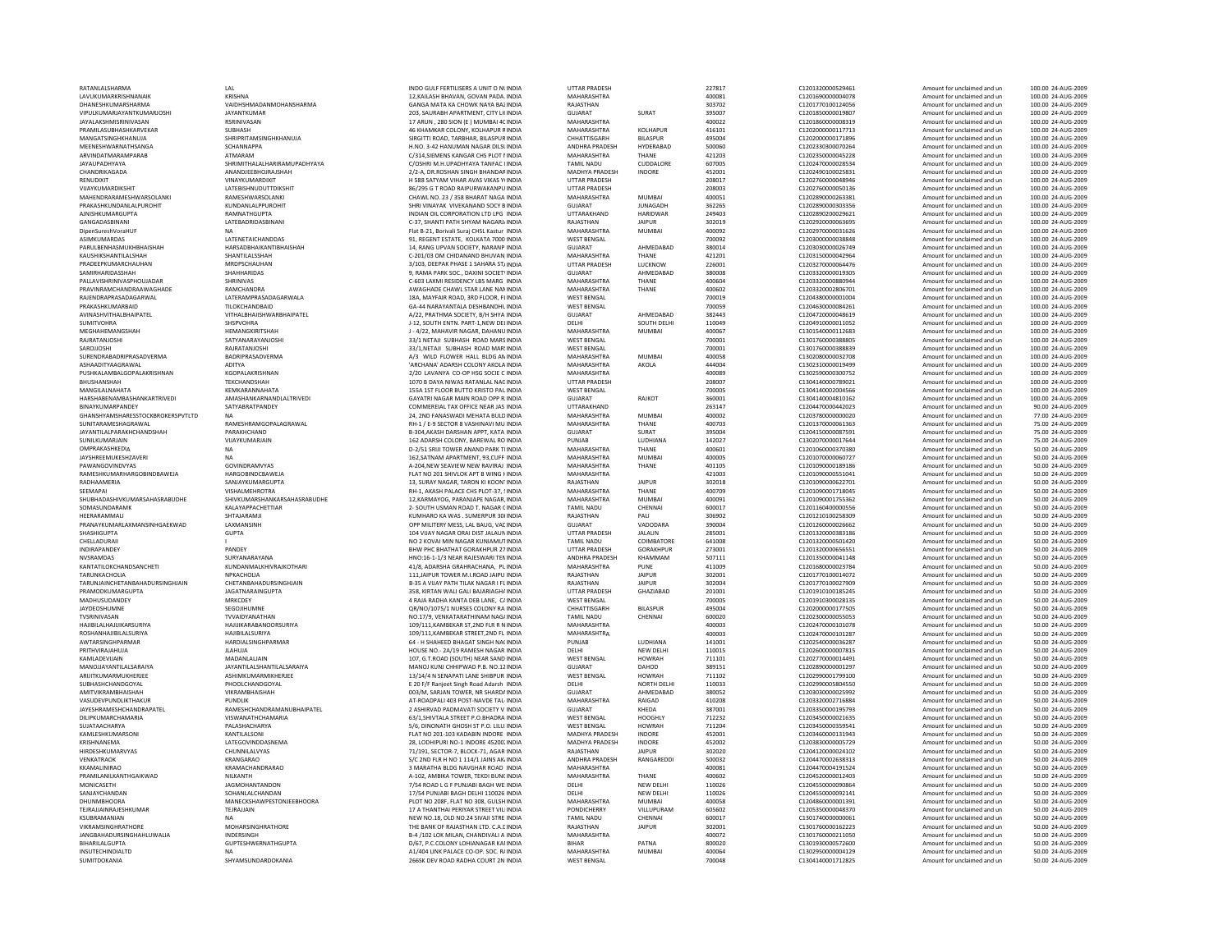| RATANLALSHARMA                         | LAL                                 | INDO GULF FERTILISERS A UNIT O NUNDIA                                         | <b>UTTAR PRADESH</b>              |                  | 227817           | C1201320000529461                      | Amount for unclaimed and un                                | 100.00 24-AUG-2009                                          |
|----------------------------------------|-------------------------------------|-------------------------------------------------------------------------------|-----------------------------------|------------------|------------------|----------------------------------------|------------------------------------------------------------|-------------------------------------------------------------|
| LAVUKUMARKRISHNANAIK                   | KRISHNA                             | 12.KAILASH BHAVAN, GOVAN PADA, INDIA                                          | MAHARASHTRA                       |                  | 400081           | C1201690000004078                      | Amount for unclaimed and un                                | 100.00 24-AUG-2009                                          |
| DHANESHKUMARSHARMA                     | VAIDHSHMADANMOHANSHARMA             | GANGA MATA KA CHOWK NAYA BAZINDIA                                             | RAJASTHAN                         |                  | 303702           | C1201770100124056                      | Amount for unclaimed and un                                | 100.00 24-AUG-2009                                          |
| VIPULKUMARJAYANTKUMARJOSHI             | <b>JAYANTKUMAR</b>                  | 203, SAURABH APARTMENT, CITY LI(INDIA                                         | GUJARAT                           | SURAT            | 395007           | C1201850000019807                      | Amount for unclaimed and un                                | 100.00 24-AUG-2009                                          |
| JAYALAKSHMISRINIVASAN                  | RSRINIVASAN                         | 17 ARUN . 280 SION (E ) MUMBAI 40 INDIA                                       | MAHARASHTRA                       |                  | 400022           | C1201860000008319                      | Amount for unclaimed and un                                | 100.00 24-AUG-2009                                          |
| PRAMILASUBHASHKARVEKAR                 | SUBHASH                             | 46 KHAMKAR COLONY, KOLHAPUR RINDIA                                            | MAHARASHTRA                       | KOLHAPUR         | 416101           | C1202000000117713                      | Amount for unclaimed and un                                | 100.00 24-AUG-2009                                          |
| MANGATSINGHKHANUJA                     | SHRIPRITAMSINGHKHANUJA              | SIRGITTI ROAD, TARBHAR, BILASPUR INDIA                                        | CHHATTISGARH                      | <b>BILASPUR</b>  | 495004           | C1202000000171896                      | Amount for unclaimed and un                                | 100.00 24-AUG-2009                                          |
| MEENESHWARNATHSANGA                    | SCHANNAPPA                          | H.NO. 3-42 HANUMAN NAGAR DILSUNDIA                                            | ANDHRA PRADESH                    | HYDERABAD        | 500060           | C1202330300070264                      | Amount for unclaimed and un                                | 100.00 24-AUG-2009                                          |
| ARVINDATMARAMPARAB                     | ATMARAM                             | C/314.SIEMENS KANGAR CHS PLOT I INDIA                                         | MAHARASHTRA                       | THANE            | 421203           | C1202350000045228                      | Amount for unclaimed and un                                | 100.00 24-AUG-2009                                          |
| JAYAUPADHYAYA                          | SHRIMITHALALHARIRAMUPADHYAYA        | C/OSHRI M.H.UPADHYAYA TANFAC I INDIA                                          | <b>TAMIL NADU</b>                 | CUDDALORE        | 607005           | C1202470000028534                      | Amount for unclaimed and un                                | 100.00 24-AUG-2009                                          |
| CHANDRIKAGADA                          | <b>ANANDIFFRHOIRAISHAH</b>          | 2/2-A. DR ROSHAN SINGH BHANDARINDIA                                           | <b>MADHYA PRADESH</b>             | <b>INDORE</b>    | 452001           | C1202490100025831                      | Amount for unclaimed and un                                | 100.00 24-AUG-2009                                          |
| RENUDIXIT                              | VINAYKUMARDIXIT                     | H 588 SATYAM VIHAR AVAS VIKAS YIINDIA                                         | <b>UTTAR PRADESH</b>              |                  | 208017           | C1202760000048946                      | Amount for unclaimed and un                                | 100.00 24-AUG-2009                                          |
| VUAYKUMARDIKSHIT                       | <b>LATEBISHNUDUTTDIKSHIT</b>        | 86/295 G T ROAD RAIPURWAKANPU INDIA                                           | <b>UTTAR PRADESH</b>              |                  | 208003           | C1202760000050136                      | Amount for unclaimed and un                                | 100.00 24-AUG-2009                                          |
| MAHENDRARAMESHWARSOLANKI               | RAMESHWARSOLANKI                    | CHAWL NO. 23 / 358 BHARAT NAGA INDIA                                          | MAHARASHTRA                       | <b>MUMBAI</b>    | 400051           | C1202890000263381                      | Amount for unclaimed and un                                | 100.00 24-AUG-2009                                          |
| PRAKASHKUNDANI AI PUROHIT              | KUNDANI AI PPUROHIT                 | SHRI VINAYAK VIVEKANAND SOCY BINDIA                                           | GUIARAT                           | <b>IUNAGADH</b>  | 362265           | C1202890000303356                      | Amount for unclaimed and un                                | 100.00 24-AUG-2009                                          |
|                                        |                                     |                                                                               |                                   |                  |                  |                                        |                                                            |                                                             |
| AJNISHKUMARGUPTA                       | RAMNATHGUPTA                        | INDIAN OIL CORPORATION LTD LPG INDIA                                          | UTTARAKHAND                       | <b>HARIDWAR</b>  | 249403           | C1202890200029621                      | Amount for unclaimed and un                                | 100.00 24-AUG-2009                                          |
| GANGADASBINAN                          | LATEBADRIDASBINANI                  | C-37, SHANTI PATH SHYAM NAGARJ/INDIA                                          | RAJASTHAN                         | <b>JAIPUR</b>    | 302019           | C1202920000063695                      | Amount for unclaimed and un                                | 100.00 24-AUG-2009                                          |
| DipenSureshVoraHUF                     | <b>NA</b>                           | Flat B-21, Borivali Suraj CHSL Kastur INDIA                                   | MAHARASHTRA                       | MUMBAI           | 400092           | C1202970000031626                      | Amount for unclaimed and un                                | 100.00 24-AUG-2009                                          |
| ASIMKUMARDAS                           | LATENETAICHANDDAS                   | 91, REGENT ESTATE. KOLKATA 7000 INDIA                                         | <b>WEST BENGAL</b>                |                  | 700092           | C1203000000038848                      | Amount for unclaimed and un                                | 100.00 24-AUG-2009                                          |
| PARULBENHASMUKHBHAISHAH                | HARSADBHAIKANTIBHAISHAH             | 14, RANG UPVAN SOCIETY, NARANP INDIA                                          | GUJARAT                           | AHMEDABAD        | 380014           | C1203030000026749                      | Amount for unclaimed and un                                | 100.00 24-AUG-2009                                          |
| KAUSHIKSHANTILALSHAH                   | SHANTILALSSHAH                      | C-201/03 OM CHIDANAND BHUVAN INDIA                                            | MAHARASHTRA                       | THANE            | 421201           | C1203150000042964                      | Amount for unclaimed and un                                | 100.00 24-AUG-2009                                          |
| PRADEEPKUMARCHAUHAN                    | MRDPSCHAUHAN                        | 3/103. DEEPAK PHASE 1 SAHARA ST/INDIA                                         | <b>UTTAR PRADESH</b>              | LUCKNOW          | 226001           | C1203270000064476                      | Amount for unclaimed and un                                | 100.00 24-AUG-2009                                          |
| SAMIRHARIDASSHAH                       | SHAHHARIDAS                         | 9. RAMA PARK SOC., DAXINI SOCIETYINDIA                                        | <b>GUJARAT</b>                    | AHMEDABAD        | 380008           | C1203320000019305                      | Amount for unclaimed and un                                | 100.00 24-AUG-2009                                          |
| PALLAVISHRINIVASPHOUJADAR              | SHRINIVAS                           | C-603 LAXMI RESIDENCY LBS MARG INDIA                                          | MAHARASHTRA                       | THANE            | 400604           | C1203320000880944                      | Amount for unclaimed and un                                | 100.00 24-AUG-2009                                          |
| PRAVINRAMCHANDRAAWAGHADE               | RAMCHANDRA                          | AWAGHADE CHAWL STAR LANE NAMINDIA                                             | MAHARASHTRA                       | THANE            | 400602           | C1203320002806701                      | Amount for unclaimed and un                                | 100.00 24-AUG-2009                                          |
| RAJENDRAPRASADAGARWAL                  | LATERAMPRASADAGARWALA               | 18A, MAYFAIR ROAD, 3RD FLOOR, FLINDIA                                         | <b>WEST BENGAL</b>                |                  | 700019           | C1204380000001004                      | Amount for unclaimed and un                                | 100.00 24-AUG-2009                                          |
| PRAKASHKUMARBAID                       | TII OKCHANDRAID                     | GA-44 NARAYANTALA DESHBANDHL INDIA                                            | WEST BENGAL                       |                  | 700059           | C1204630000084261                      | Amount for unclaimed and un                                | 100.00 24-AUG-2009                                          |
| AVINASHVITHALBHAIPATEL                 | <b>VITHALBHAIISHWARBHAIPATEL</b>    | A/22, PRATHMA SOCIETY, B/H SHYA INDIA                                         | GUJARAT                           | AHMEDABAD        | 382443           | C1204720000048619                      | Amount for unclaimed and un                                | 100.00 24-AUG-2009                                          |
| <b>SUMITVOHRA</b>                      | <b>SHSPVOHRA</b>                    | <b>I-12, SOUTH ENTN, PART-1 NEW DELINDIA</b>                                  | <b>DELHI</b>                      | SOUTH DELHI      | 110049           | C1204910000011052                      | Amount for unclaimed and un                                | 100.00 24-AUG-2009                                          |
| MEGHAHEMANGSHAH                        | HEMANGKIRITSHAH                     | J - 4/22, MAHAVIR NAGAR, DAHANU INDIA                                         | MAHARASHTRA                       | MUMBAI           | 400067           | C1301540000112683                      | Amount for unclaimed and un                                | 100.00 24-AUG-2009                                          |
| RAJRATANJOSH                           | SATYANARAYANJOSH                    | 33/1 NETAJI SUBHASH ROAD MARSINDIA                                            | <b>WEST BENGAL</b>                |                  | 700001           | C1301760000388805                      | Amount for unclaimed and un                                | 100.00 24-AUG-2009                                          |
|                                        |                                     |                                                                               |                                   |                  |                  |                                        |                                                            |                                                             |
| SAROJJOSHI<br>SURENDRABADRIPRASADVERMA | RAJRATANJOSHI                       | 33/1.NETAJI SUBHASH ROAD MAR'INDIA                                            | <b>WEST BENGAL</b>                |                  | 700001           | C1301760000388839                      | Amount for unclaimed and un                                | 100.00 24-AUG-2009                                          |
|                                        | BADRIPRASADVERMA                    | A/3 WILD FLOWER HALL BLDG AN INDIA                                            | MAHARASHTRA                       | MUMRAI           | 400058           | C1302080000032708                      | Amount for unclaimed and un                                | 100.00 24-AUG-2009                                          |
| ASHAADITYAAGRAWAL                      | <b>ADITYA</b>                       | 'ARCHANA' ADARSH COLONY AKOLA INDIA                                           | MAHARASHTRA                       | AKOLA            | 444004           | C1302310000019499                      | Amount for unclaimed and un                                | 100.00 24-AUG-2009                                          |
| PUSHKALAMBALGOPALAKRISHNAN             | KGOPALAKRISHNAN                     | 2/20 LAVANYA CO-OP HSG SOCIE C INDIA                                          | MAHARASHTRA                       |                  | 400089           | C1302590000300752                      | Amount for unclaimed and un                                | 100.00 24-AUG-2009                                          |
| BHUSHANSHAH                            | TEKCHANDSHAH                        | 1070 B DAYA NIWAS RATANLAL NACINDIA                                           | <b>UTTAR PRADESH</b>              |                  | 208007           | C1304140000789021                      | Amount for unclaimed and un                                | 100.00 24-AUG-2009                                          |
| MANGILALNAHATA                         | KEMKARANNAHATA                      | 155A 1ST FLOOR BUTTO KRISTO PAL INDIA                                         | <b>WEST BENGAL</b>                |                  | 700005           | C1304140002004566                      | Amount for unclaimed and un                                | 100.00 24-AUG-2009                                          |
| HARSHABENAMBASHANKARTRIVEDI            | AMASHANKARNANDLALTRIVEDI            | GAYATRI NAGAR MAIN ROAD OPP R INDIA                                           | GUIARAT                           | RAJKOT           | 360001           | C1304140004810162                      | Amount for unclaimed and un                                | 100.00 24-AUG-2009                                          |
| <b>RINAYKUMARPANDEY</b>                | SATYARRATPANDEY                     | COMMEREIAL TAX OFFICE NEAR JAS INDIA                                          | <b>UTTARAKHAND</b>                |                  | 263147           | C1204470000442023                      | Amount for unclaimed and un                                | 90.00 24-AUG-2009                                           |
| GHANSHYAMSHARESSTOCKBROKERSPVTLTD      |                                     | 24. 2ND FANASWADI MEHATA BULD INDIA                                           | MAHARASHTRA                       | <b>MUMBA</b>     | 400002           | C1203780000000020                      | Amount for unclaimed and un                                | 77.00 24-AUG-2009                                           |
| SUNITARAMESHAGRAWAL                    | RAMESHRAMGOPALAGRAWAL               | RH-1 / E-9 SECTOR 8 VASHINAVI MU INDIA                                        | MAHARASHTRA                       | THANE            | 400703           | C1201370000061363                      | Amount for unclaimed and un                                | 75.00 24-AUG-2009                                           |
| <b>JAYANTILAI PARAKHCHANDSHAH</b>      | PARAKHCHAND                         | B-304 AKASH DARSHAN APPT, KATA INDIA                                          | GUIARAT                           | SURAT            | 395004           | C1204150000087591                      | Amount for unclaimed and un                                | 75.00.24-AUG-2009                                           |
| SUNILKUMARJAIN                         | VIJAYKUMARJAIN                      | 162 ADARSH COLONY, BAREWAL RO INDIA                                           | PUNJAB                            | LUDHIANA         | 142027           | C1302070000017644                      | Amount for unclaimed and un                                | 75.00 24-AUG-2009                                           |
| OMPRAKASHKEDIA                         | <b>NA</b>                           |                                                                               | MAHARASHTRA                       |                  | 400601           | C1201060000370380                      |                                                            | 50.00 24-AUG-2009                                           |
|                                        |                                     | D-2/51 SRIJI TOWER ANAND PARK THNDIA                                          |                                   | THANE            |                  |                                        | Amount for unclaimed and un                                |                                                             |
| JAYSHREEMUKESHZAVERI                   | <b>NA</b>                           | 162.SATNAM APARTMENT, 93.CUFF INDIA                                           | MAHARASHTRA                       | MUMBAI           | 400005           | C1201070000060727                      | Amount for unclaimed and un                                | 50.00 24-AUG-2009                                           |
| PAWANGOVINDVYAS                        | GOVINDRAMVYAS                       | A-204.NEW SEAVIEW NEW RAVIRAJ INDIA                                           | MAHARASHTRA                       | THANE            | 401105           | C1201090000189186                      | Amount for unclaimed and un                                | 50.00 24-AUG-2009                                           |
| RAMESHKUMARHARGOBINDBAWEJA             | HARGOBINDCBAWEJA                    | FLAT NO 201 SHIVLOK APT B WING I INDIA                                        | MAHARASHTRA                       |                  | 421003           | C1201090000551041                      | Amount for unclaimed and un                                | 50.00 24-AUG-2009                                           |
| RADHAAMERIA                            | SANJAYKUMARGUPTA                    | 13, SURAY NAGAR, TARON KI KOONTINDIA                                          | RAJASTHAN                         | <b>JAIPUR</b>    | 302018           | C1201090000622701                      | Amount for unclaimed and un                                | 50.00 24-AUG-2009                                           |
| SEEMAPAI                               | VISHALMEHROTRA                      | RH-1, AKASH PALACE CHS PLOT-37, SINDIA                                        | MAHARASHTRA                       | THANE            | 400709           | C1201090001718045                      | Amount for unclaimed and un                                | 50.00 24-AUG-2009                                           |
| SHUBHADASHIVKUMARSAHASRABUDHE          | SHIVKUMARSHANKARSAHASRABUDHE        | 12.KARMAYOG, PARANJAPE NAGAR, INDIA                                           | MAHARASHTRA                       | <b>MUMBA</b>     | 400091           | C1201090001755362                      | Amount for unclaimed and un                                | 50.00 24-AUG-2009                                           |
| SOMASUNDARAMK                          | KALAYAPPACHETTIAR                   | 2- SOUTH USMAN ROAD T. NAGAR CINDIA                                           | <b>TAMIL NADU</b>                 | CHENNAI          | 600017           | C1201160400000556                      | Amount for unclaimed and un                                | 50.00 24-AUG-2009                                           |
| <b>HEFRARAMMALI</b>                    | SHTAJARAMJI                         | KUMHARO KA WAS, SUMERPUR 30(INDIA                                             | RAJASTHAN                         | PALL             | 306902           | C1201210100258309                      | Amount for unclaimed and un                                | 50.00 24-AUG-2009                                           |
| PRANAYKUMARLAXMANSINHGAEKWAD           | LAXMANSINH                          | OPP MILITERY MESS, LAL BAUG, VAC INDIA                                        | GUJARAT                           | VADODARA         | 390004           | C1201260000026662                      | Amount for unclaimed and un                                | 50.00 24-AUG-2009                                           |
| <b>SHASHIGUPTA</b>                     | <b>GUPTA</b>                        | 104 VUAY NAGAR ORAI DIST JALAUN INDIA                                         | <b>UTTAR PRADESH</b>              | <b>JALAUN</b>    | 285001           | C1201320000383186                      | Amount for unclaimed and un                                | 50.00 24-AUG-2009                                           |
| CHELLADURAII                           |                                     | NO 2 KOVAI MIN NAGAR KUNIAMUTINDIA                                            | <b>TAMIL NADU</b>                 | COIMBATORE       | 641008           | C1201320000501420                      | Amount for unclaimed and un                                | 50.00 24-AUG-2009                                           |
| INDIRAPANDEY                           | <b>PANDEY</b>                       | <b>RHW PHC RHATHAT GORAKHPUR 27 INDIA</b>                                     | <b>UTTAR PRADESH</b>              | <b>GORAKHPUR</b> | 273001           | C1201320000656551                      | Amount for unclaimed and un                                | 50.00 24-AUG-2009                                           |
| NVSRAMDAS                              | SURYANARAYANA                       | HNO:16-1-1/3 NEAR RAJESWARI TEN INDIA                                         | ANDHRA PRADESH                    | KHAMMAM          | 507111           | C1201350000041148                      | Amount for unclaimed and un                                | 50.00 24-AUG-2009                                           |
| KANTATILOKCHANDSANCHETI                | KUNDANMALKHIVRAJKOTHARI             | 41/8, ADARSHA GRAHRACHANA, PUINDIA                                            | MAHARASHTRA                       | PUNE             | 411009           | C1201680000023784                      | Amount for unclaimed and un                                | 50.00 24-AUG-2009                                           |
| TARUNKACHOLIA                          | NPKACHOLIA                          |                                                                               | RAJASTHAN                         | <b>JAIPUR</b>    | 302001           | C1201770100014072                      |                                                            | 50.00 24-AUG-2009                                           |
|                                        |                                     | 111, JAIPUR TOWER M.I.ROAD JAIPU INDIA                                        |                                   |                  |                  |                                        | Amount for unclaimed and un                                |                                                             |
| <b>TARUNIAINCHFTANRAHADURSINGHIAIN</b> | CHETANRAHADURSINGHIAIN              | <b>B-35 A VIIAY PATH TILAK NAGAR LELINDIA</b>                                 | RAIASTHAN                         | <b>JAIPUR</b>    | 302004           | C1201770100027909                      | Amount for unclaimed and un                                | 50.00 24-AUG-2009                                           |
| PRAMODKUMARGUPTA                       | <b>IAGATNARAINGUPTA</b>             | 358. KIRTAN WALI GALI BAJARIAGHA INDIA                                        | <b>UTTAR PRADESH</b>              | GHAZIABAD        | 201001           | C1201910100185245                      | Amount for unclaimed and un                                | 50.00 24-AUG-2009                                           |
| MADHUSUDANDEY                          | MRKCDEY                             | 4 RAJA RADHA KANTA DEB LANE, C/ INDIA                                         | <b>WEST BENGAL</b>                |                  | 700005           | C1201910300028135                      | Amount for unclaimed and un                                | 50.00 24-AUG-2009                                           |
| JAYDEOSHUMNE                           | SEGOJIHUMNE                         | OR/NO/1075/1 NURSES COLONY RA INDIA                                           | CHHATTISGARH                      | <b>BILASPUR</b>  | 495004           | C1202000000177505                      | Amount for unclaimed and un                                | 50.00 24-AUG-2009                                           |
| TVSRINIVASAN                           | TVVAIDYANATHAN                      | NO.17/9, VENKATARATHINAM NAG/INDIA                                            | <b>TAMIL NADU</b>                 | CHENNAI          | 600020           | C1202300000055053                      | Amount for unclaimed and un                                | 50.00 24-AUG-2009                                           |
| HAIIRII AI HAIIIIKARSURIYA             | <b>HAIIIKARARANOORSURIYA</b>        | 109/111.KAMBEKAR ST.2ND FLR R N INDIA                                         | MAHARASHTRA                       |                  | 400003           | C1202470000101078                      | Amount for unclaimed and un                                | 50.00 24-AUG-2009                                           |
| <b>ROSHANHAJIBILALSURIYA</b>           | HAJIBILALSURIYA                     | 109/111.KAMBEKAR STREET.2ND FL INDIA                                          | MAHARASHTRA                       |                  | 400003           | C1202470000101287                      | Amount for unclaimed and un                                | 50.00 24-AUG-2009                                           |
| AWTARSINGHPARMAR                       | HARDIALSINGHPARMAR                  | 64 - H SHAHEED BHAGAT SINGH NACINDIA                                          | PUNJAB                            | LUDHIANA         | 141001           | C1202540000036287                      | Amount for unclaimed and un                                | 50.00 24-AUG-2009                                           |
| PRITHVIRAJAHUJA                        | <b>JLAHUJA</b>                      | HOUSE NO.- 2A/19 RAMESH NAGAR INDIA                                           | DELHI                             | NEW DELHI        | 110015           | C1202600000007815                      | Amount for unclaimed and un                                | 50.00 24-AUG-2009                                           |
| KAMLADEVIJAIN                          | MADANLALJAIN                        | 107. G.T.ROAD (SOUTH) NEAR SAND INDIA                                         | <b>WEST BENGAL</b>                | <b>HOWRAH</b>    | 711101           | C1202770000014491                      | Amount for unclaimed and un                                | 50.00 24-AUG-2009                                           |
| MANO IIAYANTII AI SARAIYA              | <b>JAYANTILAI SHANTILAI SARAIYA</b> | MANOJ KUNJ CHHIPWAD P.B. NO.12 INDIA                                          | GUIARAT                           | DAHOD            | 389151           | C1202890000001297                      | Amount for unclaimed and un                                | 50.00 24-AUG-2009                                           |
| ARIJITKUMARMUKHERJEE                   | ASHIMKUMARMIKHERJEE                 | 13/14/4 N SENAPATI LANE SHIBPUR INDIA                                         | <b>WEST BENGAL</b>                | HOWRAH           | 711102           | C1202990001799100                      | Amount for unclaimed and un                                | 50.00 24-AUG-2009                                           |
| SUBHASHCHANDGOYAL                      | PHOOLCHANDGOYAL                     | E 20 F/F Ranjeet Singh Road Adarsh INDIA                                      | DELHI                             | NORTH DELHI      | 110033           | C1202990005804550                      | Amount for unclaimed and un                                | 50.00 24-AUG-2009                                           |
| AMITVIKRAMBHAISHAH                     | VIKRAMBHAISHAH                      | 003/M. SARJAN TOWER, NR SHARDA INDIA                                          | <b>GUJARAT</b>                    | AHMEDABAD        | 380052           | C1203030000025992                      | Amount for unclaimed and un                                | 50.00 24-AUG-2009                                           |
| <b>VASUDEVPUNDLIKTHAKUR</b>            | <b>PUNDUK</b>                       | AT-ROADPALL403 POST-NAVDE TAL-INDIA                                           | MAHARASHTRA                       | RAIGAD           | 410208           | C1203320002716884                      | Amount for unclaimed and un                                | 50.00 24-AUG-2009                                           |
| JAYESHRAMESHCHANDRAPATEL               | RAMESHCHANDRAMANUBHAIPATEL          |                                                                               | <b>GUJARAT</b>                    | KHEDA            | 387001           | C1203350000195793                      |                                                            | 50.00 24-AUG-2009                                           |
|                                        |                                     | 2 ASHIRVAD PADMAVATI SOCIETY V INDIA                                          |                                   |                  |                  |                                        | Amount for unclaimed and un                                |                                                             |
| DILIPKUMARCHAMARIA                     | VISWANATHCHAMARIA                   | 63/1, SHIVTALA STREET P.O. BHADRA INDIA                                       | <b>WEST BENGAL</b>                | <b>HOOGHLY</b>   | 712232           | C1203450000021635                      | Amount for unclaimed and un                                | 50.00 24-AUG-2009                                           |
| SUJATAACHARYA                          | PALASHACHARYA                       | 5/6, DINONATH GHOSH ST P.O. LILU, INDIA                                       | <b>WEST BENGAL</b>                | <b>HOWRAH</b>    | 711204           | C1203450000359541                      | Amount for unclaimed and un                                | 50.00 24-AUG-2009                                           |
| KAMLESHKUMARSONI                       | KANTILALSONI                        | FLAT NO 201-103 KADABIN INDORE INDIA                                          | MADHYA PRADESH                    | <b>INDORE</b>    | 452001           | C1203460000131943                      | Amount for unclaimed and un                                | 50.00 24-AUG-2009                                           |
| KRISHNANFMA                            | LATEGOVINDDASNEMA                   | 28. LODHIPURI NO-1 INDORE 45200, INDIA                                        | MADHYA PRADESH                    | <b>INDORF</b>    | 452002           | C1203830000005729                      | Amount for unclaimed and un                                | 50.00 24-AUG-2009                                           |
| HIRDESHKUMARVYAS                       | CHUNNILALVYAS                       | 71/191, SECTOR-7, BLOCK-71, AGAR INDIA                                        | RAJASTHAN                         | <b>JAIPUR</b>    | 302020           | C1204120000024102                      | Amount for unclaimed and un                                | 50.00 24-AUG-2009                                           |
| VENKATRAOK                             | KRANGARAO                           | S/C 2ND FLR H NO 1 114/1 JAINS AK INDIA                                       | ANDHRA PRADESH                    | RANGAREDD        | 500032           | C1204470002638313                      | Amount for unclaimed and un                                | 50.00 24-AUG-2009                                           |
| KKAMALINIRAO                           | KRAMACHANDRARAO                     | 3 MARATHA BLDG NAVGHAR ROAD INDIA                                             | MAHARASHTRA                       |                  | 400081           | C1204470004191524                      | Amount for unclaimed and un                                | 50.00 24-AUG-2009                                           |
| PRAMILANILKANTHGAIKWAD                 | <b>NII KANTH</b>                    | A-102. AMRIKA TOWER, TEKDI BUNCINDIA                                          | MAHARASHTRA                       | THANF            | 400602           | C1204520000012403                      | Amount for unclaimed and un                                | 50.00 24-AUG-2009                                           |
| MONICASETH                             | <b>JAGMOHANTANDON</b>               | 7/54 ROAD L G F PUNJABI BAGH WE INDIA                                         | DELHI                             | <b>NEW DELHI</b> | 110026           | C1204550000090864                      | Amount for unclaimed and un                                | 50.00 24-AUG-2009                                           |
| SANJAYCHANDAN                          | SOHANLALCHANDAN                     | 17/54 PUNJABI BAGH DELHI 110026 INDIA                                         | DELHI                             | NEW DELHI        | 110026           | C1204550000092141                      | Amount for unclaimed and un                                | 50.00 24-AUG-2009                                           |
| <b>DHUNMBHOORA</b>                     | MANECKSHAWPESTONJEEBHOORA           | PLOT NO 208F, FLAT NO 308, GULSH INDIA                                        | MAHARASHTRA                       | <b>MUMBAI</b>    | 400058           | C1204860000001391                      | Amount for unclaimed and un                                | 50.00 24-AUG-2009                                           |
| TEIRAIIAINRAIFSHKUMAR                  | TEJRAJJAIN                          | 17 A THANTHAI PERIYAR STREET VILLINDIA                                        | <b>PONDICHERRY</b>                | VILLUPURAM       | 605602           | C1205350000048370                      | Amount for unclaimed and un                                | 50.00 24-AUG-2009                                           |
| KSURRAMANIAN                           | <b>NA</b>                           | NEW NO.18, OLD NO.24 SIVAJI STRE INDIA                                        | <b>TAMIL NADU</b>                 | CHENNAI          | 600017           | C1301740000000061                      | Amount for unclaimed and un                                | 50.00 24-AUG-2009                                           |
| VIKRAMSINGHRATHORE                     |                                     |                                                                               |                                   |                  | 302001           | C1301760000162223                      | Amount for unclaimed and un                                | 50.00 24-AUG-2009                                           |
|                                        |                                     |                                                                               |                                   |                  |                  |                                        |                                                            |                                                             |
|                                        | MOHARSINGHRATHORE                   | THE BANK OF RAJASTHAN LTD. C.A.L INDIA                                        | RAJASTHAN                         | <b>JAIPUR</b>    |                  |                                        |                                                            |                                                             |
| <b>JANGBAHADURSINGHAHLUWALIA</b>       | INDERSINGH                          | B-4 /102 LOK MILAN, CHANDIVALI A INDIA                                        | <b>MAHARASHTRA</b>                |                  | 400072           | C1301760000211050                      | Amount for unclaimed and un                                | 50.00 24-AUG-2009                                           |
| <b>BIHARII AI GUPTA</b>                | <b>GUPTESHWERNATHGUPTA</b>          | D/67, P.C.COLONY LOHIANAGAR KAI INDIA                                         | <b>BIHAR</b>                      | PATNA            | 800020           | C1301930000572600                      | Amount for unclaimed and un                                |                                                             |
| INSUTECHINDIALTD<br>SUMITDOKANIA       | <b>NA</b><br>SHYAMSUNDARDOKANIA     | A1/404 LINK PALACE CO-OP, SOC, R/INDIA<br>266SK DEV ROAD RADHA COURT 2N INDIA | MAHARASHTRA<br><b>WEST BENGAL</b> | MUMBAI           | 400064<br>700048 | C1302950000004129<br>C1304140001712825 | Amount for unclaimed and un<br>Amount for unclaimed and un | 50.00 24-AUG-2009<br>50.00 24-AUG-2009<br>50.00 24-AUG-2009 |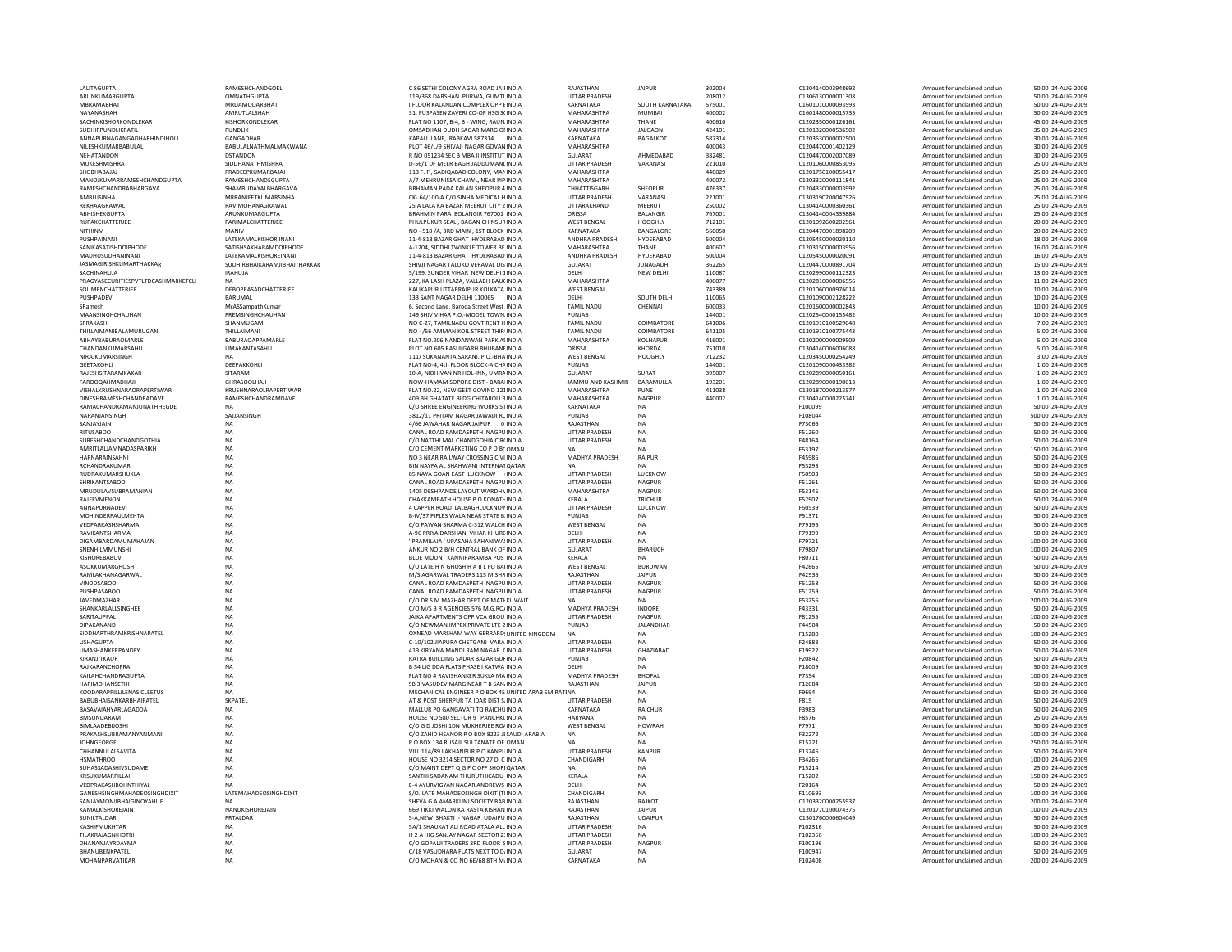| LALITAGUPTA                         | RAMESHCHANDGOEL                | C 86 SETHI COLONY AGRA ROAD JAII INDIA               | RAJASTHAN                | <b>JAIPUR</b>    | 302004 | C1304140003948692 | Amount for unclaimed and ur | 50.00 24-AUG-2009  |
|-------------------------------------|--------------------------------|------------------------------------------------------|--------------------------|------------------|--------|-------------------|-----------------------------|--------------------|
| ARUNKUMARGUPTA                      | OMNATHGUPTA                    | 119/368 DARSHAN PURWA, GUMTI INDIA                   |                          |                  | 208012 | C1306130000001308 |                             | 50.00 24-AUG-2009  |
|                                     |                                |                                                      | UTTAR PRADESH            |                  |        |                   | Amount for unclaimed and un |                    |
| MBRAMABHAT                          | MRDAMODARBHAT                  | I FLOOR KALANDAN COMPLEX OPP EINDIA                  | KARNATAKA                | SOUTH KARNATAKA  | 575001 | C1601010000093593 | Amount for unclaimed and un | 50.00 24-AUG-2009  |
| NAYANASHAH                          | AMRUTI AI SHAH                 | 31. PUSPASEN ZAVERLCO-OP HSG SCINDIA                 | MAHARASHTRA              | MUMBAI           | 400002 | C1601480000015735 | Amount for unclaimed and un | 50.00 24-AUG-2009  |
| SACHINKISHORKONDLEKAR               | KISHORKONDLEKAR                | FLAT NO 1107, B-4, B - WING, RAUN. INDIA             | MAHARASHTRA              | THANE            | 400610 | C1202350000126161 | Amount for unclaimed and un | 45.00 24-AUG-2009  |
| SUDHIRPUNDLIKPATIL                  | PUNDLIK                        | OMSADHAN DUDH SAGAR MARG OF INDIA                    | <b>MAHARASHTRA</b>       | <b>JALGAON</b>   | 424101 | C1201320000536502 | Amount for unclaimed and ur | 35.00 24-AUG-2009  |
| ANNAPURNAGANGADHARHINDIHOLI         | GANGADHAR                      | KAPALI LANE, RABKAVI 587314 INDIA                    | KARNATAKA                | BAGALKOT         | 587314 | C1203530000002500 | Amount for unclaimed and un | 30.00 24-AUG-2009  |
| NII FSHKUMARRARULAL                 | <b>BARULAI NATHMAI MAKWANA</b> | PLOT 46/L/9 SHIVAILNAGAR GOVAN INDIA                 | MAHARASHTRA              |                  | 400043 | C1204470001402129 | Amount for unclaimed and un | 30.00 24-AUG-2009  |
|                                     |                                |                                                      |                          |                  |        |                   |                             |                    |
| NEHATANDON                          | <b>DSTANDON</b>                | R NO 051234 SEC B MBA II INSTITUT INDIA              | GUIARAT                  | AHMFDARAD        | 382481 | C1204470002007089 | Amount for unclaimed and un | 30.00 24-AUG-2009  |
| MUKESHMISHRA                        | SIDDHANATHMISHRA               | D-56/1 DF MEER BAGH JADDUMANI INDIA                  | UTTAR PRADESH            | VARANASI         | 221010 | C1201060000853095 | Amount for unclaimed and un | 25.00 24-AUG-2009  |
| SHOBHABAJAJ                         | PRADEEPKUMARBAJAJ              | 113 F. F., SADIOABAD COLONY, MAN INDIA               | <b>MAHARASHTRA</b>       |                  | 440029 | C1201750100055417 | Amount for unclaimed and un | 25.00 24-AUG-2009  |
| MANOJKUMARRAMESHCHANDGUPTA          | RAMESHCHANDSGUPTA              | A/7 MEHRUNISSA CHAWL, NEAR PIP INDIA                 | MAHARASHTRA              |                  | 400072 | C1203320000111841 | Amount for unclaimed and un | 25.00 24-AUG-2009  |
| RAMESHCHANDRARHARGAVA               | SHAMRUDAYAI BHARGAVA           | BRHAMAN PADA KALAN SHEOPUR 4 INDIA                   | CHHATTISGARH             | SHEOPUR          | 476337 | C1204330000003992 | Amount for unclaimed and un | 25.00.24-AUG-2009  |
|                                     |                                |                                                      |                          |                  |        |                   |                             |                    |
| AMBUJSINHA                          | MRRANJEETKUMARSINHA            | CK-64/100-A C/O SINHA MEDICAL HINDIA                 | <b>UTTAR PRADESH</b>     | VARANASI         | 221001 | C1303190200047526 | Amount for unclaimed and un | 25.00 24-AUG-2009  |
| REKHAAGRAWAL                        | RAVIMOHANAGRAWAL               | 25 A LALA KA BAZAR MEERUT CITY 2 INDIA               | UTTARAKHAND              | MEERUT           | 250002 | C1304140000360361 | Amount for unclaimed and un | 25.00 24-AUG-2009  |
| ABHISHEKGUPTA                       | ARUNKUMARGUPTA                 | BRAHMIN PARA BOLANGIR 767001 INDIA                   | ORISSA                   | <b>BALANGIR</b>  | 767001 | C1304140004339884 | Amount for unclaimed and un | 25.00 24-AUG-2009  |
| <b>RUPAKCHATTERJEE</b>              | PARIMALCHATTERJEE              | PHULPUKUR SEAL, BAGAN CHINSUR INDIA                  | WEST BENGAL              | HOOGHI Y         | 712101 | C1201092600202561 | Amount for unclaimed and un | 20.00.24-AUG-2009  |
|                                     |                                |                                                      |                          |                  |        |                   |                             |                    |
| NITHINM                             | MANIV                          | NO - 518 /A, 3RD MAIN, 1ST BLOCK INDIA               | KARNATAKA                | BANGALORE        | 560050 | C1204470001898209 | Amount for unclaimed and un | 20.00 24-AUG-2009  |
| PUSHPAINAN                          | LATEKAMALKISHORIINANI          | 11-4-813 BAZAR GHAT .HYDERABAD INDIA                 | ANDHRA PRADESH           | HYDERABAD        | 500004 | C1205450000020110 | Amount for unclaimed and un | 18.00 24-AUG-2009  |
| SANIKASATISHDOIPHODE                | SATISHSAKHARAMDOIPHODE         | A-1204. SIDDHI TWINKLE TOWER BE INDIA                | MAHARASHTRA              | THANE            | 400607 | C1203150000003956 | Amount for unclaimed and un | 16.00 24-AUG-2009  |
| MADHUSUDHANINANI                    | <b>I ATEKAMAI KISHOREINANI</b> | 11-4-813 BAZAR GHAT .HYDERABAD INDIA                 | ANDHRA PRADESH           | HYDERABAD        | 500004 | C1205450000020091 | Amount for unclaimed and un | 16.00 24-AUG-2009  |
| <b>IASMAGIRISHKUMARTHAKKAR</b>      | SUDHIRBHAIKARAMJIBHAITHAKKAR   | SHIVJI NAGAR TALUKO VERAVAL DIS INDIA                | GUIARAT                  | <b>IUNAGADH</b>  | 362265 | C1204470000891704 | Amount for unclaimed and un | 15.00.24-AUG-2009  |
|                                     |                                |                                                      |                          |                  |        |                   |                             |                    |
| SACHINAHUIA                         | <b>IRAHUJA</b>                 | 5/199, SUNDER VIHAR NEW DELHI 1INDIA                 | <b>DELHI</b>             | NEW DELHI        | 110087 | C1202990000112323 | Amount for unclaimed and un | 13.00 24-AUG-2009  |
| PRAGYASECURITIESPVTLTDCASHMARKETCLI |                                | 227, KAILASH PLAZA, VALLABH BAUCINDIA                | MAHARASHTRA              |                  | 400077 | C1202810000006556 | Amount for unclaimed and ur | 11.00 24-AUG-2009  |
| SOUMENCHATTERJEE                    | DEBOPRASADCHATTERJEE           | KALIKAPUR UTTARRAIPUR KOLKATA INDIA                  | WEST BENGAL              |                  | 743389 | C1201060000976014 | Amount for unclaimed and un | 10.00 24-AUG-2009  |
| PUSHPADEVI                          | BARUMAL                        | 133 SANT NAGAR DELHI 110065 INDIA                    | DELHI                    | SOUTH DELHI      | 110065 | C1201090002128222 | Amount for unclaimed and un | 10.00 24-AUG-2009  |
| SRamesh                             | MrASSampathKumar               | 6, Second Lane, Baroda Street West INDIA             | <b>TAMIL NADU</b>        | CHENNAL          | 600033 | C1201600000002843 | Amount for unclaimed and un | 10.00 24-AUG-2009  |
|                                     |                                |                                                      |                          |                  |        |                   |                             |                    |
| MAANSINGHCHAUHAN                    | PREMSINGHCHAUHAN               | 149 SHIV VIHAR P.O.-MODEL TOWN. INDIA                | PUNJAB                   |                  | 144001 | C1202540000155482 | Amount for unclaimed and un | 10.00 24-AUG-2009  |
| SPRAKASH                            | SHANMUGAM                      | NO C-27, TAMILNADU GOVT RENT H INDIA                 | <b>TAMIL NADU</b>        | COIMBATORE       | 641006 | C1201910100529048 | Amount for unclaimed and ur | 7.00 24-AUG-2009   |
| THILLAIMANIBALAMURUGAN              | THILLAIMANI                    | NO - /56 AMMAN KOIL STREET THIRI INDIA               | <b>TAMIL NADU</b>        | COIMBATORE       | 641105 | C1201910100775443 | Amount for unclaimed and un | 5.00 24-AUG-2009   |
| <b>ARHAYRARURAOMARLE</b>            | <b>BARURAOAPPAMARLE</b>        | FLAT NO.206 NANDANWAN PARK ASINDIA                   | MAHARASHTRA              | <b>KOLHAPLIR</b> | 416001 | C1202000000009509 | Amount for unclaimed and un | 5.00 24-AUG-2009   |
|                                     |                                |                                                      |                          |                  |        |                   |                             |                    |
| CHANDANKUMARSAHU                    | UMAKANTASAHU                   | PLOT NO 605 RASULGARH BHUBANE INDIA                  | ORISSA                   | KHORDA           | 751010 | C1304140006006088 | Amount for unclaimed and un | 5.00 24-AUG-2009   |
| NIRAJKUMARSINGH                     |                                | 111/ SUKANANTA SARANI, P.O.-BHA INDIA                | <b>WEST BENGAL</b>       | HOOGHLY          | 712232 | C1203450000254249 | Amount for unclaimed and un | 3.00 24-AUG-2009   |
| <b>GEETAKOHLI</b>                   | DEEPAKKOHLI                    | FLAT NO-4, 4th FLOOR BLOCK-A CHAINDIA                | PUNJAB                   |                  | 144001 | C1201090000433382 | Amount for unclaimed and un | 1.00 24-AUG-2009   |
| RAJESHSITARAMKAKAR                  | SITARAM                        | 10-A. NIDHIVAN NR HOL-INN, UMRAINDIA                 | <b>GUJARAT</b>           | SURAT            | 395007 | C1202890000050161 | Amount for unclaimed and un | 1.00 24-AUG-2009   |
| <b>FAROOOAHMADHAII</b>              | GHRASOOLHAIL                   | NOW-HAMAM SOPORE DIST - BARALINDIA                   | <b>JAMMU AND KASHMIR</b> | <b>BARAMULLA</b> | 193201 | C1202890000190613 | Amount for unclaimed and un | 1.00 24-AUG-2009   |
|                                     |                                |                                                      |                          |                  |        |                   |                             |                    |
| VISHALKRUSHNARAORAPERTIWAR          | KRUSHNARAOLRAPERTIWAR          | FLAT NO.22, NEW GEET GOVIND 121INDIA                 | MAHARASHTRA              | PUNE             | 411038 | C1301870000213577 | Amount for unclaimed and ur | 1.00 24-AUG-2009   |
| DINESHRAMESHCHANDRADAVE             | RAMESHCHANDRAMDAVE             | 409 BH GHATATE BLDG CHITAROLI BINDIA                 | <b>MAHARASHTRA</b>       | <b>NAGPUR</b>    | 440002 | C1304140000225741 | Amount for unclaimed and un | 1.00 24-AUG-2009   |
| RAMACHANDRAMANJUNATHHEGDE           | <b>NA</b>                      | C/O SHREE ENGINEERING WORKS SILINDIA                 | KARNATAKA                | <b>NA</b>        |        | F100099           | Amount for unclaimed and un | 50.00 24-AUG-2009  |
| NARANIANSINGH                       | SAIIANSINGH                    | 3812/11 PRITAM NAGAR JAWADI RC INDIA                 | PUNJAR                   | <b>NA</b>        |        | F108044           | Amount for unclaimed and un | 500.00 24-AUG-2009 |
| SANJAYJAIN                          | <b>NA</b>                      | 4/66 JAWAHAR NAGAR JAIPUR 0 INDIA                    | RAJASTHAN                | <b>NA</b>        |        | F73066            | Amount for unclaimed and un | 50.00 24-AUG-2009  |
|                                     |                                |                                                      |                          |                  |        |                   |                             |                    |
| <b>RITUSABOO</b>                    | NA                             | CANAL ROAD RAMDASPETH NAGPUINDIA                     | <b>UTTAR PRADESH</b>     | NA               |        | F51260            | Amount for unclaimed and un | 50.00 24-AUG-2009  |
| SURESHCHANDCHANDGOTHIA              | NA                             | C/O NATTHI MAL CHANDGOHIA CIR(INDIA                  | <b>UTTAR PRADESH</b>     | <b>NA</b>        |        | F48164            | Amount for unclaimed and un | 50.00 24-AUG-2009  |
| AMRITLALJAMNADASPARIKH              | NA                             | C/O CEMENT MARKETING CO P O BCOMAN                   | NA                       | <b>NA</b>        |        | F53197            | Amount for unclaimed and un | 150.00 24-AUG-2009 |
| HARNARAINSAHNI                      | <b>NA</b>                      | NO 3 NEAR RAILWAY CROSSING CIVI INDIA                | <b>MADHYA PRADESH</b>    | RAIPUR           |        | <b>F45985</b>     | Amount for unclaimed and un | 50.00 24-AUG-2009  |
| RCHANDRAKUMAR                       | <b>NA</b>                      | BIN NAYFA AL SHAHWANI INTERNAT QATAR                 | NA                       | <b>NA</b>        |        | F53293            |                             | 50.00 24-AUG-2009  |
|                                     |                                |                                                      |                          |                  |        |                   | Amount for unclaimed and un |                    |
| RUDRAKUMARSHUKLA                    | <b>NA</b>                      | 85 NAYA GOAN EAST LUCKNOW INDIA                      | <b>UTTAR PRADESH</b>     | LUCKNOW          |        | F50503            | Amount for unclaimed and un | 50.00 24-AUG-2009  |
| <b>SHRIKANTSABOO</b>                | NA                             | CANAL ROAD RAMDASPETH NAGPUINDIA                     | UTTAR PRADESH            | <b>NAGPUR</b>    |        | F51261            | Amount for unclaimed and un | 50.00 24-AUG-2009  |
| MRUDULAVSUBRAMANIAN                 | <b>NA</b>                      | 1405 DESHPANDE LAYOUT WARDHN INDIA                   | MAHARASHTRA              | <b>NAGPUR</b>    |        | F53145            | Amount for unclaimed and un | 50.00 24-AUG-2009  |
| RAJEEVMENON                         | NA                             | CHAKKAMBATH HOUSE P O KONATH INDIA                   | <b>KFRAIA</b>            | TRICHUR          |        | F52907            | Amount for unclaimed and un | 50.00 24-AUG-2009  |
|                                     |                                |                                                      | <b>UTTAR PRADESH</b>     |                  |        |                   |                             | 50.00 24-AUG-2009  |
| ANNAPURNADEVI                       | NA                             | 4 CAPPER ROAD LALBAGHLUCKNOV INDIA                   |                          | LUCKNOW          |        | F50539            | Amount for unclaimed and un |                    |
| MOHINDERPAULMEHTA                   | NA                             | B-IV/37 PIPLES WALA NEAR STATE B. INDIA              | PUNJAB                   | <b>NA</b>        |        | F51371            | Amount for unclaimed and un | 50.00 24-AUG-2009  |
| VEDPARKASHSHARMA                    | <b>NA</b>                      | C/O PAWAN SHARMA C-312 WALCH INDIA                   | <b>WEST BENGAL</b>       | <b>NA</b>        |        | F79196            | Amount for unclaimed and un | 50.00 24-AUG-2009  |
| RAVIKANTSHARMA                      | <b>NA</b>                      | A-96 PRIYA DARSHANI VIHAR KHURE INDIA                | DELHI                    | <b>NA</b>        |        | F79199            | Amount for unclaimed and un | 50.00 24-AUG-2009  |
| DIGAMBARDAMUMAHAJAN                 | NA                             | ' PRAMILAJA ' UPASAHA SAHANIWA' INDIA                | <b>UTTAR PRADESH</b>     | <b>NA</b>        |        | F79721            | Amount for unclaimed and un | 100.00 24-AUG-2009 |
|                                     |                                |                                                      |                          |                  |        |                   |                             |                    |
| SNENHILMMUNSHI                      | NA                             | ANKUR NO 2 B/H CENTRAL BANK OF INDIA                 | <b>GUJARAT</b>           | <b>BHARUCH</b>   |        | F79807            | Amount for unclaimed and un | 100.00 24-AUG-2009 |
| KISHORFRARUV                        | NA                             | BLUE MOUNT KANNIPARAMBA POS' INDIA                   | <b>KFRALA</b>            | <b>NA</b>        |        | F80711            | Amount for unclaimed and un | 50.00 24-AUG-2009  |
| <b>ASOKKUMARGHOSH</b>               | <b>NA</b>                      | C/O LATE H N GHOSH H A B L PO BAI INDIA              | <b>WEST BENGAL</b>       | <b>BURDWAN</b>   |        | F42665            | Amount for unclaimed and un | 50.00 24-AUG-2009  |
| RAMI AKHANAGARWAI                   | <b>NA</b>                      | M/S AGARWAI TRADERS 115 MISHR INDIA                  | RAIASTHAN                | <b>IAIPUR</b>    |        | F42936            | Amount for unclaimed and un | 50.00 24-AUG-2009  |
|                                     |                                |                                                      |                          |                  |        |                   |                             |                    |
| <b>VINODSABOO</b>                   | NA                             | CANAL ROAD RAMDASPETH NAGPUINDIA                     | UTTAR PRADESH            | <b>NAGPUR</b>    |        | F51258            | Amount for unclaimed and ur | 50.00 24-AUG-2009  |
| PUSHPASABOC                         | <b>NA</b>                      | CANAL ROAD RAMDASPETH NAGPUINDIA                     | <b>UTTAR PRADESH</b>     | <b>NAGPUR</b>    |        | F51259            | Amount for unclaimed and un | 50.00 24-AUG-2009  |
| JAVEDMAZHAR                         | <b>NA</b>                      | C/O DR S M MAZHAR DEPT OF MATI KUWAIT                | NA                       | <b>NA</b>        |        | F53256            | Amount for unclaimed and un | 200.00 24-AUG-2009 |
| SHANKARI ALL SINGHEE                | <b>NA</b>                      | C/O M/S B R AGENCIES 576 M G ROJINDIA                | <b>MADHYA PRADESH</b>    | <b>INDORF</b>    |        | F43331            | Amount for unclaimed and un | 50.00 24-AUG-2009  |
| SARITAUPPAL                         | <b>NA</b>                      | JAIKA APARTMENTS OPP VCA GROU INDIA                  | UTTAR PRADESH            | NAGPUR           |        | F81255            | Amount for unclaimed and un | 100.00 24-AUG-2009 |
| DIPAKANANE                          | <b>NA</b>                      | C/O NEWMAN IMPEX PRIVATE LTE 2 INDIA                 | PUNJAB                   | <b>JALANDHAR</b> |        | F44504            | Amount for unclaimed and un | 50.00 24-AUG-2009  |
|                                     |                                |                                                      |                          |                  |        |                   |                             |                    |
| SIDDHARTHRAMKRISHNAPATEL            | NA                             | OXNEAD MARSHAM WAY GERRARD! UNITED KINGDOM           | <b>NA</b>                | <b>NA</b>        |        | F15280            | Amount for unclaimed and un | 100.00 24-AUG-2009 |
| <b>USHAGUPTA</b>                    | <b>NA</b>                      | C-10/102 HAPURA CHETGANI VARA INDIA                  | <b>UTTAR PRADESH</b>     | <b>NA</b>        |        | F24883            | Amount for unclaimed and un | 50.00 24-AUG-2009  |
| <b>UMASHANKERPANDEY</b>             | <b>NA</b>                      | 419 KIRYANA MANDI RAM NAGAR CINDIA                   | <b>UTTAR PRADESH</b>     | <b>GHAZIARAD</b> |        | F19922            | Amount for unclaimed and un | 50.00 24-AUG-2009  |
| KIRANJITKAUR                        | <b>NA</b>                      | RATRA BUILDING SADAR BAZAR GUF INDIA                 | PUNJAR                   | <b>NA</b>        |        | F20842            | Amount for unclaimed and un | 50.00 24-AUG-2009  |
| RAJKARANCHOPRA                      | <b>NA</b>                      | B 54 LIG DDA FLATS PHASE I KATWA INDIA               | DELHI                    | <b>NA</b>        |        | F18009            | Amount for unclaimed and un | 50.00 24-AUG-2009  |
|                                     |                                |                                                      |                          |                  |        |                   |                             |                    |
| KAILAHCHANDRAGUPTA                  | NA                             | FLAT NO 4 RAVISHANKER SUKLA MA INDIA                 | MADHYA PRADESH           | <b>BHOPAL</b>    |        | F7354             | Amount for unclaimed and un | 100.00 24-AUG-2009 |
| HARIMOHANSETHI                      | <b>NA</b>                      | SB 3 VASUDEV MARG NEAR T B SAN INDIA                 | RAJASTHAN                | <b>IAIPUR</b>    |        | F12084            | Amount for unclaimed and un | 50.00 24-AUG-2009  |
| KOODARAPPILLILENASICLEETUS          | <b>NA</b>                      | MECHANICAL ENGINEER P O BOX 45 UNITED ARAB EMIRATINA |                          | <b>NA</b>        |        | F9694             | Amount for unclaimed and un | 50.00 24-AUG-2009  |
| BABUBHAISANKARBHAIPATEL             | SKPATEL                        | AT & POST SHERPUR TA IDAR DIST S/INDIA               | <b>UTTAR PRADESH</b>     | <b>NA</b>        |        | F815              | Amount for unclaimed and un | 50.00 24-AUG-2009  |
| <b>BASAVAIAHYARLAGADDA</b>          | NA                             | MALLUR PO GANGAVATI TQ RAICHU INDIA                  | KARNATAKA                | RAICHUR          |        | F3983             | Amount for unclaimed and un | 50.00 24-AUG-2009  |
|                                     |                                |                                                      |                          |                  |        |                   |                             |                    |
| <b>BMSUNDARAM</b>                   | <b>NA</b>                      | HOUSE NO 580 SECTOR 9 PANCHKLINDIA                   | HARYANA                  | <b>NA</b>        |        | F8576             | Amount for unclaimed and un | 25.00 24-AUG-2009  |
| <b>BIMI AADEBIJOSHI</b>             | <b>NA</b>                      | C/O G D JOSHI 1DN MUKHERJEE RO/ INDIA                | <b>WEST BENGAL</b>       | <b>HOWRAH</b>    |        | F7971             | Amount for unclaimed and un | 50.00 24-AUG-2009  |
| PRAKASHSUBRAMANYANMANI              | NA                             | C/O ZAHID HEANOR P O BOX 8223 JI SAUDI ARABIA        | <b>NA</b>                | <b>NA</b>        |        | F32272            | Amount for unclaimed and un | 100.00 24-AUG-2009 |
| JOHNGEORGE                          | NA                             | P O BOX 134 RUSAIL SULTANATE OF OMAN                 | NA                       | NA               |        | F15221            | Amount for unclaimed and un | 250.00 24-AUG-2009 |
| CHHANNULALSAVITA                    | <b>NA</b>                      | VILL 114/89 LAKHANPUR P O KANPU INDIA                | <b>UTTAR PRADESH</b>     | KANPUR           |        | F13246            | Amount for unclaimed and un | 50.00 24-AUG-2009  |
|                                     |                                |                                                      |                          |                  |        |                   |                             |                    |
| <b>HSMATHROO</b>                    | <b>NA</b>                      | HOUSE NO 3214 SECTOR NO 27 D C INDIA                 | CHANDIGARH               | <b>NA</b>        |        | F34266            | Amount for unclaimed and un | 100.00 24-AUG-2009 |
| SUHASSADASHIVSUDAME                 | <b>NA</b>                      | C/O MAINT DEPT O G P C OFF SHORI OATAR               | <b>NA</b>                | <b>NA</b>        |        | F15214            | Amount for unclaimed and un | 25.00 24-AUG-2009  |
| KRSUKUMARPILLAI                     | NA                             | SANTHI SADANAM THURUTHICADU INDIA                    | KERALA                   | NA               |        | F15202            | Amount for unclaimed and ur | 150.00 24-AUG-2009 |
| VEDPRAKASHBOHNTHIYA                 | <b>NA</b>                      | E-4 AYURVIGYAN NAGAR ANDREWS INDIA                   | DELHI                    | <b>NA</b>        |        | F20164            | Amount for unclaimed and un | 50.00 24-AUG-2009  |
| GANESHSINGHMAHADEOSINGHDIXIT        | LATEMAHADEOSINGHDIXIT          | S/O. LATE MAHADEOSINGH DIXIT (THNDIA                 | CHANDIGARH               | <b>NA</b>        |        | F110693           | Amount for unclaimed and un | 100.00 24-AUG-2009 |
|                                     |                                |                                                      |                          |                  |        |                   |                             |                    |
| SANJAYMONJIRHAIGINOYAHUF            | <b>NA</b>                      | SHEVA G A AMARKUNI SOCIETY BAB INDIA                 | RAIASTHAN                | <b>RAIKOT</b>    |        | C1203320000255937 | Amount for unclaimed and un | 200.00 24-AUG-2009 |
| KAMALKISHOREJAIN                    | NANDKISHOREJAIN                | 669 TIKKI WALON KA RASTA KISHAN INDIA                | RAJASTHAN                | <b>IAIPUR</b>    |        | C1201770100074375 | Amount for unclaimed and un | 100.00 24-AUG-2009 |
| SUNILTALDAR                         |                                |                                                      | RAJASTHAN                | <b>UDAIPUR</b>   |        | C1301760000604049 | Amount for unclaimed and un | 50.00 24-AUG-2009  |
|                                     | PRTALDAR                       | 5-A.NEW SHAKTI - NAGAR UDAIPU INDIA                  |                          |                  |        |                   |                             |                    |
|                                     |                                |                                                      |                          |                  |        |                   |                             |                    |
| KASHIFMUKHTAR                       | <b>NA</b>                      | 5A/1 SHAUKAT ALI ROAD ATALA ALL INDIA                | <b>UTTAR PRADESH</b>     | <b>NA</b>        |        | F102316           | Amount for unclaimed and un | 50.00 24-AUG-2009  |
| <b>TILAKRAIAGNIHOTRI</b>            | <b>NA</b>                      | H 2 A HIG SANIAY NAGAR SECTOR 2: INDIA               | <b>UTTAR PRADESH</b>     | <b>NA</b>        |        | F102356           | Amount for unclaimed and un | 100.00 24-AUG-2009 |
| DHANANIAYRDAYMA                     | <b>NA</b>                      | C/O GOPALII TRADERS 3RD FLOOR SINDIA                 | <b>UTTAR PRADESH</b>     | <b>NAGPUR</b>    |        | F100196           | Amount for unclaimed and un | 50.00 24-AUG-2009  |
| BHANUBENKPATEL                      | NA                             | C/18 VASUDHARA FLATS NEXT TO D/ INDIA                | GUIARAT                  | <b>NA</b>        |        | F100947           | Amount for unclaimed and un | 50.00 24-AUG-2009  |
| MOHANPARVATIKAR                     | <b>NA</b>                      | C/O MOHAN & CO NO 6E/68 8TH M/ INDIA                 | KARNATAKA                | <b>NA</b>        |        | F102408           | Amount for unclaimed and un | 200.00 24-AUG-2009 |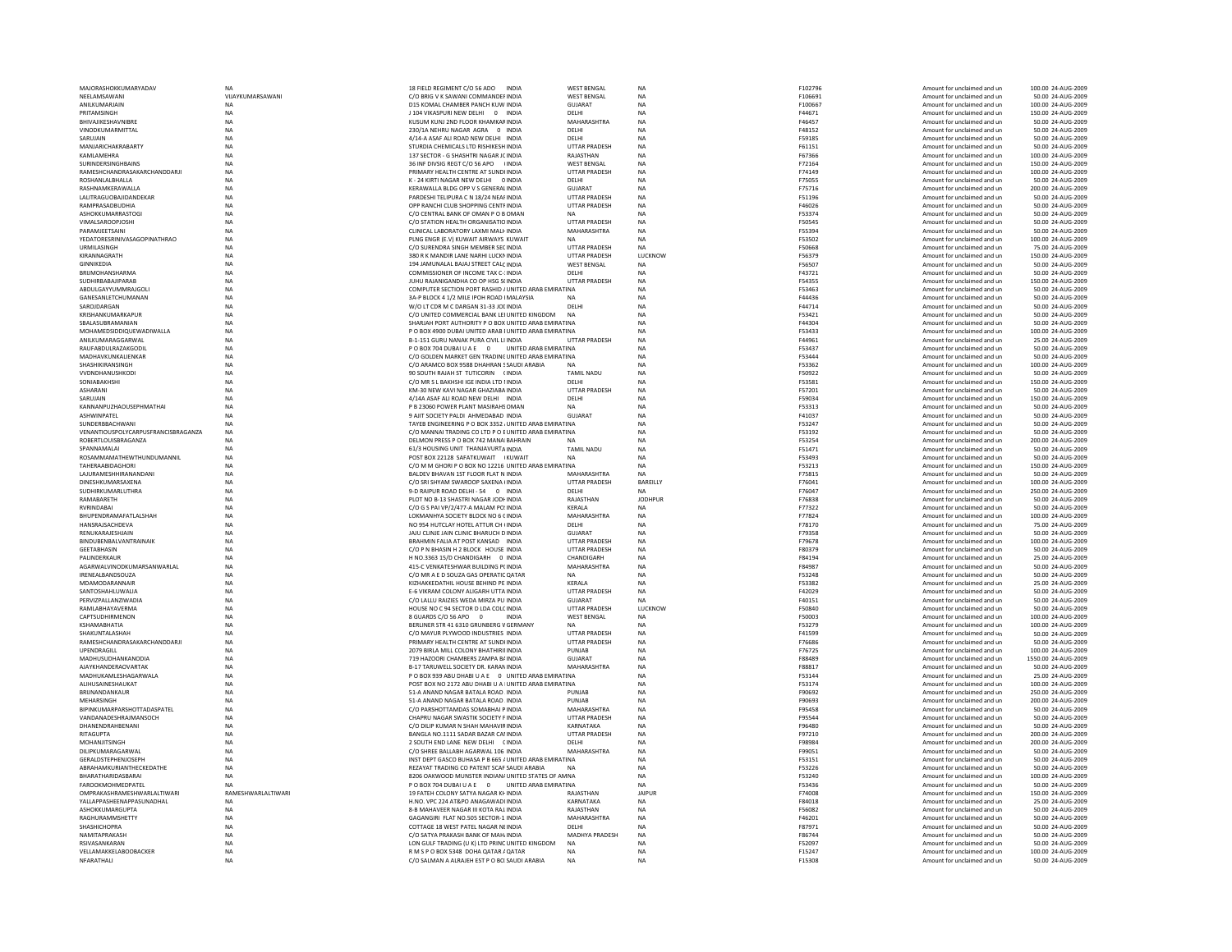| MAJORASHOKKUMARYADAV                |                   | 18 FIELD REGIMENT C/O 56 ADO<br><b>INDIA</b>           | <b>WEST BENGAL</b>    | <b>NA</b>      | F102796       | Amount for unclaimed and un | 100.00 24-AUG-2009  |
|-------------------------------------|-------------------|--------------------------------------------------------|-----------------------|----------------|---------------|-----------------------------|---------------------|
| <b>NFFI AMSAWANI</b>                | VIIAYKUMARSAWANI  | C/O BRIG V K SAWANI COMMANDEFINDIA                     | <b>WEST BENGAL</b>    | <b>NA</b>      | F106691       | Amount for unclaimed and un | 50.00 24-AUG-2009   |
| <b>ANII KUMARIAIN</b>               | <b>NA</b>         | D15 KOMAL CHAMBER PANCH KUW INDIA                      | GUIARAT               | <b>NA</b>      | F100667       | Amount for unclaimed and un | 100.00 24-AUG-2009  |
| PRITAMSINGH                         | NA                | J 104 VIKASPURI NEW DELHI 0 INDIA                      | DELHI                 | NA             | F44671        | Amount for unclaimed and un | 150.00 24-AUG-2009  |
| BHIVAJIKESHAVNIBRE                  | <b>NA</b>         | KUSUM KUNJ 2ND FLOOR KHAMKAFINDIA                      | <b>MAHARASHTRA</b>    | <b>NA</b>      | F46457        | Amount for unclaimed and un | 50.00 24-AUG-2009   |
| VINODKUMARMITTAL                    | NA                | 230/1A NEHRU NAGAR AGRA 0 INDIA                        | DELHI                 | NA             | F48152        | Amount for unclaimed and un | 50.00 24-AUG-2009   |
| SARUJAIN                            | <b>NA</b>         | 4/14-A ASAF ALLROAD NEW DELHI INDIA                    | DFI HI                | <b>NA</b>      | F59185        | Amount for unclaimed and un | 50.00 24-AUG-2009   |
| MANJARICHAKRABARTY                  | <b>NA</b>         | STURDIA CHEMICALS LTD RISHIKESH INDIA                  | <b>UTTAR PRADESH</b>  | <b>NA</b>      | F61151        | Amount for unclaimed and un | 50.00 24-AUG-2009   |
| KAMLAMEHRA                          | <b>NA</b>         | 137 SECTOR - G SHASHTRI NAGAR JC INDIA                 | RAJASTHAN             | NA             | F67366        | Amount for unclaimed and un | 100.00 24-AUG-2009  |
| SURINDERSINGHBAINS                  | <b>NA</b>         | 36 INF DIVSIG REGT C/O 56 APO INDIA                    | <b>WEST BENGAL</b>    | NA             | F72164        | Amount for unclaimed and un | 150.00 24-AUG-2009  |
| RAMESHCHANDRASAKARCHANDDARJI        | <b>NA</b>         | PRIMARY HEALTH CENTRE AT SUNDHNDIA                     | <b>UTTAR PRADESH</b>  | <b>NA</b>      | F74149        | Amount for unclaimed and un | 100.00 24-AUG-2009  |
| ROSHANLALBHALLA                     | <b>NA</b>         | K - 24 KIRTI NAGAR NEW DELHI 0 INDIA                   | DELHI                 | <b>NA</b>      | F75055        | Amount for unclaimed and un | 50.00 24-AUG-2009   |
| RASHNAMKERAWALLA                    | <b>NA</b>         | KERAWALLA BLDG OPP V S GENERAL INDIA                   | GUJARAT               | <b>NA</b>      | F75716        | Amount for unclaimed and un | 200.00 24-AUG-2009  |
| LALITRAGUOBAJIDANDEKAR              | NA                | PARDESHI TELIPURA C N 18/24 NEAFINDIA                  | <b>UTTAR PRADESH</b>  | <b>NA</b>      | F51196        | Amount for unclaimed and un | 50.00 24-AUG-2009   |
| RAMPRASADBUDHIA                     | <b>NA</b>         | OPP RANCHI CLUB SHOPPING CENTFINDIA                    | UTTAR PRADESH         | <b>NA</b>      | F46026        | Amount for unclaimed and un | 50.00 24-AUG-2009   |
| ASHOKKUMARRASTOG                    | <b>NA</b>         | C/O CENTRAL BANK OF OMAN P O B OMAN                    | <b>NA</b>             | <b>NA</b>      | F53374        | Amount for unclaimed and un | 50.00 24-AUG-2009   |
| VIMALSAROOPJOSHI                    | <b>NA</b>         | C/O STATION HEALTH ORGANISATIO INDIA                   | <b>UTTAR PRADESH</b>  | NA             | F50545        | Amount for unclaimed and un | 50.00 24-AUG-2009   |
| PARAMJEETSAINI                      | <b>NA</b>         | CLINICAL LABORATORY LAXMI MALH INDIA                   | MAHARASHTRA           | <b>NA</b>      | F55394        | Amount for unclaimed and un | 50.00 24-AUG-2009   |
| YEDATORESRINIVASAGOPINATHRAO        | NA                | PLNG ENGR (E.V) KUWAIT AIRWAYS KUWAIT                  |                       | NA             | F53502        | Amount for unclaimed and un | 100.00 24-AUG-2009  |
| URMILASINGH                         | <b>NA</b>         | C/O SURENDRA SINGH MEMBER SECINDIA                     | UTTAR PRADESH         | <b>NA</b>      | F50668        | Amount for unclaimed and un | 75.00 24-AUG-2009   |
| KIRANNAGRATH                        | <b>NA</b>         | 380 R K MANDIR LANE NARHI LUCKNINDIA                   | <b>UTTAR PRADESH</b>  | LUCKNOW        | F56379        | Amount for unclaimed and un | 150.00 24-AUG-2009  |
| GINNIKEDIA                          | <b>NA</b>         | 194 JAMUNALAL BAJAJ STREET CALC INDIA                  | <b>WEST BENGAL</b>    | <b>NA</b>      | F56507        | Amount for unclaimed and un | 50.00 24-AUG-2009   |
| BRIJMOHANSHARMA                     | NA                | COMMISSIONER OF INCOME TAX C-: INDIA                   | DELHI                 | NA             | F43721        | Amount for unclaimed and un | 50.00 24-AUG-2009   |
| SUDHIRBABAJIPARAE                   | <b>NA</b>         | JUHU RAJANIGANDHA CO OP HSG S(INDIA                    | <b>UTTAR PRADESH</b>  | <b>NA</b>      | F54355        | Amount for unclaimed and un | 150.00 24-AUG-2009  |
| ABDULGAYYUMMRAJGOL                  | <b>NA</b>         | COMPUTER SECTION PORT RASHID / UNITED ARAB EMIRATINA   |                       | <b>NA</b>      | F53463        | Amount for unclaimed and un | 50.00 24-AUG-2009   |
| GANESANLETCHUMANAN                  | <b>NA</b>         | 3A-P BLOCK 4 1/2 MILE IPOH ROAD I MALAYSIA             | <b>NA</b>             | <b>NA</b>      | F44436        | Amount for unclaimed and un | 50.00 24-AUG-2009   |
| SAROJDARGAN                         | NA                | W/O LT CDR M C DARGAN 31-33 JOI INDIA                  | DELH                  | <b>NA</b>      | F44714        | Amount for unclaimed and un | 50.00 24-AUG-2009   |
| KRISHANKUMARKAPUF                   | <b>NA</b>         | C/O UNITED COMMERCIAL BANK LEI UNITED KINGDOM          | <b>NA</b>             | <b>NA</b>      | F53421        | Amount for unclaimed and un | 50.00 24-AUG-2009   |
| SBALASUBRAMANIAN                    | <b>NA</b>         | SHARJAH PORT AUTHORITY P O BOX UNITED ARAB EMIRATINA   |                       | <b>NA</b>      | F44304        | Amount for unclaimed and un | 50.00 24-AUG-2009   |
| <b>MOHAMEDSIDDIOUEWADIWALLA</b>     | <b>NA</b>         | P O BOX 4900 DUBALUNITED ARAB LUNITED ARAB EMIRATINA   |                       | <b>NA</b>      | F53433        | Amount for unclaimed and un | 100.00 24-AUG-2009  |
| ANILKUMARAGGARWAL                   | <b>NA</b>         | B-1-151 GURU NANAK PURA CIVIL LI INDIA                 | <b>UTTAR PRADESH</b>  | <b>NA</b>      | F44961        | Amount for unclaimed and un | 25.00 24-AUG-2009   |
| RAUFABDULRAZAKGODII                 | NA                | PO BOX 704 DUBAI U A E 0<br>UNITED ARAB EMIRATINA      |                       | NA             | F53437        | Amount for unclaimed and un | 50.00 24-AUG-2009   |
| MADHAVKUNKALIENKAR                  | <b>NA</b>         | C/O GOLDEN MARKET GEN TRADINC UNITED ARAB EMIRATINA    |                       | <b>NA</b>      | F53444        | Amount for unclaimed and un | 50.00 24-AUG-2009   |
| SHASHIKIRANSINGH                    | NA                | C/O ARAMCO BOX 9588 DHAHRAN SSAUDI ARABIA              | NA                    | NA             | F53362        | Amount for unclaimed and un | 100.00 24-AUG-2009  |
| VVDNDHANUSHKODI                     | <b>NA</b>         | 90 SOUTH RAIAH ST TUTICORIN (INDIA                     | <b>TAMIL NADU</b>     | <b>NA</b>      | F50922        | Amount for unclaimed and un | 50.00 24-AUG-2009   |
| SONIABAKHSHI                        | NA                | C/O MR S L BAKHSHI IGE INDIA LTD I INDIA               | DELHI                 | <b>NA</b>      | F53581        | Amount for unclaimed and un | 150.00 24-AUG-2009  |
| <b>ASHARAN</b>                      | <b>NA</b>         | KM-30 NEW KAVI NAGAR GHAZIABA INDIA                    | UTTAR PRADESH         | <b>NA</b>      | F57201        | Amount for unclaimed and un | 50.00 24-AUG-2009   |
| SARUJAIN                            | <b>NA</b>         | 4/14A ASAF ALI ROAD NEW DELHI INDIA                    | DELHI                 | NA             | F59034        | Amount for unclaimed and un | 150.00 24-AUG-2009  |
| KANNANPUZHAOUSEPHMATHAI             | <b>NA</b>         | P B 23060 POWER PLANT MASIRAHS OMAN                    | <b>NA</b>             | <b>NA</b>      | F53313        | Amount for unclaimed and un | 50.00 24-AUG-2009   |
| <b>ASHWINPATEL</b>                  | <b>NA</b>         | 9 AJIT SOCIETY PALDI AHMEDABAD INDIA                   | <b>GUJARAT</b>        | <b>NA</b>      | F41037        | Amount for unclaimed and un | 50.00 24-AUG-2009   |
| SUNDERBBACHWAN                      | <b>NA</b>         | TAYEB ENGINEERING P O BOX 3352 / UNITED ARAB EMIRATINA |                       | <b>NA</b>      | F53247        | Amount for unclaimed and un | 50.00 24-AUG-2009   |
| VENANTIOUSPOLYCARPUSFRANCISBRAGANZA | <b>NA</b>         | C/O MANNAI TRADING CO LTD P O EUNITED ARAB EMIRATINA   |                       | <b>NA</b>      | F53192        | Amount for unclaimed and un | 50.00 24-AUG-2009   |
| <b>ROBERTLOUISBRAGANZA</b>          | <b>NA</b>         | DELMON PRESS P O BOX 742 MANAI BAHRAIN                 | <b>NA</b>             | <b>NA</b>      | F53254        | Amount for unclaimed and un | 200.00 24-AUG-2009  |
| SPANNAMALAI                         | <b>NA</b>         | 61/3 HOUSING UNIT THANJAVURTA INDIA                    | <b>TAMIL NADU</b>     | <b>NA</b>      | F51471        | Amount for unclaimed and un | 50.00 24-AUG-2009   |
| ROSAMMAMATHEWTHUNDUMANNIL           | <b>NA</b>         | POST BOX 22128 SAFATKUWAIT IKUWAIT                     | <b>NA</b>             | <b>NA</b>      | F53493        | Amount for unclaimed and un | 50.00 24-AUG-2009   |
| TAHERAABIDAGHOR                     | NA                | C/O M M GHORI P O BOX NO 12216 UNITED ARAB EMIRATINA   |                       | NA             | F53213        | Amount for unclaimed and un | 150.00 24-AUG-2009  |
| LAJURAMESHHIRANANDANI               | NA                | BALDEV BHAVAN 1ST FLOOR FLAT N INDIA                   | MAHARASHTRA           | <b>NA</b>      | F75815        | Amount for unclaimed and un | 50.00 24-AUG-2009   |
| DINESHKUMARSAXENA                   | <b>NA</b>         | C/O SRI SHYAM SWAROOP SAXENA (INDIA                    | <b>UTTAR PRADESH</b>  | BAREILLY       | F76041        | Amount for unclaimed and un | 100.00 24-AUG-2009  |
| SUDHIRKUMARI UTHRA                  | <b>NA</b>         | 9-D RAIPUR ROAD DELHI - 54 0 INDIA                     | <b>DELHI</b>          | <b>NA</b>      | F76047        | Amount for unclaimed and un | 250.00 24-AUG-2009  |
| RAMABARETH                          | <b>NA</b>         | PLOT NO B-13 SHASTRI NAGAR JODI INDIA                  | RAJASTHAN             | <b>JODHPUR</b> | F76838        | Amount for unclaimed and un | 50.00 24-AUG-2009   |
| <b>RVRINDABAI</b>                   | NA                | C/O G S PAI VP/2/477-A MALAM PO: INDIA                 | KERALA                | NA             | F77322        | Amount for unclaimed and un | 50.00 24-AUG-2009   |
| BHUPENDRAMAFATLALSHAH               | <b>NA</b>         | LOKMANHYA SOCIETY BLOCK NO 6 CINDIA                    | MAHARASHTRA           | <b>NA</b>      | F77824        | Amount for unclaimed and un | 100.00 24-AUG-2009  |
| HANSRAJSACHDEVA                     | <b>NA</b>         | NO 954 HUTCLAY HOTEL ATTUR CH (INDIA                   | DELHI                 | <b>NA</b>      | F78170        | Amount for unclaimed and un | 75.00 24-AUG-2009   |
| RENUKARAIESHIAIN                    | <b>NA</b>         | JAJU CLINJE JAIN CLINIC BHARUCH D INDIA                | GUIARAT               | <b>NA</b>      | F79358        | Amount for unclaimed and un | 50.00 24-AUG-2009   |
| <b>BINDUBENBALVANTRAINAII</b>       | NA                | BRAHMIN FALIA AT POST KANSAD INDIA                     | <b>UTTAR PRADESH</b>  | <b>NA</b>      | F79678        | Amount for unclaimed and un | 100.00 24-AUG-2009  |
| <b>GEETABHASIN</b>                  | <b>NA</b>         | C/O P N BHASIN H 2 BLOCK HOUSE INDIA                   | <b>UTTAR PRADESH</b>  | <b>NA</b>      | F80379        | Amount for unclaimed and un | 50.00 24-AUG-2009   |
| PALINDERKAUR                        | <b>NA</b>         | H NO.3363 15/D CHANDIGARH 0 INDIA                      | CHANDIGARH            | <b>NA</b>      | F84194        | Amount for unclaimed and un | 25.00 24-AUG-2009   |
| AGARWAI VINODKUMARSANWARI AI        | <b>NA</b>         | 415-C VENKATESHWAR BUILDING PONDIA                     | MAHARASHTRA           | <b>NA</b>      | F84987        | Amount for unclaimed and un | 50.00 24-AUG-2009   |
| IRENEALBANDSOUZA                    | <b>NA</b>         | C/O MR A E D SOUZA GAS OPERATIC QATAR                  | <b>NA</b>             | <b>NA</b>      | F53248        | Amount for unclaimed and un | 50.00 24-AUG-2009   |
| MDAMODARANNAIR                      | <b>NA</b>         | KIZHAKKEDATHIL HOUSE BEHIND PE INDIA                   | KERALA                | <b>NA</b>      | F53382        | Amount for unclaimed and un | 25.00 24-AUG-2009   |
| SANTOSHAHLUWALIA                    | <b>NA</b>         | E-6 VIKRAM COLONY ALIGARH UTTA INDIA                   | <b>UTTAR PRADESH</b>  | <b>NA</b>      | F42029        | Amount for unclaimed and un | 50.00 24-AUG-2009   |
| PERVIZPALLANZIWADIA                 | <b>NA</b>         | C/O LALLU RAIZIES WEDA MIRZA PU INDIA                  | GUIARAT               | <b>NA</b>      | F40151        | Amount for unclaimed and un | 50.00 24-AUG-2009   |
| RAMI ARHAYAVERMA                    | <b>NA</b>         | HOUSE NO C 94 SECTOR D LDA COLC INDIA                  | <b>UTTAR PRADESH</b>  | LUCKNOW        | <b>F50840</b> | Amount for unclaimed and un | 50.00 24-AUG-2009   |
| CAPTSUDHIRMENON                     | NA                | 8 GUARDS C/O 56 APO 0                                  | <b>WEST RENGAL</b>    | <b>NA</b>      | <b>E50003</b> | Amount for unclaimed and un | 100.00 24-AUG-2009  |
| KSHAMABHATIA                        | <b>NA</b>         | BERLINER STR 41 6310 GRUNBERG V GERMANY                |                       | <b>NA</b>      | F53279        | Amount for unclaimed and un | 100.00 24-AUG-2009  |
| SHAKUNTALASHAH                      | <b>NA</b>         | C/O MAYUR PLYWOOD INDUSTRIES INDIA                     | <b>UTTAR PRADESH</b>  | NA             | F41599        | Amount for unclaimed and un | 50.00 24-AUG-2009   |
| RAMESHCHANDRASAKARCHANDDARJ         | <b>NA</b>         | PRIMARY HEALTH CENTRE AT SUNDLINDIA                    | <b>UTTAR PRADESH</b>  | <b>NA</b>      | F76686        | Amount for unclaimed and un | 50.00 24-AUG-2009   |
| UPENDRAGILL                         | <b>NA</b>         | 2079 BIRLA MILL COLONY BHATHIRII INDIA                 | PUNJAB                | <b>NA</b>      | F76725        | Amount for unclaimed and un | 100.00 24-AUG-2009  |
| MADHUSUDHANKANODIA                  | <b>NA</b>         | 719 HAZOORI CHAMBERS ZAMPA BAINDIA                     | <b>GUJARAT</b>        | NA             | F88489        | Amount for unclaimed and un | 1550.00 24-AUG-2009 |
| AJAYKHANDERAOVARTAK                 | <b>NA</b>         | B-17 TARUWELL SOCIETY DR. KARAN INDIA                  | MAHARASHTRA           | <b>NA</b>      | F88817        | Amount for unclaimed and un | 50.00 24-AUG-2009   |
| MADHUKAMLESHAGARWALA                | <b>NA</b>         |                                                        |                       | <b>NA</b>      | F53144        | Amount for unclaimed and un | 25.00 24-AUG-2009   |
| <b>ALIHUSAINESHAUKAT</b>            | <b>NA</b>         | POST BOX NO 2172 ABU DHABI U A I UNITED ARAB EMIRATINA |                       | <b>NA</b>      | F53174        | Amount for unclaimed and un | 100.00 24-AUG-2009  |
| BRIJNANDANKAUR                      | <b>NA</b>         | 51-A ANAND NAGAR BATALA ROAD . INDIA                   | PUNJAB                | <b>NA</b>      | F90692        | Amount for unclaimed and un | 250.00 24-AUG-2009  |
| MEHARSINGH                          | NA                | 51-A ANAND NAGAR BATALA ROAD . INDIA                   | PUNJAB                | NA             | F90693        | Amount for unclaimed and un | 200.00 24-AUG-2009  |
| BIPINKUMARPARSHOTTADASPATEL         | <b>NA</b>         | C/O PARSHOTTAMDAS SOMABHAI P INDIA                     | MAHARASHTRA           | <b>NA</b>      | F95458        | Amount for unclaimed and un | 50.00 24-AUG-2009   |
| VANDANADESHRAJMANSOCH               | <b>NA</b>         | CHAPRU NAGAR SWASTIK SOCIETY FINDIA                    | <b>UTTAR PRADESH</b>  | <b>NA</b>      | F95544        | Amount for unclaimed and un | 50.00 24-AUG-2009   |
| DHANENDRAHBENANI                    | NA                | C/O DILIP KUMAR N SHAH MAHAVIR INDIA                   | <b>KARNATAKA</b>      | <b>NA</b>      | F96480        | Amount for unclaimed and un | 50.00 24-AUG-2009   |
| RITAGUPTA                           | <b>NA</b>         | BANGLA NO.1111 SADAR BAZAR CAI INDIA                   | <b>UTTAR PRADESH</b>  | NA             | F97210        | Amount for unclaimed and un | 200.00 24-AUG-2009  |
| MOHANJITSINGH                       | NA                | 2 SOUTH END LANE NEW DELHI (INDIA                      | DELHI                 | NA             | F98984        | Amount for unclaimed and un | 200.00 24-AUG-2009  |
| DILIPKUMARAGARWAL                   | <b>NA</b>         | C/O SHREE BALLABH AGARWAL 106 INDIA                    | MAHARASHTRA           | <b>NA</b>      | F99051        | Amount for unclaimed and un | 50.00 24-AUG-2009   |
| GERALDSTEPHENJOSEPH                 | <b>NA</b>         | INST DEPT GASCO BUHASA P B 665 / UNITED ARAB EMIRATINA |                       | <b>NA</b>      | F53151        | Amount for unclaimed and un | 50.00 24-AUG-2009   |
| ABRAHAMKURIANTHECKEDATHE            | <b>NA</b>         | REZAYAT TRADING CO PATENT SCAF SAUDI ARABIA            |                       | <b>NA</b>      | F53226        | Amount for unclaimed and un | 50.00 24-AUG-2009   |
| BHARATHARIDASBARA                   | NA                | 8206 OAKWOOD MUNSTER INDIAN/ UNITED STATES OF AMNA     |                       | NA             | F53240        | Amount for unclaimed and un | 100.00 24-AUG-2009  |
| <b>FAROOKMOHMEDPATEL</b>            | <b>NA</b>         | P O BOX 704 DUBAI U A E 0 UNITED ARAB EMIRATINA        |                       | <b>NA</b>      | F53436        | Amount for unclaimed and un | 50.00 24-AUG-2009   |
| OMPRAKASHRAMESHWARLALTIWARI         | RAMESHWARLALTIWAR | 19 FATEH COLONY SATYA NAGAR KHINDIA                    | RAJASTHAN             | <b>JAIPUR</b>  | F74008        | Amount for unclaimed and un | 150.00 24-AUG-2009  |
| YALLAPPASHEENAPPASUNADHAL           | <b>NA</b>         | H.NO. VPC 224 AT&PO ANAGAWADI INDIA                    | KARNATAKA             | <b>NA</b>      | <b>F84018</b> | Amount for unclaimed and un | 25.00.24-AUG-2009   |
| ASHOKKUMARGUPTA                     | <b>NA</b>         | 8-B MAHAVEER NAGAR III KOTA RAJ INDIA                  | RAJASTHAN             | NA             | F56082        | Amount for unclaimed and un | 50.00 24-AUG-2009   |
| RAGHURAMMSHETTY                     | <b>NA</b>         | GAGANGIRI FLAT NO.505 SECTOR-1 INDIA                   | MAHARASHTRA           | <b>NA</b>      | F46201        | Amount for unclaimed and un | 50.00 24-AUG-2009   |
| SHASHICHOPRA                        | <b>NA</b>         | COTTAGE 18 WEST PATEL NAGAR NEINDIA                    | DELHI                 | <b>NA</b>      | F87971        | Amount for unclaimed and un | 50.00 24-AUG-2009   |
| NAMITAPRAKASH                       | <b>NA</b>         | C/O SATYA PRAKASH RANK OF MAH INDIA                    | <b>MADHYA PRADESH</b> | <b>NA</b>      | F86744        | Amount for unclaimed and un | 50.00 24-AUG-2009   |
| RSIVASANKARAN                       | <b>NA</b>         | LON GULF TRADING (U K) LTD PRINC UNITED KINGDOM        | <b>NA</b>             | <b>NA</b>      | F52097        | Amount for unclaimed and un | 50.00 24-AUG-2009   |
| VELLAMAKKELABOOBACKER               | NA                | R M S P O BOX 5348 DOHA QATAR / QATAR                  | NA                    | NA             | F15247        | Amount for unclaimed and un | 100.00 24-AUG-2009  |
| NFARATHALI                          | <b>NA</b>         | C/O SALMAN A ALRAJEH EST P O BO SAUDI ARABIA           | <b>NA</b>             | <b>NA</b>      | F15308        | Amount for unclaimed and un | 50.00 24-AUG-2009   |